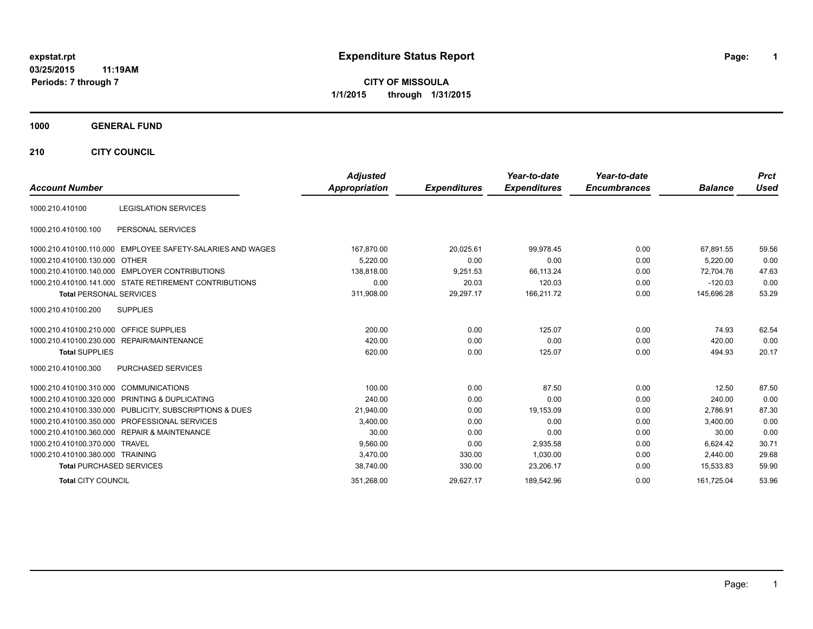# **expstat.rpt Expenditure Status Report Page:**

**1**

**CITY OF MISSOULA 1/1/2015 through 1/31/2015**

### **1000 GENERAL FUND**

**210 CITY COUNCIL**

|                                                            | <b>Adjusted</b>      |                     | Year-to-date        | Year-to-date        |                | <b>Prct</b> |
|------------------------------------------------------------|----------------------|---------------------|---------------------|---------------------|----------------|-------------|
| <b>Account Number</b>                                      | <b>Appropriation</b> | <b>Expenditures</b> | <b>Expenditures</b> | <b>Encumbrances</b> | <b>Balance</b> | <b>Used</b> |
| <b>LEGISLATION SERVICES</b><br>1000.210.410100             |                      |                     |                     |                     |                |             |
| PERSONAL SERVICES<br>1000.210.410100.100                   |                      |                     |                     |                     |                |             |
| 1000.210.410100.110.000 EMPLOYEE SAFETY-SALARIES AND WAGES | 167,870.00           | 20,025.61           | 99.978.45           | 0.00                | 67,891.55      | 59.56       |
| 1000.210.410100.130.000 OTHER                              | 5.220.00             | 0.00                | 0.00                | 0.00                | 5,220.00       | 0.00        |
| 1000.210.410100.140.000 EMPLOYER CONTRIBUTIONS             | 138.818.00           | 9,251.53            | 66,113.24           | 0.00                | 72.704.76      | 47.63       |
| 1000.210.410100.141.000 STATE RETIREMENT CONTRIBUTIONS     | 0.00                 | 20.03               | 120.03              | 0.00                | $-120.03$      | 0.00        |
| <b>Total PERSONAL SERVICES</b>                             | 311,908.00           | 29,297.17           | 166,211.72          | 0.00                | 145,696.28     | 53.29       |
| <b>SUPPLIES</b><br>1000.210.410100.200                     |                      |                     |                     |                     |                |             |
| 1000.210.410100.210.000 OFFICE SUPPLIES                    | 200.00               | 0.00                | 125.07              | 0.00                | 74.93          | 62.54       |
| 1000.210.410100.230.000 REPAIR/MAINTENANCE                 | 420.00               | 0.00                | 0.00                | 0.00                | 420.00         | 0.00        |
| <b>Total SUPPLIES</b>                                      | 620.00               | 0.00                | 125.07              | 0.00                | 494.93         | 20.17       |
| <b>PURCHASED SERVICES</b><br>1000.210.410100.300           |                      |                     |                     |                     |                |             |
| 1000.210.410100.310.000 COMMUNICATIONS                     | 100.00               | 0.00                | 87.50               | 0.00                | 12.50          | 87.50       |
| 1000.210.410100.320.000 PRINTING & DUPLICATING             | 240.00               | 0.00                | 0.00                | 0.00                | 240.00         | 0.00        |
| 1000.210.410100.330.000 PUBLICITY, SUBSCRIPTIONS & DUES    | 21,940.00            | 0.00                | 19,153.09           | 0.00                | 2.786.91       | 87.30       |
| 1000.210.410100.350.000 PROFESSIONAL SERVICES              | 3,400.00             | 0.00                | 0.00                | 0.00                | 3.400.00       | 0.00        |
| 1000.210.410100.360.000 REPAIR & MAINTENANCE               | 30.00                | 0.00                | 0.00                | 0.00                | 30.00          | 0.00        |
| 1000.210.410100.370.000 TRAVEL                             | 9,560.00             | 0.00                | 2,935.58            | 0.00                | 6,624.42       | 30.71       |
| 1000.210.410100.380.000 TRAINING                           | 3.470.00             | 330.00              | 1,030.00            | 0.00                | 2.440.00       | 29.68       |
| <b>Total PURCHASED SERVICES</b>                            | 38,740.00            | 330.00              | 23,206.17           | 0.00                | 15,533.83      | 59.90       |
| <b>Total CITY COUNCIL</b>                                  | 351,268.00           | 29,627.17           | 189,542.96          | 0.00                | 161,725.04     | 53.96       |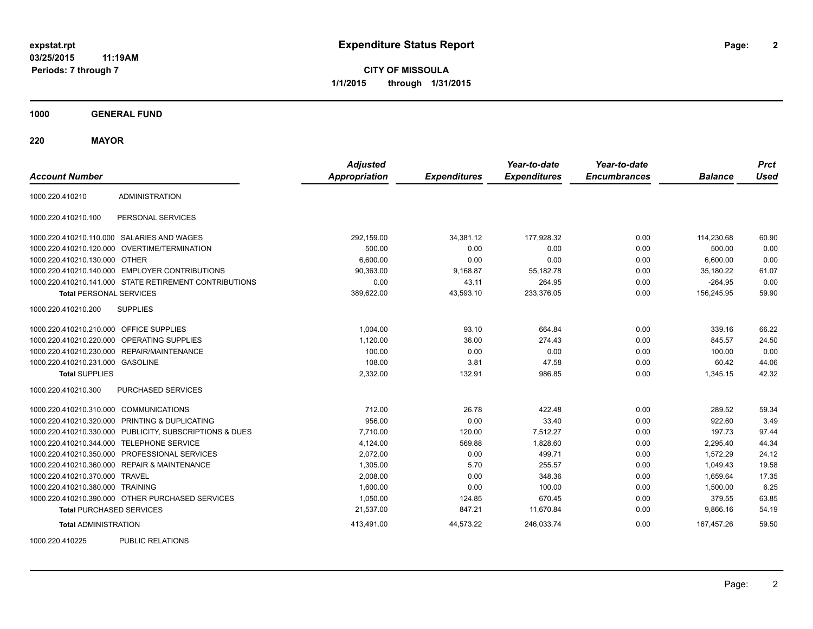**CITY OF MISSOULA 1/1/2015 through 1/31/2015**

**1000 GENERAL FUND**

**220 MAYOR**

| <b>Account Number</b>                   |                                                         | <b>Adjusted</b><br><b>Appropriation</b> | <b>Expenditures</b> | Year-to-date<br><b>Expenditures</b> | Year-to-date<br><b>Encumbrances</b> | <b>Balance</b> | <b>Prct</b><br><b>Used</b> |
|-----------------------------------------|---------------------------------------------------------|-----------------------------------------|---------------------|-------------------------------------|-------------------------------------|----------------|----------------------------|
| 1000.220.410210                         | <b>ADMINISTRATION</b>                                   |                                         |                     |                                     |                                     |                |                            |
| 1000.220.410210.100                     | PERSONAL SERVICES                                       |                                         |                     |                                     |                                     |                |                            |
|                                         | 1000.220.410210.110.000 SALARIES AND WAGES              | 292,159.00                              | 34,381.12           | 177,928.32                          | 0.00                                | 114,230.68     | 60.90                      |
|                                         | 1000.220.410210.120.000 OVERTIME/TERMINATION            | 500.00                                  | 0.00                | 0.00                                | 0.00                                | 500.00         | 0.00                       |
| 1000.220.410210.130.000 OTHER           |                                                         | 6,600.00                                | 0.00                | 0.00                                | 0.00                                | 6,600.00       | 0.00                       |
|                                         | 1000.220.410210.140.000 EMPLOYER CONTRIBUTIONS          | 90,363.00                               | 9,168.87            | 55,182.78                           | 0.00                                | 35,180.22      | 61.07                      |
|                                         | 1000.220.410210.141.000 STATE RETIREMENT CONTRIBUTIONS  | 0.00                                    | 43.11               | 264.95                              | 0.00                                | $-264.95$      | 0.00                       |
| <b>Total PERSONAL SERVICES</b>          |                                                         | 389,622.00                              | 43,593.10           | 233,376.05                          | 0.00                                | 156,245.95     | 59.90                      |
| 1000.220.410210.200                     | <b>SUPPLIES</b>                                         |                                         |                     |                                     |                                     |                |                            |
| 1000.220.410210.210.000 OFFICE SUPPLIES |                                                         | 1,004.00                                | 93.10               | 664.84                              | 0.00                                | 339.16         | 66.22                      |
|                                         | 1000.220.410210.220.000 OPERATING SUPPLIES              | 1,120.00                                | 36.00               | 274.43                              | 0.00                                | 845.57         | 24.50                      |
|                                         | 1000.220.410210.230.000 REPAIR/MAINTENANCE              | 100.00                                  | 0.00                | 0.00                                | 0.00                                | 100.00         | 0.00                       |
| 1000.220.410210.231.000 GASOLINE        |                                                         | 108.00                                  | 3.81                | 47.58                               | 0.00                                | 60.42          | 44.06                      |
| <b>Total SUPPLIES</b>                   |                                                         | 2,332.00                                | 132.91              | 986.85                              | 0.00                                | 1,345.15       | 42.32                      |
| 1000.220.410210.300                     | PURCHASED SERVICES                                      |                                         |                     |                                     |                                     |                |                            |
| 1000.220.410210.310.000 COMMUNICATIONS  |                                                         | 712.00                                  | 26.78               | 422.48                              | 0.00                                | 289.52         | 59.34                      |
|                                         | 1000.220.410210.320.000 PRINTING & DUPLICATING          | 956.00                                  | 0.00                | 33.40                               | 0.00                                | 922.60         | 3.49                       |
|                                         | 1000.220.410210.330.000 PUBLICITY, SUBSCRIPTIONS & DUES | 7,710.00                                | 120.00              | 7,512.27                            | 0.00                                | 197.73         | 97.44                      |
|                                         | 1000.220.410210.344.000 TELEPHONE SERVICE               | 4,124.00                                | 569.88              | 1,828.60                            | 0.00                                | 2,295.40       | 44.34                      |
|                                         | 1000.220.410210.350.000 PROFESSIONAL SERVICES           | 2,072.00                                | 0.00                | 499.71                              | 0.00                                | 1,572.29       | 24.12                      |
|                                         | 1000.220.410210.360.000 REPAIR & MAINTENANCE            | 1,305.00                                | 5.70                | 255.57                              | 0.00                                | 1,049.43       | 19.58                      |
| 1000.220.410210.370.000 TRAVEL          |                                                         | 2,008.00                                | 0.00                | 348.36                              | 0.00                                | 1,659.64       | 17.35                      |
| 1000.220.410210.380.000 TRAINING        |                                                         | 1,600.00                                | 0.00                | 100.00                              | 0.00                                | 1,500.00       | 6.25                       |
|                                         | 1000.220.410210.390.000 OTHER PURCHASED SERVICES        | 1,050.00                                | 124.85              | 670.45                              | 0.00                                | 379.55         | 63.85                      |
| <b>Total PURCHASED SERVICES</b>         |                                                         | 21,537.00                               | 847.21              | 11,670.84                           | 0.00                                | 9,866.16       | 54.19                      |
| <b>Total ADMINISTRATION</b>             |                                                         | 413,491.00                              | 44,573.22           | 246,033.74                          | 0.00                                | 167,457.26     | 59.50                      |
| 1000000110005                           | <b>DUDLIO DEL ATIONO</b>                                |                                         |                     |                                     |                                     |                |                            |

1000.220.410225 PUBLIC RELATIONS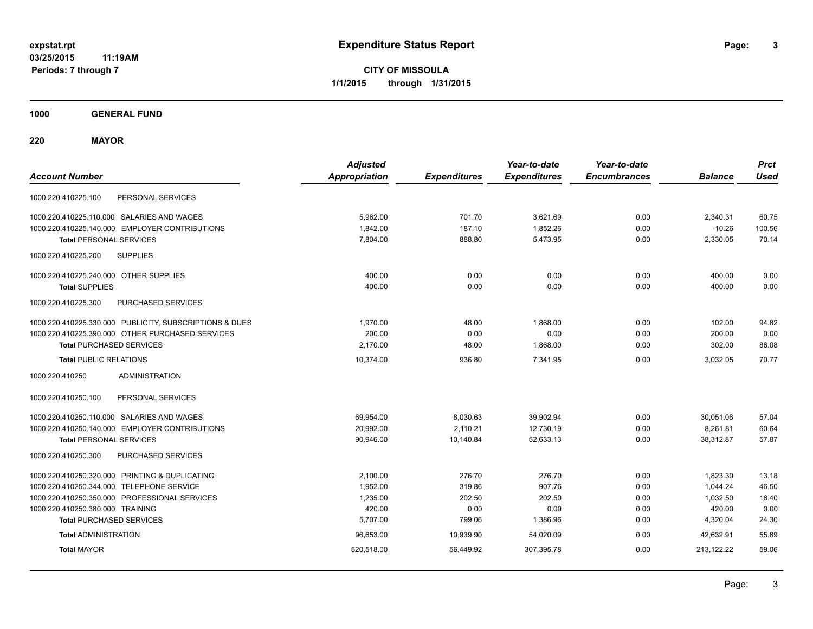**CITY OF MISSOULA 1/1/2015 through 1/31/2015**

**1000 GENERAL FUND**

**220 MAYOR**

| <b>Account Number</b>                                   | <b>Adjusted</b><br><b>Appropriation</b> | <b>Expenditures</b> | Year-to-date<br><b>Expenditures</b> | Year-to-date<br><b>Encumbrances</b> | <b>Balance</b> | <b>Prct</b><br><b>Used</b> |
|---------------------------------------------------------|-----------------------------------------|---------------------|-------------------------------------|-------------------------------------|----------------|----------------------------|
| PERSONAL SERVICES<br>1000.220.410225.100                |                                         |                     |                                     |                                     |                |                            |
| 1000.220.410225.110.000 SALARIES AND WAGES              | 5,962.00                                | 701.70              | 3,621.69                            | 0.00                                | 2,340.31       | 60.75                      |
| 1000.220.410225.140.000 EMPLOYER CONTRIBUTIONS          | 1,842.00                                | 187.10              | 1,852.26                            | 0.00                                | $-10.26$       | 100.56                     |
| <b>Total PERSONAL SERVICES</b>                          | 7,804.00                                | 888.80              | 5,473.95                            | 0.00                                | 2,330.05       | 70.14                      |
| <b>SUPPLIES</b><br>1000.220.410225.200                  |                                         |                     |                                     |                                     |                |                            |
| 1000.220.410225.240.000 OTHER SUPPLIES                  | 400.00                                  | 0.00                | 0.00                                | 0.00                                | 400.00         | 0.00                       |
| <b>Total SUPPLIES</b>                                   | 400.00                                  | 0.00                | 0.00                                | 0.00                                | 400.00         | 0.00                       |
| 1000.220.410225.300<br>PURCHASED SERVICES               |                                         |                     |                                     |                                     |                |                            |
| 1000.220.410225.330.000 PUBLICITY, SUBSCRIPTIONS & DUES | 1,970.00                                | 48.00               | 1,868.00                            | 0.00                                | 102.00         | 94.82                      |
| 1000.220.410225.390.000 OTHER PURCHASED SERVICES        | 200.00                                  | 0.00                | 0.00                                | 0.00                                | 200.00         | 0.00                       |
| <b>Total PURCHASED SERVICES</b>                         | 2.170.00                                | 48.00               | 1.868.00                            | 0.00                                | 302.00         | 86.08                      |
| <b>Total PUBLIC RELATIONS</b>                           | 10,374.00                               | 936.80              | 7.341.95                            | 0.00                                | 3.032.05       | 70.77                      |
| <b>ADMINISTRATION</b><br>1000.220.410250                |                                         |                     |                                     |                                     |                |                            |
| 1000.220.410250.100<br>PERSONAL SERVICES                |                                         |                     |                                     |                                     |                |                            |
| 1000.220.410250.110.000 SALARIES AND WAGES              | 69,954.00                               | 8,030.63            | 39,902.94                           | 0.00                                | 30,051.06      | 57.04                      |
| 1000.220.410250.140.000 EMPLOYER CONTRIBUTIONS          | 20,992.00                               | 2,110.21            | 12,730.19                           | 0.00                                | 8,261.81       | 60.64                      |
| <b>Total PERSONAL SERVICES</b>                          | 90,946.00                               | 10,140.84           | 52,633.13                           | 0.00                                | 38,312.87      | 57.87                      |
| 1000.220.410250.300<br>PURCHASED SERVICES               |                                         |                     |                                     |                                     |                |                            |
| 1000.220.410250.320.000 PRINTING & DUPLICATING          | 2,100.00                                | 276.70              | 276.70                              | 0.00                                | 1,823.30       | 13.18                      |
| 1000.220.410250.344.000 TELEPHONE SERVICE               | 1,952.00                                | 319.86              | 907.76                              | 0.00                                | 1,044.24       | 46.50                      |
| 1000.220.410250.350.000 PROFESSIONAL SERVICES           | 1,235.00                                | 202.50              | 202.50                              | 0.00                                | 1,032.50       | 16.40                      |
| 1000.220.410250.380.000 TRAINING                        | 420.00                                  | 0.00                | 0.00                                | 0.00                                | 420.00         | 0.00                       |
| <b>Total PURCHASED SERVICES</b>                         | 5,707.00                                | 799.06              | 1,386.96                            | 0.00                                | 4,320.04       | 24.30                      |
| <b>Total ADMINISTRATION</b>                             | 96,653.00                               | 10,939.90           | 54,020.09                           | 0.00                                | 42,632.91      | 55.89                      |
| <b>Total MAYOR</b>                                      | 520,518.00                              | 56,449.92           | 307,395.78                          | 0.00                                | 213,122.22     | 59.06                      |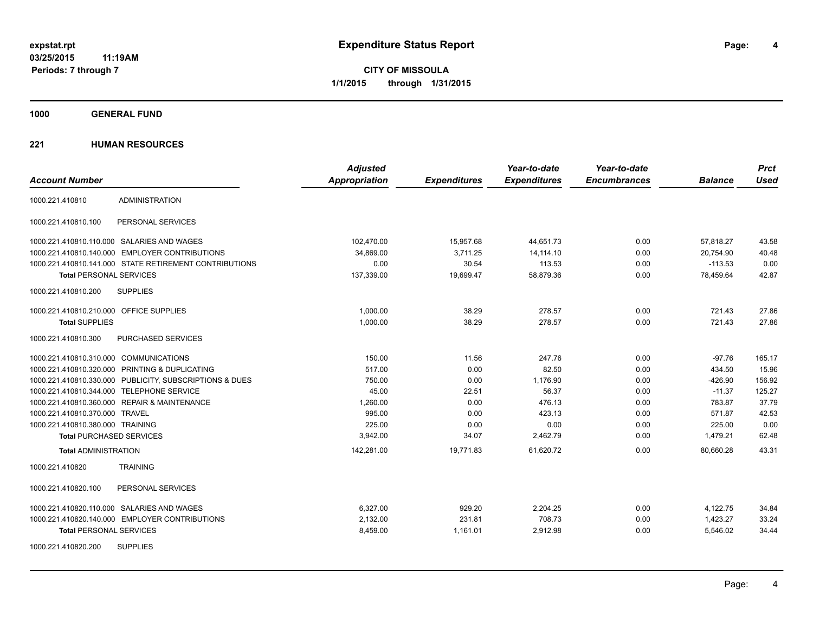**CITY OF MISSOULA 1/1/2015 through 1/31/2015**

**1000 GENERAL FUND**

|                                                         | <b>Adjusted</b>      |                     | Year-to-date        | Year-to-date        |                | <b>Prct</b> |
|---------------------------------------------------------|----------------------|---------------------|---------------------|---------------------|----------------|-------------|
| <b>Account Number</b>                                   | <b>Appropriation</b> | <b>Expenditures</b> | <b>Expenditures</b> | <b>Encumbrances</b> | <b>Balance</b> | <b>Used</b> |
| <b>ADMINISTRATION</b><br>1000.221.410810                |                      |                     |                     |                     |                |             |
| PERSONAL SERVICES<br>1000.221.410810.100                |                      |                     |                     |                     |                |             |
| 1000.221.410810.110.000 SALARIES AND WAGES              | 102,470.00           | 15,957.68           | 44,651.73           | 0.00                | 57,818.27      | 43.58       |
| 1000.221.410810.140.000 EMPLOYER CONTRIBUTIONS          | 34,869.00            | 3,711.25            | 14,114.10           | 0.00                | 20,754.90      | 40.48       |
| 1000.221.410810.141.000 STATE RETIREMENT CONTRIBUTIONS  | 0.00                 | 30.54               | 113.53              | 0.00                | $-113.53$      | 0.00        |
| <b>Total PERSONAL SERVICES</b>                          | 137,339.00           | 19,699.47           | 58,879.36           | 0.00                | 78,459.64      | 42.87       |
| 1000.221.410810.200<br><b>SUPPLIES</b>                  |                      |                     |                     |                     |                |             |
| 1000.221.410810.210.000 OFFICE SUPPLIES                 | 1,000.00             | 38.29               | 278.57              | 0.00                | 721.43         | 27.86       |
| <b>Total SUPPLIES</b>                                   | 1,000.00             | 38.29               | 278.57              | 0.00                | 721.43         | 27.86       |
| 1000.221.410810.300<br><b>PURCHASED SERVICES</b>        |                      |                     |                     |                     |                |             |
| 1000.221.410810.310.000 COMMUNICATIONS                  | 150.00               | 11.56               | 247.76              | 0.00                | $-97.76$       | 165.17      |
| 1000.221.410810.320.000 PRINTING & DUPLICATING          | 517.00               | 0.00                | 82.50               | 0.00                | 434.50         | 15.96       |
| 1000.221.410810.330.000 PUBLICITY, SUBSCRIPTIONS & DUES | 750.00               | 0.00                | 1,176.90            | 0.00                | $-426.90$      | 156.92      |
| 1000.221.410810.344.000 TELEPHONE SERVICE               | 45.00                | 22.51               | 56.37               | 0.00                | $-11.37$       | 125.27      |
| 1000.221.410810.360.000 REPAIR & MAINTENANCE            | 1,260.00             | 0.00                | 476.13              | 0.00                | 783.87         | 37.79       |
| 1000.221.410810.370.000 TRAVEL                          | 995.00               | 0.00                | 423.13              | 0.00                | 571.87         | 42.53       |
| 1000.221.410810.380.000 TRAINING                        | 225.00               | 0.00                | 0.00                | 0.00                | 225.00         | 0.00        |
| <b>Total PURCHASED SERVICES</b>                         | 3,942.00             | 34.07               | 2,462.79            | 0.00                | 1,479.21       | 62.48       |
| <b>Total ADMINISTRATION</b>                             | 142,281.00           | 19,771.83           | 61,620.72           | 0.00                | 80.660.28      | 43.31       |
| 1000.221.410820<br><b>TRAINING</b>                      |                      |                     |                     |                     |                |             |
| 1000.221.410820.100<br>PERSONAL SERVICES                |                      |                     |                     |                     |                |             |
| 1000.221.410820.110.000 SALARIES AND WAGES              | 6,327.00             | 929.20              | 2,204.25            | 0.00                | 4,122.75       | 34.84       |
| 1000.221.410820.140.000 EMPLOYER CONTRIBUTIONS          | 2,132.00             | 231.81              | 708.73              | 0.00                | 1,423.27       | 33.24       |
| <b>Total PERSONAL SERVICES</b>                          | 8,459.00             | 1,161.01            | 2,912.98            | 0.00                | 5,546.02       | 34.44       |
| <b>SUPPLIES</b><br>1000.221.410820.200                  |                      |                     |                     |                     |                |             |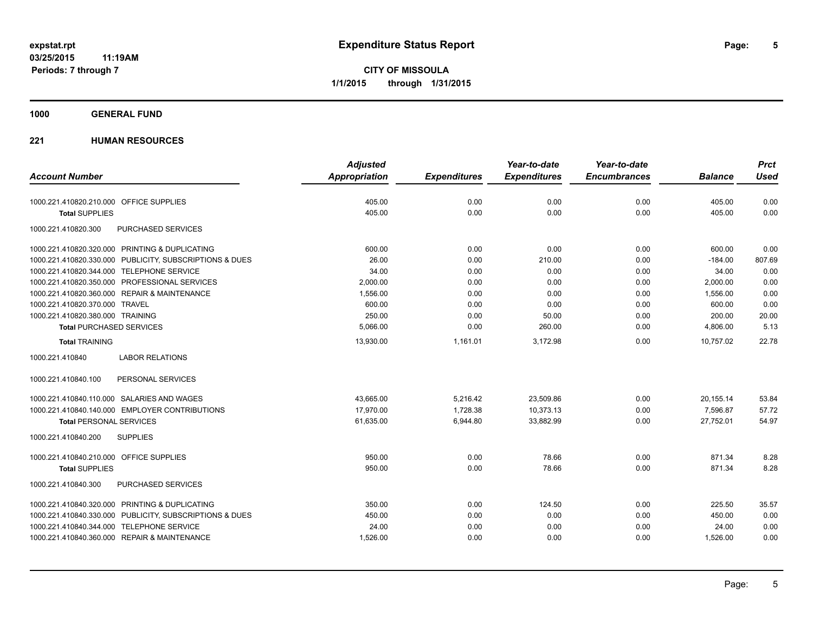### **1000 GENERAL FUND**

|                                                         | <b>Adjusted</b>      |                     | Year-to-date        | Year-to-date        |                | <b>Prct</b> |
|---------------------------------------------------------|----------------------|---------------------|---------------------|---------------------|----------------|-------------|
| <b>Account Number</b>                                   | <b>Appropriation</b> | <b>Expenditures</b> | <b>Expenditures</b> | <b>Encumbrances</b> | <b>Balance</b> | <b>Used</b> |
| 1000.221.410820.210.000 OFFICE SUPPLIES                 | 405.00               | 0.00                | 0.00                | 0.00                | 405.00         | 0.00        |
| <b>Total SUPPLIES</b>                                   | 405.00               | 0.00                | 0.00                | 0.00                | 405.00         | 0.00        |
| 1000.221.410820.300<br>PURCHASED SERVICES               |                      |                     |                     |                     |                |             |
| 1000.221.410820.320.000 PRINTING & DUPLICATING          | 600.00               | 0.00                | 0.00                | 0.00                | 600.00         | 0.00        |
| 1000.221.410820.330.000 PUBLICITY, SUBSCRIPTIONS & DUES | 26.00                | 0.00                | 210.00              | 0.00                | $-184.00$      | 807.69      |
| 1000.221.410820.344.000 TELEPHONE SERVICE               | 34.00                | 0.00                | 0.00                | 0.00                | 34.00          | 0.00        |
| 1000.221.410820.350.000 PROFESSIONAL SERVICES           | 2,000.00             | 0.00                | 0.00                | 0.00                | 2,000.00       | 0.00        |
| 1000.221.410820.360.000 REPAIR & MAINTENANCE            | 1,556.00             | 0.00                | 0.00                | 0.00                | 1,556.00       | 0.00        |
| 1000.221.410820.370.000 TRAVEL                          | 600.00               | 0.00                | 0.00                | 0.00                | 600.00         | 0.00        |
| 1000.221.410820.380.000 TRAINING                        | 250.00               | 0.00                | 50.00               | 0.00                | 200.00         | 20.00       |
| <b>Total PURCHASED SERVICES</b>                         | 5,066.00             | 0.00                | 260.00              | 0.00                | 4,806.00       | 5.13        |
| <b>Total TRAINING</b>                                   | 13,930.00            | 1,161.01            | 3,172.98            | 0.00                | 10,757.02      | 22.78       |
| <b>LABOR RELATIONS</b><br>1000.221.410840               |                      |                     |                     |                     |                |             |
| PERSONAL SERVICES<br>1000.221.410840.100                |                      |                     |                     |                     |                |             |
| 1000.221.410840.110.000 SALARIES AND WAGES              | 43,665.00            | 5,216.42            | 23,509.86           | 0.00                | 20,155.14      | 53.84       |
| 1000.221.410840.140.000 EMPLOYER CONTRIBUTIONS          | 17,970.00            | 1,728.38            | 10,373.13           | 0.00                | 7,596.87       | 57.72       |
| <b>Total PERSONAL SERVICES</b>                          | 61,635.00            | 6,944.80            | 33,882.99           | 0.00                | 27.752.01      | 54.97       |
| 1000.221.410840.200<br><b>SUPPLIES</b>                  |                      |                     |                     |                     |                |             |
| 1000.221.410840.210.000 OFFICE SUPPLIES                 | 950.00               | 0.00                | 78.66               | 0.00                | 871.34         | 8.28        |
| <b>Total SUPPLIES</b>                                   | 950.00               | 0.00                | 78.66               | 0.00                | 871.34         | 8.28        |
| 1000.221.410840.300<br>PURCHASED SERVICES               |                      |                     |                     |                     |                |             |
| 1000.221.410840.320.000 PRINTING & DUPLICATING          | 350.00               | 0.00                | 124.50              | 0.00                | 225.50         | 35.57       |
| 1000.221.410840.330.000 PUBLICITY, SUBSCRIPTIONS & DUES | 450.00               | 0.00                | 0.00                | 0.00                | 450.00         | 0.00        |
| 1000.221.410840.344.000 TELEPHONE SERVICE               | 24.00                | 0.00                | 0.00                | 0.00                | 24.00          | 0.00        |
| 1000.221.410840.360.000 REPAIR & MAINTENANCE            | 1,526.00             | 0.00                | 0.00                | 0.00                | 1,526.00       | 0.00        |
|                                                         |                      |                     |                     |                     |                |             |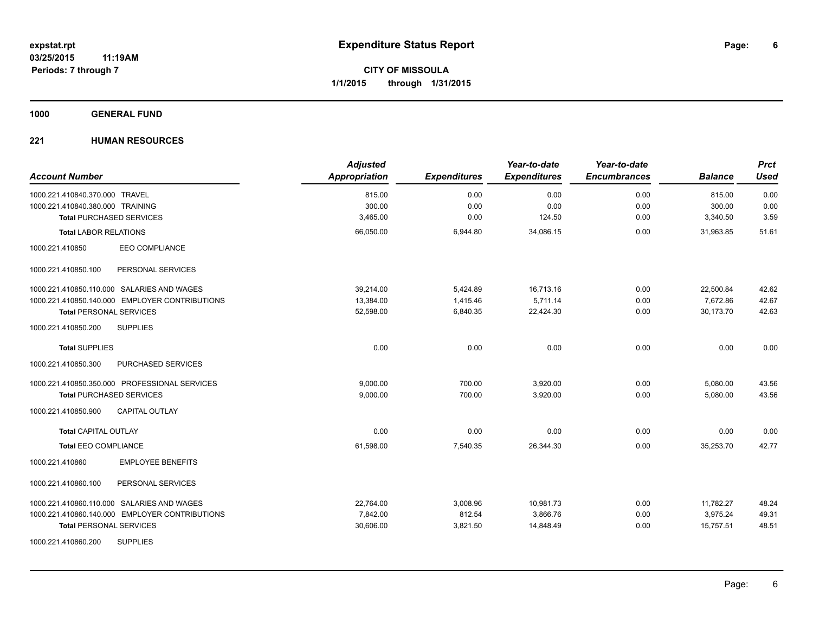**1000 GENERAL FUND**

| <b>Account Number</b>                          | <b>Adjusted</b><br>Appropriation | <b>Expenditures</b> | Year-to-date<br><b>Expenditures</b> | Year-to-date<br><b>Encumbrances</b> | <b>Balance</b> | <b>Prct</b><br><b>Used</b> |
|------------------------------------------------|----------------------------------|---------------------|-------------------------------------|-------------------------------------|----------------|----------------------------|
| 1000.221.410840.370.000 TRAVEL                 | 815.00                           | 0.00                | 0.00                                | 0.00                                | 815.00         | 0.00                       |
| 1000.221.410840.380.000 TRAINING               | 300.00                           | 0.00                | 0.00                                | 0.00                                | 300.00         | 0.00                       |
| <b>Total PURCHASED SERVICES</b>                | 3,465.00                         | 0.00                | 124.50                              | 0.00                                | 3,340.50       | 3.59                       |
| <b>Total LABOR RELATIONS</b>                   | 66,050.00                        | 6,944.80            | 34,086.15                           | 0.00                                | 31,963.85      | 51.61                      |
| EEO COMPLIANCE<br>1000.221.410850              |                                  |                     |                                     |                                     |                |                            |
| PERSONAL SERVICES<br>1000.221.410850.100       |                                  |                     |                                     |                                     |                |                            |
| 1000.221.410850.110.000 SALARIES AND WAGES     | 39.214.00                        | 5,424.89            | 16,713.16                           | 0.00                                | 22,500.84      | 42.62                      |
| 1000.221.410850.140.000 EMPLOYER CONTRIBUTIONS | 13,384.00                        | 1,415.46            | 5,711.14                            | 0.00                                | 7,672.86       | 42.67                      |
| <b>Total PERSONAL SERVICES</b>                 | 52,598.00                        | 6,840.35            | 22,424.30                           | 0.00                                | 30.173.70      | 42.63                      |
| 1000.221.410850.200<br><b>SUPPLIES</b>         |                                  |                     |                                     |                                     |                |                            |
| <b>Total SUPPLIES</b>                          | 0.00                             | 0.00                | 0.00                                | 0.00                                | 0.00           | 0.00                       |
| 1000.221.410850.300<br>PURCHASED SERVICES      |                                  |                     |                                     |                                     |                |                            |
| 1000.221.410850.350.000 PROFESSIONAL SERVICES  | 9,000.00                         | 700.00              | 3,920.00                            | 0.00                                | 5,080.00       | 43.56                      |
| <b>Total PURCHASED SERVICES</b>                | 9,000.00                         | 700.00              | 3,920.00                            | 0.00                                | 5,080.00       | 43.56                      |
| 1000.221.410850.900<br><b>CAPITAL OUTLAY</b>   |                                  |                     |                                     |                                     |                |                            |
| <b>Total CAPITAL OUTLAY</b>                    | 0.00                             | 0.00                | 0.00                                | 0.00                                | 0.00           | 0.00                       |
| <b>Total EEO COMPLIANCE</b>                    | 61,598.00                        | 7,540.35            | 26,344.30                           | 0.00                                | 35,253.70      | 42.77                      |
| <b>EMPLOYEE BENEFITS</b><br>1000.221.410860    |                                  |                     |                                     |                                     |                |                            |
| 1000.221.410860.100<br>PERSONAL SERVICES       |                                  |                     |                                     |                                     |                |                            |
| 1000.221.410860.110.000 SALARIES AND WAGES     | 22,764.00                        | 3,008.96            | 10,981.73                           | 0.00                                | 11,782.27      | 48.24                      |
| 1000.221.410860.140.000 EMPLOYER CONTRIBUTIONS | 7,842.00                         | 812.54              | 3,866.76                            | 0.00                                | 3,975.24       | 49.31                      |
| <b>Total PERSONAL SERVICES</b>                 | 30,606.00                        | 3,821.50            | 14,848.49                           | 0.00                                | 15,757.51      | 48.51                      |
| <b>SUPPLIES</b><br>1000.221.410860.200         |                                  |                     |                                     |                                     |                |                            |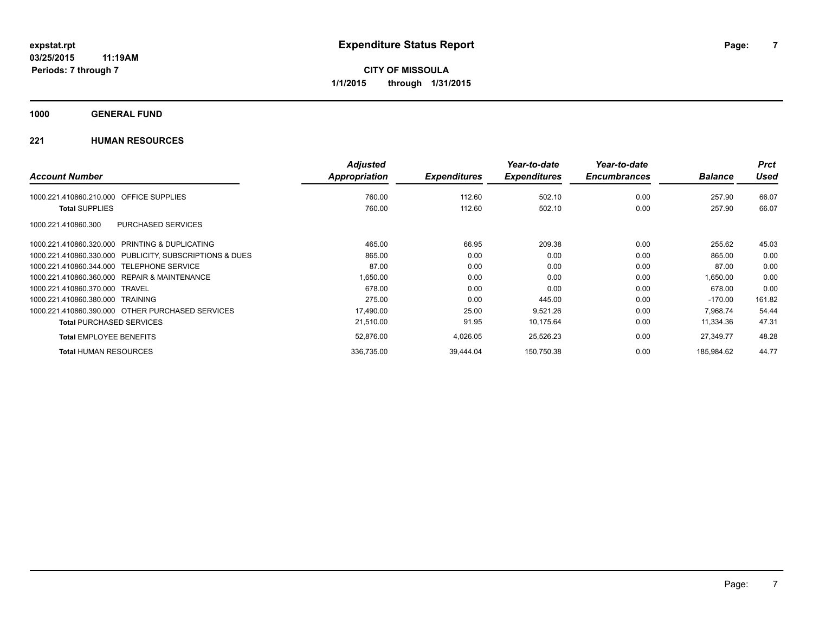### **1000 GENERAL FUND**

|                                                         | <b>Adjusted</b> |                     | Year-to-date        | Year-to-date        |                | <b>Prct</b> |
|---------------------------------------------------------|-----------------|---------------------|---------------------|---------------------|----------------|-------------|
| <b>Account Number</b>                                   | Appropriation   | <b>Expenditures</b> | <b>Expenditures</b> | <b>Encumbrances</b> | <b>Balance</b> | <b>Used</b> |
| OFFICE SUPPLIES<br>1000.221.410860.210.000              | 760.00          | 112.60              | 502.10              | 0.00                | 257.90         | 66.07       |
| <b>Total SUPPLIES</b>                                   | 760.00          | 112.60              | 502.10              | 0.00                | 257.90         | 66.07       |
| PURCHASED SERVICES<br>1000.221.410860.300               |                 |                     |                     |                     |                |             |
| 1000.221.410860.320.000 PRINTING & DUPLICATING          | 465.00          | 66.95               | 209.38              | 0.00                | 255.62         | 45.03       |
| 1000.221.410860.330.000 PUBLICITY, SUBSCRIPTIONS & DUES | 865.00          | 0.00                | 0.00                | 0.00                | 865.00         | 0.00        |
| 1000.221.410860.344.000 TELEPHONE SERVICE               | 87.00           | 0.00                | 0.00                | 0.00                | 87.00          | 0.00        |
| 1000.221.410860.360.000 REPAIR & MAINTENANCE            | 1,650.00        | 0.00                | 0.00                | 0.00                | 1.650.00       | 0.00        |
| 1000.221.410860.370.000 TRAVEL                          | 678.00          | 0.00                | 0.00                | 0.00                | 678.00         | 0.00        |
| 1000.221.410860.380.000 TRAINING                        | 275.00          | 0.00                | 445.00              | 0.00                | $-170.00$      | 161.82      |
| 1000.221.410860.390.000 OTHER PURCHASED SERVICES        | 17,490.00       | 25.00               | 9,521.26            | 0.00                | 7.968.74       | 54.44       |
| <b>Total PURCHASED SERVICES</b>                         | 21,510.00       | 91.95               | 10,175.64           | 0.00                | 11,334.36      | 47.31       |
| <b>Total EMPLOYEE BENEFITS</b>                          | 52,876.00       | 4,026.05            | 25,526.23           | 0.00                | 27,349.77      | 48.28       |
| <b>Total HUMAN RESOURCES</b>                            | 336.735.00      | 39.444.04           | 150.750.38          | 0.00                | 185.984.62     | 44.77       |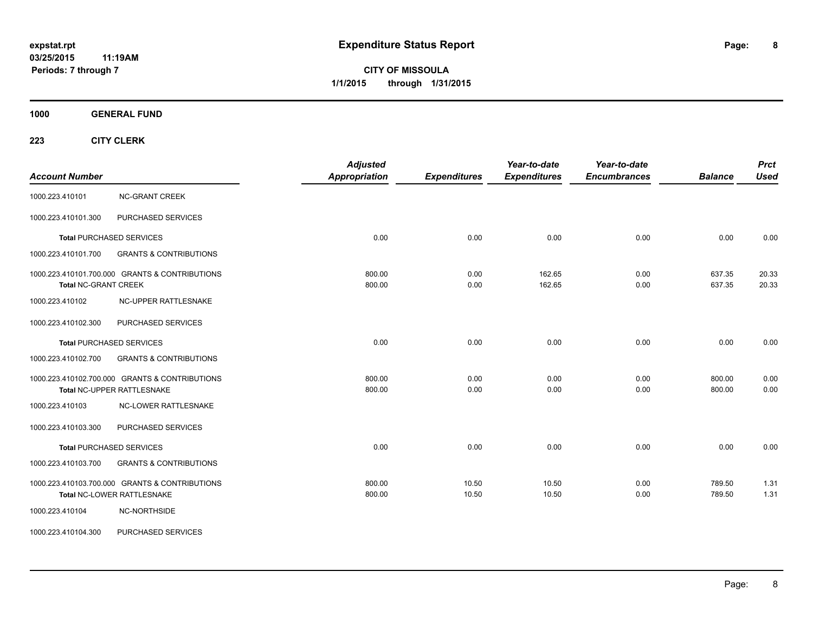**CITY OF MISSOULA 1/1/2015 through 1/31/2015**

**1000 GENERAL FUND**

| <b>Account Number</b>       |                                                                              | <b>Adjusted</b><br><b>Appropriation</b> | <b>Expenditures</b> | Year-to-date<br><b>Expenditures</b> | Year-to-date<br><b>Encumbrances</b> | <b>Balance</b>   | <b>Prct</b><br><b>Used</b> |
|-----------------------------|------------------------------------------------------------------------------|-----------------------------------------|---------------------|-------------------------------------|-------------------------------------|------------------|----------------------------|
| 1000.223.410101             | <b>NC-GRANT CREEK</b>                                                        |                                         |                     |                                     |                                     |                  |                            |
| 1000.223.410101.300         | PURCHASED SERVICES                                                           |                                         |                     |                                     |                                     |                  |                            |
|                             | <b>Total PURCHASED SERVICES</b>                                              | 0.00                                    | 0.00                | 0.00                                | 0.00                                | 0.00             | 0.00                       |
| 1000.223.410101.700         | <b>GRANTS &amp; CONTRIBUTIONS</b>                                            |                                         |                     |                                     |                                     |                  |                            |
| <b>Total NC-GRANT CREEK</b> | 1000.223.410101.700.000 GRANTS & CONTRIBUTIONS                               | 800.00<br>800.00                        | 0.00<br>0.00        | 162.65<br>162.65                    | 0.00<br>0.00                        | 637.35<br>637.35 | 20.33<br>20.33             |
| 1000.223.410102             | NC-UPPER RATTLESNAKE                                                         |                                         |                     |                                     |                                     |                  |                            |
| 1000.223.410102.300         | PURCHASED SERVICES                                                           |                                         |                     |                                     |                                     |                  |                            |
|                             | <b>Total PURCHASED SERVICES</b>                                              | 0.00                                    | 0.00                | 0.00                                | 0.00                                | 0.00             | 0.00                       |
| 1000.223.410102.700         | <b>GRANTS &amp; CONTRIBUTIONS</b>                                            |                                         |                     |                                     |                                     |                  |                            |
|                             | 1000.223.410102.700.000 GRANTS & CONTRIBUTIONS<br>Total NC-UPPER RATTLESNAKE | 800.00<br>800.00                        | 0.00<br>0.00        | 0.00<br>0.00                        | 0.00<br>0.00                        | 800.00<br>800.00 | 0.00<br>0.00               |
| 1000.223.410103             | <b>NC-LOWER RATTLESNAKE</b>                                                  |                                         |                     |                                     |                                     |                  |                            |
| 1000.223.410103.300         | PURCHASED SERVICES                                                           |                                         |                     |                                     |                                     |                  |                            |
|                             | Total PURCHASED SERVICES                                                     | 0.00                                    | 0.00                | 0.00                                | 0.00                                | 0.00             | 0.00                       |
| 1000.223.410103.700         | <b>GRANTS &amp; CONTRIBUTIONS</b>                                            |                                         |                     |                                     |                                     |                  |                            |
|                             | 1000.223.410103.700.000 GRANTS & CONTRIBUTIONS<br>Total NC-LOWER RATTLESNAKE | 800.00<br>800.00                        | 10.50<br>10.50      | 10.50<br>10.50                      | 0.00<br>0.00                        | 789.50<br>789.50 | 1.31<br>1.31               |
| 1000.223.410104             | NC-NORTHSIDE                                                                 |                                         |                     |                                     |                                     |                  |                            |
| 1000.223.410104.300         | PURCHASED SERVICES                                                           |                                         |                     |                                     |                                     |                  |                            |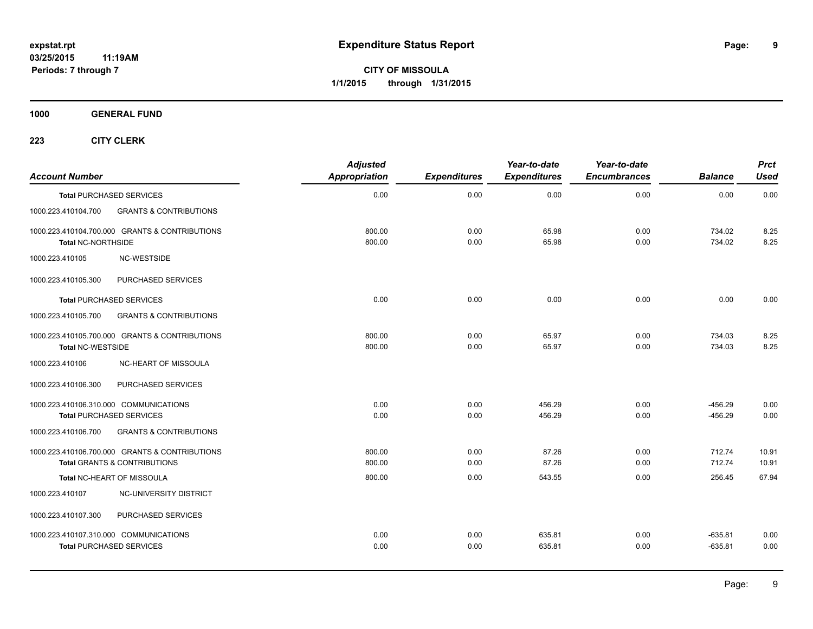**1000 GENERAL FUND**

| <b>Account Number</b>     |                                                                                                                | <b>Adjusted</b><br>Appropriation | <b>Expenditures</b> | Year-to-date<br><b>Expenditures</b> | Year-to-date<br><b>Encumbrances</b> | <b>Balance</b>         | <b>Prct</b><br><b>Used</b> |
|---------------------------|----------------------------------------------------------------------------------------------------------------|----------------------------------|---------------------|-------------------------------------|-------------------------------------|------------------------|----------------------------|
|                           | <b>Total PURCHASED SERVICES</b>                                                                                | 0.00                             | 0.00                | 0.00                                | 0.00                                | 0.00                   | 0.00                       |
| 1000.223.410104.700       | <b>GRANTS &amp; CONTRIBUTIONS</b>                                                                              |                                  |                     |                                     |                                     |                        |                            |
| <b>Total NC-NORTHSIDE</b> | 1000.223.410104.700.000 GRANTS & CONTRIBUTIONS                                                                 | 800.00<br>800.00                 | 0.00<br>0.00        | 65.98<br>65.98                      | 0.00<br>0.00                        | 734.02<br>734.02       | 8.25<br>8.25               |
| 1000.223.410105           | NC-WESTSIDE                                                                                                    |                                  |                     |                                     |                                     |                        |                            |
| 1000.223.410105.300       | PURCHASED SERVICES                                                                                             |                                  |                     |                                     |                                     |                        |                            |
|                           | <b>Total PURCHASED SERVICES</b>                                                                                | 0.00                             | 0.00                | 0.00                                | 0.00                                | 0.00                   | 0.00                       |
| 1000.223.410105.700       | <b>GRANTS &amp; CONTRIBUTIONS</b>                                                                              |                                  |                     |                                     |                                     |                        |                            |
| <b>Total NC-WESTSIDE</b>  | 1000.223.410105.700.000 GRANTS & CONTRIBUTIONS                                                                 | 800.00<br>800.00                 | 0.00<br>0.00        | 65.97<br>65.97                      | 0.00<br>0.00                        | 734.03<br>734.03       | 8.25<br>8.25               |
| 1000.223.410106           | NC-HEART OF MISSOULA                                                                                           |                                  |                     |                                     |                                     |                        |                            |
| 1000.223.410106.300       | PURCHASED SERVICES                                                                                             |                                  |                     |                                     |                                     |                        |                            |
| 1000.223.410106.700       | 1000.223.410106.310.000 COMMUNICATIONS<br><b>Total PURCHASED SERVICES</b><br><b>GRANTS &amp; CONTRIBUTIONS</b> | 0.00<br>0.00                     | 0.00<br>0.00        | 456.29<br>456.29                    | 0.00<br>0.00                        | $-456.29$<br>$-456.29$ | 0.00<br>0.00               |
|                           |                                                                                                                |                                  |                     |                                     |                                     |                        |                            |
|                           | 1000.223.410106.700.000 GRANTS & CONTRIBUTIONS<br><b>Total GRANTS &amp; CONTRIBUTIONS</b>                      | 800.00<br>800.00                 | 0.00<br>0.00        | 87.26<br>87.26                      | 0.00<br>0.00                        | 712.74<br>712.74       | 10.91<br>10.91             |
|                           | Total NC-HEART OF MISSOULA                                                                                     | 800.00                           | 0.00                | 543.55                              | 0.00                                | 256.45                 | 67.94                      |
| 1000.223.410107           | NC-UNIVERSITY DISTRICT                                                                                         |                                  |                     |                                     |                                     |                        |                            |
| 1000.223.410107.300       | PURCHASED SERVICES                                                                                             |                                  |                     |                                     |                                     |                        |                            |
|                           | 1000.223.410107.310.000 COMMUNICATIONS<br><b>Total PURCHASED SERVICES</b>                                      | 0.00<br>0.00                     | 0.00<br>0.00        | 635.81<br>635.81                    | 0.00<br>0.00                        | $-635.81$<br>$-635.81$ | 0.00<br>0.00               |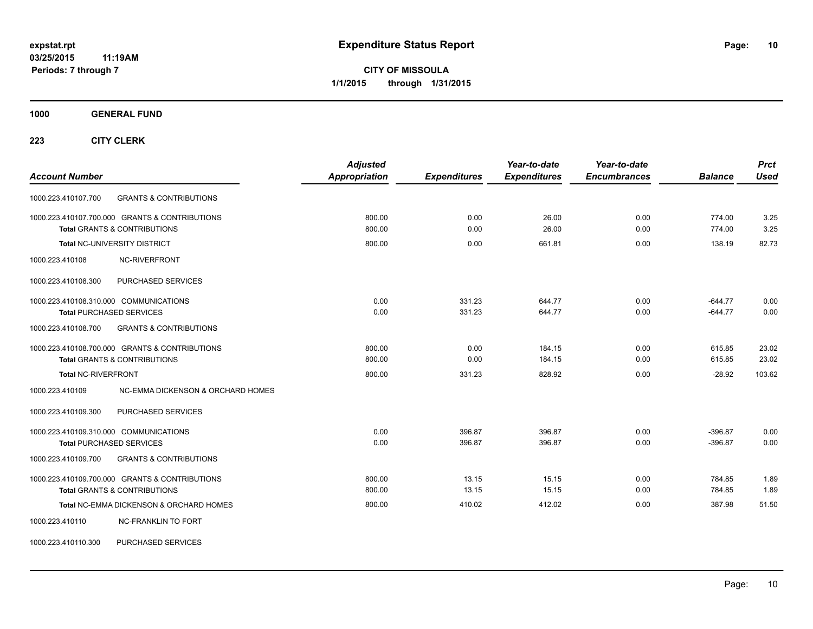**CITY OF MISSOULA 1/1/2015 through 1/31/2015**

**1000 GENERAL FUND**

**223 CITY CLERK**

| <b>Account Number</b>                                                                     | <b>Adjusted</b><br><b>Appropriation</b> | <b>Expenditures</b> | Year-to-date<br><b>Expenditures</b> | Year-to-date<br><b>Encumbrances</b> | <b>Balance</b>         | <b>Prct</b><br><b>Used</b> |
|-------------------------------------------------------------------------------------------|-----------------------------------------|---------------------|-------------------------------------|-------------------------------------|------------------------|----------------------------|
| 1000.223.410107.700<br><b>GRANTS &amp; CONTRIBUTIONS</b>                                  |                                         |                     |                                     |                                     |                        |                            |
| 1000.223.410107.700.000 GRANTS & CONTRIBUTIONS<br><b>Total GRANTS &amp; CONTRIBUTIONS</b> | 800.00<br>800.00                        | 0.00<br>0.00        | 26.00<br>26.00                      | 0.00<br>0.00                        | 774.00<br>774.00       | 3.25<br>3.25               |
| <b>Total NC-UNIVERSITY DISTRICT</b>                                                       | 800.00                                  | 0.00                | 661.81                              | 0.00                                | 138.19                 | 82.73                      |
| <b>NC-RIVERFRONT</b><br>1000.223.410108                                                   |                                         |                     |                                     |                                     |                        |                            |
| 1000.223.410108.300<br>PURCHASED SERVICES                                                 |                                         |                     |                                     |                                     |                        |                            |
| 1000.223.410108.310.000 COMMUNICATIONS<br><b>Total PURCHASED SERVICES</b>                 | 0.00<br>0.00                            | 331.23<br>331.23    | 644.77<br>644.77                    | 0.00<br>0.00                        | $-644.77$<br>$-644.77$ | 0.00<br>0.00               |
| 1000.223.410108.700<br><b>GRANTS &amp; CONTRIBUTIONS</b>                                  |                                         |                     |                                     |                                     |                        |                            |
| 1000.223.410108.700.000 GRANTS & CONTRIBUTIONS<br><b>Total GRANTS &amp; CONTRIBUTIONS</b> | 800.00<br>800.00                        | 0.00<br>0.00        | 184.15<br>184.15                    | 0.00<br>0.00                        | 615.85<br>615.85       | 23.02<br>23.02             |
| <b>Total NC-RIVERFRONT</b>                                                                | 800.00                                  | 331.23              | 828.92                              | 0.00                                | $-28.92$               | 103.62                     |
| 1000.223.410109<br>NC-EMMA DICKENSON & ORCHARD HOMES                                      |                                         |                     |                                     |                                     |                        |                            |
| 1000.223.410109.300<br>PURCHASED SERVICES                                                 |                                         |                     |                                     |                                     |                        |                            |
| 1000.223.410109.310.000 COMMUNICATIONS<br><b>Total PURCHASED SERVICES</b>                 | 0.00<br>0.00                            | 396.87<br>396.87    | 396.87<br>396.87                    | 0.00<br>0.00                        | $-396.87$<br>$-396.87$ | 0.00<br>0.00               |
| <b>GRANTS &amp; CONTRIBUTIONS</b><br>1000.223.410109.700                                  |                                         |                     |                                     |                                     |                        |                            |
| 1000.223.410109.700.000 GRANTS & CONTRIBUTIONS<br><b>Total GRANTS &amp; CONTRIBUTIONS</b> | 800.00<br>800.00                        | 13.15<br>13.15      | 15.15<br>15.15                      | 0.00<br>0.00                        | 784.85<br>784.85       | 1.89<br>1.89               |
| Total NC-EMMA DICKENSON & ORCHARD HOMES                                                   | 800.00                                  | 410.02              | 412.02                              | 0.00                                | 387.98                 | 51.50                      |
| <b>NC-FRANKLIN TO FORT</b><br>1000.223.410110                                             |                                         |                     |                                     |                                     |                        |                            |

1000.223.410110.300 PURCHASED SERVICES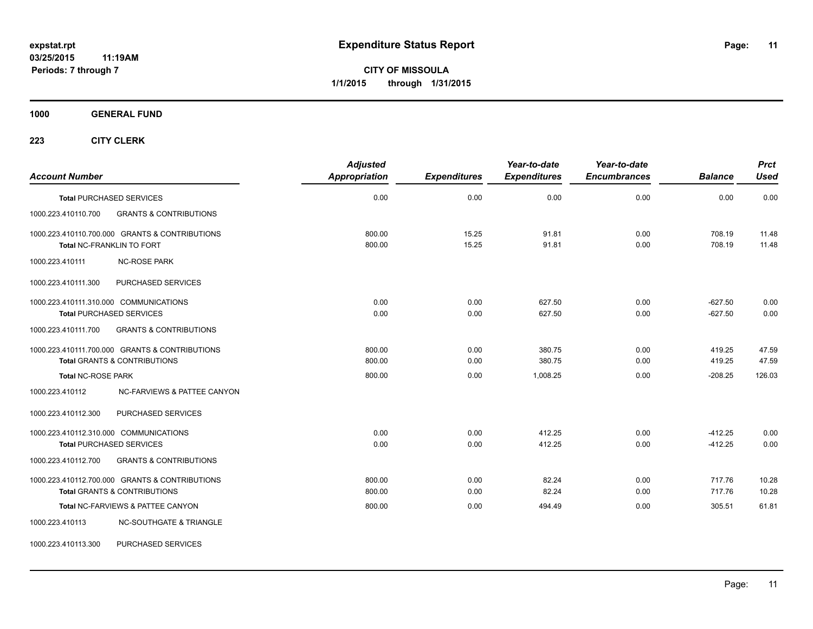**CITY OF MISSOULA 1/1/2015 through 1/31/2015**

### **1000 GENERAL FUND**

| <b>Account Number</b>                                                                     | <b>Adjusted</b><br><b>Appropriation</b> | <b>Expenditures</b> | Year-to-date<br><b>Expenditures</b> | Year-to-date<br><b>Encumbrances</b> | <b>Balance</b>         | <b>Prct</b><br><b>Used</b> |
|-------------------------------------------------------------------------------------------|-----------------------------------------|---------------------|-------------------------------------|-------------------------------------|------------------------|----------------------------|
| <b>Total PURCHASED SERVICES</b>                                                           | 0.00                                    | 0.00                | 0.00                                | 0.00                                | 0.00                   | 0.00                       |
| 1000.223.410110.700<br><b>GRANTS &amp; CONTRIBUTIONS</b>                                  |                                         |                     |                                     |                                     |                        |                            |
| 1000.223.410110.700.000 GRANTS & CONTRIBUTIONS<br>Total NC-FRANKLIN TO FORT               | 800.00<br>800.00                        | 15.25<br>15.25      | 91.81<br>91.81                      | 0.00<br>0.00                        | 708.19<br>708.19       | 11.48<br>11.48             |
| <b>NC-ROSE PARK</b><br>1000.223.410111                                                    |                                         |                     |                                     |                                     |                        |                            |
| PURCHASED SERVICES<br>1000.223.410111.300                                                 |                                         |                     |                                     |                                     |                        |                            |
| 1000.223.410111.310.000 COMMUNICATIONS<br><b>Total PURCHASED SERVICES</b>                 | 0.00<br>0.00                            | 0.00<br>0.00        | 627.50<br>627.50                    | 0.00<br>0.00                        | $-627.50$<br>$-627.50$ | 0.00<br>0.00               |
| 1000.223.410111.700<br><b>GRANTS &amp; CONTRIBUTIONS</b>                                  |                                         |                     |                                     |                                     |                        |                            |
| 1000.223.410111.700.000 GRANTS & CONTRIBUTIONS<br><b>Total GRANTS &amp; CONTRIBUTIONS</b> | 800.00<br>800.00                        | 0.00<br>0.00        | 380.75<br>380.75                    | 0.00<br>0.00                        | 419.25<br>419.25       | 47.59<br>47.59             |
| <b>Total NC-ROSE PARK</b>                                                                 | 800.00                                  | 0.00                | 1,008.25                            | 0.00                                | $-208.25$              | 126.03                     |
| 1000.223.410112<br>NC-FARVIEWS & PATTEE CANYON                                            |                                         |                     |                                     |                                     |                        |                            |
| 1000.223.410112.300<br>PURCHASED SERVICES                                                 |                                         |                     |                                     |                                     |                        |                            |
| 1000.223.410112.310.000 COMMUNICATIONS<br><b>Total PURCHASED SERVICES</b>                 | 0.00<br>0.00                            | 0.00<br>0.00        | 412.25<br>412.25                    | 0.00<br>0.00                        | $-412.25$<br>$-412.25$ | 0.00<br>0.00               |
| <b>GRANTS &amp; CONTRIBUTIONS</b><br>1000.223.410112.700                                  |                                         |                     |                                     |                                     |                        |                            |
| 1000.223.410112.700.000 GRANTS & CONTRIBUTIONS<br>Total GRANTS & CONTRIBUTIONS            | 800.00<br>800.00                        | 0.00<br>0.00        | 82.24<br>82.24                      | 0.00<br>0.00                        | 717.76<br>717.76       | 10.28<br>10.28             |
| Total NC-FARVIEWS & PATTEE CANYON                                                         | 800.00                                  | 0.00                | 494.49                              | 0.00                                | 305.51                 | 61.81                      |
| 1000.223.410113<br><b>NC-SOUTHGATE &amp; TRIANGLE</b>                                     |                                         |                     |                                     |                                     |                        |                            |
| PURCHASED SERVICES<br>1000.223.410113.300                                                 |                                         |                     |                                     |                                     |                        |                            |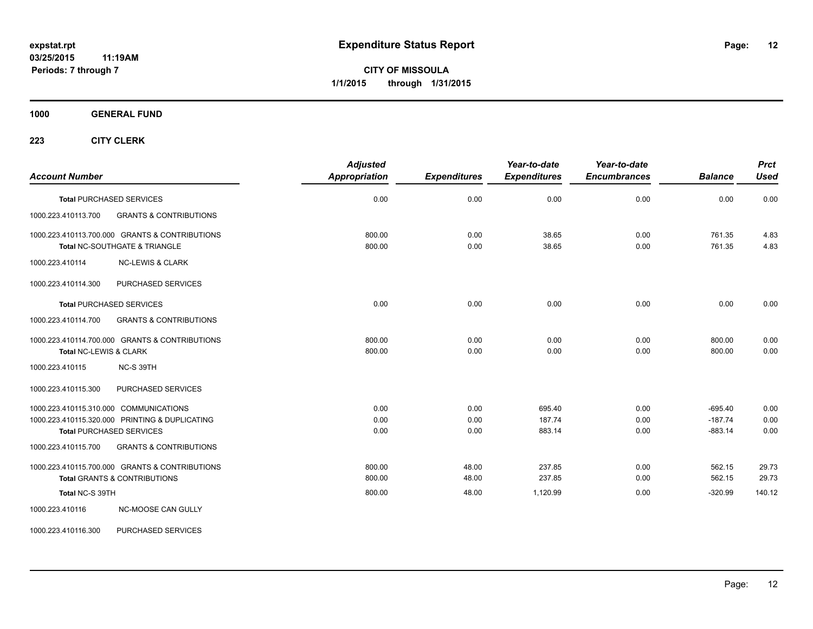**CITY OF MISSOULA 1/1/2015 through 1/31/2015**

**1000 GENERAL FUND**

**223 CITY CLERK**

| <b>Account Number</b>                                                                                                       | <b>Adjusted</b><br><b>Appropriation</b> | <b>Expenditures</b>  | Year-to-date<br><b>Expenditures</b> | Year-to-date<br><b>Encumbrances</b> | <b>Balance</b>                      | <b>Prct</b><br><b>Used</b> |
|-----------------------------------------------------------------------------------------------------------------------------|-----------------------------------------|----------------------|-------------------------------------|-------------------------------------|-------------------------------------|----------------------------|
| <b>Total PURCHASED SERVICES</b>                                                                                             | 0.00                                    | 0.00                 | 0.00                                | 0.00                                | 0.00                                | 0.00                       |
| 1000.223.410113.700<br><b>GRANTS &amp; CONTRIBUTIONS</b>                                                                    |                                         |                      |                                     |                                     |                                     |                            |
| 1000.223.410113.700.000 GRANTS & CONTRIBUTIONS<br>Total NC-SOUTHGATE & TRIANGLE                                             | 800.00<br>800.00                        | 0.00<br>0.00         | 38.65<br>38.65                      | 0.00<br>0.00                        | 761.35<br>761.35                    | 4.83<br>4.83               |
| 1000.223.410114<br><b>NC-LEWIS &amp; CLARK</b>                                                                              |                                         |                      |                                     |                                     |                                     |                            |
| PURCHASED SERVICES<br>1000.223.410114.300                                                                                   |                                         |                      |                                     |                                     |                                     |                            |
| <b>Total PURCHASED SERVICES</b>                                                                                             | 0.00                                    | 0.00                 | 0.00                                | 0.00                                | 0.00                                | 0.00                       |
| 1000.223.410114.700<br><b>GRANTS &amp; CONTRIBUTIONS</b>                                                                    |                                         |                      |                                     |                                     |                                     |                            |
| 1000.223.410114.700.000 GRANTS & CONTRIBUTIONS<br>Total NC-LEWIS & CLARK                                                    | 800.00<br>800.00                        | 0.00<br>0.00         | 0.00<br>0.00                        | 0.00<br>0.00                        | 800.00<br>800.00                    | 0.00<br>0.00               |
| 1000.223.410115<br>NC-S 39TH                                                                                                |                                         |                      |                                     |                                     |                                     |                            |
| 1000.223.410115.300<br>PURCHASED SERVICES                                                                                   |                                         |                      |                                     |                                     |                                     |                            |
| 1000.223.410115.310.000 COMMUNICATIONS<br>1000.223.410115.320.000 PRINTING & DUPLICATING<br><b>Total PURCHASED SERVICES</b> | 0.00<br>0.00<br>0.00                    | 0.00<br>0.00<br>0.00 | 695.40<br>187.74<br>883.14          | 0.00<br>0.00<br>0.00                | $-695.40$<br>$-187.74$<br>$-883.14$ | 0.00<br>0.00<br>0.00       |
| 1000.223.410115.700<br><b>GRANTS &amp; CONTRIBUTIONS</b>                                                                    |                                         |                      |                                     |                                     |                                     |                            |
| 1000.223.410115.700.000 GRANTS & CONTRIBUTIONS<br><b>Total GRANTS &amp; CONTRIBUTIONS</b>                                   | 800.00<br>800.00                        | 48.00<br>48.00       | 237.85<br>237.85                    | 0.00<br>0.00                        | 562.15<br>562.15                    | 29.73<br>29.73             |
| Total NC-S 39TH                                                                                                             | 800.00                                  | 48.00                | 1,120.99                            | 0.00                                | $-320.99$                           | 140.12                     |
| NC-MOOSE CAN GULLY<br>1000.223.410116                                                                                       |                                         |                      |                                     |                                     |                                     |                            |

1000.223.410116.300 PURCHASED SERVICES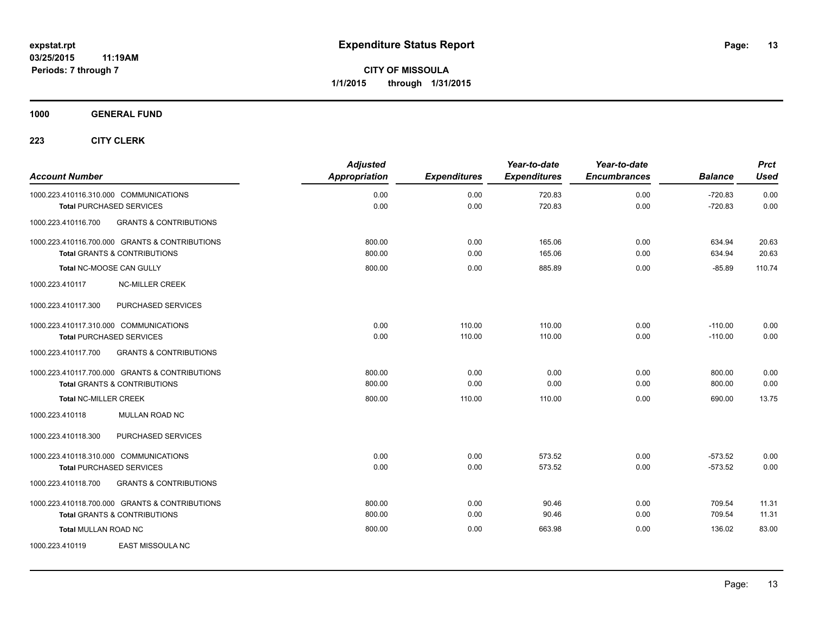**1000 GENERAL FUND**

| <b>Account Number</b>                                                     |                                                                                           | <b>Adjusted</b><br>Appropriation | <b>Expenditures</b> | Year-to-date<br><b>Expenditures</b> | Year-to-date<br><b>Encumbrances</b> | <b>Balance</b>         | <b>Prct</b><br><b>Used</b> |
|---------------------------------------------------------------------------|-------------------------------------------------------------------------------------------|----------------------------------|---------------------|-------------------------------------|-------------------------------------|------------------------|----------------------------|
| 1000.223.410116.310.000 COMMUNICATIONS<br><b>Total PURCHASED SERVICES</b> |                                                                                           | 0.00<br>0.00                     | 0.00<br>0.00        | 720.83<br>720.83                    | 0.00<br>0.00                        | $-720.83$<br>$-720.83$ | 0.00<br>0.00               |
| 1000.223.410116.700                                                       | <b>GRANTS &amp; CONTRIBUTIONS</b>                                                         |                                  |                     |                                     |                                     |                        |                            |
|                                                                           | 1000.223.410116.700.000 GRANTS & CONTRIBUTIONS<br><b>Total GRANTS &amp; CONTRIBUTIONS</b> | 800.00<br>800.00                 | 0.00<br>0.00        | 165.06<br>165.06                    | 0.00<br>0.00                        | 634.94<br>634.94       | 20.63<br>20.63             |
| <b>Total NC-MOOSE CAN GULLY</b>                                           |                                                                                           | 800.00                           | 0.00                | 885.89                              | 0.00                                | $-85.89$               | 110.74                     |
| 1000.223.410117                                                           | <b>NC-MILLER CREEK</b>                                                                    |                                  |                     |                                     |                                     |                        |                            |
| 1000.223.410117.300                                                       | <b>PURCHASED SERVICES</b>                                                                 |                                  |                     |                                     |                                     |                        |                            |
| 1000.223.410117.310.000 COMMUNICATIONS<br><b>Total PURCHASED SERVICES</b> |                                                                                           | 0.00<br>0.00                     | 110.00<br>110.00    | 110.00<br>110.00                    | 0.00<br>0.00                        | $-110.00$<br>$-110.00$ | 0.00<br>0.00               |
| 1000.223.410117.700                                                       | <b>GRANTS &amp; CONTRIBUTIONS</b>                                                         |                                  |                     |                                     |                                     |                        |                            |
|                                                                           | 1000.223.410117.700.000 GRANTS & CONTRIBUTIONS<br><b>Total GRANTS &amp; CONTRIBUTIONS</b> | 800.00<br>800.00                 | 0.00<br>0.00        | 0.00<br>0.00                        | 0.00<br>0.00                        | 800.00<br>800.00       | 0.00<br>0.00               |
| <b>Total NC-MILLER CREEK</b>                                              |                                                                                           | 800.00                           | 110.00              | 110.00                              | 0.00                                | 690.00                 | 13.75                      |
| 1000.223.410118                                                           | <b>MULLAN ROAD NC</b>                                                                     |                                  |                     |                                     |                                     |                        |                            |
| 1000.223.410118.300                                                       | PURCHASED SERVICES                                                                        |                                  |                     |                                     |                                     |                        |                            |
| 1000.223.410118.310.000 COMMUNICATIONS<br><b>Total PURCHASED SERVICES</b> |                                                                                           | 0.00<br>0.00                     | 0.00<br>0.00        | 573.52<br>573.52                    | 0.00<br>0.00                        | $-573.52$<br>$-573.52$ | 0.00<br>0.00               |
| 1000.223.410118.700                                                       | <b>GRANTS &amp; CONTRIBUTIONS</b>                                                         |                                  |                     |                                     |                                     |                        |                            |
|                                                                           | 1000.223.410118.700.000 GRANTS & CONTRIBUTIONS<br><b>Total GRANTS &amp; CONTRIBUTIONS</b> | 800.00<br>800.00                 | 0.00<br>0.00        | 90.46<br>90.46                      | 0.00<br>0.00                        | 709.54<br>709.54       | 11.31<br>11.31             |
| <b>Total MULLAN ROAD NC</b>                                               |                                                                                           | 800.00                           | 0.00                | 663.98                              | 0.00                                | 136.02                 | 83.00                      |
| 1000.223.410119                                                           | <b>EAST MISSOULA NC</b>                                                                   |                                  |                     |                                     |                                     |                        |                            |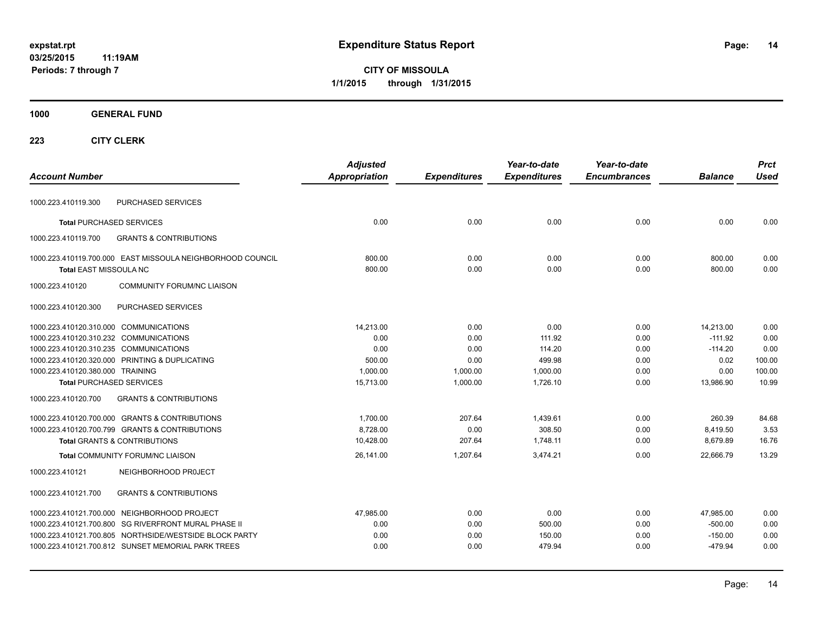**CITY OF MISSOULA 1/1/2015 through 1/31/2015**

**1000 GENERAL FUND**

| <b>Account Number</b>                                                                       | <b>Adjusted</b><br><b>Appropriation</b> | <b>Expenditures</b> | Year-to-date<br><b>Expenditures</b> | Year-to-date<br><b>Encumbrances</b> | <b>Balance</b>   | <b>Prct</b><br><b>Used</b> |
|---------------------------------------------------------------------------------------------|-----------------------------------------|---------------------|-------------------------------------|-------------------------------------|------------------|----------------------------|
| PURCHASED SERVICES<br>1000.223.410119.300                                                   |                                         |                     |                                     |                                     |                  |                            |
| <b>Total PURCHASED SERVICES</b>                                                             | 0.00                                    | 0.00                | 0.00                                | 0.00                                | 0.00             | 0.00                       |
| 1000.223.410119.700<br><b>GRANTS &amp; CONTRIBUTIONS</b>                                    |                                         |                     |                                     |                                     |                  |                            |
| 1000.223.410119.700.000 EAST MISSOULA NEIGHBORHOOD COUNCIL<br><b>Total EAST MISSOULA NC</b> | 800.00<br>800.00                        | 0.00<br>0.00        | 0.00<br>0.00                        | 0.00<br>0.00                        | 800.00<br>800.00 | 0.00<br>0.00               |
| <b>COMMUNITY FORUM/NC LIAISON</b><br>1000.223.410120                                        |                                         |                     |                                     |                                     |                  |                            |
| PURCHASED SERVICES<br>1000.223.410120.300                                                   |                                         |                     |                                     |                                     |                  |                            |
| 1000.223.410120.310.000 COMMUNICATIONS                                                      | 14,213.00                               | 0.00                | 0.00                                | 0.00                                | 14,213.00        | 0.00                       |
| 1000.223.410120.310.232 COMMUNICATIONS                                                      | 0.00                                    | 0.00                | 111.92                              | 0.00                                | $-111.92$        | 0.00                       |
| 1000.223.410120.310.235 COMMUNICATIONS                                                      | 0.00                                    | 0.00                | 114.20                              | 0.00                                | $-114.20$        | 0.00                       |
| 1000.223.410120.320.000 PRINTING & DUPLICATING                                              | 500.00                                  | 0.00                | 499.98                              | 0.00                                | 0.02             | 100.00                     |
| 1000.223.410120.380.000 TRAINING                                                            | 1,000.00                                | 1,000.00            | 1,000.00                            | 0.00                                | 0.00             | 100.00                     |
| <b>Total PURCHASED SERVICES</b>                                                             | 15,713.00                               | 1,000.00            | 1,726.10                            | 0.00                                | 13,986.90        | 10.99                      |
| <b>GRANTS &amp; CONTRIBUTIONS</b><br>1000.223.410120.700                                    |                                         |                     |                                     |                                     |                  |                            |
| 1000.223.410120.700.000 GRANTS & CONTRIBUTIONS                                              | 1,700.00                                | 207.64              | 1,439.61                            | 0.00                                | 260.39           | 84.68                      |
| 1000.223.410120.700.799 GRANTS & CONTRIBUTIONS                                              | 8,728.00                                | 0.00                | 308.50                              | 0.00                                | 8,419.50         | 3.53                       |
| <b>Total GRANTS &amp; CONTRIBUTIONS</b>                                                     | 10,428.00                               | 207.64              | 1,748.11                            | 0.00                                | 8,679.89         | 16.76                      |
| <b>Total COMMUNITY FORUM/NC LIAISON</b>                                                     | 26,141.00                               | 1,207.64            | 3,474.21                            | 0.00                                | 22.666.79        | 13.29                      |
| 1000.223.410121<br>NEIGHBORHOOD PROJECT                                                     |                                         |                     |                                     |                                     |                  |                            |
| <b>GRANTS &amp; CONTRIBUTIONS</b><br>1000.223.410121.700                                    |                                         |                     |                                     |                                     |                  |                            |
| 1000.223.410121.700.000 NEIGHBORHOOD PROJECT                                                | 47,985.00                               | 0.00                | 0.00                                | 0.00                                | 47,985.00        | 0.00                       |
| 1000.223.410121.700.800 SG RIVERFRONT MURAL PHASE II                                        | 0.00                                    | 0.00                | 500.00                              | 0.00                                | $-500.00$        | 0.00                       |
| 1000.223.410121.700.805 NORTHSIDE/WESTSIDE BLOCK PARTY                                      | 0.00                                    | 0.00                | 150.00                              | 0.00                                | $-150.00$        | 0.00                       |
| 1000.223.410121.700.812 SUNSET MEMORIAL PARK TREES                                          | 0.00                                    | 0.00                | 479.94                              | 0.00                                | $-479.94$        | 0.00                       |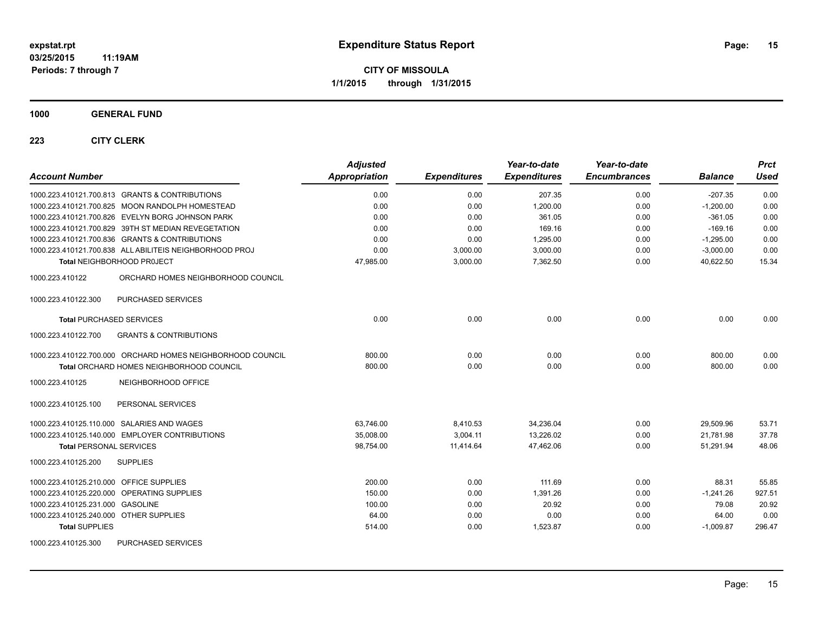**1000 GENERAL FUND**

| <b>Account Number</b>                                      | <b>Adjusted</b><br><b>Appropriation</b> | <b>Expenditures</b> | Year-to-date<br><b>Expenditures</b> | Year-to-date<br><b>Encumbrances</b> | <b>Balance</b> | <b>Prct</b><br><b>Used</b> |
|------------------------------------------------------------|-----------------------------------------|---------------------|-------------------------------------|-------------------------------------|----------------|----------------------------|
| 1000.223.410121.700.813 GRANTS & CONTRIBUTIONS             | 0.00                                    | 0.00                | 207.35                              | 0.00                                | $-207.35$      | 0.00                       |
| 1000.223.410121.700.825 MOON RANDOLPH HOMESTEAD            | 0.00                                    | 0.00                | 1.200.00                            | 0.00                                | $-1,200.00$    | 0.00                       |
| 1000.223.410121.700.826 EVELYN BORG JOHNSON PARK           | 0.00                                    | 0.00                | 361.05                              | 0.00                                | $-361.05$      | 0.00                       |
| 1000.223.410121.700.829 39TH ST MEDIAN REVEGETATION        | 0.00                                    | 0.00                | 169.16                              | 0.00                                | $-169.16$      | 0.00                       |
| 1000.223.410121.700.836 GRANTS & CONTRIBUTIONS             | 0.00                                    | 0.00                | 1.295.00                            | 0.00                                | $-1,295.00$    | 0.00                       |
| 1000.223.410121.700.838 ALL ABILITEIS NEIGHBORHOOD PROJ    | 0.00                                    | 3,000.00            | 3,000.00                            | 0.00                                | $-3,000.00$    | 0.00                       |
| <b>Total NEIGHBORHOOD PROJECT</b>                          | 47,985.00                               | 3,000.00            | 7,362.50                            | 0.00                                | 40,622.50      | 15.34                      |
| 1000.223.410122<br>ORCHARD HOMES NEIGHBORHOOD COUNCIL      |                                         |                     |                                     |                                     |                |                            |
| PURCHASED SERVICES<br>1000.223.410122.300                  |                                         |                     |                                     |                                     |                |                            |
| <b>Total PURCHASED SERVICES</b>                            | 0.00                                    | 0.00                | 0.00                                | 0.00                                | 0.00           | 0.00                       |
| <b>GRANTS &amp; CONTRIBUTIONS</b><br>1000.223.410122.700   |                                         |                     |                                     |                                     |                |                            |
| 1000.223.410122.700.000 ORCHARD HOMES NEIGHBORHOOD COUNCIL | 800.00                                  | 0.00                | 0.00                                | 0.00                                | 800.00         | 0.00                       |
| <b>Total ORCHARD HOMES NEIGHBORHOOD COUNCIL</b>            | 800.00                                  | 0.00                | 0.00                                | 0.00                                | 800.00         | 0.00                       |
| 1000.223.410125<br>NEIGHBORHOOD OFFICE                     |                                         |                     |                                     |                                     |                |                            |
| PERSONAL SERVICES<br>1000.223.410125.100                   |                                         |                     |                                     |                                     |                |                            |
| 1000.223.410125.110.000 SALARIES AND WAGES                 | 63,746.00                               | 8,410.53            | 34,236.04                           | 0.00                                | 29,509.96      | 53.71                      |
| 1000.223.410125.140.000 EMPLOYER CONTRIBUTIONS             | 35,008.00                               | 3.004.11            | 13.226.02                           | 0.00                                | 21,781.98      | 37.78                      |
| <b>Total PERSONAL SERVICES</b>                             | 98,754.00                               | 11,414.64           | 47,462.06                           | 0.00                                | 51,291.94      | 48.06                      |
| 1000.223.410125.200<br><b>SUPPLIES</b>                     |                                         |                     |                                     |                                     |                |                            |
| 1000.223.410125.210.000 OFFICE SUPPLIES                    | 200.00                                  | 0.00                | 111.69                              | 0.00                                | 88.31          | 55.85                      |
| 1000.223.410125.220.000 OPERATING SUPPLIES                 | 150.00                                  | 0.00                | 1,391.26                            | 0.00                                | $-1,241.26$    | 927.51                     |
| 1000.223.410125.231.000 GASOLINE                           | 100.00                                  | 0.00                | 20.92                               | 0.00                                | 79.08          | 20.92                      |
| 1000.223.410125.240.000 OTHER SUPPLIES                     | 64.00                                   | 0.00                | 0.00                                | 0.00                                | 64.00          | 0.00                       |
| <b>Total SUPPLIES</b>                                      | 514.00                                  | 0.00                | 1,523.87                            | 0.00                                | $-1,009.87$    | 296.47                     |
| 1000.223.410125.300<br>PURCHASED SERVICES                  |                                         |                     |                                     |                                     |                |                            |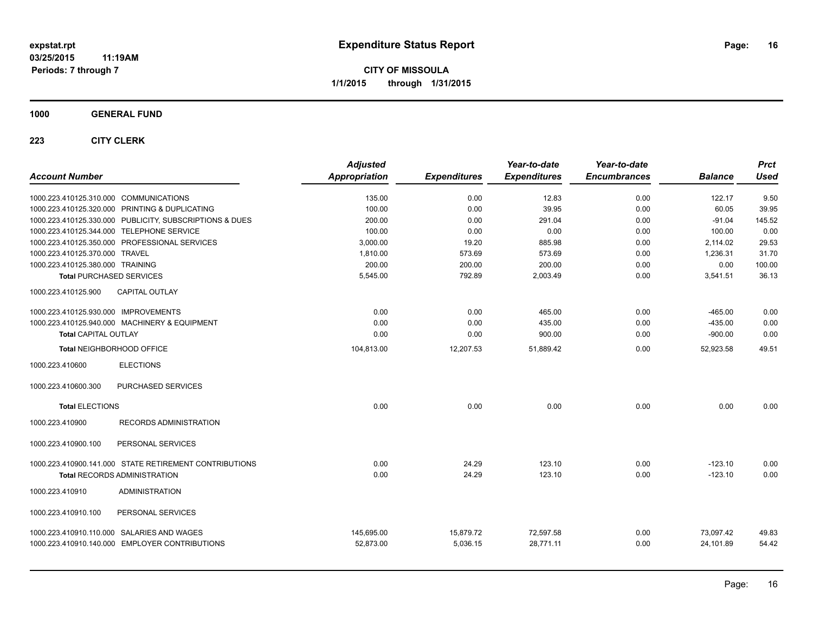### **1000 GENERAL FUND**

| <b>Account Number</b>                          |                                                         | <b>Adjusted</b><br><b>Appropriation</b> | <b>Expenditures</b> | Year-to-date<br><b>Expenditures</b> | Year-to-date<br><b>Encumbrances</b> | <b>Balance</b> | <b>Prct</b><br><b>Used</b> |
|------------------------------------------------|---------------------------------------------------------|-----------------------------------------|---------------------|-------------------------------------|-------------------------------------|----------------|----------------------------|
| 1000.223.410125.310.000 COMMUNICATIONS         |                                                         | 135.00                                  | 0.00                | 12.83                               | 0.00                                | 122.17         | 9.50                       |
| 1000.223.410125.320.000 PRINTING & DUPLICATING |                                                         | 100.00                                  | 0.00                | 39.95                               | 0.00                                | 60.05          | 39.95                      |
|                                                | 1000.223.410125.330.000 PUBLICITY, SUBSCRIPTIONS & DUES | 200.00                                  | 0.00                | 291.04                              | 0.00                                | $-91.04$       | 145.52                     |
| 1000.223.410125.344.000 TELEPHONE SERVICE      |                                                         | 100.00                                  | 0.00                | 0.00                                | 0.00                                | 100.00         | 0.00                       |
| 1000.223.410125.350.000 PROFESSIONAL SERVICES  |                                                         | 3,000.00                                | 19.20               | 885.98                              | 0.00                                | 2,114.02       | 29.53                      |
| 1000.223.410125.370.000 TRAVEL                 |                                                         | 1,810.00                                | 573.69              | 573.69                              | 0.00                                | 1,236.31       | 31.70                      |
| 1000.223.410125.380.000 TRAINING               |                                                         | 200.00                                  | 200.00              | 200.00                              | 0.00                                | 0.00           | 100.00                     |
| <b>Total PURCHASED SERVICES</b>                |                                                         | 5,545.00                                | 792.89              | 2,003.49                            | 0.00                                | 3,541.51       | 36.13                      |
| 1000.223.410125.900                            | <b>CAPITAL OUTLAY</b>                                   |                                         |                     |                                     |                                     |                |                            |
| 1000.223.410125.930.000 IMPROVEMENTS           |                                                         | 0.00                                    | 0.00                | 465.00                              | 0.00                                | $-465.00$      | 0.00                       |
| 1000.223.410125.940.000 MACHINERY & EQUIPMENT  |                                                         | 0.00                                    | 0.00                | 435.00                              | 0.00                                | $-435.00$      | 0.00                       |
| Total CAPITAL OUTLAY                           |                                                         | 0.00                                    | 0.00                | 900.00                              | 0.00                                | $-900.00$      | 0.00                       |
| Total NEIGHBORHOOD OFFICE                      |                                                         | 104,813.00                              | 12,207.53           | 51,889.42                           | 0.00                                | 52,923.58      | 49.51                      |
| 1000.223.410600                                | <b>ELECTIONS</b>                                        |                                         |                     |                                     |                                     |                |                            |
| 1000.223.410600.300                            | PURCHASED SERVICES                                      |                                         |                     |                                     |                                     |                |                            |
| <b>Total ELECTIONS</b>                         |                                                         | 0.00                                    | 0.00                | 0.00                                | 0.00                                | 0.00           | 0.00                       |
| 1000.223.410900                                | RECORDS ADMINISTRATION                                  |                                         |                     |                                     |                                     |                |                            |
| 1000.223.410900.100                            | PERSONAL SERVICES                                       |                                         |                     |                                     |                                     |                |                            |
|                                                | 1000.223.410900.141.000 STATE RETIREMENT CONTRIBUTIONS  | 0.00                                    | 24.29               | 123.10                              | 0.00                                | $-123.10$      | 0.00                       |
| <b>Total RECORDS ADMINISTRATION</b>            |                                                         | 0.00                                    | 24.29               | 123.10                              | 0.00                                | $-123.10$      | 0.00                       |
| 1000.223.410910                                | <b>ADMINISTRATION</b>                                   |                                         |                     |                                     |                                     |                |                            |
| 1000.223.410910.100                            | PERSONAL SERVICES                                       |                                         |                     |                                     |                                     |                |                            |
| 1000.223.410910.110.000 SALARIES AND WAGES     |                                                         | 145,695.00                              | 15,879.72           | 72,597.58                           | 0.00                                | 73,097.42      | 49.83                      |
| 1000.223.410910.140.000 EMPLOYER CONTRIBUTIONS |                                                         | 52,873.00                               | 5,036.15            | 28,771.11                           | 0.00                                | 24,101.89      | 54.42                      |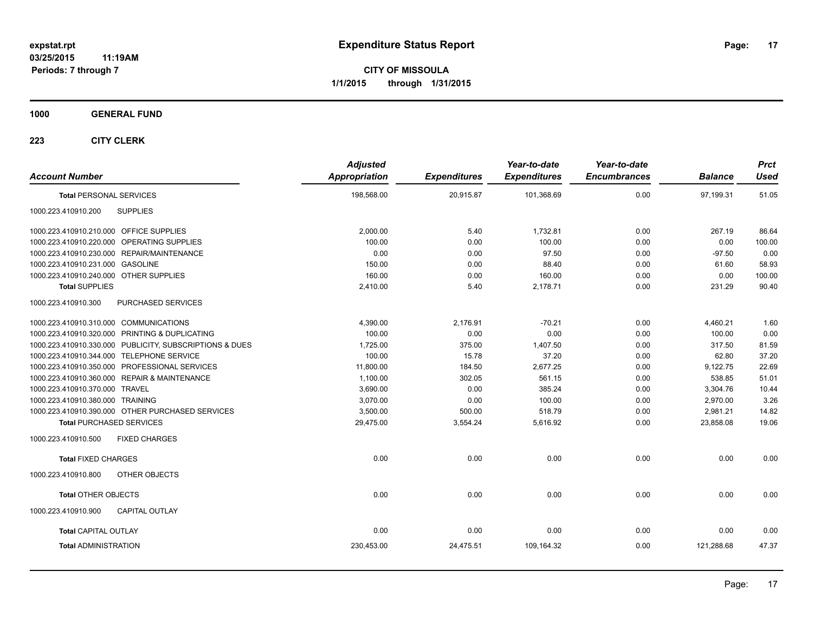**CITY OF MISSOULA 1/1/2015 through 1/31/2015**

### **1000 GENERAL FUND**

| <b>Account Number</b>                                   | <b>Adjusted</b><br>Appropriation | <b>Expenditures</b> | Year-to-date<br><b>Expenditures</b> | Year-to-date<br><b>Encumbrances</b> | <b>Balance</b> | <b>Prct</b><br><b>Used</b> |
|---------------------------------------------------------|----------------------------------|---------------------|-------------------------------------|-------------------------------------|----------------|----------------------------|
| <b>Total PERSONAL SERVICES</b>                          | 198,568.00                       | 20,915.87           | 101,368.69                          | 0.00                                | 97,199.31      | 51.05                      |
| <b>SUPPLIES</b><br>1000.223.410910.200                  |                                  |                     |                                     |                                     |                |                            |
| 1000.223.410910.210.000 OFFICE SUPPLIES                 | 2,000.00                         | 5.40                | 1,732.81                            | 0.00                                | 267.19         | 86.64                      |
| 1000.223.410910.220.000 OPERATING SUPPLIES              | 100.00                           | 0.00                | 100.00                              | 0.00                                | 0.00           | 100.00                     |
| 1000.223.410910.230.000 REPAIR/MAINTENANCE              | 0.00                             | 0.00                | 97.50                               | 0.00                                | $-97.50$       | 0.00                       |
| 1000.223.410910.231.000 GASOLINE                        | 150.00                           | 0.00                | 88.40                               | 0.00                                | 61.60          | 58.93                      |
| 1000.223.410910.240.000 OTHER SUPPLIES                  | 160.00                           | 0.00                | 160.00                              | 0.00                                | 0.00           | 100.00                     |
| <b>Total SUPPLIES</b>                                   | 2,410.00                         | 5.40                | 2,178.71                            | 0.00                                | 231.29         | 90.40                      |
| <b>PURCHASED SERVICES</b><br>1000.223.410910.300        |                                  |                     |                                     |                                     |                |                            |
| 1000.223.410910.310.000 COMMUNICATIONS                  | 4.390.00                         | 2,176.91            | $-70.21$                            | 0.00                                | 4,460.21       | 1.60                       |
| 1000.223.410910.320.000 PRINTING & DUPLICATING          | 100.00                           | 0.00                | 0.00                                | 0.00                                | 100.00         | 0.00                       |
| 1000.223.410910.330.000 PUBLICITY, SUBSCRIPTIONS & DUES | 1,725.00                         | 375.00              | 1,407.50                            | 0.00                                | 317.50         | 81.59                      |
| 1000.223.410910.344.000 TELEPHONE SERVICE               | 100.00                           | 15.78               | 37.20                               | 0.00                                | 62.80          | 37.20                      |
| 1000.223.410910.350.000 PROFESSIONAL SERVICES           | 11,800.00                        | 184.50              | 2,677.25                            | 0.00                                | 9,122.75       | 22.69                      |
| 1000.223.410910.360.000 REPAIR & MAINTENANCE            | 1,100.00                         | 302.05              | 561.15                              | 0.00                                | 538.85         | 51.01                      |
| 1000.223.410910.370.000 TRAVEL                          | 3,690.00                         | 0.00                | 385.24                              | 0.00                                | 3,304.76       | 10.44                      |
| 1000.223.410910.380.000 TRAINING                        | 3.070.00                         | 0.00                | 100.00                              | 0.00                                | 2,970.00       | 3.26                       |
| 1000.223.410910.390.000 OTHER PURCHASED SERVICES        | 3,500.00                         | 500.00              | 518.79                              | 0.00                                | 2,981.21       | 14.82                      |
| <b>Total PURCHASED SERVICES</b>                         | 29,475.00                        | 3,554.24            | 5,616.92                            | 0.00                                | 23,858.08      | 19.06                      |
| 1000.223.410910.500<br><b>FIXED CHARGES</b>             |                                  |                     |                                     |                                     |                |                            |
| <b>Total FIXED CHARGES</b>                              | 0.00                             | 0.00                | 0.00                                | 0.00                                | 0.00           | 0.00                       |
| 1000.223.410910.800<br>OTHER OBJECTS                    |                                  |                     |                                     |                                     |                |                            |
| <b>Total OTHER OBJECTS</b>                              | 0.00                             | 0.00                | 0.00                                | 0.00                                | 0.00           | 0.00                       |
| <b>CAPITAL OUTLAY</b><br>1000.223.410910.900            |                                  |                     |                                     |                                     |                |                            |
| <b>Total CAPITAL OUTLAY</b>                             | 0.00                             | 0.00                | 0.00                                | 0.00                                | 0.00           | 0.00                       |
| <b>Total ADMINISTRATION</b>                             | 230.453.00                       | 24,475.51           | 109.164.32                          | 0.00                                | 121.288.68     | 47.37                      |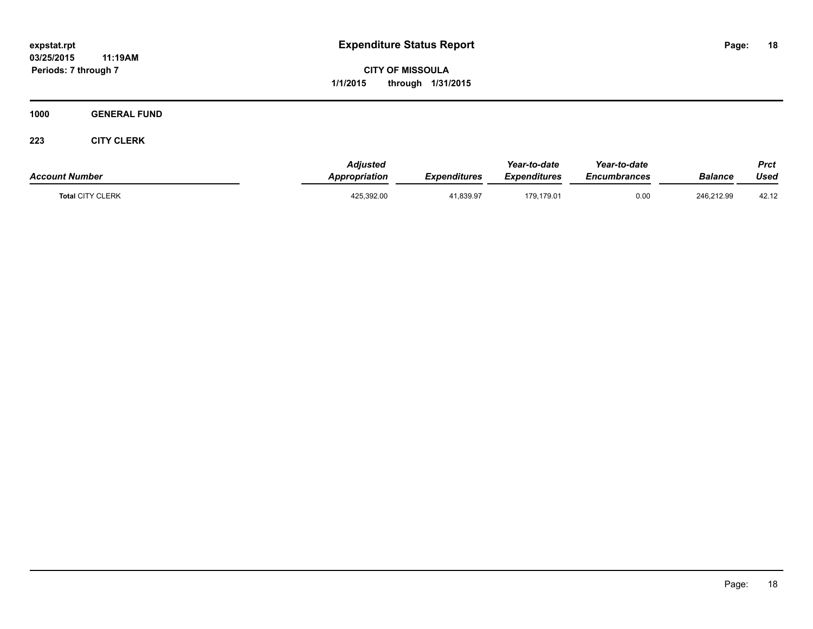**CITY OF MISSOULA 1/1/2015 through 1/31/2015**

**1000 GENERAL FUND**

| <b>Account Number</b>   | <b>Adjusted</b><br>Appropriation | Expenditures | Year-to-date<br><b>Expenditures</b> | Year-to-date<br>Encumbrances | <b>Balance</b> | Prct<br>Used |
|-------------------------|----------------------------------|--------------|-------------------------------------|------------------------------|----------------|--------------|
| <b>Total CITY CLERK</b> | 425,392.00                       | 41,839.97    | 179,179.01                          | 0.00                         | 246,212.99     | 42.12        |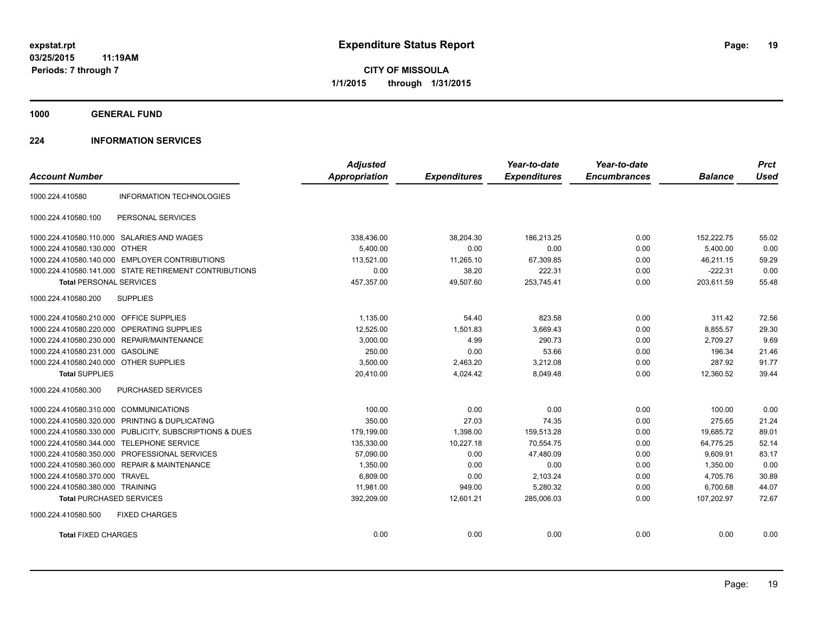**1000 GENERAL FUND**

### **224 INFORMATION SERVICES**

|                                         |                                                         | <b>Adjusted</b>      |                     | Year-to-date        | Year-to-date        |                | <b>Prct</b> |
|-----------------------------------------|---------------------------------------------------------|----------------------|---------------------|---------------------|---------------------|----------------|-------------|
| <b>Account Number</b>                   |                                                         | <b>Appropriation</b> | <b>Expenditures</b> | <b>Expenditures</b> | <b>Encumbrances</b> | <b>Balance</b> | <b>Used</b> |
| 1000.224.410580                         | <b>INFORMATION TECHNOLOGIES</b>                         |                      |                     |                     |                     |                |             |
| 1000.224.410580.100                     | PERSONAL SERVICES                                       |                      |                     |                     |                     |                |             |
|                                         | 1000.224.410580.110.000 SALARIES AND WAGES              | 338,436.00           | 38,204.30           | 186.213.25          | 0.00                | 152,222.75     | 55.02       |
| 1000.224.410580.130.000 OTHER           |                                                         | 5.400.00             | 0.00                | 0.00                | 0.00                | 5.400.00       | 0.00        |
|                                         | 1000.224.410580.140.000 EMPLOYER CONTRIBUTIONS          | 113,521.00           | 11,265.10           | 67,309.85           | 0.00                | 46,211.15      | 59.29       |
|                                         | 1000.224.410580.141.000 STATE RETIREMENT CONTRIBUTIONS  | 0.00                 | 38.20               | 222.31              | 0.00                | $-222.31$      | 0.00        |
| <b>Total PERSONAL SERVICES</b>          |                                                         | 457,357.00           | 49,507.60           | 253,745.41          | 0.00                | 203,611.59     | 55.48       |
| 1000.224.410580.200                     | <b>SUPPLIES</b>                                         |                      |                     |                     |                     |                |             |
| 1000.224.410580.210.000 OFFICE SUPPLIES |                                                         | 1,135.00             | 54.40               | 823.58              | 0.00                | 311.42         | 72.56       |
| 1000.224.410580.220.000                 | OPERATING SUPPLIES                                      | 12,525.00            | 1,501.83            | 3,669.43            | 0.00                | 8,855.57       | 29.30       |
|                                         | 1000.224.410580.230.000 REPAIR/MAINTENANCE              | 3,000.00             | 4.99                | 290.73              | 0.00                | 2,709.27       | 9.69        |
| 1000.224.410580.231.000 GASOLINE        |                                                         | 250.00               | 0.00                | 53.66               | 0.00                | 196.34         | 21.46       |
| 1000.224.410580.240.000 OTHER SUPPLIES  |                                                         | 3.500.00             | 2.463.20            | 3,212.08            | 0.00                | 287.92         | 91.77       |
| <b>Total SUPPLIES</b>                   |                                                         | 20,410.00            | 4,024.42            | 8,049.48            | 0.00                | 12,360.52      | 39.44       |
| 1000.224.410580.300                     | PURCHASED SERVICES                                      |                      |                     |                     |                     |                |             |
| 1000.224.410580.310.000                 | <b>COMMUNICATIONS</b>                                   | 100.00               | 0.00                | 0.00                | 0.00                | 100.00         | 0.00        |
| 1000.224.410580.320.000                 | PRINTING & DUPLICATING                                  | 350.00               | 27.03               | 74.35               | 0.00                | 275.65         | 21.24       |
|                                         | 1000.224.410580.330.000 PUBLICITY, SUBSCRIPTIONS & DUES | 179,199.00           | 1,398.00            | 159,513.28          | 0.00                | 19,685.72      | 89.01       |
| 1000.224.410580.344.000                 | <b>TELEPHONE SERVICE</b>                                | 135,330.00           | 10,227.18           | 70,554.75           | 0.00                | 64,775.25      | 52.14       |
|                                         | 1000.224.410580.350.000 PROFESSIONAL SERVICES           | 57,090.00            | 0.00                | 47,480.09           | 0.00                | 9,609.91       | 83.17       |
|                                         | 1000.224.410580.360.000 REPAIR & MAINTENANCE            | 1,350.00             | 0.00                | 0.00                | 0.00                | 1,350.00       | 0.00        |
| 1000.224.410580.370.000 TRAVEL          |                                                         | 6.809.00             | 0.00                | 2,103.24            | 0.00                | 4.705.76       | 30.89       |
| 1000.224.410580.380.000 TRAINING        |                                                         | 11,981.00            | 949.00              | 5,280.32            | 0.00                | 6,700.68       | 44.07       |
| <b>Total PURCHASED SERVICES</b>         |                                                         | 392,209.00           | 12,601.21           | 285,006.03          | 0.00                | 107,202.97     | 72.67       |
| 1000.224.410580.500                     | <b>FIXED CHARGES</b>                                    |                      |                     |                     |                     |                |             |
| <b>Total FIXED CHARGES</b>              |                                                         | 0.00                 | 0.00                | 0.00                | 0.00                | 0.00           | 0.00        |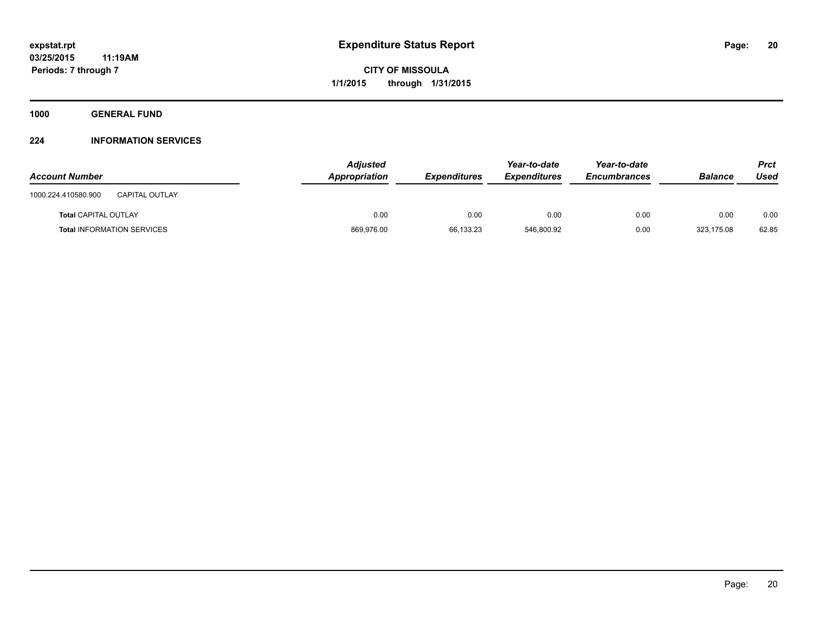**1000 GENERAL FUND**

### **224 INFORMATION SERVICES**

| <b>Account Number</b>                        | <b>Adjusted</b><br>Appropriation | <b>Expenditures</b> | Year-to-date<br><i><b>Expenditures</b></i> | Year-to-date<br>Encumbrances | <b>Balance</b> | Prct<br>Used |
|----------------------------------------------|----------------------------------|---------------------|--------------------------------------------|------------------------------|----------------|--------------|
| 1000.224.410580.900<br><b>CAPITAL OUTLAY</b> |                                  |                     |                                            |                              |                |              |
| <b>Total CAPITAL OUTLAY</b>                  | 0.00                             | 0.00                | 0.00                                       | 0.00                         | 0.00           | 0.00         |
| <b>Total INFORMATION SERVICES</b>            | 869,976.00                       | 66.133.23           | 546.800.92                                 | 0.00                         | 323.175.08     | 62.85        |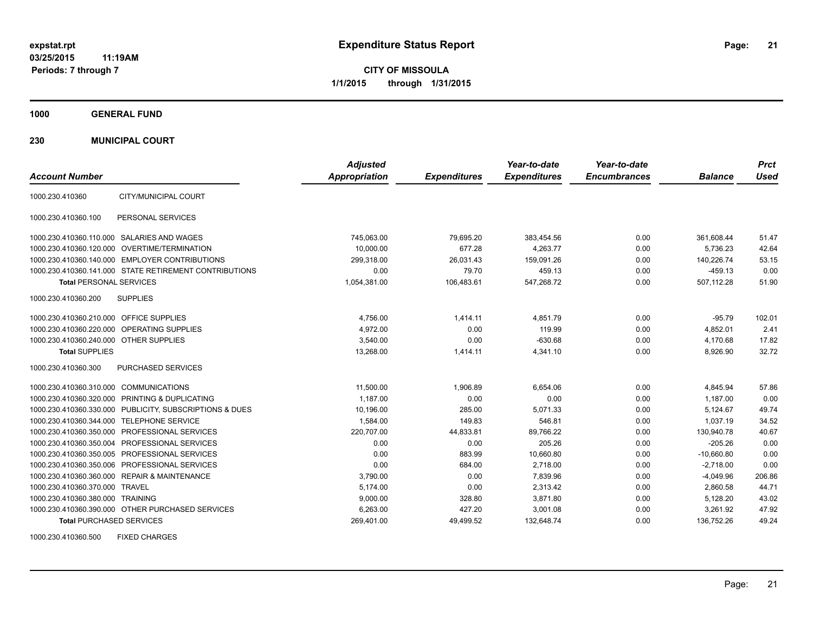**CITY OF MISSOULA 1/1/2015 through 1/31/2015**

**1000 GENERAL FUND**

**230 MUNICIPAL COURT**

| <b>Account Number</b>                   |                                                         | <b>Adjusted</b><br><b>Appropriation</b> | <b>Expenditures</b> | Year-to-date<br><b>Expenditures</b> | Year-to-date<br><b>Encumbrances</b> | <b>Balance</b> | <b>Prct</b><br><b>Used</b> |
|-----------------------------------------|---------------------------------------------------------|-----------------------------------------|---------------------|-------------------------------------|-------------------------------------|----------------|----------------------------|
| 1000.230.410360                         | CITY/MUNICIPAL COURT                                    |                                         |                     |                                     |                                     |                |                            |
| 1000.230.410360.100                     | PERSONAL SERVICES                                       |                                         |                     |                                     |                                     |                |                            |
|                                         | 1000.230.410360.110.000 SALARIES AND WAGES              | 745,063.00                              | 79,695.20           | 383,454.56                          | 0.00                                | 361,608.44     | 51.47                      |
|                                         | 1000.230.410360.120.000 OVERTIME/TERMINATION            | 10.000.00                               | 677.28              | 4.263.77                            | 0.00                                | 5.736.23       | 42.64                      |
|                                         | 1000.230.410360.140.000 EMPLOYER CONTRIBUTIONS          | 299,318.00                              | 26,031.43           | 159,091.26                          | 0.00                                | 140,226.74     | 53.15                      |
|                                         | 1000.230.410360.141.000 STATE RETIREMENT CONTRIBUTIONS  | 0.00                                    | 79.70               | 459.13                              | 0.00                                | $-459.13$      | 0.00                       |
| <b>Total PERSONAL SERVICES</b>          |                                                         | 1,054,381.00                            | 106,483.61          | 547,268.72                          | 0.00                                | 507,112.28     | 51.90                      |
| 1000.230.410360.200                     | <b>SUPPLIES</b>                                         |                                         |                     |                                     |                                     |                |                            |
| 1000.230.410360.210.000 OFFICE SUPPLIES |                                                         | 4,756.00                                | 1,414.11            | 4,851.79                            | 0.00                                | $-95.79$       | 102.01                     |
|                                         | 1000.230.410360.220.000 OPERATING SUPPLIES              | 4.972.00                                | 0.00                | 119.99                              | 0.00                                | 4,852.01       | 2.41                       |
| 1000.230.410360.240.000 OTHER SUPPLIES  |                                                         | 3.540.00                                | 0.00                | $-630.68$                           | 0.00                                | 4.170.68       | 17.82                      |
| <b>Total SUPPLIES</b>                   |                                                         | 13,268.00                               | 1,414.11            | 4,341.10                            | 0.00                                | 8,926.90       | 32.72                      |
| 1000.230.410360.300                     | PURCHASED SERVICES                                      |                                         |                     |                                     |                                     |                |                            |
| 1000.230.410360.310.000 COMMUNICATIONS  |                                                         | 11,500.00                               | 1,906.89            | 6,654.06                            | 0.00                                | 4,845.94       | 57.86                      |
|                                         | 1000.230.410360.320.000 PRINTING & DUPLICATING          | 1,187.00                                | 0.00                | 0.00                                | 0.00                                | 1,187.00       | 0.00                       |
|                                         | 1000.230.410360.330.000 PUBLICITY, SUBSCRIPTIONS & DUES | 10,196.00                               | 285.00              | 5,071.33                            | 0.00                                | 5,124.67       | 49.74                      |
|                                         | 1000.230.410360.344.000 TELEPHONE SERVICE               | 1,584.00                                | 149.83              | 546.81                              | 0.00                                | 1.037.19       | 34.52                      |
|                                         | 1000.230.410360.350.000 PROFESSIONAL SERVICES           | 220,707.00                              | 44,833.81           | 89,766.22                           | 0.00                                | 130,940.78     | 40.67                      |
|                                         | 1000.230.410360.350.004 PROFESSIONAL SERVICES           | 0.00                                    | 0.00                | 205.26                              | 0.00                                | $-205.26$      | 0.00                       |
|                                         | 1000.230.410360.350.005 PROFESSIONAL SERVICES           | 0.00                                    | 883.99              | 10,660.80                           | 0.00                                | $-10,660.80$   | 0.00                       |
|                                         | 1000.230.410360.350.006 PROFESSIONAL SERVICES           | 0.00                                    | 684.00              | 2.718.00                            | 0.00                                | $-2,718.00$    | 0.00                       |
|                                         | 1000.230.410360.360.000 REPAIR & MAINTENANCE            | 3,790.00                                | 0.00                | 7,839.96                            | 0.00                                | $-4,049.96$    | 206.86                     |
| 1000.230.410360.370.000 TRAVEL          |                                                         | 5.174.00                                | 0.00                | 2,313.42                            | 0.00                                | 2,860.58       | 44.71                      |
| 1000.230.410360.380.000 TRAINING        |                                                         | 9,000.00                                | 328.80              | 3,871.80                            | 0.00                                | 5,128.20       | 43.02                      |
|                                         | 1000.230.410360.390.000 OTHER PURCHASED SERVICES        | 6,263.00                                | 427.20              | 3,001.08                            | 0.00                                | 3,261.92       | 47.92                      |
| <b>Total PURCHASED SERVICES</b>         |                                                         | 269,401.00                              | 49,499.52           | 132,648.74                          | 0.00                                | 136,752.26     | 49.24                      |

1000.230.410360.500 FIXED CHARGES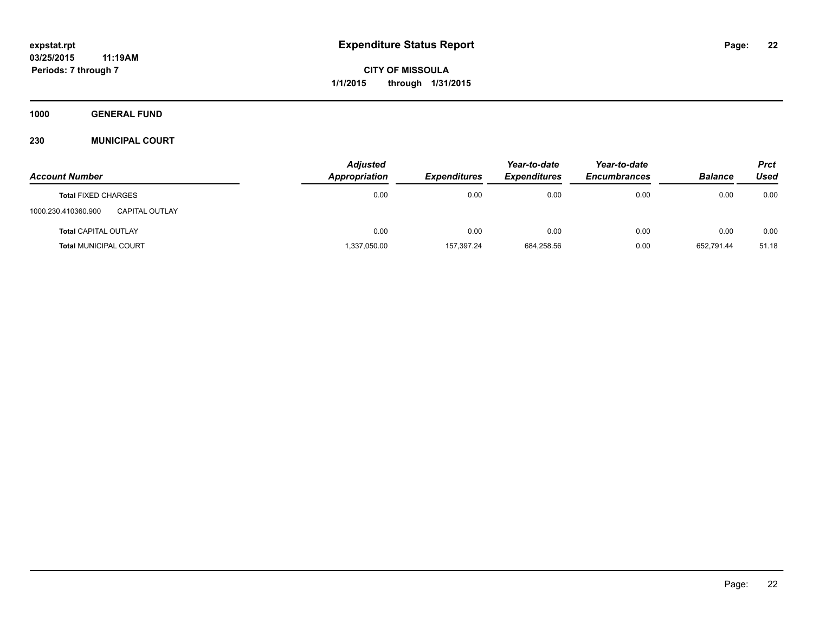**1000 GENERAL FUND**

### **230 MUNICIPAL COURT**

|                                       | <b>Adjusted</b> |                     | Year-to-date        | Year-to-date        |                | <b>Prct</b> |
|---------------------------------------|-----------------|---------------------|---------------------|---------------------|----------------|-------------|
| <b>Account Number</b>                 | Appropriation   | <b>Expenditures</b> | <b>Expenditures</b> | <b>Encumbrances</b> | <b>Balance</b> | Used        |
| <b>Total FIXED CHARGES</b>            | 0.00            | 0.00                | 0.00                | 0.00                | 0.00           | 0.00        |
| 1000.230.410360.900<br>CAPITAL OUTLAY |                 |                     |                     |                     |                |             |
| <b>Total CAPITAL OUTLAY</b>           | 0.00            | 0.00                | 0.00                | 0.00                | 0.00           | 0.00        |
| <b>Total MUNICIPAL COURT</b>          | 1,337,050.00    | 157.397.24          | 684,258.56          | 0.00                | 652.791.44     | 51.18       |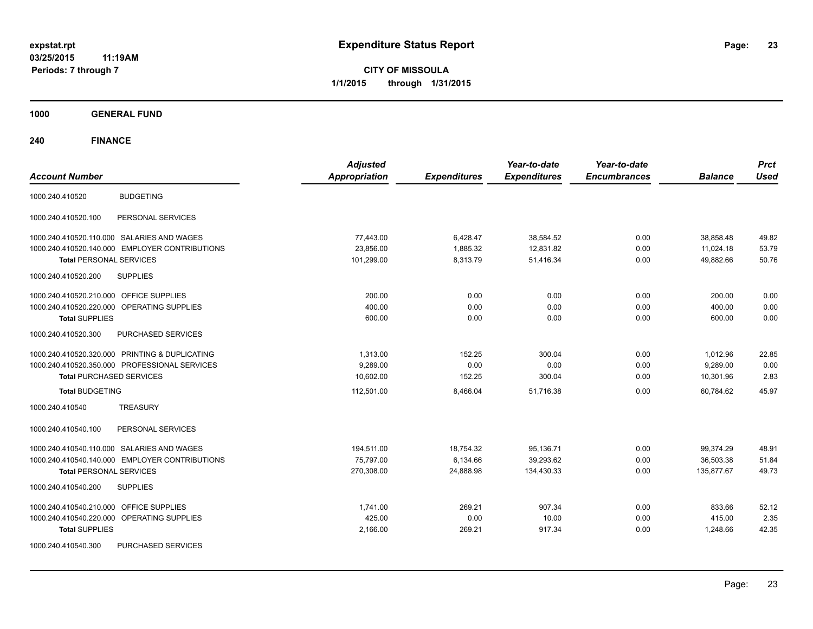**CITY OF MISSOULA 1/1/2015 through 1/31/2015**

**1000 GENERAL FUND**

| <b>Account Number</b>                             | <b>Adjusted</b><br><b>Appropriation</b> | <b>Expenditures</b> | Year-to-date<br><b>Expenditures</b> | Year-to-date<br><b>Encumbrances</b> | <b>Balance</b> | <b>Prct</b><br><b>Used</b> |
|---------------------------------------------------|-----------------------------------------|---------------------|-------------------------------------|-------------------------------------|----------------|----------------------------|
| <b>BUDGETING</b><br>1000.240.410520               |                                         |                     |                                     |                                     |                |                            |
| PERSONAL SERVICES<br>1000.240.410520.100          |                                         |                     |                                     |                                     |                |                            |
| 1000.240.410520.110.000 SALARIES AND WAGES        | 77,443.00                               | 6,428.47            | 38,584.52                           | 0.00                                | 38,858.48      | 49.82                      |
| 1000.240.410520.140.000 EMPLOYER CONTRIBUTIONS    | 23,856.00                               | 1,885.32            | 12,831.82                           | 0.00                                | 11,024.18      | 53.79                      |
| <b>Total PERSONAL SERVICES</b>                    | 101,299.00                              | 8,313.79            | 51,416.34                           | 0.00                                | 49.882.66      | 50.76                      |
| 1000.240.410520.200<br><b>SUPPLIES</b>            |                                         |                     |                                     |                                     |                |                            |
| OFFICE SUPPLIES<br>1000.240.410520.210.000        | 200.00                                  | 0.00                | 0.00                                | 0.00                                | 200.00         | 0.00                       |
| 1000.240.410520.220.000 OPERATING SUPPLIES        | 400.00                                  | 0.00                | 0.00                                | 0.00                                | 400.00         | 0.00                       |
| <b>Total SUPPLIES</b>                             | 600.00                                  | 0.00                | 0.00                                | 0.00                                | 600.00         | 0.00                       |
| PURCHASED SERVICES<br>1000.240.410520.300         |                                         |                     |                                     |                                     |                |                            |
| 1000.240.410520.320.000 PRINTING & DUPLICATING    | 1,313.00                                | 152.25              | 300.04                              | 0.00                                | 1,012.96       | 22.85                      |
| 1000.240.410520.350.000 PROFESSIONAL SERVICES     | 9.289.00                                | 0.00                | 0.00                                | 0.00                                | 9.289.00       | 0.00                       |
| <b>Total PURCHASED SERVICES</b>                   | 10,602.00                               | 152.25              | 300.04                              | 0.00                                | 10,301.96      | 2.83                       |
| <b>Total BUDGETING</b>                            | 112,501.00                              | 8,466.04            | 51,716.38                           | 0.00                                | 60.784.62      | 45.97                      |
| <b>TREASURY</b><br>1000.240.410540                |                                         |                     |                                     |                                     |                |                            |
| 1000.240.410540.100<br>PERSONAL SERVICES          |                                         |                     |                                     |                                     |                |                            |
| 1000.240.410540.110.000 SALARIES AND WAGES        | 194,511.00                              | 18,754.32           | 95,136.71                           | 0.00                                | 99,374.29      | 48.91                      |
| 1000.240.410540.140.000 EMPLOYER CONTRIBUTIONS    | 75,797.00                               | 6,134.66            | 39,293.62                           | 0.00                                | 36,503.38      | 51.84                      |
| <b>Total PERSONAL SERVICES</b>                    | 270,308.00                              | 24,888.98           | 134,430.33                          | 0.00                                | 135.877.67     | 49.73                      |
| <b>SUPPLIES</b><br>1000.240.410540.200            |                                         |                     |                                     |                                     |                |                            |
| 1000.240.410540.210.000<br><b>OFFICE SUPPLIES</b> | 1,741.00                                | 269.21              | 907.34                              | 0.00                                | 833.66         | 52.12                      |
| 1000.240.410540.220.000<br>OPERATING SUPPLIES     | 425.00                                  | 0.00                | 10.00                               | 0.00                                | 415.00         | 2.35                       |
| <b>Total SUPPLIES</b>                             | 2,166.00                                | 269.21              | 917.34                              | 0.00                                | 1,248.66       | 42.35                      |
| 1000.240.410540.300<br>PURCHASED SERVICES         |                                         |                     |                                     |                                     |                |                            |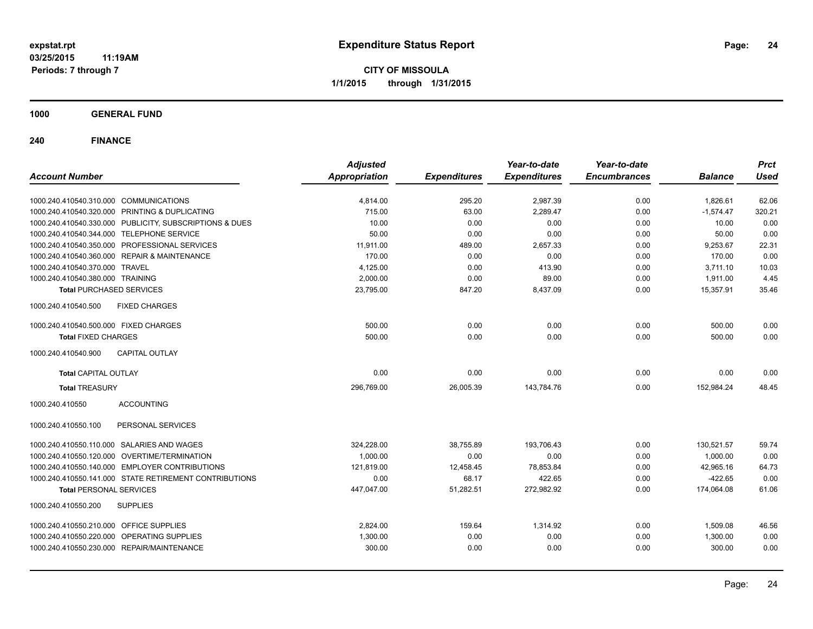**CITY OF MISSOULA 1/1/2015 through 1/31/2015**

**1000 GENERAL FUND**

| <b>Account Number</b>                                   | <b>Adjusted</b><br><b>Appropriation</b> | <b>Expenditures</b> | Year-to-date<br><b>Expenditures</b> | Year-to-date<br><b>Encumbrances</b> | <b>Balance</b> | <b>Prct</b><br><b>Used</b> |
|---------------------------------------------------------|-----------------------------------------|---------------------|-------------------------------------|-------------------------------------|----------------|----------------------------|
|                                                         |                                         |                     |                                     |                                     |                |                            |
| 1000.240.410540.310.000 COMMUNICATIONS                  | 4,814.00                                | 295.20              | 2,987.39                            | 0.00                                | 1,826.61       | 62.06                      |
| 1000.240.410540.320.000 PRINTING & DUPLICATING          | 715.00                                  | 63.00               | 2,289.47                            | 0.00                                | $-1,574.47$    | 320.21                     |
| 1000.240.410540.330.000 PUBLICITY, SUBSCRIPTIONS & DUES | 10.00                                   | 0.00                | 0.00                                | 0.00                                | 10.00          | 0.00                       |
| 1000.240.410540.344.000 TELEPHONE SERVICE               | 50.00                                   | 0.00                | 0.00                                | 0.00                                | 50.00          | 0.00                       |
| 1000.240.410540.350.000 PROFESSIONAL SERVICES           | 11,911.00                               | 489.00              | 2,657.33                            | 0.00                                | 9,253.67       | 22.31                      |
| 1000.240.410540.360.000 REPAIR & MAINTENANCE            | 170.00                                  | 0.00                | 0.00                                | 0.00                                | 170.00         | 0.00                       |
| 1000.240.410540.370.000 TRAVEL                          | 4,125.00                                | 0.00                | 413.90                              | 0.00                                | 3,711.10       | 10.03                      |
| 1000.240.410540.380.000 TRAINING                        | 2,000.00                                | 0.00                | 89.00                               | 0.00                                | 1,911.00       | 4.45                       |
| <b>Total PURCHASED SERVICES</b>                         | 23,795.00                               | 847.20              | 8,437.09                            | 0.00                                | 15,357.91      | 35.46                      |
| 1000.240.410540.500<br><b>FIXED CHARGES</b>             |                                         |                     |                                     |                                     |                |                            |
| 1000.240.410540.500.000 FIXED CHARGES                   | 500.00                                  | 0.00                | 0.00                                | 0.00                                | 500.00         | 0.00                       |
| <b>Total FIXED CHARGES</b>                              | 500.00                                  | 0.00                | 0.00                                | 0.00                                | 500.00         | 0.00                       |
| <b>CAPITAL OUTLAY</b><br>1000.240.410540.900            |                                         |                     |                                     |                                     |                |                            |
| <b>Total CAPITAL OUTLAY</b>                             | 0.00                                    | 0.00                | 0.00                                | 0.00                                | 0.00           | 0.00                       |
| <b>Total TREASURY</b>                                   | 296,769.00                              | 26,005.39           | 143,784.76                          | 0.00                                | 152,984.24     | 48.45                      |
| 1000.240.410550<br><b>ACCOUNTING</b>                    |                                         |                     |                                     |                                     |                |                            |
| PERSONAL SERVICES<br>1000.240.410550.100                |                                         |                     |                                     |                                     |                |                            |
| 1000.240.410550.110.000 SALARIES AND WAGES              | 324,228.00                              | 38,755.89           | 193,706.43                          | 0.00                                | 130,521.57     | 59.74                      |
| 1000.240.410550.120.000 OVERTIME/TERMINATION            | 1,000.00                                | 0.00                | 0.00                                | 0.00                                | 1,000.00       | 0.00                       |
| 1000.240.410550.140.000 EMPLOYER CONTRIBUTIONS          | 121,819.00                              | 12,458.45           | 78,853.84                           | 0.00                                | 42,965.16      | 64.73                      |
| 1000.240.410550.141.000 STATE RETIREMENT CONTRIBUTIONS  | 0.00                                    | 68.17               | 422.65                              | 0.00                                | $-422.65$      | 0.00                       |
| <b>Total PERSONAL SERVICES</b>                          | 447,047.00                              | 51,282.51           | 272,982.92                          | 0.00                                | 174,064.08     | 61.06                      |
| 1000.240.410550.200<br><b>SUPPLIES</b>                  |                                         |                     |                                     |                                     |                |                            |
| 1000.240.410550.210.000 OFFICE SUPPLIES                 | 2,824.00                                | 159.64              | 1,314.92                            | 0.00                                | 1,509.08       | 46.56                      |
| 1000.240.410550.220.000 OPERATING SUPPLIES              | 1,300.00                                | 0.00                | 0.00                                | 0.00                                | 1,300.00       | 0.00                       |
| 1000.240.410550.230.000 REPAIR/MAINTENANCE              | 300.00                                  | 0.00                | 0.00                                | 0.00                                | 300.00         | 0.00                       |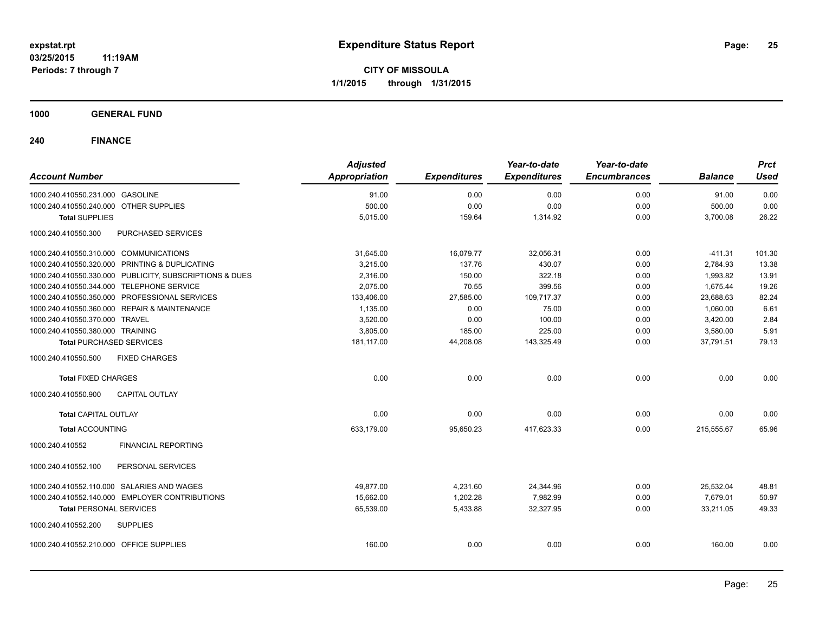**CITY OF MISSOULA 1/1/2015 through 1/31/2015**

**1000 GENERAL FUND**

| <b>Account Number</b>                                   | <b>Adjusted</b><br>Appropriation | <b>Expenditures</b> | Year-to-date<br><b>Expenditures</b> | Year-to-date<br><b>Encumbrances</b> | <b>Balance</b> | <b>Prct</b><br><b>Used</b> |
|---------------------------------------------------------|----------------------------------|---------------------|-------------------------------------|-------------------------------------|----------------|----------------------------|
| 1000.240.410550.231.000 GASOLINE                        | 91.00                            | 0.00                | 0.00                                | 0.00                                | 91.00          | 0.00                       |
| 1000.240.410550.240.000 OTHER SUPPLIES                  | 500.00                           | 0.00                | 0.00                                | 0.00                                | 500.00         | 0.00                       |
| <b>Total SUPPLIES</b>                                   | 5,015.00                         | 159.64              | 1,314.92                            | 0.00                                | 3,700.08       | 26.22                      |
| 1000.240.410550.300<br>PURCHASED SERVICES               |                                  |                     |                                     |                                     |                |                            |
| 1000.240.410550.310.000 COMMUNICATIONS                  | 31,645.00                        | 16,079.77           | 32,056.31                           | 0.00                                | $-411.31$      | 101.30                     |
| 1000.240.410550.320.000 PRINTING & DUPLICATING          | 3,215.00                         | 137.76              | 430.07                              | 0.00                                | 2,784.93       | 13.38                      |
| 1000.240.410550.330.000 PUBLICITY, SUBSCRIPTIONS & DUES | 2,316.00                         | 150.00              | 322.18                              | 0.00                                | 1,993.82       | 13.91                      |
| 1000.240.410550.344.000 TELEPHONE SERVICE               | 2,075.00                         | 70.55               | 399.56                              | 0.00                                | 1.675.44       | 19.26                      |
| 1000.240.410550.350.000 PROFESSIONAL SERVICES           | 133,406.00                       | 27,585.00           | 109,717.37                          | 0.00                                | 23,688.63      | 82.24                      |
| 1000.240.410550.360.000 REPAIR & MAINTENANCE            | 1,135.00                         | 0.00                | 75.00                               | 0.00                                | 1,060.00       | 6.61                       |
| 1000.240.410550.370.000 TRAVEL                          | 3,520.00                         | 0.00                | 100.00                              | 0.00                                | 3,420.00       | 2.84                       |
| 1000.240.410550.380.000 TRAINING                        | 3,805.00                         | 185.00              | 225.00                              | 0.00                                | 3,580.00       | 5.91                       |
| <b>Total PURCHASED SERVICES</b>                         | 181,117.00                       | 44,208.08           | 143,325.49                          | 0.00                                | 37,791.51      | 79.13                      |
| 1000.240.410550.500<br><b>FIXED CHARGES</b>             |                                  |                     |                                     |                                     |                |                            |
| <b>Total FIXED CHARGES</b>                              | 0.00                             | 0.00                | 0.00                                | 0.00                                | 0.00           | 0.00                       |
| <b>CAPITAL OUTLAY</b><br>1000.240.410550.900            |                                  |                     |                                     |                                     |                |                            |
| <b>Total CAPITAL OUTLAY</b>                             | 0.00                             | 0.00                | 0.00                                | 0.00                                | 0.00           | 0.00                       |
| <b>Total ACCOUNTING</b>                                 | 633,179.00                       | 95,650.23           | 417,623.33                          | 0.00                                | 215,555.67     | 65.96                      |
| 1000.240.410552<br><b>FINANCIAL REPORTING</b>           |                                  |                     |                                     |                                     |                |                            |
| PERSONAL SERVICES<br>1000.240.410552.100                |                                  |                     |                                     |                                     |                |                            |
| 1000.240.410552.110.000 SALARIES AND WAGES              | 49,877.00                        | 4,231.60            | 24,344.96                           | 0.00                                | 25,532.04      | 48.81                      |
| 1000.240.410552.140.000 EMPLOYER CONTRIBUTIONS          | 15,662.00                        | 1,202.28            | 7,982.99                            | 0.00                                | 7,679.01       | 50.97                      |
| <b>Total PERSONAL SERVICES</b>                          | 65,539.00                        | 5,433.88            | 32,327.95                           | 0.00                                | 33,211.05      | 49.33                      |
| 1000.240.410552.200<br><b>SUPPLIES</b>                  |                                  |                     |                                     |                                     |                |                            |
| 1000.240.410552.210.000 OFFICE SUPPLIES                 | 160.00                           | 0.00                | 0.00                                | 0.00                                | 160.00         | 0.00                       |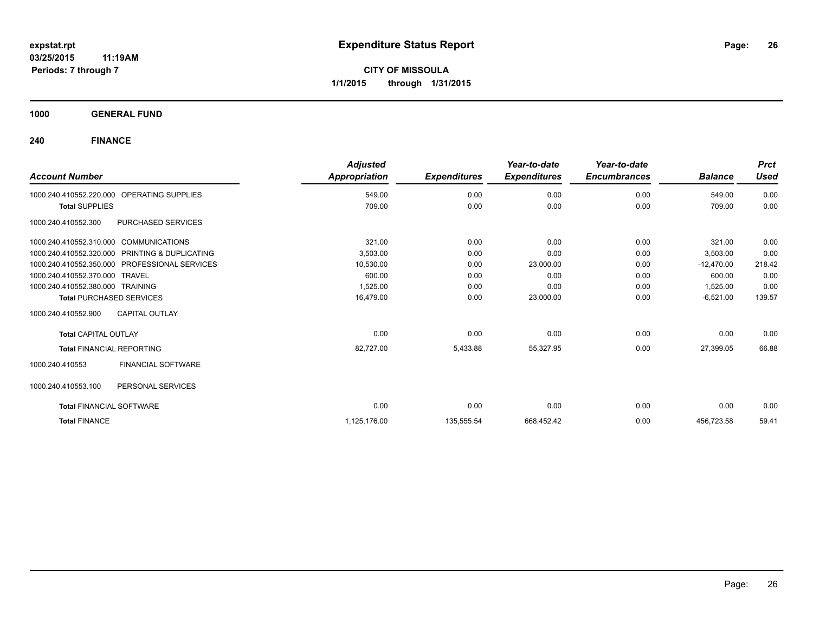**1000 GENERAL FUND**

| <b>Account Number</b>                          | <b>Adjusted</b><br>Appropriation | <b>Expenditures</b> | Year-to-date<br><b>Expenditures</b> | Year-to-date<br><b>Encumbrances</b> | <b>Balance</b> | <b>Prct</b><br><b>Used</b> |
|------------------------------------------------|----------------------------------|---------------------|-------------------------------------|-------------------------------------|----------------|----------------------------|
|                                                |                                  |                     |                                     |                                     |                |                            |
| OPERATING SUPPLIES<br>1000.240.410552.220.000  | 549.00                           | 0.00                | 0.00                                | 0.00                                | 549.00         | 0.00                       |
| <b>Total SUPPLIES</b>                          | 709.00                           | 0.00                | 0.00                                | 0.00                                | 709.00         | 0.00                       |
| PURCHASED SERVICES<br>1000.240.410552.300      |                                  |                     |                                     |                                     |                |                            |
| 1000.240.410552.310.000 COMMUNICATIONS         | 321.00                           | 0.00                | 0.00                                | 0.00                                | 321.00         | 0.00                       |
| 1000.240.410552.320.000 PRINTING & DUPLICATING | 3,503.00                         | 0.00                | 0.00                                | 0.00                                | 3,503.00       | 0.00                       |
| 1000.240.410552.350.000 PROFESSIONAL SERVICES  | 10,530.00                        | 0.00                | 23,000.00                           | 0.00                                | $-12,470.00$   | 218.42                     |
| 1000.240.410552.370.000 TRAVEL                 | 600.00                           | 0.00                | 0.00                                | 0.00                                | 600.00         | 0.00                       |
| 1000.240.410552.380.000 TRAINING               | 1,525.00                         | 0.00                | 0.00                                | 0.00                                | 1,525.00       | 0.00                       |
| <b>Total PURCHASED SERVICES</b>                | 16,479.00                        | 0.00                | 23,000.00                           | 0.00                                | $-6,521.00$    | 139.57                     |
| 1000.240.410552.900<br><b>CAPITAL OUTLAY</b>   |                                  |                     |                                     |                                     |                |                            |
| <b>Total CAPITAL OUTLAY</b>                    | 0.00                             | 0.00                | 0.00                                | 0.00                                | 0.00           | 0.00                       |
| <b>Total FINANCIAL REPORTING</b>               | 82,727.00                        | 5,433.88            | 55,327.95                           | 0.00                                | 27,399.05      | 66.88                      |
| <b>FINANCIAL SOFTWARE</b><br>1000.240.410553   |                                  |                     |                                     |                                     |                |                            |
| 1000.240.410553.100<br>PERSONAL SERVICES       |                                  |                     |                                     |                                     |                |                            |
| <b>Total FINANCIAL SOFTWARE</b>                | 0.00                             | 0.00                | 0.00                                | 0.00                                | 0.00           | 0.00                       |
| <b>Total FINANCE</b>                           | 1,125,176.00                     | 135,555.54          | 668,452.42                          | 0.00                                | 456,723.58     | 59.41                      |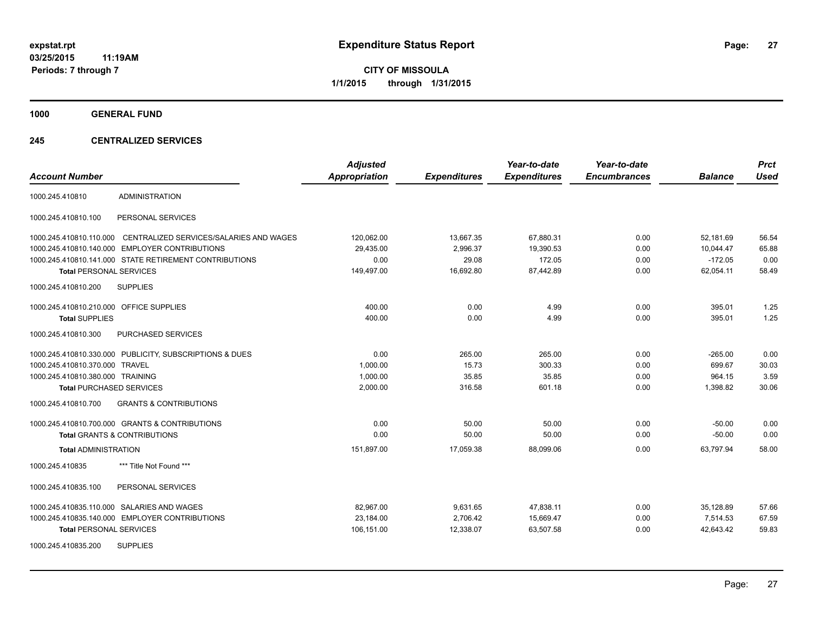**1000 GENERAL FUND**

### **245 CENTRALIZED SERVICES**

| <b>Account Number</b>                   |                                                         | <b>Adjusted</b><br><b>Appropriation</b> | <b>Expenditures</b> | Year-to-date<br><b>Expenditures</b> | Year-to-date<br><b>Encumbrances</b> | <b>Balance</b> | <b>Prct</b><br><b>Used</b> |
|-----------------------------------------|---------------------------------------------------------|-----------------------------------------|---------------------|-------------------------------------|-------------------------------------|----------------|----------------------------|
| 1000.245.410810                         | <b>ADMINISTRATION</b>                                   |                                         |                     |                                     |                                     |                |                            |
| 1000.245.410810.100                     | PERSONAL SERVICES                                       |                                         |                     |                                     |                                     |                |                            |
| 1000.245.410810.110.000                 | CENTRALIZED SERVICES/SALARIES AND WAGES                 | 120,062.00                              | 13,667.35           | 67,880.31                           | 0.00                                | 52,181.69      | 56.54                      |
| 1000.245.410810.140.000                 | <b>EMPLOYER CONTRIBUTIONS</b>                           | 29,435.00                               | 2,996.37            | 19,390.53                           | 0.00                                | 10,044.47      | 65.88                      |
|                                         | 1000.245.410810.141.000 STATE RETIREMENT CONTRIBUTIONS  | 0.00                                    | 29.08               | 172.05                              | 0.00                                | $-172.05$      | 0.00                       |
| <b>Total PERSONAL SERVICES</b>          |                                                         | 149,497.00                              | 16,692.80           | 87,442.89                           | 0.00                                | 62,054.11      | 58.49                      |
| 1000.245.410810.200                     | <b>SUPPLIES</b>                                         |                                         |                     |                                     |                                     |                |                            |
| 1000.245.410810.210.000 OFFICE SUPPLIES |                                                         | 400.00                                  | 0.00                | 4.99                                | 0.00                                | 395.01         | 1.25                       |
| <b>Total SUPPLIES</b>                   |                                                         | 400.00                                  | 0.00                | 4.99                                | 0.00                                | 395.01         | 1.25                       |
| 1000.245.410810.300                     | PURCHASED SERVICES                                      |                                         |                     |                                     |                                     |                |                            |
|                                         | 1000.245.410810.330.000 PUBLICITY, SUBSCRIPTIONS & DUES | 0.00                                    | 265.00              | 265.00                              | 0.00                                | $-265.00$      | 0.00                       |
| 1000.245.410810.370.000 TRAVEL          |                                                         | 1,000.00                                | 15.73               | 300.33                              | 0.00                                | 699.67         | 30.03                      |
| 1000.245.410810.380.000 TRAINING        |                                                         | 1,000.00                                | 35.85               | 35.85                               | 0.00                                | 964.15         | 3.59                       |
| <b>Total PURCHASED SERVICES</b>         |                                                         | 2,000.00                                | 316.58              | 601.18                              | 0.00                                | 1,398.82       | 30.06                      |
| 1000.245.410810.700                     | <b>GRANTS &amp; CONTRIBUTIONS</b>                       |                                         |                     |                                     |                                     |                |                            |
|                                         | 1000.245.410810.700.000 GRANTS & CONTRIBUTIONS          | 0.00                                    | 50.00               | 50.00                               | 0.00                                | $-50.00$       | 0.00                       |
|                                         | <b>Total GRANTS &amp; CONTRIBUTIONS</b>                 | 0.00                                    | 50.00               | 50.00                               | 0.00                                | $-50.00$       | 0.00                       |
| <b>Total ADMINISTRATION</b>             |                                                         | 151,897.00                              | 17,059.38           | 88,099.06                           | 0.00                                | 63,797.94      | 58.00                      |
| 1000.245.410835                         | *** Title Not Found ***                                 |                                         |                     |                                     |                                     |                |                            |
| 1000.245.410835.100                     | PERSONAL SERVICES                                       |                                         |                     |                                     |                                     |                |                            |
|                                         | 1000.245.410835.110.000 SALARIES AND WAGES              | 82,967.00                               | 9,631.65            | 47,838.11                           | 0.00                                | 35,128.89      | 57.66                      |
|                                         | 1000.245.410835.140.000 EMPLOYER CONTRIBUTIONS          | 23,184.00                               | 2,706.42            | 15,669.47                           | 0.00                                | 7,514.53       | 67.59                      |
| <b>Total PERSONAL SERVICES</b>          |                                                         | 106,151.00                              | 12,338.07           | 63,507.58                           | 0.00                                | 42,643.42      | 59.83                      |
| 1000.245.410835.200                     | <b>SUPPLIES</b>                                         |                                         |                     |                                     |                                     |                |                            |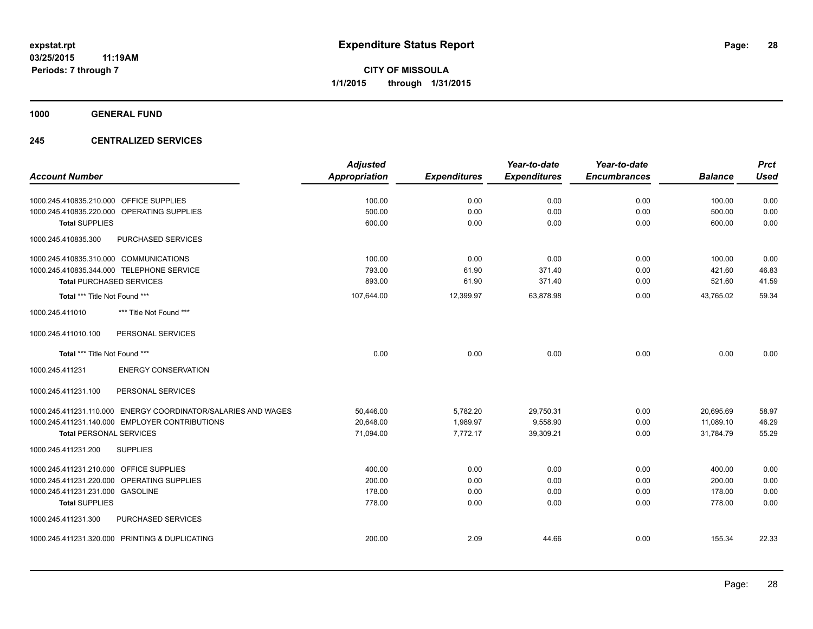**1000 GENERAL FUND**

### **245 CENTRALIZED SERVICES**

| <b>Account Number</b>                                         | <b>Adjusted</b><br>Appropriation | <b>Expenditures</b> | Year-to-date<br><b>Expenditures</b> | Year-to-date<br><b>Encumbrances</b> | <b>Balance</b> | <b>Prct</b><br><b>Used</b> |
|---------------------------------------------------------------|----------------------------------|---------------------|-------------------------------------|-------------------------------------|----------------|----------------------------|
|                                                               |                                  |                     |                                     |                                     |                |                            |
| 1000.245.410835.210.000 OFFICE SUPPLIES                       | 100.00                           | 0.00                | 0.00                                | 0.00                                | 100.00         | 0.00                       |
| 1000.245.410835.220.000 OPERATING SUPPLIES                    | 500.00                           | 0.00                | 0.00                                | 0.00                                | 500.00         | 0.00                       |
| <b>Total SUPPLIES</b>                                         | 600.00                           | 0.00                | 0.00                                | 0.00                                | 600.00         | 0.00                       |
| PURCHASED SERVICES<br>1000.245.410835.300                     |                                  |                     |                                     |                                     |                |                            |
| 1000.245.410835.310.000 COMMUNICATIONS                        | 100.00                           | 0.00                | 0.00                                | 0.00                                | 100.00         | 0.00                       |
| 1000.245.410835.344.000 TELEPHONE SERVICE                     | 793.00                           | 61.90               | 371.40                              | 0.00                                | 421.60         | 46.83                      |
| <b>Total PURCHASED SERVICES</b>                               | 893.00                           | 61.90               | 371.40                              | 0.00                                | 521.60         | 41.59                      |
| Total *** Title Not Found ***                                 | 107,644.00                       | 12,399.97           | 63,878.98                           | 0.00                                | 43,765.02      | 59.34                      |
| 1000.245.411010<br>*** Title Not Found ***                    |                                  |                     |                                     |                                     |                |                            |
| 1000.245.411010.100<br>PERSONAL SERVICES                      |                                  |                     |                                     |                                     |                |                            |
| Total *** Title Not Found ***                                 | 0.00                             | 0.00                | 0.00                                | 0.00                                | 0.00           | 0.00                       |
| 1000.245.411231<br><b>ENERGY CONSERVATION</b>                 |                                  |                     |                                     |                                     |                |                            |
| 1000.245.411231.100<br>PERSONAL SERVICES                      |                                  |                     |                                     |                                     |                |                            |
| 1000.245.411231.110.000 ENERGY COORDINATOR/SALARIES AND WAGES | 50,446.00                        | 5,782.20            | 29,750.31                           | 0.00                                | 20,695.69      | 58.97                      |
| 1000.245.411231.140.000 EMPLOYER CONTRIBUTIONS                | 20,648.00                        | 1,989.97            | 9,558.90                            | 0.00                                | 11,089.10      | 46.29                      |
| <b>Total PERSONAL SERVICES</b>                                | 71,094.00                        | 7,772.17            | 39,309.21                           | 0.00                                | 31,784.79      | 55.29                      |
| 1000.245.411231.200<br><b>SUPPLIES</b>                        |                                  |                     |                                     |                                     |                |                            |
| 1000.245.411231.210.000 OFFICE SUPPLIES                       | 400.00                           | 0.00                | 0.00                                | 0.00                                | 400.00         | 0.00                       |
| 1000.245.411231.220.000 OPERATING SUPPLIES                    | 200.00                           | 0.00                | 0.00                                | 0.00                                | 200.00         | 0.00                       |
| 1000.245.411231.231.000 GASOLINE                              | 178.00                           | 0.00                | 0.00                                | 0.00                                | 178.00         | 0.00                       |
| <b>Total SUPPLIES</b>                                         | 778.00                           | 0.00                | 0.00                                | 0.00                                | 778.00         | 0.00                       |
| 1000.245.411231.300<br>PURCHASED SERVICES                     |                                  |                     |                                     |                                     |                |                            |
| 1000.245.411231.320.000 PRINTING & DUPLICATING                | 200.00                           | 2.09                | 44.66                               | 0.00                                | 155.34         | 22.33                      |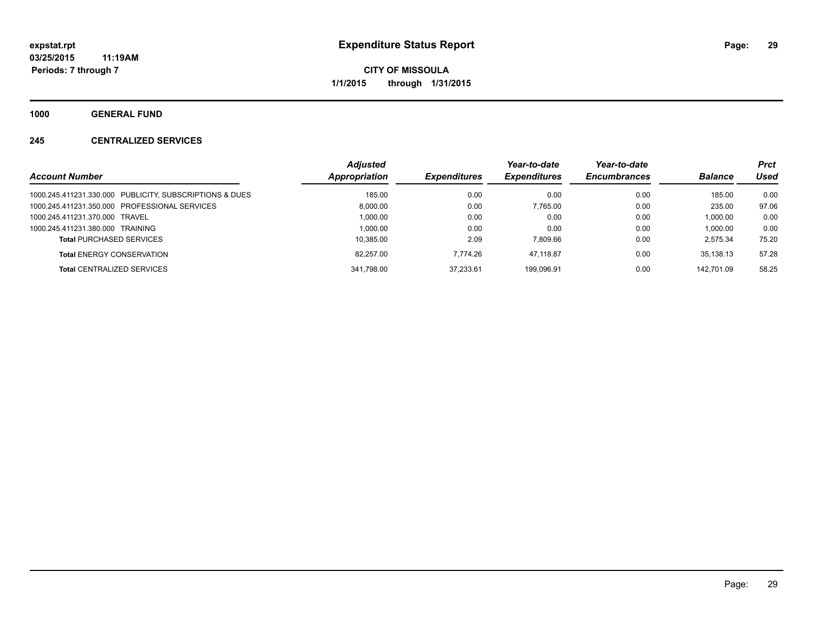**1000 GENERAL FUND**

### **245 CENTRALIZED SERVICES**

| <b>Account Number</b>                                   | <b>Adiusted</b><br>Appropriation | <b>Expenditures</b> | Year-to-date<br><b>Expenditures</b> | Year-to-date<br><b>Encumbrances</b> | <b>Balance</b> | <b>Prct</b><br><b>Used</b> |
|---------------------------------------------------------|----------------------------------|---------------------|-------------------------------------|-------------------------------------|----------------|----------------------------|
| 1000.245.411231.330.000 PUBLICITY, SUBSCRIPTIONS & DUES | 185.00                           | 0.00                | 0.00                                | 0.00                                | 185.00         | 0.00                       |
| 1000.245.411231.350.000 PROFESSIONAL SERVICES           | 8.000.00                         | 0.00                | 7.765.00                            | 0.00                                | 235.00         | 97.06                      |
| 1000.245.411231.370.000 TRAVEL                          | 1.000.00                         | 0.00                | 0.00                                | 0.00                                | 1.000.00       | 0.00                       |
| 1000.245.411231.380.000 TRAINING                        | 1.000.00                         | 0.00                | 0.00                                | 0.00                                | 1.000.00       | 0.00                       |
| <b>Total PURCHASED SERVICES</b>                         | 10.385.00                        | 2.09                | 7.809.66                            | 0.00                                | 2.575.34       | 75.20                      |
| <b>Total ENERGY CONSERVATION</b>                        | 82,257.00                        | 7.774.26            | 47.118.87                           | 0.00                                | 35.138.13      | 57.28                      |
| <b>Total CENTRALIZED SERVICES</b>                       | 341.798.00                       | 37.233.61           | 199.096.91                          | 0.00                                | 142.701.09     | 58.25                      |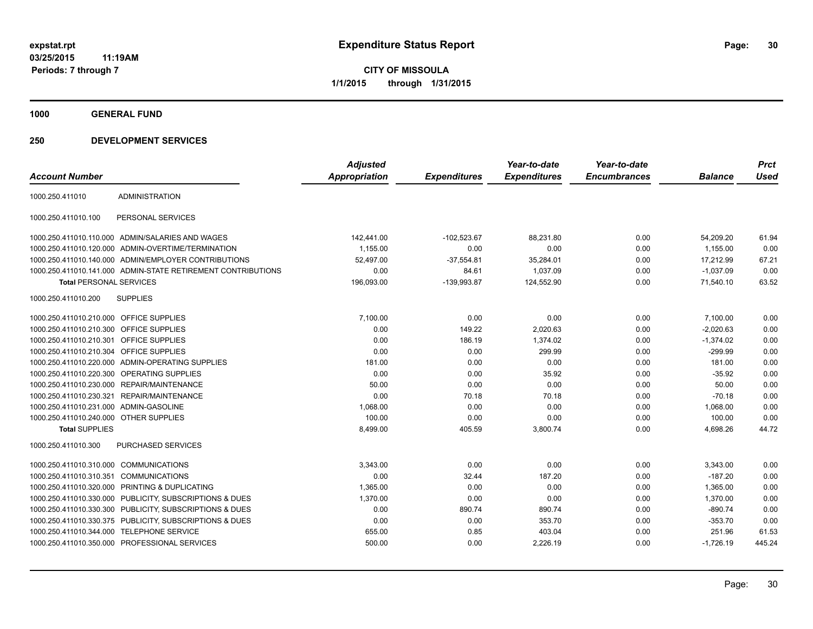**1000 GENERAL FUND**

| <b>Account Number</b>                   |                                                              | <b>Adjusted</b><br><b>Appropriation</b> | <b>Expenditures</b> | Year-to-date<br><b>Expenditures</b> | Year-to-date<br><b>Encumbrances</b> | <b>Balance</b> | <b>Prct</b><br><b>Used</b> |
|-----------------------------------------|--------------------------------------------------------------|-----------------------------------------|---------------------|-------------------------------------|-------------------------------------|----------------|----------------------------|
|                                         |                                                              |                                         |                     |                                     |                                     |                |                            |
| 1000.250.411010                         | <b>ADMINISTRATION</b>                                        |                                         |                     |                                     |                                     |                |                            |
| 1000.250.411010.100                     | PERSONAL SERVICES                                            |                                         |                     |                                     |                                     |                |                            |
|                                         | 1000.250.411010.110.000 ADMIN/SALARIES AND WAGES             | 142,441.00                              | $-102,523.67$       | 88,231.80                           | 0.00                                | 54,209.20      | 61.94                      |
|                                         | 1000.250.411010.120.000 ADMIN-OVERTIME/TERMINATION           | 1,155.00                                | 0.00                | 0.00                                | 0.00                                | 1,155.00       | 0.00                       |
|                                         | 1000.250.411010.140.000 ADMIN/EMPLOYER CONTRIBUTIONS         | 52,497.00                               | $-37,554.81$        | 35,284.01                           | 0.00                                | 17,212.99      | 67.21                      |
|                                         | 1000.250.411010.141.000 ADMIN-STATE RETIREMENT CONTRIBUTIONS | 0.00                                    | 84.61               | 1,037.09                            | 0.00                                | $-1,037.09$    | 0.00                       |
| <b>Total PERSONAL SERVICES</b>          |                                                              | 196,093.00                              | -139,993.87         | 124,552.90                          | 0.00                                | 71.540.10      | 63.52                      |
| 1000.250.411010.200                     | <b>SUPPLIES</b>                                              |                                         |                     |                                     |                                     |                |                            |
| 1000.250.411010.210.000 OFFICE SUPPLIES |                                                              | 7,100.00                                | 0.00                | 0.00                                | 0.00                                | 7,100.00       | 0.00                       |
| 1000.250.411010.210.300 OFFICE SUPPLIES |                                                              | 0.00                                    | 149.22              | 2,020.63                            | 0.00                                | $-2,020.63$    | 0.00                       |
| 1000.250.411010.210.301 OFFICE SUPPLIES |                                                              | 0.00                                    | 186.19              | 1,374.02                            | 0.00                                | $-1,374.02$    | 0.00                       |
| 1000.250.411010.210.304                 | <b>OFFICE SUPPLIES</b>                                       | 0.00                                    | 0.00                | 299.99                              | 0.00                                | $-299.99$      | 0.00                       |
|                                         | 1000.250.411010.220.000 ADMIN-OPERATING SUPPLIES             | 181.00                                  | 0.00                | 0.00                                | 0.00                                | 181.00         | 0.00                       |
|                                         | 1000.250.411010.220.300 OPERATING SUPPLIES                   | 0.00                                    | 0.00                | 35.92                               | 0.00                                | $-35.92$       | 0.00                       |
|                                         | 1000.250.411010.230.000 REPAIR/MAINTENANCE                   | 50.00                                   | 0.00                | 0.00                                | 0.00                                | 50.00          | 0.00                       |
|                                         | 1000.250.411010.230.321 REPAIR/MAINTENANCE                   | 0.00                                    | 70.18               | 70.18                               | 0.00                                | $-70.18$       | 0.00                       |
| 1000.250.411010.231.000 ADMIN-GASOLINE  |                                                              | 1,068.00                                | 0.00                | 0.00                                | 0.00                                | 1.068.00       | 0.00                       |
| 1000.250.411010.240.000 OTHER SUPPLIES  |                                                              | 100.00                                  | 0.00                | 0.00                                | 0.00                                | 100.00         | 0.00                       |
| <b>Total SUPPLIES</b>                   |                                                              | 8,499.00                                | 405.59              | 3,800.74                            | 0.00                                | 4,698.26       | 44.72                      |
| 1000.250.411010.300                     | PURCHASED SERVICES                                           |                                         |                     |                                     |                                     |                |                            |
| 1000.250.411010.310.000 COMMUNICATIONS  |                                                              | 3.343.00                                | 0.00                | 0.00                                | 0.00                                | 3,343.00       | 0.00                       |
| 1000.250.411010.310.351                 | COMMUNICATIONS                                               | 0.00                                    | 32.44               | 187.20                              | 0.00                                | $-187.20$      | 0.00                       |
| 1000.250.411010.320.000                 | PRINTING & DUPLICATING                                       | 1,365.00                                | 0.00                | 0.00                                | 0.00                                | 1,365.00       | 0.00                       |
| 1000.250.411010.330.000                 | PUBLICITY, SUBSCRIPTIONS & DUES                              | 1,370.00                                | 0.00                | 0.00                                | 0.00                                | 1,370.00       | 0.00                       |
|                                         | 1000.250.411010.330.300 PUBLICITY, SUBSCRIPTIONS & DUES      | 0.00                                    | 890.74              | 890.74                              | 0.00                                | $-890.74$      | 0.00                       |
|                                         | 1000.250.411010.330.375 PUBLICITY, SUBSCRIPTIONS & DUES      | 0.00                                    | 0.00                | 353.70                              | 0.00                                | $-353.70$      | 0.00                       |
|                                         | 1000.250.411010.344.000 TELEPHONE SERVICE                    | 655.00                                  | 0.85                | 403.04                              | 0.00                                | 251.96         | 61.53                      |
|                                         | 1000.250.411010.350.000 PROFESSIONAL SERVICES                | 500.00                                  | 0.00                | 2,226.19                            | 0.00                                | $-1,726.19$    | 445.24                     |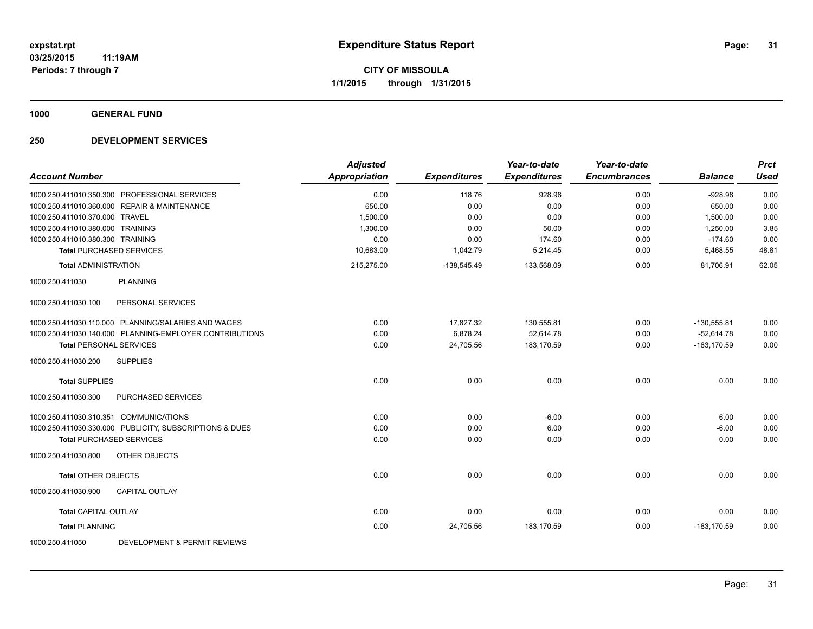**1000 GENERAL FUND**

|                                                            | <b>Adjusted</b>      |                     | Year-to-date        | Year-to-date        |                | <b>Prct</b> |
|------------------------------------------------------------|----------------------|---------------------|---------------------|---------------------|----------------|-------------|
| <b>Account Number</b>                                      | <b>Appropriation</b> | <b>Expenditures</b> | <b>Expenditures</b> | <b>Encumbrances</b> | <b>Balance</b> | <b>Used</b> |
| 1000.250.411010.350.300 PROFESSIONAL SERVICES              | 0.00                 | 118.76              | 928.98              | 0.00                | $-928.98$      | 0.00        |
| 1000.250.411010.360.000 REPAIR & MAINTENANCE               | 650.00               | 0.00                | 0.00                | 0.00                | 650.00         | 0.00        |
| 1000.250.411010.370.000 TRAVEL                             | 1,500.00             | 0.00                | 0.00                | 0.00                | 1,500.00       | 0.00        |
| 1000.250.411010.380.000 TRAINING                           | 1,300.00             | 0.00                | 50.00               | 0.00                | 1,250.00       | 3.85        |
| 1000.250.411010.380.300 TRAINING                           | 0.00                 | 0.00                | 174.60              | 0.00                | $-174.60$      | 0.00        |
| <b>Total PURCHASED SERVICES</b>                            | 10,683.00            | 1,042.79            | 5,214.45            | 0.00                | 5,468.55       | 48.81       |
| <b>Total ADMINISTRATION</b>                                | 215,275.00           | $-138,545.49$       | 133,568.09          | 0.00                | 81,706.91      | 62.05       |
| <b>PLANNING</b><br>1000.250.411030                         |                      |                     |                     |                     |                |             |
| PERSONAL SERVICES<br>1000.250.411030.100                   |                      |                     |                     |                     |                |             |
| 1000.250.411030.110.000 PLANNING/SALARIES AND WAGES        | 0.00                 | 17,827.32           | 130,555.81          | 0.00                | $-130,555.81$  | 0.00        |
| 1000.250.411030.140.000 PLANNING-EMPLOYER CONTRIBUTIONS    | 0.00                 | 6,878.24            | 52,614.78           | 0.00                | $-52,614.78$   | 0.00        |
| <b>Total PERSONAL SERVICES</b>                             | 0.00                 | 24,705.56           | 183.170.59          | 0.00                | $-183, 170.59$ | 0.00        |
| 1000.250.411030.200<br><b>SUPPLIES</b>                     |                      |                     |                     |                     |                |             |
| <b>Total SUPPLIES</b>                                      | 0.00                 | 0.00                | 0.00                | 0.00                | 0.00           | 0.00        |
| 1000.250.411030.300<br>PURCHASED SERVICES                  |                      |                     |                     |                     |                |             |
| 1000.250.411030.310.351 COMMUNICATIONS                     | 0.00                 | 0.00                | $-6.00$             | 0.00                | 6.00           | 0.00        |
| 1000.250.411030.330.000 PUBLICITY, SUBSCRIPTIONS & DUES    | 0.00                 | 0.00                | 6.00                | 0.00                | $-6.00$        | 0.00        |
| <b>Total PURCHASED SERVICES</b>                            | 0.00                 | 0.00                | 0.00                | 0.00                | 0.00           | 0.00        |
| <b>OTHER OBJECTS</b><br>1000.250.411030.800                |                      |                     |                     |                     |                |             |
| <b>Total OTHER OBJECTS</b>                                 | 0.00                 | 0.00                | 0.00                | 0.00                | 0.00           | 0.00        |
| <b>CAPITAL OUTLAY</b><br>1000.250.411030.900               |                      |                     |                     |                     |                |             |
| <b>Total CAPITAL OUTLAY</b>                                | 0.00                 | 0.00                | 0.00                | 0.00                | 0.00           | 0.00        |
| <b>Total PLANNING</b>                                      | 0.00                 | 24,705.56           | 183,170.59          | 0.00                | $-183, 170.59$ | 0.00        |
| <b>DEVELOPMENT &amp; PERMIT REVIEWS</b><br>1000.250.411050 |                      |                     |                     |                     |                |             |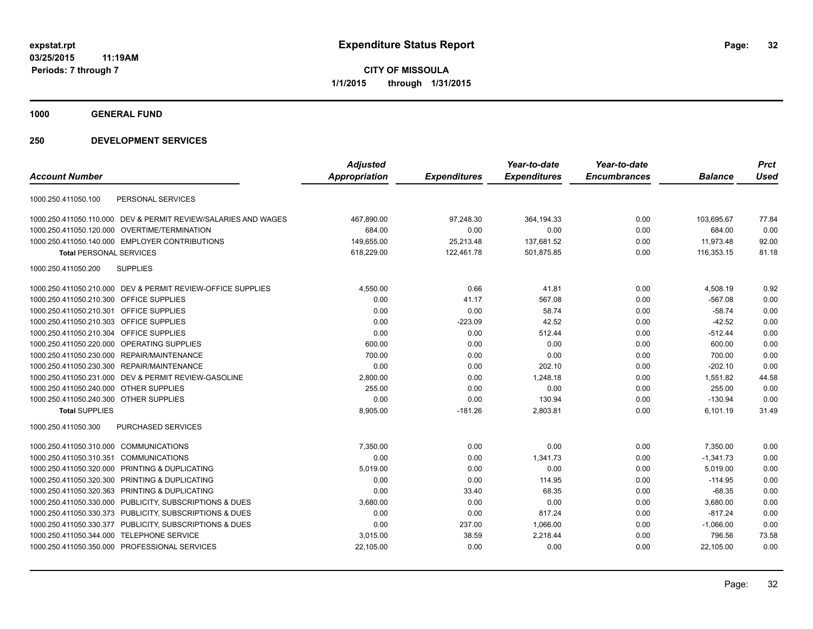**1000 GENERAL FUND**

|                                                |                                                                | <b>Adjusted</b> |                     | Year-to-date        | Year-to-date        |                | <b>Prct</b> |
|------------------------------------------------|----------------------------------------------------------------|-----------------|---------------------|---------------------|---------------------|----------------|-------------|
| <b>Account Number</b>                          |                                                                | Appropriation   | <b>Expenditures</b> | <b>Expenditures</b> | <b>Encumbrances</b> | <b>Balance</b> | <b>Used</b> |
| 1000.250.411050.100                            | PERSONAL SERVICES                                              |                 |                     |                     |                     |                |             |
|                                                | 1000.250.411050.110.000 DEV & PERMIT REVIEW/SALARIES AND WAGES | 467,890.00      | 97,248.30           | 364,194.33          | 0.00                | 103,695.67     | 77.84       |
| 1000.250.411050.120.000 OVERTIME/TERMINATION   |                                                                | 684.00          | 0.00                | 0.00                | 0.00                | 684.00         | 0.00        |
|                                                | 1000.250.411050.140.000 EMPLOYER CONTRIBUTIONS                 | 149,655.00      | 25,213.48           | 137,681.52          | 0.00                | 11,973.48      | 92.00       |
| <b>Total PERSONAL SERVICES</b>                 |                                                                | 618,229.00      | 122,461.78          | 501,875.85          | 0.00                | 116,353.15     | 81.18       |
| 1000.250.411050.200                            | <b>SUPPLIES</b>                                                |                 |                     |                     |                     |                |             |
|                                                | 1000.250.411050.210.000 DEV & PERMIT REVIEW-OFFICE SUPPLIES    | 4,550.00        | 0.66                | 41.81               | 0.00                | 4,508.19       | 0.92        |
| 1000.250.411050.210.300 OFFICE SUPPLIES        |                                                                | 0.00            | 41.17               | 567.08              | 0.00                | $-567.08$      | 0.00        |
| 1000.250.411050.210.301 OFFICE SUPPLIES        |                                                                | 0.00            | 0.00                | 58.74               | 0.00                | $-58.74$       | 0.00        |
| 1000.250.411050.210.303 OFFICE SUPPLIES        |                                                                | 0.00            | $-223.09$           | 42.52               | 0.00                | $-42.52$       | 0.00        |
| 1000.250.411050.210.304 OFFICE SUPPLIES        |                                                                | 0.00            | 0.00                | 512.44              | 0.00                | $-512.44$      | 0.00        |
| 1000.250.411050.220.000 OPERATING SUPPLIES     |                                                                | 600.00          | 0.00                | 0.00                | 0.00                | 600.00         | 0.00        |
| 1000.250.411050.230.000 REPAIR/MAINTENANCE     |                                                                | 700.00          | 0.00                | 0.00                | 0.00                | 700.00         | 0.00        |
| 1000.250.411050.230.300 REPAIR/MAINTENANCE     |                                                                | 0.00            | 0.00                | 202.10              | 0.00                | $-202.10$      | 0.00        |
|                                                | 1000.250.411050.231.000 DEV & PERMIT REVIEW-GASOLINE           | 2,800.00        | 0.00                | 1,248.18            | 0.00                | 1,551.82       | 44.58       |
| 1000.250.411050.240.000 OTHER SUPPLIES         |                                                                | 255.00          | 0.00                | 0.00                | 0.00                | 255.00         | 0.00        |
| 1000.250.411050.240.300 OTHER SUPPLIES         |                                                                | 0.00            | 0.00                | 130.94              | 0.00                | $-130.94$      | 0.00        |
| <b>Total SUPPLIES</b>                          |                                                                | 8,905.00        | $-181.26$           | 2,803.81            | 0.00                | 6,101.19       | 31.49       |
| 1000.250.411050.300                            | <b>PURCHASED SERVICES</b>                                      |                 |                     |                     |                     |                |             |
| 1000.250.411050.310.000 COMMUNICATIONS         |                                                                | 7,350.00        | 0.00                | 0.00                | 0.00                | 7,350.00       | 0.00        |
| 1000.250.411050.310.351 COMMUNICATIONS         |                                                                | 0.00            | 0.00                | 1,341.73            | 0.00                | $-1,341.73$    | 0.00        |
| 1000.250.411050.320.000 PRINTING & DUPLICATING |                                                                | 5,019.00        | 0.00                | 0.00                | 0.00                | 5,019.00       | 0.00        |
| 1000.250.411050.320.300 PRINTING & DUPLICATING |                                                                | 0.00            | 0.00                | 114.95              | 0.00                | $-114.95$      | 0.00        |
| 1000.250.411050.320.363 PRINTING & DUPLICATING |                                                                | 0.00            | 33.40               | 68.35               | 0.00                | $-68.35$       | 0.00        |
|                                                | 1000.250.411050.330.000 PUBLICITY, SUBSCRIPTIONS & DUES        | 3,680.00        | 0.00                | 0.00                | 0.00                | 3,680.00       | 0.00        |
|                                                | 1000.250.411050.330.373 PUBLICITY, SUBSCRIPTIONS & DUES        | 0.00            | 0.00                | 817.24              | 0.00                | $-817.24$      | 0.00        |
|                                                | 1000.250.411050.330.377 PUBLICITY, SUBSCRIPTIONS & DUES        | 0.00            | 237.00              | 1,066.00            | 0.00                | $-1,066.00$    | 0.00        |
| 1000.250.411050.344.000 TELEPHONE SERVICE      |                                                                | 3,015.00        | 38.59               | 2,218.44            | 0.00                | 796.56         | 73.58       |
| 1000.250.411050.350.000 PROFESSIONAL SERVICES  |                                                                | 22,105.00       | 0.00                | 0.00                | 0.00                | 22,105.00      | 0.00        |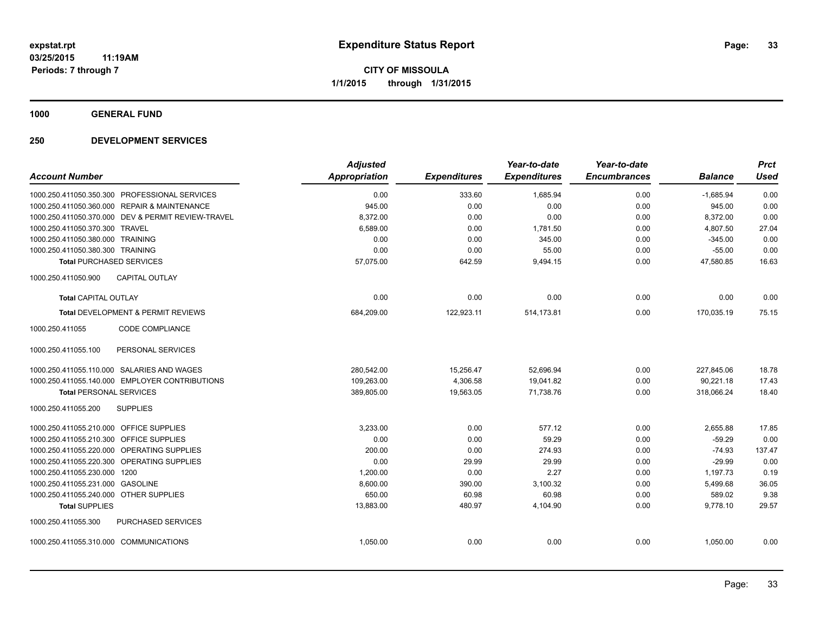**1000 GENERAL FUND**

|                                                    | <b>Adjusted</b> |                     | Year-to-date        | Year-to-date        |                | <b>Prct</b> |
|----------------------------------------------------|-----------------|---------------------|---------------------|---------------------|----------------|-------------|
| <b>Account Number</b>                              | Appropriation   | <b>Expenditures</b> | <b>Expenditures</b> | <b>Encumbrances</b> | <b>Balance</b> | Used        |
| 1000.250.411050.350.300 PROFESSIONAL SERVICES      | 0.00            | 333.60              | 1,685.94            | 0.00                | $-1,685.94$    | 0.00        |
| 1000.250.411050.360.000 REPAIR & MAINTENANCE       | 945.00          | 0.00                | 0.00                | 0.00                | 945.00         | 0.00        |
| 1000.250.411050.370.000 DEV & PERMIT REVIEW-TRAVEL | 8,372.00        | 0.00                | 0.00                | 0.00                | 8,372.00       | 0.00        |
| 1000.250.411050.370.300 TRAVEL                     | 6,589.00        | 0.00                | 1,781.50            | 0.00                | 4,807.50       | 27.04       |
| 1000.250.411050.380.000 TRAINING                   | 0.00            | 0.00                | 345.00              | 0.00                | $-345.00$      | 0.00        |
| 1000.250.411050.380.300 TRAINING                   | 0.00            | 0.00                | 55.00               | 0.00                | $-55.00$       | 0.00        |
| <b>Total PURCHASED SERVICES</b>                    | 57,075.00       | 642.59              | 9,494.15            | 0.00                | 47,580.85      | 16.63       |
| <b>CAPITAL OUTLAY</b><br>1000.250.411050.900       |                 |                     |                     |                     |                |             |
| <b>Total CAPITAL OUTLAY</b>                        | 0.00            | 0.00                | 0.00                | 0.00                | 0.00           | 0.00        |
| Total DEVELOPMENT & PERMIT REVIEWS                 | 684,209.00      | 122,923.11          | 514,173.81          | 0.00                | 170,035.19     | 75.15       |
| CODE COMPLIANCE<br>1000.250.411055                 |                 |                     |                     |                     |                |             |
| PERSONAL SERVICES<br>1000.250.411055.100           |                 |                     |                     |                     |                |             |
| 1000.250.411055.110.000 SALARIES AND WAGES         | 280,542.00      | 15,256.47           | 52,696.94           | 0.00                | 227,845.06     | 18.78       |
| 1000.250.411055.140.000 EMPLOYER CONTRIBUTIONS     | 109,263.00      | 4,306.58            | 19,041.82           | 0.00                | 90,221.18      | 17.43       |
| <b>Total PERSONAL SERVICES</b>                     | 389,805.00      | 19,563.05           | 71,738.76           | 0.00                | 318,066.24     | 18.40       |
| <b>SUPPLIES</b><br>1000.250.411055.200             |                 |                     |                     |                     |                |             |
| 1000.250.411055.210.000 OFFICE SUPPLIES            | 3,233.00        | 0.00                | 577.12              | 0.00                | 2,655.88       | 17.85       |
| 1000.250.411055.210.300 OFFICE SUPPLIES            | 0.00            | 0.00                | 59.29               | 0.00                | $-59.29$       | 0.00        |
| 1000.250.411055.220.000 OPERATING SUPPLIES         | 200.00          | 0.00                | 274.93              | 0.00                | $-74.93$       | 137.47      |
| 1000.250.411055.220.300 OPERATING SUPPLIES         | 0.00            | 29.99               | 29.99               | 0.00                | $-29.99$       | 0.00        |
| 1000.250.411055.230.000 1200                       | 1,200.00        | 0.00                | 2.27                | 0.00                | 1,197.73       | 0.19        |
| 1000.250.411055.231.000 GASOLINE                   | 8,600.00        | 390.00              | 3,100.32            | 0.00                | 5,499.68       | 36.05       |
| 1000.250.411055.240.000 OTHER SUPPLIES             | 650.00          | 60.98               | 60.98               | 0.00                | 589.02         | 9.38        |
| <b>Total SUPPLIES</b>                              | 13,883.00       | 480.97              | 4,104.90            | 0.00                | 9,778.10       | 29.57       |
| 1000.250.411055.300<br><b>PURCHASED SERVICES</b>   |                 |                     |                     |                     |                |             |
| 1000.250.411055.310.000 COMMUNICATIONS             | 1,050.00        | 0.00                | 0.00                | 0.00                | 1,050.00       | 0.00        |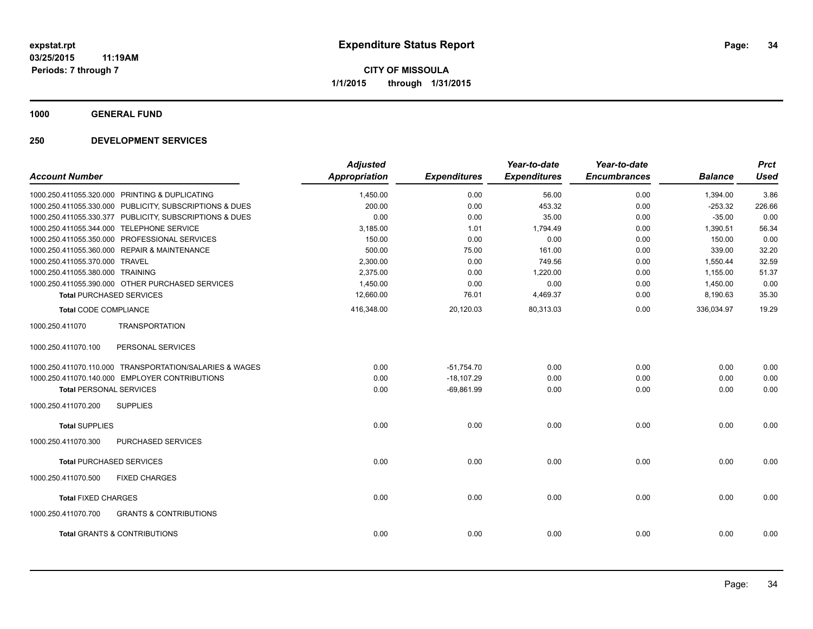**1000 GENERAL FUND**

| <b>Account Number</b>                                    | <b>Adjusted</b><br><b>Appropriation</b> | <b>Expenditures</b> | Year-to-date<br><b>Expenditures</b> | Year-to-date<br><b>Encumbrances</b> | <b>Balance</b> | <b>Prct</b><br><b>Used</b> |
|----------------------------------------------------------|-----------------------------------------|---------------------|-------------------------------------|-------------------------------------|----------------|----------------------------|
| 1000.250.411055.320.000 PRINTING & DUPLICATING           | 1,450.00                                | 0.00                | 56.00                               | 0.00                                | 1,394.00       | 3.86                       |
| 1000.250.411055.330.000 PUBLICITY, SUBSCRIPTIONS & DUES  | 200.00                                  | 0.00                | 453.32                              | 0.00                                | $-253.32$      | 226.66                     |
| 1000.250.411055.330.377 PUBLICITY, SUBSCRIPTIONS & DUES  | 0.00                                    | 0.00                | 35.00                               | 0.00                                | $-35.00$       | 0.00                       |
| 1000.250.411055.344.000 TELEPHONE SERVICE                | 3,185.00                                | 1.01                | 1,794.49                            | 0.00                                | 1,390.51       | 56.34                      |
| 1000.250.411055.350.000 PROFESSIONAL SERVICES            | 150.00                                  | 0.00                | 0.00                                | 0.00                                | 150.00         | 0.00                       |
| 1000.250.411055.360.000 REPAIR & MAINTENANCE             | 500.00                                  | 75.00               | 161.00                              | 0.00                                | 339.00         | 32.20                      |
| 1000.250.411055.370.000 TRAVEL                           | 2,300.00                                | 0.00                | 749.56                              | 0.00                                | 1,550.44       | 32.59                      |
| 1000.250.411055.380.000 TRAINING                         | 2,375.00                                | 0.00                | 1,220.00                            | 0.00                                | 1,155.00       | 51.37                      |
| 1000.250.411055.390.000 OTHER PURCHASED SERVICES         | 1,450.00                                | 0.00                | 0.00                                | 0.00                                | 1,450.00       | 0.00                       |
| <b>Total PURCHASED SERVICES</b>                          | 12,660.00                               | 76.01               | 4,469.37                            | 0.00                                | 8,190.63       | 35.30                      |
| <b>Total CODE COMPLIANCE</b>                             | 416,348.00                              | 20,120.03           | 80,313.03                           | 0.00                                | 336,034.97     | 19.29                      |
| 1000.250.411070<br><b>TRANSPORTATION</b>                 |                                         |                     |                                     |                                     |                |                            |
| 1000.250.411070.100<br>PERSONAL SERVICES                 |                                         |                     |                                     |                                     |                |                            |
| 1000.250.411070.110.000 TRANSPORTATION/SALARIES & WAGES  | 0.00                                    | $-51,754.70$        | 0.00                                | 0.00                                | 0.00           | 0.00                       |
| 1000.250.411070.140.000 EMPLOYER CONTRIBUTIONS           | 0.00                                    | $-18.107.29$        | 0.00                                | 0.00                                | 0.00           | 0.00                       |
| <b>Total PERSONAL SERVICES</b>                           | 0.00                                    | $-69,861.99$        | 0.00                                | 0.00                                | 0.00           | 0.00                       |
| 1000.250.411070.200<br><b>SUPPLIES</b>                   |                                         |                     |                                     |                                     |                |                            |
| <b>Total SUPPLIES</b>                                    | 0.00                                    | 0.00                | 0.00                                | 0.00                                | 0.00           | 0.00                       |
| <b>PURCHASED SERVICES</b><br>1000.250.411070.300         |                                         |                     |                                     |                                     |                |                            |
| <b>Total PURCHASED SERVICES</b>                          | 0.00                                    | 0.00                | 0.00                                | 0.00                                | 0.00           | 0.00                       |
| 1000.250.411070.500<br><b>FIXED CHARGES</b>              |                                         |                     |                                     |                                     |                |                            |
| <b>Total FIXED CHARGES</b>                               | 0.00                                    | 0.00                | 0.00                                | 0.00                                | 0.00           | 0.00                       |
| 1000.250.411070.700<br><b>GRANTS &amp; CONTRIBUTIONS</b> |                                         |                     |                                     |                                     |                |                            |
| <b>Total GRANTS &amp; CONTRIBUTIONS</b>                  | 0.00                                    | 0.00                | 0.00                                | 0.00                                | 0.00           | 0.00                       |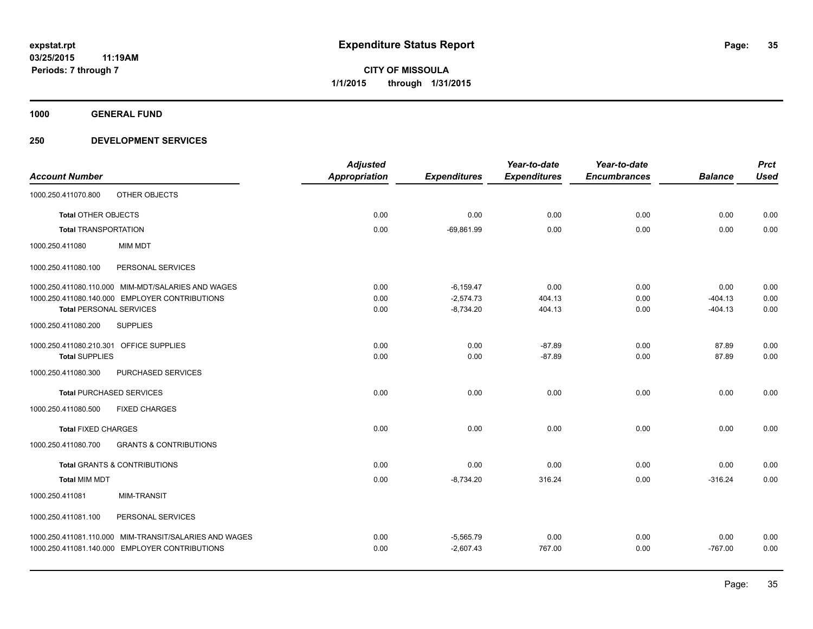**1000 GENERAL FUND**

| <b>Account Number</b>                   |                                                        | <b>Adjusted</b><br><b>Appropriation</b> | <b>Expenditures</b> | Year-to-date<br><b>Expenditures</b> | Year-to-date<br><b>Encumbrances</b> | <b>Balance</b> | <b>Prct</b><br><b>Used</b> |
|-----------------------------------------|--------------------------------------------------------|-----------------------------------------|---------------------|-------------------------------------|-------------------------------------|----------------|----------------------------|
| 1000.250.411070.800                     | OTHER OBJECTS                                          |                                         |                     |                                     |                                     |                |                            |
| <b>Total OTHER OBJECTS</b>              |                                                        | 0.00                                    | 0.00                | 0.00                                | 0.00                                | 0.00           | 0.00                       |
| <b>Total TRANSPORTATION</b>             |                                                        | 0.00                                    | $-69.861.99$        | 0.00                                | 0.00                                | 0.00           | 0.00                       |
| 1000.250.411080                         | MIM MDT                                                |                                         |                     |                                     |                                     |                |                            |
| 1000.250.411080.100                     | PERSONAL SERVICES                                      |                                         |                     |                                     |                                     |                |                            |
|                                         | 1000.250.411080.110.000 MIM-MDT/SALARIES AND WAGES     | 0.00                                    | $-6,159.47$         | 0.00                                | 0.00                                | 0.00           | 0.00                       |
|                                         | 1000.250.411080.140.000 EMPLOYER CONTRIBUTIONS         | 0.00                                    | $-2,574.73$         | 404.13                              | 0.00                                | $-404.13$      | 0.00                       |
| <b>Total PERSONAL SERVICES</b>          |                                                        | 0.00                                    | $-8,734.20$         | 404.13                              | 0.00                                | $-404.13$      | 0.00                       |
| 1000.250.411080.200                     | <b>SUPPLIES</b>                                        |                                         |                     |                                     |                                     |                |                            |
| 1000.250.411080.210.301 OFFICE SUPPLIES |                                                        | 0.00                                    | 0.00                | $-87.89$                            | 0.00                                | 87.89          | 0.00                       |
| <b>Total SUPPLIES</b>                   |                                                        | 0.00                                    | 0.00                | $-87.89$                            | 0.00                                | 87.89          | 0.00                       |
| 1000.250.411080.300                     | PURCHASED SERVICES                                     |                                         |                     |                                     |                                     |                |                            |
|                                         | <b>Total PURCHASED SERVICES</b>                        | 0.00                                    | 0.00                | 0.00                                | 0.00                                | 0.00           | 0.00                       |
| 1000.250.411080.500                     | <b>FIXED CHARGES</b>                                   |                                         |                     |                                     |                                     |                |                            |
| <b>Total FIXED CHARGES</b>              |                                                        | 0.00                                    | 0.00                | 0.00                                | 0.00                                | 0.00           | 0.00                       |
| 1000.250.411080.700                     | <b>GRANTS &amp; CONTRIBUTIONS</b>                      |                                         |                     |                                     |                                     |                |                            |
|                                         | <b>Total GRANTS &amp; CONTRIBUTIONS</b>                | 0.00                                    | 0.00                | 0.00                                | 0.00                                | 0.00           | 0.00                       |
| <b>Total MIM MDT</b>                    |                                                        | 0.00                                    | $-8,734.20$         | 316.24                              | 0.00                                | $-316.24$      | 0.00                       |
| 1000.250.411081                         | <b>MIM-TRANSIT</b>                                     |                                         |                     |                                     |                                     |                |                            |
| 1000.250.411081.100                     | PERSONAL SERVICES                                      |                                         |                     |                                     |                                     |                |                            |
|                                         | 1000.250.411081.110.000 MIM-TRANSIT/SALARIES AND WAGES | 0.00                                    | $-5,565.79$         | 0.00                                | 0.00                                | 0.00           | 0.00                       |
|                                         | 1000.250.411081.140.000 EMPLOYER CONTRIBUTIONS         | 0.00                                    | $-2,607.43$         | 767.00                              | 0.00                                | $-767.00$      | 0.00                       |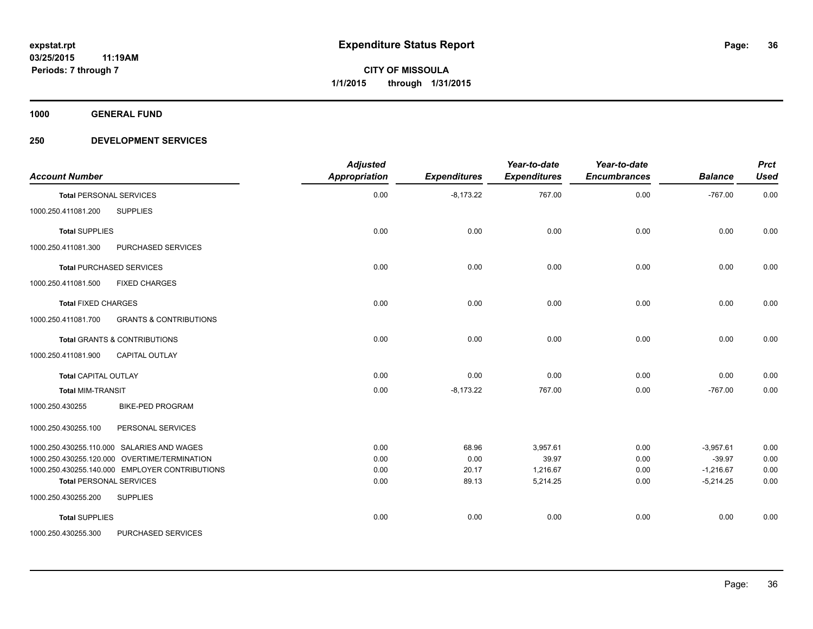**1000 GENERAL FUND**

| <b>Account Number</b>                                    | <b>Adjusted</b><br><b>Appropriation</b> | <b>Expenditures</b> | Year-to-date<br><b>Expenditures</b> | Year-to-date<br><b>Encumbrances</b> | <b>Balance</b> | <b>Prct</b><br><b>Used</b> |
|----------------------------------------------------------|-----------------------------------------|---------------------|-------------------------------------|-------------------------------------|----------------|----------------------------|
| <b>Total PERSONAL SERVICES</b>                           | 0.00                                    | $-8,173.22$         | 767.00                              | 0.00                                | $-767.00$      | 0.00                       |
| 1000.250.411081.200<br><b>SUPPLIES</b>                   |                                         |                     |                                     |                                     |                |                            |
| <b>Total SUPPLIES</b>                                    | 0.00                                    | 0.00                | 0.00                                | 0.00                                | 0.00           | 0.00                       |
| 1000.250.411081.300<br>PURCHASED SERVICES                |                                         |                     |                                     |                                     |                |                            |
| <b>Total PURCHASED SERVICES</b>                          | 0.00                                    | 0.00                | 0.00                                | 0.00                                | 0.00           | 0.00                       |
| 1000.250.411081.500<br><b>FIXED CHARGES</b>              |                                         |                     |                                     |                                     |                |                            |
| <b>Total FIXED CHARGES</b>                               | 0.00                                    | 0.00                | 0.00                                | 0.00                                | 0.00           | 0.00                       |
| <b>GRANTS &amp; CONTRIBUTIONS</b><br>1000.250.411081.700 |                                         |                     |                                     |                                     |                |                            |
| <b>Total GRANTS &amp; CONTRIBUTIONS</b>                  | 0.00                                    | 0.00                | 0.00                                | 0.00                                | 0.00           | 0.00                       |
| 1000.250.411081.900<br><b>CAPITAL OUTLAY</b>             |                                         |                     |                                     |                                     |                |                            |
| <b>Total CAPITAL OUTLAY</b>                              | 0.00                                    | 0.00                | 0.00                                | 0.00                                | 0.00           | 0.00                       |
| <b>Total MIM-TRANSIT</b>                                 | 0.00                                    | $-8,173.22$         | 767.00                              | 0.00                                | $-767.00$      | 0.00                       |
| <b>BIKE-PED PROGRAM</b><br>1000.250.430255               |                                         |                     |                                     |                                     |                |                            |
| 1000.250.430255.100<br>PERSONAL SERVICES                 |                                         |                     |                                     |                                     |                |                            |
| 1000.250.430255.110.000 SALARIES AND WAGES               | 0.00                                    | 68.96               | 3,957.61                            | 0.00                                | $-3,957.61$    | 0.00                       |
| 1000.250.430255.120.000 OVERTIME/TERMINATION             | 0.00                                    | 0.00                | 39.97                               | 0.00                                | $-39.97$       | 0.00                       |
| 1000.250.430255.140.000 EMPLOYER CONTRIBUTIONS           | 0.00                                    | 20.17               | 1,216.67                            | 0.00                                | $-1,216.67$    | 0.00                       |
| <b>Total PERSONAL SERVICES</b>                           | 0.00                                    | 89.13               | 5,214.25                            | 0.00                                | $-5,214.25$    | 0.00                       |
| 1000.250.430255.200<br><b>SUPPLIES</b>                   |                                         |                     |                                     |                                     |                |                            |
| <b>Total SUPPLIES</b>                                    | 0.00                                    | 0.00                | 0.00                                | 0.00                                | 0.00           | 0.00                       |
| 1000.250.430255.300<br>PURCHASED SERVICES                |                                         |                     |                                     |                                     |                |                            |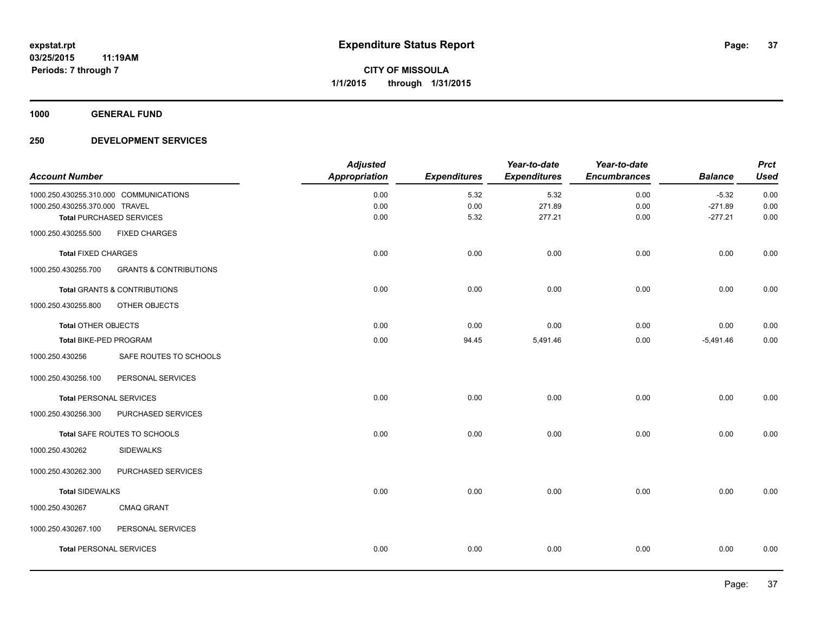**1000 GENERAL FUND**

# **250 DEVELOPMENT SERVICES**

|                                        |                                   | <b>Adjusted</b>      |                     | Year-to-date        | Year-to-date        |                | <b>Prct</b> |
|----------------------------------------|-----------------------------------|----------------------|---------------------|---------------------|---------------------|----------------|-------------|
| <b>Account Number</b>                  |                                   | <b>Appropriation</b> | <b>Expenditures</b> | <b>Expenditures</b> | <b>Encumbrances</b> | <b>Balance</b> | <b>Used</b> |
| 1000.250.430255.310.000 COMMUNICATIONS |                                   | 0.00                 | 5.32                | 5.32                | 0.00                | $-5.32$        | 0.00        |
| 1000.250.430255.370.000 TRAVEL         |                                   | 0.00                 | 0.00                | 271.89              | 0.00                | $-271.89$      | 0.00        |
|                                        | <b>Total PURCHASED SERVICES</b>   | 0.00                 | 5.32                | 277.21              | 0.00                | $-277.21$      | 0.00        |
| 1000.250.430255.500                    | <b>FIXED CHARGES</b>              |                      |                     |                     |                     |                |             |
| <b>Total FIXED CHARGES</b>             |                                   | 0.00                 | 0.00                | 0.00                | 0.00                | 0.00           | 0.00        |
| 1000.250.430255.700                    | <b>GRANTS &amp; CONTRIBUTIONS</b> |                      |                     |                     |                     |                |             |
|                                        | Total GRANTS & CONTRIBUTIONS      | 0.00                 | 0.00                | 0.00                | 0.00                | 0.00           | 0.00        |
| 1000.250.430255.800                    | OTHER OBJECTS                     |                      |                     |                     |                     |                |             |
| <b>Total OTHER OBJECTS</b>             |                                   | 0.00                 | 0.00                | 0.00                | 0.00                | 0.00           | 0.00        |
| Total BIKE-PED PROGRAM                 |                                   | 0.00                 | 94.45               | 5,491.46            | 0.00                | $-5,491.46$    | 0.00        |
| 1000.250.430256                        | SAFE ROUTES TO SCHOOLS            |                      |                     |                     |                     |                |             |
| 1000.250.430256.100                    | PERSONAL SERVICES                 |                      |                     |                     |                     |                |             |
| <b>Total PERSONAL SERVICES</b>         |                                   | 0.00                 | 0.00                | 0.00                | 0.00                | 0.00           | 0.00        |
| 1000.250.430256.300                    | PURCHASED SERVICES                |                      |                     |                     |                     |                |             |
|                                        | Total SAFE ROUTES TO SCHOOLS      | 0.00                 | 0.00                | 0.00                | 0.00                | 0.00           | 0.00        |
| 1000.250.430262                        | <b>SIDEWALKS</b>                  |                      |                     |                     |                     |                |             |
| 1000.250.430262.300                    | PURCHASED SERVICES                |                      |                     |                     |                     |                |             |
| <b>Total SIDEWALKS</b>                 |                                   | 0.00                 | 0.00                | 0.00                | 0.00                | 0.00           | 0.00        |
| 1000.250.430267                        | <b>CMAQ GRANT</b>                 |                      |                     |                     |                     |                |             |
| 1000.250.430267.100                    | PERSONAL SERVICES                 |                      |                     |                     |                     |                |             |
| <b>Total PERSONAL SERVICES</b>         |                                   | 0.00                 | 0.00                | 0.00                | 0.00                | 0.00           | 0.00        |
|                                        |                                   |                      |                     |                     |                     |                |             |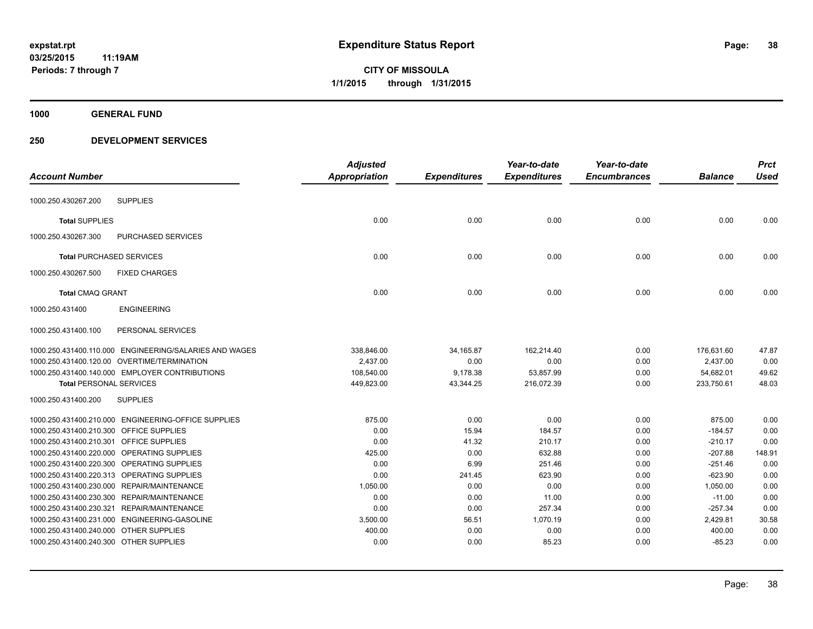**1000 GENERAL FUND**

# **250 DEVELOPMENT SERVICES**

|                                            |                                                        | <b>Adjusted</b>      |                     | Year-to-date        | Year-to-date        |                | <b>Prct</b> |
|--------------------------------------------|--------------------------------------------------------|----------------------|---------------------|---------------------|---------------------|----------------|-------------|
| <b>Account Number</b>                      |                                                        | <b>Appropriation</b> | <b>Expenditures</b> | <b>Expenditures</b> | <b>Encumbrances</b> | <b>Balance</b> | <b>Used</b> |
| 1000.250.430267.200                        | <b>SUPPLIES</b>                                        |                      |                     |                     |                     |                |             |
| <b>Total SUPPLIES</b>                      |                                                        | 0.00                 | 0.00                | 0.00                | 0.00                | 0.00           | 0.00        |
| 1000.250.430267.300                        | PURCHASED SERVICES                                     |                      |                     |                     |                     |                |             |
| <b>Total PURCHASED SERVICES</b>            |                                                        | 0.00                 | 0.00                | 0.00                | 0.00                | 0.00           | 0.00        |
| 1000.250.430267.500                        | <b>FIXED CHARGES</b>                                   |                      |                     |                     |                     |                |             |
| <b>Total CMAQ GRANT</b>                    |                                                        | 0.00                 | 0.00                | 0.00                | 0.00                | 0.00           | 0.00        |
| 1000.250.431400                            | <b>ENGINEERING</b>                                     |                      |                     |                     |                     |                |             |
| 1000.250.431400.100                        | PERSONAL SERVICES                                      |                      |                     |                     |                     |                |             |
|                                            | 1000.250.431400.110.000 ENGINEERING/SALARIES AND WAGES | 338,846.00           | 34,165.87           | 162,214.40          | 0.00                | 176,631.60     | 47.87       |
|                                            | 1000.250.431400.120.00 OVERTIME/TERMINATION            | 2,437.00             | 0.00                | 0.00                | 0.00                | 2,437.00       | 0.00        |
|                                            | 1000.250.431400.140.000 EMPLOYER CONTRIBUTIONS         | 108,540.00           | 9,178.38            | 53,857.99           | 0.00                | 54,682.01      | 49.62       |
| <b>Total PERSONAL SERVICES</b>             |                                                        | 449,823.00           | 43,344.25           | 216,072.39          | 0.00                | 233,750.61     | 48.03       |
| 1000.250.431400.200                        | <b>SUPPLIES</b>                                        |                      |                     |                     |                     |                |             |
|                                            | 1000.250.431400.210.000 ENGINEERING-OFFICE SUPPLIES    | 875.00               | 0.00                | 0.00                | 0.00                | 875.00         | 0.00        |
| 1000.250.431400.210.300 OFFICE SUPPLIES    |                                                        | 0.00                 | 15.94               | 184.57              | 0.00                | $-184.57$      | 0.00        |
| 1000.250.431400.210.301                    | <b>OFFICE SUPPLIES</b>                                 | 0.00                 | 41.32               | 210.17              | 0.00                | $-210.17$      | 0.00        |
| 1000.250.431400.220.000 OPERATING SUPPLIES |                                                        | 425.00               | 0.00                | 632.88              | 0.00                | $-207.88$      | 148.91      |
| 1000.250.431400.220.300 OPERATING SUPPLIES |                                                        | 0.00                 | 6.99                | 251.46              | 0.00                | $-251.46$      | 0.00        |
| 1000.250.431400.220.313 OPERATING SUPPLIES |                                                        | 0.00                 | 241.45              | 623.90              | 0.00                | $-623.90$      | 0.00        |
| 1000.250.431400.230.000 REPAIR/MAINTENANCE |                                                        | 1,050.00             | 0.00                | 0.00                | 0.00                | 1,050.00       | 0.00        |
| 1000.250.431400.230.300 REPAIR/MAINTENANCE |                                                        | 0.00                 | 0.00                | 11.00               | 0.00                | $-11.00$       | 0.00        |
| 1000.250.431400.230.321 REPAIR/MAINTENANCE |                                                        | 0.00                 | 0.00                | 257.34              | 0.00                | $-257.34$      | 0.00        |
|                                            | 1000.250.431400.231.000 ENGINEERING-GASOLINE           | 3,500.00             | 56.51               | 1,070.19            | 0.00                | 2,429.81       | 30.58       |
| 1000.250.431400.240.000 OTHER SUPPLIES     |                                                        | 400.00               | 0.00                | 0.00                | 0.00                | 400.00         | 0.00        |
| 1000.250.431400.240.300 OTHER SUPPLIES     |                                                        | 0.00                 | 0.00                | 85.23               | 0.00                | $-85.23$       | 0.00        |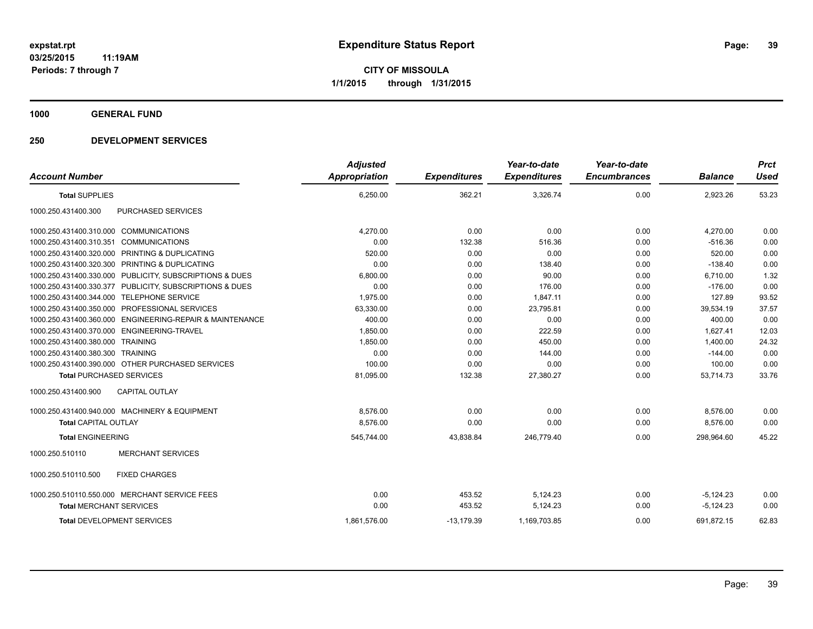# **1000 GENERAL FUND**

# **250 DEVELOPMENT SERVICES**

|                                                          | <b>Adjusted</b> |                     | Year-to-date        | Year-to-date        |                | <b>Prct</b> |
|----------------------------------------------------------|-----------------|---------------------|---------------------|---------------------|----------------|-------------|
| <b>Account Number</b>                                    | Appropriation   | <b>Expenditures</b> | <b>Expenditures</b> | <b>Encumbrances</b> | <b>Balance</b> | <b>Used</b> |
| <b>Total SUPPLIES</b>                                    | 6,250.00        | 362.21              | 3,326.74            | 0.00                | 2,923.26       | 53.23       |
| PURCHASED SERVICES<br>1000.250.431400.300                |                 |                     |                     |                     |                |             |
| 1000.250.431400.310.000 COMMUNICATIONS                   | 4.270.00        | 0.00                | 0.00                | 0.00                | 4,270.00       | 0.00        |
| 1000.250.431400.310.351 COMMUNICATIONS                   | 0.00            | 132.38              | 516.36              | 0.00                | $-516.36$      | 0.00        |
| 1000.250.431400.320.000 PRINTING & DUPLICATING           | 520.00          | 0.00                | 0.00                | 0.00                | 520.00         | 0.00        |
| 1000.250.431400.320.300 PRINTING & DUPLICATING           | 0.00            | 0.00                | 138.40              | 0.00                | $-138.40$      | 0.00        |
| 1000.250.431400.330.000 PUBLICITY, SUBSCRIPTIONS & DUES  | 6,800.00        | 0.00                | 90.00               | 0.00                | 6,710.00       | 1.32        |
| 1000.250.431400.330.377 PUBLICITY, SUBSCRIPTIONS & DUES  | 0.00            | 0.00                | 176.00              | 0.00                | $-176.00$      | 0.00        |
| 1000.250.431400.344.000 TELEPHONE SERVICE                | 1,975.00        | 0.00                | 1,847.11            | 0.00                | 127.89         | 93.52       |
| 1000.250.431400.350.000 PROFESSIONAL SERVICES            | 63,330.00       | 0.00                | 23,795.81           | 0.00                | 39,534.19      | 37.57       |
| 1000.250.431400.360.000 ENGINEERING-REPAIR & MAINTENANCE | 400.00          | 0.00                | 0.00                | 0.00                | 400.00         | 0.00        |
| 1000.250.431400.370.000 ENGINEERING-TRAVEL               | 1,850.00        | 0.00                | 222.59              | 0.00                | 1,627.41       | 12.03       |
| 1000.250.431400.380.000 TRAINING                         | 1,850.00        | 0.00                | 450.00              | 0.00                | 1.400.00       | 24.32       |
| 1000.250.431400.380.300 TRAINING                         | 0.00            | 0.00                | 144.00              | 0.00                | $-144.00$      | 0.00        |
| 1000.250.431400.390.000 OTHER PURCHASED SERVICES         | 100.00          | 0.00                | 0.00                | 0.00                | 100.00         | 0.00        |
| <b>Total PURCHASED SERVICES</b>                          | 81,095.00       | 132.38              | 27,380.27           | 0.00                | 53,714.73      | 33.76       |
| CAPITAL OUTLAY<br>1000.250.431400.900                    |                 |                     |                     |                     |                |             |
| 1000.250.431400.940.000 MACHINERY & EQUIPMENT            | 8,576.00        | 0.00                | 0.00                | 0.00                | 8,576.00       | 0.00        |
| <b>Total CAPITAL OUTLAY</b>                              | 8,576.00        | 0.00                | 0.00                | 0.00                | 8,576.00       | 0.00        |
| <b>Total ENGINEERING</b>                                 | 545,744.00      | 43,838.84           | 246,779.40          | 0.00                | 298.964.60     | 45.22       |
| 1000.250.510110<br><b>MERCHANT SERVICES</b>              |                 |                     |                     |                     |                |             |
| 1000.250.510110.500<br><b>FIXED CHARGES</b>              |                 |                     |                     |                     |                |             |
| 1000.250.510110.550.000 MERCHANT SERVICE FEES            | 0.00            | 453.52              | 5,124.23            | 0.00                | $-5,124.23$    | 0.00        |
| <b>Total MERCHANT SERVICES</b>                           | 0.00            | 453.52              | 5,124.23            | 0.00                | $-5,124.23$    | 0.00        |
| <b>Total DEVELOPMENT SERVICES</b>                        | 1,861,576.00    | $-13,179.39$        | 1,169,703.85        | 0.00                | 691,872.15     | 62.83       |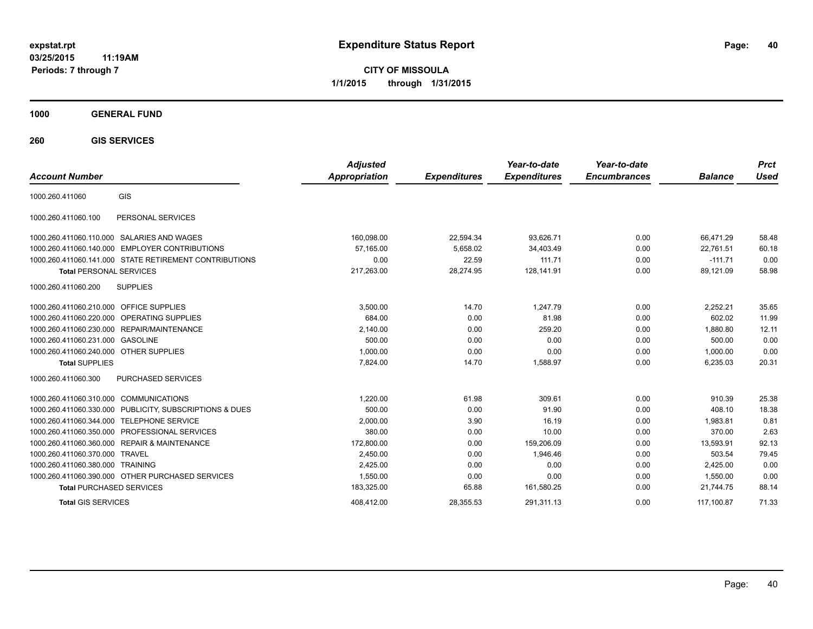**CITY OF MISSOULA 1/1/2015 through 1/31/2015**

# **1000 GENERAL FUND**

**260 GIS SERVICES**

| <b>Account Number</b>                                      | <b>Adjusted</b><br><b>Appropriation</b> | <b>Expenditures</b> | Year-to-date<br><b>Expenditures</b> | Year-to-date<br><b>Encumbrances</b> | <b>Balance</b> | <b>Prct</b><br>Used |
|------------------------------------------------------------|-----------------------------------------|---------------------|-------------------------------------|-------------------------------------|----------------|---------------------|
| GIS<br>1000.260.411060                                     |                                         |                     |                                     |                                     |                |                     |
| PERSONAL SERVICES<br>1000.260.411060.100                   |                                         |                     |                                     |                                     |                |                     |
| 1000.260.411060.110.000 SALARIES AND WAGES                 | 160,098.00                              | 22,594.34           | 93,626.71                           | 0.00                                | 66,471.29      | 58.48               |
| 1000.260.411060.140.000<br><b>EMPLOYER CONTRIBUTIONS</b>   | 57.165.00                               | 5,658.02            | 34,403.49                           | 0.00                                | 22.761.51      | 60.18               |
| 1000.260.411060.141.000 STATE RETIREMENT CONTRIBUTIONS     | 0.00                                    | 22.59               | 111.71                              | 0.00                                | $-111.71$      | 0.00                |
| <b>Total PERSONAL SERVICES</b>                             | 217,263.00                              | 28,274.95           | 128,141.91                          | 0.00                                | 89,121.09      | 58.98               |
| <b>SUPPLIES</b><br>1000.260.411060.200                     |                                         |                     |                                     |                                     |                |                     |
| 1000.260.411060.210.000 OFFICE SUPPLIES                    | 3,500.00                                | 14.70               | 1,247.79                            | 0.00                                | 2,252.21       | 35.65               |
| 1000.260.411060.220.000<br><b>OPERATING SUPPLIES</b>       | 684.00                                  | 0.00                | 81.98                               | 0.00                                | 602.02         | 11.99               |
| <b>REPAIR/MAINTENANCE</b><br>1000.260.411060.230.000       | 2,140.00                                | 0.00                | 259.20                              | 0.00                                | 1.880.80       | 12.11               |
| 1000.260.411060.231.000 GASOLINE                           | 500.00                                  | 0.00                | 0.00                                | 0.00                                | 500.00         | 0.00                |
| 1000.260.411060.240.000 OTHER SUPPLIES                     | 1.000.00                                | 0.00                | 0.00                                | 0.00                                | 1.000.00       | 0.00                |
| <b>Total SUPPLIES</b>                                      | 7,824.00                                | 14.70               | 1,588.97                            | 0.00                                | 6,235.03       | 20.31               |
| 1000.260.411060.300<br><b>PURCHASED SERVICES</b>           |                                         |                     |                                     |                                     |                |                     |
| 1000.260.411060.310.000 COMMUNICATIONS                     | 1,220.00                                | 61.98               | 309.61                              | 0.00                                | 910.39         | 25.38               |
| PUBLICITY, SUBSCRIPTIONS & DUES<br>1000.260.411060.330.000 | 500.00                                  | 0.00                | 91.90                               | 0.00                                | 408.10         | 18.38               |
| <b>TELEPHONE SERVICE</b><br>1000.260.411060.344.000        | 2,000.00                                | 3.90                | 16.19                               | 0.00                                | 1.983.81       | 0.81                |
| <b>PROFESSIONAL SERVICES</b><br>1000.260.411060.350.000    | 380.00                                  | 0.00                | 10.00                               | 0.00                                | 370.00         | 2.63                |
| 1000.260.411060.360.000<br><b>REPAIR &amp; MAINTENANCE</b> | 172,800.00                              | 0.00                | 159,206.09                          | 0.00                                | 13,593.91      | 92.13               |
| <b>TRAVEL</b><br>1000.260.411060.370.000                   | 2,450.00                                | 0.00                | 1.946.46                            | 0.00                                | 503.54         | 79.45               |
| 1000.260.411060.380.000<br><b>TRAINING</b>                 | 2,425.00                                | 0.00                | 0.00                                | 0.00                                | 2,425.00       | 0.00                |
| 1000.260.411060.390.000 OTHER PURCHASED SERVICES           | 1,550.00                                | 0.00                | 0.00                                | 0.00                                | 1.550.00       | 0.00                |
| <b>Total PURCHASED SERVICES</b>                            | 183,325.00                              | 65.88               | 161,580.25                          | 0.00                                | 21,744.75      | 88.14               |
| <b>Total GIS SERVICES</b>                                  | 408.412.00                              | 28.355.53           | 291.311.13                          | 0.00                                | 117.100.87     | 71.33               |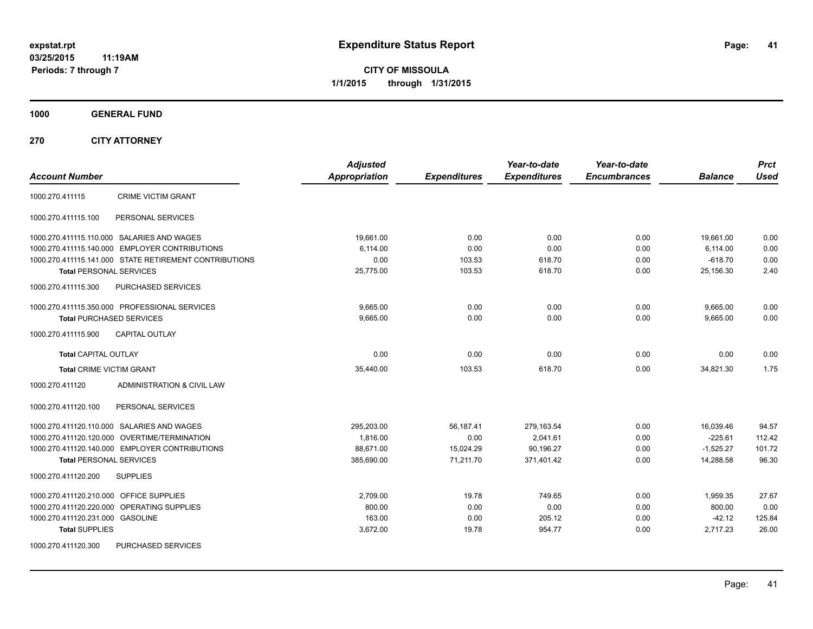**CITY OF MISSOULA 1/1/2015 through 1/31/2015**

**1000 GENERAL FUND**

**270 CITY ATTORNEY**

| <b>Account Number</b>                                                                                                                                                   | <b>Adjusted</b><br><b>Appropriation</b>           | <b>Expenditures</b>                         | Year-to-date<br><b>Expenditures</b>               | Year-to-date<br><b>Encumbrances</b> | <b>Balance</b>                                     | <b>Prct</b><br><b>Used</b>         |
|-------------------------------------------------------------------------------------------------------------------------------------------------------------------------|---------------------------------------------------|---------------------------------------------|---------------------------------------------------|-------------------------------------|----------------------------------------------------|------------------------------------|
| <b>CRIME VICTIM GRANT</b><br>1000.270.411115                                                                                                                            |                                                   |                                             |                                                   |                                     |                                                    |                                    |
| PERSONAL SERVICES<br>1000.270.411115.100                                                                                                                                |                                                   |                                             |                                                   |                                     |                                                    |                                    |
| 1000.270.411115.110.000 SALARIES AND WAGES<br>1000.270.411115.140.000 EMPLOYER CONTRIBUTIONS                                                                            | 19,661.00<br>6,114.00                             | 0.00<br>0.00                                | 0.00<br>0.00                                      | 0.00<br>0.00                        | 19,661.00<br>6,114.00                              | 0.00<br>0.00                       |
| 1000.270.411115.141.000 STATE RETIREMENT CONTRIBUTIONS<br><b>Total PERSONAL SERVICES</b>                                                                                | 0.00<br>25,775.00                                 | 103.53<br>103.53                            | 618.70<br>618.70                                  | 0.00<br>0.00                        | $-618.70$<br>25,156.30                             | 0.00<br>2.40                       |
| PURCHASED SERVICES<br>1000.270.411115.300                                                                                                                               |                                                   |                                             |                                                   |                                     |                                                    |                                    |
| 1000.270.411115.350.000 PROFESSIONAL SERVICES<br><b>Total PURCHASED SERVICES</b>                                                                                        | 9,665.00<br>9,665.00                              | 0.00<br>0.00                                | 0.00<br>0.00                                      | 0.00<br>0.00                        | 9,665.00<br>9,665.00                               | 0.00<br>0.00                       |
| 1000.270.411115.900<br><b>CAPITAL OUTLAY</b>                                                                                                                            |                                                   |                                             |                                                   |                                     |                                                    |                                    |
| <b>Total CAPITAL OUTLAY</b>                                                                                                                                             | 0.00                                              | 0.00                                        | 0.00                                              | 0.00                                | 0.00                                               | 0.00                               |
| <b>Total CRIME VICTIM GRANT</b>                                                                                                                                         | 35,440.00                                         | 103.53                                      | 618.70                                            | 0.00                                | 34,821.30                                          | 1.75                               |
| 1000.270.411120<br>ADMINISTRATION & CIVIL LAW                                                                                                                           |                                                   |                                             |                                                   |                                     |                                                    |                                    |
| PERSONAL SERVICES<br>1000.270.411120.100                                                                                                                                |                                                   |                                             |                                                   |                                     |                                                    |                                    |
| 1000.270.411120.110.000 SALARIES AND WAGES<br>1000.270.411120.120.000 OVERTIME/TERMINATION<br>1000.270.411120.140.000 EMPLOYER CONTRIBUTIONS<br>Total PERSONAL SERVICES | 295,203.00<br>1,816.00<br>88,671.00<br>385,690.00 | 56,187.41<br>0.00<br>15,024.29<br>71,211.70 | 279,163.54<br>2,041.61<br>90,196.27<br>371,401.42 | 0.00<br>0.00<br>0.00<br>0.00        | 16,039.46<br>$-225.61$<br>$-1,525.27$<br>14,288.58 | 94.57<br>112.42<br>101.72<br>96.30 |
| 1000.270.411120.200<br><b>SUPPLIES</b>                                                                                                                                  |                                                   |                                             |                                                   |                                     |                                                    |                                    |
| 1000.270.411120.210.000 OFFICE SUPPLIES<br>1000.270.411120.220.000 OPERATING SUPPLIES<br>1000.270.411120.231.000 GASOLINE<br><b>Total SUPPLIES</b>                      | 2,709.00<br>800.00<br>163.00<br>3,672.00          | 19.78<br>0.00<br>0.00<br>19.78              | 749.65<br>0.00<br>205.12<br>954.77                | 0.00<br>0.00<br>0.00<br>0.00        | 1,959.35<br>800.00<br>$-42.12$<br>2,717.23         | 27.67<br>0.00<br>125.84<br>26.00   |
| 1000.270.411120.300<br><b>PURCHASED SERVICES</b>                                                                                                                        |                                                   |                                             |                                                   |                                     |                                                    |                                    |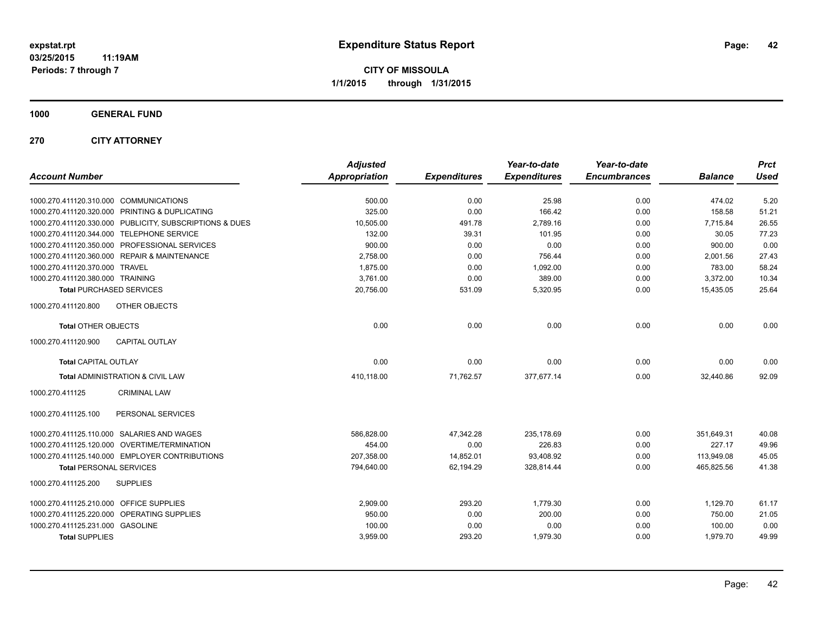**CITY OF MISSOULA 1/1/2015 through 1/31/2015**

# **1000 GENERAL FUND**

# **270 CITY ATTORNEY**

|                                                         | <b>Adjusted</b>      |                     | Year-to-date        | Year-to-date        |                | <b>Prct</b> |
|---------------------------------------------------------|----------------------|---------------------|---------------------|---------------------|----------------|-------------|
| <b>Account Number</b>                                   | <b>Appropriation</b> | <b>Expenditures</b> | <b>Expenditures</b> | <b>Encumbrances</b> | <b>Balance</b> | <b>Used</b> |
| 1000.270.411120.310.000 COMMUNICATIONS                  | 500.00               | 0.00                | 25.98               | 0.00                | 474.02         | 5.20        |
| 1000.270.411120.320.000 PRINTING & DUPLICATING          | 325.00               | 0.00                | 166.42              | 0.00                | 158.58         | 51.21       |
| 1000.270.411120.330.000 PUBLICITY, SUBSCRIPTIONS & DUES | 10,505.00            | 491.78              | 2.789.16            | 0.00                | 7.715.84       | 26.55       |
| 1000.270.411120.344.000 TELEPHONE SERVICE               | 132.00               | 39.31               | 101.95              | 0.00                | 30.05          | 77.23       |
| 1000.270.411120.350.000 PROFESSIONAL SERVICES           | 900.00               | 0.00                | 0.00                | 0.00                | 900.00         | 0.00        |
| 1000.270.411120.360.000 REPAIR & MAINTENANCE            | 2,758.00             | 0.00                | 756.44              | 0.00                | 2,001.56       | 27.43       |
| 1000.270.411120.370.000 TRAVEL                          | 1,875.00             | 0.00                | 1,092.00            | 0.00                | 783.00         | 58.24       |
| 1000.270.411120.380.000 TRAINING                        | 3,761.00             | 0.00                | 389.00              | 0.00                | 3,372.00       | 10.34       |
| <b>Total PURCHASED SERVICES</b>                         | 20,756.00            | 531.09              | 5,320.95            | 0.00                | 15,435.05      | 25.64       |
| 1000.270.411120.800<br>OTHER OBJECTS                    |                      |                     |                     |                     |                |             |
| <b>Total OTHER OBJECTS</b>                              | 0.00                 | 0.00                | 0.00                | 0.00                | 0.00           | 0.00        |
| 1000.270.411120.900<br><b>CAPITAL OUTLAY</b>            |                      |                     |                     |                     |                |             |
| <b>Total CAPITAL OUTLAY</b>                             | 0.00                 | 0.00                | 0.00                | 0.00                | 0.00           | 0.00        |
| Total ADMINISTRATION & CIVIL LAW                        | 410,118.00           | 71,762.57           | 377,677.14          | 0.00                | 32,440.86      | 92.09       |
| 1000.270.411125<br><b>CRIMINAL LAW</b>                  |                      |                     |                     |                     |                |             |
| PERSONAL SERVICES<br>1000.270.411125.100                |                      |                     |                     |                     |                |             |
| 1000.270.411125.110.000 SALARIES AND WAGES              | 586,828.00           | 47,342.28           | 235,178.69          | 0.00                | 351,649.31     | 40.08       |
| 1000.270.411125.120.000 OVERTIME/TERMINATION            | 454.00               | 0.00                | 226.83              | 0.00                | 227.17         | 49.96       |
| 1000.270.411125.140.000 EMPLOYER CONTRIBUTIONS          | 207,358.00           | 14,852.01           | 93,408.92           | 0.00                | 113,949.08     | 45.05       |
| <b>Total PERSONAL SERVICES</b>                          | 794,640.00           | 62.194.29           | 328,814.44          | 0.00                | 465.825.56     | 41.38       |
| <b>SUPPLIES</b><br>1000.270.411125.200                  |                      |                     |                     |                     |                |             |
| 1000.270.411125.210.000 OFFICE SUPPLIES                 | 2,909.00             | 293.20              | 1,779.30            | 0.00                | 1,129.70       | 61.17       |
| 1000.270.411125.220.000 OPERATING SUPPLIES              | 950.00               | 0.00                | 200.00              | 0.00                | 750.00         | 21.05       |
| 1000.270.411125.231.000 GASOLINE                        | 100.00               | 0.00                | 0.00                | 0.00                | 100.00         | 0.00        |
| <b>Total SUPPLIES</b>                                   | 3,959.00             | 293.20              | 1,979.30            | 0.00                | 1,979.70       | 49.99       |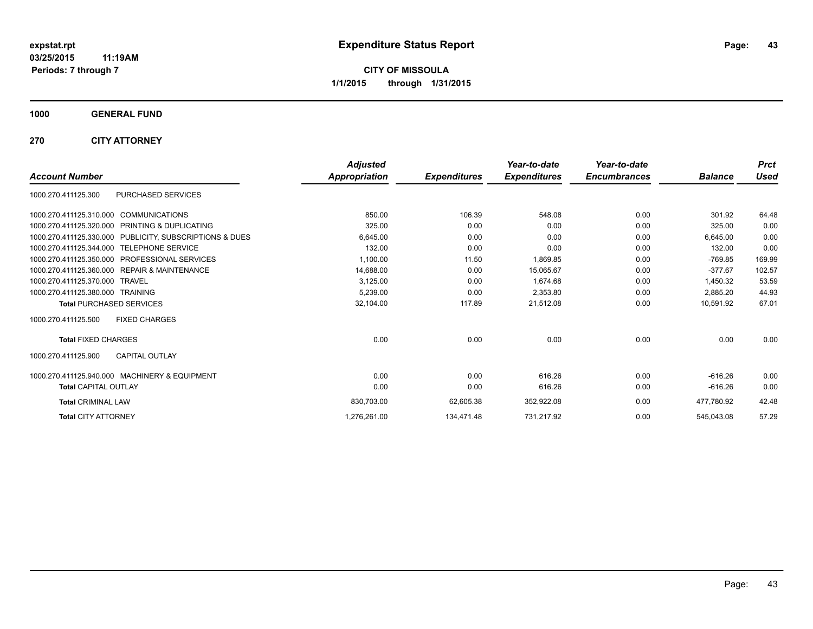**CITY OF MISSOULA 1/1/2015 through 1/31/2015**

**1000 GENERAL FUND**

**270 CITY ATTORNEY**

|                                                            | <b>Adjusted</b>      |                     | Year-to-date        | Year-to-date        |                | <b>Prct</b> |
|------------------------------------------------------------|----------------------|---------------------|---------------------|---------------------|----------------|-------------|
| <b>Account Number</b>                                      | <b>Appropriation</b> | <b>Expenditures</b> | <b>Expenditures</b> | <b>Encumbrances</b> | <b>Balance</b> | <b>Used</b> |
| PURCHASED SERVICES<br>1000.270.411125.300                  |                      |                     |                     |                     |                |             |
| 1000.270.411125.310.000 COMMUNICATIONS                     | 850.00               | 106.39              | 548.08              | 0.00                | 301.92         | 64.48       |
| PRINTING & DUPLICATING<br>1000.270.411125.320.000          | 325.00               | 0.00                | 0.00                | 0.00                | 325.00         | 0.00        |
| 1000.270.411125.330.000 PUBLICITY, SUBSCRIPTIONS & DUES    | 6,645.00             | 0.00                | 0.00                | 0.00                | 6.645.00       | 0.00        |
| 1000.270.411125.344.000 TELEPHONE SERVICE                  | 132.00               | 0.00                | 0.00                | 0.00                | 132.00         | 0.00        |
| <b>PROFESSIONAL SERVICES</b><br>1000.270.411125.350.000    | 1,100.00             | 11.50               | 1,869.85            | 0.00                | $-769.85$      | 169.99      |
| <b>REPAIR &amp; MAINTENANCE</b><br>1000.270.411125.360.000 | 14,688.00            | 0.00                | 15,065.67           | 0.00                | $-377.67$      | 102.57      |
| 1000.270.411125.370.000<br><b>TRAVEL</b>                   | 3,125.00             | 0.00                | 1,674.68            | 0.00                | 1,450.32       | 53.59       |
| 1000.270.411125.380.000 TRAINING                           | 5,239.00             | 0.00                | 2,353.80            | 0.00                | 2.885.20       | 44.93       |
| <b>Total PURCHASED SERVICES</b>                            | 32,104.00            | 117.89              | 21,512.08           | 0.00                | 10,591.92      | 67.01       |
| <b>FIXED CHARGES</b><br>1000.270.411125.500                |                      |                     |                     |                     |                |             |
| <b>Total FIXED CHARGES</b>                                 | 0.00                 | 0.00                | 0.00                | 0.00                | 0.00           | 0.00        |
| <b>CAPITAL OUTLAY</b><br>1000.270.411125.900               |                      |                     |                     |                     |                |             |
| 1000.270.411125.940.000 MACHINERY & EQUIPMENT              | 0.00                 | 0.00                | 616.26              | 0.00                | $-616.26$      | 0.00        |
| <b>Total CAPITAL OUTLAY</b>                                | 0.00                 | 0.00                | 616.26              | 0.00                | $-616.26$      | 0.00        |
| <b>Total CRIMINAL LAW</b>                                  | 830,703.00           | 62,605.38           | 352,922.08          | 0.00                | 477,780.92     | 42.48       |
| <b>Total CITY ATTORNEY</b>                                 | 1,276,261.00         | 134,471.48          | 731,217.92          | 0.00                | 545,043.08     | 57.29       |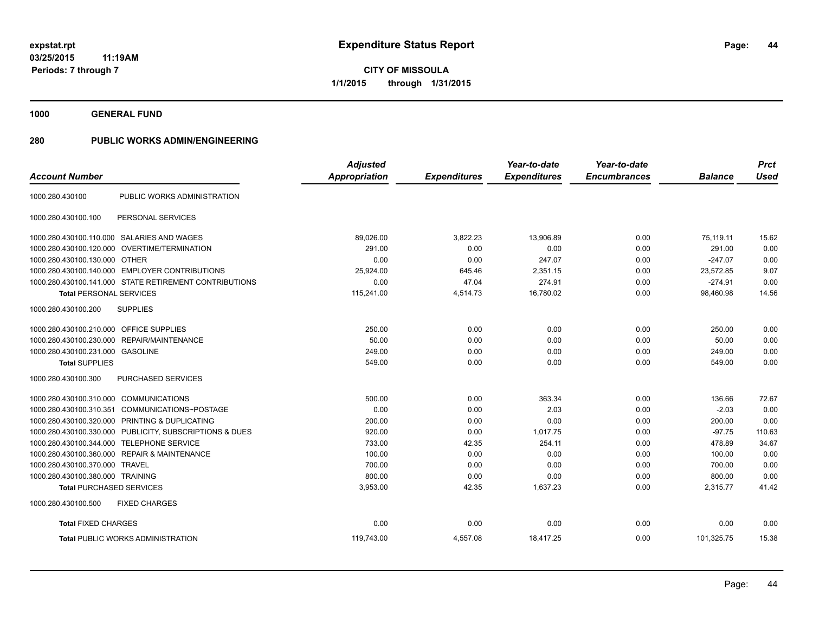**1000 GENERAL FUND**

|                                         |                                                         | <b>Adjusted</b>      |                     | Year-to-date        | Year-to-date        |                | <b>Prct</b> |
|-----------------------------------------|---------------------------------------------------------|----------------------|---------------------|---------------------|---------------------|----------------|-------------|
| <b>Account Number</b>                   |                                                         | <b>Appropriation</b> | <b>Expenditures</b> | <b>Expenditures</b> | <b>Encumbrances</b> | <b>Balance</b> | <b>Used</b> |
| 1000.280.430100                         | PUBLIC WORKS ADMINISTRATION                             |                      |                     |                     |                     |                |             |
| 1000.280.430100.100                     | PERSONAL SERVICES                                       |                      |                     |                     |                     |                |             |
|                                         | 1000.280.430100.110.000 SALARIES AND WAGES              | 89,026.00            | 3,822.23            | 13.906.89           | 0.00                | 75,119.11      | 15.62       |
| 1000.280.430100.120.000                 | OVERTIME/TERMINATION                                    | 291.00               | 0.00                | 0.00                | 0.00                | 291.00         | 0.00        |
| 1000.280.430100.130.000 OTHER           |                                                         | 0.00                 | 0.00                | 247.07              | 0.00                | $-247.07$      | 0.00        |
|                                         | 1000.280.430100.140.000 EMPLOYER CONTRIBUTIONS          | 25,924.00            | 645.46              | 2,351.15            | 0.00                | 23.572.85      | 9.07        |
|                                         | 1000.280.430100.141.000 STATE RETIREMENT CONTRIBUTIONS  | 0.00                 | 47.04               | 274.91              | 0.00                | $-274.91$      | 0.00        |
| <b>Total PERSONAL SERVICES</b>          |                                                         | 115,241.00           | 4,514.73            | 16,780.02           | 0.00                | 98,460.98      | 14.56       |
| 1000.280.430100.200                     | <b>SUPPLIES</b>                                         |                      |                     |                     |                     |                |             |
| 1000.280.430100.210.000 OFFICE SUPPLIES |                                                         | 250.00               | 0.00                | 0.00                | 0.00                | 250.00         | 0.00        |
|                                         | 1000.280.430100.230.000 REPAIR/MAINTENANCE              | 50.00                | 0.00                | 0.00                | 0.00                | 50.00          | 0.00        |
| 1000.280.430100.231.000 GASOLINE        |                                                         | 249.00               | 0.00                | 0.00                | 0.00                | 249.00         | 0.00        |
| <b>Total SUPPLIES</b>                   |                                                         | 549.00               | 0.00                | 0.00                | 0.00                | 549.00         | 0.00        |
| 1000.280.430100.300                     | <b>PURCHASED SERVICES</b>                               |                      |                     |                     |                     |                |             |
| 1000.280.430100.310.000                 | <b>COMMUNICATIONS</b>                                   | 500.00               | 0.00                | 363.34              | 0.00                | 136.66         | 72.67       |
| 1000.280.430100.310.351                 | COMMUNICATIONS~POSTAGE                                  | 0.00                 | 0.00                | 2.03                | 0.00                | $-2.03$        | 0.00        |
|                                         | 1000.280.430100.320.000 PRINTING & DUPLICATING          | 200.00               | 0.00                | 0.00                | 0.00                | 200.00         | 0.00        |
|                                         | 1000.280.430100.330.000 PUBLICITY, SUBSCRIPTIONS & DUES | 920.00               | 0.00                | 1,017.75            | 0.00                | $-97.75$       | 110.63      |
| 1000.280.430100.344.000                 | <b>TELEPHONE SERVICE</b>                                | 733.00               | 42.35               | 254.11              | 0.00                | 478.89         | 34.67       |
|                                         | 1000.280.430100.360.000 REPAIR & MAINTENANCE            | 100.00               | 0.00                | 0.00                | 0.00                | 100.00         | 0.00        |
| 1000.280.430100.370.000 TRAVEL          |                                                         | 700.00               | 0.00                | 0.00                | 0.00                | 700.00         | 0.00        |
| 1000.280.430100.380.000 TRAINING        |                                                         | 800.00               | 0.00                | 0.00                | 0.00                | 800.00         | 0.00        |
| <b>Total PURCHASED SERVICES</b>         |                                                         | 3,953.00             | 42.35               | 1,637.23            | 0.00                | 2,315.77       | 41.42       |
| 1000.280.430100.500                     | <b>FIXED CHARGES</b>                                    |                      |                     |                     |                     |                |             |
| <b>Total FIXED CHARGES</b>              |                                                         | 0.00                 | 0.00                | 0.00                | 0.00                | 0.00           | 0.00        |
|                                         | <b>Total PUBLIC WORKS ADMINISTRATION</b>                | 119,743.00           | 4,557.08            | 18,417.25           | 0.00                | 101,325.75     | 15.38       |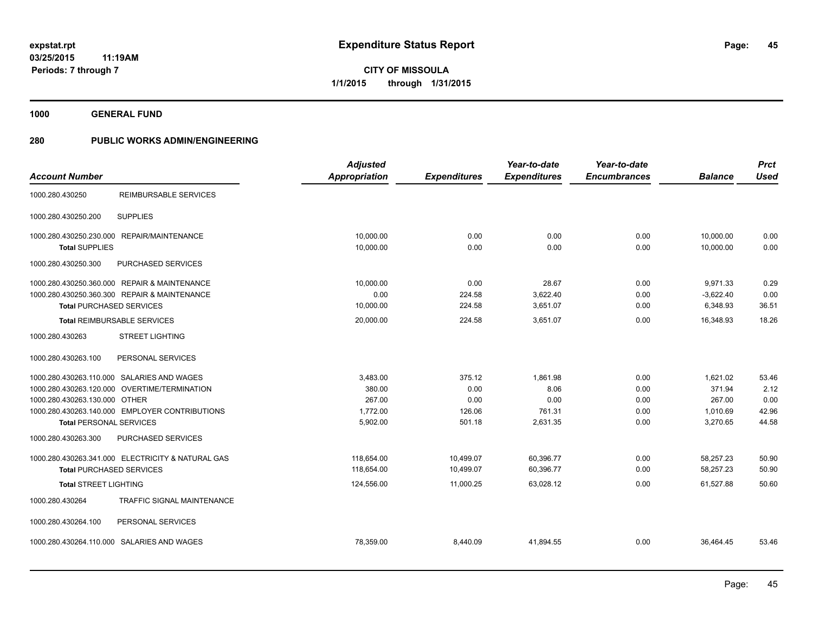**45**

**03/25/2015 11:19AM Periods: 7 through 7**

**CITY OF MISSOULA 1/1/2015 through 1/31/2015**

**1000 GENERAL FUND**

|                                   | <b>Adjusted</b>                                                                                                                                                                                                                                                                                                                                                                                                                                                                                                                                                                                                                       |                     | Year-to-date        | Year-to-date        |                | <b>Prct</b> |
|-----------------------------------|---------------------------------------------------------------------------------------------------------------------------------------------------------------------------------------------------------------------------------------------------------------------------------------------------------------------------------------------------------------------------------------------------------------------------------------------------------------------------------------------------------------------------------------------------------------------------------------------------------------------------------------|---------------------|---------------------|---------------------|----------------|-------------|
|                                   | <b>Appropriation</b>                                                                                                                                                                                                                                                                                                                                                                                                                                                                                                                                                                                                                  | <b>Expenditures</b> | <b>Expenditures</b> | <b>Encumbrances</b> | <b>Balance</b> | <b>Used</b> |
| <b>REIMBURSABLE SERVICES</b>      |                                                                                                                                                                                                                                                                                                                                                                                                                                                                                                                                                                                                                                       |                     |                     |                     |                |             |
| <b>SUPPLIES</b>                   |                                                                                                                                                                                                                                                                                                                                                                                                                                                                                                                                                                                                                                       |                     |                     |                     |                |             |
|                                   | 10,000.00                                                                                                                                                                                                                                                                                                                                                                                                                                                                                                                                                                                                                             | 0.00                | 0.00                | 0.00                | 10,000.00      | 0.00        |
|                                   | 10,000.00                                                                                                                                                                                                                                                                                                                                                                                                                                                                                                                                                                                                                             | 0.00                | 0.00                | 0.00                | 10,000.00      | 0.00        |
| PURCHASED SERVICES                |                                                                                                                                                                                                                                                                                                                                                                                                                                                                                                                                                                                                                                       |                     |                     |                     |                |             |
|                                   | 10,000.00                                                                                                                                                                                                                                                                                                                                                                                                                                                                                                                                                                                                                             | 0.00                | 28.67               | 0.00                | 9,971.33       | 0.29        |
|                                   | 0.00                                                                                                                                                                                                                                                                                                                                                                                                                                                                                                                                                                                                                                  | 224.58              | 3,622.40            | 0.00                | $-3,622.40$    | 0.00        |
|                                   | 10,000.00                                                                                                                                                                                                                                                                                                                                                                                                                                                                                                                                                                                                                             | 224.58              | 3,651.07            | 0.00                | 6,348.93       | 36.51       |
|                                   | 20,000.00                                                                                                                                                                                                                                                                                                                                                                                                                                                                                                                                                                                                                             | 224.58              | 3,651.07            | 0.00                | 16,348.93      | 18.26       |
| <b>STREET LIGHTING</b>            |                                                                                                                                                                                                                                                                                                                                                                                                                                                                                                                                                                                                                                       |                     |                     |                     |                |             |
| PERSONAL SERVICES                 |                                                                                                                                                                                                                                                                                                                                                                                                                                                                                                                                                                                                                                       |                     |                     |                     |                |             |
|                                   | 3,483.00                                                                                                                                                                                                                                                                                                                                                                                                                                                                                                                                                                                                                              | 375.12              | 1,861.98            | 0.00                | 1,621.02       | 53.46       |
|                                   | 380.00                                                                                                                                                                                                                                                                                                                                                                                                                                                                                                                                                                                                                                | 0.00                | 8.06                | 0.00                | 371.94         | 2.12        |
|                                   | 267.00                                                                                                                                                                                                                                                                                                                                                                                                                                                                                                                                                                                                                                | 0.00                | 0.00                | 0.00                | 267.00         | 0.00        |
|                                   | 1,772.00                                                                                                                                                                                                                                                                                                                                                                                                                                                                                                                                                                                                                              | 126.06              | 761.31              | 0.00                | 1,010.69       | 42.96       |
|                                   |                                                                                                                                                                                                                                                                                                                                                                                                                                                                                                                                                                                                                                       |                     |                     |                     |                | 44.58       |
| PURCHASED SERVICES                |                                                                                                                                                                                                                                                                                                                                                                                                                                                                                                                                                                                                                                       |                     |                     |                     |                |             |
|                                   | 118,654.00                                                                                                                                                                                                                                                                                                                                                                                                                                                                                                                                                                                                                            | 10.499.07           | 60,396.77           | 0.00                | 58.257.23      | 50.90       |
|                                   | 118,654.00                                                                                                                                                                                                                                                                                                                                                                                                                                                                                                                                                                                                                            | 10,499.07           | 60,396.77           | 0.00                | 58,257.23      | 50.90       |
|                                   | 124,556.00                                                                                                                                                                                                                                                                                                                                                                                                                                                                                                                                                                                                                            | 11,000.25           | 63,028.12           | 0.00                | 61,527.88      | 50.60       |
| <b>TRAFFIC SIGNAL MAINTENANCE</b> |                                                                                                                                                                                                                                                                                                                                                                                                                                                                                                                                                                                                                                       |                     |                     |                     |                |             |
| PERSONAL SERVICES                 |                                                                                                                                                                                                                                                                                                                                                                                                                                                                                                                                                                                                                                       |                     |                     |                     |                |             |
|                                   | 78,359.00                                                                                                                                                                                                                                                                                                                                                                                                                                                                                                                                                                                                                             | 8,440.09            | 41,894.55           | 0.00                | 36,464.45      | 53.46       |
|                                   | 1000.280.430250.230.000 REPAIR/MAINTENANCE<br><b>Total SUPPLIES</b><br>1000.280.430250.360.000 REPAIR & MAINTENANCE<br>1000.280.430250.360.300 REPAIR & MAINTENANCE<br><b>Total PURCHASED SERVICES</b><br><b>Total REIMBURSABLE SERVICES</b><br>1000.280.430263.110.000 SALARIES AND WAGES<br>1000.280.430263.120.000 OVERTIME/TERMINATION<br>1000.280.430263.130.000 OTHER<br>1000.280.430263.140.000 EMPLOYER CONTRIBUTIONS<br><b>Total PERSONAL SERVICES</b><br>1000.280.430263.341.000 ELECTRICITY & NATURAL GAS<br><b>Total PURCHASED SERVICES</b><br><b>Total STREET LIGHTING</b><br>1000.280.430264.110.000 SALARIES AND WAGES | 5,902.00            | 501.18              | 2,631.35            | 0.00           | 3,270.65    |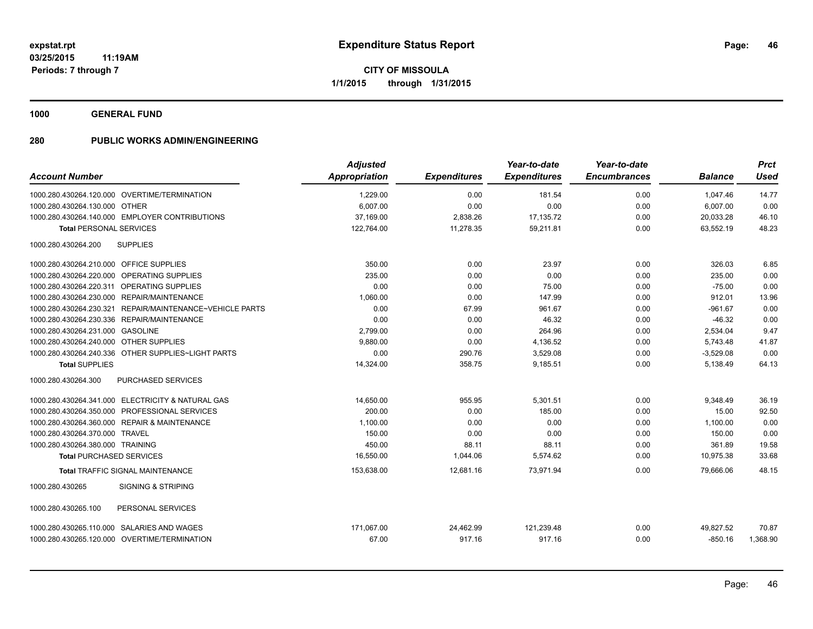**1000 GENERAL FUND**

|                                                          | <b>Adjusted</b> |                     | Year-to-date        | Year-to-date        |                | <b>Prct</b> |
|----------------------------------------------------------|-----------------|---------------------|---------------------|---------------------|----------------|-------------|
| <b>Account Number</b>                                    | Appropriation   | <b>Expenditures</b> | <b>Expenditures</b> | <b>Encumbrances</b> | <b>Balance</b> | <b>Used</b> |
| 1000.280.430264.120.000 OVERTIME/TERMINATION             | 1,229.00        | 0.00                | 181.54              | 0.00                | 1,047.46       | 14.77       |
| 1000.280.430264.130.000 OTHER                            | 6,007.00        | 0.00                | 0.00                | 0.00                | 6,007.00       | 0.00        |
| 1000.280.430264.140.000 EMPLOYER CONTRIBUTIONS           | 37,169.00       | 2,838.26            | 17,135.72           | 0.00                | 20,033.28      | 46.10       |
| <b>Total PERSONAL SERVICES</b>                           | 122,764.00      | 11,278.35           | 59,211.81           | 0.00                | 63,552.19      | 48.23       |
| 1000.280.430264.200<br><b>SUPPLIES</b>                   |                 |                     |                     |                     |                |             |
| 1000.280.430264.210.000 OFFICE SUPPLIES                  | 350.00          | 0.00                | 23.97               | 0.00                | 326.03         | 6.85        |
| 1000.280.430264.220.000 OPERATING SUPPLIES               | 235.00          | 0.00                | 0.00                | 0.00                | 235.00         | 0.00        |
| 1000.280.430264.220.311 OPERATING SUPPLIES               | 0.00            | 0.00                | 75.00               | 0.00                | $-75.00$       | 0.00        |
| 1000.280.430264.230.000 REPAIR/MAINTENANCE               | 1,060.00        | 0.00                | 147.99              | 0.00                | 912.01         | 13.96       |
| 1000.280.430264.230.321 REPAIR/MAINTENANCE~VEHICLE PARTS | 0.00            | 67.99               | 961.67              | 0.00                | $-961.67$      | 0.00        |
| 1000.280.430264.230.336 REPAIR/MAINTENANCE               | 0.00            | 0.00                | 46.32               | 0.00                | $-46.32$       | 0.00        |
| 1000.280.430264.231.000 GASOLINE                         | 2,799.00        | 0.00                | 264.96              | 0.00                | 2,534.04       | 9.47        |
| 1000.280.430264.240.000 OTHER SUPPLIES                   | 9,880.00        | 0.00                | 4,136.52            | 0.00                | 5,743.48       | 41.87       |
| 1000.280.430264.240.336 OTHER SUPPLIES~LIGHT PARTS       | 0.00            | 290.76              | 3,529.08            | 0.00                | $-3,529.08$    | 0.00        |
| <b>Total SUPPLIES</b>                                    | 14,324.00       | 358.75              | 9,185.51            | 0.00                | 5,138.49       | 64.13       |
| 1000.280.430264.300<br><b>PURCHASED SERVICES</b>         |                 |                     |                     |                     |                |             |
| 1000.280.430264.341.000 ELECTRICITY & NATURAL GAS        | 14,650.00       | 955.95              | 5,301.51            | 0.00                | 9,348.49       | 36.19       |
| 1000.280.430264.350.000 PROFESSIONAL SERVICES            | 200.00          | 0.00                | 185.00              | 0.00                | 15.00          | 92.50       |
| 1000.280.430264.360.000 REPAIR & MAINTENANCE             | 1,100.00        | 0.00                | 0.00                | 0.00                | 1,100.00       | 0.00        |
| 1000.280.430264.370.000 TRAVEL                           | 150.00          | 0.00                | 0.00                | 0.00                | 150.00         | 0.00        |
| 1000.280.430264.380.000 TRAINING                         | 450.00          | 88.11               | 88.11               | 0.00                | 361.89         | 19.58       |
| <b>Total PURCHASED SERVICES</b>                          | 16,550.00       | 1,044.06            | 5,574.62            | 0.00                | 10,975.38      | 33.68       |
| <b>Total TRAFFIC SIGNAL MAINTENANCE</b>                  | 153,638.00      | 12,681.16           | 73,971.94           | 0.00                | 79,666.06      | 48.15       |
| <b>SIGNING &amp; STRIPING</b><br>1000.280.430265         |                 |                     |                     |                     |                |             |
| 1000.280.430265.100<br>PERSONAL SERVICES                 |                 |                     |                     |                     |                |             |
| 1000.280.430265.110.000 SALARIES AND WAGES               | 171.067.00      | 24,462.99           | 121,239.48          | 0.00                | 49,827.52      | 70.87       |
| 1000.280.430265.120.000 OVERTIME/TERMINATION             | 67.00           | 917.16              | 917.16              | 0.00                | $-850.16$      | 1,368.90    |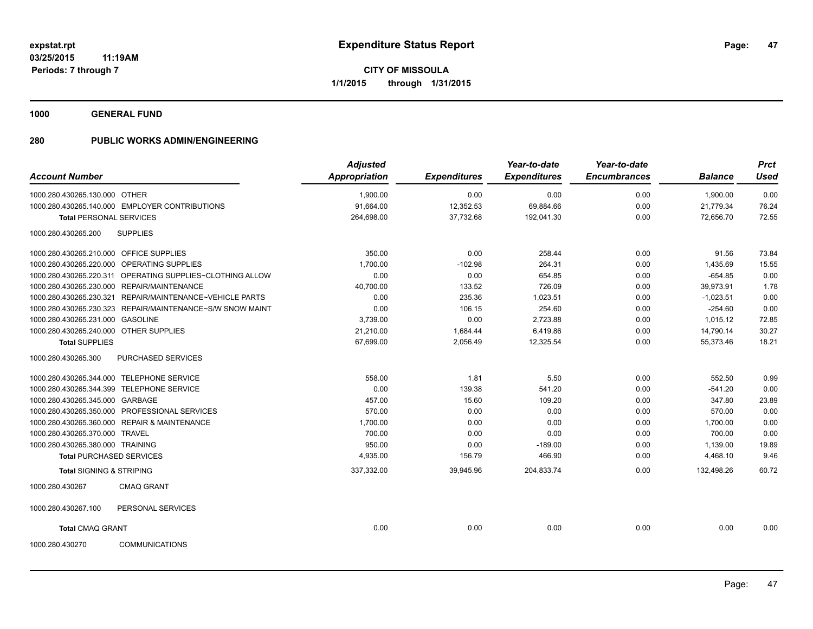**1000 GENERAL FUND**

|                                         |                                                           | <b>Adjusted</b>      |                     | Year-to-date        | Year-to-date        |                | <b>Prct</b> |
|-----------------------------------------|-----------------------------------------------------------|----------------------|---------------------|---------------------|---------------------|----------------|-------------|
| <b>Account Number</b>                   |                                                           | <b>Appropriation</b> | <b>Expenditures</b> | <b>Expenditures</b> | <b>Encumbrances</b> | <b>Balance</b> | <b>Used</b> |
| 1000.280.430265.130.000 OTHER           |                                                           | 1,900.00             | 0.00                | 0.00                | 0.00                | 1,900.00       | 0.00        |
|                                         | 1000.280.430265.140.000 EMPLOYER CONTRIBUTIONS            | 91,664.00            | 12,352.53           | 69,884.66           | 0.00                | 21,779.34      | 76.24       |
| <b>Total PERSONAL SERVICES</b>          |                                                           | 264,698.00           | 37,732.68           | 192,041.30          | 0.00                | 72,656.70      | 72.55       |
| 1000.280.430265.200                     | <b>SUPPLIES</b>                                           |                      |                     |                     |                     |                |             |
| 1000.280.430265.210.000 OFFICE SUPPLIES |                                                           | 350.00               | 0.00                | 258.44              | 0.00                | 91.56          | 73.84       |
|                                         | 1000.280.430265.220.000 OPERATING SUPPLIES                | 1,700.00             | $-102.98$           | 264.31              | 0.00                | 1,435.69       | 15.55       |
|                                         | 1000.280.430265.220.311 OPERATING SUPPLIES~CLOTHING ALLOW | 0.00                 | 0.00                | 654.85              | 0.00                | $-654.85$      | 0.00        |
|                                         | 1000.280.430265.230.000 REPAIR/MAINTENANCE                | 40,700.00            | 133.52              | 726.09              | 0.00                | 39,973.91      | 1.78        |
|                                         | 1000.280.430265.230.321 REPAIR/MAINTENANCE~VEHICLE PARTS  | 0.00                 | 235.36              | 1,023.51            | 0.00                | $-1,023.51$    | 0.00        |
|                                         | 1000.280.430265.230.323 REPAIR/MAINTENANCE~S/W SNOW MAINT | 0.00                 | 106.15              | 254.60              | 0.00                | $-254.60$      | 0.00        |
| 1000.280.430265.231.000 GASOLINE        |                                                           | 3,739.00             | 0.00                | 2,723.88            | 0.00                | 1,015.12       | 72.85       |
| 1000.280.430265.240.000 OTHER SUPPLIES  |                                                           | 21,210.00            | 1,684.44            | 6,419.86            | 0.00                | 14,790.14      | 30.27       |
| <b>Total SUPPLIES</b>                   |                                                           | 67,699.00            | 2,056.49            | 12,325.54           | 0.00                | 55,373.46      | 18.21       |
| 1000.280.430265.300                     | PURCHASED SERVICES                                        |                      |                     |                     |                     |                |             |
|                                         | 1000.280.430265.344.000 TELEPHONE SERVICE                 | 558.00               | 1.81                | 5.50                | 0.00                | 552.50         | 0.99        |
|                                         | 1000.280.430265.344.399 TELEPHONE SERVICE                 | 0.00                 | 139.38              | 541.20              | 0.00                | $-541.20$      | 0.00        |
| 1000.280.430265.345.000 GARBAGE         |                                                           | 457.00               | 15.60               | 109.20              | 0.00                | 347.80         | 23.89       |
|                                         | 1000.280.430265.350.000 PROFESSIONAL SERVICES             | 570.00               | 0.00                | 0.00                | 0.00                | 570.00         | 0.00        |
|                                         | 1000.280.430265.360.000 REPAIR & MAINTENANCE              | 1,700.00             | 0.00                | 0.00                | 0.00                | 1,700.00       | 0.00        |
| 1000.280.430265.370.000 TRAVEL          |                                                           | 700.00               | 0.00                | 0.00                | 0.00                | 700.00         | 0.00        |
| 1000.280.430265.380.000 TRAINING        |                                                           | 950.00               | 0.00                | $-189.00$           | 0.00                | 1,139.00       | 19.89       |
| <b>Total PURCHASED SERVICES</b>         |                                                           | 4,935.00             | 156.79              | 466.90              | 0.00                | 4,468.10       | 9.46        |
| <b>Total SIGNING &amp; STRIPING</b>     |                                                           | 337,332.00           | 39,945.96           | 204,833.74          | 0.00                | 132,498.26     | 60.72       |
| 1000.280.430267                         | <b>CMAQ GRANT</b>                                         |                      |                     |                     |                     |                |             |
| 1000.280.430267.100                     | PERSONAL SERVICES                                         |                      |                     |                     |                     |                |             |
| <b>Total CMAQ GRANT</b>                 |                                                           | 0.00                 | 0.00                | 0.00                | 0.00                | 0.00           | 0.00        |
| 1000.280.430270                         | <b>COMMUNICATIONS</b>                                     |                      |                     |                     |                     |                |             |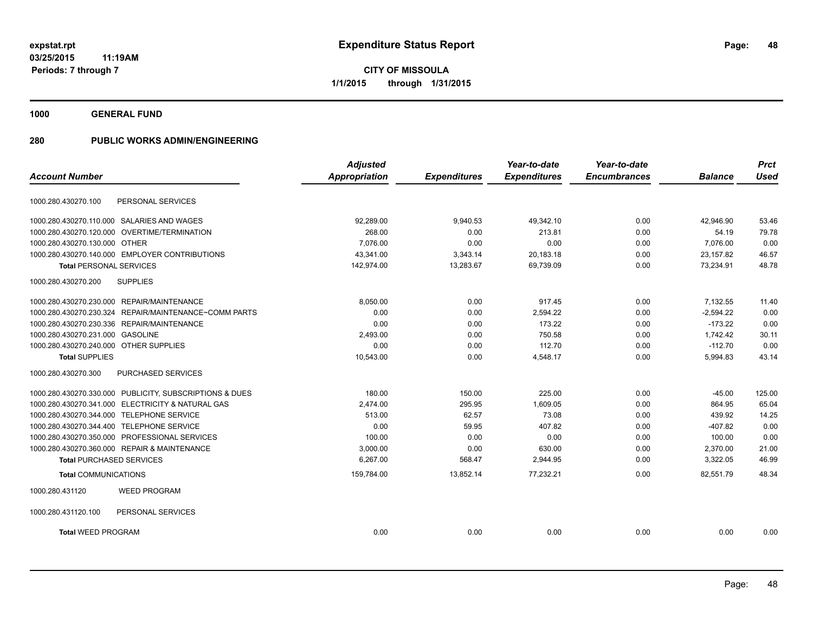**48**

**03/25/2015 11:19AM Periods: 7 through 7**

**CITY OF MISSOULA 1/1/2015 through 1/31/2015**

**1000 GENERAL FUND**

|                                                          | <b>Adjusted</b> |                     | Year-to-date        | Year-to-date        |                | <b>Prct</b> |
|----------------------------------------------------------|-----------------|---------------------|---------------------|---------------------|----------------|-------------|
| <b>Account Number</b>                                    | Appropriation   | <b>Expenditures</b> | <b>Expenditures</b> | <b>Encumbrances</b> | <b>Balance</b> | <b>Used</b> |
| PERSONAL SERVICES<br>1000.280.430270.100                 |                 |                     |                     |                     |                |             |
| 1000.280.430270.110.000 SALARIES AND WAGES               | 92,289.00       | 9,940.53            | 49,342.10           | 0.00                | 42,946.90      | 53.46       |
| 1000.280.430270.120.000 OVERTIME/TERMINATION             | 268.00          | 0.00                | 213.81              | 0.00                | 54.19          | 79.78       |
| 1000.280.430270.130.000 OTHER                            | 7.076.00        | 0.00                | 0.00                | 0.00                | 7.076.00       | 0.00        |
| 1000.280.430270.140.000 EMPLOYER CONTRIBUTIONS           | 43.341.00       | 3,343.14            | 20,183.18           | 0.00                | 23.157.82      | 46.57       |
| <b>Total PERSONAL SERVICES</b>                           | 142,974.00      | 13,283.67           | 69,739.09           | 0.00                | 73,234.91      | 48.78       |
| <b>SUPPLIES</b><br>1000.280.430270.200                   |                 |                     |                     |                     |                |             |
| 1000.280.430270.230.000 REPAIR/MAINTENANCE               | 8,050.00        | 0.00                | 917.45              | 0.00                | 7,132.55       | 11.40       |
| 1000.280.430270.230.324<br>REPAIR/MAINTENANCE~COMM PARTS | 0.00            | 0.00                | 2,594.22            | 0.00                | $-2,594.22$    | 0.00        |
| 1000.280.430270.230.336 REPAIR/MAINTENANCE               | 0.00            | 0.00                | 173.22              | 0.00                | $-173.22$      | 0.00        |
| 1000.280.430270.231.000 GASOLINE                         | 2,493.00        | 0.00                | 750.58              | 0.00                | 1,742.42       | 30.11       |
| 1000.280.430270.240.000 OTHER SUPPLIES                   | 0.00            | 0.00                | 112.70              | 0.00                | $-112.70$      | 0.00        |
| <b>Total SUPPLIES</b>                                    | 10,543.00       | 0.00                | 4,548.17            | 0.00                | 5,994.83       | 43.14       |
| 1000.280.430270.300<br><b>PURCHASED SERVICES</b>         |                 |                     |                     |                     |                |             |
| 1000.280.430270.330.000 PUBLICITY, SUBSCRIPTIONS & DUES  | 180.00          | 150.00              | 225.00              | 0.00                | $-45.00$       | 125.00      |
| 1000.280.430270.341.000 ELECTRICITY & NATURAL GAS        | 2,474.00        | 295.95              | 1,609.05            | 0.00                | 864.95         | 65.04       |
| 1000.280.430270.344.000<br><b>TELEPHONE SERVICE</b>      | 513.00          | 62.57               | 73.08               | 0.00                | 439.92         | 14.25       |
| 1000.280.430270.344.400 TELEPHONE SERVICE                | 0.00            | 59.95               | 407.82              | 0.00                | $-407.82$      | 0.00        |
| 1000.280.430270.350.000 PROFESSIONAL SERVICES            | 100.00          | 0.00                | 0.00                | 0.00                | 100.00         | 0.00        |
| 1000.280.430270.360.000 REPAIR & MAINTENANCE             | 3,000.00        | 0.00                | 630.00              | 0.00                | 2,370.00       | 21.00       |
| <b>Total PURCHASED SERVICES</b>                          | 6,267.00        | 568.47              | 2,944.95            | 0.00                | 3,322.05       | 46.99       |
| <b>Total COMMUNICATIONS</b>                              | 159,784.00      | 13,852.14           | 77,232.21           | 0.00                | 82,551.79      | 48.34       |
| <b>WEED PROGRAM</b><br>1000.280.431120                   |                 |                     |                     |                     |                |             |
| PERSONAL SERVICES<br>1000.280.431120.100                 |                 |                     |                     |                     |                |             |
| <b>Total WEED PROGRAM</b>                                | 0.00            | 0.00                | 0.00                | 0.00                | 0.00           | 0.00        |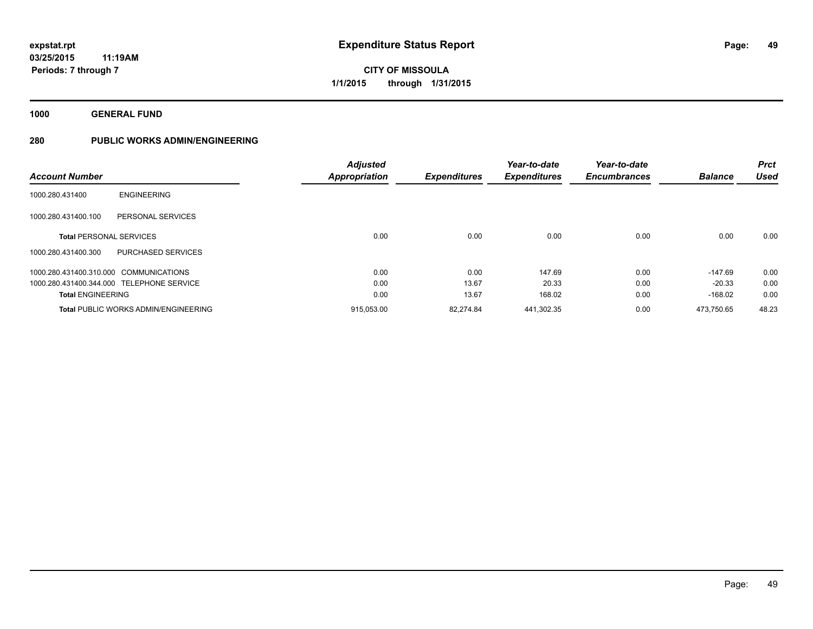**1000 GENERAL FUND**

|                                           |                                             | <b>Adjusted</b>      |                     | Year-to-date        | Year-to-date        |                | <b>Prct</b> |
|-------------------------------------------|---------------------------------------------|----------------------|---------------------|---------------------|---------------------|----------------|-------------|
| <b>Account Number</b>                     |                                             | <b>Appropriation</b> | <b>Expenditures</b> | <b>Expenditures</b> | <b>Encumbrances</b> | <b>Balance</b> | <b>Used</b> |
| 1000.280.431400                           | <b>ENGINEERING</b>                          |                      |                     |                     |                     |                |             |
| 1000.280.431400.100                       | PERSONAL SERVICES                           |                      |                     |                     |                     |                |             |
| <b>Total PERSONAL SERVICES</b>            |                                             | 0.00                 | 0.00                | 0.00                | 0.00                | 0.00           | 0.00        |
| 1000.280.431400.300                       | <b>PURCHASED SERVICES</b>                   |                      |                     |                     |                     |                |             |
| 1000.280.431400.310.000 COMMUNICATIONS    |                                             | 0.00                 | 0.00                | 147.69              | 0.00                | $-147.69$      | 0.00        |
| 1000.280.431400.344.000 TELEPHONE SERVICE |                                             | 0.00                 | 13.67               | 20.33               | 0.00                | $-20.33$       | 0.00        |
| <b>Total ENGINEERING</b>                  |                                             | 0.00                 | 13.67               | 168.02              | 0.00                | $-168.02$      | 0.00        |
|                                           | <b>Total PUBLIC WORKS ADMIN/ENGINEERING</b> | 915,053.00           | 82.274.84           | 441.302.35          | 0.00                | 473.750.65     | 48.23       |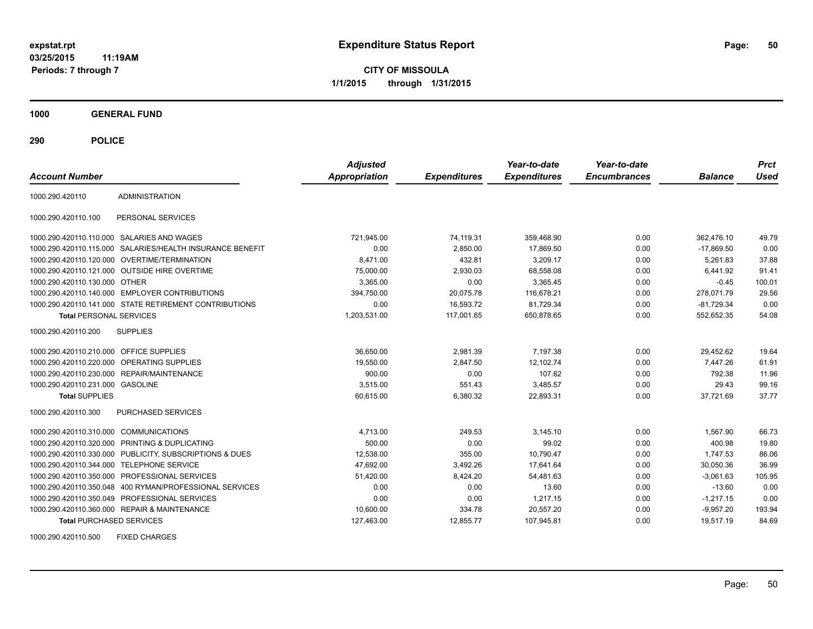**CITY OF MISSOULA 1/1/2015 through 1/31/2015**

**1000 GENERAL FUND**

**290 POLICE**

| <b>Account Number</b>                   |                                                         | <b>Adjusted</b><br><b>Appropriation</b> | <b>Expenditures</b> | Year-to-date<br><b>Expenditures</b> | Year-to-date<br><b>Encumbrances</b> | <b>Balance</b> | <b>Prct</b><br>Used |
|-----------------------------------------|---------------------------------------------------------|-----------------------------------------|---------------------|-------------------------------------|-------------------------------------|----------------|---------------------|
| 1000.290.420110                         | <b>ADMINISTRATION</b>                                   |                                         |                     |                                     |                                     |                |                     |
| 1000.290.420110.100                     | PERSONAL SERVICES                                       |                                         |                     |                                     |                                     |                |                     |
|                                         | 1000.290.420110.110.000 SALARIES AND WAGES              | 721,945.00                              | 74,119.31           | 359,468.90                          | 0.00                                | 362,476.10     | 49.79               |
| 1000.290.420110.115.000                 | SALARIES/HEALTH INSURANCE BENEFIT                       | 0.00                                    | 2,850.00            | 17,869.50                           | 0.00                                | $-17,869.50$   | 0.00                |
|                                         | 1000.290.420110.120.000 OVERTIME/TERMINATION            | 8.471.00                                | 432.81              | 3,209.17                            | 0.00                                | 5.261.83       | 37.88               |
|                                         | 1000.290.420110.121.000 OUTSIDE HIRE OVERTIME           | 75,000.00                               | 2,930.03            | 68,558.08                           | 0.00                                | 6.441.92       | 91.41               |
| 1000.290.420110.130.000 OTHER           |                                                         | 3,365.00                                | 0.00                | 3,365.45                            | 0.00                                | $-0.45$        | 100.01              |
|                                         | 1000.290.420110.140.000 EMPLOYER CONTRIBUTIONS          | 394,750.00                              | 20,075.78           | 116,678.21                          | 0.00                                | 278,071.79     | 29.56               |
|                                         | 1000.290.420110.141.000 STATE RETIREMENT CONTRIBUTIONS  | 0.00                                    | 16,593.72           | 81,729.34                           | 0.00                                | $-81,729.34$   | 0.00                |
| <b>Total PERSONAL SERVICES</b>          |                                                         | 1,203,531.00                            | 117,001.65          | 650,878.65                          | 0.00                                | 552,652.35     | 54.08               |
| 1000.290.420110.200                     | <b>SUPPLIES</b>                                         |                                         |                     |                                     |                                     |                |                     |
| 1000.290.420110.210.000 OFFICE SUPPLIES |                                                         | 36,650.00                               | 2,981.39            | 7.197.38                            | 0.00                                | 29.452.62      | 19.64               |
| 1000.290.420110.220.000                 | <b>OPERATING SUPPLIES</b>                               | 19,550.00                               | 2,847.50            | 12,102.74                           | 0.00                                | 7,447.26       | 61.91               |
|                                         | 1000.290.420110.230.000 REPAIR/MAINTENANCE              | 900.00                                  | 0.00                | 107.62                              | 0.00                                | 792.38         | 11.96               |
| 1000.290.420110.231.000 GASOLINE        |                                                         | 3,515.00                                | 551.43              | 3,485.57                            | 0.00                                | 29.43          | 99.16               |
| <b>Total SUPPLIES</b>                   |                                                         | 60,615.00                               | 6,380.32            | 22,893.31                           | 0.00                                | 37,721.69      | 37.77               |
| 1000.290.420110.300                     | <b>PURCHASED SERVICES</b>                               |                                         |                     |                                     |                                     |                |                     |
| 1000.290.420110.310.000 COMMUNICATIONS  |                                                         | 4,713.00                                | 249.53              | 3.145.10                            | 0.00                                | 1.567.90       | 66.73               |
| 1000.290.420110.320.000                 | PRINTING & DUPLICATING                                  | 500.00                                  | 0.00                | 99.02                               | 0.00                                | 400.98         | 19.80               |
|                                         | 1000.290.420110.330.000 PUBLICITY, SUBSCRIPTIONS & DUES | 12,538.00                               | 355.00              | 10.790.47                           | 0.00                                | 1,747.53       | 86.06               |
| 1000.290.420110.344.000                 | <b>TELEPHONE SERVICE</b>                                | 47,692.00                               | 3,492.26            | 17,641.64                           | 0.00                                | 30,050.36      | 36.99               |
| 1000.290.420110.350.000                 | PROFESSIONAL SERVICES                                   | 51,420.00                               | 8,424.20            | 54,481.63                           | 0.00                                | $-3,061.63$    | 105.95              |
| 1000.290.420110.350.048                 | 400 RYMAN/PROFESSIONAL SERVICES                         | 0.00                                    | 0.00                | 13.60                               | 0.00                                | $-13.60$       | 0.00                |
|                                         | 1000.290.420110.350.049 PROFESSIONAL SERVICES           | 0.00                                    | 0.00                | 1,217.15                            | 0.00                                | $-1,217.15$    | 0.00                |
|                                         | 1000.290.420110.360.000 REPAIR & MAINTENANCE            | 10,600.00                               | 334.78              | 20,557.20                           | 0.00                                | $-9,957.20$    | 193.94              |
| <b>Total PURCHASED SERVICES</b>         |                                                         | 127,463.00                              | 12,855.77           | 107,945.81                          | 0.00                                | 19,517.19      | 84.69               |

1000.290.420110.500 FIXED CHARGES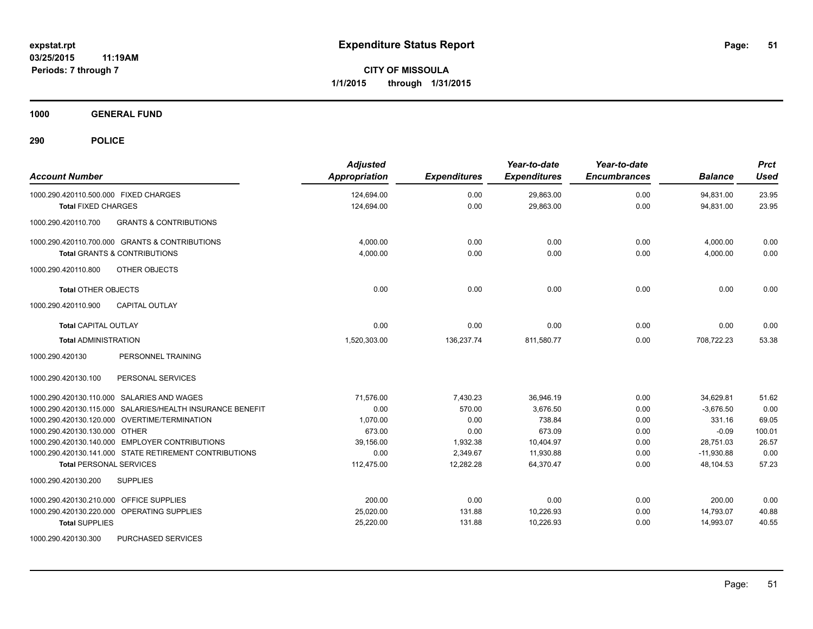**1000 GENERAL FUND**

| <b>Account Number</b>                                     | <b>Adjusted</b><br><b>Appropriation</b> | <b>Expenditures</b> | Year-to-date<br><b>Expenditures</b> | Year-to-date<br><b>Encumbrances</b> | <b>Balance</b> | <b>Prct</b><br><b>Used</b> |
|-----------------------------------------------------------|-----------------------------------------|---------------------|-------------------------------------|-------------------------------------|----------------|----------------------------|
| 1000.290.420110.500.000 FIXED CHARGES                     | 124,694.00                              | 0.00                | 29,863.00                           | 0.00                                | 94,831.00      | 23.95                      |
| <b>Total FIXED CHARGES</b>                                | 124,694.00                              | 0.00                | 29,863.00                           | 0.00                                | 94,831.00      | 23.95                      |
| 1000.290.420110.700<br><b>GRANTS &amp; CONTRIBUTIONS</b>  |                                         |                     |                                     |                                     |                |                            |
| 1000.290.420110.700.000 GRANTS & CONTRIBUTIONS            | 4.000.00                                | 0.00                | 0.00                                | 0.00                                | 4,000.00       | 0.00                       |
| <b>Total GRANTS &amp; CONTRIBUTIONS</b>                   | 4,000.00                                | 0.00                | 0.00                                | 0.00                                | 4,000.00       | 0.00                       |
| OTHER OBJECTS<br>1000.290.420110.800                      |                                         |                     |                                     |                                     |                |                            |
| <b>Total OTHER OBJECTS</b>                                | 0.00                                    | 0.00                | 0.00                                | 0.00                                | 0.00           | 0.00                       |
| <b>CAPITAL OUTLAY</b><br>1000.290.420110.900              |                                         |                     |                                     |                                     |                |                            |
| <b>Total CAPITAL OUTLAY</b>                               | 0.00                                    | 0.00                | 0.00                                | 0.00                                | 0.00           | 0.00                       |
| <b>Total ADMINISTRATION</b>                               | 1,520,303.00                            | 136,237.74          | 811,580.77                          | 0.00                                | 708,722.23     | 53.38                      |
| PERSONNEL TRAINING<br>1000.290.420130                     |                                         |                     |                                     |                                     |                |                            |
| PERSONAL SERVICES<br>1000.290.420130.100                  |                                         |                     |                                     |                                     |                |                            |
| 1000.290.420130.110.000 SALARIES AND WAGES                | 71,576.00                               | 7,430.23            | 36,946.19                           | 0.00                                | 34,629.81      | 51.62                      |
| 1000.290.420130.115.000 SALARIES/HEALTH INSURANCE BENEFIT | 0.00                                    | 570.00              | 3,676.50                            | 0.00                                | $-3,676.50$    | 0.00                       |
| 1000.290.420130.120.000 OVERTIME/TERMINATION              | 1,070.00                                | 0.00                | 738.84                              | 0.00                                | 331.16         | 69.05                      |
| 1000.290.420130.130.000 OTHER                             | 673.00                                  | 0.00                | 673.09                              | 0.00                                | $-0.09$        | 100.01                     |
| 1000.290.420130.140.000 EMPLOYER CONTRIBUTIONS            | 39,156.00                               | 1,932.38            | 10,404.97                           | 0.00                                | 28,751.03      | 26.57                      |
| 1000.290.420130.141.000 STATE RETIREMENT CONTRIBUTIONS    | 0.00                                    | 2,349.67            | 11,930.88                           | 0.00                                | $-11,930.88$   | 0.00                       |
| <b>Total PERSONAL SERVICES</b>                            | 112,475.00                              | 12,282.28           | 64,370.47                           | 0.00                                | 48,104.53      | 57.23                      |
| 1000.290.420130.200<br><b>SUPPLIES</b>                    |                                         |                     |                                     |                                     |                |                            |
| OFFICE SUPPLIES<br>1000.290.420130.210.000                | 200.00                                  | 0.00                | 0.00                                | 0.00                                | 200.00         | 0.00                       |
| 1000.290.420130.220.000 OPERATING SUPPLIES                | 25,020.00                               | 131.88              | 10,226.93                           | 0.00                                | 14,793.07      | 40.88                      |
| <b>Total SUPPLIES</b>                                     | 25,220.00                               | 131.88              | 10,226.93                           | 0.00                                | 14,993.07      | 40.55                      |
| 1000.290.420130.300<br>PURCHASED SERVICES                 |                                         |                     |                                     |                                     |                |                            |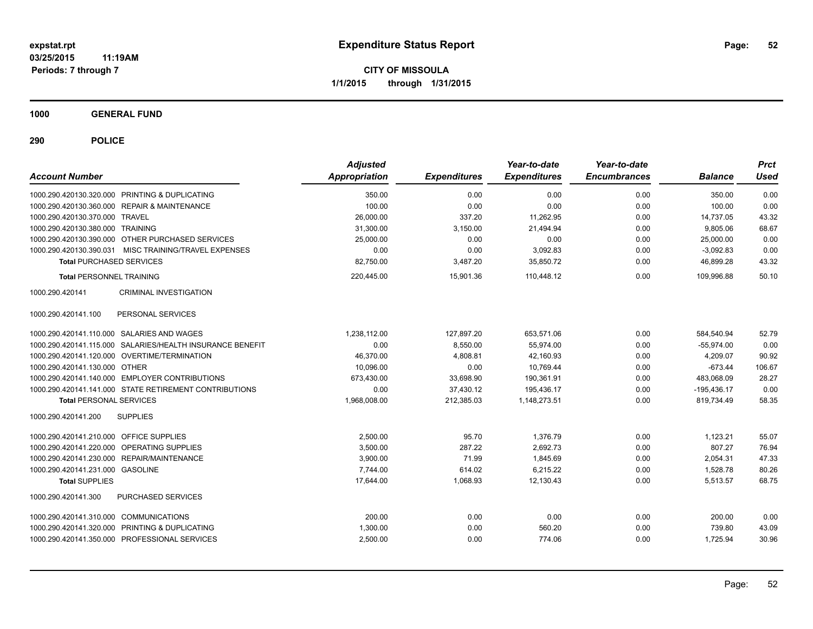**CITY OF MISSOULA 1/1/2015 through 1/31/2015**

**1000 GENERAL FUND**

| <b>Account Number</b>                      |                                                           | <b>Adjusted</b><br>Appropriation | <b>Expenditures</b> | Year-to-date<br><b>Expenditures</b> | Year-to-date<br><b>Encumbrances</b> | <b>Balance</b> | <b>Prct</b><br>Used |
|--------------------------------------------|-----------------------------------------------------------|----------------------------------|---------------------|-------------------------------------|-------------------------------------|----------------|---------------------|
|                                            | 1000.290.420130.320.000 PRINTING & DUPLICATING            | 350.00                           | 0.00                | 0.00                                | 0.00                                | 350.00         | 0.00                |
|                                            | 1000.290.420130.360.000 REPAIR & MAINTENANCE              | 100.00                           | 0.00                | 0.00                                | 0.00                                | 100.00         | 0.00                |
| 1000.290.420130.370.000 TRAVEL             |                                                           | 26,000.00                        | 337.20              | 11,262.95                           | 0.00                                | 14,737.05      | 43.32               |
| 1000.290.420130.380.000 TRAINING           |                                                           | 31,300.00                        | 3,150.00            | 21,494.94                           | 0.00                                | 9,805.06       | 68.67               |
|                                            | 1000.290.420130.390.000 OTHER PURCHASED SERVICES          | 25,000.00                        | 0.00                | 0.00                                | 0.00                                | 25,000.00      | 0.00                |
|                                            | 1000.290.420130.390.031 MISC TRAINING/TRAVEL EXPENSES     | 0.00                             | 0.00                | 3,092.83                            | 0.00                                | $-3,092.83$    | 0.00                |
| <b>Total PURCHASED SERVICES</b>            |                                                           | 82,750.00                        | 3,487.20            | 35,850.72                           | 0.00                                | 46,899.28      | 43.32               |
| <b>Total PERSONNEL TRAINING</b>            |                                                           | 220,445.00                       | 15,901.36           | 110,448.12                          | 0.00                                | 109,996.88     | 50.10               |
| 1000.290.420141                            | <b>CRIMINAL INVESTIGATION</b>                             |                                  |                     |                                     |                                     |                |                     |
| 1000.290.420141.100                        | PERSONAL SERVICES                                         |                                  |                     |                                     |                                     |                |                     |
| 1000.290.420141.110.000 SALARIES AND WAGES |                                                           | 1,238,112.00                     | 127,897.20          | 653,571.06                          | 0.00                                | 584,540.94     | 52.79               |
|                                            | 1000.290.420141.115.000 SALARIES/HEALTH INSURANCE BENEFIT | 0.00                             | 8,550.00            | 55,974.00                           | 0.00                                | $-55.974.00$   | 0.00                |
|                                            | 1000.290.420141.120.000 OVERTIME/TERMINATION              | 46,370.00                        | 4,808.81            | 42,160.93                           | 0.00                                | 4,209.07       | 90.92               |
| 1000.290.420141.130.000 OTHER              |                                                           | 10,096.00                        | 0.00                | 10,769.44                           | 0.00                                | $-673.44$      | 106.67              |
|                                            | 1000.290.420141.140.000 EMPLOYER CONTRIBUTIONS            | 673,430.00                       | 33,698.90           | 190,361.91                          | 0.00                                | 483,068.09     | 28.27               |
|                                            | 1000.290.420141.141.000 STATE RETIREMENT CONTRIBUTIONS    | 0.00                             | 37,430.12           | 195.436.17                          | 0.00                                | $-195,436.17$  | 0.00                |
| <b>Total PERSONAL SERVICES</b>             |                                                           | 1,968,008.00                     | 212,385.03          | 1,148,273.51                        | 0.00                                | 819,734.49     | 58.35               |
| 1000.290.420141.200                        | <b>SUPPLIES</b>                                           |                                  |                     |                                     |                                     |                |                     |
| 1000.290.420141.210.000 OFFICE SUPPLIES    |                                                           | 2,500.00                         | 95.70               | 1,376.79                            | 0.00                                | 1,123.21       | 55.07               |
| 1000.290.420141.220.000 OPERATING SUPPLIES |                                                           | 3,500.00                         | 287.22              | 2,692.73                            | 0.00                                | 807.27         | 76.94               |
|                                            | 1000.290.420141.230.000 REPAIR/MAINTENANCE                | 3,900.00                         | 71.99               | 1,845.69                            | 0.00                                | 2,054.31       | 47.33               |
| 1000.290.420141.231.000 GASOLINE           |                                                           | 7,744.00                         | 614.02              | 6,215.22                            | 0.00                                | 1,528.78       | 80.26               |
| <b>Total SUPPLIES</b>                      |                                                           | 17,644.00                        | 1,068.93            | 12,130.43                           | 0.00                                | 5,513.57       | 68.75               |
| 1000.290.420141.300                        | PURCHASED SERVICES                                        |                                  |                     |                                     |                                     |                |                     |
| 1000.290.420141.310.000 COMMUNICATIONS     |                                                           | 200.00                           | 0.00                | 0.00                                | 0.00                                | 200.00         | 0.00                |
|                                            | 1000.290.420141.320.000 PRINTING & DUPLICATING            | 1,300.00                         | 0.00                | 560.20                              | 0.00                                | 739.80         | 43.09               |
|                                            | 1000.290.420141.350.000 PROFESSIONAL SERVICES             | 2,500.00                         | 0.00                | 774.06                              | 0.00                                | 1,725.94       | 30.96               |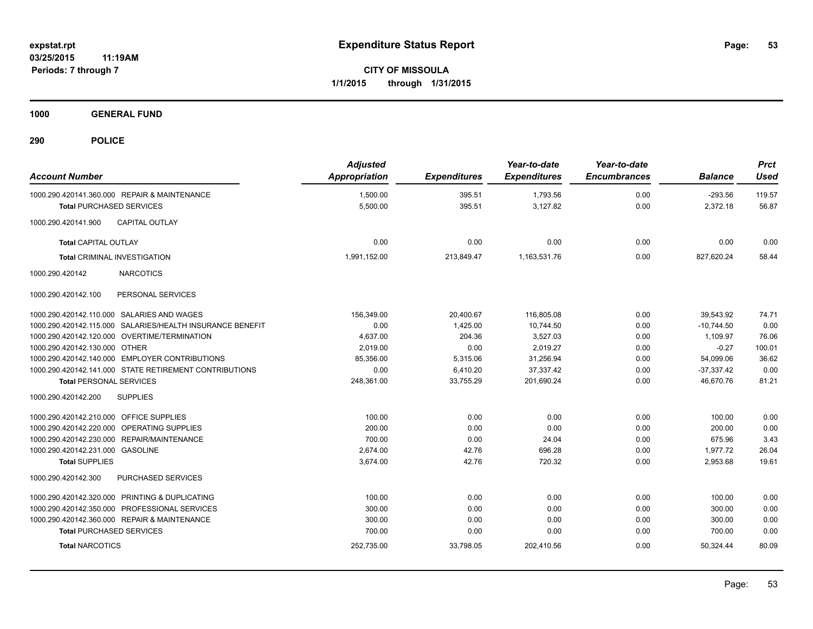**CITY OF MISSOULA 1/1/2015 through 1/31/2015**

**1000 GENERAL FUND**

| <b>Account Number</b>                   |                                                           | <b>Adjusted</b><br><b>Appropriation</b> | <b>Expenditures</b> | Year-to-date<br><b>Expenditures</b> | Year-to-date<br><b>Encumbrances</b> | <b>Balance</b> | <b>Prct</b><br><b>Used</b> |
|-----------------------------------------|-----------------------------------------------------------|-----------------------------------------|---------------------|-------------------------------------|-------------------------------------|----------------|----------------------------|
|                                         | 1000.290.420141.360.000 REPAIR & MAINTENANCE              | 1,500.00                                | 395.51              | 1,793.56                            | 0.00                                | $-293.56$      | 119.57                     |
| <b>Total PURCHASED SERVICES</b>         |                                                           | 5,500.00                                | 395.51              | 3,127.82                            | 0.00                                | 2,372.18       | 56.87                      |
| 1000.290.420141.900                     | <b>CAPITAL OUTLAY</b>                                     |                                         |                     |                                     |                                     |                |                            |
| <b>Total CAPITAL OUTLAY</b>             |                                                           | 0.00                                    | 0.00                | 0.00                                | 0.00                                | 0.00           | 0.00                       |
|                                         | <b>Total CRIMINAL INVESTIGATION</b>                       | 1,991,152.00                            | 213,849.47          | 1,163,531.76                        | 0.00                                | 827,620.24     | 58.44                      |
| 1000.290.420142                         | <b>NARCOTICS</b>                                          |                                         |                     |                                     |                                     |                |                            |
| 1000.290.420142.100                     | PERSONAL SERVICES                                         |                                         |                     |                                     |                                     |                |                            |
|                                         | 1000.290.420142.110.000 SALARIES AND WAGES                | 156.349.00                              | 20,400.67           | 116,805.08                          | 0.00                                | 39.543.92      | 74.71                      |
|                                         | 1000.290.420142.115.000 SALARIES/HEALTH INSURANCE BENEFIT | 0.00                                    | 1.425.00            | 10.744.50                           | 0.00                                | $-10.744.50$   | 0.00                       |
|                                         | 1000.290.420142.120.000 OVERTIME/TERMINATION              | 4,637.00                                | 204.36              | 3,527.03                            | 0.00                                | 1,109.97       | 76.06                      |
| 1000.290.420142.130.000 OTHER           |                                                           | 2.019.00                                | 0.00                | 2.019.27                            | 0.00                                | $-0.27$        | 100.01                     |
|                                         | 1000.290.420142.140.000 EMPLOYER CONTRIBUTIONS            | 85,356.00                               | 5,315.06            | 31,256.94                           | 0.00                                | 54,099.06      | 36.62                      |
|                                         | 1000.290.420142.141.000 STATE RETIREMENT CONTRIBUTIONS    | 0.00                                    | 6,410.20            | 37,337.42                           | 0.00                                | $-37,337.42$   | 0.00                       |
| <b>Total PERSONAL SERVICES</b>          |                                                           | 248,361.00                              | 33,755.29           | 201,690.24                          | 0.00                                | 46,670.76      | 81.21                      |
| 1000.290.420142.200                     | <b>SUPPLIES</b>                                           |                                         |                     |                                     |                                     |                |                            |
| 1000.290.420142.210.000 OFFICE SUPPLIES |                                                           | 100.00                                  | 0.00                | 0.00                                | 0.00                                | 100.00         | 0.00                       |
|                                         | 1000.290.420142.220.000 OPERATING SUPPLIES                | 200.00                                  | 0.00                | 0.00                                | 0.00                                | 200.00         | 0.00                       |
|                                         | 1000.290.420142.230.000 REPAIR/MAINTENANCE                | 700.00                                  | 0.00                | 24.04                               | 0.00                                | 675.96         | 3.43                       |
| 1000.290.420142.231.000 GASOLINE        |                                                           | 2,674.00                                | 42.76               | 696.28                              | 0.00                                | 1,977.72       | 26.04                      |
| <b>Total SUPPLIES</b>                   |                                                           | 3,674.00                                | 42.76               | 720.32                              | 0.00                                | 2,953.68       | 19.61                      |
| 1000.290.420142.300                     | <b>PURCHASED SERVICES</b>                                 |                                         |                     |                                     |                                     |                |                            |
|                                         | 1000.290.420142.320.000 PRINTING & DUPLICATING            | 100.00                                  | 0.00                | 0.00                                | 0.00                                | 100.00         | 0.00                       |
|                                         | 1000.290.420142.350.000 PROFESSIONAL SERVICES             | 300.00                                  | 0.00                | 0.00                                | 0.00                                | 300.00         | 0.00                       |
|                                         | 1000.290.420142.360.000 REPAIR & MAINTENANCE              | 300.00                                  | 0.00                | 0.00                                | 0.00                                | 300.00         | 0.00                       |
| <b>Total PURCHASED SERVICES</b>         |                                                           | 700.00                                  | 0.00                | 0.00                                | 0.00                                | 700.00         | 0.00                       |
| <b>Total NARCOTICS</b>                  |                                                           | 252,735.00                              | 33,798.05           | 202,410.56                          | 0.00                                | 50,324.44      | 80.09                      |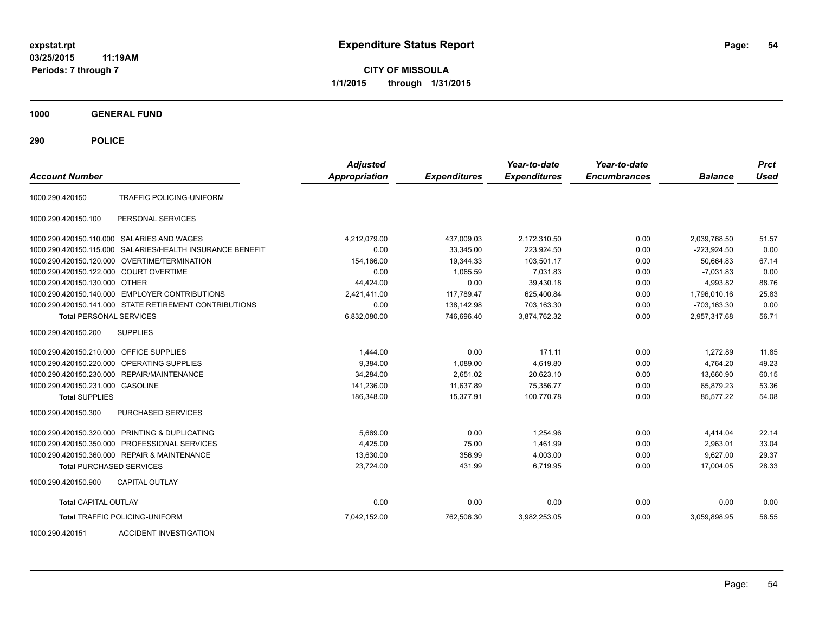**CITY OF MISSOULA 1/1/2015 through 1/31/2015**

**1000 GENERAL FUND**

**290 POLICE**

| <b>Account Number</b>                   |                                                        | <b>Adjusted</b><br><b>Appropriation</b> | <b>Expenditures</b> | Year-to-date<br><b>Expenditures</b> | Year-to-date<br><b>Encumbrances</b> | <b>Balance</b> | <b>Prct</b><br><b>Used</b> |
|-----------------------------------------|--------------------------------------------------------|-----------------------------------------|---------------------|-------------------------------------|-------------------------------------|----------------|----------------------------|
| 1000.290.420150                         | TRAFFIC POLICING-UNIFORM                               |                                         |                     |                                     |                                     |                |                            |
| 1000.290.420150.100                     | PERSONAL SERVICES                                      |                                         |                     |                                     |                                     |                |                            |
|                                         | 1000.290.420150.110.000 SALARIES AND WAGES             | 4,212,079.00                            | 437,009.03          | 2,172,310.50                        | 0.00                                | 2,039,768.50   | 51.57                      |
| 1000.290.420150.115.000                 | SALARIES/HEALTH INSURANCE BENEFIT                      | 0.00                                    | 33.345.00           | 223.924.50                          | 0.00                                | $-223.924.50$  | 0.00                       |
| 1000.290.420150.120.000                 | OVERTIME/TERMINATION                                   | 154,166.00                              | 19.344.33           | 103.501.17                          | 0.00                                | 50.664.83      | 67.14                      |
| 1000.290.420150.122.000 COURT OVERTIME  |                                                        | 0.00                                    | 1,065.59            | 7,031.83                            | 0.00                                | $-7,031.83$    | 0.00                       |
| 1000.290.420150.130.000 OTHER           |                                                        | 44,424.00                               | 0.00                | 39,430.18                           | 0.00                                | 4,993.82       | 88.76                      |
|                                         | 1000.290.420150.140.000 EMPLOYER CONTRIBUTIONS         | 2,421,411.00                            | 117,789.47          | 625,400.84                          | 0.00                                | 1,796,010.16   | 25.83                      |
|                                         | 1000.290.420150.141.000 STATE RETIREMENT CONTRIBUTIONS | 0.00                                    | 138,142.98          | 703,163.30                          | 0.00                                | -703,163.30    | 0.00                       |
| <b>Total PERSONAL SERVICES</b>          |                                                        | 6,832,080.00                            | 746,696.40          | 3,874,762.32                        | 0.00                                | 2,957,317.68   | 56.71                      |
| 1000.290.420150.200                     | <b>SUPPLIES</b>                                        |                                         |                     |                                     |                                     |                |                            |
| 1000.290.420150.210.000 OFFICE SUPPLIES |                                                        | 1,444.00                                | 0.00                | 171.11                              | 0.00                                | 1,272.89       | 11.85                      |
| 1000.290.420150.220.000                 | OPERATING SUPPLIES                                     | 9,384.00                                | 1,089.00            | 4,619.80                            | 0.00                                | 4,764.20       | 49.23                      |
| 1000.290.420150.230.000                 | REPAIR/MAINTENANCE                                     | 34,284.00                               | 2,651.02            | 20,623.10                           | 0.00                                | 13,660.90      | 60.15                      |
| 1000.290.420150.231.000 GASOLINE        |                                                        | 141,236.00                              | 11,637.89           | 75,356.77                           | 0.00                                | 65,879.23      | 53.36                      |
| <b>Total SUPPLIES</b>                   |                                                        | 186,348.00                              | 15,377.91           | 100,770.78                          | 0.00                                | 85,577.22      | 54.08                      |
| 1000.290.420150.300                     | <b>PURCHASED SERVICES</b>                              |                                         |                     |                                     |                                     |                |                            |
|                                         | 1000.290.420150.320.000 PRINTING & DUPLICATING         | 5,669.00                                | 0.00                | 1,254.96                            | 0.00                                | 4,414.04       | 22.14                      |
|                                         | 1000.290.420150.350.000 PROFESSIONAL SERVICES          | 4,425.00                                | 75.00               | 1,461.99                            | 0.00                                | 2,963.01       | 33.04                      |
|                                         | 1000.290.420150.360.000 REPAIR & MAINTENANCE           | 13,630.00                               | 356.99              | 4,003.00                            | 0.00                                | 9.627.00       | 29.37                      |
| <b>Total PURCHASED SERVICES</b>         |                                                        | 23.724.00                               | 431.99              | 6.719.95                            | 0.00                                | 17,004.05      | 28.33                      |
| 1000.290.420150.900                     | <b>CAPITAL OUTLAY</b>                                  |                                         |                     |                                     |                                     |                |                            |
| <b>Total CAPITAL OUTLAY</b>             |                                                        | 0.00                                    | 0.00                | 0.00                                | 0.00                                | 0.00           | 0.00                       |
|                                         | <b>Total TRAFFIC POLICING-UNIFORM</b>                  | 7,042,152.00                            | 762,506.30          | 3,982,253.05                        | 0.00                                | 3,059,898.95   | 56.55                      |

1000.290.420151 ACCIDENT INVESTIGATION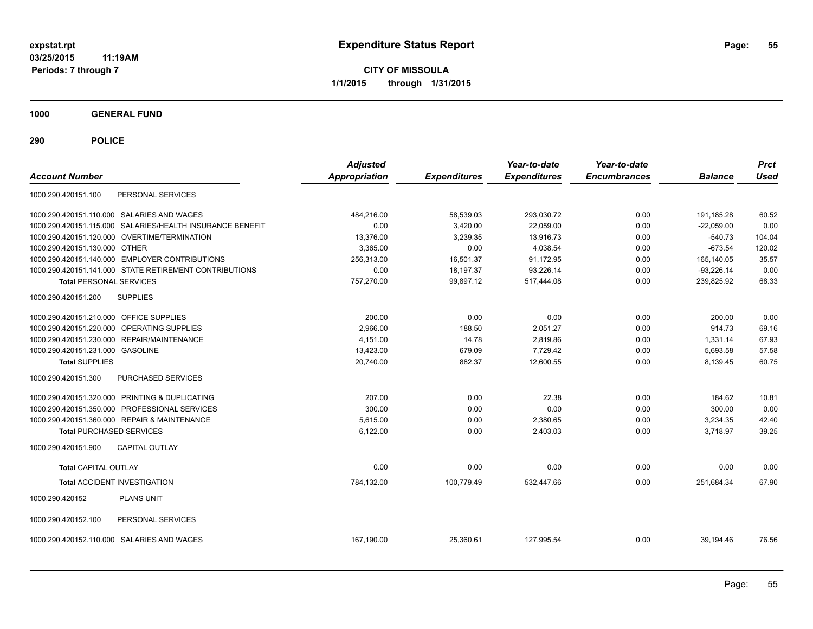**CITY OF MISSOULA 1/1/2015 through 1/31/2015**

**1000 GENERAL FUND**

| <b>Account Number</b>                                     | <b>Adjusted</b><br>Appropriation | <b>Expenditures</b> | Year-to-date<br><b>Expenditures</b> | Year-to-date<br><b>Encumbrances</b> | <b>Balance</b> | <b>Prct</b><br><b>Used</b> |
|-----------------------------------------------------------|----------------------------------|---------------------|-------------------------------------|-------------------------------------|----------------|----------------------------|
| PERSONAL SERVICES<br>1000.290.420151.100                  |                                  |                     |                                     |                                     |                |                            |
| 1000.290.420151.110.000 SALARIES AND WAGES                | 484,216.00                       | 58,539.03           | 293,030.72                          | 0.00                                | 191,185.28     | 60.52                      |
| 1000.290.420151.115.000 SALARIES/HEALTH INSURANCE BENEFIT | 0.00                             | 3,420.00            | 22,059.00                           | 0.00                                | $-22,059.00$   | 0.00                       |
| 1000.290.420151.120.000 OVERTIME/TERMINATION              | 13,376.00                        | 3,239.35            | 13,916.73                           | 0.00                                | $-540.73$      | 104.04                     |
| 1000.290.420151.130.000 OTHER                             | 3,365.00                         | 0.00                | 4,038.54                            | 0.00                                | $-673.54$      | 120.02                     |
| 1000.290.420151.140.000 EMPLOYER CONTRIBUTIONS            | 256,313.00                       | 16.501.37           | 91.172.95                           | 0.00                                | 165,140.05     | 35.57                      |
| 1000.290.420151.141.000 STATE RETIREMENT CONTRIBUTIONS    | 0.00                             | 18,197.37           | 93,226.14                           | 0.00                                | $-93,226.14$   | 0.00                       |
| <b>Total PERSONAL SERVICES</b>                            | 757,270.00                       | 99.897.12           | 517,444.08                          | 0.00                                | 239.825.92     | 68.33                      |
| 1000.290.420151.200<br><b>SUPPLIES</b>                    |                                  |                     |                                     |                                     |                |                            |
| 1000.290.420151.210.000 OFFICE SUPPLIES                   | 200.00                           | 0.00                | 0.00                                | 0.00                                | 200.00         | 0.00                       |
| 1000.290.420151.220.000 OPERATING SUPPLIES                | 2,966.00                         | 188.50              | 2,051.27                            | 0.00                                | 914.73         | 69.16                      |
| 1000.290.420151.230.000 REPAIR/MAINTENANCE                | 4.151.00                         | 14.78               | 2,819.86                            | 0.00                                | 1,331.14       | 67.93                      |
| 1000.290.420151.231.000 GASOLINE                          | 13,423.00                        | 679.09              | 7.729.42                            | 0.00                                | 5,693.58       | 57.58                      |
| <b>Total SUPPLIES</b>                                     | 20,740.00                        | 882.37              | 12,600.55                           | 0.00                                | 8,139.45       | 60.75                      |
| 1000.290.420151.300<br>PURCHASED SERVICES                 |                                  |                     |                                     |                                     |                |                            |
| 1000.290.420151.320.000 PRINTING & DUPLICATING            | 207.00                           | 0.00                | 22.38                               | 0.00                                | 184.62         | 10.81                      |
| 1000.290.420151.350.000 PROFESSIONAL SERVICES             | 300.00                           | 0.00                | 0.00                                | 0.00                                | 300.00         | 0.00                       |
| 1000.290.420151.360.000 REPAIR & MAINTENANCE              | 5.615.00                         | 0.00                | 2,380.65                            | 0.00                                | 3,234.35       | 42.40                      |
| <b>Total PURCHASED SERVICES</b>                           | 6,122.00                         | 0.00                | 2,403.03                            | 0.00                                | 3,718.97       | 39.25                      |
| 1000.290.420151.900<br><b>CAPITAL OUTLAY</b>              |                                  |                     |                                     |                                     |                |                            |
| <b>Total CAPITAL OUTLAY</b>                               | 0.00                             | 0.00                | 0.00                                | 0.00                                | 0.00           | 0.00                       |
| <b>Total ACCIDENT INVESTIGATION</b>                       | 784,132.00                       | 100,779.49          | 532,447.66                          | 0.00                                | 251,684.34     | 67.90                      |
| 1000.290.420152<br><b>PLANS UNIT</b>                      |                                  |                     |                                     |                                     |                |                            |
| PERSONAL SERVICES<br>1000.290.420152.100                  |                                  |                     |                                     |                                     |                |                            |
| 1000.290.420152.110.000 SALARIES AND WAGES                | 167,190.00                       | 25,360.61           | 127.995.54                          | 0.00                                | 39,194.46      | 76.56                      |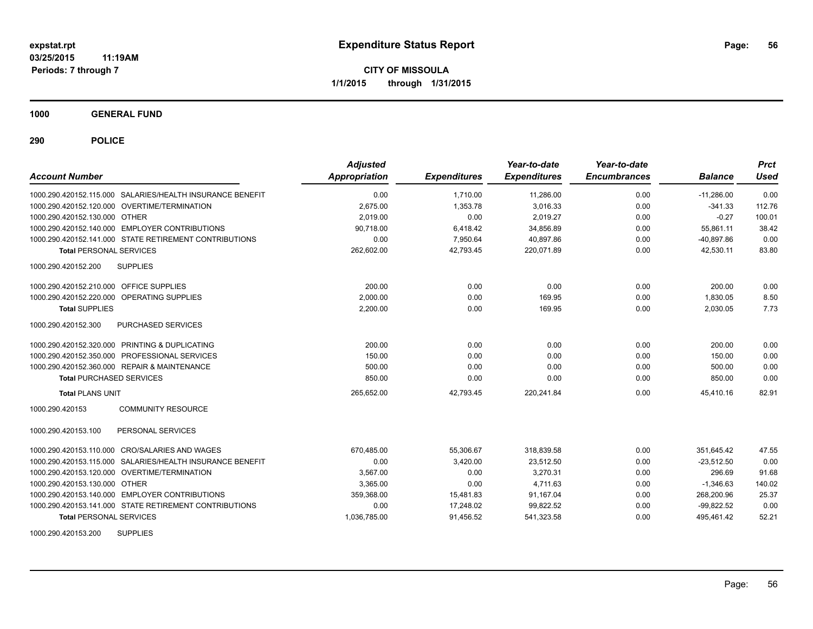**1000 GENERAL FUND**

**290 POLICE**

| <b>Account Number</b>                   |                                                           | <b>Adjusted</b><br>Appropriation | <b>Expenditures</b> | Year-to-date<br><b>Expenditures</b> | Year-to-date<br><b>Encumbrances</b> | <b>Balance</b> | <b>Prct</b><br>Used |
|-----------------------------------------|-----------------------------------------------------------|----------------------------------|---------------------|-------------------------------------|-------------------------------------|----------------|---------------------|
|                                         | 1000.290.420152.115.000 SALARIES/HEALTH INSURANCE BENEFIT | 0.00                             | 1.710.00            | 11,286.00                           | 0.00                                | $-11.286.00$   | 0.00                |
|                                         | 1000.290.420152.120.000 OVERTIME/TERMINATION              | 2,675.00                         | 1.353.78            | 3.016.33                            | 0.00                                | $-341.33$      | 112.76              |
| 1000.290.420152.130.000 OTHER           |                                                           | 2,019.00                         | 0.00                | 2,019.27                            | 0.00                                | $-0.27$        | 100.01              |
|                                         | 1000.290.420152.140.000 EMPLOYER CONTRIBUTIONS            | 90,718.00                        | 6,418.42            | 34,856.89                           | 0.00                                | 55,861.11      | 38.42               |
|                                         | 1000.290.420152.141.000 STATE RETIREMENT CONTRIBUTIONS    | 0.00                             | 7,950.64            | 40.897.86                           | 0.00                                | $-40.897.86$   | 0.00                |
| <b>Total PERSONAL SERVICES</b>          |                                                           | 262,602.00                       | 42.793.45           | 220,071.89                          | 0.00                                | 42.530.11      | 83.80               |
| 1000.290.420152.200                     | <b>SUPPLIES</b>                                           |                                  |                     |                                     |                                     |                |                     |
| 1000.290.420152.210.000 OFFICE SUPPLIES |                                                           | 200.00                           | 0.00                | 0.00                                | 0.00                                | 200.00         | 0.00                |
| 1000.290.420152.220.000                 | OPERATING SUPPLIES                                        | 2,000.00                         | 0.00                | 169.95                              | 0.00                                | 1,830.05       | 8.50                |
| <b>Total SUPPLIES</b>                   |                                                           | 2.200.00                         | 0.00                | 169.95                              | 0.00                                | 2.030.05       | 7.73                |
| 1000.290.420152.300                     | PURCHASED SERVICES                                        |                                  |                     |                                     |                                     |                |                     |
|                                         | 1000.290.420152.320.000 PRINTING & DUPLICATING            | 200.00                           | 0.00                | 0.00                                | 0.00                                | 200.00         | 0.00                |
|                                         | 1000.290.420152.350.000 PROFESSIONAL SERVICES             | 150.00                           | 0.00                | 0.00                                | 0.00                                | 150.00         | 0.00                |
|                                         | 1000.290.420152.360.000 REPAIR & MAINTENANCE              | 500.00                           | 0.00                | 0.00                                | 0.00                                | 500.00         | 0.00                |
| <b>Total PURCHASED SERVICES</b>         |                                                           | 850.00                           | 0.00                | 0.00                                | 0.00                                | 850.00         | 0.00                |
| <b>Total PLANS UNIT</b>                 |                                                           | 265,652.00                       | 42,793.45           | 220,241.84                          | 0.00                                | 45.410.16      | 82.91               |
| 1000.290.420153                         | <b>COMMUNITY RESOURCE</b>                                 |                                  |                     |                                     |                                     |                |                     |
| 1000.290.420153.100                     | PERSONAL SERVICES                                         |                                  |                     |                                     |                                     |                |                     |
|                                         | 1000.290.420153.110.000 CRO/SALARIES AND WAGES            | 670,485.00                       | 55,306.67           | 318,839.58                          | 0.00                                | 351,645.42     | 47.55               |
|                                         | 1000.290.420153.115.000 SALARIES/HEALTH INSURANCE BENEFIT | 0.00                             | 3,420.00            | 23,512.50                           | 0.00                                | $-23,512.50$   | 0.00                |
|                                         | 1000.290.420153.120.000 OVERTIME/TERMINATION              | 3.567.00                         | 0.00                | 3.270.31                            | 0.00                                | 296.69         | 91.68               |
| 1000.290.420153.130.000 OTHER           |                                                           | 3.365.00                         | 0.00                | 4.711.63                            | 0.00                                | $-1.346.63$    | 140.02              |
|                                         | 1000.290.420153.140.000 EMPLOYER CONTRIBUTIONS            | 359,368.00                       | 15,481.83           | 91,167.04                           | 0.00                                | 268,200.96     | 25.37               |
|                                         | 1000.290.420153.141.000 STATE RETIREMENT CONTRIBUTIONS    | 0.00                             | 17,248.02           | 99,822.52                           | 0.00                                | $-99,822.52$   | 0.00                |
| <b>Total PERSONAL SERVICES</b>          |                                                           | 1,036,785.00                     | 91,456.52           | 541,323.58                          | 0.00                                | 495,461.42     | 52.21               |

1000.290.420153.200 SUPPLIES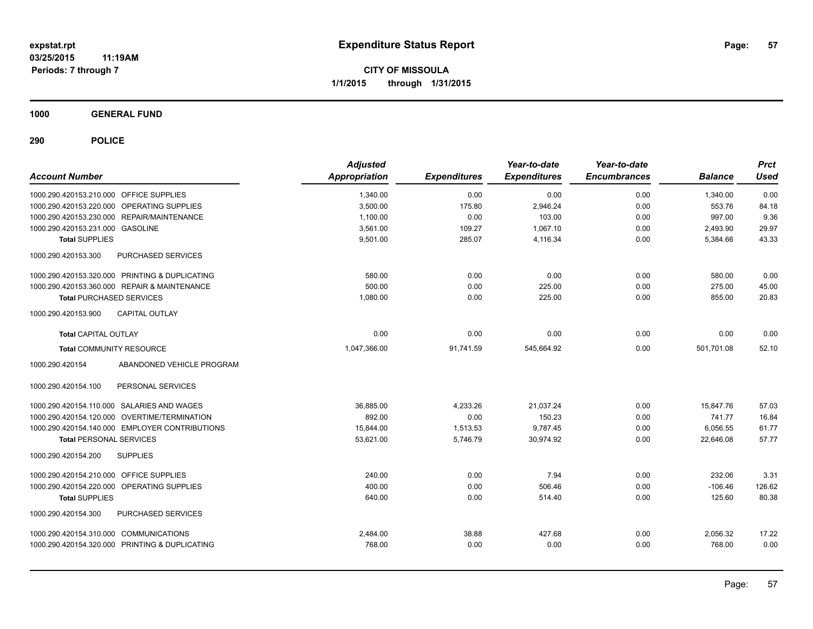**CITY OF MISSOULA 1/1/2015 through 1/31/2015**

**1000 GENERAL FUND**

| <b>Account Number</b>                          | <b>Adjusted</b><br>Appropriation | <b>Expenditures</b> | Year-to-date<br><b>Expenditures</b> | Year-to-date<br><b>Encumbrances</b> | <b>Balance</b> | <b>Prct</b><br>Used |
|------------------------------------------------|----------------------------------|---------------------|-------------------------------------|-------------------------------------|----------------|---------------------|
| 1000.290.420153.210.000 OFFICE SUPPLIES        | 1,340.00                         | 0.00                | 0.00                                | 0.00                                | 1,340.00       | 0.00                |
| 1000.290.420153.220.000 OPERATING SUPPLIES     | 3,500.00                         | 175.80              | 2,946.24                            | 0.00                                | 553.76         | 84.18               |
| 1000.290.420153.230.000 REPAIR/MAINTENANCE     | 1.100.00                         | 0.00                | 103.00                              | 0.00                                | 997.00         | 9.36                |
| 1000.290.420153.231.000 GASOLINE               | 3,561.00                         | 109.27              | 1,067.10                            | 0.00                                | 2,493.90       | 29.97               |
| <b>Total SUPPLIES</b>                          | 9,501.00                         | 285.07              | 4,116.34                            | 0.00                                | 5,384.66       | 43.33               |
| PURCHASED SERVICES<br>1000.290.420153.300      |                                  |                     |                                     |                                     |                |                     |
| 1000.290.420153.320.000 PRINTING & DUPLICATING | 580.00                           | 0.00                | 0.00                                | 0.00                                | 580.00         | 0.00                |
| 1000.290.420153.360.000 REPAIR & MAINTENANCE   | 500.00                           | 0.00                | 225.00                              | 0.00                                | 275.00         | 45.00               |
| <b>Total PURCHASED SERVICES</b>                | 1,080.00                         | 0.00                | 225.00                              | 0.00                                | 855.00         | 20.83               |
| 1000.290.420153.900<br><b>CAPITAL OUTLAY</b>   |                                  |                     |                                     |                                     |                |                     |
| <b>Total CAPITAL OUTLAY</b>                    | 0.00                             | 0.00                | 0.00                                | 0.00                                | 0.00           | 0.00                |
| <b>Total COMMUNITY RESOURCE</b>                | 1,047,366.00                     | 91,741.59           | 545,664.92                          | 0.00                                | 501,701.08     | 52.10               |
| 1000.290.420154<br>ABANDONED VEHICLE PROGRAM   |                                  |                     |                                     |                                     |                |                     |
| PERSONAL SERVICES<br>1000.290.420154.100       |                                  |                     |                                     |                                     |                |                     |
| 1000.290.420154.110.000 SALARIES AND WAGES     | 36.885.00                        | 4,233.26            | 21.037.24                           | 0.00                                | 15.847.76      | 57.03               |
| 1000.290.420154.120.000 OVERTIME/TERMINATION   | 892.00                           | 0.00                | 150.23                              | 0.00                                | 741.77         | 16.84               |
| 1000.290.420154.140.000 EMPLOYER CONTRIBUTIONS | 15.844.00                        | 1,513.53            | 9.787.45                            | 0.00                                | 6,056.55       | 61.77               |
| <b>Total PERSONAL SERVICES</b>                 | 53,621.00                        | 5,746.79            | 30,974.92                           | 0.00                                | 22,646.08      | 57.77               |
| 1000.290.420154.200<br><b>SUPPLIES</b>         |                                  |                     |                                     |                                     |                |                     |
| 1000.290.420154.210.000 OFFICE SUPPLIES        | 240.00                           | 0.00                | 7.94                                | 0.00                                | 232.06         | 3.31                |
| 1000.290.420154.220.000 OPERATING SUPPLIES     | 400.00                           | 0.00                | 506.46                              | 0.00                                | $-106.46$      | 126.62              |
| <b>Total SUPPLIES</b>                          | 640.00                           | 0.00                | 514.40                              | 0.00                                | 125.60         | 80.38               |
| PURCHASED SERVICES<br>1000.290.420154.300      |                                  |                     |                                     |                                     |                |                     |
| 1000.290.420154.310.000 COMMUNICATIONS         | 2,484.00                         | 38.88               | 427.68                              | 0.00                                | 2,056.32       | 17.22               |
| 1000.290.420154.320.000 PRINTING & DUPLICATING | 768.00                           | 0.00                | 0.00                                | 0.00                                | 768.00         | 0.00                |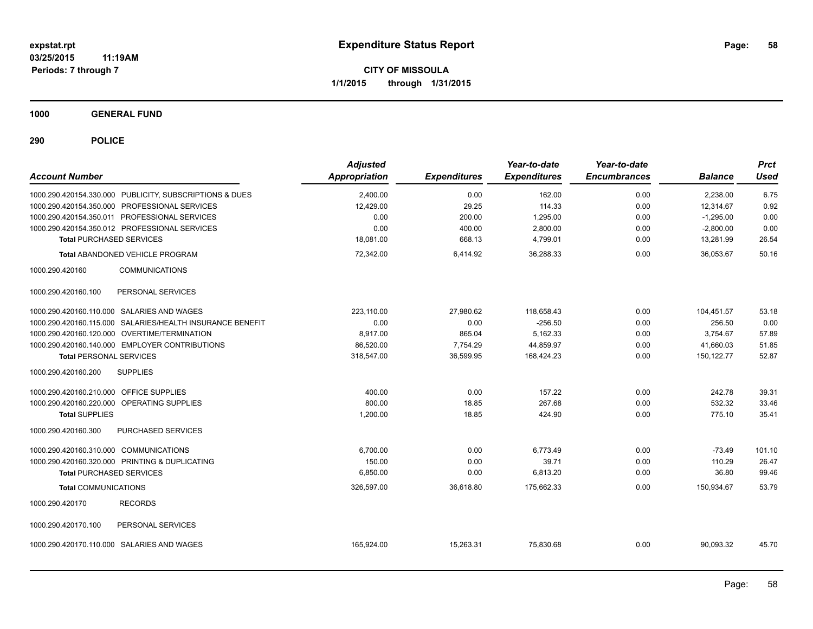**CITY OF MISSOULA 1/1/2015 through 1/31/2015**

**1000 GENERAL FUND**

| <b>Account Number</b>                                     | <b>Adjusted</b><br>Appropriation | <b>Expenditures</b> | Year-to-date<br><b>Expenditures</b> | Year-to-date<br><b>Encumbrances</b> | <b>Balance</b> | <b>Prct</b><br><b>Used</b> |
|-----------------------------------------------------------|----------------------------------|---------------------|-------------------------------------|-------------------------------------|----------------|----------------------------|
| 1000.290.420154.330.000 PUBLICITY, SUBSCRIPTIONS & DUES   | 2,400.00                         | 0.00                | 162.00                              | 0.00                                | 2,238.00       | 6.75                       |
| 1000.290.420154.350.000 PROFESSIONAL SERVICES             | 12,429.00                        | 29.25               | 114.33                              | 0.00                                | 12,314.67      | 0.92                       |
| 1000.290.420154.350.011 PROFESSIONAL SERVICES             | 0.00                             | 200.00              | 1,295.00                            | 0.00                                | $-1,295.00$    | 0.00                       |
| 1000.290.420154.350.012 PROFESSIONAL SERVICES             | 0.00                             | 400.00              | 2,800.00                            | 0.00                                | $-2,800.00$    | 0.00                       |
| <b>Total PURCHASED SERVICES</b>                           | 18,081.00                        | 668.13              | 4,799.01                            | 0.00                                | 13,281.99      | 26.54                      |
| <b>Total ABANDONED VEHICLE PROGRAM</b>                    | 72,342.00                        | 6,414.92            | 36,288.33                           | 0.00                                | 36,053.67      | 50.16                      |
| 1000.290.420160<br><b>COMMUNICATIONS</b>                  |                                  |                     |                                     |                                     |                |                            |
| 1000.290.420160.100<br>PERSONAL SERVICES                  |                                  |                     |                                     |                                     |                |                            |
| 1000.290.420160.110.000 SALARIES AND WAGES                | 223.110.00                       | 27,980.62           | 118,658.43                          | 0.00                                | 104,451.57     | 53.18                      |
| 1000.290.420160.115.000 SALARIES/HEALTH INSURANCE BENEFIT | 0.00                             | 0.00                | $-256.50$                           | 0.00                                | 256.50         | 0.00                       |
| 1000.290.420160.120.000 OVERTIME/TERMINATION              | 8.917.00                         | 865.04              | 5,162.33                            | 0.00                                | 3,754.67       | 57.89                      |
| 1000.290.420160.140.000 EMPLOYER CONTRIBUTIONS            | 86,520.00                        | 7,754.29            | 44,859.97                           | 0.00                                | 41,660.03      | 51.85                      |
| <b>Total PERSONAL SERVICES</b>                            | 318,547.00                       | 36,599.95           | 168,424.23                          | 0.00                                | 150, 122. 77   | 52.87                      |
| 1000.290.420160.200<br><b>SUPPLIES</b>                    |                                  |                     |                                     |                                     |                |                            |
| 1000.290.420160.210.000 OFFICE SUPPLIES                   | 400.00                           | 0.00                | 157.22                              | 0.00                                | 242.78         | 39.31                      |
| 1000.290.420160.220.000 OPERATING SUPPLIES                | 800.00                           | 18.85               | 267.68                              | 0.00                                | 532.32         | 33.46                      |
| <b>Total SUPPLIES</b>                                     | 1,200.00                         | 18.85               | 424.90                              | 0.00                                | 775.10         | 35.41                      |
| 1000.290.420160.300<br>PURCHASED SERVICES                 |                                  |                     |                                     |                                     |                |                            |
| 1000.290.420160.310.000 COMMUNICATIONS                    | 6,700.00                         | 0.00                | 6,773.49                            | 0.00                                | $-73.49$       | 101.10                     |
| 1000.290.420160.320.000 PRINTING & DUPLICATING            | 150.00                           | 0.00                | 39.71                               | 0.00                                | 110.29         | 26.47                      |
| <b>Total PURCHASED SERVICES</b>                           | 6,850.00                         | 0.00                | 6,813.20                            | 0.00                                | 36.80          | 99.46                      |
| <b>Total COMMUNICATIONS</b>                               | 326,597.00                       | 36,618.80           | 175,662.33                          | 0.00                                | 150,934.67     | 53.79                      |
| <b>RECORDS</b><br>1000.290.420170                         |                                  |                     |                                     |                                     |                |                            |
| 1000.290.420170.100<br>PERSONAL SERVICES                  |                                  |                     |                                     |                                     |                |                            |
| 1000.290.420170.110.000 SALARIES AND WAGES                | 165,924.00                       | 15,263.31           | 75,830.68                           | 0.00                                | 90,093.32      | 45.70                      |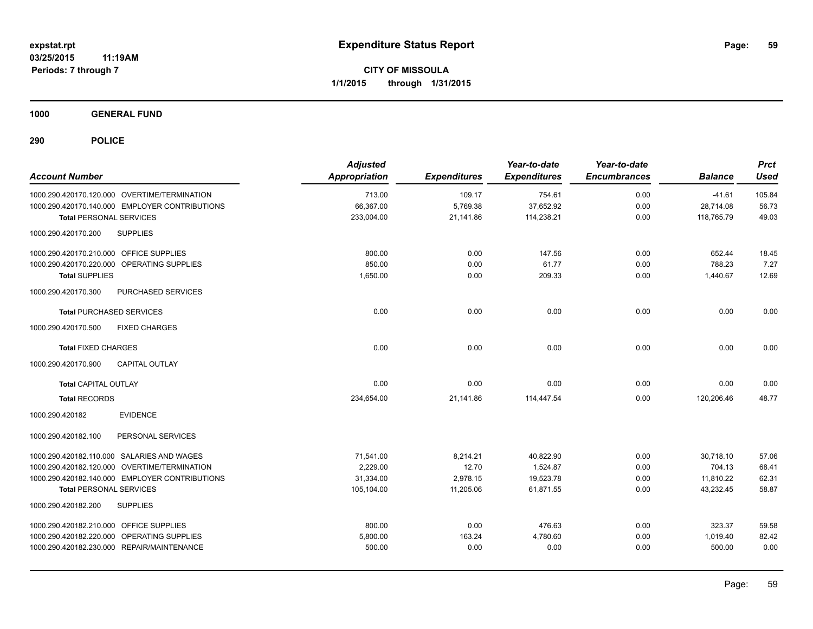**1000 GENERAL FUND**

| <b>Account Number</b>                          | <b>Adjusted</b><br><b>Appropriation</b> | <b>Expenditures</b> | Year-to-date<br><b>Expenditures</b> | Year-to-date<br><b>Encumbrances</b> | <b>Balance</b> | <b>Prct</b><br><b>Used</b> |
|------------------------------------------------|-----------------------------------------|---------------------|-------------------------------------|-------------------------------------|----------------|----------------------------|
| 1000.290.420170.120.000 OVERTIME/TERMINATION   | 713.00                                  | 109.17              | 754.61                              | 0.00                                | $-41.61$       | 105.84                     |
| 1000.290.420170.140.000 EMPLOYER CONTRIBUTIONS | 66,367.00                               | 5,769.38            | 37,652.92                           | 0.00                                | 28,714.08      | 56.73                      |
| <b>Total PERSONAL SERVICES</b>                 | 233,004.00                              | 21,141.86           | 114,238.21                          | 0.00                                | 118,765.79     | 49.03                      |
| <b>SUPPLIES</b><br>1000.290.420170.200         |                                         |                     |                                     |                                     |                |                            |
| 1000.290.420170.210.000 OFFICE SUPPLIES        | 800.00                                  | 0.00                | 147.56                              | 0.00                                | 652.44         | 18.45                      |
| 1000.290.420170.220.000 OPERATING SUPPLIES     | 850.00                                  | 0.00                | 61.77                               | 0.00                                | 788.23         | 7.27                       |
| <b>Total SUPPLIES</b>                          | 1,650.00                                | 0.00                | 209.33                              | 0.00                                | 1,440.67       | 12.69                      |
| PURCHASED SERVICES<br>1000.290.420170.300      |                                         |                     |                                     |                                     |                |                            |
| <b>Total PURCHASED SERVICES</b>                | 0.00                                    | 0.00                | 0.00                                | 0.00                                | 0.00           | 0.00                       |
| 1000.290.420170.500<br><b>FIXED CHARGES</b>    |                                         |                     |                                     |                                     |                |                            |
| <b>Total FIXED CHARGES</b>                     | 0.00                                    | 0.00                | 0.00                                | 0.00                                | 0.00           | 0.00                       |
| 1000.290.420170.900<br><b>CAPITAL OUTLAY</b>   |                                         |                     |                                     |                                     |                |                            |
| <b>Total CAPITAL OUTLAY</b>                    | 0.00                                    | 0.00                | 0.00                                | 0.00                                | 0.00           | 0.00                       |
| <b>Total RECORDS</b>                           | 234,654.00                              | 21,141.86           | 114,447.54                          | 0.00                                | 120,206.46     | 48.77                      |
| <b>EVIDENCE</b><br>1000.290.420182             |                                         |                     |                                     |                                     |                |                            |
| 1000.290.420182.100<br>PERSONAL SERVICES       |                                         |                     |                                     |                                     |                |                            |
| 1000.290.420182.110.000 SALARIES AND WAGES     | 71,541.00                               | 8,214.21            | 40,822.90                           | 0.00                                | 30.718.10      | 57.06                      |
| 1000.290.420182.120.000 OVERTIME/TERMINATION   | 2,229.00                                | 12.70               | 1,524.87                            | 0.00                                | 704.13         | 68.41                      |
| 1000.290.420182.140.000 EMPLOYER CONTRIBUTIONS | 31,334.00                               | 2,978.15            | 19,523.78                           | 0.00                                | 11,810.22      | 62.31                      |
| <b>Total PERSONAL SERVICES</b>                 | 105,104.00                              | 11,205.06           | 61,871.55                           | 0.00                                | 43,232.45      | 58.87                      |
| 1000.290.420182.200<br><b>SUPPLIES</b>         |                                         |                     |                                     |                                     |                |                            |
| 1000.290.420182.210.000 OFFICE SUPPLIES        | 800.00                                  | 0.00                | 476.63                              | 0.00                                | 323.37         | 59.58                      |
| 1000.290.420182.220.000 OPERATING SUPPLIES     | 5,800.00                                | 163.24              | 4,780.60                            | 0.00                                | 1,019.40       | 82.42                      |
| 1000.290.420182.230.000 REPAIR/MAINTENANCE     | 500.00                                  | 0.00                | 0.00                                | 0.00                                | 500.00         | 0.00                       |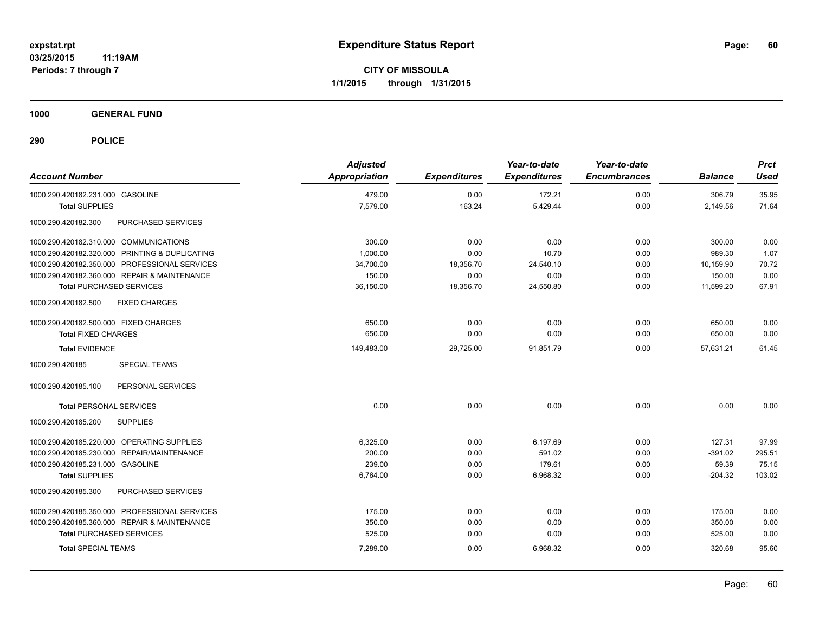**CITY OF MISSOULA 1/1/2015 through 1/31/2015**

**1000 GENERAL FUND**

| <b>Account Number</b>                          | <b>Adjusted</b><br><b>Appropriation</b> | <b>Expenditures</b> | Year-to-date<br><b>Expenditures</b> | Year-to-date<br><b>Encumbrances</b> | <b>Balance</b> | <b>Prct</b><br><b>Used</b> |
|------------------------------------------------|-----------------------------------------|---------------------|-------------------------------------|-------------------------------------|----------------|----------------------------|
| 1000.290.420182.231.000 GASOLINE               | 479.00                                  | 0.00                | 172.21                              | 0.00                                | 306.79         | 35.95                      |
| <b>Total SUPPLIES</b>                          | 7,579.00                                | 163.24              | 5,429.44                            | 0.00                                | 2,149.56       | 71.64                      |
| PURCHASED SERVICES<br>1000.290.420182.300      |                                         |                     |                                     |                                     |                |                            |
| 1000.290.420182.310.000 COMMUNICATIONS         | 300.00                                  | 0.00                | 0.00                                | 0.00                                | 300.00         | 0.00                       |
| 1000.290.420182.320.000 PRINTING & DUPLICATING | 1,000.00                                | 0.00                | 10.70                               | 0.00                                | 989.30         | 1.07                       |
| 1000.290.420182.350.000 PROFESSIONAL SERVICES  | 34,700.00                               | 18,356.70           | 24,540.10                           | 0.00                                | 10.159.90      | 70.72                      |
| 1000.290.420182.360.000 REPAIR & MAINTENANCE   | 150.00                                  | 0.00                | 0.00                                | 0.00                                | 150.00         | 0.00                       |
| <b>Total PURCHASED SERVICES</b>                | 36,150.00                               | 18,356.70           | 24,550.80                           | 0.00                                | 11,599.20      | 67.91                      |
| 1000.290.420182.500<br><b>FIXED CHARGES</b>    |                                         |                     |                                     |                                     |                |                            |
| 1000.290.420182.500.000 FIXED CHARGES          | 650.00                                  | 0.00                | 0.00                                | 0.00                                | 650.00         | 0.00                       |
| <b>Total FIXED CHARGES</b>                     | 650.00                                  | 0.00                | 0.00                                | 0.00                                | 650.00         | 0.00                       |
| <b>Total EVIDENCE</b>                          | 149,483.00                              | 29,725.00           | 91,851.79                           | 0.00                                | 57,631.21      | 61.45                      |
| 1000.290.420185<br><b>SPECIAL TEAMS</b>        |                                         |                     |                                     |                                     |                |                            |
| 1000.290.420185.100<br>PERSONAL SERVICES       |                                         |                     |                                     |                                     |                |                            |
| <b>Total PERSONAL SERVICES</b>                 | 0.00                                    | 0.00                | 0.00                                | 0.00                                | 0.00           | 0.00                       |
| <b>SUPPLIES</b><br>1000.290.420185.200         |                                         |                     |                                     |                                     |                |                            |
| 1000.290.420185.220.000 OPERATING SUPPLIES     | 6,325.00                                | 0.00                | 6,197.69                            | 0.00                                | 127.31         | 97.99                      |
| REPAIR/MAINTENANCE<br>1000.290.420185.230.000  | 200.00                                  | 0.00                | 591.02                              | 0.00                                | $-391.02$      | 295.51                     |
| 1000.290.420185.231.000 GASOLINE               | 239.00                                  | 0.00                | 179.61                              | 0.00                                | 59.39          | 75.15                      |
| <b>Total SUPPLIES</b>                          | 6,764.00                                | 0.00                | 6,968.32                            | 0.00                                | $-204.32$      | 103.02                     |
| 1000.290.420185.300<br>PURCHASED SERVICES      |                                         |                     |                                     |                                     |                |                            |
| 1000.290.420185.350.000 PROFESSIONAL SERVICES  | 175.00                                  | 0.00                | 0.00                                | 0.00                                | 175.00         | 0.00                       |
| 1000.290.420185.360.000 REPAIR & MAINTENANCE   | 350.00                                  | 0.00                | 0.00                                | 0.00                                | 350.00         | 0.00                       |
| <b>Total PURCHASED SERVICES</b>                | 525.00                                  | 0.00                | 0.00                                | 0.00                                | 525.00         | 0.00                       |
| <b>Total SPECIAL TEAMS</b>                     | 7,289.00                                | 0.00                | 6,968.32                            | 0.00                                | 320.68         | 95.60                      |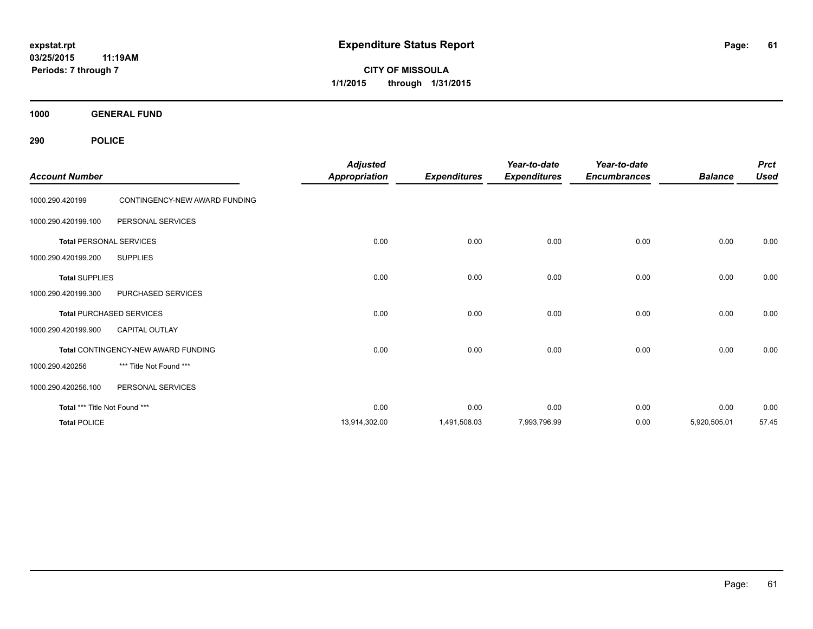**CITY OF MISSOULA 1/1/2015 through 1/31/2015**

**1000 GENERAL FUND**

| <b>Account Number</b>         |                                     | <b>Adjusted</b><br><b>Appropriation</b> | <b>Expenditures</b> | Year-to-date<br><b>Expenditures</b> | Year-to-date<br><b>Encumbrances</b> | <b>Balance</b> | <b>Prct</b><br><b>Used</b> |
|-------------------------------|-------------------------------------|-----------------------------------------|---------------------|-------------------------------------|-------------------------------------|----------------|----------------------------|
| 1000.290.420199               | CONTINGENCY-NEW AWARD FUNDING       |                                         |                     |                                     |                                     |                |                            |
| 1000.290.420199.100           | PERSONAL SERVICES                   |                                         |                     |                                     |                                     |                |                            |
|                               | <b>Total PERSONAL SERVICES</b>      | 0.00                                    | 0.00                | 0.00                                | 0.00                                | 0.00           | 0.00                       |
| 1000.290.420199.200           | <b>SUPPLIES</b>                     |                                         |                     |                                     |                                     |                |                            |
| <b>Total SUPPLIES</b>         |                                     | 0.00                                    | 0.00                | 0.00                                | 0.00                                | 0.00           | 0.00                       |
| 1000.290.420199.300           | PURCHASED SERVICES                  |                                         |                     |                                     |                                     |                |                            |
|                               | <b>Total PURCHASED SERVICES</b>     | 0.00                                    | 0.00                | 0.00                                | 0.00                                | 0.00           | 0.00                       |
| 1000.290.420199.900           | <b>CAPITAL OUTLAY</b>               |                                         |                     |                                     |                                     |                |                            |
|                               | Total CONTINGENCY-NEW AWARD FUNDING | 0.00                                    | 0.00                | 0.00                                | 0.00                                | 0.00           | 0.00                       |
| 1000.290.420256               | *** Title Not Found ***             |                                         |                     |                                     |                                     |                |                            |
| 1000.290.420256.100           | PERSONAL SERVICES                   |                                         |                     |                                     |                                     |                |                            |
| Total *** Title Not Found *** |                                     | 0.00                                    | 0.00                | 0.00                                | 0.00                                | 0.00           | 0.00                       |
| <b>Total POLICE</b>           |                                     | 13,914,302.00                           | 1,491,508.03        | 7,993,796.99                        | 0.00                                | 5,920,505.01   | 57.45                      |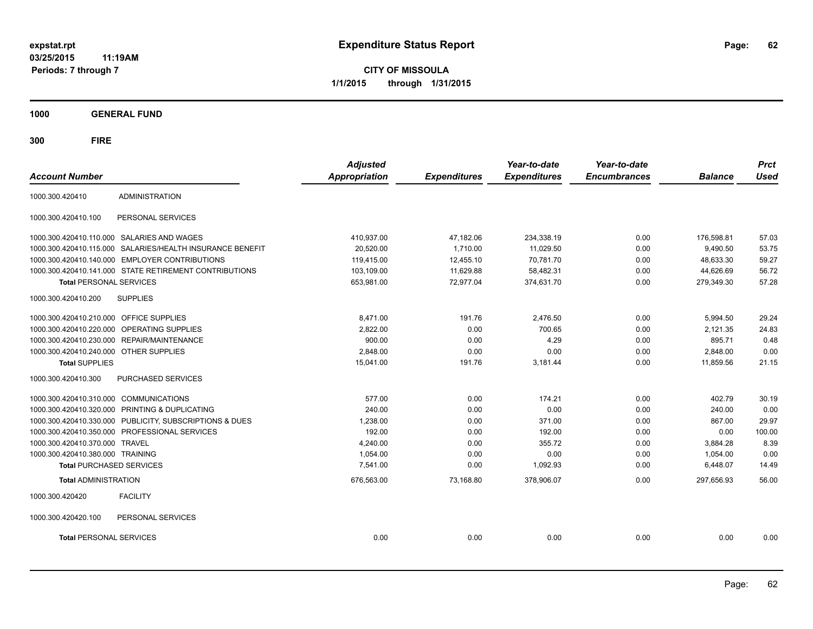**CITY OF MISSOULA 1/1/2015 through 1/31/2015**

**1000 GENERAL FUND**

| <b>Account Number</b>                   |                                                         | <b>Adjusted</b><br><b>Appropriation</b> | <b>Expenditures</b> | Year-to-date<br><b>Expenditures</b> | Year-to-date<br><b>Encumbrances</b> | <b>Balance</b> | <b>Prct</b><br><b>Used</b> |
|-----------------------------------------|---------------------------------------------------------|-----------------------------------------|---------------------|-------------------------------------|-------------------------------------|----------------|----------------------------|
|                                         |                                                         |                                         |                     |                                     |                                     |                |                            |
| 1000.300.420410                         | <b>ADMINISTRATION</b>                                   |                                         |                     |                                     |                                     |                |                            |
| 1000.300.420410.100                     | PERSONAL SERVICES                                       |                                         |                     |                                     |                                     |                |                            |
|                                         | 1000.300.420410.110.000 SALARIES AND WAGES              | 410,937.00                              | 47,182.06           | 234,338.19                          | 0.00                                | 176,598.81     | 57.03                      |
| 1000.300.420410.115.000                 | SALARIES/HEALTH INSURANCE BENEFIT                       | 20,520.00                               | 1,710.00            | 11,029.50                           | 0.00                                | 9,490.50       | 53.75                      |
| 1000.300.420410.140.000                 | <b>EMPLOYER CONTRIBUTIONS</b>                           | 119,415.00                              | 12,455.10           | 70,781.70                           | 0.00                                | 48.633.30      | 59.27                      |
|                                         | 1000.300.420410.141.000 STATE RETIREMENT CONTRIBUTIONS  | 103,109.00                              | 11,629.88           | 58,482.31                           | 0.00                                | 44,626.69      | 56.72                      |
| <b>Total PERSONAL SERVICES</b>          |                                                         | 653,981.00                              | 72,977.04           | 374,631.70                          | 0.00                                | 279,349.30     | 57.28                      |
| 1000.300.420410.200                     | <b>SUPPLIES</b>                                         |                                         |                     |                                     |                                     |                |                            |
| 1000.300.420410.210.000 OFFICE SUPPLIES |                                                         | 8.471.00                                | 191.76              | 2,476.50                            | 0.00                                | 5,994.50       | 29.24                      |
| 1000.300.420410.220.000                 | OPERATING SUPPLIES                                      | 2,822.00                                | 0.00                | 700.65                              | 0.00                                | 2,121.35       | 24.83                      |
| 1000.300.420410.230.000                 | <b>REPAIR/MAINTENANCE</b>                               | 900.00                                  | 0.00                | 4.29                                | 0.00                                | 895.71         | 0.48                       |
| 1000.300.420410.240.000 OTHER SUPPLIES  |                                                         | 2,848.00                                | 0.00                | 0.00                                | 0.00                                | 2,848.00       | 0.00                       |
| <b>Total SUPPLIES</b>                   |                                                         | 15,041.00                               | 191.76              | 3,181.44                            | 0.00                                | 11,859.56      | 21.15                      |
| 1000.300.420410.300                     | PURCHASED SERVICES                                      |                                         |                     |                                     |                                     |                |                            |
| 1000.300.420410.310.000 COMMUNICATIONS  |                                                         | 577.00                                  | 0.00                | 174.21                              | 0.00                                | 402.79         | 30.19                      |
|                                         | 1000.300.420410.320.000 PRINTING & DUPLICATING          | 240.00                                  | 0.00                | 0.00                                | 0.00                                | 240.00         | 0.00                       |
|                                         | 1000.300.420410.330.000 PUBLICITY, SUBSCRIPTIONS & DUES | 1,238.00                                | 0.00                | 371.00                              | 0.00                                | 867.00         | 29.97                      |
|                                         | 1000.300.420410.350.000 PROFESSIONAL SERVICES           | 192.00                                  | 0.00                | 192.00                              | 0.00                                | 0.00           | 100.00                     |
| 1000.300.420410.370.000                 | <b>TRAVEL</b>                                           | 4,240.00                                | 0.00                | 355.72                              | 0.00                                | 3,884.28       | 8.39                       |
| 1000.300.420410.380.000 TRAINING        |                                                         | 1,054.00                                | 0.00                | 0.00                                | 0.00                                | 1,054.00       | 0.00                       |
| <b>Total PURCHASED SERVICES</b>         |                                                         | 7,541.00                                | 0.00                | 1,092.93                            | 0.00                                | 6,448.07       | 14.49                      |
| <b>Total ADMINISTRATION</b>             |                                                         | 676,563.00                              | 73,168.80           | 378,906.07                          | 0.00                                | 297.656.93     | 56.00                      |
| 1000.300.420420                         | <b>FACILITY</b>                                         |                                         |                     |                                     |                                     |                |                            |
| 1000.300.420420.100                     | PERSONAL SERVICES                                       |                                         |                     |                                     |                                     |                |                            |
| <b>Total PERSONAL SERVICES</b>          |                                                         | 0.00                                    | 0.00                | 0.00                                | 0.00                                | 0.00           | 0.00                       |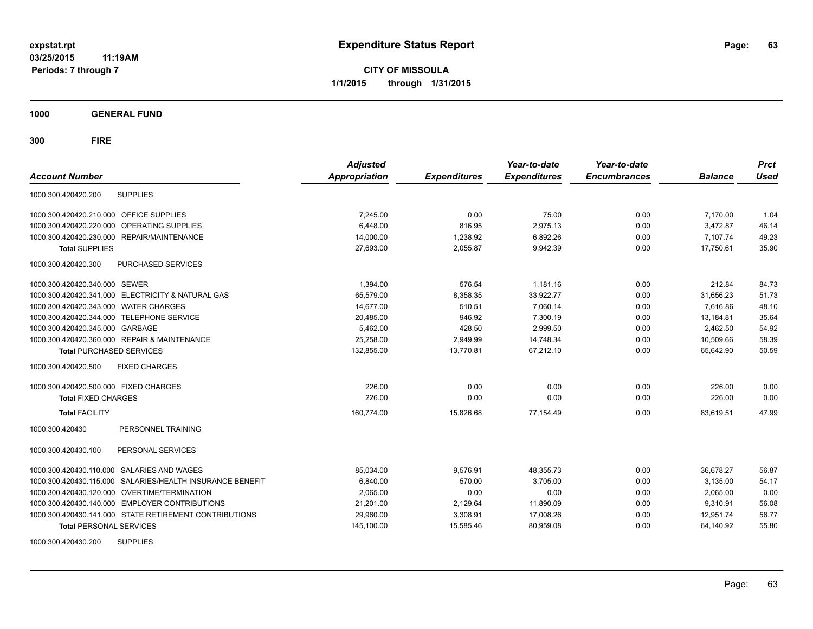**CITY OF MISSOULA 1/1/2015 through 1/31/2015**

**1000 GENERAL FUND**

| <b>Account Number</b>                                        | <b>Adjusted</b><br><b>Appropriation</b> | <b>Expenditures</b> | Year-to-date<br><b>Expenditures</b> | Year-to-date<br><b>Encumbrances</b> | <b>Balance</b> | <b>Prct</b><br><b>Used</b> |
|--------------------------------------------------------------|-----------------------------------------|---------------------|-------------------------------------|-------------------------------------|----------------|----------------------------|
| <b>SUPPLIES</b><br>1000.300.420420.200                       |                                         |                     |                                     |                                     |                |                            |
| 1000.300.420420.210.000 OFFICE SUPPLIES                      | 7,245.00                                | 0.00                | 75.00                               | 0.00                                | 7,170.00       | 1.04                       |
| OPERATING SUPPLIES<br>1000.300.420420.220.000                | 6.448.00                                | 816.95              | 2.975.13                            | 0.00                                | 3.472.87       | 46.14                      |
| 1000.300.420420.230.000 REPAIR/MAINTENANCE                   | 14.000.00                               | 1.238.92            | 6.892.26                            | 0.00                                | 7.107.74       | 49.23                      |
| <b>Total SUPPLIES</b>                                        | 27,693.00                               | 2,055.87            | 9,942.39                            | 0.00                                | 17,750.61      | 35.90                      |
| <b>PURCHASED SERVICES</b><br>1000.300.420420.300             |                                         |                     |                                     |                                     |                |                            |
| 1000.300.420420.340.000 SEWER                                | 1,394.00                                | 576.54              | 1.181.16                            | 0.00                                | 212.84         | 84.73                      |
| 1000.300.420420.341.000 ELECTRICITY & NATURAL GAS            | 65,579.00                               | 8.358.35            | 33,922.77                           | 0.00                                | 31.656.23      | 51.73                      |
| 1000.300.420420.343.000 WATER CHARGES                        | 14,677.00                               | 510.51              | 7,060.14                            | 0.00                                | 7.616.86       | 48.10                      |
| 1000.300.420420.344.000 TELEPHONE SERVICE                    | 20,485.00                               | 946.92              | 7,300.19                            | 0.00                                | 13,184.81      | 35.64                      |
| 1000.300.420420.345.000 GARBAGE                              | 5,462.00                                | 428.50              | 2,999.50                            | 0.00                                | 2,462.50       | 54.92                      |
| 1000.300.420420.360.000 REPAIR & MAINTENANCE                 | 25,258.00                               | 2,949.99            | 14,748.34                           | 0.00                                | 10,509.66      | 58.39                      |
| <b>Total PURCHASED SERVICES</b>                              | 132,855.00                              | 13,770.81           | 67.212.10                           | 0.00                                | 65.642.90      | 50.59                      |
| 1000.300.420420.500<br><b>FIXED CHARGES</b>                  |                                         |                     |                                     |                                     |                |                            |
| 1000.300.420420.500.000 FIXED CHARGES                        | 226.00                                  | 0.00                | 0.00                                | 0.00                                | 226.00         | 0.00                       |
| <b>Total FIXED CHARGES</b>                                   | 226.00                                  | 0.00                | 0.00                                | 0.00                                | 226.00         | 0.00                       |
| <b>Total FACILITY</b>                                        | 160,774.00                              | 15,826.68           | 77,154.49                           | 0.00                                | 83,619.51      | 47.99                      |
| PERSONNEL TRAINING<br>1000.300.420430                        |                                         |                     |                                     |                                     |                |                            |
| 1000.300.420430.100<br>PERSONAL SERVICES                     |                                         |                     |                                     |                                     |                |                            |
| 1000.300.420430.110.000 SALARIES AND WAGES                   | 85,034.00                               | 9,576.91            | 48,355.73                           | 0.00                                | 36,678.27      | 56.87                      |
| SALARIES/HEALTH INSURANCE BENEFIT<br>1000.300.420430.115.000 | 6,840.00                                | 570.00              | 3,705.00                            | 0.00                                | 3,135.00       | 54.17                      |
| 1000.300.420430.120.000 OVERTIME/TERMINATION                 | 2,065.00                                | 0.00                | 0.00                                | 0.00                                | 2,065.00       | 0.00                       |
| 1000.300.420430.140.000 EMPLOYER CONTRIBUTIONS               | 21,201.00                               | 2,129.64            | 11,890.09                           | 0.00                                | 9.310.91       | 56.08                      |
| 1000.300.420430.141.000 STATE RETIREMENT CONTRIBUTIONS       | 29,960.00                               | 3,308.91            | 17,008.26                           | 0.00                                | 12,951.74      | 56.77                      |
| <b>Total PERSONAL SERVICES</b>                               | 145,100.00                              | 15,585.46           | 80,959.08                           | 0.00                                | 64,140.92      | 55.80                      |
| <b>SUPPLIES</b><br>1000.300.420430.200                       |                                         |                     |                                     |                                     |                |                            |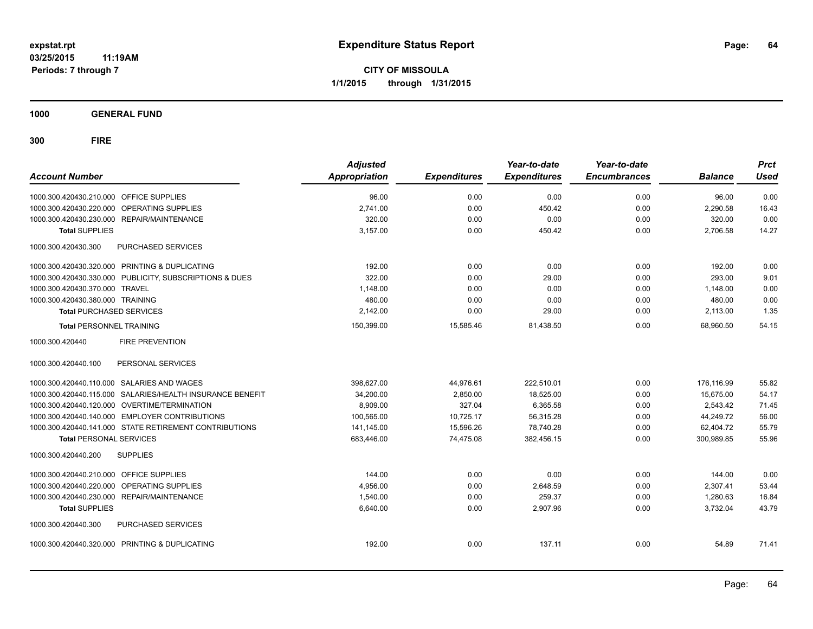**CITY OF MISSOULA 1/1/2015 through 1/31/2015**

**1000 GENERAL FUND**

| <b>Account Number</b>                                     | <b>Adjusted</b><br><b>Appropriation</b> | <b>Expenditures</b> | Year-to-date<br><b>Expenditures</b> | Year-to-date<br><b>Encumbrances</b> | <b>Balance</b> | <b>Prct</b><br>Used |
|-----------------------------------------------------------|-----------------------------------------|---------------------|-------------------------------------|-------------------------------------|----------------|---------------------|
| 1000.300.420430.210.000 OFFICE SUPPLIES                   | 96.00                                   | 0.00                | 0.00                                | 0.00                                | 96.00          | 0.00                |
| 1000.300.420430.220.000 OPERATING SUPPLIES                | 2,741.00                                | 0.00                | 450.42                              | 0.00                                | 2,290.58       | 16.43               |
| 1000.300.420430.230.000 REPAIR/MAINTENANCE                | 320.00                                  | 0.00                | 0.00                                | 0.00                                | 320.00         | 0.00                |
| <b>Total SUPPLIES</b>                                     | 3,157.00                                | 0.00                | 450.42                              | 0.00                                | 2,706.58       | 14.27               |
| PURCHASED SERVICES<br>1000.300.420430.300                 |                                         |                     |                                     |                                     |                |                     |
| 1000.300.420430.320.000 PRINTING & DUPLICATING            | 192.00                                  | 0.00                | 0.00                                | 0.00                                | 192.00         | 0.00                |
| 1000.300.420430.330.000 PUBLICITY, SUBSCRIPTIONS & DUES   | 322.00                                  | 0.00                | 29.00                               | 0.00                                | 293.00         | 9.01                |
| 1000.300.420430.370.000 TRAVEL                            | 1,148.00                                | 0.00                | 0.00                                | 0.00                                | 1,148.00       | 0.00                |
| 1000.300.420430.380.000 TRAINING                          | 480.00                                  | 0.00                | 0.00                                | 0.00                                | 480.00         | 0.00                |
| <b>Total PURCHASED SERVICES</b>                           | 2,142.00                                | 0.00                | 29.00                               | 0.00                                | 2,113.00       | 1.35                |
| <b>Total PERSONNEL TRAINING</b>                           | 150,399.00                              | 15,585.46           | 81,438.50                           | 0.00                                | 68.960.50      | 54.15               |
| <b>FIRE PREVENTION</b><br>1000.300.420440                 |                                         |                     |                                     |                                     |                |                     |
| PERSONAL SERVICES<br>1000.300.420440.100                  |                                         |                     |                                     |                                     |                |                     |
| 1000.300.420440.110.000 SALARIES AND WAGES                | 398,627.00                              | 44,976.61           | 222,510.01                          | 0.00                                | 176,116.99     | 55.82               |
| 1000.300.420440.115.000 SALARIES/HEALTH INSURANCE BENEFIT | 34,200.00                               | 2,850.00            | 18,525.00                           | 0.00                                | 15.675.00      | 54.17               |
| 1000.300.420440.120.000 OVERTIME/TERMINATION              | 8,909.00                                | 327.04              | 6,365.58                            | 0.00                                | 2,543.42       | 71.45               |
| 1000.300.420440.140.000 EMPLOYER CONTRIBUTIONS            | 100,565.00                              | 10,725.17           | 56,315.28                           | 0.00                                | 44,249.72      | 56.00               |
| 1000.300.420440.141.000 STATE RETIREMENT CONTRIBUTIONS    | 141,145.00                              | 15,596.26           | 78,740.28                           | 0.00                                | 62,404.72      | 55.79               |
| <b>Total PERSONAL SERVICES</b>                            | 683,446.00                              | 74,475.08           | 382,456.15                          | 0.00                                | 300,989.85     | 55.96               |
| <b>SUPPLIES</b><br>1000.300.420440.200                    |                                         |                     |                                     |                                     |                |                     |
| 1000.300.420440.210.000 OFFICE SUPPLIES                   | 144.00                                  | 0.00                | 0.00                                | 0.00                                | 144.00         | 0.00                |
| 1000.300.420440.220.000 OPERATING SUPPLIES                | 4.956.00                                | 0.00                | 2.648.59                            | 0.00                                | 2.307.41       | 53.44               |
| 1000.300.420440.230.000 REPAIR/MAINTENANCE                | 1.540.00                                | 0.00                | 259.37                              | 0.00                                | 1,280.63       | 16.84               |
| <b>Total SUPPLIES</b>                                     | 6,640.00                                | 0.00                | 2,907.96                            | 0.00                                | 3,732.04       | 43.79               |
| 1000.300.420440.300<br>PURCHASED SERVICES                 |                                         |                     |                                     |                                     |                |                     |
| 1000.300.420440.320.000 PRINTING & DUPLICATING            | 192.00                                  | 0.00                | 137.11                              | 0.00                                | 54.89          | 71.41               |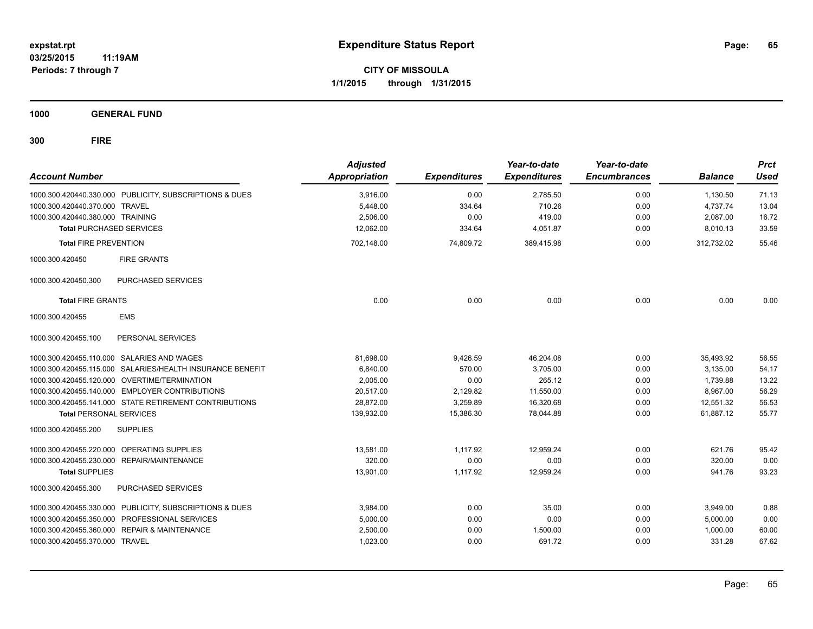**CITY OF MISSOULA 1/1/2015 through 1/31/2015**

**1000 GENERAL FUND**

| <b>Account Number</b>            |                                                           | <b>Adjusted</b><br>Appropriation | <b>Expenditures</b> | Year-to-date<br><b>Expenditures</b> | Year-to-date<br><b>Encumbrances</b> | <b>Balance</b> | <b>Prct</b><br><b>Used</b> |
|----------------------------------|-----------------------------------------------------------|----------------------------------|---------------------|-------------------------------------|-------------------------------------|----------------|----------------------------|
|                                  | 1000.300.420440.330.000 PUBLICITY, SUBSCRIPTIONS & DUES   | 3.916.00                         | 0.00                | 2,785.50                            | 0.00                                | 1,130.50       | 71.13                      |
| 1000.300.420440.370.000 TRAVEL   |                                                           | 5,448.00                         | 334.64              | 710.26                              | 0.00                                | 4,737.74       | 13.04                      |
| 1000.300.420440.380.000 TRAINING |                                                           | 2,506.00                         | 0.00                | 419.00                              | 0.00                                | 2,087.00       | 16.72                      |
| <b>Total PURCHASED SERVICES</b>  |                                                           | 12.062.00                        | 334.64              | 4,051.87                            | 0.00                                | 8,010.13       | 33.59                      |
| <b>Total FIRE PREVENTION</b>     |                                                           | 702,148.00                       | 74,809.72           | 389,415.98                          | 0.00                                | 312,732.02     | 55.46                      |
| 1000.300.420450                  | <b>FIRE GRANTS</b>                                        |                                  |                     |                                     |                                     |                |                            |
| 1000.300.420450.300              | PURCHASED SERVICES                                        |                                  |                     |                                     |                                     |                |                            |
| <b>Total FIRE GRANTS</b>         |                                                           | 0.00                             | 0.00                | 0.00                                | 0.00                                | 0.00           | 0.00                       |
| 1000.300.420455                  | <b>EMS</b>                                                |                                  |                     |                                     |                                     |                |                            |
| 1000.300.420455.100              | PERSONAL SERVICES                                         |                                  |                     |                                     |                                     |                |                            |
|                                  | 1000.300.420455.110.000 SALARIES AND WAGES                | 81,698.00                        | 9,426.59            | 46,204.08                           | 0.00                                | 35,493.92      | 56.55                      |
|                                  | 1000.300.420455.115.000 SALARIES/HEALTH INSURANCE BENEFIT | 6,840.00                         | 570.00              | 3,705.00                            | 0.00                                | 3,135.00       | 54.17                      |
|                                  | 1000.300.420455.120.000 OVERTIME/TERMINATION              | 2,005.00                         | 0.00                | 265.12                              | 0.00                                | 1,739.88       | 13.22                      |
|                                  | 1000.300.420455.140.000 EMPLOYER CONTRIBUTIONS            | 20,517.00                        | 2,129.82            | 11,550.00                           | 0.00                                | 8,967.00       | 56.29                      |
|                                  | 1000.300.420455.141.000 STATE RETIREMENT CONTRIBUTIONS    | 28,872.00                        | 3.259.89            | 16.320.68                           | 0.00                                | 12.551.32      | 56.53                      |
| <b>Total PERSONAL SERVICES</b>   |                                                           | 139,932.00                       | 15,386.30           | 78.044.88                           | 0.00                                | 61.887.12      | 55.77                      |
| 1000.300.420455.200              | <b>SUPPLIES</b>                                           |                                  |                     |                                     |                                     |                |                            |
|                                  | 1000.300.420455.220.000 OPERATING SUPPLIES                | 13,581.00                        | 1,117.92            | 12,959.24                           | 0.00                                | 621.76         | 95.42                      |
|                                  | 1000.300.420455.230.000 REPAIR/MAINTENANCE                | 320.00                           | 0.00                | 0.00                                | 0.00                                | 320.00         | 0.00                       |
| <b>Total SUPPLIES</b>            |                                                           | 13,901.00                        | 1,117.92            | 12,959.24                           | 0.00                                | 941.76         | 93.23                      |
| 1000.300.420455.300              | <b>PURCHASED SERVICES</b>                                 |                                  |                     |                                     |                                     |                |                            |
|                                  | 1000.300.420455.330.000 PUBLICITY, SUBSCRIPTIONS & DUES   | 3,984.00                         | 0.00                | 35.00                               | 0.00                                | 3,949.00       | 0.88                       |
|                                  | 1000.300.420455.350.000 PROFESSIONAL SERVICES             | 5,000.00                         | 0.00                | 0.00                                | 0.00                                | 5,000.00       | 0.00                       |
|                                  | 1000.300.420455.360.000 REPAIR & MAINTENANCE              | 2,500.00                         | 0.00                | 1,500.00                            | 0.00                                | 1,000.00       | 60.00                      |
| 1000.300.420455.370.000 TRAVEL   |                                                           | 1,023.00                         | 0.00                | 691.72                              | 0.00                                | 331.28         | 67.62                      |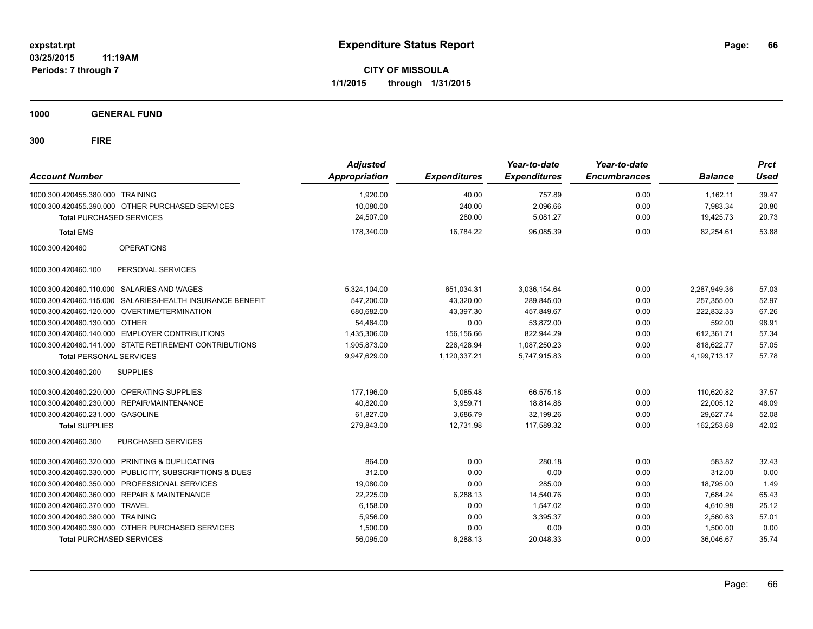**CITY OF MISSOULA 1/1/2015 through 1/31/2015**

**1000 GENERAL FUND**

| <b>Account Number</b>            |                                                           | <b>Adjusted</b><br>Appropriation | <b>Expenditures</b> | Year-to-date<br><b>Expenditures</b> | Year-to-date<br><b>Encumbrances</b> | <b>Balance</b>  | <b>Prct</b><br><b>Used</b> |
|----------------------------------|-----------------------------------------------------------|----------------------------------|---------------------|-------------------------------------|-------------------------------------|-----------------|----------------------------|
| 1000.300.420455.380.000 TRAINING |                                                           | 1,920.00                         | 40.00               | 757.89                              | 0.00                                | 1.162.11        | 39.47                      |
|                                  | 1000.300.420455.390.000 OTHER PURCHASED SERVICES          | 10,080.00                        | 240.00              | 2,096.66                            | 0.00                                | 7,983.34        | 20.80                      |
| <b>Total PURCHASED SERVICES</b>  |                                                           | 24,507.00                        | 280.00              | 5,081.27                            | 0.00                                | 19,425.73       | 20.73                      |
| <b>Total EMS</b>                 |                                                           | 178,340.00                       | 16,784.22           | 96,085.39                           | 0.00                                | 82,254.61       | 53.88                      |
| 1000.300.420460                  | <b>OPERATIONS</b>                                         |                                  |                     |                                     |                                     |                 |                            |
| 1000.300.420460.100              | PERSONAL SERVICES                                         |                                  |                     |                                     |                                     |                 |                            |
|                                  | 1000.300.420460.110.000 SALARIES AND WAGES                | 5,324,104.00                     | 651,034.31          | 3,036,154.64                        | 0.00                                | 2,287,949.36    | 57.03                      |
|                                  | 1000.300.420460.115.000 SALARIES/HEALTH INSURANCE BENEFIT | 547.200.00                       | 43.320.00           | 289.845.00                          | 0.00                                | 257.355.00      | 52.97                      |
|                                  | 1000.300.420460.120.000 OVERTIME/TERMINATION              | 680,682.00                       | 43.397.30           | 457,849.67                          | 0.00                                | 222.832.33      | 67.26                      |
| 1000.300.420460.130.000 OTHER    |                                                           | 54.464.00                        | 0.00                | 53,872.00                           | 0.00                                | 592.00          | 98.91                      |
|                                  | 1000.300.420460.140.000 EMPLOYER CONTRIBUTIONS            | 1,435,306.00                     | 156,156.66          | 822,944.29                          | 0.00                                | 612,361.71      | 57.34                      |
|                                  | 1000.300.420460.141.000 STATE RETIREMENT CONTRIBUTIONS    | 1,905,873.00                     | 226,428.94          | 1,087,250.23                        | 0.00                                | 818,622.77      | 57.05                      |
| <b>Total PERSONAL SERVICES</b>   |                                                           | 9,947,629.00                     | 1,120,337.21        | 5,747,915.83                        | 0.00                                | 4, 199, 713. 17 | 57.78                      |
| 1000.300.420460.200              | <b>SUPPLIES</b>                                           |                                  |                     |                                     |                                     |                 |                            |
|                                  | 1000.300.420460.220.000 OPERATING SUPPLIES                | 177,196.00                       | 5,085.48            | 66.575.18                           | 0.00                                | 110.620.82      | 37.57                      |
|                                  | 1000.300.420460.230.000 REPAIR/MAINTENANCE                | 40,820.00                        | 3,959.71            | 18,814.88                           | 0.00                                | 22,005.12       | 46.09                      |
| 1000.300.420460.231.000 GASOLINE |                                                           | 61,827.00                        | 3,686.79            | 32,199.26                           | 0.00                                | 29,627.74       | 52.08                      |
| <b>Total SUPPLIES</b>            |                                                           | 279,843.00                       | 12,731.98           | 117,589.32                          | 0.00                                | 162,253.68      | 42.02                      |
| 1000.300.420460.300              | PURCHASED SERVICES                                        |                                  |                     |                                     |                                     |                 |                            |
|                                  | 1000.300.420460.320.000 PRINTING & DUPLICATING            | 864.00                           | 0.00                | 280.18                              | 0.00                                | 583.82          | 32.43                      |
|                                  | 1000.300.420460.330.000 PUBLICITY, SUBSCRIPTIONS & DUES   | 312.00                           | 0.00                | 0.00                                | 0.00                                | 312.00          | 0.00                       |
|                                  | 1000.300.420460.350.000 PROFESSIONAL SERVICES             | 19,080.00                        | 0.00                | 285.00                              | 0.00                                | 18,795.00       | 1.49                       |
|                                  | 1000.300.420460.360.000 REPAIR & MAINTENANCE              | 22,225.00                        | 6,288.13            | 14,540.76                           | 0.00                                | 7,684.24        | 65.43                      |
| 1000.300.420460.370.000 TRAVEL   |                                                           | 6,158.00                         | 0.00                | 1,547.02                            | 0.00                                | 4,610.98        | 25.12                      |
| 1000.300.420460.380.000 TRAINING |                                                           | 5,956.00                         | 0.00                | 3,395.37                            | 0.00                                | 2,560.63        | 57.01                      |
|                                  | 1000.300.420460.390.000 OTHER PURCHASED SERVICES          | 1,500.00                         | 0.00                | 0.00                                | 0.00                                | 1,500.00        | 0.00                       |
| <b>Total PURCHASED SERVICES</b>  |                                                           | 56,095.00                        | 6,288.13            | 20,048.33                           | 0.00                                | 36,046.67       | 35.74                      |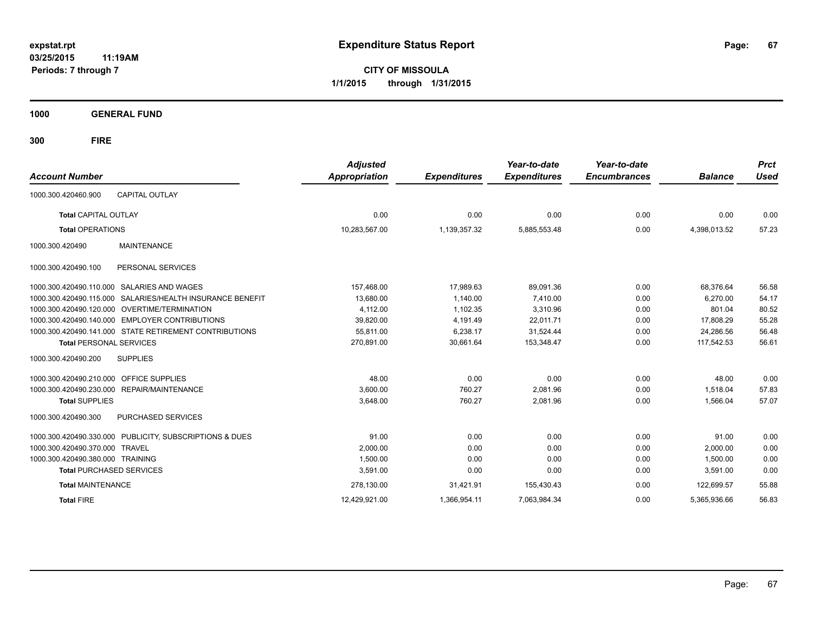**CITY OF MISSOULA 1/1/2015 through 1/31/2015**

**1000 GENERAL FUND**

| <b>Account Number</b>                        |                                                         | <b>Adjusted</b><br>Appropriation | <b>Expenditures</b> | Year-to-date<br><b>Expenditures</b> | Year-to-date<br><b>Encumbrances</b> | <b>Balance</b> | <b>Prct</b><br><b>Used</b> |
|----------------------------------------------|---------------------------------------------------------|----------------------------------|---------------------|-------------------------------------|-------------------------------------|----------------|----------------------------|
| 1000.300.420460.900                          | <b>CAPITAL OUTLAY</b>                                   |                                  |                     |                                     |                                     |                |                            |
| <b>Total CAPITAL OUTLAY</b>                  |                                                         | 0.00                             | 0.00                | 0.00                                | 0.00                                | 0.00           | 0.00                       |
| <b>Total OPERATIONS</b>                      |                                                         | 10,283,567.00                    | 1,139,357.32        | 5,885,553.48                        | 0.00                                | 4,398,013.52   | 57.23                      |
| 1000.300.420490                              | <b>MAINTENANCE</b>                                      |                                  |                     |                                     |                                     |                |                            |
| 1000.300.420490.100                          | PERSONAL SERVICES                                       |                                  |                     |                                     |                                     |                |                            |
| 1000.300.420490.110.000 SALARIES AND WAGES   |                                                         | 157,468.00                       | 17,989.63           | 89,091.36                           | 0.00                                | 68,376.64      | 56.58                      |
| 1000.300.420490.115.000                      | SALARIES/HEALTH INSURANCE BENEFIT                       | 13,680.00                        | 1.140.00            | 7,410.00                            | 0.00                                | 6.270.00       | 54.17                      |
| 1000.300.420490.120.000 OVERTIME/TERMINATION |                                                         | 4,112.00                         | 1,102.35            | 3,310.96                            | 0.00                                | 801.04         | 80.52                      |
| 1000.300.420490.140.000                      | <b>EMPLOYER CONTRIBUTIONS</b>                           | 39,820.00                        | 4,191.49            | 22,011.71                           | 0.00                                | 17,808.29      | 55.28                      |
|                                              | 1000.300.420490.141.000 STATE RETIREMENT CONTRIBUTIONS  | 55,811.00                        | 6,238.17            | 31,524.44                           | 0.00                                | 24.286.56      | 56.48                      |
| <b>Total PERSONAL SERVICES</b>               |                                                         | 270,891.00                       | 30,661.64           | 153,348.47                          | 0.00                                | 117,542.53     | 56.61                      |
| 1000.300.420490.200                          | <b>SUPPLIES</b>                                         |                                  |                     |                                     |                                     |                |                            |
| 1000.300.420490.210.000 OFFICE SUPPLIES      |                                                         | 48.00                            | 0.00                | 0.00                                | 0.00                                | 48.00          | 0.00                       |
| 1000.300.420490.230.000 REPAIR/MAINTENANCE   |                                                         | 3,600.00                         | 760.27              | 2,081.96                            | 0.00                                | 1,518.04       | 57.83                      |
| <b>Total SUPPLIES</b>                        |                                                         | 3,648.00                         | 760.27              | 2,081.96                            | 0.00                                | 1,566.04       | 57.07                      |
| 1000.300.420490.300                          | <b>PURCHASED SERVICES</b>                               |                                  |                     |                                     |                                     |                |                            |
|                                              | 1000.300.420490.330.000 PUBLICITY, SUBSCRIPTIONS & DUES | 91.00                            | 0.00                | 0.00                                | 0.00                                | 91.00          | 0.00                       |
| 1000.300.420490.370.000                      | <b>TRAVEL</b>                                           | 2,000.00                         | 0.00                | 0.00                                | 0.00                                | 2,000.00       | 0.00                       |
| 1000.300.420490.380.000 TRAINING             |                                                         | 1,500.00                         | 0.00                | 0.00                                | 0.00                                | 1,500.00       | 0.00                       |
| <b>Total PURCHASED SERVICES</b>              |                                                         | 3,591.00                         | 0.00                | 0.00                                | 0.00                                | 3,591.00       | 0.00                       |
| <b>Total MAINTENANCE</b>                     |                                                         | 278,130.00                       | 31,421.91           | 155,430.43                          | 0.00                                | 122,699.57     | 55.88                      |
| <b>Total FIRE</b>                            |                                                         | 12,429,921.00                    | 1,366,954.11        | 7.063.984.34                        | 0.00                                | 5,365,936.66   | 56.83                      |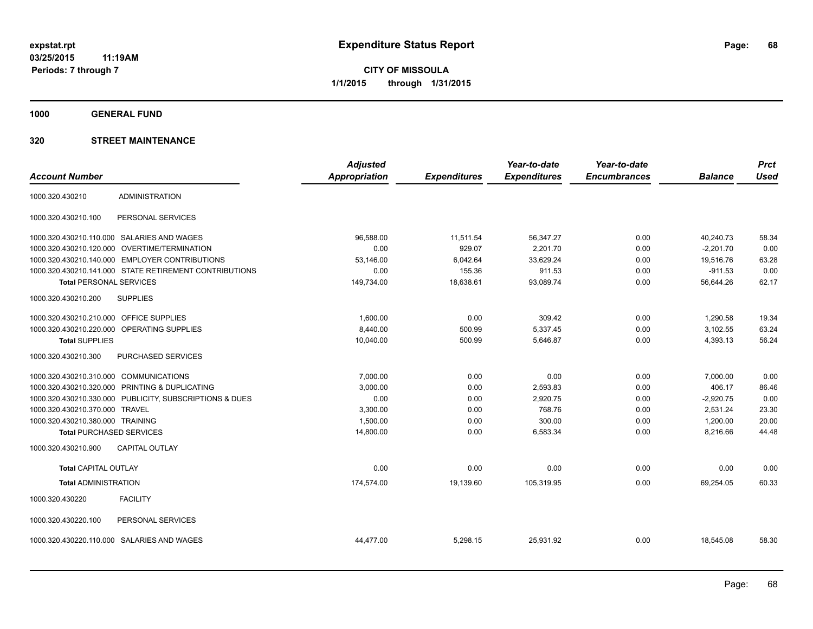**1000 GENERAL FUND**

|                                         |                                                         | <b>Adjusted</b>      |                     | Year-to-date        | Year-to-date        |                | <b>Prct</b> |
|-----------------------------------------|---------------------------------------------------------|----------------------|---------------------|---------------------|---------------------|----------------|-------------|
| <b>Account Number</b>                   |                                                         | <b>Appropriation</b> | <b>Expenditures</b> | <b>Expenditures</b> | <b>Encumbrances</b> | <b>Balance</b> | <b>Used</b> |
| 1000.320.430210                         | <b>ADMINISTRATION</b>                                   |                      |                     |                     |                     |                |             |
| 1000.320.430210.100                     | PERSONAL SERVICES                                       |                      |                     |                     |                     |                |             |
|                                         | 1000.320.430210.110.000 SALARIES AND WAGES              | 96,588.00            | 11,511.54           | 56,347.27           | 0.00                | 40.240.73      | 58.34       |
| 1000.320.430210.120.000                 | OVERTIME/TERMINATION                                    | 0.00                 | 929.07              | 2,201.70            | 0.00                | $-2,201.70$    | 0.00        |
|                                         | 1000.320.430210.140.000 EMPLOYER CONTRIBUTIONS          | 53,146.00            | 6,042.64            | 33,629.24           | 0.00                | 19,516.76      | 63.28       |
|                                         | 1000.320.430210.141.000 STATE RETIREMENT CONTRIBUTIONS  | 0.00                 | 155.36              | 911.53              | 0.00                | $-911.53$      | 0.00        |
| <b>Total PERSONAL SERVICES</b>          |                                                         | 149,734.00           | 18,638.61           | 93,089.74           | 0.00                | 56,644.26      | 62.17       |
| 1000.320.430210.200                     | <b>SUPPLIES</b>                                         |                      |                     |                     |                     |                |             |
| 1000.320.430210.210.000 OFFICE SUPPLIES |                                                         | 1,600.00             | 0.00                | 309.42              | 0.00                | 1,290.58       | 19.34       |
|                                         | 1000.320.430210.220.000 OPERATING SUPPLIES              | 8,440.00             | 500.99              | 5,337.45            | 0.00                | 3,102.55       | 63.24       |
| <b>Total SUPPLIES</b>                   |                                                         | 10,040.00            | 500.99              | 5,646.87            | 0.00                | 4,393.13       | 56.24       |
| 1000.320.430210.300                     | PURCHASED SERVICES                                      |                      |                     |                     |                     |                |             |
| 1000.320.430210.310.000 COMMUNICATIONS  |                                                         | 7,000.00             | 0.00                | 0.00                | 0.00                | 7,000.00       | 0.00        |
|                                         | 1000.320.430210.320.000 PRINTING & DUPLICATING          | 3,000.00             | 0.00                | 2,593.83            | 0.00                | 406.17         | 86.46       |
|                                         | 1000.320.430210.330.000 PUBLICITY, SUBSCRIPTIONS & DUES | 0.00                 | 0.00                | 2,920.75            | 0.00                | $-2,920.75$    | 0.00        |
| 1000.320.430210.370.000                 | <b>TRAVEL</b>                                           | 3,300.00             | 0.00                | 768.76              | 0.00                | 2,531.24       | 23.30       |
| 1000.320.430210.380.000 TRAINING        |                                                         | 1,500.00             | 0.00                | 300.00              | 0.00                | 1,200.00       | 20.00       |
| <b>Total PURCHASED SERVICES</b>         |                                                         | 14,800.00            | 0.00                | 6,583.34            | 0.00                | 8,216.66       | 44.48       |
| 1000.320.430210.900                     | <b>CAPITAL OUTLAY</b>                                   |                      |                     |                     |                     |                |             |
| <b>Total CAPITAL OUTLAY</b>             |                                                         | 0.00                 | 0.00                | 0.00                | 0.00                | 0.00           | 0.00        |
| <b>Total ADMINISTRATION</b>             |                                                         | 174,574.00           | 19,139.60           | 105,319.95          | 0.00                | 69,254.05      | 60.33       |
| 1000.320.430220                         | <b>FACILITY</b>                                         |                      |                     |                     |                     |                |             |
| 1000.320.430220.100                     | PERSONAL SERVICES                                       |                      |                     |                     |                     |                |             |
|                                         | 1000.320.430220.110.000 SALARIES AND WAGES              | 44,477.00            | 5,298.15            | 25,931.92           | 0.00                | 18,545.08      | 58.30       |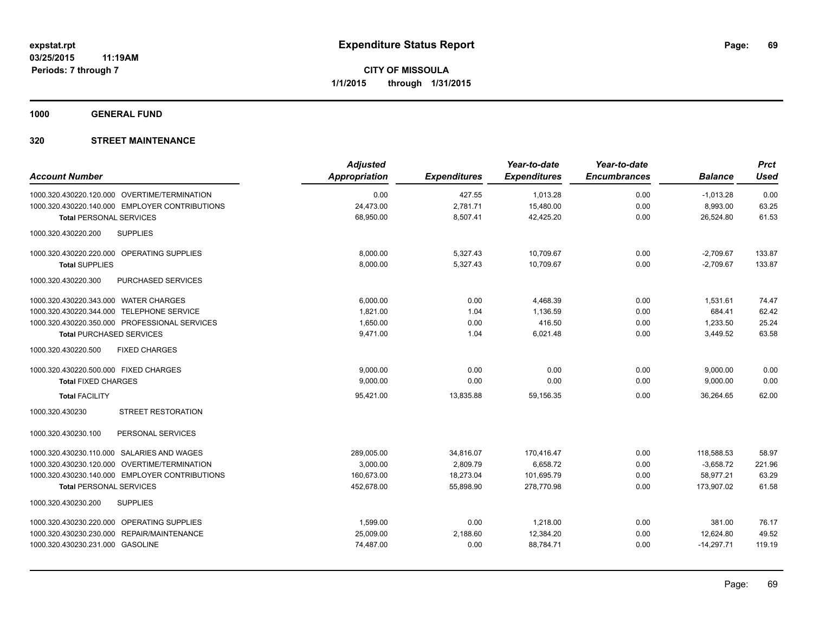**1000 GENERAL FUND**

| <b>Account Number</b>                          | <b>Adjusted</b><br><b>Appropriation</b> | <b>Expenditures</b> | Year-to-date<br><b>Expenditures</b> | Year-to-date<br><b>Encumbrances</b> | <b>Balance</b> | <b>Prct</b><br><b>Used</b> |
|------------------------------------------------|-----------------------------------------|---------------------|-------------------------------------|-------------------------------------|----------------|----------------------------|
| 1000.320.430220.120.000 OVERTIME/TERMINATION   | 0.00                                    | 427.55              | 1,013.28                            | 0.00                                | $-1,013.28$    | 0.00                       |
| 1000.320.430220.140.000 EMPLOYER CONTRIBUTIONS | 24,473.00                               | 2,781.71            | 15,480.00                           | 0.00                                | 8,993.00       | 63.25                      |
| <b>Total PERSONAL SERVICES</b>                 | 68,950.00                               | 8,507.41            | 42,425.20                           | 0.00                                | 26,524.80      | 61.53                      |
| 1000.320.430220.200<br><b>SUPPLIES</b>         |                                         |                     |                                     |                                     |                |                            |
| 1000.320.430220.220.000 OPERATING SUPPLIES     | 8,000.00                                | 5,327.43            | 10,709.67                           | 0.00                                | $-2,709.67$    | 133.87                     |
| <b>Total SUPPLIES</b>                          | 8,000.00                                | 5,327.43            | 10,709.67                           | 0.00                                | $-2,709.67$    | 133.87                     |
| 1000.320.430220.300<br>PURCHASED SERVICES      |                                         |                     |                                     |                                     |                |                            |
| 1000.320.430220.343.000 WATER CHARGES          | 6,000.00                                | 0.00                | 4,468.39                            | 0.00                                | 1,531.61       | 74.47                      |
| 1000.320.430220.344.000 TELEPHONE SERVICE      | 1,821.00                                | 1.04                | 1,136.59                            | 0.00                                | 684.41         | 62.42                      |
| 1000.320.430220.350.000 PROFESSIONAL SERVICES  | 1,650.00                                | 0.00                | 416.50                              | 0.00                                | 1,233.50       | 25.24                      |
| <b>Total PURCHASED SERVICES</b>                | 9,471.00                                | 1.04                | 6,021.48                            | 0.00                                | 3,449.52       | 63.58                      |
| 1000.320.430220.500<br><b>FIXED CHARGES</b>    |                                         |                     |                                     |                                     |                |                            |
| 1000.320.430220.500.000 FIXED CHARGES          | 9,000.00                                | 0.00                | 0.00                                | 0.00                                | 9,000.00       | 0.00                       |
| <b>Total FIXED CHARGES</b>                     | 9,000.00                                | 0.00                | 0.00                                | 0.00                                | 9,000.00       | 0.00                       |
| <b>Total FACILITY</b>                          | 95,421.00                               | 13,835.88           | 59,156.35                           | 0.00                                | 36,264.65      | 62.00                      |
| <b>STREET RESTORATION</b><br>1000.320.430230   |                                         |                     |                                     |                                     |                |                            |
| PERSONAL SERVICES<br>1000.320.430230.100       |                                         |                     |                                     |                                     |                |                            |
| 1000.320.430230.110.000 SALARIES AND WAGES     | 289,005.00                              | 34,816.07           | 170.416.47                          | 0.00                                | 118,588.53     | 58.97                      |
| 1000.320.430230.120.000 OVERTIME/TERMINATION   | 3.000.00                                | 2,809.79            | 6,658.72                            | 0.00                                | $-3.658.72$    | 221.96                     |
| 1000.320.430230.140.000 EMPLOYER CONTRIBUTIONS | 160,673.00                              | 18,273.04           | 101,695.79                          | 0.00                                | 58,977.21      | 63.29                      |
| <b>Total PERSONAL SERVICES</b>                 | 452,678.00                              | 55,898.90           | 278,770.98                          | 0.00                                | 173,907.02     | 61.58                      |
| 1000.320.430230.200<br><b>SUPPLIES</b>         |                                         |                     |                                     |                                     |                |                            |
| 1000.320.430230.220.000 OPERATING SUPPLIES     | 1,599.00                                | 0.00                | 1,218.00                            | 0.00                                | 381.00         | 76.17                      |
| 1000.320.430230.230.000 REPAIR/MAINTENANCE     | 25,009.00                               | 2,188.60            | 12,384.20                           | 0.00                                | 12,624.80      | 49.52                      |
| 1000.320.430230.231.000 GASOLINE               | 74,487.00                               | 0.00                | 88,784.71                           | 0.00                                | $-14,297.71$   | 119.19                     |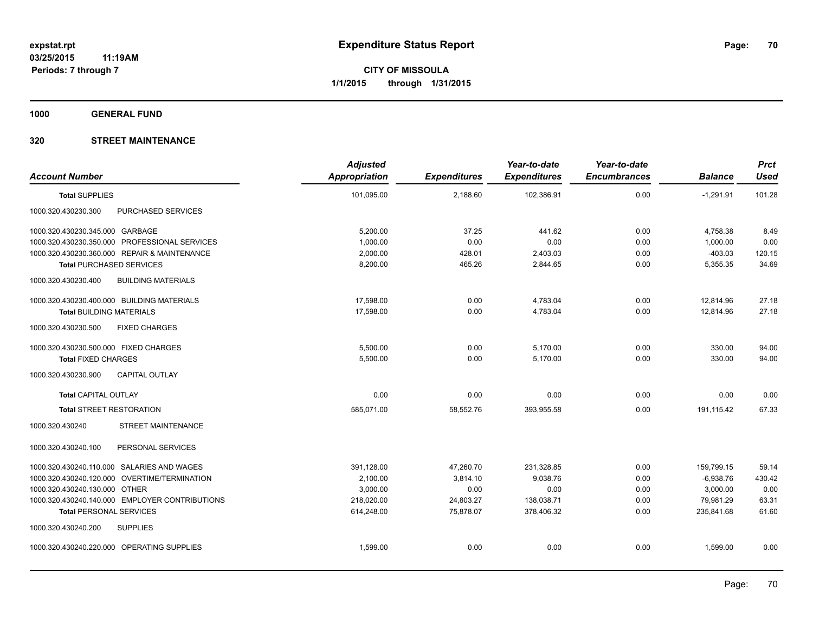**1000 GENERAL FUND**

| <b>Account Number</b>                            | <b>Adjusted</b><br>Appropriation | <b>Expenditures</b> | Year-to-date<br><b>Expenditures</b> | Year-to-date<br><b>Encumbrances</b> | <b>Balance</b> | <b>Prct</b><br><b>Used</b> |
|--------------------------------------------------|----------------------------------|---------------------|-------------------------------------|-------------------------------------|----------------|----------------------------|
| <b>Total SUPPLIES</b>                            | 101,095.00                       | 2,188.60            | 102,386.91                          | 0.00                                | $-1,291.91$    | 101.28                     |
| PURCHASED SERVICES<br>1000.320.430230.300        |                                  |                     |                                     |                                     |                |                            |
| 1000.320.430230.345.000 GARBAGE                  | 5,200.00                         | 37.25               | 441.62                              | 0.00                                | 4,758.38       | 8.49                       |
| 1000.320.430230.350.000 PROFESSIONAL SERVICES    | 1,000.00                         | 0.00                | 0.00                                | 0.00                                | 1,000.00       | 0.00                       |
| 1000.320.430230.360.000 REPAIR & MAINTENANCE     | 2,000.00                         | 428.01              | 2,403.03                            | 0.00                                | $-403.03$      | 120.15                     |
| <b>Total PURCHASED SERVICES</b>                  | 8,200.00                         | 465.26              | 2,844.65                            | 0.00                                | 5,355.35       | 34.69                      |
| 1000.320.430230.400<br><b>BUILDING MATERIALS</b> |                                  |                     |                                     |                                     |                |                            |
| 1000.320.430230.400.000 BUILDING MATERIALS       | 17.598.00                        | 0.00                | 4,783.04                            | 0.00                                | 12.814.96      | 27.18                      |
| <b>Total BUILDING MATERIALS</b>                  | 17,598.00                        | 0.00                | 4,783.04                            | 0.00                                | 12,814.96      | 27.18                      |
| <b>FIXED CHARGES</b><br>1000.320.430230.500      |                                  |                     |                                     |                                     |                |                            |
| 1000.320.430230.500.000 FIXED CHARGES            | 5,500.00                         | 0.00                | 5,170.00                            | 0.00                                | 330.00         | 94.00                      |
| <b>Total FIXED CHARGES</b>                       | 5,500.00                         | 0.00                | 5,170.00                            | 0.00                                | 330.00         | 94.00                      |
| 1000.320.430230.900<br><b>CAPITAL OUTLAY</b>     |                                  |                     |                                     |                                     |                |                            |
| <b>Total CAPITAL OUTLAY</b>                      | 0.00                             | 0.00                | 0.00                                | 0.00                                | 0.00           | 0.00                       |
| <b>Total STREET RESTORATION</b>                  | 585.071.00                       | 58.552.76           | 393.955.58                          | 0.00                                | 191.115.42     | 67.33                      |
| 1000.320.430240<br><b>STREET MAINTENANCE</b>     |                                  |                     |                                     |                                     |                |                            |
| PERSONAL SERVICES<br>1000.320.430240.100         |                                  |                     |                                     |                                     |                |                            |
| 1000.320.430240.110.000 SALARIES AND WAGES       | 391,128.00                       | 47,260.70           | 231,328.85                          | 0.00                                | 159,799.15     | 59.14                      |
| 1000.320.430240.120.000 OVERTIME/TERMINATION     | 2,100.00                         | 3,814.10            | 9,038.76                            | 0.00                                | $-6,938.76$    | 430.42                     |
| 1000.320.430240.130.000 OTHER                    | 3,000.00                         | 0.00                | 0.00                                | 0.00                                | 3,000.00       | 0.00                       |
| 1000.320.430240.140.000 EMPLOYER CONTRIBUTIONS   | 218,020.00                       | 24,803.27           | 138,038.71                          | 0.00                                | 79,981.29      | 63.31                      |
| <b>Total PERSONAL SERVICES</b>                   | 614,248.00                       | 75,878.07           | 378,406.32                          | 0.00                                | 235,841.68     | 61.60                      |
| 1000.320.430240.200<br><b>SUPPLIES</b>           |                                  |                     |                                     |                                     |                |                            |
| 1000.320.430240.220.000 OPERATING SUPPLIES       | 1,599.00                         | 0.00                | 0.00                                | 0.00                                | 1,599.00       | 0.00                       |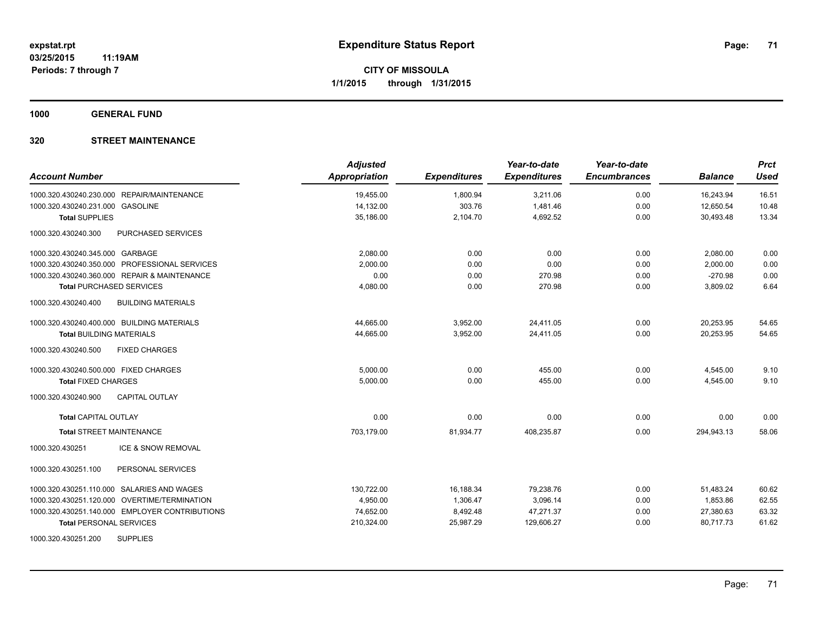**1000 GENERAL FUND**

| <b>Account Number</b>                            | <b>Adjusted</b><br><b>Appropriation</b> | <b>Expenditures</b> | Year-to-date<br><b>Expenditures</b> | Year-to-date<br><b>Encumbrances</b> | <b>Balance</b> | <b>Prct</b><br><b>Used</b> |
|--------------------------------------------------|-----------------------------------------|---------------------|-------------------------------------|-------------------------------------|----------------|----------------------------|
| 1000.320.430240.230.000 REPAIR/MAINTENANCE       | 19,455.00                               | 1,800.94            | 3,211.06                            | 0.00                                | 16,243.94      | 16.51                      |
| 1000.320.430240.231.000 GASOLINE                 | 14,132.00                               | 303.76              | 1,481.46                            | 0.00                                | 12,650.54      | 10.48                      |
| <b>Total SUPPLIES</b>                            | 35,186.00                               | 2,104.70            | 4,692.52                            | 0.00                                | 30,493.48      | 13.34                      |
| 1000.320.430240.300<br>PURCHASED SERVICES        |                                         |                     |                                     |                                     |                |                            |
| 1000.320.430240.345.000 GARBAGE                  | 2,080.00                                | 0.00                | 0.00                                | 0.00                                | 2,080.00       | 0.00                       |
| 1000.320.430240.350.000 PROFESSIONAL SERVICES    | 2,000.00                                | 0.00                | 0.00                                | 0.00                                | 2,000.00       | 0.00                       |
| 1000.320.430240.360.000 REPAIR & MAINTENANCE     | 0.00                                    | 0.00                | 270.98                              | 0.00                                | $-270.98$      | 0.00                       |
| <b>Total PURCHASED SERVICES</b>                  | 4,080.00                                | 0.00                | 270.98                              | 0.00                                | 3,809.02       | 6.64                       |
| 1000.320.430240.400<br><b>BUILDING MATERIALS</b> |                                         |                     |                                     |                                     |                |                            |
| 1000.320.430240.400.000 BUILDING MATERIALS       | 44,665.00                               | 3,952.00            | 24,411.05                           | 0.00                                | 20,253.95      | 54.65                      |
| <b>Total BUILDING MATERIALS</b>                  | 44,665.00                               | 3,952.00            | 24,411.05                           | 0.00                                | 20,253.95      | 54.65                      |
| <b>FIXED CHARGES</b><br>1000.320.430240.500      |                                         |                     |                                     |                                     |                |                            |
| 1000.320.430240.500.000 FIXED CHARGES            | 5,000.00                                | 0.00                | 455.00                              | 0.00                                | 4,545.00       | 9.10                       |
| <b>Total FIXED CHARGES</b>                       | 5,000.00                                | 0.00                | 455.00                              | 0.00                                | 4,545.00       | 9.10                       |
| 1000.320.430240.900<br><b>CAPITAL OUTLAY</b>     |                                         |                     |                                     |                                     |                |                            |
| <b>Total CAPITAL OUTLAY</b>                      | 0.00                                    | 0.00                | 0.00                                | 0.00                                | 0.00           | 0.00                       |
| <b>Total STREET MAINTENANCE</b>                  | 703,179.00                              | 81,934.77           | 408,235.87                          | 0.00                                | 294,943.13     | 58.06                      |
| 1000.320.430251<br><b>ICE &amp; SNOW REMOVAL</b> |                                         |                     |                                     |                                     |                |                            |
| 1000.320.430251.100<br>PERSONAL SERVICES         |                                         |                     |                                     |                                     |                |                            |
| 1000.320.430251.110.000 SALARIES AND WAGES       | 130,722.00                              | 16,188.34           | 79,238.76                           | 0.00                                | 51,483.24      | 60.62                      |
| 1000.320.430251.120.000 OVERTIME/TERMINATION     | 4,950.00                                | 1,306.47            | 3,096.14                            | 0.00                                | 1.853.86       | 62.55                      |
| 1000.320.430251.140.000 EMPLOYER CONTRIBUTIONS   | 74,652.00                               | 8,492.48            | 47,271.37                           | 0.00                                | 27,380.63      | 63.32                      |
| <b>Total PERSONAL SERVICES</b>                   | 210,324.00                              | 25,987.29           | 129,606.27                          | 0.00                                | 80,717.73      | 61.62                      |
| <b>SUPPLIES</b><br>1000.320.430251.200           |                                         |                     |                                     |                                     |                |                            |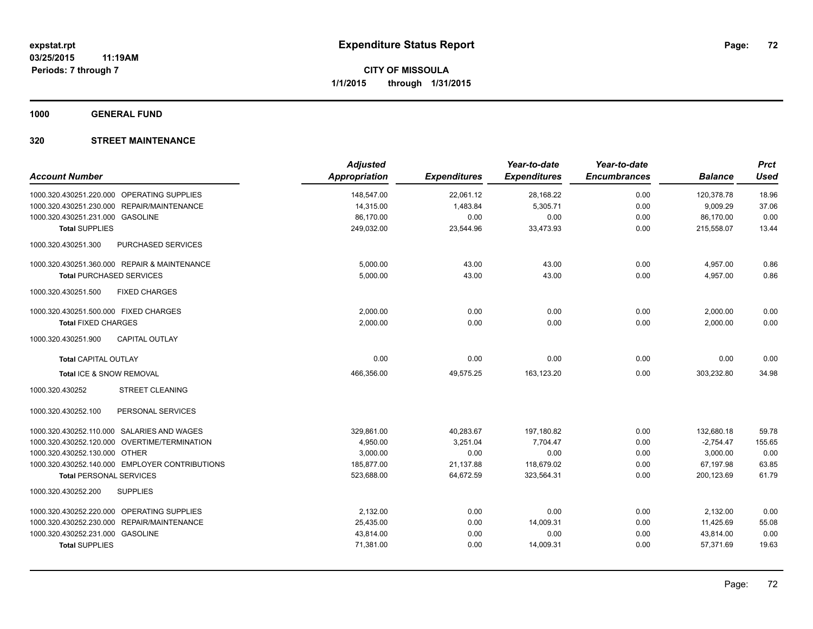**1000 GENERAL FUND**

| <b>Account Number</b>                            | <b>Adjusted</b><br><b>Appropriation</b> | <b>Expenditures</b> | Year-to-date<br><b>Expenditures</b> | Year-to-date<br><b>Encumbrances</b> | <b>Balance</b> | <b>Prct</b><br><b>Used</b> |
|--------------------------------------------------|-----------------------------------------|---------------------|-------------------------------------|-------------------------------------|----------------|----------------------------|
| 1000.320.430251.220.000 OPERATING SUPPLIES       | 148,547.00                              | 22,061.12           | 28,168.22                           | 0.00                                | 120.378.78     | 18.96                      |
| REPAIR/MAINTENANCE<br>1000.320.430251.230.000    | 14,315.00                               | 1,483.84            | 5,305.71                            | 0.00                                | 9,009.29       | 37.06                      |
| 1000.320.430251.231.000 GASOLINE                 | 86,170.00                               | 0.00                | 0.00                                | 0.00                                | 86,170.00      | 0.00                       |
| <b>Total SUPPLIES</b>                            | 249,032.00                              | 23,544.96           | 33,473.93                           | 0.00                                | 215,558.07     | 13.44                      |
| 1000.320.430251.300<br><b>PURCHASED SERVICES</b> |                                         |                     |                                     |                                     |                |                            |
| 1000.320.430251.360.000 REPAIR & MAINTENANCE     | 5,000.00                                | 43.00               | 43.00                               | 0.00                                | 4,957.00       | 0.86                       |
| <b>Total PURCHASED SERVICES</b>                  | 5,000.00                                | 43.00               | 43.00                               | 0.00                                | 4,957.00       | 0.86                       |
| <b>FIXED CHARGES</b><br>1000.320.430251.500      |                                         |                     |                                     |                                     |                |                            |
| 1000.320.430251.500.000 FIXED CHARGES            | 2,000.00                                | 0.00                | 0.00                                | 0.00                                | 2,000.00       | 0.00                       |
| <b>Total FIXED CHARGES</b>                       | 2,000.00                                | 0.00                | 0.00                                | 0.00                                | 2,000.00       | 0.00                       |
| 1000.320.430251.900<br><b>CAPITAL OUTLAY</b>     |                                         |                     |                                     |                                     |                |                            |
| <b>Total CAPITAL OUTLAY</b>                      | 0.00                                    | 0.00                | 0.00                                | 0.00                                | 0.00           | 0.00                       |
| Total ICE & SNOW REMOVAL                         | 466,356.00                              | 49,575.25           | 163,123.20                          | 0.00                                | 303,232.80     | 34.98                      |
| 1000.320.430252<br><b>STREET CLEANING</b>        |                                         |                     |                                     |                                     |                |                            |
| PERSONAL SERVICES<br>1000.320.430252.100         |                                         |                     |                                     |                                     |                |                            |
| 1000.320.430252.110.000 SALARIES AND WAGES       | 329,861.00                              | 40,283.67           | 197,180.82                          | 0.00                                | 132,680.18     | 59.78                      |
| 1000.320.430252.120.000 OVERTIME/TERMINATION     | 4,950.00                                | 3,251.04            | 7,704.47                            | 0.00                                | $-2,754.47$    | 155.65                     |
| 1000.320.430252.130.000 OTHER                    | 3,000.00                                | 0.00                | 0.00                                | 0.00                                | 3,000.00       | 0.00                       |
| 1000.320.430252.140.000 EMPLOYER CONTRIBUTIONS   | 185,877.00                              | 21,137.88           | 118,679.02                          | 0.00                                | 67,197.98      | 63.85                      |
| <b>Total PERSONAL SERVICES</b>                   | 523,688.00                              | 64,672.59           | 323,564.31                          | 0.00                                | 200,123.69     | 61.79                      |
| 1000.320.430252.200<br><b>SUPPLIES</b>           |                                         |                     |                                     |                                     |                |                            |
| 1000.320.430252.220.000 OPERATING SUPPLIES       | 2,132.00                                | 0.00                | 0.00                                | 0.00                                | 2,132.00       | 0.00                       |
| 1000.320.430252.230.000 REPAIR/MAINTENANCE       | 25,435.00                               | 0.00                | 14,009.31                           | 0.00                                | 11,425.69      | 55.08                      |
| 1000.320.430252.231.000 GASOLINE                 | 43,814.00                               | 0.00                | 0.00                                | 0.00                                | 43,814.00      | 0.00                       |
| <b>Total SUPPLIES</b>                            | 71,381.00                               | 0.00                | 14,009.31                           | 0.00                                | 57,371.69      | 19.63                      |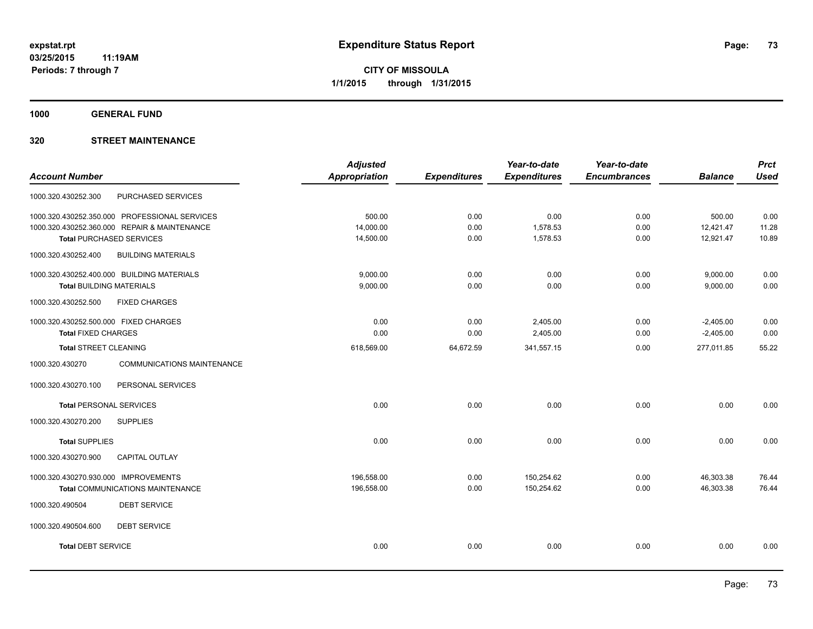**1000 GENERAL FUND**

## **320 STREET MAINTENANCE**

|                                       |                                               | <b>Adjusted</b>      |                     | Year-to-date        | Year-to-date        |                | <b>Prct</b> |
|---------------------------------------|-----------------------------------------------|----------------------|---------------------|---------------------|---------------------|----------------|-------------|
| <b>Account Number</b>                 |                                               | <b>Appropriation</b> | <b>Expenditures</b> | <b>Expenditures</b> | <b>Encumbrances</b> | <b>Balance</b> | <b>Used</b> |
| 1000.320.430252.300                   | <b>PURCHASED SERVICES</b>                     |                      |                     |                     |                     |                |             |
|                                       | 1000.320.430252.350.000 PROFESSIONAL SERVICES | 500.00               | 0.00                | 0.00                | 0.00                | 500.00         | 0.00        |
|                                       | 1000.320.430252.360.000 REPAIR & MAINTENANCE  | 14,000.00            | 0.00                | 1,578.53            | 0.00                | 12,421.47      | 11.28       |
|                                       | <b>Total PURCHASED SERVICES</b>               | 14,500.00            | 0.00                | 1,578.53            | 0.00                | 12,921.47      | 10.89       |
| 1000.320.430252.400                   | <b>BUILDING MATERIALS</b>                     |                      |                     |                     |                     |                |             |
|                                       | 1000.320.430252.400.000 BUILDING MATERIALS    | 9,000.00             | 0.00                | 0.00                | 0.00                | 9,000.00       | 0.00        |
| <b>Total BUILDING MATERIALS</b>       |                                               | 9,000.00             | 0.00                | 0.00                | 0.00                | 9,000.00       | 0.00        |
| 1000.320.430252.500                   | <b>FIXED CHARGES</b>                          |                      |                     |                     |                     |                |             |
| 1000.320.430252.500.000 FIXED CHARGES |                                               | 0.00                 | 0.00                | 2,405.00            | 0.00                | $-2,405.00$    | 0.00        |
| <b>Total FIXED CHARGES</b>            |                                               | 0.00                 | 0.00                | 2,405.00            | 0.00                | $-2,405.00$    | 0.00        |
| Total STREET CLEANING                 |                                               | 618,569.00           | 64,672.59           | 341,557.15          | 0.00                | 277,011.85     | 55.22       |
| 1000.320.430270                       | <b>COMMUNICATIONS MAINTENANCE</b>             |                      |                     |                     |                     |                |             |
| 1000.320.430270.100                   | PERSONAL SERVICES                             |                      |                     |                     |                     |                |             |
| <b>Total PERSONAL SERVICES</b>        |                                               | 0.00                 | 0.00                | 0.00                | 0.00                | 0.00           | 0.00        |
| 1000.320.430270.200                   | <b>SUPPLIES</b>                               |                      |                     |                     |                     |                |             |
| <b>Total SUPPLIES</b>                 |                                               | 0.00                 | 0.00                | 0.00                | 0.00                | 0.00           | 0.00        |
| 1000.320.430270.900                   | <b>CAPITAL OUTLAY</b>                         |                      |                     |                     |                     |                |             |
| 1000.320.430270.930.000 IMPROVEMENTS  |                                               | 196,558.00           | 0.00                | 150,254.62          | 0.00                | 46,303.38      | 76.44       |
|                                       | <b>Total COMMUNICATIONS MAINTENANCE</b>       | 196,558.00           | 0.00                | 150,254.62          | 0.00                | 46,303.38      | 76.44       |
| 1000.320.490504                       | <b>DEBT SERVICE</b>                           |                      |                     |                     |                     |                |             |
| 1000.320.490504.600                   | <b>DEBT SERVICE</b>                           |                      |                     |                     |                     |                |             |
| <b>Total DEBT SERVICE</b>             |                                               | 0.00                 | 0.00                | 0.00                | 0.00                | 0.00           | 0.00        |
|                                       |                                               |                      |                     |                     |                     |                |             |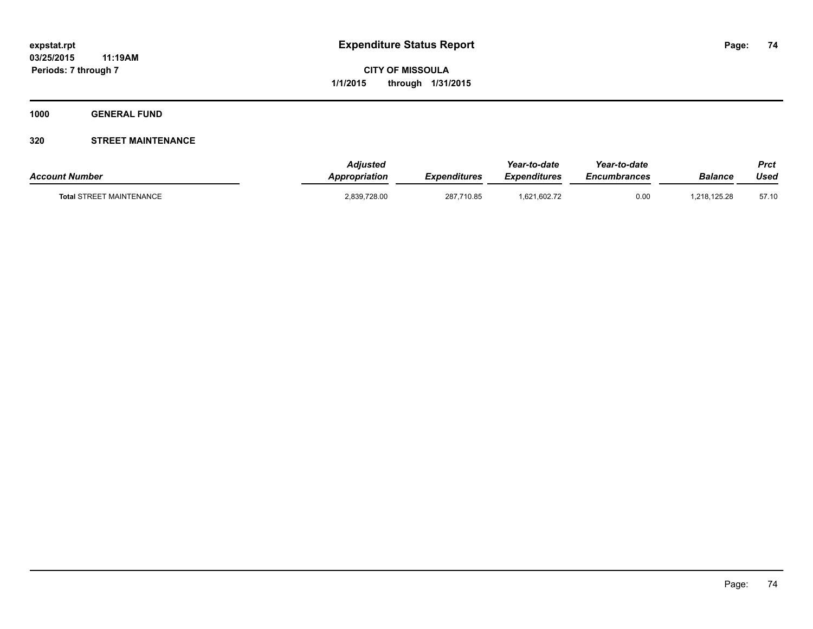**1000 GENERAL FUND**

## **320 STREET MAINTENANCE**

| <b>Account Number</b>           | <b>Adjusted</b><br>Appropriation | <b>Expenditures</b> | Year-to-date<br><b>Expenditures</b> | Year-to-date<br><i><b>Encumbrances</b></i> | Balance      | <b>Prct</b><br>Used |
|---------------------------------|----------------------------------|---------------------|-------------------------------------|--------------------------------------------|--------------|---------------------|
| <b>Total STREET MAINTENANCE</b> | 2,839,728.00                     | 287,710.85          | 1,621,602.72                        | 0.00                                       | 1,218,125.28 | 57.10               |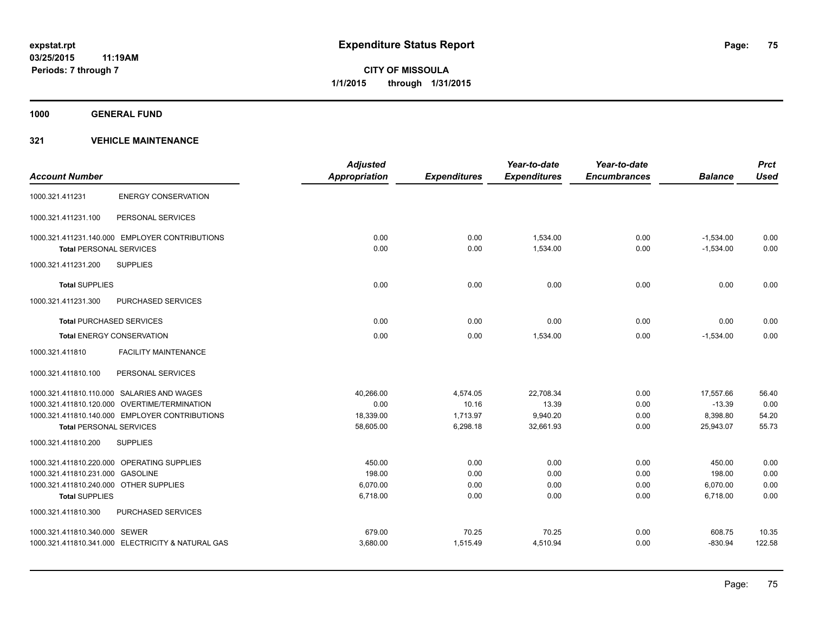**1000 GENERAL FUND**

| <b>Account Number</b>                             | <b>Adjusted</b><br><b>Appropriation</b> | <b>Expenditures</b> | Year-to-date<br><b>Expenditures</b> | Year-to-date<br><b>Encumbrances</b> | <b>Balance</b> | <b>Prct</b><br><b>Used</b> |
|---------------------------------------------------|-----------------------------------------|---------------------|-------------------------------------|-------------------------------------|----------------|----------------------------|
|                                                   |                                         |                     |                                     |                                     |                |                            |
| <b>ENERGY CONSERVATION</b><br>1000.321.411231     |                                         |                     |                                     |                                     |                |                            |
| 1000.321.411231.100<br>PERSONAL SERVICES          |                                         |                     |                                     |                                     |                |                            |
| 1000.321.411231.140.000 EMPLOYER CONTRIBUTIONS    | 0.00                                    | 0.00                | 1.534.00                            | 0.00                                | $-1,534.00$    | 0.00                       |
| <b>Total PERSONAL SERVICES</b>                    | 0.00                                    | 0.00                | 1,534.00                            | 0.00                                | $-1,534.00$    | 0.00                       |
| <b>SUPPLIES</b><br>1000.321.411231.200            |                                         |                     |                                     |                                     |                |                            |
| <b>Total SUPPLIES</b>                             | 0.00                                    | 0.00                | 0.00                                | 0.00                                | 0.00           | 0.00                       |
| 1000.321.411231.300<br><b>PURCHASED SERVICES</b>  |                                         |                     |                                     |                                     |                |                            |
| <b>Total PURCHASED SERVICES</b>                   | 0.00                                    | 0.00                | 0.00                                | 0.00                                | 0.00           | 0.00                       |
| <b>Total ENERGY CONSERVATION</b>                  | 0.00                                    | 0.00                | 1,534.00                            | 0.00                                | $-1,534.00$    | 0.00                       |
| <b>FACILITY MAINTENANCE</b><br>1000.321.411810    |                                         |                     |                                     |                                     |                |                            |
| 1000.321.411810.100<br>PERSONAL SERVICES          |                                         |                     |                                     |                                     |                |                            |
| 1000.321.411810.110.000 SALARIES AND WAGES        | 40.266.00                               | 4,574.05            | 22,708.34                           | 0.00                                | 17.557.66      | 56.40                      |
| 1000.321.411810.120.000 OVERTIME/TERMINATION      | 0.00                                    | 10.16               | 13.39                               | 0.00                                | $-13.39$       | 0.00                       |
| 1000.321.411810.140.000 EMPLOYER CONTRIBUTIONS    | 18,339.00                               | 1,713.97            | 9,940.20                            | 0.00                                | 8,398.80       | 54.20                      |
| <b>Total PERSONAL SERVICES</b>                    | 58,605.00                               | 6,298.18            | 32,661.93                           | 0.00                                | 25,943.07      | 55.73                      |
| 1000.321.411810.200<br><b>SUPPLIES</b>            |                                         |                     |                                     |                                     |                |                            |
| 1000.321.411810.220.000 OPERATING SUPPLIES        | 450.00                                  | 0.00                | 0.00                                | 0.00                                | 450.00         | 0.00                       |
| 1000.321.411810.231.000 GASOLINE                  | 198.00                                  | 0.00                | 0.00                                | 0.00                                | 198.00         | 0.00                       |
| 1000.321.411810.240.000 OTHER SUPPLIES            | 6,070.00                                | 0.00                | 0.00                                | 0.00                                | 6,070.00       | 0.00                       |
| <b>Total SUPPLIES</b>                             | 6,718.00                                | 0.00                | 0.00                                | 0.00                                | 6,718.00       | 0.00                       |
| 1000.321.411810.300<br>PURCHASED SERVICES         |                                         |                     |                                     |                                     |                |                            |
| 1000.321.411810.340.000 SEWER                     | 679.00                                  | 70.25               | 70.25                               | 0.00                                | 608.75         | 10.35                      |
| 1000.321.411810.341.000 ELECTRICITY & NATURAL GAS | 3,680.00                                | 1,515.49            | 4,510.94                            | 0.00                                | $-830.94$      | 122.58                     |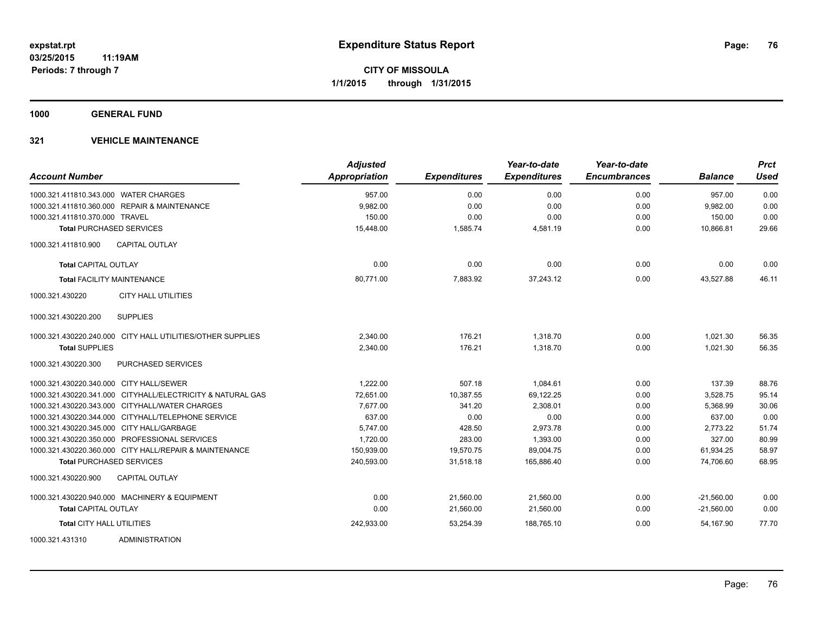**1000 GENERAL FUND**

| <b>Account Number</b>                                      | <b>Adjusted</b><br>Appropriation | <b>Expenditures</b> | Year-to-date<br><b>Expenditures</b> | Year-to-date<br><b>Encumbrances</b> | <b>Balance</b> | <b>Prct</b><br><b>Used</b> |
|------------------------------------------------------------|----------------------------------|---------------------|-------------------------------------|-------------------------------------|----------------|----------------------------|
| 1000.321.411810.343.000 WATER CHARGES                      | 957.00                           | 0.00                | 0.00                                | 0.00                                | 957.00         | 0.00                       |
| 1000.321.411810.360.000 REPAIR & MAINTENANCE               | 9,982.00                         | 0.00                | 0.00                                | 0.00                                | 9,982.00       | 0.00                       |
| 1000.321.411810.370.000 TRAVEL                             | 150.00                           | 0.00                | 0.00                                | 0.00                                | 150.00         | 0.00                       |
| <b>Total PURCHASED SERVICES</b>                            | 15,448.00                        | 1,585.74            | 4,581.19                            | 0.00                                | 10,866.81      | 29.66                      |
| <b>CAPITAL OUTLAY</b><br>1000.321.411810.900               |                                  |                     |                                     |                                     |                |                            |
| <b>Total CAPITAL OUTLAY</b>                                | 0.00                             | 0.00                | 0.00                                | 0.00                                | 0.00           | 0.00                       |
| <b>Total FACILITY MAINTENANCE</b>                          | 80,771.00                        | 7,883.92            | 37,243.12                           | 0.00                                | 43,527.88      | 46.11                      |
| <b>CITY HALL UTILITIES</b><br>1000.321.430220              |                                  |                     |                                     |                                     |                |                            |
| 1000.321.430220.200<br><b>SUPPLIES</b>                     |                                  |                     |                                     |                                     |                |                            |
| 1000.321.430220.240.000 CITY HALL UTILITIES/OTHER SUPPLIES | 2,340.00                         | 176.21              | 1,318.70                            | 0.00                                | 1,021.30       | 56.35                      |
| <b>Total SUPPLIES</b>                                      | 2,340.00                         | 176.21              | 1,318.70                            | 0.00                                | 1,021.30       | 56.35                      |
| 1000.321.430220.300<br><b>PURCHASED SERVICES</b>           |                                  |                     |                                     |                                     |                |                            |
| 1000.321.430220.340.000 CITY HALL/SEWER                    | 1,222.00                         | 507.18              | 1,084.61                            | 0.00                                | 137.39         | 88.76                      |
| 1000.321.430220.341.000 CITYHALL/ELECTRICITY & NATURAL GAS | 72,651.00                        | 10,387.55           | 69,122.25                           | 0.00                                | 3,528.75       | 95.14                      |
| 1000.321.430220.343.000 CITYHALL/WATER CHARGES             | 7,677.00                         | 341.20              | 2,308.01                            | 0.00                                | 5,368.99       | 30.06                      |
| 1000.321.430220.344.000 CITYHALL/TELEPHONE SERVICE         | 637.00                           | 0.00                | 0.00                                | 0.00                                | 637.00         | 0.00                       |
| 1000.321.430220.345.000 CITY HALL/GARBAGE                  | 5,747.00                         | 428.50              | 2,973.78                            | 0.00                                | 2,773.22       | 51.74                      |
| 1000.321.430220.350.000 PROFESSIONAL SERVICES              | 1,720.00                         | 283.00              | 1,393.00                            | 0.00                                | 327.00         | 80.99                      |
| 1000.321.430220.360.000 CITY HALL/REPAIR & MAINTENANCE     | 150,939.00                       | 19,570.75           | 89,004.75                           | 0.00                                | 61,934.25      | 58.97                      |
| <b>Total PURCHASED SERVICES</b>                            | 240,593.00                       | 31,518.18           | 165,886.40                          | 0.00                                | 74,706.60      | 68.95                      |
| 1000.321.430220.900<br><b>CAPITAL OUTLAY</b>               |                                  |                     |                                     |                                     |                |                            |
| 1000.321.430220.940.000 MACHINERY & EQUIPMENT              | 0.00                             | 21,560.00           | 21,560.00                           | 0.00                                | $-21,560.00$   | 0.00                       |
| <b>Total CAPITAL OUTLAY</b>                                | 0.00                             | 21,560.00           | 21,560.00                           | 0.00                                | $-21,560.00$   | 0.00                       |
| <b>Total CITY HALL UTILITIES</b>                           | 242,933.00                       | 53,254.39           | 188,765.10                          | 0.00                                | 54,167.90      | 77.70                      |
| <b>ADMINISTRATION</b><br>1000.321.431310                   |                                  |                     |                                     |                                     |                |                            |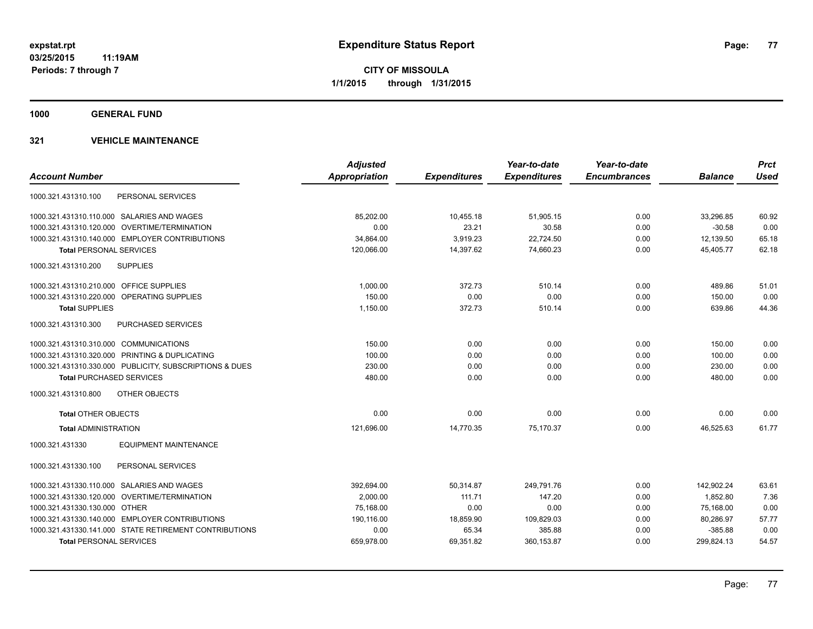**1000 GENERAL FUND**

|                                                         | <b>Adjusted</b> |                     | Year-to-date        | Year-to-date        |                | <b>Prct</b> |
|---------------------------------------------------------|-----------------|---------------------|---------------------|---------------------|----------------|-------------|
| <b>Account Number</b>                                   | Appropriation   | <b>Expenditures</b> | <b>Expenditures</b> | <b>Encumbrances</b> | <b>Balance</b> | <b>Used</b> |
| PERSONAL SERVICES<br>1000.321.431310.100                |                 |                     |                     |                     |                |             |
| 1000.321.431310.110.000 SALARIES AND WAGES              | 85,202.00       | 10,455.18           | 51,905.15           | 0.00                | 33,296.85      | 60.92       |
| 1000.321.431310.120.000 OVERTIME/TERMINATION            | 0.00            | 23.21               | 30.58               | 0.00                | $-30.58$       | 0.00        |
| 1000.321.431310.140.000 EMPLOYER CONTRIBUTIONS          | 34,864.00       | 3,919.23            | 22,724.50           | 0.00                | 12,139.50      | 65.18       |
| <b>Total PERSONAL SERVICES</b>                          | 120,066.00      | 14,397.62           | 74,660.23           | 0.00                | 45,405.77      | 62.18       |
| 1000.321.431310.200<br><b>SUPPLIES</b>                  |                 |                     |                     |                     |                |             |
| 1000.321.431310.210.000 OFFICE SUPPLIES                 | 1.000.00        | 372.73              | 510.14              | 0.00                | 489.86         | 51.01       |
| 1000.321.431310.220.000 OPERATING SUPPLIES              | 150.00          | 0.00                | 0.00                | 0.00                | 150.00         | 0.00        |
| <b>Total SUPPLIES</b>                                   | 1,150.00        | 372.73              | 510.14              | 0.00                | 639.86         | 44.36       |
| 1000.321.431310.300<br><b>PURCHASED SERVICES</b>        |                 |                     |                     |                     |                |             |
| 1000.321.431310.310.000 COMMUNICATIONS                  | 150.00          | 0.00                | 0.00                | 0.00                | 150.00         | 0.00        |
| 1000.321.431310.320.000 PRINTING & DUPLICATING          | 100.00          | 0.00                | 0.00                | 0.00                | 100.00         | 0.00        |
| 1000.321.431310.330.000 PUBLICITY, SUBSCRIPTIONS & DUES | 230.00          | 0.00                | 0.00                | 0.00                | 230.00         | 0.00        |
| <b>Total PURCHASED SERVICES</b>                         | 480.00          | 0.00                | 0.00                | 0.00                | 480.00         | 0.00        |
| OTHER OBJECTS<br>1000.321.431310.800                    |                 |                     |                     |                     |                |             |
| <b>Total OTHER OBJECTS</b>                              | 0.00            | 0.00                | 0.00                | 0.00                | 0.00           | 0.00        |
| <b>Total ADMINISTRATION</b>                             | 121.696.00      | 14,770.35           | 75.170.37           | 0.00                | 46.525.63      | 61.77       |
| <b>EQUIPMENT MAINTENANCE</b><br>1000.321.431330         |                 |                     |                     |                     |                |             |
| PERSONAL SERVICES<br>1000.321.431330.100                |                 |                     |                     |                     |                |             |
| 1000.321.431330.110.000 SALARIES AND WAGES              | 392,694.00      | 50,314.87           | 249.791.76          | 0.00                | 142,902.24     | 63.61       |
| 1000.321.431330.120.000 OVERTIME/TERMINATION            | 2,000.00        | 111.71              | 147.20              | 0.00                | 1,852.80       | 7.36        |
| 1000.321.431330.130.000 OTHER                           | 75,168.00       | 0.00                | 0.00                | 0.00                | 75,168.00      | 0.00        |
| 1000.321.431330.140.000 EMPLOYER CONTRIBUTIONS          | 190,116.00      | 18,859.90           | 109,829.03          | 0.00                | 80,286.97      | 57.77       |
| 1000.321.431330.141.000 STATE RETIREMENT CONTRIBUTIONS  | 0.00            | 65.34               | 385.88              | 0.00                | $-385.88$      | 0.00        |
| <b>Total PERSONAL SERVICES</b>                          | 659,978.00      | 69,351.82           | 360, 153.87         | 0.00                | 299,824.13     | 54.57       |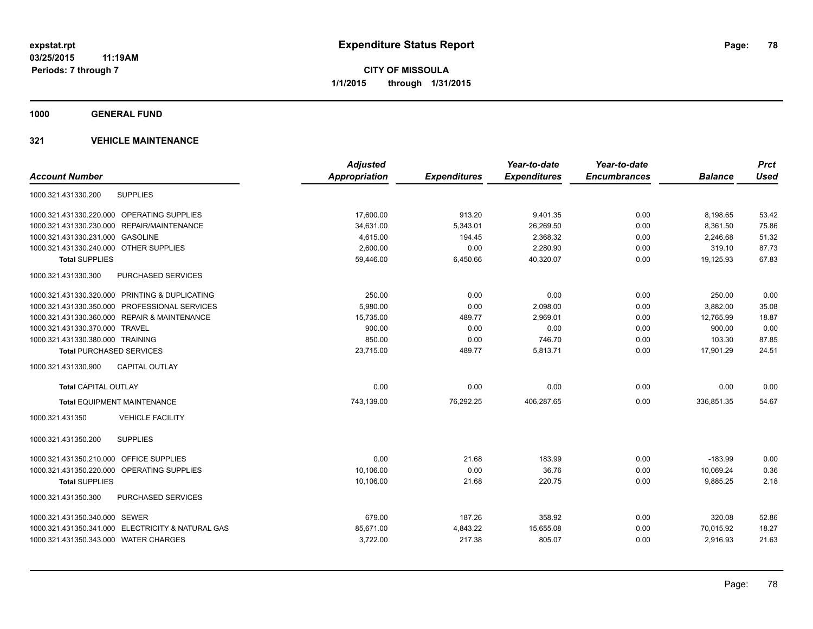**1000 GENERAL FUND**

| <b>Adjusted</b>      |                     | Year-to-date        | Year-to-date        |                | <b>Prct</b> |
|----------------------|---------------------|---------------------|---------------------|----------------|-------------|
| <b>Appropriation</b> | <b>Expenditures</b> | <b>Expenditures</b> | <b>Encumbrances</b> | <b>Balance</b> | <b>Used</b> |
|                      |                     |                     |                     |                |             |
| 17,600.00            | 913.20              | 9,401.35            | 0.00                | 8,198.65       | 53.42       |
| 34,631.00            | 5,343.01            | 26,269.50           | 0.00                | 8,361.50       | 75.86       |
| 4,615.00             | 194.45              | 2,368.32            | 0.00                | 2,246.68       | 51.32       |
| 2,600.00             | 0.00                | 2,280.90            | 0.00                | 319.10         | 87.73       |
| 59,446.00            | 6,450.66            | 40,320.07           | 0.00                | 19,125.93      | 67.83       |
|                      |                     |                     |                     |                |             |
| 250.00               | 0.00                | 0.00                | 0.00                | 250.00         | 0.00        |
| 5,980.00             | 0.00                | 2,098.00            | 0.00                | 3.882.00       | 35.08       |
| 15,735.00            | 489.77              | 2,969.01            | 0.00                | 12,765.99      | 18.87       |
| 900.00               | 0.00                | 0.00                | 0.00                | 900.00         | 0.00        |
| 850.00               | 0.00                | 746.70              | 0.00                | 103.30         | 87.85       |
| 23,715.00            | 489.77              | 5,813.71            | 0.00                | 17,901.29      | 24.51       |
|                      |                     |                     |                     |                |             |
| 0.00                 | 0.00                | 0.00                | 0.00                | 0.00           | 0.00        |
| 743,139.00           | 76,292.25           | 406,287.65          | 0.00                | 336,851.35     | 54.67       |
|                      |                     |                     |                     |                |             |
|                      |                     |                     |                     |                |             |
| 0.00                 | 21.68               | 183.99              | 0.00                | $-183.99$      | 0.00        |
| 10,106.00            | 0.00                | 36.76               | 0.00                | 10.069.24      | 0.36        |
| 10,106.00            | 21.68               | 220.75              | 0.00                | 9,885.25       | 2.18        |
|                      |                     |                     |                     |                |             |
| 679.00               | 187.26              | 358.92              | 0.00                | 320.08         | 52.86       |
| 85,671.00            | 4,843.22            | 15,655.08           | 0.00                | 70,015.92      | 18.27       |
| 3,722.00             | 217.38              | 805.07              | 0.00                | 2,916.93       | 21.63       |
|                      |                     |                     |                     |                |             |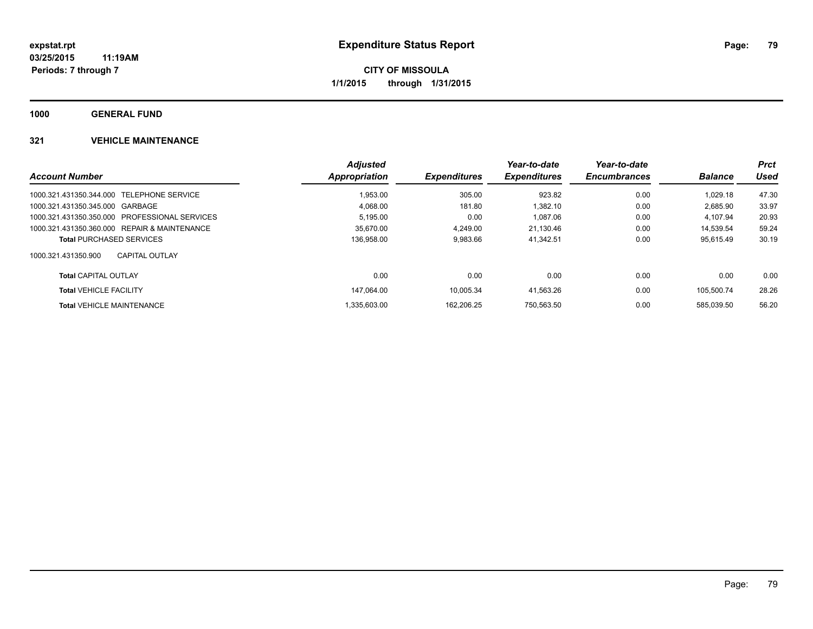**1000 GENERAL FUND**

|                                               | <b>Adjusted</b> |                            | Year-to-date        | Year-to-date        |                | <b>Prct</b> |
|-----------------------------------------------|-----------------|----------------------------|---------------------|---------------------|----------------|-------------|
| <b>Account Number</b>                         | Appropriation   | <i><b>Expenditures</b></i> | <b>Expenditures</b> | <b>Encumbrances</b> | <b>Balance</b> | Used        |
| 1000.321.431350.344.000 TELEPHONE SERVICE     | 1.953.00        | 305.00                     | 923.82              | 0.00                | 1.029.18       | 47.30       |
| 1000.321.431350.345.000 GARBAGE               | 4.068.00        | 181.80                     | 1.382.10            | 0.00                | 2.685.90       | 33.97       |
| 1000.321.431350.350.000 PROFESSIONAL SERVICES | 5,195.00        | 0.00                       | 1.087.06            | 0.00                | 4.107.94       | 20.93       |
| 1000.321.431350.360.000 REPAIR & MAINTENANCE  | 35.670.00       | 4.249.00                   | 21.130.46           | 0.00                | 14.539.54      | 59.24       |
| <b>Total PURCHASED SERVICES</b>               | 136.958.00      | 9,983.66                   | 41,342.51           | 0.00                | 95.615.49      | 30.19       |
| 1000.321.431350.900<br><b>CAPITAL OUTLAY</b>  |                 |                            |                     |                     |                |             |
| <b>Total CAPITAL OUTLAY</b>                   | 0.00            | 0.00                       | 0.00                | 0.00                | 0.00           | 0.00        |
| <b>Total VEHICLE FACILITY</b>                 | 147.064.00      | 10.005.34                  | 41.563.26           | 0.00                | 105.500.74     | 28.26       |
| <b>Total VEHICLE MAINTENANCE</b>              | .335.603.00     | 162.206.25                 | 750.563.50          | 0.00                | 585.039.50     | 56.20       |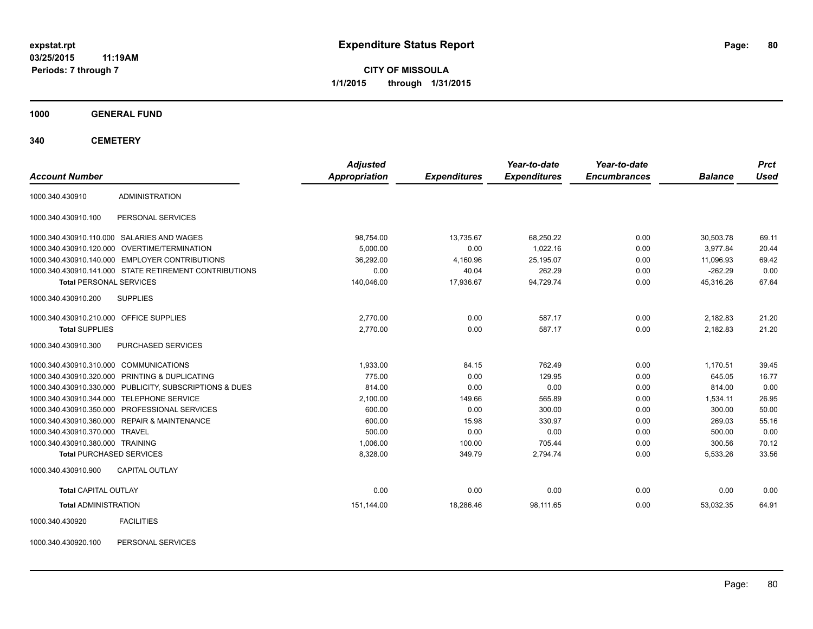**CITY OF MISSOULA 1/1/2015 through 1/31/2015**

**1000 GENERAL FUND**

**340 CEMETERY**

| <b>Account Number</b>                   |                                                         | <b>Adjusted</b><br>Appropriation | <b>Expenditures</b> | Year-to-date<br><b>Expenditures</b> | Year-to-date<br><b>Encumbrances</b> | <b>Balance</b> | <b>Prct</b><br><b>Used</b> |
|-----------------------------------------|---------------------------------------------------------|----------------------------------|---------------------|-------------------------------------|-------------------------------------|----------------|----------------------------|
|                                         |                                                         |                                  |                     |                                     |                                     |                |                            |
| 1000.340.430910                         | <b>ADMINISTRATION</b>                                   |                                  |                     |                                     |                                     |                |                            |
| 1000.340.430910.100                     | PERSONAL SERVICES                                       |                                  |                     |                                     |                                     |                |                            |
|                                         | 1000.340.430910.110.000 SALARIES AND WAGES              | 98,754.00                        | 13.735.67           | 68,250.22                           | 0.00                                | 30,503.78      | 69.11                      |
|                                         | 1000.340.430910.120.000 OVERTIME/TERMINATION            | 5,000.00                         | 0.00                | 1.022.16                            | 0.00                                | 3.977.84       | 20.44                      |
|                                         | 1000.340.430910.140.000 EMPLOYER CONTRIBUTIONS          | 36,292.00                        | 4,160.96            | 25,195.07                           | 0.00                                | 11,096.93      | 69.42                      |
|                                         | 1000.340.430910.141.000 STATE RETIREMENT CONTRIBUTIONS  | 0.00                             | 40.04               | 262.29                              | 0.00                                | $-262.29$      | 0.00                       |
| <b>Total PERSONAL SERVICES</b>          |                                                         | 140,046.00                       | 17,936.67           | 94,729.74                           | 0.00                                | 45,316.26      | 67.64                      |
| 1000.340.430910.200                     | <b>SUPPLIES</b>                                         |                                  |                     |                                     |                                     |                |                            |
| 1000.340.430910.210.000 OFFICE SUPPLIES |                                                         | 2,770.00                         | 0.00                | 587.17                              | 0.00                                | 2,182.83       | 21.20                      |
| <b>Total SUPPLIES</b>                   |                                                         | 2,770.00                         | 0.00                | 587.17                              | 0.00                                | 2,182.83       | 21.20                      |
| 1000.340.430910.300                     | PURCHASED SERVICES                                      |                                  |                     |                                     |                                     |                |                            |
| 1000.340.430910.310.000 COMMUNICATIONS  |                                                         | 1,933.00                         | 84.15               | 762.49                              | 0.00                                | 1,170.51       | 39.45                      |
|                                         | 1000.340.430910.320.000 PRINTING & DUPLICATING          | 775.00                           | 0.00                | 129.95                              | 0.00                                | 645.05         | 16.77                      |
|                                         | 1000.340.430910.330.000 PUBLICITY, SUBSCRIPTIONS & DUES | 814.00                           | 0.00                | 0.00                                | 0.00                                | 814.00         | 0.00                       |
|                                         | 1000.340.430910.344.000 TELEPHONE SERVICE               | 2,100.00                         | 149.66              | 565.89                              | 0.00                                | 1,534.11       | 26.95                      |
|                                         | 1000.340.430910.350.000 PROFESSIONAL SERVICES           | 600.00                           | 0.00                | 300.00                              | 0.00                                | 300.00         | 50.00                      |
|                                         | 1000.340.430910.360.000 REPAIR & MAINTENANCE            | 600.00                           | 15.98               | 330.97                              | 0.00                                | 269.03         | 55.16                      |
| 1000.340.430910.370.000 TRAVEL          |                                                         | 500.00                           | 0.00                | 0.00                                | 0.00                                | 500.00         | 0.00                       |
| 1000.340.430910.380.000 TRAINING        |                                                         | 1,006.00                         | 100.00              | 705.44                              | 0.00                                | 300.56         | 70.12                      |
| <b>Total PURCHASED SERVICES</b>         |                                                         | 8,328.00                         | 349.79              | 2,794.74                            | 0.00                                | 5,533.26       | 33.56                      |
| 1000.340.430910.900                     | <b>CAPITAL OUTLAY</b>                                   |                                  |                     |                                     |                                     |                |                            |
| <b>Total CAPITAL OUTLAY</b>             |                                                         | 0.00                             | 0.00                | 0.00                                | 0.00                                | 0.00           | 0.00                       |
| <b>Total ADMINISTRATION</b>             |                                                         | 151,144.00                       | 18,286.46           | 98,111.65                           | 0.00                                | 53,032.35      | 64.91                      |
| 1000.340.430920                         | <b>FACILITIES</b>                                       |                                  |                     |                                     |                                     |                |                            |

1000.340.430920.100 PERSONAL SERVICES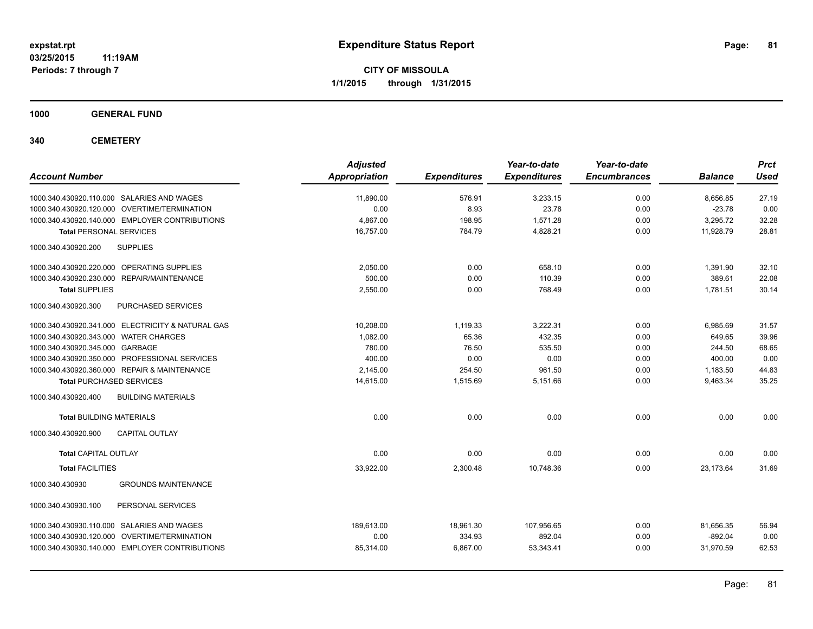**CITY OF MISSOULA 1/1/2015 through 1/31/2015**

**1000 GENERAL FUND**

**340 CEMETERY**

| <b>Account Number</b>                                | <b>Adjusted</b><br><b>Appropriation</b> | <b>Expenditures</b> | Year-to-date<br><b>Expenditures</b> | Year-to-date<br><b>Encumbrances</b> | <b>Balance</b> | <b>Prct</b><br><b>Used</b> |
|------------------------------------------------------|-----------------------------------------|---------------------|-------------------------------------|-------------------------------------|----------------|----------------------------|
| 1000.340.430920.110.000 SALARIES AND WAGES           | 11,890.00                               | 576.91              | 3,233.15                            | 0.00                                | 8,656.85       | 27.19                      |
| 1000.340.430920.120.000 OVERTIME/TERMINATION         | 0.00                                    | 8.93                | 23.78                               | 0.00                                | $-23.78$       | 0.00                       |
| 1000.340.430920.140.000 EMPLOYER CONTRIBUTIONS       | 4,867.00                                | 198.95              | 1,571.28                            | 0.00                                | 3,295.72       | 32.28                      |
| <b>Total PERSONAL SERVICES</b>                       | 16,757.00                               | 784.79              | 4,828.21                            | 0.00                                | 11,928.79      | 28.81                      |
| <b>SUPPLIES</b><br>1000.340.430920.200               |                                         |                     |                                     |                                     |                |                            |
| 1000.340.430920.220.000 OPERATING SUPPLIES           | 2.050.00                                | 0.00                | 658.10                              | 0.00                                | 1,391.90       | 32.10                      |
| <b>REPAIR/MAINTENANCE</b><br>1000.340.430920.230.000 | 500.00                                  | 0.00                | 110.39                              | 0.00                                | 389.61         | 22.08                      |
| <b>Total SUPPLIES</b>                                | 2,550.00                                | 0.00                | 768.49                              | 0.00                                | 1,781.51       | 30.14                      |
| PURCHASED SERVICES<br>1000.340.430920.300            |                                         |                     |                                     |                                     |                |                            |
| 1000.340.430920.341.000 ELECTRICITY & NATURAL GAS    | 10,208.00                               | 1,119.33            | 3,222.31                            | 0.00                                | 6,985.69       | 31.57                      |
| 1000.340.430920.343.000 WATER CHARGES                | 1,082.00                                | 65.36               | 432.35                              | 0.00                                | 649.65         | 39.96                      |
| 1000.340.430920.345.000 GARBAGE                      | 780.00                                  | 76.50               | 535.50                              | 0.00                                | 244.50         | 68.65                      |
| 1000.340.430920.350.000 PROFESSIONAL SERVICES        | 400.00                                  | 0.00                | 0.00                                | 0.00                                | 400.00         | 0.00                       |
| 1000.340.430920.360.000 REPAIR & MAINTENANCE         | 2,145.00                                | 254.50              | 961.50                              | 0.00                                | 1,183.50       | 44.83                      |
| <b>Total PURCHASED SERVICES</b>                      | 14,615.00                               | 1,515.69            | 5,151.66                            | 0.00                                | 9,463.34       | 35.25                      |
| 1000.340.430920.400<br><b>BUILDING MATERIALS</b>     |                                         |                     |                                     |                                     |                |                            |
| <b>Total BUILDING MATERIALS</b>                      | 0.00                                    | 0.00                | 0.00                                | 0.00                                | 0.00           | 0.00                       |
| 1000.340.430920.900<br><b>CAPITAL OUTLAY</b>         |                                         |                     |                                     |                                     |                |                            |
| <b>Total CAPITAL OUTLAY</b>                          | 0.00                                    | 0.00                | 0.00                                | 0.00                                | 0.00           | 0.00                       |
| <b>Total FACILITIES</b>                              | 33,922.00                               | 2,300.48            | 10,748.36                           | 0.00                                | 23,173.64      | 31.69                      |
| <b>GROUNDS MAINTENANCE</b><br>1000.340.430930        |                                         |                     |                                     |                                     |                |                            |
| PERSONAL SERVICES<br>1000.340.430930.100             |                                         |                     |                                     |                                     |                |                            |
| 1000.340.430930.110.000 SALARIES AND WAGES           | 189,613.00                              | 18,961.30           | 107,956.65                          | 0.00                                | 81,656.35      | 56.94                      |
| 1000.340.430930.120.000 OVERTIME/TERMINATION         | 0.00                                    | 334.93              | 892.04                              | 0.00                                | $-892.04$      | 0.00                       |
| 1000.340.430930.140.000 EMPLOYER CONTRIBUTIONS       | 85,314.00                               | 6,867.00            | 53,343.41                           | 0.00                                | 31,970.59      | 62.53                      |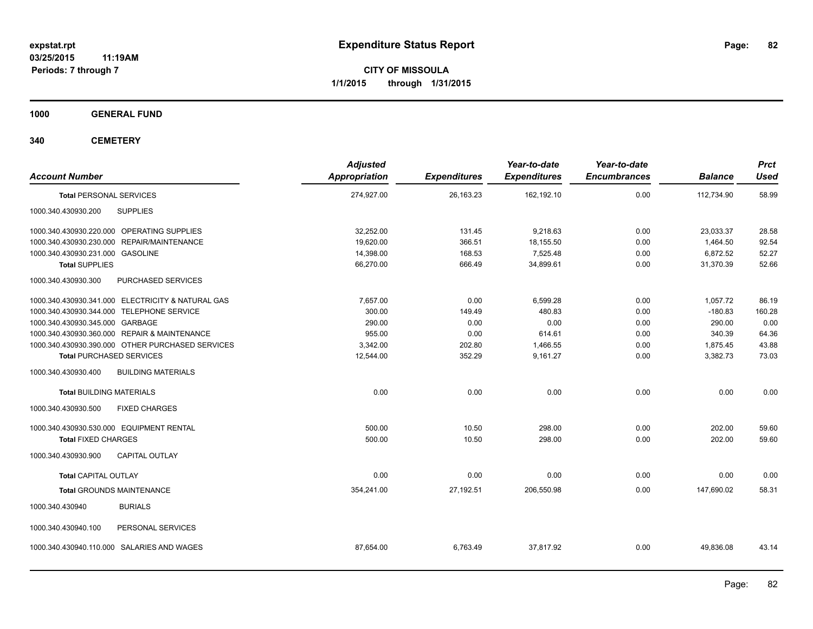**CITY OF MISSOULA 1/1/2015 through 1/31/2015**

**1000 GENERAL FUND**

**340 CEMETERY**

| 274,927.00 | 26,163.23 |            |      |            |        |
|------------|-----------|------------|------|------------|--------|
|            |           | 162,192.10 | 0.00 | 112,734.90 | 58.99  |
|            |           |            |      |            |        |
| 32,252.00  | 131.45    | 9,218.63   | 0.00 | 23,033.37  | 28.58  |
| 19,620.00  | 366.51    | 18,155.50  | 0.00 | 1,464.50   | 92.54  |
| 14,398.00  | 168.53    | 7,525.48   | 0.00 | 6,872.52   | 52.27  |
| 66,270.00  | 666.49    | 34,899.61  | 0.00 | 31,370.39  | 52.66  |
|            |           |            |      |            |        |
| 7,657.00   | 0.00      | 6,599.28   | 0.00 | 1,057.72   | 86.19  |
| 300.00     | 149.49    | 480.83     | 0.00 | $-180.83$  | 160.28 |
| 290.00     | 0.00      | 0.00       | 0.00 | 290.00     | 0.00   |
| 955.00     | 0.00      | 614.61     | 0.00 | 340.39     | 64.36  |
| 3,342.00   | 202.80    | 1,466.55   | 0.00 | 1,875.45   | 43.88  |
| 12,544.00  | 352.29    | 9,161.27   | 0.00 | 3,382.73   | 73.03  |
|            |           |            |      |            |        |
| 0.00       | 0.00      | 0.00       | 0.00 | 0.00       | 0.00   |
|            |           |            |      |            |        |
| 500.00     | 10.50     | 298.00     | 0.00 | 202.00     | 59.60  |
| 500.00     | 10.50     | 298.00     | 0.00 | 202.00     | 59.60  |
|            |           |            |      |            |        |
| 0.00       | 0.00      | 0.00       | 0.00 | 0.00       | 0.00   |
| 354,241.00 | 27,192.51 | 206,550.98 | 0.00 | 147,690.02 | 58.31  |
|            |           |            |      |            |        |
|            |           |            |      |            |        |
| 87,654.00  | 6,763.49  | 37,817.92  | 0.00 | 49,836.08  | 43.14  |
|            |           |            |      |            |        |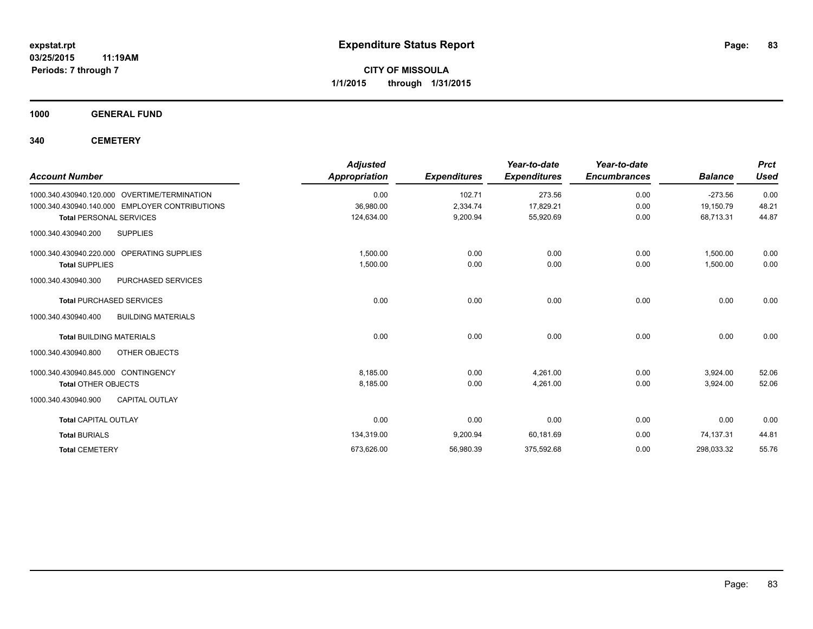**1000 GENERAL FUND**

**340 CEMETERY**

| <b>Account Number</b>                            | <b>Adjusted</b><br><b>Appropriation</b> | <b>Expenditures</b> | Year-to-date<br><b>Expenditures</b> | Year-to-date<br><b>Encumbrances</b> | <b>Balance</b> | <b>Prct</b><br><b>Used</b> |
|--------------------------------------------------|-----------------------------------------|---------------------|-------------------------------------|-------------------------------------|----------------|----------------------------|
| 1000.340.430940.120.000 OVERTIME/TERMINATION     | 0.00                                    | 102.71              | 273.56                              | 0.00                                | $-273.56$      | 0.00                       |
| 1000.340.430940.140.000 EMPLOYER CONTRIBUTIONS   | 36,980.00                               | 2,334.74            | 17,829.21                           | 0.00                                | 19,150.79      | 48.21                      |
| <b>Total PERSONAL SERVICES</b>                   | 124,634.00                              | 9,200.94            | 55,920.69                           | 0.00                                | 68,713.31      | 44.87                      |
| 1000.340.430940.200<br><b>SUPPLIES</b>           |                                         |                     |                                     |                                     |                |                            |
| 1000.340.430940.220.000 OPERATING SUPPLIES       | 1,500.00                                | 0.00                | 0.00                                | 0.00                                | 1,500.00       | 0.00                       |
| <b>Total SUPPLIES</b>                            | 1,500.00                                | 0.00                | 0.00                                | 0.00                                | 1,500.00       | 0.00                       |
| 1000.340.430940.300<br>PURCHASED SERVICES        |                                         |                     |                                     |                                     |                |                            |
| <b>Total PURCHASED SERVICES</b>                  | 0.00                                    | 0.00                | 0.00                                | 0.00                                | 0.00           | 0.00                       |
| <b>BUILDING MATERIALS</b><br>1000.340.430940.400 |                                         |                     |                                     |                                     |                |                            |
| <b>Total BUILDING MATERIALS</b>                  | 0.00                                    | 0.00                | 0.00                                | 0.00                                | 0.00           | 0.00                       |
| 1000.340.430940.800<br>OTHER OBJECTS             |                                         |                     |                                     |                                     |                |                            |
| 1000.340.430940.845.000 CONTINGENCY              | 8,185.00                                | 0.00                | 4.261.00                            | 0.00                                | 3,924.00       | 52.06                      |
| <b>Total OTHER OBJECTS</b>                       | 8,185.00                                | 0.00                | 4.261.00                            | 0.00                                | 3,924.00       | 52.06                      |
| 1000.340.430940.900<br><b>CAPITAL OUTLAY</b>     |                                         |                     |                                     |                                     |                |                            |
| <b>Total CAPITAL OUTLAY</b>                      | 0.00                                    | 0.00                | 0.00                                | 0.00                                | 0.00           | 0.00                       |
| <b>Total BURIALS</b>                             | 134,319.00                              | 9,200.94            | 60,181.69                           | 0.00                                | 74,137.31      | 44.81                      |
| <b>Total CEMETERY</b>                            | 673,626.00                              | 56,980.39           | 375,592.68                          | 0.00                                | 298,033.32     | 55.76                      |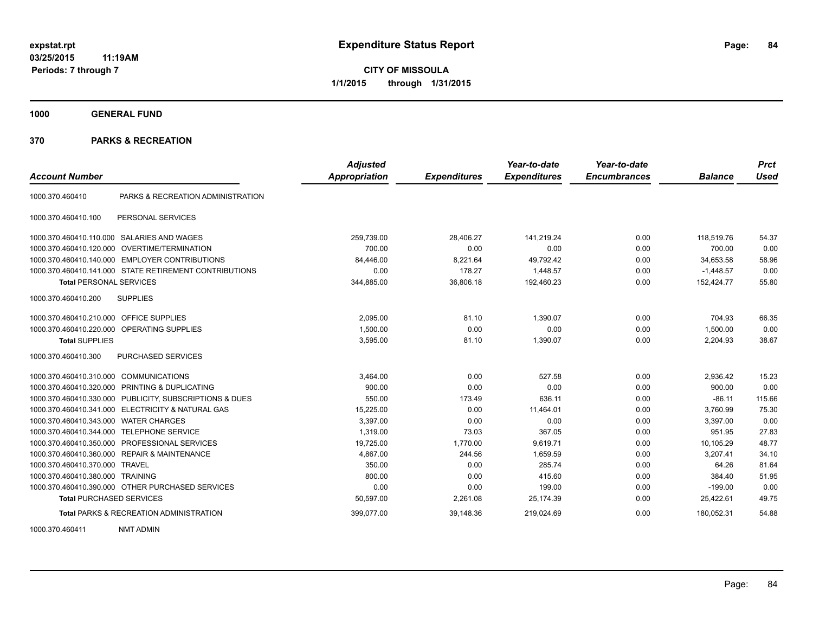**1000 GENERAL FUND**

## **370 PARKS & RECREATION**

| <b>Account Number</b>                   |                                                         | <b>Adjusted</b><br><b>Appropriation</b> | <b>Expenditures</b> | Year-to-date<br><b>Expenditures</b> | Year-to-date<br><b>Encumbrances</b> | <b>Balance</b> | <b>Prct</b><br><b>Used</b> |
|-----------------------------------------|---------------------------------------------------------|-----------------------------------------|---------------------|-------------------------------------|-------------------------------------|----------------|----------------------------|
| 1000.370.460410                         | PARKS & RECREATION ADMINISTRATION                       |                                         |                     |                                     |                                     |                |                            |
| 1000.370.460410.100                     | PERSONAL SERVICES                                       |                                         |                     |                                     |                                     |                |                            |
|                                         | 1000.370.460410.110.000 SALARIES AND WAGES              | 259,739.00                              | 28,406.27           | 141,219.24                          | 0.00                                | 118,519.76     | 54.37                      |
| 1000.370.460410.120.000                 | OVERTIME/TERMINATION                                    | 700.00                                  | 0.00                | 0.00                                | 0.00                                | 700.00         | 0.00                       |
| 1000.370.460410.140.000                 | <b>EMPLOYER CONTRIBUTIONS</b>                           | 84.446.00                               | 8,221.64            | 49,792.42                           | 0.00                                | 34,653.58      | 58.96                      |
|                                         | 1000.370.460410.141.000 STATE RETIREMENT CONTRIBUTIONS  | 0.00                                    | 178.27              | 1,448.57                            | 0.00                                | $-1,448.57$    | 0.00                       |
| <b>Total PERSONAL SERVICES</b>          |                                                         | 344.885.00                              | 36.806.18           | 192.460.23                          | 0.00                                | 152.424.77     | 55.80                      |
| 1000.370.460410.200                     | <b>SUPPLIES</b>                                         |                                         |                     |                                     |                                     |                |                            |
| 1000.370.460410.210.000 OFFICE SUPPLIES |                                                         | 2.095.00                                | 81.10               | 1.390.07                            | 0.00                                | 704.93         | 66.35                      |
|                                         | 1000.370.460410.220.000 OPERATING SUPPLIES              | 1.500.00                                | 0.00                | 0.00                                | 0.00                                | 1.500.00       | 0.00                       |
| <b>Total SUPPLIES</b>                   |                                                         | 3,595.00                                | 81.10               | 1,390.07                            | 0.00                                | 2,204.93       | 38.67                      |
| 1000.370.460410.300                     | <b>PURCHASED SERVICES</b>                               |                                         |                     |                                     |                                     |                |                            |
| 1000.370.460410.310.000                 | <b>COMMUNICATIONS</b>                                   | 3.464.00                                | 0.00                | 527.58                              | 0.00                                | 2.936.42       | 15.23                      |
| 1000.370.460410.320.000                 | PRINTING & DUPLICATING                                  | 900.00                                  | 0.00                | 0.00                                | 0.00                                | 900.00         | 0.00                       |
|                                         | 1000.370.460410.330.000 PUBLICITY, SUBSCRIPTIONS & DUES | 550.00                                  | 173.49              | 636.11                              | 0.00                                | $-86.11$       | 115.66                     |
| 1000.370.460410.341.000                 | <b>ELECTRICITY &amp; NATURAL GAS</b>                    | 15,225.00                               | 0.00                | 11.464.01                           | 0.00                                | 3.760.99       | 75.30                      |
| 1000.370.460410.343.000                 | <b>WATER CHARGES</b>                                    | 3.397.00                                | 0.00                | 0.00                                | 0.00                                | 3.397.00       | 0.00                       |
| 1000.370.460410.344.000                 | <b>TELEPHONE SERVICE</b>                                | 1,319.00                                | 73.03               | 367.05                              | 0.00                                | 951.95         | 27.83                      |
| 1000.370.460410.350.000                 | PROFESSIONAL SERVICES                                   | 19,725.00                               | 1,770.00            | 9,619.71                            | 0.00                                | 10,105.29      | 48.77                      |
|                                         | 1000.370.460410.360.000 REPAIR & MAINTENANCE            | 4,867.00                                | 244.56              | 1,659.59                            | 0.00                                | 3,207.41       | 34.10                      |
| 1000.370.460410.370.000 TRAVEL          |                                                         | 350.00                                  | 0.00                | 285.74                              | 0.00                                | 64.26          | 81.64                      |
| 1000.370.460410.380.000 TRAINING        |                                                         | 800.00                                  | 0.00                | 415.60                              | 0.00                                | 384.40         | 51.95                      |
|                                         | 1000.370.460410.390.000 OTHER PURCHASED SERVICES        | 0.00                                    | 0.00                | 199.00                              | 0.00                                | $-199.00$      | 0.00                       |
| <b>Total PURCHASED SERVICES</b>         |                                                         | 50,597.00                               | 2,261.08            | 25,174.39                           | 0.00                                | 25,422.61      | 49.75                      |
|                                         | <b>Total PARKS &amp; RECREATION ADMINISTRATION</b>      | 399,077.00                              | 39,148.36           | 219,024.69                          | 0.00                                | 180,052.31     | 54.88                      |

1000.370.460411 NMT ADMIN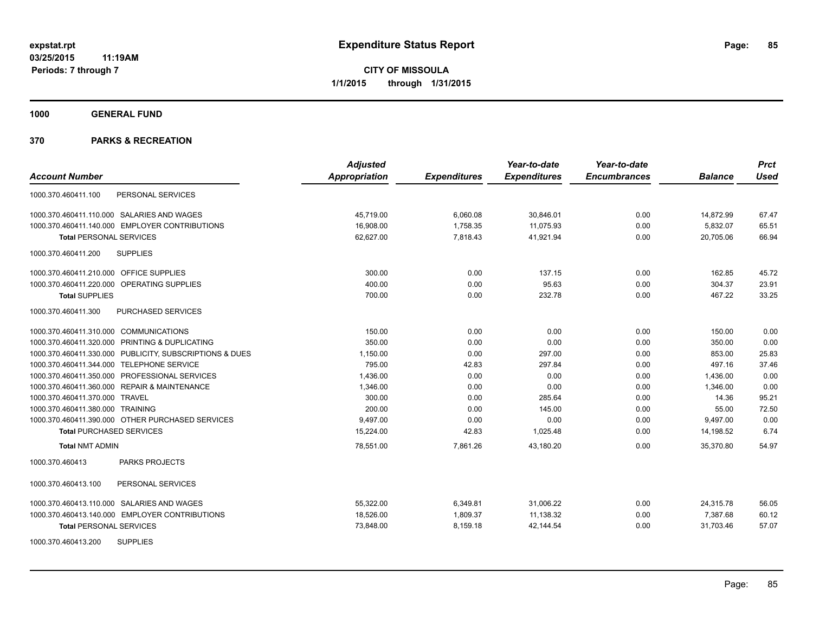**1000 GENERAL FUND**

|                                                         | <b>Adjusted</b>      |                     | Year-to-date        | Year-to-date        |                | <b>Prct</b> |
|---------------------------------------------------------|----------------------|---------------------|---------------------|---------------------|----------------|-------------|
| <b>Account Number</b>                                   | <b>Appropriation</b> | <b>Expenditures</b> | <b>Expenditures</b> | <b>Encumbrances</b> | <b>Balance</b> | <b>Used</b> |
| PERSONAL SERVICES<br>1000.370.460411.100                |                      |                     |                     |                     |                |             |
| 1000.370.460411.110.000 SALARIES AND WAGES              | 45,719.00            | 6,060.08            | 30,846.01           | 0.00                | 14,872.99      | 67.47       |
| 1000.370.460411.140.000 EMPLOYER CONTRIBUTIONS          | 16,908.00            | 1,758.35            | 11.075.93           | 0.00                | 5,832.07       | 65.51       |
| <b>Total PERSONAL SERVICES</b>                          | 62,627.00            | 7,818.43            | 41,921.94           | 0.00                | 20,705.06      | 66.94       |
| <b>SUPPLIES</b><br>1000.370.460411.200                  |                      |                     |                     |                     |                |             |
| 1000.370.460411.210.000 OFFICE SUPPLIES                 | 300.00               | 0.00                | 137.15              | 0.00                | 162.85         | 45.72       |
| 1000.370.460411.220.000 OPERATING SUPPLIES              | 400.00               | 0.00                | 95.63               | 0.00                | 304.37         | 23.91       |
| <b>Total SUPPLIES</b>                                   | 700.00               | 0.00                | 232.78              | 0.00                | 467.22         | 33.25       |
| 1000.370.460411.300<br>PURCHASED SERVICES               |                      |                     |                     |                     |                |             |
| 1000.370.460411.310.000 COMMUNICATIONS                  | 150.00               | 0.00                | 0.00                | 0.00                | 150.00         | 0.00        |
| 1000.370.460411.320.000 PRINTING & DUPLICATING          | 350.00               | 0.00                | 0.00                | 0.00                | 350.00         | 0.00        |
| 1000.370.460411.330.000 PUBLICITY, SUBSCRIPTIONS & DUES | 1,150.00             | 0.00                | 297.00              | 0.00                | 853.00         | 25.83       |
| 1000.370.460411.344.000 TELEPHONE SERVICE               | 795.00               | 42.83               | 297.84              | 0.00                | 497.16         | 37.46       |
| 1000.370.460411.350.000 PROFESSIONAL SERVICES           | 1,436.00             | 0.00                | 0.00                | 0.00                | 1,436.00       | 0.00        |
| 1000.370.460411.360.000 REPAIR & MAINTENANCE            | 1,346.00             | 0.00                | 0.00                | 0.00                | 1,346.00       | 0.00        |
| 1000.370.460411.370.000 TRAVEL                          | 300.00               | 0.00                | 285.64              | 0.00                | 14.36          | 95.21       |
| 1000.370.460411.380.000 TRAINING                        | 200.00               | 0.00                | 145.00              | 0.00                | 55.00          | 72.50       |
| 1000.370.460411.390.000 OTHER PURCHASED SERVICES        | 9,497.00             | 0.00                | 0.00                | 0.00                | 9,497.00       | 0.00        |
| <b>Total PURCHASED SERVICES</b>                         | 15,224.00            | 42.83               | 1,025.48            | 0.00                | 14,198.52      | 6.74        |
| <b>Total NMT ADMIN</b>                                  | 78,551.00            | 7,861.26            | 43,180.20           | 0.00                | 35,370.80      | 54.97       |
| <b>PARKS PROJECTS</b><br>1000.370.460413                |                      |                     |                     |                     |                |             |
| 1000.370.460413.100<br>PERSONAL SERVICES                |                      |                     |                     |                     |                |             |
| 1000.370.460413.110.000 SALARIES AND WAGES              | 55,322.00            | 6,349.81            | 31,006.22           | 0.00                | 24,315.78      | 56.05       |
| 1000.370.460413.140.000 EMPLOYER CONTRIBUTIONS          | 18,526.00            | 1,809.37            | 11,138.32           | 0.00                | 7,387.68       | 60.12       |
| <b>Total PERSONAL SERVICES</b>                          | 73,848.00            | 8,159.18            | 42,144.54           | 0.00                | 31,703.46      | 57.07       |
| <b>SUPPLIES</b><br>1000.370.460413.200                  |                      |                     |                     |                     |                |             |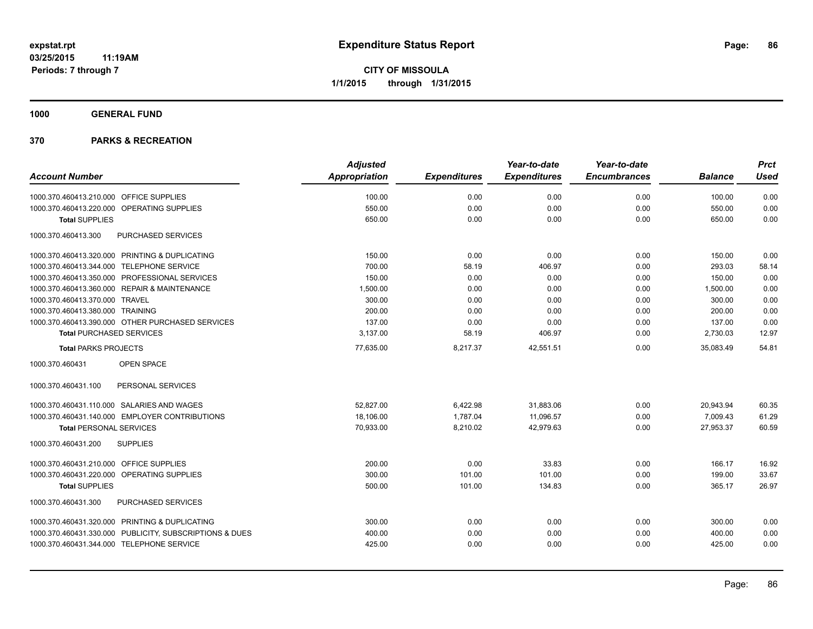**1000 GENERAL FUND**

| <b>Account Number</b>                                   | <b>Adjusted</b><br><b>Appropriation</b> | <b>Expenditures</b> | Year-to-date<br><b>Expenditures</b> | Year-to-date<br><b>Encumbrances</b> | <b>Balance</b> | <b>Prct</b><br><b>Used</b> |
|---------------------------------------------------------|-----------------------------------------|---------------------|-------------------------------------|-------------------------------------|----------------|----------------------------|
|                                                         |                                         |                     |                                     |                                     |                |                            |
| 1000.370.460413.210.000 OFFICE SUPPLIES                 | 100.00                                  | 0.00                | 0.00                                | 0.00                                | 100.00         | 0.00                       |
| 1000.370.460413.220.000 OPERATING SUPPLIES              | 550.00                                  | 0.00                | 0.00                                | 0.00                                | 550.00         | 0.00                       |
| <b>Total SUPPLIES</b>                                   | 650.00                                  | 0.00                | 0.00                                | 0.00                                | 650.00         | 0.00                       |
| PURCHASED SERVICES<br>1000.370.460413.300               |                                         |                     |                                     |                                     |                |                            |
| 1000.370.460413.320.000 PRINTING & DUPLICATING          | 150.00                                  | 0.00                | 0.00                                | 0.00                                | 150.00         | 0.00                       |
| 1000.370.460413.344.000 TELEPHONE SERVICE               | 700.00                                  | 58.19               | 406.97                              | 0.00                                | 293.03         | 58.14                      |
| 1000.370.460413.350.000 PROFESSIONAL SERVICES           | 150.00                                  | 0.00                | 0.00                                | 0.00                                | 150.00         | 0.00                       |
| 1000.370.460413.360.000 REPAIR & MAINTENANCE            | 1.500.00                                | 0.00                | 0.00                                | 0.00                                | 1,500.00       | 0.00                       |
| 1000.370.460413.370.000 TRAVEL                          | 300.00                                  | 0.00                | 0.00                                | 0.00                                | 300.00         | 0.00                       |
| 1000.370.460413.380.000 TRAINING                        | 200.00                                  | 0.00                | 0.00                                | 0.00                                | 200.00         | 0.00                       |
| 1000.370.460413.390.000 OTHER PURCHASED SERVICES        | 137.00                                  | 0.00                | 0.00                                | 0.00                                | 137.00         | 0.00                       |
| <b>Total PURCHASED SERVICES</b>                         | 3,137.00                                | 58.19               | 406.97                              | 0.00                                | 2,730.03       | 12.97                      |
| <b>Total PARKS PROJECTS</b>                             | 77,635.00                               | 8,217.37            | 42,551.51                           | 0.00                                | 35,083.49      | 54.81                      |
| <b>OPEN SPACE</b><br>1000.370.460431                    |                                         |                     |                                     |                                     |                |                            |
| 1000.370.460431.100<br>PERSONAL SERVICES                |                                         |                     |                                     |                                     |                |                            |
| 1000.370.460431.110.000 SALARIES AND WAGES              | 52,827.00                               | 6,422.98            | 31,883.06                           | 0.00                                | 20,943.94      | 60.35                      |
| 1000.370.460431.140.000 EMPLOYER CONTRIBUTIONS          | 18,106.00                               | 1,787.04            | 11,096.57                           | 0.00                                | 7,009.43       | 61.29                      |
| <b>Total PERSONAL SERVICES</b>                          | 70,933.00                               | 8,210.02            | 42,979.63                           | 0.00                                | 27,953.37      | 60.59                      |
| 1000.370.460431.200<br><b>SUPPLIES</b>                  |                                         |                     |                                     |                                     |                |                            |
| 1000.370.460431.210.000 OFFICE SUPPLIES                 | 200.00                                  | 0.00                | 33.83                               | 0.00                                | 166.17         | 16.92                      |
| 1000.370.460431.220.000 OPERATING SUPPLIES              | 300.00                                  | 101.00              | 101.00                              | 0.00                                | 199.00         | 33.67                      |
| <b>Total SUPPLIES</b>                                   | 500.00                                  | 101.00              | 134.83                              | 0.00                                | 365.17         | 26.97                      |
| 1000.370.460431.300<br>PURCHASED SERVICES               |                                         |                     |                                     |                                     |                |                            |
| 1000.370.460431.320.000 PRINTING & DUPLICATING          | 300.00                                  | 0.00                | 0.00                                | 0.00                                | 300.00         | 0.00                       |
| 1000.370.460431.330.000 PUBLICITY, SUBSCRIPTIONS & DUES | 400.00                                  | 0.00                | 0.00                                | 0.00                                | 400.00         | 0.00                       |
| 1000.370.460431.344.000 TELEPHONE SERVICE               | 425.00                                  | 0.00                | 0.00                                | 0.00                                | 425.00         | 0.00                       |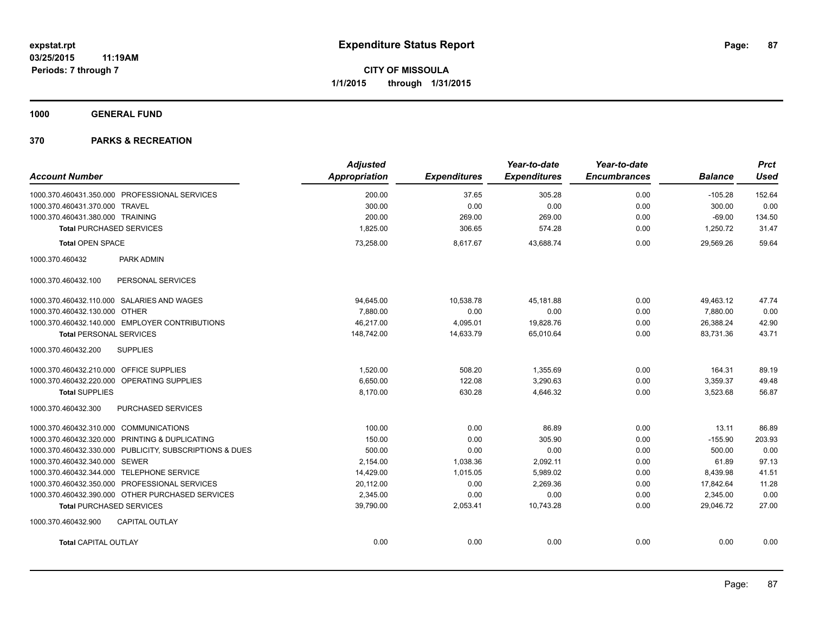**1000 GENERAL FUND**

|                                                         | <b>Adjusted</b> |                     | Year-to-date        | Year-to-date        |                | <b>Prct</b> |
|---------------------------------------------------------|-----------------|---------------------|---------------------|---------------------|----------------|-------------|
| <b>Account Number</b>                                   | Appropriation   | <b>Expenditures</b> | <b>Expenditures</b> | <b>Encumbrances</b> | <b>Balance</b> | <b>Used</b> |
| 1000.370.460431.350.000 PROFESSIONAL SERVICES           | 200.00          | 37.65               | 305.28              | 0.00                | $-105.28$      | 152.64      |
| 1000.370.460431.370.000 TRAVEL                          | 300.00          | 0.00                | 0.00                | 0.00                | 300.00         | 0.00        |
| 1000.370.460431.380.000 TRAINING                        | 200.00          | 269.00              | 269.00              | 0.00                | $-69.00$       | 134.50      |
| <b>Total PURCHASED SERVICES</b>                         | 1,825.00        | 306.65              | 574.28              | 0.00                | 1,250.72       | 31.47       |
| <b>Total OPEN SPACE</b>                                 | 73,258.00       | 8,617.67            | 43,688.74           | 0.00                | 29,569.26      | 59.64       |
| 1000.370.460432<br>PARK ADMIN                           |                 |                     |                     |                     |                |             |
| PERSONAL SERVICES<br>1000.370.460432.100                |                 |                     |                     |                     |                |             |
| 1000.370.460432.110.000 SALARIES AND WAGES              | 94.645.00       | 10.538.78           | 45.181.88           | 0.00                | 49,463.12      | 47.74       |
| 1000.370.460432.130.000 OTHER                           | 7,880.00        | 0.00                | 0.00                | 0.00                | 7,880.00       | 0.00        |
| 1000.370.460432.140.000 EMPLOYER CONTRIBUTIONS          | 46,217.00       | 4,095.01            | 19,828.76           | 0.00                | 26,388.24      | 42.90       |
| <b>Total PERSONAL SERVICES</b>                          | 148,742.00      | 14,633.79           | 65,010.64           | 0.00                | 83,731.36      | 43.71       |
| <b>SUPPLIES</b><br>1000.370.460432.200                  |                 |                     |                     |                     |                |             |
| 1000.370.460432.210.000 OFFICE SUPPLIES                 | 1,520.00        | 508.20              | 1,355.69            | 0.00                | 164.31         | 89.19       |
| 1000.370.460432.220.000 OPERATING SUPPLIES              | 6,650.00        | 122.08              | 3,290.63            | 0.00                | 3,359.37       | 49.48       |
| <b>Total SUPPLIES</b>                                   | 8,170.00        | 630.28              | 4,646.32            | 0.00                | 3,523.68       | 56.87       |
| PURCHASED SERVICES<br>1000.370.460432.300               |                 |                     |                     |                     |                |             |
| 1000.370.460432.310.000 COMMUNICATIONS                  | 100.00          | 0.00                | 86.89               | 0.00                | 13.11          | 86.89       |
| 1000.370.460432.320.000 PRINTING & DUPLICATING          | 150.00          | 0.00                | 305.90              | 0.00                | $-155.90$      | 203.93      |
| 1000.370.460432.330.000 PUBLICITY, SUBSCRIPTIONS & DUES | 500.00          | 0.00                | 0.00                | 0.00                | 500.00         | 0.00        |
| 1000.370.460432.340.000 SEWER                           | 2,154.00        | 1,038.36            | 2,092.11            | 0.00                | 61.89          | 97.13       |
| 1000.370.460432.344.000 TELEPHONE SERVICE               | 14,429.00       | 1,015.05            | 5,989.02            | 0.00                | 8,439.98       | 41.51       |
| 1000.370.460432.350.000 PROFESSIONAL SERVICES           | 20,112.00       | 0.00                | 2,269.36            | 0.00                | 17,842.64      | 11.28       |
| 1000.370.460432.390.000 OTHER PURCHASED SERVICES        | 2,345.00        | 0.00                | 0.00                | 0.00                | 2,345.00       | 0.00        |
| <b>Total PURCHASED SERVICES</b>                         | 39,790.00       | 2,053.41            | 10,743.28           | 0.00                | 29.046.72      | 27.00       |
| 1000.370.460432.900<br><b>CAPITAL OUTLAY</b>            |                 |                     |                     |                     |                |             |
| <b>Total CAPITAL OUTLAY</b>                             | 0.00            | 0.00                | 0.00                | 0.00                | 0.00           | 0.00        |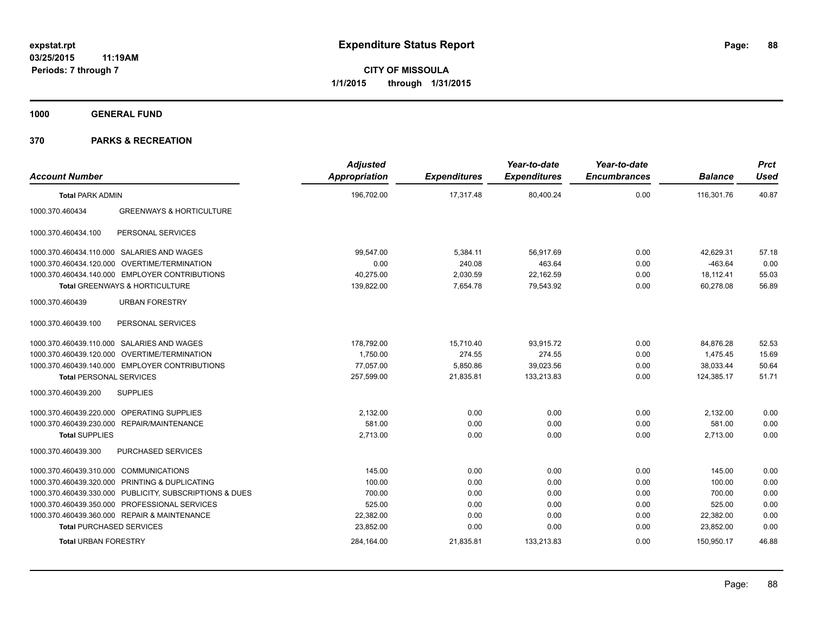**1000 GENERAL FUND**

| <b>Account Number</b>                  |                                                         | <b>Adjusted</b><br><b>Appropriation</b> | <b>Expenditures</b> | Year-to-date<br><b>Expenditures</b> | Year-to-date<br><b>Encumbrances</b> | <b>Balance</b> | <b>Prct</b><br><b>Used</b> |
|----------------------------------------|---------------------------------------------------------|-----------------------------------------|---------------------|-------------------------------------|-------------------------------------|----------------|----------------------------|
| <b>Total PARK ADMIN</b>                |                                                         | 196,702.00                              | 17.317.48           | 80,400.24                           | 0.00                                | 116,301.76     | 40.87                      |
| 1000.370.460434                        | <b>GREENWAYS &amp; HORTICULTURE</b>                     |                                         |                     |                                     |                                     |                |                            |
| 1000.370.460434.100                    | PERSONAL SERVICES                                       |                                         |                     |                                     |                                     |                |                            |
|                                        | 1000.370.460434.110.000 SALARIES AND WAGES              | 99,547.00                               | 5,384.11            | 56,917.69                           | 0.00                                | 42.629.31      | 57.18                      |
|                                        | 1000.370.460434.120.000 OVERTIME/TERMINATION            | 0.00                                    | 240.08              | 463.64                              | 0.00                                | $-463.64$      | 0.00                       |
|                                        | 1000.370.460434.140.000 EMPLOYER CONTRIBUTIONS          | 40,275.00                               | 2,030.59            | 22,162.59                           | 0.00                                | 18,112.41      | 55.03                      |
|                                        | Total GREENWAYS & HORTICULTURE                          | 139,822.00                              | 7,654.78            | 79,543.92                           | 0.00                                | 60,278.08      | 56.89                      |
| 1000.370.460439                        | <b>URBAN FORESTRY</b>                                   |                                         |                     |                                     |                                     |                |                            |
| 1000.370.460439.100                    | PERSONAL SERVICES                                       |                                         |                     |                                     |                                     |                |                            |
|                                        | 1000.370.460439.110.000 SALARIES AND WAGES              | 178,792.00                              | 15,710.40           | 93,915.72                           | 0.00                                | 84,876.28      | 52.53                      |
|                                        | 1000.370.460439.120.000 OVERTIME/TERMINATION            | 1,750.00                                | 274.55              | 274.55                              | 0.00                                | 1,475.45       | 15.69                      |
|                                        | 1000.370.460439.140.000 EMPLOYER CONTRIBUTIONS          | 77,057.00                               | 5,850.86            | 39,023.56                           | 0.00                                | 38,033.44      | 50.64                      |
| <b>Total PERSONAL SERVICES</b>         |                                                         | 257.599.00                              | 21.835.81           | 133.213.83                          | 0.00                                | 124.385.17     | 51.71                      |
| 1000.370.460439.200                    | <b>SUPPLIES</b>                                         |                                         |                     |                                     |                                     |                |                            |
|                                        | 1000.370.460439.220.000 OPERATING SUPPLIES              | 2,132.00                                | 0.00                | 0.00                                | 0.00                                | 2,132.00       | 0.00                       |
|                                        | 1000.370.460439.230.000 REPAIR/MAINTENANCE              | 581.00                                  | 0.00                | 0.00                                | 0.00                                | 581.00         | 0.00                       |
| <b>Total SUPPLIES</b>                  |                                                         | 2,713.00                                | 0.00                | 0.00                                | 0.00                                | 2,713.00       | 0.00                       |
| 1000.370.460439.300                    | PURCHASED SERVICES                                      |                                         |                     |                                     |                                     |                |                            |
| 1000.370.460439.310.000 COMMUNICATIONS |                                                         | 145.00                                  | 0.00                | 0.00                                | 0.00                                | 145.00         | 0.00                       |
|                                        | 1000.370.460439.320.000 PRINTING & DUPLICATING          | 100.00                                  | 0.00                | 0.00                                | 0.00                                | 100.00         | 0.00                       |
|                                        | 1000.370.460439.330.000 PUBLICITY, SUBSCRIPTIONS & DUES | 700.00                                  | 0.00                | 0.00                                | 0.00                                | 700.00         | 0.00                       |
|                                        | 1000.370.460439.350.000 PROFESSIONAL SERVICES           | 525.00                                  | 0.00                | 0.00                                | 0.00                                | 525.00         | 0.00                       |
|                                        | 1000.370.460439.360.000 REPAIR & MAINTENANCE            | 22,382.00                               | 0.00                | 0.00                                | 0.00                                | 22,382.00      | 0.00                       |
| <b>Total PURCHASED SERVICES</b>        |                                                         | 23,852.00                               | 0.00                | 0.00                                | 0.00                                | 23,852.00      | 0.00                       |
| <b>Total URBAN FORESTRY</b>            |                                                         | 284,164.00                              | 21,835.81           | 133,213.83                          | 0.00                                | 150,950.17     | 46.88                      |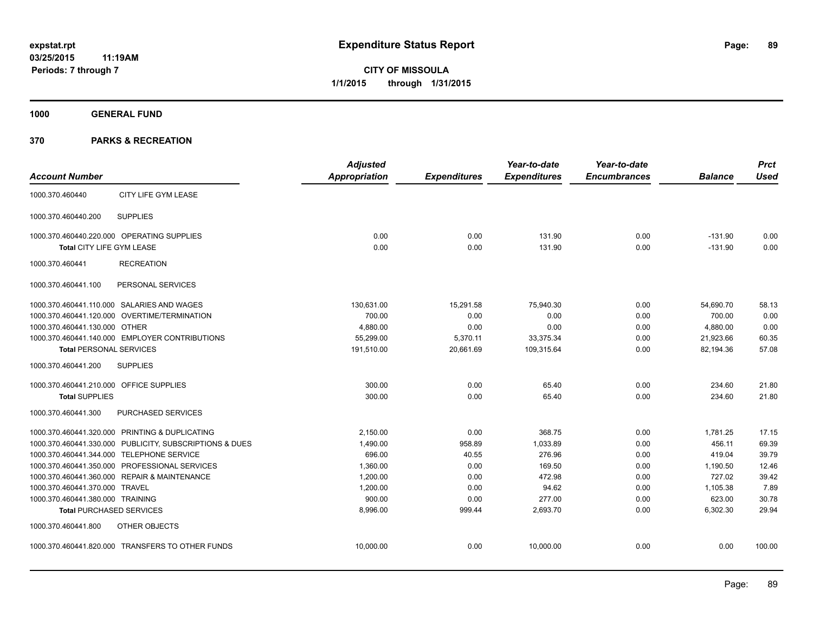**1000 GENERAL FUND**

|                                         |                                                         | <b>Adjusted</b>      |                     | Year-to-date        | Year-to-date        |                | <b>Prct</b> |
|-----------------------------------------|---------------------------------------------------------|----------------------|---------------------|---------------------|---------------------|----------------|-------------|
| <b>Account Number</b>                   |                                                         | <b>Appropriation</b> | <b>Expenditures</b> | <b>Expenditures</b> | <b>Encumbrances</b> | <b>Balance</b> | <b>Used</b> |
| 1000.370.460440                         | CITY LIFE GYM LEASE                                     |                      |                     |                     |                     |                |             |
| 1000.370.460440.200                     | <b>SUPPLIES</b>                                         |                      |                     |                     |                     |                |             |
|                                         | 1000.370.460440.220.000 OPERATING SUPPLIES              | 0.00                 | 0.00                | 131.90              | 0.00                | $-131.90$      | 0.00        |
| Total CITY LIFE GYM LEASE               |                                                         | 0.00                 | 0.00                | 131.90              | 0.00                | $-131.90$      | 0.00        |
| 1000.370.460441                         | <b>RECREATION</b>                                       |                      |                     |                     |                     |                |             |
| 1000.370.460441.100                     | PERSONAL SERVICES                                       |                      |                     |                     |                     |                |             |
|                                         | 1000.370.460441.110.000 SALARIES AND WAGES              | 130,631.00           | 15,291.58           | 75.940.30           | 0.00                | 54,690.70      | 58.13       |
|                                         | 1000.370.460441.120.000 OVERTIME/TERMINATION            | 700.00               | 0.00                | 0.00                | 0.00                | 700.00         | 0.00        |
| 1000.370.460441.130.000 OTHER           |                                                         | 4,880.00             | 0.00                | 0.00                | 0.00                | 4,880.00       | 0.00        |
|                                         | 1000.370.460441.140.000 EMPLOYER CONTRIBUTIONS          | 55,299.00            | 5,370.11            | 33,375.34           | 0.00                | 21,923.66      | 60.35       |
| <b>Total PERSONAL SERVICES</b>          |                                                         | 191,510.00           | 20,661.69           | 109,315.64          | 0.00                | 82,194.36      | 57.08       |
| 1000.370.460441.200                     | <b>SUPPLIES</b>                                         |                      |                     |                     |                     |                |             |
| 1000.370.460441.210.000 OFFICE SUPPLIES |                                                         | 300.00               | 0.00                | 65.40               | 0.00                | 234.60         | 21.80       |
| <b>Total SUPPLIES</b>                   |                                                         | 300.00               | 0.00                | 65.40               | 0.00                | 234.60         | 21.80       |
| 1000.370.460441.300                     | PURCHASED SERVICES                                      |                      |                     |                     |                     |                |             |
|                                         | 1000.370.460441.320.000 PRINTING & DUPLICATING          | 2,150.00             | 0.00                | 368.75              | 0.00                | 1,781.25       | 17.15       |
|                                         | 1000.370.460441.330.000 PUBLICITY, SUBSCRIPTIONS & DUES | 1,490.00             | 958.89              | 1,033.89            | 0.00                | 456.11         | 69.39       |
|                                         | 1000.370.460441.344.000 TELEPHONE SERVICE               | 696.00               | 40.55               | 276.96              | 0.00                | 419.04         | 39.79       |
|                                         | 1000.370.460441.350.000 PROFESSIONAL SERVICES           | 1,360.00             | 0.00                | 169.50              | 0.00                | 1,190.50       | 12.46       |
|                                         | 1000.370.460441.360.000 REPAIR & MAINTENANCE            | 1,200.00             | 0.00                | 472.98              | 0.00                | 727.02         | 39.42       |
| 1000.370.460441.370.000 TRAVEL          |                                                         | 1,200.00             | 0.00                | 94.62               | 0.00                | 1,105.38       | 7.89        |
| 1000.370.460441.380.000 TRAINING        |                                                         | 900.00               | 0.00                | 277.00              | 0.00                | 623.00         | 30.78       |
|                                         | <b>Total PURCHASED SERVICES</b>                         | 8,996.00             | 999.44              | 2,693.70            | 0.00                | 6,302.30       | 29.94       |
| 1000.370.460441.800                     | OTHER OBJECTS                                           |                      |                     |                     |                     |                |             |
|                                         | 1000.370.460441.820.000 TRANSFERS TO OTHER FUNDS        | 10,000.00            | 0.00                | 10,000.00           | 0.00                | 0.00           | 100.00      |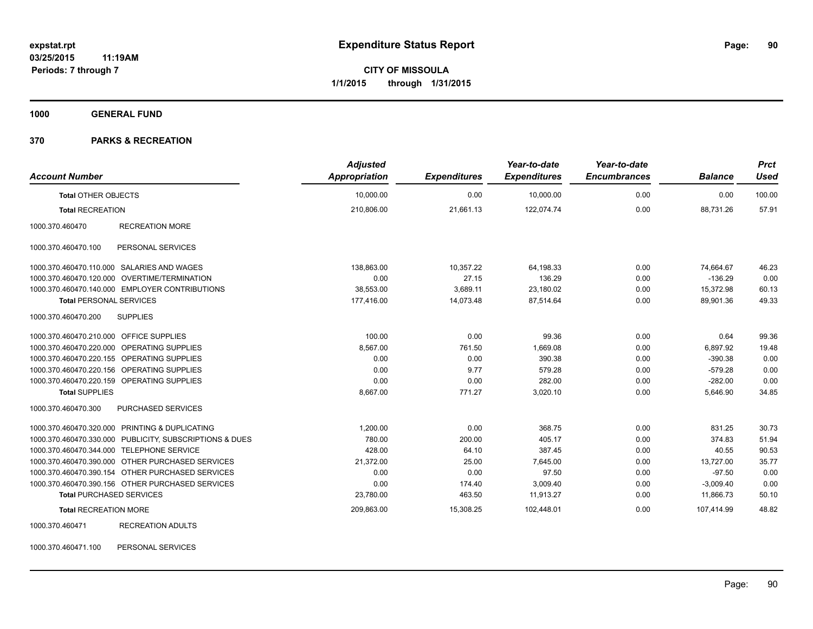**1000 GENERAL FUND**

#### **370 PARKS & RECREATION**

| <b>Account Number</b>                     |                                                         | <b>Adjusted</b><br><b>Appropriation</b> | <b>Expenditures</b> | Year-to-date<br><b>Expenditures</b> | Year-to-date<br><b>Encumbrances</b> | <b>Balance</b> | <b>Prct</b><br><b>Used</b> |
|-------------------------------------------|---------------------------------------------------------|-----------------------------------------|---------------------|-------------------------------------|-------------------------------------|----------------|----------------------------|
| <b>Total OTHER OBJECTS</b>                |                                                         | 10,000.00                               | 0.00                | 10,000.00                           | 0.00                                | 0.00           | 100.00                     |
| <b>Total RECREATION</b>                   |                                                         | 210,806.00                              | 21,661.13           | 122,074.74                          | 0.00                                | 88,731.26      | 57.91                      |
| 1000.370.460470                           | <b>RECREATION MORE</b>                                  |                                         |                     |                                     |                                     |                |                            |
| 1000.370.460470.100                       | PERSONAL SERVICES                                       |                                         |                     |                                     |                                     |                |                            |
|                                           | 1000.370.460470.110.000 SALARIES AND WAGES              | 138,863.00                              | 10,357.22           | 64,198.33                           | 0.00                                | 74,664.67      | 46.23                      |
|                                           | 1000.370.460470.120.000 OVERTIME/TERMINATION            | 0.00                                    | 27.15               | 136.29                              | 0.00                                | $-136.29$      | 0.00                       |
|                                           | 1000.370.460470.140.000 EMPLOYER CONTRIBUTIONS          | 38,553.00                               | 3,689.11            | 23,180.02                           | 0.00                                | 15,372.98      | 60.13                      |
| <b>Total PERSONAL SERVICES</b>            |                                                         | 177.416.00                              | 14.073.48           | 87.514.64                           | 0.00                                | 89.901.36      | 49.33                      |
| 1000.370.460470.200                       | <b>SUPPLIES</b>                                         |                                         |                     |                                     |                                     |                |                            |
| 1000.370.460470.210.000 OFFICE SUPPLIES   |                                                         | 100.00                                  | 0.00                | 99.36                               | 0.00                                | 0.64           | 99.36                      |
|                                           | 1000.370.460470.220.000 OPERATING SUPPLIES              | 8,567.00                                | 761.50              | 1,669.08                            | 0.00                                | 6,897.92       | 19.48                      |
|                                           | 1000.370.460470.220.155 OPERATING SUPPLIES              | 0.00                                    | 0.00                | 390.38                              | 0.00                                | $-390.38$      | 0.00                       |
|                                           | 1000.370.460470.220.156 OPERATING SUPPLIES              | 0.00                                    | 9.77                | 579.28                              | 0.00                                | $-579.28$      | 0.00                       |
|                                           | 1000.370.460470.220.159 OPERATING SUPPLIES              | 0.00                                    | 0.00                | 282.00                              | 0.00                                | $-282.00$      | 0.00                       |
| <b>Total SUPPLIES</b>                     |                                                         | 8,667.00                                | 771.27              | 3,020.10                            | 0.00                                | 5,646.90       | 34.85                      |
| 1000.370.460470.300                       | PURCHASED SERVICES                                      |                                         |                     |                                     |                                     |                |                            |
|                                           | 1000.370.460470.320.000 PRINTING & DUPLICATING          | 1,200.00                                | 0.00                | 368.75                              | 0.00                                | 831.25         | 30.73                      |
|                                           | 1000.370.460470.330.000 PUBLICITY, SUBSCRIPTIONS & DUES | 780.00                                  | 200.00              | 405.17                              | 0.00                                | 374.83         | 51.94                      |
| 1000.370.460470.344.000 TELEPHONE SERVICE |                                                         | 428.00                                  | 64.10               | 387.45                              | 0.00                                | 40.55          | 90.53                      |
|                                           | 1000.370.460470.390.000 OTHER PURCHASED SERVICES        | 21,372.00                               | 25.00               | 7,645.00                            | 0.00                                | 13,727.00      | 35.77                      |
|                                           | 1000.370.460470.390.154 OTHER PURCHASED SERVICES        | 0.00                                    | 0.00                | 97.50                               | 0.00                                | $-97.50$       | 0.00                       |
|                                           | 1000.370.460470.390.156 OTHER PURCHASED SERVICES        | 0.00                                    | 174.40              | 3,009.40                            | 0.00                                | $-3,009.40$    | 0.00                       |
| <b>Total PURCHASED SERVICES</b>           |                                                         | 23,780.00                               | 463.50              | 11,913.27                           | 0.00                                | 11,866.73      | 50.10                      |
| <b>Total RECREATION MORE</b>              |                                                         | 209,863.00                              | 15,308.25           | 102,448.01                          | 0.00                                | 107,414.99     | 48.82                      |
| 1000.370.460471                           | <b>RECREATION ADULTS</b>                                |                                         |                     |                                     |                                     |                |                            |

1000.370.460471.100 PERSONAL SERVICES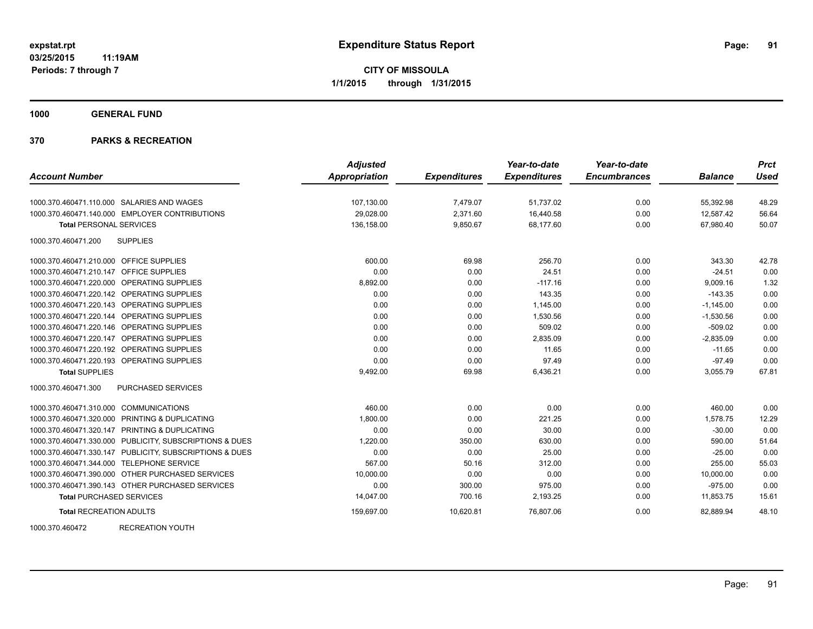#### **1000 GENERAL FUND**

|                                                         | <b>Adjusted</b>      |                     | Year-to-date        | Year-to-date        |                | <b>Prct</b> |
|---------------------------------------------------------|----------------------|---------------------|---------------------|---------------------|----------------|-------------|
| <b>Account Number</b>                                   | <b>Appropriation</b> | <b>Expenditures</b> | <b>Expenditures</b> | <b>Encumbrances</b> | <b>Balance</b> | <b>Used</b> |
| 1000.370.460471.110.000 SALARIES AND WAGES              | 107,130.00           | 7,479.07            | 51,737.02           | 0.00                | 55,392.98      | 48.29       |
| 1000.370.460471.140.000 EMPLOYER CONTRIBUTIONS          | 29,028.00            | 2,371.60            | 16,440.58           | 0.00                | 12,587.42      | 56.64       |
| <b>Total PERSONAL SERVICES</b>                          | 136,158.00           | 9,850.67            | 68.177.60           | 0.00                | 67.980.40      | 50.07       |
| <b>SUPPLIES</b><br>1000.370.460471.200                  |                      |                     |                     |                     |                |             |
| 1000.370.460471.210.000 OFFICE SUPPLIES                 | 600.00               | 69.98               | 256.70              | 0.00                | 343.30         | 42.78       |
| 1000.370.460471.210.147 OFFICE SUPPLIES                 | 0.00                 | 0.00                | 24.51               | 0.00                | $-24.51$       | 0.00        |
| 1000.370.460471.220.000 OPERATING SUPPLIES              | 8,892.00             | 0.00                | $-117.16$           | 0.00                | 9,009.16       | 1.32        |
| 1000.370.460471.220.142 OPERATING SUPPLIES              | 0.00                 | 0.00                | 143.35              | 0.00                | $-143.35$      | 0.00        |
| 1000.370.460471.220.143 OPERATING SUPPLIES              | 0.00                 | 0.00                | 1,145.00            | 0.00                | $-1,145.00$    | 0.00        |
| 1000.370.460471.220.144 OPERATING SUPPLIES              | 0.00                 | 0.00                | 1,530.56            | 0.00                | $-1,530.56$    | 0.00        |
| 1000.370.460471.220.146 OPERATING SUPPLIES              | 0.00                 | 0.00                | 509.02              | 0.00                | $-509.02$      | 0.00        |
| 1000.370.460471.220.147 OPERATING SUPPLIES              | 0.00                 | 0.00                | 2,835.09            | 0.00                | $-2,835.09$    | 0.00        |
| 1000.370.460471.220.192 OPERATING SUPPLIES              | 0.00                 | 0.00                | 11.65               | 0.00                | $-11.65$       | 0.00        |
| 1000.370.460471.220.193 OPERATING SUPPLIES              | 0.00                 | 0.00                | 97.49               | 0.00                | $-97.49$       | 0.00        |
| <b>Total SUPPLIES</b>                                   | 9,492.00             | 69.98               | 6,436.21            | 0.00                | 3,055.79       | 67.81       |
| PURCHASED SERVICES<br>1000.370.460471.300               |                      |                     |                     |                     |                |             |
| 1000.370.460471.310.000 COMMUNICATIONS                  | 460.00               | 0.00                | 0.00                | 0.00                | 460.00         | 0.00        |
| 1000.370.460471.320.000 PRINTING & DUPLICATING          | 1,800.00             | 0.00                | 221.25              | 0.00                | 1,578.75       | 12.29       |
| 1000.370.460471.320.147 PRINTING & DUPLICATING          | 0.00                 | 0.00                | 30.00               | 0.00                | $-30.00$       | 0.00        |
| 1000.370.460471.330.000 PUBLICITY, SUBSCRIPTIONS & DUES | 1,220.00             | 350.00              | 630.00              | 0.00                | 590.00         | 51.64       |
| 1000.370.460471.330.147 PUBLICITY, SUBSCRIPTIONS & DUES | 0.00                 | 0.00                | 25.00               | 0.00                | $-25.00$       | 0.00        |
| 1000.370.460471.344.000 TELEPHONE SERVICE               | 567.00               | 50.16               | 312.00              | 0.00                | 255.00         | 55.03       |
| 1000.370.460471.390.000 OTHER PURCHASED SERVICES        | 10,000.00            | 0.00                | 0.00                | 0.00                | 10,000.00      | 0.00        |
| 1000.370.460471.390.143 OTHER PURCHASED SERVICES        | 0.00                 | 300.00              | 975.00              | 0.00                | $-975.00$      | 0.00        |
| <b>Total PURCHASED SERVICES</b>                         | 14,047.00            | 700.16              | 2,193.25            | 0.00                | 11,853.75      | 15.61       |
| <b>Total RECREATION ADULTS</b>                          | 159,697.00           | 10,620.81           | 76,807.06           | 0.00                | 82,889.94      | 48.10       |
| <b>RECREATION YOUTH</b><br>1000.370.460472              |                      |                     |                     |                     |                |             |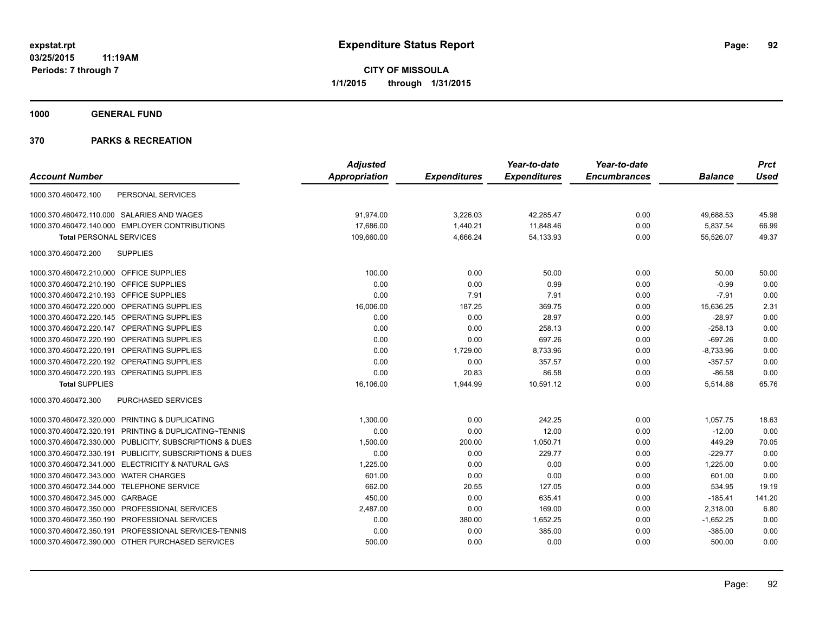**1000 GENERAL FUND**

|                                                         | <b>Adjusted</b> |                     | Year-to-date        | Year-to-date        |                | <b>Prct</b> |
|---------------------------------------------------------|-----------------|---------------------|---------------------|---------------------|----------------|-------------|
| <b>Account Number</b>                                   | Appropriation   | <b>Expenditures</b> | <b>Expenditures</b> | <b>Encumbrances</b> | <b>Balance</b> | <b>Used</b> |
| PERSONAL SERVICES<br>1000.370.460472.100                |                 |                     |                     |                     |                |             |
| 1000.370.460472.110.000 SALARIES AND WAGES              | 91,974.00       | 3,226.03            | 42,285.47           | 0.00                | 49,688.53      | 45.98       |
| 1000.370.460472.140.000 EMPLOYER CONTRIBUTIONS          | 17,686.00       | 1,440.21            | 11,848.46           | 0.00                | 5,837.54       | 66.99       |
| <b>Total PERSONAL SERVICES</b>                          | 109,660.00      | 4,666.24            | 54,133.93           | 0.00                | 55,526.07      | 49.37       |
| <b>SUPPLIES</b><br>1000.370.460472.200                  |                 |                     |                     |                     |                |             |
| 1000.370.460472.210.000 OFFICE SUPPLIES                 | 100.00          | 0.00                | 50.00               | 0.00                | 50.00          | 50.00       |
| 1000.370.460472.210.190 OFFICE SUPPLIES                 | 0.00            | 0.00                | 0.99                | 0.00                | $-0.99$        | 0.00        |
| 1000.370.460472.210.193 OFFICE SUPPLIES                 | 0.00            | 7.91                | 7.91                | 0.00                | $-7.91$        | 0.00        |
| 1000.370.460472.220.000 OPERATING SUPPLIES              | 16,006.00       | 187.25              | 369.75              | 0.00                | 15,636.25      | 2.31        |
| 1000.370.460472.220.145 OPERATING SUPPLIES              | 0.00            | 0.00                | 28.97               | 0.00                | $-28.97$       | 0.00        |
| 1000.370.460472.220.147 OPERATING SUPPLIES              | 0.00            | 0.00                | 258.13              | 0.00                | $-258.13$      | 0.00        |
| 1000.370.460472.220.190 OPERATING SUPPLIES              | 0.00            | 0.00                | 697.26              | 0.00                | $-697.26$      | 0.00        |
| 1000.370.460472.220.191 OPERATING SUPPLIES              | 0.00            | 1,729.00            | 8,733.96            | 0.00                | $-8,733.96$    | 0.00        |
| 1000.370.460472.220.192 OPERATING SUPPLIES              | 0.00            | 0.00                | 357.57              | 0.00                | $-357.57$      | 0.00        |
| 1000.370.460472.220.193 OPERATING SUPPLIES              | 0.00            | 20.83               | 86.58               | 0.00                | $-86.58$       | 0.00        |
| <b>Total SUPPLIES</b>                                   | 16,106.00       | 1,944.99            | 10,591.12           | 0.00                | 5,514.88       | 65.76       |
| 1000.370.460472.300<br>PURCHASED SERVICES               |                 |                     |                     |                     |                |             |
| 1000.370.460472.320.000 PRINTING & DUPLICATING          | 1,300.00        | 0.00                | 242.25              | 0.00                | 1,057.75       | 18.63       |
| 1000.370.460472.320.191 PRINTING & DUPLICATING~TENNIS   | 0.00            | 0.00                | 12.00               | 0.00                | $-12.00$       | 0.00        |
| 1000.370.460472.330.000 PUBLICITY, SUBSCRIPTIONS & DUES | 1,500.00        | 200.00              | 1,050.71            | 0.00                | 449.29         | 70.05       |
| 1000.370.460472.330.191 PUBLICITY, SUBSCRIPTIONS & DUES | 0.00            | 0.00                | 229.77              | 0.00                | $-229.77$      | 0.00        |
| 1000.370.460472.341.000 ELECTRICITY & NATURAL GAS       | 1.225.00        | 0.00                | 0.00                | 0.00                | 1.225.00       | 0.00        |
| 1000.370.460472.343.000 WATER CHARGES                   | 601.00          | 0.00                | 0.00                | 0.00                | 601.00         | 0.00        |
| 1000.370.460472.344.000 TELEPHONE SERVICE               | 662.00          | 20.55               | 127.05              | 0.00                | 534.95         | 19.19       |
| 1000.370.460472.345.000 GARBAGE                         | 450.00          | 0.00                | 635.41              | 0.00                | $-185.41$      | 141.20      |
| 1000.370.460472.350.000 PROFESSIONAL SERVICES           | 2,487.00        | 0.00                | 169.00              | 0.00                | 2,318.00       | 6.80        |
| 1000.370.460472.350.190 PROFESSIONAL SERVICES           | 0.00            | 380.00              | 1,652.25            | 0.00                | $-1,652.25$    | 0.00        |
| 1000.370.460472.350.191 PROFESSIONAL SERVICES-TENNIS    | 0.00            | 0.00                | 385.00              | 0.00                | $-385.00$      | 0.00        |
| 1000.370.460472.390.000 OTHER PURCHASED SERVICES        | 500.00          | 0.00                | 0.00                | 0.00                | 500.00         | 0.00        |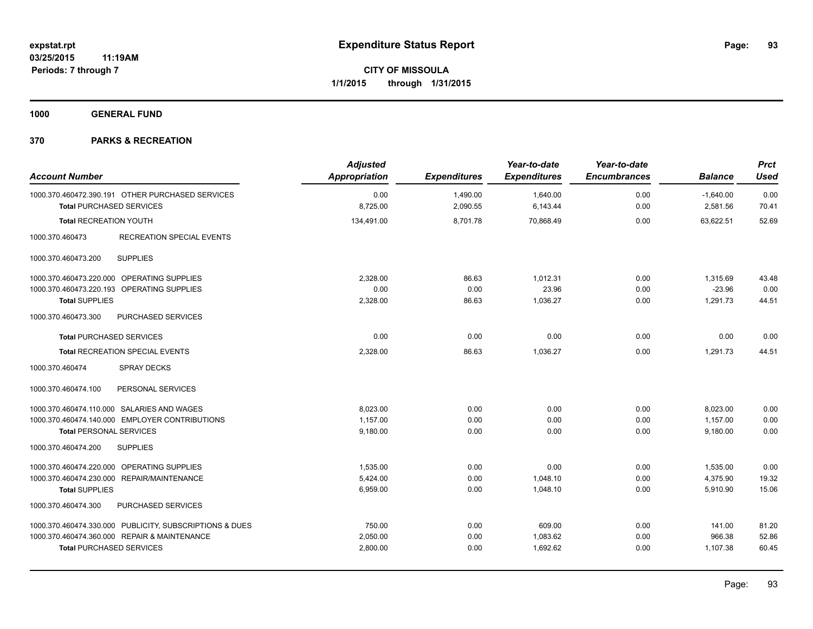**1000 GENERAL FUND**

| <b>Account Number</b>                                                               | <b>Adjusted</b><br><b>Appropriation</b> | <b>Expenditures</b>  | Year-to-date<br><b>Expenditures</b> | Year-to-date<br><b>Encumbrances</b> | <b>Balance</b>          | <b>Prct</b><br><b>Used</b> |
|-------------------------------------------------------------------------------------|-----------------------------------------|----------------------|-------------------------------------|-------------------------------------|-------------------------|----------------------------|
| 1000.370.460472.390.191 OTHER PURCHASED SERVICES<br><b>Total PURCHASED SERVICES</b> | 0.00<br>8,725.00                        | 1,490.00<br>2,090.55 | 1,640.00<br>6,143.44                | 0.00<br>0.00                        | $-1,640.00$<br>2,581.56 | 0.00<br>70.41              |
| <b>Total RECREATION YOUTH</b>                                                       | 134,491.00                              | 8,701.78             | 70,868.49                           | 0.00                                | 63,622.51               | 52.69                      |
| 1000.370.460473<br><b>RECREATION SPECIAL EVENTS</b>                                 |                                         |                      |                                     |                                     |                         |                            |
| <b>SUPPLIES</b><br>1000.370.460473.200                                              |                                         |                      |                                     |                                     |                         |                            |
| 1000.370.460473.220.000 OPERATING SUPPLIES                                          | 2,328.00                                | 86.63                | 1,012.31                            | 0.00                                | 1,315.69                | 43.48                      |
| 1000.370.460473.220.193 OPERATING SUPPLIES                                          | 0.00                                    | 0.00                 | 23.96                               | 0.00                                | $-23.96$                | 0.00                       |
| <b>Total SUPPLIES</b>                                                               | 2,328.00                                | 86.63                | 1,036.27                            | 0.00                                | 1,291.73                | 44.51                      |
| 1000.370.460473.300<br><b>PURCHASED SERVICES</b>                                    |                                         |                      |                                     |                                     |                         |                            |
| <b>Total PURCHASED SERVICES</b>                                                     | 0.00                                    | 0.00                 | 0.00                                | 0.00                                | 0.00                    | 0.00                       |
| <b>Total RECREATION SPECIAL EVENTS</b>                                              | 2,328.00                                | 86.63                | 1,036.27                            | 0.00                                | 1,291.73                | 44.51                      |
| <b>SPRAY DECKS</b><br>1000.370.460474                                               |                                         |                      |                                     |                                     |                         |                            |
| 1000.370.460474.100<br>PERSONAL SERVICES                                            |                                         |                      |                                     |                                     |                         |                            |
| 1000.370.460474.110.000 SALARIES AND WAGES                                          | 8,023.00                                | 0.00                 | 0.00                                | 0.00                                | 8,023.00                | 0.00                       |
| 1000.370.460474.140.000 EMPLOYER CONTRIBUTIONS                                      | 1,157.00                                | 0.00                 | 0.00                                | 0.00                                | 1,157.00                | 0.00                       |
| <b>Total PERSONAL SERVICES</b>                                                      | 9.180.00                                | 0.00                 | 0.00                                | 0.00                                | 9.180.00                | 0.00                       |
| 1000.370.460474.200<br><b>SUPPLIES</b>                                              |                                         |                      |                                     |                                     |                         |                            |
| 1000.370.460474.220.000 OPERATING SUPPLIES                                          | 1,535.00                                | 0.00                 | 0.00                                | 0.00                                | 1,535.00                | 0.00                       |
| 1000.370.460474.230.000 REPAIR/MAINTENANCE                                          | 5,424.00                                | 0.00                 | 1,048.10                            | 0.00                                | 4,375.90                | 19.32                      |
| <b>Total SUPPLIES</b>                                                               | 6,959.00                                | 0.00                 | 1,048.10                            | 0.00                                | 5,910.90                | 15.06                      |
| 1000.370.460474.300<br>PURCHASED SERVICES                                           |                                         |                      |                                     |                                     |                         |                            |
| 1000.370.460474.330.000 PUBLICITY, SUBSCRIPTIONS & DUES                             | 750.00                                  | 0.00                 | 609.00                              | 0.00                                | 141.00                  | 81.20                      |
| 1000.370.460474.360.000 REPAIR & MAINTENANCE                                        | 2,050.00                                | 0.00                 | 1,083.62                            | 0.00                                | 966.38                  | 52.86                      |
| <b>Total PURCHASED SERVICES</b>                                                     | 2,800.00                                | 0.00                 | 1,692.62                            | 0.00                                | 1,107.38                | 60.45                      |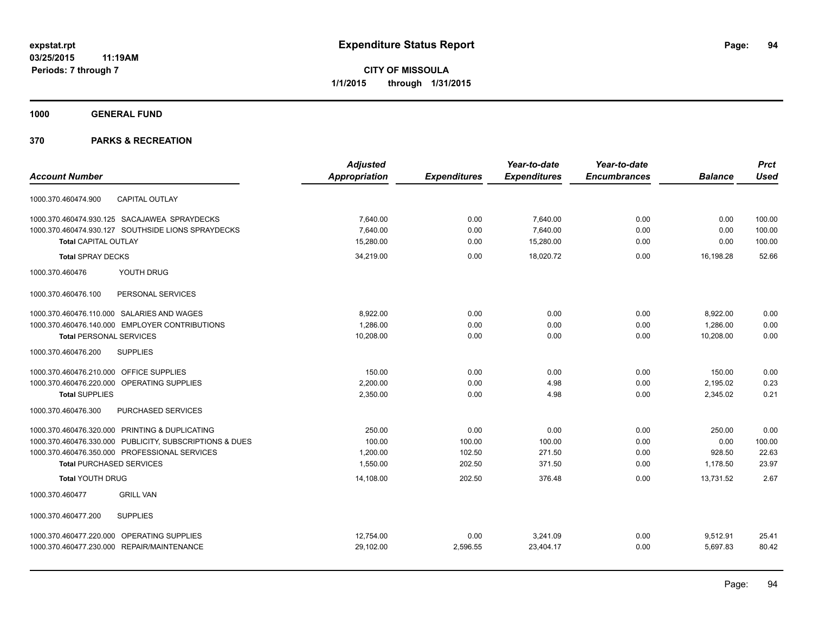**1000 GENERAL FUND**

|                                                         | <b>Adjusted</b>      |                     | Year-to-date        | Year-to-date        |                | <b>Prct</b> |
|---------------------------------------------------------|----------------------|---------------------|---------------------|---------------------|----------------|-------------|
| <b>Account Number</b>                                   | <b>Appropriation</b> | <b>Expenditures</b> | <b>Expenditures</b> | <b>Encumbrances</b> | <b>Balance</b> | <b>Used</b> |
| <b>CAPITAL OUTLAY</b><br>1000.370.460474.900            |                      |                     |                     |                     |                |             |
| 1000.370.460474.930.125 SACAJAWEA SPRAYDECKS            | 7.640.00             | 0.00                | 7.640.00            | 0.00                | 0.00           | 100.00      |
| 1000.370.460474.930.127 SOUTHSIDE LIONS SPRAYDECKS      | 7.640.00             | 0.00                | 7,640.00            | 0.00                | 0.00           | 100.00      |
| <b>Total CAPITAL OUTLAY</b>                             | 15.280.00            | 0.00                | 15.280.00           | 0.00                | 0.00           | 100.00      |
| <b>Total SPRAY DECKS</b>                                | 34,219.00            | 0.00                | 18,020.72           | 0.00                | 16,198.28      | 52.66       |
| 1000.370.460476<br>YOUTH DRUG                           |                      |                     |                     |                     |                |             |
| 1000.370.460476.100<br>PERSONAL SERVICES                |                      |                     |                     |                     |                |             |
| 1000.370.460476.110.000 SALARIES AND WAGES              | 8.922.00             | 0.00                | 0.00                | 0.00                | 8,922.00       | 0.00        |
| 1000.370.460476.140.000 EMPLOYER CONTRIBUTIONS          | 1,286.00             | 0.00                | 0.00                | 0.00                | 1,286.00       | 0.00        |
| <b>Total PERSONAL SERVICES</b>                          | 10.208.00            | 0.00                | 0.00                | 0.00                | 10.208.00      | 0.00        |
| <b>SUPPLIES</b><br>1000.370.460476.200                  |                      |                     |                     |                     |                |             |
| OFFICE SUPPLIES<br>1000.370.460476.210.000              | 150.00               | 0.00                | 0.00                | 0.00                | 150.00         | 0.00        |
| 1000.370.460476.220.000<br>OPERATING SUPPLIES           | 2,200.00             | 0.00                | 4.98                | 0.00                | 2,195.02       | 0.23        |
| <b>Total SUPPLIES</b>                                   | 2,350.00             | 0.00                | 4.98                | 0.00                | 2,345.02       | 0.21        |
| 1000.370.460476.300<br>PURCHASED SERVICES               |                      |                     |                     |                     |                |             |
| 1000.370.460476.320.000 PRINTING & DUPLICATING          | 250.00               | 0.00                | 0.00                | 0.00                | 250.00         | 0.00        |
| 1000.370.460476.330.000 PUBLICITY, SUBSCRIPTIONS & DUES | 100.00               | 100.00              | 100.00              | 0.00                | 0.00           | 100.00      |
| 1000.370.460476.350.000 PROFESSIONAL SERVICES           | 1,200.00             | 102.50              | 271.50              | 0.00                | 928.50         | 22.63       |
| <b>Total PURCHASED SERVICES</b>                         | 1.550.00             | 202.50              | 371.50              | 0.00                | 1.178.50       | 23.97       |
| <b>Total YOUTH DRUG</b>                                 | 14,108.00            | 202.50              | 376.48              | 0.00                | 13.731.52      | 2.67        |
| <b>GRILL VAN</b><br>1000.370.460477                     |                      |                     |                     |                     |                |             |
| <b>SUPPLIES</b><br>1000.370.460477.200                  |                      |                     |                     |                     |                |             |
| 1000.370.460477.220.000 OPERATING SUPPLIES              | 12,754.00            | 0.00                | 3,241.09            | 0.00                | 9,512.91       | 25.41       |
| 1000.370.460477.230.000 REPAIR/MAINTENANCE              | 29,102.00            | 2,596.55            | 23,404.17           | 0.00                | 5,697.83       | 80.42       |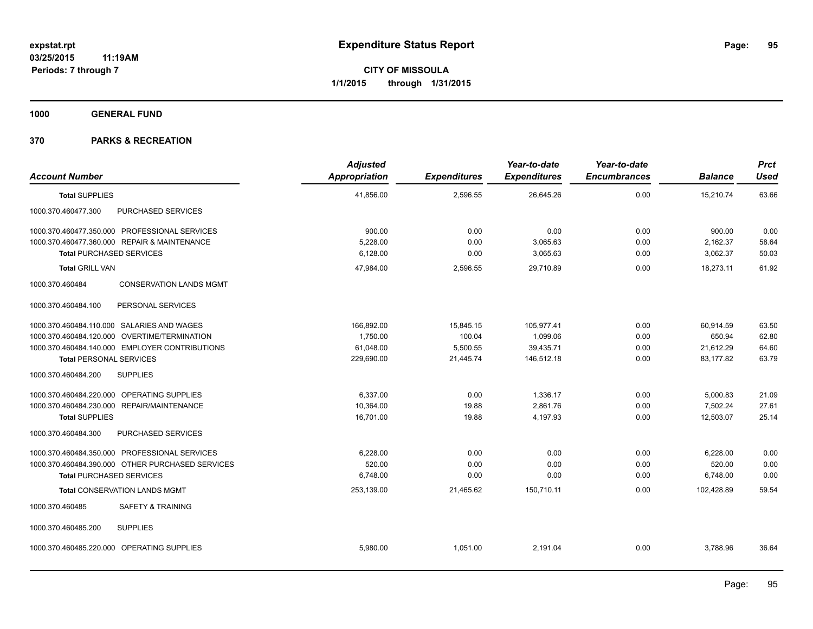**1000 GENERAL FUND**

| <b>Account Number</b>                             | <b>Adjusted</b><br><b>Appropriation</b> | <b>Expenditures</b> | Year-to-date<br><b>Expenditures</b> | Year-to-date<br><b>Encumbrances</b> | <b>Balance</b> | Prct<br><b>Used</b> |
|---------------------------------------------------|-----------------------------------------|---------------------|-------------------------------------|-------------------------------------|----------------|---------------------|
| <b>Total SUPPLIES</b>                             | 41,856.00                               | 2,596.55            | 26,645.26                           | 0.00                                | 15,210.74      | 63.66               |
| 1000.370.460477.300<br>PURCHASED SERVICES         |                                         |                     |                                     |                                     |                |                     |
| 1000.370.460477.350.000 PROFESSIONAL SERVICES     | 900.00                                  | 0.00                | 0.00                                | 0.00                                | 900.00         | 0.00                |
| 1000.370.460477.360.000 REPAIR & MAINTENANCE      | 5,228.00                                | 0.00                | 3,065.63                            | 0.00                                | 2,162.37       | 58.64               |
| <b>Total PURCHASED SERVICES</b>                   | 6,128.00                                | 0.00                | 3,065.63                            | 0.00                                | 3,062.37       | 50.03               |
| <b>Total GRILL VAN</b>                            | 47,984.00                               | 2,596.55            | 29,710.89                           | 0.00                                | 18,273.11      | 61.92               |
| 1000.370.460484<br><b>CONSERVATION LANDS MGMT</b> |                                         |                     |                                     |                                     |                |                     |
| 1000.370.460484.100<br>PERSONAL SERVICES          |                                         |                     |                                     |                                     |                |                     |
| 1000.370.460484.110.000 SALARIES AND WAGES        | 166,892.00                              | 15,845.15           | 105,977.41                          | 0.00                                | 60,914.59      | 63.50               |
| 1000.370.460484.120.000 OVERTIME/TERMINATION      | 1,750.00                                | 100.04              | 1,099.06                            | 0.00                                | 650.94         | 62.80               |
| 1000.370.460484.140.000 EMPLOYER CONTRIBUTIONS    | 61,048.00                               | 5,500.55            | 39,435.71                           | 0.00                                | 21,612.29      | 64.60               |
| <b>Total PERSONAL SERVICES</b>                    | 229,690.00                              | 21,445.74           | 146,512.18                          | 0.00                                | 83,177.82      | 63.79               |
| 1000.370.460484.200<br><b>SUPPLIES</b>            |                                         |                     |                                     |                                     |                |                     |
| 1000.370.460484.220.000 OPERATING SUPPLIES        | 6,337.00                                | 0.00                | 1,336.17                            | 0.00                                | 5,000.83       | 21.09               |
| 1000.370.460484.230.000 REPAIR/MAINTENANCE        | 10,364.00                               | 19.88               | 2,861.76                            | 0.00                                | 7,502.24       | 27.61               |
| <b>Total SUPPLIES</b>                             | 16,701.00                               | 19.88               | 4,197.93                            | 0.00                                | 12,503.07      | 25.14               |
| 1000.370.460484.300<br>PURCHASED SERVICES         |                                         |                     |                                     |                                     |                |                     |
| 1000.370.460484.350.000 PROFESSIONAL SERVICES     | 6,228.00                                | 0.00                | 0.00                                | 0.00                                | 6,228.00       | 0.00                |
| 1000.370.460484.390.000 OTHER PURCHASED SERVICES  | 520.00                                  | 0.00                | 0.00                                | 0.00                                | 520.00         | 0.00                |
| <b>Total PURCHASED SERVICES</b>                   | 6,748.00                                | 0.00                | 0.00                                | 0.00                                | 6,748.00       | 0.00                |
| <b>Total CONSERVATION LANDS MGMT</b>              | 253,139.00                              | 21,465.62           | 150,710.11                          | 0.00                                | 102,428.89     | 59.54               |
| 1000.370.460485<br><b>SAFETY &amp; TRAINING</b>   |                                         |                     |                                     |                                     |                |                     |
| 1000.370.460485.200<br><b>SUPPLIES</b>            |                                         |                     |                                     |                                     |                |                     |
| 1000.370.460485.220.000 OPERATING SUPPLIES        | 5,980.00                                | 1,051.00            | 2,191.04                            | 0.00                                | 3,788.96       | 36.64               |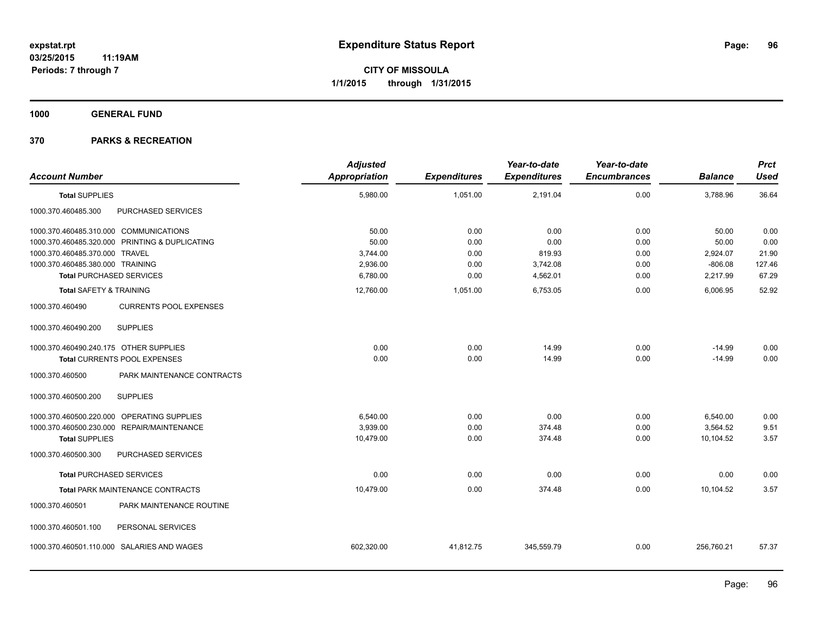**1000 GENERAL FUND**

| <b>Account Number</b>                  |                                                | <b>Adjusted</b><br><b>Appropriation</b> | <b>Expenditures</b> | Year-to-date<br><b>Expenditures</b> | Year-to-date<br><b>Encumbrances</b> | <b>Balance</b> | <b>Prct</b><br><b>Used</b> |
|----------------------------------------|------------------------------------------------|-----------------------------------------|---------------------|-------------------------------------|-------------------------------------|----------------|----------------------------|
| <b>Total SUPPLIES</b>                  |                                                | 5,980.00                                | 1,051.00            | 2,191.04                            | 0.00                                | 3,788.96       | 36.64                      |
| 1000.370.460485.300                    | PURCHASED SERVICES                             |                                         |                     |                                     |                                     |                |                            |
| 1000.370.460485.310.000 COMMUNICATIONS |                                                | 50.00                                   | 0.00                | 0.00                                | 0.00                                | 50.00          | 0.00                       |
|                                        | 1000.370.460485.320.000 PRINTING & DUPLICATING | 50.00                                   | 0.00                | 0.00                                | 0.00                                | 50.00          | 0.00                       |
| 1000.370.460485.370.000 TRAVEL         |                                                | 3,744.00                                | 0.00                | 819.93                              | 0.00                                | 2,924.07       | 21.90                      |
| 1000.370.460485.380.000 TRAINING       |                                                | 2,936.00                                | 0.00                | 3,742.08                            | 0.00                                | $-806.08$      | 127.46                     |
| <b>Total PURCHASED SERVICES</b>        |                                                | 6,780.00                                | 0.00                | 4,562.01                            | 0.00                                | 2,217.99       | 67.29                      |
| <b>Total SAFETY &amp; TRAINING</b>     |                                                | 12,760.00                               | 1,051.00            | 6,753.05                            | 0.00                                | 6,006.95       | 52.92                      |
| 1000.370.460490                        | <b>CURRENTS POOL EXPENSES</b>                  |                                         |                     |                                     |                                     |                |                            |
| 1000.370.460490.200                    | <b>SUPPLIES</b>                                |                                         |                     |                                     |                                     |                |                            |
| 1000.370.460490.240.175 OTHER SUPPLIES |                                                | 0.00                                    | 0.00                | 14.99                               | 0.00                                | $-14.99$       | 0.00                       |
|                                        | Total CURRENTS POOL EXPENSES                   | 0.00                                    | 0.00                | 14.99                               | 0.00                                | $-14.99$       | 0.00                       |
| 1000.370.460500                        | PARK MAINTENANCE CONTRACTS                     |                                         |                     |                                     |                                     |                |                            |
| 1000.370.460500.200                    | <b>SUPPLIES</b>                                |                                         |                     |                                     |                                     |                |                            |
|                                        | 1000.370.460500.220.000 OPERATING SUPPLIES     | 6,540.00                                | 0.00                | 0.00                                | 0.00                                | 6,540.00       | 0.00                       |
|                                        | 1000.370.460500.230.000 REPAIR/MAINTENANCE     | 3,939.00                                | 0.00                | 374.48                              | 0.00                                | 3,564.52       | 9.51                       |
| <b>Total SUPPLIES</b>                  |                                                | 10,479.00                               | 0.00                | 374.48                              | 0.00                                | 10,104.52      | 3.57                       |
| 1000.370.460500.300                    | PURCHASED SERVICES                             |                                         |                     |                                     |                                     |                |                            |
| <b>Total PURCHASED SERVICES</b>        |                                                | 0.00                                    | 0.00                | 0.00                                | 0.00                                | 0.00           | 0.00                       |
|                                        | <b>Total PARK MAINTENANCE CONTRACTS</b>        | 10,479.00                               | 0.00                | 374.48                              | 0.00                                | 10,104.52      | 3.57                       |
| 1000.370.460501                        | PARK MAINTENANCE ROUTINE                       |                                         |                     |                                     |                                     |                |                            |
| 1000.370.460501.100                    | PERSONAL SERVICES                              |                                         |                     |                                     |                                     |                |                            |
|                                        | 1000.370.460501.110.000 SALARIES AND WAGES     | 602,320.00                              | 41,812.75           | 345,559.79                          | 0.00                                | 256,760.21     | 57.37                      |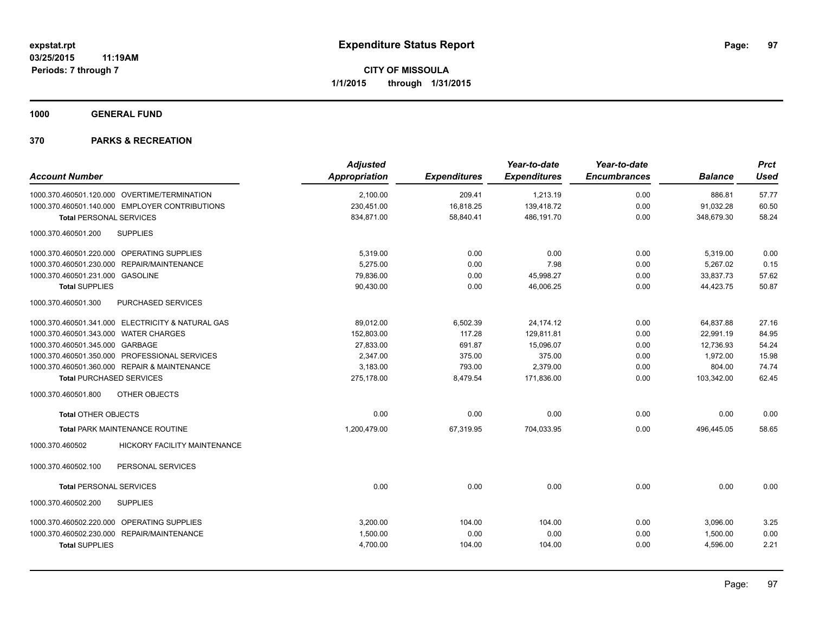**1000 GENERAL FUND**

| <b>Adjusted</b> |               | Year-to-date        | Year-to-date        |                     | <b>Prct</b>    |
|-----------------|---------------|---------------------|---------------------|---------------------|----------------|
|                 |               |                     |                     |                     | <b>Used</b>    |
| 2,100.00        | 209.41        | 1,213.19            | 0.00                | 886.81              | 57.77          |
| 230,451.00      | 16,818.25     | 139,418.72          | 0.00                | 91,032.28           | 60.50          |
| 834,871.00      | 58,840.41     | 486,191.70          | 0.00                | 348,679.30          | 58.24          |
|                 |               |                     |                     |                     |                |
| 5,319.00        | 0.00          | 0.00                | 0.00                | 5,319.00            | 0.00           |
| 5.275.00        | 0.00          | 7.98                | 0.00                | 5.267.02            | 0.15           |
| 79,836.00       | 0.00          | 45,998.27           | 0.00                | 33,837.73           | 57.62          |
| 90,430.00       | 0.00          | 46,006.25           | 0.00                | 44,423.75           | 50.87          |
|                 |               |                     |                     |                     |                |
| 89,012.00       | 6,502.39      | 24,174.12           | 0.00                | 64,837.88           | 27.16          |
| 152,803.00      | 117.28        | 129,811.81          | 0.00                | 22.991.19           | 84.95          |
| 27,833.00       | 691.87        | 15,096.07           | 0.00                | 12,736.93           | 54.24          |
| 2,347.00        | 375.00        | 375.00              | 0.00                | 1,972.00            | 15.98          |
| 3,183.00        | 793.00        | 2,379.00            | 0.00                | 804.00              | 74.74          |
| 275,178.00      | 8,479.54      | 171,836.00          | 0.00                | 103,342.00          | 62.45          |
|                 |               |                     |                     |                     |                |
| 0.00            | 0.00          | 0.00                | 0.00                | 0.00                | 0.00           |
| 1,200,479.00    | 67,319.95     | 704,033.95          | 0.00                | 496,445.05          | 58.65          |
|                 |               |                     |                     |                     |                |
|                 |               |                     |                     |                     |                |
| 0.00            | 0.00          | 0.00                | 0.00                | 0.00                | 0.00           |
|                 |               |                     |                     |                     |                |
| 3,200.00        | 104.00        | 104.00              | 0.00                | 3,096.00            | 3.25           |
| 1,500.00        | 0.00          | 0.00                | 0.00                | 1,500.00            | 0.00           |
| 4,700.00        | 104.00        | 104.00              | 0.00                | 4,596.00            | 2.21           |
|                 | Appropriation | <b>Expenditures</b> | <b>Expenditures</b> | <b>Encumbrances</b> | <b>Balance</b> |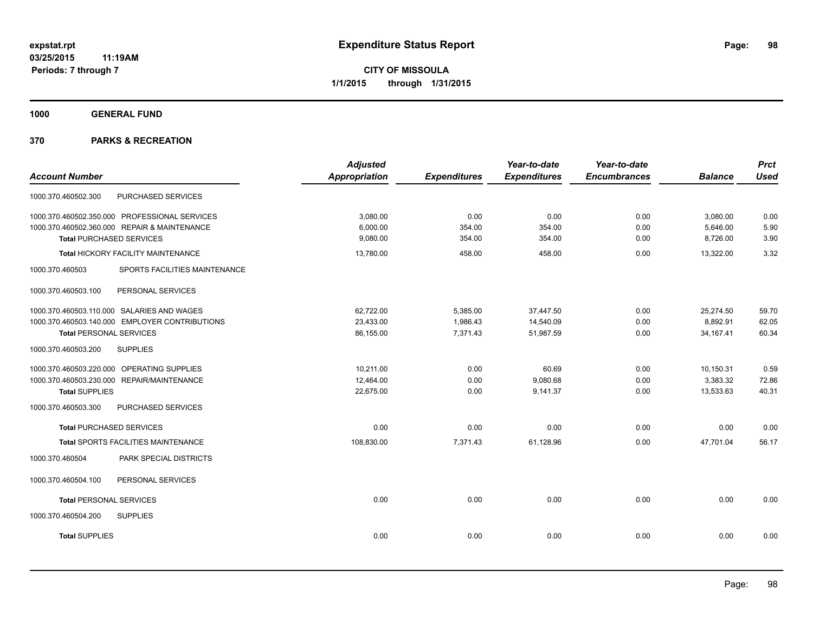**1000 GENERAL FUND**

|                                                  | <b>Adjusted</b>      |                     | Year-to-date        | Year-to-date        |                | <b>Prct</b> |
|--------------------------------------------------|----------------------|---------------------|---------------------|---------------------|----------------|-------------|
| <b>Account Number</b>                            | <b>Appropriation</b> | <b>Expenditures</b> | <b>Expenditures</b> | <b>Encumbrances</b> | <b>Balance</b> | <b>Used</b> |
| PURCHASED SERVICES<br>1000.370.460502.300        |                      |                     |                     |                     |                |             |
| 1000.370.460502.350.000 PROFESSIONAL SERVICES    | 3,080.00             | 0.00                | 0.00                | 0.00                | 3,080.00       | 0.00        |
| 1000.370.460502.360.000 REPAIR & MAINTENANCE     | 6,000.00             | 354.00              | 354.00              | 0.00                | 5,646.00       | 5.90        |
| <b>Total PURCHASED SERVICES</b>                  | 9,080.00             | 354.00              | 354.00              | 0.00                | 8,726.00       | 3.90        |
| Total HICKORY FACILITY MAINTENANCE               | 13,780.00            | 458.00              | 458.00              | 0.00                | 13,322.00      | 3.32        |
| 1000.370.460503<br>SPORTS FACILITIES MAINTENANCE |                      |                     |                     |                     |                |             |
| 1000.370.460503.100<br>PERSONAL SERVICES         |                      |                     |                     |                     |                |             |
| 1000.370.460503.110.000 SALARIES AND WAGES       | 62.722.00            | 5,385.00            | 37,447.50           | 0.00                | 25,274.50      | 59.70       |
| 1000.370.460503.140.000 EMPLOYER CONTRIBUTIONS   | 23,433.00            | 1,986.43            | 14,540.09           | 0.00                | 8,892.91       | 62.05       |
| <b>Total PERSONAL SERVICES</b>                   | 86,155.00            | 7,371.43            | 51,987.59           | 0.00                | 34, 167. 41    | 60.34       |
| 1000.370.460503.200<br><b>SUPPLIES</b>           |                      |                     |                     |                     |                |             |
| 1000.370.460503.220.000 OPERATING SUPPLIES       | 10.211.00            | 0.00                | 60.69               | 0.00                | 10,150.31      | 0.59        |
| 1000.370.460503.230.000 REPAIR/MAINTENANCE       | 12,464.00            | 0.00                | 9,080.68            | 0.00                | 3,383.32       | 72.86       |
| <b>Total SUPPLIES</b>                            | 22,675.00            | 0.00                | 9,141.37            | 0.00                | 13,533.63      | 40.31       |
| 1000.370.460503.300<br>PURCHASED SERVICES        |                      |                     |                     |                     |                |             |
| <b>Total PURCHASED SERVICES</b>                  | 0.00                 | 0.00                | 0.00                | 0.00                | 0.00           | 0.00        |
| <b>Total SPORTS FACILITIES MAINTENANCE</b>       | 108,830.00           | 7,371.43            | 61,128.96           | 0.00                | 47,701.04      | 56.17       |
| PARK SPECIAL DISTRICTS<br>1000.370.460504        |                      |                     |                     |                     |                |             |
| PERSONAL SERVICES<br>1000.370.460504.100         |                      |                     |                     |                     |                |             |
| <b>Total PERSONAL SERVICES</b>                   | 0.00                 | 0.00                | 0.00                | 0.00                | 0.00           | 0.00        |
| 1000.370.460504.200<br><b>SUPPLIES</b>           |                      |                     |                     |                     |                |             |
| <b>Total SUPPLIES</b>                            | 0.00                 | 0.00                | 0.00                | 0.00                | 0.00           | 0.00        |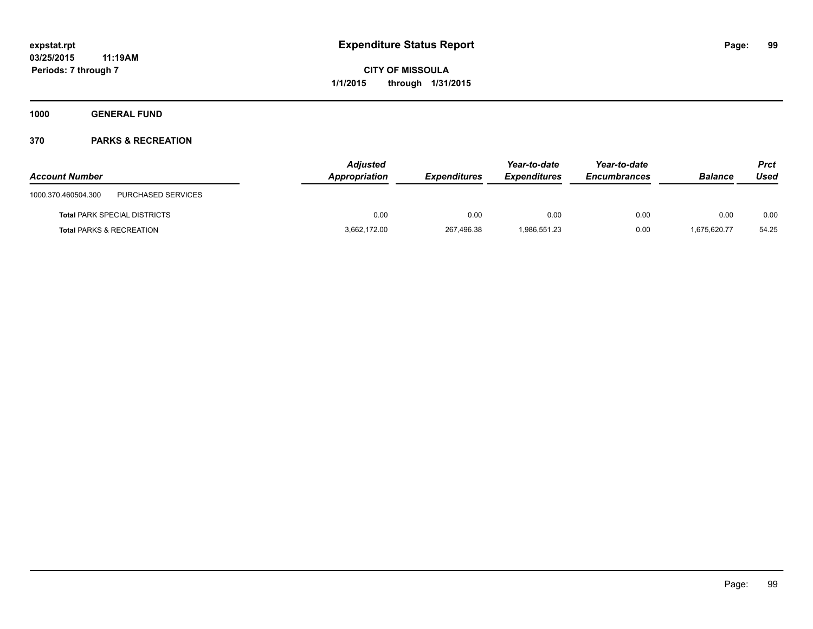**1000 GENERAL FUND**

| <b>Account Number</b>                     | <b>Adjusted</b><br>Appropriation | <b>Expenditures</b> | Year-to-date<br><b>Expenditures</b> | Year-to-date<br><b>Encumbrances</b> | <b>Balance</b> | Prct<br>Used |
|-------------------------------------------|----------------------------------|---------------------|-------------------------------------|-------------------------------------|----------------|--------------|
| PURCHASED SERVICES<br>1000.370.460504.300 |                                  |                     |                                     |                                     |                |              |
| <b>Total PARK SPECIAL DISTRICTS</b>       | 0.00                             | 0.00                | 0.00                                | 0.00                                | 0.00           | 0.00         |
| <b>Total PARKS &amp; RECREATION</b>       | 3,662,172.00                     | 267,496.38          | 1.986.551.23                        | 0.00                                | 1.675.620.77   | 54.25        |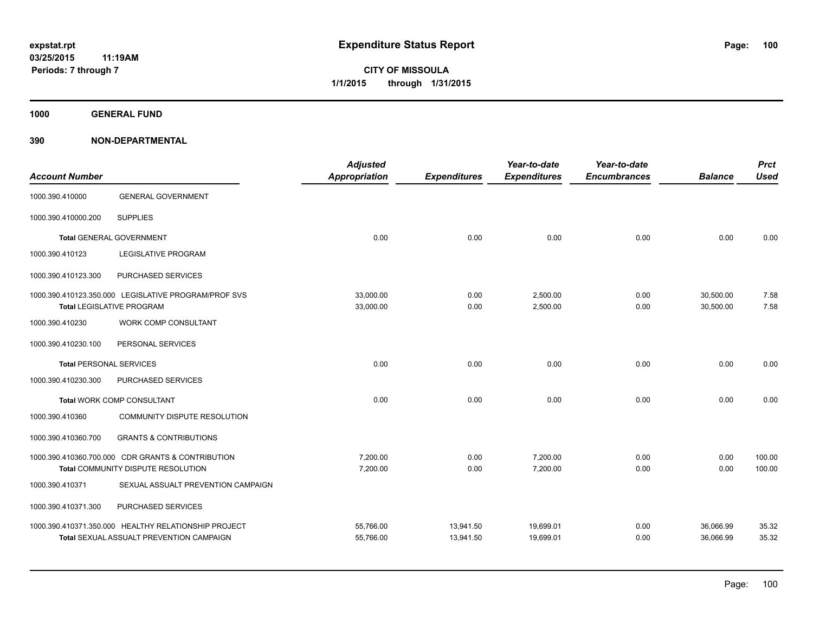**1000 GENERAL FUND**

| <b>Account Number</b>          |                                                      | <b>Adjusted</b><br><b>Appropriation</b> | <b>Expenditures</b> | Year-to-date<br><b>Expenditures</b> | Year-to-date<br><b>Encumbrances</b> | <b>Balance</b> | <b>Prct</b><br><b>Used</b> |
|--------------------------------|------------------------------------------------------|-----------------------------------------|---------------------|-------------------------------------|-------------------------------------|----------------|----------------------------|
| 1000.390.410000                | <b>GENERAL GOVERNMENT</b>                            |                                         |                     |                                     |                                     |                |                            |
| 1000.390.410000.200            | <b>SUPPLIES</b>                                      |                                         |                     |                                     |                                     |                |                            |
|                                | <b>Total GENERAL GOVERNMENT</b>                      | 0.00                                    | 0.00                | 0.00                                | 0.00                                | 0.00           | 0.00                       |
| 1000.390.410123                | <b>LEGISLATIVE PROGRAM</b>                           |                                         |                     |                                     |                                     |                |                            |
| 1000.390.410123.300            | PURCHASED SERVICES                                   |                                         |                     |                                     |                                     |                |                            |
|                                | 1000.390.410123.350.000 LEGISLATIVE PROGRAM/PROF SVS | 33,000.00                               | 0.00                | 2,500.00                            | 0.00                                | 30,500.00      | 7.58                       |
|                                | <b>Total LEGISLATIVE PROGRAM</b>                     | 33,000.00                               | 0.00                | 2,500.00                            | 0.00                                | 30,500.00      | 7.58                       |
| 1000.390.410230                | <b>WORK COMP CONSULTANT</b>                          |                                         |                     |                                     |                                     |                |                            |
| 1000.390.410230.100            | PERSONAL SERVICES                                    |                                         |                     |                                     |                                     |                |                            |
| <b>Total PERSONAL SERVICES</b> |                                                      | 0.00                                    | 0.00                | 0.00                                | 0.00                                | 0.00           | 0.00                       |
| 1000.390.410230.300            | PURCHASED SERVICES                                   |                                         |                     |                                     |                                     |                |                            |
|                                | Total WORK COMP CONSULTANT                           | 0.00                                    | 0.00                | 0.00                                | 0.00                                | 0.00           | 0.00                       |
| 1000.390.410360                | COMMUNITY DISPUTE RESOLUTION                         |                                         |                     |                                     |                                     |                |                            |
| 1000.390.410360.700            | <b>GRANTS &amp; CONTRIBUTIONS</b>                    |                                         |                     |                                     |                                     |                |                            |
|                                | 1000.390.410360.700.000 CDR GRANTS & CONTRIBUTION    | 7,200.00                                | 0.00                | 7,200.00                            | 0.00                                | 0.00           | 100.00                     |
|                                | Total COMMUNITY DISPUTE RESOLUTION                   | 7,200.00                                | 0.00                | 7,200.00                            | 0.00                                | 0.00           | 100.00                     |
| 1000.390.410371                | SEXUAL ASSUALT PREVENTION CAMPAIGN                   |                                         |                     |                                     |                                     |                |                            |
| 1000.390.410371.300            | PURCHASED SERVICES                                   |                                         |                     |                                     |                                     |                |                            |
|                                | 1000.390.410371.350.000 HEALTHY RELATIONSHIP PROJECT | 55,766.00                               | 13,941.50           | 19,699.01                           | 0.00                                | 36,066.99      | 35.32                      |
|                                | <b>Total SEXUAL ASSUALT PREVENTION CAMPAIGN</b>      | 55,766.00                               | 13,941.50           | 19,699.01                           | 0.00                                | 36,066.99      | 35.32                      |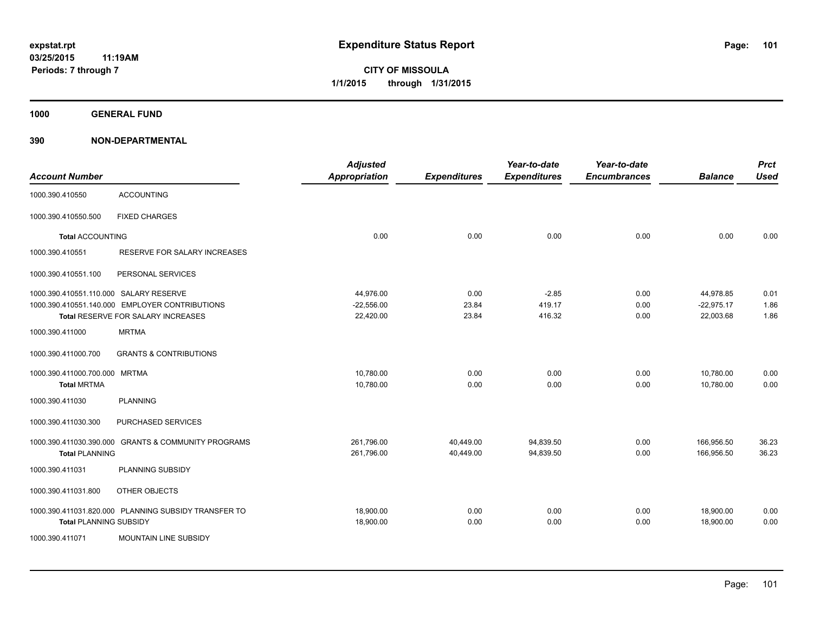**1000 GENERAL FUND**

| <b>Account Number</b>                  |                                                      | <b>Adjusted</b><br><b>Appropriation</b> | <b>Expenditures</b> | Year-to-date<br><b>Expenditures</b> | Year-to-date<br><b>Encumbrances</b> | <b>Balance</b> | <b>Prct</b><br><b>Used</b> |
|----------------------------------------|------------------------------------------------------|-----------------------------------------|---------------------|-------------------------------------|-------------------------------------|----------------|----------------------------|
| 1000.390.410550                        | <b>ACCOUNTING</b>                                    |                                         |                     |                                     |                                     |                |                            |
| 1000.390.410550.500                    | <b>FIXED CHARGES</b>                                 |                                         |                     |                                     |                                     |                |                            |
| <b>Total ACCOUNTING</b>                |                                                      | 0.00                                    | 0.00                | 0.00                                | 0.00                                | 0.00           | 0.00                       |
| 1000.390.410551                        | RESERVE FOR SALARY INCREASES                         |                                         |                     |                                     |                                     |                |                            |
| 1000.390.410551.100                    | PERSONAL SERVICES                                    |                                         |                     |                                     |                                     |                |                            |
| 1000.390.410551.110.000 SALARY RESERVE |                                                      | 44,976.00                               | 0.00                | $-2.85$                             | 0.00                                | 44,978.85      | 0.01                       |
|                                        | 1000.390.410551.140.000 EMPLOYER CONTRIBUTIONS       | $-22,556.00$                            | 23.84               | 419.17                              | 0.00                                | $-22,975.17$   | 1.86                       |
|                                        | Total RESERVE FOR SALARY INCREASES                   | 22,420.00                               | 23.84               | 416.32                              | 0.00                                | 22,003.68      | 1.86                       |
| 1000.390.411000                        | <b>MRTMA</b>                                         |                                         |                     |                                     |                                     |                |                            |
| 1000.390.411000.700                    | <b>GRANTS &amp; CONTRIBUTIONS</b>                    |                                         |                     |                                     |                                     |                |                            |
| 1000.390.411000.700.000 MRTMA          |                                                      | 10,780.00                               | 0.00                | 0.00                                | 0.00                                | 10,780.00      | 0.00                       |
| <b>Total MRTMA</b>                     |                                                      | 10,780.00                               | 0.00                | 0.00                                | 0.00                                | 10.780.00      | 0.00                       |
| 1000.390.411030                        | <b>PLANNING</b>                                      |                                         |                     |                                     |                                     |                |                            |
| 1000.390.411030.300                    | PURCHASED SERVICES                                   |                                         |                     |                                     |                                     |                |                            |
| 1000.390.411030.390.000                | <b>GRANTS &amp; COMMUNITY PROGRAMS</b>               | 261,796.00                              | 40,449.00           | 94,839.50                           | 0.00                                | 166,956.50     | 36.23                      |
| <b>Total PLANNING</b>                  |                                                      | 261,796.00                              | 40,449.00           | 94,839.50                           | 0.00                                | 166,956.50     | 36.23                      |
| 1000.390.411031                        | PLANNING SUBSIDY                                     |                                         |                     |                                     |                                     |                |                            |
| 1000.390.411031.800                    | OTHER OBJECTS                                        |                                         |                     |                                     |                                     |                |                            |
|                                        | 1000.390.411031.820.000 PLANNING SUBSIDY TRANSFER TO | 18.900.00                               | 0.00                | 0.00                                | 0.00                                | 18,900.00      | 0.00                       |
| <b>Total PLANNING SUBSIDY</b>          |                                                      | 18,900.00                               | 0.00                | 0.00                                | 0.00                                | 18,900.00      | 0.00                       |
| 1000.390.411071                        | MOUNTAIN LINE SUBSIDY                                |                                         |                     |                                     |                                     |                |                            |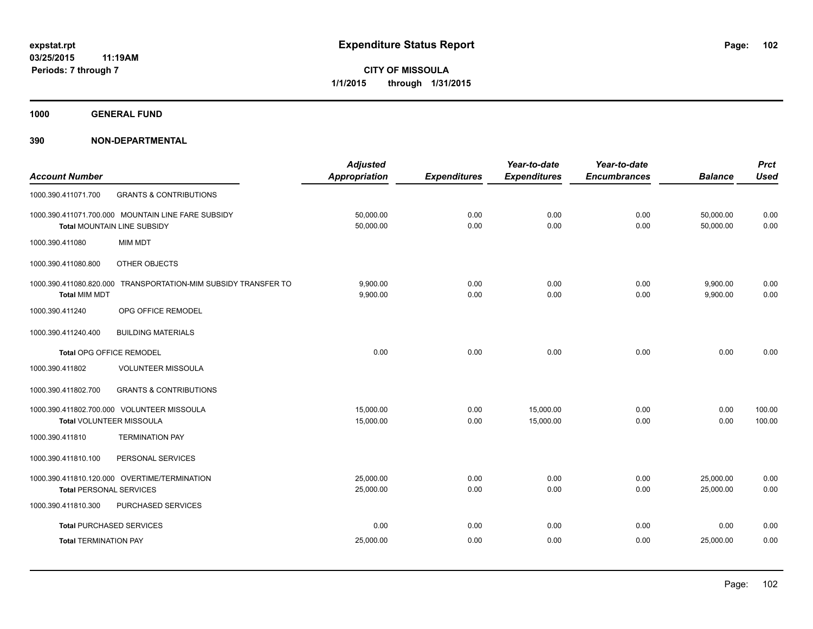**1000 GENERAL FUND**

|                                |                                                    | <b>Adjusted</b>      |                     | Year-to-date        | Year-to-date        |                | <b>Prct</b> |
|--------------------------------|----------------------------------------------------|----------------------|---------------------|---------------------|---------------------|----------------|-------------|
| <b>Account Number</b>          |                                                    | <b>Appropriation</b> | <b>Expenditures</b> | <b>Expenditures</b> | <b>Encumbrances</b> | <b>Balance</b> | <b>Used</b> |
| 1000.390.411071.700            | <b>GRANTS &amp; CONTRIBUTIONS</b>                  |                      |                     |                     |                     |                |             |
|                                | 1000.390.411071.700.000 MOUNTAIN LINE FARE SUBSIDY | 50,000.00            | 0.00                | 0.00                | 0.00                | 50,000.00      | 0.00        |
|                                | Total MOUNTAIN LINE SUBSIDY                        | 50,000.00            | 0.00                | 0.00                | 0.00                | 50,000.00      | 0.00        |
| 1000.390.411080                | <b>MIM MDT</b>                                     |                      |                     |                     |                     |                |             |
| 1000.390.411080.800            | <b>OTHER OBJECTS</b>                               |                      |                     |                     |                     |                |             |
| 1000.390.411080.820.000        | TRANSPORTATION-MIM SUBSIDY TRANSFER TO             | 9,900.00             | 0.00                | 0.00                | 0.00                | 9,900.00       | 0.00        |
| <b>Total MIM MDT</b>           |                                                    | 9,900.00             | 0.00                | 0.00                | 0.00                | 9,900.00       | 0.00        |
| 1000.390.411240                | OPG OFFICE REMODEL                                 |                      |                     |                     |                     |                |             |
| 1000.390.411240.400            | <b>BUILDING MATERIALS</b>                          |                      |                     |                     |                     |                |             |
| Total OPG OFFICE REMODEL       |                                                    | 0.00                 | 0.00                | 0.00                | 0.00                | 0.00           | 0.00        |
| 1000.390.411802                | <b>VOLUNTEER MISSOULA</b>                          |                      |                     |                     |                     |                |             |
| 1000.390.411802.700            | <b>GRANTS &amp; CONTRIBUTIONS</b>                  |                      |                     |                     |                     |                |             |
|                                | 1000.390.411802.700.000 VOLUNTEER MISSOULA         | 15,000.00            | 0.00                | 15,000.00           | 0.00                | 0.00           | 100.00      |
|                                | Total VOLUNTEER MISSOULA                           | 15,000.00            | 0.00                | 15,000.00           | 0.00                | 0.00           | 100.00      |
| 1000.390.411810                | <b>TERMINATION PAY</b>                             |                      |                     |                     |                     |                |             |
| 1000.390.411810.100            | PERSONAL SERVICES                                  |                      |                     |                     |                     |                |             |
|                                | 1000.390.411810.120.000 OVERTIME/TERMINATION       | 25,000.00            | 0.00                | 0.00                | 0.00                | 25,000.00      | 0.00        |
| <b>Total PERSONAL SERVICES</b> |                                                    | 25,000.00            | 0.00                | 0.00                | 0.00                | 25.000.00      | 0.00        |
| 1000.390.411810.300            | PURCHASED SERVICES                                 |                      |                     |                     |                     |                |             |
|                                | <b>Total PURCHASED SERVICES</b>                    | 0.00                 | 0.00                | 0.00                | 0.00                | 0.00           | 0.00        |
| <b>Total TERMINATION PAY</b>   |                                                    | 25,000.00            | 0.00                | 0.00                | 0.00                | 25,000.00      | 0.00        |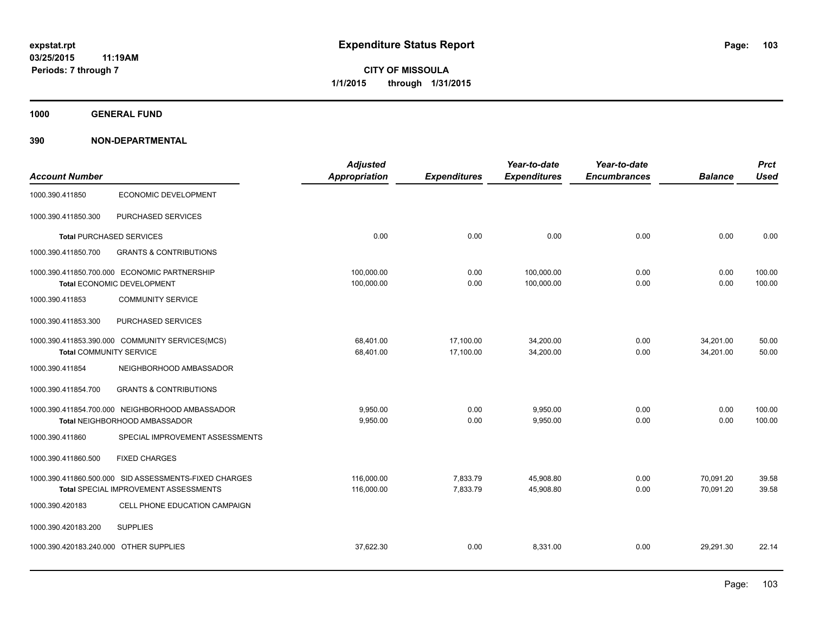**1000 GENERAL FUND**

|                                        |                                                       | <b>Adjusted</b>      |                     | Year-to-date        | Year-to-date        |                | <b>Prct</b> |
|----------------------------------------|-------------------------------------------------------|----------------------|---------------------|---------------------|---------------------|----------------|-------------|
| <b>Account Number</b>                  |                                                       | <b>Appropriation</b> | <b>Expenditures</b> | <b>Expenditures</b> | <b>Encumbrances</b> | <b>Balance</b> | <b>Used</b> |
| 1000.390.411850                        | ECONOMIC DEVELOPMENT                                  |                      |                     |                     |                     |                |             |
| 1000.390.411850.300                    | PURCHASED SERVICES                                    |                      |                     |                     |                     |                |             |
|                                        | <b>Total PURCHASED SERVICES</b>                       | 0.00                 | 0.00                | 0.00                | 0.00                | 0.00           | 0.00        |
| 1000.390.411850.700                    | <b>GRANTS &amp; CONTRIBUTIONS</b>                     |                      |                     |                     |                     |                |             |
|                                        | 1000.390.411850.700.000 ECONOMIC PARTNERSHIP          | 100,000.00           | 0.00                | 100,000.00          | 0.00                | 0.00           | 100.00      |
|                                        | Total ECONOMIC DEVELOPMENT                            | 100,000.00           | 0.00                | 100,000.00          | 0.00                | 0.00           | 100.00      |
| 1000.390.411853                        | <b>COMMUNITY SERVICE</b>                              |                      |                     |                     |                     |                |             |
| 1000.390.411853.300                    | PURCHASED SERVICES                                    |                      |                     |                     |                     |                |             |
|                                        | 1000.390.411853.390.000 COMMUNITY SERVICES(MCS)       | 68,401.00            | 17,100.00           | 34,200.00           | 0.00                | 34,201.00      | 50.00       |
| <b>Total COMMUNITY SERVICE</b>         |                                                       | 68,401.00            | 17,100.00           | 34,200.00           | 0.00                | 34,201.00      | 50.00       |
| 1000.390.411854                        | NEIGHBORHOOD AMBASSADOR                               |                      |                     |                     |                     |                |             |
| 1000.390.411854.700                    | <b>GRANTS &amp; CONTRIBUTIONS</b>                     |                      |                     |                     |                     |                |             |
|                                        | 1000.390.411854.700.000 NEIGHBORHOOD AMBASSADOR       | 9.950.00             | 0.00                | 9,950.00            | 0.00                | 0.00           | 100.00      |
|                                        | Total NEIGHBORHOOD AMBASSADOR                         | 9,950.00             | 0.00                | 9,950.00            | 0.00                | 0.00           | 100.00      |
| 1000.390.411860                        | SPECIAL IMPROVEMENT ASSESSMENTS                       |                      |                     |                     |                     |                |             |
| 1000.390.411860.500                    | <b>FIXED CHARGES</b>                                  |                      |                     |                     |                     |                |             |
|                                        | 1000.390.411860.500.000 SID ASSESSMENTS-FIXED CHARGES | 116,000.00           | 7,833.79            | 45,908.80           | 0.00                | 70,091.20      | 39.58       |
|                                        | Total SPECIAL IMPROVEMENT ASSESSMENTS                 | 116,000.00           | 7,833.79            | 45,908.80           | 0.00                | 70,091.20      | 39.58       |
| 1000.390.420183                        | CELL PHONE EDUCATION CAMPAIGN                         |                      |                     |                     |                     |                |             |
| 1000.390.420183.200                    | <b>SUPPLIES</b>                                       |                      |                     |                     |                     |                |             |
| 1000.390.420183.240.000 OTHER SUPPLIES |                                                       | 37.622.30            | 0.00                | 8.331.00            | 0.00                | 29.291.30      | 22.14       |
|                                        |                                                       |                      |                     |                     |                     |                |             |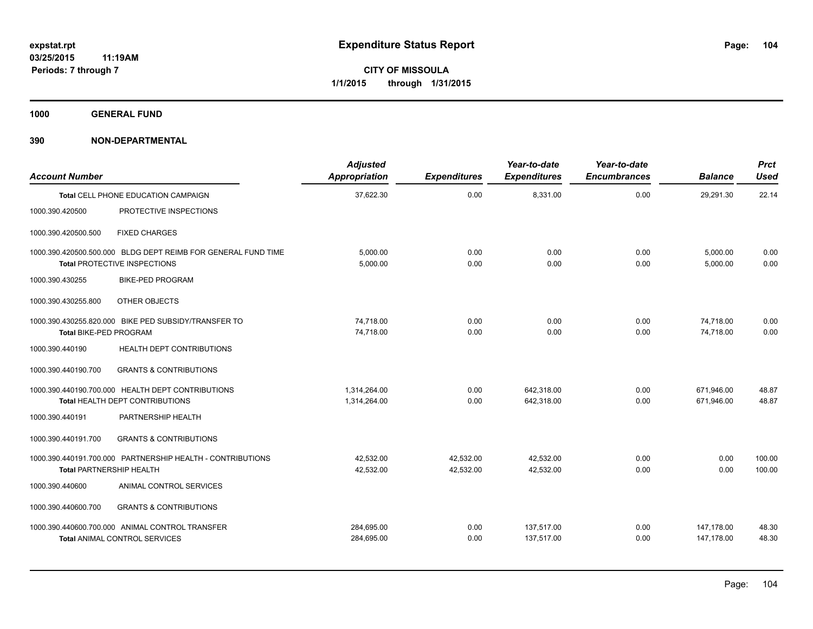**1000 GENERAL FUND**

| <b>Account Number</b>           |                                                                                                      | <b>Adjusted</b><br>Appropriation | <b>Expenditures</b>    | Year-to-date<br><b>Expenditures</b> | Year-to-date<br><b>Encumbrances</b> | <b>Balance</b>           | <b>Prct</b><br><b>Used</b> |
|---------------------------------|------------------------------------------------------------------------------------------------------|----------------------------------|------------------------|-------------------------------------|-------------------------------------|--------------------------|----------------------------|
|                                 | <b>Total CELL PHONE EDUCATION CAMPAIGN</b>                                                           | 37,622.30                        | 0.00                   | 8,331.00                            | 0.00                                | 29,291.30                | 22.14                      |
| 1000.390.420500                 | PROTECTIVE INSPECTIONS                                                                               |                                  |                        |                                     |                                     |                          |                            |
| 1000.390.420500.500             | <b>FIXED CHARGES</b>                                                                                 |                                  |                        |                                     |                                     |                          |                            |
|                                 | 1000.390.420500.500.000 BLDG DEPT REIMB FOR GENERAL FUND TIME<br><b>Total PROTECTIVE INSPECTIONS</b> | 5.000.00<br>5,000.00             | 0.00<br>0.00           | 0.00<br>0.00                        | 0.00<br>0.00                        | 5,000.00<br>5.000.00     | 0.00<br>0.00               |
| 1000.390.430255                 | <b>BIKE-PED PROGRAM</b>                                                                              |                                  |                        |                                     |                                     |                          |                            |
| 1000.390.430255.800             | OTHER OBJECTS                                                                                        |                                  |                        |                                     |                                     |                          |                            |
| Total BIKE-PED PROGRAM          | 1000.390.430255.820.000 BIKE PED SUBSIDY/TRANSFER TO                                                 | 74.718.00<br>74,718.00           | 0.00<br>0.00           | 0.00<br>0.00                        | 0.00<br>0.00                        | 74.718.00<br>74.718.00   | 0.00<br>0.00               |
| 1000.390.440190                 | <b>HEALTH DEPT CONTRIBUTIONS</b>                                                                     |                                  |                        |                                     |                                     |                          |                            |
| 1000.390.440190.700             | <b>GRANTS &amp; CONTRIBUTIONS</b>                                                                    |                                  |                        |                                     |                                     |                          |                            |
|                                 | 1000.390.440190.700.000 HEALTH DEPT CONTRIBUTIONS<br><b>Total HEALTH DEPT CONTRIBUTIONS</b>          | 1.314.264.00<br>1,314,264.00     | 0.00<br>0.00           | 642.318.00<br>642,318.00            | 0.00<br>0.00                        | 671.946.00<br>671,946.00 | 48.87<br>48.87             |
| 1000.390.440191                 | PARTNERSHIP HEALTH                                                                                   |                                  |                        |                                     |                                     |                          |                            |
| 1000.390.440191.700             | <b>GRANTS &amp; CONTRIBUTIONS</b>                                                                    |                                  |                        |                                     |                                     |                          |                            |
| <b>Total PARTNERSHIP HEALTH</b> | 1000.390.440191.700.000 PARTNERSHIP HEALTH - CONTRIBUTIONS                                           | 42,532.00<br>42,532.00           | 42,532.00<br>42,532.00 | 42,532.00<br>42,532.00              | 0.00<br>0.00                        | 0.00<br>0.00             | 100.00<br>100.00           |
| 1000.390.440600                 | ANIMAL CONTROL SERVICES                                                                              |                                  |                        |                                     |                                     |                          |                            |
| 1000.390.440600.700             | <b>GRANTS &amp; CONTRIBUTIONS</b>                                                                    |                                  |                        |                                     |                                     |                          |                            |
|                                 | 1000.390.440600.700.000 ANIMAL CONTROL TRANSFER<br><b>Total ANIMAL CONTROL SERVICES</b>              | 284,695.00<br>284,695.00         | 0.00<br>0.00           | 137,517.00<br>137,517.00            | 0.00<br>0.00                        | 147,178.00<br>147.178.00 | 48.30<br>48.30             |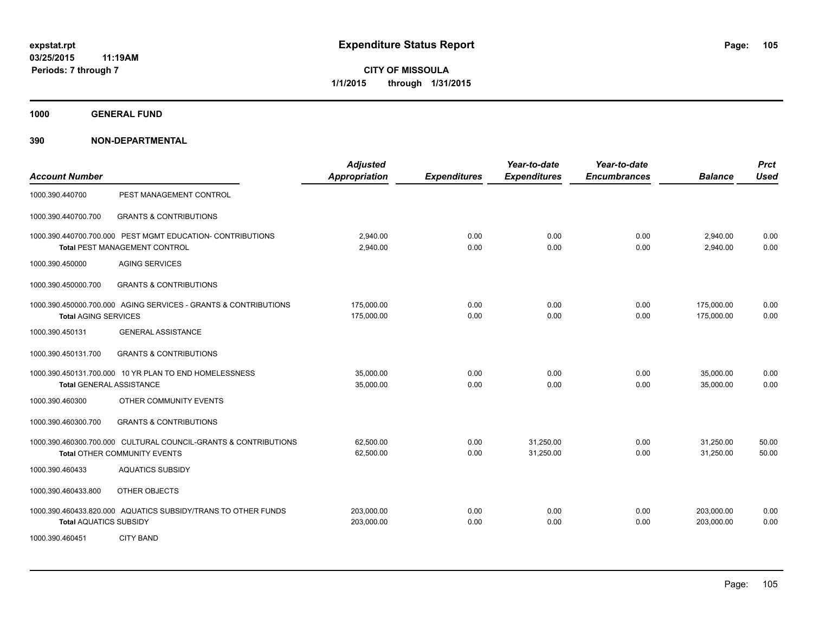**1000 GENERAL FUND**

| <b>Account Number</b>         |                                                                                                    | <b>Adjusted</b><br><b>Appropriation</b> | <b>Expenditures</b> | Year-to-date<br><b>Expenditures</b> | Year-to-date<br><b>Encumbrances</b> | <b>Balance</b>           | <b>Prct</b><br><b>Used</b> |
|-------------------------------|----------------------------------------------------------------------------------------------------|-----------------------------------------|---------------------|-------------------------------------|-------------------------------------|--------------------------|----------------------------|
| 1000.390.440700               | PEST MANAGEMENT CONTROL                                                                            |                                         |                     |                                     |                                     |                          |                            |
| 1000.390.440700.700           | <b>GRANTS &amp; CONTRIBUTIONS</b>                                                                  |                                         |                     |                                     |                                     |                          |                            |
|                               | 1000.390.440700.700.000 PEST MGMT EDUCATION- CONTRIBUTIONS<br><b>Total PEST MANAGEMENT CONTROL</b> | 2,940.00<br>2,940.00                    | 0.00<br>0.00        | 0.00<br>0.00                        | 0.00<br>0.00                        | 2,940.00<br>2,940.00     | 0.00<br>0.00               |
| 1000.390.450000               | <b>AGING SERVICES</b>                                                                              |                                         |                     |                                     |                                     |                          |                            |
| 1000.390.450000.700           | <b>GRANTS &amp; CONTRIBUTIONS</b>                                                                  |                                         |                     |                                     |                                     |                          |                            |
| <b>Total AGING SERVICES</b>   | 1000.390.450000.700.000 AGING SERVICES - GRANTS & CONTRIBUTIONS                                    | 175,000.00<br>175,000.00                | 0.00<br>0.00        | 0.00<br>0.00                        | 0.00<br>0.00                        | 175,000.00<br>175,000.00 | 0.00<br>0.00               |
| 1000.390.450131               | <b>GENERAL ASSISTANCE</b>                                                                          |                                         |                     |                                     |                                     |                          |                            |
| 1000.390.450131.700           | <b>GRANTS &amp; CONTRIBUTIONS</b>                                                                  |                                         |                     |                                     |                                     |                          |                            |
|                               | 1000.390.450131.700.000 10 YR PLAN TO END HOMELESSNESS<br><b>Total GENERAL ASSISTANCE</b>          | 35,000.00<br>35,000.00                  | 0.00<br>0.00        | 0.00<br>0.00                        | 0.00<br>0.00                        | 35,000.00<br>35,000.00   | 0.00<br>0.00               |
| 1000.390.460300               | OTHER COMMUNITY EVENTS                                                                             |                                         |                     |                                     |                                     |                          |                            |
| 1000.390.460300.700           | <b>GRANTS &amp; CONTRIBUTIONS</b>                                                                  |                                         |                     |                                     |                                     |                          |                            |
|                               | 1000.390.460300.700.000 CULTURAL COUNCIL-GRANTS & CONTRIBUTIONS<br>Total OTHER COMMUNITY EVENTS    | 62,500.00<br>62,500.00                  | 0.00<br>0.00        | 31,250.00<br>31,250.00              | 0.00<br>0.00                        | 31,250.00<br>31,250.00   | 50.00<br>50.00             |
| 1000.390.460433               | <b>AQUATICS SUBSIDY</b>                                                                            |                                         |                     |                                     |                                     |                          |                            |
| 1000.390.460433.800           | OTHER OBJECTS                                                                                      |                                         |                     |                                     |                                     |                          |                            |
| <b>Total AQUATICS SUBSIDY</b> | 1000.390.460433.820.000 AQUATICS SUBSIDY/TRANS TO OTHER FUNDS                                      | 203,000.00<br>203,000.00                | 0.00<br>0.00        | 0.00<br>0.00                        | 0.00<br>0.00                        | 203,000.00<br>203,000.00 | 0.00<br>0.00               |
| 1000.390.460451               | <b>CITY BAND</b>                                                                                   |                                         |                     |                                     |                                     |                          |                            |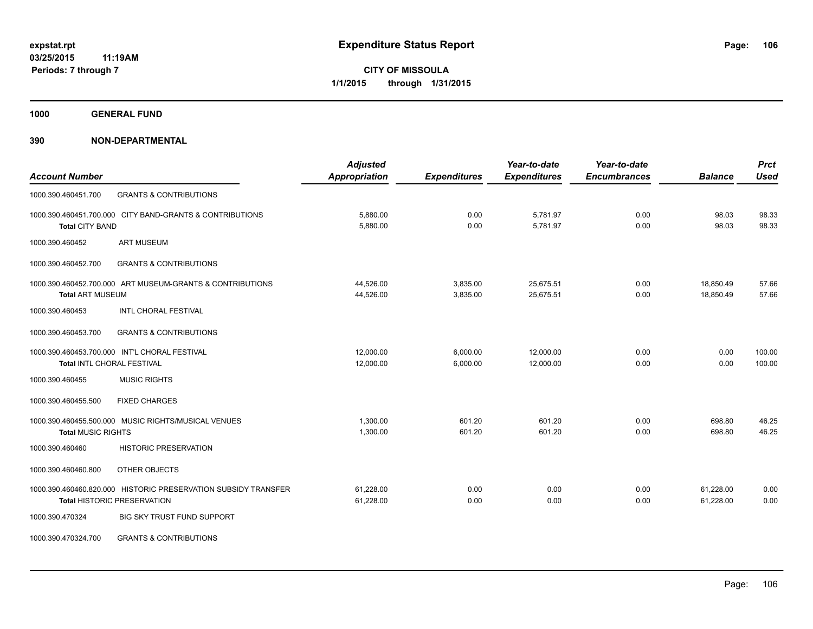**1000 GENERAL FUND**

| <b>Account Number</b>      |                                                                | <b>Adjusted</b><br><b>Appropriation</b> | <b>Expenditures</b> | Year-to-date<br><b>Expenditures</b> | Year-to-date<br><b>Encumbrances</b> | <b>Balance</b> | <b>Prct</b><br><b>Used</b> |
|----------------------------|----------------------------------------------------------------|-----------------------------------------|---------------------|-------------------------------------|-------------------------------------|----------------|----------------------------|
| 1000.390.460451.700        | <b>GRANTS &amp; CONTRIBUTIONS</b>                              |                                         |                     |                                     |                                     |                |                            |
| 1000.390.460451.700.000    | CITY BAND-GRANTS & CONTRIBUTIONS                               | 5,880.00                                | 0.00                | 5,781.97                            | 0.00                                | 98.03          | 98.33                      |
| <b>Total CITY BAND</b>     |                                                                | 5,880.00                                | 0.00                | 5,781.97                            | 0.00                                | 98.03          | 98.33                      |
| 1000.390.460452            | <b>ART MUSEUM</b>                                              |                                         |                     |                                     |                                     |                |                            |
| 1000.390.460452.700        | <b>GRANTS &amp; CONTRIBUTIONS</b>                              |                                         |                     |                                     |                                     |                |                            |
|                            | 1000.390.460452.700.000 ART MUSEUM-GRANTS & CONTRIBUTIONS      | 44,526.00                               | 3,835.00            | 25,675.51                           | 0.00                                | 18,850.49      | 57.66                      |
| <b>Total ART MUSEUM</b>    |                                                                | 44,526.00                               | 3,835.00            | 25,675.51                           | 0.00                                | 18,850.49      | 57.66                      |
| 1000.390.460453            | <b>INTL CHORAL FESTIVAL</b>                                    |                                         |                     |                                     |                                     |                |                            |
| 1000.390.460453.700        | <b>GRANTS &amp; CONTRIBUTIONS</b>                              |                                         |                     |                                     |                                     |                |                            |
|                            | 1000.390.460453.700.000 INT'L CHORAL FESTIVAL                  | 12,000.00                               | 6,000.00            | 12,000.00                           | 0.00                                | 0.00           | 100.00                     |
| Total INTL CHORAL FESTIVAL |                                                                | 12,000.00                               | 6,000.00            | 12,000.00                           | 0.00                                | 0.00           | 100.00                     |
| 1000.390.460455            | <b>MUSIC RIGHTS</b>                                            |                                         |                     |                                     |                                     |                |                            |
| 1000.390.460455.500        | <b>FIXED CHARGES</b>                                           |                                         |                     |                                     |                                     |                |                            |
|                            | 1000.390.460455.500.000 MUSIC RIGHTS/MUSICAL VENUES            | 1,300.00                                | 601.20              | 601.20                              | 0.00                                | 698.80         | 46.25                      |
| <b>Total MUSIC RIGHTS</b>  |                                                                | 1,300.00                                | 601.20              | 601.20                              | 0.00                                | 698.80         | 46.25                      |
| 1000.390.460460            | <b>HISTORIC PRESERVATION</b>                                   |                                         |                     |                                     |                                     |                |                            |
| 1000.390.460460.800        | OTHER OBJECTS                                                  |                                         |                     |                                     |                                     |                |                            |
|                            | 1000.390.460460.820.000 HISTORIC PRESERVATION SUBSIDY TRANSFER | 61.228.00                               | 0.00                | 0.00                                | 0.00                                | 61,228.00      | 0.00                       |
|                            | <b>Total HISTORIC PRESERVATION</b>                             | 61,228.00                               | 0.00                | 0.00                                | 0.00                                | 61,228.00      | 0.00                       |
| 1000.390.470324            | <b>BIG SKY TRUST FUND SUPPORT</b>                              |                                         |                     |                                     |                                     |                |                            |
| 1000.390.470324.700        | <b>GRANTS &amp; CONTRIBUTIONS</b>                              |                                         |                     |                                     |                                     |                |                            |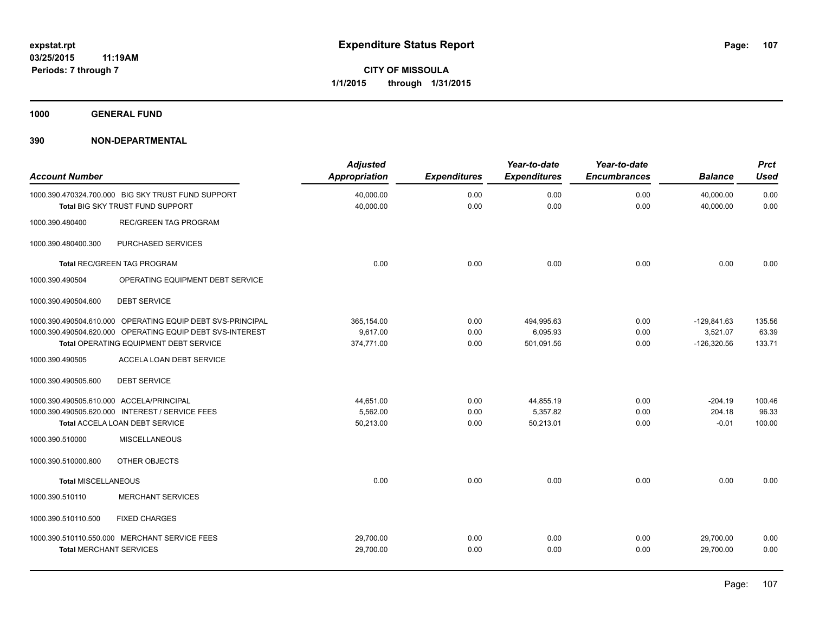**1000 GENERAL FUND**

| <b>Account Number</b>                    |                                                                                                                                                                   | <b>Adjusted</b><br><b>Appropriation</b> | <b>Expenditures</b>  | Year-to-date<br><b>Expenditures</b>  | Year-to-date<br><b>Encumbrances</b> | <b>Balance</b>                             | <b>Prct</b><br><b>Used</b> |
|------------------------------------------|-------------------------------------------------------------------------------------------------------------------------------------------------------------------|-----------------------------------------|----------------------|--------------------------------------|-------------------------------------|--------------------------------------------|----------------------------|
|                                          | 1000.390.470324.700.000 BIG SKY TRUST FUND SUPPORT<br>Total BIG SKY TRUST FUND SUPPORT                                                                            | 40,000.00<br>40,000.00                  | 0.00<br>0.00         | 0.00<br>0.00                         | 0.00<br>0.00                        | 40,000.00<br>40,000.00                     | 0.00<br>0.00               |
| 1000.390.480400                          | <b>REC/GREEN TAG PROGRAM</b>                                                                                                                                      |                                         |                      |                                      |                                     |                                            |                            |
| 1000.390.480400.300                      | PURCHASED SERVICES                                                                                                                                                |                                         |                      |                                      |                                     |                                            |                            |
|                                          | <b>Total REC/GREEN TAG PROGRAM</b>                                                                                                                                | 0.00                                    | 0.00                 | 0.00                                 | 0.00                                | 0.00                                       | 0.00                       |
| 1000.390.490504                          | OPERATING EQUIPMENT DEBT SERVICE                                                                                                                                  |                                         |                      |                                      |                                     |                                            |                            |
| 1000.390.490504.600                      | <b>DEBT SERVICE</b>                                                                                                                                               |                                         |                      |                                      |                                     |                                            |                            |
|                                          | 1000.390.490504.610.000 OPERATING EQUIP DEBT SVS-PRINCIPAL<br>1000.390.490504.620.000 OPERATING EQUIP DEBT SVS-INTEREST<br>Total OPERATING EQUIPMENT DEBT SERVICE | 365,154.00<br>9,617.00<br>374,771.00    | 0.00<br>0.00<br>0.00 | 494,995.63<br>6,095.93<br>501,091.56 | 0.00<br>0.00<br>0.00                | $-129,841.63$<br>3,521.07<br>$-126,320.56$ | 135.56<br>63.39<br>133.71  |
| 1000.390.490505                          | ACCELA LOAN DEBT SERVICE                                                                                                                                          |                                         |                      |                                      |                                     |                                            |                            |
| 1000.390.490505.600                      | <b>DEBT SERVICE</b>                                                                                                                                               |                                         |                      |                                      |                                     |                                            |                            |
| 1000.390.490505.610.000 ACCELA/PRINCIPAL | 1000.390.490505.620.000 INTEREST / SERVICE FEES<br>Total ACCELA LOAN DEBT SERVICE                                                                                 | 44,651.00<br>5,562.00<br>50,213.00      | 0.00<br>0.00<br>0.00 | 44,855.19<br>5,357.82<br>50,213.01   | 0.00<br>0.00<br>0.00                | $-204.19$<br>204.18<br>$-0.01$             | 100.46<br>96.33<br>100.00  |
| 1000.390.510000                          | <b>MISCELLANEOUS</b>                                                                                                                                              |                                         |                      |                                      |                                     |                                            |                            |
| 1000.390.510000.800                      | OTHER OBJECTS                                                                                                                                                     |                                         |                      |                                      |                                     |                                            |                            |
| Total MISCELLANEOUS                      |                                                                                                                                                                   | 0.00                                    | 0.00                 | 0.00                                 | 0.00                                | 0.00                                       | 0.00                       |
| 1000.390.510110                          | <b>MERCHANT SERVICES</b>                                                                                                                                          |                                         |                      |                                      |                                     |                                            |                            |
| 1000.390.510110.500                      | <b>FIXED CHARGES</b>                                                                                                                                              |                                         |                      |                                      |                                     |                                            |                            |
| <b>Total MERCHANT SERVICES</b>           | 1000.390.510110.550.000 MERCHANT SERVICE FEES                                                                                                                     | 29,700.00<br>29,700.00                  | 0.00<br>0.00         | 0.00<br>0.00                         | 0.00<br>0.00                        | 29,700.00<br>29,700.00                     | 0.00<br>0.00               |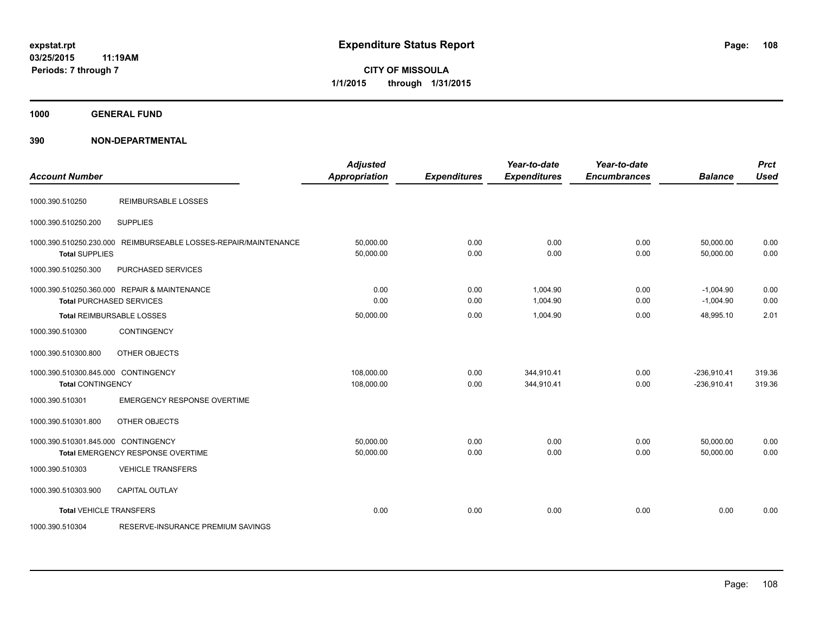**CITY OF MISSOULA 1/1/2015 through 1/31/2015**

**1000 GENERAL FUND**

| <b>Account Number</b>                                           |                                                                                 | <b>Adjusted</b><br><b>Appropriation</b> | <b>Expenditures</b> | Year-to-date<br><b>Expenditures</b> | Year-to-date<br><b>Encumbrances</b> | <b>Balance</b>                 | <b>Prct</b><br><b>Used</b> |
|-----------------------------------------------------------------|---------------------------------------------------------------------------------|-----------------------------------------|---------------------|-------------------------------------|-------------------------------------|--------------------------------|----------------------------|
| 1000.390.510250                                                 | <b>REIMBURSABLE LOSSES</b>                                                      |                                         |                     |                                     |                                     |                                |                            |
| 1000.390.510250.200                                             | <b>SUPPLIES</b>                                                                 |                                         |                     |                                     |                                     |                                |                            |
| <b>Total SUPPLIES</b>                                           | 1000.390.510250.230.000 REIMBURSEABLE LOSSES-REPAIR/MAINTENANCE                 | 50,000.00<br>50,000.00                  | 0.00<br>0.00        | 0.00<br>0.00                        | 0.00<br>0.00                        | 50,000.00<br>50,000.00         | 0.00<br>0.00               |
| 1000.390.510250.300                                             | PURCHASED SERVICES                                                              |                                         |                     |                                     |                                     |                                |                            |
|                                                                 | 1000.390.510250.360.000 REPAIR & MAINTENANCE<br><b>Total PURCHASED SERVICES</b> | 0.00<br>0.00                            | 0.00<br>0.00        | 1,004.90<br>1,004.90                | 0.00<br>0.00                        | $-1,004.90$<br>$-1,004.90$     | 0.00<br>0.00               |
|                                                                 | Total REIMBURSABLE LOSSES                                                       | 50,000.00                               | 0.00                | 1,004.90                            | 0.00                                | 48,995.10                      | 2.01                       |
| 1000.390.510300                                                 | <b>CONTINGENCY</b>                                                              |                                         |                     |                                     |                                     |                                |                            |
| 1000.390.510300.800                                             | OTHER OBJECTS                                                                   |                                         |                     |                                     |                                     |                                |                            |
| 1000.390.510300.845.000 CONTINGENCY<br><b>Total CONTINGENCY</b> |                                                                                 | 108,000.00<br>108,000.00                | 0.00<br>0.00        | 344,910.41<br>344,910.41            | 0.00<br>0.00                        | $-236,910.41$<br>$-236,910.41$ | 319.36<br>319.36           |
| 1000.390.510301                                                 | <b>EMERGENCY RESPONSE OVERTIME</b>                                              |                                         |                     |                                     |                                     |                                |                            |
| 1000.390.510301.800                                             | OTHER OBJECTS                                                                   |                                         |                     |                                     |                                     |                                |                            |
| 1000.390.510301.845.000 CONTINGENCY                             | Total EMERGENCY RESPONSE OVERTIME                                               | 50,000.00<br>50,000.00                  | 0.00<br>0.00        | 0.00<br>0.00                        | 0.00<br>0.00                        | 50,000.00<br>50,000.00         | 0.00<br>0.00               |
| 1000.390.510303                                                 | <b>VEHICLE TRANSFERS</b>                                                        |                                         |                     |                                     |                                     |                                |                            |
| 1000.390.510303.900                                             | <b>CAPITAL OUTLAY</b>                                                           |                                         |                     |                                     |                                     |                                |                            |
| <b>Total VEHICLE TRANSFERS</b>                                  |                                                                                 | 0.00                                    | 0.00                | 0.00                                | 0.00                                | 0.00                           | 0.00                       |
| 1000.390.510304                                                 | RESERVE-INSURANCE PREMIUM SAVINGS                                               |                                         |                     |                                     |                                     |                                |                            |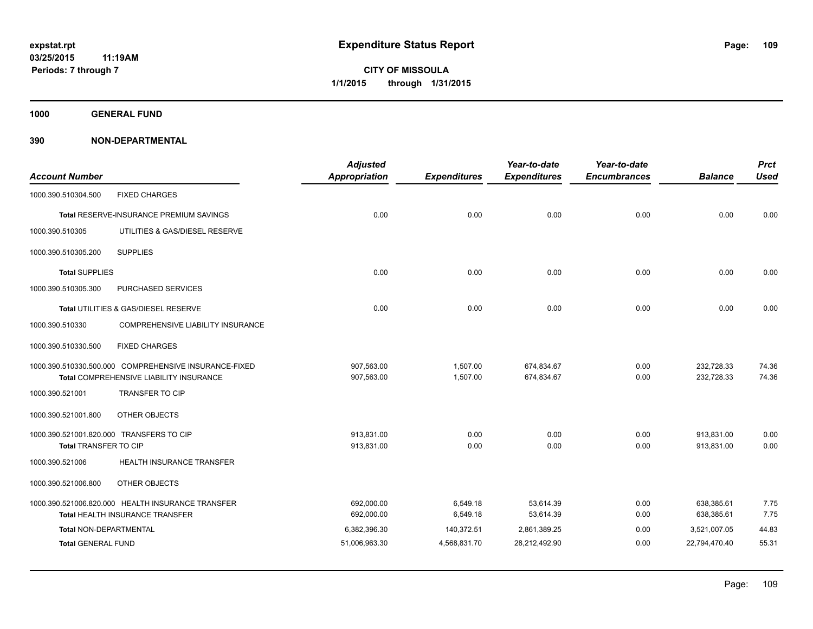**1000 GENERAL FUND**

| <b>Account Number</b>         |                                                       | <b>Adjusted</b><br><b>Appropriation</b> | <b>Expenditures</b> | Year-to-date<br><b>Expenditures</b> | Year-to-date<br><b>Encumbrances</b> | <b>Balance</b> | <b>Prct</b><br><b>Used</b> |
|-------------------------------|-------------------------------------------------------|-----------------------------------------|---------------------|-------------------------------------|-------------------------------------|----------------|----------------------------|
| 1000.390.510304.500           | <b>FIXED CHARGES</b>                                  |                                         |                     |                                     |                                     |                |                            |
|                               | Total RESERVE-INSURANCE PREMIUM SAVINGS               | 0.00                                    | 0.00                | 0.00                                | 0.00                                | 0.00           | 0.00                       |
| 1000.390.510305               | UTILITIES & GAS/DIESEL RESERVE                        |                                         |                     |                                     |                                     |                |                            |
| 1000.390.510305.200           | <b>SUPPLIES</b>                                       |                                         |                     |                                     |                                     |                |                            |
| <b>Total SUPPLIES</b>         |                                                       | 0.00                                    | 0.00                | 0.00                                | 0.00                                | 0.00           | 0.00                       |
| 1000.390.510305.300           | PURCHASED SERVICES                                    |                                         |                     |                                     |                                     |                |                            |
|                               | Total UTILITIES & GAS/DIESEL RESERVE                  | 0.00                                    | 0.00                | 0.00                                | 0.00                                | 0.00           | 0.00                       |
| 1000.390.510330               | COMPREHENSIVE LIABILITY INSURANCE                     |                                         |                     |                                     |                                     |                |                            |
| 1000.390.510330.500           | <b>FIXED CHARGES</b>                                  |                                         |                     |                                     |                                     |                |                            |
|                               | 1000.390.510330.500.000 COMPREHENSIVE INSURANCE-FIXED | 907,563.00                              | 1,507.00            | 674,834.67                          | 0.00                                | 232,728.33     | 74.36                      |
|                               | Total COMPREHENSIVE LIABILITY INSURANCE               | 907,563.00                              | 1,507.00            | 674,834.67                          | 0.00                                | 232,728.33     | 74.36                      |
| 1000.390.521001               | <b>TRANSFER TO CIP</b>                                |                                         |                     |                                     |                                     |                |                            |
| 1000.390.521001.800           | OTHER OBJECTS                                         |                                         |                     |                                     |                                     |                |                            |
|                               | 1000.390.521001.820.000 TRANSFERS TO CIP              | 913.831.00                              | 0.00                | 0.00                                | 0.00                                | 913.831.00     | 0.00                       |
| Total TRANSFER TO CIP         |                                                       | 913,831.00                              | 0.00                | 0.00                                | 0.00                                | 913,831.00     | 0.00                       |
| 1000.390.521006               | HEALTH INSURANCE TRANSFER                             |                                         |                     |                                     |                                     |                |                            |
| 1000.390.521006.800           | OTHER OBJECTS                                         |                                         |                     |                                     |                                     |                |                            |
|                               | 1000.390.521006.820.000 HEALTH INSURANCE TRANSFER     | 692,000.00                              | 6,549.18            | 53,614.39                           | 0.00                                | 638,385.61     | 7.75                       |
|                               | <b>Total HEALTH INSURANCE TRANSFER</b>                | 692,000.00                              | 6,549.18            | 53,614.39                           | 0.00                                | 638,385.61     | 7.75                       |
| <b>Total NON-DEPARTMENTAL</b> |                                                       | 6,382,396.30                            | 140,372.51          | 2,861,389.25                        | 0.00                                | 3,521,007.05   | 44.83                      |
| <b>Total GENERAL FUND</b>     |                                                       | 51,006,963.30                           | 4,568,831.70        | 28,212,492.90                       | 0.00                                | 22,794,470.40  | 55.31                      |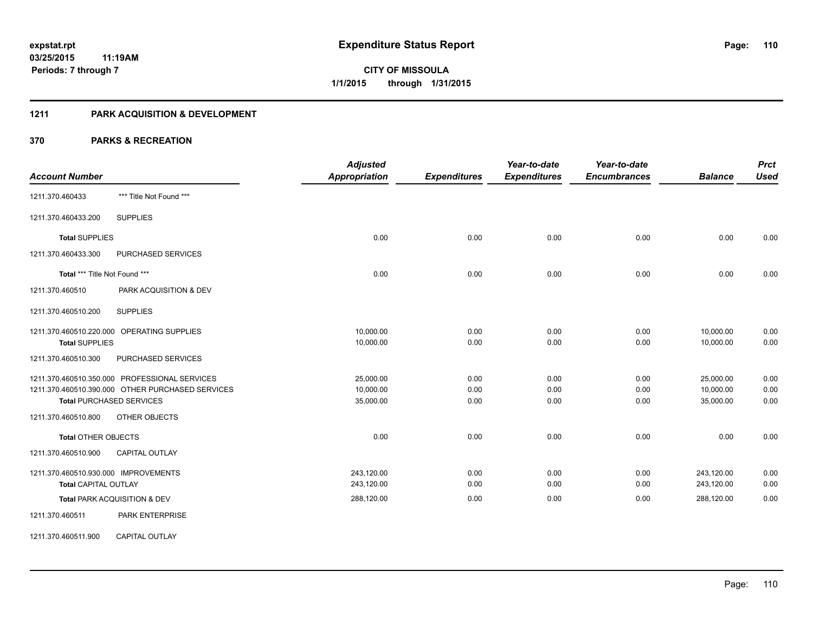## **1211 PARK ACQUISITION & DEVELOPMENT**

|                                                  | <b>Adjusted</b>      |                     | Year-to-date        | Year-to-date        |                | <b>Prct</b> |
|--------------------------------------------------|----------------------|---------------------|---------------------|---------------------|----------------|-------------|
| <b>Account Number</b>                            | <b>Appropriation</b> | <b>Expenditures</b> | <b>Expenditures</b> | <b>Encumbrances</b> | <b>Balance</b> | <b>Used</b> |
| *** Title Not Found ***<br>1211.370.460433       |                      |                     |                     |                     |                |             |
| <b>SUPPLIES</b><br>1211.370.460433.200           |                      |                     |                     |                     |                |             |
| <b>Total SUPPLIES</b>                            | 0.00                 | 0.00                | 0.00                | 0.00                | 0.00           | 0.00        |
| 1211.370.460433.300<br>PURCHASED SERVICES        |                      |                     |                     |                     |                |             |
| Total *** Title Not Found ***                    | 0.00                 | 0.00                | 0.00                | 0.00                | 0.00           | 0.00        |
| 1211.370.460510<br>PARK ACQUISITION & DEV        |                      |                     |                     |                     |                |             |
| <b>SUPPLIES</b><br>1211.370.460510.200           |                      |                     |                     |                     |                |             |
| 1211.370.460510.220.000 OPERATING SUPPLIES       | 10,000.00            | 0.00                | 0.00                | 0.00                | 10,000.00      | 0.00        |
| <b>Total SUPPLIES</b>                            | 10,000.00            | 0.00                | 0.00                | 0.00                | 10,000.00      | 0.00        |
| PURCHASED SERVICES<br>1211.370.460510.300        |                      |                     |                     |                     |                |             |
| 1211.370.460510.350.000 PROFESSIONAL SERVICES    | 25,000.00            | 0.00                | 0.00                | 0.00                | 25,000.00      | 0.00        |
| 1211.370.460510.390.000 OTHER PURCHASED SERVICES | 10,000.00            | 0.00                | 0.00                | 0.00                | 10,000.00      | 0.00        |
| <b>Total PURCHASED SERVICES</b>                  | 35,000.00            | 0.00                | 0.00                | 0.00                | 35,000.00      | 0.00        |
| 1211.370.460510.800<br>OTHER OBJECTS             |                      |                     |                     |                     |                |             |
| <b>Total OTHER OBJECTS</b>                       | 0.00                 | 0.00                | 0.00                | 0.00                | 0.00           | 0.00        |
| <b>CAPITAL OUTLAY</b><br>1211.370.460510.900     |                      |                     |                     |                     |                |             |
| 1211.370.460510.930.000 IMPROVEMENTS             | 243,120.00           | 0.00                | 0.00                | 0.00                | 243,120.00     | 0.00        |
| Total CAPITAL OUTLAY                             | 243,120.00           | 0.00                | 0.00                | 0.00                | 243,120.00     | 0.00        |
| Total PARK ACQUISITION & DEV                     | 288,120.00           | 0.00                | 0.00                | 0.00                | 288,120.00     | 0.00        |
| PARK ENTERPRISE<br>1211.370.460511               |                      |                     |                     |                     |                |             |
| 1211.370.460511.900<br><b>CAPITAL OUTLAY</b>     |                      |                     |                     |                     |                |             |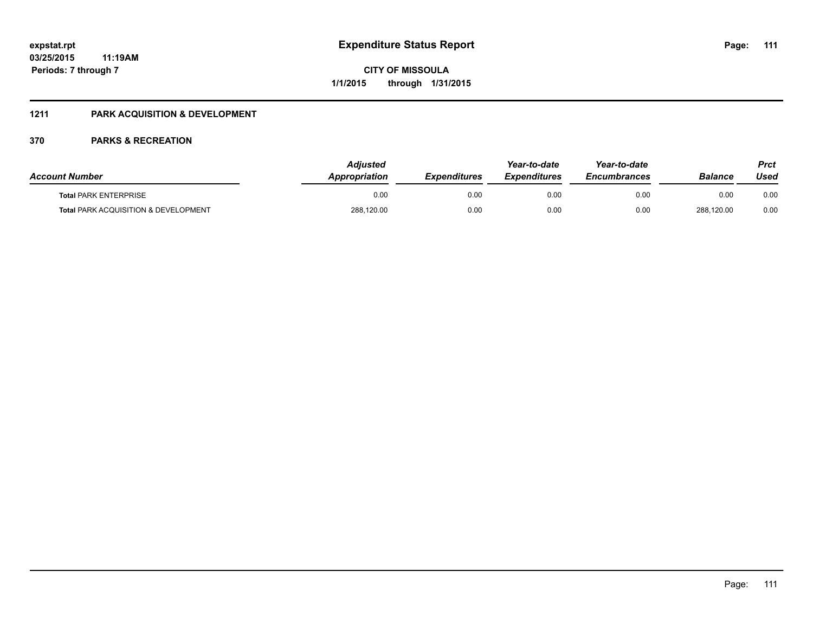## **1211 PARK ACQUISITION & DEVELOPMENT**

| <b>Account Number</b>                           | <b>Adjusted</b><br><b>Appropriation</b> | <b>Expenditures</b> | Year-to-date<br><b>Expenditures</b> | Year-to-date<br><b>Encumbrances</b> | Balance    | Prct<br>Used |
|-------------------------------------------------|-----------------------------------------|---------------------|-------------------------------------|-------------------------------------|------------|--------------|
| <b>Total PARK ENTERPRISE</b>                    | 0.00                                    | 0.00                | 0.00                                | 0.00                                | 0.00       | 0.00         |
| <b>Total PARK ACQUISITION &amp; DEVELOPMENT</b> | 288,120.00                              | 0.00                | 0.00                                | 0.00                                | 288,120.00 | 0.00         |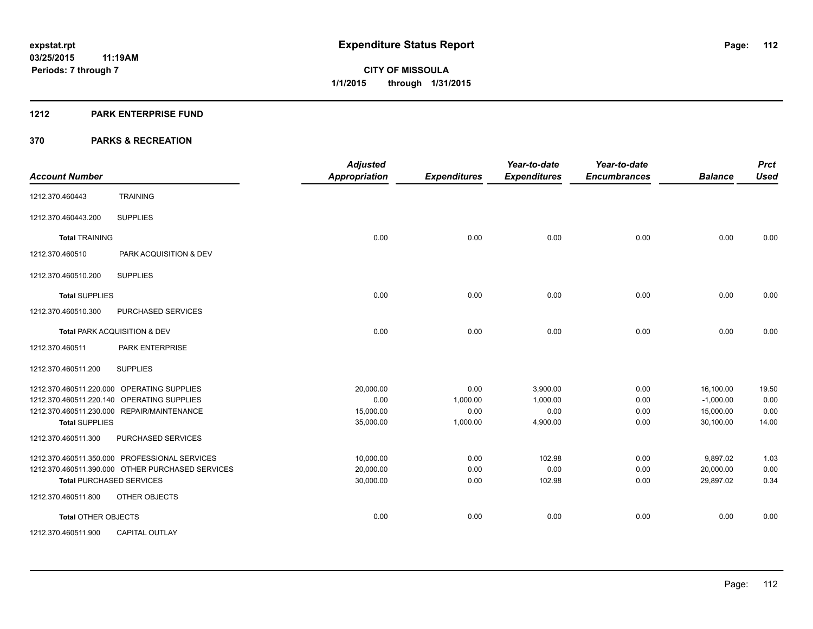#### **1212 PARK ENTERPRISE FUND**

| <b>Account Number</b>      |                                                  | <b>Adjusted</b><br><b>Appropriation</b> | <b>Expenditures</b> | Year-to-date<br><b>Expenditures</b> | Year-to-date<br><b>Encumbrances</b> | <b>Balance</b> | <b>Prct</b><br><b>Used</b> |
|----------------------------|--------------------------------------------------|-----------------------------------------|---------------------|-------------------------------------|-------------------------------------|----------------|----------------------------|
| 1212.370.460443            | <b>TRAINING</b>                                  |                                         |                     |                                     |                                     |                |                            |
| 1212.370.460443.200        | <b>SUPPLIES</b>                                  |                                         |                     |                                     |                                     |                |                            |
| <b>Total TRAINING</b>      |                                                  | 0.00                                    | 0.00                | 0.00                                | 0.00                                | 0.00           | 0.00                       |
| 1212.370.460510            | PARK ACQUISITION & DEV                           |                                         |                     |                                     |                                     |                |                            |
| 1212.370.460510.200        | <b>SUPPLIES</b>                                  |                                         |                     |                                     |                                     |                |                            |
| <b>Total SUPPLIES</b>      |                                                  | 0.00                                    | 0.00                | 0.00                                | 0.00                                | 0.00           | 0.00                       |
| 1212.370.460510.300        | PURCHASED SERVICES                               |                                         |                     |                                     |                                     |                |                            |
|                            | Total PARK ACQUISITION & DEV                     | 0.00                                    | 0.00                | 0.00                                | 0.00                                | 0.00           | 0.00                       |
| 1212.370.460511            | PARK ENTERPRISE                                  |                                         |                     |                                     |                                     |                |                            |
| 1212.370.460511.200        | <b>SUPPLIES</b>                                  |                                         |                     |                                     |                                     |                |                            |
|                            | 1212.370.460511.220.000 OPERATING SUPPLIES       | 20,000.00                               | 0.00                | 3,900.00                            | 0.00                                | 16,100.00      | 19.50                      |
|                            | 1212.370.460511.220.140 OPERATING SUPPLIES       | 0.00                                    | 1,000.00            | 1,000.00                            | 0.00                                | $-1,000.00$    | 0.00                       |
|                            | 1212.370.460511.230.000 REPAIR/MAINTENANCE       | 15,000.00                               | 0.00                | 0.00                                | 0.00                                | 15,000.00      | 0.00                       |
| <b>Total SUPPLIES</b>      |                                                  | 35,000.00                               | 1,000.00            | 4,900.00                            | 0.00                                | 30,100.00      | 14.00                      |
| 1212.370.460511.300        | PURCHASED SERVICES                               |                                         |                     |                                     |                                     |                |                            |
|                            | 1212.370.460511.350.000 PROFESSIONAL SERVICES    | 10,000.00                               | 0.00                | 102.98                              | 0.00                                | 9,897.02       | 1.03                       |
|                            | 1212.370.460511.390.000 OTHER PURCHASED SERVICES | 20,000.00                               | 0.00                | 0.00                                | 0.00                                | 20,000.00      | 0.00                       |
|                            | <b>Total PURCHASED SERVICES</b>                  | 30,000.00                               | 0.00                | 102.98                              | 0.00                                | 29,897.02      | 0.34                       |
| 1212.370.460511.800        | OTHER OBJECTS                                    |                                         |                     |                                     |                                     |                |                            |
| <b>Total OTHER OBJECTS</b> |                                                  | 0.00                                    | 0.00                | 0.00                                | 0.00                                | 0.00           | 0.00                       |
| 1212.370.460511.900        | <b>CAPITAL OUTLAY</b>                            |                                         |                     |                                     |                                     |                |                            |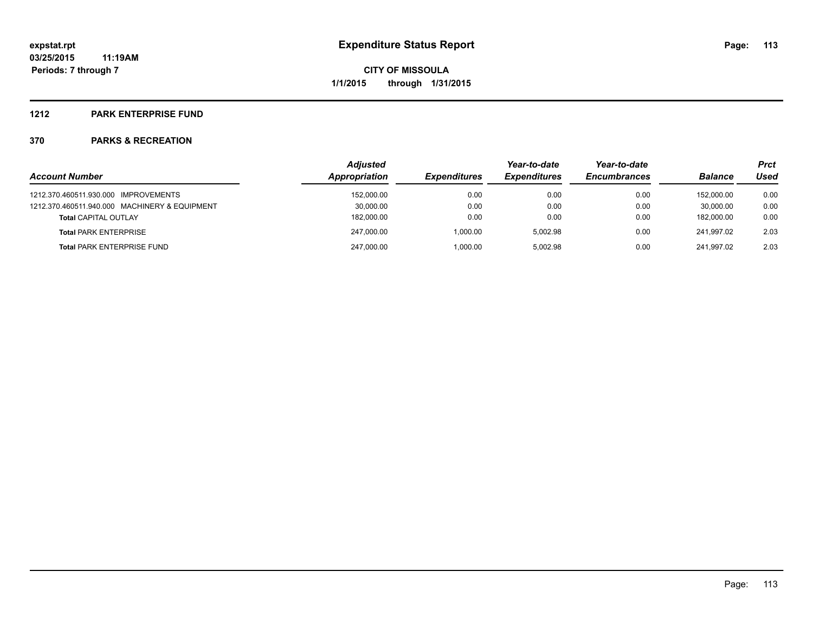#### **1212 PARK ENTERPRISE FUND**

|                                               | <b>Adjusted</b> |                     | Year-to-date        | Year-to-date        |                | <b>Prct</b> |
|-----------------------------------------------|-----------------|---------------------|---------------------|---------------------|----------------|-------------|
| <b>Account Number</b>                         | Appropriation   | <b>Expenditures</b> | <b>Expenditures</b> | <b>Encumbrances</b> | <b>Balance</b> | Used        |
| 1212.370.460511.930.000 IMPROVEMENTS          | 152,000.00      | 0.00                | 0.00                | 0.00                | 152.000.00     | 0.00        |
| 1212.370.460511.940.000 MACHINERY & EQUIPMENT | 30,000.00       | 0.00                | 0.00                | 0.00                | 30.000.00      | 0.00        |
| <b>Total CAPITAL OUTLAY</b>                   | 182,000.00      | 0.00                | 0.00                | 0.00                | 182.000.00     | 0.00        |
| <b>Total PARK ENTERPRISE</b>                  | 247,000.00      | 1.000.00            | 5.002.98            | 0.00                | 241.997.02     | 2.03        |
| <b>Total PARK ENTERPRISE FUND</b>             | 247,000.00      | 1,000.00            | 5.002.98            | 0.00                | 241.997.02     | 2.03        |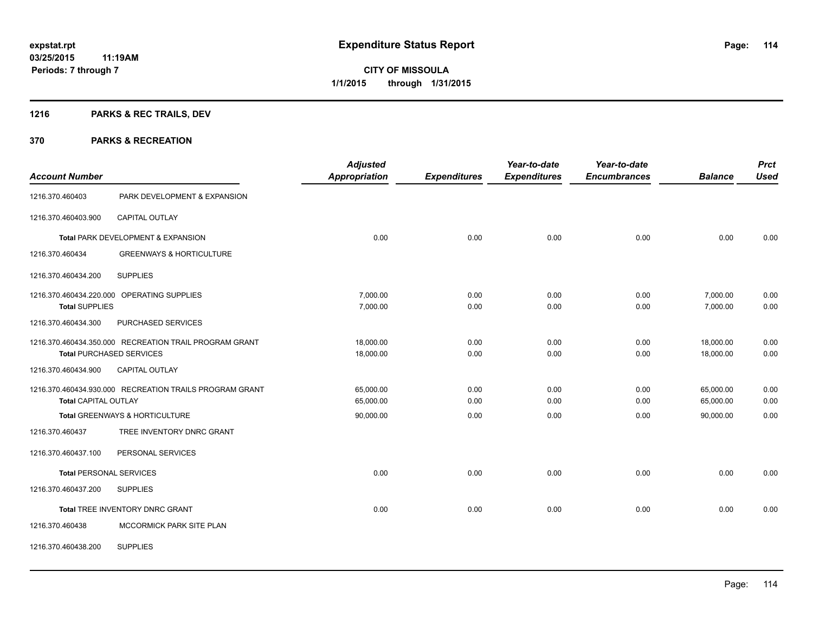# **1216 PARKS & REC TRAILS, DEV**

| <b>Account Number</b>       |                                                         | <b>Adjusted</b><br><b>Appropriation</b> | <b>Expenditures</b> | Year-to-date<br><b>Expenditures</b> | Year-to-date<br><b>Encumbrances</b> | <b>Balance</b> | <b>Prct</b><br><b>Used</b> |
|-----------------------------|---------------------------------------------------------|-----------------------------------------|---------------------|-------------------------------------|-------------------------------------|----------------|----------------------------|
| 1216.370.460403             | PARK DEVELOPMENT & EXPANSION                            |                                         |                     |                                     |                                     |                |                            |
| 1216.370.460403.900         | <b>CAPITAL OUTLAY</b>                                   |                                         |                     |                                     |                                     |                |                            |
|                             | Total PARK DEVELOPMENT & EXPANSION                      | 0.00                                    | 0.00                | 0.00                                | 0.00                                | 0.00           | 0.00                       |
| 1216.370.460434             | <b>GREENWAYS &amp; HORTICULTURE</b>                     |                                         |                     |                                     |                                     |                |                            |
| 1216.370.460434.200         | <b>SUPPLIES</b>                                         |                                         |                     |                                     |                                     |                |                            |
|                             | 1216.370.460434.220.000 OPERATING SUPPLIES              | 7,000.00                                | 0.00                | 0.00                                | 0.00                                | 7,000.00       | 0.00                       |
| <b>Total SUPPLIES</b>       |                                                         | 7,000.00                                | 0.00                | 0.00                                | 0.00                                | 7,000.00       | 0.00                       |
| 1216.370.460434.300         | PURCHASED SERVICES                                      |                                         |                     |                                     |                                     |                |                            |
|                             | 1216.370.460434.350.000 RECREATION TRAIL PROGRAM GRANT  | 18,000.00                               | 0.00                | 0.00                                | 0.00                                | 18,000.00      | 0.00                       |
|                             | <b>Total PURCHASED SERVICES</b>                         | 18,000.00                               | 0.00                | 0.00                                | 0.00                                | 18,000.00      | 0.00                       |
| 1216.370.460434.900         | CAPITAL OUTLAY                                          |                                         |                     |                                     |                                     |                |                            |
|                             | 1216.370.460434.930.000 RECREATION TRAILS PROGRAM GRANT | 65,000.00                               | 0.00                | 0.00                                | 0.00                                | 65,000.00      | 0.00                       |
| <b>Total CAPITAL OUTLAY</b> |                                                         | 65,000.00                               | 0.00                | 0.00                                | 0.00                                | 65,000.00      | 0.00                       |
|                             | Total GREENWAYS & HORTICULTURE                          | 90,000.00                               | 0.00                | 0.00                                | 0.00                                | 90.000.00      | 0.00                       |
| 1216.370.460437             | TREE INVENTORY DNRC GRANT                               |                                         |                     |                                     |                                     |                |                            |
| 1216.370.460437.100         | PERSONAL SERVICES                                       |                                         |                     |                                     |                                     |                |                            |
|                             | <b>Total PERSONAL SERVICES</b>                          | 0.00                                    | 0.00                | 0.00                                | 0.00                                | 0.00           | 0.00                       |
| 1216.370.460437.200         | <b>SUPPLIES</b>                                         |                                         |                     |                                     |                                     |                |                            |
|                             | Total TREE INVENTORY DNRC GRANT                         | 0.00                                    | 0.00                | 0.00                                | 0.00                                | 0.00           | 0.00                       |
| 1216.370.460438             | <b>MCCORMICK PARK SITE PLAN</b>                         |                                         |                     |                                     |                                     |                |                            |
| 1216.370.460438.200         | <b>SUPPLIES</b>                                         |                                         |                     |                                     |                                     |                |                            |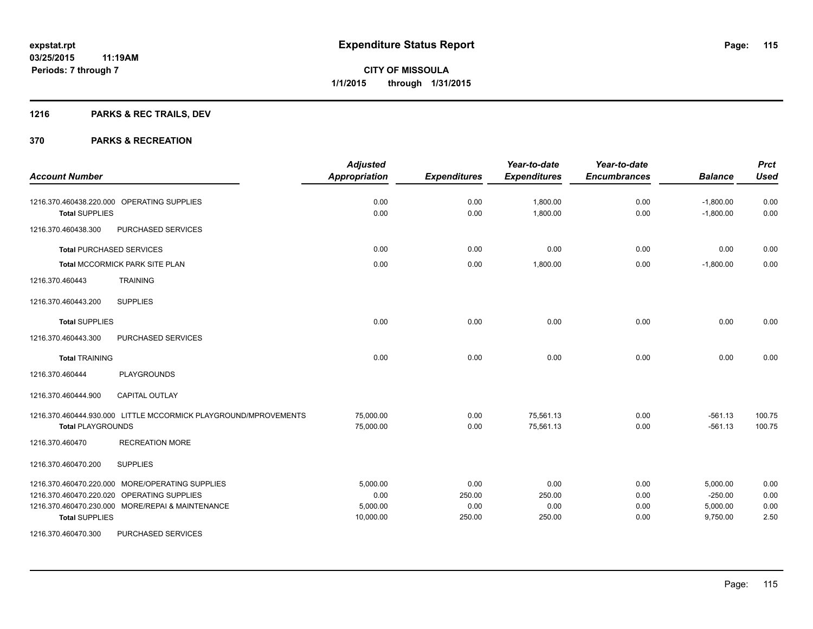# **1216 PARKS & REC TRAILS, DEV**

|                                                                                                                                                                            | <b>Adjusted</b>                           |                                  | Year-to-date                     | Year-to-date                 |                                               | <b>Prct</b>                  |
|----------------------------------------------------------------------------------------------------------------------------------------------------------------------------|-------------------------------------------|----------------------------------|----------------------------------|------------------------------|-----------------------------------------------|------------------------------|
| <b>Account Number</b>                                                                                                                                                      | <b>Appropriation</b>                      | <b>Expenditures</b>              | <b>Expenditures</b>              | <b>Encumbrances</b>          | <b>Balance</b>                                | <b>Used</b>                  |
| 1216.370.460438.220.000 OPERATING SUPPLIES                                                                                                                                 | 0.00                                      | 0.00                             | 1,800.00                         | 0.00                         | $-1,800.00$                                   | 0.00                         |
| <b>Total SUPPLIES</b>                                                                                                                                                      | 0.00                                      | 0.00                             | 1,800.00                         | 0.00                         | $-1,800.00$                                   | 0.00                         |
| 1216.370.460438.300<br>PURCHASED SERVICES                                                                                                                                  |                                           |                                  |                                  |                              |                                               |                              |
| <b>Total PURCHASED SERVICES</b>                                                                                                                                            | 0.00                                      | 0.00                             | 0.00                             | 0.00                         | 0.00                                          | 0.00                         |
| <b>Total MCCORMICK PARK SITE PLAN</b>                                                                                                                                      | 0.00                                      | 0.00                             | 1,800.00                         | 0.00                         | $-1,800.00$                                   | 0.00                         |
| <b>TRAINING</b><br>1216.370.460443                                                                                                                                         |                                           |                                  |                                  |                              |                                               |                              |
| 1216.370.460443.200<br><b>SUPPLIES</b>                                                                                                                                     |                                           |                                  |                                  |                              |                                               |                              |
| <b>Total SUPPLIES</b>                                                                                                                                                      | 0.00                                      | 0.00                             | 0.00                             | 0.00                         | 0.00                                          | 0.00                         |
| 1216.370.460443.300<br>PURCHASED SERVICES                                                                                                                                  |                                           |                                  |                                  |                              |                                               |                              |
| <b>Total TRAINING</b>                                                                                                                                                      | 0.00                                      | 0.00                             | 0.00                             | 0.00                         | 0.00                                          | 0.00                         |
| <b>PLAYGROUNDS</b><br>1216.370.460444                                                                                                                                      |                                           |                                  |                                  |                              |                                               |                              |
| 1216.370.460444.900<br><b>CAPITAL OUTLAY</b>                                                                                                                               |                                           |                                  |                                  |                              |                                               |                              |
| 1216.370.460444.930.000 LITTLE MCCORMICK PLAYGROUND/MPROVEMENTS<br><b>Total PLAYGROUNDS</b>                                                                                | 75,000.00<br>75,000.00                    | 0.00<br>0.00                     | 75,561.13<br>75,561.13           | 0.00<br>0.00                 | $-561.13$<br>$-561.13$                        | 100.75<br>100.75             |
| 1216.370.460470<br><b>RECREATION MORE</b>                                                                                                                                  |                                           |                                  |                                  |                              |                                               |                              |
| 1216.370.460470.200<br><b>SUPPLIES</b>                                                                                                                                     |                                           |                                  |                                  |                              |                                               |                              |
| 1216.370.460470.220.000 MORE/OPERATING SUPPLIES<br>1216.370.460470.220.020 OPERATING SUPPLIES<br>1216.370.460470.230.000 MORE/REPAI & MAINTENANCE<br><b>Total SUPPLIES</b> | 5,000.00<br>0.00<br>5,000.00<br>10,000.00 | 0.00<br>250.00<br>0.00<br>250.00 | 0.00<br>250.00<br>0.00<br>250.00 | 0.00<br>0.00<br>0.00<br>0.00 | 5,000.00<br>$-250.00$<br>5,000.00<br>9,750.00 | 0.00<br>0.00<br>0.00<br>2.50 |
| 1216.370.460470.300<br>PURCHASED SERVICES                                                                                                                                  |                                           |                                  |                                  |                              |                                               |                              |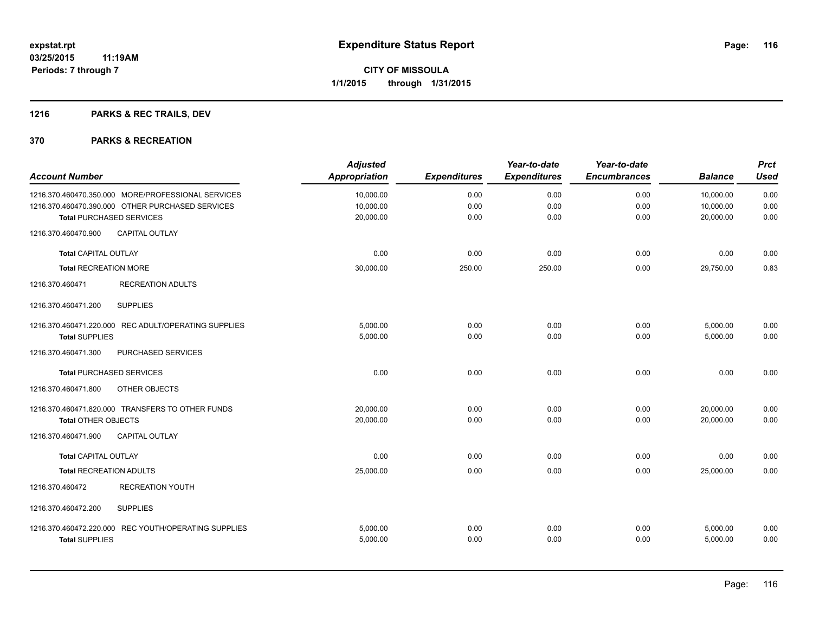# **1216 PARKS & REC TRAILS, DEV**

| <b>Account Number</b>          |                                                      | <b>Adjusted</b><br>Appropriation | <b>Expenditures</b> | Year-to-date<br><b>Expenditures</b> | Year-to-date<br><b>Encumbrances</b> | <b>Balance</b> | <b>Prct</b><br><b>Used</b> |
|--------------------------------|------------------------------------------------------|----------------------------------|---------------------|-------------------------------------|-------------------------------------|----------------|----------------------------|
|                                | 1216.370.460470.350.000 MORE/PROFESSIONAL SERVICES   | 10,000.00                        | 0.00                | 0.00                                | 0.00                                | 10,000.00      | 0.00                       |
|                                | 1216.370.460470.390.000 OTHER PURCHASED SERVICES     | 10,000.00                        | 0.00                | 0.00                                | 0.00                                | 10,000.00      | 0.00                       |
|                                | <b>Total PURCHASED SERVICES</b>                      | 20,000.00                        | 0.00                | 0.00                                | 0.00                                | 20,000.00      | 0.00                       |
| 1216.370.460470.900            | <b>CAPITAL OUTLAY</b>                                |                                  |                     |                                     |                                     |                |                            |
| <b>Total CAPITAL OUTLAY</b>    |                                                      | 0.00                             | 0.00                | 0.00                                | 0.00                                | 0.00           | 0.00                       |
| <b>Total RECREATION MORE</b>   |                                                      | 30,000.00                        | 250.00              | 250.00                              | 0.00                                | 29,750.00      | 0.83                       |
| 1216.370.460471                | <b>RECREATION ADULTS</b>                             |                                  |                     |                                     |                                     |                |                            |
| 1216.370.460471.200            | <b>SUPPLIES</b>                                      |                                  |                     |                                     |                                     |                |                            |
|                                | 1216.370.460471.220.000 REC ADULT/OPERATING SUPPLIES | 5.000.00                         | 0.00                | 0.00                                | 0.00                                | 5,000.00       | 0.00                       |
| <b>Total SUPPLIES</b>          |                                                      | 5,000.00                         | 0.00                | 0.00                                | 0.00                                | 5,000.00       | 0.00                       |
| 1216.370.460471.300            | PURCHASED SERVICES                                   |                                  |                     |                                     |                                     |                |                            |
|                                | <b>Total PURCHASED SERVICES</b>                      | 0.00                             | 0.00                | 0.00                                | 0.00                                | 0.00           | 0.00                       |
| 1216.370.460471.800            | OTHER OBJECTS                                        |                                  |                     |                                     |                                     |                |                            |
|                                | 1216.370.460471.820.000 TRANSFERS TO OTHER FUNDS     | 20.000.00                        | 0.00                | 0.00                                | 0.00                                | 20,000.00      | 0.00                       |
| <b>Total OTHER OBJECTS</b>     |                                                      | 20,000.00                        | 0.00                | 0.00                                | 0.00                                | 20,000.00      | 0.00                       |
| 1216.370.460471.900            | <b>CAPITAL OUTLAY</b>                                |                                  |                     |                                     |                                     |                |                            |
| <b>Total CAPITAL OUTLAY</b>    |                                                      | 0.00                             | 0.00                | 0.00                                | 0.00                                | 0.00           | 0.00                       |
| <b>Total RECREATION ADULTS</b> |                                                      | 25,000.00                        | 0.00                | 0.00                                | 0.00                                | 25.000.00      | 0.00                       |
| 1216.370.460472                | <b>RECREATION YOUTH</b>                              |                                  |                     |                                     |                                     |                |                            |
| 1216.370.460472.200            | <b>SUPPLIES</b>                                      |                                  |                     |                                     |                                     |                |                            |
|                                | 1216.370.460472.220.000 REC YOUTH/OPERATING SUPPLIES | 5,000.00                         | 0.00                | 0.00                                | 0.00                                | 5,000.00       | 0.00                       |
| <b>Total SUPPLIES</b>          |                                                      | 5,000.00                         | 0.00                | 0.00                                | 0.00                                | 5,000.00       | 0.00                       |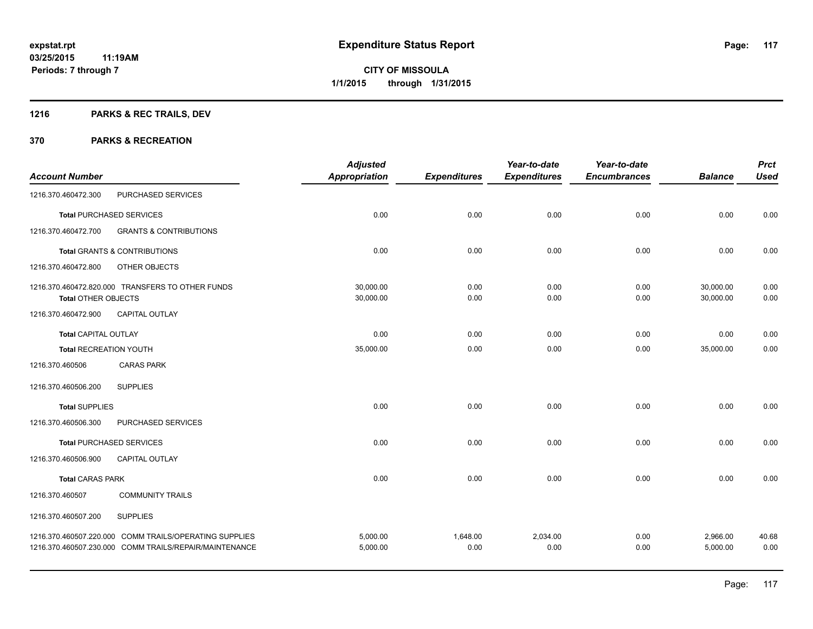# **1216 PARKS & REC TRAILS, DEV**

|                               |                                                                                                                  | <b>Adjusted</b>      |                     | Year-to-date        | Year-to-date        |                      | <b>Prct</b>   |
|-------------------------------|------------------------------------------------------------------------------------------------------------------|----------------------|---------------------|---------------------|---------------------|----------------------|---------------|
| <b>Account Number</b>         |                                                                                                                  | Appropriation        | <b>Expenditures</b> | <b>Expenditures</b> | <b>Encumbrances</b> | <b>Balance</b>       | <b>Used</b>   |
| 1216.370.460472.300           | PURCHASED SERVICES                                                                                               |                      |                     |                     |                     |                      |               |
|                               | <b>Total PURCHASED SERVICES</b>                                                                                  | 0.00                 | 0.00                | 0.00                | 0.00                | 0.00                 | 0.00          |
| 1216.370.460472.700           | <b>GRANTS &amp; CONTRIBUTIONS</b>                                                                                |                      |                     |                     |                     |                      |               |
|                               | <b>Total GRANTS &amp; CONTRIBUTIONS</b>                                                                          | 0.00                 | 0.00                | 0.00                | 0.00                | 0.00                 | 0.00          |
| 1216.370.460472.800           | OTHER OBJECTS                                                                                                    |                      |                     |                     |                     |                      |               |
|                               | 1216.370.460472.820.000 TRANSFERS TO OTHER FUNDS                                                                 | 30,000.00            | 0.00                | 0.00                | 0.00                | 30,000.00            | 0.00          |
| <b>Total OTHER OBJECTS</b>    |                                                                                                                  | 30,000.00            | 0.00                | 0.00                | 0.00                | 30,000.00            | 0.00          |
| 1216.370.460472.900           | CAPITAL OUTLAY                                                                                                   |                      |                     |                     |                     |                      |               |
| <b>Total CAPITAL OUTLAY</b>   |                                                                                                                  | 0.00                 | 0.00                | 0.00                | 0.00                | 0.00                 | 0.00          |
| <b>Total RECREATION YOUTH</b> |                                                                                                                  | 35,000.00            | 0.00                | 0.00                | 0.00                | 35,000.00            | 0.00          |
| 1216.370.460506               | <b>CARAS PARK</b>                                                                                                |                      |                     |                     |                     |                      |               |
| 1216.370.460506.200           | <b>SUPPLIES</b>                                                                                                  |                      |                     |                     |                     |                      |               |
| <b>Total SUPPLIES</b>         |                                                                                                                  | 0.00                 | 0.00                | 0.00                | 0.00                | 0.00                 | 0.00          |
| 1216.370.460506.300           | PURCHASED SERVICES                                                                                               |                      |                     |                     |                     |                      |               |
|                               | <b>Total PURCHASED SERVICES</b>                                                                                  | 0.00                 | 0.00                | 0.00                | 0.00                | 0.00                 | 0.00          |
| 1216.370.460506.900           | <b>CAPITAL OUTLAY</b>                                                                                            |                      |                     |                     |                     |                      |               |
| <b>Total CARAS PARK</b>       |                                                                                                                  | 0.00                 | 0.00                | 0.00                | 0.00                | 0.00                 | 0.00          |
| 1216.370.460507               | <b>COMMUNITY TRAILS</b>                                                                                          |                      |                     |                     |                     |                      |               |
| 1216.370.460507.200           | <b>SUPPLIES</b>                                                                                                  |                      |                     |                     |                     |                      |               |
|                               | 1216.370.460507.220.000 COMM TRAILS/OPERATING SUPPLIES<br>1216.370.460507.230.000 COMM TRAILS/REPAIR/MAINTENANCE | 5,000.00<br>5,000.00 | 1,648.00<br>0.00    | 2,034.00<br>0.00    | 0.00<br>0.00        | 2,966.00<br>5,000.00 | 40.68<br>0.00 |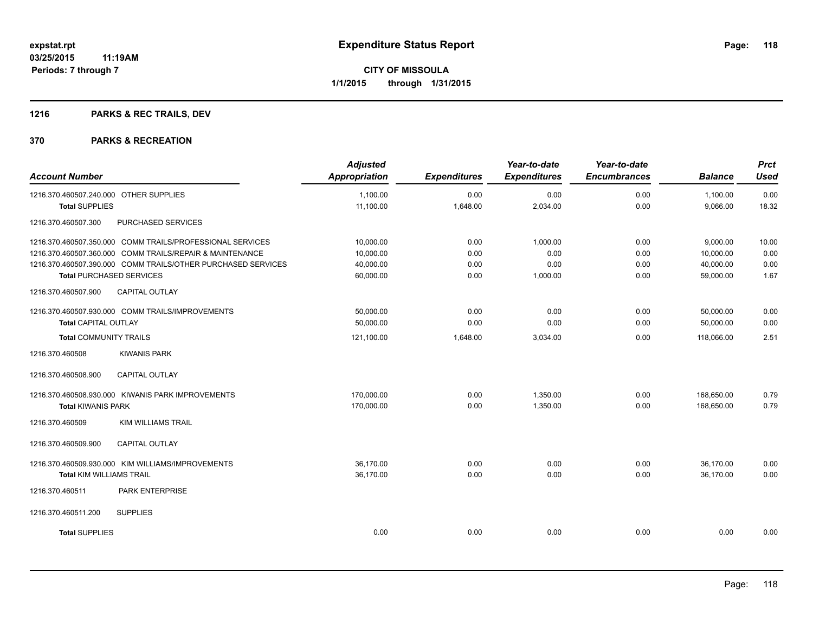# **1216 PARKS & REC TRAILS, DEV**

| <b>Account Number</b>                                        | <b>Adjusted</b><br><b>Appropriation</b> | <b>Expenditures</b> | Year-to-date<br><b>Expenditures</b> | Year-to-date<br><b>Encumbrances</b> | <b>Balance</b> | <b>Prct</b><br><b>Used</b> |
|--------------------------------------------------------------|-----------------------------------------|---------------------|-------------------------------------|-------------------------------------|----------------|----------------------------|
| 1216.370.460507.240.000 OTHER SUPPLIES                       | 1,100.00                                | 0.00                | 0.00                                | 0.00                                | 1,100.00       | 0.00                       |
| <b>Total SUPPLIES</b>                                        | 11,100.00                               | 1,648.00            | 2,034.00                            | 0.00                                | 9,066.00       | 18.32                      |
| 1216.370.460507.300<br>PURCHASED SERVICES                    |                                         |                     |                                     |                                     |                |                            |
| 1216.370.460507.350.000 COMM TRAILS/PROFESSIONAL SERVICES    | 10,000.00                               | 0.00                | 1,000.00                            | 0.00                                | 9,000.00       | 10.00                      |
| 1216.370.460507.360.000 COMM TRAILS/REPAIR & MAINTENANCE     | 10,000.00                               | 0.00                | 0.00                                | 0.00                                | 10,000.00      | 0.00                       |
| 1216.370.460507.390.000 COMM TRAILS/OTHER PURCHASED SERVICES | 40,000.00                               | 0.00                | 0.00                                | 0.00                                | 40,000.00      | 0.00                       |
| <b>Total PURCHASED SERVICES</b>                              | 60,000.00                               | 0.00                | 1,000.00                            | 0.00                                | 59,000.00      | 1.67                       |
| <b>CAPITAL OUTLAY</b><br>1216.370.460507.900                 |                                         |                     |                                     |                                     |                |                            |
| 1216.370.460507.930.000 COMM TRAILS/IMPROVEMENTS             | 50,000.00                               | 0.00                | 0.00                                | 0.00                                | 50,000.00      | 0.00                       |
| <b>Total CAPITAL OUTLAY</b>                                  | 50,000.00                               | 0.00                | 0.00                                | 0.00                                | 50,000.00      | 0.00                       |
| <b>Total COMMUNITY TRAILS</b>                                | 121,100.00                              | 1,648.00            | 3,034.00                            | 0.00                                | 118.066.00     | 2.51                       |
| 1216.370.460508<br><b>KIWANIS PARK</b>                       |                                         |                     |                                     |                                     |                |                            |
| 1216.370.460508.900<br><b>CAPITAL OUTLAY</b>                 |                                         |                     |                                     |                                     |                |                            |
| 1216.370.460508.930.000 KIWANIS PARK IMPROVEMENTS            | 170,000.00                              | 0.00                | 1,350.00                            | 0.00                                | 168,650.00     | 0.79                       |
| <b>Total KIWANIS PARK</b>                                    | 170,000.00                              | 0.00                | 1,350.00                            | 0.00                                | 168.650.00     | 0.79                       |
| 1216.370.460509<br><b>KIM WILLIAMS TRAIL</b>                 |                                         |                     |                                     |                                     |                |                            |
| <b>CAPITAL OUTLAY</b><br>1216.370.460509.900                 |                                         |                     |                                     |                                     |                |                            |
| 1216.370.460509.930.000 KIM WILLIAMS/IMPROVEMENTS            | 36,170.00                               | 0.00                | 0.00                                | 0.00                                | 36,170.00      | 0.00                       |
| <b>Total KIM WILLIAMS TRAIL</b>                              | 36,170.00                               | 0.00                | 0.00                                | 0.00                                | 36.170.00      | 0.00                       |
| 1216.370.460511<br>PARK ENTERPRISE                           |                                         |                     |                                     |                                     |                |                            |
| 1216.370.460511.200<br><b>SUPPLIES</b>                       |                                         |                     |                                     |                                     |                |                            |
| <b>Total SUPPLIES</b>                                        | 0.00                                    | 0.00                | 0.00                                | 0.00                                | 0.00           | 0.00                       |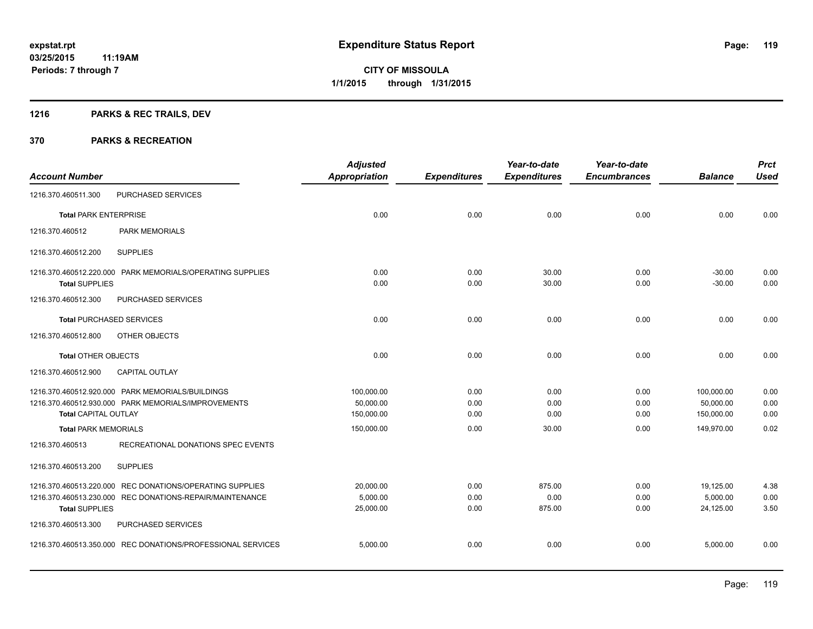# **1216 PARKS & REC TRAILS, DEV**

|                              |                                                             | <b>Adjusted</b>      |                     | Year-to-date        | Year-to-date        |                | <b>Prct</b> |
|------------------------------|-------------------------------------------------------------|----------------------|---------------------|---------------------|---------------------|----------------|-------------|
| <b>Account Number</b>        |                                                             | <b>Appropriation</b> | <b>Expenditures</b> | <b>Expenditures</b> | <b>Encumbrances</b> | <b>Balance</b> | <b>Used</b> |
| 1216.370.460511.300          | PURCHASED SERVICES                                          |                      |                     |                     |                     |                |             |
| <b>Total PARK ENTERPRISE</b> |                                                             | 0.00                 | 0.00                | 0.00                | 0.00                | 0.00           | 0.00        |
| 1216.370.460512              | <b>PARK MEMORIALS</b>                                       |                      |                     |                     |                     |                |             |
| 1216.370.460512.200          | <b>SUPPLIES</b>                                             |                      |                     |                     |                     |                |             |
|                              | 1216.370.460512.220.000 PARK MEMORIALS/OPERATING SUPPLIES   | 0.00                 | 0.00                | 30.00               | 0.00                | $-30.00$       | 0.00        |
| <b>Total SUPPLIES</b>        |                                                             | 0.00                 | 0.00                | 30.00               | 0.00                | $-30.00$       | 0.00        |
| 1216.370.460512.300          | PURCHASED SERVICES                                          |                      |                     |                     |                     |                |             |
|                              | <b>Total PURCHASED SERVICES</b>                             | 0.00                 | 0.00                | 0.00                | 0.00                | 0.00           | 0.00        |
| 1216.370.460512.800          | OTHER OBJECTS                                               |                      |                     |                     |                     |                |             |
| <b>Total OTHER OBJECTS</b>   |                                                             | 0.00                 | 0.00                | 0.00                | 0.00                | 0.00           | 0.00        |
| 1216.370.460512.900          | <b>CAPITAL OUTLAY</b>                                       |                      |                     |                     |                     |                |             |
|                              | 1216.370.460512.920.000 PARK MEMORIALS/BUILDINGS            | 100,000.00           | 0.00                | 0.00                | 0.00                | 100,000.00     | 0.00        |
|                              | 1216.370.460512.930.000 PARK MEMORIALS/IMPROVEMENTS         | 50,000.00            | 0.00                | 0.00                | 0.00                | 50,000.00      | 0.00        |
| <b>Total CAPITAL OUTLAY</b>  |                                                             | 150,000.00           | 0.00                | 0.00                | 0.00                | 150,000.00     | 0.00        |
| <b>Total PARK MEMORIALS</b>  |                                                             | 150,000.00           | 0.00                | 30.00               | 0.00                | 149.970.00     | 0.02        |
| 1216.370.460513              | RECREATIONAL DONATIONS SPEC EVENTS                          |                      |                     |                     |                     |                |             |
| 1216.370.460513.200          | <b>SUPPLIES</b>                                             |                      |                     |                     |                     |                |             |
|                              | 1216.370.460513.220.000 REC DONATIONS/OPERATING SUPPLIES    | 20,000.00            | 0.00                | 875.00              | 0.00                | 19,125.00      | 4.38        |
|                              | 1216.370.460513.230.000 REC DONATIONS-REPAIR/MAINTENANCE    | 5,000.00             | 0.00                | 0.00                | 0.00                | 5,000.00       | 0.00        |
| <b>Total SUPPLIES</b>        |                                                             | 25,000.00            | 0.00                | 875.00              | 0.00                | 24,125.00      | 3.50        |
| 1216.370.460513.300          | PURCHASED SERVICES                                          |                      |                     |                     |                     |                |             |
|                              | 1216.370.460513.350.000 REC DONATIONS/PROFESSIONAL SERVICES | 5,000.00             | 0.00                | 0.00                | 0.00                | 5,000.00       | 0.00        |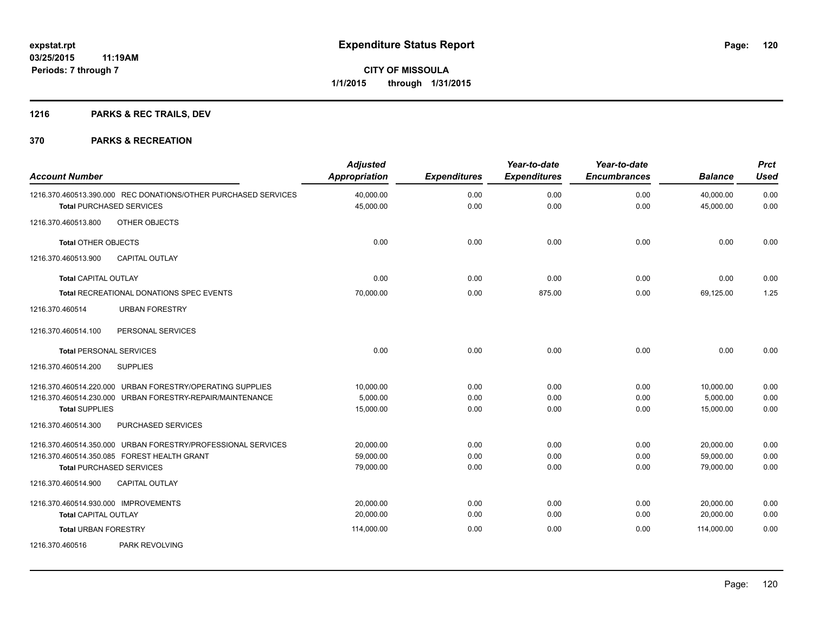# **1216 PARKS & REC TRAILS, DEV**

| <b>Account Number</b>                                                                             | <b>Adjusted</b><br><b>Appropriation</b> | <b>Expenditures</b> | Year-to-date<br><b>Expenditures</b> | Year-to-date<br><b>Encumbrances</b> | <b>Balance</b>         | <b>Prct</b><br><b>Used</b> |
|---------------------------------------------------------------------------------------------------|-----------------------------------------|---------------------|-------------------------------------|-------------------------------------|------------------------|----------------------------|
| 1216.370.460513.390.000 REC DONATIONS/OTHER PURCHASED SERVICES<br><b>Total PURCHASED SERVICES</b> | 40,000.00<br>45,000.00                  | 0.00<br>0.00        | 0.00<br>0.00                        | 0.00<br>0.00                        | 40,000.00<br>45,000.00 | 0.00<br>0.00               |
| OTHER OBJECTS<br>1216.370.460513.800                                                              |                                         |                     |                                     |                                     |                        |                            |
| <b>Total OTHER OBJECTS</b>                                                                        | 0.00                                    | 0.00                | 0.00                                | 0.00                                | 0.00                   | 0.00                       |
| 1216.370.460513.900<br><b>CAPITAL OUTLAY</b>                                                      |                                         |                     |                                     |                                     |                        |                            |
| <b>Total CAPITAL OUTLAY</b>                                                                       | 0.00                                    | 0.00                | 0.00                                | 0.00                                | 0.00                   | 0.00                       |
| Total RECREATIONAL DONATIONS SPEC EVENTS                                                          | 70,000.00                               | 0.00                | 875.00                              | 0.00                                | 69,125.00              | 1.25                       |
| 1216.370.460514<br><b>URBAN FORESTRY</b>                                                          |                                         |                     |                                     |                                     |                        |                            |
| 1216.370.460514.100<br>PERSONAL SERVICES                                                          |                                         |                     |                                     |                                     |                        |                            |
| <b>Total PERSONAL SERVICES</b>                                                                    | 0.00                                    | 0.00                | 0.00                                | 0.00                                | 0.00                   | 0.00                       |
| <b>SUPPLIES</b><br>1216.370.460514.200                                                            |                                         |                     |                                     |                                     |                        |                            |
| 1216.370.460514.220.000 URBAN FORESTRY/OPERATING SUPPLIES                                         | 10.000.00                               | 0.00                | 0.00                                | 0.00                                | 10,000.00              | 0.00                       |
| 1216.370.460514.230.000 URBAN FORESTRY-REPAIR/MAINTENANCE                                         | 5.000.00                                | 0.00                | 0.00                                | 0.00                                | 5.000.00               | 0.00                       |
| <b>Total SUPPLIES</b>                                                                             | 15,000.00                               | 0.00                | 0.00                                | 0.00                                | 15,000.00              | 0.00                       |
| PURCHASED SERVICES<br>1216.370.460514.300                                                         |                                         |                     |                                     |                                     |                        |                            |
| 1216.370.460514.350.000 URBAN FORESTRY/PROFESSIONAL SERVICES                                      | 20,000.00                               | 0.00                | 0.00                                | 0.00                                | 20,000.00              | 0.00                       |
| 1216.370.460514.350.085 FOREST HEALTH GRANT                                                       | 59,000.00                               | 0.00                | 0.00                                | 0.00                                | 59,000.00              | 0.00                       |
| <b>Total PURCHASED SERVICES</b>                                                                   | 79,000.00                               | 0.00                | 0.00                                | 0.00                                | 79,000.00              | 0.00                       |
| 1216.370.460514.900<br><b>CAPITAL OUTLAY</b>                                                      |                                         |                     |                                     |                                     |                        |                            |
| 1216.370.460514.930.000 IMPROVEMENTS                                                              | 20.000.00                               | 0.00                | 0.00                                | 0.00                                | 20,000.00              | 0.00                       |
| <b>Total CAPITAL OUTLAY</b>                                                                       | 20,000.00                               | 0.00                | 0.00                                | 0.00                                | 20,000.00              | 0.00                       |
| <b>Total URBAN FORESTRY</b>                                                                       | 114,000.00                              | 0.00                | 0.00                                | 0.00                                | 114,000.00             | 0.00                       |
| 1216.370.460516<br>PARK REVOLVING                                                                 |                                         |                     |                                     |                                     |                        |                            |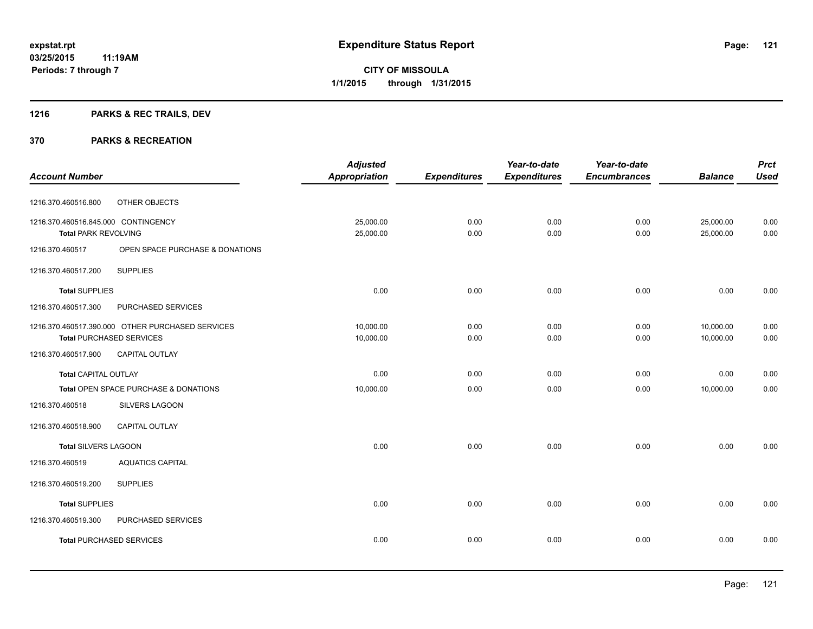# **1216 PARKS & REC TRAILS, DEV**

|                                     |                                                  | <b>Adjusted</b>      |                     | Year-to-date        | Year-to-date        |                | <b>Prct</b> |
|-------------------------------------|--------------------------------------------------|----------------------|---------------------|---------------------|---------------------|----------------|-------------|
| <b>Account Number</b>               |                                                  | <b>Appropriation</b> | <b>Expenditures</b> | <b>Expenditures</b> | <b>Encumbrances</b> | <b>Balance</b> | <b>Used</b> |
| 1216.370.460516.800                 | OTHER OBJECTS                                    |                      |                     |                     |                     |                |             |
| 1216.370.460516.845.000 CONTINGENCY |                                                  | 25,000.00            | 0.00                | 0.00                | 0.00                | 25,000.00      | 0.00        |
| <b>Total PARK REVOLVING</b>         |                                                  | 25,000.00            | 0.00                | 0.00                | 0.00                | 25,000.00      | 0.00        |
| 1216.370.460517                     | OPEN SPACE PURCHASE & DONATIONS                  |                      |                     |                     |                     |                |             |
| 1216.370.460517.200                 | <b>SUPPLIES</b>                                  |                      |                     |                     |                     |                |             |
| <b>Total SUPPLIES</b>               |                                                  | 0.00                 | 0.00                | 0.00                | 0.00                | 0.00           | 0.00        |
| 1216.370.460517.300                 | PURCHASED SERVICES                               |                      |                     |                     |                     |                |             |
|                                     | 1216.370.460517.390.000 OTHER PURCHASED SERVICES | 10,000.00            | 0.00                | 0.00                | 0.00                | 10,000.00      | 0.00        |
|                                     | <b>Total PURCHASED SERVICES</b>                  | 10,000.00            | 0.00                | 0.00                | 0.00                | 10,000.00      | 0.00        |
| 1216.370.460517.900                 | CAPITAL OUTLAY                                   |                      |                     |                     |                     |                |             |
| <b>Total CAPITAL OUTLAY</b>         |                                                  | 0.00                 | 0.00                | 0.00                | 0.00                | 0.00           | 0.00        |
|                                     | Total OPEN SPACE PURCHASE & DONATIONS            | 10,000.00            | 0.00                | 0.00                | 0.00                | 10,000.00      | 0.00        |
| 1216.370.460518                     | SILVERS LAGOON                                   |                      |                     |                     |                     |                |             |
| 1216.370.460518.900                 | CAPITAL OUTLAY                                   |                      |                     |                     |                     |                |             |
| <b>Total SILVERS LAGOON</b>         |                                                  | 0.00                 | 0.00                | 0.00                | 0.00                | 0.00           | 0.00        |
| 1216.370.460519                     | <b>AQUATICS CAPITAL</b>                          |                      |                     |                     |                     |                |             |
| 1216.370.460519.200                 | <b>SUPPLIES</b>                                  |                      |                     |                     |                     |                |             |
| <b>Total SUPPLIES</b>               |                                                  | 0.00                 | 0.00                | 0.00                | 0.00                | 0.00           | 0.00        |
| 1216.370.460519.300                 | PURCHASED SERVICES                               |                      |                     |                     |                     |                |             |
|                                     | <b>Total PURCHASED SERVICES</b>                  | 0.00                 | 0.00                | 0.00                | 0.00                | 0.00           | 0.00        |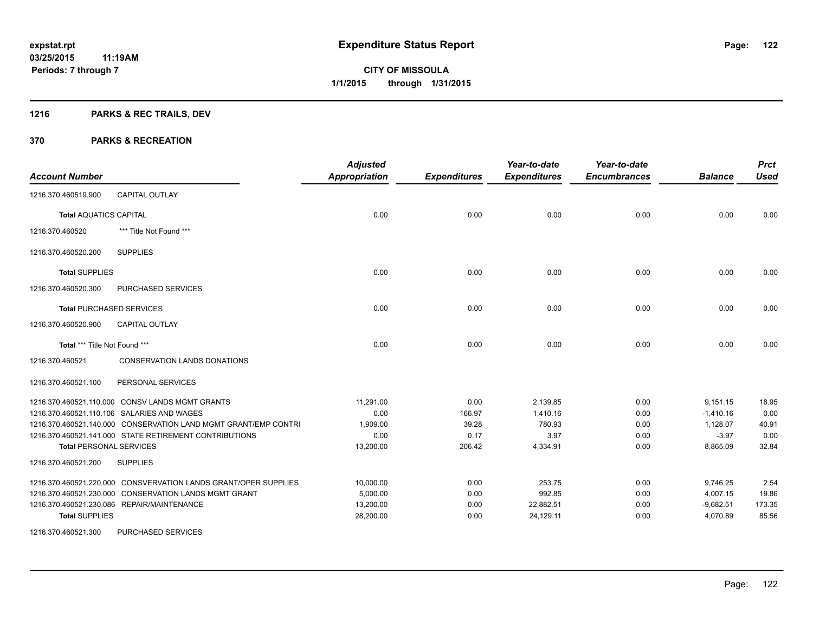# **1216 PARKS & REC TRAILS, DEV**

| <b>Account Number</b>           |                                                                 | <b>Adjusted</b><br>Appropriation | <b>Expenditures</b> | Year-to-date<br><b>Expenditures</b> | Year-to-date<br><b>Encumbrances</b> | <b>Balance</b> | <b>Prct</b><br><b>Used</b> |
|---------------------------------|-----------------------------------------------------------------|----------------------------------|---------------------|-------------------------------------|-------------------------------------|----------------|----------------------------|
| 1216.370.460519.900             | <b>CAPITAL OUTLAY</b>                                           |                                  |                     |                                     |                                     |                |                            |
| <b>Total AQUATICS CAPITAL</b>   |                                                                 | 0.00                             | 0.00                | 0.00                                | 0.00                                | 0.00           | 0.00                       |
| 1216.370.460520                 | *** Title Not Found ***                                         |                                  |                     |                                     |                                     |                |                            |
| 1216.370.460520.200             | <b>SUPPLIES</b>                                                 |                                  |                     |                                     |                                     |                |                            |
| <b>Total SUPPLIES</b>           |                                                                 | 0.00                             | 0.00                | 0.00                                | 0.00                                | 0.00           | 0.00                       |
| 1216.370.460520.300             | PURCHASED SERVICES                                              |                                  |                     |                                     |                                     |                |                            |
| <b>Total PURCHASED SERVICES</b> |                                                                 | 0.00                             | 0.00                | 0.00                                | 0.00                                | 0.00           | 0.00                       |
| 1216.370.460520.900             | <b>CAPITAL OUTLAY</b>                                           |                                  |                     |                                     |                                     |                |                            |
| Total *** Title Not Found ***   |                                                                 | 0.00                             | 0.00                | 0.00                                | 0.00                                | 0.00           | 0.00                       |
| 1216.370.460521                 | <b>CONSERVATION LANDS DONATIONS</b>                             |                                  |                     |                                     |                                     |                |                            |
| 1216.370.460521.100             | PERSONAL SERVICES                                               |                                  |                     |                                     |                                     |                |                            |
|                                 | 1216.370.460521.110.000 CONSV LANDS MGMT GRANTS                 | 11,291.00                        | 0.00                | 2,139.85                            | 0.00                                | 9,151.15       | 18.95                      |
|                                 | 1216.370.460521.110.106 SALARIES AND WAGES                      | 0.00                             | 166.97              | 1,410.16                            | 0.00                                | $-1,410.16$    | 0.00                       |
|                                 | 1216.370.460521.140.000 CONSERVATION LAND MGMT GRANT/EMP CONTRI | 1.909.00                         | 39.28               | 780.93                              | 0.00                                | 1,128.07       | 40.91                      |
|                                 | 1216.370.460521.141.000 STATE RETIREMENT CONTRIBUTIONS          | 0.00                             | 0.17                | 3.97                                | 0.00                                | $-3.97$        | 0.00                       |
| <b>Total PERSONAL SERVICES</b>  |                                                                 | 13,200.00                        | 206.42              | 4,334.91                            | 0.00                                | 8,865.09       | 32.84                      |
| 1216.370.460521.200             | <b>SUPPLIES</b>                                                 |                                  |                     |                                     |                                     |                |                            |
|                                 | 1216.370.460521.220.000 CONSVERVATION LANDS GRANT/OPER SUPPLIES | 10,000.00                        | 0.00                | 253.75                              | 0.00                                | 9,746.25       | 2.54                       |
|                                 | 1216.370.460521.230.000 CONSERVATION LANDS MGMT GRANT           | 5,000.00                         | 0.00                | 992.85                              | 0.00                                | 4,007.15       | 19.86                      |
|                                 | 1216.370.460521.230.086 REPAIR/MAINTENANCE                      | 13,200.00                        | 0.00                | 22,882.51                           | 0.00                                | $-9,682.51$    | 173.35                     |
| <b>Total SUPPLIES</b>           |                                                                 | 28,200.00                        | 0.00                | 24,129.11                           | 0.00                                | 4,070.89       | 85.56                      |
| 1216.370.460521.300             | <b>PURCHASED SERVICES</b>                                       |                                  |                     |                                     |                                     |                |                            |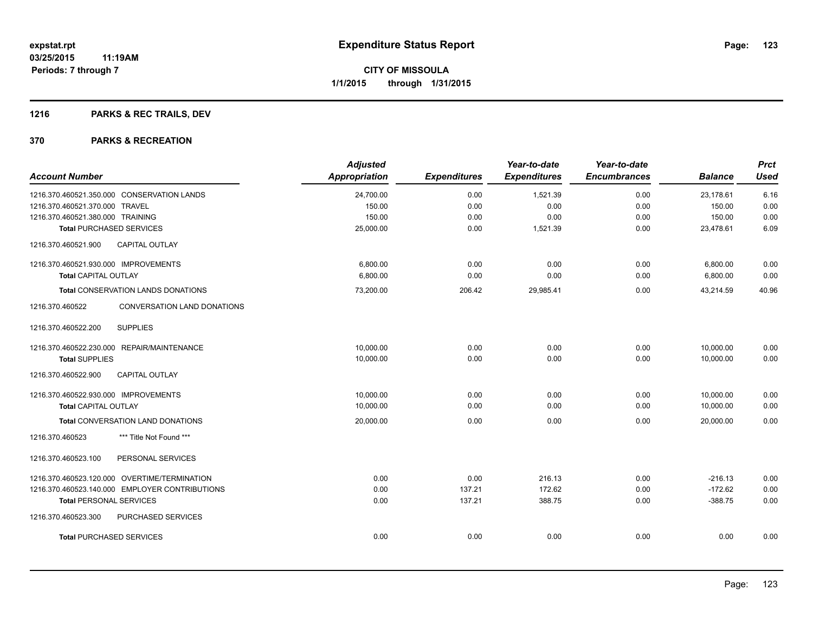# **1216 PARKS & REC TRAILS, DEV**

| <b>Account Number</b>                          | <b>Adjusted</b><br>Appropriation | <b>Expenditures</b> | Year-to-date<br><b>Expenditures</b> | Year-to-date<br><b>Encumbrances</b> | <b>Balance</b> | <b>Prct</b><br><b>Used</b> |
|------------------------------------------------|----------------------------------|---------------------|-------------------------------------|-------------------------------------|----------------|----------------------------|
| 1216.370.460521.350.000 CONSERVATION LANDS     | 24,700.00                        | 0.00                | 1,521.39                            | 0.00                                | 23,178.61      | 6.16                       |
| 1216.370.460521.370.000 TRAVEL                 | 150.00                           | 0.00                | 0.00                                | 0.00                                | 150.00         | 0.00                       |
| 1216.370.460521.380.000 TRAINING               | 150.00                           | 0.00                | 0.00                                | 0.00                                | 150.00         | 0.00                       |
| <b>Total PURCHASED SERVICES</b>                | 25,000.00                        | 0.00                | 1,521.39                            | 0.00                                | 23,478.61      | 6.09                       |
| CAPITAL OUTLAY<br>1216.370.460521.900          |                                  |                     |                                     |                                     |                |                            |
| 1216.370.460521.930.000 IMPROVEMENTS           | 6,800.00                         | 0.00                | 0.00                                | 0.00                                | 6,800.00       | 0.00                       |
| Total CAPITAL OUTLAY                           | 6,800.00                         | 0.00                | 0.00                                | 0.00                                | 6,800.00       | 0.00                       |
| Total CONSERVATION LANDS DONATIONS             | 73,200.00                        | 206.42              | 29,985.41                           | 0.00                                | 43,214.59      | 40.96                      |
| 1216.370.460522<br>CONVERSATION LAND DONATIONS |                                  |                     |                                     |                                     |                |                            |
| 1216.370.460522.200<br><b>SUPPLIES</b>         |                                  |                     |                                     |                                     |                |                            |
| 1216.370.460522.230.000 REPAIR/MAINTENANCE     | 10,000.00                        | 0.00                | 0.00                                | 0.00                                | 10,000.00      | 0.00                       |
| <b>Total SUPPLIES</b>                          | 10,000.00                        | 0.00                | 0.00                                | 0.00                                | 10,000.00      | 0.00                       |
| 1216.370.460522.900<br><b>CAPITAL OUTLAY</b>   |                                  |                     |                                     |                                     |                |                            |
| 1216.370.460522.930.000 IMPROVEMENTS           | 10.000.00                        | 0.00                | 0.00                                | 0.00                                | 10,000.00      | 0.00                       |
| <b>Total CAPITAL OUTLAY</b>                    | 10,000.00                        | 0.00                | 0.00                                | 0.00                                | 10,000.00      | 0.00                       |
| <b>Total CONVERSATION LAND DONATIONS</b>       | 20,000.00                        | 0.00                | 0.00                                | 0.00                                | 20,000.00      | 0.00                       |
| *** Title Not Found ***<br>1216.370.460523     |                                  |                     |                                     |                                     |                |                            |
| 1216.370.460523.100<br>PERSONAL SERVICES       |                                  |                     |                                     |                                     |                |                            |
| 1216.370.460523.120.000 OVERTIME/TERMINATION   | 0.00                             | 0.00                | 216.13                              | 0.00                                | $-216.13$      | 0.00                       |
| 1216.370.460523.140.000 EMPLOYER CONTRIBUTIONS | 0.00                             | 137.21              | 172.62                              | 0.00                                | $-172.62$      | 0.00                       |
| <b>Total PERSONAL SERVICES</b>                 | 0.00                             | 137.21              | 388.75                              | 0.00                                | $-388.75$      | 0.00                       |
| 1216.370.460523.300<br>PURCHASED SERVICES      |                                  |                     |                                     |                                     |                |                            |
| <b>Total PURCHASED SERVICES</b>                | 0.00                             | 0.00                | 0.00                                | 0.00                                | 0.00           | 0.00                       |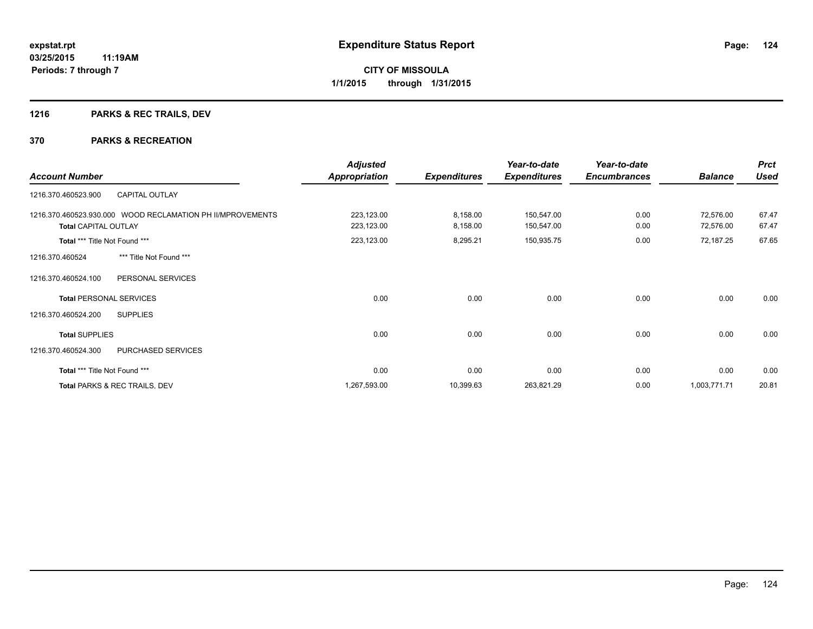# **1216 PARKS & REC TRAILS, DEV**

|                                                            | <b>Adjusted</b>      |                     | Year-to-date        | Year-to-date        |                | <b>Prct</b> |
|------------------------------------------------------------|----------------------|---------------------|---------------------|---------------------|----------------|-------------|
| <b>Account Number</b>                                      | <b>Appropriation</b> | <b>Expenditures</b> | <b>Expenditures</b> | <b>Encumbrances</b> | <b>Balance</b> | <b>Used</b> |
| <b>CAPITAL OUTLAY</b><br>1216.370.460523.900               |                      |                     |                     |                     |                |             |
| 1216.370.460523.930.000 WOOD RECLAMATION PH II/MPROVEMENTS | 223,123.00           | 8,158.00            | 150,547.00          | 0.00                | 72,576.00      | 67.47       |
| <b>Total CAPITAL OUTLAY</b>                                | 223,123.00           | 8,158.00            | 150,547.00          | 0.00                | 72,576.00      | 67.47       |
| Total *** Title Not Found ***                              | 223,123.00           | 8,295.21            | 150,935.75          | 0.00                | 72,187.25      | 67.65       |
| *** Title Not Found ***<br>1216.370.460524                 |                      |                     |                     |                     |                |             |
| 1216.370.460524.100<br>PERSONAL SERVICES                   |                      |                     |                     |                     |                |             |
| <b>Total PERSONAL SERVICES</b>                             | 0.00                 | 0.00                | 0.00                | 0.00                | 0.00           | 0.00        |
| 1216.370.460524.200<br><b>SUPPLIES</b>                     |                      |                     |                     |                     |                |             |
| <b>Total SUPPLIES</b>                                      | 0.00                 | 0.00                | 0.00                | 0.00                | 0.00           | 0.00        |
| 1216.370.460524.300<br>PURCHASED SERVICES                  |                      |                     |                     |                     |                |             |
| Total *** Title Not Found ***                              | 0.00                 | 0.00                | 0.00                | 0.00                | 0.00           | 0.00        |
| Total PARKS & REC TRAILS, DEV                              | 1,267,593.00         | 10,399.63           | 263,821.29          | 0.00                | 1,003,771.71   | 20.81       |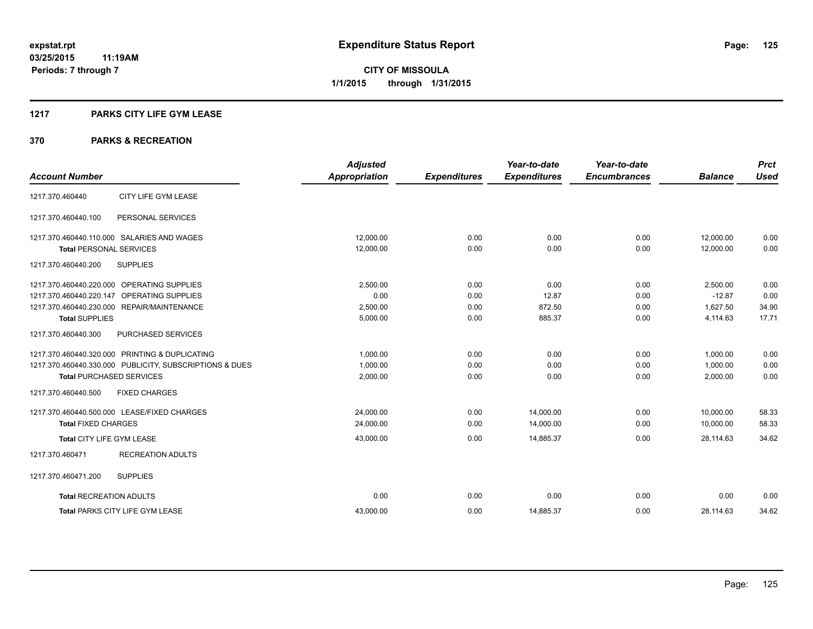## **1217 PARKS CITY LIFE GYM LEASE**

|                                                         | <b>Adjusted</b>      |                     | Year-to-date        | Year-to-date        |                | <b>Prct</b> |
|---------------------------------------------------------|----------------------|---------------------|---------------------|---------------------|----------------|-------------|
| <b>Account Number</b>                                   | <b>Appropriation</b> | <b>Expenditures</b> | <b>Expenditures</b> | <b>Encumbrances</b> | <b>Balance</b> | <b>Used</b> |
| CITY LIFE GYM LEASE<br>1217.370.460440                  |                      |                     |                     |                     |                |             |
| 1217.370.460440.100<br>PERSONAL SERVICES                |                      |                     |                     |                     |                |             |
| 1217.370.460440.110.000 SALARIES AND WAGES              | 12,000.00            | 0.00                | 0.00                | 0.00                | 12,000.00      | 0.00        |
| <b>Total PERSONAL SERVICES</b>                          | 12,000.00            | 0.00                | 0.00                | 0.00                | 12.000.00      | 0.00        |
| 1217.370.460440.200<br><b>SUPPLIES</b>                  |                      |                     |                     |                     |                |             |
| 1217.370.460440.220.000 OPERATING SUPPLIES              | 2,500.00             | 0.00                | 0.00                | 0.00                | 2,500.00       | 0.00        |
| OPERATING SUPPLIES<br>1217.370.460440.220.147           | 0.00                 | 0.00                | 12.87               | 0.00                | $-12.87$       | 0.00        |
| 1217.370.460440.230.000 REPAIR/MAINTENANCE              | 2,500.00             | 0.00                | 872.50              | 0.00                | 1,627.50       | 34.90       |
| <b>Total SUPPLIES</b>                                   | 5,000.00             | 0.00                | 885.37              | 0.00                | 4,114.63       | 17.71       |
| 1217.370.460440.300<br><b>PURCHASED SERVICES</b>        |                      |                     |                     |                     |                |             |
| 1217.370.460440.320.000 PRINTING & DUPLICATING          | 1,000.00             | 0.00                | 0.00                | 0.00                | 1.000.00       | 0.00        |
| 1217.370.460440.330.000 PUBLICITY, SUBSCRIPTIONS & DUES | 1,000.00             | 0.00                | 0.00                | 0.00                | 1,000.00       | 0.00        |
| <b>Total PURCHASED SERVICES</b>                         | 2,000.00             | 0.00                | 0.00                | 0.00                | 2,000.00       | 0.00        |
| 1217.370.460440.500<br><b>FIXED CHARGES</b>             |                      |                     |                     |                     |                |             |
| 1217.370.460440.500.000 LEASE/FIXED CHARGES             | 24,000.00            | 0.00                | 14,000.00           | 0.00                | 10,000.00      | 58.33       |
| <b>Total FIXED CHARGES</b>                              | 24,000.00            | 0.00                | 14,000.00           | 0.00                | 10,000.00      | 58.33       |
| <b>Total CITY LIFE GYM LEASE</b>                        | 43,000.00            | 0.00                | 14,885.37           | 0.00                | 28,114.63      | 34.62       |
| 1217.370.460471<br><b>RECREATION ADULTS</b>             |                      |                     |                     |                     |                |             |
| 1217.370.460471.200<br><b>SUPPLIES</b>                  |                      |                     |                     |                     |                |             |
| <b>Total RECREATION ADULTS</b>                          | 0.00                 | 0.00                | 0.00                | 0.00                | 0.00           | 0.00        |
| <b>Total PARKS CITY LIFE GYM LEASE</b>                  | 43,000.00            | 0.00                | 14,885.37           | 0.00                | 28,114.63      | 34.62       |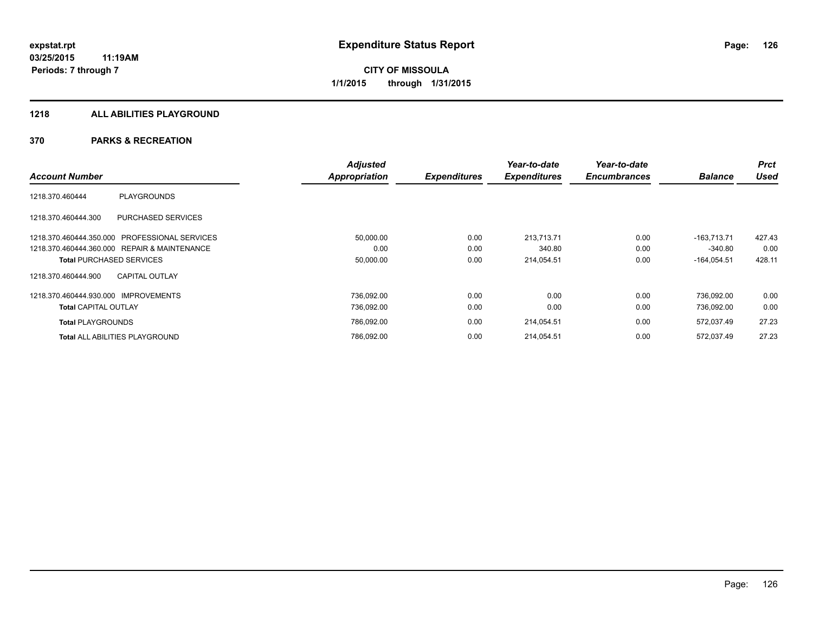## **1218 ALL ABILITIES PLAYGROUND**

|                                                  | <b>Adjusted</b>      |                     | Year-to-date        | Year-to-date        |                | <b>Prct</b> |
|--------------------------------------------------|----------------------|---------------------|---------------------|---------------------|----------------|-------------|
| <b>Account Number</b>                            | <b>Appropriation</b> | <b>Expenditures</b> | <b>Expenditures</b> | <b>Encumbrances</b> | <b>Balance</b> | <b>Used</b> |
| <b>PLAYGROUNDS</b><br>1218.370.460444            |                      |                     |                     |                     |                |             |
| <b>PURCHASED SERVICES</b><br>1218.370.460444.300 |                      |                     |                     |                     |                |             |
| 1218.370.460444.350.000 PROFESSIONAL SERVICES    | 50,000.00            | 0.00                | 213.713.71          | 0.00                | $-163.713.71$  | 427.43      |
| 1218.370.460444.360.000 REPAIR & MAINTENANCE     | 0.00                 | 0.00                | 340.80              | 0.00                | $-340.80$      | 0.00        |
| <b>Total PURCHASED SERVICES</b>                  | 50,000.00            | 0.00                | 214,054.51          | 0.00                | $-164,054.51$  | 428.11      |
| <b>CAPITAL OUTLAY</b><br>1218.370.460444.900     |                      |                     |                     |                     |                |             |
| 1218.370.460444.930.000 IMPROVEMENTS             | 736,092.00           | 0.00                | 0.00                | 0.00                | 736.092.00     | 0.00        |
| <b>Total CAPITAL OUTLAY</b>                      | 736,092.00           | 0.00                | 0.00                | 0.00                | 736,092.00     | 0.00        |
| <b>Total PLAYGROUNDS</b>                         | 786,092.00           | 0.00                | 214,054.51          | 0.00                | 572,037.49     | 27.23       |
| <b>Total ALL ABILITIES PLAYGROUND</b>            | 786,092.00           | 0.00                | 214,054.51          | 0.00                | 572,037.49     | 27.23       |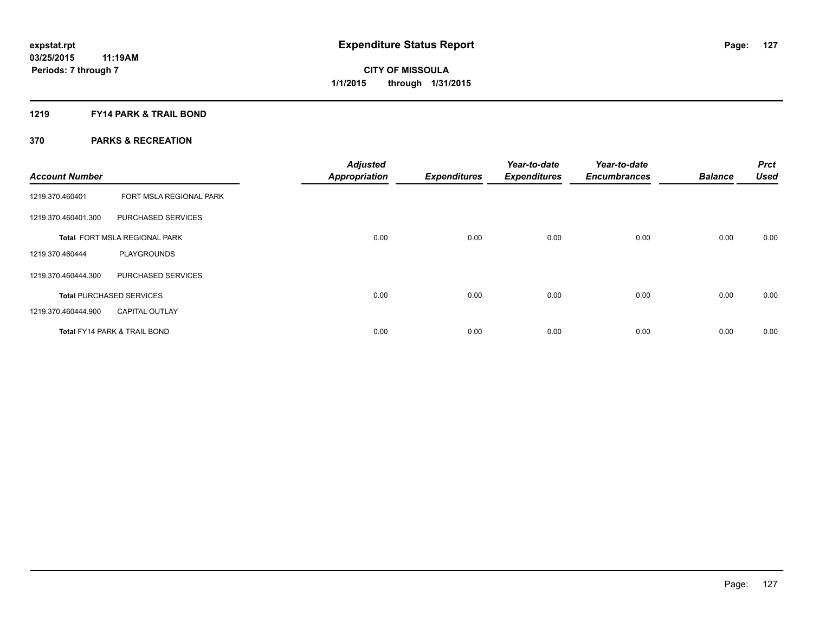## **1219 FY14 PARK & TRAIL BOND**

| <b>Account Number</b> |                                         | <b>Adjusted</b><br><b>Appropriation</b> | <b>Expenditures</b> | Year-to-date<br><b>Expenditures</b> | Year-to-date<br><b>Encumbrances</b> | <b>Balance</b> | Prct<br><b>Used</b> |
|-----------------------|-----------------------------------------|-----------------------------------------|---------------------|-------------------------------------|-------------------------------------|----------------|---------------------|
| 1219.370.460401       | FORT MSLA REGIONAL PARK                 |                                         |                     |                                     |                                     |                |                     |
| 1219.370.460401.300   | PURCHASED SERVICES                      |                                         |                     |                                     |                                     |                |                     |
|                       | <b>Total FORT MSLA REGIONAL PARK</b>    | 0.00                                    | 0.00                | 0.00                                | 0.00                                | 0.00           | 0.00                |
| 1219.370.460444       | <b>PLAYGROUNDS</b>                      |                                         |                     |                                     |                                     |                |                     |
| 1219.370.460444.300   | PURCHASED SERVICES                      |                                         |                     |                                     |                                     |                |                     |
|                       | <b>Total PURCHASED SERVICES</b>         | 0.00                                    | 0.00                | 0.00                                | 0.00                                | 0.00           | 0.00                |
| 1219.370.460444.900   | <b>CAPITAL OUTLAY</b>                   |                                         |                     |                                     |                                     |                |                     |
|                       | <b>Total FY14 PARK &amp; TRAIL BOND</b> | 0.00                                    | 0.00                | 0.00                                | 0.00                                | 0.00           | 0.00                |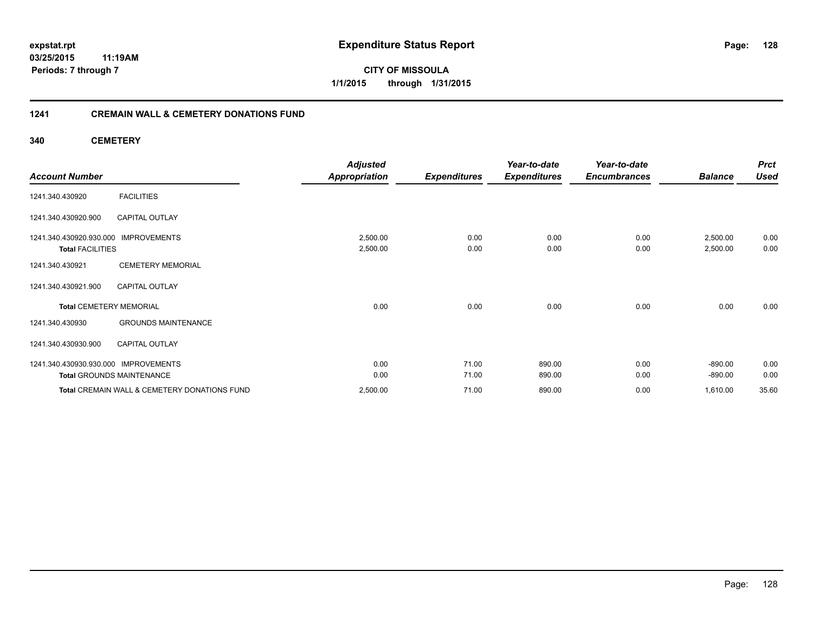**03/25/2015 11:19AM Periods: 7 through 7**

**CITY OF MISSOULA 1/1/2015 through 1/31/2015**

## **1241 CREMAIN WALL & CEMETERY DONATIONS FUND**

**340 CEMETERY**

|                                                    |                                              | <b>Adjusted</b>      |                     | Year-to-date        | Year-to-date        |                      | <b>Prct</b>  |
|----------------------------------------------------|----------------------------------------------|----------------------|---------------------|---------------------|---------------------|----------------------|--------------|
| <b>Account Number</b>                              |                                              | <b>Appropriation</b> | <b>Expenditures</b> | <b>Expenditures</b> | <b>Encumbrances</b> | <b>Balance</b>       | <b>Used</b>  |
| 1241.340.430920                                    | <b>FACILITIES</b>                            |                      |                     |                     |                     |                      |              |
| 1241.340.430920.900                                | <b>CAPITAL OUTLAY</b>                        |                      |                     |                     |                     |                      |              |
| 1241.340.430920.930.000<br><b>Total FACILITIES</b> | <b>IMPROVEMENTS</b>                          | 2,500.00<br>2,500.00 | 0.00<br>0.00        | 0.00<br>0.00        | 0.00<br>0.00        | 2,500.00<br>2,500.00 | 0.00<br>0.00 |
| 1241.340.430921                                    | <b>CEMETERY MEMORIAL</b>                     |                      |                     |                     |                     |                      |              |
| 1241.340.430921.900                                | <b>CAPITAL OUTLAY</b>                        |                      |                     |                     |                     |                      |              |
| <b>Total CEMETERY MEMORIAL</b>                     |                                              | 0.00                 | 0.00                | 0.00                | 0.00                | 0.00                 | 0.00         |
| 1241.340.430930                                    | <b>GROUNDS MAINTENANCE</b>                   |                      |                     |                     |                     |                      |              |
| 1241.340.430930.900                                | <b>CAPITAL OUTLAY</b>                        |                      |                     |                     |                     |                      |              |
| 1241.340.430930.930.000 IMPROVEMENTS               |                                              | 0.00                 | 71.00               | 890.00              | 0.00                | $-890.00$            | 0.00         |
|                                                    | <b>Total GROUNDS MAINTENANCE</b>             | 0.00                 | 71.00               | 890.00              | 0.00                | $-890.00$            | 0.00         |
|                                                    | Total CREMAIN WALL & CEMETERY DONATIONS FUND | 2,500.00             | 71.00               | 890.00              | 0.00                | 1,610.00             | 35.60        |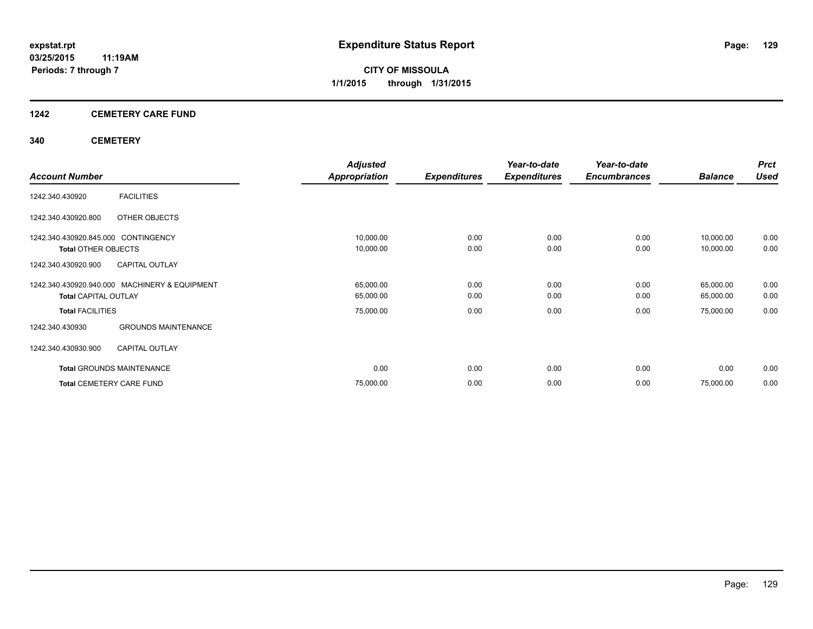## **1242 CEMETERY CARE FUND**

## **340 CEMETERY**

|                                     |                                               | <b>Adjusted</b>      |                     | Year-to-date        | Year-to-date        |                | <b>Prct</b> |
|-------------------------------------|-----------------------------------------------|----------------------|---------------------|---------------------|---------------------|----------------|-------------|
| <b>Account Number</b>               |                                               | <b>Appropriation</b> | <b>Expenditures</b> | <b>Expenditures</b> | <b>Encumbrances</b> | <b>Balance</b> | <b>Used</b> |
| 1242.340.430920                     | <b>FACILITIES</b>                             |                      |                     |                     |                     |                |             |
| 1242.340.430920.800                 | OTHER OBJECTS                                 |                      |                     |                     |                     |                |             |
| 1242.340.430920.845.000 CONTINGENCY |                                               | 10,000.00            | 0.00                | 0.00                | 0.00                | 10,000.00      | 0.00        |
| <b>Total OTHER OBJECTS</b>          |                                               | 10,000.00            | 0.00                | 0.00                | 0.00                | 10,000.00      | 0.00        |
| 1242.340.430920.900                 | <b>CAPITAL OUTLAY</b>                         |                      |                     |                     |                     |                |             |
|                                     | 1242.340.430920.940.000 MACHINERY & EQUIPMENT | 65,000.00            | 0.00                | 0.00                | 0.00                | 65,000.00      | 0.00        |
| <b>Total CAPITAL OUTLAY</b>         |                                               | 65,000.00            | 0.00                | 0.00                | 0.00                | 65,000.00      | 0.00        |
| <b>Total FACILITIES</b>             |                                               | 75,000.00            | 0.00                | 0.00                | 0.00                | 75,000.00      | 0.00        |
| 1242.340.430930                     | <b>GROUNDS MAINTENANCE</b>                    |                      |                     |                     |                     |                |             |
| 1242.340.430930.900                 | <b>CAPITAL OUTLAY</b>                         |                      |                     |                     |                     |                |             |
| <b>Total GROUNDS MAINTENANCE</b>    |                                               | 0.00                 | 0.00                | 0.00                | 0.00                | 0.00           | 0.00        |
| <b>Total CEMETERY CARE FUND</b>     |                                               | 75,000.00            | 0.00                | 0.00                | 0.00                | 75,000.00      | 0.00        |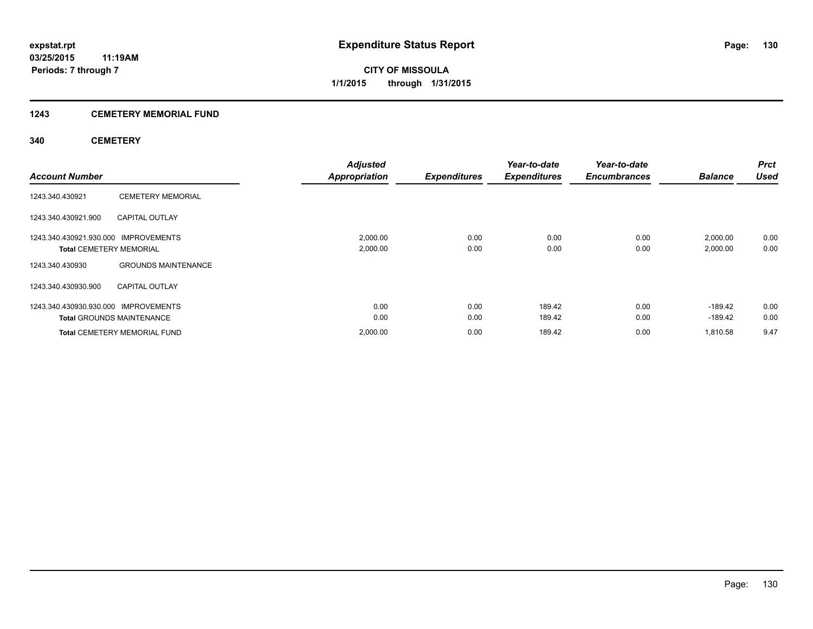## **1243 CEMETERY MEMORIAL FUND**

## **340 CEMETERY**

| <b>Account Number</b>                                                  |                                                                         | <b>Adjusted</b><br><b>Appropriation</b> | <b>Expenditures</b> | Year-to-date<br><b>Expenditures</b> | Year-to-date<br><b>Encumbrances</b> | <b>Balance</b>        | <b>Prct</b><br><b>Used</b> |
|------------------------------------------------------------------------|-------------------------------------------------------------------------|-----------------------------------------|---------------------|-------------------------------------|-------------------------------------|-----------------------|----------------------------|
| 1243.340.430921                                                        | <b>CEMETERY MEMORIAL</b>                                                |                                         |                     |                                     |                                     |                       |                            |
| 1243.340.430921.900                                                    | <b>CAPITAL OUTLAY</b>                                                   |                                         |                     |                                     |                                     |                       |                            |
| 1243.340.430921.930.000 IMPROVEMENTS<br><b>Total CEMETERY MEMORIAL</b> |                                                                         | 2,000.00<br>2,000.00                    | 0.00<br>0.00        | 0.00<br>0.00                        | 0.00<br>0.00                        | 2,000.00<br>2,000.00  | 0.00<br>0.00               |
| 1243.340.430930<br>1243.340.430930.900                                 | <b>GROUNDS MAINTENANCE</b><br><b>CAPITAL OUTLAY</b>                     |                                         |                     |                                     |                                     |                       |                            |
| 1243.340.430930.930.000 IMPROVEMENTS                                   |                                                                         | 0.00                                    | 0.00                | 189.42                              | 0.00                                | $-189.42$             | 0.00                       |
|                                                                        | <b>Total GROUNDS MAINTENANCE</b><br><b>Total CEMETERY MEMORIAL FUND</b> | 0.00<br>2,000.00                        | 0.00<br>0.00        | 189.42<br>189.42                    | 0.00<br>0.00                        | $-189.42$<br>1.810.58 | 0.00<br>9.47               |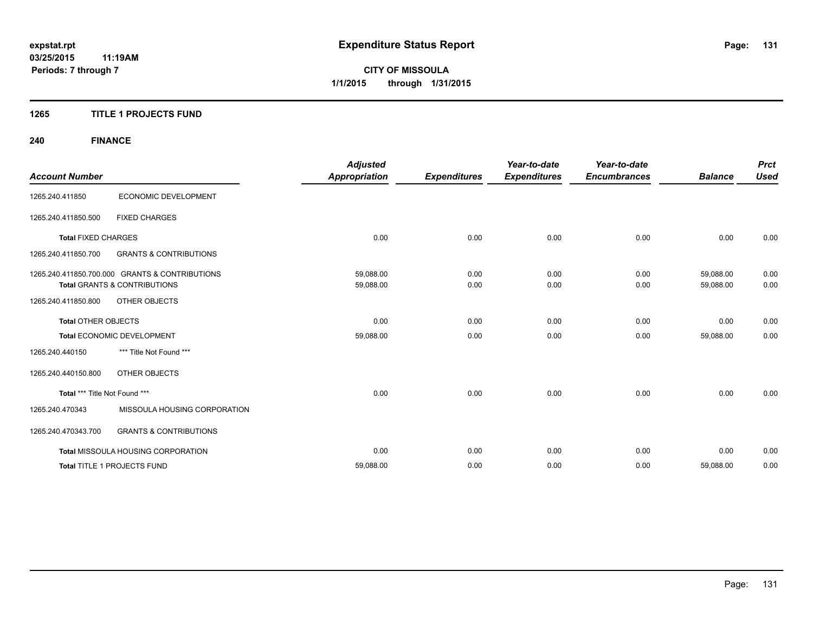## **1265 TITLE 1 PROJECTS FUND**

# **240 FINANCE**

| <b>Account Number</b>         |                                                                                           | <b>Adjusted</b><br><b>Appropriation</b> | <b>Expenditures</b> | Year-to-date<br><b>Expenditures</b> | Year-to-date<br><b>Encumbrances</b> | <b>Balance</b>         | <b>Prct</b><br><b>Used</b> |
|-------------------------------|-------------------------------------------------------------------------------------------|-----------------------------------------|---------------------|-------------------------------------|-------------------------------------|------------------------|----------------------------|
| 1265.240.411850               | ECONOMIC DEVELOPMENT                                                                      |                                         |                     |                                     |                                     |                        |                            |
| 1265.240.411850.500           | <b>FIXED CHARGES</b>                                                                      |                                         |                     |                                     |                                     |                        |                            |
| <b>Total FIXED CHARGES</b>    |                                                                                           | 0.00                                    | 0.00                | 0.00                                | 0.00                                | 0.00                   | 0.00                       |
| 1265.240.411850.700           | <b>GRANTS &amp; CONTRIBUTIONS</b>                                                         |                                         |                     |                                     |                                     |                        |                            |
|                               | 1265.240.411850.700.000 GRANTS & CONTRIBUTIONS<br><b>Total GRANTS &amp; CONTRIBUTIONS</b> | 59,088.00<br>59,088.00                  | 0.00<br>0.00        | 0.00<br>0.00                        | 0.00<br>0.00                        | 59,088.00<br>59,088.00 | 0.00<br>0.00               |
| 1265.240.411850.800           | <b>OTHER OBJECTS</b>                                                                      |                                         |                     |                                     |                                     |                        |                            |
| <b>Total OTHER OBJECTS</b>    |                                                                                           | 0.00                                    | 0.00                | 0.00                                | 0.00                                | 0.00                   | 0.00                       |
|                               | Total ECONOMIC DEVELOPMENT                                                                | 59,088.00                               | 0.00                | 0.00                                | 0.00                                | 59,088.00              | 0.00                       |
| 1265.240.440150               | *** Title Not Found ***                                                                   |                                         |                     |                                     |                                     |                        |                            |
| 1265.240.440150.800           | OTHER OBJECTS                                                                             |                                         |                     |                                     |                                     |                        |                            |
| Total *** Title Not Found *** |                                                                                           | 0.00                                    | 0.00                | 0.00                                | 0.00                                | 0.00                   | 0.00                       |
| 1265.240.470343               | MISSOULA HOUSING CORPORATION                                                              |                                         |                     |                                     |                                     |                        |                            |
| 1265.240.470343.700           | <b>GRANTS &amp; CONTRIBUTIONS</b>                                                         |                                         |                     |                                     |                                     |                        |                            |
|                               | <b>Total MISSOULA HOUSING CORPORATION</b>                                                 | 0.00                                    | 0.00                | 0.00                                | 0.00                                | 0.00                   | 0.00                       |
|                               | Total TITLE 1 PROJECTS FUND                                                               | 59,088.00                               | 0.00                | 0.00                                | 0.00                                | 59,088.00              | 0.00                       |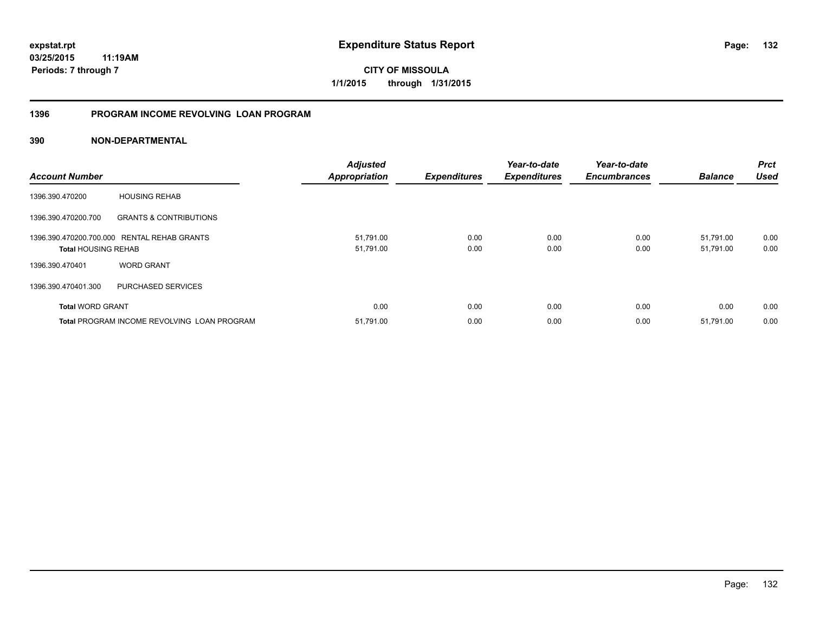## **1396 PROGRAM INCOME REVOLVING LOAN PROGRAM**

| <b>Account Number</b>      |                                                    | <b>Adjusted</b><br>Appropriation | <b>Expenditures</b> | Year-to-date<br><b>Expenditures</b> | Year-to-date<br><b>Encumbrances</b> | <b>Balance</b>         | <b>Prct</b><br><b>Used</b> |
|----------------------------|----------------------------------------------------|----------------------------------|---------------------|-------------------------------------|-------------------------------------|------------------------|----------------------------|
| 1396.390.470200            | <b>HOUSING REHAB</b>                               |                                  |                     |                                     |                                     |                        |                            |
| 1396.390.470200.700        | <b>GRANTS &amp; CONTRIBUTIONS</b>                  |                                  |                     |                                     |                                     |                        |                            |
| <b>Total HOUSING REHAB</b> | 1396.390.470200.700.000 RENTAL REHAB GRANTS        | 51,791.00<br>51,791.00           | 0.00<br>0.00        | 0.00<br>0.00                        | 0.00<br>0.00                        | 51.791.00<br>51,791.00 | 0.00<br>0.00               |
| 1396.390.470401            | <b>WORD GRANT</b>                                  |                                  |                     |                                     |                                     |                        |                            |
| 1396.390.470401.300        | PURCHASED SERVICES                                 |                                  |                     |                                     |                                     |                        |                            |
| <b>Total WORD GRANT</b>    |                                                    | 0.00                             | 0.00                | 0.00                                | 0.00                                | 0.00                   | 0.00                       |
|                            | <b>Total PROGRAM INCOME REVOLVING LOAN PROGRAM</b> | 51,791.00                        | 0.00                | 0.00                                | 0.00                                | 51,791.00              | 0.00                       |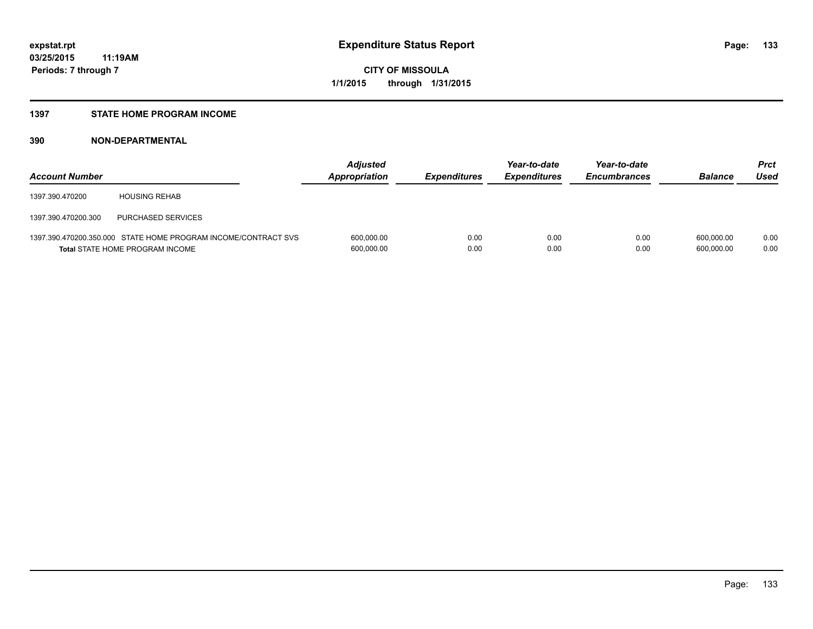## **1397 STATE HOME PROGRAM INCOME**

| <b>Account Number</b> |                                                                                                   | <b>Adjusted</b><br>Appropriation | <b>Expenditures</b> | Year-to-date<br><b>Expenditures</b> | Year-to-date<br><b>Encumbrances</b> | <b>Balance</b>           | <b>Prct</b><br>Used |
|-----------------------|---------------------------------------------------------------------------------------------------|----------------------------------|---------------------|-------------------------------------|-------------------------------------|--------------------------|---------------------|
| 1397.390.470200       | <b>HOUSING REHAB</b>                                                                              |                                  |                     |                                     |                                     |                          |                     |
| 1397.390.470200.300   | <b>PURCHASED SERVICES</b>                                                                         |                                  |                     |                                     |                                     |                          |                     |
|                       | 1397.390.470200.350.000 STATE HOME PROGRAM INCOME/CONTRACT SVS<br>Total STATE HOME PROGRAM INCOME | 600,000.00<br>600,000.00         | 0.00<br>0.00        | 0.00<br>0.00                        | 0.00<br>0.00                        | 600.000.00<br>600,000.00 | 0.00<br>0.00        |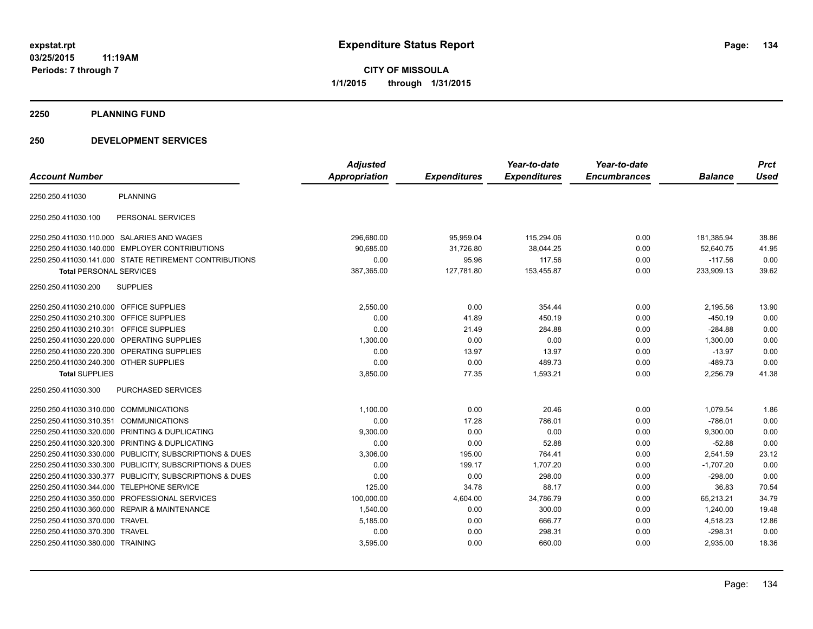**2250 PLANNING FUND**

## **250 DEVELOPMENT SERVICES**

| <b>Account Number</b>                     |                                                         | <b>Adjusted</b><br>Appropriation | <b>Expenditures</b> | Year-to-date<br><b>Expenditures</b> | Year-to-date<br><b>Encumbrances</b> | <b>Balance</b> | <b>Prct</b><br><b>Used</b> |
|-------------------------------------------|---------------------------------------------------------|----------------------------------|---------------------|-------------------------------------|-------------------------------------|----------------|----------------------------|
|                                           |                                                         |                                  |                     |                                     |                                     |                |                            |
| 2250.250.411030                           | <b>PLANNING</b>                                         |                                  |                     |                                     |                                     |                |                            |
| 2250.250.411030.100                       | PERSONAL SERVICES                                       |                                  |                     |                                     |                                     |                |                            |
|                                           | 2250.250.411030.110.000 SALARIES AND WAGES              | 296,680.00                       | 95,959.04           | 115,294.06                          | 0.00                                | 181,385.94     | 38.86                      |
|                                           | 2250.250.411030.140.000 EMPLOYER CONTRIBUTIONS          | 90,685.00                        | 31,726.80           | 38,044.25                           | 0.00                                | 52,640.75      | 41.95                      |
|                                           | 2250.250.411030.141.000 STATE RETIREMENT CONTRIBUTIONS  | 0.00                             | 95.96               | 117.56                              | 0.00                                | $-117.56$      | 0.00                       |
| <b>Total PERSONAL SERVICES</b>            |                                                         | 387,365.00                       | 127,781.80          | 153,455.87                          | 0.00                                | 233,909.13     | 39.62                      |
| 2250.250.411030.200                       | <b>SUPPLIES</b>                                         |                                  |                     |                                     |                                     |                |                            |
| 2250.250.411030.210.000 OFFICE SUPPLIES   |                                                         | 2,550.00                         | 0.00                | 354.44                              | 0.00                                | 2,195.56       | 13.90                      |
| 2250.250.411030.210.300 OFFICE SUPPLIES   |                                                         | 0.00                             | 41.89               | 450.19                              | 0.00                                | $-450.19$      | 0.00                       |
| 2250.250.411030.210.301 OFFICE SUPPLIES   |                                                         | 0.00                             | 21.49               | 284.88                              | 0.00                                | $-284.88$      | 0.00                       |
|                                           | 2250.250.411030.220.000 OPERATING SUPPLIES              | 1,300.00                         | 0.00                | 0.00                                | 0.00                                | 1,300.00       | 0.00                       |
|                                           | 2250.250.411030.220.300 OPERATING SUPPLIES              | 0.00                             | 13.97               | 13.97                               | 0.00                                | $-13.97$       | 0.00                       |
| 2250.250.411030.240.300 OTHER SUPPLIES    |                                                         | 0.00                             | 0.00                | 489.73                              | 0.00                                | $-489.73$      | 0.00                       |
| <b>Total SUPPLIES</b>                     |                                                         | 3,850.00                         | 77.35               | 1,593.21                            | 0.00                                | 2,256.79       | 41.38                      |
| 2250.250.411030.300                       | <b>PURCHASED SERVICES</b>                               |                                  |                     |                                     |                                     |                |                            |
| 2250.250.411030.310.000 COMMUNICATIONS    |                                                         | 1,100.00                         | 0.00                | 20.46                               | 0.00                                | 1,079.54       | 1.86                       |
| 2250.250.411030.310.351 COMMUNICATIONS    |                                                         | 0.00                             | 17.28               | 786.01                              | 0.00                                | $-786.01$      | 0.00                       |
|                                           | 2250.250.411030.320.000 PRINTING & DUPLICATING          | 9,300.00                         | 0.00                | 0.00                                | 0.00                                | 9,300.00       | 0.00                       |
|                                           | 2250.250.411030.320.300 PRINTING & DUPLICATING          | 0.00                             | 0.00                | 52.88                               | 0.00                                | $-52.88$       | 0.00                       |
|                                           | 2250.250.411030.330.000 PUBLICITY, SUBSCRIPTIONS & DUES | 3,306.00                         | 195.00              | 764.41                              | 0.00                                | 2,541.59       | 23.12                      |
|                                           | 2250.250.411030.330.300 PUBLICITY, SUBSCRIPTIONS & DUES | 0.00                             | 199.17              | 1.707.20                            | 0.00                                | $-1.707.20$    | 0.00                       |
|                                           | 2250.250.411030.330.377 PUBLICITY, SUBSCRIPTIONS & DUES | 0.00                             | 0.00                | 298.00                              | 0.00                                | $-298.00$      | 0.00                       |
| 2250.250.411030.344.000 TELEPHONE SERVICE |                                                         | 125.00                           | 34.78               | 88.17                               | 0.00                                | 36.83          | 70.54                      |
|                                           | 2250.250.411030.350.000 PROFESSIONAL SERVICES           | 100,000.00                       | 4,604.00            | 34,786.79                           | 0.00                                | 65,213.21      | 34.79                      |
|                                           | 2250.250.411030.360.000 REPAIR & MAINTENANCE            | 1,540.00                         | 0.00                | 300.00                              | 0.00                                | 1,240.00       | 19.48                      |
| 2250.250.411030.370.000 TRAVEL            |                                                         | 5,185.00                         | 0.00                | 666.77                              | 0.00                                | 4,518.23       | 12.86                      |
| 2250.250.411030.370.300 TRAVEL            |                                                         | 0.00                             | 0.00                | 298.31                              | 0.00                                | $-298.31$      | 0.00                       |
| 2250.250.411030.380.000 TRAINING          |                                                         | 3,595.00                         | 0.00                | 660.00                              | 0.00                                | 2,935.00       | 18.36                      |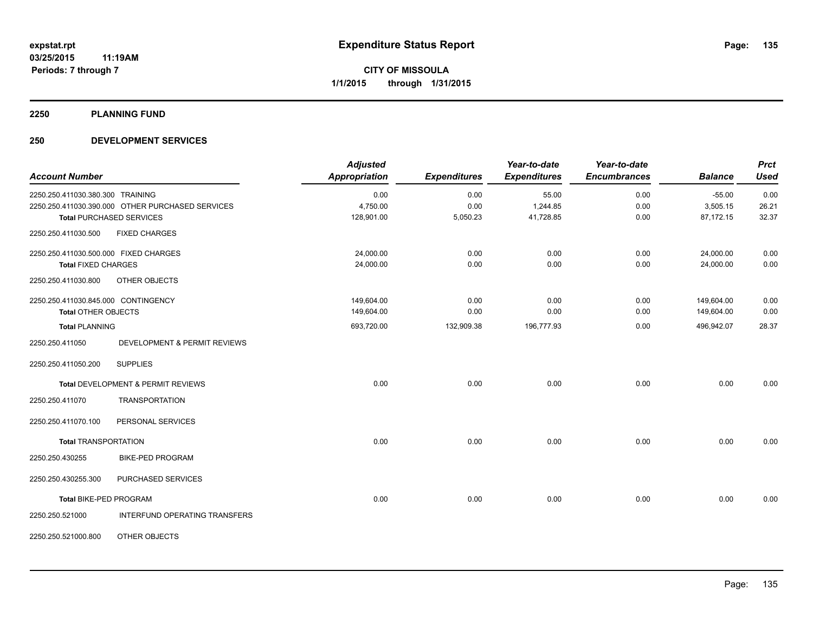**2250 PLANNING FUND**

## **250 DEVELOPMENT SERVICES**

| <b>Account Number</b>                 |                                                  | <b>Adjusted</b><br><b>Appropriation</b> | <b>Expenditures</b> | Year-to-date<br><b>Expenditures</b> | Year-to-date<br><b>Encumbrances</b> | <b>Balance</b> | <b>Prct</b><br><b>Used</b> |
|---------------------------------------|--------------------------------------------------|-----------------------------------------|---------------------|-------------------------------------|-------------------------------------|----------------|----------------------------|
| 2250.250.411030.380.300 TRAINING      |                                                  | 0.00                                    | 0.00                | 55.00                               | 0.00                                | $-55.00$       | 0.00                       |
|                                       | 2250.250.411030.390.000 OTHER PURCHASED SERVICES | 4,750.00                                | 0.00                | 1,244.85                            | 0.00                                | 3,505.15       | 26.21                      |
|                                       | <b>Total PURCHASED SERVICES</b>                  | 128,901.00                              | 5,050.23            | 41,728.85                           | 0.00                                | 87,172.15      | 32.37                      |
| 2250.250.411030.500                   | <b>FIXED CHARGES</b>                             |                                         |                     |                                     |                                     |                |                            |
| 2250.250.411030.500.000 FIXED CHARGES |                                                  | 24,000.00                               | 0.00                | 0.00                                | 0.00                                | 24,000.00      | 0.00                       |
| <b>Total FIXED CHARGES</b>            |                                                  | 24,000.00                               | 0.00                | 0.00                                | 0.00                                | 24,000.00      | 0.00                       |
| 2250.250.411030.800                   | OTHER OBJECTS                                    |                                         |                     |                                     |                                     |                |                            |
| 2250.250.411030.845.000 CONTINGENCY   |                                                  | 149,604.00                              | 0.00                | 0.00                                | 0.00                                | 149,604.00     | 0.00                       |
| <b>Total OTHER OBJECTS</b>            |                                                  | 149,604.00                              | 0.00                | 0.00                                | 0.00                                | 149,604.00     | 0.00                       |
| <b>Total PLANNING</b>                 |                                                  | 693,720.00                              | 132,909.38          | 196,777.93                          | 0.00                                | 496,942.07     | 28.37                      |
| 2250.250.411050                       | <b>DEVELOPMENT &amp; PERMIT REVIEWS</b>          |                                         |                     |                                     |                                     |                |                            |
| 2250.250.411050.200                   | <b>SUPPLIES</b>                                  |                                         |                     |                                     |                                     |                |                            |
|                                       | Total DEVELOPMENT & PERMIT REVIEWS               | 0.00                                    | 0.00                | 0.00                                | 0.00                                | 0.00           | 0.00                       |
| 2250.250.411070                       | <b>TRANSPORTATION</b>                            |                                         |                     |                                     |                                     |                |                            |
| 2250.250.411070.100                   | PERSONAL SERVICES                                |                                         |                     |                                     |                                     |                |                            |
| <b>Total TRANSPORTATION</b>           |                                                  | 0.00                                    | 0.00                | 0.00                                | 0.00                                | 0.00           | 0.00                       |
| 2250.250.430255                       | <b>BIKE-PED PROGRAM</b>                          |                                         |                     |                                     |                                     |                |                            |
| 2250.250.430255.300                   | PURCHASED SERVICES                               |                                         |                     |                                     |                                     |                |                            |
| Total BIKE-PED PROGRAM                |                                                  | 0.00                                    | 0.00                | 0.00                                | 0.00                                | 0.00           | 0.00                       |
| 2250.250.521000                       | INTERFUND OPERATING TRANSFERS                    |                                         |                     |                                     |                                     |                |                            |
| 2250.250.521000.800                   | OTHER OBJECTS                                    |                                         |                     |                                     |                                     |                |                            |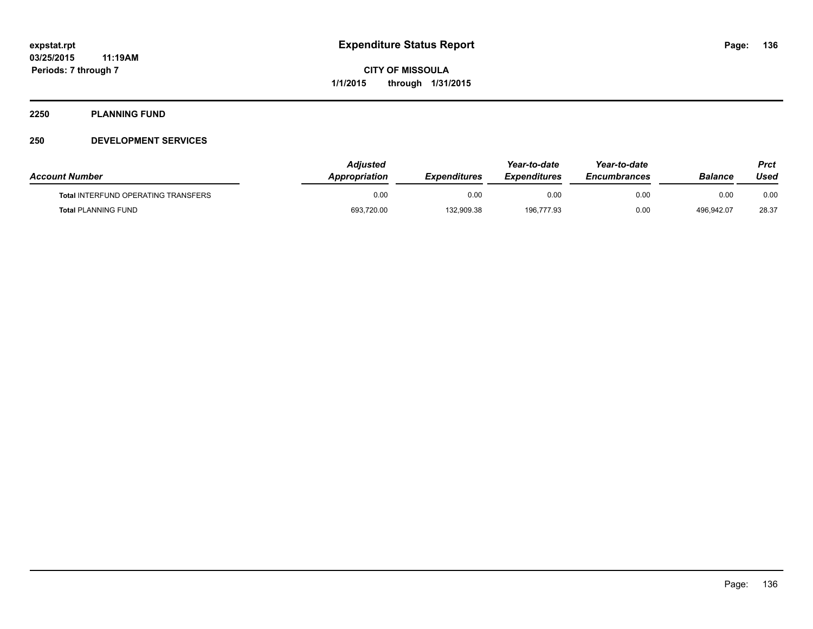## **2250 PLANNING FUND**

## **250 DEVELOPMENT SERVICES**

| <b>Account Number</b>                      | Adiusted<br><b>Appropriation</b> | <b>Expenditures</b> | Year-to-date<br><b>Expenditures</b> | Year-to-date<br><b>Encumbrances</b> | Balance    | Prct<br>Used |
|--------------------------------------------|----------------------------------|---------------------|-------------------------------------|-------------------------------------|------------|--------------|
| <b>Total INTERFUND OPERATING TRANSFERS</b> | 0.00                             | 0.00                | 0.00                                | 0.00                                | 0.00       | 0.00         |
| <b>Total PLANNING FUND</b>                 | 693,720.00                       | 132,909.38          | 196,777.93                          | 0.00                                | 496.942.07 | 28.37        |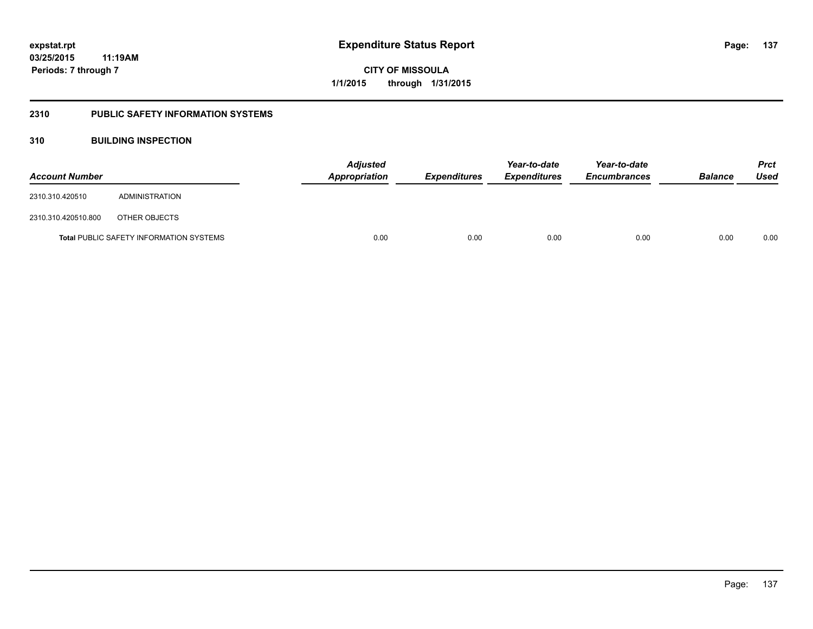## **2310 PUBLIC SAFETY INFORMATION SYSTEMS**

## **310 BUILDING INSPECTION**

| <b>Account Number</b> |                                                | <b>Appropriation</b> | <b>Adjusted</b> | <b>Expenditures</b> | Year-to-date<br><b>Expenditures</b> | Year-to-date<br><b>Encumbrances</b> | <b>Balance</b> | Prct<br><b>Used</b> |
|-----------------------|------------------------------------------------|----------------------|-----------------|---------------------|-------------------------------------|-------------------------------------|----------------|---------------------|
| 2310.310.420510       | ADMINISTRATION                                 |                      |                 |                     |                                     |                                     |                |                     |
| 2310.310.420510.800   | OTHER OBJECTS                                  |                      |                 |                     |                                     |                                     |                |                     |
|                       | <b>Total PUBLIC SAFETY INFORMATION SYSTEMS</b> |                      | 0.00            | 0.00                | 0.00                                | 0.00                                | 0.00           | 0.00                |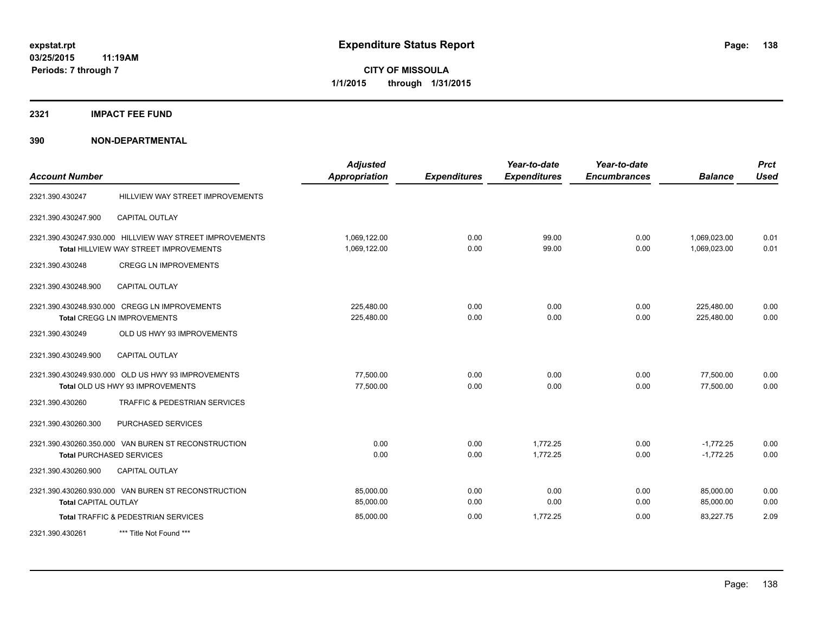## **2321 IMPACT FEE FUND**

| <b>Account Number</b>       |                                                                                                           | <b>Adjusted</b><br><b>Appropriation</b> | <b>Expenditures</b> | Year-to-date<br><b>Expenditures</b> | Year-to-date<br><b>Encumbrances</b> | <b>Balance</b>               | <b>Prct</b><br><b>Used</b> |
|-----------------------------|-----------------------------------------------------------------------------------------------------------|-----------------------------------------|---------------------|-------------------------------------|-------------------------------------|------------------------------|----------------------------|
| 2321.390.430247             | HILLVIEW WAY STREET IMPROVEMENTS                                                                          |                                         |                     |                                     |                                     |                              |                            |
| 2321.390.430247.900         | <b>CAPITAL OUTLAY</b>                                                                                     |                                         |                     |                                     |                                     |                              |                            |
|                             | 2321.390.430247.930.000 HILLVIEW WAY STREET IMPROVEMENTS<br><b>Total HILLVIEW WAY STREET IMPROVEMENTS</b> | 1,069,122.00<br>1,069,122.00            | 0.00<br>0.00        | 99.00<br>99.00                      | 0.00<br>0.00                        | 1,069,023.00<br>1.069.023.00 | 0.01<br>0.01               |
| 2321.390.430248             | <b>CREGG LN IMPROVEMENTS</b>                                                                              |                                         |                     |                                     |                                     |                              |                            |
| 2321.390.430248.900         | <b>CAPITAL OUTLAY</b>                                                                                     |                                         |                     |                                     |                                     |                              |                            |
|                             | 2321.390.430248.930.000 CREGG LN IMPROVEMENTS<br>Total CREGG LN IMPROVEMENTS                              | 225,480.00<br>225,480.00                | 0.00<br>0.00        | 0.00<br>0.00                        | 0.00<br>0.00                        | 225,480.00<br>225,480.00     | 0.00<br>0.00               |
| 2321.390.430249             | OLD US HWY 93 IMPROVEMENTS                                                                                |                                         |                     |                                     |                                     |                              |                            |
| 2321.390.430249.900         | <b>CAPITAL OUTLAY</b>                                                                                     |                                         |                     |                                     |                                     |                              |                            |
|                             | 2321.390.430249.930.000 OLD US HWY 93 IMPROVEMENTS<br>Total OLD US HWY 93 IMPROVEMENTS                    | 77.500.00<br>77,500.00                  | 0.00<br>0.00        | 0.00<br>0.00                        | 0.00<br>0.00                        | 77,500.00<br>77,500.00       | 0.00<br>0.00               |
| 2321.390.430260             | TRAFFIC & PEDESTRIAN SERVICES                                                                             |                                         |                     |                                     |                                     |                              |                            |
| 2321.390.430260.300         | PURCHASED SERVICES                                                                                        |                                         |                     |                                     |                                     |                              |                            |
|                             | 2321.390.430260.350.000 VAN BUREN ST RECONSTRUCTION<br><b>Total PURCHASED SERVICES</b>                    | 0.00<br>0.00                            | 0.00<br>0.00        | 1.772.25<br>1.772.25                | 0.00<br>0.00                        | $-1,772.25$<br>$-1.772.25$   | 0.00<br>0.00               |
| 2321.390.430260.900         | <b>CAPITAL OUTLAY</b>                                                                                     |                                         |                     |                                     |                                     |                              |                            |
| <b>Total CAPITAL OUTLAY</b> | 2321.390.430260.930.000 VAN BUREN ST RECONSTRUCTION                                                       | 85,000.00<br>85,000.00                  | 0.00<br>0.00        | 0.00<br>0.00                        | 0.00<br>0.00                        | 85,000.00<br>85,000.00       | 0.00<br>0.00               |
|                             | Total TRAFFIC & PEDESTRIAN SERVICES                                                                       | 85,000.00                               | 0.00                | 1,772.25                            | 0.00                                | 83,227.75                    | 2.09                       |
| 2321.390.430261             | *** Title Not Found ***                                                                                   |                                         |                     |                                     |                                     |                              |                            |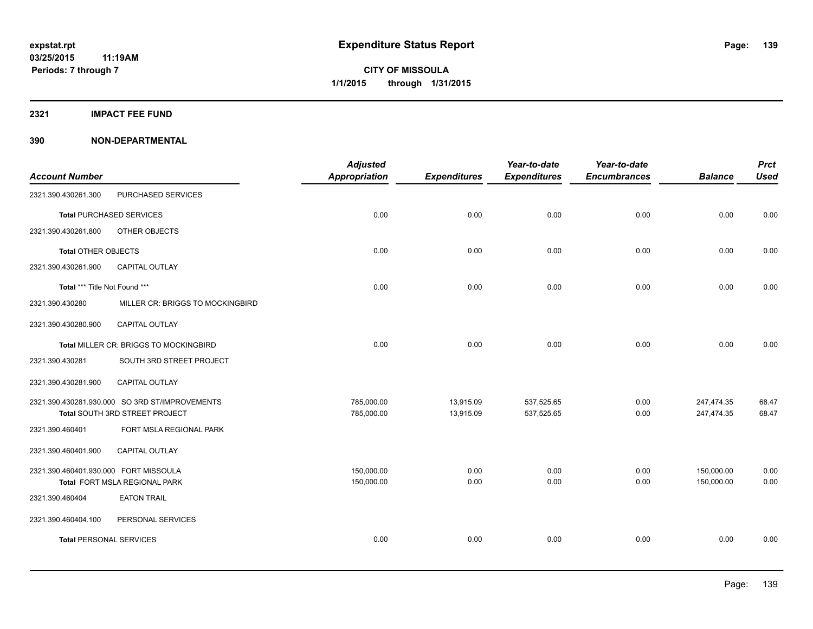**2321 IMPACT FEE FUND**

| <b>Account Number</b>                 |                                                | <b>Adjusted</b><br><b>Appropriation</b> | <b>Expenditures</b> | Year-to-date<br><b>Expenditures</b> | Year-to-date<br><b>Encumbrances</b> | <b>Balance</b> | <b>Prct</b><br><b>Used</b> |
|---------------------------------------|------------------------------------------------|-----------------------------------------|---------------------|-------------------------------------|-------------------------------------|----------------|----------------------------|
| 2321.390.430261.300                   | PURCHASED SERVICES                             |                                         |                     |                                     |                                     |                |                            |
|                                       | <b>Total PURCHASED SERVICES</b>                | 0.00                                    | 0.00                | 0.00                                | 0.00                                | 0.00           | 0.00                       |
| 2321.390.430261.800                   | OTHER OBJECTS                                  |                                         |                     |                                     |                                     |                |                            |
| <b>Total OTHER OBJECTS</b>            |                                                | 0.00                                    | 0.00                | 0.00                                | 0.00                                | 0.00           | 0.00                       |
| 2321.390.430261.900                   | CAPITAL OUTLAY                                 |                                         |                     |                                     |                                     |                |                            |
| Total *** Title Not Found ***         |                                                | 0.00                                    | 0.00                | 0.00                                | 0.00                                | 0.00           | 0.00                       |
| 2321.390.430280                       | MILLER CR: BRIGGS TO MOCKINGBIRD               |                                         |                     |                                     |                                     |                |                            |
| 2321.390.430280.900                   | <b>CAPITAL OUTLAY</b>                          |                                         |                     |                                     |                                     |                |                            |
|                                       | Total MILLER CR: BRIGGS TO MOCKINGBIRD         | 0.00                                    | 0.00                | 0.00                                | 0.00                                | 0.00           | 0.00                       |
| 2321.390.430281                       | SOUTH 3RD STREET PROJECT                       |                                         |                     |                                     |                                     |                |                            |
| 2321.390.430281.900                   | <b>CAPITAL OUTLAY</b>                          |                                         |                     |                                     |                                     |                |                            |
|                                       | 2321.390.430281.930.000 SO 3RD ST/IMPROVEMENTS | 785,000.00                              | 13,915.09           | 537,525.65                          | 0.00                                | 247,474.35     | 68.47                      |
|                                       | Total SOUTH 3RD STREET PROJECT                 | 785,000.00                              | 13,915.09           | 537,525.65                          | 0.00                                | 247,474.35     | 68.47                      |
| 2321.390.460401                       | FORT MSLA REGIONAL PARK                        |                                         |                     |                                     |                                     |                |                            |
| 2321.390.460401.900                   | CAPITAL OUTLAY                                 |                                         |                     |                                     |                                     |                |                            |
| 2321.390.460401.930.000 FORT MISSOULA |                                                | 150.000.00                              | 0.00                | 0.00                                | 0.00                                | 150,000.00     | 0.00                       |
|                                       | Total FORT MSLA REGIONAL PARK                  | 150,000.00                              | 0.00                | 0.00                                | 0.00                                | 150,000.00     | 0.00                       |
| 2321.390.460404                       | <b>EATON TRAIL</b>                             |                                         |                     |                                     |                                     |                |                            |
| 2321.390.460404.100                   | PERSONAL SERVICES                              |                                         |                     |                                     |                                     |                |                            |
| <b>Total PERSONAL SERVICES</b>        |                                                | 0.00                                    | 0.00                | 0.00                                | 0.00                                | 0.00           | 0.00                       |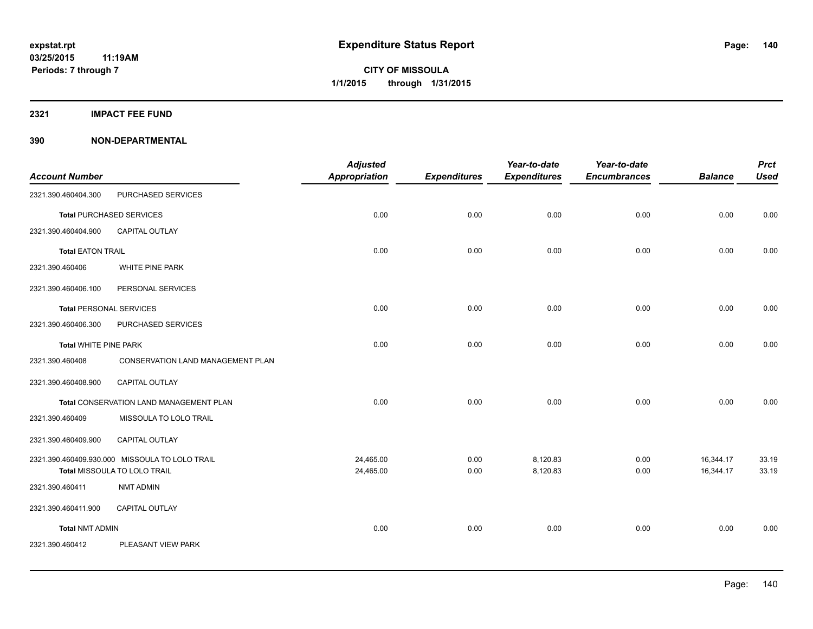**2321 IMPACT FEE FUND**

|                                |                                                                                | <b>Adjusted</b>        |                     | Year-to-date         | Year-to-date        |                        | <b>Prct</b>    |
|--------------------------------|--------------------------------------------------------------------------------|------------------------|---------------------|----------------------|---------------------|------------------------|----------------|
| <b>Account Number</b>          |                                                                                | <b>Appropriation</b>   | <b>Expenditures</b> | <b>Expenditures</b>  | <b>Encumbrances</b> | <b>Balance</b>         | <b>Used</b>    |
| 2321.390.460404.300            | PURCHASED SERVICES                                                             |                        |                     |                      |                     |                        |                |
|                                | <b>Total PURCHASED SERVICES</b>                                                | 0.00                   | 0.00                | 0.00                 | 0.00                | 0.00                   | 0.00           |
| 2321.390.460404.900            | <b>CAPITAL OUTLAY</b>                                                          |                        |                     |                      |                     |                        |                |
| <b>Total EATON TRAIL</b>       |                                                                                | 0.00                   | 0.00                | 0.00                 | 0.00                | 0.00                   | 0.00           |
| 2321.390.460406                | WHITE PINE PARK                                                                |                        |                     |                      |                     |                        |                |
| 2321.390.460406.100            | PERSONAL SERVICES                                                              |                        |                     |                      |                     |                        |                |
| <b>Total PERSONAL SERVICES</b> |                                                                                | 0.00                   | 0.00                | 0.00                 | 0.00                | 0.00                   | 0.00           |
| 2321.390.460406.300            | PURCHASED SERVICES                                                             |                        |                     |                      |                     |                        |                |
| <b>Total WHITE PINE PARK</b>   |                                                                                | 0.00                   | 0.00                | 0.00                 | 0.00                | 0.00                   | 0.00           |
| 2321.390.460408                | <b>CONSERVATION LAND MANAGEMENT PLAN</b>                                       |                        |                     |                      |                     |                        |                |
| 2321.390.460408.900            | CAPITAL OUTLAY                                                                 |                        |                     |                      |                     |                        |                |
|                                | Total CONSERVATION LAND MANAGEMENT PLAN                                        | 0.00                   | 0.00                | 0.00                 | 0.00                | 0.00                   | 0.00           |
| 2321.390.460409                | MISSOULA TO LOLO TRAIL                                                         |                        |                     |                      |                     |                        |                |
| 2321.390.460409.900            | CAPITAL OUTLAY                                                                 |                        |                     |                      |                     |                        |                |
|                                | 2321.390.460409.930.000 MISSOULA TO LOLO TRAIL<br>Total MISSOULA TO LOLO TRAIL | 24,465.00<br>24,465.00 | 0.00<br>0.00        | 8,120.83<br>8,120.83 | 0.00<br>0.00        | 16,344.17<br>16,344.17 | 33.19<br>33.19 |
| 2321.390.460411                | <b>NMT ADMIN</b>                                                               |                        |                     |                      |                     |                        |                |
| 2321.390.460411.900            | CAPITAL OUTLAY                                                                 |                        |                     |                      |                     |                        |                |
| <b>Total NMT ADMIN</b>         |                                                                                | 0.00                   | 0.00                | 0.00                 | 0.00                | 0.00                   | 0.00           |
| 2321.390.460412                | PLEASANT VIEW PARK                                                             |                        |                     |                      |                     |                        |                |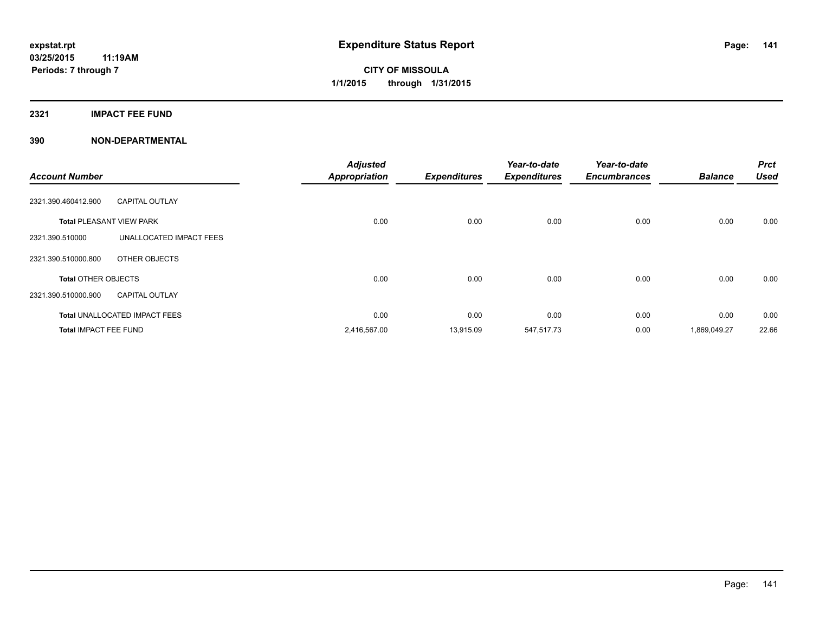## **2321 IMPACT FEE FUND**

| <b>Account Number</b>           |                                      | <b>Adjusted</b><br><b>Appropriation</b> | <b>Expenditures</b> | Year-to-date<br><b>Expenditures</b> | Year-to-date<br><b>Encumbrances</b> | <b>Balance</b> | <b>Prct</b><br><b>Used</b> |
|---------------------------------|--------------------------------------|-----------------------------------------|---------------------|-------------------------------------|-------------------------------------|----------------|----------------------------|
| 2321.390.460412.900             | <b>CAPITAL OUTLAY</b>                |                                         |                     |                                     |                                     |                |                            |
| <b>Total PLEASANT VIEW PARK</b> |                                      | 0.00                                    | 0.00                | 0.00                                | 0.00                                | 0.00           | 0.00                       |
| 2321.390.510000                 | UNALLOCATED IMPACT FEES              |                                         |                     |                                     |                                     |                |                            |
| 2321.390.510000.800             | OTHER OBJECTS                        |                                         |                     |                                     |                                     |                |                            |
| <b>Total OTHER OBJECTS</b>      |                                      | 0.00                                    | 0.00                | 0.00                                | 0.00                                | 0.00           | 0.00                       |
| 2321.390.510000.900             | <b>CAPITAL OUTLAY</b>                |                                         |                     |                                     |                                     |                |                            |
|                                 | <b>Total UNALLOCATED IMPACT FEES</b> | 0.00                                    | 0.00                | 0.00                                | 0.00                                | 0.00           | 0.00                       |
| <b>Total IMPACT FEE FUND</b>    |                                      | 2,416,567.00                            | 13,915.09           | 547,517.73                          | 0.00                                | 1,869,049.27   | 22.66                      |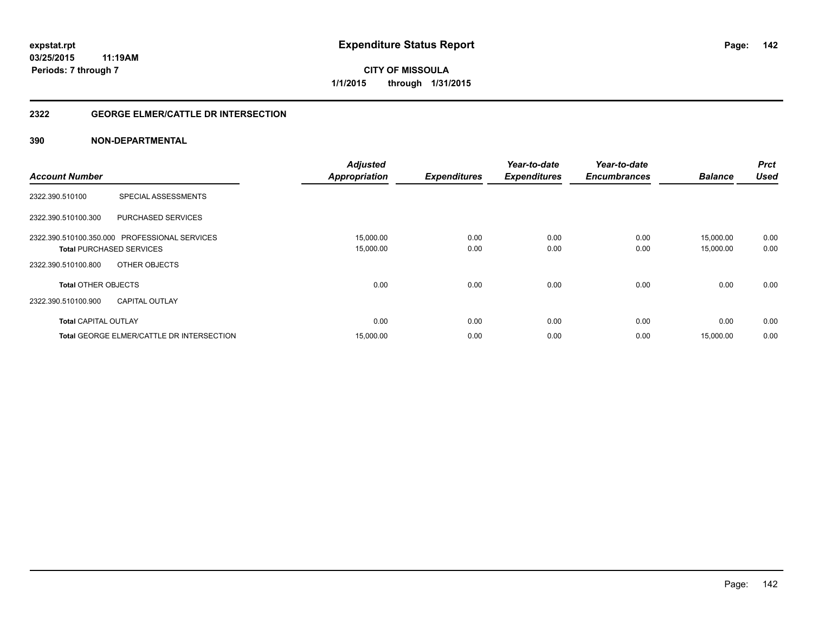## **2322 GEORGE ELMER/CATTLE DR INTERSECTION**

| <b>Account Number</b>                            | <b>Adjusted</b><br><b>Appropriation</b> | <b>Expenditures</b> | Year-to-date<br><b>Expenditures</b> | Year-to-date<br><b>Encumbrances</b> | <b>Balance</b> | <b>Prct</b><br><b>Used</b> |
|--------------------------------------------------|-----------------------------------------|---------------------|-------------------------------------|-------------------------------------|----------------|----------------------------|
|                                                  |                                         |                     |                                     |                                     |                |                            |
| <b>SPECIAL ASSESSMENTS</b><br>2322.390.510100    |                                         |                     |                                     |                                     |                |                            |
| PURCHASED SERVICES<br>2322.390.510100.300        |                                         |                     |                                     |                                     |                |                            |
| 2322.390.510100.350.000 PROFESSIONAL SERVICES    | 15,000.00                               | 0.00                | 0.00                                | 0.00                                | 15,000.00      | 0.00                       |
| <b>Total PURCHASED SERVICES</b>                  | 15,000.00                               | 0.00                | 0.00                                | 0.00                                | 15,000.00      | 0.00                       |
| OTHER OBJECTS<br>2322.390.510100.800             |                                         |                     |                                     |                                     |                |                            |
| <b>Total OTHER OBJECTS</b>                       | 0.00                                    | 0.00                | 0.00                                | 0.00                                | 0.00           | 0.00                       |
| 2322.390.510100.900<br><b>CAPITAL OUTLAY</b>     |                                         |                     |                                     |                                     |                |                            |
| <b>Total CAPITAL OUTLAY</b>                      | 0.00                                    | 0.00                | 0.00                                | 0.00                                | 0.00           | 0.00                       |
| <b>Total GEORGE ELMER/CATTLE DR INTERSECTION</b> | 15,000.00                               | 0.00                | 0.00                                | 0.00                                | 15,000.00      | 0.00                       |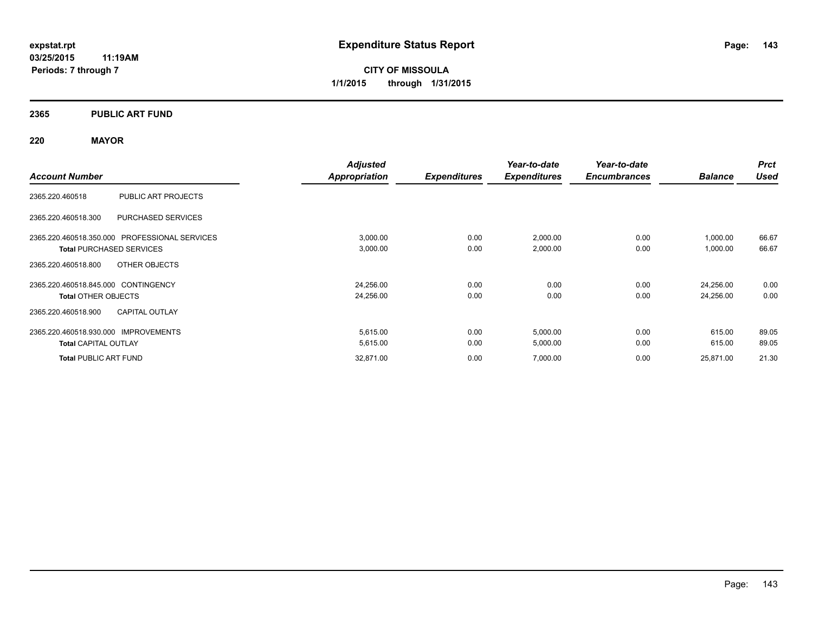**03/25/2015 11:19AM Periods: 7 through 7**

**CITY OF MISSOULA 1/1/2015 through 1/31/2015**

## **2365 PUBLIC ART FUND**

## **220 MAYOR**

|                                               | <b>Adjusted</b>      |                     | Year-to-date        | Year-to-date        |                | <b>Prct</b> |
|-----------------------------------------------|----------------------|---------------------|---------------------|---------------------|----------------|-------------|
| <b>Account Number</b>                         | <b>Appropriation</b> | <b>Expenditures</b> | <b>Expenditures</b> | <b>Encumbrances</b> | <b>Balance</b> | <b>Used</b> |
| PUBLIC ART PROJECTS<br>2365.220.460518        |                      |                     |                     |                     |                |             |
| 2365.220.460518.300<br>PURCHASED SERVICES     |                      |                     |                     |                     |                |             |
| 2365.220.460518.350.000 PROFESSIONAL SERVICES | 3,000.00             | 0.00                | 2,000.00            | 0.00                | 1,000.00       | 66.67       |
| <b>Total PURCHASED SERVICES</b>               | 3,000.00             | 0.00                | 2,000.00            | 0.00                | 1,000.00       | 66.67       |
| OTHER OBJECTS<br>2365.220.460518.800          |                      |                     |                     |                     |                |             |
| 2365.220.460518.845.000 CONTINGENCY           | 24,256.00            | 0.00                | 0.00                | 0.00                | 24,256.00      | 0.00        |
| <b>Total OTHER OBJECTS</b>                    | 24,256.00            | 0.00                | 0.00                | 0.00                | 24,256.00      | 0.00        |
| <b>CAPITAL OUTLAY</b><br>2365.220.460518.900  |                      |                     |                     |                     |                |             |
| 2365.220.460518.930.000 IMPROVEMENTS          | 5,615.00             | 0.00                | 5,000.00            | 0.00                | 615.00         | 89.05       |
| <b>Total CAPITAL OUTLAY</b>                   | 5,615.00             | 0.00                | 5,000.00            | 0.00                | 615.00         | 89.05       |
| <b>Total PUBLIC ART FUND</b>                  | 32,871.00            | 0.00                | 7,000.00            | 0.00                | 25,871.00      | 21.30       |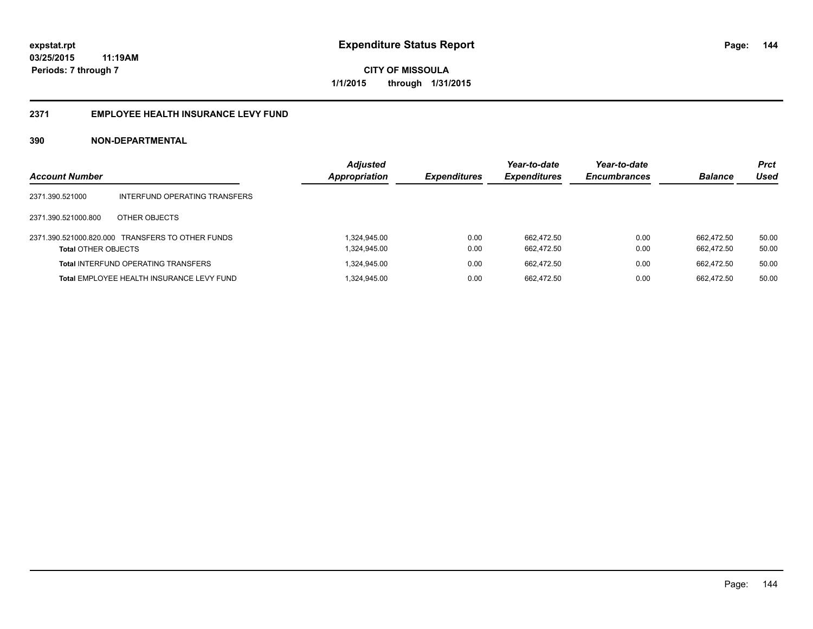## **2371 EMPLOYEE HEALTH INSURANCE LEVY FUND**

| <b>Account Number</b>      |                                                  | <b>Adjusted</b><br>Appropriation | <b>Expenditures</b> | Year-to-date<br><b>Expenditures</b> | Year-to-date<br><b>Encumbrances</b> | <b>Balance</b>           | <b>Prct</b><br>Used |
|----------------------------|--------------------------------------------------|----------------------------------|---------------------|-------------------------------------|-------------------------------------|--------------------------|---------------------|
| 2371.390.521000            | INTERFUND OPERATING TRANSFERS                    |                                  |                     |                                     |                                     |                          |                     |
| 2371.390.521000.800        | OTHER OBJECTS                                    |                                  |                     |                                     |                                     |                          |                     |
| <b>Total OTHER OBJECTS</b> | 2371.390.521000.820.000 TRANSFERS TO OTHER FUNDS | 1,324,945.00<br>1,324,945.00     | 0.00<br>0.00        | 662.472.50<br>662.472.50            | 0.00<br>0.00                        | 662.472.50<br>662.472.50 | 50.00<br>50.00      |
|                            | <b>Total INTERFUND OPERATING TRANSFERS</b>       | 324,945.00                       | 0.00                | 662.472.50                          | 0.00                                | 662.472.50               | 50.00               |
|                            | Total EMPLOYEE HEALTH INSURANCE LEVY FUND        | 1,324,945.00                     | 0.00                | 662.472.50                          | 0.00                                | 662.472.50               | 50.00               |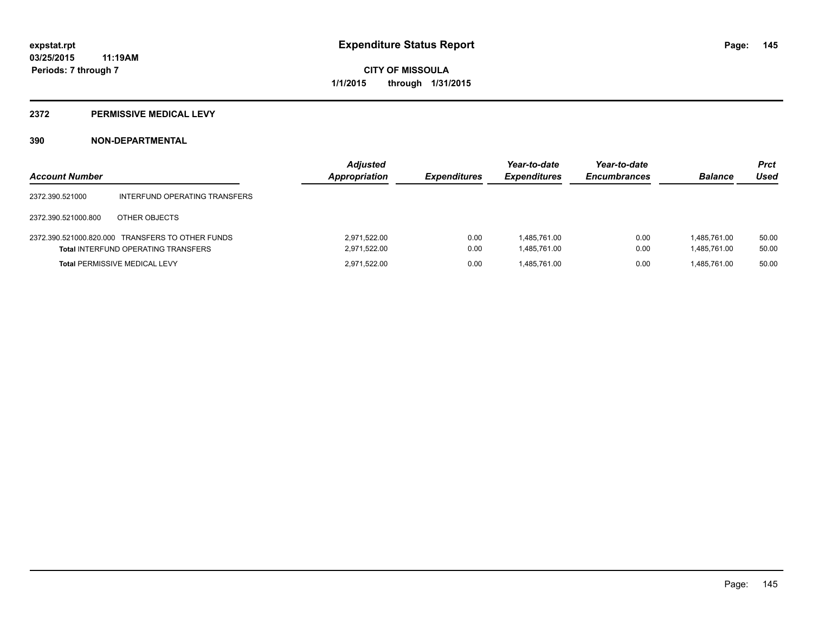# **2372 PERMISSIVE MEDICAL LEVY**

# **390 NON-DEPARTMENTAL**

| <b>Account Number</b> |                                                                                                | <b>Adjusted</b><br>Appropriation | <b>Expenditures</b> | Year-to-date<br><b>Expenditures</b> | Year-to-date<br><b>Encumbrances</b> | <b>Balance</b>               | <b>Prct</b><br>Used |
|-----------------------|------------------------------------------------------------------------------------------------|----------------------------------|---------------------|-------------------------------------|-------------------------------------|------------------------------|---------------------|
| 2372.390.521000       | INTERFUND OPERATING TRANSFERS                                                                  |                                  |                     |                                     |                                     |                              |                     |
| 2372.390.521000.800   | OTHER OBJECTS                                                                                  |                                  |                     |                                     |                                     |                              |                     |
|                       | 2372.390.521000.820.000 TRANSFERS TO OTHER FUNDS<br><b>Total INTERFUND OPERATING TRANSFERS</b> | 2,971,522.00<br>2,971,522.00     | 0.00<br>0.00        | 1.485.761.00<br>1,485,761.00        | 0.00<br>0.00                        | 1.485.761.00<br>1.485.761.00 | 50.00<br>50.00      |
|                       | <b>Total PERMISSIVE MEDICAL LEVY</b>                                                           | 2.971.522.00                     | 0.00                | 1.485.761.00                        | 0.00                                | 1.485.761.00                 | 50.00               |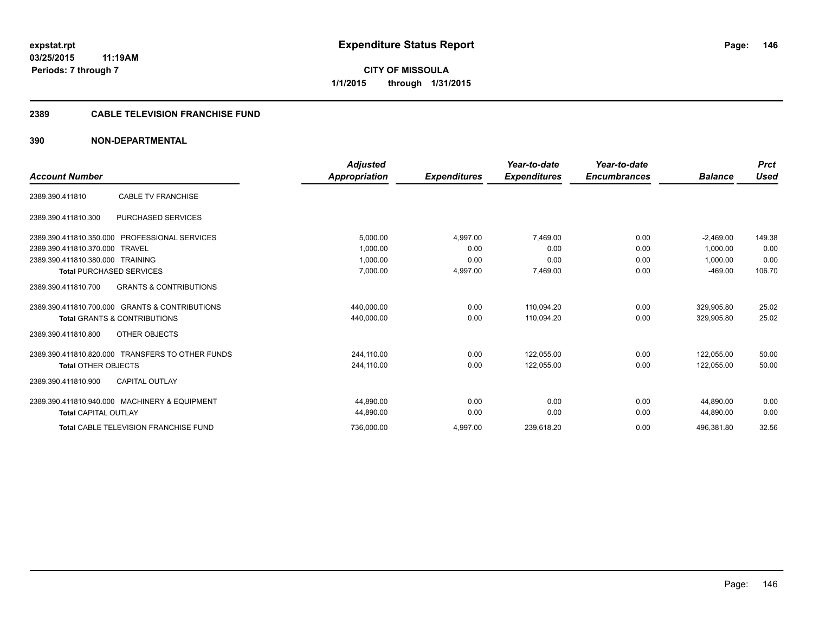# **CITY OF MISSOULA 1/1/2015 through 1/31/2015**

# **2389 CABLE TELEVISION FRANCHISE FUND**

# **390 NON-DEPARTMENTAL**

|                                                              | <b>Adjusted</b>      |                     | Year-to-date        | Year-to-date        |                | <b>Prct</b> |
|--------------------------------------------------------------|----------------------|---------------------|---------------------|---------------------|----------------|-------------|
| <b>Account Number</b>                                        | <b>Appropriation</b> | <b>Expenditures</b> | <b>Expenditures</b> | <b>Encumbrances</b> | <b>Balance</b> | <b>Used</b> |
| <b>CABLE TV FRANCHISE</b><br>2389.390.411810                 |                      |                     |                     |                     |                |             |
| 2389.390.411810.300<br><b>PURCHASED SERVICES</b>             |                      |                     |                     |                     |                |             |
| <b>PROFESSIONAL SERVICES</b><br>2389.390.411810.350.000      | 5,000.00             | 4,997.00            | 7,469.00            | 0.00                | $-2,469.00$    | 149.38      |
| 2389.390.411810.370.000<br><b>TRAVEL</b>                     | 1,000.00             | 0.00                | 0.00                | 0.00                | 1.000.00       | 0.00        |
| 2389.390.411810.380.000<br>TRAINING                          | 1,000.00             | 0.00                | 0.00                | 0.00                | 1,000.00       | 0.00        |
| <b>Total PURCHASED SERVICES</b>                              | 7,000.00             | 4,997.00            | 7,469.00            | 0.00                | $-469.00$      | 106.70      |
| <b>GRANTS &amp; CONTRIBUTIONS</b><br>2389.390.411810.700     |                      |                     |                     |                     |                |             |
| <b>GRANTS &amp; CONTRIBUTIONS</b><br>2389.390.411810.700.000 | 440,000.00           | 0.00                | 110,094.20          | 0.00                | 329,905.80     | 25.02       |
| <b>Total GRANTS &amp; CONTRIBUTIONS</b>                      | 440,000.00           | 0.00                | 110,094.20          | 0.00                | 329,905.80     | 25.02       |
| OTHER OBJECTS<br>2389.390.411810.800                         |                      |                     |                     |                     |                |             |
| 2389.390.411810.820.000 TRANSFERS TO OTHER FUNDS             | 244,110.00           | 0.00                | 122,055.00          | 0.00                | 122,055.00     | 50.00       |
| <b>Total OTHER OBJECTS</b>                                   | 244,110.00           | 0.00                | 122,055.00          | 0.00                | 122,055.00     | 50.00       |
| 2389.390.411810.900<br><b>CAPITAL OUTLAY</b>                 |                      |                     |                     |                     |                |             |
| 2389.390.411810.940.000 MACHINERY & EQUIPMENT                | 44,890.00            | 0.00                | 0.00                | 0.00                | 44,890.00      | 0.00        |
| <b>Total CAPITAL OUTLAY</b>                                  | 44,890.00            | 0.00                | 0.00                | 0.00                | 44,890.00      | 0.00        |
| <b>Total CABLE TELEVISION FRANCHISE FUND</b>                 | 736,000.00           | 4,997.00            | 239,618.20          | 0.00                | 496,381.80     | 32.56       |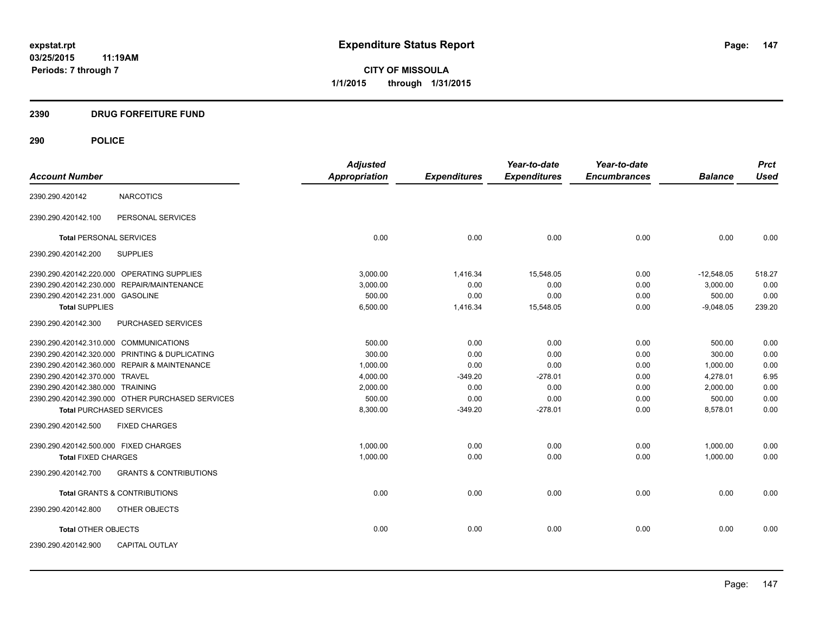**CITY OF MISSOULA 1/1/2015 through 1/31/2015**

# **2390 DRUG FORFEITURE FUND**

| <b>Account Number</b>                  |                                                  | <b>Adjusted</b><br>Appropriation |                     | Year-to-date<br><b>Expenditures</b> | Year-to-date<br><b>Encumbrances</b> | <b>Balance</b> | <b>Prct</b><br><b>Used</b> |
|----------------------------------------|--------------------------------------------------|----------------------------------|---------------------|-------------------------------------|-------------------------------------|----------------|----------------------------|
|                                        |                                                  |                                  | <b>Expenditures</b> |                                     |                                     |                |                            |
| 2390.290.420142                        | <b>NARCOTICS</b>                                 |                                  |                     |                                     |                                     |                |                            |
| 2390.290.420142.100                    | PERSONAL SERVICES                                |                                  |                     |                                     |                                     |                |                            |
| <b>Total PERSONAL SERVICES</b>         |                                                  | 0.00                             | 0.00                | 0.00                                | 0.00                                | 0.00           | 0.00                       |
| 2390.290.420142.200                    | <b>SUPPLIES</b>                                  |                                  |                     |                                     |                                     |                |                            |
|                                        | 2390.290.420142.220.000 OPERATING SUPPLIES       | 3,000.00                         | 1,416.34            | 15,548.05                           | 0.00                                | $-12,548.05$   | 518.27                     |
|                                        | 2390.290.420142.230.000 REPAIR/MAINTENANCE       | 3,000.00                         | 0.00                | 0.00                                | 0.00                                | 3.000.00       | 0.00                       |
| 2390.290.420142.231.000 GASOLINE       |                                                  | 500.00                           | 0.00                | 0.00                                | 0.00                                | 500.00         | 0.00                       |
| <b>Total SUPPLIES</b>                  |                                                  | 6,500.00                         | 1,416.34            | 15,548.05                           | 0.00                                | $-9,048.05$    | 239.20                     |
| 2390.290.420142.300                    | PURCHASED SERVICES                               |                                  |                     |                                     |                                     |                |                            |
| 2390.290.420142.310.000 COMMUNICATIONS |                                                  | 500.00                           | 0.00                | 0.00                                | 0.00                                | 500.00         | 0.00                       |
|                                        | 2390.290.420142.320.000 PRINTING & DUPLICATING   | 300.00                           | 0.00                | 0.00                                | 0.00                                | 300.00         | 0.00                       |
|                                        | 2390.290.420142.360.000 REPAIR & MAINTENANCE     | 1,000.00                         | 0.00                | 0.00                                | 0.00                                | 1,000.00       | 0.00                       |
| 2390.290.420142.370.000 TRAVEL         |                                                  | 4,000.00                         | $-349.20$           | $-278.01$                           | 0.00                                | 4,278.01       | 6.95                       |
| 2390.290.420142.380.000 TRAINING       |                                                  | 2,000.00                         | 0.00                | 0.00                                | 0.00                                | 2,000.00       | 0.00                       |
|                                        | 2390.290.420142.390.000 OTHER PURCHASED SERVICES | 500.00                           | 0.00                | 0.00                                | 0.00                                | 500.00         | 0.00                       |
| <b>Total PURCHASED SERVICES</b>        |                                                  | 8,300.00                         | $-349.20$           | $-278.01$                           | 0.00                                | 8,578.01       | 0.00                       |
| 2390.290.420142.500                    | <b>FIXED CHARGES</b>                             |                                  |                     |                                     |                                     |                |                            |
| 2390.290.420142.500.000 FIXED CHARGES  |                                                  | 1,000.00                         | 0.00                | 0.00                                | 0.00                                | 1,000.00       | 0.00                       |
| <b>Total FIXED CHARGES</b>             |                                                  | 1,000.00                         | 0.00                | 0.00                                | 0.00                                | 1,000.00       | 0.00                       |
| 2390.290.420142.700                    | <b>GRANTS &amp; CONTRIBUTIONS</b>                |                                  |                     |                                     |                                     |                |                            |
|                                        | <b>Total GRANTS &amp; CONTRIBUTIONS</b>          | 0.00                             | 0.00                | 0.00                                | 0.00                                | 0.00           | 0.00                       |
| 2390.290.420142.800                    | OTHER OBJECTS                                    |                                  |                     |                                     |                                     |                |                            |
| <b>Total OTHER OBJECTS</b>             |                                                  | 0.00                             | 0.00                | 0.00                                | 0.00                                | 0.00           | 0.00                       |
| 2390.290.420142.900                    | <b>CAPITAL OUTLAY</b>                            |                                  |                     |                                     |                                     |                |                            |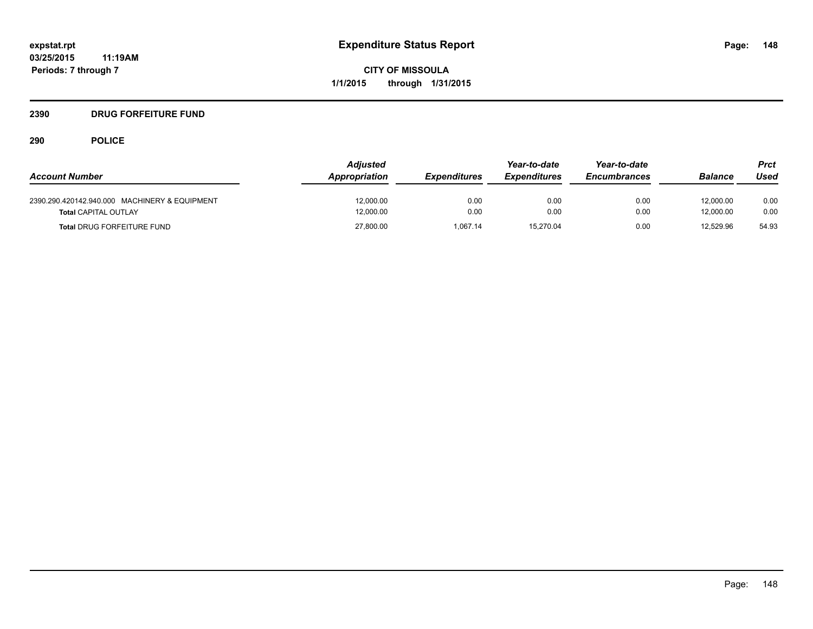# **2390 DRUG FORFEITURE FUND**

| <b>Account Number</b>                                                        | <b>Adjusted</b><br>Appropriation | <b>Expenditures</b> | Year-to-date<br><i><b>Expenditures</b></i> | Year-to-date<br><b>Encumbrances</b> | <b>Balance</b>         | Prct<br>Used |
|------------------------------------------------------------------------------|----------------------------------|---------------------|--------------------------------------------|-------------------------------------|------------------------|--------------|
| 2390.290.420142.940.000 MACHINERY & EQUIPMENT<br><b>Total CAPITAL OUTLAY</b> | 12,000.00<br>12,000.00           | 0.00<br>0.00        | 0.00<br>0.00                               | 0.00<br>0.00                        | 12,000.00<br>12.000.00 | 0.00<br>0.00 |
| <b>Total DRUG FORFEITURE FUND</b>                                            | 27,800.00                        | 1.067.14            | 15,270.04                                  | 0.00                                | 12.529.96              | 54.93        |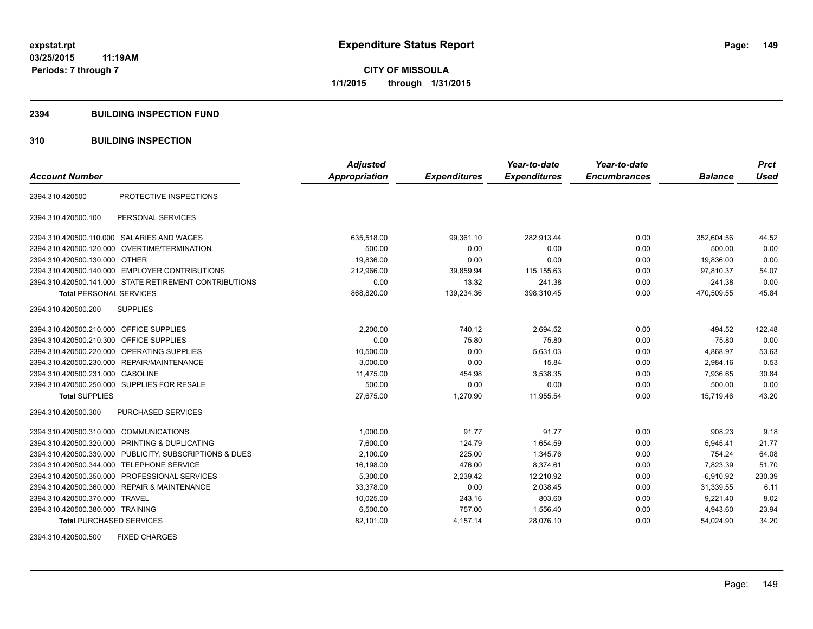## **2394 BUILDING INSPECTION FUND**

# **310 BUILDING INSPECTION**

|                                           |                                                         | <b>Adjusted</b>      |                     | Year-to-date        | Year-to-date        |                | <b>Prct</b> |
|-------------------------------------------|---------------------------------------------------------|----------------------|---------------------|---------------------|---------------------|----------------|-------------|
| <b>Account Number</b>                     |                                                         | <b>Appropriation</b> | <b>Expenditures</b> | <b>Expenditures</b> | <b>Encumbrances</b> | <b>Balance</b> | <b>Used</b> |
| 2394.310.420500                           | PROTECTIVE INSPECTIONS                                  |                      |                     |                     |                     |                |             |
| 2394.310.420500.100                       | PERSONAL SERVICES                                       |                      |                     |                     |                     |                |             |
|                                           | 2394.310.420500.110.000 SALARIES AND WAGES              | 635,518.00           | 99,361.10           | 282,913.44          | 0.00                | 352,604.56     | 44.52       |
|                                           | 2394.310.420500.120.000 OVERTIME/TERMINATION            | 500.00               | 0.00                | 0.00                | 0.00                | 500.00         | 0.00        |
| 2394.310.420500.130.000 OTHER             |                                                         | 19,836.00            | 0.00                | 0.00                | 0.00                | 19,836.00      | 0.00        |
|                                           | 2394.310.420500.140.000 EMPLOYER CONTRIBUTIONS          | 212,966.00           | 39,859.94           | 115,155.63          | 0.00                | 97,810.37      | 54.07       |
|                                           | 2394.310.420500.141.000 STATE RETIREMENT CONTRIBUTIONS  | 0.00                 | 13.32               | 241.38              | 0.00                | $-241.38$      | 0.00        |
| <b>Total PERSONAL SERVICES</b>            |                                                         | 868,820.00           | 139,234.36          | 398,310.45          | 0.00                | 470,509.55     | 45.84       |
| 2394.310.420500.200                       | <b>SUPPLIES</b>                                         |                      |                     |                     |                     |                |             |
| 2394.310.420500.210.000 OFFICE SUPPLIES   |                                                         | 2,200.00             | 740.12              | 2,694.52            | 0.00                | $-494.52$      | 122.48      |
| 2394.310.420500.210.300 OFFICE SUPPLIES   |                                                         | 0.00                 | 75.80               | 75.80               | 0.00                | $-75.80$       | 0.00        |
|                                           | 2394.310.420500.220.000 OPERATING SUPPLIES              | 10,500.00            | 0.00                | 5.631.03            | 0.00                | 4,868.97       | 53.63       |
|                                           | 2394.310.420500.230.000 REPAIR/MAINTENANCE              | 3.000.00             | 0.00                | 15.84               | 0.00                | 2,984.16       | 0.53        |
| 2394.310.420500.231.000 GASOLINE          |                                                         | 11,475.00            | 454.98              | 3,538.35            | 0.00                | 7,936.65       | 30.84       |
|                                           | 2394.310.420500.250.000 SUPPLIES FOR RESALE             | 500.00               | 0.00                | 0.00                | 0.00                | 500.00         | 0.00        |
| <b>Total SUPPLIES</b>                     |                                                         | 27,675.00            | 1,270.90            | 11,955.54           | 0.00                | 15.719.46      | 43.20       |
| 2394.310.420500.300                       | <b>PURCHASED SERVICES</b>                               |                      |                     |                     |                     |                |             |
| 2394.310.420500.310.000 COMMUNICATIONS    |                                                         | 1,000.00             | 91.77               | 91.77               | 0.00                | 908.23         | 9.18        |
|                                           | 2394.310.420500.320.000 PRINTING & DUPLICATING          | 7,600.00             | 124.79              | 1.654.59            | 0.00                | 5,945.41       | 21.77       |
|                                           | 2394.310.420500.330.000 PUBLICITY, SUBSCRIPTIONS & DUES | 2.100.00             | 225.00              | 1.345.76            | 0.00                | 754.24         | 64.08       |
| 2394.310.420500.344.000 TELEPHONE SERVICE |                                                         | 16,198.00            | 476.00              | 8,374.61            | 0.00                | 7,823.39       | 51.70       |
|                                           | 2394.310.420500.350.000 PROFESSIONAL SERVICES           | 5,300.00             | 2,239.42            | 12,210.92           | 0.00                | $-6,910.92$    | 230.39      |
|                                           | 2394.310.420500.360.000 REPAIR & MAINTENANCE            | 33,378.00            | 0.00                | 2,038.45            | 0.00                | 31,339.55      | 6.11        |
| 2394.310.420500.370.000 TRAVEL            |                                                         | 10,025.00            | 243.16              | 803.60              | 0.00                | 9,221.40       | 8.02        |
| 2394.310.420500.380.000 TRAINING          |                                                         | 6,500.00             | 757.00              | 1,556.40            | 0.00                | 4,943.60       | 23.94       |
| <b>Total PURCHASED SERVICES</b>           |                                                         | 82,101.00            | 4,157.14            | 28,076.10           | 0.00                | 54,024.90      | 34.20       |

2394.310.420500.500 FIXED CHARGES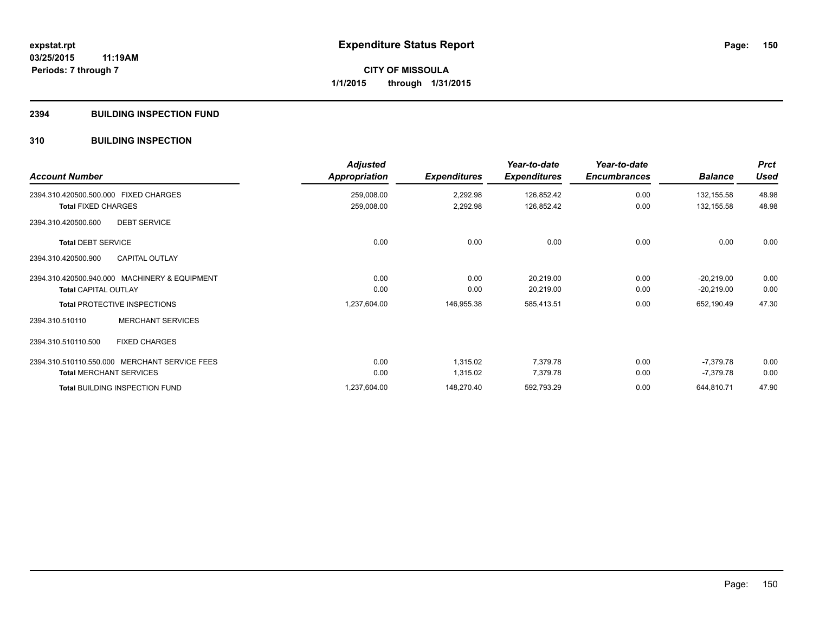# **2394 BUILDING INSPECTION FUND**

# **310 BUILDING INSPECTION**

| <b>Account Number</b>                         | <b>Adjusted</b><br>Appropriation | <b>Expenditures</b> | Year-to-date<br><b>Expenditures</b> | Year-to-date<br><b>Encumbrances</b> | <b>Balance</b> | <b>Prct</b><br><b>Used</b> |
|-----------------------------------------------|----------------------------------|---------------------|-------------------------------------|-------------------------------------|----------------|----------------------------|
| 2394.310.420500.500.000 FIXED CHARGES         | 259,008.00                       | 2,292.98            | 126,852.42                          | 0.00                                | 132,155.58     | 48.98                      |
| <b>Total FIXED CHARGES</b>                    | 259,008.00                       | 2,292.98            | 126,852.42                          | 0.00                                | 132,155.58     | 48.98                      |
| 2394.310.420500.600<br><b>DEBT SERVICE</b>    |                                  |                     |                                     |                                     |                |                            |
| <b>Total DEBT SERVICE</b>                     | 0.00                             | 0.00                | 0.00                                | 0.00                                | 0.00           | 0.00                       |
| <b>CAPITAL OUTLAY</b><br>2394.310.420500.900  |                                  |                     |                                     |                                     |                |                            |
| 2394.310.420500.940.000 MACHINERY & EQUIPMENT | 0.00                             | 0.00                | 20,219.00                           | 0.00                                | $-20,219.00$   | 0.00                       |
| <b>Total CAPITAL OUTLAY</b>                   | 0.00                             | 0.00                | 20,219.00                           | 0.00                                | $-20,219.00$   | 0.00                       |
| <b>Total PROTECTIVE INSPECTIONS</b>           | 1,237,604.00                     | 146,955.38          | 585,413.51                          | 0.00                                | 652,190.49     | 47.30                      |
| <b>MERCHANT SERVICES</b><br>2394.310.510110   |                                  |                     |                                     |                                     |                |                            |
| 2394.310.510110.500<br><b>FIXED CHARGES</b>   |                                  |                     |                                     |                                     |                |                            |
| 2394.310.510110.550.000 MERCHANT SERVICE FEES | 0.00                             | 1,315.02            | 7,379.78                            | 0.00                                | -7,379.78      | 0.00                       |
| <b>Total MERCHANT SERVICES</b>                | 0.00                             | 1,315.02            | 7,379.78                            | 0.00                                | $-7,379.78$    | 0.00                       |
| <b>Total BUILDING INSPECTION FUND</b>         | 1,237,604.00                     | 148,270.40          | 592,793.29                          | 0.00                                | 644,810.71     | 47.90                      |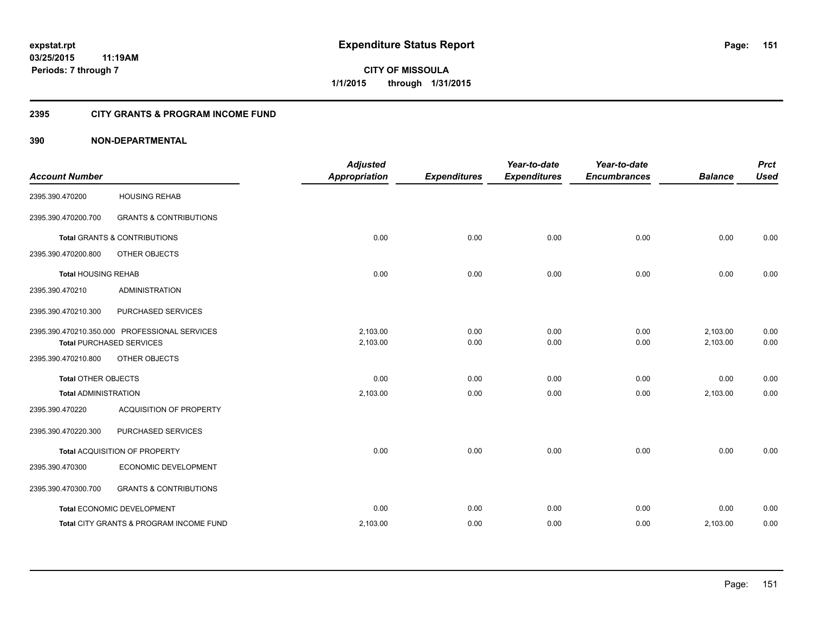# **2395 CITY GRANTS & PROGRAM INCOME FUND**

# **390 NON-DEPARTMENTAL**

| <b>Account Number</b>       |                                                                                  | <b>Adjusted</b><br><b>Appropriation</b> | <b>Expenditures</b> | Year-to-date<br><b>Expenditures</b> | Year-to-date<br><b>Encumbrances</b> | <b>Balance</b>       | <b>Prct</b><br><b>Used</b> |
|-----------------------------|----------------------------------------------------------------------------------|-----------------------------------------|---------------------|-------------------------------------|-------------------------------------|----------------------|----------------------------|
| 2395.390.470200             | <b>HOUSING REHAB</b>                                                             |                                         |                     |                                     |                                     |                      |                            |
| 2395.390.470200.700         | <b>GRANTS &amp; CONTRIBUTIONS</b>                                                |                                         |                     |                                     |                                     |                      |                            |
|                             | <b>Total GRANTS &amp; CONTRIBUTIONS</b>                                          | 0.00                                    | 0.00                | 0.00                                | 0.00                                | 0.00                 | 0.00                       |
| 2395.390.470200.800         | OTHER OBJECTS                                                                    |                                         |                     |                                     |                                     |                      |                            |
| <b>Total HOUSING REHAB</b>  |                                                                                  | 0.00                                    | 0.00                | 0.00                                | 0.00                                | 0.00                 | 0.00                       |
| 2395.390.470210             | <b>ADMINISTRATION</b>                                                            |                                         |                     |                                     |                                     |                      |                            |
| 2395.390.470210.300         | PURCHASED SERVICES                                                               |                                         |                     |                                     |                                     |                      |                            |
|                             | 2395.390.470210.350.000 PROFESSIONAL SERVICES<br><b>Total PURCHASED SERVICES</b> | 2,103.00<br>2,103.00                    | 0.00<br>0.00        | 0.00<br>0.00                        | 0.00<br>0.00                        | 2,103.00<br>2,103.00 | 0.00<br>0.00               |
| 2395.390.470210.800         | OTHER OBJECTS                                                                    |                                         |                     |                                     |                                     |                      |                            |
| <b>Total OTHER OBJECTS</b>  |                                                                                  | 0.00                                    | 0.00                | 0.00                                | 0.00                                | 0.00                 | 0.00                       |
| <b>Total ADMINISTRATION</b> |                                                                                  | 2,103.00                                | 0.00                | 0.00                                | 0.00                                | 2,103.00             | 0.00                       |
| 2395.390.470220             | <b>ACQUISITION OF PROPERTY</b>                                                   |                                         |                     |                                     |                                     |                      |                            |
| 2395.390.470220.300         | PURCHASED SERVICES                                                               |                                         |                     |                                     |                                     |                      |                            |
|                             | Total ACQUISITION OF PROPERTY                                                    | 0.00                                    | 0.00                | 0.00                                | 0.00                                | 0.00                 | 0.00                       |
| 2395.390.470300             | ECONOMIC DEVELOPMENT                                                             |                                         |                     |                                     |                                     |                      |                            |
| 2395.390.470300.700         | <b>GRANTS &amp; CONTRIBUTIONS</b>                                                |                                         |                     |                                     |                                     |                      |                            |
|                             | Total ECONOMIC DEVELOPMENT                                                       | 0.00                                    | 0.00                | 0.00                                | 0.00                                | 0.00                 | 0.00                       |
|                             | Total CITY GRANTS & PROGRAM INCOME FUND                                          | 2,103.00                                | 0.00                | 0.00                                | 0.00                                | 2,103.00             | 0.00                       |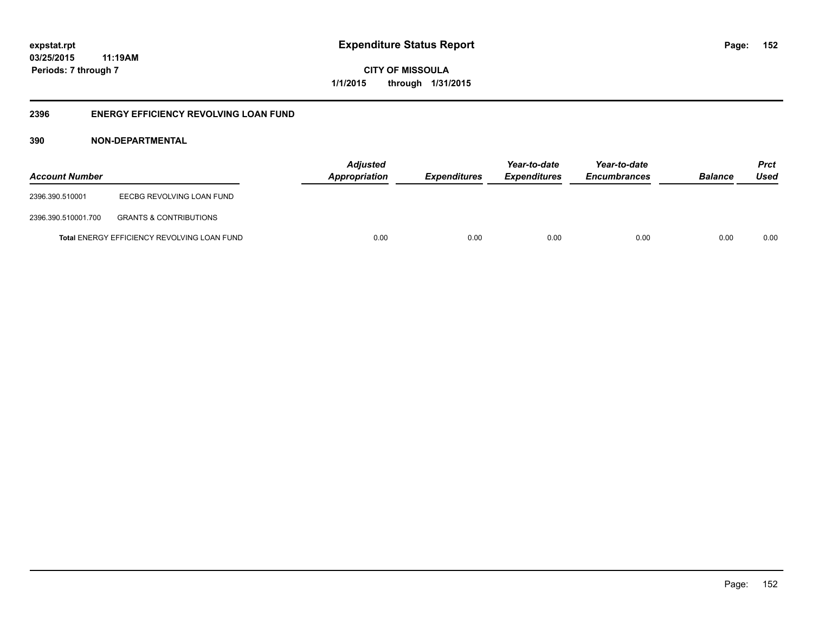**CITY OF MISSOULA 1/1/2015 through 1/31/2015**

# **2396 ENERGY EFFICIENCY REVOLVING LOAN FUND**

# **390 NON-DEPARTMENTAL**

| <b>Account Number</b> |                                             | <b>Adjusted</b><br><b>Appropriation</b> | <i><b>Expenditures</b></i> | Year-to-date<br><i><b>Expenditures</b></i> | Year-to-date<br><b>Encumbrances</b> | <b>Balance</b> | <b>Prct</b><br>Used |
|-----------------------|---------------------------------------------|-----------------------------------------|----------------------------|--------------------------------------------|-------------------------------------|----------------|---------------------|
| 2396.390.510001       | EECBG REVOLVING LOAN FUND                   |                                         |                            |                                            |                                     |                |                     |
| 2396.390.510001.700   | <b>GRANTS &amp; CONTRIBUTIONS</b>           |                                         |                            |                                            |                                     |                |                     |
|                       | Total ENERGY EFFICIENCY REVOLVING LOAN FUND | 0.00                                    | 0.00                       | 0.00                                       | 0.00                                | 0.00           | 0.00                |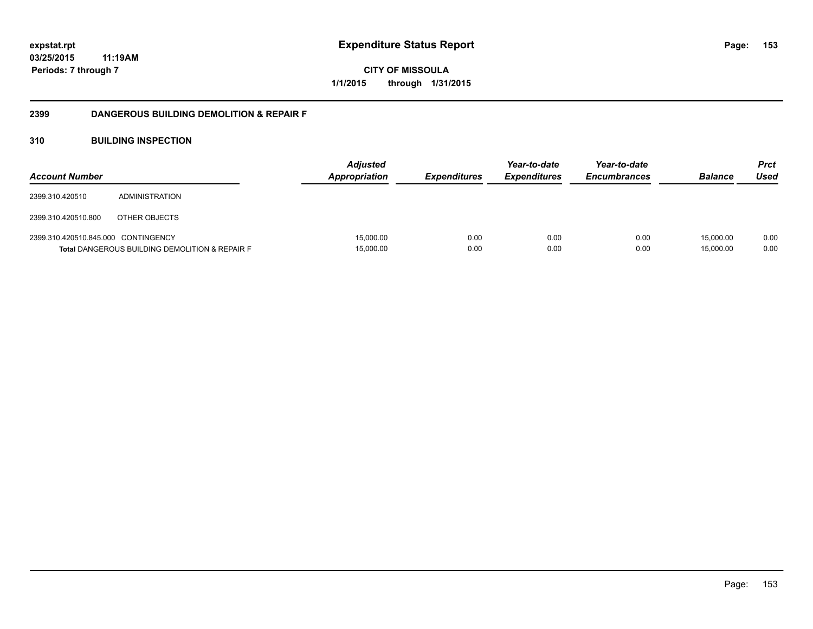**153**

**03/25/2015 11:19AM Periods: 7 through 7**

**CITY OF MISSOULA 1/1/2015 through 1/31/2015**

# **2399 DANGEROUS BUILDING DEMOLITION & REPAIR F**

# **310 BUILDING INSPECTION**

| <b>Account Number</b>               |                                                           | <b>Adjusted</b><br><b>Appropriation</b> | <i><b>Expenditures</b></i> | Year-to-date<br><b>Expenditures</b> | Year-to-date<br><b>Encumbrances</b> | <b>Balance</b>         | <b>Prct</b><br>Used |
|-------------------------------------|-----------------------------------------------------------|-----------------------------------------|----------------------------|-------------------------------------|-------------------------------------|------------------------|---------------------|
| 2399.310.420510                     | ADMINISTRATION                                            |                                         |                            |                                     |                                     |                        |                     |
| 2399.310.420510.800                 | OTHER OBJECTS                                             |                                         |                            |                                     |                                     |                        |                     |
| 2399.310.420510.845.000 CONTINGENCY | <b>Total DANGEROUS BUILDING DEMOLITION &amp; REPAIR F</b> | 15.000.00<br>15,000.00                  | 0.00<br>0.00               | 0.00<br>0.00                        | 0.00<br>0.00                        | 15.000.00<br>15.000.00 | 0.00<br>0.00        |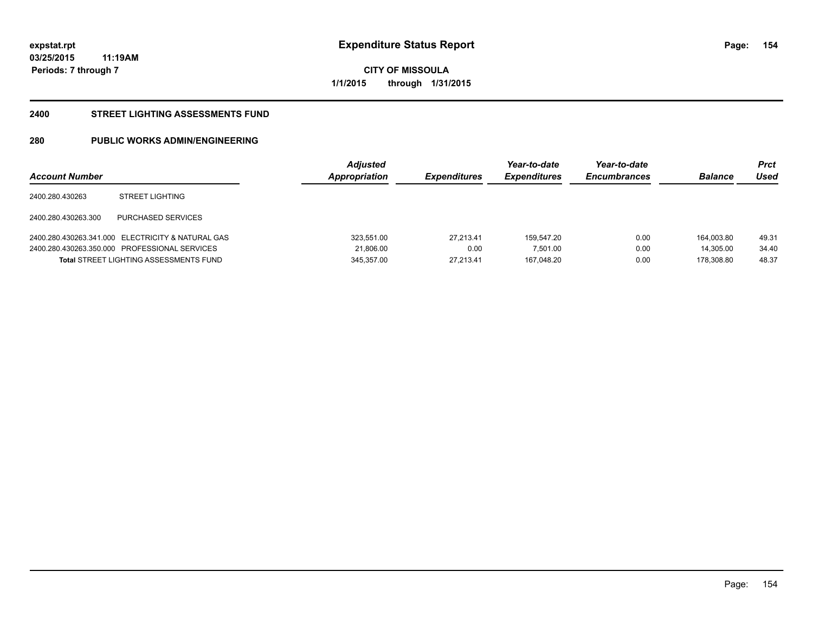**154**

**03/25/2015 11:19AM Periods: 7 through 7**

**CITY OF MISSOULA 1/1/2015 through 1/31/2015**

### **2400 STREET LIGHTING ASSESSMENTS FUND**

# **280 PUBLIC WORKS ADMIN/ENGINEERING**

| <b>Account Number</b> |                                                   | <b>Adjusted</b><br>Appropriation | <b>Expenditures</b> | Year-to-date<br><b>Expenditures</b> | Year-to-date<br><b>Encumbrances</b> | <b>Balance</b> | Prct<br>Used |
|-----------------------|---------------------------------------------------|----------------------------------|---------------------|-------------------------------------|-------------------------------------|----------------|--------------|
| 2400.280.430263       | <b>STREET LIGHTING</b>                            |                                  |                     |                                     |                                     |                |              |
| 2400.280.430263.300   | PURCHASED SERVICES                                |                                  |                     |                                     |                                     |                |              |
|                       | 2400.280.430263.341.000 ELECTRICITY & NATURAL GAS | 323.551.00                       | 27.213.41           | 159.547.20                          | 0.00                                | 164.003.80     | 49.31        |
|                       | 2400.280.430263.350.000 PROFESSIONAL SERVICES     | 21,806.00                        | 0.00                | 7,501.00                            | 0.00                                | 14.305.00      | 34.40        |
|                       | <b>Total STREET LIGHTING ASSESSMENTS FUND</b>     | 345.357.00                       | 27.213.41           | 167.048.20                          | 0.00                                | 178.308.80     | 48.37        |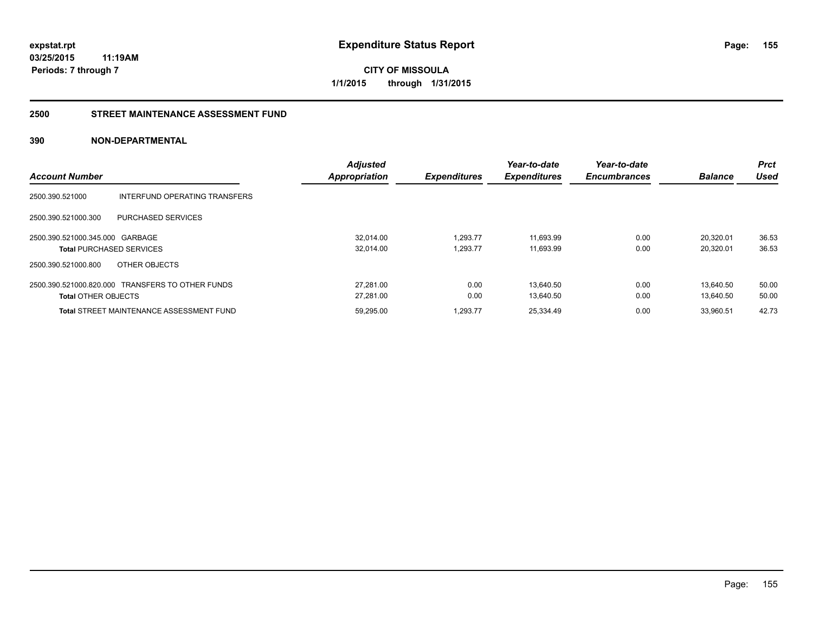**CITY OF MISSOULA 1/1/2015 through 1/31/2015**

# **2500 STREET MAINTENANCE ASSESSMENT FUND**

# **390 NON-DEPARTMENTAL**

| <b>Account Number</b>           |                                                  | <b>Adjusted</b><br><b>Appropriation</b> | <b>Expenditures</b> | Year-to-date<br><b>Expenditures</b> | Year-to-date<br><b>Encumbrances</b> | <b>Balance</b> | <b>Prct</b><br>Used |
|---------------------------------|--------------------------------------------------|-----------------------------------------|---------------------|-------------------------------------|-------------------------------------|----------------|---------------------|
|                                 |                                                  |                                         |                     |                                     |                                     |                |                     |
| 2500.390.521000                 | INTERFUND OPERATING TRANSFERS                    |                                         |                     |                                     |                                     |                |                     |
| 2500.390.521000.300             | <b>PURCHASED SERVICES</b>                        |                                         |                     |                                     |                                     |                |                     |
| 2500.390.521000.345.000 GARBAGE |                                                  | 32.014.00                               | 1.293.77            | 11,693.99                           | 0.00                                | 20,320.01      | 36.53               |
|                                 | <b>Total PURCHASED SERVICES</b>                  | 32,014.00                               | 1.293.77            | 11,693.99                           | 0.00                                | 20,320.01      | 36.53               |
| 2500.390.521000.800             | OTHER OBJECTS                                    |                                         |                     |                                     |                                     |                |                     |
|                                 | 2500.390.521000.820.000 TRANSFERS TO OTHER FUNDS | 27.281.00                               | 0.00                | 13.640.50                           | 0.00                                | 13.640.50      | 50.00               |
| <b>Total OTHER OBJECTS</b>      |                                                  | 27,281.00                               | 0.00                | 13,640.50                           | 0.00                                | 13,640.50      | 50.00               |
|                                 | <b>Total STREET MAINTENANCE ASSESSMENT FUND</b>  | 59.295.00                               | 1.293.77            | 25.334.49                           | 0.00                                | 33.960.51      | 42.73               |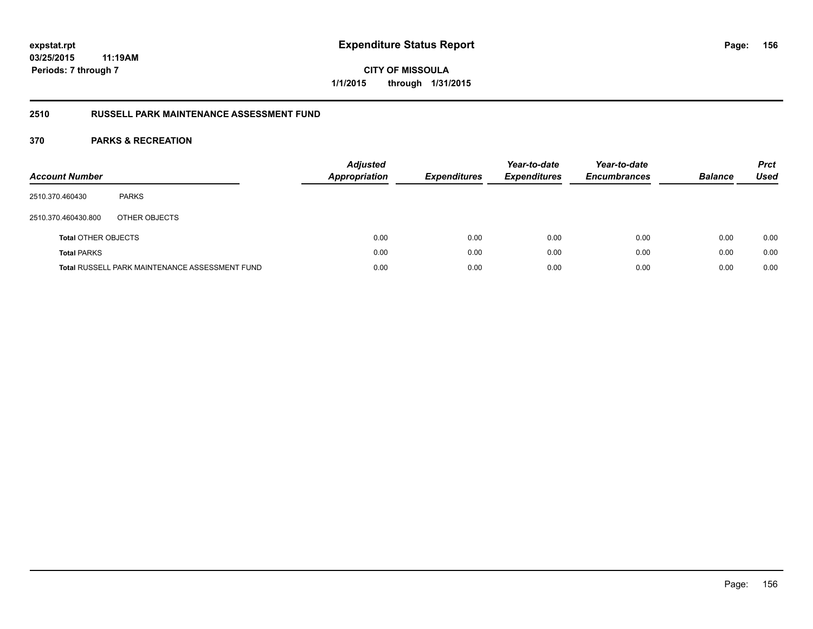**CITY OF MISSOULA 1/1/2015 through 1/31/2015**

# **2510 RUSSELL PARK MAINTENANCE ASSESSMENT FUND**

| <b>Account Number</b>      |                                                       | <b>Adjusted</b><br><b>Appropriation</b> | <b>Expenditures</b> | Year-to-date<br><b>Expenditures</b> | Year-to-date<br><b>Encumbrances</b> | <b>Balance</b> | <b>Prct</b><br>Used |
|----------------------------|-------------------------------------------------------|-----------------------------------------|---------------------|-------------------------------------|-------------------------------------|----------------|---------------------|
| 2510.370.460430            | <b>PARKS</b>                                          |                                         |                     |                                     |                                     |                |                     |
| 2510.370.460430.800        | OTHER OBJECTS                                         |                                         |                     |                                     |                                     |                |                     |
| <b>Total OTHER OBJECTS</b> |                                                       | 0.00                                    | 0.00                | 0.00                                | 0.00                                | 0.00           | 0.00                |
| <b>Total PARKS</b>         |                                                       | 0.00                                    | 0.00                | 0.00                                | 0.00                                | 0.00           | 0.00                |
|                            | <b>Total RUSSELL PARK MAINTENANCE ASSESSMENT FUND</b> | 0.00                                    | 0.00                | 0.00                                | 0.00                                | 0.00           | 0.00                |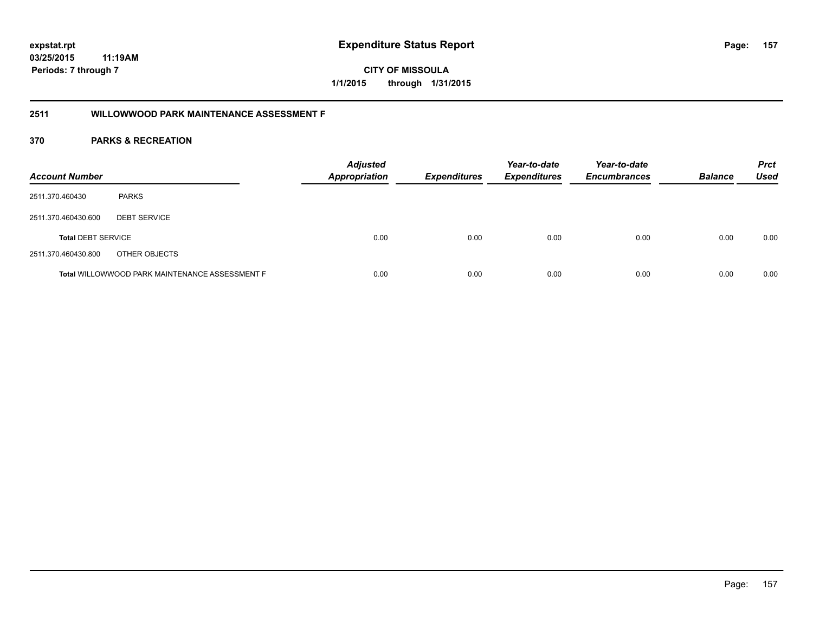# **2511 WILLOWWOOD PARK MAINTENANCE ASSESSMENT F**

| <b>Account Number</b>     |                                                       | <b>Adjusted</b><br><b>Appropriation</b> | <b>Expenditures</b> | Year-to-date<br><b>Expenditures</b> | Year-to-date<br><b>Encumbrances</b> | <b>Balance</b> | <b>Prct</b><br><b>Used</b> |
|---------------------------|-------------------------------------------------------|-----------------------------------------|---------------------|-------------------------------------|-------------------------------------|----------------|----------------------------|
| 2511.370.460430           | <b>PARKS</b>                                          |                                         |                     |                                     |                                     |                |                            |
| 2511.370.460430.600       | <b>DEBT SERVICE</b>                                   |                                         |                     |                                     |                                     |                |                            |
| <b>Total DEBT SERVICE</b> |                                                       | 0.00                                    | 0.00                | 0.00                                | 0.00                                | 0.00           | 0.00                       |
| 2511.370.460430.800       | OTHER OBJECTS                                         |                                         |                     |                                     |                                     |                |                            |
|                           | <b>Total WILLOWWOOD PARK MAINTENANCE ASSESSMENT F</b> | 0.00                                    | 0.00                | 0.00                                | 0.00                                | 0.00           | 0.00                       |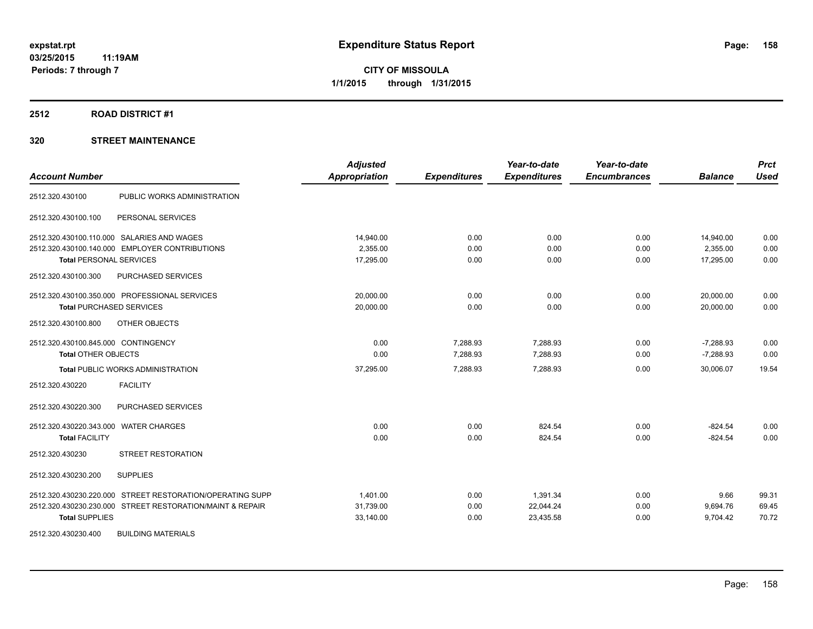# **2512 ROAD DISTRICT #1**

| <b>Account Number</b>                                     | <b>Adjusted</b><br>Appropriation | <b>Expenditures</b> | Year-to-date<br><b>Expenditures</b> | Year-to-date<br><b>Encumbrances</b> | <b>Balance</b> | <b>Prct</b><br><b>Used</b> |
|-----------------------------------------------------------|----------------------------------|---------------------|-------------------------------------|-------------------------------------|----------------|----------------------------|
| PUBLIC WORKS ADMINISTRATION<br>2512.320.430100            |                                  |                     |                                     |                                     |                |                            |
|                                                           |                                  |                     |                                     |                                     |                |                            |
| PERSONAL SERVICES<br>2512.320.430100.100                  |                                  |                     |                                     |                                     |                |                            |
| 2512.320.430100.110.000 SALARIES AND WAGES                | 14,940.00                        | 0.00                | 0.00                                | 0.00                                | 14,940.00      | 0.00                       |
| 2512.320.430100.140.000 EMPLOYER CONTRIBUTIONS            | 2,355.00                         | 0.00                | 0.00                                | 0.00                                | 2,355.00       | 0.00                       |
| <b>Total PERSONAL SERVICES</b>                            | 17,295.00                        | 0.00                | 0.00                                | 0.00                                | 17,295.00      | 0.00                       |
| PURCHASED SERVICES<br>2512.320.430100.300                 |                                  |                     |                                     |                                     |                |                            |
| 2512.320.430100.350.000 PROFESSIONAL SERVICES             | 20,000.00                        | 0.00                | 0.00                                | 0.00                                | 20,000.00      | 0.00                       |
| <b>Total PURCHASED SERVICES</b>                           | 20,000.00                        | 0.00                | 0.00                                | 0.00                                | 20,000.00      | 0.00                       |
| OTHER OBJECTS<br>2512.320.430100.800                      |                                  |                     |                                     |                                     |                |                            |
| 2512.320.430100.845.000 CONTINGENCY                       | 0.00                             | 7.288.93            | 7.288.93                            | 0.00                                | $-7,288.93$    | 0.00                       |
| <b>Total OTHER OBJECTS</b>                                | 0.00                             | 7,288.93            | 7,288.93                            | 0.00                                | $-7,288.93$    | 0.00                       |
| <b>Total PUBLIC WORKS ADMINISTRATION</b>                  | 37,295.00                        | 7,288.93            | 7,288.93                            | 0.00                                | 30,006.07      | 19.54                      |
| <b>FACILITY</b><br>2512.320.430220                        |                                  |                     |                                     |                                     |                |                            |
| 2512.320.430220.300<br>PURCHASED SERVICES                 |                                  |                     |                                     |                                     |                |                            |
| 2512.320.430220.343.000 WATER CHARGES                     | 0.00                             | 0.00                | 824.54                              | 0.00                                | $-824.54$      | 0.00                       |
| <b>Total FACILITY</b>                                     | 0.00                             | 0.00                | 824.54                              | 0.00                                | $-824.54$      | 0.00                       |
| 2512.320.430230<br><b>STREET RESTORATION</b>              |                                  |                     |                                     |                                     |                |                            |
| 2512.320.430230.200<br><b>SUPPLIES</b>                    |                                  |                     |                                     |                                     |                |                            |
| 2512.320.430230.220.000 STREET RESTORATION/OPERATING SUPP | 1,401.00                         | 0.00                | 1,391.34                            | 0.00                                | 9.66           | 99.31                      |
| 2512.320.430230.230.000 STREET RESTORATION/MAINT & REPAIR | 31,739.00                        | 0.00                | 22,044.24                           | 0.00                                | 9,694.76       | 69.45                      |
| <b>Total SUPPLIES</b>                                     | 33,140.00                        | 0.00                | 23,435.58                           | 0.00                                | 9,704.42       | 70.72                      |
| 2512.320.430230.400<br><b>BUILDING MATERIALS</b>          |                                  |                     |                                     |                                     |                |                            |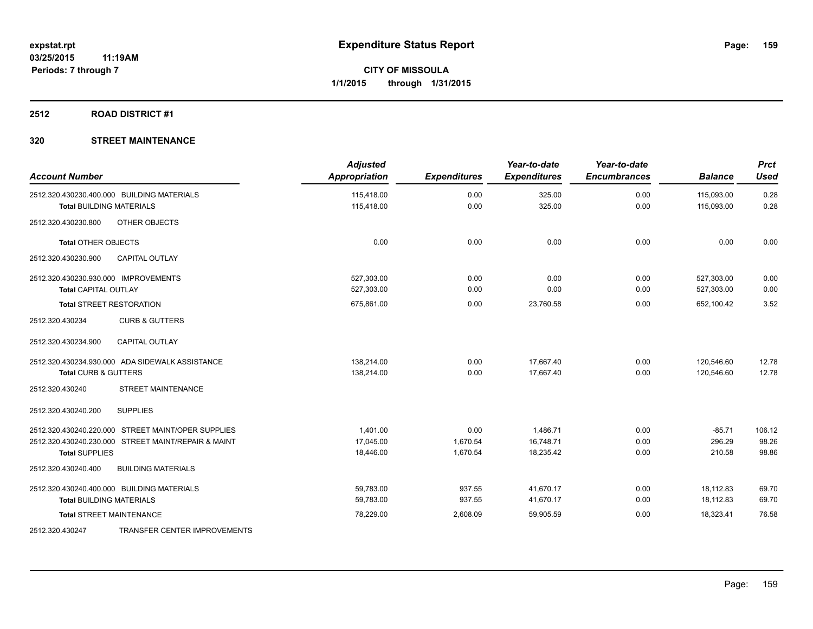# **2512 ROAD DISTRICT #1**

| <b>Account Number</b>                               | <b>Adjusted</b><br>Appropriation | <b>Expenditures</b> | Year-to-date<br><b>Expenditures</b> | Year-to-date<br><b>Encumbrances</b> | <b>Balance</b> | <b>Prct</b><br><b>Used</b> |
|-----------------------------------------------------|----------------------------------|---------------------|-------------------------------------|-------------------------------------|----------------|----------------------------|
| 2512.320.430230.400.000 BUILDING MATERIALS          | 115,418.00                       | 0.00                | 325.00                              | 0.00                                | 115,093.00     | 0.28                       |
| <b>Total BUILDING MATERIALS</b>                     | 115,418.00                       | 0.00                | 325.00                              | 0.00                                | 115,093.00     | 0.28                       |
| OTHER OBJECTS<br>2512.320.430230.800                |                                  |                     |                                     |                                     |                |                            |
| <b>Total OTHER OBJECTS</b>                          | 0.00                             | 0.00                | 0.00                                | 0.00                                | 0.00           | 0.00                       |
| 2512.320.430230.900<br><b>CAPITAL OUTLAY</b>        |                                  |                     |                                     |                                     |                |                            |
| 2512.320.430230.930.000 IMPROVEMENTS                | 527.303.00                       | 0.00                | 0.00                                | 0.00                                | 527,303.00     | 0.00                       |
| Total CAPITAL OUTLAY                                | 527,303.00                       | 0.00                | 0.00                                | 0.00                                | 527,303.00     | 0.00                       |
| <b>Total STREET RESTORATION</b>                     | 675,861.00                       | 0.00                | 23,760.58                           | 0.00                                | 652,100.42     | 3.52                       |
| 2512.320.430234<br><b>CURB &amp; GUTTERS</b>        |                                  |                     |                                     |                                     |                |                            |
| 2512.320.430234.900<br><b>CAPITAL OUTLAY</b>        |                                  |                     |                                     |                                     |                |                            |
| 2512.320.430234.930.000 ADA SIDEWALK ASSISTANCE     | 138,214.00                       | 0.00                | 17,667.40                           | 0.00                                | 120,546.60     | 12.78                      |
| <b>Total CURB &amp; GUTTERS</b>                     | 138,214.00                       | 0.00                | 17.667.40                           | 0.00                                | 120.546.60     | 12.78                      |
| <b>STREET MAINTENANCE</b><br>2512.320.430240        |                                  |                     |                                     |                                     |                |                            |
| <b>SUPPLIES</b><br>2512.320.430240.200              |                                  |                     |                                     |                                     |                |                            |
| 2512.320.430240.220.000 STREET MAINT/OPER SUPPLIES  | 1.401.00                         | 0.00                | 1,486.71                            | 0.00                                | $-85.71$       | 106.12                     |
| 2512.320.430240.230.000 STREET MAINT/REPAIR & MAINT | 17,045.00                        | 1,670.54            | 16,748.71                           | 0.00                                | 296.29         | 98.26                      |
| <b>Total SUPPLIES</b>                               | 18,446.00                        | 1,670.54            | 18,235.42                           | 0.00                                | 210.58         | 98.86                      |
| <b>BUILDING MATERIALS</b><br>2512.320.430240.400    |                                  |                     |                                     |                                     |                |                            |
| 2512.320.430240.400.000 BUILDING MATERIALS          | 59,783.00                        | 937.55              | 41,670.17                           | 0.00                                | 18,112.83      | 69.70                      |
| <b>Total BUILDING MATERIALS</b>                     | 59,783.00                        | 937.55              | 41,670.17                           | 0.00                                | 18,112.83      | 69.70                      |
| <b>Total STREET MAINTENANCE</b>                     | 78,229.00                        | 2,608.09            | 59,905.59                           | 0.00                                | 18,323.41      | 76.58                      |
| TRANSFER CENTER IMPROVEMENTS<br>2512.320.430247     |                                  |                     |                                     |                                     |                |                            |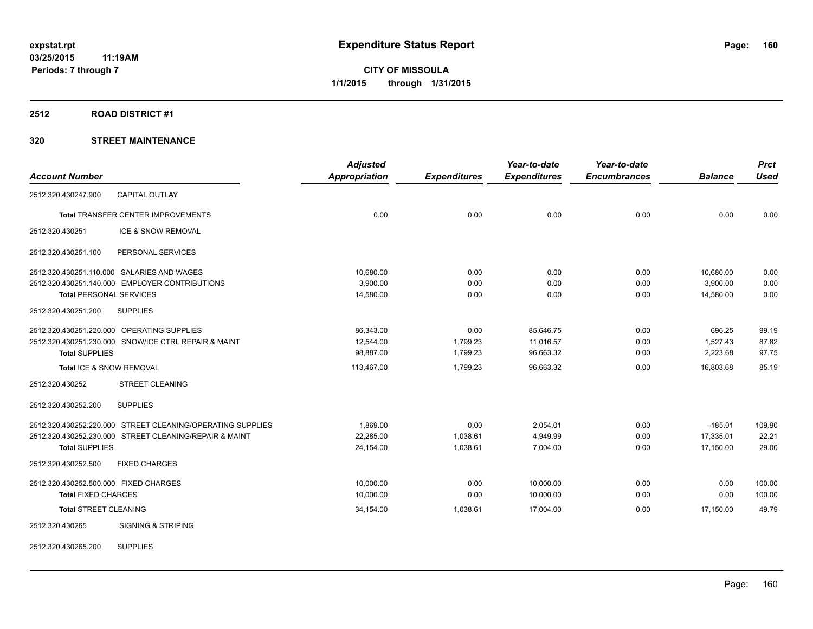# **2512 ROAD DISTRICT #1**

|                                                            | <b>Adjusted</b>      |                     | Year-to-date        | Year-to-date        |                | <b>Prct</b> |
|------------------------------------------------------------|----------------------|---------------------|---------------------|---------------------|----------------|-------------|
| <b>Account Number</b>                                      | <b>Appropriation</b> | <b>Expenditures</b> | <b>Expenditures</b> | <b>Encumbrances</b> | <b>Balance</b> | <b>Used</b> |
| <b>CAPITAL OUTLAY</b><br>2512.320.430247.900               |                      |                     |                     |                     |                |             |
| Total TRANSFER CENTER IMPROVEMENTS                         | 0.00                 | 0.00                | 0.00                | 0.00                | 0.00           | 0.00        |
| ICE & SNOW REMOVAL<br>2512.320.430251                      |                      |                     |                     |                     |                |             |
| PERSONAL SERVICES<br>2512.320.430251.100                   |                      |                     |                     |                     |                |             |
| 2512.320.430251.110.000 SALARIES AND WAGES                 | 10,680.00            | 0.00                | 0.00                | 0.00                | 10,680.00      | 0.00        |
| 2512.320.430251.140.000 EMPLOYER CONTRIBUTIONS             | 3,900.00             | 0.00                | 0.00                | 0.00                | 3,900.00       | 0.00        |
| <b>Total PERSONAL SERVICES</b>                             | 14,580.00            | 0.00                | 0.00                | 0.00                | 14,580.00      | 0.00        |
| 2512.320.430251.200<br><b>SUPPLIES</b>                     |                      |                     |                     |                     |                |             |
| 2512.320.430251.220.000 OPERATING SUPPLIES                 | 86,343.00            | 0.00                | 85,646.75           | 0.00                | 696.25         | 99.19       |
| 2512.320.430251.230.000 SNOW/ICE CTRL REPAIR & MAINT       | 12,544.00            | 1,799.23            | 11,016.57           | 0.00                | 1,527.43       | 87.82       |
| <b>Total SUPPLIES</b>                                      | 98,887.00            | 1,799.23            | 96,663.32           | 0.00                | 2,223.68       | 97.75       |
| Total ICE & SNOW REMOVAL                                   | 113,467.00           | 1,799.23            | 96,663.32           | 0.00                | 16,803.68      | 85.19       |
| 2512.320.430252<br><b>STREET CLEANING</b>                  |                      |                     |                     |                     |                |             |
| <b>SUPPLIES</b><br>2512.320.430252.200                     |                      |                     |                     |                     |                |             |
| 2512.320.430252.220.000 STREET CLEANING/OPERATING SUPPLIES | 1.869.00             | 0.00                | 2,054.01            | 0.00                | $-185.01$      | 109.90      |
| 2512.320.430252.230.000 STREET CLEANING/REPAIR & MAINT     | 22,285.00            | 1,038.61            | 4,949.99            | 0.00                | 17,335.01      | 22.21       |
| <b>Total SUPPLIES</b>                                      | 24,154.00            | 1,038.61            | 7,004.00            | 0.00                | 17,150.00      | 29.00       |
| <b>FIXED CHARGES</b><br>2512.320.430252.500                |                      |                     |                     |                     |                |             |
| 2512.320.430252.500.000 FIXED CHARGES                      | 10,000.00            | 0.00                | 10,000.00           | 0.00                | 0.00           | 100.00      |
| <b>Total FIXED CHARGES</b>                                 | 10,000.00            | 0.00                | 10,000.00           | 0.00                | 0.00           | 100.00      |
| <b>Total STREET CLEANING</b>                               | 34,154.00            | 1,038.61            | 17,004.00           | 0.00                | 17,150.00      | 49.79       |
| <b>SIGNING &amp; STRIPING</b><br>2512.320.430265           |                      |                     |                     |                     |                |             |
| <b>SUPPLIES</b><br>2512.320.430265.200                     |                      |                     |                     |                     |                |             |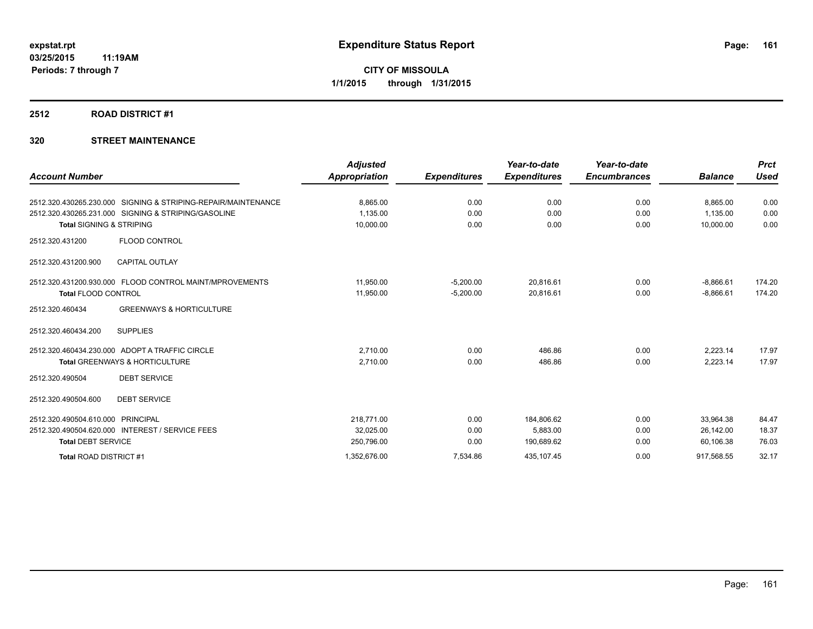# **2512 ROAD DISTRICT #1**

| <b>Account Number</b>                                         | <b>Adjusted</b><br><b>Appropriation</b> | <b>Expenditures</b> | Year-to-date<br><b>Expenditures</b> | Year-to-date<br><b>Encumbrances</b> | <b>Balance</b> | <b>Prct</b><br><b>Used</b> |
|---------------------------------------------------------------|-----------------------------------------|---------------------|-------------------------------------|-------------------------------------|----------------|----------------------------|
|                                                               |                                         |                     |                                     |                                     |                |                            |
| 2512.320.430265.230.000 SIGNING & STRIPING-REPAIR/MAINTENANCE | 8,865.00                                | 0.00                | 0.00                                | 0.00                                | 8,865.00       | 0.00                       |
| 2512.320.430265.231.000 SIGNING & STRIPING/GASOLINE           | 1,135.00                                | 0.00                | 0.00                                | 0.00                                | 1,135.00       | 0.00                       |
| <b>Total SIGNING &amp; STRIPING</b>                           | 10,000.00                               | 0.00                | 0.00                                | 0.00                                | 10,000.00      | 0.00                       |
| <b>FLOOD CONTROL</b><br>2512.320.431200                       |                                         |                     |                                     |                                     |                |                            |
| <b>CAPITAL OUTLAY</b><br>2512.320.431200.900                  |                                         |                     |                                     |                                     |                |                            |
| 2512.320.431200.930.000 FLOOD CONTROL MAINT/MPROVEMENTS       | 11,950.00                               | $-5,200.00$         | 20,816.61                           | 0.00                                | $-8,866.61$    | 174.20                     |
| <b>Total FLOOD CONTROL</b>                                    | 11,950.00                               | $-5,200.00$         | 20,816.61                           | 0.00                                | $-8,866.61$    | 174.20                     |
| <b>GREENWAYS &amp; HORTICULTURE</b><br>2512.320.460434        |                                         |                     |                                     |                                     |                |                            |
| <b>SUPPLIES</b><br>2512.320.460434.200                        |                                         |                     |                                     |                                     |                |                            |
| 2512.320.460434.230.000 ADOPT A TRAFFIC CIRCLE                | 2,710.00                                | 0.00                | 486.86                              | 0.00                                | 2,223.14       | 17.97                      |
| Total GREENWAYS & HORTICULTURE                                | 2,710.00                                | 0.00                | 486.86                              | 0.00                                | 2,223.14       | 17.97                      |
| <b>DEBT SERVICE</b><br>2512.320.490504                        |                                         |                     |                                     |                                     |                |                            |
| 2512.320.490504.600<br><b>DEBT SERVICE</b>                    |                                         |                     |                                     |                                     |                |                            |
| <b>PRINCIPAL</b><br>2512.320.490504.610.000                   | 218,771.00                              | 0.00                | 184,806.62                          | 0.00                                | 33.964.38      | 84.47                      |
| 2512.320.490504.620.000 INTEREST / SERVICE FEES               | 32,025.00                               | 0.00                | 5,883.00                            | 0.00                                | 26,142.00      | 18.37                      |
| <b>Total DEBT SERVICE</b>                                     | 250,796.00                              | 0.00                | 190,689.62                          | 0.00                                | 60,106.38      | 76.03                      |
| Total ROAD DISTRICT #1                                        | 1,352,676.00                            | 7,534.86            | 435,107.45                          | 0.00                                | 917,568.55     | 32.17                      |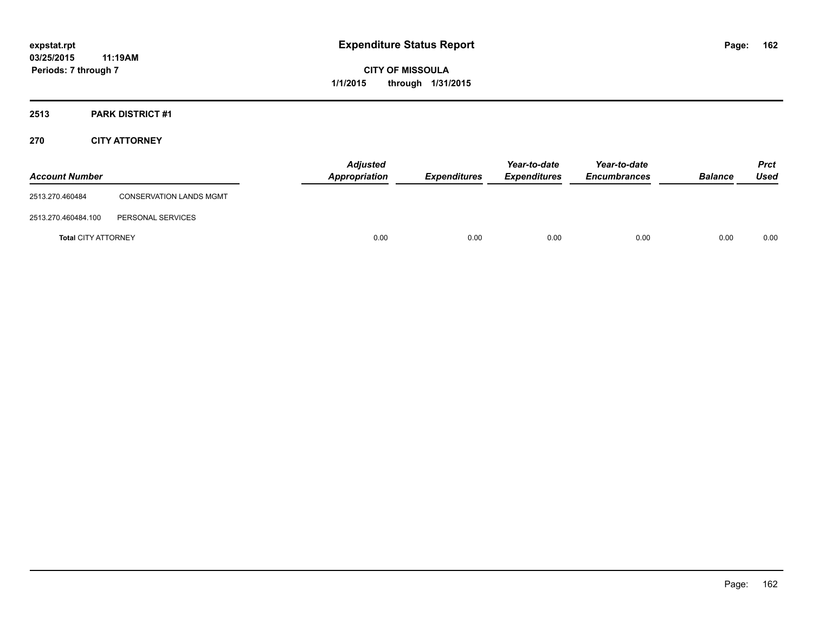**CITY OF MISSOULA 1/1/2015 through 1/31/2015**

# **2513 PARK DISTRICT #1**

# **270 CITY ATTORNEY**

| <b>Account Number</b>      |                                | <b>Adjusted</b><br><b>Appropriation</b> | Expenditures | Year-to-date<br><b>Expenditures</b> | Year-to-date<br><b>Encumbrances</b> | <b>Balance</b> | <b>Prct</b><br>Used |
|----------------------------|--------------------------------|-----------------------------------------|--------------|-------------------------------------|-------------------------------------|----------------|---------------------|
| 2513.270.460484            | <b>CONSERVATION LANDS MGMT</b> |                                         |              |                                     |                                     |                |                     |
| 2513.270.460484.100        | PERSONAL SERVICES              |                                         |              |                                     |                                     |                |                     |
| <b>Total CITY ATTORNEY</b> |                                | 0.00                                    | 0.00         | 0.00                                | 0.00                                | 0.00           | 0.00                |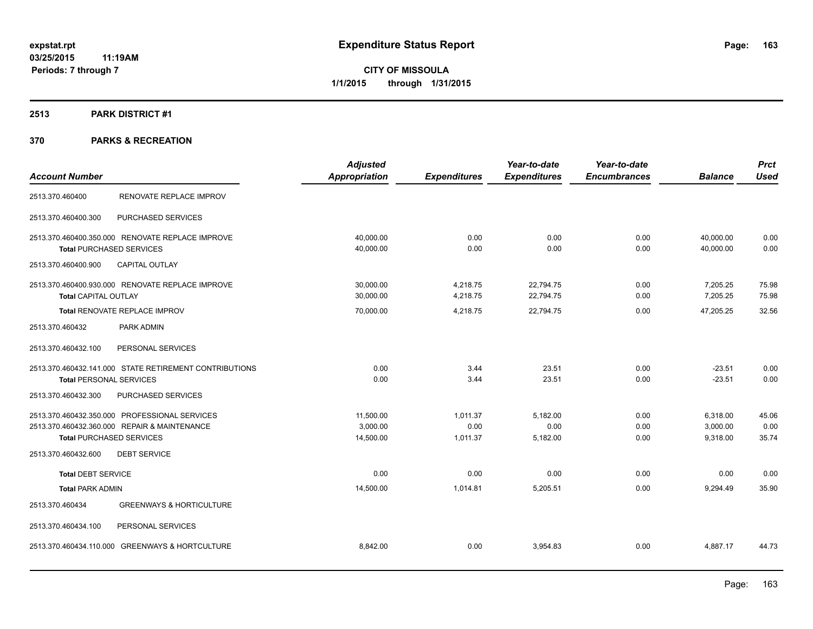# **2513 PARK DISTRICT #1**

|                                                        | <b>Adjusted</b> |                     | Year-to-date        | Year-to-date        |                | <b>Prct</b> |
|--------------------------------------------------------|-----------------|---------------------|---------------------|---------------------|----------------|-------------|
| <b>Account Number</b>                                  | Appropriation   | <b>Expenditures</b> | <b>Expenditures</b> | <b>Encumbrances</b> | <b>Balance</b> | <b>Used</b> |
| RENOVATE REPLACE IMPROV<br>2513.370.460400             |                 |                     |                     |                     |                |             |
| PURCHASED SERVICES<br>2513.370.460400.300              |                 |                     |                     |                     |                |             |
| 2513.370.460400.350.000 RENOVATE REPLACE IMPROVE       | 40,000.00       | 0.00                | 0.00                | 0.00                | 40,000.00      | 0.00        |
| <b>Total PURCHASED SERVICES</b>                        | 40,000.00       | 0.00                | 0.00                | 0.00                | 40,000.00      | 0.00        |
| <b>CAPITAL OUTLAY</b><br>2513.370.460400.900           |                 |                     |                     |                     |                |             |
| 2513.370.460400.930.000 RENOVATE REPLACE IMPROVE       | 30,000.00       | 4,218.75            | 22,794.75           | 0.00                | 7,205.25       | 75.98       |
| <b>Total CAPITAL OUTLAY</b>                            | 30,000.00       | 4,218.75            | 22,794.75           | 0.00                | 7,205.25       | 75.98       |
| <b>Total RENOVATE REPLACE IMPROV</b>                   | 70,000.00       | 4,218.75            | 22,794.75           | 0.00                | 47,205.25      | 32.56       |
| 2513.370.460432<br>PARK ADMIN                          |                 |                     |                     |                     |                |             |
| 2513.370.460432.100<br>PERSONAL SERVICES               |                 |                     |                     |                     |                |             |
| 2513.370.460432.141.000 STATE RETIREMENT CONTRIBUTIONS | 0.00            | 3.44                | 23.51               | 0.00                | $-23.51$       | 0.00        |
| <b>Total PERSONAL SERVICES</b>                         | 0.00            | 3.44                | 23.51               | 0.00                | $-23.51$       | 0.00        |
| PURCHASED SERVICES<br>2513.370.460432.300              |                 |                     |                     |                     |                |             |
| 2513.370.460432.350.000 PROFESSIONAL SERVICES          | 11,500.00       | 1,011.37            | 5,182.00            | 0.00                | 6,318.00       | 45.06       |
| 2513.370.460432.360.000 REPAIR & MAINTENANCE           | 3.000.00        | 0.00                | 0.00                | 0.00                | 3,000.00       | 0.00        |
| <b>Total PURCHASED SERVICES</b>                        | 14,500.00       | 1,011.37            | 5,182.00            | 0.00                | 9,318.00       | 35.74       |
| 2513.370.460432.600<br><b>DEBT SERVICE</b>             |                 |                     |                     |                     |                |             |
| <b>Total DEBT SERVICE</b>                              | 0.00            | 0.00                | 0.00                | 0.00                | 0.00           | 0.00        |
| <b>Total PARK ADMIN</b>                                | 14,500.00       | 1,014.81            | 5,205.51            | 0.00                | 9,294.49       | 35.90       |
| 2513.370.460434<br><b>GREENWAYS &amp; HORTICULTURE</b> |                 |                     |                     |                     |                |             |
| 2513.370.460434.100<br>PERSONAL SERVICES               |                 |                     |                     |                     |                |             |
| 2513.370.460434.110.000 GREENWAYS & HORTCULTURE        | 8,842.00        | 0.00                | 3,954.83            | 0.00                | 4,887.17       | 44.73       |
|                                                        |                 |                     |                     |                     |                |             |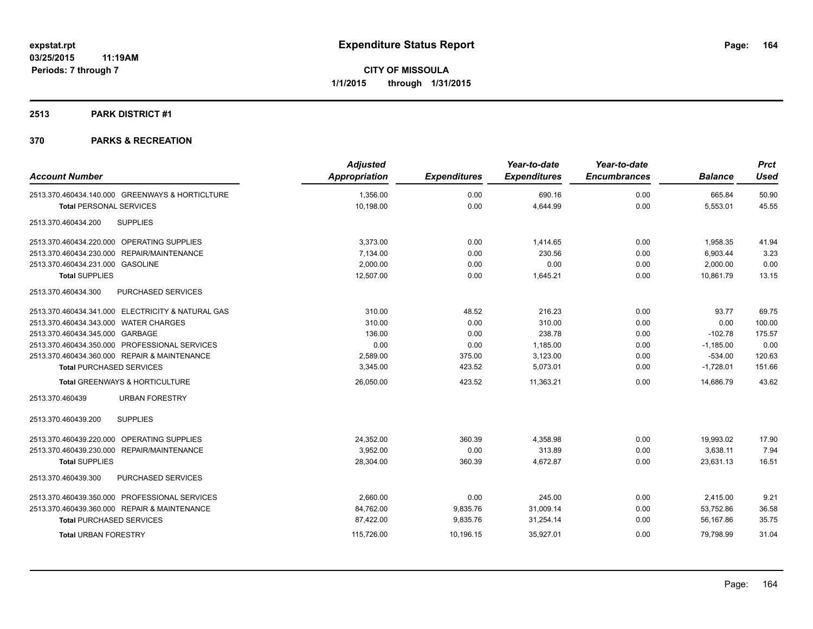# **2513 PARK DISTRICT #1**

| <b>Account Number</b>                             | <b>Adjusted</b><br><b>Appropriation</b> | <b>Expenditures</b> | Year-to-date<br><b>Expenditures</b> | Year-to-date<br><b>Encumbrances</b> | <b>Balance</b> | <b>Prct</b><br><b>Used</b> |
|---------------------------------------------------|-----------------------------------------|---------------------|-------------------------------------|-------------------------------------|----------------|----------------------------|
| 2513.370.460434.140.000 GREENWAYS & HORTICLTURE   | 1,356.00                                | 0.00                | 690.16                              | 0.00                                | 665.84         | 50.90                      |
| <b>Total PERSONAL SERVICES</b>                    | 10,198.00                               | 0.00                | 4,644.99                            | 0.00                                | 5,553.01       | 45.55                      |
| <b>SUPPLIES</b><br>2513.370.460434.200            |                                         |                     |                                     |                                     |                |                            |
| 2513.370.460434.220.000 OPERATING SUPPLIES        | 3,373.00                                | 0.00                | 1,414.65                            | 0.00                                | 1,958.35       | 41.94                      |
| 2513.370.460434.230.000 REPAIR/MAINTENANCE        | 7,134.00                                | 0.00                | 230.56                              | 0.00                                | 6,903.44       | 3.23                       |
| 2513.370.460434.231.000 GASOLINE                  | 2,000.00                                | 0.00                | 0.00                                | 0.00                                | 2,000.00       | 0.00                       |
| <b>Total SUPPLIES</b>                             | 12,507.00                               | 0.00                | 1,645.21                            | 0.00                                | 10,861.79      | 13.15                      |
| 2513.370.460434.300<br>PURCHASED SERVICES         |                                         |                     |                                     |                                     |                |                            |
| 2513.370.460434.341.000 ELECTRICITY & NATURAL GAS | 310.00                                  | 48.52               | 216.23                              | 0.00                                | 93.77          | 69.75                      |
| 2513.370.460434.343.000 WATER CHARGES             | 310.00                                  | 0.00                | 310.00                              | 0.00                                | 0.00           | 100.00                     |
| 2513.370.460434.345.000 GARBAGE                   | 136.00                                  | 0.00                | 238.78                              | 0.00                                | $-102.78$      | 175.57                     |
| 2513.370.460434.350.000 PROFESSIONAL SERVICES     | 0.00                                    | 0.00                | 1,185.00                            | 0.00                                | $-1,185.00$    | 0.00                       |
| 2513.370.460434.360.000 REPAIR & MAINTENANCE      | 2,589.00                                | 375.00              | 3,123.00                            | 0.00                                | $-534.00$      | 120.63                     |
| <b>Total PURCHASED SERVICES</b>                   | 3,345.00                                | 423.52              | 5,073.01                            | 0.00                                | $-1,728.01$    | 151.66                     |
| <b>Total GREENWAYS &amp; HORTICULTURE</b>         | 26,050.00                               | 423.52              | 11,363.21                           | 0.00                                | 14,686.79      | 43.62                      |
| <b>URBAN FORESTRY</b><br>2513.370.460439          |                                         |                     |                                     |                                     |                |                            |
| <b>SUPPLIES</b><br>2513.370.460439.200            |                                         |                     |                                     |                                     |                |                            |
| 2513.370.460439.220.000 OPERATING SUPPLIES        | 24,352.00                               | 360.39              | 4.358.98                            | 0.00                                | 19,993.02      | 17.90                      |
| 2513.370.460439.230.000 REPAIR/MAINTENANCE        | 3.952.00                                | 0.00                | 313.89                              | 0.00                                | 3.638.11       | 7.94                       |
| <b>Total SUPPLIES</b>                             | 28,304.00                               | 360.39              | 4,672.87                            | 0.00                                | 23,631.13      | 16.51                      |
| PURCHASED SERVICES<br>2513.370.460439.300         |                                         |                     |                                     |                                     |                |                            |
| 2513.370.460439.350.000 PROFESSIONAL SERVICES     | 2,660.00                                | 0.00                | 245.00                              | 0.00                                | 2,415.00       | 9.21                       |
| 2513.370.460439.360.000 REPAIR & MAINTENANCE      | 84,762.00                               | 9,835.76            | 31,009.14                           | 0.00                                | 53,752.86      | 36.58                      |
| <b>Total PURCHASED SERVICES</b>                   | 87,422.00                               | 9,835.76            | 31,254.14                           | 0.00                                | 56,167.86      | 35.75                      |
| <b>Total URBAN FORESTRY</b>                       | 115,726.00                              | 10,196.15           | 35,927.01                           | 0.00                                | 79.798.99      | 31.04                      |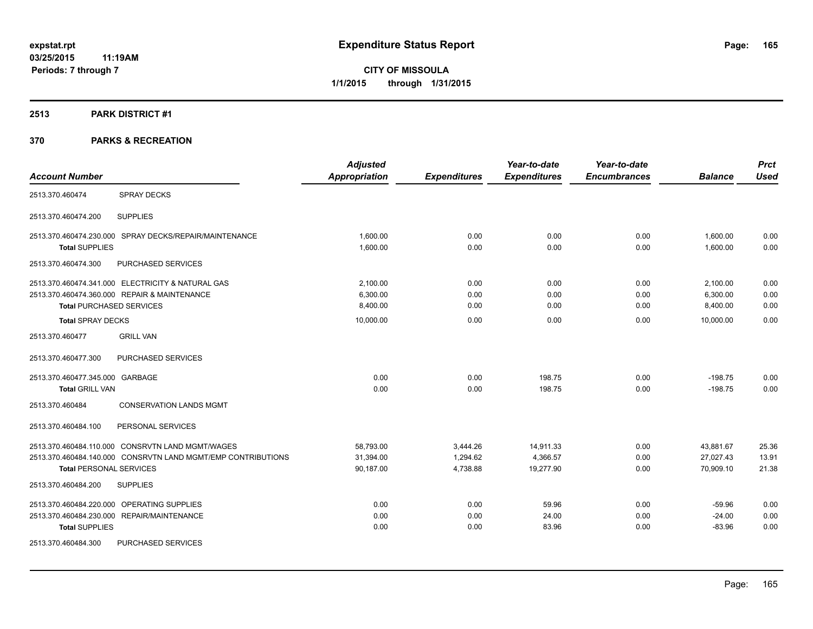# **2513 PARK DISTRICT #1**

|                                 |                                                              | <b>Adjusted</b>      |                     | Year-to-date        | Year-to-date        |                | <b>Prct</b> |
|---------------------------------|--------------------------------------------------------------|----------------------|---------------------|---------------------|---------------------|----------------|-------------|
| <b>Account Number</b>           |                                                              | <b>Appropriation</b> | <b>Expenditures</b> | <b>Expenditures</b> | <b>Encumbrances</b> | <b>Balance</b> | <b>Used</b> |
| 2513.370.460474                 | <b>SPRAY DECKS</b>                                           |                      |                     |                     |                     |                |             |
| 2513.370.460474.200             | <b>SUPPLIES</b>                                              |                      |                     |                     |                     |                |             |
|                                 | 2513.370.460474.230.000 SPRAY DECKS/REPAIR/MAINTENANCE       | 1,600.00             | 0.00                | 0.00                | 0.00                | 1,600.00       | 0.00        |
| <b>Total SUPPLIES</b>           |                                                              | 1,600.00             | 0.00                | 0.00                | 0.00                | 1,600.00       | 0.00        |
| 2513.370.460474.300             | PURCHASED SERVICES                                           |                      |                     |                     |                     |                |             |
|                                 | 2513.370.460474.341.000 ELECTRICITY & NATURAL GAS            | 2,100.00             | 0.00                | 0.00                | 0.00                | 2,100.00       | 0.00        |
|                                 | 2513.370.460474.360.000 REPAIR & MAINTENANCE                 | 6,300.00             | 0.00                | 0.00                | 0.00                | 6,300.00       | 0.00        |
| <b>Total PURCHASED SERVICES</b> |                                                              | 8,400.00             | 0.00                | 0.00                | 0.00                | 8,400.00       | 0.00        |
| <b>Total SPRAY DECKS</b>        |                                                              | 10,000.00            | 0.00                | 0.00                | 0.00                | 10.000.00      | 0.00        |
| 2513.370.460477                 | <b>GRILL VAN</b>                                             |                      |                     |                     |                     |                |             |
| 2513.370.460477.300             | PURCHASED SERVICES                                           |                      |                     |                     |                     |                |             |
| 2513.370.460477.345.000 GARBAGE |                                                              | 0.00                 | 0.00                | 198.75              | 0.00                | $-198.75$      | 0.00        |
| <b>Total GRILL VAN</b>          |                                                              | 0.00                 | 0.00                | 198.75              | 0.00                | $-198.75$      | 0.00        |
| 2513.370.460484                 | <b>CONSERVATION LANDS MGMT</b>                               |                      |                     |                     |                     |                |             |
| 2513.370.460484.100             | PERSONAL SERVICES                                            |                      |                     |                     |                     |                |             |
|                                 | 2513.370.460484.110.000 CONSRVTN LAND MGMT/WAGES             | 58,793.00            | 3,444.26            | 14,911.33           | 0.00                | 43,881.67      | 25.36       |
|                                 | 2513.370.460484.140.000 CONSRVTN LAND MGMT/EMP CONTRIBUTIONS | 31,394.00            | 1,294.62            | 4,366.57            | 0.00                | 27,027.43      | 13.91       |
| <b>Total PERSONAL SERVICES</b>  |                                                              | 90,187.00            | 4,738.88            | 19,277.90           | 0.00                | 70,909.10      | 21.38       |
| 2513.370.460484.200             | <b>SUPPLIES</b>                                              |                      |                     |                     |                     |                |             |
|                                 | 2513.370.460484.220.000 OPERATING SUPPLIES                   | 0.00                 | 0.00                | 59.96               | 0.00                | $-59.96$       | 0.00        |
|                                 | 2513.370.460484.230.000 REPAIR/MAINTENANCE                   | 0.00                 | 0.00                | 24.00               | 0.00                | $-24.00$       | 0.00        |
| <b>Total SUPPLIES</b>           |                                                              | 0.00                 | 0.00                | 83.96               | 0.00                | $-83.96$       | 0.00        |
| 2513.370.460484.300             | PURCHASED SERVICES                                           |                      |                     |                     |                     |                |             |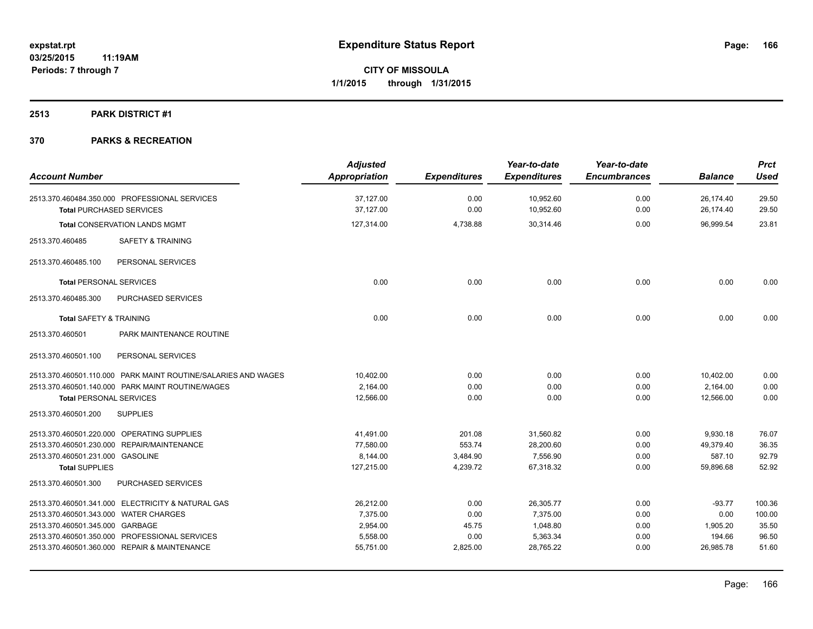# **2513 PARK DISTRICT #1**

| <b>Account Number</b>                                                            | <b>Adjusted</b><br>Appropriation | <b>Expenditures</b> | Year-to-date<br><b>Expenditures</b> | Year-to-date<br><b>Encumbrances</b> | <b>Balance</b>         | <b>Prct</b><br><b>Used</b> |
|----------------------------------------------------------------------------------|----------------------------------|---------------------|-------------------------------------|-------------------------------------|------------------------|----------------------------|
| 2513.370.460484.350.000 PROFESSIONAL SERVICES<br><b>Total PURCHASED SERVICES</b> | 37,127.00<br>37,127.00           | 0.00<br>0.00        | 10,952.60<br>10,952.60              | 0.00<br>0.00                        | 26,174.40<br>26,174.40 | 29.50<br>29.50             |
| <b>Total CONSERVATION LANDS MGMT</b>                                             | 127,314.00                       | 4,738.88            | 30,314.46                           | 0.00                                | 96.999.54              | 23.81                      |
| <b>SAFETY &amp; TRAINING</b><br>2513.370.460485                                  |                                  |                     |                                     |                                     |                        |                            |
| 2513.370.460485.100<br>PERSONAL SERVICES                                         |                                  |                     |                                     |                                     |                        |                            |
| <b>Total PERSONAL SERVICES</b>                                                   | 0.00                             | 0.00                | 0.00                                | 0.00                                | 0.00                   | 0.00                       |
| PURCHASED SERVICES<br>2513.370.460485.300                                        |                                  |                     |                                     |                                     |                        |                            |
| <b>Total SAFETY &amp; TRAINING</b>                                               | 0.00                             | 0.00                | 0.00                                | 0.00                                | 0.00                   | 0.00                       |
| PARK MAINTENANCE ROUTINE<br>2513.370.460501                                      |                                  |                     |                                     |                                     |                        |                            |
| PERSONAL SERVICES<br>2513.370.460501.100                                         |                                  |                     |                                     |                                     |                        |                            |
| 2513.370.460501.110.000 PARK MAINT ROUTINE/SALARIES AND WAGES                    | 10,402.00                        | 0.00                | 0.00                                | 0.00                                | 10,402.00              | 0.00                       |
| 2513.370.460501.140.000 PARK MAINT ROUTINE/WAGES                                 | 2,164.00                         | 0.00                | 0.00                                | 0.00                                | 2,164.00               | 0.00                       |
| <b>Total PERSONAL SERVICES</b>                                                   | 12,566.00                        | 0.00                | 0.00                                | 0.00                                | 12,566.00              | 0.00                       |
| <b>SUPPLIES</b><br>2513.370.460501.200                                           |                                  |                     |                                     |                                     |                        |                            |
| 2513.370.460501.220.000 OPERATING SUPPLIES                                       | 41,491.00                        | 201.08              | 31,560.82                           | 0.00                                | 9,930.18               | 76.07                      |
| 2513.370.460501.230.000 REPAIR/MAINTENANCE                                       | 77.580.00                        | 553.74              | 28.200.60                           | 0.00                                | 49.379.40              | 36.35                      |
| 2513.370.460501.231.000 GASOLINE                                                 | 8.144.00                         | 3,484.90            | 7,556.90                            | 0.00                                | 587.10                 | 92.79                      |
| <b>Total SUPPLIES</b>                                                            | 127,215.00                       | 4,239.72            | 67,318.32                           | 0.00                                | 59,896.68              | 52.92                      |
| 2513.370.460501.300<br><b>PURCHASED SERVICES</b>                                 |                                  |                     |                                     |                                     |                        |                            |
| 2513.370.460501.341.000 ELECTRICITY & NATURAL GAS                                | 26,212.00                        | 0.00                | 26,305.77                           | 0.00                                | $-93.77$               | 100.36                     |
| 2513.370.460501.343.000 WATER CHARGES                                            | 7,375.00                         | 0.00                | 7.375.00                            | 0.00                                | 0.00                   | 100.00                     |
| 2513.370.460501.345.000 GARBAGE                                                  | 2,954.00                         | 45.75               | 1,048.80                            | 0.00                                | 1,905.20               | 35.50                      |
| 2513.370.460501.350.000 PROFESSIONAL SERVICES                                    | 5,558.00                         | 0.00                | 5,363.34                            | 0.00                                | 194.66                 | 96.50                      |
| 2513.370.460501.360.000 REPAIR & MAINTENANCE                                     | 55,751.00                        | 2,825.00            | 28,765.22                           | 0.00                                | 26,985.78              | 51.60                      |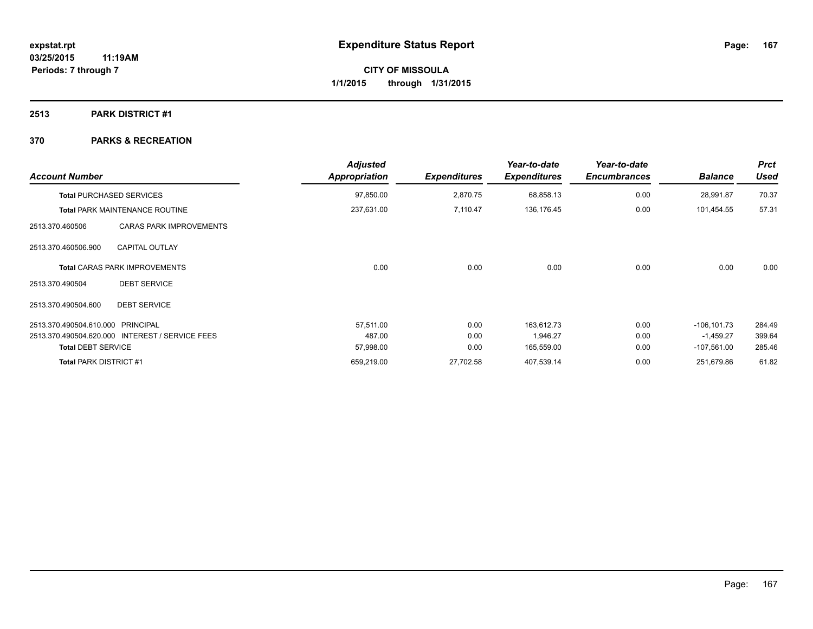# **2513 PARK DISTRICT #1**

| <b>Account Number</b>                             | <b>Adjusted</b><br>Appropriation | <b>Expenditures</b>  | Year-to-date<br><b>Expenditures</b> | Year-to-date<br><b>Encumbrances</b> | <b>Balance</b> | <b>Prct</b><br>Used |
|---------------------------------------------------|----------------------------------|----------------------|-------------------------------------|-------------------------------------|----------------|---------------------|
| <b>Total PURCHASED SERVICES</b>                   | 97,850.00                        | 2,870.75<br>7,110.47 | 68,858.13<br>136,176.45             | 0.00<br>0.00                        | 28,991.87      | 70.37               |
| <b>Total PARK MAINTENANCE ROUTINE</b>             | 237,631.00                       |                      |                                     |                                     | 101,454.55     | 57.31               |
| <b>CARAS PARK IMPROVEMENTS</b><br>2513.370.460506 |                                  |                      |                                     |                                     |                |                     |
| <b>CAPITAL OUTLAY</b><br>2513.370.460506.900      |                                  |                      |                                     |                                     |                |                     |
| <b>Total CARAS PARK IMPROVEMENTS</b>              | 0.00                             | 0.00                 | 0.00                                | 0.00                                | 0.00           | 0.00                |
| <b>DEBT SERVICE</b><br>2513.370.490504            |                                  |                      |                                     |                                     |                |                     |
| <b>DEBT SERVICE</b><br>2513.370.490504.600        |                                  |                      |                                     |                                     |                |                     |
| 2513.370.490504.610.000 PRINCIPAL                 | 57.511.00                        | 0.00                 | 163,612.73                          | 0.00                                | $-106, 101.73$ | 284.49              |
| 2513.370.490504.620.000 INTEREST / SERVICE FEES   | 487.00                           | 0.00                 | 1,946.27                            | 0.00                                | $-1,459.27$    | 399.64              |
| <b>Total DEBT SERVICE</b>                         | 57,998.00                        | 0.00                 | 165,559.00                          | 0.00                                | $-107,561.00$  | 285.46              |
| <b>Total PARK DISTRICT #1</b>                     | 659,219.00                       | 27,702.58            | 407,539.14                          | 0.00                                | 251,679.86     | 61.82               |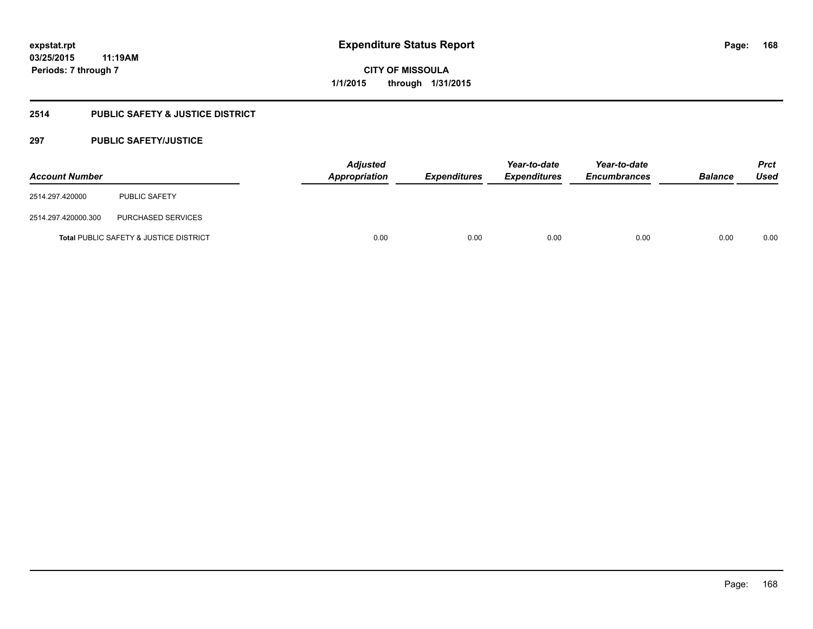# **2514 PUBLIC SAFETY & JUSTICE DISTRICT**

# **297 PUBLIC SAFETY/JUSTICE**

| <b>Account Number</b> |                                                   | <b>Adjusted</b><br>Appropriation | <b>Expenditures</b> | Year-to-date<br><b>Expenditures</b> | Year-to-date<br><b>Encumbrances</b> | <b>Balance</b> | <b>Prct</b><br><b>Used</b> |
|-----------------------|---------------------------------------------------|----------------------------------|---------------------|-------------------------------------|-------------------------------------|----------------|----------------------------|
| 2514.297.420000       | <b>PUBLIC SAFETY</b>                              |                                  |                     |                                     |                                     |                |                            |
| 2514.297.420000.300   | PURCHASED SERVICES                                |                                  |                     |                                     |                                     |                |                            |
|                       | <b>Total PUBLIC SAFETY &amp; JUSTICE DISTRICT</b> | 0.00                             | 0.00                | 0.00                                | 0.00                                | 0.00           | 0.00                       |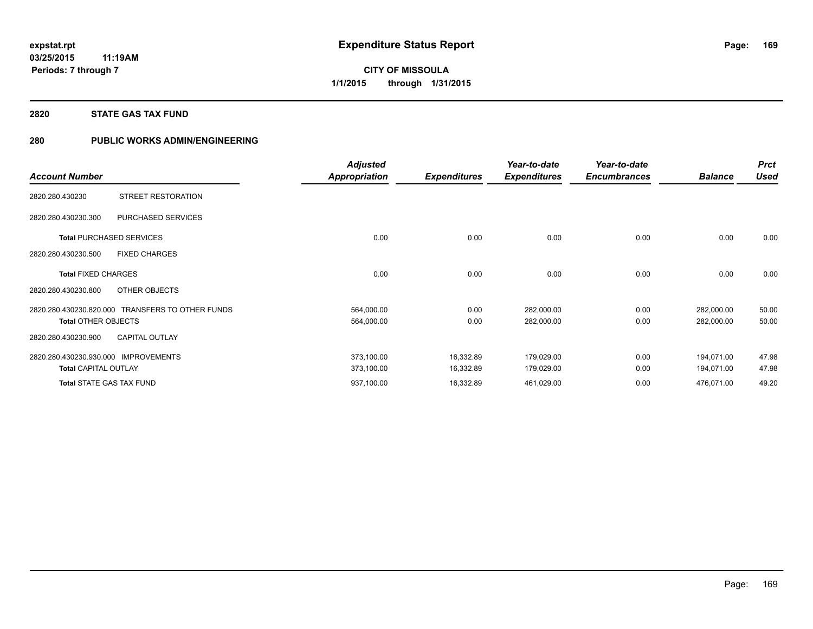# **2820 STATE GAS TAX FUND**

# **280 PUBLIC WORKS ADMIN/ENGINEERING**

|                                 |                                                  | <b>Adjusted</b>      |                     | Year-to-date        | Year-to-date        |                | <b>Prct</b> |
|---------------------------------|--------------------------------------------------|----------------------|---------------------|---------------------|---------------------|----------------|-------------|
| <b>Account Number</b>           |                                                  | <b>Appropriation</b> | <b>Expenditures</b> | <b>Expenditures</b> | <b>Encumbrances</b> | <b>Balance</b> | <b>Used</b> |
| 2820.280.430230                 | STREET RESTORATION                               |                      |                     |                     |                     |                |             |
| 2820.280.430230.300             | PURCHASED SERVICES                               |                      |                     |                     |                     |                |             |
| <b>Total PURCHASED SERVICES</b> |                                                  | 0.00                 | 0.00                | 0.00                | 0.00                | 0.00           | 0.00        |
| 2820.280.430230.500             | <b>FIXED CHARGES</b>                             |                      |                     |                     |                     |                |             |
| <b>Total FIXED CHARGES</b>      |                                                  | 0.00                 | 0.00                | 0.00                | 0.00                | 0.00           | 0.00        |
| 2820.280.430230.800             | OTHER OBJECTS                                    |                      |                     |                     |                     |                |             |
|                                 | 2820.280.430230.820.000 TRANSFERS TO OTHER FUNDS | 564,000.00           | 0.00                | 282,000.00          | 0.00                | 282,000.00     | 50.00       |
| <b>Total OTHER OBJECTS</b>      |                                                  | 564,000.00           | 0.00                | 282,000.00          | 0.00                | 282,000.00     | 50.00       |
| 2820.280.430230.900             | <b>CAPITAL OUTLAY</b>                            |                      |                     |                     |                     |                |             |
| 2820.280.430230.930.000         | <b>IMPROVEMENTS</b>                              | 373,100.00           | 16,332.89           | 179,029.00          | 0.00                | 194.071.00     | 47.98       |
| <b>Total CAPITAL OUTLAY</b>     |                                                  | 373,100.00           | 16,332.89           | 179,029.00          | 0.00                | 194,071.00     | 47.98       |
| <b>Total STATE GAS TAX FUND</b> |                                                  | 937,100.00           | 16,332.89           | 461,029.00          | 0.00                | 476,071.00     | 49.20       |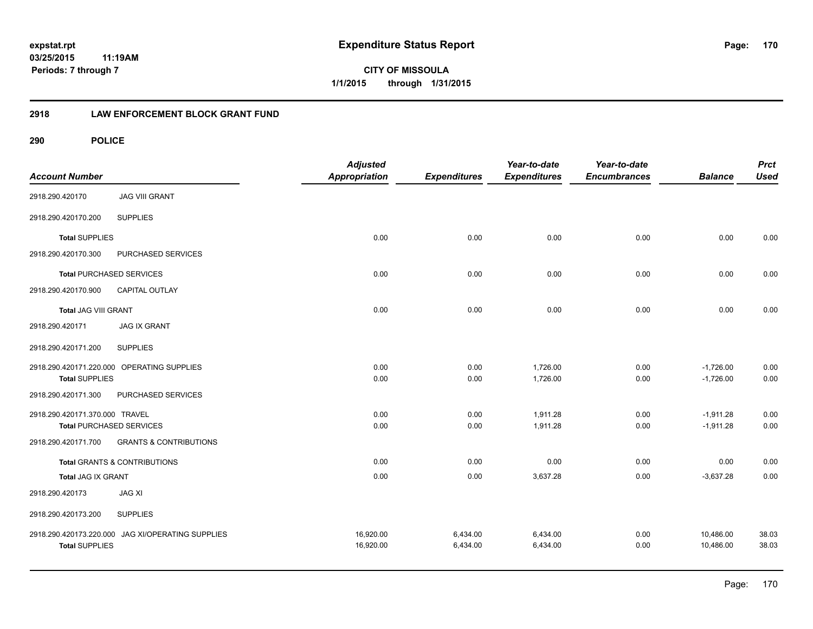**CITY OF MISSOULA 1/1/2015 through 1/31/2015**

# **2918 LAW ENFORCEMENT BLOCK GRANT FUND**

| <b>Account Number</b>          |                                            | <b>Adjusted</b><br><b>Appropriation</b> | <b>Expenditures</b> | Year-to-date<br><b>Expenditures</b> | Year-to-date<br><b>Encumbrances</b> | <b>Balance</b> | <b>Prct</b><br><b>Used</b> |
|--------------------------------|--------------------------------------------|-----------------------------------------|---------------------|-------------------------------------|-------------------------------------|----------------|----------------------------|
| 2918.290.420170                | <b>JAG VIII GRANT</b>                      |                                         |                     |                                     |                                     |                |                            |
| 2918.290.420170.200            | <b>SUPPLIES</b>                            |                                         |                     |                                     |                                     |                |                            |
| <b>Total SUPPLIES</b>          |                                            | 0.00                                    | 0.00                | 0.00                                | 0.00                                | 0.00           | 0.00                       |
| 2918.290.420170.300            | PURCHASED SERVICES                         |                                         |                     |                                     |                                     |                |                            |
|                                | <b>Total PURCHASED SERVICES</b>            | 0.00                                    | 0.00                | 0.00                                | 0.00                                | 0.00           | 0.00                       |
| 2918.290.420170.900            | CAPITAL OUTLAY                             |                                         |                     |                                     |                                     |                |                            |
| <b>Total JAG VIII GRANT</b>    |                                            | 0.00                                    | 0.00                | 0.00                                | 0.00                                | 0.00           | 0.00                       |
| 2918.290.420171                | <b>JAG IX GRANT</b>                        |                                         |                     |                                     |                                     |                |                            |
| 2918.290.420171.200            | <b>SUPPLIES</b>                            |                                         |                     |                                     |                                     |                |                            |
|                                | 2918.290.420171.220.000 OPERATING SUPPLIES | 0.00                                    | 0.00                | 1,726.00                            | 0.00                                | $-1,726.00$    | 0.00                       |
| <b>Total SUPPLIES</b>          |                                            | 0.00                                    | 0.00                | 1,726.00                            | 0.00                                | $-1,726.00$    | 0.00                       |
| 2918.290.420171.300            | PURCHASED SERVICES                         |                                         |                     |                                     |                                     |                |                            |
| 2918.290.420171.370.000 TRAVEL |                                            | 0.00                                    | 0.00                | 1.911.28                            | 0.00                                | $-1,911.28$    | 0.00                       |
|                                | <b>Total PURCHASED SERVICES</b>            | 0.00                                    | 0.00                | 1,911.28                            | 0.00                                | $-1,911.28$    | 0.00                       |
| 2918.290.420171.700            | <b>GRANTS &amp; CONTRIBUTIONS</b>          |                                         |                     |                                     |                                     |                |                            |
|                                | <b>Total GRANTS &amp; CONTRIBUTIONS</b>    | 0.00                                    | 0.00                | 0.00                                | 0.00                                | 0.00           | 0.00                       |
| <b>Total JAG IX GRANT</b>      |                                            | 0.00                                    | 0.00                | 3,637.28                            | 0.00                                | $-3,637.28$    | 0.00                       |
| 2918.290.420173                | <b>JAG XI</b>                              |                                         |                     |                                     |                                     |                |                            |
| 2918.290.420173.200            | <b>SUPPLIES</b>                            |                                         |                     |                                     |                                     |                |                            |
| 2918.290.420173.220.000        | JAG XI/OPERATING SUPPLIES                  | 16,920.00                               | 6,434.00            | 6,434.00                            | 0.00                                | 10,486.00      | 38.03                      |
| <b>Total SUPPLIES</b>          |                                            | 16,920.00                               | 6,434.00            | 6,434.00                            | 0.00                                | 10,486.00      | 38.03                      |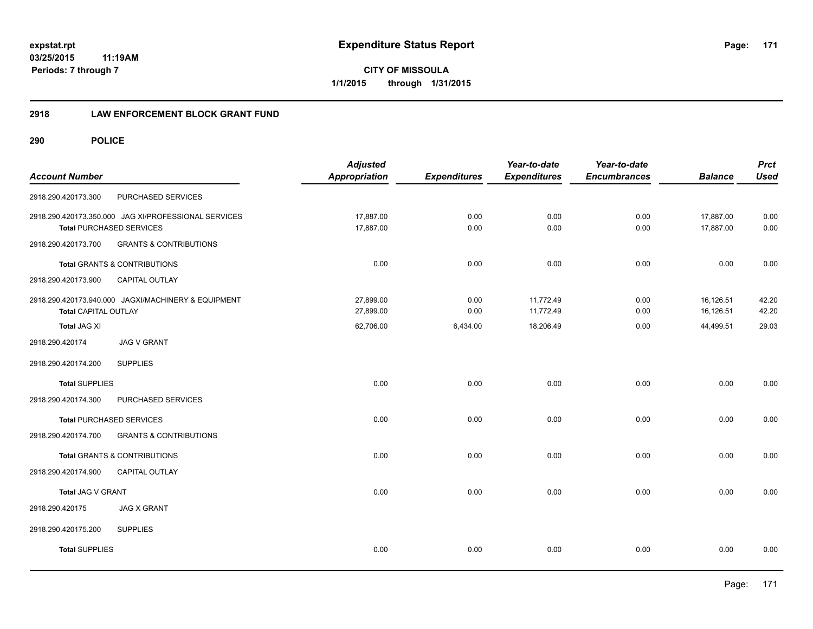**171**

**03/25/2015 11:19AM Periods: 7 through 7**

**CITY OF MISSOULA 1/1/2015 through 1/31/2015**

# **2918 LAW ENFORCEMENT BLOCK GRANT FUND**

| <b>Account Number</b>           |                                                                                         | <b>Adjusted</b><br><b>Appropriation</b> | <b>Expenditures</b> | Year-to-date<br><b>Expenditures</b> | Year-to-date<br><b>Encumbrances</b> | <b>Balance</b>         | <b>Prct</b><br><b>Used</b> |
|---------------------------------|-----------------------------------------------------------------------------------------|-----------------------------------------|---------------------|-------------------------------------|-------------------------------------|------------------------|----------------------------|
| 2918.290.420173.300             | PURCHASED SERVICES                                                                      |                                         |                     |                                     |                                     |                        |                            |
|                                 | 2918.290.420173.350.000 JAG XI/PROFESSIONAL SERVICES<br><b>Total PURCHASED SERVICES</b> | 17,887.00<br>17,887.00                  | 0.00<br>0.00        | 0.00<br>0.00                        | 0.00<br>0.00                        | 17,887.00<br>17,887.00 | 0.00<br>0.00               |
| 2918.290.420173.700             | <b>GRANTS &amp; CONTRIBUTIONS</b>                                                       |                                         |                     |                                     |                                     |                        |                            |
|                                 | Total GRANTS & CONTRIBUTIONS                                                            | 0.00                                    | 0.00                | 0.00                                | 0.00                                | 0.00                   | 0.00                       |
| 2918.290.420173.900             | CAPITAL OUTLAY                                                                          |                                         |                     |                                     |                                     |                        |                            |
| <b>Total CAPITAL OUTLAY</b>     | 2918.290.420173.940.000 JAGXI/MACHINERY & EQUIPMENT                                     | 27,899.00<br>27,899.00                  | 0.00<br>0.00        | 11,772.49<br>11,772.49              | 0.00<br>0.00                        | 16,126.51<br>16,126.51 | 42.20<br>42.20             |
| <b>Total JAG XI</b>             |                                                                                         | 62,706.00                               | 6,434.00            | 18,206.49                           | 0.00                                | 44,499.51              | 29.03                      |
| 2918.290.420174                 | <b>JAG V GRANT</b>                                                                      |                                         |                     |                                     |                                     |                        |                            |
| 2918.290.420174.200             | <b>SUPPLIES</b>                                                                         |                                         |                     |                                     |                                     |                        |                            |
| <b>Total SUPPLIES</b>           |                                                                                         | 0.00                                    | 0.00                | 0.00                                | 0.00                                | 0.00                   | 0.00                       |
| 2918.290.420174.300             | PURCHASED SERVICES                                                                      |                                         |                     |                                     |                                     |                        |                            |
| <b>Total PURCHASED SERVICES</b> |                                                                                         | 0.00                                    | 0.00                | 0.00                                | 0.00                                | 0.00                   | 0.00                       |
| 2918.290.420174.700             | <b>GRANTS &amp; CONTRIBUTIONS</b>                                                       |                                         |                     |                                     |                                     |                        |                            |
|                                 | Total GRANTS & CONTRIBUTIONS                                                            | 0.00                                    | 0.00                | 0.00                                | 0.00                                | 0.00                   | 0.00                       |
| 2918.290.420174.900             | <b>CAPITAL OUTLAY</b>                                                                   |                                         |                     |                                     |                                     |                        |                            |
| Total JAG V GRANT               |                                                                                         | 0.00                                    | 0.00                | 0.00                                | 0.00                                | 0.00                   | 0.00                       |
| 2918.290.420175                 | <b>JAG X GRANT</b>                                                                      |                                         |                     |                                     |                                     |                        |                            |
| 2918.290.420175.200             | <b>SUPPLIES</b>                                                                         |                                         |                     |                                     |                                     |                        |                            |
| <b>Total SUPPLIES</b>           |                                                                                         | 0.00                                    | 0.00                | 0.00                                | 0.00                                | 0.00                   | 0.00                       |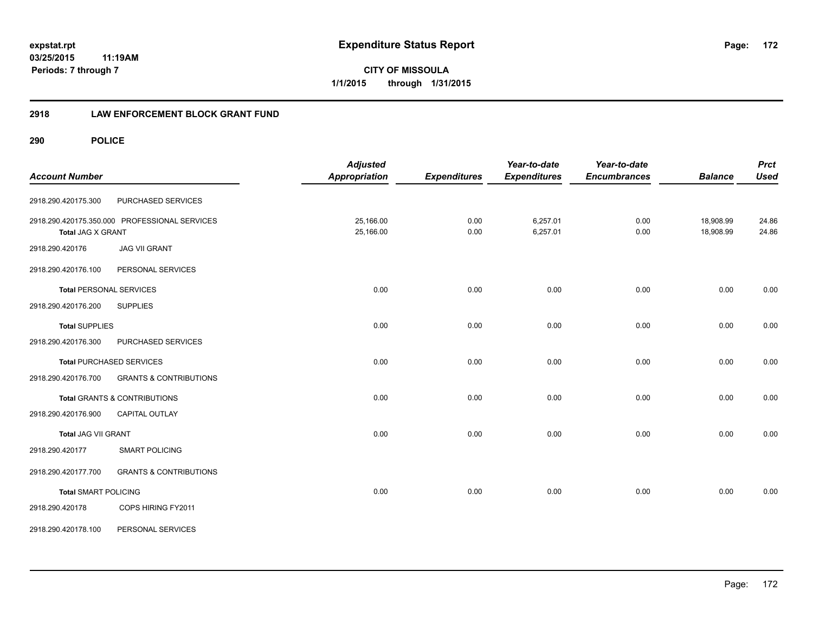**CITY OF MISSOULA 1/1/2015 through 1/31/2015**

# **2918 LAW ENFORCEMENT BLOCK GRANT FUND**

| <b>Account Number</b>          |                                               | <b>Adjusted</b><br><b>Appropriation</b> | <b>Expenditures</b> | Year-to-date<br><b>Expenditures</b> | Year-to-date<br><b>Encumbrances</b> | <b>Balance</b>         | <b>Prct</b><br><b>Used</b> |
|--------------------------------|-----------------------------------------------|-----------------------------------------|---------------------|-------------------------------------|-------------------------------------|------------------------|----------------------------|
| 2918.290.420175.300            | PURCHASED SERVICES                            |                                         |                     |                                     |                                     |                        |                            |
| <b>Total JAG X GRANT</b>       | 2918.290.420175.350.000 PROFESSIONAL SERVICES | 25,166.00<br>25,166.00                  | 0.00<br>0.00        | 6,257.01<br>6,257.01                | 0.00<br>0.00                        | 18,908.99<br>18,908.99 | 24.86<br>24.86             |
| 2918.290.420176                | <b>JAG VII GRANT</b>                          |                                         |                     |                                     |                                     |                        |                            |
| 2918.290.420176.100            | PERSONAL SERVICES                             |                                         |                     |                                     |                                     |                        |                            |
| <b>Total PERSONAL SERVICES</b> |                                               | 0.00                                    | 0.00                | 0.00                                | 0.00                                | 0.00                   | 0.00                       |
| 2918.290.420176.200            | <b>SUPPLIES</b>                               |                                         |                     |                                     |                                     |                        |                            |
| <b>Total SUPPLIES</b>          |                                               | 0.00                                    | 0.00                | 0.00                                | 0.00                                | 0.00                   | 0.00                       |
| 2918.290.420176.300            | PURCHASED SERVICES                            |                                         |                     |                                     |                                     |                        |                            |
|                                | <b>Total PURCHASED SERVICES</b>               | 0.00                                    | 0.00                | 0.00                                | 0.00                                | 0.00                   | 0.00                       |
| 2918.290.420176.700            | <b>GRANTS &amp; CONTRIBUTIONS</b>             |                                         |                     |                                     |                                     |                        |                            |
|                                | <b>Total GRANTS &amp; CONTRIBUTIONS</b>       | 0.00                                    | 0.00                | 0.00                                | 0.00                                | 0.00                   | 0.00                       |
| 2918.290.420176.900            | <b>CAPITAL OUTLAY</b>                         |                                         |                     |                                     |                                     |                        |                            |
| <b>Total JAG VII GRANT</b>     |                                               | 0.00                                    | 0.00                | 0.00                                | 0.00                                | 0.00                   | 0.00                       |
| 2918.290.420177                | <b>SMART POLICING</b>                         |                                         |                     |                                     |                                     |                        |                            |
| 2918.290.420177.700            | <b>GRANTS &amp; CONTRIBUTIONS</b>             |                                         |                     |                                     |                                     |                        |                            |
| <b>Total SMART POLICING</b>    |                                               | 0.00                                    | 0.00                | 0.00                                | 0.00                                | 0.00                   | 0.00                       |
| 2918.290.420178                | COPS HIRING FY2011                            |                                         |                     |                                     |                                     |                        |                            |
| 2918.290.420178.100            | PERSONAL SERVICES                             |                                         |                     |                                     |                                     |                        |                            |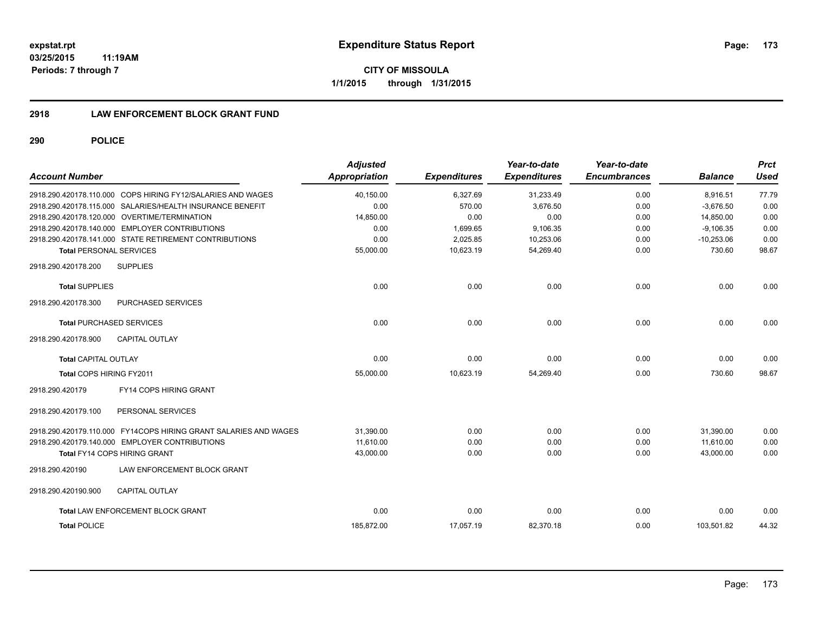**173**

**03/25/2015 11:19AM Periods: 7 through 7**

**CITY OF MISSOULA 1/1/2015 through 1/31/2015**

# **2918 LAW ENFORCEMENT BLOCK GRANT FUND**

| <b>Account Number</b>                        |                                                                  | <b>Adjusted</b><br><b>Appropriation</b> | <b>Expenditures</b> | Year-to-date<br><b>Expenditures</b> | Year-to-date<br><b>Encumbrances</b> | <b>Balance</b> | <b>Prct</b><br><b>Used</b> |
|----------------------------------------------|------------------------------------------------------------------|-----------------------------------------|---------------------|-------------------------------------|-------------------------------------|----------------|----------------------------|
|                                              | 2918.290.420178.110.000 COPS HIRING FY12/SALARIES AND WAGES      | 40,150.00                               | 6,327.69            | 31,233.49                           | 0.00                                | 8,916.51       | 77.79                      |
|                                              | 2918.290.420178.115.000 SALARIES/HEALTH INSURANCE BENEFIT        | 0.00                                    | 570.00              | 3.676.50                            | 0.00                                | $-3.676.50$    | 0.00                       |
| 2918.290.420178.120.000 OVERTIME/TERMINATION |                                                                  | 14,850.00                               | 0.00                | 0.00                                | 0.00                                | 14,850.00      | 0.00                       |
|                                              | 2918.290.420178.140.000 EMPLOYER CONTRIBUTIONS                   | 0.00                                    | 1,699.65            | 9,106.35                            | 0.00                                | $-9.106.35$    | 0.00                       |
|                                              | 2918.290.420178.141.000 STATE RETIREMENT CONTRIBUTIONS           | 0.00                                    | 2,025.85            | 10,253.06                           | 0.00                                | $-10,253.06$   | 0.00                       |
| <b>Total PERSONAL SERVICES</b>               |                                                                  | 55,000.00                               | 10,623.19           | 54,269.40                           | 0.00                                | 730.60         | 98.67                      |
| 2918.290.420178.200                          | <b>SUPPLIES</b>                                                  |                                         |                     |                                     |                                     |                |                            |
| <b>Total SUPPLIES</b>                        |                                                                  | 0.00                                    | 0.00                | 0.00                                | 0.00                                | 0.00           | 0.00                       |
| 2918.290.420178.300                          | PURCHASED SERVICES                                               |                                         |                     |                                     |                                     |                |                            |
| <b>Total PURCHASED SERVICES</b>              |                                                                  | 0.00                                    | 0.00                | 0.00                                | 0.00                                | 0.00           | 0.00                       |
| 2918.290.420178.900                          | <b>CAPITAL OUTLAY</b>                                            |                                         |                     |                                     |                                     |                |                            |
| <b>Total CAPITAL OUTLAY</b>                  |                                                                  | 0.00                                    | 0.00                | 0.00                                | 0.00                                | 0.00           | 0.00                       |
| Total COPS HIRING FY2011                     |                                                                  | 55,000.00                               | 10,623.19           | 54,269.40                           | 0.00                                | 730.60         | 98.67                      |
| 2918.290.420179                              | FY14 COPS HIRING GRANT                                           |                                         |                     |                                     |                                     |                |                            |
| 2918.290.420179.100                          | PERSONAL SERVICES                                                |                                         |                     |                                     |                                     |                |                            |
|                                              | 2918.290.420179.110.000 FY14COPS HIRING GRANT SALARIES AND WAGES | 31,390.00                               | 0.00                | 0.00                                | 0.00                                | 31,390.00      | 0.00                       |
|                                              | 2918.290.420179.140.000 EMPLOYER CONTRIBUTIONS                   | 11.610.00                               | 0.00                | 0.00                                | 0.00                                | 11,610.00      | 0.00                       |
| <b>Total FY14 COPS HIRING GRANT</b>          |                                                                  | 43,000.00                               | 0.00                | 0.00                                | 0.00                                | 43,000.00      | 0.00                       |
| 2918.290.420190                              | LAW ENFORCEMENT BLOCK GRANT                                      |                                         |                     |                                     |                                     |                |                            |
| 2918.290.420190.900                          | <b>CAPITAL OUTLAY</b>                                            |                                         |                     |                                     |                                     |                |                            |
|                                              | <b>Total LAW ENFORCEMENT BLOCK GRANT</b>                         | 0.00                                    | 0.00                | 0.00                                | 0.00                                | 0.00           | 0.00                       |
| <b>Total POLICE</b>                          |                                                                  | 185,872.00                              | 17,057.19           | 82,370.18                           | 0.00                                | 103,501.82     | 44.32                      |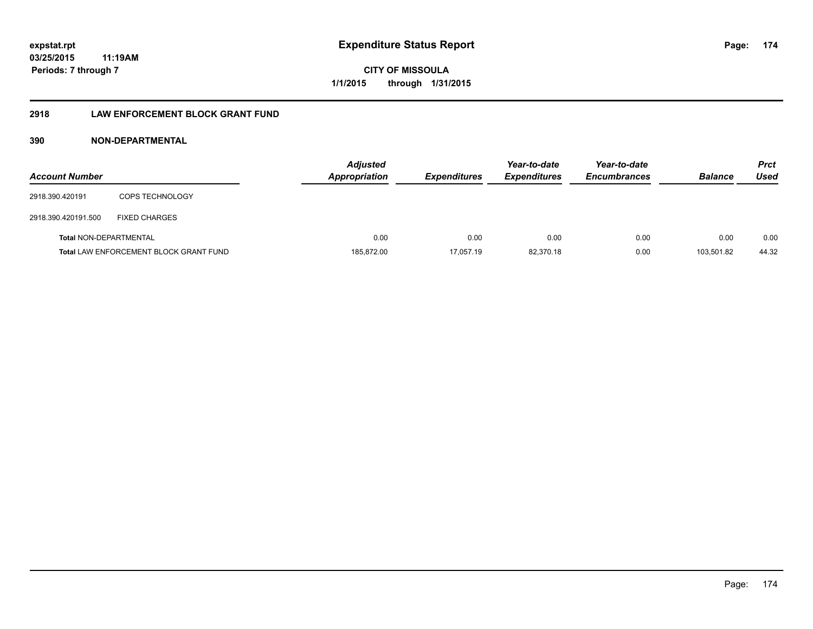# **2918 LAW ENFORCEMENT BLOCK GRANT FUND**

# **390 NON-DEPARTMENTAL**

| <b>Account Number</b>         |                                               | <b>Adjusted</b><br>Appropriation | <b>Expenditures</b> | Year-to-date<br><b>Expenditures</b> | Year-to-date<br><b>Encumbrances</b> | <b>Balance</b> | <b>Prct</b><br>Used |
|-------------------------------|-----------------------------------------------|----------------------------------|---------------------|-------------------------------------|-------------------------------------|----------------|---------------------|
| 2918.390.420191               | <b>COPS TECHNOLOGY</b>                        |                                  |                     |                                     |                                     |                |                     |
| 2918.390.420191.500           | <b>FIXED CHARGES</b>                          |                                  |                     |                                     |                                     |                |                     |
| <b>Total NON-DEPARTMENTAL</b> |                                               | 0.00                             | 0.00                | 0.00                                | 0.00                                | 0.00           | 0.00                |
|                               | <b>Total LAW ENFORCEMENT BLOCK GRANT FUND</b> | 185,872.00                       | 17,057.19           | 82,370.18                           | 0.00                                | 103.501.82     | 44.32               |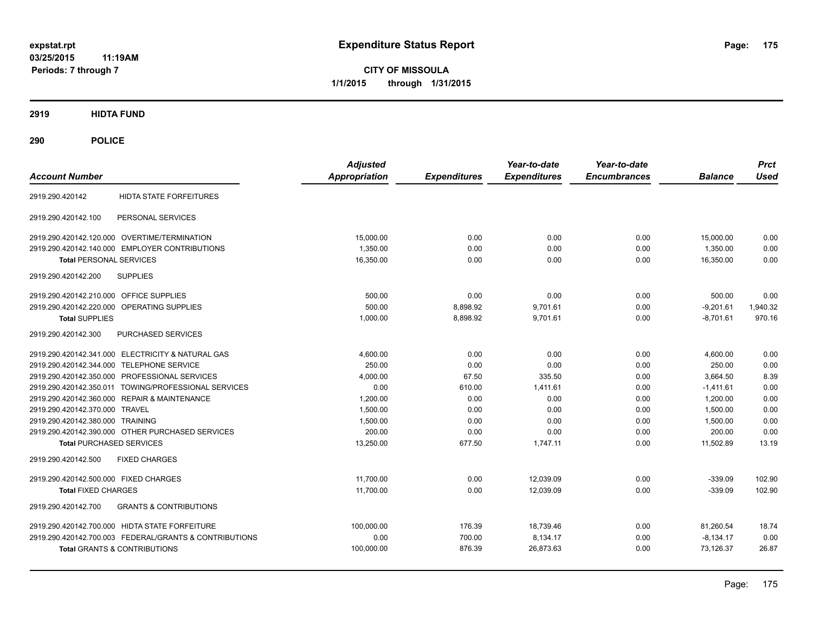**CITY OF MISSOULA 1/1/2015 through 1/31/2015**

# **2919 HIDTA FUND**

| <b>Account Number</b>                                    | <b>Adjusted</b><br><b>Appropriation</b> |                     | Year-to-date<br><b>Expenditures</b> | Year-to-date<br><b>Encumbrances</b> | <b>Balance</b> | <b>Prct</b><br><b>Used</b> |
|----------------------------------------------------------|-----------------------------------------|---------------------|-------------------------------------|-------------------------------------|----------------|----------------------------|
|                                                          |                                         | <b>Expenditures</b> |                                     |                                     |                |                            |
| <b>HIDTA STATE FORFEITURES</b><br>2919.290.420142        |                                         |                     |                                     |                                     |                |                            |
| PERSONAL SERVICES<br>2919.290.420142.100                 |                                         |                     |                                     |                                     |                |                            |
| 2919.290.420142.120.000 OVERTIME/TERMINATION             | 15,000.00                               | 0.00                | 0.00                                | 0.00                                | 15,000.00      | 0.00                       |
| 2919.290.420142.140.000 EMPLOYER CONTRIBUTIONS           | 1,350.00                                | 0.00                | 0.00                                | 0.00                                | 1,350.00       | 0.00                       |
| <b>Total PERSONAL SERVICES</b>                           | 16,350.00                               | 0.00                | 0.00                                | 0.00                                | 16,350.00      | 0.00                       |
| 2919.290.420142.200<br><b>SUPPLIES</b>                   |                                         |                     |                                     |                                     |                |                            |
| 2919.290.420142.210.000 OFFICE SUPPLIES                  | 500.00                                  | 0.00                | 0.00                                | 0.00                                | 500.00         | 0.00                       |
| 2919.290.420142.220.000 OPERATING SUPPLIES               | 500.00                                  | 8,898.92            | 9,701.61                            | 0.00                                | $-9,201.61$    | 1,940.32                   |
| <b>Total SUPPLIES</b>                                    | 1,000.00                                | 8,898.92            | 9,701.61                            | 0.00                                | $-8.701.61$    | 970.16                     |
| <b>PURCHASED SERVICES</b><br>2919.290.420142.300         |                                         |                     |                                     |                                     |                |                            |
| 2919.290.420142.341.000 ELECTRICITY & NATURAL GAS        | 4,600.00                                | 0.00                | 0.00                                | 0.00                                | 4,600.00       | 0.00                       |
| 2919.290.420142.344.000 TELEPHONE SERVICE                | 250.00                                  | 0.00                | 0.00                                | 0.00                                | 250.00         | 0.00                       |
| 2919.290.420142.350.000 PROFESSIONAL SERVICES            | 4,000.00                                | 67.50               | 335.50                              | 0.00                                | 3,664.50       | 8.39                       |
| 2919.290.420142.350.011 TOWING/PROFESSIONAL SERVICES     | 0.00                                    | 610.00              | 1,411.61                            | 0.00                                | $-1,411.61$    | 0.00                       |
| 2919.290.420142.360.000 REPAIR & MAINTENANCE             | 1,200.00                                | 0.00                | 0.00                                | 0.00                                | 1,200.00       | 0.00                       |
| 2919.290.420142.370.000 TRAVEL                           | 1,500.00                                | 0.00                | 0.00                                | 0.00                                | 1,500.00       | 0.00                       |
| 2919.290.420142.380.000 TRAINING                         | 1,500.00                                | 0.00                | 0.00                                | 0.00                                | 1.500.00       | 0.00                       |
| 2919.290.420142.390.000 OTHER PURCHASED SERVICES         | 200.00                                  | 0.00                | 0.00                                | 0.00                                | 200.00         | 0.00                       |
| <b>Total PURCHASED SERVICES</b>                          | 13.250.00                               | 677.50              | 1,747.11                            | 0.00                                | 11,502.89      | 13.19                      |
| <b>FIXED CHARGES</b><br>2919.290.420142.500              |                                         |                     |                                     |                                     |                |                            |
| 2919.290.420142.500.000 FIXED CHARGES                    | 11,700.00                               | 0.00                | 12,039.09                           | 0.00                                | $-339.09$      | 102.90                     |
| <b>Total FIXED CHARGES</b>                               | 11,700.00                               | 0.00                | 12.039.09                           | 0.00                                | $-339.09$      | 102.90                     |
| <b>GRANTS &amp; CONTRIBUTIONS</b><br>2919.290.420142.700 |                                         |                     |                                     |                                     |                |                            |
| 2919.290.420142.700.000 HIDTA STATE FORFEITURE           | 100,000.00                              | 176.39              | 18,739.46                           | 0.00                                | 81,260.54      | 18.74                      |
| 2919.290.420142.700.003 FEDERAL/GRANTS & CONTRIBUTIONS   | 0.00                                    | 700.00              | 8,134.17                            | 0.00                                | $-8,134.17$    | 0.00                       |
| <b>Total GRANTS &amp; CONTRIBUTIONS</b>                  | 100,000.00                              | 876.39              | 26,873.63                           | 0.00                                | 73,126.37      | 26.87                      |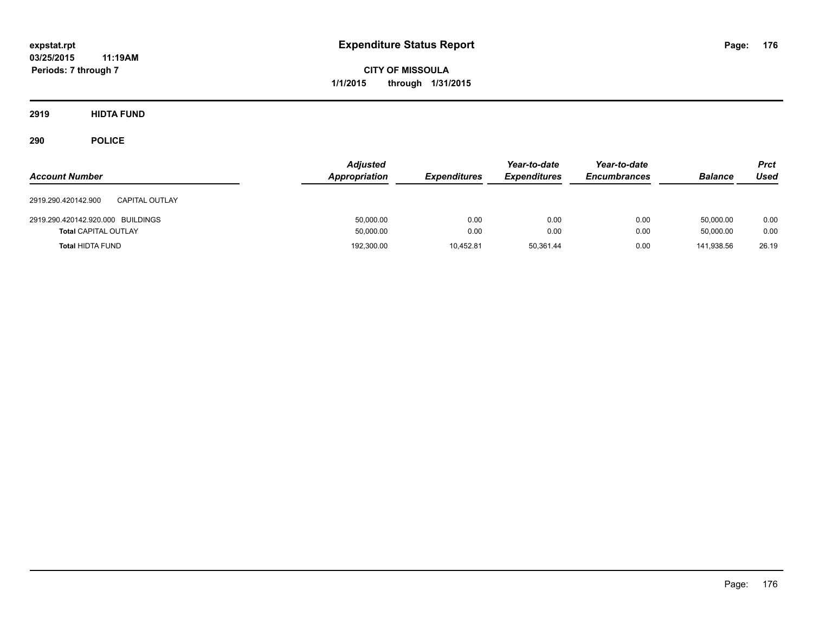**CITY OF MISSOULA 1/1/2015 through 1/31/2015**

**2919 HIDTA FUND**

| <b>Account Number</b>                        | <b>Adjusted</b><br>Appropriation | <b>Expenditures</b> | Year-to-date<br><b>Expenditures</b> | Year-to-date<br><b>Encumbrances</b> | <b>Balance</b> | <b>Prct</b><br>Used |
|----------------------------------------------|----------------------------------|---------------------|-------------------------------------|-------------------------------------|----------------|---------------------|
| 2919.290.420142.900<br><b>CAPITAL OUTLAY</b> |                                  |                     |                                     |                                     |                |                     |
| 2919.290.420142.920.000 BUILDINGS            | 50,000.00                        | 0.00                | 0.00                                | 0.00                                | 50.000.00      | 0.00                |
| <b>Total CAPITAL OUTLAY</b>                  | 50,000.00                        | 0.00                | 0.00                                | 0.00                                | 50.000.00      | 0.00                |
| <b>Total HIDTA FUND</b>                      | 192,300.00                       | 10.452.81           | 50.361.44                           | 0.00                                | 141.938.56     | 26.19               |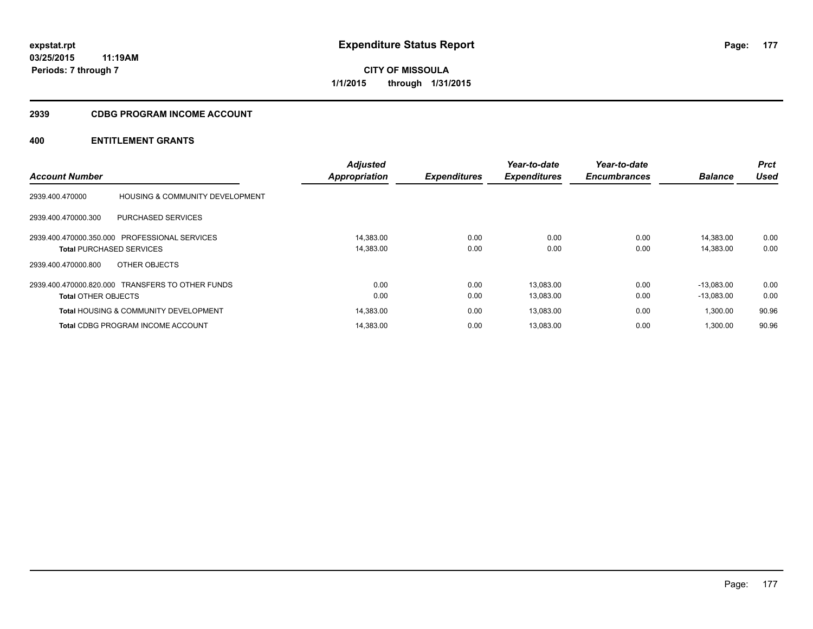**Periods: 7 through 7**

**CITY OF MISSOULA 1/1/2015 through 1/31/2015**

# **2939 CDBG PROGRAM INCOME ACCOUNT**

|                                 |                                                  | <b>Adjusted</b> |                     | Year-to-date        | Year-to-date        |                | <b>Prct</b> |
|---------------------------------|--------------------------------------------------|-----------------|---------------------|---------------------|---------------------|----------------|-------------|
| <b>Account Number</b>           |                                                  | Appropriation   | <b>Expenditures</b> | <b>Expenditures</b> | <b>Encumbrances</b> | <b>Balance</b> | <b>Used</b> |
| 2939.400.470000                 | <b>HOUSING &amp; COMMUNITY DEVELOPMENT</b>       |                 |                     |                     |                     |                |             |
| 2939.400.470000.300             | PURCHASED SERVICES                               |                 |                     |                     |                     |                |             |
|                                 | 2939.400.470000.350.000 PROFESSIONAL SERVICES    | 14.383.00       | 0.00                | 0.00                | 0.00                | 14.383.00      | 0.00        |
| <b>Total PURCHASED SERVICES</b> |                                                  | 14,383.00       | 0.00                | 0.00                | 0.00                | 14,383.00      | 0.00        |
| 2939.400.470000.800             | OTHER OBJECTS                                    |                 |                     |                     |                     |                |             |
|                                 | 2939.400.470000.820.000 TRANSFERS TO OTHER FUNDS | 0.00            | 0.00                | 13,083.00           | 0.00                | $-13.083.00$   | 0.00        |
| <b>Total OTHER OBJECTS</b>      |                                                  | 0.00            | 0.00                | 13,083.00           | 0.00                | $-13,083.00$   | 0.00        |
|                                 | <b>Total HOUSING &amp; COMMUNITY DEVELOPMENT</b> | 14,383.00       | 0.00                | 13,083.00           | 0.00                | 1,300.00       | 90.96       |
|                                 | <b>Total CDBG PROGRAM INCOME ACCOUNT</b>         | 14.383.00       | 0.00                | 13.083.00           | 0.00                | 1.300.00       | 90.96       |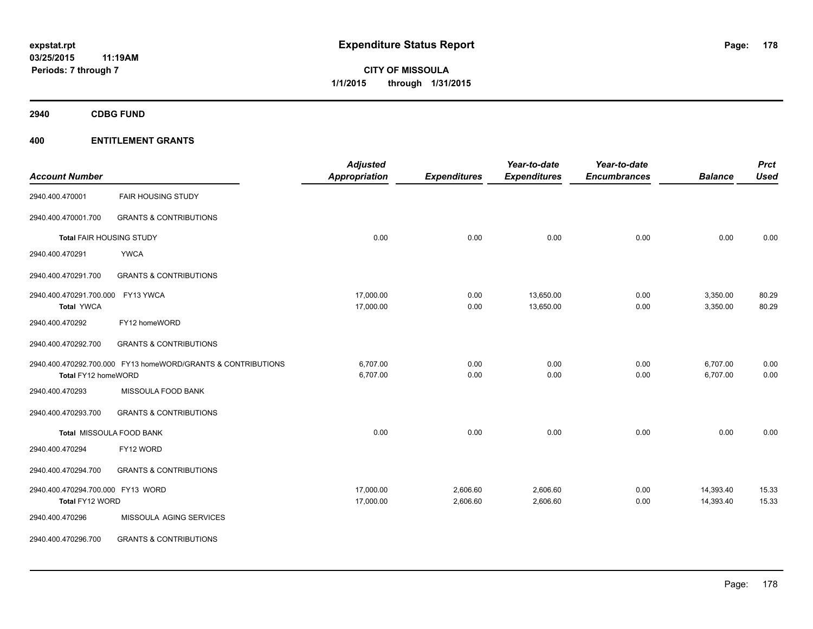**2940 CDBG FUND**

|                                   |                                                              | <b>Adjusted</b>      |                     | Year-to-date        | Year-to-date        |                | <b>Prct</b> |
|-----------------------------------|--------------------------------------------------------------|----------------------|---------------------|---------------------|---------------------|----------------|-------------|
| <b>Account Number</b>             |                                                              | <b>Appropriation</b> | <b>Expenditures</b> | <b>Expenditures</b> | <b>Encumbrances</b> | <b>Balance</b> | <b>Used</b> |
| 2940.400.470001                   | <b>FAIR HOUSING STUDY</b>                                    |                      |                     |                     |                     |                |             |
| 2940.400.470001.700               | <b>GRANTS &amp; CONTRIBUTIONS</b>                            |                      |                     |                     |                     |                |             |
| Total FAIR HOUSING STUDY          |                                                              | 0.00                 | 0.00                | 0.00                | 0.00                | 0.00           | 0.00        |
| 2940.400.470291                   | <b>YWCA</b>                                                  |                      |                     |                     |                     |                |             |
| 2940.400.470291.700               | <b>GRANTS &amp; CONTRIBUTIONS</b>                            |                      |                     |                     |                     |                |             |
| 2940.400.470291.700.000           | FY13 YWCA                                                    | 17,000.00            | 0.00                | 13,650.00           | 0.00                | 3,350.00       | 80.29       |
| <b>Total YWCA</b>                 |                                                              | 17,000.00            | 0.00                | 13,650.00           | 0.00                | 3,350.00       | 80.29       |
| 2940.400.470292                   | FY12 homeWORD                                                |                      |                     |                     |                     |                |             |
| 2940.400.470292.700               | <b>GRANTS &amp; CONTRIBUTIONS</b>                            |                      |                     |                     |                     |                |             |
|                                   | 2940.400.470292.700.000 FY13 homeWORD/GRANTS & CONTRIBUTIONS | 6,707.00             | 0.00                | 0.00                | 0.00                | 6,707.00       | 0.00        |
| Total FY12 homeWORD               |                                                              | 6,707.00             | 0.00                | 0.00                | 0.00                | 6,707.00       | 0.00        |
| 2940.400.470293                   | MISSOULA FOOD BANK                                           |                      |                     |                     |                     |                |             |
| 2940.400.470293.700               | <b>GRANTS &amp; CONTRIBUTIONS</b>                            |                      |                     |                     |                     |                |             |
|                                   | Total MISSOULA FOOD BANK                                     | 0.00                 | 0.00                | 0.00                | 0.00                | 0.00           | 0.00        |
| 2940.400.470294                   | FY12 WORD                                                    |                      |                     |                     |                     |                |             |
| 2940.400.470294.700               | <b>GRANTS &amp; CONTRIBUTIONS</b>                            |                      |                     |                     |                     |                |             |
| 2940.400.470294.700.000 FY13 WORD |                                                              | 17,000.00            | 2,606.60            | 2,606.60            | 0.00                | 14,393.40      | 15.33       |
| Total FY12 WORD                   |                                                              | 17,000.00            | 2,606.60            | 2,606.60            | 0.00                | 14,393.40      | 15.33       |
| 2940.400.470296                   | MISSOULA AGING SERVICES                                      |                      |                     |                     |                     |                |             |
| 2940.400.470296.700               | <b>GRANTS &amp; CONTRIBUTIONS</b>                            |                      |                     |                     |                     |                |             |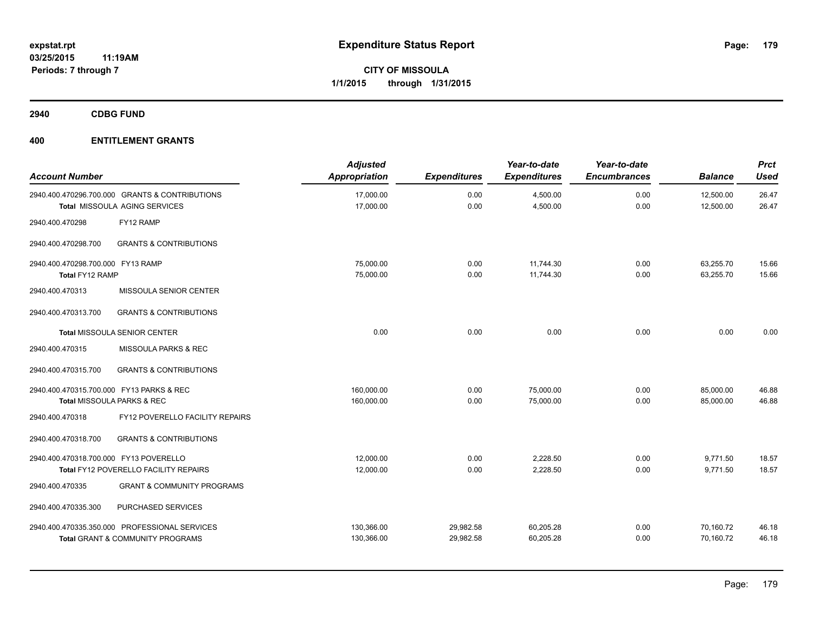**2940 CDBG FUND**

| <b>Account Number</b>                                |                                                                                        | <b>Adjusted</b><br>Appropriation | <b>Expenditures</b>    | Year-to-date<br><b>Expenditures</b> | Year-to-date<br><b>Encumbrances</b> | <b>Balance</b>         | <b>Prct</b><br><b>Used</b> |
|------------------------------------------------------|----------------------------------------------------------------------------------------|----------------------------------|------------------------|-------------------------------------|-------------------------------------|------------------------|----------------------------|
|                                                      | 2940.400.470296.700.000 GRANTS & CONTRIBUTIONS<br><b>Total MISSOULA AGING SERVICES</b> | 17,000.00<br>17,000.00           | 0.00<br>0.00           | 4,500.00<br>4,500.00                | 0.00<br>0.00                        | 12,500.00<br>12,500.00 | 26.47<br>26.47             |
| 2940.400.470298                                      | FY12 RAMP                                                                              |                                  |                        |                                     |                                     |                        |                            |
| 2940.400.470298.700                                  | <b>GRANTS &amp; CONTRIBUTIONS</b>                                                      |                                  |                        |                                     |                                     |                        |                            |
| 2940.400.470298.700.000 FY13 RAMP<br>Total FY12 RAMP |                                                                                        | 75,000.00<br>75,000.00           | 0.00<br>0.00           | 11,744.30<br>11,744.30              | 0.00<br>0.00                        | 63,255.70<br>63,255.70 | 15.66<br>15.66             |
| 2940.400.470313                                      | MISSOULA SENIOR CENTER                                                                 |                                  |                        |                                     |                                     |                        |                            |
| 2940.400.470313.700                                  | <b>GRANTS &amp; CONTRIBUTIONS</b>                                                      |                                  |                        |                                     |                                     |                        |                            |
|                                                      | Total MISSOULA SENIOR CENTER                                                           | 0.00                             | 0.00                   | 0.00                                | 0.00                                | 0.00                   | 0.00                       |
| 2940.400.470315                                      | MISSOULA PARKS & REC                                                                   |                                  |                        |                                     |                                     |                        |                            |
| 2940.400.470315.700                                  | <b>GRANTS &amp; CONTRIBUTIONS</b>                                                      |                                  |                        |                                     |                                     |                        |                            |
| 2940.400.470315.700.000 FY13 PARKS & REC             | Total MISSOULA PARKS & REC                                                             | 160,000.00<br>160,000.00         | 0.00<br>0.00           | 75,000.00<br>75,000.00              | 0.00<br>0.00                        | 85.000.00<br>85,000.00 | 46.88<br>46.88             |
| 2940.400.470318                                      | FY12 POVERELLO FACILITY REPAIRS                                                        |                                  |                        |                                     |                                     |                        |                            |
| 2940.400.470318.700                                  | <b>GRANTS &amp; CONTRIBUTIONS</b>                                                      |                                  |                        |                                     |                                     |                        |                            |
| 2940.400.470318.700.000 FY13 POVERELLO               | Total FY12 POVERELLO FACILITY REPAIRS                                                  | 12,000.00<br>12,000.00           | 0.00<br>0.00           | 2,228.50<br>2,228.50                | 0.00<br>0.00                        | 9,771.50<br>9,771.50   | 18.57<br>18.57             |
| 2940.400.470335                                      | <b>GRANT &amp; COMMUNITY PROGRAMS</b>                                                  |                                  |                        |                                     |                                     |                        |                            |
| 2940.400.470335.300                                  | PURCHASED SERVICES                                                                     |                                  |                        |                                     |                                     |                        |                            |
|                                                      | 2940.400.470335.350.000 PROFESSIONAL SERVICES<br>Total GRANT & COMMUNITY PROGRAMS      | 130,366.00<br>130,366.00         | 29,982.58<br>29,982.58 | 60,205.28<br>60,205.28              | 0.00<br>0.00                        | 70,160.72<br>70,160.72 | 46.18<br>46.18             |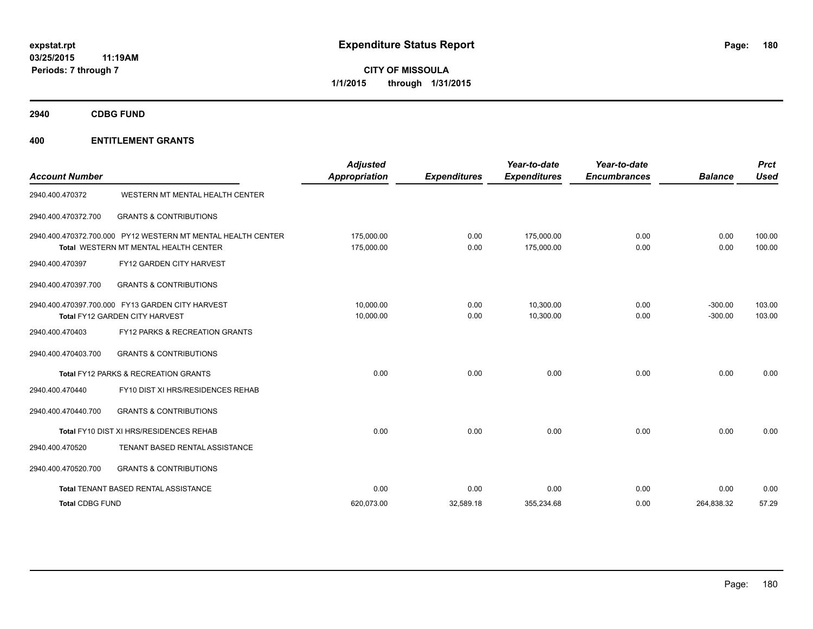**2940 CDBG FUND**

| <b>Account Number</b>  |                                                                                                       | <b>Adjusted</b><br><b>Appropriation</b> | <b>Expenditures</b> | Year-to-date<br><b>Expenditures</b> | Year-to-date<br><b>Encumbrances</b> | <b>Balance</b>         | <b>Prct</b><br>Used |
|------------------------|-------------------------------------------------------------------------------------------------------|-----------------------------------------|---------------------|-------------------------------------|-------------------------------------|------------------------|---------------------|
| 2940.400.470372        | WESTERN MT MENTAL HEALTH CENTER                                                                       |                                         |                     |                                     |                                     |                        |                     |
| 2940.400.470372.700    | <b>GRANTS &amp; CONTRIBUTIONS</b>                                                                     |                                         |                     |                                     |                                     |                        |                     |
|                        | 2940.400.470372.700.000 PY12 WESTERN MT MENTAL HEALTH CENTER<br>Total WESTERN MT MENTAL HEALTH CENTER | 175.000.00<br>175,000.00                | 0.00<br>0.00        | 175.000.00<br>175,000.00            | 0.00<br>0.00                        | 0.00<br>0.00           | 100.00<br>100.00    |
| 2940.400.470397        | FY12 GARDEN CITY HARVEST                                                                              |                                         |                     |                                     |                                     |                        |                     |
| 2940.400.470397.700    | <b>GRANTS &amp; CONTRIBUTIONS</b>                                                                     |                                         |                     |                                     |                                     |                        |                     |
|                        | 2940.400.470397.700.000 FY13 GARDEN CITY HARVEST<br>Total FY12 GARDEN CITY HARVEST                    | 10.000.00<br>10,000.00                  | 0.00<br>0.00        | 10.300.00<br>10,300.00              | 0.00<br>0.00                        | $-300.00$<br>$-300.00$ | 103.00<br>103.00    |
| 2940.400.470403        | FY12 PARKS & RECREATION GRANTS                                                                        |                                         |                     |                                     |                                     |                        |                     |
| 2940.400.470403.700    | <b>GRANTS &amp; CONTRIBUTIONS</b>                                                                     |                                         |                     |                                     |                                     |                        |                     |
|                        | Total FY12 PARKS & RECREATION GRANTS                                                                  | 0.00                                    | 0.00                | 0.00                                | 0.00                                | 0.00                   | 0.00                |
| 2940.400.470440        | FY10 DIST XI HRS/RESIDENCES REHAB                                                                     |                                         |                     |                                     |                                     |                        |                     |
| 2940.400.470440.700    | <b>GRANTS &amp; CONTRIBUTIONS</b>                                                                     |                                         |                     |                                     |                                     |                        |                     |
|                        | Total FY10 DIST XI HRS/RESIDENCES REHAB                                                               | 0.00                                    | 0.00                | 0.00                                | 0.00                                | 0.00                   | 0.00                |
| 2940.400.470520        | TENANT BASED RENTAL ASSISTANCE                                                                        |                                         |                     |                                     |                                     |                        |                     |
| 2940.400.470520.700    | <b>GRANTS &amp; CONTRIBUTIONS</b>                                                                     |                                         |                     |                                     |                                     |                        |                     |
|                        | Total TENANT BASED RENTAL ASSISTANCE                                                                  | 0.00                                    | 0.00                | 0.00                                | 0.00                                | 0.00                   | 0.00                |
| <b>Total CDBG FUND</b> |                                                                                                       | 620.073.00                              | 32,589.18           | 355,234.68                          | 0.00                                | 264,838.32             | 57.29               |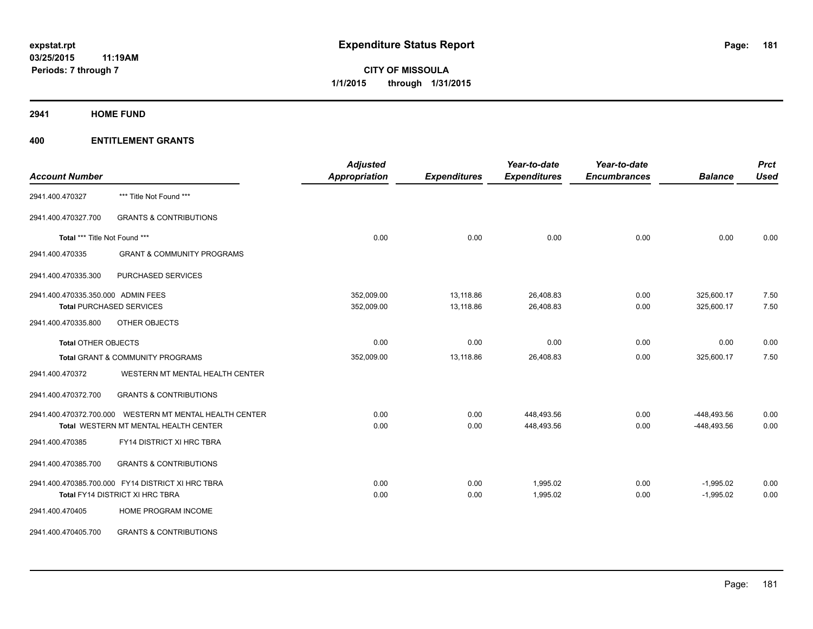**2941 HOME FUND**

| <b>Account Number</b>              |                                                   | <b>Adjusted</b><br>Appropriation | <b>Expenditures</b> | Year-to-date<br><b>Expenditures</b> | Year-to-date<br><b>Encumbrances</b> | <b>Balance</b> | <b>Prct</b><br><b>Used</b> |
|------------------------------------|---------------------------------------------------|----------------------------------|---------------------|-------------------------------------|-------------------------------------|----------------|----------------------------|
|                                    |                                                   |                                  |                     |                                     |                                     |                |                            |
| 2941.400.470327                    | *** Title Not Found ***                           |                                  |                     |                                     |                                     |                |                            |
| 2941.400.470327.700                | <b>GRANTS &amp; CONTRIBUTIONS</b>                 |                                  |                     |                                     |                                     |                |                            |
| Total *** Title Not Found ***      |                                                   | 0.00                             | 0.00                | 0.00                                | 0.00                                | 0.00           | 0.00                       |
| 2941.400.470335                    | <b>GRANT &amp; COMMUNITY PROGRAMS</b>             |                                  |                     |                                     |                                     |                |                            |
| 2941.400.470335.300                | PURCHASED SERVICES                                |                                  |                     |                                     |                                     |                |                            |
| 2941.400.470335.350.000 ADMIN FEES |                                                   | 352,009.00                       | 13,118.86           | 26,408.83                           | 0.00                                | 325,600.17     | 7.50                       |
|                                    | <b>Total PURCHASED SERVICES</b>                   | 352,009.00                       | 13,118.86           | 26,408.83                           | 0.00                                | 325,600.17     | 7.50                       |
| 2941.400.470335.800                | OTHER OBJECTS                                     |                                  |                     |                                     |                                     |                |                            |
| <b>Total OTHER OBJECTS</b>         |                                                   | 0.00                             | 0.00                | 0.00                                | 0.00                                | 0.00           | 0.00                       |
|                                    | <b>Total GRANT &amp; COMMUNITY PROGRAMS</b>       | 352,009.00                       | 13,118.86           | 26.408.83                           | 0.00                                | 325,600.17     | 7.50                       |
| 2941.400.470372                    | WESTERN MT MENTAL HEALTH CENTER                   |                                  |                     |                                     |                                     |                |                            |
| 2941.400.470372.700                | <b>GRANTS &amp; CONTRIBUTIONS</b>                 |                                  |                     |                                     |                                     |                |                            |
| 2941.400.470372.700.000            | WESTERN MT MENTAL HEALTH CENTER                   | 0.00                             | 0.00                | 448,493.56                          | 0.00                                | -448,493.56    | 0.00                       |
|                                    | Total WESTERN MT MENTAL HEALTH CENTER             | 0.00                             | 0.00                | 448,493.56                          | 0.00                                | -448,493.56    | 0.00                       |
| 2941.400.470385                    | FY14 DISTRICT XI HRC TBRA                         |                                  |                     |                                     |                                     |                |                            |
| 2941.400.470385.700                | <b>GRANTS &amp; CONTRIBUTIONS</b>                 |                                  |                     |                                     |                                     |                |                            |
|                                    | 2941.400.470385.700.000 FY14 DISTRICT XI HRC TBRA | 0.00                             | 0.00                | 1,995.02                            | 0.00                                | $-1,995.02$    | 0.00                       |
|                                    | Total FY14 DISTRICT XI HRC TBRA                   | 0.00                             | 0.00                | 1,995.02                            | 0.00                                | $-1,995.02$    | 0.00                       |
| 2941.400.470405                    | HOME PROGRAM INCOME                               |                                  |                     |                                     |                                     |                |                            |
| 2941.400.470405.700                | <b>GRANTS &amp; CONTRIBUTIONS</b>                 |                                  |                     |                                     |                                     |                |                            |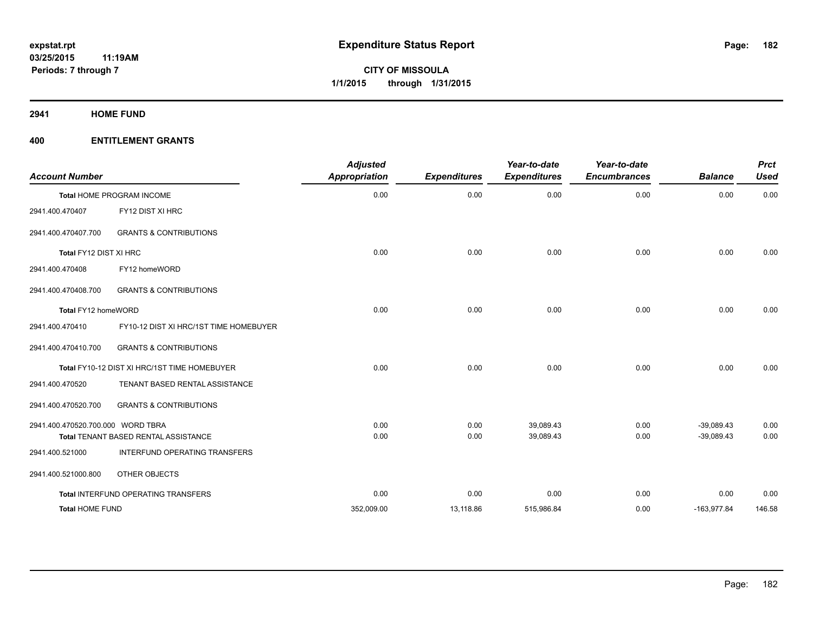**2941 HOME FUND**

| <b>Account Number</b>             |                                              | <b>Adjusted</b><br><b>Appropriation</b> | <b>Expenditures</b> | Year-to-date<br><b>Expenditures</b> | Year-to-date<br><b>Encumbrances</b> | <b>Balance</b> | <b>Prct</b><br><b>Used</b> |
|-----------------------------------|----------------------------------------------|-----------------------------------------|---------------------|-------------------------------------|-------------------------------------|----------------|----------------------------|
|                                   | <b>Total HOME PROGRAM INCOME</b>             | 0.00                                    | 0.00                | 0.00                                | 0.00                                | 0.00           | 0.00                       |
| 2941.400.470407                   | FY12 DIST XI HRC                             |                                         |                     |                                     |                                     |                |                            |
| 2941.400.470407.700               | <b>GRANTS &amp; CONTRIBUTIONS</b>            |                                         |                     |                                     |                                     |                |                            |
| Total FY12 DIST XI HRC            |                                              | 0.00                                    | 0.00                | 0.00                                | 0.00                                | 0.00           | 0.00                       |
| 2941.400.470408                   | FY12 homeWORD                                |                                         |                     |                                     |                                     |                |                            |
| 2941.400.470408.700               | <b>GRANTS &amp; CONTRIBUTIONS</b>            |                                         |                     |                                     |                                     |                |                            |
| Total FY12 homeWORD               |                                              | 0.00                                    | 0.00                | 0.00                                | 0.00                                | 0.00           | 0.00                       |
| 2941.400.470410                   | FY10-12 DIST XI HRC/1ST TIME HOMEBUYER       |                                         |                     |                                     |                                     |                |                            |
| 2941.400.470410.700               | <b>GRANTS &amp; CONTRIBUTIONS</b>            |                                         |                     |                                     |                                     |                |                            |
|                                   | Total FY10-12 DIST XI HRC/1ST TIME HOMEBUYER | 0.00                                    | 0.00                | 0.00                                | 0.00                                | 0.00           | 0.00                       |
| 2941.400.470520                   | TENANT BASED RENTAL ASSISTANCE               |                                         |                     |                                     |                                     |                |                            |
| 2941.400.470520.700               | <b>GRANTS &amp; CONTRIBUTIONS</b>            |                                         |                     |                                     |                                     |                |                            |
| 2941.400.470520.700.000 WORD TBRA |                                              | 0.00                                    | 0.00                | 39,089.43                           | 0.00                                | $-39,089.43$   | 0.00                       |
|                                   | <b>Total TENANT BASED RENTAL ASSISTANCE</b>  | 0.00                                    | 0.00                | 39,089.43                           | 0.00                                | $-39,089.43$   | 0.00                       |
| 2941.400.521000                   | INTERFUND OPERATING TRANSFERS                |                                         |                     |                                     |                                     |                |                            |
| 2941.400.521000.800               | OTHER OBJECTS                                |                                         |                     |                                     |                                     |                |                            |
|                                   | Total INTERFUND OPERATING TRANSFERS          | 0.00                                    | 0.00                | 0.00                                | 0.00                                | 0.00           | 0.00                       |
| <b>Total HOME FUND</b>            |                                              | 352,009.00                              | 13,118.86           | 515,986.84                          | 0.00                                | $-163,977.84$  | 146.58                     |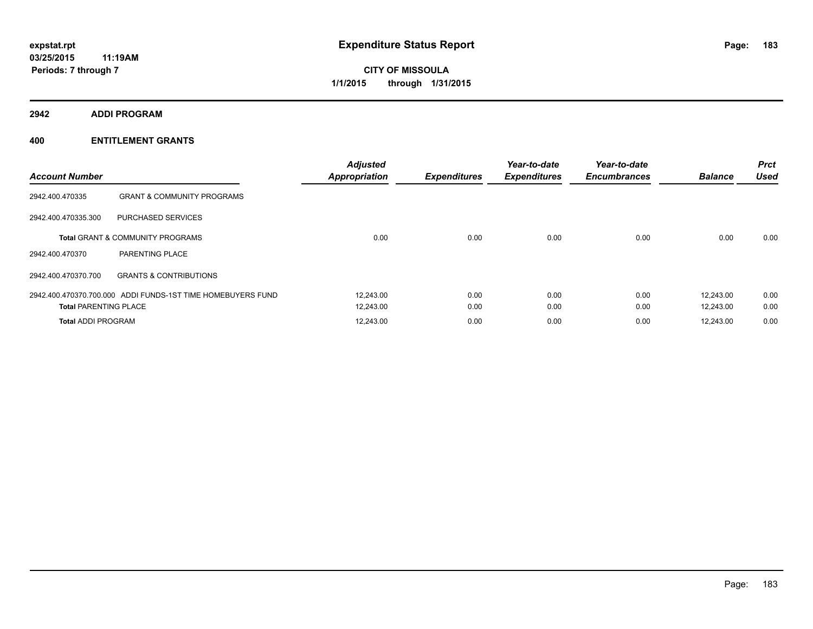**2942 ADDI PROGRAM**

| <b>Account Number</b>        |                                                             | <b>Adjusted</b><br><b>Appropriation</b> | <b>Expenditures</b> | Year-to-date<br><b>Expenditures</b> | Year-to-date<br><b>Encumbrances</b> | <b>Balance</b> | <b>Prct</b><br><b>Used</b> |
|------------------------------|-------------------------------------------------------------|-----------------------------------------|---------------------|-------------------------------------|-------------------------------------|----------------|----------------------------|
| 2942.400.470335              | <b>GRANT &amp; COMMUNITY PROGRAMS</b>                       |                                         |                     |                                     |                                     |                |                            |
| 2942.400.470335.300          | PURCHASED SERVICES                                          |                                         |                     |                                     |                                     |                |                            |
|                              | <b>Total GRANT &amp; COMMUNITY PROGRAMS</b>                 | 0.00                                    | 0.00                | 0.00                                | 0.00                                | 0.00           | 0.00                       |
| 2942.400.470370              | PARENTING PLACE                                             |                                         |                     |                                     |                                     |                |                            |
| 2942.400.470370.700          | <b>GRANTS &amp; CONTRIBUTIONS</b>                           |                                         |                     |                                     |                                     |                |                            |
|                              | 2942.400.470370.700.000 ADDI FUNDS-1ST TIME HOMEBUYERS FUND | 12,243.00                               | 0.00                | 0.00                                | 0.00                                | 12.243.00      | 0.00                       |
| <b>Total PARENTING PLACE</b> |                                                             | 12,243.00                               | 0.00                | 0.00                                | 0.00                                | 12.243.00      | 0.00                       |
| <b>Total ADDI PROGRAM</b>    |                                                             | 12,243.00                               | 0.00                | 0.00                                | 0.00                                | 12,243.00      | 0.00                       |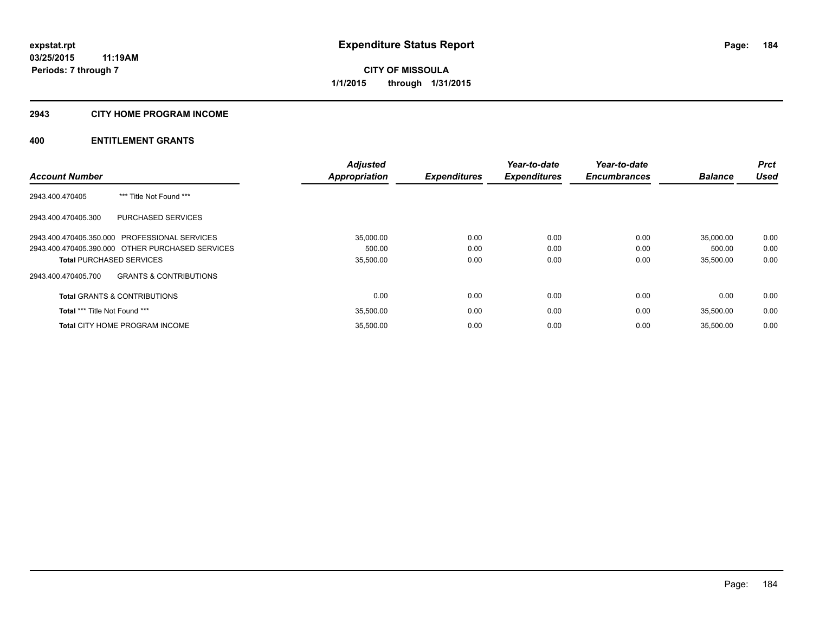## **2943 CITY HOME PROGRAM INCOME**

|                                                          | <b>Adjusted</b> |                     | Year-to-date        | Year-to-date        |                | <b>Prct</b> |
|----------------------------------------------------------|-----------------|---------------------|---------------------|---------------------|----------------|-------------|
| <b>Account Number</b>                                    | Appropriation   | <b>Expenditures</b> | <b>Expenditures</b> | <b>Encumbrances</b> | <b>Balance</b> | <b>Used</b> |
| *** Title Not Found ***<br>2943.400.470405               |                 |                     |                     |                     |                |             |
| 2943.400.470405.300<br>PURCHASED SERVICES                |                 |                     |                     |                     |                |             |
| 2943.400.470405.350.000 PROFESSIONAL SERVICES            | 35,000.00       | 0.00                | 0.00                | 0.00                | 35.000.00      | 0.00        |
| 2943.400.470405.390.000 OTHER PURCHASED SERVICES         | 500.00          | 0.00                | 0.00                | 0.00                | 500.00         | 0.00        |
| <b>Total PURCHASED SERVICES</b>                          | 35,500.00       | 0.00                | 0.00                | 0.00                | 35,500.00      | 0.00        |
| <b>GRANTS &amp; CONTRIBUTIONS</b><br>2943.400.470405.700 |                 |                     |                     |                     |                |             |
| <b>Total GRANTS &amp; CONTRIBUTIONS</b>                  | 0.00            | 0.00                | 0.00                | 0.00                | 0.00           | 0.00        |
| <b>Total *** Title Not Found ***</b>                     | 35,500.00       | 0.00                | 0.00                | 0.00                | 35,500.00      | 0.00        |
| <b>Total CITY HOME PROGRAM INCOME</b>                    | 35,500.00       | 0.00                | 0.00                | 0.00                | 35,500.00      | 0.00        |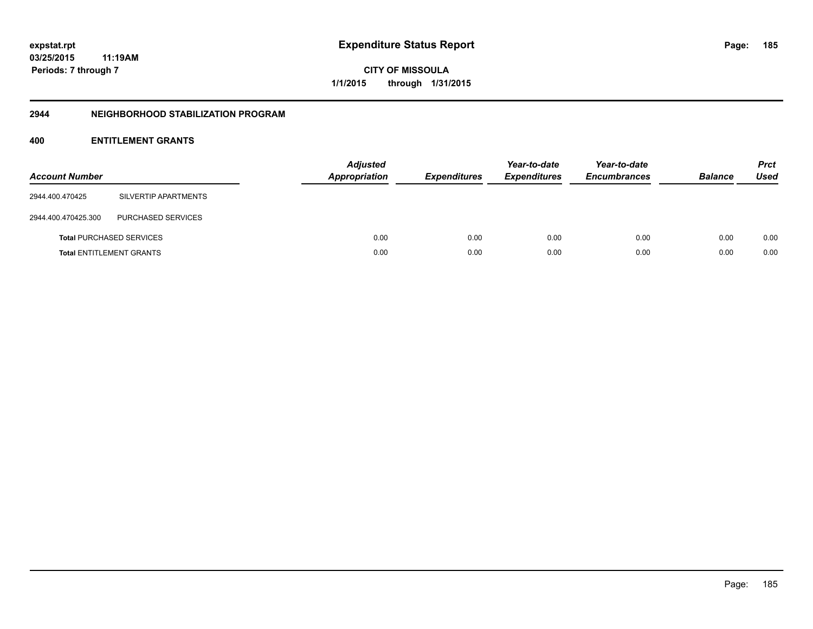## **2944 NEIGHBORHOOD STABILIZATION PROGRAM**

| <b>Account Number</b>           |                                 | <b>Adjusted</b><br><b>Appropriation</b> | <b>Expenditures</b> | Year-to-date<br><b>Expenditures</b> | Year-to-date<br><b>Encumbrances</b> | <b>Balance</b> | <b>Prct</b><br><b>Used</b> |
|---------------------------------|---------------------------------|-----------------------------------------|---------------------|-------------------------------------|-------------------------------------|----------------|----------------------------|
| 2944.400.470425                 | SILVERTIP APARTMENTS            |                                         |                     |                                     |                                     |                |                            |
| 2944.400.470425.300             | PURCHASED SERVICES              |                                         |                     |                                     |                                     |                |                            |
|                                 | <b>Total PURCHASED SERVICES</b> | 0.00                                    | 0.00                | 0.00                                | 0.00                                | 0.00           | 0.00                       |
| <b>Total ENTITLEMENT GRANTS</b> |                                 | 0.00                                    | 0.00                | 0.00                                | 0.00                                | 0.00           | 0.00                       |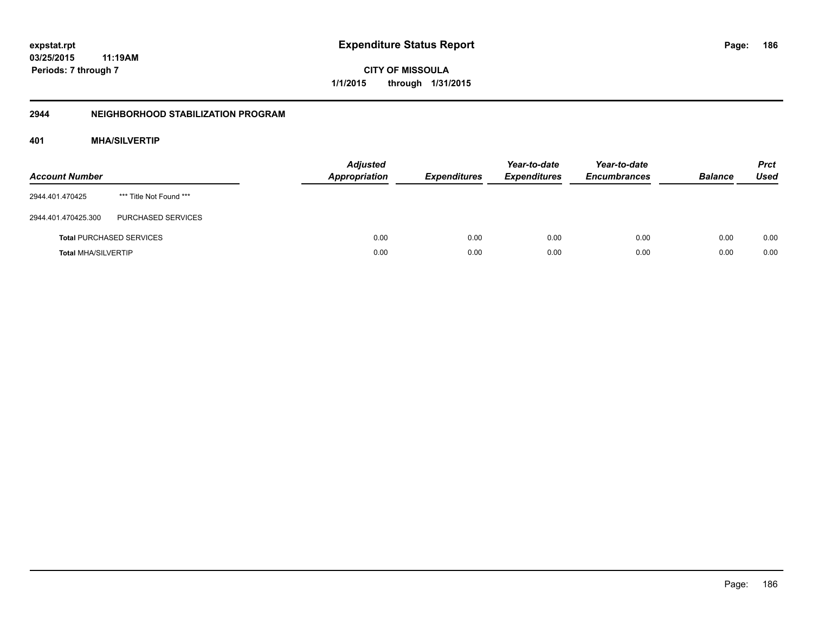# **03/25/2015 11:19AM Periods: 7 through 7**

**CITY OF MISSOULA 1/1/2015 through 1/31/2015**

## **2944 NEIGHBORHOOD STABILIZATION PROGRAM**

## **401 MHA/SILVERTIP**

| <b>Account Number</b>      |                                 | <b>Adjusted</b><br><b>Appropriation</b> | <b>Expenditures</b> | Year-to-date<br><b>Expenditures</b> | Year-to-date<br><b>Encumbrances</b> | <b>Balance</b> | <b>Prct</b><br><b>Used</b> |
|----------------------------|---------------------------------|-----------------------------------------|---------------------|-------------------------------------|-------------------------------------|----------------|----------------------------|
| 2944.401.470425            | *** Title Not Found ***         |                                         |                     |                                     |                                     |                |                            |
| 2944.401.470425.300        | PURCHASED SERVICES              |                                         |                     |                                     |                                     |                |                            |
|                            | <b>Total PURCHASED SERVICES</b> | 0.00                                    | 0.00                | 0.00                                | 0.00                                | 0.00           | 0.00                       |
| <b>Total MHA/SILVERTIP</b> |                                 | 0.00                                    | 0.00                | 0.00                                | 0.00                                | 0.00           | 0.00                       |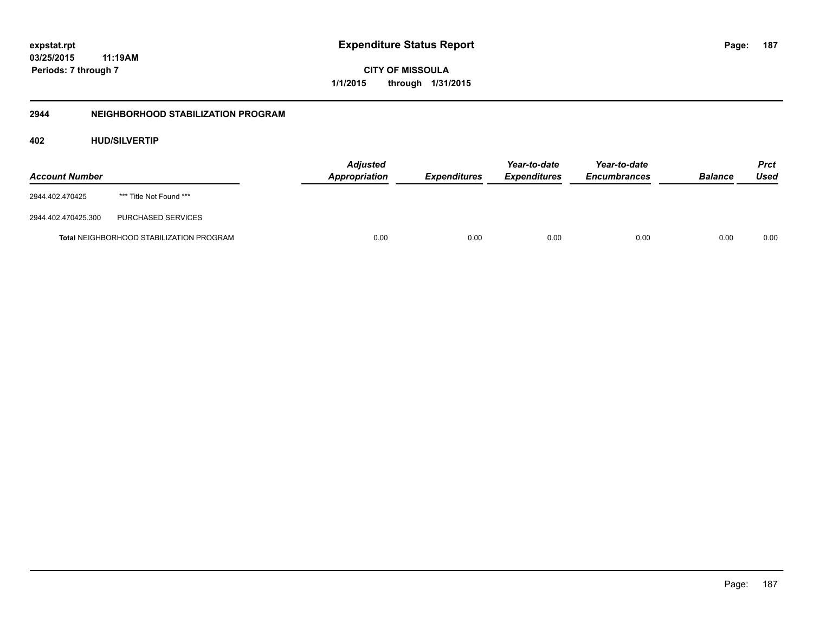**03/25/2015 11:19AM Periods: 7 through 7**

**CITY OF MISSOULA 1/1/2015 through 1/31/2015**

## **2944 NEIGHBORHOOD STABILIZATION PROGRAM**

## **402 HUD/SILVERTIP**

| <b>Account Number</b> |                                                 | <b>Adjusted</b><br><b>Appropriation</b> | <i><b>Expenditures</b></i> | Year-to-date<br><i><b>Expenditures</b></i> | Year-to-date<br><b>Encumbrances</b> | <b>Balance</b> | <b>Prct</b><br>Used |
|-----------------------|-------------------------------------------------|-----------------------------------------|----------------------------|--------------------------------------------|-------------------------------------|----------------|---------------------|
| 2944.402.470425       | *** Title Not Found ***                         |                                         |                            |                                            |                                     |                |                     |
| 2944.402.470425.300   | PURCHASED SERVICES                              |                                         |                            |                                            |                                     |                |                     |
|                       | <b>Total NEIGHBORHOOD STABILIZATION PROGRAM</b> | 0.00                                    | 0.00                       | 0.00                                       | 0.00                                | 0.00           | 0.00                |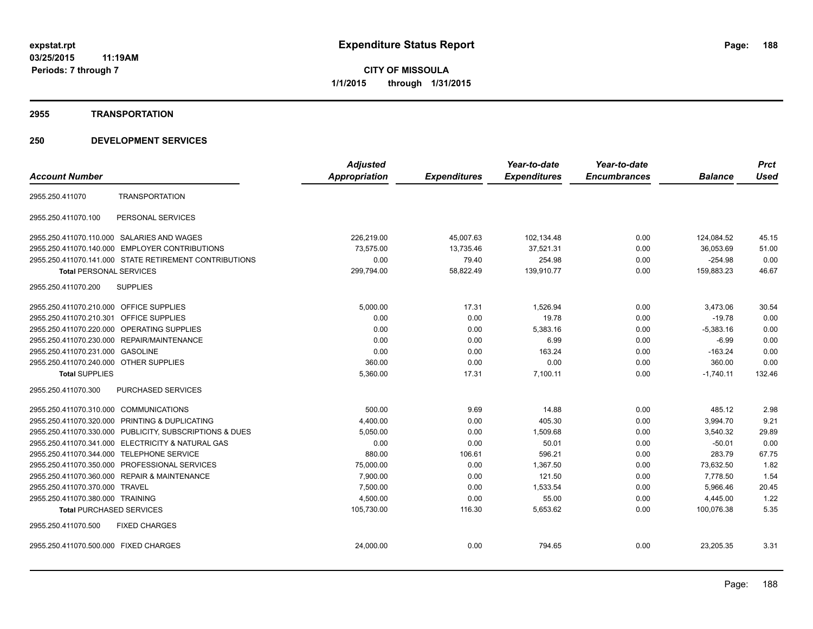#### **2955 TRANSPORTATION**

|                                                            | <b>Adjusted</b> |                     | Year-to-date        | Year-to-date        |                | <b>Prct</b> |
|------------------------------------------------------------|-----------------|---------------------|---------------------|---------------------|----------------|-------------|
| <b>Account Number</b>                                      | Appropriation   | <b>Expenditures</b> | <b>Expenditures</b> | <b>Encumbrances</b> | <b>Balance</b> | <b>Used</b> |
| <b>TRANSPORTATION</b><br>2955.250.411070                   |                 |                     |                     |                     |                |             |
| PERSONAL SERVICES<br>2955.250.411070.100                   |                 |                     |                     |                     |                |             |
| 2955.250.411070.110.000 SALARIES AND WAGES                 | 226,219.00      | 45,007.63           | 102,134.48          | 0.00                | 124,084.52     | 45.15       |
| 2955.250.411070.140.000 EMPLOYER CONTRIBUTIONS             | 73,575.00       | 13,735.46           | 37,521.31           | 0.00                | 36,053.69      | 51.00       |
| 2955.250.411070.141.000 STATE RETIREMENT CONTRIBUTIONS     | 0.00            | 79.40               | 254.98              | 0.00                | $-254.98$      | 0.00        |
| <b>Total PERSONAL SERVICES</b>                             | 299,794.00      | 58,822.49           | 139,910.77          | 0.00                | 159,883.23     | 46.67       |
| <b>SUPPLIES</b><br>2955.250.411070.200                     |                 |                     |                     |                     |                |             |
| 2955.250.411070.210.000 OFFICE SUPPLIES                    | 5,000.00        | 17.31               | 1,526.94            | 0.00                | 3,473.06       | 30.54       |
| <b>OFFICE SUPPLIES</b><br>2955.250.411070.210.301          | 0.00            | 0.00                | 19.78               | 0.00                | $-19.78$       | 0.00        |
| <b>OPERATING SUPPLIES</b><br>2955.250.411070.220.000       | 0.00            | 0.00                | 5,383.16            | 0.00                | $-5,383.16$    | 0.00        |
| REPAIR/MAINTENANCE<br>2955.250.411070.230.000              | 0.00            | 0.00                | 6.99                | 0.00                | $-6.99$        | 0.00        |
| 2955.250.411070.231.000<br><b>GASOLINE</b>                 | 0.00            | 0.00                | 163.24              | 0.00                | $-163.24$      | 0.00        |
| 2955.250.411070.240.000 OTHER SUPPLIES                     | 360.00          | 0.00                | 0.00                | 0.00                | 360.00         | 0.00        |
| <b>Total SUPPLIES</b>                                      | 5,360.00        | 17.31               | 7,100.11            | 0.00                | $-1,740.11$    | 132.46      |
| 2955.250.411070.300<br><b>PURCHASED SERVICES</b>           |                 |                     |                     |                     |                |             |
| 2955.250.411070.310.000 COMMUNICATIONS                     | 500.00          | 9.69                | 14.88               | 0.00                | 485.12         | 2.98        |
| 2955.250.411070.320.000 PRINTING & DUPLICATING             | 4,400.00        | 0.00                | 405.30              | 0.00                | 3,994.70       | 9.21        |
| 2955.250.411070.330.000 PUBLICITY, SUBSCRIPTIONS & DUES    | 5,050.00        | 0.00                | 1,509.68            | 0.00                | 3,540.32       | 29.89       |
| 2955.250.411070.341.000 ELECTRICITY & NATURAL GAS          | 0.00            | 0.00                | 50.01               | 0.00                | $-50.01$       | 0.00        |
| 2955.250.411070.344.000 TELEPHONE SERVICE                  | 880.00          | 106.61              | 596.21              | 0.00                | 283.79         | 67.75       |
| 2955.250.411070.350.000<br>PROFESSIONAL SERVICES           | 75,000.00       | 0.00                | 1,367.50            | 0.00                | 73,632.50      | 1.82        |
| <b>REPAIR &amp; MAINTENANCE</b><br>2955.250.411070.360.000 | 7,900.00        | 0.00                | 121.50              | 0.00                | 7,778.50       | 1.54        |
| 2955.250.411070.370.000<br><b>TRAVEL</b>                   | 7,500.00        | 0.00                | 1,533.54            | 0.00                | 5,966.46       | 20.45       |
| 2955.250.411070.380.000 TRAINING                           | 4,500.00        | 0.00                | 55.00               | 0.00                | 4,445.00       | 1.22        |
| <b>Total PURCHASED SERVICES</b>                            | 105,730.00      | 116.30              | 5,653.62            | 0.00                | 100,076.38     | 5.35        |
| 2955.250.411070.500<br><b>FIXED CHARGES</b>                |                 |                     |                     |                     |                |             |
| 2955.250.411070.500.000 FIXED CHARGES                      | 24,000.00       | 0.00                | 794.65              | 0.00                | 23,205.35      | 3.31        |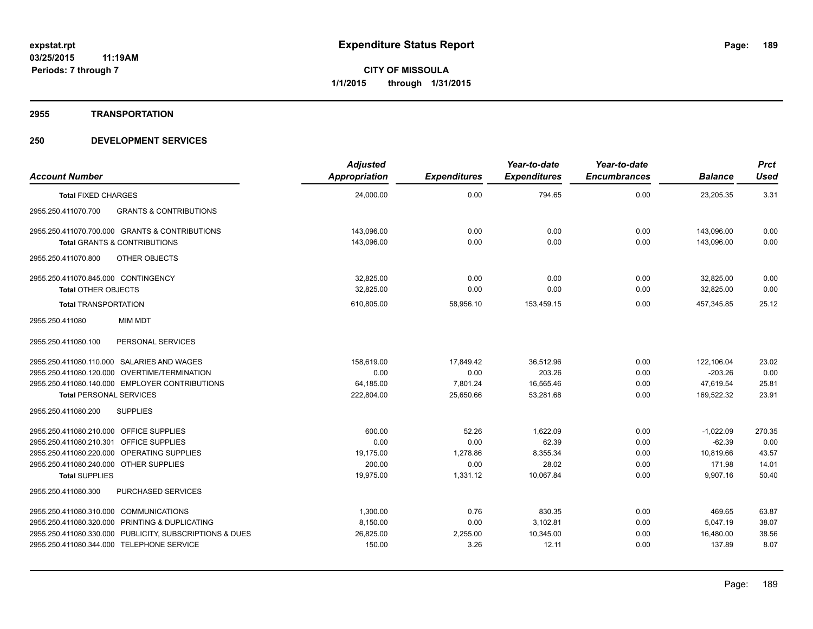#### **2955 TRANSPORTATION**

| <b>Account Number</b>                                           | <b>Adjusted</b><br>Appropriation | <b>Expenditures</b> | Year-to-date<br><b>Expenditures</b> | Year-to-date<br><b>Encumbrances</b> | <b>Balance</b>     | <b>Prct</b><br><b>Used</b> |
|-----------------------------------------------------------------|----------------------------------|---------------------|-------------------------------------|-------------------------------------|--------------------|----------------------------|
| <b>Total FIXED CHARGES</b>                                      | 24,000.00                        | 0.00                | 794.65                              | 0.00                                | 23,205.35          | 3.31                       |
| <b>GRANTS &amp; CONTRIBUTIONS</b><br>2955.250.411070.700        |                                  |                     |                                     |                                     |                    |                            |
| 2955.250.411070.700.000 GRANTS & CONTRIBUTIONS                  | 143.096.00                       | 0.00                | 0.00                                | 0.00                                | 143.096.00         | 0.00                       |
| <b>Total GRANTS &amp; CONTRIBUTIONS</b>                         | 143.096.00                       | 0.00                | 0.00                                | 0.00                                | 143.096.00         | 0.00                       |
| 2955.250.411070.800<br><b>OTHER OBJECTS</b>                     |                                  |                     |                                     |                                     |                    |                            |
| 2955.250.411070.845.000 CONTINGENCY                             | 32,825.00                        | 0.00                | 0.00                                | 0.00                                | 32,825.00          | 0.00                       |
| <b>Total OTHER OBJECTS</b>                                      | 32.825.00                        | 0.00                | 0.00                                | 0.00                                | 32,825.00          | 0.00                       |
| <b>Total TRANSPORTATION</b>                                     | 610,805.00                       | 58,956.10           | 153,459.15                          | 0.00                                | 457,345.85         | 25.12                      |
| <b>MIM MDT</b><br>2955.250.411080                               |                                  |                     |                                     |                                     |                    |                            |
| 2955.250.411080.100<br>PERSONAL SERVICES                        |                                  |                     |                                     |                                     |                    |                            |
| 2955.250.411080.110.000 SALARIES AND WAGES                      | 158,619.00                       | 17,849.42           | 36,512.96                           | 0.00                                | 122,106.04         | 23.02                      |
| 2955.250.411080.120.000 OVERTIME/TERMINATION                    | 0.00                             | 0.00                | 203.26                              | 0.00                                | $-203.26$          | 0.00                       |
| 2955.250.411080.140.000 EMPLOYER CONTRIBUTIONS                  | 64,185.00                        | 7,801.24            | 16,565.46                           | 0.00                                | 47,619.54          | 25.81                      |
| <b>Total PERSONAL SERVICES</b>                                  | 222,804.00                       | 25,650.66           | 53.281.68                           | 0.00                                | 169.522.32         | 23.91                      |
| <b>SUPPLIES</b><br>2955.250.411080.200                          |                                  |                     |                                     |                                     |                    |                            |
| 2955.250.411080.210.000 OFFICE SUPPLIES                         | 600.00                           | 52.26               | 1,622.09                            | 0.00                                | $-1,022.09$        | 270.35                     |
| 2955.250.411080.210.301 OFFICE SUPPLIES                         | 0.00                             | 0.00                | 62.39                               | 0.00                                | $-62.39$           | 0.00                       |
| 2955.250.411080.220.000 OPERATING SUPPLIES                      | 19.175.00                        | 1,278.86            | 8,355.34                            | 0.00                                | 10.819.66          | 43.57                      |
| 2955.250.411080.240.000 OTHER SUPPLIES<br><b>Total SUPPLIES</b> | 200.00<br>19,975.00              | 0.00<br>1,331.12    | 28.02<br>10,067.84                  | 0.00<br>0.00                        | 171.98<br>9,907.16 | 14.01<br>50.40             |
| <b>PURCHASED SERVICES</b><br>2955.250.411080.300                |                                  |                     |                                     |                                     |                    |                            |
|                                                                 |                                  |                     |                                     |                                     |                    |                            |
| 2955.250.411080.310.000 COMMUNICATIONS                          | 1,300.00                         | 0.76                | 830.35                              | 0.00                                | 469.65             | 63.87                      |
| 2955.250.411080.320.000 PRINTING & DUPLICATING                  | 8,150.00                         | 0.00                | 3,102.81                            | 0.00                                | 5.047.19           | 38.07                      |
| 2955.250.411080.330.000 PUBLICITY, SUBSCRIPTIONS & DUES         | 26,825.00                        | 2,255.00            | 10,345.00                           | 0.00                                | 16,480.00          | 38.56                      |
| 2955.250.411080.344.000 TELEPHONE SERVICE                       | 150.00                           | 3.26                | 12.11                               | 0.00                                | 137.89             | 8.07                       |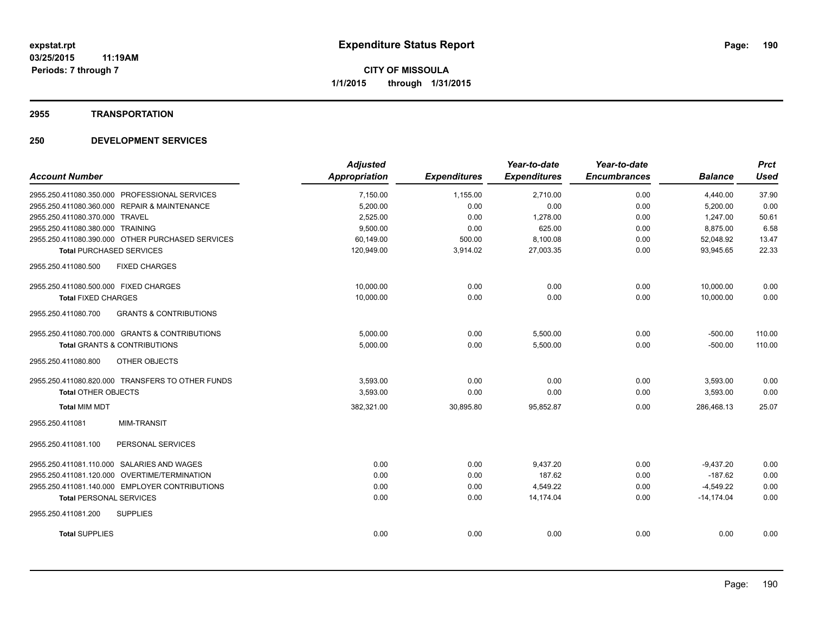#### **2955 TRANSPORTATION**

|                                                          | <b>Adjusted</b> |                     | Year-to-date        | Year-to-date        |                | <b>Prct</b> |
|----------------------------------------------------------|-----------------|---------------------|---------------------|---------------------|----------------|-------------|
| <b>Account Number</b>                                    | Appropriation   | <b>Expenditures</b> | <b>Expenditures</b> | <b>Encumbrances</b> | <b>Balance</b> | <b>Used</b> |
| 2955.250.411080.350.000 PROFESSIONAL SERVICES            | 7,150.00        | 1,155.00            | 2,710.00            | 0.00                | 4,440.00       | 37.90       |
| 2955.250.411080.360.000 REPAIR & MAINTENANCE             | 5,200.00        | 0.00                | 0.00                | 0.00                | 5,200.00       | 0.00        |
| 2955.250.411080.370.000 TRAVEL                           | 2,525.00        | 0.00                | 1,278.00            | 0.00                | 1,247.00       | 50.61       |
| 2955.250.411080.380.000 TRAINING                         | 9,500.00        | 0.00                | 625.00              | 0.00                | 8,875.00       | 6.58        |
| 2955.250.411080.390.000 OTHER PURCHASED SERVICES         | 60.149.00       | 500.00              | 8,100.08            | 0.00                | 52,048.92      | 13.47       |
| <b>Total PURCHASED SERVICES</b>                          | 120,949.00      | 3,914.02            | 27,003.35           | 0.00                | 93,945.65      | 22.33       |
| 2955.250.411080.500<br><b>FIXED CHARGES</b>              |                 |                     |                     |                     |                |             |
| 2955.250.411080.500.000 FIXED CHARGES                    | 10,000.00       | 0.00                | 0.00                | 0.00                | 10,000.00      | 0.00        |
| <b>Total FIXED CHARGES</b>                               | 10,000.00       | 0.00                | 0.00                | 0.00                | 10,000.00      | 0.00        |
| <b>GRANTS &amp; CONTRIBUTIONS</b><br>2955.250.411080.700 |                 |                     |                     |                     |                |             |
| 2955.250.411080.700.000 GRANTS & CONTRIBUTIONS           | 5.000.00        | 0.00                | 5,500.00            | 0.00                | $-500.00$      | 110.00      |
| <b>Total GRANTS &amp; CONTRIBUTIONS</b>                  | 5,000.00        | 0.00                | 5,500.00            | 0.00                | $-500.00$      | 110.00      |
| 2955.250.411080.800<br>OTHER OBJECTS                     |                 |                     |                     |                     |                |             |
| 2955.250.411080.820.000 TRANSFERS TO OTHER FUNDS         | 3.593.00        | 0.00                | 0.00                | 0.00                | 3,593.00       | 0.00        |
| <b>Total OTHER OBJECTS</b>                               | 3,593.00        | 0.00                | 0.00                | 0.00                | 3,593.00       | 0.00        |
| <b>Total MIM MDT</b>                                     | 382,321.00      | 30,895.80           | 95,852.87           | 0.00                | 286.468.13     | 25.07       |
| <b>MIM-TRANSIT</b><br>2955.250.411081                    |                 |                     |                     |                     |                |             |
| PERSONAL SERVICES<br>2955.250.411081.100                 |                 |                     |                     |                     |                |             |
| 2955.250.411081.110.000 SALARIES AND WAGES               | 0.00            | 0.00                | 9,437.20            | 0.00                | $-9,437.20$    | 0.00        |
| 2955.250.411081.120.000 OVERTIME/TERMINATION             | 0.00            | 0.00                | 187.62              | 0.00                | $-187.62$      | 0.00        |
| 2955.250.411081.140.000 EMPLOYER CONTRIBUTIONS           | 0.00            | 0.00                | 4,549.22            | 0.00                | $-4,549.22$    | 0.00        |
| <b>Total PERSONAL SERVICES</b>                           | 0.00            | 0.00                | 14.174.04           | 0.00                | $-14.174.04$   | 0.00        |
| 2955.250.411081.200<br><b>SUPPLIES</b>                   |                 |                     |                     |                     |                |             |
| <b>Total SUPPLIES</b>                                    | 0.00            | 0.00                | 0.00                | 0.00                | 0.00           | 0.00        |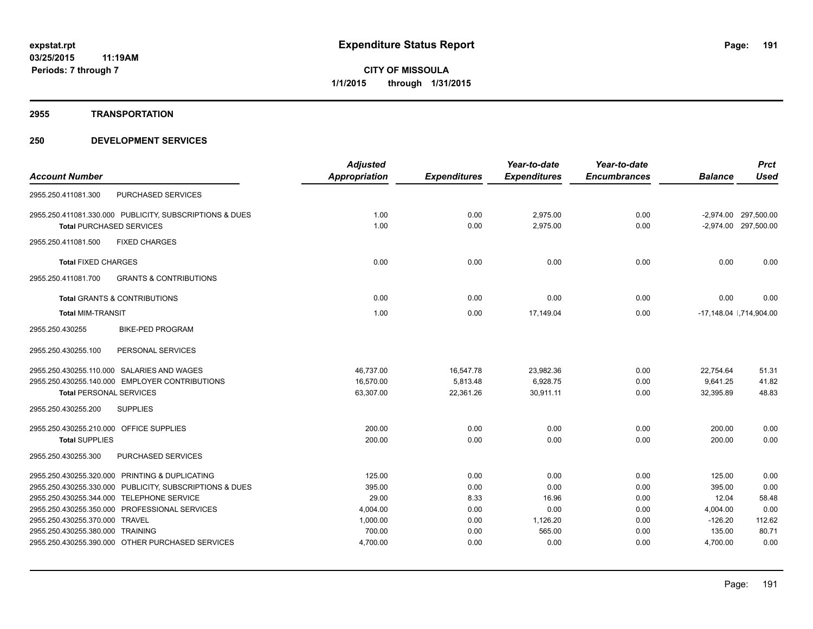#### **2955 TRANSPORTATION**

|                                                          | <b>Adjusted</b> |                     | Year-to-date        | Year-to-date        |                | <b>Prct</b>             |
|----------------------------------------------------------|-----------------|---------------------|---------------------|---------------------|----------------|-------------------------|
| <b>Account Number</b>                                    | Appropriation   | <b>Expenditures</b> | <b>Expenditures</b> | <b>Encumbrances</b> | <b>Balance</b> | <b>Used</b>             |
| <b>PURCHASED SERVICES</b><br>2955.250.411081.300         |                 |                     |                     |                     |                |                         |
| 2955.250.411081.330.000 PUBLICITY, SUBSCRIPTIONS & DUES  | 1.00            | 0.00                | 2.975.00            | 0.00                |                | -2,974.00 297,500.00    |
| <b>Total PURCHASED SERVICES</b>                          | 1.00            | 0.00                | 2,975.00            | 0.00                |                | -2,974.00 297,500.00    |
| 2955.250.411081.500<br><b>FIXED CHARGES</b>              |                 |                     |                     |                     |                |                         |
| <b>Total FIXED CHARGES</b>                               | 0.00            | 0.00                | 0.00                | 0.00                | 0.00           | 0.00                    |
| 2955.250.411081.700<br><b>GRANTS &amp; CONTRIBUTIONS</b> |                 |                     |                     |                     |                |                         |
| <b>Total GRANTS &amp; CONTRIBUTIONS</b>                  | 0.00            | 0.00                | 0.00                | 0.00                | 0.00           | 0.00                    |
| <b>Total MIM-TRANSIT</b>                                 | 1.00            | 0.00                | 17,149.04           | 0.00                |                | -17,148.04  ,714,904.00 |
| 2955.250.430255<br><b>BIKE-PED PROGRAM</b>               |                 |                     |                     |                     |                |                         |
| PERSONAL SERVICES<br>2955.250.430255.100                 |                 |                     |                     |                     |                |                         |
| 2955.250.430255.110.000 SALARIES AND WAGES               | 46,737.00       | 16,547.78           | 23,982.36           | 0.00                | 22,754.64      | 51.31                   |
| 2955.250.430255.140.000 EMPLOYER CONTRIBUTIONS           | 16,570.00       | 5,813.48            | 6,928.75            | 0.00                | 9,641.25       | 41.82                   |
| <b>Total PERSONAL SERVICES</b>                           | 63,307.00       | 22,361.26           | 30,911.11           | 0.00                | 32,395.89      | 48.83                   |
| 2955.250.430255.200<br><b>SUPPLIES</b>                   |                 |                     |                     |                     |                |                         |
| 2955.250.430255.210.000 OFFICE SUPPLIES                  | 200.00          | 0.00                | 0.00                | 0.00                | 200.00         | 0.00                    |
| <b>Total SUPPLIES</b>                                    | 200.00          | 0.00                | 0.00                | 0.00                | 200.00         | 0.00                    |
| PURCHASED SERVICES<br>2955.250.430255.300                |                 |                     |                     |                     |                |                         |
| 2955.250.430255.320.000 PRINTING & DUPLICATING           | 125.00          | 0.00                | 0.00                | 0.00                | 125.00         | 0.00                    |
| 2955.250.430255.330.000 PUBLICITY, SUBSCRIPTIONS & DUES  | 395.00          | 0.00                | 0.00                | 0.00                | 395.00         | 0.00                    |
| 2955.250.430255.344.000 TELEPHONE SERVICE                | 29.00           | 8.33                | 16.96               | 0.00                | 12.04          | 58.48                   |
| 2955.250.430255.350.000 PROFESSIONAL SERVICES            | 4,004.00        | 0.00                | 0.00                | 0.00                | 4,004.00       | 0.00                    |
| 2955.250.430255.370.000 TRAVEL                           | 1,000.00        | 0.00                | 1,126.20            | 0.00                | $-126.20$      | 112.62                  |
| 2955.250.430255.380.000 TRAINING                         | 700.00          | 0.00                | 565.00              | 0.00                | 135.00         | 80.71                   |
| 2955.250.430255.390.000 OTHER PURCHASED SERVICES         | 4,700.00        | 0.00                | 0.00                | 0.00                | 4,700.00       | 0.00                    |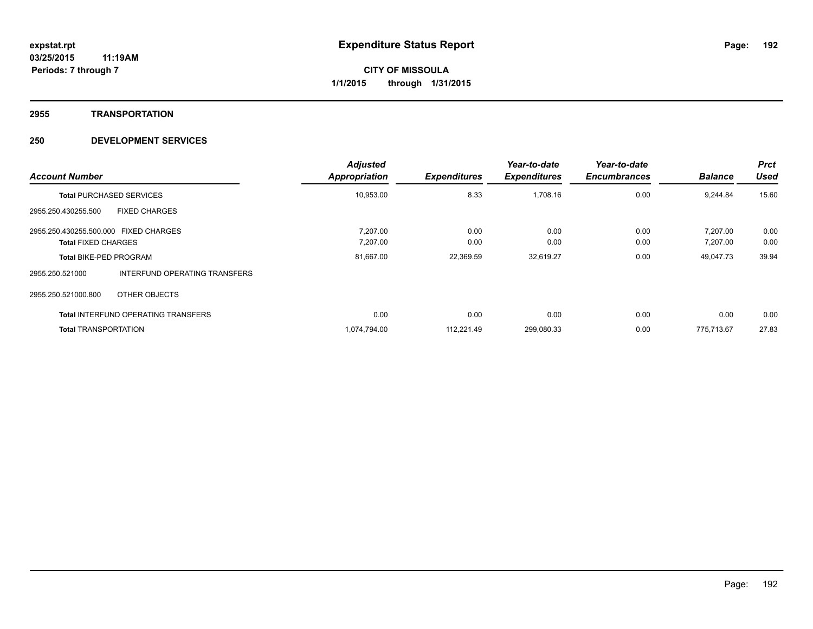## **2955 TRANSPORTATION**

| <b>Account Number</b>                                               |                                            | <b>Adjusted</b><br><b>Appropriation</b> | <b>Expenditures</b> | Year-to-date<br><b>Expenditures</b> | Year-to-date<br><b>Encumbrances</b> | <b>Balance</b>       | <b>Prct</b><br><b>Used</b> |
|---------------------------------------------------------------------|--------------------------------------------|-----------------------------------------|---------------------|-------------------------------------|-------------------------------------|----------------------|----------------------------|
| <b>Total PURCHASED SERVICES</b>                                     |                                            | 10,953.00                               | 8.33                | 1,708.16                            | 0.00                                | 9,244.84             | 15.60                      |
| 2955.250.430255.500                                                 | <b>FIXED CHARGES</b>                       |                                         |                     |                                     |                                     |                      |                            |
| 2955.250.430255.500.000 FIXED CHARGES<br><b>Total FIXED CHARGES</b> |                                            | 7.207.00<br>7,207.00                    | 0.00<br>0.00        | 0.00<br>0.00                        | 0.00<br>0.00                        | 7.207.00<br>7,207.00 | 0.00<br>0.00               |
| <b>Total BIKE-PED PROGRAM</b>                                       |                                            | 81,667.00                               | 22,369.59           | 32,619.27                           | 0.00                                | 49,047.73            | 39.94                      |
| 2955.250.521000                                                     | INTERFUND OPERATING TRANSFERS              |                                         |                     |                                     |                                     |                      |                            |
| 2955.250.521000.800                                                 | OTHER OBJECTS                              |                                         |                     |                                     |                                     |                      |                            |
|                                                                     | <b>Total INTERFUND OPERATING TRANSFERS</b> | 0.00                                    | 0.00                | 0.00                                | 0.00                                | 0.00                 | 0.00                       |
| <b>Total TRANSPORTATION</b>                                         |                                            | 1,074,794.00                            | 112,221.49          | 299,080.33                          | 0.00                                | 775.713.67           | 27.83                      |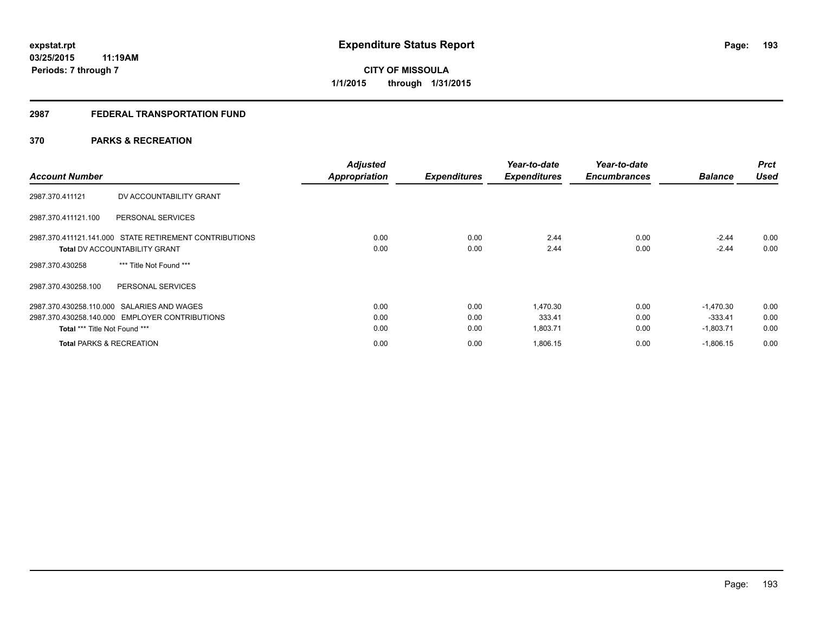## **2987 FEDERAL TRANSPORTATION FUND**

# **370 PARKS & RECREATION**

| <b>Account Number</b>                                                                                                                | <b>Adjusted</b><br><b>Appropriation</b> | <b>Expenditures</b>  | Year-to-date<br><b>Expenditures</b> | Year-to-date<br><b>Encumbrances</b> | <b>Balance</b>                          | <b>Prct</b><br><b>Used</b> |
|--------------------------------------------------------------------------------------------------------------------------------------|-----------------------------------------|----------------------|-------------------------------------|-------------------------------------|-----------------------------------------|----------------------------|
| DV ACCOUNTABILITY GRANT<br>2987.370.411121                                                                                           |                                         |                      |                                     |                                     |                                         |                            |
| PERSONAL SERVICES<br>2987.370.411121.100                                                                                             |                                         |                      |                                     |                                     |                                         |                            |
| 2987.370.411121.141.000 STATE RETIREMENT CONTRIBUTIONS<br><b>Total DV ACCOUNTABILITY GRANT</b>                                       | 0.00<br>0.00                            | 0.00<br>0.00         | 2.44<br>2.44                        | 0.00<br>0.00                        | $-2.44$<br>$-2.44$                      | 0.00<br>0.00               |
| *** Title Not Found ***<br>2987.370.430258                                                                                           |                                         |                      |                                     |                                     |                                         |                            |
| 2987.370.430258.100<br>PERSONAL SERVICES                                                                                             |                                         |                      |                                     |                                     |                                         |                            |
| 2987.370.430258.110.000 SALARIES AND WAGES<br>2987.370.430258.140.000 EMPLOYER CONTRIBUTIONS<br><b>Total *** Title Not Found ***</b> | 0.00<br>0.00<br>0.00                    | 0.00<br>0.00<br>0.00 | 1,470.30<br>333.41<br>1,803.71      | 0.00<br>0.00<br>0.00                | $-1.470.30$<br>$-333.41$<br>$-1,803.71$ | 0.00<br>0.00<br>0.00       |
| <b>Total PARKS &amp; RECREATION</b>                                                                                                  | 0.00                                    | 0.00                 | 1,806.15                            | 0.00                                | $-1,806.15$                             | 0.00                       |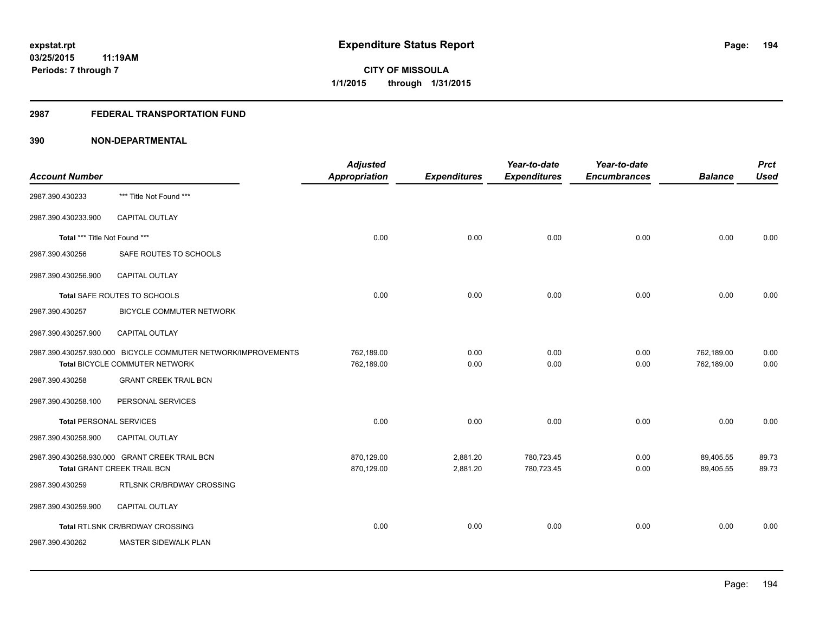## **2987 FEDERAL TRANSPORTATION FUND**

| <b>Account Number</b>          |                                                                                                 | <b>Adjusted</b><br><b>Appropriation</b> | <b>Expenditures</b>  | Year-to-date<br><b>Expenditures</b> | Year-to-date<br><b>Encumbrances</b> | <b>Balance</b>           | <b>Prct</b><br><b>Used</b> |
|--------------------------------|-------------------------------------------------------------------------------------------------|-----------------------------------------|----------------------|-------------------------------------|-------------------------------------|--------------------------|----------------------------|
| 2987.390.430233                | *** Title Not Found ***                                                                         |                                         |                      |                                     |                                     |                          |                            |
| 2987.390.430233.900            | <b>CAPITAL OUTLAY</b>                                                                           |                                         |                      |                                     |                                     |                          |                            |
| Total *** Title Not Found ***  |                                                                                                 | 0.00                                    | 0.00                 | 0.00                                | 0.00                                | 0.00                     | 0.00                       |
| 2987.390.430256                | SAFE ROUTES TO SCHOOLS                                                                          |                                         |                      |                                     |                                     |                          |                            |
| 2987.390.430256.900            | CAPITAL OUTLAY                                                                                  |                                         |                      |                                     |                                     |                          |                            |
|                                | Total SAFE ROUTES TO SCHOOLS                                                                    | 0.00                                    | 0.00                 | 0.00                                | 0.00                                | 0.00                     | 0.00                       |
| 2987.390.430257                | BICYCLE COMMUTER NETWORK                                                                        |                                         |                      |                                     |                                     |                          |                            |
| 2987.390.430257.900            | <b>CAPITAL OUTLAY</b>                                                                           |                                         |                      |                                     |                                     |                          |                            |
|                                | 2987.390.430257.930.000 BICYCLE COMMUTER NETWORK/IMPROVEMENTS<br>Total BICYCLE COMMUTER NETWORK | 762,189.00<br>762,189.00                | 0.00<br>0.00         | 0.00<br>0.00                        | 0.00<br>0.00                        | 762,189.00<br>762,189.00 | 0.00<br>0.00               |
| 2987.390.430258                | <b>GRANT CREEK TRAIL BCN</b>                                                                    |                                         |                      |                                     |                                     |                          |                            |
| 2987.390.430258.100            | PERSONAL SERVICES                                                                               |                                         |                      |                                     |                                     |                          |                            |
| <b>Total PERSONAL SERVICES</b> |                                                                                                 | 0.00                                    | 0.00                 | 0.00                                | 0.00                                | 0.00                     | 0.00                       |
| 2987.390.430258.900            | <b>CAPITAL OUTLAY</b>                                                                           |                                         |                      |                                     |                                     |                          |                            |
|                                | 2987.390.430258.930.000 GRANT CREEK TRAIL BCN<br>Total GRANT CREEK TRAIL BCN                    | 870,129.00<br>870,129.00                | 2,881.20<br>2,881.20 | 780,723.45<br>780,723.45            | 0.00<br>0.00                        | 89,405.55<br>89,405.55   | 89.73<br>89.73             |
| 2987.390.430259                | RTLSNK CR/BRDWAY CROSSING                                                                       |                                         |                      |                                     |                                     |                          |                            |
| 2987.390.430259.900            | <b>CAPITAL OUTLAY</b>                                                                           |                                         |                      |                                     |                                     |                          |                            |
|                                | Total RTLSNK CR/BRDWAY CROSSING                                                                 | 0.00                                    | 0.00                 | 0.00                                | 0.00                                | 0.00                     | 0.00                       |
| 2987.390.430262                | MASTER SIDEWALK PLAN                                                                            |                                         |                      |                                     |                                     |                          |                            |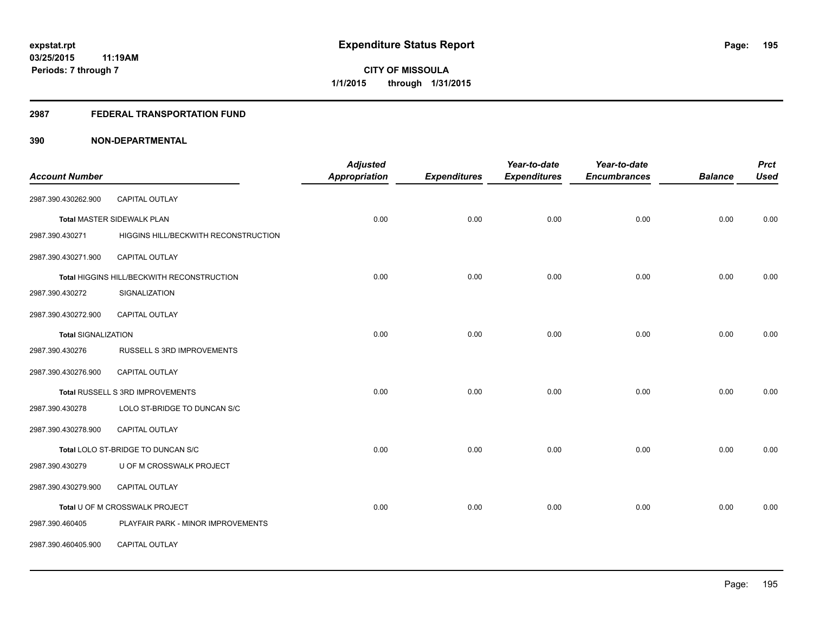### **2987 FEDERAL TRANSPORTATION FUND**

| <b>Account Number</b>      |                                            | <b>Adjusted</b><br><b>Appropriation</b> | <b>Expenditures</b> | Year-to-date<br><b>Expenditures</b> | Year-to-date<br><b>Encumbrances</b> | <b>Balance</b> | <b>Prct</b><br><b>Used</b> |
|----------------------------|--------------------------------------------|-----------------------------------------|---------------------|-------------------------------------|-------------------------------------|----------------|----------------------------|
|                            |                                            |                                         |                     |                                     |                                     |                |                            |
| 2987.390.430262.900        | CAPITAL OUTLAY                             |                                         |                     |                                     |                                     |                |                            |
|                            | <b>Total MASTER SIDEWALK PLAN</b>          | 0.00                                    | 0.00                | 0.00                                | 0.00                                | 0.00           | 0.00                       |
| 2987.390.430271            | HIGGINS HILL/BECKWITH RECONSTRUCTION       |                                         |                     |                                     |                                     |                |                            |
| 2987.390.430271.900        | <b>CAPITAL OUTLAY</b>                      |                                         |                     |                                     |                                     |                |                            |
|                            | Total HIGGINS HILL/BECKWITH RECONSTRUCTION | 0.00                                    | 0.00                | 0.00                                | 0.00                                | 0.00           | 0.00                       |
| 2987.390.430272            | SIGNALIZATION                              |                                         |                     |                                     |                                     |                |                            |
| 2987.390.430272.900        | <b>CAPITAL OUTLAY</b>                      |                                         |                     |                                     |                                     |                |                            |
| <b>Total SIGNALIZATION</b> |                                            | 0.00                                    | 0.00                | 0.00                                | 0.00                                | 0.00           | 0.00                       |
| 2987.390.430276            | RUSSELL S 3RD IMPROVEMENTS                 |                                         |                     |                                     |                                     |                |                            |
| 2987.390.430276.900        | <b>CAPITAL OUTLAY</b>                      |                                         |                     |                                     |                                     |                |                            |
|                            | Total RUSSELL S 3RD IMPROVEMENTS           | 0.00                                    | 0.00                | 0.00                                | 0.00                                | 0.00           | 0.00                       |
| 2987.390.430278            | LOLO ST-BRIDGE TO DUNCAN S/C               |                                         |                     |                                     |                                     |                |                            |
| 2987.390.430278.900        | CAPITAL OUTLAY                             |                                         |                     |                                     |                                     |                |                            |
|                            | Total LOLO ST-BRIDGE TO DUNCAN S/C         | 0.00                                    | 0.00                | 0.00                                | 0.00                                | 0.00           | 0.00                       |
| 2987.390.430279            | U OF M CROSSWALK PROJECT                   |                                         |                     |                                     |                                     |                |                            |
| 2987.390.430279.900        | CAPITAL OUTLAY                             |                                         |                     |                                     |                                     |                |                            |
|                            | Total U OF M CROSSWALK PROJECT             | 0.00                                    | 0.00                | 0.00                                | 0.00                                | 0.00           | 0.00                       |
| 2987.390.460405            | PLAYFAIR PARK - MINOR IMPROVEMENTS         |                                         |                     |                                     |                                     |                |                            |
| 2987.390.460405.900        | CAPITAL OUTLAY                             |                                         |                     |                                     |                                     |                |                            |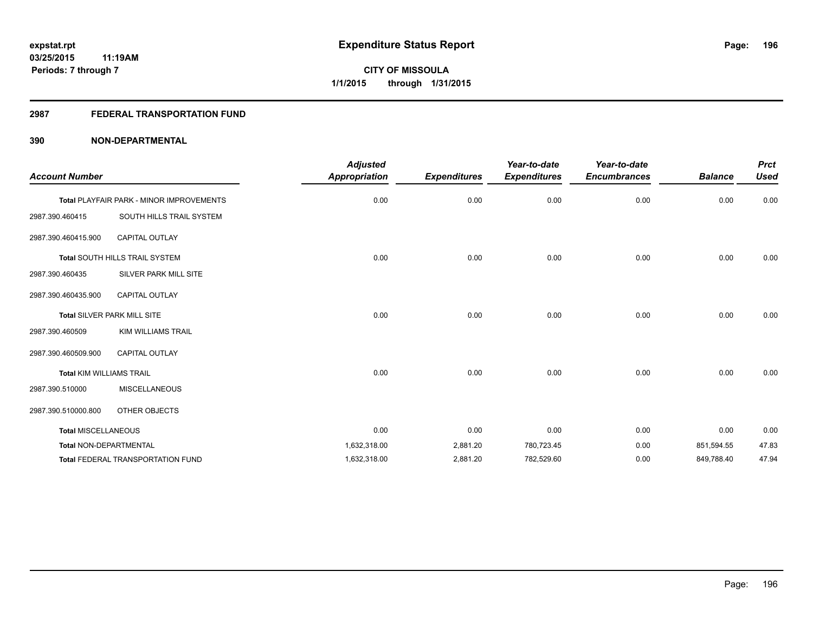## **2987 FEDERAL TRANSPORTATION FUND**

| <b>Account Number</b>           |                                                 | <b>Adjusted</b><br><b>Appropriation</b> | <b>Expenditures</b> | Year-to-date<br><b>Expenditures</b> | Year-to-date<br><b>Encumbrances</b> | <b>Balance</b> | <b>Prct</b><br><b>Used</b> |
|---------------------------------|-------------------------------------------------|-----------------------------------------|---------------------|-------------------------------------|-------------------------------------|----------------|----------------------------|
|                                 | <b>Total PLAYFAIR PARK - MINOR IMPROVEMENTS</b> | 0.00                                    | 0.00                | 0.00                                | 0.00                                | 0.00           | 0.00                       |
| 2987.390.460415                 | SOUTH HILLS TRAIL SYSTEM                        |                                         |                     |                                     |                                     |                |                            |
| 2987.390.460415.900             | <b>CAPITAL OUTLAY</b>                           |                                         |                     |                                     |                                     |                |                            |
|                                 | <b>Total SOUTH HILLS TRAIL SYSTEM</b>           | 0.00                                    | 0.00                | 0.00                                | 0.00                                | 0.00           | 0.00                       |
| 2987.390.460435                 | SILVER PARK MILL SITE                           |                                         |                     |                                     |                                     |                |                            |
| 2987.390.460435.900             | <b>CAPITAL OUTLAY</b>                           |                                         |                     |                                     |                                     |                |                            |
|                                 | <b>Total SILVER PARK MILL SITE</b>              | 0.00                                    | 0.00                | 0.00                                | 0.00                                | 0.00           | 0.00                       |
| 2987.390.460509                 | KIM WILLIAMS TRAIL                              |                                         |                     |                                     |                                     |                |                            |
| 2987.390.460509.900             | <b>CAPITAL OUTLAY</b>                           |                                         |                     |                                     |                                     |                |                            |
| <b>Total KIM WILLIAMS TRAIL</b> |                                                 | 0.00                                    | 0.00                | 0.00                                | 0.00                                | 0.00           | 0.00                       |
| 2987.390.510000                 | <b>MISCELLANEOUS</b>                            |                                         |                     |                                     |                                     |                |                            |
| 2987.390.510000.800             | OTHER OBJECTS                                   |                                         |                     |                                     |                                     |                |                            |
| <b>Total MISCELLANEOUS</b>      |                                                 | 0.00                                    | 0.00                | 0.00                                | 0.00                                | 0.00           | 0.00                       |
| Total NON-DEPARTMENTAL          |                                                 | 1,632,318.00                            | 2,881.20            | 780,723.45                          | 0.00                                | 851,594.55     | 47.83                      |
|                                 | <b>Total FEDERAL TRANSPORTATION FUND</b>        | 1,632,318.00                            | 2,881.20            | 782,529.60                          | 0.00                                | 849,788.40     | 47.94                      |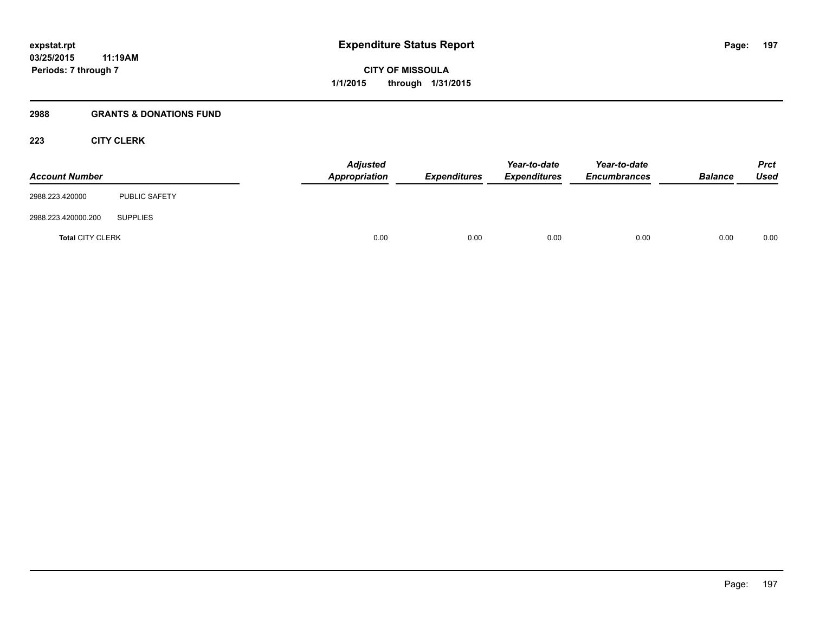## **2988 GRANTS & DONATIONS FUND**

## **223 CITY CLERK**

| <b>Account Number</b>   |                      | <b>Adjusted</b><br>Appropriation | <b>Expenditures</b> | Year-to-date<br><b>Expenditures</b> | Year-to-date<br><b>Encumbrances</b> | <b>Balance</b> | <b>Prct</b><br><b>Used</b> |
|-------------------------|----------------------|----------------------------------|---------------------|-------------------------------------|-------------------------------------|----------------|----------------------------|
| 2988.223.420000         | <b>PUBLIC SAFETY</b> |                                  |                     |                                     |                                     |                |                            |
| 2988.223.420000.200     | <b>SUPPLIES</b>      |                                  |                     |                                     |                                     |                |                            |
| <b>Total CITY CLERK</b> |                      | 0.00                             | 0.00                | 0.00                                | 0.00                                | 0.00           | 0.00                       |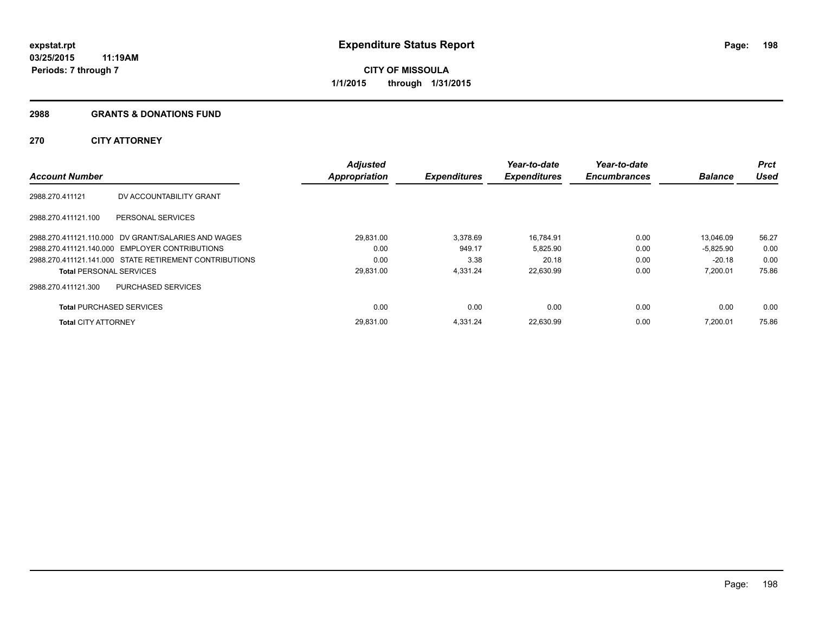### **2988 GRANTS & DONATIONS FUND**

## **270 CITY ATTORNEY**

| <b>Account Number</b>           |                                                        | <b>Adjusted</b><br><b>Appropriation</b> | <b>Expenditures</b> | Year-to-date<br><b>Expenditures</b> | Year-to-date<br><b>Encumbrances</b> | <b>Balance</b> | Prct<br><b>Used</b> |
|---------------------------------|--------------------------------------------------------|-----------------------------------------|---------------------|-------------------------------------|-------------------------------------|----------------|---------------------|
|                                 |                                                        |                                         |                     |                                     |                                     |                |                     |
| 2988.270.411121                 | DV ACCOUNTABILITY GRANT                                |                                         |                     |                                     |                                     |                |                     |
| 2988.270.411121.100             | PERSONAL SERVICES                                      |                                         |                     |                                     |                                     |                |                     |
|                                 | 2988.270.411121.110.000 DV GRANT/SALARIES AND WAGES    | 29,831.00                               | 3,378.69            | 16,784.91                           | 0.00                                | 13.046.09      | 56.27               |
|                                 | 2988.270.411121.140.000 EMPLOYER CONTRIBUTIONS         | 0.00                                    | 949.17              | 5,825.90                            | 0.00                                | $-5.825.90$    | 0.00                |
|                                 | 2988.270.411121.141.000 STATE RETIREMENT CONTRIBUTIONS | 0.00                                    | 3.38                | 20.18                               | 0.00                                | $-20.18$       | 0.00                |
| <b>Total PERSONAL SERVICES</b>  |                                                        | 29,831.00                               | 4.331.24            | 22,630.99                           | 0.00                                | 7,200.01       | 75.86               |
| 2988.270.411121.300             | <b>PURCHASED SERVICES</b>                              |                                         |                     |                                     |                                     |                |                     |
| <b>Total PURCHASED SERVICES</b> |                                                        | 0.00                                    | 0.00                | 0.00                                | 0.00                                | 0.00           | 0.00                |
| <b>Total CITY ATTORNEY</b>      |                                                        | 29.831.00                               | 4.331.24            | 22,630.99                           | 0.00                                | 7.200.01       | 75.86               |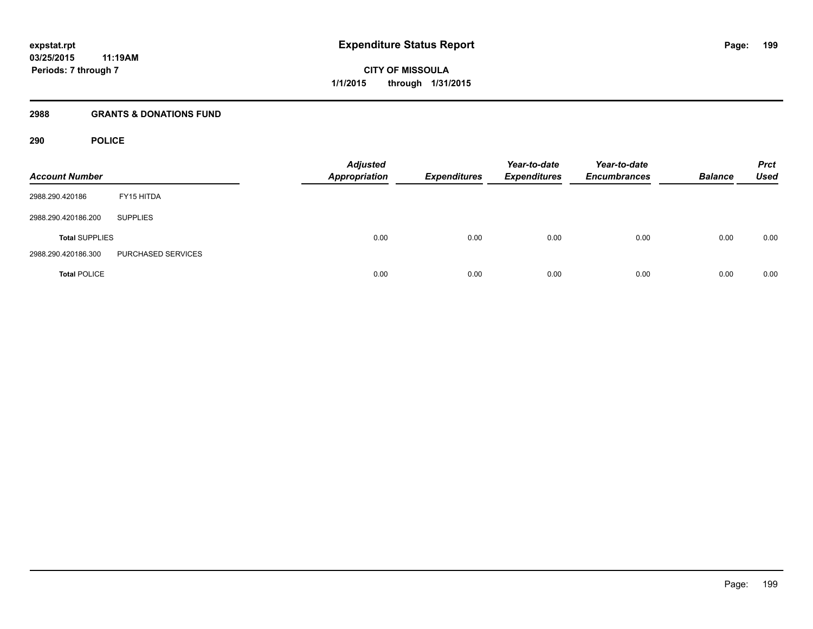## **2988 GRANTS & DONATIONS FUND**

## **290 POLICE**

| <b>Account Number</b> |                    | <b>Adjusted</b><br>Appropriation | <b>Expenditures</b> | Year-to-date<br><b>Expenditures</b> | Year-to-date<br><b>Encumbrances</b> | <b>Balance</b> | <b>Prct</b><br><b>Used</b> |
|-----------------------|--------------------|----------------------------------|---------------------|-------------------------------------|-------------------------------------|----------------|----------------------------|
| 2988.290.420186       | FY15 HITDA         |                                  |                     |                                     |                                     |                |                            |
| 2988.290.420186.200   | <b>SUPPLIES</b>    |                                  |                     |                                     |                                     |                |                            |
| <b>Total SUPPLIES</b> |                    | 0.00                             | 0.00                | 0.00                                | 0.00                                | 0.00           | 0.00                       |
| 2988.290.420186.300   | PURCHASED SERVICES |                                  |                     |                                     |                                     |                |                            |
| <b>Total POLICE</b>   |                    | 0.00                             | 0.00                | 0.00                                | 0.00                                | 0.00           | 0.00                       |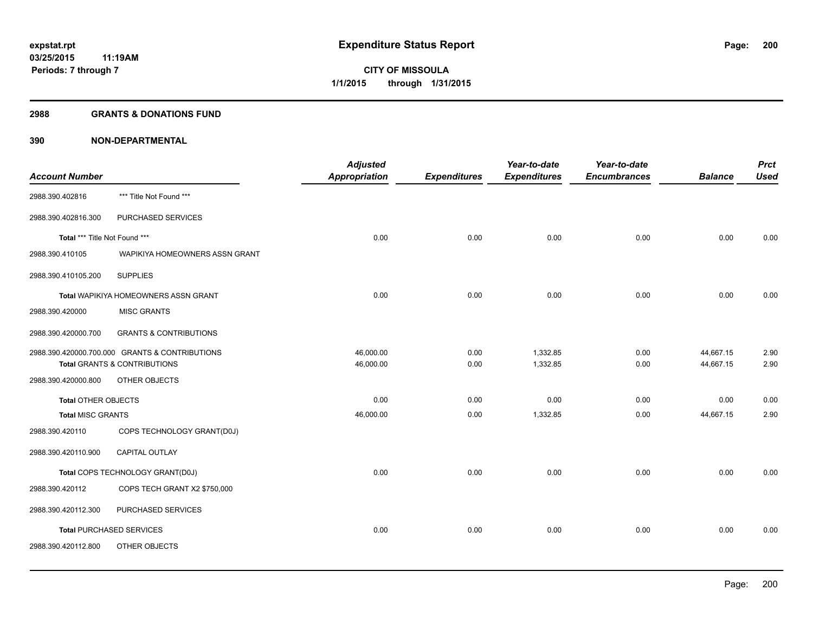#### **2988 GRANTS & DONATIONS FUND**

|                                                | <b>Adjusted</b>              |                                   | Year-to-date                | Year-to-date                    |                             | <b>Prct</b>                 |
|------------------------------------------------|------------------------------|-----------------------------------|-----------------------------|---------------------------------|-----------------------------|-----------------------------|
|                                                |                              |                                   |                             |                                 |                             | <b>Used</b>                 |
| *** Title Not Found ***                        |                              |                                   |                             |                                 |                             |                             |
| PURCHASED SERVICES                             |                              |                                   |                             |                                 |                             |                             |
| Total *** Title Not Found ***                  | 0.00                         | 0.00                              | 0.00                        | 0.00                            | 0.00                        | 0.00                        |
| WAPIKIYA HOMEOWNERS ASSN GRANT                 |                              |                                   |                             |                                 |                             |                             |
| <b>SUPPLIES</b>                                |                              |                                   |                             |                                 |                             |                             |
| Total WAPIKIYA HOMEOWNERS ASSN GRANT           | 0.00                         | 0.00                              | 0.00                        | 0.00                            | 0.00                        | 0.00                        |
| <b>MISC GRANTS</b>                             |                              |                                   |                             |                                 |                             |                             |
| <b>GRANTS &amp; CONTRIBUTIONS</b>              |                              |                                   |                             |                                 |                             |                             |
| 2988.390.420000.700.000 GRANTS & CONTRIBUTIONS | 46,000.00                    | 0.00                              | 1,332.85                    | 0.00                            | 44,667.15                   | 2.90                        |
|                                                |                              |                                   |                             |                                 |                             | 2.90                        |
| OTHER OBJECTS                                  |                              |                                   |                             |                                 |                             |                             |
| <b>Total OTHER OBJECTS</b>                     | 0.00                         | 0.00                              | 0.00                        | 0.00                            | 0.00                        | 0.00                        |
| <b>Total MISC GRANTS</b>                       | 46,000.00                    | 0.00                              | 1,332.85                    | 0.00                            | 44,667.15                   | 2.90                        |
| COPS TECHNOLOGY GRANT(D0J)                     |                              |                                   |                             |                                 |                             |                             |
| <b>CAPITAL OUTLAY</b>                          |                              |                                   |                             |                                 |                             |                             |
| Total COPS TECHNOLOGY GRANT(D0J)               | 0.00                         | 0.00                              | 0.00                        | 0.00                            | 0.00                        | 0.00                        |
| COPS TECH GRANT X2 \$750,000                   |                              |                                   |                             |                                 |                             |                             |
| PURCHASED SERVICES                             |                              |                                   |                             |                                 |                             |                             |
| <b>Total PURCHASED SERVICES</b>                | 0.00                         | 0.00                              | 0.00                        | 0.00                            | 0.00                        | 0.00                        |
| OTHER OBJECTS                                  |                              |                                   |                             |                                 |                             |                             |
|                                                | Total GRANTS & CONTRIBUTIONS | <b>Appropriation</b><br>46,000.00 | <b>Expenditures</b><br>0.00 | <b>Expenditures</b><br>1,332.85 | <b>Encumbrances</b><br>0.00 | <b>Balance</b><br>44,667.15 |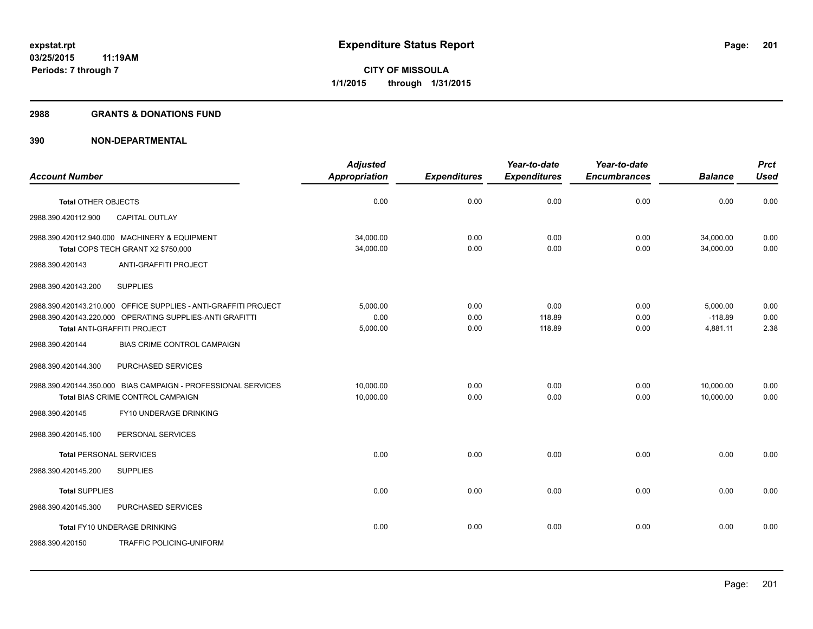### **2988 GRANTS & DONATIONS FUND**

|                                                                                     | <b>Adjusted</b>        |                     | Year-to-date        | Year-to-date        |                        | <b>Prct</b>  |
|-------------------------------------------------------------------------------------|------------------------|---------------------|---------------------|---------------------|------------------------|--------------|
| <b>Account Number</b>                                                               | Appropriation          | <b>Expenditures</b> | <b>Expenditures</b> | <b>Encumbrances</b> | <b>Balance</b>         | <b>Used</b>  |
| <b>Total OTHER OBJECTS</b>                                                          | 0.00                   | 0.00                | 0.00                | 0.00                | 0.00                   | 0.00         |
| <b>CAPITAL OUTLAY</b><br>2988.390.420112.900                                        |                        |                     |                     |                     |                        |              |
| 2988.390.420112.940.000 MACHINERY & EQUIPMENT<br>Total COPS TECH GRANT X2 \$750,000 | 34,000.00<br>34,000.00 | 0.00<br>0.00        | 0.00<br>0.00        | 0.00<br>0.00        | 34,000.00<br>34.000.00 | 0.00<br>0.00 |
|                                                                                     |                        |                     |                     |                     |                        |              |
| ANTI-GRAFFITI PROJECT<br>2988.390.420143                                            |                        |                     |                     |                     |                        |              |
| <b>SUPPLIES</b><br>2988.390.420143.200                                              |                        |                     |                     |                     |                        |              |
| 2988.390.420143.210.000 OFFICE SUPPLIES - ANTI-GRAFFITI PROJECT                     | 5.000.00               | 0.00                | 0.00                | 0.00                | 5,000.00               | 0.00         |
| 2988.390.420143.220.000 OPERATING SUPPLIES-ANTI GRAFITTI                            | 0.00                   | 0.00                | 118.89              | 0.00                | $-118.89$              | 0.00         |
| Total ANTI-GRAFFITI PROJECT                                                         | 5,000.00               | 0.00                | 118.89              | 0.00                | 4,881.11               | 2.38         |
| BIAS CRIME CONTROL CAMPAIGN<br>2988.390.420144                                      |                        |                     |                     |                     |                        |              |
| 2988.390.420144.300<br>PURCHASED SERVICES                                           |                        |                     |                     |                     |                        |              |
| 2988.390.420144.350.000 BIAS CAMPAIGN - PROFESSIONAL SERVICES                       | 10.000.00              | 0.00                | 0.00                | 0.00                | 10,000.00              | 0.00         |
| Total BIAS CRIME CONTROL CAMPAIGN                                                   | 10,000.00              | 0.00                | 0.00                | 0.00                | 10,000.00              | 0.00         |
| FY10 UNDERAGE DRINKING<br>2988.390.420145                                           |                        |                     |                     |                     |                        |              |
| 2988.390.420145.100<br>PERSONAL SERVICES                                            |                        |                     |                     |                     |                        |              |
| <b>Total PERSONAL SERVICES</b>                                                      | 0.00                   | 0.00                | 0.00                | 0.00                | 0.00                   | 0.00         |
| 2988.390.420145.200<br><b>SUPPLIES</b>                                              |                        |                     |                     |                     |                        |              |
| <b>Total SUPPLIES</b>                                                               | 0.00                   | 0.00                | 0.00                | 0.00                | 0.00                   | 0.00         |
| PURCHASED SERVICES<br>2988.390.420145.300                                           |                        |                     |                     |                     |                        |              |
| <b>Total FY10 UNDERAGE DRINKING</b>                                                 | 0.00                   | 0.00                | 0.00                | 0.00                | 0.00                   | 0.00         |
| 2988.390.420150<br>TRAFFIC POLICING-UNIFORM                                         |                        |                     |                     |                     |                        |              |
|                                                                                     |                        |                     |                     |                     |                        |              |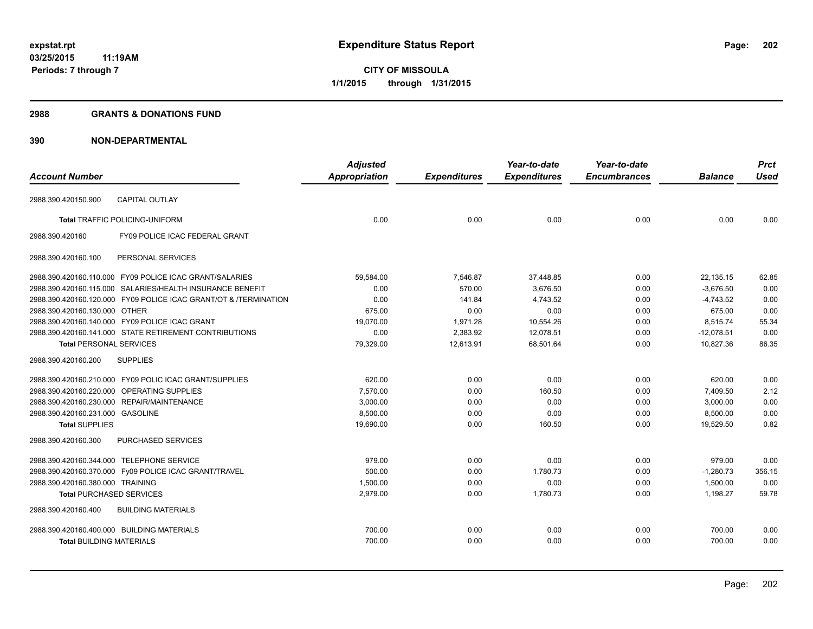#### **2988 GRANTS & DONATIONS FUND**

|                                            |                                                                  | <b>Adjusted</b>      |                     | Year-to-date        | Year-to-date        |                | <b>Prct</b> |
|--------------------------------------------|------------------------------------------------------------------|----------------------|---------------------|---------------------|---------------------|----------------|-------------|
| <b>Account Number</b>                      |                                                                  | <b>Appropriation</b> | <b>Expenditures</b> | <b>Expenditures</b> | <b>Encumbrances</b> | <b>Balance</b> | <b>Used</b> |
| 2988.390.420150.900                        | <b>CAPITAL OUTLAY</b>                                            |                      |                     |                     |                     |                |             |
|                                            | <b>Total TRAFFIC POLICING-UNIFORM</b>                            | 0.00                 | 0.00                | 0.00                | 0.00                | 0.00           | 0.00        |
|                                            |                                                                  |                      |                     |                     |                     |                |             |
| 2988.390.420160                            | FY09 POLICE ICAC FEDERAL GRANT                                   |                      |                     |                     |                     |                |             |
| 2988.390.420160.100                        | PERSONAL SERVICES                                                |                      |                     |                     |                     |                |             |
|                                            | 2988.390.420160.110.000 FY09 POLICE ICAC GRANT/SALARIES          | 59,584.00            | 7,546.87            | 37,448.85           | 0.00                | 22,135.15      | 62.85       |
|                                            | 2988.390.420160.115.000 SALARIES/HEALTH INSURANCE BENEFIT        | 0.00                 | 570.00              | 3,676.50            | 0.00                | $-3,676.50$    | 0.00        |
|                                            | 2988.390.420160.120.000 FY09 POLICE ICAC GRANT/OT & /TERMINATION | 0.00                 | 141.84              | 4,743.52            | 0.00                | $-4,743.52$    | 0.00        |
| 2988.390.420160.130.000 OTHER              |                                                                  | 675.00               | 0.00                | 0.00                | 0.00                | 675.00         | 0.00        |
|                                            | 2988.390.420160.140.000 FY09 POLICE ICAC GRANT                   | 19,070.00            | 1,971.28            | 10,554.26           | 0.00                | 8,515.74       | 55.34       |
|                                            | 2988.390.420160.141.000 STATE RETIREMENT CONTRIBUTIONS           | 0.00                 | 2,383.92            | 12,078.51           | 0.00                | $-12,078.51$   | 0.00        |
| <b>Total PERSONAL SERVICES</b>             |                                                                  | 79,329.00            | 12,613.91           | 68,501.64           | 0.00                | 10,827.36      | 86.35       |
| 2988.390.420160.200                        | <b>SUPPLIES</b>                                                  |                      |                     |                     |                     |                |             |
|                                            | 2988.390.420160.210.000 FY09 POLIC ICAC GRANT/SUPPLIES           | 620.00               | 0.00                | 0.00                | 0.00                | 620.00         | 0.00        |
|                                            | 2988.390.420160.220.000 OPERATING SUPPLIES                       | 7,570.00             | 0.00                | 160.50              | 0.00                | 7,409.50       | 2.12        |
|                                            | 2988.390.420160.230.000 REPAIR/MAINTENANCE                       | 3,000.00             | 0.00                | 0.00                | 0.00                | 3,000.00       | 0.00        |
| 2988.390.420160.231.000 GASOLINE           |                                                                  | 8,500.00             | 0.00                | 0.00                | 0.00                | 8,500.00       | 0.00        |
| <b>Total SUPPLIES</b>                      |                                                                  | 19,690.00            | 0.00                | 160.50              | 0.00                | 19,529.50      | 0.82        |
| 2988.390.420160.300                        | PURCHASED SERVICES                                               |                      |                     |                     |                     |                |             |
| 2988.390.420160.344.000 TELEPHONE SERVICE  |                                                                  | 979.00               | 0.00                | 0.00                | 0.00                | 979.00         | 0.00        |
|                                            | 2988.390.420160.370.000 Fy09 POLICE ICAC GRANT/TRAVEL            | 500.00               | 0.00                | 1,780.73            | 0.00                | $-1,280.73$    | 356.15      |
| 2988.390.420160.380.000 TRAINING           |                                                                  | 1.500.00             | 0.00                | 0.00                | 0.00                | 1.500.00       | 0.00        |
| <b>Total PURCHASED SERVICES</b>            |                                                                  | 2,979.00             | 0.00                | 1,780.73            | 0.00                | 1,198.27       | 59.78       |
| 2988.390.420160.400                        | <b>BUILDING MATERIALS</b>                                        |                      |                     |                     |                     |                |             |
| 2988.390.420160.400.000 BUILDING MATERIALS |                                                                  | 700.00               | 0.00                | 0.00                | 0.00                | 700.00         | 0.00        |
| <b>Total BUILDING MATERIALS</b>            |                                                                  | 700.00               | 0.00                | 0.00                | 0.00                | 700.00         | 0.00        |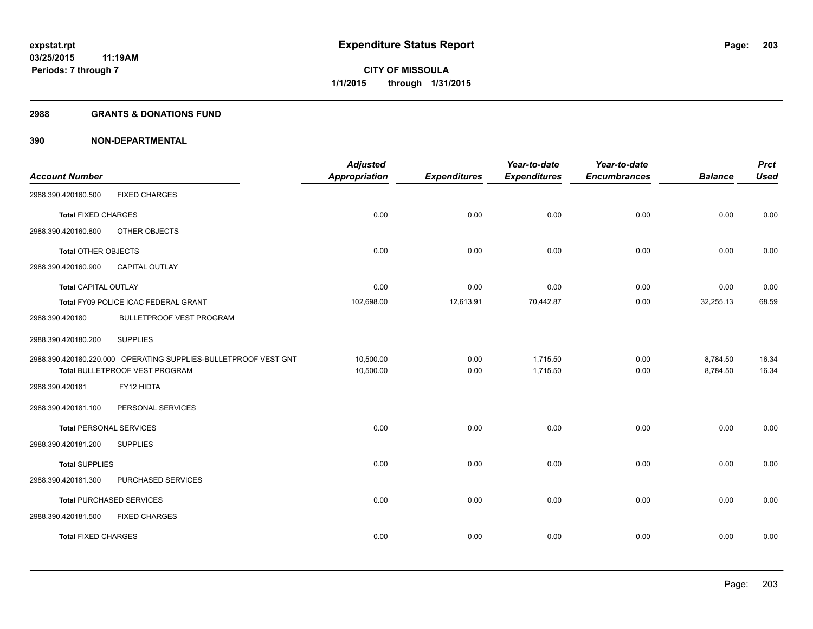#### **2988 GRANTS & DONATIONS FUND**

|                                |                                                                 | <b>Adjusted</b>      |                     | Year-to-date        | Year-to-date        |                | <b>Prct</b> |
|--------------------------------|-----------------------------------------------------------------|----------------------|---------------------|---------------------|---------------------|----------------|-------------|
| <b>Account Number</b>          |                                                                 | <b>Appropriation</b> | <b>Expenditures</b> | <b>Expenditures</b> | <b>Encumbrances</b> | <b>Balance</b> | <b>Used</b> |
| 2988.390.420160.500            | <b>FIXED CHARGES</b>                                            |                      |                     |                     |                     |                |             |
| <b>Total FIXED CHARGES</b>     |                                                                 | 0.00                 | 0.00                | 0.00                | 0.00                | 0.00           | 0.00        |
| 2988.390.420160.800            | OTHER OBJECTS                                                   |                      |                     |                     |                     |                |             |
| <b>Total OTHER OBJECTS</b>     |                                                                 | 0.00                 | 0.00                | 0.00                | 0.00                | 0.00           | 0.00        |
| 2988.390.420160.900            | <b>CAPITAL OUTLAY</b>                                           |                      |                     |                     |                     |                |             |
| <b>Total CAPITAL OUTLAY</b>    |                                                                 | 0.00                 | 0.00                | 0.00                | 0.00                | 0.00           | 0.00        |
|                                | Total FY09 POLICE ICAC FEDERAL GRANT                            | 102,698.00           | 12,613.91           | 70,442.87           | 0.00                | 32,255.13      | 68.59       |
| 2988.390.420180                | <b>BULLETPROOF VEST PROGRAM</b>                                 |                      |                     |                     |                     |                |             |
| 2988.390.420180.200            | <b>SUPPLIES</b>                                                 |                      |                     |                     |                     |                |             |
|                                | 2988.390.420180.220.000 OPERATING SUPPLIES-BULLETPROOF VEST GNT | 10,500.00            | 0.00                | 1,715.50            | 0.00                | 8,784.50       | 16.34       |
|                                | Total BULLETPROOF VEST PROGRAM                                  | 10,500.00            | 0.00                | 1,715.50            | 0.00                | 8,784.50       | 16.34       |
| 2988.390.420181                | FY12 HIDTA                                                      |                      |                     |                     |                     |                |             |
| 2988.390.420181.100            | PERSONAL SERVICES                                               |                      |                     |                     |                     |                |             |
| <b>Total PERSONAL SERVICES</b> |                                                                 | 0.00                 | 0.00                | 0.00                | 0.00                | 0.00           | 0.00        |
| 2988.390.420181.200            | <b>SUPPLIES</b>                                                 |                      |                     |                     |                     |                |             |
| <b>Total SUPPLIES</b>          |                                                                 | 0.00                 | 0.00                | 0.00                | 0.00                | 0.00           | 0.00        |
| 2988.390.420181.300            | PURCHASED SERVICES                                              |                      |                     |                     |                     |                |             |
|                                | <b>Total PURCHASED SERVICES</b>                                 | 0.00                 | 0.00                | 0.00                | 0.00                | 0.00           | 0.00        |
| 2988.390.420181.500            | <b>FIXED CHARGES</b>                                            |                      |                     |                     |                     |                |             |
| <b>Total FIXED CHARGES</b>     |                                                                 | 0.00                 | 0.00                | 0.00                | 0.00                | 0.00           | 0.00        |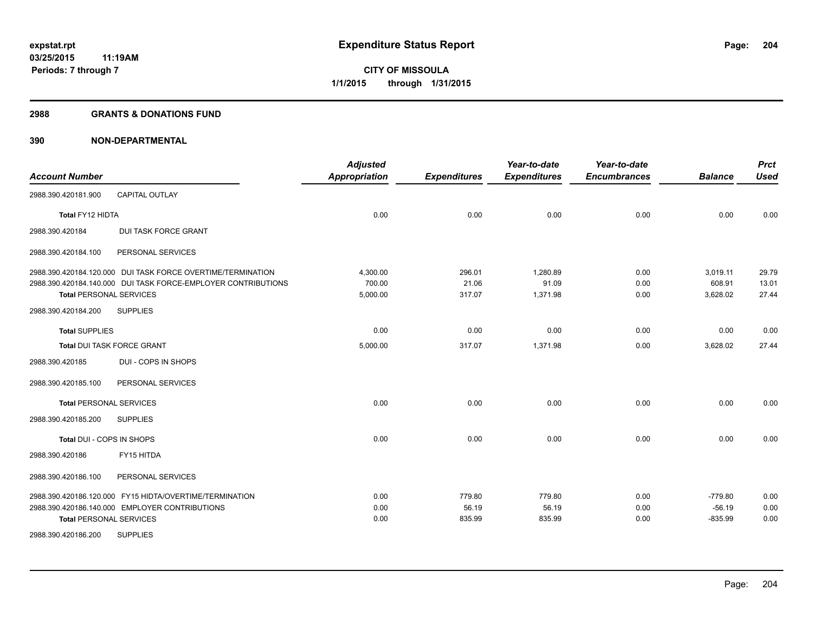#### **2988 GRANTS & DONATIONS FUND**

| <b>Account Number</b>          |                                                                                                           | <b>Adjusted</b><br><b>Appropriation</b> | <b>Expenditures</b>       | Year-to-date<br><b>Expenditures</b> | Year-to-date<br><b>Encumbrances</b> | <b>Balance</b>                     | <b>Prct</b><br><b>Used</b> |
|--------------------------------|-----------------------------------------------------------------------------------------------------------|-----------------------------------------|---------------------------|-------------------------------------|-------------------------------------|------------------------------------|----------------------------|
| 2988.390.420181.900            | <b>CAPITAL OUTLAY</b>                                                                                     |                                         |                           |                                     |                                     |                                    |                            |
| Total FY12 HIDTA               |                                                                                                           | 0.00                                    | 0.00                      | 0.00                                | 0.00                                | 0.00                               | 0.00                       |
| 2988.390.420184                | <b>DUI TASK FORCE GRANT</b>                                                                               |                                         |                           |                                     |                                     |                                    |                            |
| 2988.390.420184.100            | PERSONAL SERVICES                                                                                         |                                         |                           |                                     |                                     |                                    |                            |
|                                | 2988.390.420184.120.000 DUI TASK FORCE OVERTIME/TERMINATION                                               | 4,300.00                                | 296.01                    | 1,280.89                            | 0.00                                | 3,019.11                           | 29.79                      |
| <b>Total PERSONAL SERVICES</b> | 2988.390.420184.140.000 DUI TASK FORCE-EMPLOYER CONTRIBUTIONS                                             | 700.00<br>5,000.00                      | 21.06<br>317.07           | 91.09<br>1,371.98                   | 0.00<br>0.00                        | 608.91<br>3,628.02                 | 13.01<br>27.44             |
| 2988.390.420184.200            | <b>SUPPLIES</b>                                                                                           |                                         |                           |                                     |                                     |                                    |                            |
| <b>Total SUPPLIES</b>          |                                                                                                           | 0.00                                    | 0.00                      | 0.00                                | 0.00                                | 0.00                               | 0.00                       |
| Total DUI TASK FORCE GRANT     |                                                                                                           | 5,000.00                                | 317.07                    | 1,371.98                            | 0.00                                | 3,628.02                           | 27.44                      |
| 2988.390.420185                | DUI - COPS IN SHOPS                                                                                       |                                         |                           |                                     |                                     |                                    |                            |
| 2988.390.420185.100            | PERSONAL SERVICES                                                                                         |                                         |                           |                                     |                                     |                                    |                            |
| <b>Total PERSONAL SERVICES</b> |                                                                                                           | 0.00                                    | 0.00                      | 0.00                                | 0.00                                | 0.00                               | 0.00                       |
| 2988.390.420185.200            | <b>SUPPLIES</b>                                                                                           |                                         |                           |                                     |                                     |                                    |                            |
| Total DUI - COPS IN SHOPS      |                                                                                                           | 0.00                                    | 0.00                      | 0.00                                | 0.00                                | 0.00                               | 0.00                       |
| 2988.390.420186                | FY15 HITDA                                                                                                |                                         |                           |                                     |                                     |                                    |                            |
| 2988.390.420186.100            | PERSONAL SERVICES                                                                                         |                                         |                           |                                     |                                     |                                    |                            |
| <b>Total PERSONAL SERVICES</b> | 2988.390.420186.120.000 FY15 HIDTA/OVERTIME/TERMINATION<br>2988.390.420186.140.000 EMPLOYER CONTRIBUTIONS | 0.00<br>0.00<br>0.00                    | 779.80<br>56.19<br>835.99 | 779.80<br>56.19<br>835.99           | 0.00<br>0.00<br>0.00                | $-779.80$<br>$-56.19$<br>$-835.99$ | 0.00<br>0.00<br>0.00       |
| 2988.390.420186.200            | <b>SUPPLIES</b>                                                                                           |                                         |                           |                                     |                                     |                                    |                            |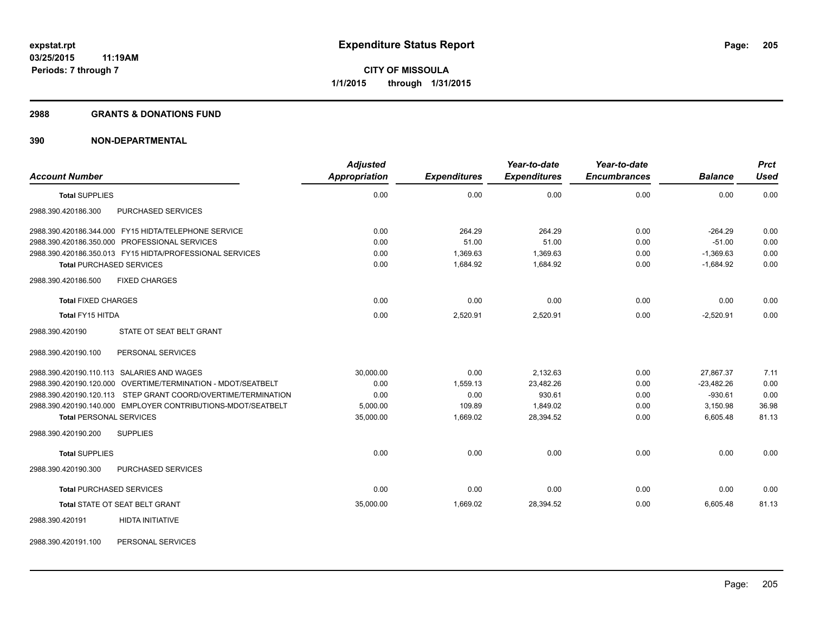#### **2988 GRANTS & DONATIONS FUND**

## **390 NON-DEPARTMENTAL**

| <b>Account Number</b>                                         | <b>Adjusted</b><br>Appropriation | <b>Expenditures</b> | Year-to-date<br><b>Expenditures</b> | Year-to-date<br><b>Encumbrances</b> | <b>Balance</b> | <b>Prct</b><br><b>Used</b> |
|---------------------------------------------------------------|----------------------------------|---------------------|-------------------------------------|-------------------------------------|----------------|----------------------------|
| <b>Total SUPPLIES</b>                                         | 0.00                             | 0.00                | 0.00                                | 0.00                                | 0.00           | 0.00                       |
| 2988.390.420186.300<br>PURCHASED SERVICES                     |                                  |                     |                                     |                                     |                |                            |
| 2988.390.420186.344.000 FY15 HIDTA/TELEPHONE SERVICE          | 0.00                             | 264.29              | 264.29                              | 0.00                                | $-264.29$      | 0.00                       |
| 2988.390.420186.350.000 PROFESSIONAL SERVICES                 | 0.00                             | 51.00               | 51.00                               | 0.00                                | $-51.00$       | 0.00                       |
| 2988.390.420186.350.013 FY15 HIDTA/PROFESSIONAL SERVICES      | 0.00                             | 1,369.63            | 1,369.63                            | 0.00                                | $-1,369.63$    | 0.00                       |
| <b>Total PURCHASED SERVICES</b>                               | 0.00                             | 1.684.92            | 1.684.92                            | 0.00                                | $-1.684.92$    | 0.00                       |
| 2988.390.420186.500<br><b>FIXED CHARGES</b>                   |                                  |                     |                                     |                                     |                |                            |
| <b>Total FIXED CHARGES</b>                                    | 0.00                             | 0.00                | 0.00                                | 0.00                                | 0.00           | 0.00                       |
| Total FY15 HITDA                                              | 0.00                             | 2,520.91            | 2,520.91                            | 0.00                                | $-2,520.91$    | 0.00                       |
| STATE OT SEAT BELT GRANT<br>2988.390.420190                   |                                  |                     |                                     |                                     |                |                            |
| PERSONAL SERVICES<br>2988.390.420190.100                      |                                  |                     |                                     |                                     |                |                            |
| 2988.390.420190.110.113 SALARIES AND WAGES                    | 30,000.00                        | 0.00                | 2,132.63                            | 0.00                                | 27,867.37      | 7.11                       |
| 2988.390.420190.120.000 OVERTIME/TERMINATION - MDOT/SEATBELT  | 0.00                             | 1,559.13            | 23.482.26                           | 0.00                                | $-23.482.26$   | 0.00                       |
| 2988.390.420190.120.113 STEP GRANT COORD/OVERTIME/TERMINATION | 0.00                             | 0.00                | 930.61                              | 0.00                                | $-930.61$      | 0.00                       |
| 2988.390.420190.140.000 EMPLOYER CONTRIBUTIONS-MDOT/SEATBELT  | 5,000.00                         | 109.89              | 1.849.02                            | 0.00                                | 3,150.98       | 36.98                      |
| <b>Total PERSONAL SERVICES</b>                                | 35,000.00                        | 1,669.02            | 28,394.52                           | 0.00                                | 6,605.48       | 81.13                      |
| <b>SUPPLIES</b><br>2988.390.420190.200                        |                                  |                     |                                     |                                     |                |                            |
| <b>Total SUPPLIES</b>                                         | 0.00                             | 0.00                | 0.00                                | 0.00                                | 0.00           | 0.00                       |
| PURCHASED SERVICES<br>2988.390.420190.300                     |                                  |                     |                                     |                                     |                |                            |
| <b>Total PURCHASED SERVICES</b>                               | 0.00                             | 0.00                | 0.00                                | 0.00                                | 0.00           | 0.00                       |
| <b>Total STATE OT SEAT BELT GRANT</b>                         | 35,000.00                        | 1,669.02            | 28,394.52                           | 0.00                                | 6,605.48       | 81.13                      |
| <b>HIDTA INITIATIVE</b><br>2988.390.420191                    |                                  |                     |                                     |                                     |                |                            |

2988.390.420191.100 PERSONAL SERVICES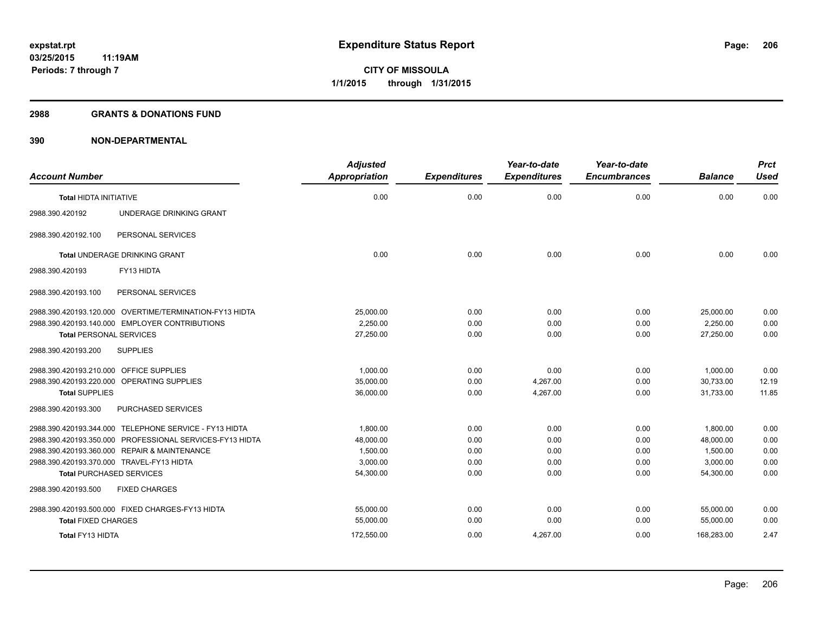### **2988 GRANTS & DONATIONS FUND**

| <b>Account Number</b>                                    | <b>Adjusted</b><br><b>Appropriation</b> | <b>Expenditures</b> | Year-to-date<br><b>Expenditures</b> | Year-to-date<br><b>Encumbrances</b> | <b>Balance</b> | <b>Prct</b><br><b>Used</b> |
|----------------------------------------------------------|-----------------------------------------|---------------------|-------------------------------------|-------------------------------------|----------------|----------------------------|
|                                                          |                                         |                     |                                     |                                     |                |                            |
| <b>Total HIDTA INITIATIVE</b>                            | 0.00                                    | 0.00                | 0.00                                | 0.00                                | 0.00           | 0.00                       |
| 2988.390.420192<br>UNDERAGE DRINKING GRANT               |                                         |                     |                                     |                                     |                |                            |
| PERSONAL SERVICES<br>2988.390.420192.100                 |                                         |                     |                                     |                                     |                |                            |
| Total UNDERAGE DRINKING GRANT                            | 0.00                                    | 0.00                | 0.00                                | 0.00                                | 0.00           | 0.00                       |
| FY13 HIDTA<br>2988.390.420193                            |                                         |                     |                                     |                                     |                |                            |
| PERSONAL SERVICES<br>2988.390.420193.100                 |                                         |                     |                                     |                                     |                |                            |
| 2988.390.420193.120.000 OVERTIME/TERMINATION-FY13 HIDTA  | 25,000.00                               | 0.00                | 0.00                                | 0.00                                | 25,000.00      | 0.00                       |
| 2988.390.420193.140.000 EMPLOYER CONTRIBUTIONS           | 2,250.00                                | 0.00                | 0.00                                | 0.00                                | 2,250.00       | 0.00                       |
| <b>Total PERSONAL SERVICES</b>                           | 27,250.00                               | 0.00                | 0.00                                | 0.00                                | 27,250.00      | 0.00                       |
| <b>SUPPLIES</b><br>2988.390.420193.200                   |                                         |                     |                                     |                                     |                |                            |
| 2988.390.420193.210.000 OFFICE SUPPLIES                  | 1,000.00                                | 0.00                | 0.00                                | 0.00                                | 1,000.00       | 0.00                       |
| 2988.390.420193.220.000 OPERATING SUPPLIES               | 35,000.00                               | 0.00                | 4,267.00                            | 0.00                                | 30,733.00      | 12.19                      |
| <b>Total SUPPLIES</b>                                    | 36,000.00                               | 0.00                | 4,267.00                            | 0.00                                | 31,733.00      | 11.85                      |
| 2988.390.420193.300<br>PURCHASED SERVICES                |                                         |                     |                                     |                                     |                |                            |
| 2988.390.420193.344.000 TELEPHONE SERVICE - FY13 HIDTA   | 1,800.00                                | 0.00                | 0.00                                | 0.00                                | 1,800.00       | 0.00                       |
| 2988.390.420193.350.000 PROFESSIONAL SERVICES-FY13 HIDTA | 48,000.00                               | 0.00                | 0.00                                | 0.00                                | 48,000.00      | 0.00                       |
| 2988.390.420193.360.000 REPAIR & MAINTENANCE             | 1,500.00                                | 0.00                | 0.00                                | 0.00                                | 1.500.00       | 0.00                       |
| 2988.390.420193.370.000 TRAVEL-FY13 HIDTA                | 3,000.00                                | 0.00                | 0.00                                | 0.00                                | 3,000.00       | 0.00                       |
| <b>Total PURCHASED SERVICES</b>                          | 54,300.00                               | 0.00                | 0.00                                | 0.00                                | 54,300.00      | 0.00                       |
| <b>FIXED CHARGES</b><br>2988.390.420193.500              |                                         |                     |                                     |                                     |                |                            |
| 2988.390.420193.500.000 FIXED CHARGES-FY13 HIDTA         | 55,000.00                               | 0.00                | 0.00                                | 0.00                                | 55.000.00      | 0.00                       |
| <b>Total FIXED CHARGES</b>                               | 55,000.00                               | 0.00                | 0.00                                | 0.00                                | 55,000.00      | 0.00                       |
| Total FY13 HIDTA                                         | 172,550.00                              | 0.00                | 4,267.00                            | 0.00                                | 168,283.00     | 2.47                       |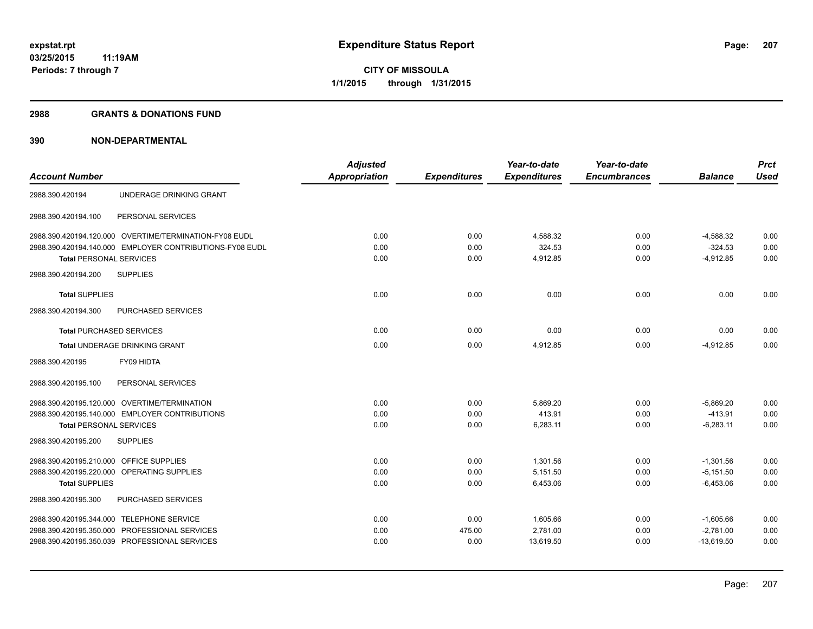#### **2988 GRANTS & DONATIONS FUND**

|                                                          | <b>Adjusted</b>      |                     | Year-to-date        | Year-to-date        |                | <b>Prct</b> |
|----------------------------------------------------------|----------------------|---------------------|---------------------|---------------------|----------------|-------------|
| <b>Account Number</b>                                    | <b>Appropriation</b> | <b>Expenditures</b> | <b>Expenditures</b> | <b>Encumbrances</b> | <b>Balance</b> | <b>Used</b> |
| 2988.390.420194<br>UNDERAGE DRINKING GRANT               |                      |                     |                     |                     |                |             |
| PERSONAL SERVICES<br>2988.390.420194.100                 |                      |                     |                     |                     |                |             |
| 2988.390.420194.120.000 OVERTIME/TERMINATION-FY08 EUDL   | 0.00                 | 0.00                | 4,588.32            | 0.00                | $-4,588.32$    | 0.00        |
| 2988.390.420194.140.000 EMPLOYER CONTRIBUTIONS-FY08 EUDL | 0.00                 | 0.00                | 324.53              | 0.00                | $-324.53$      | 0.00        |
| <b>Total PERSONAL SERVICES</b>                           | 0.00                 | 0.00                | 4,912.85            | 0.00                | $-4,912.85$    | 0.00        |
| <b>SUPPLIES</b><br>2988.390.420194.200                   |                      |                     |                     |                     |                |             |
| <b>Total SUPPLIES</b>                                    | 0.00                 | 0.00                | 0.00                | 0.00                | 0.00           | 0.00        |
| PURCHASED SERVICES<br>2988.390.420194.300                |                      |                     |                     |                     |                |             |
| <b>Total PURCHASED SERVICES</b>                          | 0.00                 | 0.00                | 0.00                | 0.00                | 0.00           | 0.00        |
| <b>Total UNDERAGE DRINKING GRANT</b>                     | 0.00                 | 0.00                | 4,912.85            | 0.00                | $-4,912.85$    | 0.00        |
| 2988.390.420195<br>FY09 HIDTA                            |                      |                     |                     |                     |                |             |
| 2988.390.420195.100<br>PERSONAL SERVICES                 |                      |                     |                     |                     |                |             |
| 2988.390.420195.120.000 OVERTIME/TERMINATION             | 0.00                 | 0.00                | 5,869.20            | 0.00                | $-5,869.20$    | 0.00        |
| 2988.390.420195.140.000 EMPLOYER CONTRIBUTIONS           | 0.00                 | 0.00                | 413.91              | 0.00                | $-413.91$      | 0.00        |
| <b>Total PERSONAL SERVICES</b>                           | 0.00                 | 0.00                | 6,283.11            | 0.00                | $-6,283.11$    | 0.00        |
| <b>SUPPLIES</b><br>2988.390.420195.200                   |                      |                     |                     |                     |                |             |
| 2988.390.420195.210.000 OFFICE SUPPLIES                  | 0.00                 | 0.00                | 1,301.56            | 0.00                | $-1,301.56$    | 0.00        |
| 2988.390.420195.220.000 OPERATING SUPPLIES               | 0.00                 | 0.00                | 5,151.50            | 0.00                | $-5,151.50$    | 0.00        |
| <b>Total SUPPLIES</b>                                    | 0.00                 | 0.00                | 6,453.06            | 0.00                | $-6.453.06$    | 0.00        |
| PURCHASED SERVICES<br>2988.390.420195.300                |                      |                     |                     |                     |                |             |
| 2988.390.420195.344.000 TELEPHONE SERVICE                | 0.00                 | 0.00                | 1,605.66            | 0.00                | $-1,605.66$    | 0.00        |
| 2988.390.420195.350.000 PROFESSIONAL SERVICES            | 0.00                 | 475.00              | 2,781.00            | 0.00                | $-2.781.00$    | 0.00        |
| 2988.390.420195.350.039 PROFESSIONAL SERVICES            | 0.00                 | 0.00                | 13,619.50           | 0.00                | $-13,619.50$   | 0.00        |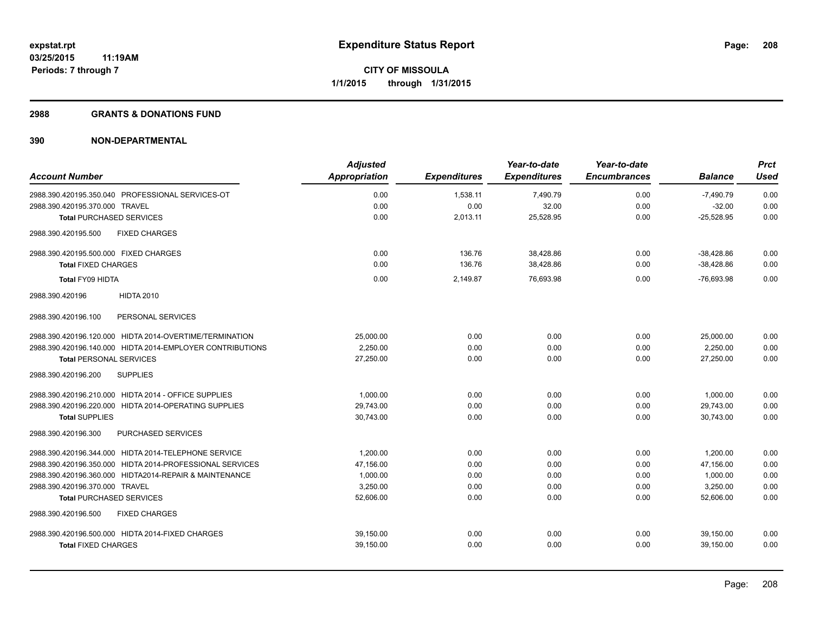## **2988 GRANTS & DONATIONS FUND**

|                                                           | <b>Adjusted</b>      |                     | Year-to-date        | Year-to-date        |                | <b>Prct</b> |
|-----------------------------------------------------------|----------------------|---------------------|---------------------|---------------------|----------------|-------------|
| <b>Account Number</b>                                     | <b>Appropriation</b> | <b>Expenditures</b> | <b>Expenditures</b> | <b>Encumbrances</b> | <b>Balance</b> | Used        |
| 2988.390.420195.350.040 PROFESSIONAL SERVICES-OT          | 0.00                 | 1,538.11            | 7,490.79            | 0.00                | $-7,490.79$    | 0.00        |
| 2988.390.420195.370.000 TRAVEL                            | 0.00                 | 0.00                | 32.00               | 0.00                | $-32.00$       | 0.00        |
| <b>Total PURCHASED SERVICES</b>                           | 0.00                 | 2,013.11            | 25,528.95           | 0.00                | $-25,528.95$   | 0.00        |
| <b>FIXED CHARGES</b><br>2988.390.420195.500               |                      |                     |                     |                     |                |             |
| 2988.390.420195.500.000 FIXED CHARGES                     | 0.00                 | 136.76              | 38,428.86           | 0.00                | $-38,428.86$   | 0.00        |
| <b>Total FIXED CHARGES</b>                                | 0.00                 | 136.76              | 38,428.86           | 0.00                | $-38,428.86$   | 0.00        |
| Total FY09 HIDTA                                          | 0.00                 | 2,149.87            | 76,693.98           | 0.00                | $-76,693.98$   | 0.00        |
| <b>HIDTA 2010</b><br>2988.390.420196                      |                      |                     |                     |                     |                |             |
| PERSONAL SERVICES<br>2988.390.420196.100                  |                      |                     |                     |                     |                |             |
| 2988.390.420196.120.000 HIDTA 2014-OVERTIME/TERMINATION   | 25,000.00            | 0.00                | 0.00                | 0.00                | 25,000.00      | 0.00        |
| 2988.390.420196.140.000 HIDTA 2014-EMPLOYER CONTRIBUTIONS | 2.250.00             | 0.00                | 0.00                | 0.00                | 2.250.00       | 0.00        |
| <b>Total PERSONAL SERVICES</b>                            | 27,250.00            | 0.00                | 0.00                | 0.00                | 27,250.00      | 0.00        |
| 2988.390.420196.200<br><b>SUPPLIES</b>                    |                      |                     |                     |                     |                |             |
| 2988.390.420196.210.000 HIDTA 2014 - OFFICE SUPPLIES      | 1,000.00             | 0.00                | 0.00                | 0.00                | 1,000.00       | 0.00        |
| 2988.390.420196.220.000 HIDTA 2014-OPERATING SUPPLIES     | 29.743.00            | 0.00                | 0.00                | 0.00                | 29,743.00      | 0.00        |
| <b>Total SUPPLIES</b>                                     | 30,743.00            | 0.00                | 0.00                | 0.00                | 30.743.00      | 0.00        |
| 2988.390.420196.300<br>PURCHASED SERVICES                 |                      |                     |                     |                     |                |             |
| 2988.390.420196.344.000 HIDTA 2014-TELEPHONE SERVICE      | 1.200.00             | 0.00                | 0.00                | 0.00                | 1.200.00       | 0.00        |
| 2988.390.420196.350.000 HIDTA 2014-PROFESSIONAL SERVICES  | 47,156.00            | 0.00                | 0.00                | 0.00                | 47,156.00      | 0.00        |
| 2988.390.420196.360.000 HIDTA2014-REPAIR & MAINTENANCE    | 1,000.00             | 0.00                | 0.00                | 0.00                | 1,000.00       | 0.00        |
| 2988.390.420196.370.000 TRAVEL                            | 3,250.00             | 0.00                | 0.00                | 0.00                | 3,250.00       | 0.00        |
| <b>Total PURCHASED SERVICES</b>                           | 52,606.00            | 0.00                | 0.00                | 0.00                | 52,606.00      | 0.00        |
| 2988.390.420196.500<br><b>FIXED CHARGES</b>               |                      |                     |                     |                     |                |             |
| 2988.390.420196.500.000 HIDTA 2014-FIXED CHARGES          | 39,150.00            | 0.00                | 0.00                | 0.00                | 39,150.00      | 0.00        |
| <b>Total FIXED CHARGES</b>                                | 39,150.00            | 0.00                | 0.00                | 0.00                | 39,150.00      | 0.00        |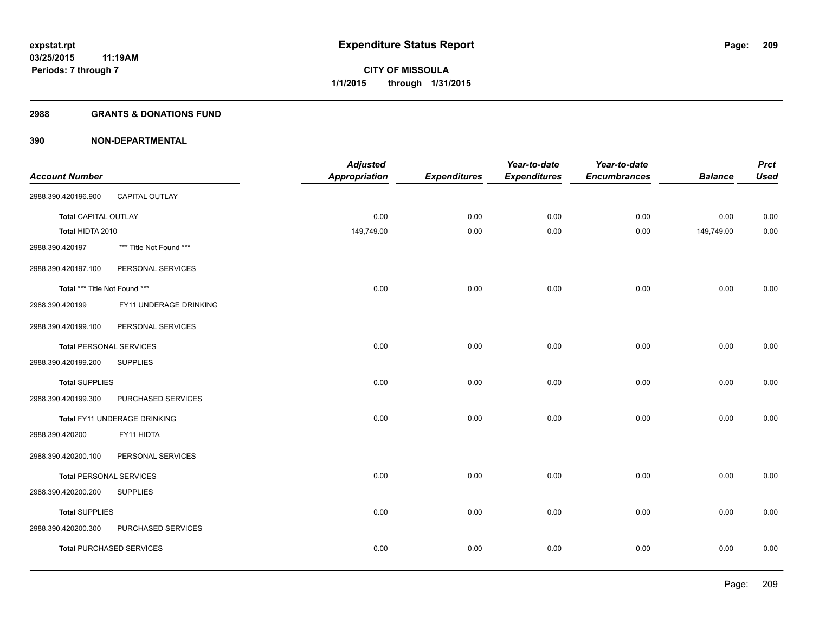### **2988 GRANTS & DONATIONS FUND**

|                                |                                 | <b>Adjusted</b>      |                     | Year-to-date        | Year-to-date        |                | <b>Prct</b> |
|--------------------------------|---------------------------------|----------------------|---------------------|---------------------|---------------------|----------------|-------------|
| <b>Account Number</b>          |                                 | <b>Appropriation</b> | <b>Expenditures</b> | <b>Expenditures</b> | <b>Encumbrances</b> | <b>Balance</b> | <b>Used</b> |
| 2988.390.420196.900            | CAPITAL OUTLAY                  |                      |                     |                     |                     |                |             |
| <b>Total CAPITAL OUTLAY</b>    |                                 | 0.00                 | 0.00                | 0.00                | 0.00                | 0.00           | 0.00        |
| Total HIDTA 2010               |                                 | 149,749.00           | 0.00                | 0.00                | 0.00                | 149,749.00     | 0.00        |
| 2988.390.420197                | *** Title Not Found ***         |                      |                     |                     |                     |                |             |
| 2988.390.420197.100            | PERSONAL SERVICES               |                      |                     |                     |                     |                |             |
| Total *** Title Not Found ***  |                                 | 0.00                 | 0.00                | 0.00                | 0.00                | 0.00           | 0.00        |
| 2988.390.420199                | FY11 UNDERAGE DRINKING          |                      |                     |                     |                     |                |             |
| 2988.390.420199.100            | PERSONAL SERVICES               |                      |                     |                     |                     |                |             |
| <b>Total PERSONAL SERVICES</b> |                                 | 0.00                 | 0.00                | 0.00                | 0.00                | 0.00           | 0.00        |
| 2988.390.420199.200            | <b>SUPPLIES</b>                 |                      |                     |                     |                     |                |             |
| <b>Total SUPPLIES</b>          |                                 | 0.00                 | 0.00                | 0.00                | 0.00                | 0.00           | 0.00        |
| 2988.390.420199.300            | PURCHASED SERVICES              |                      |                     |                     |                     |                |             |
|                                | Total FY11 UNDERAGE DRINKING    | 0.00                 | 0.00                | 0.00                | 0.00                | 0.00           | 0.00        |
| 2988.390.420200                | FY11 HIDTA                      |                      |                     |                     |                     |                |             |
| 2988.390.420200.100            | PERSONAL SERVICES               |                      |                     |                     |                     |                |             |
| <b>Total PERSONAL SERVICES</b> |                                 | 0.00                 | 0.00                | 0.00                | 0.00                | 0.00           | 0.00        |
| 2988.390.420200.200            | <b>SUPPLIES</b>                 |                      |                     |                     |                     |                |             |
| <b>Total SUPPLIES</b>          |                                 | 0.00                 | 0.00                | 0.00                | 0.00                | 0.00           | 0.00        |
| 2988.390.420200.300            | PURCHASED SERVICES              |                      |                     |                     |                     |                |             |
|                                | <b>Total PURCHASED SERVICES</b> | 0.00                 | 0.00                | 0.00                | 0.00                | 0.00           | 0.00        |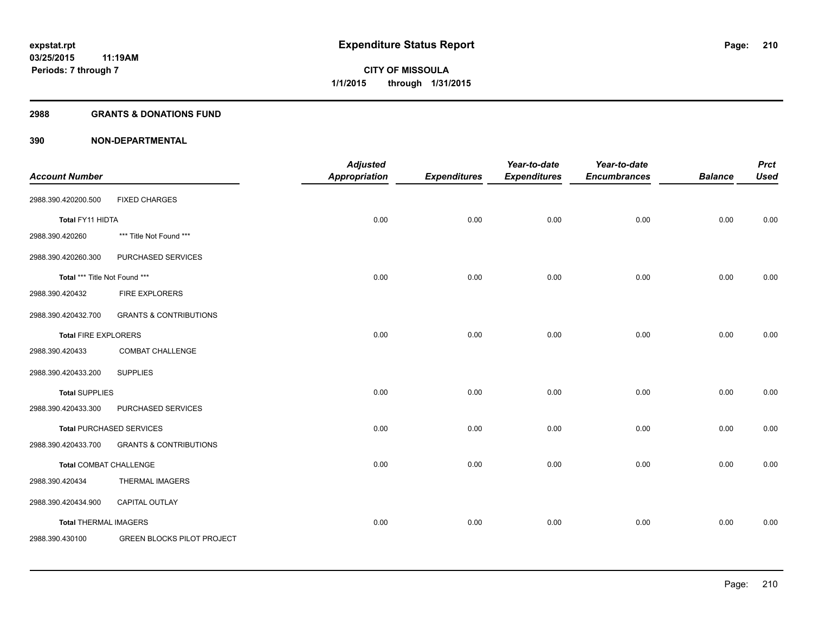## **2988 GRANTS & DONATIONS FUND**

|                               |                                   | <b>Adjusted</b>      |                     | Year-to-date        | Year-to-date        |                | <b>Prct</b> |
|-------------------------------|-----------------------------------|----------------------|---------------------|---------------------|---------------------|----------------|-------------|
| <b>Account Number</b>         |                                   | <b>Appropriation</b> | <b>Expenditures</b> | <b>Expenditures</b> | <b>Encumbrances</b> | <b>Balance</b> | <b>Used</b> |
| 2988.390.420200.500           | <b>FIXED CHARGES</b>              |                      |                     |                     |                     |                |             |
| Total FY11 HIDTA              |                                   | 0.00                 | 0.00                | 0.00                | 0.00                | 0.00           | 0.00        |
| 2988.390.420260               | *** Title Not Found ***           |                      |                     |                     |                     |                |             |
| 2988.390.420260.300           | PURCHASED SERVICES                |                      |                     |                     |                     |                |             |
| Total *** Title Not Found *** |                                   | 0.00                 | 0.00                | 0.00                | 0.00                | 0.00           | 0.00        |
| 2988.390.420432               | <b>FIRE EXPLORERS</b>             |                      |                     |                     |                     |                |             |
| 2988.390.420432.700           | <b>GRANTS &amp; CONTRIBUTIONS</b> |                      |                     |                     |                     |                |             |
| <b>Total FIRE EXPLORERS</b>   |                                   | 0.00                 | 0.00                | 0.00                | 0.00                | 0.00           | 0.00        |
| 2988.390.420433               | COMBAT CHALLENGE                  |                      |                     |                     |                     |                |             |
| 2988.390.420433.200           | <b>SUPPLIES</b>                   |                      |                     |                     |                     |                |             |
| <b>Total SUPPLIES</b>         |                                   | 0.00                 | 0.00                | 0.00                | 0.00                | 0.00           | 0.00        |
| 2988.390.420433.300           | PURCHASED SERVICES                |                      |                     |                     |                     |                |             |
|                               | <b>Total PURCHASED SERVICES</b>   | 0.00                 | 0.00                | 0.00                | 0.00                | 0.00           | 0.00        |
| 2988.390.420433.700           | <b>GRANTS &amp; CONTRIBUTIONS</b> |                      |                     |                     |                     |                |             |
| <b>Total COMBAT CHALLENGE</b> |                                   | 0.00                 | 0.00                | 0.00                | 0.00                | 0.00           | 0.00        |
| 2988.390.420434               | <b>THERMAL IMAGERS</b>            |                      |                     |                     |                     |                |             |
| 2988.390.420434.900           | CAPITAL OUTLAY                    |                      |                     |                     |                     |                |             |
| <b>Total THERMAL IMAGERS</b>  |                                   | 0.00                 | 0.00                | 0.00                | 0.00                | 0.00           | 0.00        |
| 2988.390.430100               | <b>GREEN BLOCKS PILOT PROJECT</b> |                      |                     |                     |                     |                |             |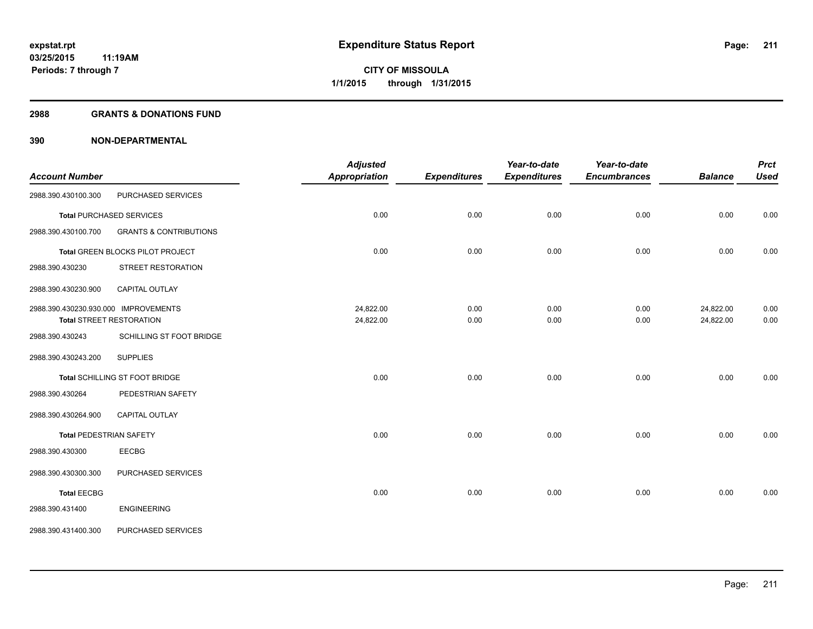### **2988 GRANTS & DONATIONS FUND**

|                                      |                                   | <b>Adjusted</b>      |                     | Year-to-date        | Year-to-date        |                | <b>Prct</b> |
|--------------------------------------|-----------------------------------|----------------------|---------------------|---------------------|---------------------|----------------|-------------|
| <b>Account Number</b>                |                                   | <b>Appropriation</b> | <b>Expenditures</b> | <b>Expenditures</b> | <b>Encumbrances</b> | <b>Balance</b> | <b>Used</b> |
| 2988.390.430100.300                  | PURCHASED SERVICES                |                      |                     |                     |                     |                |             |
|                                      | <b>Total PURCHASED SERVICES</b>   | 0.00                 | 0.00                | 0.00                | 0.00                | 0.00           | 0.00        |
| 2988.390.430100.700                  | <b>GRANTS &amp; CONTRIBUTIONS</b> |                      |                     |                     |                     |                |             |
|                                      | Total GREEN BLOCKS PILOT PROJECT  | 0.00                 | 0.00                | 0.00                | 0.00                | 0.00           | 0.00        |
| 2988.390.430230                      | STREET RESTORATION                |                      |                     |                     |                     |                |             |
| 2988.390.430230.900                  | CAPITAL OUTLAY                    |                      |                     |                     |                     |                |             |
| 2988.390.430230.930.000 IMPROVEMENTS |                                   | 24,822.00            | 0.00                | 0.00                | 0.00                | 24,822.00      | 0.00        |
|                                      | Total STREET RESTORATION          | 24,822.00            | 0.00                | 0.00                | 0.00                | 24,822.00      | 0.00        |
| 2988.390.430243                      | SCHILLING ST FOOT BRIDGE          |                      |                     |                     |                     |                |             |
| 2988.390.430243.200                  | <b>SUPPLIES</b>                   |                      |                     |                     |                     |                |             |
|                                      | Total SCHILLING ST FOOT BRIDGE    | 0.00                 | 0.00                | 0.00                | 0.00                | 0.00           | 0.00        |
| 2988.390.430264                      | PEDESTRIAN SAFETY                 |                      |                     |                     |                     |                |             |
| 2988.390.430264.900                  | CAPITAL OUTLAY                    |                      |                     |                     |                     |                |             |
| <b>Total PEDESTRIAN SAFETY</b>       |                                   | 0.00                 | 0.00                | 0.00                | 0.00                | 0.00           | 0.00        |
| 2988.390.430300                      | <b>EECBG</b>                      |                      |                     |                     |                     |                |             |
| 2988.390.430300.300                  | PURCHASED SERVICES                |                      |                     |                     |                     |                |             |
| <b>Total EECBG</b>                   |                                   | 0.00                 | 0.00                | 0.00                | 0.00                | 0.00           | 0.00        |
| 2988.390.431400                      | <b>ENGINEERING</b>                |                      |                     |                     |                     |                |             |
| 2988.390.431400.300                  | PURCHASED SERVICES                |                      |                     |                     |                     |                |             |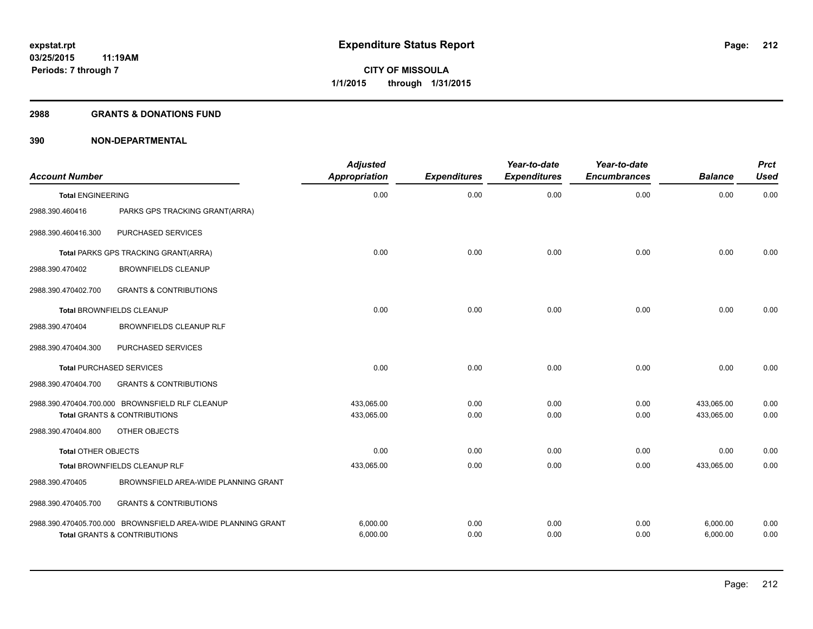#### **2988 GRANTS & DONATIONS FUND**

| <b>Account Number</b>      |                                                                                                         | <b>Adjusted</b><br><b>Appropriation</b> | <b>Expenditures</b> | Year-to-date<br><b>Expenditures</b> | Year-to-date<br><b>Encumbrances</b> | <b>Balance</b>       | <b>Prct</b><br><b>Used</b> |
|----------------------------|---------------------------------------------------------------------------------------------------------|-----------------------------------------|---------------------|-------------------------------------|-------------------------------------|----------------------|----------------------------|
| <b>Total ENGINEERING</b>   |                                                                                                         | 0.00                                    | 0.00                | 0.00                                | 0.00                                | 0.00                 | 0.00                       |
| 2988.390.460416            | PARKS GPS TRACKING GRANT(ARRA)                                                                          |                                         |                     |                                     |                                     |                      |                            |
| 2988.390.460416.300        | PURCHASED SERVICES                                                                                      |                                         |                     |                                     |                                     |                      |                            |
|                            | Total PARKS GPS TRACKING GRANT(ARRA)                                                                    | 0.00                                    | 0.00                | 0.00                                | 0.00                                | 0.00                 | 0.00                       |
| 2988.390.470402            | <b>BROWNFIELDS CLEANUP</b>                                                                              |                                         |                     |                                     |                                     |                      |                            |
| 2988.390.470402.700        | <b>GRANTS &amp; CONTRIBUTIONS</b>                                                                       |                                         |                     |                                     |                                     |                      |                            |
|                            | <b>Total BROWNFIELDS CLEANUP</b>                                                                        | 0.00                                    | 0.00                | 0.00                                | 0.00                                | 0.00                 | 0.00                       |
| 2988.390.470404            | <b>BROWNFIELDS CLEANUP RLF</b>                                                                          |                                         |                     |                                     |                                     |                      |                            |
| 2988.390.470404.300        | PURCHASED SERVICES                                                                                      |                                         |                     |                                     |                                     |                      |                            |
|                            | <b>Total PURCHASED SERVICES</b>                                                                         | 0.00                                    | 0.00                | 0.00                                | 0.00                                | 0.00                 | 0.00                       |
| 2988.390.470404.700        | <b>GRANTS &amp; CONTRIBUTIONS</b>                                                                       |                                         |                     |                                     |                                     |                      |                            |
|                            | 2988.390.470404.700.000 BROWNSFIELD RLF CLEANUP                                                         | 433.065.00                              | 0.00                | 0.00                                | 0.00                                | 433,065.00           | 0.00                       |
|                            | <b>Total GRANTS &amp; CONTRIBUTIONS</b>                                                                 | 433,065.00                              | 0.00                | 0.00                                | 0.00                                | 433,065.00           | 0.00                       |
| 2988.390.470404.800        | OTHER OBJECTS                                                                                           |                                         |                     |                                     |                                     |                      |                            |
| <b>Total OTHER OBJECTS</b> |                                                                                                         | 0.00                                    | 0.00                | 0.00                                | 0.00                                | 0.00                 | 0.00                       |
|                            | Total BROWNFIELDS CLEANUP RLF                                                                           | 433,065.00                              | 0.00                | 0.00                                | 0.00                                | 433,065.00           | 0.00                       |
| 2988.390.470405            | BROWNSFIELD AREA-WIDE PLANNING GRANT                                                                    |                                         |                     |                                     |                                     |                      |                            |
| 2988.390.470405.700        | <b>GRANTS &amp; CONTRIBUTIONS</b>                                                                       |                                         |                     |                                     |                                     |                      |                            |
|                            | 2988.390.470405.700.000 BROWNSFIELD AREA-WIDE PLANNING GRANT<br><b>Total GRANTS &amp; CONTRIBUTIONS</b> | 6,000.00<br>6,000.00                    | 0.00<br>0.00        | 0.00<br>0.00                        | 0.00<br>0.00                        | 6,000.00<br>6,000.00 | 0.00<br>0.00               |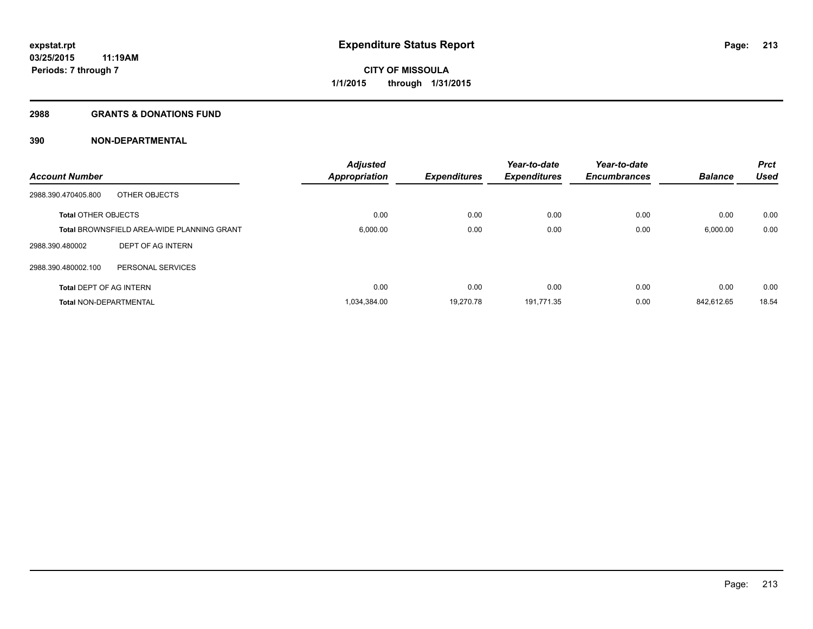#### **2988 GRANTS & DONATIONS FUND**

|                                                   | <b>Adjusted</b> |                     | Year-to-date        | Year-to-date        |                | <b>Prct</b> |
|---------------------------------------------------|-----------------|---------------------|---------------------|---------------------|----------------|-------------|
| <b>Account Number</b>                             | Appropriation   | <b>Expenditures</b> | <b>Expenditures</b> | <b>Encumbrances</b> | <b>Balance</b> | <b>Used</b> |
| OTHER OBJECTS<br>2988.390.470405.800              |                 |                     |                     |                     |                |             |
| <b>Total OTHER OBJECTS</b>                        | 0.00            | 0.00                | 0.00                | 0.00                | 0.00           | 0.00        |
| <b>Total BROWNSFIELD AREA-WIDE PLANNING GRANT</b> | 6,000.00        | 0.00                | 0.00                | 0.00                | 6,000.00       | 0.00        |
| DEPT OF AG INTERN<br>2988.390.480002              |                 |                     |                     |                     |                |             |
| 2988.390.480002.100<br>PERSONAL SERVICES          |                 |                     |                     |                     |                |             |
| <b>Total DEPT OF AG INTERN</b>                    | 0.00            | 0.00                | 0.00                | 0.00                | 0.00           | 0.00        |
| <b>Total NON-DEPARTMENTAL</b>                     | 1,034,384.00    | 19.270.78           | 191.771.35          | 0.00                | 842.612.65     | 18.54       |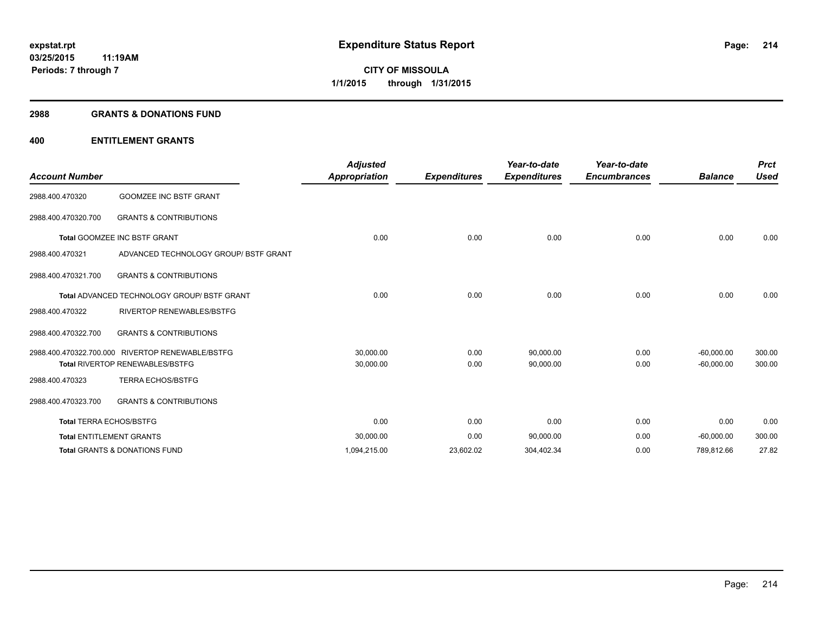#### **2988 GRANTS & DONATIONS FUND**

| <b>Account Number</b>          |                                                    | <b>Adjusted</b><br><b>Appropriation</b> | <b>Expenditures</b> | Year-to-date<br><b>Expenditures</b> | Year-to-date<br><b>Encumbrances</b> | <b>Balance</b> | <b>Prct</b><br><b>Used</b> |
|--------------------------------|----------------------------------------------------|-----------------------------------------|---------------------|-------------------------------------|-------------------------------------|----------------|----------------------------|
| 2988.400.470320                | <b>GOOMZEE INC BSTF GRANT</b>                      |                                         |                     |                                     |                                     |                |                            |
| 2988.400.470320.700            | <b>GRANTS &amp; CONTRIBUTIONS</b>                  |                                         |                     |                                     |                                     |                |                            |
| Total GOOMZEE INC BSTF GRANT   |                                                    | 0.00                                    | 0.00                | 0.00                                | 0.00                                | 0.00           | 0.00                       |
| 2988.400.470321                | ADVANCED TECHNOLOGY GROUP/ BSTF GRANT              |                                         |                     |                                     |                                     |                |                            |
| 2988.400.470321.700            | <b>GRANTS &amp; CONTRIBUTIONS</b>                  |                                         |                     |                                     |                                     |                |                            |
|                                | <b>Total ADVANCED TECHNOLOGY GROUP/ BSTF GRANT</b> | 0.00                                    | 0.00                | 0.00                                | 0.00                                | 0.00           | 0.00                       |
| 2988.400.470322                | <b>RIVERTOP RENEWABLES/BSTFG</b>                   |                                         |                     |                                     |                                     |                |                            |
| 2988.400.470322.700            | <b>GRANTS &amp; CONTRIBUTIONS</b>                  |                                         |                     |                                     |                                     |                |                            |
|                                | 2988.400.470322.700.000 RIVERTOP RENEWABLE/BSTFG   | 30,000.00                               | 0.00                | 90,000.00                           | 0.00                                | $-60,000.00$   | 300.00                     |
|                                | <b>Total RIVERTOP RENEWABLES/BSTFG</b>             | 30,000.00                               | 0.00                | 90,000.00                           | 0.00                                | $-60,000.00$   | 300.00                     |
| 2988.400.470323                | <b>TERRA ECHOS/BSTFG</b>                           |                                         |                     |                                     |                                     |                |                            |
| 2988.400.470323.700            | <b>GRANTS &amp; CONTRIBUTIONS</b>                  |                                         |                     |                                     |                                     |                |                            |
| <b>Total TERRA ECHOS/BSTFG</b> |                                                    | 0.00                                    | 0.00                | 0.00                                | 0.00                                | 0.00           | 0.00                       |
|                                | <b>Total ENTITLEMENT GRANTS</b>                    | 30,000.00                               | 0.00                | 90,000.00                           | 0.00                                | $-60,000.00$   | 300.00                     |
|                                | <b>Total GRANTS &amp; DONATIONS FUND</b>           | 1,094,215.00                            | 23,602.02           | 304,402.34                          | 0.00                                | 789,812.66     | 27.82                      |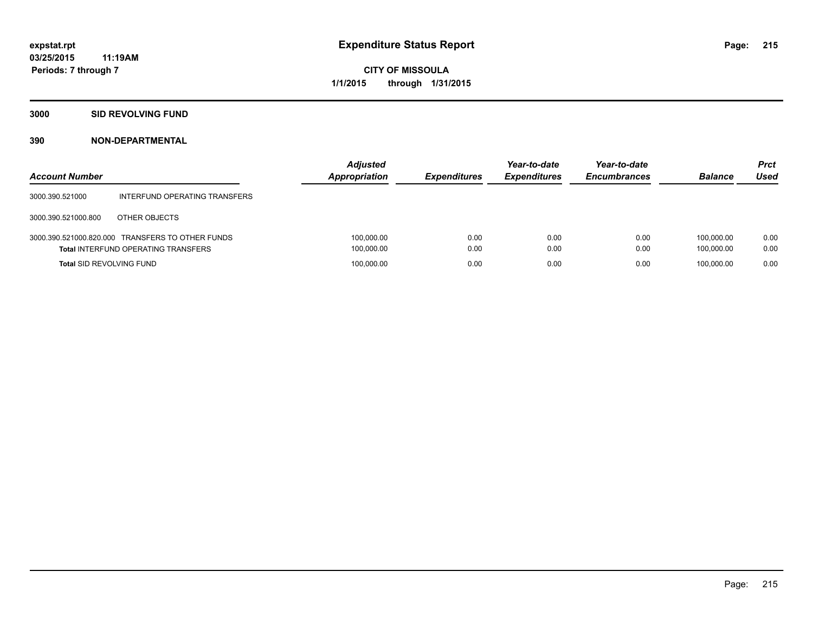**3000 SID REVOLVING FUND**

| <b>Account Number</b>           |                                                                                                | <b>Adjusted</b><br><b>Appropriation</b> | <b>Expenditures</b> | Year-to-date<br><b>Expenditures</b> | Year-to-date<br><b>Encumbrances</b> | <b>Balance</b>           | <b>Prct</b><br>Used |
|---------------------------------|------------------------------------------------------------------------------------------------|-----------------------------------------|---------------------|-------------------------------------|-------------------------------------|--------------------------|---------------------|
| 3000.390.521000                 | INTERFUND OPERATING TRANSFERS                                                                  |                                         |                     |                                     |                                     |                          |                     |
| 3000.390.521000.800             | OTHER OBJECTS                                                                                  |                                         |                     |                                     |                                     |                          |                     |
|                                 | 3000.390.521000.820.000 TRANSFERS TO OTHER FUNDS<br><b>Total INTERFUND OPERATING TRANSFERS</b> | 100,000.00<br>100,000.00                | 0.00<br>0.00        | 0.00<br>0.00                        | 0.00<br>0.00                        | 100.000.00<br>100.000.00 | 0.00<br>0.00        |
| <b>Total SID REVOLVING FUND</b> |                                                                                                | 100,000.00                              | 0.00                | 0.00                                | 0.00                                | 100.000.00               | 0.00                |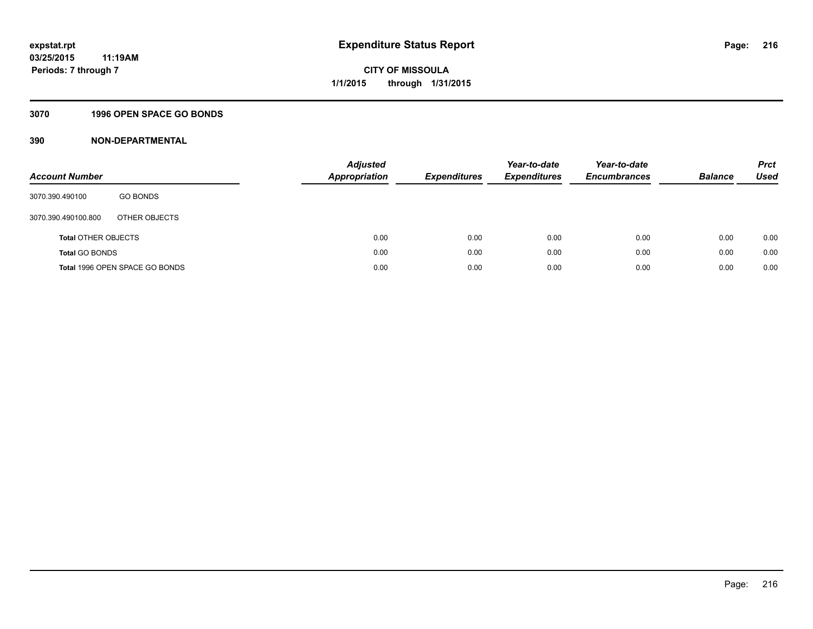## **3070 1996 OPEN SPACE GO BONDS**

| <b>Account Number</b>      |                                | <b>Adjusted</b><br>Appropriation | <b>Expenditures</b> | Year-to-date<br><b>Expenditures</b> | Year-to-date<br><b>Encumbrances</b> | <b>Balance</b> | <b>Prct</b><br>Used |
|----------------------------|--------------------------------|----------------------------------|---------------------|-------------------------------------|-------------------------------------|----------------|---------------------|
| 3070.390.490100            | <b>GO BONDS</b>                |                                  |                     |                                     |                                     |                |                     |
| 3070.390.490100.800        | OTHER OBJECTS                  |                                  |                     |                                     |                                     |                |                     |
| <b>Total OTHER OBJECTS</b> |                                | 0.00                             | 0.00                | 0.00                                | 0.00                                | 0.00           | 0.00                |
| <b>Total GO BONDS</b>      |                                | 0.00                             | 0.00                | 0.00                                | 0.00                                | 0.00           | 0.00                |
|                            | Total 1996 OPEN SPACE GO BONDS | 0.00                             | 0.00                | 0.00                                | 0.00                                | 0.00           | 0.00                |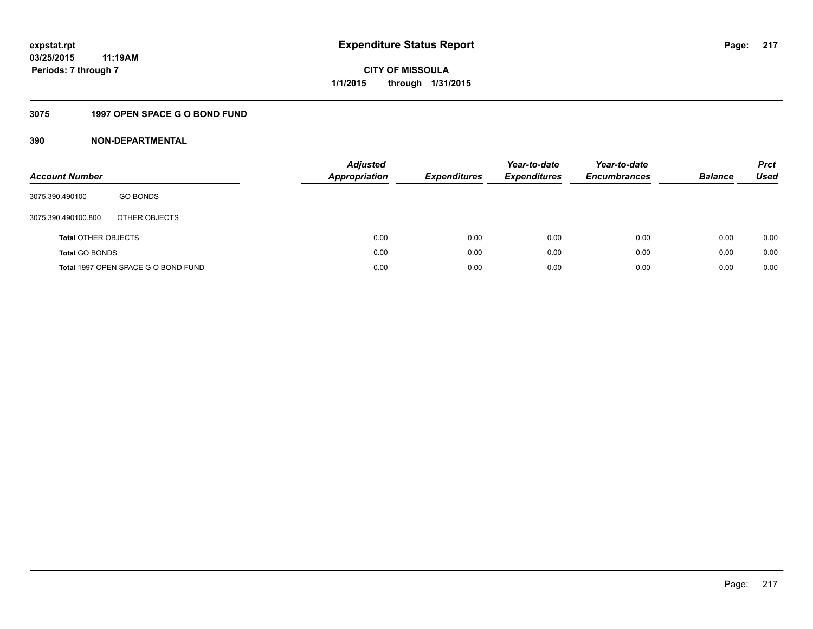## **3075 1997 OPEN SPACE G O BOND FUND**

| <b>Account Number</b>      |                                     | <b>Adjusted</b><br><b>Appropriation</b> |      | <b>Expenditures</b> | Year-to-date<br><b>Expenditures</b> | Year-to-date<br><b>Encumbrances</b> | <b>Balance</b> | <b>Prct</b><br>Used |
|----------------------------|-------------------------------------|-----------------------------------------|------|---------------------|-------------------------------------|-------------------------------------|----------------|---------------------|
| 3075.390.490100            | <b>GO BONDS</b>                     |                                         |      |                     |                                     |                                     |                |                     |
| 3075.390.490100.800        | OTHER OBJECTS                       |                                         |      |                     |                                     |                                     |                |                     |
| <b>Total OTHER OBJECTS</b> |                                     |                                         | 0.00 | 0.00                | 0.00                                | 0.00                                | 0.00           | 0.00                |
| <b>Total GO BONDS</b>      |                                     |                                         | 0.00 | 0.00                | 0.00                                | 0.00                                | 0.00           | 0.00                |
|                            | Total 1997 OPEN SPACE G O BOND FUND |                                         | 0.00 | 0.00                | 0.00                                | 0.00                                | 0.00           | 0.00                |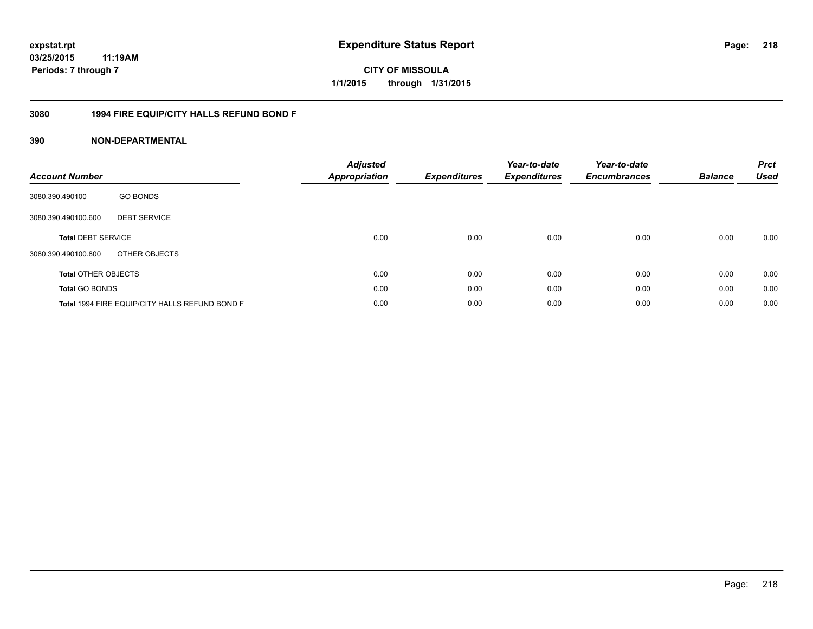## **03/25/2015 11:19AM Periods: 7 through 7**

**CITY OF MISSOULA 1/1/2015 through 1/31/2015**

## **3080 1994 FIRE EQUIP/CITY HALLS REFUND BOND F**

| <b>Account Number</b>      |                                                | <b>Adjusted</b><br><b>Appropriation</b> | <b>Expenditures</b> | Year-to-date<br><b>Expenditures</b> | Year-to-date<br><b>Encumbrances</b> | <b>Balance</b> | <b>Prct</b><br><b>Used</b> |
|----------------------------|------------------------------------------------|-----------------------------------------|---------------------|-------------------------------------|-------------------------------------|----------------|----------------------------|
| 3080.390.490100            | <b>GO BONDS</b>                                |                                         |                     |                                     |                                     |                |                            |
| 3080.390.490100.600        | <b>DEBT SERVICE</b>                            |                                         |                     |                                     |                                     |                |                            |
| <b>Total DEBT SERVICE</b>  |                                                | 0.00                                    | 0.00                | 0.00                                | 0.00                                | 0.00           | 0.00                       |
| 3080.390.490100.800        | OTHER OBJECTS                                  |                                         |                     |                                     |                                     |                |                            |
| <b>Total OTHER OBJECTS</b> |                                                | 0.00                                    | 0.00                | 0.00                                | 0.00                                | 0.00           | 0.00                       |
| <b>Total GO BONDS</b>      |                                                | 0.00                                    | 0.00                | 0.00                                | 0.00                                | 0.00           | 0.00                       |
|                            | Total 1994 FIRE EQUIP/CITY HALLS REFUND BOND F | 0.00                                    | 0.00                | 0.00                                | 0.00                                | 0.00           | 0.00                       |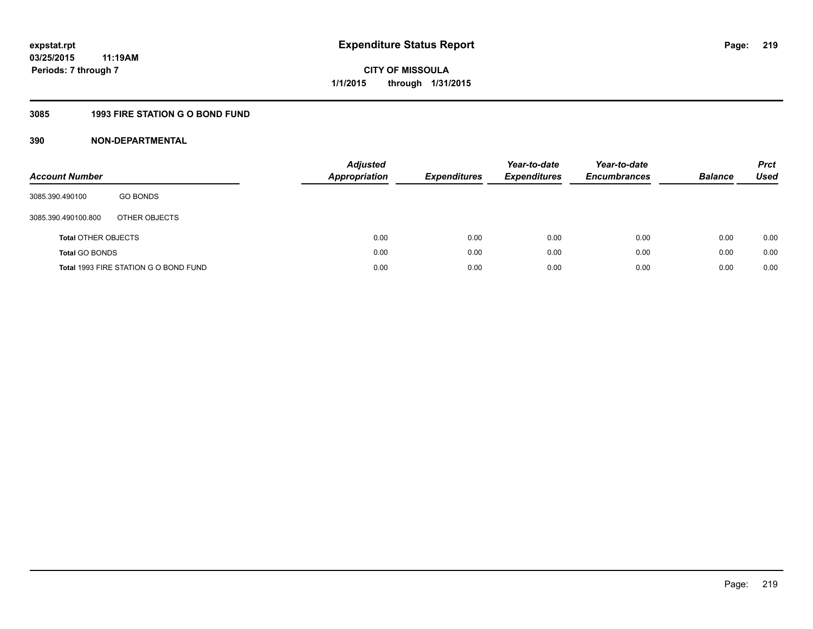## **3085 1993 FIRE STATION G O BOND FUND**

| <b>Account Number</b>      |                                       | <b>Adjusted</b><br>Appropriation | <b>Expenditures</b> | Year-to-date<br><b>Expenditures</b> | Year-to-date<br><b>Encumbrances</b> | <b>Balance</b> | <b>Prct</b><br>Used |
|----------------------------|---------------------------------------|----------------------------------|---------------------|-------------------------------------|-------------------------------------|----------------|---------------------|
| 3085.390.490100            | <b>GO BONDS</b>                       |                                  |                     |                                     |                                     |                |                     |
| 3085.390.490100.800        | OTHER OBJECTS                         |                                  |                     |                                     |                                     |                |                     |
| <b>Total OTHER OBJECTS</b> |                                       | 0.00                             | 0.00                | 0.00                                | 0.00                                | 0.00           | 0.00                |
| <b>Total GO BONDS</b>      |                                       | 0.00                             | 0.00                | 0.00                                | 0.00                                | 0.00           | 0.00                |
|                            | Total 1993 FIRE STATION G O BOND FUND | 0.00                             | 0.00                | 0.00                                | 0.00                                | 0.00           | 0.00                |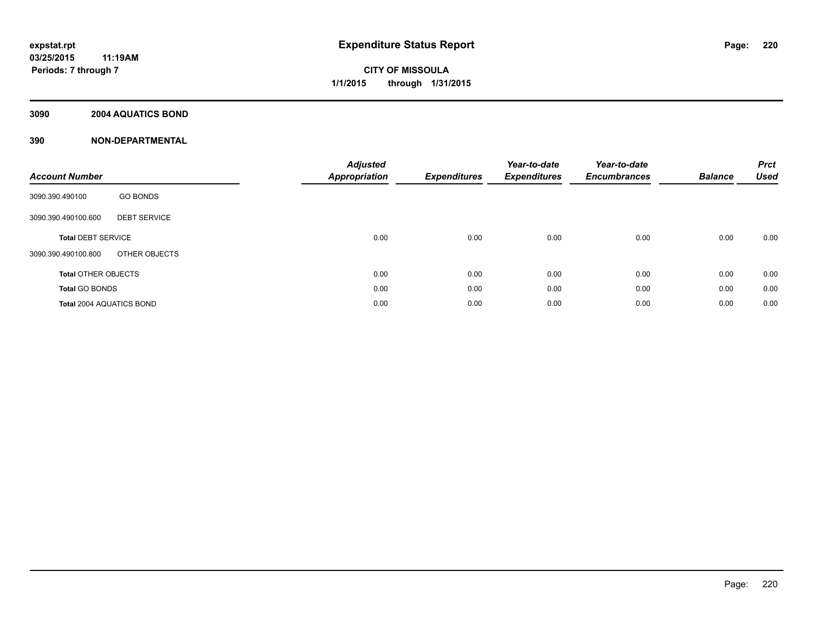## **3090 2004 AQUATICS BOND**

| <b>Account Number</b>                      | <b>Adjusted</b><br><b>Appropriation</b> | <b>Expenditures</b> | Year-to-date<br><b>Expenditures</b> | Year-to-date<br><b>Encumbrances</b> | <b>Balance</b> | <b>Prct</b><br><b>Used</b> |
|--------------------------------------------|-----------------------------------------|---------------------|-------------------------------------|-------------------------------------|----------------|----------------------------|
| <b>GO BONDS</b><br>3090.390.490100         |                                         |                     |                                     |                                     |                |                            |
| <b>DEBT SERVICE</b><br>3090.390.490100.600 |                                         |                     |                                     |                                     |                |                            |
| <b>Total DEBT SERVICE</b>                  | 0.00                                    | 0.00                | 0.00                                | 0.00                                | 0.00           | 0.00                       |
| OTHER OBJECTS<br>3090.390.490100.800       |                                         |                     |                                     |                                     |                |                            |
| <b>Total OTHER OBJECTS</b>                 | 0.00                                    | 0.00                | 0.00                                | 0.00                                | 0.00           | 0.00                       |
| <b>Total GO BONDS</b>                      | 0.00                                    | 0.00                | 0.00                                | 0.00                                | 0.00           | 0.00                       |
| <b>Total 2004 AQUATICS BOND</b>            | 0.00                                    | 0.00                | 0.00                                | 0.00                                | 0.00           | 0.00                       |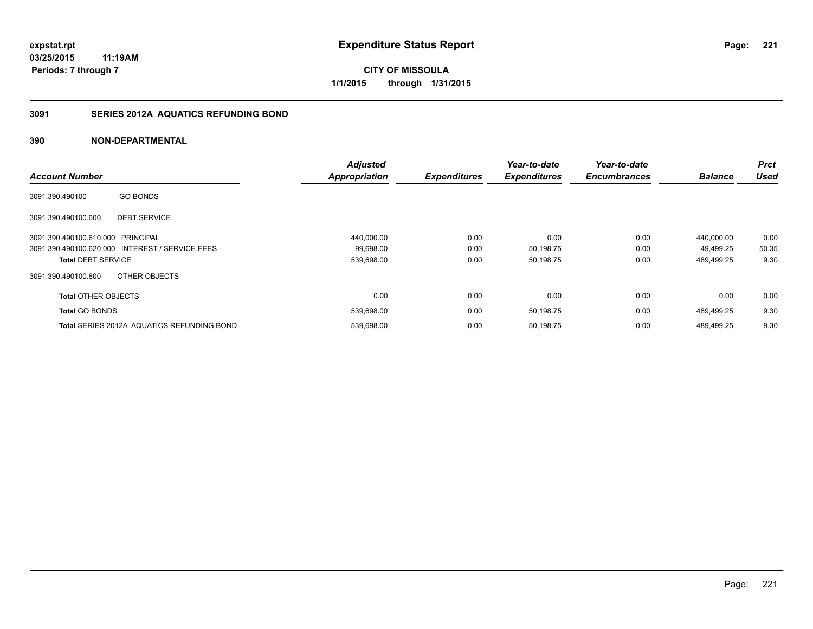**Periods: 7 through 7**

**CITY OF MISSOULA 1/1/2015 through 1/31/2015**

## **3091 SERIES 2012A AQUATICS REFUNDING BOND**

## **390 NON-DEPARTMENTAL**

**11:19AM**

|                                   |                                                   | <b>Adjusted</b>      |                     | Year-to-date        | Year-to-date        |                | Prct        |
|-----------------------------------|---------------------------------------------------|----------------------|---------------------|---------------------|---------------------|----------------|-------------|
| <b>Account Number</b>             |                                                   | <b>Appropriation</b> | <b>Expenditures</b> | <b>Expenditures</b> | <b>Encumbrances</b> | <b>Balance</b> | <b>Used</b> |
| 3091.390.490100                   | <b>GO BONDS</b>                                   |                      |                     |                     |                     |                |             |
| 3091.390.490100.600               | <b>DEBT SERVICE</b>                               |                      |                     |                     |                     |                |             |
| 3091.390.490100.610.000 PRINCIPAL |                                                   | 440,000.00           | 0.00                | 0.00                | 0.00                | 440.000.00     | 0.00        |
|                                   | 3091.390.490100.620.000 INTEREST / SERVICE FEES   | 99,698.00            | 0.00                | 50,198.75           | 0.00                | 49.499.25      | 50.35       |
| <b>Total DEBT SERVICE</b>         |                                                   | 539,698.00           | 0.00                | 50,198.75           | 0.00                | 489,499.25     | 9.30        |
| 3091.390.490100.800               | OTHER OBJECTS                                     |                      |                     |                     |                     |                |             |
| <b>Total OTHER OBJECTS</b>        |                                                   | 0.00                 | 0.00                | 0.00                | 0.00                | 0.00           | 0.00        |
| <b>Total GO BONDS</b>             |                                                   | 539,698.00           | 0.00                | 50,198.75           | 0.00                | 489,499.25     | 9.30        |
|                                   | <b>Total SERIES 2012A AQUATICS REFUNDING BOND</b> | 539,698.00           | 0.00                | 50,198.75           | 0.00                | 489.499.25     | 9.30        |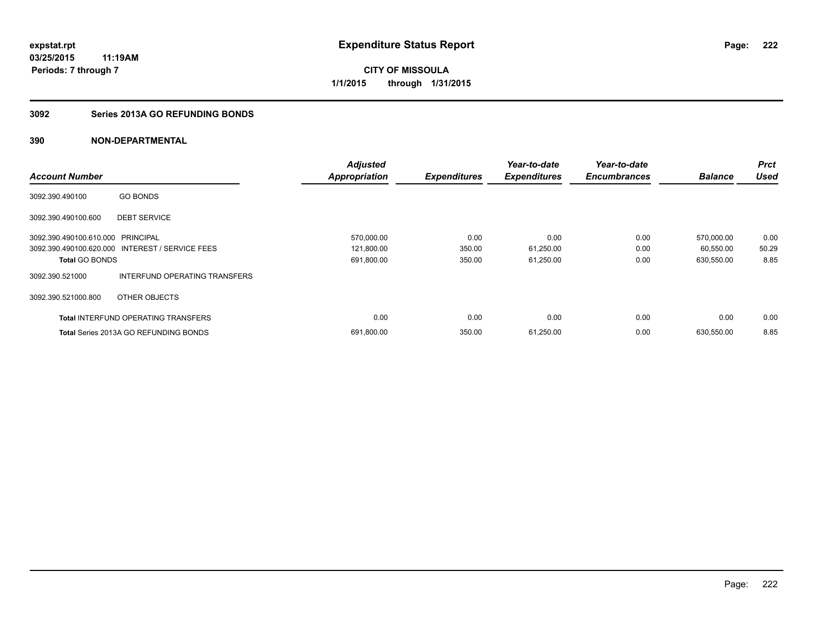## **3092 Series 2013A GO REFUNDING BONDS**

|                                   |                                                 | <b>Adjusted</b>      |                     | Year-to-date        | Year-to-date        |                | <b>Prct</b> |
|-----------------------------------|-------------------------------------------------|----------------------|---------------------|---------------------|---------------------|----------------|-------------|
| <b>Account Number</b>             |                                                 | <b>Appropriation</b> | <b>Expenditures</b> | <b>Expenditures</b> | <b>Encumbrances</b> | <b>Balance</b> | <b>Used</b> |
| 3092.390.490100                   | <b>GO BONDS</b>                                 |                      |                     |                     |                     |                |             |
| 3092.390.490100.600               | <b>DEBT SERVICE</b>                             |                      |                     |                     |                     |                |             |
| 3092.390.490100.610.000 PRINCIPAL |                                                 | 570,000.00           | 0.00                | 0.00                | 0.00                | 570,000.00     | 0.00        |
|                                   | 3092.390.490100.620.000 INTEREST / SERVICE FEES | 121,800.00           | 350.00              | 61,250.00           | 0.00                | 60,550.00      | 50.29       |
| <b>Total GO BONDS</b>             |                                                 | 691,800.00           | 350.00              | 61,250.00           | 0.00                | 630,550.00     | 8.85        |
| 3092.390.521000                   | INTERFUND OPERATING TRANSFERS                   |                      |                     |                     |                     |                |             |
| 3092.390.521000.800               | OTHER OBJECTS                                   |                      |                     |                     |                     |                |             |
|                                   | <b>Total INTERFUND OPERATING TRANSFERS</b>      | 0.00                 | 0.00                | 0.00                | 0.00                | 0.00           | 0.00        |
|                                   | <b>Total Series 2013A GO REFUNDING BONDS</b>    | 691,800.00           | 350.00              | 61,250.00           | 0.00                | 630,550.00     | 8.85        |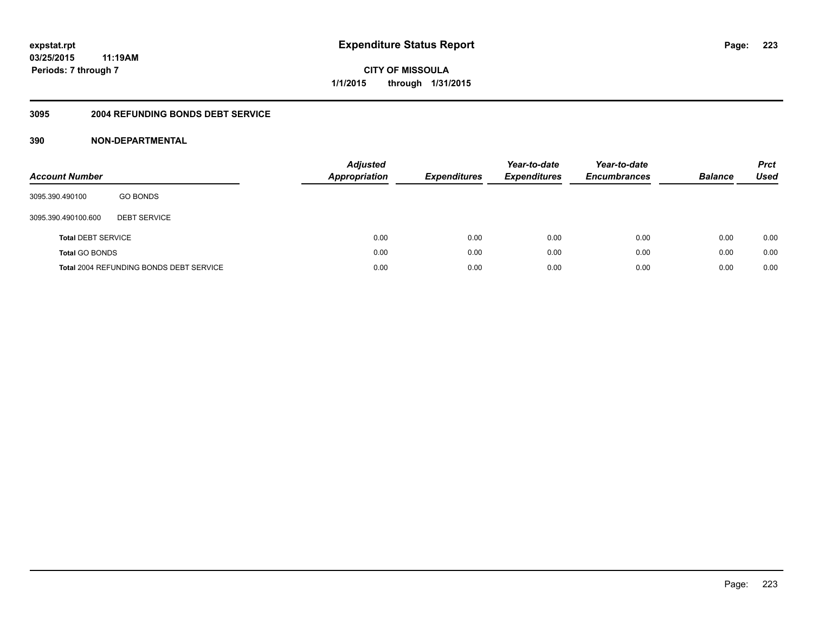#### **3095 2004 REFUNDING BONDS DEBT SERVICE**

| <b>Account Number</b>     |                                         | Adjusted<br><b>Appropriation</b> | <b>Expenditures</b> | Year-to-date<br><b>Expenditures</b> | Year-to-date<br><b>Encumbrances</b> | <b>Balance</b> | <b>Prct</b><br>Used |
|---------------------------|-----------------------------------------|----------------------------------|---------------------|-------------------------------------|-------------------------------------|----------------|---------------------|
| 3095.390.490100           | <b>GO BONDS</b>                         |                                  |                     |                                     |                                     |                |                     |
| 3095.390.490100.600       | <b>DEBT SERVICE</b>                     |                                  |                     |                                     |                                     |                |                     |
| <b>Total DEBT SERVICE</b> |                                         | 0.00                             | 0.00                | 0.00                                | 0.00                                | 0.00           | 0.00                |
| <b>Total GO BONDS</b>     |                                         | 0.00                             | 0.00                | 0.00                                | 0.00                                | 0.00           | 0.00                |
|                           | Total 2004 REFUNDING BONDS DEBT SERVICE | 0.00                             | 0.00                | 0.00                                | 0.00                                | 0.00           | 0.00                |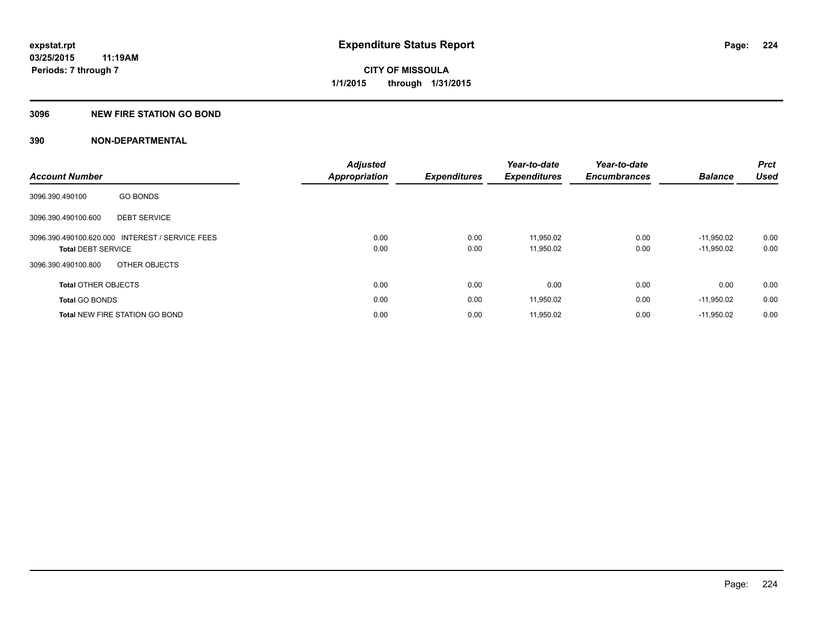## **3096 NEW FIRE STATION GO BOND**

| <b>Account Number</b>      |                                                 | <b>Adjusted</b><br><b>Appropriation</b> | <b>Expenditures</b> | Year-to-date<br><b>Expenditures</b> | Year-to-date<br><b>Encumbrances</b> | <b>Balance</b>               | Prct<br><b>Used</b> |
|----------------------------|-------------------------------------------------|-----------------------------------------|---------------------|-------------------------------------|-------------------------------------|------------------------------|---------------------|
| 3096.390.490100            | <b>GO BONDS</b>                                 |                                         |                     |                                     |                                     |                              |                     |
| 3096.390.490100.600        | <b>DEBT SERVICE</b>                             |                                         |                     |                                     |                                     |                              |                     |
| <b>Total DEBT SERVICE</b>  | 3096.390.490100.620.000 INTEREST / SERVICE FEES | 0.00<br>0.00                            | 0.00<br>0.00        | 11.950.02<br>11,950.02              | 0.00<br>0.00                        | $-11.950.02$<br>$-11,950.02$ | 0.00<br>0.00        |
| 3096.390.490100.800        | OTHER OBJECTS                                   |                                         |                     |                                     |                                     |                              |                     |
| <b>Total OTHER OBJECTS</b> |                                                 | 0.00                                    | 0.00                | 0.00                                | 0.00                                | 0.00                         | 0.00                |
| <b>Total GO BONDS</b>      |                                                 | 0.00                                    | 0.00                | 11,950.02                           | 0.00                                | $-11,950.02$                 | 0.00                |
|                            | <b>Total NEW FIRE STATION GO BOND</b>           | 0.00                                    | 0.00                | 11,950.02                           | 0.00                                | $-11,950.02$                 | 0.00                |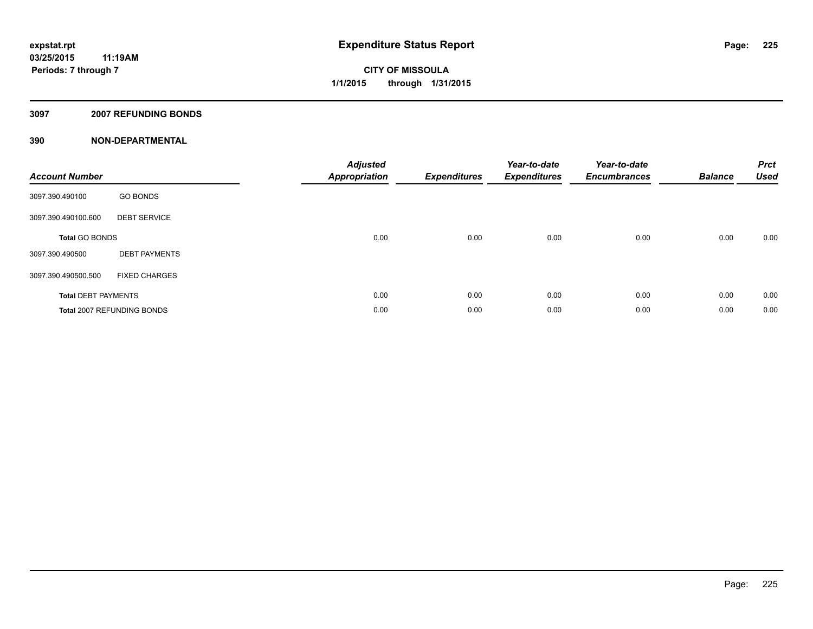## **3097 2007 REFUNDING BONDS**

| <b>Account Number</b>      |                            | <b>Adjusted</b><br><b>Appropriation</b> | <b>Expenditures</b> | Year-to-date<br><b>Expenditures</b> | Year-to-date<br><b>Encumbrances</b> | <b>Balance</b> | <b>Prct</b><br><b>Used</b> |
|----------------------------|----------------------------|-----------------------------------------|---------------------|-------------------------------------|-------------------------------------|----------------|----------------------------|
| 3097.390.490100            | <b>GO BONDS</b>            |                                         |                     |                                     |                                     |                |                            |
| 3097.390.490100.600        | <b>DEBT SERVICE</b>        |                                         |                     |                                     |                                     |                |                            |
| <b>Total GO BONDS</b>      |                            | 0.00                                    | 0.00                | 0.00                                | 0.00                                | 0.00           | 0.00                       |
| 3097.390.490500            | <b>DEBT PAYMENTS</b>       |                                         |                     |                                     |                                     |                |                            |
| 3097.390.490500.500        | <b>FIXED CHARGES</b>       |                                         |                     |                                     |                                     |                |                            |
| <b>Total DEBT PAYMENTS</b> |                            | 0.00                                    | 0.00                | 0.00                                | 0.00                                | 0.00           | 0.00                       |
|                            | Total 2007 REFUNDING BONDS | 0.00                                    | 0.00                | 0.00                                | 0.00                                | 0.00           | 0.00                       |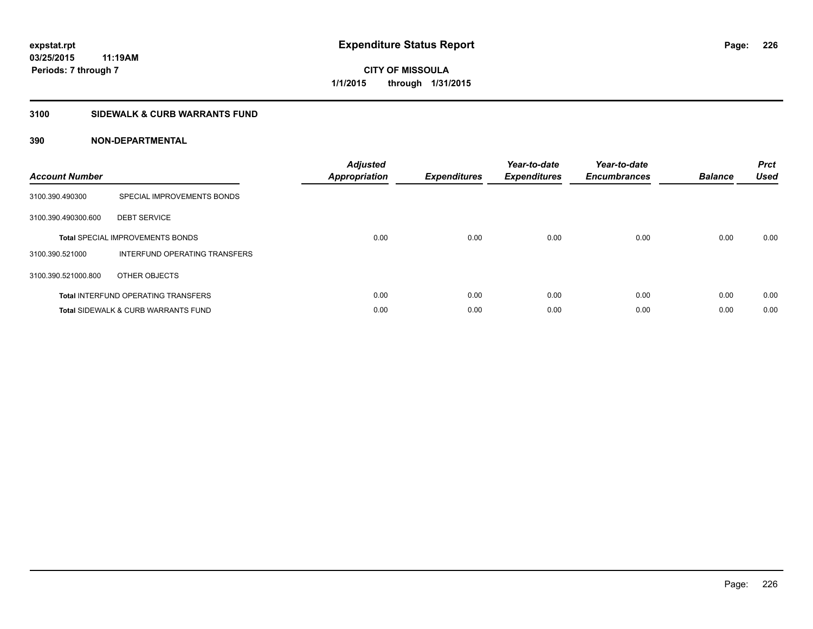## **3100 SIDEWALK & CURB WARRANTS FUND**

| <b>Account Number</b> |                                                | <b>Adjusted</b><br>Appropriation | <b>Expenditures</b> | Year-to-date<br><b>Expenditures</b> | Year-to-date<br><b>Encumbrances</b> | <b>Balance</b> | <b>Prct</b><br><b>Used</b> |
|-----------------------|------------------------------------------------|----------------------------------|---------------------|-------------------------------------|-------------------------------------|----------------|----------------------------|
| 3100.390.490300       | SPECIAL IMPROVEMENTS BONDS                     |                                  |                     |                                     |                                     |                |                            |
| 3100.390.490300.600   | <b>DEBT SERVICE</b>                            |                                  |                     |                                     |                                     |                |                            |
|                       | <b>Total SPECIAL IMPROVEMENTS BONDS</b>        | 0.00                             | 0.00                | 0.00                                | 0.00                                | 0.00           | 0.00                       |
| 3100.390.521000       | INTERFUND OPERATING TRANSFERS                  |                                  |                     |                                     |                                     |                |                            |
| 3100.390.521000.800   | OTHER OBJECTS                                  |                                  |                     |                                     |                                     |                |                            |
|                       | <b>Total INTERFUND OPERATING TRANSFERS</b>     | 0.00                             | 0.00                | 0.00                                | 0.00                                | 0.00           | 0.00                       |
|                       | <b>Total SIDEWALK &amp; CURB WARRANTS FUND</b> | 0.00                             | 0.00                | 0.00                                | 0.00                                | 0.00           | 0.00                       |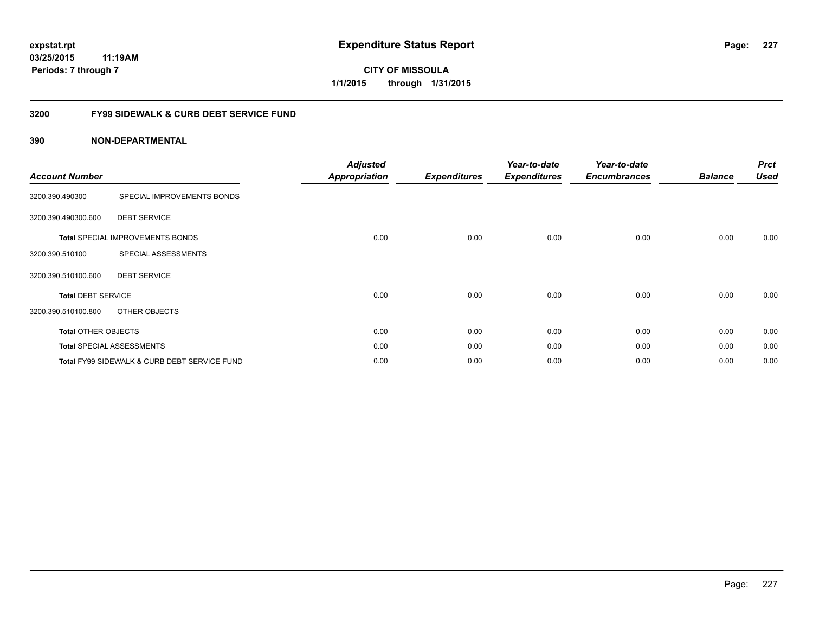**227**

**03/25/2015 11:19AM Periods: 7 through 7**

**CITY OF MISSOULA 1/1/2015 through 1/31/2015**

## **3200 FY99 SIDEWALK & CURB DEBT SERVICE FUND**

| <b>Account Number</b>      |                                              | <b>Adjusted</b><br><b>Appropriation</b> | <b>Expenditures</b> | Year-to-date<br><b>Expenditures</b> | Year-to-date<br><b>Encumbrances</b> | <b>Balance</b> | <b>Prct</b><br><b>Used</b> |
|----------------------------|----------------------------------------------|-----------------------------------------|---------------------|-------------------------------------|-------------------------------------|----------------|----------------------------|
| 3200.390.490300            | SPECIAL IMPROVEMENTS BONDS                   |                                         |                     |                                     |                                     |                |                            |
| 3200.390.490300.600        | <b>DEBT SERVICE</b>                          |                                         |                     |                                     |                                     |                |                            |
|                            | <b>Total SPECIAL IMPROVEMENTS BONDS</b>      | 0.00                                    | 0.00                | 0.00                                | 0.00                                | 0.00           | 0.00                       |
| 3200.390.510100            | SPECIAL ASSESSMENTS                          |                                         |                     |                                     |                                     |                |                            |
| 3200.390.510100.600        | <b>DEBT SERVICE</b>                          |                                         |                     |                                     |                                     |                |                            |
| <b>Total DEBT SERVICE</b>  |                                              | 0.00                                    | 0.00                | 0.00                                | 0.00                                | 0.00           | 0.00                       |
| 3200.390.510100.800        | OTHER OBJECTS                                |                                         |                     |                                     |                                     |                |                            |
| <b>Total OTHER OBJECTS</b> |                                              | 0.00                                    | 0.00                | 0.00                                | 0.00                                | 0.00           | 0.00                       |
|                            | <b>Total SPECIAL ASSESSMENTS</b>             | 0.00                                    | 0.00                | 0.00                                | 0.00                                | 0.00           | 0.00                       |
|                            | Total FY99 SIDEWALK & CURB DEBT SERVICE FUND | 0.00                                    | 0.00                | 0.00                                | 0.00                                | 0.00           | 0.00                       |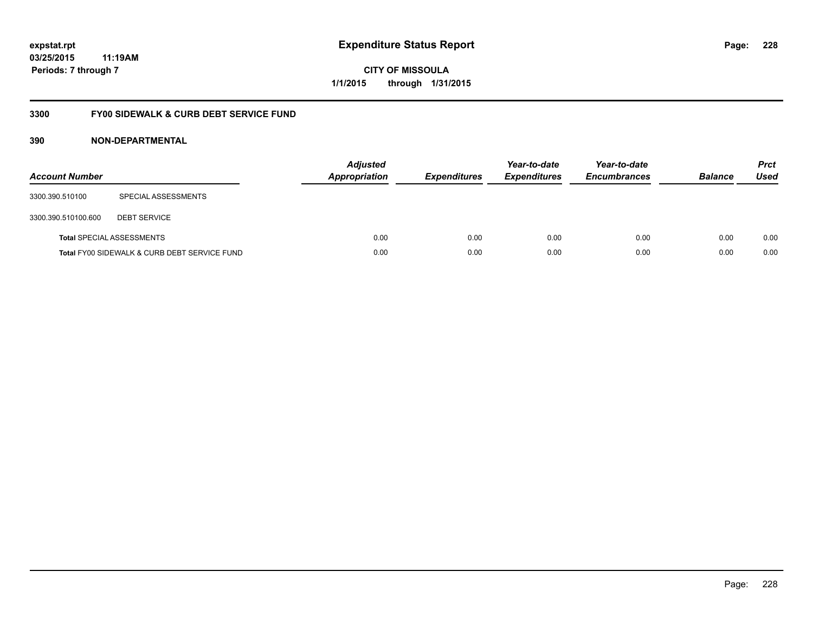**228**

**03/25/2015 11:19AM Periods: 7 through 7**

**CITY OF MISSOULA 1/1/2015 through 1/31/2015**

## **3300 FY00 SIDEWALK & CURB DEBT SERVICE FUND**

| <b>Account Number</b> |                                              | <b>Adjusted</b><br><b>Appropriation</b> | <b>Expenditures</b> | Year-to-date<br><b>Expenditures</b> | Year-to-date<br><b>Encumbrances</b> | <b>Balance</b> | <b>Prct</b><br>Used |
|-----------------------|----------------------------------------------|-----------------------------------------|---------------------|-------------------------------------|-------------------------------------|----------------|---------------------|
| 3300.390.510100       | SPECIAL ASSESSMENTS                          |                                         |                     |                                     |                                     |                |                     |
| 3300.390.510100.600   | <b>DEBT SERVICE</b>                          |                                         |                     |                                     |                                     |                |                     |
|                       | <b>Total SPECIAL ASSESSMENTS</b>             | 0.00                                    | 0.00                | 0.00                                | 0.00                                | 0.00           | 0.00                |
|                       | Total FY00 SIDEWALK & CURB DEBT SERVICE FUND | 0.00                                    | 0.00                | 0.00                                | 0.00                                | 0.00           | 0.00                |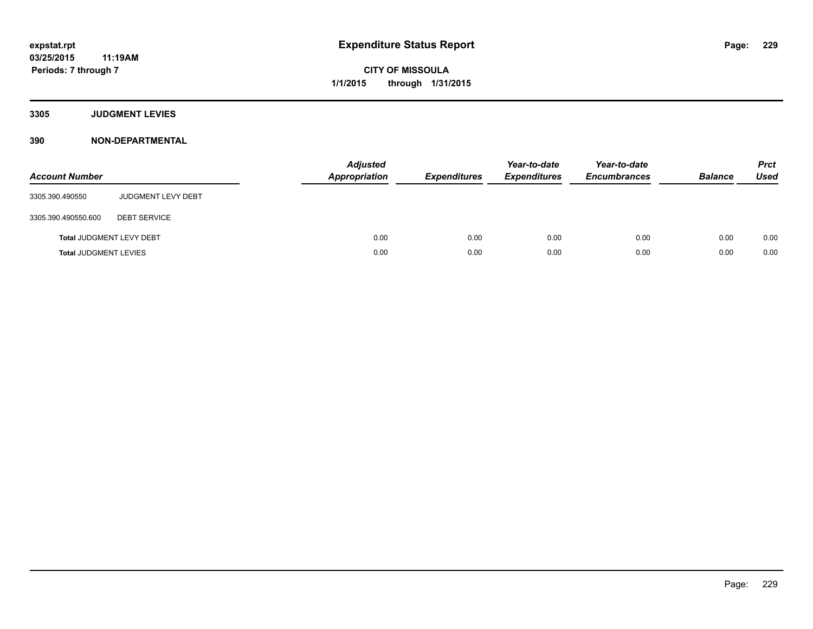**3305 JUDGMENT LEVIES**

| <b>Account Number</b>           |                           | <b>Adjusted</b><br>Appropriation | <b>Expenditures</b> | Year-to-date<br><b>Expenditures</b> | Year-to-date<br><b>Encumbrances</b> | <b>Balance</b> | <b>Prct</b><br><b>Used</b> |
|---------------------------------|---------------------------|----------------------------------|---------------------|-------------------------------------|-------------------------------------|----------------|----------------------------|
| 3305.390.490550                 | <b>JUDGMENT LEVY DEBT</b> |                                  |                     |                                     |                                     |                |                            |
| 3305.390.490550.600             | <b>DEBT SERVICE</b>       |                                  |                     |                                     |                                     |                |                            |
| <b>Total JUDGMENT LEVY DEBT</b> |                           | 0.00                             | 0.00                | 0.00                                | 0.00                                | 0.00           | 0.00                       |
| <b>Total JUDGMENT LEVIES</b>    |                           | 0.00                             | 0.00                | 0.00                                | 0.00                                | 0.00           | 0.00                       |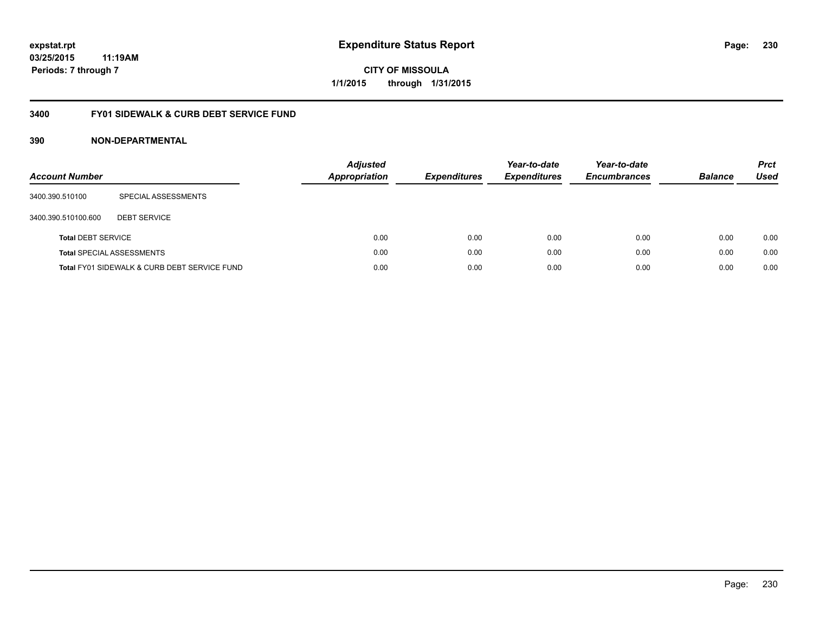**230**

**03/25/2015 11:19AM Periods: 7 through 7**

**CITY OF MISSOULA 1/1/2015 through 1/31/2015**

## **3400 FY01 SIDEWALK & CURB DEBT SERVICE FUND**

| <b>Account Number</b>     |                                              | <b>Adjusted</b><br><b>Appropriation</b> | <b>Expenditures</b> | Year-to-date<br><b>Expenditures</b> | Year-to-date<br><b>Encumbrances</b> | <b>Balance</b> | <b>Prct</b><br><b>Used</b> |
|---------------------------|----------------------------------------------|-----------------------------------------|---------------------|-------------------------------------|-------------------------------------|----------------|----------------------------|
| 3400.390.510100           | SPECIAL ASSESSMENTS                          |                                         |                     |                                     |                                     |                |                            |
| 3400.390.510100.600       | <b>DEBT SERVICE</b>                          |                                         |                     |                                     |                                     |                |                            |
| <b>Total DEBT SERVICE</b> |                                              | 0.00                                    | 0.00                | 0.00                                | 0.00                                | 0.00           | 0.00                       |
|                           | <b>Total SPECIAL ASSESSMENTS</b>             | 0.00                                    | 0.00                | 0.00                                | 0.00                                | 0.00           | 0.00                       |
|                           | Total FY01 SIDEWALK & CURB DEBT SERVICE FUND | 0.00                                    | 0.00                | 0.00                                | 0.00                                | 0.00           | 0.00                       |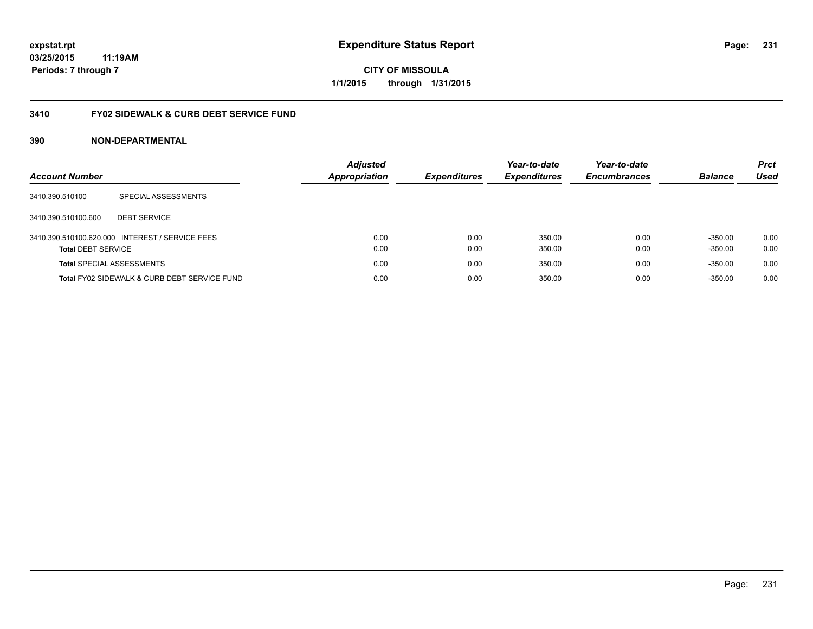**03/25/2015 11:19AM Periods: 7 through 7**

**CITY OF MISSOULA 1/1/2015 through 1/31/2015**

## **3410 FY02 SIDEWALK & CURB DEBT SERVICE FUND**

| <b>Account Number</b>            |                                                 | <b>Adjusted</b><br><b>Appropriation</b> | <b>Expenditures</b> | Year-to-date<br><b>Expenditures</b> | Year-to-date<br><b>Encumbrances</b> | <b>Balance</b> | <b>Prct</b><br>Used |
|----------------------------------|-------------------------------------------------|-----------------------------------------|---------------------|-------------------------------------|-------------------------------------|----------------|---------------------|
| 3410.390.510100                  | SPECIAL ASSESSMENTS                             |                                         |                     |                                     |                                     |                |                     |
| 3410.390.510100.600              | <b>DEBT SERVICE</b>                             |                                         |                     |                                     |                                     |                |                     |
|                                  | 3410.390.510100.620.000 INTEREST / SERVICE FEES | 0.00                                    | 0.00                | 350.00                              | 0.00                                | $-350.00$      | 0.00                |
| <b>Total DEBT SERVICE</b>        |                                                 | 0.00                                    | 0.00                | 350.00                              | 0.00                                | $-350.00$      | 0.00                |
| <b>Total SPECIAL ASSESSMENTS</b> |                                                 | 0.00                                    | 0.00                | 350.00                              | 0.00                                | $-350.00$      | 0.00                |
|                                  | Total FY02 SIDEWALK & CURB DEBT SERVICE FUND    | 0.00                                    | 0.00                | 350.00                              | 0.00                                | $-350.00$      | 0.00                |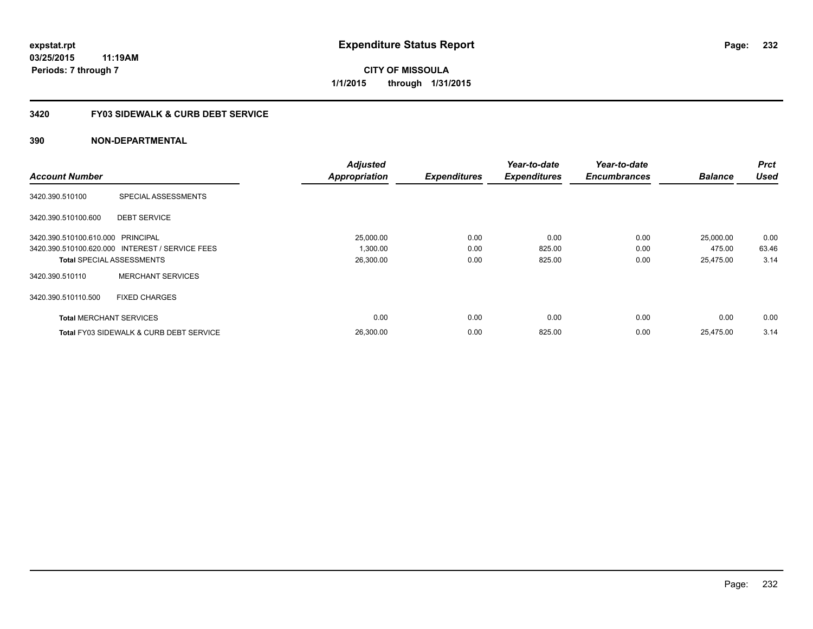**03/25/2015 11:19AM Periods: 7 through 7**

**CITY OF MISSOULA 1/1/2015 through 1/31/2015**

## **3420 FY03 SIDEWALK & CURB DEBT SERVICE**

|                                   |                                                    | <b>Adjusted</b>      |                     | Year-to-date        | Year-to-date        |                | <b>Prct</b> |
|-----------------------------------|----------------------------------------------------|----------------------|---------------------|---------------------|---------------------|----------------|-------------|
| <b>Account Number</b>             |                                                    | <b>Appropriation</b> | <b>Expenditures</b> | <b>Expenditures</b> | <b>Encumbrances</b> | <b>Balance</b> | <b>Used</b> |
| 3420.390.510100                   | SPECIAL ASSESSMENTS                                |                      |                     |                     |                     |                |             |
| 3420.390.510100.600               | <b>DEBT SERVICE</b>                                |                      |                     |                     |                     |                |             |
| 3420.390.510100.610.000 PRINCIPAL |                                                    | 25,000.00            | 0.00                | 0.00                | 0.00                | 25,000.00      | 0.00        |
|                                   | 3420.390.510100.620.000 INTEREST / SERVICE FEES    | 1,300.00             | 0.00                | 825.00              | 0.00                | 475.00         | 63.46       |
| <b>Total SPECIAL ASSESSMENTS</b>  |                                                    | 26,300.00            | 0.00                | 825.00              | 0.00                | 25,475.00      | 3.14        |
| 3420.390.510110                   | <b>MERCHANT SERVICES</b>                           |                      |                     |                     |                     |                |             |
| 3420.390.510110.500               | <b>FIXED CHARGES</b>                               |                      |                     |                     |                     |                |             |
| <b>Total MERCHANT SERVICES</b>    |                                                    | 0.00                 | 0.00                | 0.00                | 0.00                | 0.00           | 0.00        |
|                                   | <b>Total FY03 SIDEWALK &amp; CURB DEBT SERVICE</b> | 26.300.00            | 0.00                | 825.00              | 0.00                | 25.475.00      | 3.14        |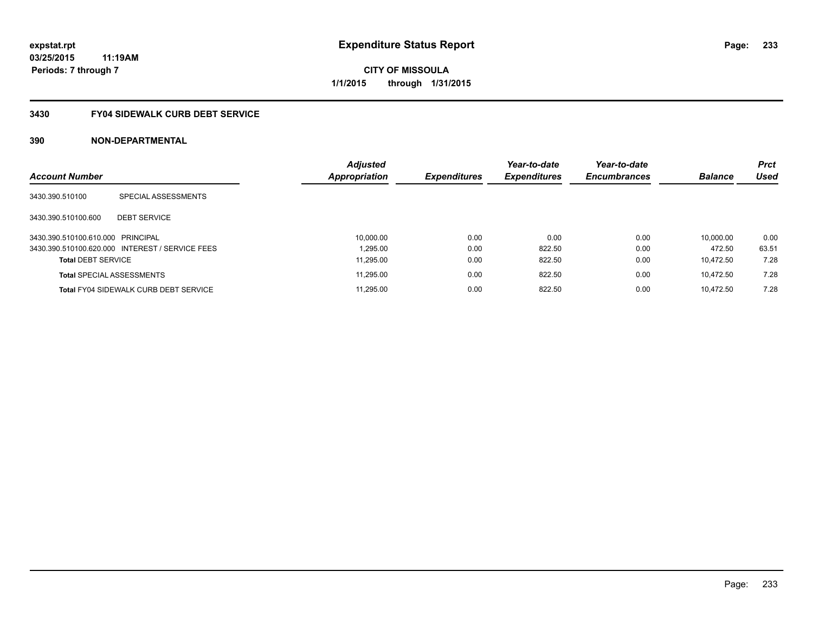**Periods: 7 through 7**

**CITY OF MISSOULA 1/1/2015 through 1/31/2015**

# **3430 FY04 SIDEWALK CURB DEBT SERVICE**

| <b>Account Number</b>             |                                                 | <b>Adjusted</b><br><b>Appropriation</b> | Expenditures | Year-to-date<br><b>Expenditures</b> | Year-to-date<br><b>Encumbrances</b> | <b>Balance</b> | <b>Prct</b><br>Used |
|-----------------------------------|-------------------------------------------------|-----------------------------------------|--------------|-------------------------------------|-------------------------------------|----------------|---------------------|
|                                   |                                                 |                                         |              |                                     |                                     |                |                     |
| 3430.390.510100                   | SPECIAL ASSESSMENTS                             |                                         |              |                                     |                                     |                |                     |
| 3430.390.510100.600               | <b>DEBT SERVICE</b>                             |                                         |              |                                     |                                     |                |                     |
| 3430.390.510100.610.000 PRINCIPAL |                                                 | 10.000.00                               | 0.00         | 0.00                                | 0.00                                | 10.000.00      | 0.00                |
|                                   | 3430.390.510100.620.000 INTEREST / SERVICE FEES | 1.295.00                                | 0.00         | 822.50                              | 0.00                                | 472.50         | 63.51               |
| <b>Total DEBT SERVICE</b>         |                                                 | 11.295.00                               | 0.00         | 822.50                              | 0.00                                | 10.472.50      | 7.28                |
|                                   | <b>Total SPECIAL ASSESSMENTS</b>                | 11.295.00                               | 0.00         | 822.50                              | 0.00                                | 10.472.50      | 7.28                |
|                                   | <b>Total FY04 SIDEWALK CURB DEBT SERVICE</b>    | 11.295.00                               | 0.00         | 822.50                              | 0.00                                | 10.472.50      | 7.28                |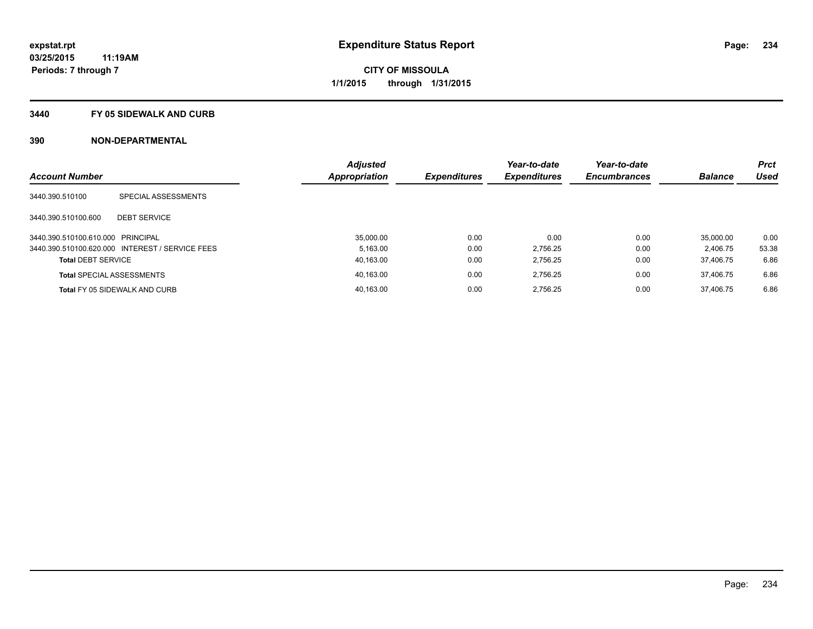## **3440 FY 05 SIDEWALK AND CURB**

|                                   |                                                 | <b>Adjusted</b> |                     | Year-to-date        | Year-to-date        |                | <b>Prct</b> |
|-----------------------------------|-------------------------------------------------|-----------------|---------------------|---------------------|---------------------|----------------|-------------|
| <b>Account Number</b>             |                                                 | Appropriation   | <b>Expenditures</b> | <b>Expenditures</b> | <b>Encumbrances</b> | <b>Balance</b> | <b>Used</b> |
| 3440.390.510100                   | SPECIAL ASSESSMENTS                             |                 |                     |                     |                     |                |             |
| 3440.390.510100.600               | <b>DEBT SERVICE</b>                             |                 |                     |                     |                     |                |             |
| 3440.390.510100.610.000 PRINCIPAL |                                                 | 35.000.00       | 0.00                | 0.00                | 0.00                | 35.000.00      | 0.00        |
|                                   | 3440.390.510100.620.000 INTEREST / SERVICE FEES | 5.163.00        | 0.00                | 2.756.25            | 0.00                | 2.406.75       | 53.38       |
| <b>Total DEBT SERVICE</b>         |                                                 | 40,163.00       | 0.00                | 2.756.25            | 0.00                | 37.406.75      | 6.86        |
|                                   | <b>Total SPECIAL ASSESSMENTS</b>                | 40.163.00       | 0.00                | 2.756.25            | 0.00                | 37.406.75      | 6.86        |
|                                   | Total FY 05 SIDEWALK AND CURB                   | 40.163.00       | 0.00                | 2.756.25            | 0.00                | 37.406.75      | 6.86        |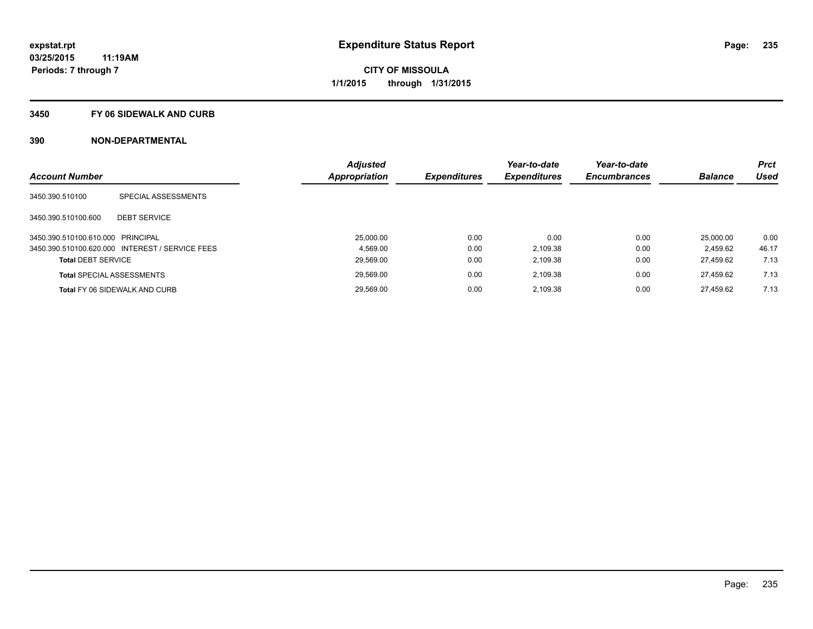## **3450 FY 06 SIDEWALK AND CURB**

|                                   |                                                 | <b>Adjusted</b> |                     | Year-to-date        | Year-to-date        |                | <b>Prct</b> |
|-----------------------------------|-------------------------------------------------|-----------------|---------------------|---------------------|---------------------|----------------|-------------|
| <b>Account Number</b>             |                                                 | Appropriation   | <b>Expenditures</b> | <b>Expenditures</b> | <b>Encumbrances</b> | <b>Balance</b> | <b>Used</b> |
| 3450.390.510100                   | SPECIAL ASSESSMENTS                             |                 |                     |                     |                     |                |             |
| 3450.390.510100.600               | <b>DEBT SERVICE</b>                             |                 |                     |                     |                     |                |             |
| 3450.390.510100.610.000 PRINCIPAL |                                                 | 25.000.00       | 0.00                | 0.00                | 0.00                | 25.000.00      | 0.00        |
|                                   | 3450.390.510100.620.000 INTEREST / SERVICE FEES | 4.569.00        | 0.00                | 2,109.38            | 0.00                | 2.459.62       | 46.17       |
| <b>Total DEBT SERVICE</b>         |                                                 | 29,569.00       | 0.00                | 2,109.38            | 0.00                | 27.459.62      | 7.13        |
|                                   | <b>Total SPECIAL ASSESSMENTS</b>                | 29.569.00       | 0.00                | 2,109.38            | 0.00                | 27.459.62      | 7.13        |
|                                   | <b>Total FY 06 SIDEWALK AND CURB</b>            | 29.569.00       | 0.00                | 2,109.38            | 0.00                | 27.459.62      | 7.13        |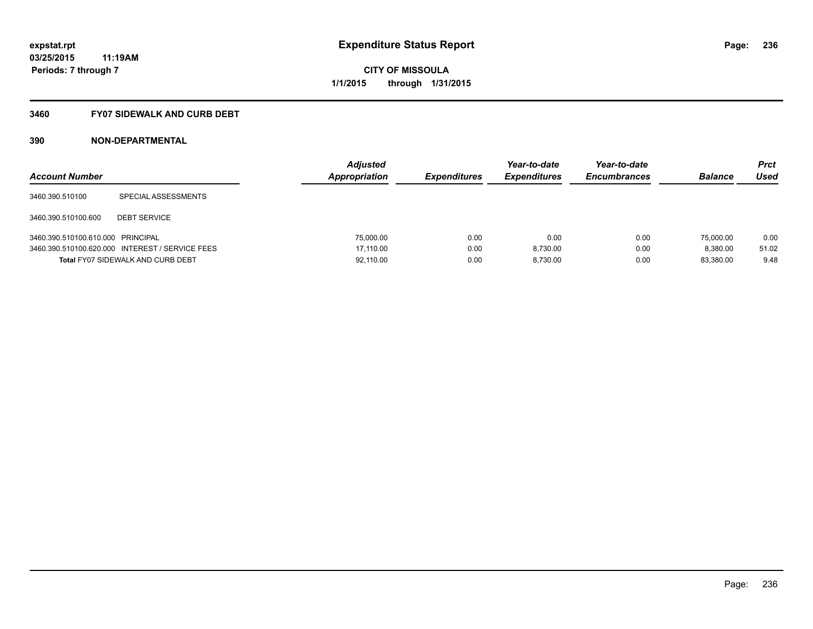## **3460 FY07 SIDEWALK AND CURB DEBT**

| <b>Account Number</b>             |                                                 | <b>Adjusted</b><br>Appropriation | <b>Expenditures</b> | Year-to-date<br><b>Expenditures</b> | Year-to-date<br><b>Encumbrances</b> | <b>Balance</b> | <b>Prct</b><br>Used |
|-----------------------------------|-------------------------------------------------|----------------------------------|---------------------|-------------------------------------|-------------------------------------|----------------|---------------------|
| 3460.390.510100                   | SPECIAL ASSESSMENTS                             |                                  |                     |                                     |                                     |                |                     |
| 3460.390.510100.600               | <b>DEBT SERVICE</b>                             |                                  |                     |                                     |                                     |                |                     |
| 3460.390.510100.610.000 PRINCIPAL |                                                 | 75,000.00                        | 0.00                | 0.00                                | 0.00                                | 75,000.00      | 0.00                |
|                                   | 3460.390.510100.620.000 INTEREST / SERVICE FEES | 17.110.00                        | 0.00                | 8.730.00                            | 0.00                                | 8.380.00       | 51.02               |
|                                   | <b>Total FY07 SIDEWALK AND CURB DEBT</b>        | 92.110.00                        | 0.00                | 8.730.00                            | 0.00                                | 83.380.00      | 9.48                |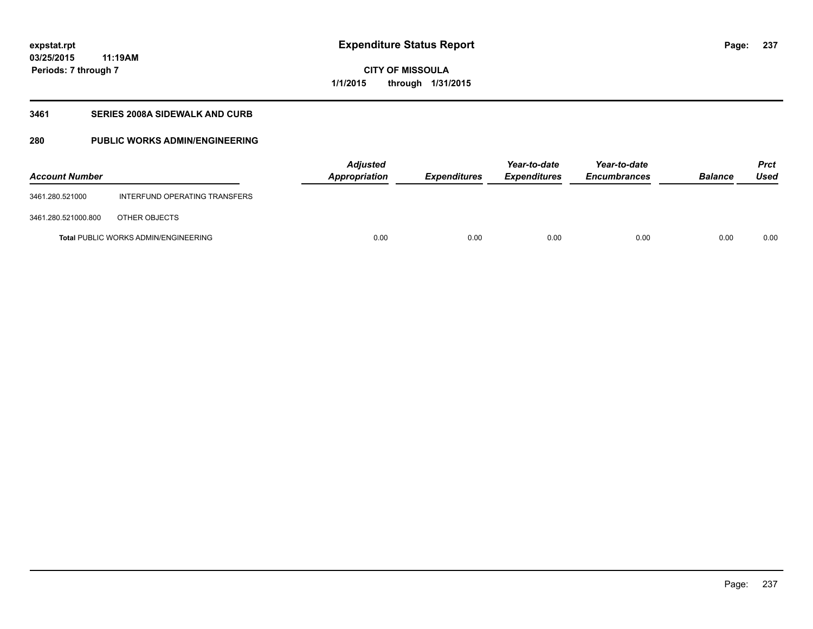**03/25/2015 11:19AM Periods: 7 through 7**

## **CITY OF MISSOULA 1/1/2015 through 1/31/2015**

## **3461 SERIES 2008A SIDEWALK AND CURB**

## **280 PUBLIC WORKS ADMIN/ENGINEERING**

| <b>Account Number</b> |                                             | <b>Adjusted</b><br>Appropriation | <b>Expenditures</b> | Year-to-date<br><b>Expenditures</b> | Year-to-date<br><b>Encumbrances</b> | <b>Balance</b> | <b>Prct</b><br>Used |
|-----------------------|---------------------------------------------|----------------------------------|---------------------|-------------------------------------|-------------------------------------|----------------|---------------------|
| 3461.280.521000       | INTERFUND OPERATING TRANSFERS               |                                  |                     |                                     |                                     |                |                     |
| 3461.280.521000.800   | OTHER OBJECTS                               |                                  |                     |                                     |                                     |                |                     |
|                       | <b>Total PUBLIC WORKS ADMIN/ENGINEERING</b> | 0.00                             | 0.00                | 0.00                                | 0.00                                | 0.00           | 0.00                |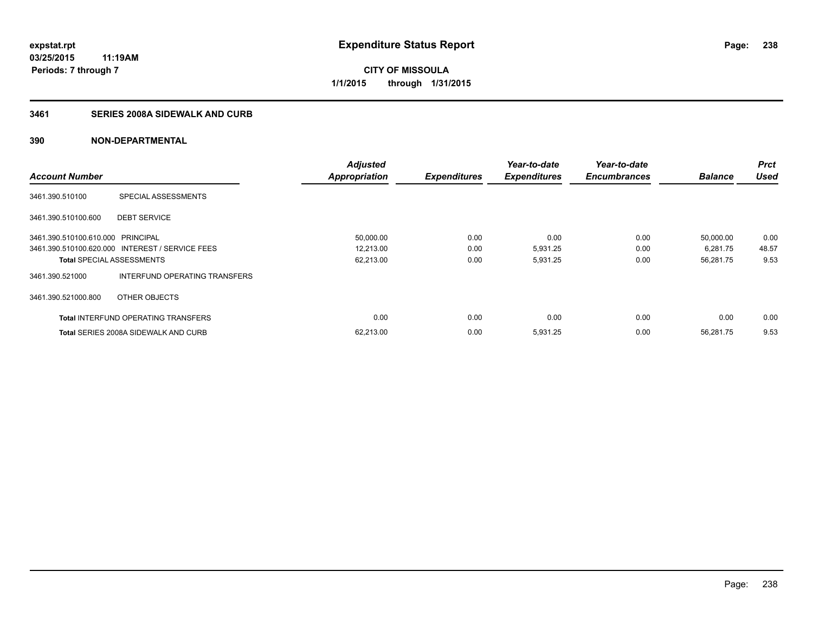## **3461 SERIES 2008A SIDEWALK AND CURB**

|                                   |                                                 | <b>Adjusted</b>      |                     | Year-to-date        | Year-to-date        |                | <b>Prct</b> |
|-----------------------------------|-------------------------------------------------|----------------------|---------------------|---------------------|---------------------|----------------|-------------|
| <b>Account Number</b>             |                                                 | <b>Appropriation</b> | <b>Expenditures</b> | <b>Expenditures</b> | <b>Encumbrances</b> | <b>Balance</b> | <b>Used</b> |
| 3461.390.510100                   | SPECIAL ASSESSMENTS                             |                      |                     |                     |                     |                |             |
| 3461.390.510100.600               | <b>DEBT SERVICE</b>                             |                      |                     |                     |                     |                |             |
| 3461.390.510100.610.000 PRINCIPAL |                                                 | 50,000.00            | 0.00                | 0.00                | 0.00                | 50,000.00      | 0.00        |
|                                   | 3461.390.510100.620.000 INTEREST / SERVICE FEES | 12,213.00            | 0.00                | 5,931.25            | 0.00                | 6,281.75       | 48.57       |
| <b>Total SPECIAL ASSESSMENTS</b>  |                                                 | 62,213.00            | 0.00                | 5,931.25            | 0.00                | 56,281.75      | 9.53        |
| 3461.390.521000                   | INTERFUND OPERATING TRANSFERS                   |                      |                     |                     |                     |                |             |
| 3461.390.521000.800               | OTHER OBJECTS                                   |                      |                     |                     |                     |                |             |
|                                   | <b>Total INTERFUND OPERATING TRANSFERS</b>      | 0.00                 | 0.00                | 0.00                | 0.00                | 0.00           | 0.00        |
|                                   | <b>Total SERIES 2008A SIDEWALK AND CURB</b>     | 62,213.00            | 0.00                | 5,931.25            | 0.00                | 56.281.75      | 9.53        |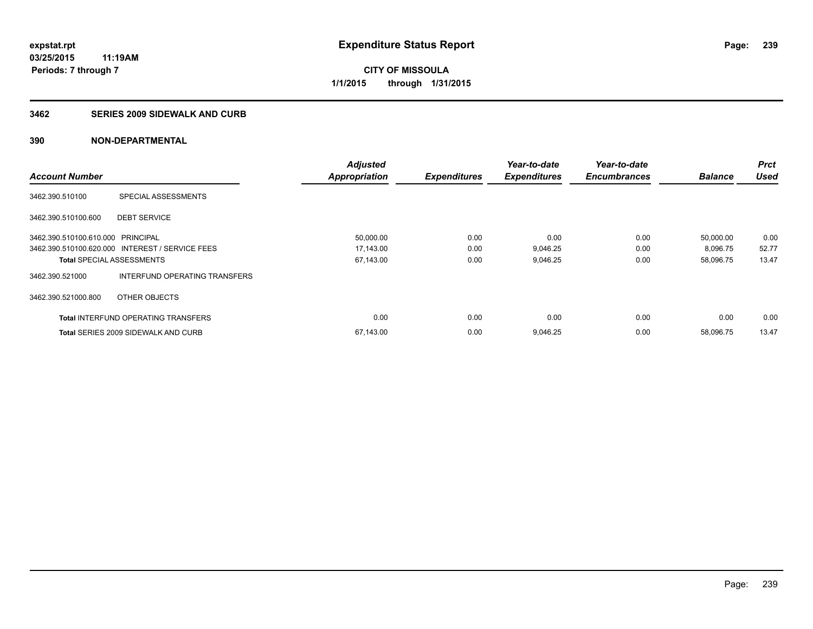## **3462 SERIES 2009 SIDEWALK AND CURB**

|                                   |                                                 | <b>Adjusted</b>      |                     | Year-to-date        | Year-to-date        |                | <b>Prct</b> |
|-----------------------------------|-------------------------------------------------|----------------------|---------------------|---------------------|---------------------|----------------|-------------|
| <b>Account Number</b>             |                                                 | <b>Appropriation</b> | <b>Expenditures</b> | <b>Expenditures</b> | <b>Encumbrances</b> | <b>Balance</b> | <b>Used</b> |
| 3462.390.510100                   | SPECIAL ASSESSMENTS                             |                      |                     |                     |                     |                |             |
| 3462.390.510100.600               | <b>DEBT SERVICE</b>                             |                      |                     |                     |                     |                |             |
| 3462.390.510100.610.000 PRINCIPAL |                                                 | 50,000.00            | 0.00                | 0.00                | 0.00                | 50,000.00      | 0.00        |
|                                   | 3462.390.510100.620.000 INTEREST / SERVICE FEES | 17,143.00            | 0.00                | 9,046.25            | 0.00                | 8,096.75       | 52.77       |
| <b>Total SPECIAL ASSESSMENTS</b>  |                                                 | 67,143.00            | 0.00                | 9,046.25            | 0.00                | 58,096.75      | 13.47       |
| 3462.390.521000                   | INTERFUND OPERATING TRANSFERS                   |                      |                     |                     |                     |                |             |
| 3462.390.521000.800               | OTHER OBJECTS                                   |                      |                     |                     |                     |                |             |
|                                   | <b>Total INTERFUND OPERATING TRANSFERS</b>      | 0.00                 | 0.00                | 0.00                | 0.00                | 0.00           | 0.00        |
|                                   | <b>Total SERIES 2009 SIDEWALK AND CURB</b>      | 67,143.00            | 0.00                | 9,046.25            | 0.00                | 58.096.75      | 13.47       |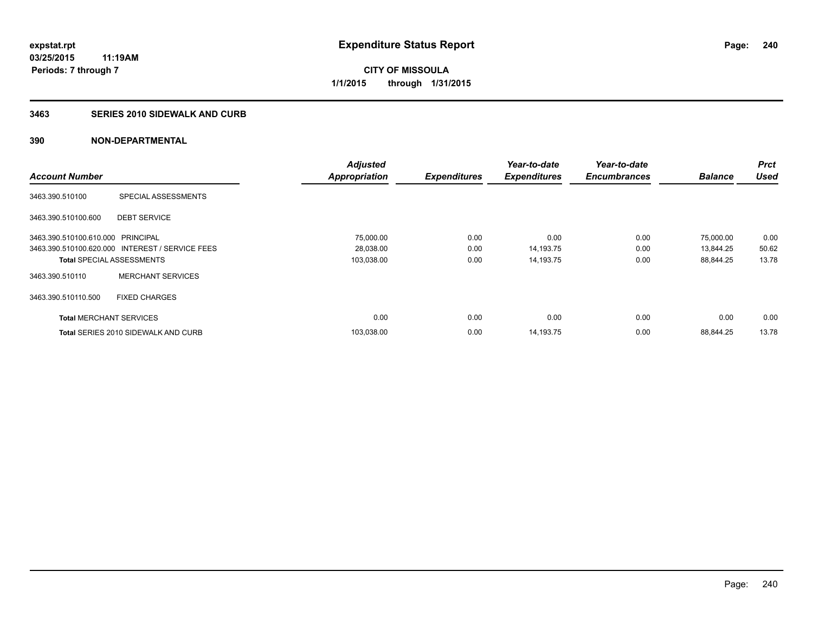## **3463 SERIES 2010 SIDEWALK AND CURB**

|                                   |                                                 | <b>Adjusted</b>      |                     | Year-to-date        | Year-to-date        |                | <b>Prct</b> |
|-----------------------------------|-------------------------------------------------|----------------------|---------------------|---------------------|---------------------|----------------|-------------|
| <b>Account Number</b>             |                                                 | <b>Appropriation</b> | <b>Expenditures</b> | <b>Expenditures</b> | <b>Encumbrances</b> | <b>Balance</b> | <b>Used</b> |
| 3463.390.510100                   | SPECIAL ASSESSMENTS                             |                      |                     |                     |                     |                |             |
| 3463.390.510100.600               | <b>DEBT SERVICE</b>                             |                      |                     |                     |                     |                |             |
| 3463.390.510100.610.000 PRINCIPAL |                                                 | 75,000.00            | 0.00                | 0.00                | 0.00                | 75,000.00      | 0.00        |
|                                   | 3463.390.510100.620.000 INTEREST / SERVICE FEES | 28,038.00            | 0.00                | 14,193.75           | 0.00                | 13,844.25      | 50.62       |
| <b>Total SPECIAL ASSESSMENTS</b>  |                                                 | 103,038.00           | 0.00                | 14,193.75           | 0.00                | 88.844.25      | 13.78       |
| 3463.390.510110                   | <b>MERCHANT SERVICES</b>                        |                      |                     |                     |                     |                |             |
| 3463.390.510110.500               | <b>FIXED CHARGES</b>                            |                      |                     |                     |                     |                |             |
| <b>Total MERCHANT SERVICES</b>    |                                                 | 0.00                 | 0.00                | 0.00                | 0.00                | 0.00           | 0.00        |
|                                   | <b>Total SERIES 2010 SIDEWALK AND CURB</b>      | 103.038.00           | 0.00                | 14.193.75           | 0.00                | 88.844.25      | 13.78       |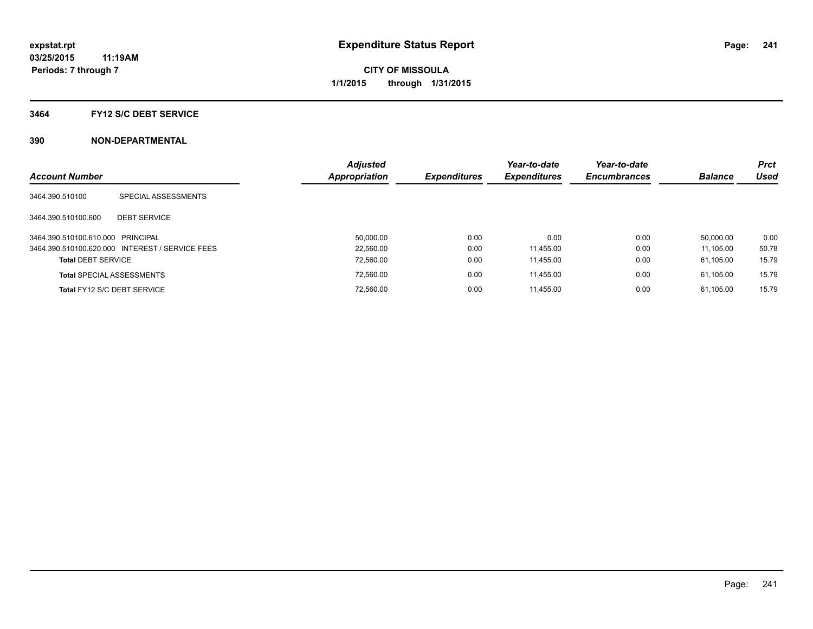## **3464 FY12 S/C DEBT SERVICE**

| <b>Account Number</b>             |                                                 | <b>Adjusted</b><br><b>Appropriation</b> | <b>Expenditures</b> | Year-to-date<br><b>Expenditures</b> | Year-to-date<br><b>Encumbrances</b> | <b>Balance</b> | <b>Prct</b><br>Used |
|-----------------------------------|-------------------------------------------------|-----------------------------------------|---------------------|-------------------------------------|-------------------------------------|----------------|---------------------|
| 3464.390.510100                   | SPECIAL ASSESSMENTS                             |                                         |                     |                                     |                                     |                |                     |
| 3464.390.510100.600               | <b>DEBT SERVICE</b>                             |                                         |                     |                                     |                                     |                |                     |
| 3464.390.510100.610.000 PRINCIPAL |                                                 | 50.000.00                               | 0.00                | 0.00                                | 0.00                                | 50.000.00      | 0.00                |
|                                   | 3464.390.510100.620.000 INTEREST / SERVICE FEES | 22.560.00                               | 0.00                | 11.455.00                           | 0.00                                | 11.105.00      | 50.78               |
| <b>Total DEBT SERVICE</b>         |                                                 | 72,560.00                               | 0.00                | 11,455.00                           | 0.00                                | 61.105.00      | 15.79               |
|                                   | <b>Total SPECIAL ASSESSMENTS</b>                | 72,560.00                               | 0.00                | 11.455.00                           | 0.00                                | 61.105.00      | 15.79               |
|                                   | Total FY12 S/C DEBT SERVICE                     | 72.560.00                               | 0.00                | 11.455.00                           | 0.00                                | 61.105.00      | 15.79               |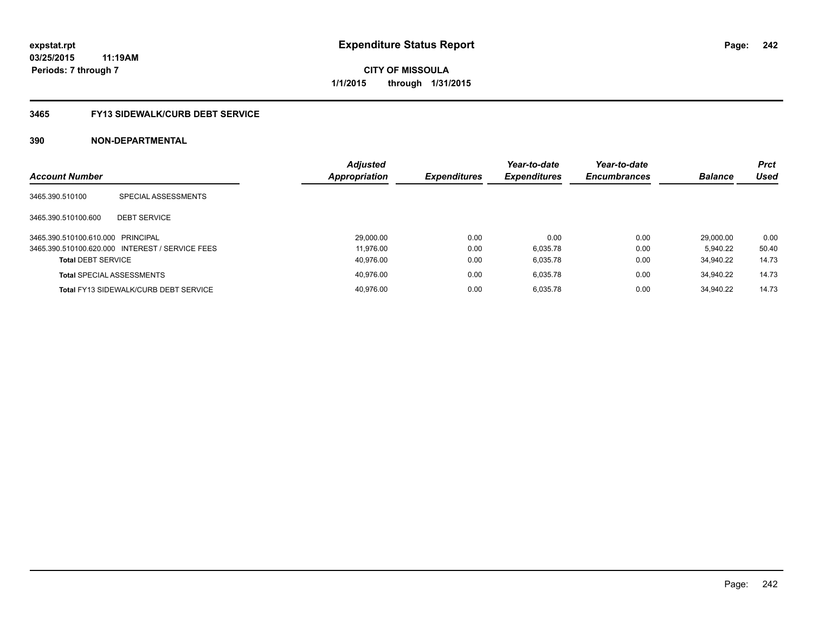**Periods: 7 through 7**

**CITY OF MISSOULA 1/1/2015 through 1/31/2015**

# **3465 FY13 SIDEWALK/CURB DEBT SERVICE**

| <b>Account Number</b>             |                                                 | <b>Adjusted</b><br><b>Appropriation</b> | <b>Expenditures</b> | Year-to-date<br><b>Expenditures</b> | Year-to-date<br><b>Encumbrances</b> | <b>Balance</b> | <b>Prct</b><br>Used |
|-----------------------------------|-------------------------------------------------|-----------------------------------------|---------------------|-------------------------------------|-------------------------------------|----------------|---------------------|
| 3465.390.510100                   | SPECIAL ASSESSMENTS                             |                                         |                     |                                     |                                     |                |                     |
| 3465.390.510100.600               | <b>DEBT SERVICE</b>                             |                                         |                     |                                     |                                     |                |                     |
| 3465.390.510100.610.000 PRINCIPAL |                                                 | 29.000.00                               | 0.00                | 0.00                                | 0.00                                | 29.000.00      | 0.00                |
|                                   | 3465.390.510100.620.000 INTEREST / SERVICE FEES | 11.976.00                               | 0.00                | 6.035.78                            | 0.00                                | 5.940.22       | 50.40               |
| <b>Total DEBT SERVICE</b>         |                                                 | 40.976.00                               | 0.00                | 6.035.78                            | 0.00                                | 34.940.22      | 14.73               |
|                                   | <b>Total SPECIAL ASSESSMENTS</b>                | 40.976.00                               | 0.00                | 6.035.78                            | 0.00                                | 34.940.22      | 14.73               |
|                                   | <b>Total FY13 SIDEWALK/CURB DEBT SERVICE</b>    | 40.976.00                               | 0.00                | 6.035.78                            | 0.00                                | 34.940.22      | 14.73               |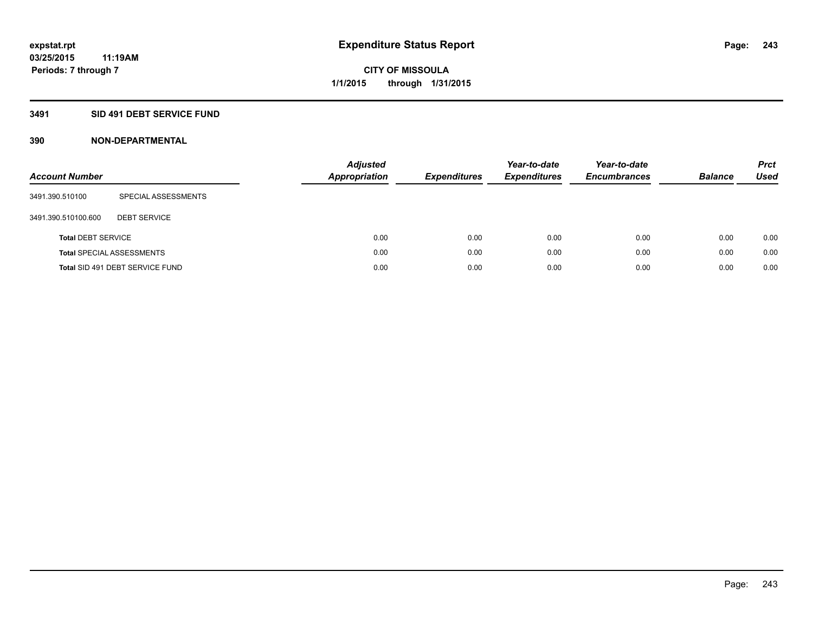## **3491 SID 491 DEBT SERVICE FUND**

| <b>Account Number</b>     |                                  | <b>Adjusted</b><br><b>Appropriation</b> | <b>Expenditures</b> | Year-to-date<br><b>Expenditures</b> | Year-to-date<br><b>Encumbrances</b> | <b>Balance</b> | <b>Prct</b><br>Used |
|---------------------------|----------------------------------|-----------------------------------------|---------------------|-------------------------------------|-------------------------------------|----------------|---------------------|
| 3491.390.510100           | SPECIAL ASSESSMENTS              |                                         |                     |                                     |                                     |                |                     |
| 3491.390.510100.600       | <b>DEBT SERVICE</b>              |                                         |                     |                                     |                                     |                |                     |
| <b>Total DEBT SERVICE</b> |                                  | 0.00                                    | 0.00                | 0.00                                | 0.00                                | 0.00           | 0.00                |
|                           | <b>Total SPECIAL ASSESSMENTS</b> | 0.00                                    | 0.00                | 0.00                                | 0.00                                | 0.00           | 0.00                |
|                           | Total SID 491 DEBT SERVICE FUND  | 0.00                                    | 0.00                | 0.00                                | 0.00                                | 0.00           | 0.00                |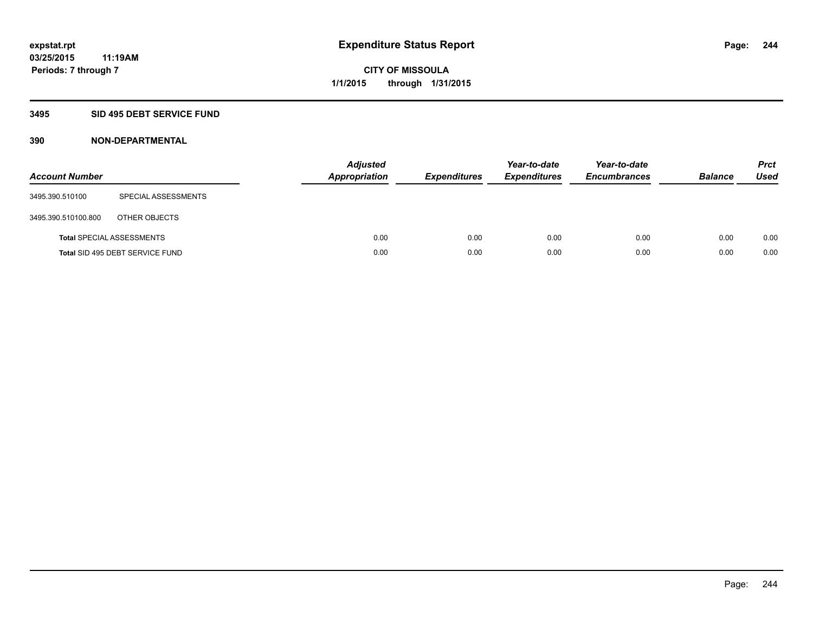## **3495 SID 495 DEBT SERVICE FUND**

| <b>Account Number</b> |                                  | <b>Adjusted</b><br><b>Appropriation</b> | <b>Expenditures</b> | Year-to-date<br><b>Expenditures</b> | Year-to-date<br><b>Encumbrances</b> | <b>Balance</b> | <b>Prct</b><br>Used |
|-----------------------|----------------------------------|-----------------------------------------|---------------------|-------------------------------------|-------------------------------------|----------------|---------------------|
| 3495.390.510100       | SPECIAL ASSESSMENTS              |                                         |                     |                                     |                                     |                |                     |
| 3495.390.510100.800   | OTHER OBJECTS                    |                                         |                     |                                     |                                     |                |                     |
|                       | <b>Total SPECIAL ASSESSMENTS</b> | 0.00                                    | 0.00                | 0.00                                | 0.00                                | 0.00           | 0.00                |
|                       | Total SID 495 DEBT SERVICE FUND  | 0.00                                    | 0.00                | 0.00                                | 0.00                                | 0.00           | 0.00                |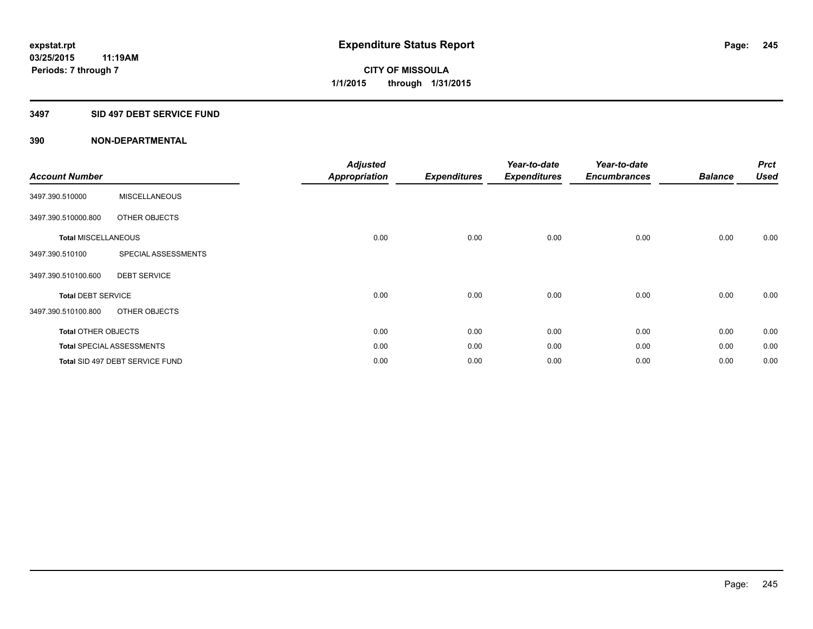## **3497 SID 497 DEBT SERVICE FUND**

| <b>Account Number</b>      |                                  | <b>Adjusted</b><br><b>Appropriation</b> | <b>Expenditures</b> | Year-to-date<br><b>Expenditures</b> | Year-to-date<br><b>Encumbrances</b> | <b>Balance</b> | <b>Prct</b><br><b>Used</b> |
|----------------------------|----------------------------------|-----------------------------------------|---------------------|-------------------------------------|-------------------------------------|----------------|----------------------------|
| 3497.390.510000            | <b>MISCELLANEOUS</b>             |                                         |                     |                                     |                                     |                |                            |
| 3497.390.510000.800        | OTHER OBJECTS                    |                                         |                     |                                     |                                     |                |                            |
| <b>Total MISCELLANEOUS</b> |                                  | 0.00                                    | 0.00                | 0.00                                | 0.00                                | 0.00           | 0.00                       |
| 3497.390.510100            | SPECIAL ASSESSMENTS              |                                         |                     |                                     |                                     |                |                            |
| 3497.390.510100.600        | <b>DEBT SERVICE</b>              |                                         |                     |                                     |                                     |                |                            |
| <b>Total DEBT SERVICE</b>  |                                  | 0.00                                    | 0.00                | 0.00                                | 0.00                                | 0.00           | 0.00                       |
| 3497.390.510100.800        | OTHER OBJECTS                    |                                         |                     |                                     |                                     |                |                            |
| <b>Total OTHER OBJECTS</b> |                                  | 0.00                                    | 0.00                | 0.00                                | 0.00                                | 0.00           | 0.00                       |
|                            | <b>Total SPECIAL ASSESSMENTS</b> | 0.00                                    | 0.00                | 0.00                                | 0.00                                | 0.00           | 0.00                       |
|                            | Total SID 497 DEBT SERVICE FUND  | 0.00                                    | 0.00                | 0.00                                | 0.00                                | 0.00           | 0.00                       |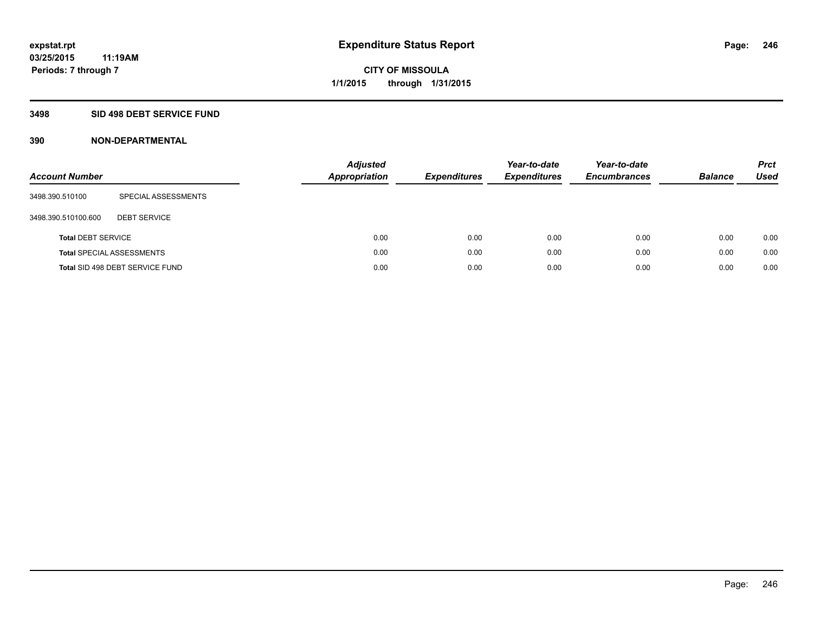## **3498 SID 498 DEBT SERVICE FUND**

| <b>Account Number</b>     |                                  | <b>Adjusted</b><br><b>Appropriation</b> | <b>Expenditures</b> | Year-to-date<br><b>Expenditures</b> | Year-to-date<br><b>Encumbrances</b> | <b>Balance</b> | <b>Prct</b><br><b>Used</b> |
|---------------------------|----------------------------------|-----------------------------------------|---------------------|-------------------------------------|-------------------------------------|----------------|----------------------------|
| 3498.390.510100           | SPECIAL ASSESSMENTS              |                                         |                     |                                     |                                     |                |                            |
| 3498.390.510100.600       | <b>DEBT SERVICE</b>              |                                         |                     |                                     |                                     |                |                            |
| <b>Total DEBT SERVICE</b> |                                  | 0.00                                    | 0.00                | 0.00                                | 0.00                                | 0.00           | 0.00                       |
|                           | <b>Total SPECIAL ASSESSMENTS</b> | 0.00                                    | 0.00                | 0.00                                | 0.00                                | 0.00           | 0.00                       |
|                           | Total SID 498 DEBT SERVICE FUND  | 0.00                                    | 0.00                | 0.00                                | 0.00                                | 0.00           | 0.00                       |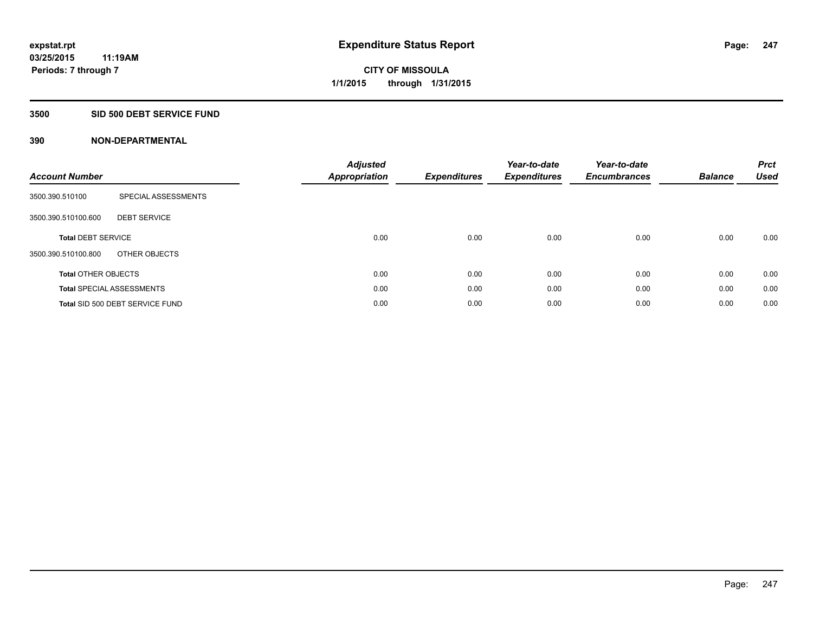## **3500 SID 500 DEBT SERVICE FUND**

| <b>Account Number</b>      |                                  | <b>Adjusted</b><br>Appropriation | <b>Expenditures</b> | Year-to-date<br><b>Expenditures</b> | Year-to-date<br><b>Encumbrances</b> | <b>Balance</b> | <b>Prct</b><br><b>Used</b> |
|----------------------------|----------------------------------|----------------------------------|---------------------|-------------------------------------|-------------------------------------|----------------|----------------------------|
| 3500.390.510100            | SPECIAL ASSESSMENTS              |                                  |                     |                                     |                                     |                |                            |
| 3500.390.510100.600        | <b>DEBT SERVICE</b>              |                                  |                     |                                     |                                     |                |                            |
| <b>Total DEBT SERVICE</b>  |                                  | 0.00                             | 0.00                | 0.00                                | 0.00                                | 0.00           | 0.00                       |
| 3500.390.510100.800        | OTHER OBJECTS                    |                                  |                     |                                     |                                     |                |                            |
| <b>Total OTHER OBJECTS</b> |                                  | 0.00                             | 0.00                | 0.00                                | 0.00                                | 0.00           | 0.00                       |
|                            | <b>Total SPECIAL ASSESSMENTS</b> | 0.00                             | 0.00                | 0.00                                | 0.00                                | 0.00           | 0.00                       |
|                            | Total SID 500 DEBT SERVICE FUND  | 0.00                             | 0.00                | 0.00                                | 0.00                                | 0.00           | 0.00                       |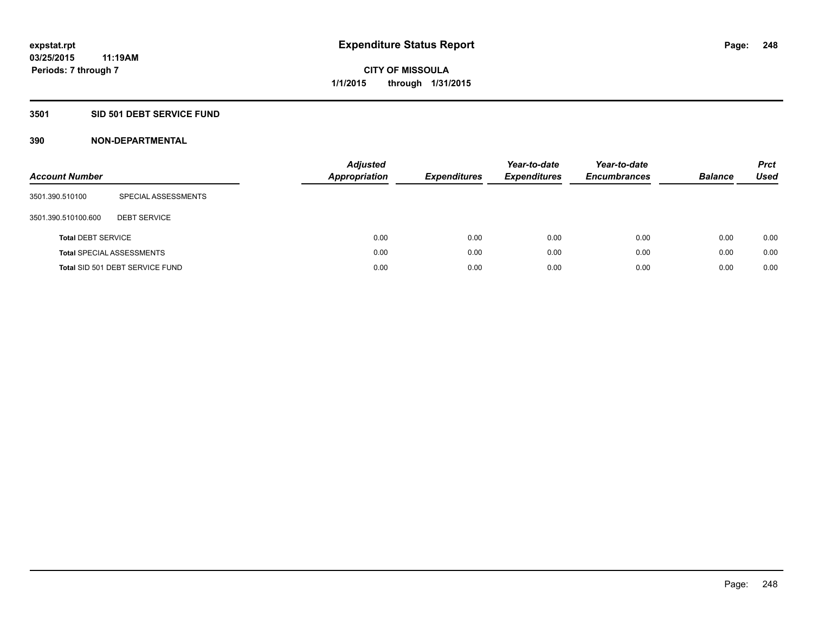## **3501 SID 501 DEBT SERVICE FUND**

| <b>Account Number</b>     |                                  | <b>Adjusted</b><br><b>Appropriation</b> | <b>Expenditures</b> | Year-to-date<br><b>Expenditures</b> | Year-to-date<br><b>Encumbrances</b> | <b>Balance</b> | <b>Prct</b><br>Used |
|---------------------------|----------------------------------|-----------------------------------------|---------------------|-------------------------------------|-------------------------------------|----------------|---------------------|
| 3501.390.510100           | SPECIAL ASSESSMENTS              |                                         |                     |                                     |                                     |                |                     |
| 3501.390.510100.600       | <b>DEBT SERVICE</b>              |                                         |                     |                                     |                                     |                |                     |
| <b>Total DEBT SERVICE</b> |                                  | 0.00                                    | 0.00                | 0.00                                | 0.00                                | 0.00           | 0.00                |
|                           | <b>Total SPECIAL ASSESSMENTS</b> | 0.00                                    | 0.00                | 0.00                                | 0.00                                | 0.00           | 0.00                |
|                           | Total SID 501 DEBT SERVICE FUND  | 0.00                                    | 0.00                | 0.00                                | 0.00                                | 0.00           | 0.00                |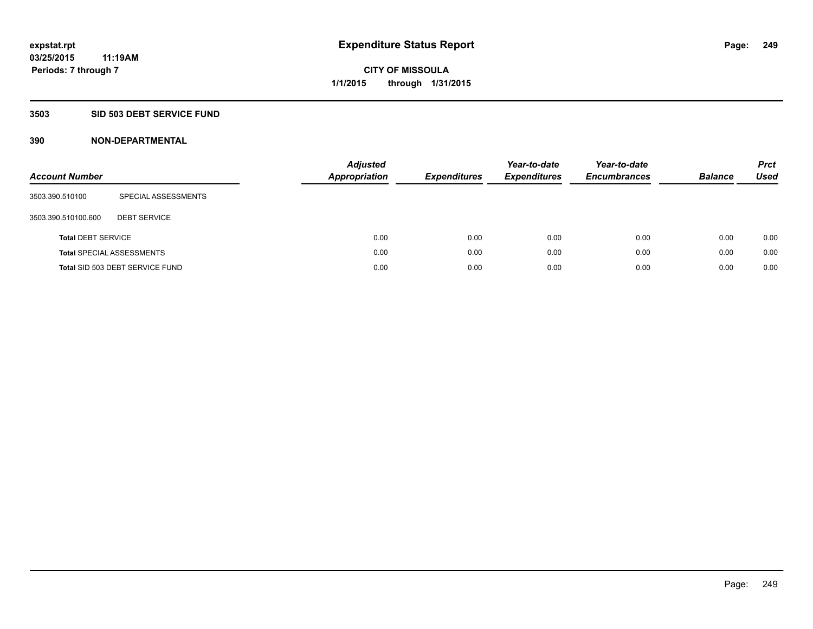## **3503 SID 503 DEBT SERVICE FUND**

| <b>Account Number</b>     |                                  | <b>Adjusted</b><br><b>Appropriation</b> | <b>Expenditures</b> | Year-to-date<br><b>Expenditures</b> | Year-to-date<br><b>Encumbrances</b> | <b>Balance</b> | <b>Prct</b><br>Used |
|---------------------------|----------------------------------|-----------------------------------------|---------------------|-------------------------------------|-------------------------------------|----------------|---------------------|
| 3503.390.510100           | SPECIAL ASSESSMENTS              |                                         |                     |                                     |                                     |                |                     |
| 3503.390.510100.600       | <b>DEBT SERVICE</b>              |                                         |                     |                                     |                                     |                |                     |
| <b>Total DEBT SERVICE</b> |                                  | 0.00                                    | 0.00                | 0.00                                | 0.00                                | 0.00           | 0.00                |
|                           | <b>Total SPECIAL ASSESSMENTS</b> | 0.00                                    | 0.00                | 0.00                                | 0.00                                | 0.00           | 0.00                |
|                           | Total SID 503 DEBT SERVICE FUND  | 0.00                                    | 0.00                | 0.00                                | 0.00                                | 0.00           | 0.00                |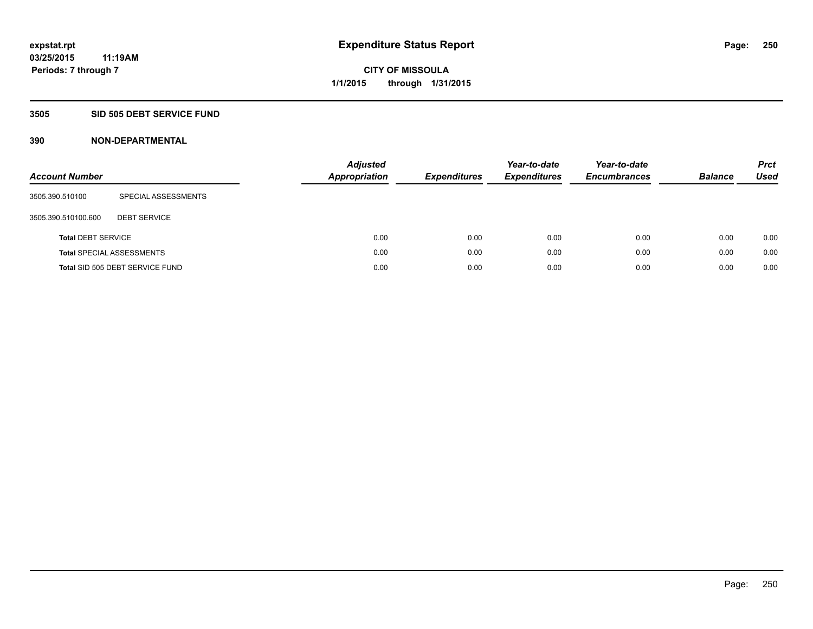## **3505 SID 505 DEBT SERVICE FUND**

| <b>Account Number</b>     |                                  | Adjusted<br><b>Appropriation</b> | <b>Expenditures</b> | Year-to-date<br><b>Expenditures</b> | Year-to-date<br><b>Encumbrances</b> | <b>Balance</b> | <b>Prct</b><br>Used |
|---------------------------|----------------------------------|----------------------------------|---------------------|-------------------------------------|-------------------------------------|----------------|---------------------|
| 3505.390.510100           | SPECIAL ASSESSMENTS              |                                  |                     |                                     |                                     |                |                     |
| 3505.390.510100.600       | <b>DEBT SERVICE</b>              |                                  |                     |                                     |                                     |                |                     |
| <b>Total DEBT SERVICE</b> |                                  |                                  | 0.00<br>0.00        | 0.00                                | 0.00                                | 0.00           | 0.00                |
|                           | <b>Total SPECIAL ASSESSMENTS</b> |                                  | 0.00<br>0.00        | 0.00                                | 0.00                                | 0.00           | 0.00                |
|                           | Total SID 505 DEBT SERVICE FUND  |                                  | 0.00<br>0.00        | 0.00                                | 0.00                                | 0.00           | 0.00                |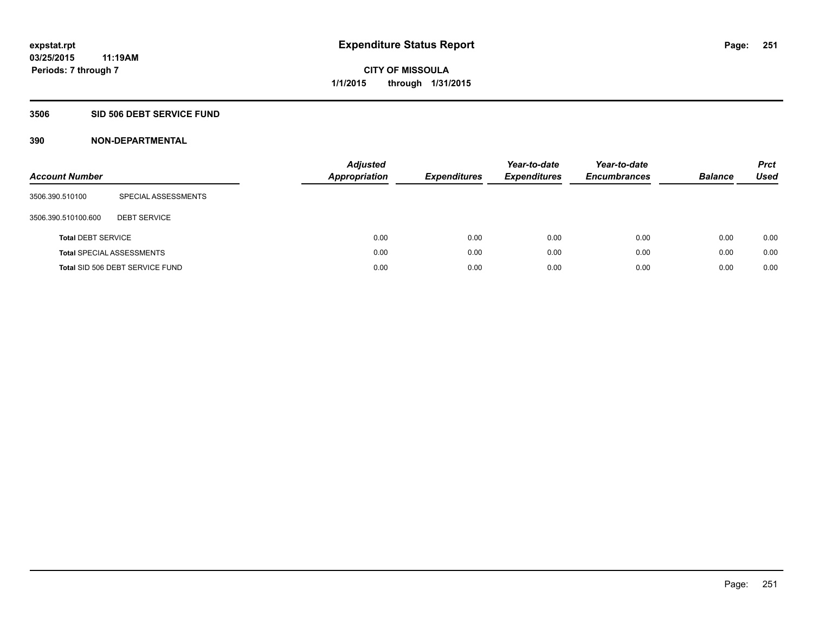## **3506 SID 506 DEBT SERVICE FUND**

| <b>Account Number</b>     |                                  | <b>Appropriation</b> | <b>Adjusted</b> | <b>Expenditures</b> | Year-to-date<br><b>Expenditures</b> | Year-to-date<br><b>Encumbrances</b> | <b>Balance</b> | <b>Prct</b><br>Used |
|---------------------------|----------------------------------|----------------------|-----------------|---------------------|-------------------------------------|-------------------------------------|----------------|---------------------|
| 3506.390.510100           | SPECIAL ASSESSMENTS              |                      |                 |                     |                                     |                                     |                |                     |
| 3506.390.510100.600       | <b>DEBT SERVICE</b>              |                      |                 |                     |                                     |                                     |                |                     |
| <b>Total DEBT SERVICE</b> |                                  |                      | 0.00            | 0.00                | 0.00                                | 0.00                                | 0.00           | 0.00                |
|                           | <b>Total SPECIAL ASSESSMENTS</b> |                      | 0.00            | 0.00                | 0.00                                | 0.00                                | 0.00           | 0.00                |
|                           | Total SID 506 DEBT SERVICE FUND  |                      | 0.00            | 0.00                | 0.00                                | 0.00                                | 0.00           | 0.00                |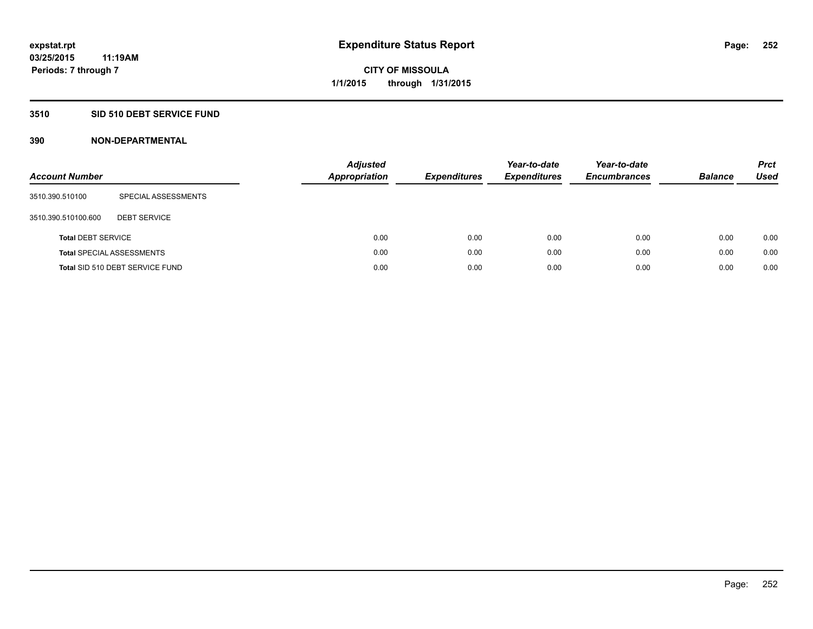## **3510 SID 510 DEBT SERVICE FUND**

| <b>Account Number</b>     |                                  | <b>Adjusted</b><br><b>Appropriation</b> | <b>Expenditures</b> | Year-to-date<br><b>Expenditures</b> | Year-to-date<br><b>Encumbrances</b> | <b>Balance</b> | <b>Prct</b><br>Used |
|---------------------------|----------------------------------|-----------------------------------------|---------------------|-------------------------------------|-------------------------------------|----------------|---------------------|
| 3510.390.510100           | SPECIAL ASSESSMENTS              |                                         |                     |                                     |                                     |                |                     |
| 3510.390.510100.600       | <b>DEBT SERVICE</b>              |                                         |                     |                                     |                                     |                |                     |
| <b>Total DEBT SERVICE</b> |                                  | 0.00                                    | 0.00                | 0.00                                | 0.00                                | 0.00           | 0.00                |
|                           | <b>Total SPECIAL ASSESSMENTS</b> | 0.00                                    | 0.00                | 0.00                                | 0.00                                | 0.00           | 0.00                |
|                           | Total SID 510 DEBT SERVICE FUND  | 0.00                                    | 0.00                | 0.00                                | 0.00                                | 0.00           | 0.00                |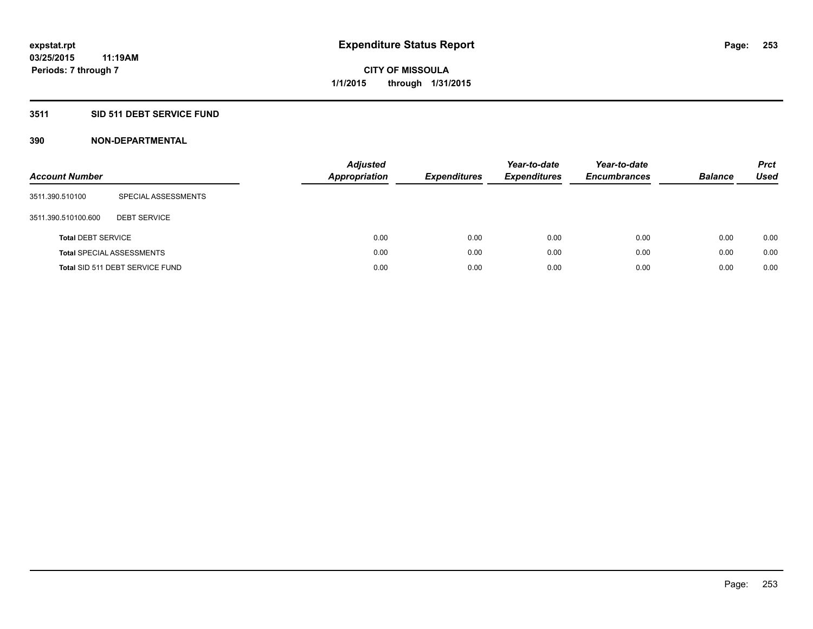### **3511 SID 511 DEBT SERVICE FUND**

| <b>Account Number</b>     |                                  | <b>Adjusted</b><br><b>Appropriation</b> | <b>Expenditures</b> | Year-to-date<br><b>Expenditures</b> | Year-to-date<br><b>Encumbrances</b> | <b>Balance</b> | <b>Prct</b><br>Used |
|---------------------------|----------------------------------|-----------------------------------------|---------------------|-------------------------------------|-------------------------------------|----------------|---------------------|
| 3511.390.510100           | SPECIAL ASSESSMENTS              |                                         |                     |                                     |                                     |                |                     |
| 3511.390.510100.600       | <b>DEBT SERVICE</b>              |                                         |                     |                                     |                                     |                |                     |
| <b>Total DEBT SERVICE</b> |                                  | 0.00                                    | 0.00                | 0.00                                | 0.00                                | 0.00           | 0.00                |
|                           | <b>Total SPECIAL ASSESSMENTS</b> | 0.00                                    | 0.00                | 0.00                                | 0.00                                | 0.00           | 0.00                |
|                           | Total SID 511 DEBT SERVICE FUND  | 0.00                                    | 0.00                | 0.00                                | 0.00                                | 0.00           | 0.00                |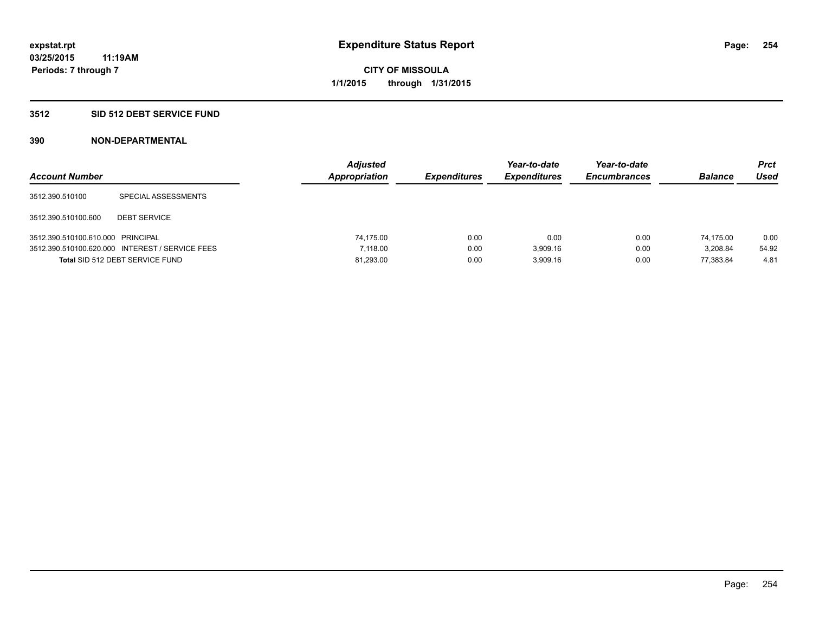### **3512 SID 512 DEBT SERVICE FUND**

| <b>Account Number</b>             |                                                 | <b>Adjusted</b><br>Appropriation | <b>Expenditures</b> | Year-to-date<br><b>Expenditures</b> | Year-to-date<br><b>Encumbrances</b> | <b>Balance</b> | Prct<br><b>Used</b> |
|-----------------------------------|-------------------------------------------------|----------------------------------|---------------------|-------------------------------------|-------------------------------------|----------------|---------------------|
| 3512.390.510100                   | SPECIAL ASSESSMENTS                             |                                  |                     |                                     |                                     |                |                     |
| 3512.390.510100.600               | <b>DEBT SERVICE</b>                             |                                  |                     |                                     |                                     |                |                     |
| 3512.390.510100.610.000 PRINCIPAL |                                                 | 74.175.00                        | 0.00                | 0.00                                | 0.00                                | 74.175.00      | 0.00                |
|                                   | 3512.390.510100.620.000 INTEREST / SERVICE FEES | 7.118.00                         | 0.00                | 3.909.16                            | 0.00                                | 3.208.84       | 54.92               |
|                                   | Total SID 512 DEBT SERVICE FUND                 | 81,293.00                        | 0.00                | 3.909.16                            | 0.00                                | 77.383.84      | 4.81                |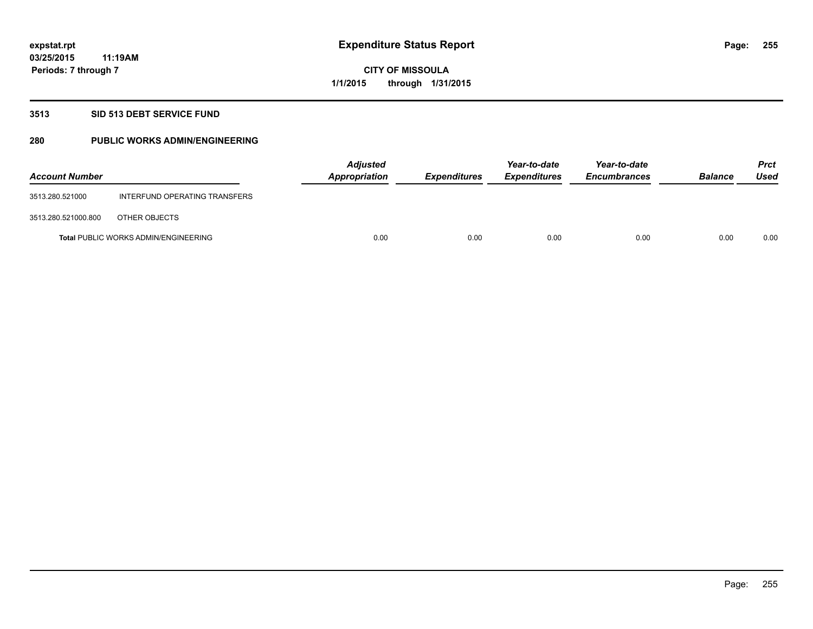#### **3513 SID 513 DEBT SERVICE FUND**

### **280 PUBLIC WORKS ADMIN/ENGINEERING**

| <b>Account Number</b> |                                             | <b>Adjusted</b><br>Appropriation | <b>Expenditures</b> | Year-to-date<br><b>Expenditures</b> | Year-to-date<br><b>Encumbrances</b> | <b>Balance</b> | <b>Prct</b><br>Used |
|-----------------------|---------------------------------------------|----------------------------------|---------------------|-------------------------------------|-------------------------------------|----------------|---------------------|
| 3513.280.521000       | INTERFUND OPERATING TRANSFERS               |                                  |                     |                                     |                                     |                |                     |
| 3513.280.521000.800   | OTHER OBJECTS                               |                                  |                     |                                     |                                     |                |                     |
|                       | <b>Total PUBLIC WORKS ADMIN/ENGINEERING</b> | 0.00                             | 0.00                | 0.00                                | 0.00                                | 0.00           | 0.00                |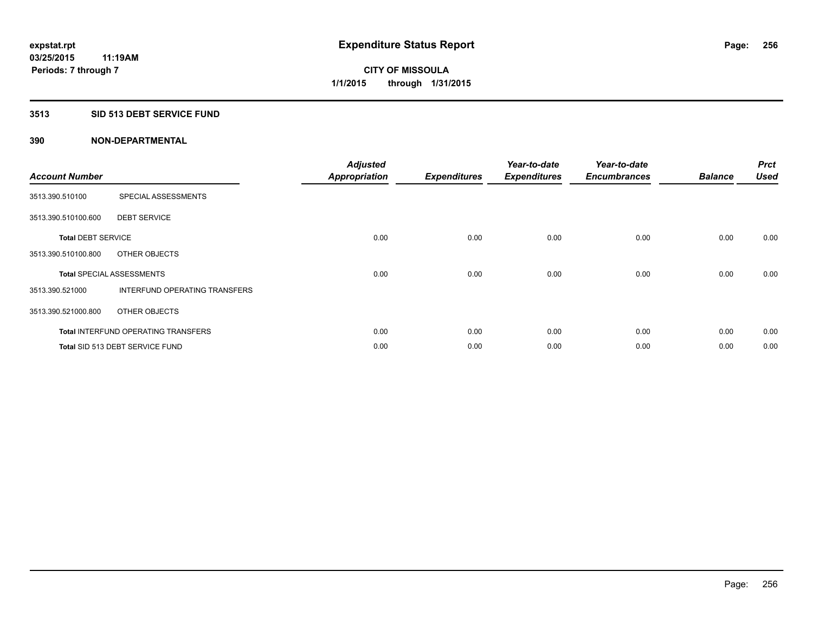### **3513 SID 513 DEBT SERVICE FUND**

| <b>Account Number</b>     |                                            | <b>Adjusted</b><br><b>Appropriation</b> | <b>Expenditures</b> | Year-to-date<br><b>Expenditures</b> | Year-to-date<br><b>Encumbrances</b> | <b>Balance</b> | <b>Prct</b><br><b>Used</b> |
|---------------------------|--------------------------------------------|-----------------------------------------|---------------------|-------------------------------------|-------------------------------------|----------------|----------------------------|
| 3513.390.510100           | SPECIAL ASSESSMENTS                        |                                         |                     |                                     |                                     |                |                            |
| 3513.390.510100.600       | <b>DEBT SERVICE</b>                        |                                         |                     |                                     |                                     |                |                            |
| <b>Total DEBT SERVICE</b> |                                            | 0.00                                    | 0.00                | 0.00                                | 0.00                                | 0.00           | 0.00                       |
| 3513.390.510100.800       | OTHER OBJECTS                              |                                         |                     |                                     |                                     |                |                            |
|                           | <b>Total SPECIAL ASSESSMENTS</b>           | 0.00                                    | 0.00                | 0.00                                | 0.00                                | 0.00           | 0.00                       |
| 3513.390.521000           | INTERFUND OPERATING TRANSFERS              |                                         |                     |                                     |                                     |                |                            |
| 3513.390.521000.800       | OTHER OBJECTS                              |                                         |                     |                                     |                                     |                |                            |
|                           | <b>Total INTERFUND OPERATING TRANSFERS</b> | 0.00                                    | 0.00                | 0.00                                | 0.00                                | 0.00           | 0.00                       |
|                           | <b>Total SID 513 DEBT SERVICE FUND</b>     | 0.00                                    | 0.00                | 0.00                                | 0.00                                | 0.00           | 0.00                       |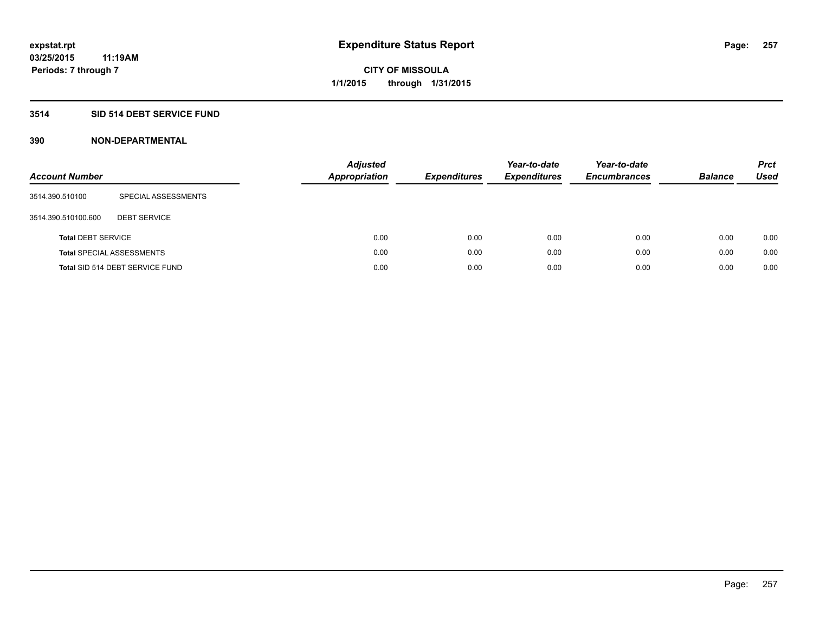### **3514 SID 514 DEBT SERVICE FUND**

| <b>Account Number</b>     |                                  | Adjusted<br><b>Appropriation</b> | <b>Expenditures</b> | Year-to-date<br><b>Expenditures</b> | Year-to-date<br><b>Encumbrances</b> | <b>Balance</b> | <b>Prct</b><br>Used |
|---------------------------|----------------------------------|----------------------------------|---------------------|-------------------------------------|-------------------------------------|----------------|---------------------|
| 3514.390.510100           | SPECIAL ASSESSMENTS              |                                  |                     |                                     |                                     |                |                     |
| 3514.390.510100.600       | <b>DEBT SERVICE</b>              |                                  |                     |                                     |                                     |                |                     |
| <b>Total DEBT SERVICE</b> |                                  | 0.00                             | 0.00                | 0.00                                | 0.00                                | 0.00           | 0.00                |
|                           | <b>Total SPECIAL ASSESSMENTS</b> | 0.00                             | 0.00                | 0.00                                | 0.00                                | 0.00           | 0.00                |
|                           | Total SID 514 DEBT SERVICE FUND  | 0.00                             | 0.00                | 0.00                                | 0.00                                | 0.00           | 0.00                |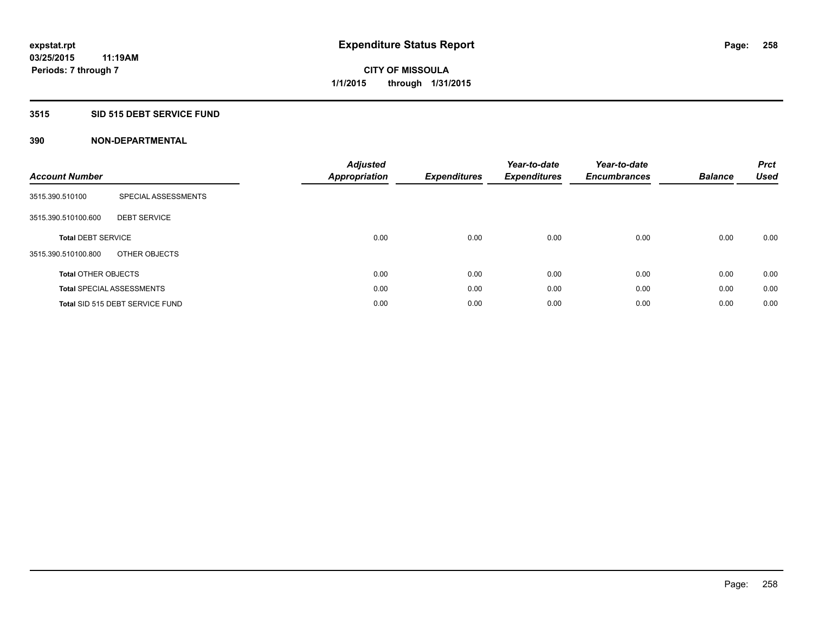### **3515 SID 515 DEBT SERVICE FUND**

| <b>Account Number</b>      |                                        | <b>Adjusted</b><br><b>Appropriation</b> | <b>Expenditures</b> | Year-to-date<br><b>Expenditures</b> | Year-to-date<br><b>Encumbrances</b> | <b>Balance</b> | <b>Prct</b><br><b>Used</b> |
|----------------------------|----------------------------------------|-----------------------------------------|---------------------|-------------------------------------|-------------------------------------|----------------|----------------------------|
| 3515.390.510100            | SPECIAL ASSESSMENTS                    |                                         |                     |                                     |                                     |                |                            |
| 3515.390.510100.600        | <b>DEBT SERVICE</b>                    |                                         |                     |                                     |                                     |                |                            |
| <b>Total DEBT SERVICE</b>  |                                        | 0.00                                    | 0.00                | 0.00                                | 0.00                                | 0.00           | 0.00                       |
| 3515.390.510100.800        | OTHER OBJECTS                          |                                         |                     |                                     |                                     |                |                            |
| <b>Total OTHER OBJECTS</b> |                                        | 0.00                                    | 0.00                | 0.00                                | 0.00                                | 0.00           | 0.00                       |
|                            | <b>Total SPECIAL ASSESSMENTS</b>       | 0.00                                    | 0.00                | 0.00                                | 0.00                                | 0.00           | 0.00                       |
|                            | <b>Total SID 515 DEBT SERVICE FUND</b> | 0.00                                    | 0.00                | 0.00                                | 0.00                                | 0.00           | 0.00                       |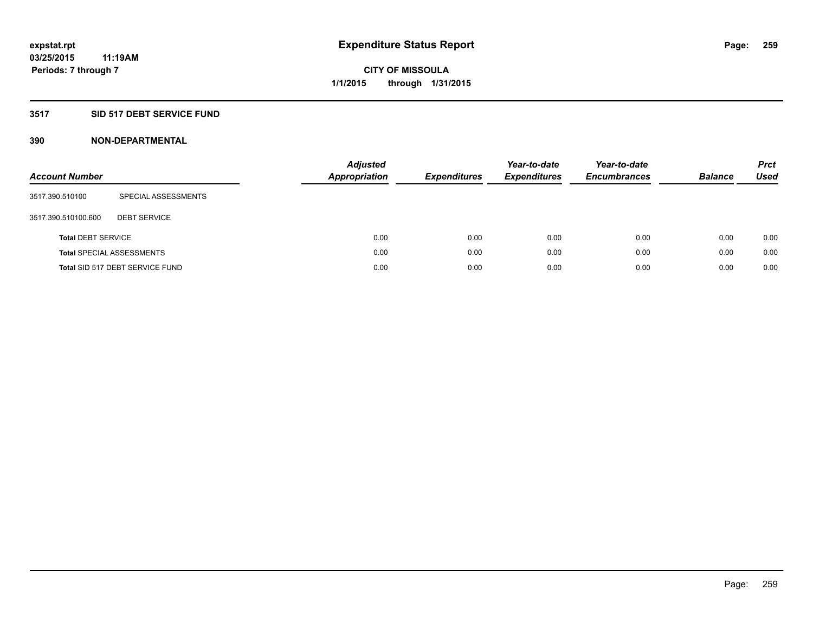### **3517 SID 517 DEBT SERVICE FUND**

| <b>Account Number</b>     |                                  | <b>Adjusted</b><br><b>Appropriation</b> | <b>Expenditures</b> | Year-to-date<br><b>Expenditures</b> | Year-to-date<br><b>Encumbrances</b> | <b>Balance</b> | <b>Prct</b><br>Used |
|---------------------------|----------------------------------|-----------------------------------------|---------------------|-------------------------------------|-------------------------------------|----------------|---------------------|
| 3517.390.510100           | SPECIAL ASSESSMENTS              |                                         |                     |                                     |                                     |                |                     |
| 3517.390.510100.600       | <b>DEBT SERVICE</b>              |                                         |                     |                                     |                                     |                |                     |
| <b>Total DEBT SERVICE</b> |                                  | 0.00                                    | 0.00                | 0.00                                | 0.00                                | 0.00           | 0.00                |
|                           | <b>Total SPECIAL ASSESSMENTS</b> | 0.00                                    | 0.00                | 0.00                                | 0.00                                | 0.00           | 0.00                |
|                           | Total SID 517 DEBT SERVICE FUND  | 0.00                                    | 0.00                | 0.00                                | 0.00                                | 0.00           | 0.00                |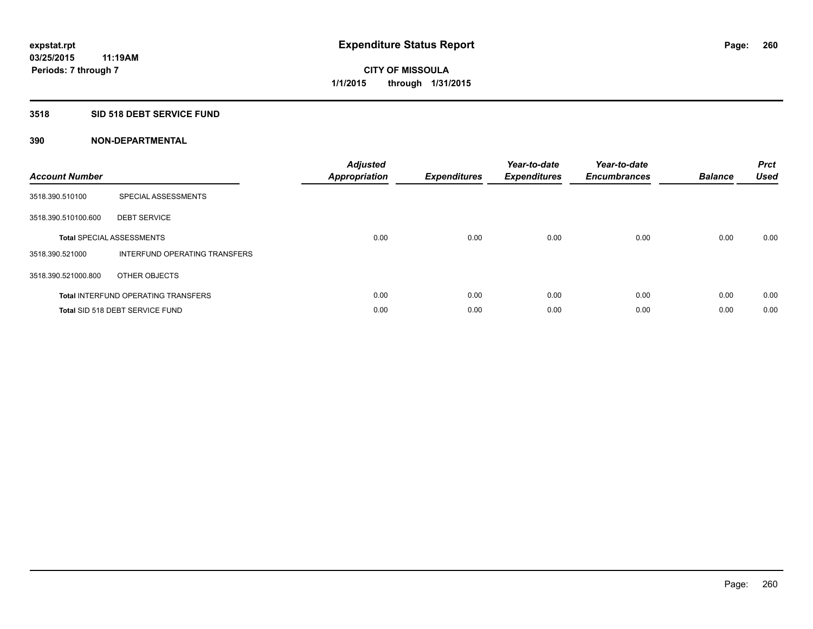#### **3518 SID 518 DEBT SERVICE FUND**

| <b>Account Number</b> |                                            | <b>Adjusted</b><br><b>Appropriation</b> | <b>Expenditures</b> | Year-to-date<br><b>Expenditures</b> | Year-to-date<br><b>Encumbrances</b> | <b>Balance</b> | <b>Prct</b><br><b>Used</b> |
|-----------------------|--------------------------------------------|-----------------------------------------|---------------------|-------------------------------------|-------------------------------------|----------------|----------------------------|
| 3518.390.510100       | SPECIAL ASSESSMENTS                        |                                         |                     |                                     |                                     |                |                            |
| 3518.390.510100.600   | <b>DEBT SERVICE</b>                        |                                         |                     |                                     |                                     |                |                            |
|                       | <b>Total SPECIAL ASSESSMENTS</b>           | 0.00                                    | 0.00                | 0.00                                | 0.00                                | 0.00           | 0.00                       |
| 3518.390.521000       | INTERFUND OPERATING TRANSFERS              |                                         |                     |                                     |                                     |                |                            |
| 3518.390.521000.800   | OTHER OBJECTS                              |                                         |                     |                                     |                                     |                |                            |
|                       | <b>Total INTERFUND OPERATING TRANSFERS</b> | 0.00                                    | 0.00                | 0.00                                | 0.00                                | 0.00           | 0.00                       |
|                       | Total SID 518 DEBT SERVICE FUND            | 0.00                                    | 0.00                | 0.00                                | 0.00                                | 0.00           | 0.00                       |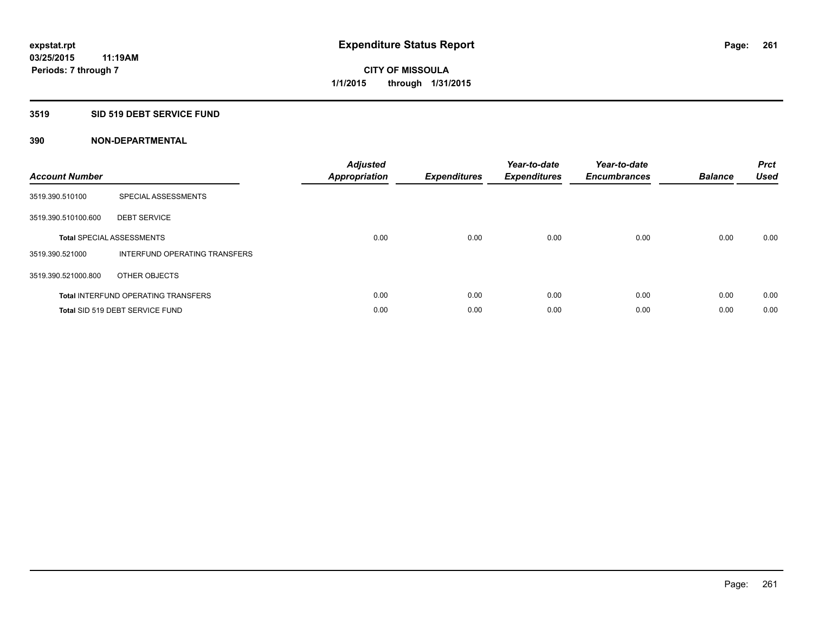#### **3519 SID 519 DEBT SERVICE FUND**

| <b>Account Number</b> |                                            | <b>Adjusted</b><br>Appropriation | <b>Expenditures</b> | Year-to-date<br><b>Expenditures</b> | Year-to-date<br><b>Encumbrances</b> | <b>Balance</b> | <b>Prct</b><br><b>Used</b> |
|-----------------------|--------------------------------------------|----------------------------------|---------------------|-------------------------------------|-------------------------------------|----------------|----------------------------|
| 3519.390.510100       | SPECIAL ASSESSMENTS                        |                                  |                     |                                     |                                     |                |                            |
| 3519.390.510100.600   | <b>DEBT SERVICE</b>                        |                                  |                     |                                     |                                     |                |                            |
|                       | <b>Total SPECIAL ASSESSMENTS</b>           | 0.00                             | 0.00                | 0.00                                | 0.00                                | 0.00           | 0.00                       |
| 3519.390.521000       | INTERFUND OPERATING TRANSFERS              |                                  |                     |                                     |                                     |                |                            |
| 3519.390.521000.800   | OTHER OBJECTS                              |                                  |                     |                                     |                                     |                |                            |
|                       | <b>Total INTERFUND OPERATING TRANSFERS</b> | 0.00                             | 0.00                | 0.00                                | 0.00                                | 0.00           | 0.00                       |
|                       | Total SID 519 DEBT SERVICE FUND            | 0.00                             | 0.00                | 0.00                                | 0.00                                | 0.00           | 0.00                       |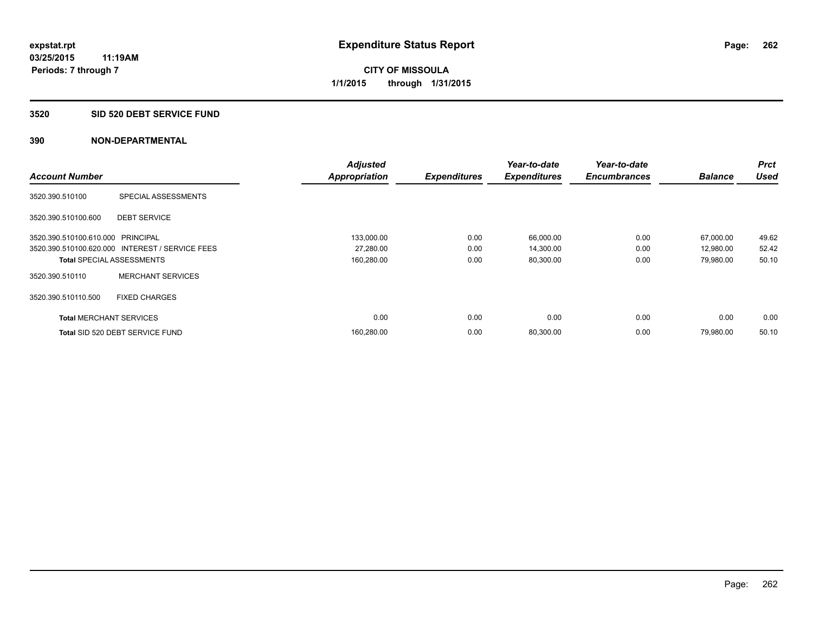#### **3520 SID 520 DEBT SERVICE FUND**

|                                   |                                                 | <b>Adjusted</b>      |                     | Year-to-date        | Year-to-date        |                | <b>Prct</b> |
|-----------------------------------|-------------------------------------------------|----------------------|---------------------|---------------------|---------------------|----------------|-------------|
| <b>Account Number</b>             |                                                 | <b>Appropriation</b> | <b>Expenditures</b> | <b>Expenditures</b> | <b>Encumbrances</b> | <b>Balance</b> | <b>Used</b> |
| 3520.390.510100                   | SPECIAL ASSESSMENTS                             |                      |                     |                     |                     |                |             |
| 3520.390.510100.600               | <b>DEBT SERVICE</b>                             |                      |                     |                     |                     |                |             |
| 3520.390.510100.610.000 PRINCIPAL |                                                 | 133,000.00           | 0.00                | 66,000.00           | 0.00                | 67,000.00      | 49.62       |
|                                   | 3520.390.510100.620.000 INTEREST / SERVICE FEES | 27,280.00            | 0.00                | 14,300.00           | 0.00                | 12,980.00      | 52.42       |
| <b>Total SPECIAL ASSESSMENTS</b>  |                                                 | 160,280.00           | 0.00                | 80,300.00           | 0.00                | 79,980.00      | 50.10       |
| 3520.390.510110                   | <b>MERCHANT SERVICES</b>                        |                      |                     |                     |                     |                |             |
| 3520.390.510110.500               | <b>FIXED CHARGES</b>                            |                      |                     |                     |                     |                |             |
| <b>Total MERCHANT SERVICES</b>    |                                                 | 0.00                 | 0.00                | 0.00                | 0.00                | 0.00           | 0.00        |
|                                   | Total SID 520 DEBT SERVICE FUND                 | 160,280.00           | 0.00                | 80,300.00           | 0.00                | 79.980.00      | 50.10       |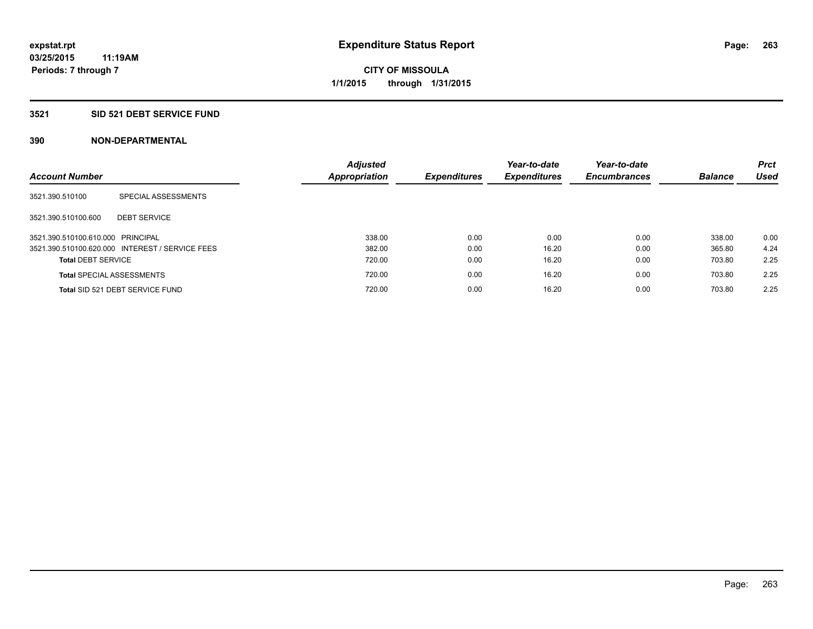### **3521 SID 521 DEBT SERVICE FUND**

| <b>Account Number</b>             |                                                 | <b>Adjusted</b><br>Appropriation | <b>Expenditures</b> | Year-to-date<br><b>Expenditures</b> | Year-to-date<br><b>Encumbrances</b> | <b>Balance</b> | <b>Prct</b><br><b>Used</b> |
|-----------------------------------|-------------------------------------------------|----------------------------------|---------------------|-------------------------------------|-------------------------------------|----------------|----------------------------|
|                                   |                                                 |                                  |                     |                                     |                                     |                |                            |
| 3521.390.510100                   | SPECIAL ASSESSMENTS                             |                                  |                     |                                     |                                     |                |                            |
| 3521.390.510100.600               | <b>DEBT SERVICE</b>                             |                                  |                     |                                     |                                     |                |                            |
| 3521.390.510100.610.000 PRINCIPAL |                                                 | 338.00                           | 0.00                | 0.00                                | 0.00                                | 338.00         | 0.00                       |
|                                   | 3521.390.510100.620.000 INTEREST / SERVICE FEES | 382.00                           | 0.00                | 16.20                               | 0.00                                | 365.80         | 4.24                       |
| <b>Total DEBT SERVICE</b>         |                                                 | 720.00                           | 0.00                | 16.20                               | 0.00                                | 703.80         | 2.25                       |
|                                   | <b>Total SPECIAL ASSESSMENTS</b>                | 720.00                           | 0.00                | 16.20                               | 0.00                                | 703.80         | 2.25                       |
|                                   | Total SID 521 DEBT SERVICE FUND                 | 720.00                           | 0.00                | 16.20                               | 0.00                                | 703.80         | 2.25                       |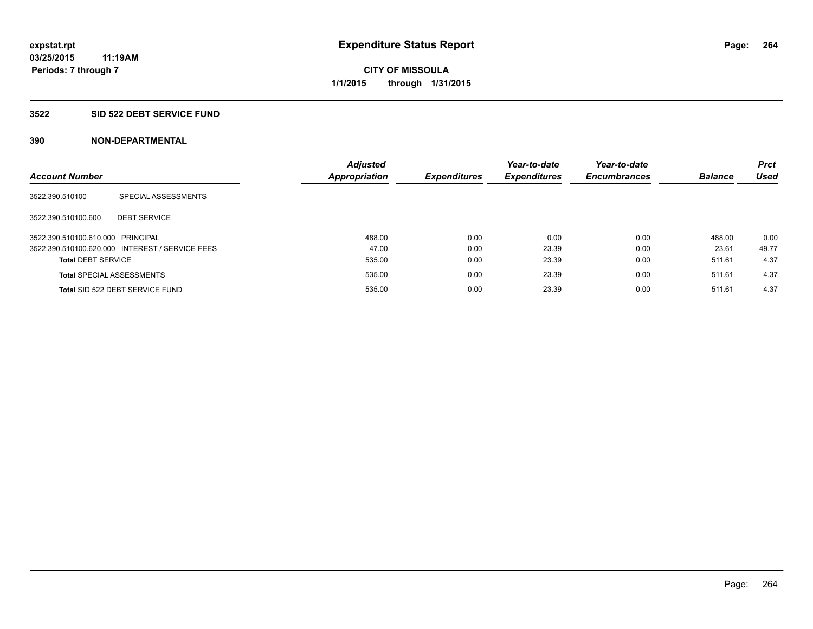#### **3522 SID 522 DEBT SERVICE FUND**

| <b>Account Number</b>             |                                                 | <b>Adjusted</b><br><b>Appropriation</b> | <b>Expenditures</b> | Year-to-date<br><b>Expenditures</b> | Year-to-date<br><b>Encumbrances</b> | <b>Balance</b> | <b>Prct</b><br><b>Used</b> |
|-----------------------------------|-------------------------------------------------|-----------------------------------------|---------------------|-------------------------------------|-------------------------------------|----------------|----------------------------|
| 3522.390.510100                   | SPECIAL ASSESSMENTS                             |                                         |                     |                                     |                                     |                |                            |
| 3522.390.510100.600               | <b>DEBT SERVICE</b>                             |                                         |                     |                                     |                                     |                |                            |
| 3522.390.510100.610.000 PRINCIPAL |                                                 | 488.00                                  | 0.00                | 0.00                                | 0.00                                | 488.00         | 0.00                       |
|                                   | 3522.390.510100.620.000 INTEREST / SERVICE FEES | 47.00                                   | 0.00                | 23.39                               | 0.00                                | 23.61          | 49.77                      |
| <b>Total DEBT SERVICE</b>         |                                                 | 535.00                                  | 0.00                | 23.39                               | 0.00                                | 511.61         | 4.37                       |
|                                   | <b>Total SPECIAL ASSESSMENTS</b>                | 535.00                                  | 0.00                | 23.39                               | 0.00                                | 511.61         | 4.37                       |
|                                   | Total SID 522 DEBT SERVICE FUND                 | 535.00                                  | 0.00                | 23.39                               | 0.00                                | 511.61         | 4.37                       |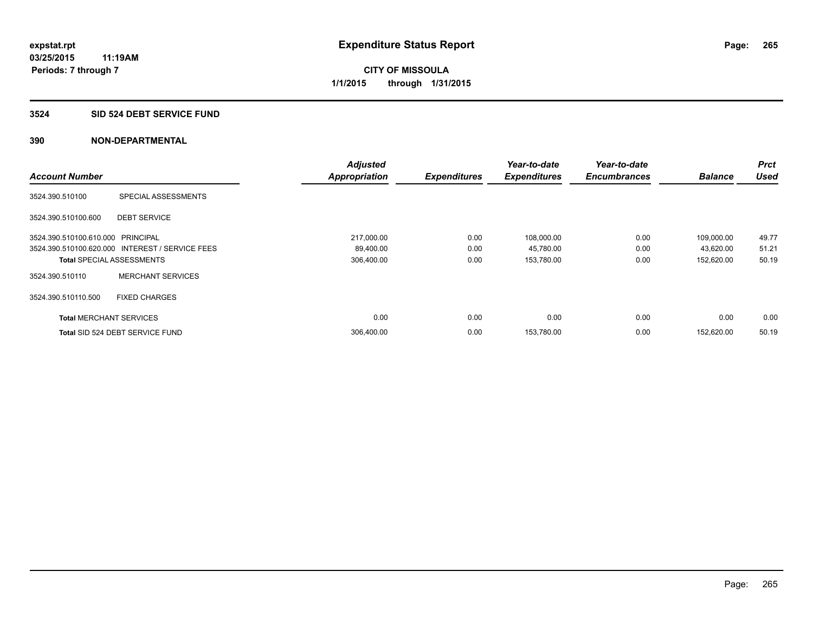#### **3524 SID 524 DEBT SERVICE FUND**

|                                   |                                                 | <b>Adjusted</b>      |                     | Year-to-date        | Year-to-date        |                | <b>Prct</b> |
|-----------------------------------|-------------------------------------------------|----------------------|---------------------|---------------------|---------------------|----------------|-------------|
| <b>Account Number</b>             |                                                 | <b>Appropriation</b> | <b>Expenditures</b> | <b>Expenditures</b> | <b>Encumbrances</b> | <b>Balance</b> | <b>Used</b> |
| 3524.390.510100                   | SPECIAL ASSESSMENTS                             |                      |                     |                     |                     |                |             |
| 3524.390.510100.600               | <b>DEBT SERVICE</b>                             |                      |                     |                     |                     |                |             |
| 3524.390.510100.610.000 PRINCIPAL |                                                 | 217,000.00           | 0.00                | 108,000.00          | 0.00                | 109,000.00     | 49.77       |
|                                   | 3524.390.510100.620.000 INTEREST / SERVICE FEES | 89,400.00            | 0.00                | 45,780.00           | 0.00                | 43,620.00      | 51.21       |
| <b>Total SPECIAL ASSESSMENTS</b>  |                                                 | 306,400.00           | 0.00                | 153,780.00          | 0.00                | 152,620.00     | 50.19       |
| 3524.390.510110                   | <b>MERCHANT SERVICES</b>                        |                      |                     |                     |                     |                |             |
| 3524.390.510110.500               | <b>FIXED CHARGES</b>                            |                      |                     |                     |                     |                |             |
| <b>Total MERCHANT SERVICES</b>    |                                                 | 0.00                 | 0.00                | 0.00                | 0.00                | 0.00           | 0.00        |
|                                   | Total SID 524 DEBT SERVICE FUND                 | 306,400.00           | 0.00                | 153,780.00          | 0.00                | 152.620.00     | 50.19       |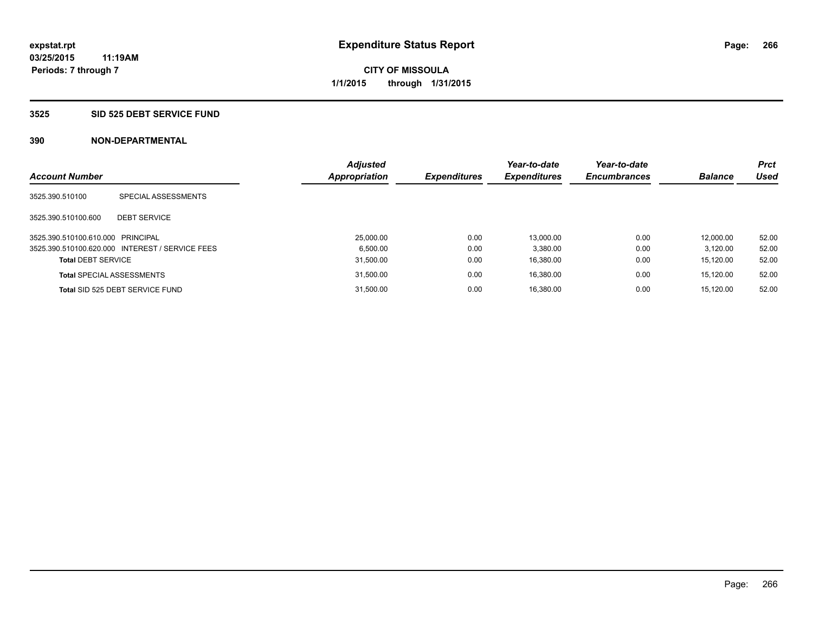#### **3525 SID 525 DEBT SERVICE FUND**

| <b>Account Number</b>             |                                                 | <b>Adjusted</b><br><b>Appropriation</b> | <b>Expenditures</b> | Year-to-date<br><b>Expenditures</b> | Year-to-date<br><b>Encumbrances</b> | <b>Balance</b> | <b>Prct</b><br>Used |
|-----------------------------------|-------------------------------------------------|-----------------------------------------|---------------------|-------------------------------------|-------------------------------------|----------------|---------------------|
| 3525.390.510100                   | SPECIAL ASSESSMENTS                             |                                         |                     |                                     |                                     |                |                     |
| 3525.390.510100.600               | <b>DEBT SERVICE</b>                             |                                         |                     |                                     |                                     |                |                     |
| 3525.390.510100.610.000 PRINCIPAL |                                                 | 25.000.00                               | 0.00                | 13.000.00                           | 0.00                                | 12.000.00      | 52.00               |
|                                   | 3525.390.510100.620.000 INTEREST / SERVICE FEES | 6.500.00                                | 0.00                | 3.380.00                            | 0.00                                | 3.120.00       | 52.00               |
| <b>Total DEBT SERVICE</b>         |                                                 | 31,500.00                               | 0.00                | 16.380.00                           | 0.00                                | 15.120.00      | 52.00               |
|                                   | <b>Total SPECIAL ASSESSMENTS</b>                | 31,500.00                               | 0.00                | 16.380.00                           | 0.00                                | 15.120.00      | 52.00               |
|                                   | Total SID 525 DEBT SERVICE FUND                 | 31.500.00                               | 0.00                | 16.380.00                           | 0.00                                | 15.120.00      | 52.00               |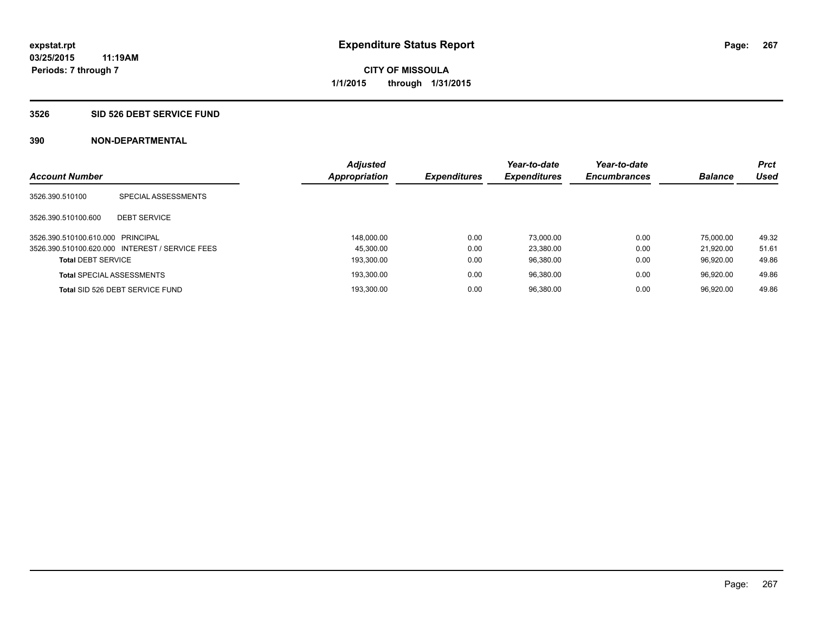#### **3526 SID 526 DEBT SERVICE FUND**

| <b>Account Number</b>             |                                                 | <b>Adjusted</b><br><b>Appropriation</b> | <b>Expenditures</b> | Year-to-date<br><b>Expenditures</b> | Year-to-date<br><b>Encumbrances</b> | <b>Balance</b> | <b>Prct</b><br>Used |
|-----------------------------------|-------------------------------------------------|-----------------------------------------|---------------------|-------------------------------------|-------------------------------------|----------------|---------------------|
| 3526.390.510100                   | SPECIAL ASSESSMENTS                             |                                         |                     |                                     |                                     |                |                     |
| 3526.390.510100.600               | <b>DEBT SERVICE</b>                             |                                         |                     |                                     |                                     |                |                     |
| 3526.390.510100.610.000 PRINCIPAL |                                                 | 148.000.00                              | 0.00                | 73.000.00                           | 0.00                                | 75.000.00      | 49.32               |
|                                   | 3526.390.510100.620.000 INTEREST / SERVICE FEES | 45.300.00                               | 0.00                | 23.380.00                           | 0.00                                | 21.920.00      | 51.61               |
| <b>Total DEBT SERVICE</b>         |                                                 | 193.300.00                              | 0.00                | 96.380.00                           | 0.00                                | 96.920.00      | 49.86               |
|                                   | <b>Total SPECIAL ASSESSMENTS</b>                | 193.300.00                              | 0.00                | 96.380.00                           | 0.00                                | 96.920.00      | 49.86               |
|                                   | Total SID 526 DEBT SERVICE FUND                 | 193.300.00                              | 0.00                | 96.380.00                           | 0.00                                | 96.920.00      | 49.86               |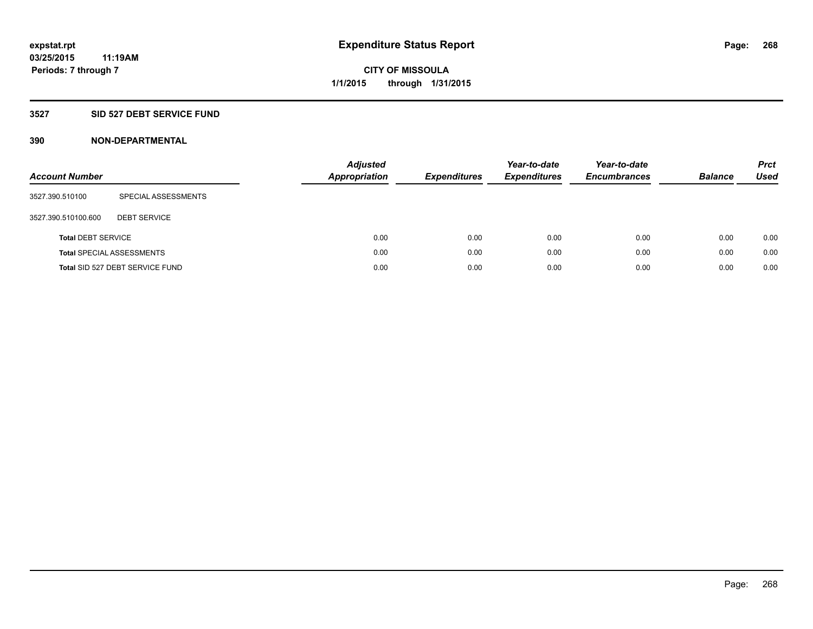### **3527 SID 527 DEBT SERVICE FUND**

| <b>Account Number</b>     |                                  | <b>Adjusted</b><br><b>Appropriation</b> | <b>Expenditures</b> | Year-to-date<br><b>Expenditures</b> | Year-to-date<br><b>Encumbrances</b> | <b>Balance</b> | <b>Prct</b><br>Used |
|---------------------------|----------------------------------|-----------------------------------------|---------------------|-------------------------------------|-------------------------------------|----------------|---------------------|
| 3527.390.510100           | SPECIAL ASSESSMENTS              |                                         |                     |                                     |                                     |                |                     |
| 3527.390.510100.600       | <b>DEBT SERVICE</b>              |                                         |                     |                                     |                                     |                |                     |
| <b>Total DEBT SERVICE</b> |                                  | 0.00                                    | 0.00                | 0.00                                | 0.00                                | 0.00           | 0.00                |
|                           | <b>Total SPECIAL ASSESSMENTS</b> | 0.00                                    | 0.00                | 0.00                                | 0.00                                | 0.00           | 0.00                |
|                           | Total SID 527 DEBT SERVICE FUND  | 0.00                                    | 0.00                | 0.00                                | 0.00                                | 0.00           | 0.00                |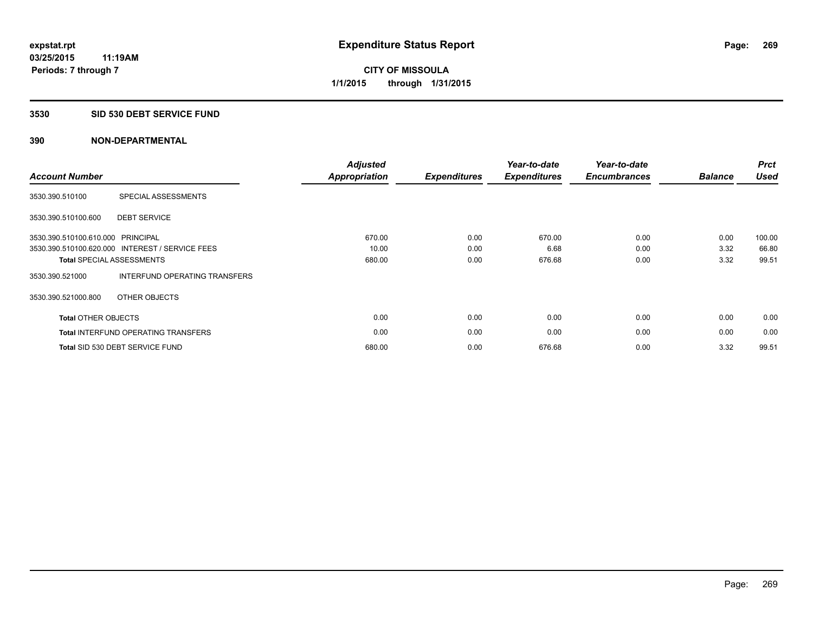#### **3530 SID 530 DEBT SERVICE FUND**

| <b>Account Number</b>             |                                                 | <b>Adjusted</b><br>Appropriation | <b>Expenditures</b> | Year-to-date<br><b>Expenditures</b> | Year-to-date<br><b>Encumbrances</b> | <b>Balance</b> | <b>Prct</b><br><b>Used</b> |
|-----------------------------------|-------------------------------------------------|----------------------------------|---------------------|-------------------------------------|-------------------------------------|----------------|----------------------------|
| 3530.390.510100                   | SPECIAL ASSESSMENTS                             |                                  |                     |                                     |                                     |                |                            |
| 3530.390.510100.600               | <b>DEBT SERVICE</b>                             |                                  |                     |                                     |                                     |                |                            |
| 3530.390.510100.610.000 PRINCIPAL |                                                 | 670.00                           | 0.00                | 670.00                              | 0.00                                | 0.00           | 100.00                     |
|                                   | 3530.390.510100.620.000 INTEREST / SERVICE FEES | 10.00                            | 0.00                | 6.68                                | 0.00                                | 3.32           | 66.80                      |
|                                   | <b>Total SPECIAL ASSESSMENTS</b>                | 680.00                           | 0.00                | 676.68                              | 0.00                                | 3.32           | 99.51                      |
| 3530.390.521000                   | INTERFUND OPERATING TRANSFERS                   |                                  |                     |                                     |                                     |                |                            |
| 3530.390.521000.800               | OTHER OBJECTS                                   |                                  |                     |                                     |                                     |                |                            |
| <b>Total OTHER OBJECTS</b>        |                                                 | 0.00                             | 0.00                | 0.00                                | 0.00                                | 0.00           | 0.00                       |
|                                   | <b>Total INTERFUND OPERATING TRANSFERS</b>      | 0.00                             | 0.00                | 0.00                                | 0.00                                | 0.00           | 0.00                       |
|                                   | Total SID 530 DEBT SERVICE FUND                 | 680.00                           | 0.00                | 676.68                              | 0.00                                | 3.32           | 99.51                      |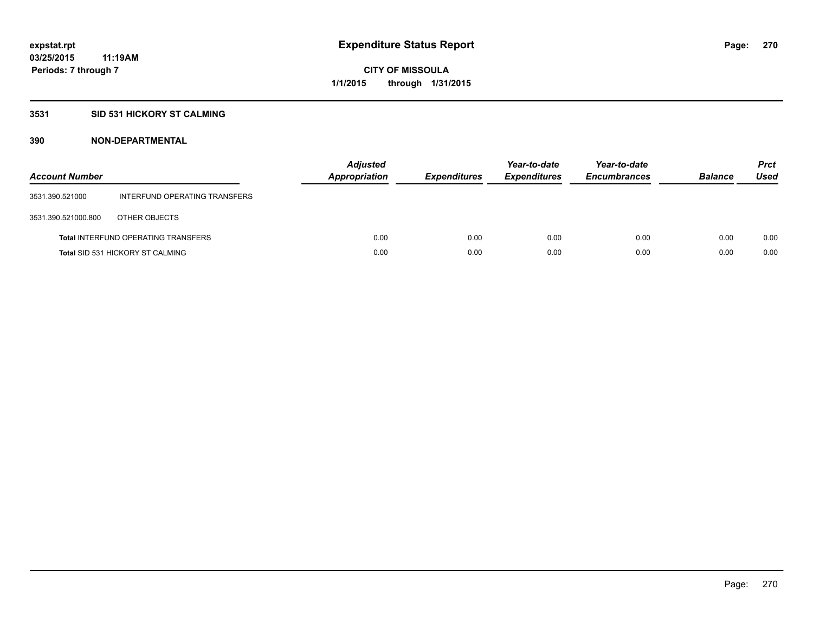#### **3531 SID 531 HICKORY ST CALMING**

| <b>Account Number</b> |                                            | <b>Adjusted</b><br>Appropriation | <b>Expenditures</b> | Year-to-date<br><b>Expenditures</b> | Year-to-date<br><b>Encumbrances</b> | <b>Balance</b> | <b>Prct</b><br>Used |
|-----------------------|--------------------------------------------|----------------------------------|---------------------|-------------------------------------|-------------------------------------|----------------|---------------------|
| 3531.390.521000       | INTERFUND OPERATING TRANSFERS              |                                  |                     |                                     |                                     |                |                     |
| 3531.390.521000.800   | OTHER OBJECTS                              |                                  |                     |                                     |                                     |                |                     |
|                       | <b>Total INTERFUND OPERATING TRANSFERS</b> | 0.00                             | 0.00                | 0.00                                | 0.00                                | 0.00           | 0.00                |
|                       | <b>Total SID 531 HICKORY ST CALMING</b>    | 0.00                             | 0.00                | 0.00                                | 0.00                                | 0.00           | 0.00                |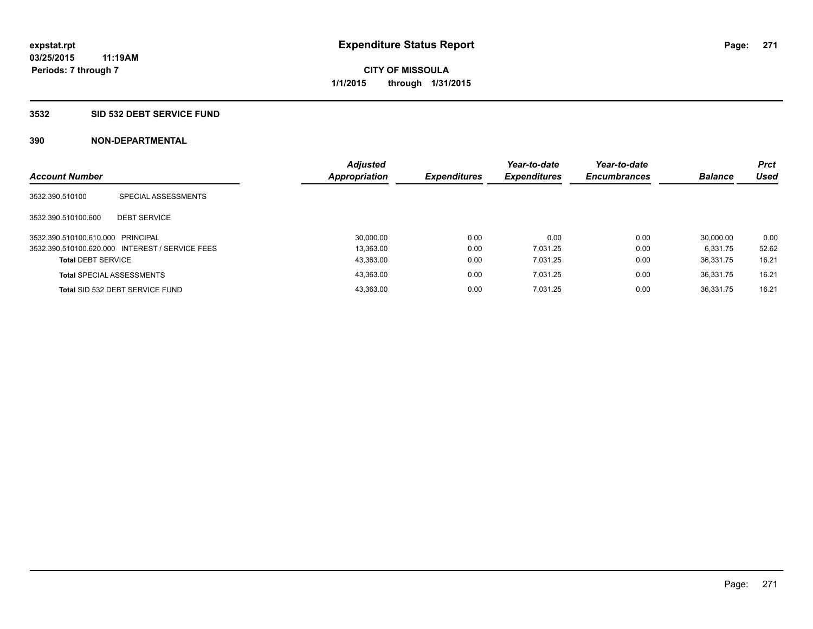#### **3532 SID 532 DEBT SERVICE FUND**

| <b>Account Number</b>             |                                                 | <b>Adjusted</b><br><b>Appropriation</b> | <b>Expenditures</b> | Year-to-date<br><b>Expenditures</b> | Year-to-date<br><b>Encumbrances</b> | <b>Balance</b> | <b>Prct</b><br>Used |
|-----------------------------------|-------------------------------------------------|-----------------------------------------|---------------------|-------------------------------------|-------------------------------------|----------------|---------------------|
| 3532.390.510100                   | SPECIAL ASSESSMENTS                             |                                         |                     |                                     |                                     |                |                     |
| 3532.390.510100.600               | <b>DEBT SERVICE</b>                             |                                         |                     |                                     |                                     |                |                     |
| 3532.390.510100.610.000 PRINCIPAL |                                                 | 30.000.00                               | 0.00                | 0.00                                | 0.00                                | 30.000.00      | 0.00                |
|                                   | 3532.390.510100.620.000 INTEREST / SERVICE FEES | 13.363.00                               | 0.00                | 7.031.25                            | 0.00                                | 6.331.75       | 52.62               |
| <b>Total DEBT SERVICE</b>         |                                                 | 43,363.00                               | 0.00                | 7.031.25                            | 0.00                                | 36.331.75      | 16.21               |
|                                   | <b>Total SPECIAL ASSESSMENTS</b>                | 43,363.00                               | 0.00                | 7.031.25                            | 0.00                                | 36.331.75      | 16.21               |
|                                   | Total SID 532 DEBT SERVICE FUND                 | 43.363.00                               | 0.00                | 7.031.25                            | 0.00                                | 36.331.75      | 16.21               |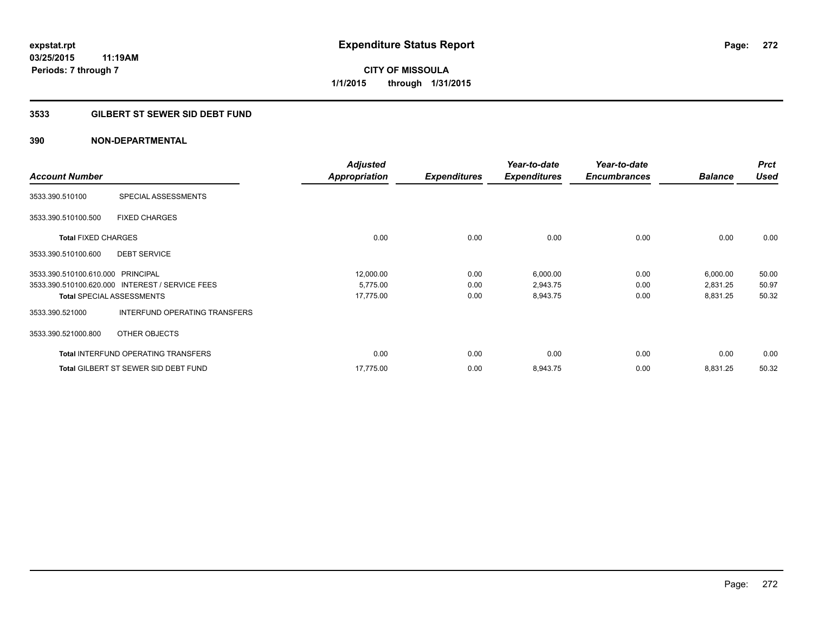### **3533 GILBERT ST SEWER SID DEBT FUND**

|                                   |                                                 | <b>Adjusted</b>      |                     | Year-to-date        | Year-to-date        |                | <b>Prct</b> |
|-----------------------------------|-------------------------------------------------|----------------------|---------------------|---------------------|---------------------|----------------|-------------|
| <b>Account Number</b>             |                                                 | <b>Appropriation</b> | <b>Expenditures</b> | <b>Expenditures</b> | <b>Encumbrances</b> | <b>Balance</b> | <b>Used</b> |
| 3533.390.510100                   | SPECIAL ASSESSMENTS                             |                      |                     |                     |                     |                |             |
| 3533.390.510100.500               | <b>FIXED CHARGES</b>                            |                      |                     |                     |                     |                |             |
| <b>Total FIXED CHARGES</b>        |                                                 | 0.00                 | 0.00                | 0.00                | 0.00                | 0.00           | 0.00        |
| 3533.390.510100.600               | <b>DEBT SERVICE</b>                             |                      |                     |                     |                     |                |             |
| 3533.390.510100.610.000 PRINCIPAL |                                                 | 12,000.00            | 0.00                | 6,000.00            | 0.00                | 6,000.00       | 50.00       |
|                                   | 3533.390.510100.620.000 INTEREST / SERVICE FEES | 5,775.00             | 0.00                | 2,943.75            | 0.00                | 2,831.25       | 50.97       |
|                                   | <b>Total SPECIAL ASSESSMENTS</b>                | 17,775.00            | 0.00                | 8,943.75            | 0.00                | 8,831.25       | 50.32       |
| 3533.390.521000                   | INTERFUND OPERATING TRANSFERS                   |                      |                     |                     |                     |                |             |
| 3533.390.521000.800               | OTHER OBJECTS                                   |                      |                     |                     |                     |                |             |
|                                   | <b>Total INTERFUND OPERATING TRANSFERS</b>      | 0.00                 | 0.00                | 0.00                | 0.00                | 0.00           | 0.00        |
|                                   | <b>Total GILBERT ST SEWER SID DEBT FUND</b>     | 17.775.00            | 0.00                | 8,943.75            | 0.00                | 8,831.25       | 50.32       |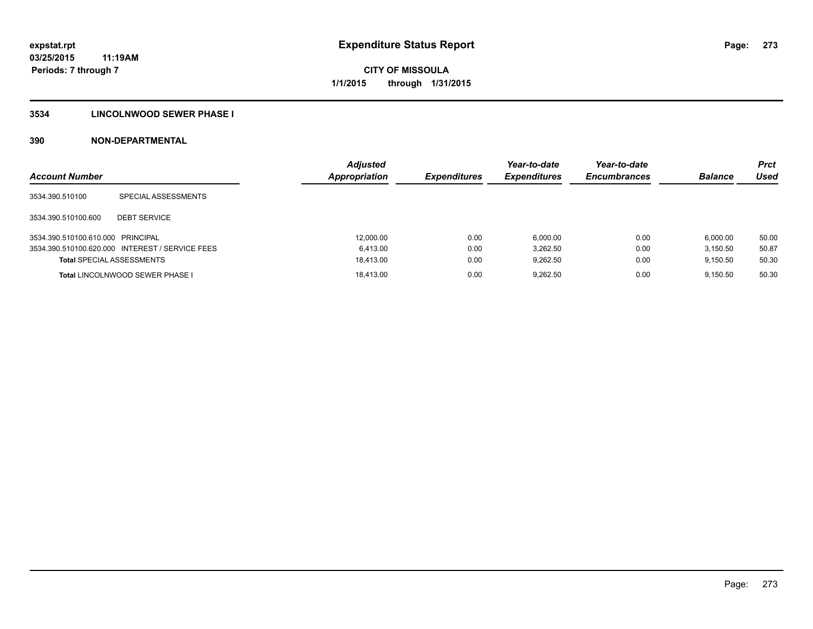### **3534 LINCOLNWOOD SEWER PHASE I**

| <b>Account Number</b>             |                                                 | <b>Adjusted</b><br><b>Appropriation</b> | <b>Expenditures</b> | Year-to-date<br><b>Expenditures</b> | Year-to-date<br><b>Encumbrances</b> | <b>Balance</b> | <b>Prct</b><br>Used |
|-----------------------------------|-------------------------------------------------|-----------------------------------------|---------------------|-------------------------------------|-------------------------------------|----------------|---------------------|
| 3534.390.510100                   | SPECIAL ASSESSMENTS                             |                                         |                     |                                     |                                     |                |                     |
| 3534.390.510100.600               | <b>DEBT SERVICE</b>                             |                                         |                     |                                     |                                     |                |                     |
| 3534.390.510100.610.000 PRINCIPAL |                                                 | 12,000.00                               | 0.00                | 6.000.00                            | 0.00                                | 6.000.00       | 50.00               |
|                                   | 3534.390.510100.620.000 INTEREST / SERVICE FEES | 6.413.00                                | 0.00                | 3.262.50                            | 0.00                                | 3.150.50       | 50.87               |
| <b>Total SPECIAL ASSESSMENTS</b>  |                                                 | 18,413.00                               | 0.00                | 9.262.50                            | 0.00                                | 9.150.50       | 50.30               |
|                                   | <b>Total LINCOLNWOOD SEWER PHASE I</b>          | 18.413.00                               | 0.00                | 9.262.50                            | 0.00                                | 9.150.50       | 50.30               |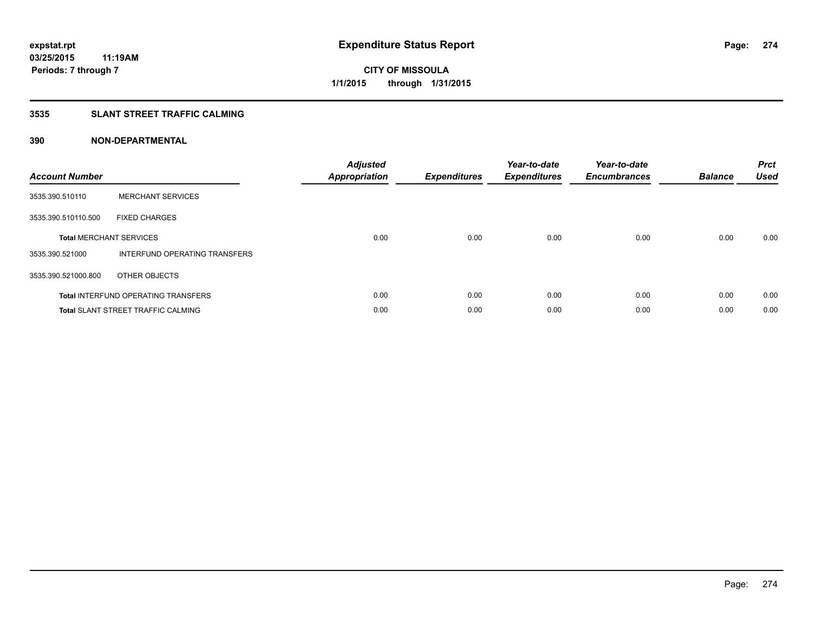### **3535 SLANT STREET TRAFFIC CALMING**

| <b>Account Number</b> |                                            | <b>Adjusted</b><br><b>Appropriation</b> | <b>Expenditures</b> | Year-to-date<br><b>Expenditures</b> | Year-to-date<br><b>Encumbrances</b> | <b>Balance</b> | <b>Prct</b><br>Used |
|-----------------------|--------------------------------------------|-----------------------------------------|---------------------|-------------------------------------|-------------------------------------|----------------|---------------------|
| 3535.390.510110       | <b>MERCHANT SERVICES</b>                   |                                         |                     |                                     |                                     |                |                     |
| 3535.390.510110.500   | <b>FIXED CHARGES</b>                       |                                         |                     |                                     |                                     |                |                     |
|                       | <b>Total MERCHANT SERVICES</b>             | 0.00                                    | 0.00                | 0.00                                | 0.00                                | 0.00           | 0.00                |
| 3535.390.521000       | INTERFUND OPERATING TRANSFERS              |                                         |                     |                                     |                                     |                |                     |
| 3535.390.521000.800   | OTHER OBJECTS                              |                                         |                     |                                     |                                     |                |                     |
|                       | <b>Total INTERFUND OPERATING TRANSFERS</b> | 0.00                                    | 0.00                | 0.00                                | 0.00                                | 0.00           | 0.00                |
|                       | <b>Total SLANT STREET TRAFFIC CALMING</b>  | 0.00                                    | 0.00                | 0.00                                | 0.00                                | 0.00           | 0.00                |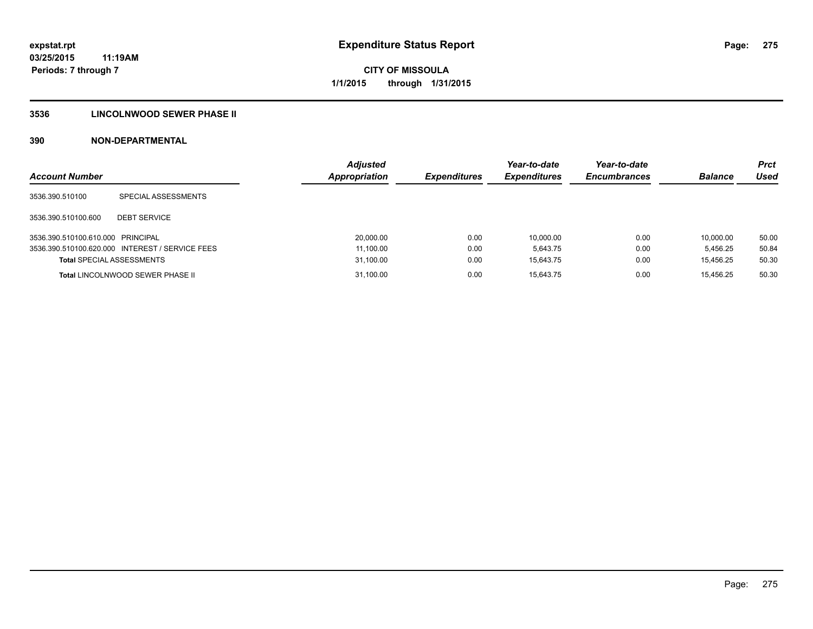### **3536 LINCOLNWOOD SEWER PHASE II**

| <b>Account Number</b>             |                                                 | <b>Adjusted</b><br>Appropriation | <b>Expenditures</b> | Year-to-date<br><b>Expenditures</b> | Year-to-date<br><b>Encumbrances</b> | <b>Balance</b> | <b>Prct</b><br>Used |
|-----------------------------------|-------------------------------------------------|----------------------------------|---------------------|-------------------------------------|-------------------------------------|----------------|---------------------|
| 3536.390.510100                   | SPECIAL ASSESSMENTS                             |                                  |                     |                                     |                                     |                |                     |
| 3536.390.510100.600               | <b>DEBT SERVICE</b>                             |                                  |                     |                                     |                                     |                |                     |
| 3536.390.510100.610.000 PRINCIPAL |                                                 | 20,000.00                        | 0.00                | 10.000.00                           | 0.00                                | 10.000.00      | 50.00               |
|                                   | 3536.390.510100.620.000 INTEREST / SERVICE FEES | 11,100.00                        | 0.00                | 5.643.75                            | 0.00                                | 5.456.25       | 50.84               |
| <b>Total SPECIAL ASSESSMENTS</b>  |                                                 | 31,100.00                        | 0.00                | 15.643.75                           | 0.00                                | 15.456.25      | 50.30               |
|                                   | <b>Total LINCOLNWOOD SEWER PHASE II</b>         | 31,100.00                        | 0.00                | 15.643.75                           | 0.00                                | 15.456.25      | 50.30               |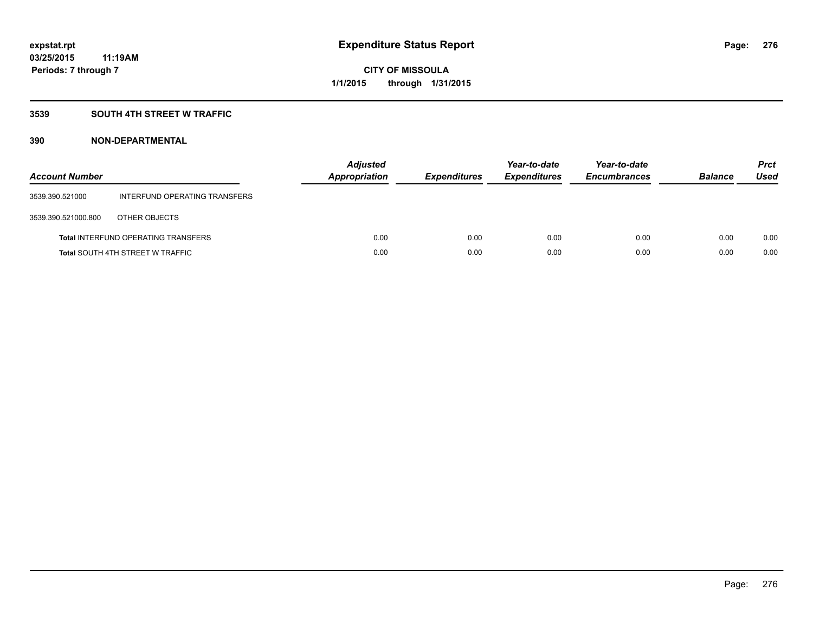### **3539 SOUTH 4TH STREET W TRAFFIC**

| <b>Account Number</b> |                                            | <b>Adjusted</b><br>Appropriation | <b>Expenditures</b> | Year-to-date<br><b>Expenditures</b> | Year-to-date<br><b>Encumbrances</b> | <b>Balance</b> | <b>Prct</b><br>Used |
|-----------------------|--------------------------------------------|----------------------------------|---------------------|-------------------------------------|-------------------------------------|----------------|---------------------|
| 3539.390.521000       | INTERFUND OPERATING TRANSFERS              |                                  |                     |                                     |                                     |                |                     |
| 3539.390.521000.800   | OTHER OBJECTS                              |                                  |                     |                                     |                                     |                |                     |
|                       | <b>Total INTERFUND OPERATING TRANSFERS</b> | 0.00                             | 0.00                | 0.00                                | 0.00                                | 0.00           | 0.00                |
|                       | <b>Total SOUTH 4TH STREET W TRAFFIC</b>    | 0.00                             | 0.00                | 0.00                                | 0.00                                | 0.00           | 0.00                |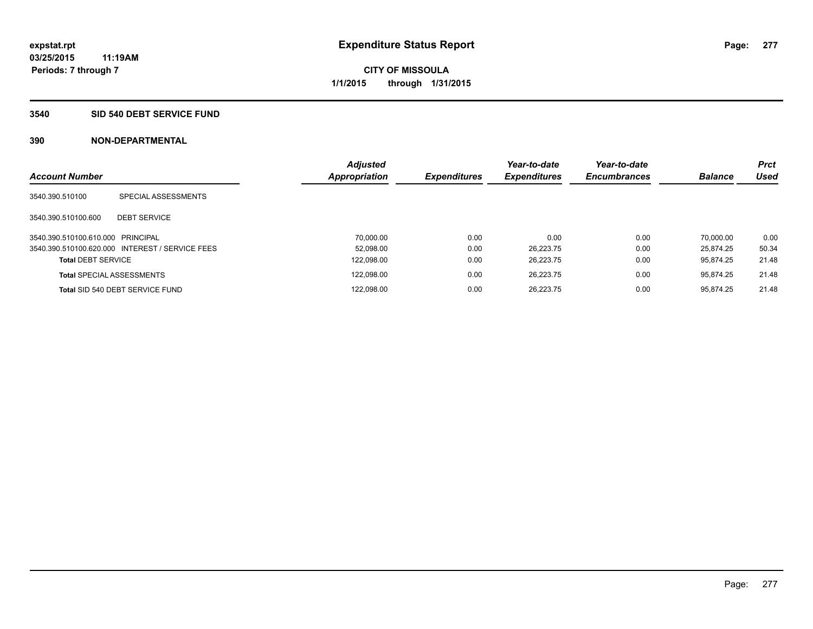#### **3540 SID 540 DEBT SERVICE FUND**

| <b>Account Number</b>             |                                                 | <b>Adjusted</b><br><b>Appropriation</b> | <b>Expenditures</b> | Year-to-date<br><b>Expenditures</b> | Year-to-date<br><b>Encumbrances</b> | <b>Balance</b> | <b>Prct</b><br>Used |
|-----------------------------------|-------------------------------------------------|-----------------------------------------|---------------------|-------------------------------------|-------------------------------------|----------------|---------------------|
| 3540.390.510100                   | SPECIAL ASSESSMENTS                             |                                         |                     |                                     |                                     |                |                     |
| 3540.390.510100.600               | <b>DEBT SERVICE</b>                             |                                         |                     |                                     |                                     |                |                     |
| 3540.390.510100.610.000 PRINCIPAL |                                                 | 70.000.00                               | 0.00                | 0.00                                | 0.00                                | 70.000.00      | 0.00                |
|                                   | 3540.390.510100.620.000 INTEREST / SERVICE FEES | 52.098.00                               | 0.00                | 26.223.75                           | 0.00                                | 25.874.25      | 50.34               |
| <b>Total DEBT SERVICE</b>         |                                                 | 122,098.00                              | 0.00                | 26.223.75                           | 0.00                                | 95.874.25      | 21.48               |
|                                   | <b>Total SPECIAL ASSESSMENTS</b>                | 122.098.00                              | 0.00                | 26.223.75                           | 0.00                                | 95.874.25      | 21.48               |
|                                   | Total SID 540 DEBT SERVICE FUND                 | 122,098.00                              | 0.00                | 26.223.75                           | 0.00                                | 95.874.25      | 21.48               |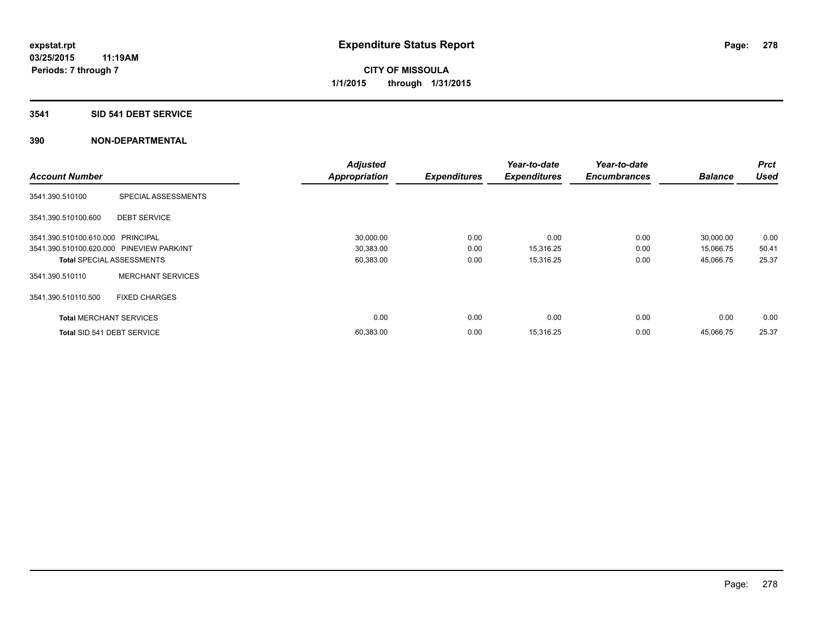#### **3541 SID 541 DEBT SERVICE**

|                                           |                                  | <b>Adjusted</b>      |                     | Year-to-date        | Year-to-date        |                | <b>Prct</b> |
|-------------------------------------------|----------------------------------|----------------------|---------------------|---------------------|---------------------|----------------|-------------|
| <b>Account Number</b>                     |                                  | <b>Appropriation</b> | <b>Expenditures</b> | <b>Expenditures</b> | <b>Encumbrances</b> | <b>Balance</b> | <b>Used</b> |
| 3541.390.510100                           | SPECIAL ASSESSMENTS              |                      |                     |                     |                     |                |             |
| 3541.390.510100.600                       | <b>DEBT SERVICE</b>              |                      |                     |                     |                     |                |             |
| 3541.390.510100.610.000 PRINCIPAL         |                                  | 30,000.00            | 0.00                | 0.00                | 0.00                | 30,000.00      | 0.00        |
| 3541.390.510100.620.000 PINEVIEW PARK/INT |                                  | 30,383.00            | 0.00                | 15,316.25           | 0.00                | 15,066.75      | 50.41       |
|                                           | <b>Total SPECIAL ASSESSMENTS</b> | 60,383.00            | 0.00                | 15,316.25           | 0.00                | 45,066.75      | 25.37       |
| 3541.390.510110                           | <b>MERCHANT SERVICES</b>         |                      |                     |                     |                     |                |             |
| 3541.390.510110.500                       | <b>FIXED CHARGES</b>             |                      |                     |                     |                     |                |             |
| <b>Total MERCHANT SERVICES</b>            |                                  | 0.00                 | 0.00                | 0.00                | 0.00                | 0.00           | 0.00        |
| Total SID 541 DEBT SERVICE                |                                  | 60,383.00            | 0.00                | 15,316.25           | 0.00                | 45,066.75      | 25.37       |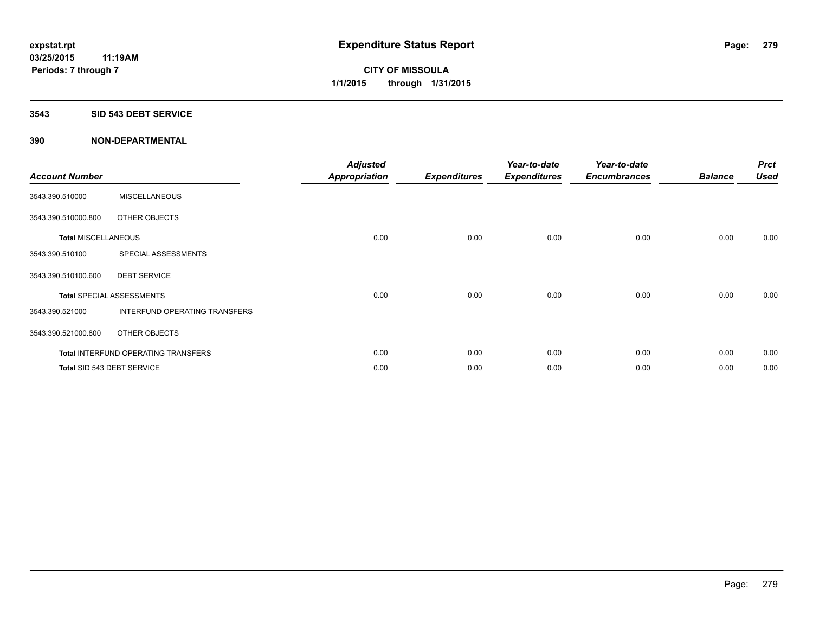#### **3543 SID 543 DEBT SERVICE**

| <b>Account Number</b>      |                                            | <b>Adjusted</b><br><b>Appropriation</b> | <b>Expenditures</b> | Year-to-date<br><b>Expenditures</b> | Year-to-date<br><b>Encumbrances</b> | <b>Balance</b> | <b>Prct</b><br><b>Used</b> |
|----------------------------|--------------------------------------------|-----------------------------------------|---------------------|-------------------------------------|-------------------------------------|----------------|----------------------------|
| 3543.390.510000            | <b>MISCELLANEOUS</b>                       |                                         |                     |                                     |                                     |                |                            |
| 3543.390.510000.800        | OTHER OBJECTS                              |                                         |                     |                                     |                                     |                |                            |
| <b>Total MISCELLANEOUS</b> |                                            | 0.00                                    | 0.00                | 0.00                                | 0.00                                | 0.00           | 0.00                       |
| 3543.390.510100            | SPECIAL ASSESSMENTS                        |                                         |                     |                                     |                                     |                |                            |
| 3543.390.510100.600        | <b>DEBT SERVICE</b>                        |                                         |                     |                                     |                                     |                |                            |
|                            | <b>Total SPECIAL ASSESSMENTS</b>           | 0.00                                    | 0.00                | 0.00                                | 0.00                                | 0.00           | 0.00                       |
| 3543.390.521000            | INTERFUND OPERATING TRANSFERS              |                                         |                     |                                     |                                     |                |                            |
| 3543.390.521000.800        | OTHER OBJECTS                              |                                         |                     |                                     |                                     |                |                            |
|                            | <b>Total INTERFUND OPERATING TRANSFERS</b> | 0.00                                    | 0.00                | 0.00                                | 0.00                                | 0.00           | 0.00                       |
|                            | Total SID 543 DEBT SERVICE                 | 0.00                                    | 0.00                | 0.00                                | 0.00                                | 0.00           | 0.00                       |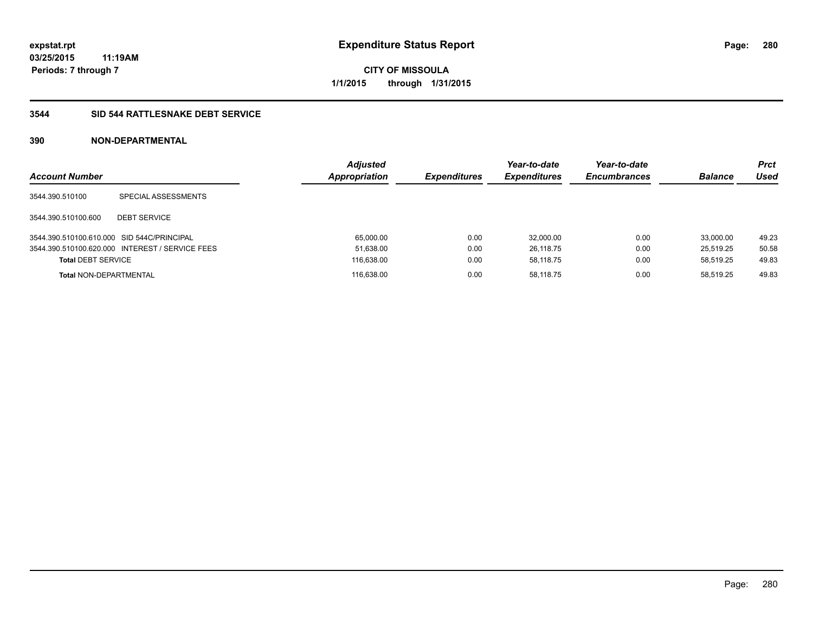### **3544 SID 544 RATTLESNAKE DEBT SERVICE**

| <b>Account Number</b>                      |                                                 | <b>Adjusted</b><br><b>Appropriation</b> | <b>Expenditures</b> | Year-to-date<br><b>Expenditures</b> | Year-to-date<br><b>Encumbrances</b> | <b>Balance</b> | <b>Prct</b><br>Used |
|--------------------------------------------|-------------------------------------------------|-----------------------------------------|---------------------|-------------------------------------|-------------------------------------|----------------|---------------------|
| 3544.390.510100                            | SPECIAL ASSESSMENTS                             |                                         |                     |                                     |                                     |                |                     |
| 3544.390.510100.600                        | <b>DEBT SERVICE</b>                             |                                         |                     |                                     |                                     |                |                     |
| 3544.390.510100.610.000 SID 544C/PRINCIPAL |                                                 | 65.000.00                               | 0.00                | 32,000.00                           | 0.00                                | 33.000.00      | 49.23               |
|                                            | 3544.390.510100.620.000 INTEREST / SERVICE FEES | 51,638.00                               | 0.00                | 26,118.75                           | 0.00                                | 25.519.25      | 50.58               |
| <b>Total DEBT SERVICE</b>                  |                                                 | 116,638.00                              | 0.00                | 58.118.75                           | 0.00                                | 58.519.25      | 49.83               |
| <b>Total NON-DEPARTMENTAL</b>              |                                                 | 116.638.00                              | 0.00                | 58.118.75                           | 0.00                                | 58.519.25      | 49.83               |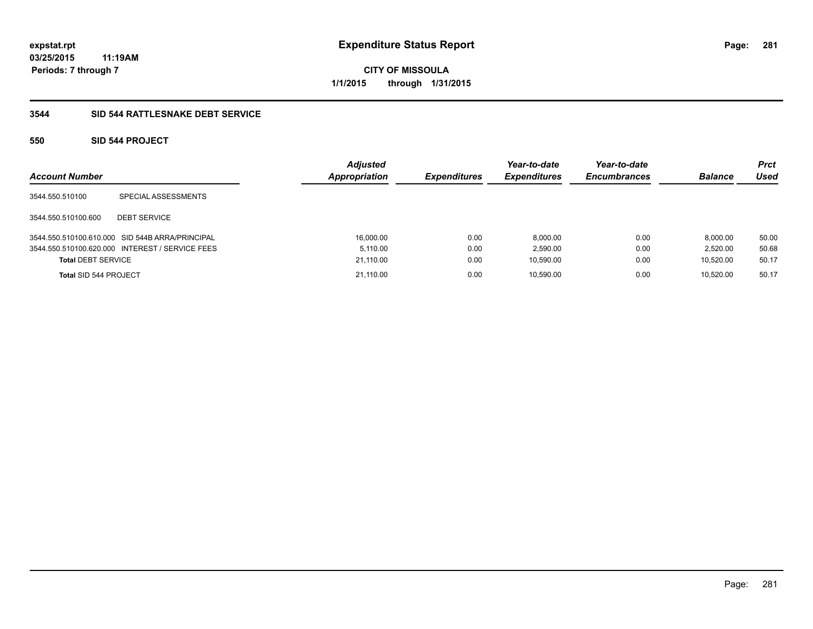**281**

**03/25/2015 11:19AM Periods: 7 through 7**

**CITY OF MISSOULA 1/1/2015 through 1/31/2015**

### **3544 SID 544 RATTLESNAKE DEBT SERVICE**

### **550 SID 544 PROJECT**

| <b>Account Number</b>     |                                                 | <b>Adjusted</b><br>Appropriation | <b>Expenditures</b> | Year-to-date<br><b>Expenditures</b> | Year-to-date<br><b>Encumbrances</b> | <b>Balance</b> | Prct<br>Used |
|---------------------------|-------------------------------------------------|----------------------------------|---------------------|-------------------------------------|-------------------------------------|----------------|--------------|
| 3544.550.510100           | SPECIAL ASSESSMENTS                             |                                  |                     |                                     |                                     |                |              |
| 3544.550.510100.600       | <b>DEBT SERVICE</b>                             |                                  |                     |                                     |                                     |                |              |
|                           | 3544.550.510100.610.000 SID 544B ARRA/PRINCIPAL | 16.000.00                        | 0.00                | 8.000.00                            | 0.00                                | 8.000.00       | 50.00        |
|                           | 3544.550.510100.620.000 INTEREST / SERVICE FEES | 5.110.00                         | 0.00                | 2.590.00                            | 0.00                                | 2.520.00       | 50.68        |
| <b>Total DEBT SERVICE</b> |                                                 | 21,110.00                        | 0.00                | 10,590.00                           | 0.00                                | 10.520.00      | 50.17        |
| Total SID 544 PROJECT     |                                                 | 21.110.00                        | 0.00                | 10.590.00                           | 0.00                                | 10.520.00      | 50.17        |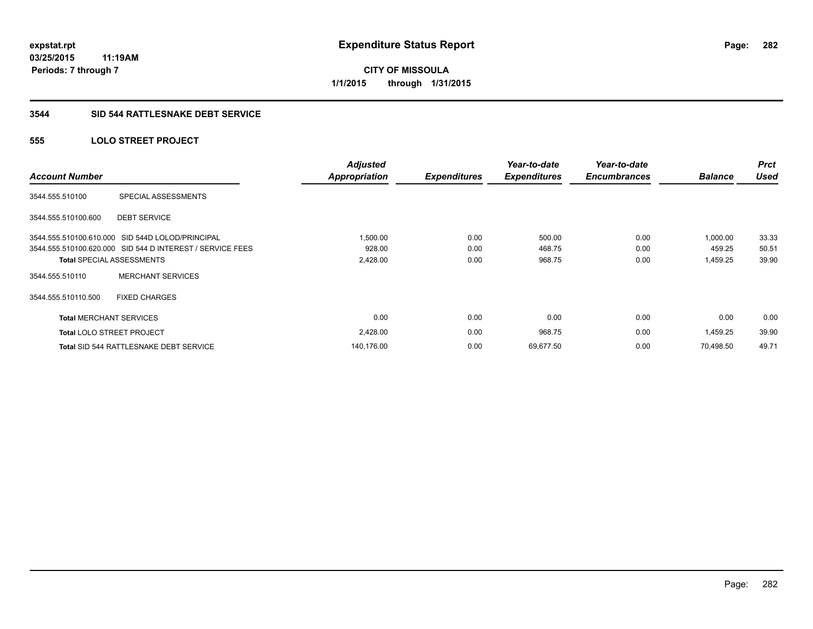**03/25/2015 11:19AM Periods: 7 through 7**

**CITY OF MISSOULA 1/1/2015 through 1/31/2015**

### **3544 SID 544 RATTLESNAKE DEBT SERVICE**

### **555 LOLO STREET PROJECT**

| <b>Account Number</b>            |                                                           | <b>Adjusted</b><br><b>Appropriation</b> | <b>Expenditures</b> | Year-to-date<br><b>Expenditures</b> | Year-to-date<br><b>Encumbrances</b> | <b>Balance</b> | <b>Prct</b><br><b>Used</b> |
|----------------------------------|-----------------------------------------------------------|-----------------------------------------|---------------------|-------------------------------------|-------------------------------------|----------------|----------------------------|
| 3544.555.510100                  | SPECIAL ASSESSMENTS                                       |                                         |                     |                                     |                                     |                |                            |
| 3544.555.510100.600              | <b>DEBT SERVICE</b>                                       |                                         |                     |                                     |                                     |                |                            |
|                                  | 3544.555.510100.610.000 SID 544D LOLOD/PRINCIPAL          | 1,500.00                                | 0.00                | 500.00                              | 0.00                                | 1,000.00       | 33.33                      |
|                                  | 3544.555.510100.620.000 SID 544 D INTEREST / SERVICE FEES | 928.00                                  | 0.00                | 468.75                              | 0.00                                | 459.25         | 50.51                      |
|                                  | <b>Total SPECIAL ASSESSMENTS</b>                          | 2,428.00                                | 0.00                | 968.75                              | 0.00                                | 1,459.25       | 39.90                      |
| 3544.555.510110                  | <b>MERCHANT SERVICES</b>                                  |                                         |                     |                                     |                                     |                |                            |
| 3544.555.510110.500              | <b>FIXED CHARGES</b>                                      |                                         |                     |                                     |                                     |                |                            |
| <b>Total MERCHANT SERVICES</b>   |                                                           | 0.00                                    | 0.00                | 0.00                                | 0.00                                | 0.00           | 0.00                       |
| <b>Total LOLO STREET PROJECT</b> |                                                           | 2,428.00                                | 0.00                | 968.75                              | 0.00                                | 1,459.25       | 39.90                      |
|                                  | <b>Total SID 544 RATTLESNAKE DEBT SERVICE</b>             | 140,176.00                              | 0.00                | 69,677.50                           | 0.00                                | 70.498.50      | 49.71                      |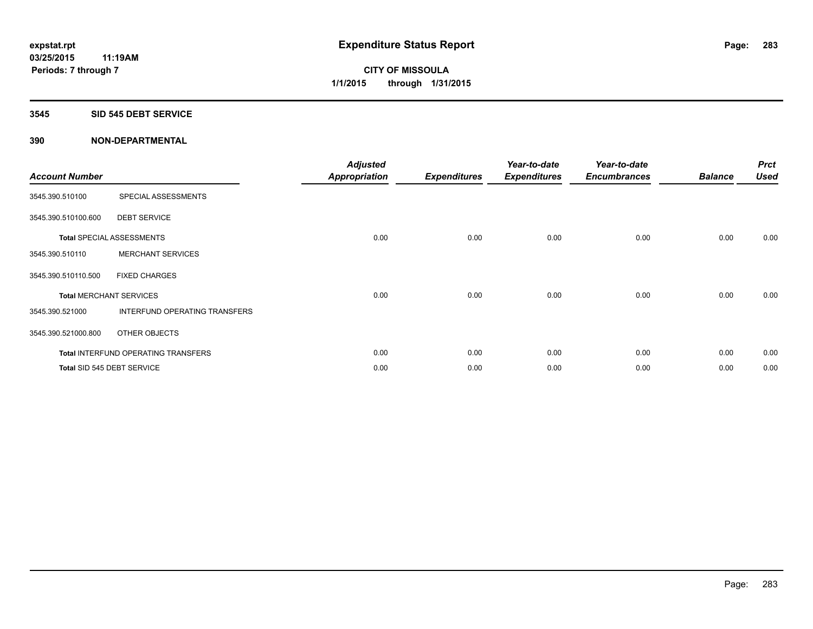### **3545 SID 545 DEBT SERVICE**

| <b>Account Number</b> |                                            | <b>Adjusted</b><br><b>Appropriation</b> | <b>Expenditures</b> | Year-to-date<br><b>Expenditures</b> | Year-to-date<br><b>Encumbrances</b> | <b>Balance</b> | <b>Prct</b><br><b>Used</b> |
|-----------------------|--------------------------------------------|-----------------------------------------|---------------------|-------------------------------------|-------------------------------------|----------------|----------------------------|
| 3545.390.510100       | SPECIAL ASSESSMENTS                        |                                         |                     |                                     |                                     |                |                            |
| 3545.390.510100.600   | <b>DEBT SERVICE</b>                        |                                         |                     |                                     |                                     |                |                            |
|                       | <b>Total SPECIAL ASSESSMENTS</b>           | 0.00                                    | 0.00                | 0.00                                | 0.00                                | 0.00           | 0.00                       |
| 3545.390.510110       | <b>MERCHANT SERVICES</b>                   |                                         |                     |                                     |                                     |                |                            |
| 3545.390.510110.500   | <b>FIXED CHARGES</b>                       |                                         |                     |                                     |                                     |                |                            |
|                       | <b>Total MERCHANT SERVICES</b>             | 0.00                                    | 0.00                | 0.00                                | 0.00                                | 0.00           | 0.00                       |
| 3545.390.521000       | INTERFUND OPERATING TRANSFERS              |                                         |                     |                                     |                                     |                |                            |
| 3545.390.521000.800   | OTHER OBJECTS                              |                                         |                     |                                     |                                     |                |                            |
|                       | <b>Total INTERFUND OPERATING TRANSFERS</b> | 0.00                                    | 0.00                | 0.00                                | 0.00                                | 0.00           | 0.00                       |
|                       | Total SID 545 DEBT SERVICE                 | 0.00                                    | 0.00                | 0.00                                | 0.00                                | 0.00           | 0.00                       |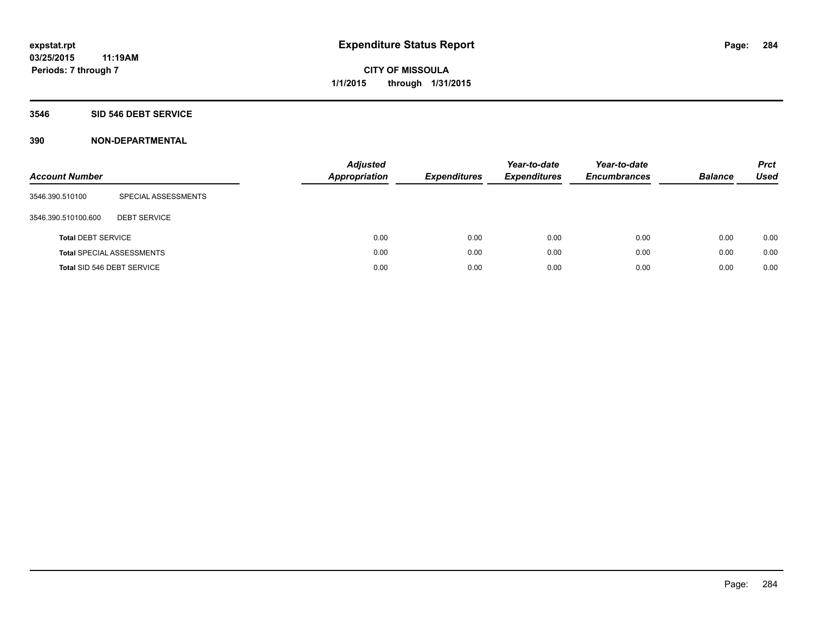### **3546 SID 546 DEBT SERVICE**

| <b>Account Number</b>      |                                  | <b>Adjusted</b><br>Appropriation | <b>Expenditures</b> | Year-to-date<br><b>Expenditures</b> | Year-to-date<br><b>Encumbrances</b> | <b>Balance</b> | <b>Prct</b><br><b>Used</b> |
|----------------------------|----------------------------------|----------------------------------|---------------------|-------------------------------------|-------------------------------------|----------------|----------------------------|
| 3546.390.510100            | SPECIAL ASSESSMENTS              |                                  |                     |                                     |                                     |                |                            |
| 3546.390.510100.600        | <b>DEBT SERVICE</b>              |                                  |                     |                                     |                                     |                |                            |
| <b>Total DEBT SERVICE</b>  |                                  | 0.00                             | 0.00                | 0.00                                | 0.00                                | 0.00           | 0.00                       |
|                            | <b>Total SPECIAL ASSESSMENTS</b> | 0.00                             | 0.00                | 0.00                                | 0.00                                | 0.00           | 0.00                       |
| Total SID 546 DEBT SERVICE |                                  | 0.00                             | 0.00                | 0.00                                | 0.00                                | 0.00           | 0.00                       |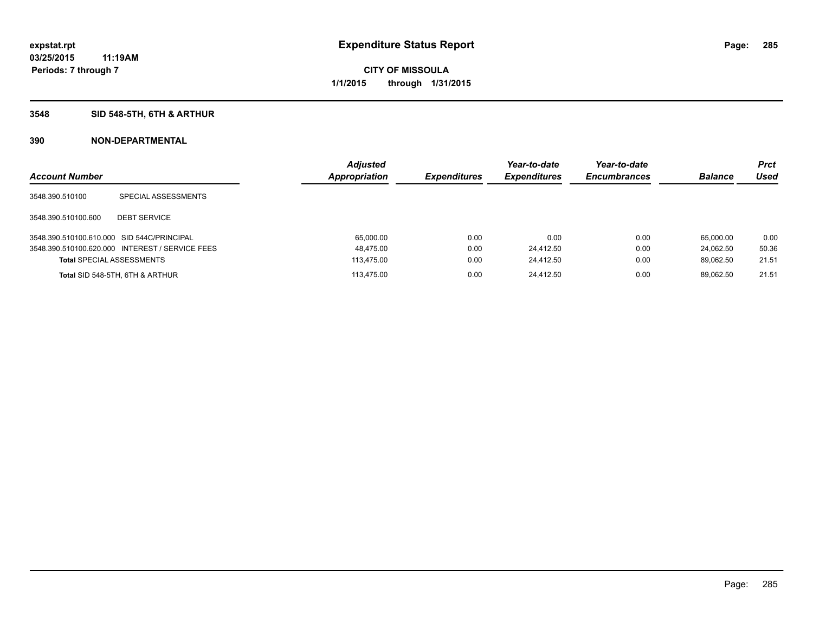### **3548 SID 548-5TH, 6TH & ARTHUR**

| <b>Account Number</b>                      |                                                 | <b>Adjusted</b><br><b>Appropriation</b> | <b>Expenditures</b> | Year-to-date<br><b>Expenditures</b> | Year-to-date<br><b>Encumbrances</b> | <b>Balance</b> | <b>Prct</b><br>Used |
|--------------------------------------------|-------------------------------------------------|-----------------------------------------|---------------------|-------------------------------------|-------------------------------------|----------------|---------------------|
| 3548.390.510100                            | SPECIAL ASSESSMENTS                             |                                         |                     |                                     |                                     |                |                     |
| 3548.390.510100.600                        | <b>DEBT SERVICE</b>                             |                                         |                     |                                     |                                     |                |                     |
| 3548.390.510100.610.000 SID 544C/PRINCIPAL |                                                 | 65.000.00                               | 0.00                | 0.00                                | 0.00                                | 65.000.00      | 0.00                |
|                                            | 3548.390.510100.620.000 INTEREST / SERVICE FEES | 48,475.00                               | 0.00                | 24,412.50                           | 0.00                                | 24.062.50      | 50.36               |
| <b>Total SPECIAL ASSESSMENTS</b>           |                                                 | 113.475.00                              | 0.00                | 24.412.50                           | 0.00                                | 89.062.50      | 21.51               |
|                                            | Total SID 548-5TH, 6TH & ARTHUR                 | 113.475.00                              | 0.00                | 24.412.50                           | 0.00                                | 89.062.50      | 21.51               |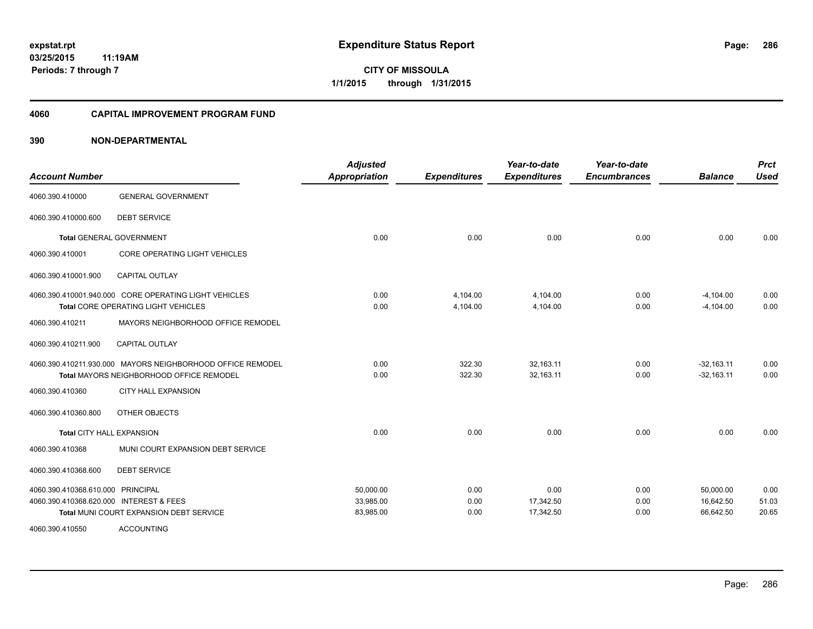#### **4060 CAPITAL IMPROVEMENT PROGRAM FUND**

| <b>Account Number</b>                   |                                                            | <b>Adjusted</b><br><b>Appropriation</b> | <b>Expenditures</b> | Year-to-date<br><b>Expenditures</b> | Year-to-date<br><b>Encumbrances</b> | <b>Balance</b> | <b>Prct</b><br><b>Used</b> |
|-----------------------------------------|------------------------------------------------------------|-----------------------------------------|---------------------|-------------------------------------|-------------------------------------|----------------|----------------------------|
| 4060.390.410000                         | <b>GENERAL GOVERNMENT</b>                                  |                                         |                     |                                     |                                     |                |                            |
| 4060.390.410000.600                     | <b>DEBT SERVICE</b>                                        |                                         |                     |                                     |                                     |                |                            |
|                                         | <b>Total GENERAL GOVERNMENT</b>                            | 0.00                                    | 0.00                | 0.00                                | 0.00                                | 0.00           | 0.00                       |
| 4060.390.410001                         | <b>CORE OPERATING LIGHT VEHICLES</b>                       |                                         |                     |                                     |                                     |                |                            |
| 4060.390.410001.900                     | <b>CAPITAL OUTLAY</b>                                      |                                         |                     |                                     |                                     |                |                            |
|                                         | 4060.390.410001.940.000 CORE OPERATING LIGHT VEHICLES      | 0.00                                    | 4,104.00            | 4,104.00                            | 0.00                                | $-4,104.00$    | 0.00                       |
|                                         | Total CORE OPERATING LIGHT VEHICLES                        | 0.00                                    | 4,104.00            | 4,104.00                            | 0.00                                | $-4,104.00$    | 0.00                       |
| 4060.390.410211                         | MAYORS NEIGHBORHOOD OFFICE REMODEL                         |                                         |                     |                                     |                                     |                |                            |
| 4060.390.410211.900                     | <b>CAPITAL OUTLAY</b>                                      |                                         |                     |                                     |                                     |                |                            |
|                                         | 4060.390.410211.930.000 MAYORS NEIGHBORHOOD OFFICE REMODEL | 0.00                                    | 322.30              | 32,163.11                           | 0.00                                | $-32,163.11$   | 0.00                       |
|                                         | Total MAYORS NEIGHBORHOOD OFFICE REMODEL                   | 0.00                                    | 322.30              | 32,163.11                           | 0.00                                | $-32,163.11$   | 0.00                       |
| 4060.390.410360                         | CITY HALL EXPANSION                                        |                                         |                     |                                     |                                     |                |                            |
| 4060.390.410360.800                     | OTHER OBJECTS                                              |                                         |                     |                                     |                                     |                |                            |
| Total CITY HALL EXPANSION               |                                                            | 0.00                                    | 0.00                | 0.00                                | 0.00                                | 0.00           | 0.00                       |
| 4060.390.410368                         | MUNI COURT EXPANSION DEBT SERVICE                          |                                         |                     |                                     |                                     |                |                            |
| 4060.390.410368.600                     | <b>DEBT SERVICE</b>                                        |                                         |                     |                                     |                                     |                |                            |
| 4060.390.410368.610.000 PRINCIPAL       |                                                            | 50,000.00                               | 0.00                | 0.00                                | 0.00                                | 50,000.00      | 0.00                       |
| 4060.390.410368.620.000 INTEREST & FEES |                                                            | 33,985.00                               | 0.00                | 17,342.50                           | 0.00                                | 16,642.50      | 51.03                      |
|                                         | Total MUNI COURT EXPANSION DEBT SERVICE                    | 83,985.00                               | 0.00                | 17,342.50                           | 0.00                                | 66,642.50      | 20.65                      |
| 4060.390.410550                         | <b>ACCOUNTING</b>                                          |                                         |                     |                                     |                                     |                |                            |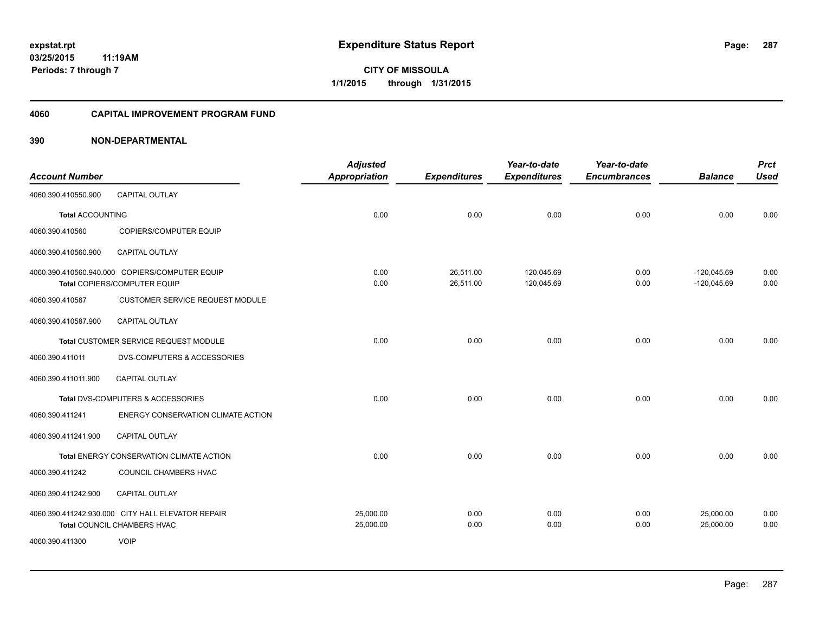#### **4060 CAPITAL IMPROVEMENT PROGRAM FUND**

|                         |                                                   | <b>Adjusted</b>      |                     | Year-to-date        | Year-to-date        |                | <b>Prct</b> |
|-------------------------|---------------------------------------------------|----------------------|---------------------|---------------------|---------------------|----------------|-------------|
| <b>Account Number</b>   |                                                   | <b>Appropriation</b> | <b>Expenditures</b> | <b>Expenditures</b> | <b>Encumbrances</b> | <b>Balance</b> | <b>Used</b> |
| 4060.390.410550.900     | <b>CAPITAL OUTLAY</b>                             |                      |                     |                     |                     |                |             |
| <b>Total ACCOUNTING</b> |                                                   | 0.00                 | 0.00                | 0.00                | 0.00                | 0.00           | 0.00        |
| 4060.390.410560         | COPIERS/COMPUTER EQUIP                            |                      |                     |                     |                     |                |             |
| 4060.390.410560.900     | <b>CAPITAL OUTLAY</b>                             |                      |                     |                     |                     |                |             |
|                         | 4060.390.410560.940.000 COPIERS/COMPUTER EQUIP    | 0.00                 | 26,511.00           | 120,045.69          | 0.00                | $-120,045.69$  | 0.00        |
|                         | Total COPIERS/COMPUTER EQUIP                      | 0.00                 | 26,511.00           | 120,045.69          | 0.00                | $-120,045.69$  | 0.00        |
| 4060.390.410587         | <b>CUSTOMER SERVICE REQUEST MODULE</b>            |                      |                     |                     |                     |                |             |
| 4060.390.410587.900     | CAPITAL OUTLAY                                    |                      |                     |                     |                     |                |             |
|                         | Total CUSTOMER SERVICE REQUEST MODULE             | 0.00                 | 0.00                | 0.00                | 0.00                | 0.00           | 0.00        |
| 4060.390.411011         | <b>DVS-COMPUTERS &amp; ACCESSORIES</b>            |                      |                     |                     |                     |                |             |
| 4060.390.411011.900     | <b>CAPITAL OUTLAY</b>                             |                      |                     |                     |                     |                |             |
|                         | Total DVS-COMPUTERS & ACCESSORIES                 | 0.00                 | 0.00                | 0.00                | 0.00                | 0.00           | 0.00        |
| 4060.390.411241         | ENERGY CONSERVATION CLIMATE ACTION                |                      |                     |                     |                     |                |             |
| 4060.390.411241.900     | <b>CAPITAL OUTLAY</b>                             |                      |                     |                     |                     |                |             |
|                         | Total ENERGY CONSERVATION CLIMATE ACTION          | 0.00                 | 0.00                | 0.00                | 0.00                | 0.00           | 0.00        |
| 4060.390.411242         | COUNCIL CHAMBERS HVAC                             |                      |                     |                     |                     |                |             |
| 4060.390.411242.900     | CAPITAL OUTLAY                                    |                      |                     |                     |                     |                |             |
|                         | 4060.390.411242.930.000 CITY HALL ELEVATOR REPAIR | 25,000.00            | 0.00                | 0.00                | 0.00                | 25,000.00      | 0.00        |
|                         | Total COUNCIL CHAMBERS HVAC                       | 25,000.00            | 0.00                | 0.00                | 0.00                | 25,000.00      | 0.00        |
| 4060.390.411300         | <b>VOIP</b>                                       |                      |                     |                     |                     |                |             |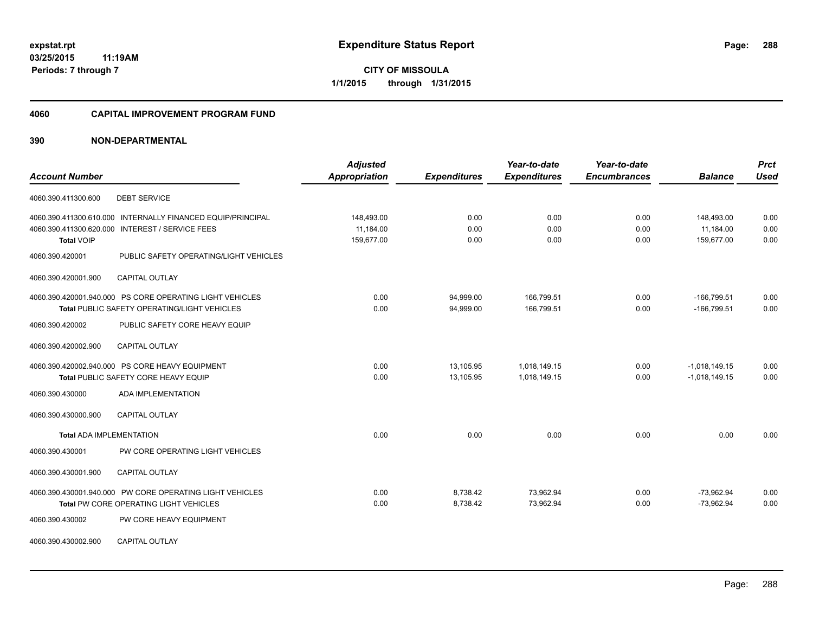**Periods: 7 through 7**

**CITY OF MISSOULA 1/1/2015 through 1/31/2015**

#### **4060 CAPITAL IMPROVEMENT PROGRAM FUND**

### **390 NON-DEPARTMENTAL**

**11:19AM**

|                                                 |                                                             | <b>Adjusted</b> |                     | Year-to-date        | Year-to-date        |                 | <b>Prct</b> |
|-------------------------------------------------|-------------------------------------------------------------|-----------------|---------------------|---------------------|---------------------|-----------------|-------------|
| <b>Account Number</b>                           |                                                             | Appropriation   | <b>Expenditures</b> | <b>Expenditures</b> | <b>Encumbrances</b> | <b>Balance</b>  | <b>Used</b> |
| 4060.390.411300.600                             | <b>DEBT SERVICE</b>                                         |                 |                     |                     |                     |                 |             |
|                                                 | 4060.390.411300.610.000 INTERNALLY FINANCED EQUIP/PRINCIPAL | 148,493.00      | 0.00                | 0.00                | 0.00                | 148,493.00      | 0.00        |
| 4060.390.411300.620.000 INTEREST / SERVICE FEES |                                                             | 11,184.00       | 0.00                | 0.00                | 0.00                | 11,184.00       | 0.00        |
| <b>Total VOIP</b>                               |                                                             | 159,677.00      | 0.00                | 0.00                | 0.00                | 159,677.00      | 0.00        |
| 4060.390.420001                                 | PUBLIC SAFETY OPERATING/LIGHT VEHICLES                      |                 |                     |                     |                     |                 |             |
| 4060.390.420001.900                             | <b>CAPITAL OUTLAY</b>                                       |                 |                     |                     |                     |                 |             |
|                                                 | 4060.390.420001.940.000 PS CORE OPERATING LIGHT VEHICLES    | 0.00            | 94,999.00           | 166,799.51          | 0.00                | $-166,799.51$   | 0.00        |
|                                                 | Total PUBLIC SAFETY OPERATING/LIGHT VEHICLES                | 0.00            | 94,999.00           | 166,799.51          | 0.00                | $-166,799.51$   | 0.00        |
| 4060.390.420002                                 | PUBLIC SAFETY CORE HEAVY EQUIP                              |                 |                     |                     |                     |                 |             |
| 4060.390.420002.900                             | <b>CAPITAL OUTLAY</b>                                       |                 |                     |                     |                     |                 |             |
| 4060.390.420002.940.000 PS CORE HEAVY EQUIPMENT |                                                             | 0.00            | 13,105.95           | 1,018,149.15        | 0.00                | $-1,018,149.15$ | 0.00        |
|                                                 | Total PUBLIC SAFETY CORE HEAVY EQUIP                        | 0.00            | 13,105.95           | 1,018,149.15        | 0.00                | $-1,018,149.15$ | 0.00        |
| 4060.390.430000                                 | <b>ADA IMPLEMENTATION</b>                                   |                 |                     |                     |                     |                 |             |
| 4060.390.430000.900                             | <b>CAPITAL OUTLAY</b>                                       |                 |                     |                     |                     |                 |             |
| <b>Total ADA IMPLEMENTATION</b>                 |                                                             | 0.00            | 0.00                | 0.00                | 0.00                | 0.00            | 0.00        |
| 4060.390.430001                                 | PW CORE OPERATING LIGHT VEHICLES                            |                 |                     |                     |                     |                 |             |
| 4060.390.430001.900                             | <b>CAPITAL OUTLAY</b>                                       |                 |                     |                     |                     |                 |             |
|                                                 | 4060.390.430001.940.000 PW CORE OPERATING LIGHT VEHICLES    | 0.00            | 8,738.42            | 73.962.94           | 0.00                | $-73.962.94$    | 0.00        |
|                                                 | Total PW CORE OPERATING LIGHT VEHICLES                      | 0.00            | 8,738.42            | 73,962.94           | 0.00                | $-73,962.94$    | 0.00        |
| 4060.390.430002                                 | PW CORE HEAVY EQUIPMENT                                     |                 |                     |                     |                     |                 |             |
| 4060.390.430002.900                             | <b>CAPITAL OUTLAY</b>                                       |                 |                     |                     |                     |                 |             |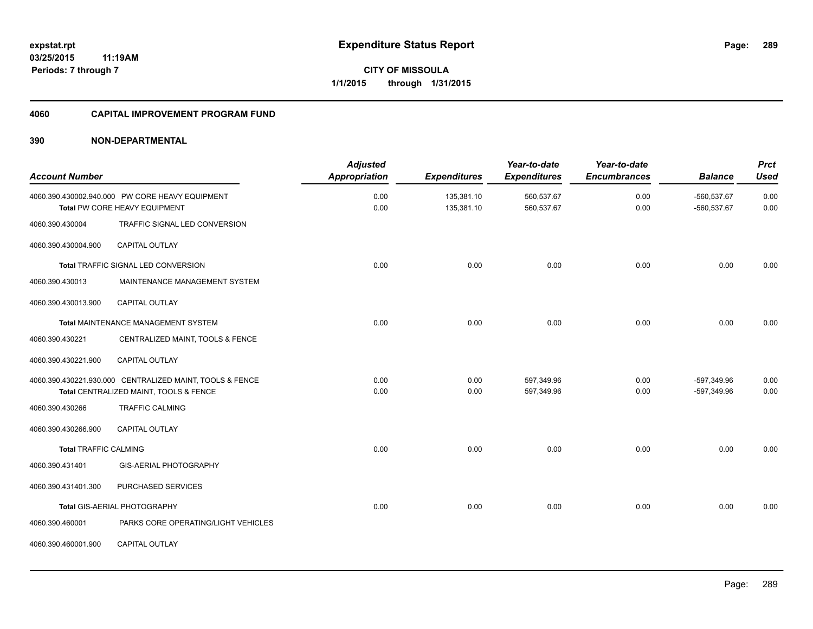#### **4060 CAPITAL IMPROVEMENT PROGRAM FUND**

| <b>Account Number</b>        |                                                                                                    | <b>Adjusted</b><br>Appropriation | <b>Expenditures</b>      | Year-to-date<br><b>Expenditures</b> | Year-to-date<br><b>Encumbrances</b> | <b>Balance</b>               | <b>Prct</b><br><b>Used</b> |
|------------------------------|----------------------------------------------------------------------------------------------------|----------------------------------|--------------------------|-------------------------------------|-------------------------------------|------------------------------|----------------------------|
|                              | 4060.390.430002.940.000 PW CORE HEAVY EQUIPMENT<br>Total PW CORE HEAVY EQUIPMENT                   | 0.00<br>0.00                     | 135,381.10<br>135,381.10 | 560,537.67<br>560,537.67            | 0.00<br>0.00                        | $-560,537.67$<br>-560,537.67 | 0.00<br>0.00               |
| 4060.390.430004              | TRAFFIC SIGNAL LED CONVERSION                                                                      |                                  |                          |                                     |                                     |                              |                            |
| 4060.390.430004.900          | <b>CAPITAL OUTLAY</b>                                                                              |                                  |                          |                                     |                                     |                              |                            |
|                              | <b>Total TRAFFIC SIGNAL LED CONVERSION</b>                                                         | 0.00                             | 0.00                     | 0.00                                | 0.00                                | 0.00                         | 0.00                       |
| 4060.390.430013              | MAINTENANCE MANAGEMENT SYSTEM                                                                      |                                  |                          |                                     |                                     |                              |                            |
| 4060.390.430013.900          | <b>CAPITAL OUTLAY</b>                                                                              |                                  |                          |                                     |                                     |                              |                            |
|                              | Total MAINTENANCE MANAGEMENT SYSTEM                                                                | 0.00                             | 0.00                     | 0.00                                | 0.00                                | 0.00                         | 0.00                       |
| 4060.390.430221              | CENTRALIZED MAINT, TOOLS & FENCE                                                                   |                                  |                          |                                     |                                     |                              |                            |
| 4060.390.430221.900          | <b>CAPITAL OUTLAY</b>                                                                              |                                  |                          |                                     |                                     |                              |                            |
|                              | 4060.390.430221.930.000 CENTRALIZED MAINT, TOOLS & FENCE<br>Total CENTRALIZED MAINT, TOOLS & FENCE | 0.00<br>0.00                     | 0.00<br>0.00             | 597,349.96<br>597,349.96            | 0.00<br>0.00                        | -597,349.96<br>-597,349.96   | 0.00<br>0.00               |
| 4060.390.430266              | <b>TRAFFIC CALMING</b>                                                                             |                                  |                          |                                     |                                     |                              |                            |
| 4060.390.430266.900          | <b>CAPITAL OUTLAY</b>                                                                              |                                  |                          |                                     |                                     |                              |                            |
| <b>Total TRAFFIC CALMING</b> |                                                                                                    | 0.00                             | 0.00                     | 0.00                                | 0.00                                | 0.00                         | 0.00                       |
| 4060.390.431401              | <b>GIS-AERIAL PHOTOGRAPHY</b>                                                                      |                                  |                          |                                     |                                     |                              |                            |
| 4060.390.431401.300          | PURCHASED SERVICES                                                                                 |                                  |                          |                                     |                                     |                              |                            |
|                              | Total GIS-AERIAL PHOTOGRAPHY                                                                       | 0.00                             | 0.00                     | 0.00                                | 0.00                                | 0.00                         | 0.00                       |
| 4060.390.460001              | PARKS CORE OPERATING/LIGHT VEHICLES                                                                |                                  |                          |                                     |                                     |                              |                            |
| 4060.390.460001.900          | <b>CAPITAL OUTLAY</b>                                                                              |                                  |                          |                                     |                                     |                              |                            |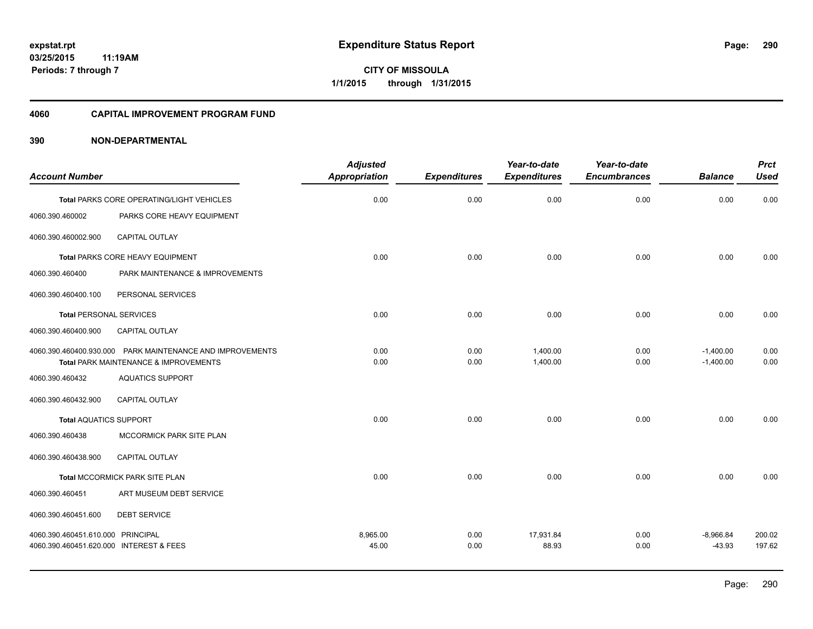#### **4060 CAPITAL IMPROVEMENT PROGRAM FUND**

|                                         |                                                           | <b>Adjusted</b>      |                     | Year-to-date        | Year-to-date        |                | <b>Prct</b> |
|-----------------------------------------|-----------------------------------------------------------|----------------------|---------------------|---------------------|---------------------|----------------|-------------|
| <b>Account Number</b>                   |                                                           | <b>Appropriation</b> | <b>Expenditures</b> | <b>Expenditures</b> | <b>Encumbrances</b> | <b>Balance</b> | <b>Used</b> |
|                                         | Total PARKS CORE OPERATING/LIGHT VEHICLES                 | 0.00                 | 0.00                | 0.00                | 0.00                | 0.00           | 0.00        |
| 4060.390.460002                         | PARKS CORE HEAVY EQUIPMENT                                |                      |                     |                     |                     |                |             |
| 4060.390.460002.900                     | CAPITAL OUTLAY                                            |                      |                     |                     |                     |                |             |
|                                         | Total PARKS CORE HEAVY EQUIPMENT                          | 0.00                 | 0.00                | 0.00                | 0.00                | 0.00           | 0.00        |
| 4060.390.460400                         | PARK MAINTENANCE & IMPROVEMENTS                           |                      |                     |                     |                     |                |             |
| 4060.390.460400.100                     | PERSONAL SERVICES                                         |                      |                     |                     |                     |                |             |
| <b>Total PERSONAL SERVICES</b>          |                                                           | 0.00                 | 0.00                | 0.00                | 0.00                | 0.00           | 0.00        |
| 4060.390.460400.900                     | CAPITAL OUTLAY                                            |                      |                     |                     |                     |                |             |
|                                         | 4060.390.460400.930.000 PARK MAINTENANCE AND IMPROVEMENTS | 0.00                 | 0.00                | 1.400.00            | 0.00                | $-1,400.00$    | 0.00        |
|                                         | Total PARK MAINTENANCE & IMPROVEMENTS                     | 0.00                 | 0.00                | 1,400.00            | 0.00                | $-1,400.00$    | 0.00        |
| 4060.390.460432                         | <b>AQUATICS SUPPORT</b>                                   |                      |                     |                     |                     |                |             |
| 4060.390.460432.900                     | CAPITAL OUTLAY                                            |                      |                     |                     |                     |                |             |
| <b>Total AQUATICS SUPPORT</b>           |                                                           | 0.00                 | 0.00                | 0.00                | 0.00                | 0.00           | 0.00        |
| 4060.390.460438                         | MCCORMICK PARK SITE PLAN                                  |                      |                     |                     |                     |                |             |
| 4060.390.460438.900                     | <b>CAPITAL OUTLAY</b>                                     |                      |                     |                     |                     |                |             |
|                                         | <b>Total MCCORMICK PARK SITE PLAN</b>                     | 0.00                 | 0.00                | 0.00                | 0.00                | 0.00           | 0.00        |
| 4060.390.460451                         | ART MUSEUM DEBT SERVICE                                   |                      |                     |                     |                     |                |             |
| 4060.390.460451.600                     | <b>DEBT SERVICE</b>                                       |                      |                     |                     |                     |                |             |
| 4060.390.460451.610.000 PRINCIPAL       |                                                           | 8,965.00             | 0.00                | 17,931.84           | 0.00                | $-8,966.84$    | 200.02      |
| 4060.390.460451.620.000 INTEREST & FEES |                                                           | 45.00                | 0.00                | 88.93               | 0.00                | $-43.93$       | 197.62      |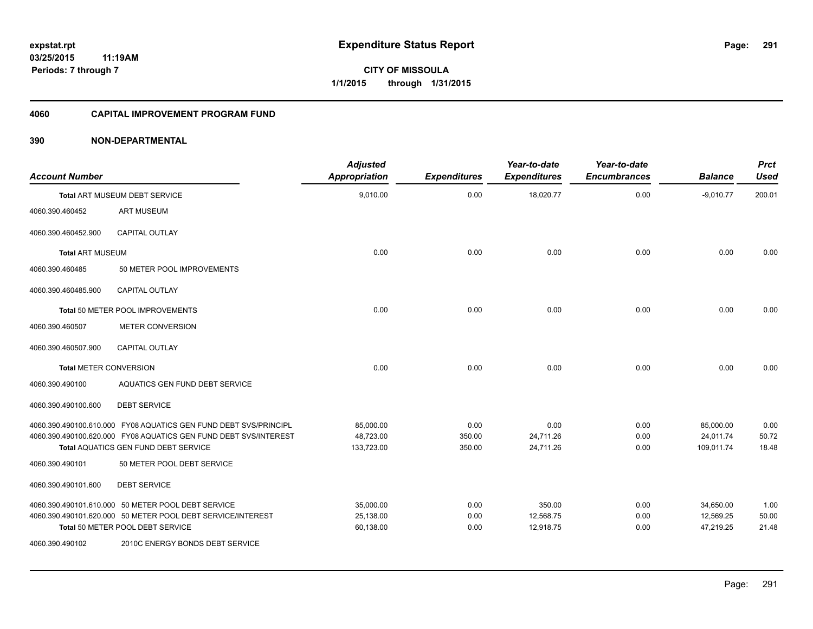#### **4060 CAPITAL IMPROVEMENT PROGRAM FUND**

| <b>Account Number</b>         |                                                                           | <b>Adjusted</b><br>Appropriation | <b>Expenditures</b> | Year-to-date<br><b>Expenditures</b> | Year-to-date<br><b>Encumbrances</b> | <b>Balance</b> | <b>Prct</b><br><b>Used</b> |
|-------------------------------|---------------------------------------------------------------------------|----------------------------------|---------------------|-------------------------------------|-------------------------------------|----------------|----------------------------|
|                               | <b>Total ART MUSEUM DEBT SERVICE</b>                                      | 9,010.00                         | 0.00                | 18,020.77                           | 0.00                                | $-9,010.77$    | 200.01                     |
| 4060.390.460452               | <b>ART MUSEUM</b>                                                         |                                  |                     |                                     |                                     |                |                            |
| 4060.390.460452.900           | <b>CAPITAL OUTLAY</b>                                                     |                                  |                     |                                     |                                     |                |                            |
| <b>Total ART MUSEUM</b>       |                                                                           | 0.00                             | 0.00                | 0.00                                | 0.00                                | 0.00           | 0.00                       |
| 4060.390.460485               | 50 METER POOL IMPROVEMENTS                                                |                                  |                     |                                     |                                     |                |                            |
| 4060.390.460485.900           | <b>CAPITAL OUTLAY</b>                                                     |                                  |                     |                                     |                                     |                |                            |
|                               | Total 50 METER POOL IMPROVEMENTS                                          | 0.00                             | 0.00                | 0.00                                | 0.00                                | 0.00           | 0.00                       |
| 4060.390.460507               | <b>METER CONVERSION</b>                                                   |                                  |                     |                                     |                                     |                |                            |
| 4060.390.460507.900           | <b>CAPITAL OUTLAY</b>                                                     |                                  |                     |                                     |                                     |                |                            |
| <b>Total METER CONVERSION</b> |                                                                           | 0.00                             | 0.00                | 0.00                                | 0.00                                | 0.00           | 0.00                       |
| 4060.390.490100               | AQUATICS GEN FUND DEBT SERVICE                                            |                                  |                     |                                     |                                     |                |                            |
| 4060.390.490100.600           | <b>DEBT SERVICE</b>                                                       |                                  |                     |                                     |                                     |                |                            |
|                               | 4060.390.490100.610.000 FY08 AQUATICS GEN FUND DEBT SVS/PRINCIPL          | 85,000.00                        | 0.00                | 0.00                                | 0.00                                | 85,000.00      | 0.00                       |
|                               | 4060.390.490100.620.000 FY08 AQUATICS GEN FUND DEBT SVS/INTEREST          | 48,723.00                        | 350.00              | 24,711.26                           | 0.00                                | 24,011.74      | 50.72<br>18.48             |
| 4060.390.490101               | <b>Total AQUATICS GEN FUND DEBT SERVICE</b><br>50 METER POOL DEBT SERVICE | 133,723.00                       | 350.00              | 24,711.26                           | 0.00                                | 109,011.74     |                            |
| 4060.390.490101.600           | <b>DEBT SERVICE</b>                                                       |                                  |                     |                                     |                                     |                |                            |
|                               | 4060.390.490101.610.000 50 METER POOL DEBT SERVICE                        | 35,000.00                        | 0.00                | 350.00                              | 0.00                                | 34,650.00      | 1.00                       |
|                               | 4060.390.490101.620.000 50 METER POOL DEBT SERVICE/INTEREST               | 25,138.00                        | 0.00                | 12,568.75                           | 0.00                                | 12,569.25      | 50.00                      |
|                               | Total 50 METER POOL DEBT SERVICE                                          | 60,138.00                        | 0.00                | 12,918.75                           | 0.00                                | 47,219.25      | 21.48                      |
| 4060.390.490102               | 2010C ENERGY BONDS DEBT SERVICE                                           |                                  |                     |                                     |                                     |                |                            |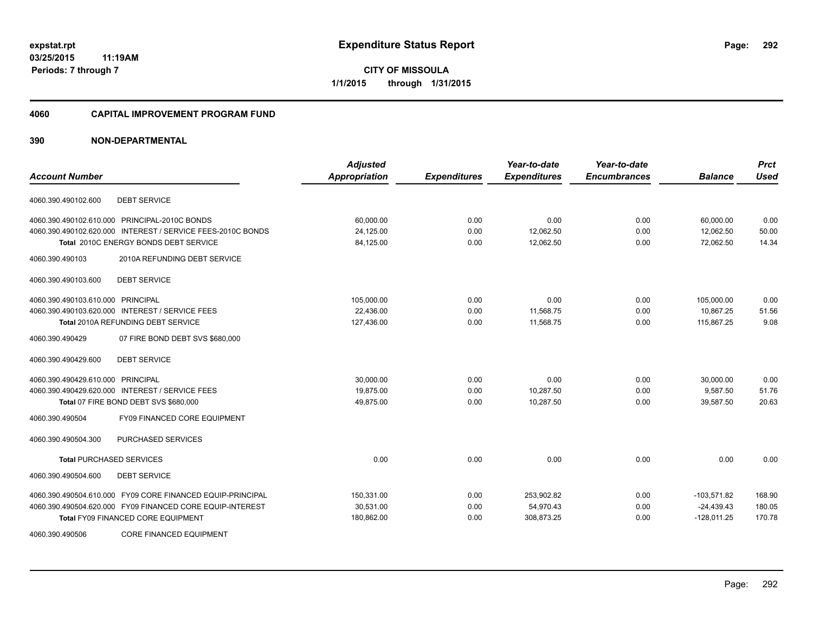**03/25/2015 11:19AM Periods: 7 through 7**

**CITY OF MISSOULA 1/1/2015 through 1/31/2015**

#### **4060 CAPITAL IMPROVEMENT PROGRAM FUND**

| <b>Account Number</b>                                       | <b>Adjusted</b><br><b>Appropriation</b> | <b>Expenditures</b> | Year-to-date<br><b>Expenditures</b> | Year-to-date<br><b>Encumbrances</b> | <b>Balance</b> | <b>Prct</b><br><b>Used</b> |
|-------------------------------------------------------------|-----------------------------------------|---------------------|-------------------------------------|-------------------------------------|----------------|----------------------------|
|                                                             |                                         |                     |                                     |                                     |                |                            |
| <b>DEBT SERVICE</b><br>4060.390.490102.600                  |                                         |                     |                                     |                                     |                |                            |
| 4060.390.490102.610.000 PRINCIPAL-2010C BONDS               | 60,000.00                               | 0.00                | 0.00                                | 0.00                                | 60,000.00      | 0.00                       |
| 4060.390.490102.620.000 INTEREST / SERVICE FEES-2010C BONDS | 24,125.00                               | 0.00                | 12,062.50                           | 0.00                                | 12,062.50      | 50.00                      |
| Total 2010C ENERGY BONDS DEBT SERVICE                       | 84,125.00                               | 0.00                | 12,062.50                           | 0.00                                | 72,062.50      | 14.34                      |
| 4060.390.490103<br>2010A REFUNDING DEBT SERVICE             |                                         |                     |                                     |                                     |                |                            |
| 4060.390.490103.600<br><b>DEBT SERVICE</b>                  |                                         |                     |                                     |                                     |                |                            |
| 4060.390.490103.610.000 PRINCIPAL                           | 105,000.00                              | 0.00                | 0.00                                | 0.00                                | 105,000.00     | 0.00                       |
| 4060.390.490103.620.000 INTEREST / SERVICE FEES             | 22,436.00                               | 0.00                | 11,568.75                           | 0.00                                | 10,867.25      | 51.56                      |
| <b>Total 2010A REFUNDING DEBT SERVICE</b>                   | 127,436.00                              | 0.00                | 11,568.75                           | 0.00                                | 115,867.25     | 9.08                       |
| 4060.390.490429<br>07 FIRE BOND DEBT SVS \$680,000          |                                         |                     |                                     |                                     |                |                            |
| <b>DEBT SERVICE</b><br>4060.390.490429.600                  |                                         |                     |                                     |                                     |                |                            |
| 4060.390.490429.610.000 PRINCIPAL                           | 30.000.00                               | 0.00                | 0.00                                | 0.00                                | 30.000.00      | 0.00                       |
| 4060.390.490429.620.000 INTEREST / SERVICE FEES             | 19,875.00                               | 0.00                | 10,287.50                           | 0.00                                | 9,587.50       | 51.76                      |
| Total 07 FIRE BOND DEBT SVS \$680,000                       | 49,875.00                               | 0.00                | 10,287.50                           | 0.00                                | 39,587.50      | 20.63                      |
| FY09 FINANCED CORE EQUIPMENT<br>4060.390.490504             |                                         |                     |                                     |                                     |                |                            |
| PURCHASED SERVICES<br>4060.390.490504.300                   |                                         |                     |                                     |                                     |                |                            |
| <b>Total PURCHASED SERVICES</b>                             | 0.00                                    | 0.00                | 0.00                                | 0.00                                | 0.00           | 0.00                       |
| 4060.390.490504.600<br><b>DEBT SERVICE</b>                  |                                         |                     |                                     |                                     |                |                            |
| 4060.390.490504.610.000 FY09 CORE FINANCED EQUIP-PRINCIPAL  | 150,331.00                              | 0.00                | 253,902.82                          | 0.00                                | $-103,571.82$  | 168.90                     |
| 4060.390.490504.620.000 FY09 FINANCED CORE EQUIP-INTEREST   | 30,531.00                               | 0.00                | 54,970.43                           | 0.00                                | $-24,439.43$   | 180.05                     |
| <b>Total FY09 FINANCED CORE EQUIPMENT</b>                   | 180,862.00                              | 0.00                | 308,873.25                          | 0.00                                | $-128,011.25$  | 170.78                     |
| <b>CORE FINANCED EQUIPMENT</b><br>4060.390.490506           |                                         |                     |                                     |                                     |                |                            |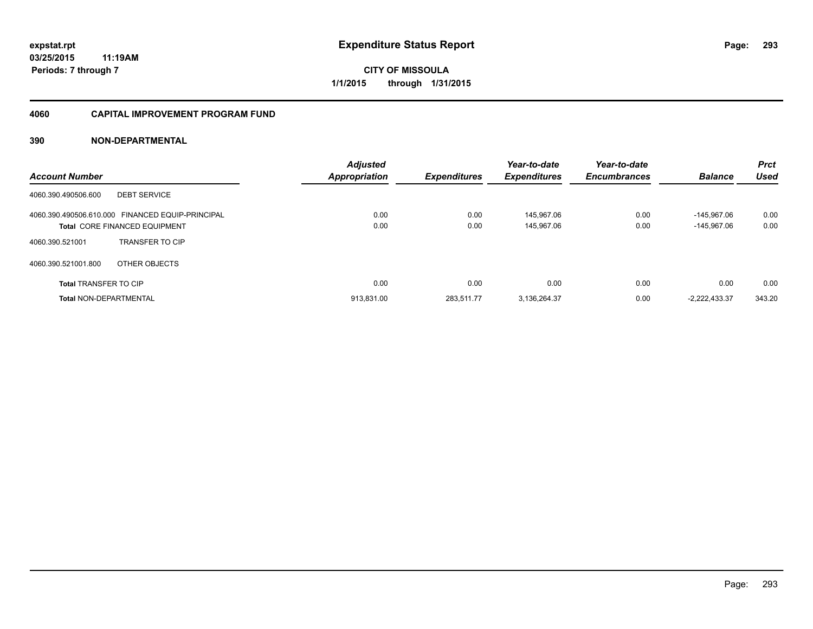#### **4060 CAPITAL IMPROVEMENT PROGRAM FUND**

| <b>Account Number</b>                                                                    | <b>Adjusted</b><br><b>Appropriation</b> | <b>Expenditures</b> | Year-to-date<br><b>Expenditures</b> | Year-to-date<br><b>Encumbrances</b> | <b>Balance</b>               | <b>Prct</b><br>Used |
|------------------------------------------------------------------------------------------|-----------------------------------------|---------------------|-------------------------------------|-------------------------------------|------------------------------|---------------------|
| <b>DEBT SERVICE</b><br>4060.390.490506.600                                               |                                         |                     |                                     |                                     |                              |                     |
| 4060.390.490506.610.000 FINANCED EQUIP-PRINCIPAL<br><b>Total CORE FINANCED EQUIPMENT</b> | 0.00<br>0.00                            | 0.00<br>0.00        | 145.967.06<br>145.967.06            | 0.00<br>0.00                        | $-145.967.06$<br>-145.967.06 | 0.00<br>0.00        |
| <b>TRANSFER TO CIP</b><br>4060.390.521001                                                |                                         |                     |                                     |                                     |                              |                     |
| 4060.390.521001.800<br>OTHER OBJECTS                                                     |                                         |                     |                                     |                                     |                              |                     |
| <b>Total TRANSFER TO CIP</b>                                                             | 0.00                                    | 0.00                | 0.00                                | 0.00                                | 0.00                         | 0.00                |
| <b>Total NON-DEPARTMENTAL</b>                                                            | 913.831.00                              | 283.511.77          | 3,136,264.37                        | 0.00                                | $-2.222.433.37$              | 343.20              |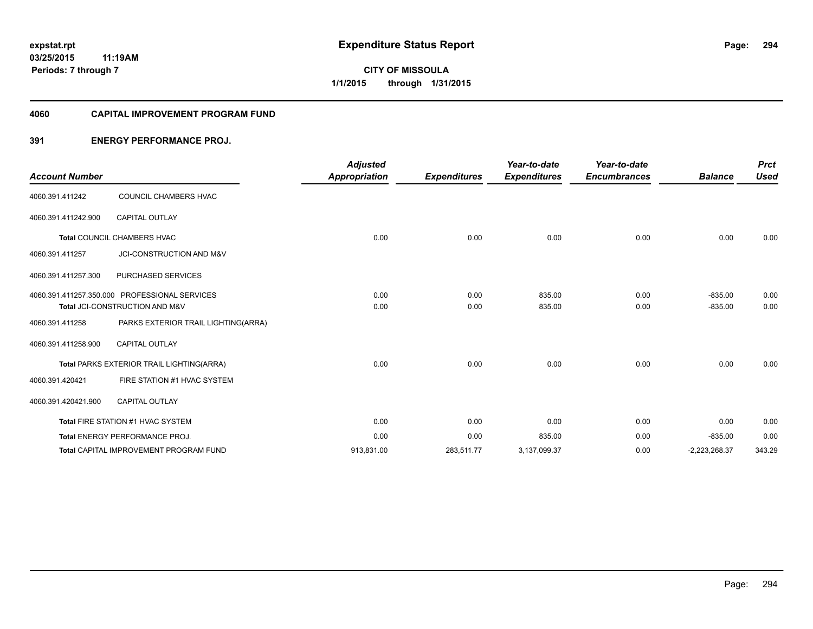#### **4060 CAPITAL IMPROVEMENT PROGRAM FUND**

#### **391 ENERGY PERFORMANCE PROJ.**

|                       |                                               | <b>Adjusted</b>      |                     | Year-to-date        | Year-to-date        |                 | <b>Prct</b> |
|-----------------------|-----------------------------------------------|----------------------|---------------------|---------------------|---------------------|-----------------|-------------|
| <b>Account Number</b> |                                               | <b>Appropriation</b> | <b>Expenditures</b> | <b>Expenditures</b> | <b>Encumbrances</b> | <b>Balance</b>  | <b>Used</b> |
| 4060.391.411242       | COUNCIL CHAMBERS HVAC                         |                      |                     |                     |                     |                 |             |
| 4060.391.411242.900   | <b>CAPITAL OUTLAY</b>                         |                      |                     |                     |                     |                 |             |
|                       | <b>Total COUNCIL CHAMBERS HVAC</b>            | 0.00                 | 0.00                | 0.00                | 0.00                | 0.00            | 0.00        |
| 4060.391.411257       | JCI-CONSTRUCTION AND M&V                      |                      |                     |                     |                     |                 |             |
| 4060.391.411257.300   | PURCHASED SERVICES                            |                      |                     |                     |                     |                 |             |
|                       | 4060.391.411257.350.000 PROFESSIONAL SERVICES | 0.00                 | 0.00                | 835.00              | 0.00                | $-835.00$       | 0.00        |
|                       | Total JCI-CONSTRUCTION AND M&V                | 0.00                 | 0.00                | 835.00              | 0.00                | $-835.00$       | 0.00        |
| 4060.391.411258       | PARKS EXTERIOR TRAIL LIGHTING(ARRA)           |                      |                     |                     |                     |                 |             |
| 4060.391.411258.900   | <b>CAPITAL OUTLAY</b>                         |                      |                     |                     |                     |                 |             |
|                       | Total PARKS EXTERIOR TRAIL LIGHTING(ARRA)     | 0.00                 | 0.00                | 0.00                | 0.00                | 0.00            | 0.00        |
| 4060.391.420421       | FIRE STATION #1 HVAC SYSTEM                   |                      |                     |                     |                     |                 |             |
| 4060.391.420421.900   | <b>CAPITAL OUTLAY</b>                         |                      |                     |                     |                     |                 |             |
|                       | Total FIRE STATION #1 HVAC SYSTEM             | 0.00                 | 0.00                | 0.00                | 0.00                | 0.00            | 0.00        |
|                       | <b>Total ENERGY PERFORMANCE PROJ.</b>         | 0.00                 | 0.00                | 835.00              | 0.00                | $-835.00$       | 0.00        |
|                       | <b>Total CAPITAL IMPROVEMENT PROGRAM FUND</b> | 913,831.00           | 283,511.77          | 3,137,099.37        | 0.00                | $-2,223,268.37$ | 343.29      |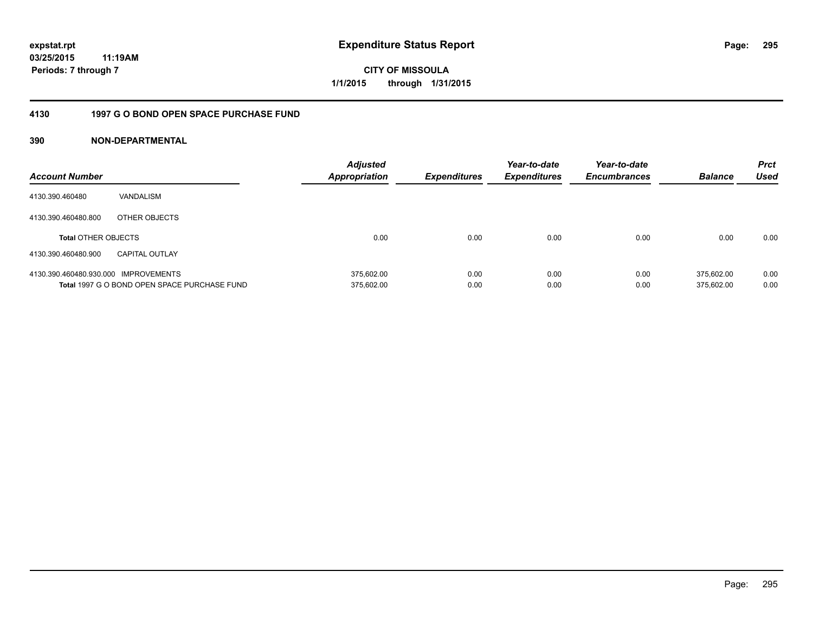**03/25/2015 11:19AM Periods: 7 through 7**

**CITY OF MISSOULA 1/1/2015 through 1/31/2015**

#### **4130 1997 G O BOND OPEN SPACE PURCHASE FUND**

| <b>Account Number</b>                |                                              | <b>Adjusted</b><br>Appropriation | <b>Expenditures</b> | Year-to-date<br><b>Expenditures</b> | Year-to-date<br><b>Encumbrances</b> | <b>Balance</b> | <b>Prct</b><br>Used |
|--------------------------------------|----------------------------------------------|----------------------------------|---------------------|-------------------------------------|-------------------------------------|----------------|---------------------|
| 4130.390.460480                      | VANDALISM                                    |                                  |                     |                                     |                                     |                |                     |
| 4130.390.460480.800                  | OTHER OBJECTS                                |                                  |                     |                                     |                                     |                |                     |
| <b>Total OTHER OBJECTS</b>           |                                              | 0.00                             | 0.00                | 0.00                                | 0.00                                | 0.00           | 0.00                |
| 4130.390.460480.900                  | <b>CAPITAL OUTLAY</b>                        |                                  |                     |                                     |                                     |                |                     |
| 4130.390.460480.930.000 IMPROVEMENTS |                                              | 375.602.00                       | 0.00                | 0.00                                | 0.00                                | 375.602.00     | 0.00                |
|                                      | Total 1997 G O BOND OPEN SPACE PURCHASE FUND | 375,602.00                       | 0.00                | 0.00                                | 0.00                                | 375.602.00     | 0.00                |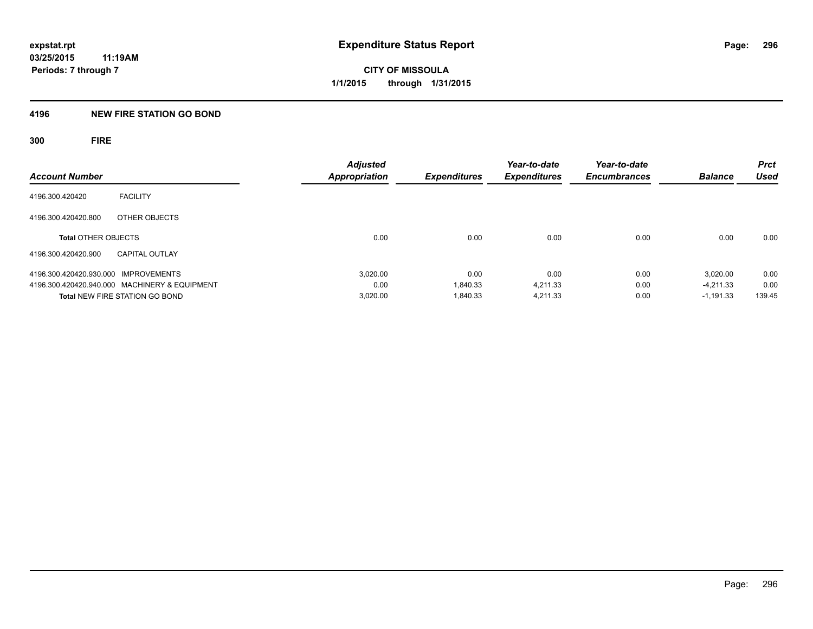#### **4196 NEW FIRE STATION GO BOND**

**300 FIRE**

|                                               | <b>Adjusted</b>      |                     | Year-to-date        | Year-to-date        |                | <b>Prct</b> |
|-----------------------------------------------|----------------------|---------------------|---------------------|---------------------|----------------|-------------|
| <b>Account Number</b>                         | <b>Appropriation</b> | <b>Expenditures</b> | <b>Expenditures</b> | <b>Encumbrances</b> | <b>Balance</b> | <b>Used</b> |
| <b>FACILITY</b><br>4196.300.420420            |                      |                     |                     |                     |                |             |
| OTHER OBJECTS<br>4196.300.420420.800          |                      |                     |                     |                     |                |             |
| <b>Total OTHER OBJECTS</b>                    | 0.00                 | 0.00                | 0.00                | 0.00                | 0.00           | 0.00        |
| 4196.300.420420.900<br><b>CAPITAL OUTLAY</b>  |                      |                     |                     |                     |                |             |
| 4196.300.420420.930.000 IMPROVEMENTS          | 3.020.00             | 0.00                | 0.00                | 0.00                | 3.020.00       | 0.00        |
| 4196.300.420420.940.000 MACHINERY & EQUIPMENT | 0.00                 | 1.840.33            | 4.211.33            | 0.00                | $-4.211.33$    | 0.00        |
| <b>Total NEW FIRE STATION GO BOND</b>         | 3.020.00             | 1,840.33            | 4.211.33            | 0.00                | $-1.191.33$    | 139.45      |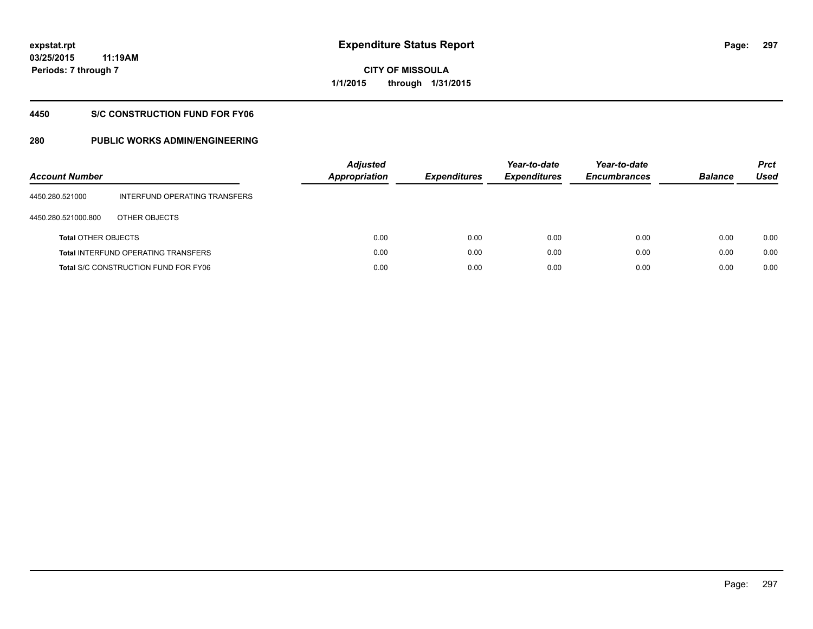**03/25/2015 11:19AM Periods: 7 through 7**

**CITY OF MISSOULA 1/1/2015 through 1/31/2015**

#### **4450 S/C CONSTRUCTION FUND FOR FY06**

| <b>Account Number</b>      |                                             | <b>Adjusted</b><br>Appropriation | <b>Expenditures</b> | Year-to-date<br><b>Expenditures</b> | Year-to-date<br><b>Encumbrances</b> | <b>Balance</b> | <b>Prct</b><br>Used |
|----------------------------|---------------------------------------------|----------------------------------|---------------------|-------------------------------------|-------------------------------------|----------------|---------------------|
| 4450.280.521000            | INTERFUND OPERATING TRANSFERS               |                                  |                     |                                     |                                     |                |                     |
| 4450.280.521000.800        | OTHER OBJECTS                               |                                  |                     |                                     |                                     |                |                     |
| <b>Total OTHER OBJECTS</b> |                                             | 0.00                             | 0.00                | 0.00                                | 0.00                                | 0.00           | 0.00                |
|                            | <b>Total INTERFUND OPERATING TRANSFERS</b>  | 0.00                             | 0.00                | 0.00                                | 0.00                                | 0.00           | 0.00                |
|                            | <b>Total S/C CONSTRUCTION FUND FOR FY06</b> | 0.00                             | 0.00                | 0.00                                | 0.00                                | 0.00           | 0.00                |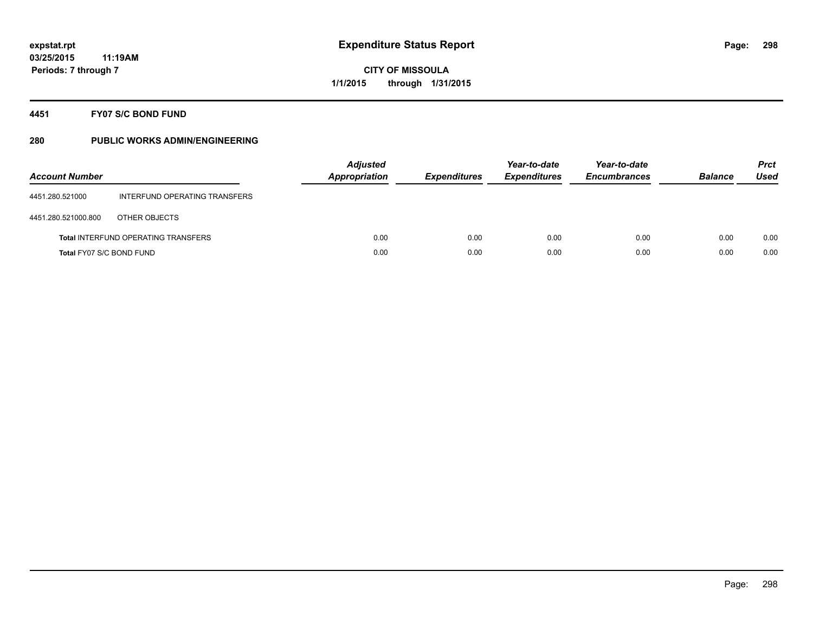#### **4451 FY07 S/C BOND FUND**

| <b>Account Number</b>    |                                            | <b>Adjusted</b><br><b>Appropriation</b> | <b>Expenditures</b> | Year-to-date<br><b>Expenditures</b> | Year-to-date<br><b>Encumbrances</b> | <b>Balance</b> | <b>Prct</b><br>Used |
|--------------------------|--------------------------------------------|-----------------------------------------|---------------------|-------------------------------------|-------------------------------------|----------------|---------------------|
| 4451.280.521000          | INTERFUND OPERATING TRANSFERS              |                                         |                     |                                     |                                     |                |                     |
| 4451.280.521000.800      | OTHER OBJECTS                              |                                         |                     |                                     |                                     |                |                     |
|                          | <b>Total INTERFUND OPERATING TRANSFERS</b> | 0.00                                    | 0.00                | 0.00                                | 0.00                                | 0.00           | 0.00                |
| Total FY07 S/C BOND FUND |                                            | 0.00                                    | 0.00                | 0.00                                | 0.00                                | 0.00           | 0.00                |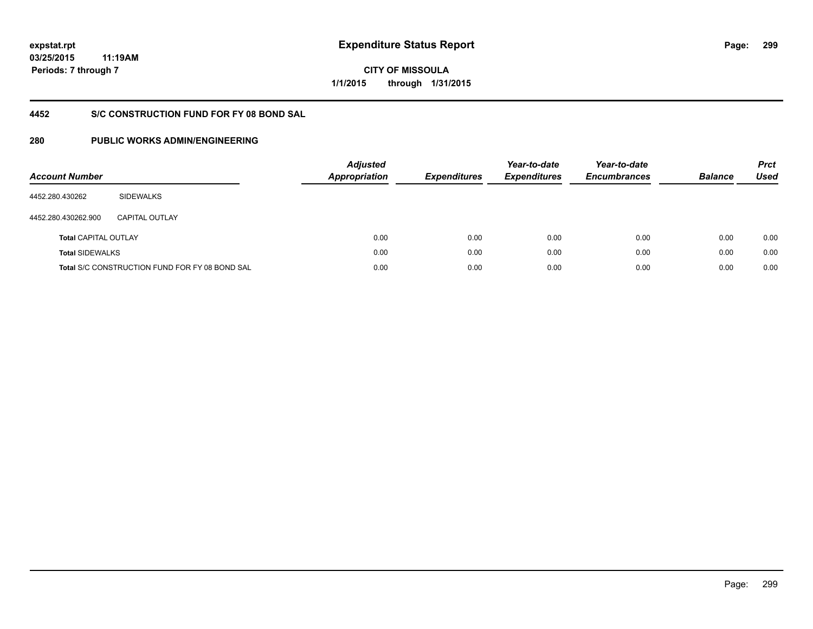**03/25/2015 11:19AM Periods: 7 through 7**

**CITY OF MISSOULA 1/1/2015 through 1/31/2015**

#### **4452 S/C CONSTRUCTION FUND FOR FY 08 BOND SAL**

| <b>Account Number</b>       |                                                       | <b>Adjusted</b><br>Appropriation | <b>Expenditures</b> | Year-to-date<br><b>Expenditures</b> | Year-to-date<br><b>Encumbrances</b> | <b>Balance</b> | <b>Prct</b><br><b>Used</b> |
|-----------------------------|-------------------------------------------------------|----------------------------------|---------------------|-------------------------------------|-------------------------------------|----------------|----------------------------|
| 4452.280.430262             | <b>SIDEWALKS</b>                                      |                                  |                     |                                     |                                     |                |                            |
| 4452.280.430262.900         | CAPITAL OUTLAY                                        |                                  |                     |                                     |                                     |                |                            |
| <b>Total CAPITAL OUTLAY</b> |                                                       | 0.00                             | 0.00                | 0.00                                | 0.00                                | 0.00           | 0.00                       |
| <b>Total SIDEWALKS</b>      |                                                       | 0.00                             | 0.00                | 0.00                                | 0.00                                | 0.00           | 0.00                       |
|                             | <b>Total S/C CONSTRUCTION FUND FOR FY 08 BOND SAL</b> | 0.00                             | 0.00                | 0.00                                | 0.00                                | 0.00           | 0.00                       |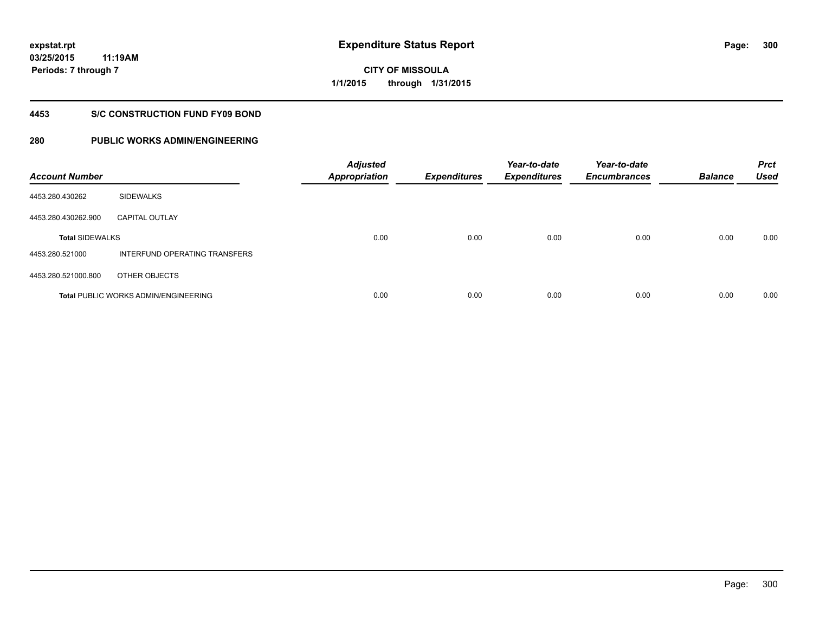**03/25/2015 11:19AM Periods: 7 through 7**

# **CITY OF MISSOULA 1/1/2015 through 1/31/2015**

#### **4453 S/C CONSTRUCTION FUND FY09 BOND**

| <b>Account Number</b>  |                                      | <b>Adjusted</b><br><b>Appropriation</b> | <b>Expenditures</b> | Year-to-date<br><b>Expenditures</b> | Year-to-date<br><b>Encumbrances</b> | <b>Balance</b> | <b>Prct</b><br><b>Used</b> |
|------------------------|--------------------------------------|-----------------------------------------|---------------------|-------------------------------------|-------------------------------------|----------------|----------------------------|
| 4453.280.430262        | <b>SIDEWALKS</b>                     |                                         |                     |                                     |                                     |                |                            |
| 4453.280.430262.900    | <b>CAPITAL OUTLAY</b>                |                                         |                     |                                     |                                     |                |                            |
| <b>Total SIDEWALKS</b> |                                      | 0.00                                    | 0.00                | 0.00                                | 0.00                                | 0.00           | 0.00                       |
| 4453.280.521000        | INTERFUND OPERATING TRANSFERS        |                                         |                     |                                     |                                     |                |                            |
| 4453.280.521000.800    | OTHER OBJECTS                        |                                         |                     |                                     |                                     |                |                            |
|                        | Total PUBLIC WORKS ADMIN/ENGINEERING | 0.00                                    | 0.00                | 0.00                                | 0.00                                | 0.00           | 0.00                       |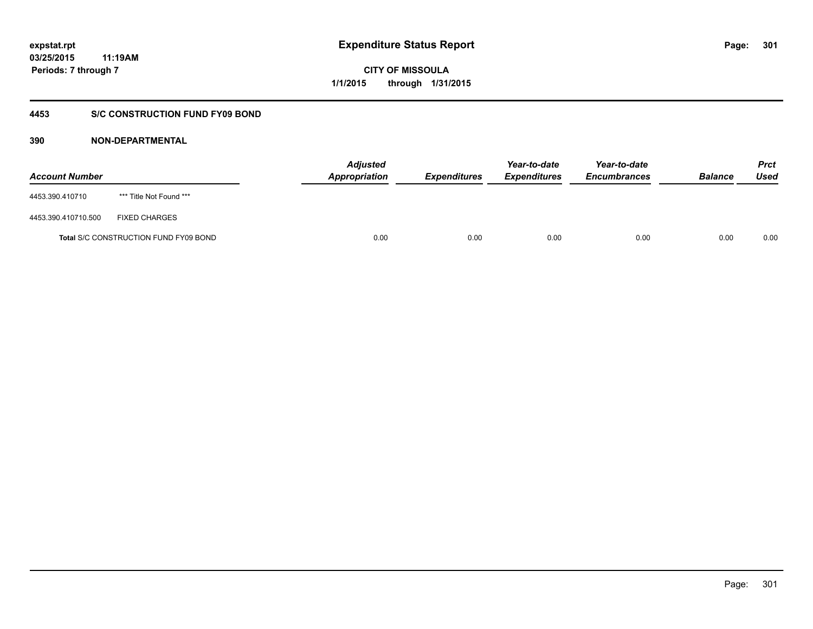### **03/25/2015 11:19AM Periods: 7 through 7**

**CITY OF MISSOULA 1/1/2015 through 1/31/2015**

### **4453 S/C CONSTRUCTION FUND FY09 BOND**

| <b>Account Number</b> |                                       | <b>Adjusted</b><br>Appropriation | <b>Expenditures</b> | Year-to-date<br><b>Expenditures</b> | Year-to-date<br><b>Encumbrances</b> | <b>Balance</b> | Prct<br><b>Used</b> |
|-----------------------|---------------------------------------|----------------------------------|---------------------|-------------------------------------|-------------------------------------|----------------|---------------------|
| 4453.390.410710       | *** Title Not Found ***               |                                  |                     |                                     |                                     |                |                     |
| 4453.390.410710.500   | <b>FIXED CHARGES</b>                  |                                  |                     |                                     |                                     |                |                     |
|                       | Total S/C CONSTRUCTION FUND FY09 BOND | 0.00                             | 0.00                | 0.00                                | 0.00                                | 0.00           | 0.00                |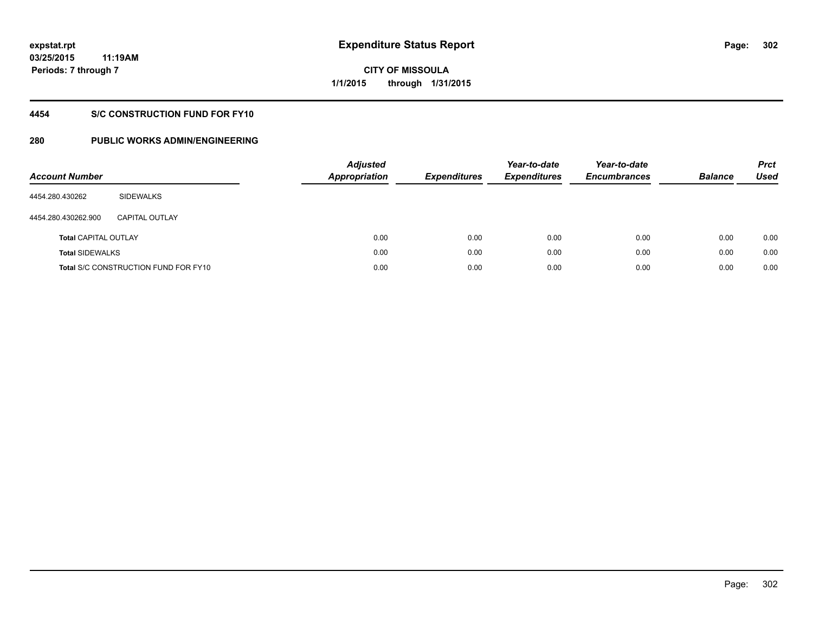**03/25/2015 11:19AM Periods: 7 through 7**

# **CITY OF MISSOULA 1/1/2015 through 1/31/2015**

### **4454 S/C CONSTRUCTION FUND FOR FY10**

| <b>Account Number</b>       |                                             | <b>Adjusted</b><br><b>Appropriation</b> | <b>Expenditures</b> | Year-to-date<br><b>Expenditures</b> | Year-to-date<br><b>Encumbrances</b> | <b>Balance</b> | <b>Prct</b><br>Used |
|-----------------------------|---------------------------------------------|-----------------------------------------|---------------------|-------------------------------------|-------------------------------------|----------------|---------------------|
| 4454.280.430262             | SIDEWALKS                                   |                                         |                     |                                     |                                     |                |                     |
| 4454.280.430262.900         | <b>CAPITAL OUTLAY</b>                       |                                         |                     |                                     |                                     |                |                     |
| <b>Total CAPITAL OUTLAY</b> |                                             | 0.00                                    | 0.00                | 0.00                                | 0.00                                | 0.00           | 0.00                |
| <b>Total SIDEWALKS</b>      |                                             | 0.00                                    | 0.00                | 0.00                                | 0.00                                | 0.00           | 0.00                |
|                             | <b>Total S/C CONSTRUCTION FUND FOR FY10</b> | 0.00                                    | 0.00                | 0.00                                | 0.00                                | 0.00           | 0.00                |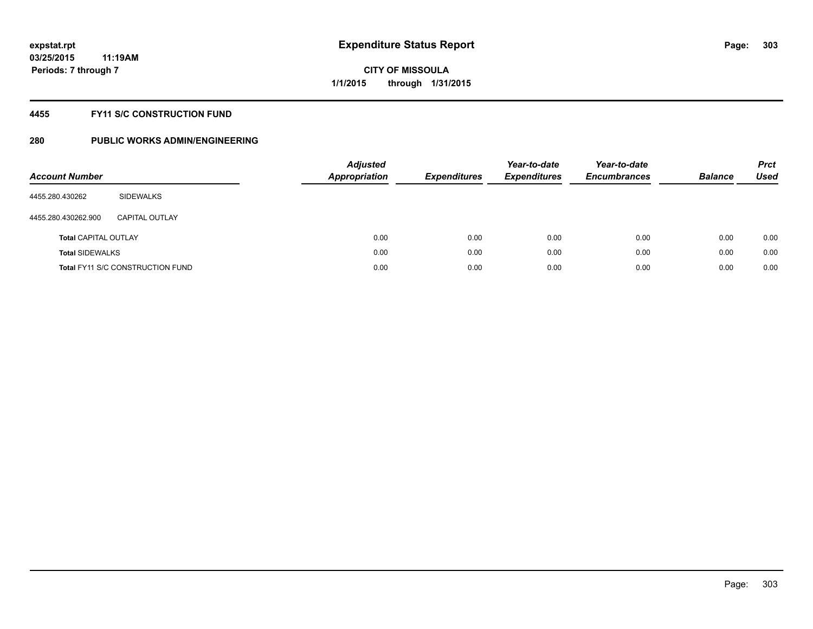#### **4455 FY11 S/C CONSTRUCTION FUND**

| <b>Account Number</b>       |                                         | <b>Adjusted</b><br><b>Appropriation</b> | <b>Expenditures</b> | Year-to-date<br><b>Expenditures</b> | Year-to-date<br><b>Encumbrances</b> | <b>Balance</b> | <b>Prct</b><br>Used |
|-----------------------------|-----------------------------------------|-----------------------------------------|---------------------|-------------------------------------|-------------------------------------|----------------|---------------------|
| 4455.280.430262             | SIDEWALKS                               |                                         |                     |                                     |                                     |                |                     |
| 4455.280.430262.900         | CAPITAL OUTLAY                          |                                         |                     |                                     |                                     |                |                     |
| <b>Total CAPITAL OUTLAY</b> |                                         | 0.00                                    | 0.00                | 0.00                                | 0.00                                | 0.00           | 0.00                |
| <b>Total SIDEWALKS</b>      |                                         | 0.00                                    | 0.00                | 0.00                                | 0.00                                | 0.00           | 0.00                |
|                             | <b>Total FY11 S/C CONSTRUCTION FUND</b> | 0.00                                    | 0.00                | 0.00                                | 0.00                                | 0.00           | 0.00                |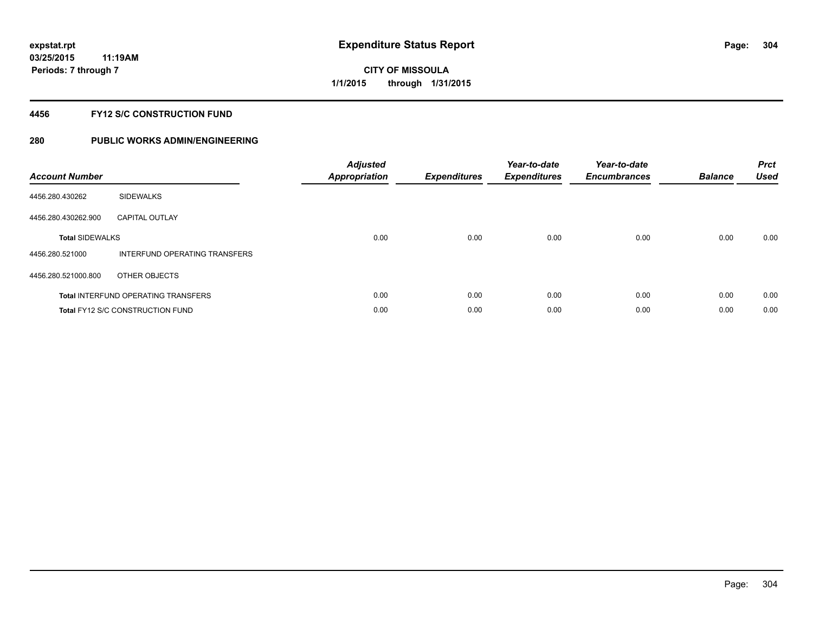#### **4456 FY12 S/C CONSTRUCTION FUND**

| <b>Account Number</b>  |                                            | <b>Adjusted</b><br><b>Appropriation</b> | <b>Expenditures</b> | Year-to-date<br><b>Expenditures</b> | Year-to-date<br><b>Encumbrances</b> | <b>Balance</b> | <b>Prct</b><br>Used |
|------------------------|--------------------------------------------|-----------------------------------------|---------------------|-------------------------------------|-------------------------------------|----------------|---------------------|
| 4456.280.430262        | <b>SIDEWALKS</b>                           |                                         |                     |                                     |                                     |                |                     |
| 4456.280.430262.900    | <b>CAPITAL OUTLAY</b>                      |                                         |                     |                                     |                                     |                |                     |
| <b>Total SIDEWALKS</b> |                                            | 0.00                                    | 0.00                | 0.00                                | 0.00                                | 0.00           | 0.00                |
| 4456.280.521000        | INTERFUND OPERATING TRANSFERS              |                                         |                     |                                     |                                     |                |                     |
| 4456.280.521000.800    | OTHER OBJECTS                              |                                         |                     |                                     |                                     |                |                     |
|                        | <b>Total INTERFUND OPERATING TRANSFERS</b> | 0.00                                    | 0.00                | 0.00                                | 0.00                                | 0.00           | 0.00                |
|                        | <b>Total FY12 S/C CONSTRUCTION FUND</b>    | 0.00                                    | 0.00                | 0.00                                | 0.00                                | 0.00           | 0.00                |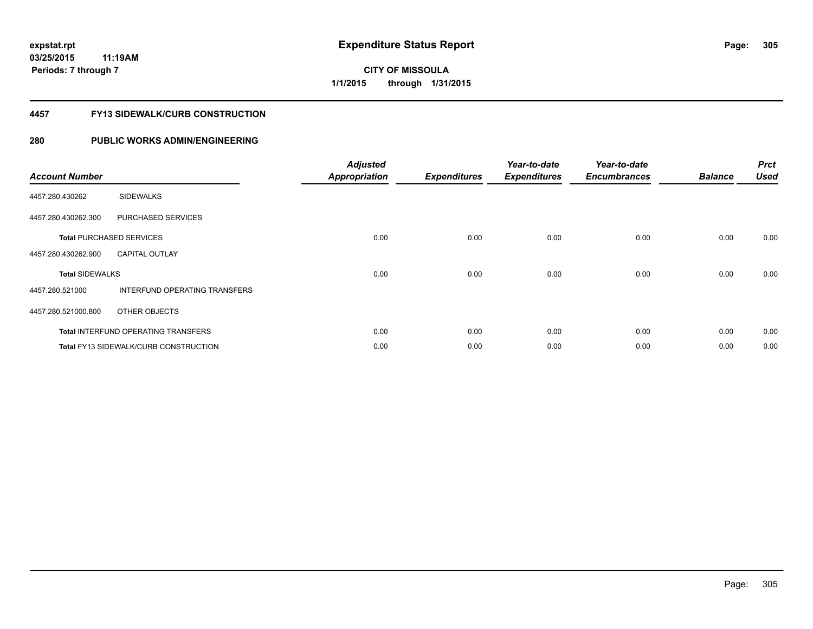**03/25/2015 11:19AM Periods: 7 through 7**

# **CITY OF MISSOULA 1/1/2015 through 1/31/2015**

#### **4457 FY13 SIDEWALK/CURB CONSTRUCTION**

| <b>Account Number</b>  |                                              | <b>Adjusted</b><br><b>Appropriation</b> | <b>Expenditures</b> | Year-to-date<br><b>Expenditures</b> | Year-to-date<br><b>Encumbrances</b> | <b>Balance</b> | <b>Prct</b><br><b>Used</b> |
|------------------------|----------------------------------------------|-----------------------------------------|---------------------|-------------------------------------|-------------------------------------|----------------|----------------------------|
| 4457.280.430262        | <b>SIDEWALKS</b>                             |                                         |                     |                                     |                                     |                |                            |
| 4457.280.430262.300    | PURCHASED SERVICES                           |                                         |                     |                                     |                                     |                |                            |
|                        | <b>Total PURCHASED SERVICES</b>              | 0.00                                    | 0.00                | 0.00                                | 0.00                                | 0.00           | 0.00                       |
| 4457.280.430262.900    | <b>CAPITAL OUTLAY</b>                        |                                         |                     |                                     |                                     |                |                            |
| <b>Total SIDEWALKS</b> |                                              | 0.00                                    | 0.00                | 0.00                                | 0.00                                | 0.00           | 0.00                       |
| 4457.280.521000        | INTERFUND OPERATING TRANSFERS                |                                         |                     |                                     |                                     |                |                            |
| 4457.280.521000.800    | OTHER OBJECTS                                |                                         |                     |                                     |                                     |                |                            |
|                        | <b>Total INTERFUND OPERATING TRANSFERS</b>   | 0.00                                    | 0.00                | 0.00                                | 0.00                                | 0.00           | 0.00                       |
|                        | <b>Total FY13 SIDEWALK/CURB CONSTRUCTION</b> | 0.00                                    | 0.00                | 0.00                                | 0.00                                | 0.00           | 0.00                       |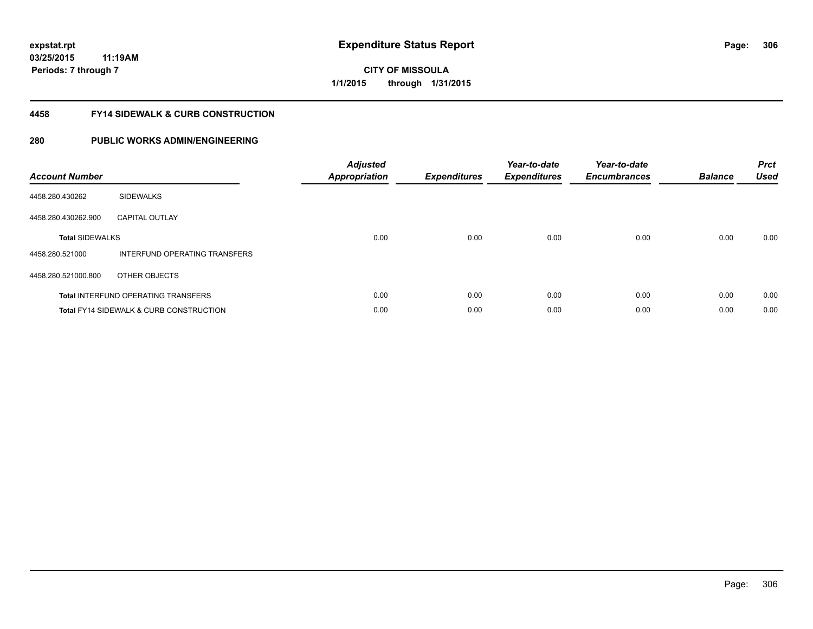**03/25/2015 11:19AM Periods: 7 through 7**

# **CITY OF MISSOULA 1/1/2015 through 1/31/2015**

#### **4458 FY14 SIDEWALK & CURB CONSTRUCTION**

| <b>Account Number</b>  |                                                    | <b>Adjusted</b><br>Appropriation | <b>Expenditures</b> | Year-to-date<br><b>Expenditures</b> | Year-to-date<br><b>Encumbrances</b> | <b>Balance</b> | <b>Prct</b><br><b>Used</b> |
|------------------------|----------------------------------------------------|----------------------------------|---------------------|-------------------------------------|-------------------------------------|----------------|----------------------------|
| 4458.280.430262        | <b>SIDEWALKS</b>                                   |                                  |                     |                                     |                                     |                |                            |
| 4458.280.430262.900    | <b>CAPITAL OUTLAY</b>                              |                                  |                     |                                     |                                     |                |                            |
| <b>Total SIDEWALKS</b> |                                                    | 0.00                             | 0.00                | 0.00                                | 0.00                                | 0.00           | 0.00                       |
| 4458.280.521000        | INTERFUND OPERATING TRANSFERS                      |                                  |                     |                                     |                                     |                |                            |
| 4458.280.521000.800    | OTHER OBJECTS                                      |                                  |                     |                                     |                                     |                |                            |
|                        | <b>Total INTERFUND OPERATING TRANSFERS</b>         | 0.00                             | 0.00                | 0.00                                | 0.00                                | 0.00           | 0.00                       |
|                        | <b>Total FY14 SIDEWALK &amp; CURB CONSTRUCTION</b> | 0.00                             | 0.00                | 0.00                                | 0.00                                | 0.00           | 0.00                       |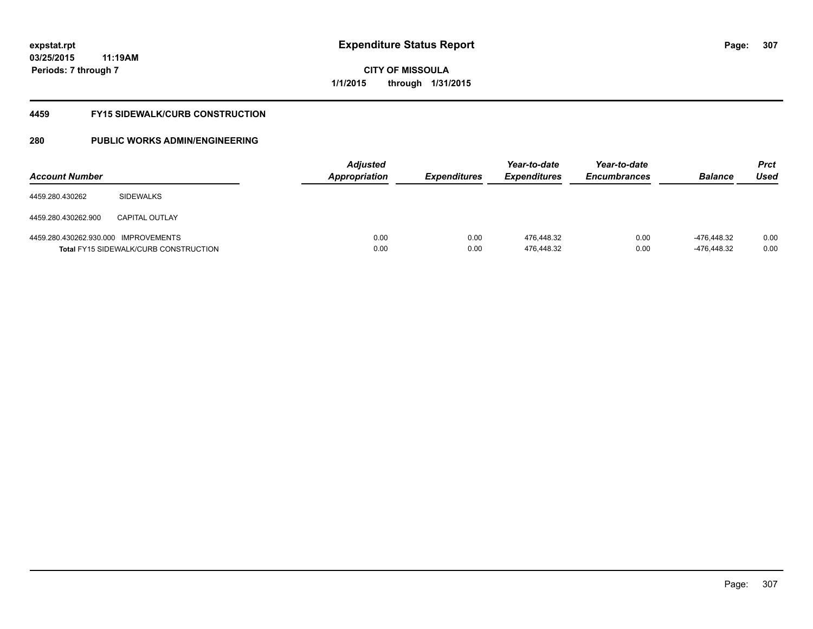**03/25/2015 11:19AM Periods: 7 through 7**

**CITY OF MISSOULA 1/1/2015 through 1/31/2015**

#### **4459 FY15 SIDEWALK/CURB CONSTRUCTION**

| <b>Account Number</b>                |                                              | <b>Adjusted</b><br><b>Appropriation</b> | <i><b>Expenditures</b></i> | Year-to-date<br><i><b>Expenditures</b></i> | Year-to-date<br><b>Encumbrances</b> | <b>Balance</b>             | <b>Prct</b><br>Used |
|--------------------------------------|----------------------------------------------|-----------------------------------------|----------------------------|--------------------------------------------|-------------------------------------|----------------------------|---------------------|
| 4459.280.430262                      | <b>SIDEWALKS</b>                             |                                         |                            |                                            |                                     |                            |                     |
| 4459.280.430262.900                  | <b>CAPITAL OUTLAY</b>                        |                                         |                            |                                            |                                     |                            |                     |
| 4459.280.430262.930.000 IMPROVEMENTS | <b>Total FY15 SIDEWALK/CURB CONSTRUCTION</b> | 0.00<br>0.00                            | 0.00<br>0.00               | 476.448.32<br>476,448.32                   | 0.00<br>0.00                        | -476.448.32<br>-476,448.32 | 0.00<br>0.00        |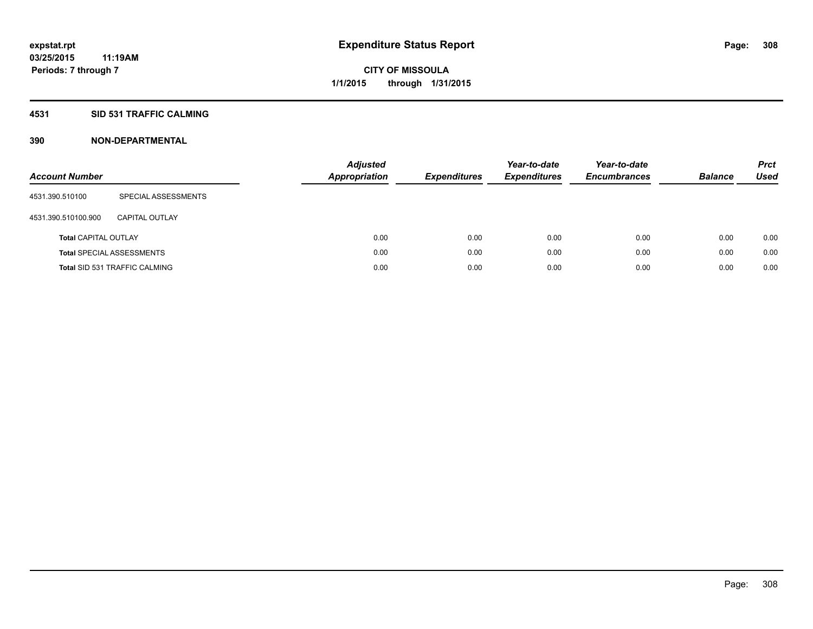#### **4531 SID 531 TRAFFIC CALMING**

| <b>Account Number</b>       |                                      | <b>Adjusted</b><br><b>Appropriation</b> | <b>Expenditures</b> | Year-to-date<br><b>Expenditures</b> | Year-to-date<br><b>Encumbrances</b> | <b>Balance</b> | <b>Prct</b><br>Used |
|-----------------------------|--------------------------------------|-----------------------------------------|---------------------|-------------------------------------|-------------------------------------|----------------|---------------------|
| 4531.390.510100             | SPECIAL ASSESSMENTS                  |                                         |                     |                                     |                                     |                |                     |
| 4531.390.510100.900         | CAPITAL OUTLAY                       |                                         |                     |                                     |                                     |                |                     |
| <b>Total CAPITAL OUTLAY</b> |                                      | 0.00                                    | 0.00                | 0.00                                | 0.00                                | 0.00           | 0.00                |
|                             | <b>Total SPECIAL ASSESSMENTS</b>     | 0.00                                    | 0.00                | 0.00                                | 0.00                                | 0.00           | 0.00                |
|                             | <b>Total SID 531 TRAFFIC CALMING</b> | 0.00                                    | 0.00                | 0.00                                | 0.00                                | 0.00           | 0.00                |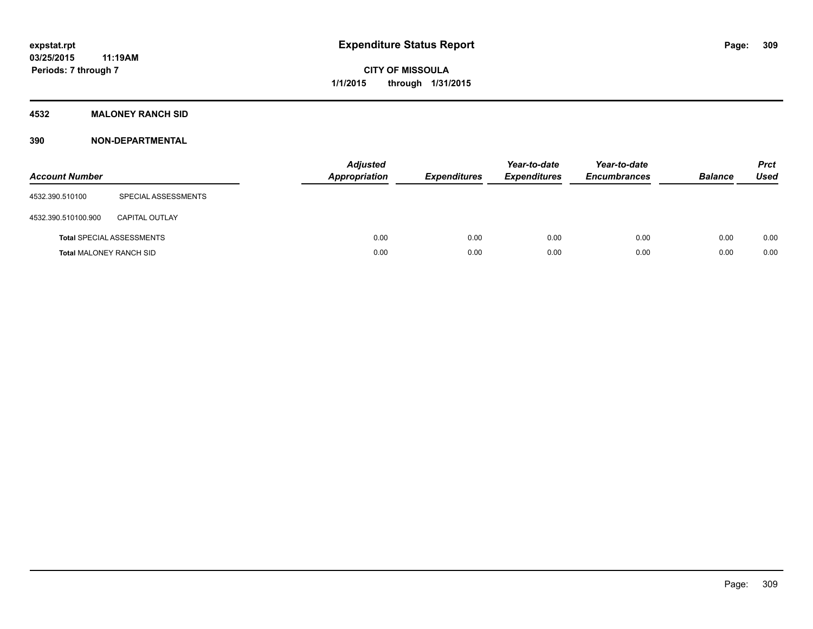### **4532 MALONEY RANCH SID**

| <b>Account Number</b>          |                                  | <b>Adjusted</b><br><b>Appropriation</b> | <b>Expenditures</b> | Year-to-date<br><b>Expenditures</b> | Year-to-date<br><b>Encumbrances</b> | <b>Balance</b> | <b>Prct</b><br><b>Used</b> |
|--------------------------------|----------------------------------|-----------------------------------------|---------------------|-------------------------------------|-------------------------------------|----------------|----------------------------|
| 4532.390.510100                | SPECIAL ASSESSMENTS              |                                         |                     |                                     |                                     |                |                            |
| 4532.390.510100.900            | <b>CAPITAL OUTLAY</b>            |                                         |                     |                                     |                                     |                |                            |
|                                | <b>Total SPECIAL ASSESSMENTS</b> | 0.00                                    | 0.00                | 0.00                                | 0.00                                | 0.00           | 0.00                       |
| <b>Total MALONEY RANCH SID</b> |                                  | 0.00                                    | 0.00                | 0.00                                | 0.00                                | 0.00           | 0.00                       |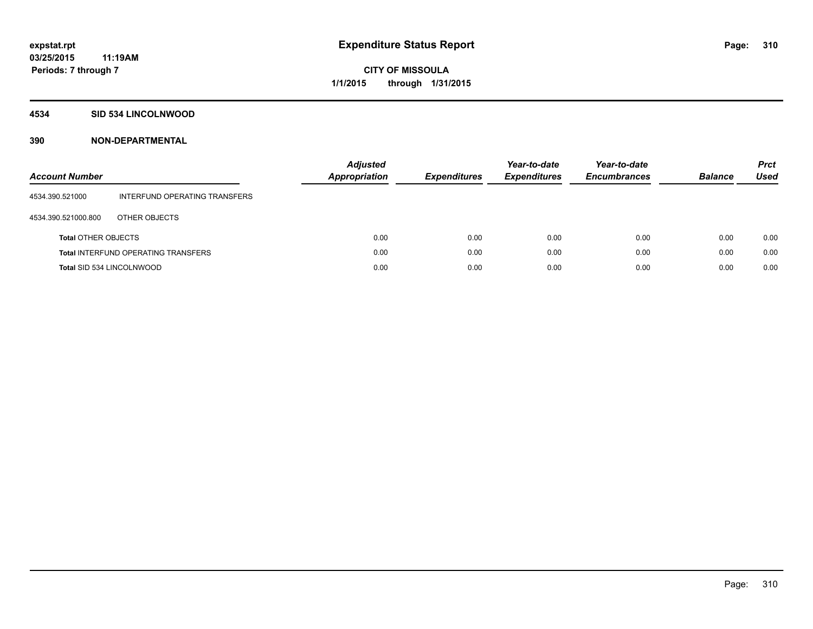#### **4534 SID 534 LINCOLNWOOD**

| <b>Account Number</b>      |                                            | <b>Adjusted</b><br>Appropriation | <b>Expenditures</b> | Year-to-date<br><b>Expenditures</b> | Year-to-date<br><b>Encumbrances</b> | <b>Balance</b> | <b>Prct</b><br>Used |
|----------------------------|--------------------------------------------|----------------------------------|---------------------|-------------------------------------|-------------------------------------|----------------|---------------------|
| 4534.390.521000            | INTERFUND OPERATING TRANSFERS              |                                  |                     |                                     |                                     |                |                     |
| 4534.390.521000.800        | OTHER OBJECTS                              |                                  |                     |                                     |                                     |                |                     |
| <b>Total OTHER OBJECTS</b> |                                            | 0.00                             | 0.00                | 0.00                                | 0.00                                | 0.00           | 0.00                |
|                            | <b>Total INTERFUND OPERATING TRANSFERS</b> | 0.00                             | 0.00                | 0.00                                | 0.00                                | 0.00           | 0.00                |
| Total SID 534 LINCOLNWOOD  |                                            | 0.00                             | 0.00                | 0.00                                | 0.00                                | 0.00           | 0.00                |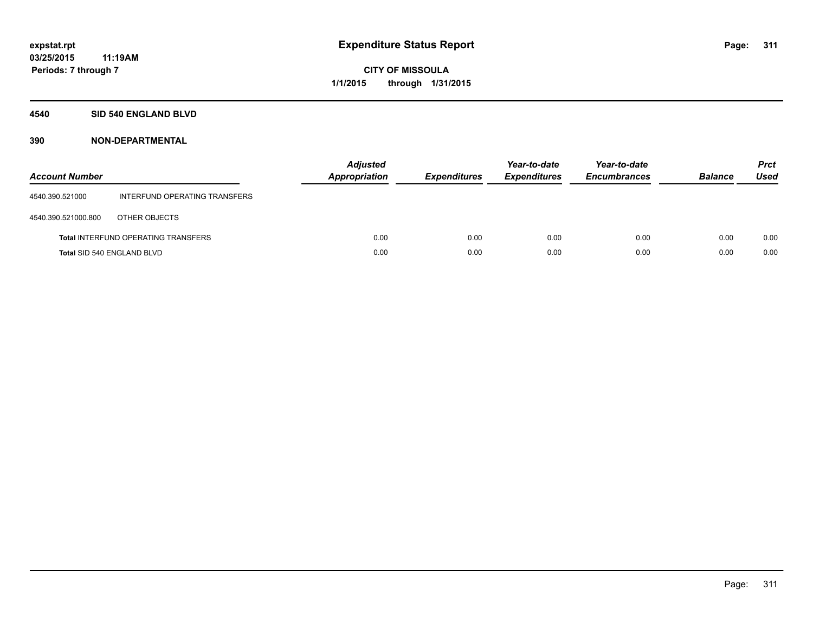#### **4540 SID 540 ENGLAND BLVD**

| <b>Account Number</b>      |                                            | <b>Adjusted</b><br><b>Appropriation</b> | <b>Expenditures</b> | Year-to-date<br><b>Expenditures</b> | Year-to-date<br><b>Encumbrances</b> | <b>Balance</b> | <b>Prct</b><br><b>Used</b> |
|----------------------------|--------------------------------------------|-----------------------------------------|---------------------|-------------------------------------|-------------------------------------|----------------|----------------------------|
| 4540.390.521000            | INTERFUND OPERATING TRANSFERS              |                                         |                     |                                     |                                     |                |                            |
| 4540.390.521000.800        | OTHER OBJECTS                              |                                         |                     |                                     |                                     |                |                            |
|                            | <b>Total INTERFUND OPERATING TRANSFERS</b> | 0.00                                    | 0.00                | 0.00                                | 0.00                                | 0.00           | 0.00                       |
| Total SID 540 ENGLAND BLVD |                                            | 0.00                                    | 0.00                | 0.00                                | 0.00                                | 0.00           | 0.00                       |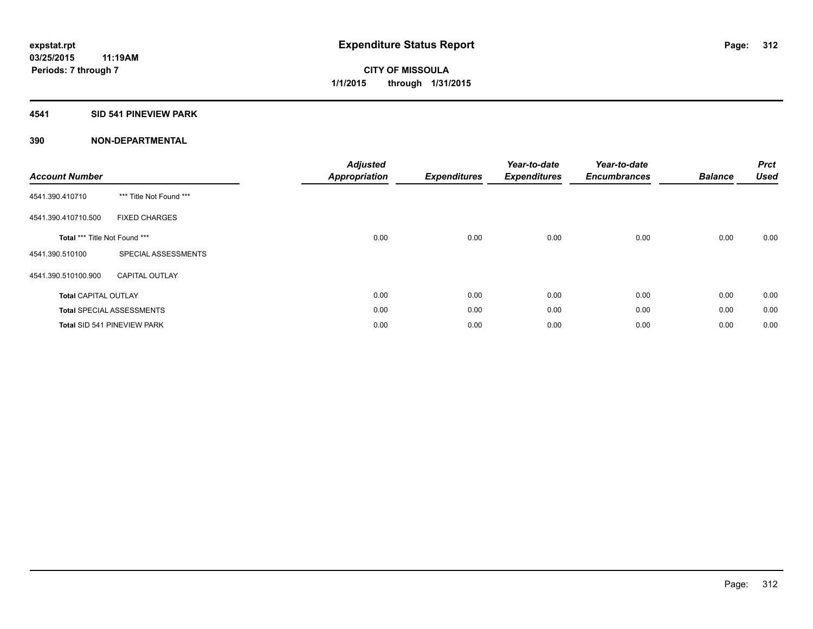#### **4541 SID 541 PINEVIEW PARK**

| <b>Account Number</b>         |                                    | <b>Adjusted</b><br><b>Appropriation</b> | <b>Expenditures</b> | Year-to-date<br><b>Expenditures</b> | Year-to-date<br><b>Encumbrances</b> | <b>Balance</b> | <b>Prct</b><br><b>Used</b> |
|-------------------------------|------------------------------------|-----------------------------------------|---------------------|-------------------------------------|-------------------------------------|----------------|----------------------------|
| 4541.390.410710               | *** Title Not Found ***            |                                         |                     |                                     |                                     |                |                            |
| 4541.390.410710.500           | <b>FIXED CHARGES</b>               |                                         |                     |                                     |                                     |                |                            |
| Total *** Title Not Found *** |                                    | 0.00                                    | 0.00                | 0.00                                | 0.00                                | 0.00           | 0.00                       |
| 4541.390.510100               | SPECIAL ASSESSMENTS                |                                         |                     |                                     |                                     |                |                            |
| 4541.390.510100.900           | <b>CAPITAL OUTLAY</b>              |                                         |                     |                                     |                                     |                |                            |
| <b>Total CAPITAL OUTLAY</b>   |                                    | 0.00                                    | 0.00                | 0.00                                | 0.00                                | 0.00           | 0.00                       |
|                               | <b>Total SPECIAL ASSESSMENTS</b>   | 0.00                                    | 0.00                | 0.00                                | 0.00                                | 0.00           | 0.00                       |
|                               | <b>Total SID 541 PINEVIEW PARK</b> | 0.00                                    | 0.00                | 0.00                                | 0.00                                | 0.00           | 0.00                       |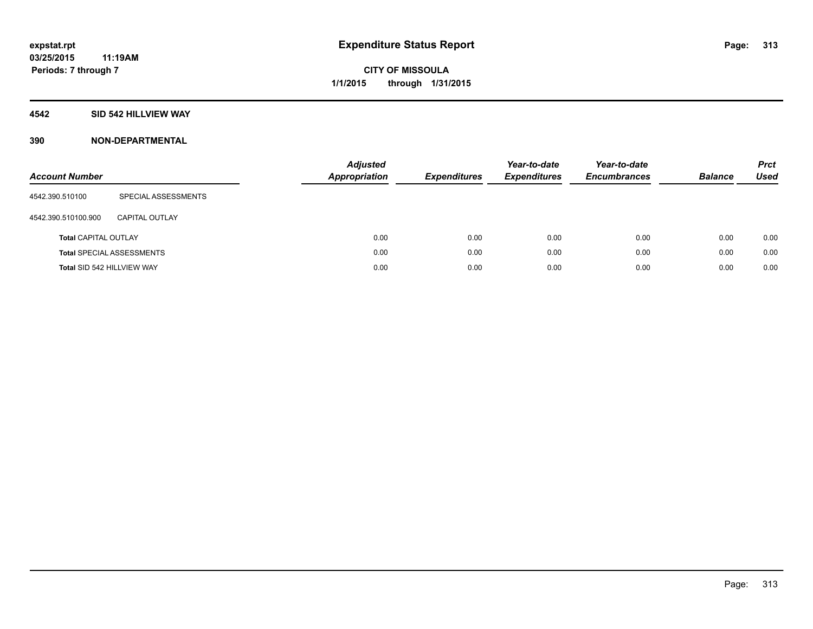### **4542 SID 542 HILLVIEW WAY**

| <b>Account Number</b>       |                                  | <b>Adjusted</b><br><b>Appropriation</b> | <b>Expenditures</b> | Year-to-date<br><b>Expenditures</b> | Year-to-date<br><b>Encumbrances</b> | <b>Balance</b> | <b>Prct</b><br>Used |
|-----------------------------|----------------------------------|-----------------------------------------|---------------------|-------------------------------------|-------------------------------------|----------------|---------------------|
| 4542.390.510100             | SPECIAL ASSESSMENTS              |                                         |                     |                                     |                                     |                |                     |
| 4542.390.510100.900         | CAPITAL OUTLAY                   |                                         |                     |                                     |                                     |                |                     |
| <b>Total CAPITAL OUTLAY</b> |                                  | 0.00                                    | 0.00                | 0.00                                | 0.00                                | 0.00           | 0.00                |
|                             | <b>Total SPECIAL ASSESSMENTS</b> | 0.00                                    | 0.00                | 0.00                                | 0.00                                | 0.00           | 0.00                |
| Total SID 542 HILLVIEW WAY  |                                  | 0.00                                    | 0.00                | 0.00                                | 0.00                                | 0.00           | 0.00                |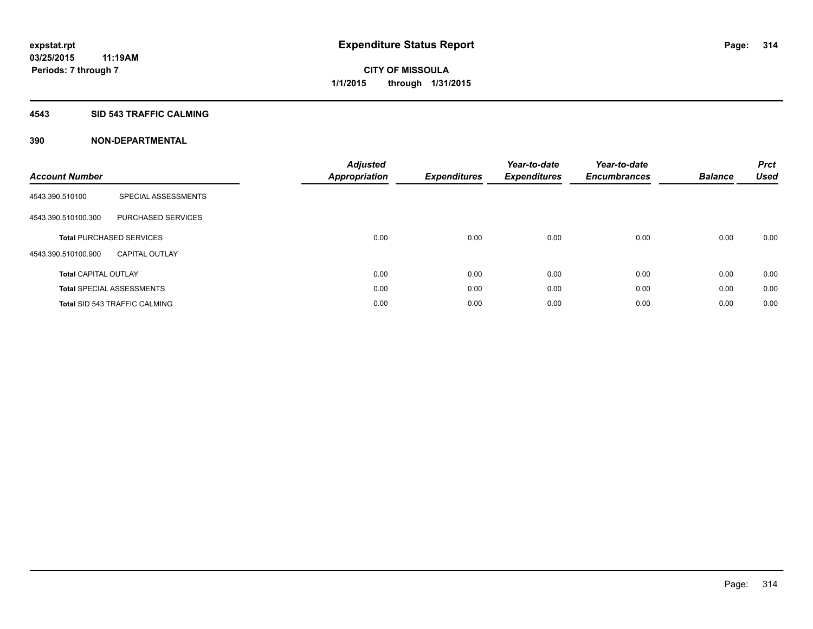#### **4543 SID 543 TRAFFIC CALMING**

| <b>Account Number</b>       |                                      | <b>Adjusted</b><br>Appropriation | <b>Expenditures</b> | Year-to-date<br><b>Expenditures</b> | Year-to-date<br><b>Encumbrances</b> | <b>Balance</b> | <b>Prct</b><br><b>Used</b> |
|-----------------------------|--------------------------------------|----------------------------------|---------------------|-------------------------------------|-------------------------------------|----------------|----------------------------|
| 4543.390.510100             | SPECIAL ASSESSMENTS                  |                                  |                     |                                     |                                     |                |                            |
| 4543.390.510100.300         | PURCHASED SERVICES                   |                                  |                     |                                     |                                     |                |                            |
|                             | <b>Total PURCHASED SERVICES</b>      | 0.00                             | 0.00                | 0.00                                | 0.00                                | 0.00           | 0.00                       |
| 4543.390.510100.900         | <b>CAPITAL OUTLAY</b>                |                                  |                     |                                     |                                     |                |                            |
| <b>Total CAPITAL OUTLAY</b> |                                      | 0.00                             | 0.00                | 0.00                                | 0.00                                | 0.00           | 0.00                       |
|                             | <b>Total SPECIAL ASSESSMENTS</b>     | 0.00                             | 0.00                | 0.00                                | 0.00                                | 0.00           | 0.00                       |
|                             | <b>Total SID 543 TRAFFIC CALMING</b> | 0.00                             | 0.00                | 0.00                                | 0.00                                | 0.00           | 0.00                       |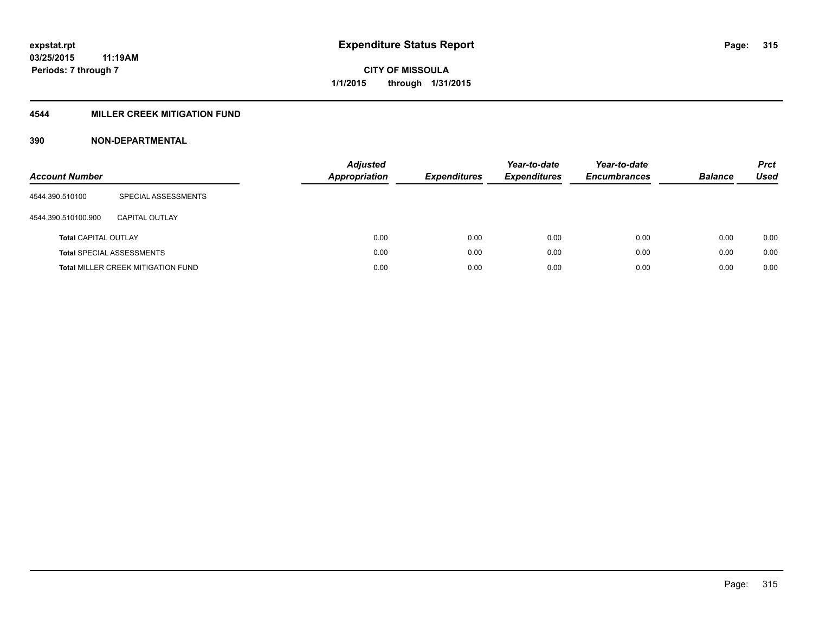### **4544 MILLER CREEK MITIGATION FUND**

| <b>Account Number</b>       |                                           | <b>Adjusted</b><br>Appropriation | <b>Expenditures</b> | Year-to-date<br><b>Expenditures</b> | Year-to-date<br><b>Encumbrances</b> | <b>Balance</b> | <b>Prct</b><br>Used |
|-----------------------------|-------------------------------------------|----------------------------------|---------------------|-------------------------------------|-------------------------------------|----------------|---------------------|
| 4544.390.510100             | SPECIAL ASSESSMENTS                       |                                  |                     |                                     |                                     |                |                     |
| 4544.390.510100.900         | CAPITAL OUTLAY                            |                                  |                     |                                     |                                     |                |                     |
| <b>Total CAPITAL OUTLAY</b> |                                           | 0.00                             | 0.00                | 0.00                                | 0.00                                | 0.00           | 0.00                |
|                             | <b>Total SPECIAL ASSESSMENTS</b>          | 0.00                             | 0.00                | 0.00                                | 0.00                                | 0.00           | 0.00                |
|                             | <b>Total MILLER CREEK MITIGATION FUND</b> | 0.00                             | 0.00                | 0.00                                | 0.00                                | 0.00           | 0.00                |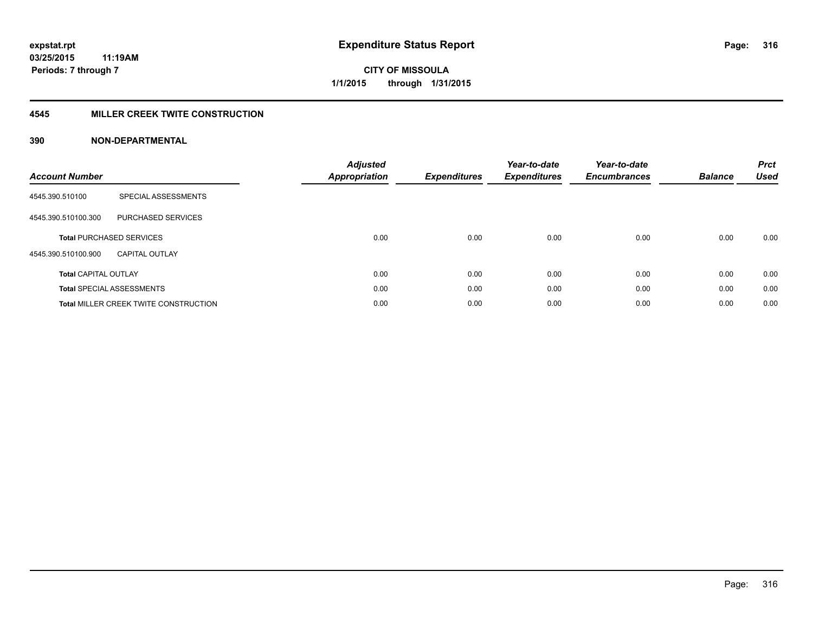#### **4545 MILLER CREEK TWITE CONSTRUCTION**

| <b>Account Number</b>       |                                              | <b>Adjusted</b><br>Appropriation | <b>Expenditures</b> | Year-to-date<br><b>Expenditures</b> | Year-to-date<br><b>Encumbrances</b> | <b>Balance</b> | <b>Prct</b><br><b>Used</b> |
|-----------------------------|----------------------------------------------|----------------------------------|---------------------|-------------------------------------|-------------------------------------|----------------|----------------------------|
| 4545.390.510100             | SPECIAL ASSESSMENTS                          |                                  |                     |                                     |                                     |                |                            |
| 4545.390.510100.300         | <b>PURCHASED SERVICES</b>                    |                                  |                     |                                     |                                     |                |                            |
|                             | <b>Total PURCHASED SERVICES</b>              | 0.00                             | 0.00                | 0.00                                | 0.00                                | 0.00           | 0.00                       |
| 4545.390.510100.900         | <b>CAPITAL OUTLAY</b>                        |                                  |                     |                                     |                                     |                |                            |
| <b>Total CAPITAL OUTLAY</b> |                                              | 0.00                             | 0.00                | 0.00                                | 0.00                                | 0.00           | 0.00                       |
|                             | <b>Total SPECIAL ASSESSMENTS</b>             | 0.00                             | 0.00                | 0.00                                | 0.00                                | 0.00           | 0.00                       |
|                             | <b>Total MILLER CREEK TWITE CONSTRUCTION</b> | 0.00                             | 0.00                | 0.00                                | 0.00                                | 0.00           | 0.00                       |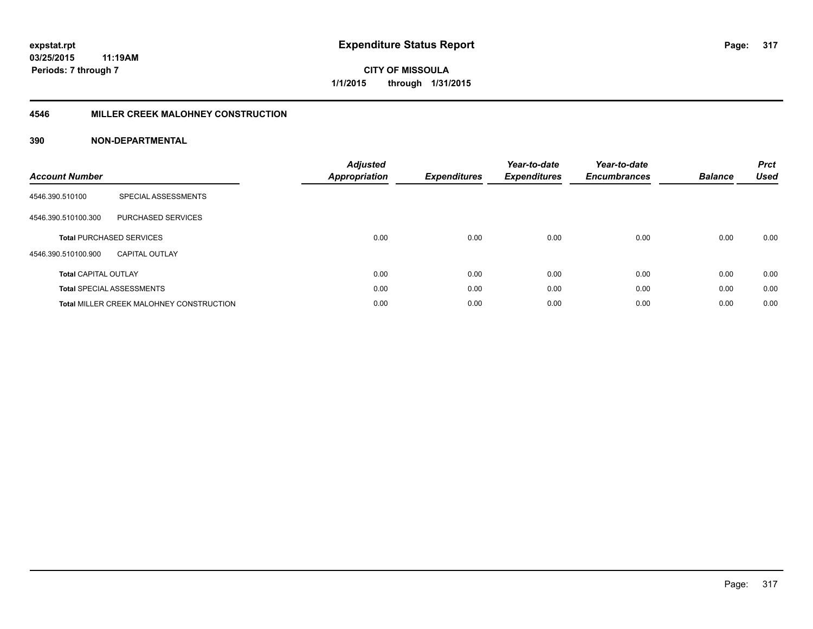#### **4546 MILLER CREEK MALOHNEY CONSTRUCTION**

| <b>Account Number</b>       |                                                 | <b>Adjusted</b><br><b>Appropriation</b> | <b>Expenditures</b> | Year-to-date<br><b>Expenditures</b> | Year-to-date<br><b>Encumbrances</b> | <b>Balance</b> | <b>Prct</b><br><b>Used</b> |
|-----------------------------|-------------------------------------------------|-----------------------------------------|---------------------|-------------------------------------|-------------------------------------|----------------|----------------------------|
| 4546.390.510100             | SPECIAL ASSESSMENTS                             |                                         |                     |                                     |                                     |                |                            |
| 4546.390.510100.300         | <b>PURCHASED SERVICES</b>                       |                                         |                     |                                     |                                     |                |                            |
|                             | <b>Total PURCHASED SERVICES</b>                 | 0.00                                    | 0.00                | 0.00                                | 0.00                                | 0.00           | 0.00                       |
| 4546.390.510100.900         | <b>CAPITAL OUTLAY</b>                           |                                         |                     |                                     |                                     |                |                            |
| <b>Total CAPITAL OUTLAY</b> |                                                 | 0.00                                    | 0.00                | 0.00                                | 0.00                                | 0.00           | 0.00                       |
|                             | <b>Total SPECIAL ASSESSMENTS</b>                | 0.00                                    | 0.00                | 0.00                                | 0.00                                | 0.00           | 0.00                       |
|                             | <b>Total MILLER CREEK MALOHNEY CONSTRUCTION</b> | 0.00                                    | 0.00                | 0.00                                | 0.00                                | 0.00           | 0.00                       |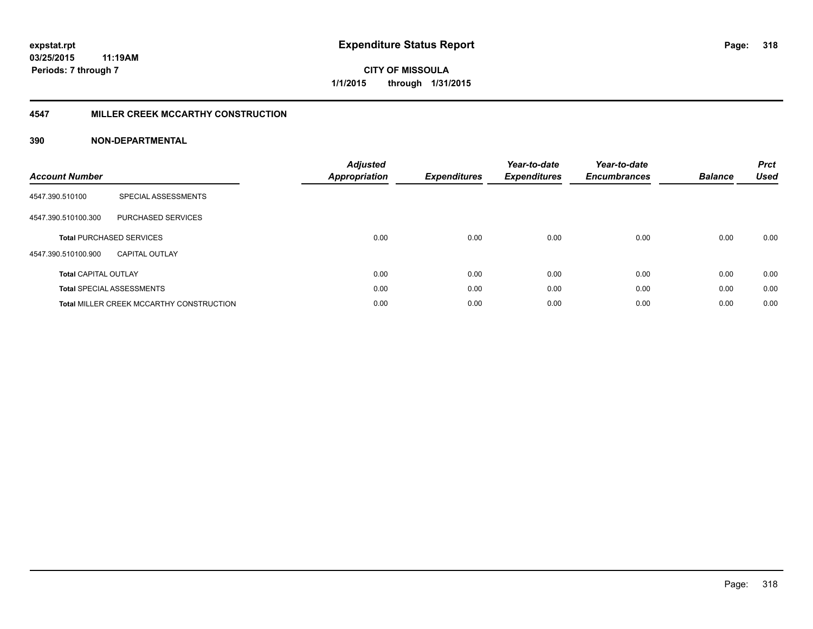#### **4547 MILLER CREEK MCCARTHY CONSTRUCTION**

| <b>Account Number</b>       |                                                 | <b>Adjusted</b><br><b>Appropriation</b> | <b>Expenditures</b> | Year-to-date<br><b>Expenditures</b> | Year-to-date<br><b>Encumbrances</b> | <b>Balance</b> | <b>Prct</b><br><b>Used</b> |
|-----------------------------|-------------------------------------------------|-----------------------------------------|---------------------|-------------------------------------|-------------------------------------|----------------|----------------------------|
| 4547.390.510100             | SPECIAL ASSESSMENTS                             |                                         |                     |                                     |                                     |                |                            |
| 4547.390.510100.300         | PURCHASED SERVICES                              |                                         |                     |                                     |                                     |                |                            |
|                             | <b>Total PURCHASED SERVICES</b>                 | 0.00                                    | 0.00                | 0.00                                | 0.00                                | 0.00           | 0.00                       |
| 4547.390.510100.900         | CAPITAL OUTLAY                                  |                                         |                     |                                     |                                     |                |                            |
| <b>Total CAPITAL OUTLAY</b> |                                                 | 0.00                                    | 0.00                | 0.00                                | 0.00                                | 0.00           | 0.00                       |
|                             | <b>Total SPECIAL ASSESSMENTS</b>                | 0.00                                    | 0.00                | 0.00                                | 0.00                                | 0.00           | 0.00                       |
|                             | <b>Total MILLER CREEK MCCARTHY CONSTRUCTION</b> | 0.00                                    | 0.00                | 0.00                                | 0.00                                | 0.00           | 0.00                       |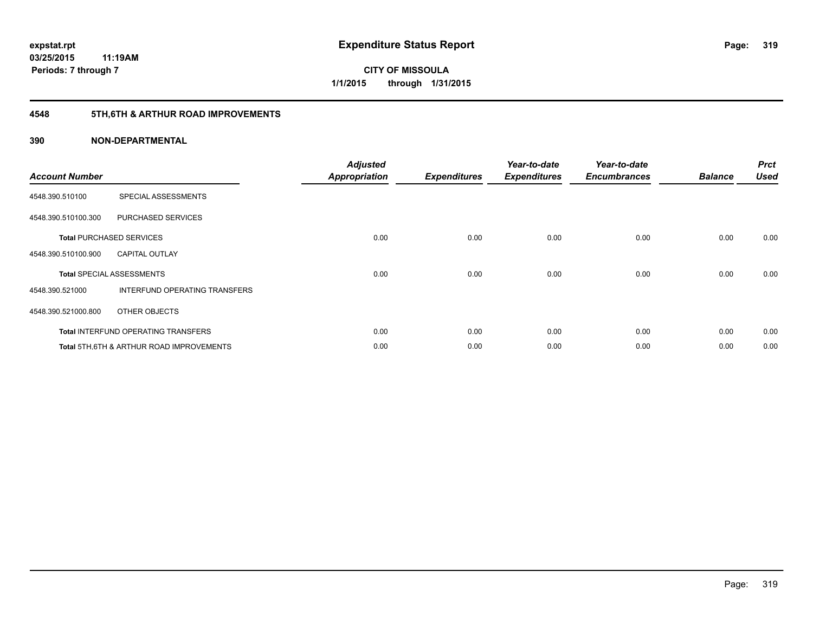# **4548 5TH,6TH & ARTHUR ROAD IMPROVEMENTS**

| <b>Account Number</b> |                                            | <b>Adjusted</b><br><b>Appropriation</b> | <b>Expenditures</b> | Year-to-date<br><b>Expenditures</b> | Year-to-date<br><b>Encumbrances</b> | <b>Balance</b> | <b>Prct</b><br><b>Used</b> |
|-----------------------|--------------------------------------------|-----------------------------------------|---------------------|-------------------------------------|-------------------------------------|----------------|----------------------------|
| 4548.390.510100       | SPECIAL ASSESSMENTS                        |                                         |                     |                                     |                                     |                |                            |
| 4548.390.510100.300   | PURCHASED SERVICES                         |                                         |                     |                                     |                                     |                |                            |
|                       | <b>Total PURCHASED SERVICES</b>            | 0.00                                    | 0.00                | 0.00                                | 0.00                                | 0.00           | 0.00                       |
| 4548.390.510100.900   | <b>CAPITAL OUTLAY</b>                      |                                         |                     |                                     |                                     |                |                            |
|                       | <b>Total SPECIAL ASSESSMENTS</b>           | 0.00                                    | 0.00                | 0.00                                | 0.00                                | 0.00           | 0.00                       |
| 4548.390.521000       | INTERFUND OPERATING TRANSFERS              |                                         |                     |                                     |                                     |                |                            |
| 4548.390.521000.800   | OTHER OBJECTS                              |                                         |                     |                                     |                                     |                |                            |
|                       | <b>Total INTERFUND OPERATING TRANSFERS</b> | 0.00                                    | 0.00                | 0.00                                | 0.00                                | 0.00           | 0.00                       |
|                       | Total 5TH.6TH & ARTHUR ROAD IMPROVEMENTS   | 0.00                                    | 0.00                | 0.00                                | 0.00                                | 0.00           | 0.00                       |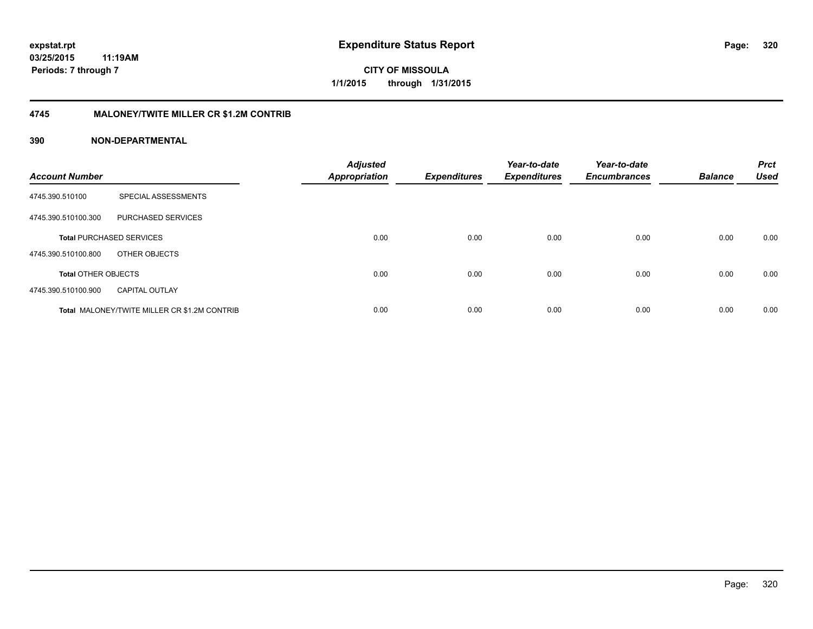#### **4745 MALONEY/TWITE MILLER CR \$1.2M CONTRIB**

| <b>Account Number</b>      |                                                     | <b>Adjusted</b><br>Appropriation | <b>Expenditures</b> | Year-to-date<br><b>Expenditures</b> | Year-to-date<br><b>Encumbrances</b> | <b>Balance</b> | <b>Prct</b><br><b>Used</b> |
|----------------------------|-----------------------------------------------------|----------------------------------|---------------------|-------------------------------------|-------------------------------------|----------------|----------------------------|
| 4745.390.510100            | SPECIAL ASSESSMENTS                                 |                                  |                     |                                     |                                     |                |                            |
| 4745.390.510100.300        | PURCHASED SERVICES                                  |                                  |                     |                                     |                                     |                |                            |
|                            | <b>Total PURCHASED SERVICES</b>                     | 0.00                             | 0.00                | 0.00                                | 0.00                                | 0.00           | 0.00                       |
| 4745.390.510100.800        | OTHER OBJECTS                                       |                                  |                     |                                     |                                     |                |                            |
| <b>Total OTHER OBJECTS</b> |                                                     | 0.00                             | 0.00                | 0.00                                | 0.00                                | 0.00           | 0.00                       |
| 4745.390.510100.900        | <b>CAPITAL OUTLAY</b>                               |                                  |                     |                                     |                                     |                |                            |
|                            | <b>Total MALONEY/TWITE MILLER CR \$1.2M CONTRIB</b> | 0.00                             | 0.00                | 0.00                                | 0.00                                | 0.00           | 0.00                       |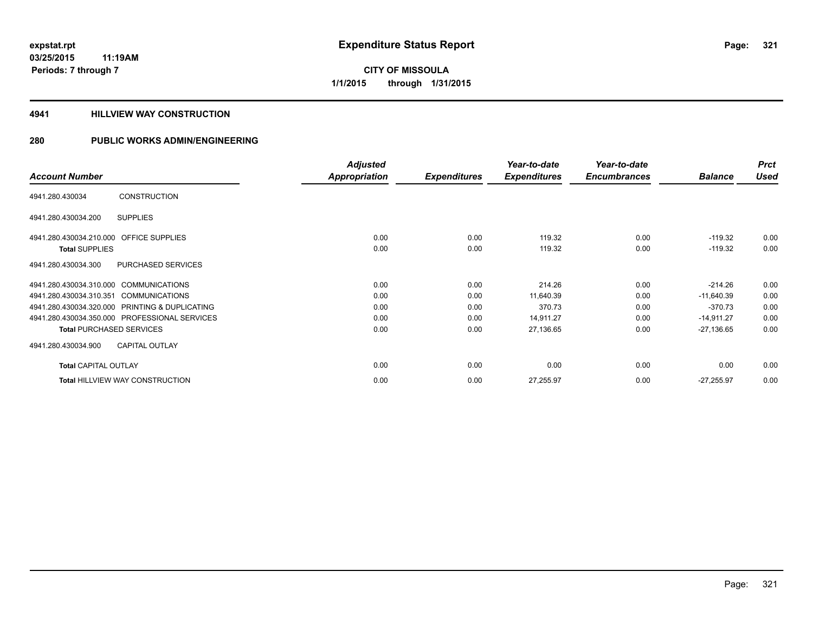**03/25/2015 11:19AM Periods: 7 through 7**

**CITY OF MISSOULA 1/1/2015 through 1/31/2015**

#### **4941 HILLVIEW WAY CONSTRUCTION**

|                                         |                                                | <b>Adjusted</b> |                     | Year-to-date        | Year-to-date        |                | <b>Prct</b> |
|-----------------------------------------|------------------------------------------------|-----------------|---------------------|---------------------|---------------------|----------------|-------------|
| <b>Account Number</b>                   |                                                | Appropriation   | <b>Expenditures</b> | <b>Expenditures</b> | <b>Encumbrances</b> | <b>Balance</b> | <b>Used</b> |
| 4941.280.430034                         | <b>CONSTRUCTION</b>                            |                 |                     |                     |                     |                |             |
| 4941.280.430034.200                     | <b>SUPPLIES</b>                                |                 |                     |                     |                     |                |             |
| 4941.280.430034.210.000 OFFICE SUPPLIES |                                                | 0.00            | 0.00                | 119.32              | 0.00                | $-119.32$      | 0.00        |
| <b>Total SUPPLIES</b>                   |                                                | 0.00            | 0.00                | 119.32              | 0.00                | $-119.32$      | 0.00        |
| 4941.280.430034.300                     | PURCHASED SERVICES                             |                 |                     |                     |                     |                |             |
| 4941.280.430034.310.000 COMMUNICATIONS  |                                                | 0.00            | 0.00                | 214.26              | 0.00                | $-214.26$      | 0.00        |
| 4941.280.430034.310.351                 | <b>COMMUNICATIONS</b>                          | 0.00            | 0.00                | 11,640.39           | 0.00                | $-11,640.39$   | 0.00        |
|                                         | 4941.280.430034.320.000 PRINTING & DUPLICATING | 0.00            | 0.00                | 370.73              | 0.00                | $-370.73$      | 0.00        |
|                                         | 4941.280.430034.350.000 PROFESSIONAL SERVICES  | 0.00            | 0.00                | 14,911.27           | 0.00                | $-14,911.27$   | 0.00        |
| <b>Total PURCHASED SERVICES</b>         |                                                | 0.00            | 0.00                | 27,136.65           | 0.00                | $-27,136.65$   | 0.00        |
| 4941.280.430034.900                     | <b>CAPITAL OUTLAY</b>                          |                 |                     |                     |                     |                |             |
| <b>Total CAPITAL OUTLAY</b>             |                                                | 0.00            | 0.00                | 0.00                | 0.00                | 0.00           | 0.00        |
|                                         | <b>Total HILLVIEW WAY CONSTRUCTION</b>         | 0.00            | 0.00                | 27,255.97           | 0.00                | $-27,255.97$   | 0.00        |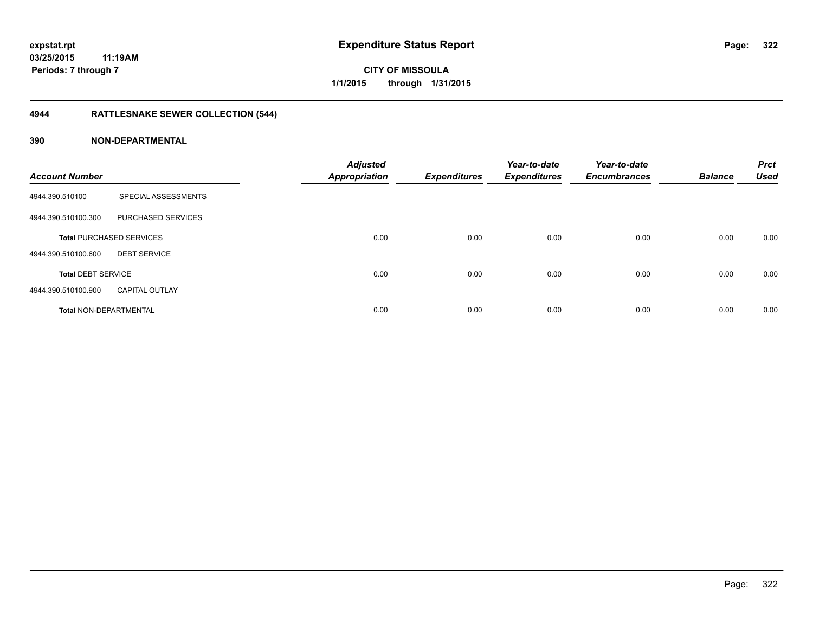# **4944 RATTLESNAKE SEWER COLLECTION (544)**

| <b>Account Number</b>         |                                 | <b>Adjusted</b><br><b>Appropriation</b> | <b>Expenditures</b> | Year-to-date<br><b>Expenditures</b> | Year-to-date<br><b>Encumbrances</b> | <b>Balance</b> | <b>Prct</b><br><b>Used</b> |
|-------------------------------|---------------------------------|-----------------------------------------|---------------------|-------------------------------------|-------------------------------------|----------------|----------------------------|
| 4944.390.510100               | SPECIAL ASSESSMENTS             |                                         |                     |                                     |                                     |                |                            |
| 4944.390.510100.300           | PURCHASED SERVICES              |                                         |                     |                                     |                                     |                |                            |
|                               | <b>Total PURCHASED SERVICES</b> | 0.00                                    | 0.00                | 0.00                                | 0.00                                | 0.00           | 0.00                       |
| 4944.390.510100.600           | <b>DEBT SERVICE</b>             |                                         |                     |                                     |                                     |                |                            |
| <b>Total DEBT SERVICE</b>     |                                 | 0.00                                    | 0.00                | 0.00                                | 0.00                                | 0.00           | 0.00                       |
| 4944.390.510100.900           | <b>CAPITAL OUTLAY</b>           |                                         |                     |                                     |                                     |                |                            |
| <b>Total NON-DEPARTMENTAL</b> |                                 | 0.00                                    | 0.00                | 0.00                                | 0.00                                | 0.00           | 0.00                       |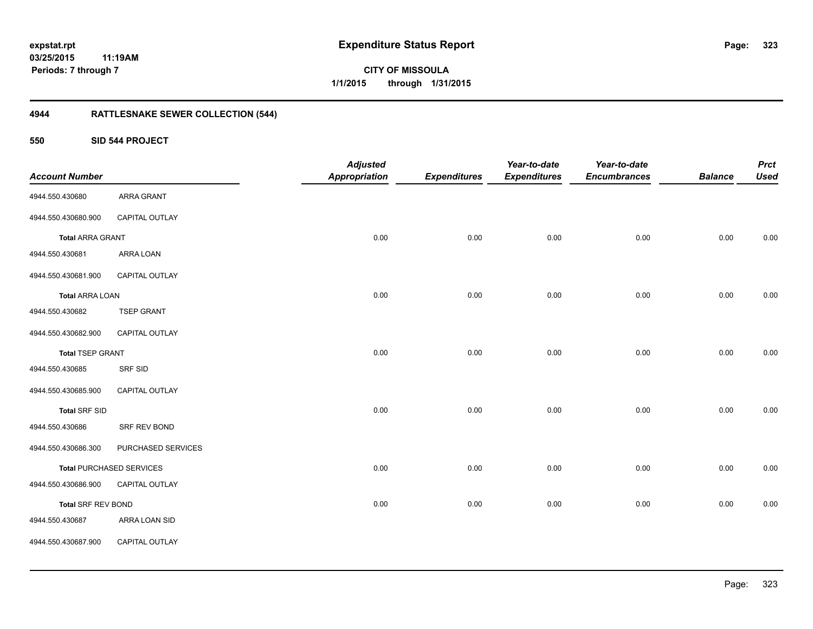# **03/25/2015**

**323**

**11:19AM Periods: 7 through 7**

**CITY OF MISSOULA 1/1/2015 through 1/31/2015**

# **4944 RATTLESNAKE SEWER COLLECTION (544)**

**550 SID 544 PROJECT**

| <b>Account Number</b>     |                                 | <b>Adjusted</b><br><b>Appropriation</b> | <b>Expenditures</b> | Year-to-date<br><b>Expenditures</b> | Year-to-date<br><b>Encumbrances</b> | <b>Balance</b> | <b>Prct</b><br><b>Used</b> |
|---------------------------|---------------------------------|-----------------------------------------|---------------------|-------------------------------------|-------------------------------------|----------------|----------------------------|
| 4944.550.430680           | ARRA GRANT                      |                                         |                     |                                     |                                     |                |                            |
| 4944.550.430680.900       | CAPITAL OUTLAY                  |                                         |                     |                                     |                                     |                |                            |
| <b>Total ARRA GRANT</b>   |                                 | 0.00                                    | 0.00                | 0.00                                | 0.00                                | 0.00           | 0.00                       |
| 4944.550.430681           | ARRA LOAN                       |                                         |                     |                                     |                                     |                |                            |
| 4944.550.430681.900       | CAPITAL OUTLAY                  |                                         |                     |                                     |                                     |                |                            |
| <b>Total ARRA LOAN</b>    |                                 | 0.00                                    | 0.00                | 0.00                                | 0.00                                | 0.00           | 0.00                       |
| 4944.550.430682           | <b>TSEP GRANT</b>               |                                         |                     |                                     |                                     |                |                            |
| 4944.550.430682.900       | CAPITAL OUTLAY                  |                                         |                     |                                     |                                     |                |                            |
| <b>Total TSEP GRANT</b>   |                                 | 0.00                                    | 0.00                | 0.00                                | 0.00                                | 0.00           | 0.00                       |
| 4944.550.430685           | SRF SID                         |                                         |                     |                                     |                                     |                |                            |
| 4944.550.430685.900       | CAPITAL OUTLAY                  |                                         |                     |                                     |                                     |                |                            |
| <b>Total SRF SID</b>      |                                 | 0.00                                    | 0.00                | 0.00                                | 0.00                                | 0.00           | 0.00                       |
| 4944.550.430686           | SRF REV BOND                    |                                         |                     |                                     |                                     |                |                            |
| 4944.550.430686.300       | PURCHASED SERVICES              |                                         |                     |                                     |                                     |                |                            |
|                           | <b>Total PURCHASED SERVICES</b> | 0.00                                    | 0.00                | 0.00                                | 0.00                                | 0.00           | 0.00                       |
| 4944.550.430686.900       | CAPITAL OUTLAY                  |                                         |                     |                                     |                                     |                |                            |
| <b>Total SRF REV BOND</b> |                                 | 0.00                                    | 0.00                | 0.00                                | 0.00                                | 0.00           | 0.00                       |
| 4944.550.430687           | ARRA LOAN SID                   |                                         |                     |                                     |                                     |                |                            |
| 4944.550.430687.900       | CAPITAL OUTLAY                  |                                         |                     |                                     |                                     |                |                            |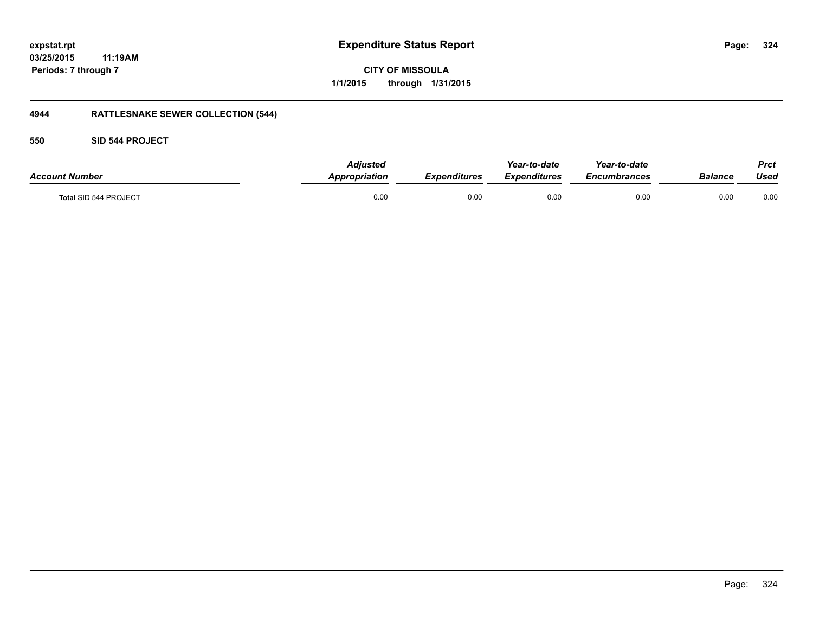### **03/25/2015 11:19AM Periods: 7 through 7**

**CITY OF MISSOULA 1/1/2015 through 1/31/2015**

# **4944 RATTLESNAKE SEWER COLLECTION (544)**

#### **550 SID 544 PROJECT**

| <b>Account Number</b> | <b>Adjusted</b><br>Appropriation | <b>Expenditures</b> | Year-to-date<br>Expenditures | Year-to-date<br>Encumbrances | Balance | <b>Prct</b><br>Used |
|-----------------------|----------------------------------|---------------------|------------------------------|------------------------------|---------|---------------------|
| Total SID 544 PROJECT | 0.00                             | 0.00                | 0.00                         | 0.00                         | 0.00    | 0.00                |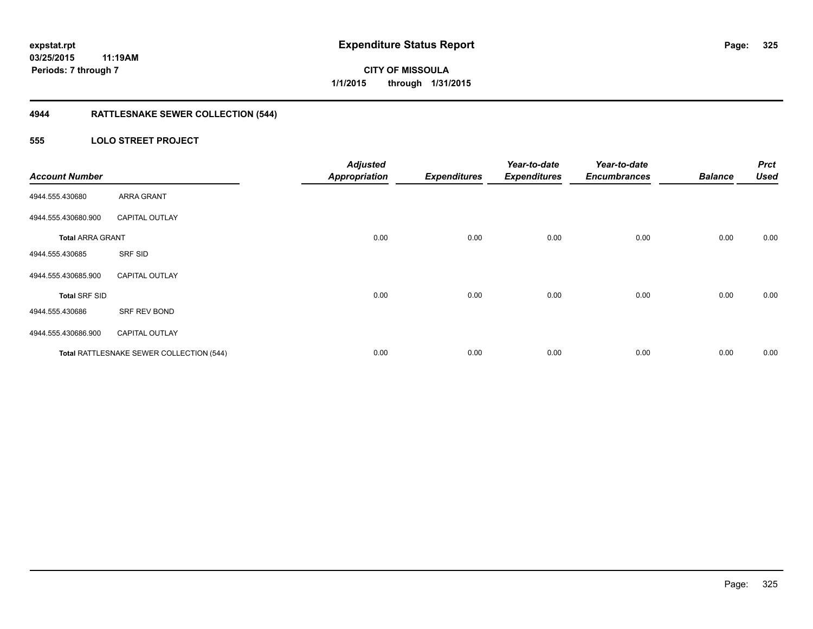## **4944 RATTLESNAKE SEWER COLLECTION (544)**

### **555 LOLO STREET PROJECT**

| <b>Account Number</b>   |                                          | <b>Adjusted</b><br><b>Appropriation</b> | <b>Expenditures</b> | Year-to-date<br><b>Expenditures</b> | Year-to-date<br><b>Encumbrances</b> | <b>Balance</b> | <b>Prct</b><br><b>Used</b> |
|-------------------------|------------------------------------------|-----------------------------------------|---------------------|-------------------------------------|-------------------------------------|----------------|----------------------------|
| 4944.555.430680         | ARRA GRANT                               |                                         |                     |                                     |                                     |                |                            |
| 4944.555.430680.900     | <b>CAPITAL OUTLAY</b>                    |                                         |                     |                                     |                                     |                |                            |
| <b>Total ARRA GRANT</b> |                                          | 0.00                                    | 0.00                | 0.00                                | 0.00                                | 0.00           | 0.00                       |
| 4944.555.430685         | SRF SID                                  |                                         |                     |                                     |                                     |                |                            |
| 4944.555.430685.900     | <b>CAPITAL OUTLAY</b>                    |                                         |                     |                                     |                                     |                |                            |
| <b>Total SRF SID</b>    |                                          | 0.00                                    | 0.00                | 0.00                                | 0.00                                | 0.00           | 0.00                       |
| 4944.555.430686         | SRF REV BOND                             |                                         |                     |                                     |                                     |                |                            |
| 4944.555.430686.900     | <b>CAPITAL OUTLAY</b>                    |                                         |                     |                                     |                                     |                |                            |
|                         | Total RATTLESNAKE SEWER COLLECTION (544) | 0.00                                    | 0.00                | 0.00                                | 0.00                                | 0.00           | 0.00                       |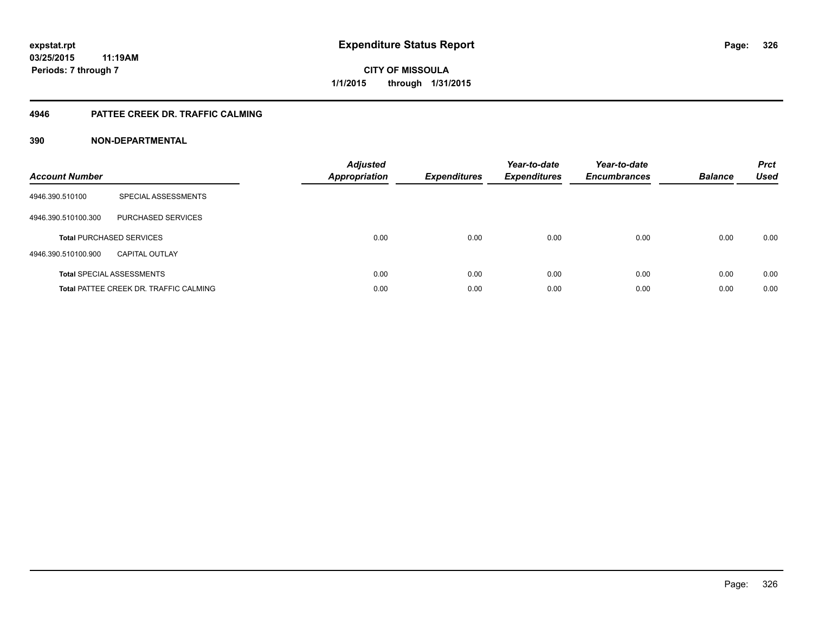### **4946 PATTEE CREEK DR. TRAFFIC CALMING**

### **390 NON-DEPARTMENTAL**

| <b>Account Number</b> |                                               | <b>Adjusted</b><br>Appropriation | <b>Expenditures</b> | Year-to-date<br><b>Expenditures</b> | Year-to-date<br><b>Encumbrances</b> | <b>Balance</b> | <b>Prct</b><br><b>Used</b> |
|-----------------------|-----------------------------------------------|----------------------------------|---------------------|-------------------------------------|-------------------------------------|----------------|----------------------------|
| 4946.390.510100       | SPECIAL ASSESSMENTS                           |                                  |                     |                                     |                                     |                |                            |
| 4946.390.510100.300   | <b>PURCHASED SERVICES</b>                     |                                  |                     |                                     |                                     |                |                            |
|                       | <b>Total PURCHASED SERVICES</b>               | 0.00                             | 0.00                | 0.00                                | 0.00                                | 0.00           | 0.00                       |
| 4946.390.510100.900   | <b>CAPITAL OUTLAY</b>                         |                                  |                     |                                     |                                     |                |                            |
|                       | <b>Total SPECIAL ASSESSMENTS</b>              | 0.00                             | 0.00                | 0.00                                | 0.00                                | 0.00           | 0.00                       |
|                       | <b>Total PATTEE CREEK DR. TRAFFIC CALMING</b> | 0.00                             | 0.00                | 0.00                                | 0.00                                | 0.00           | 0.00                       |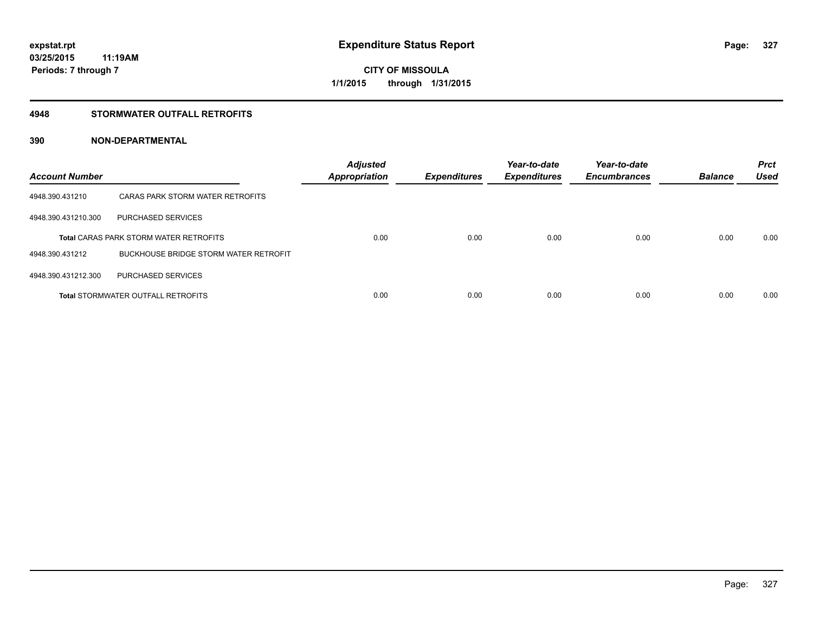### **4948 STORMWATER OUTFALL RETROFITS**

### **390 NON-DEPARTMENTAL**

| <b>Account Number</b> |                                               | <b>Adjusted</b><br><b>Appropriation</b> | <b>Expenditures</b> | Year-to-date<br><b>Expenditures</b> | Year-to-date<br><b>Encumbrances</b> | <b>Balance</b> | <b>Prct</b><br><b>Used</b> |
|-----------------------|-----------------------------------------------|-----------------------------------------|---------------------|-------------------------------------|-------------------------------------|----------------|----------------------------|
| 4948.390.431210       | CARAS PARK STORM WATER RETROFITS              |                                         |                     |                                     |                                     |                |                            |
| 4948.390.431210.300   | PURCHASED SERVICES                            |                                         |                     |                                     |                                     |                |                            |
|                       | <b>Total CARAS PARK STORM WATER RETROFITS</b> | 0.00                                    | 0.00                | 0.00                                | 0.00                                | 0.00           | 0.00                       |
| 4948.390.431212       | BUCKHOUSE BRIDGE STORM WATER RETROFIT         |                                         |                     |                                     |                                     |                |                            |
| 4948.390.431212.300   | PURCHASED SERVICES                            |                                         |                     |                                     |                                     |                |                            |
|                       | <b>Total STORMWATER OUTFALL RETROFITS</b>     | 0.00                                    | 0.00                | 0.00                                | 0.00                                | 0.00           | 0.00                       |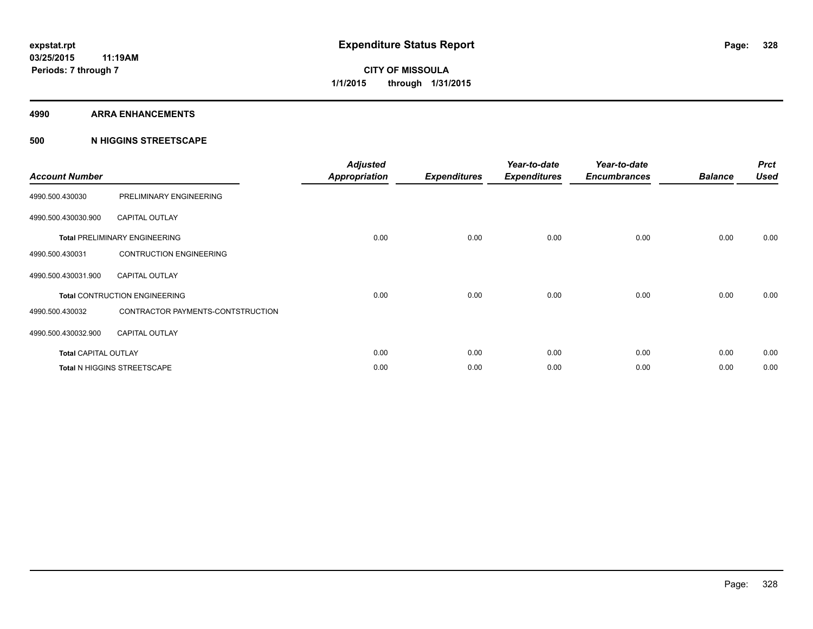#### **4990 ARRA ENHANCEMENTS**

### **500 N HIGGINS STREETSCAPE**

| <b>Account Number</b>       |                                      | <b>Adjusted</b><br><b>Appropriation</b> | <b>Expenditures</b> | Year-to-date<br><b>Expenditures</b> | Year-to-date<br><b>Encumbrances</b> | <b>Balance</b> | <b>Prct</b><br><b>Used</b> |
|-----------------------------|--------------------------------------|-----------------------------------------|---------------------|-------------------------------------|-------------------------------------|----------------|----------------------------|
| 4990.500.430030             | PRELIMINARY ENGINEERING              |                                         |                     |                                     |                                     |                |                            |
| 4990.500.430030.900         | <b>CAPITAL OUTLAY</b>                |                                         |                     |                                     |                                     |                |                            |
|                             | <b>Total PRELIMINARY ENGINEERING</b> | 0.00                                    | 0.00                | 0.00                                | 0.00                                | 0.00           | 0.00                       |
| 4990.500.430031             | <b>CONTRUCTION ENGINEERING</b>       |                                         |                     |                                     |                                     |                |                            |
| 4990.500.430031.900         | <b>CAPITAL OUTLAY</b>                |                                         |                     |                                     |                                     |                |                            |
|                             | <b>Total CONTRUCTION ENGINEERING</b> | 0.00                                    | 0.00                | 0.00                                | 0.00                                | 0.00           | 0.00                       |
| 4990.500.430032             | CONTRACTOR PAYMENTS-CONTSTRUCTION    |                                         |                     |                                     |                                     |                |                            |
| 4990.500.430032.900         | <b>CAPITAL OUTLAY</b>                |                                         |                     |                                     |                                     |                |                            |
| <b>Total CAPITAL OUTLAY</b> |                                      | 0.00                                    | 0.00                | 0.00                                | 0.00                                | 0.00           | 0.00                       |
|                             | Total N HIGGINS STREETSCAPE          | 0.00                                    | 0.00                | 0.00                                | 0.00                                | 0.00           | 0.00                       |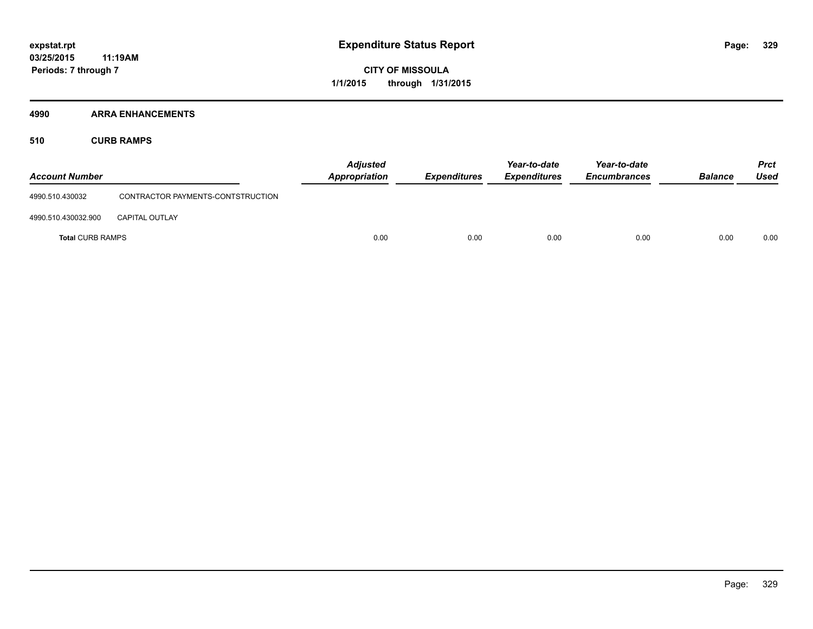### **4990 ARRA ENHANCEMENTS**

**510 CURB RAMPS**

| <b>Account Number</b>   |                                   | <b>Adjusted</b><br><b>Appropriation</b> | <b>Expenditures</b> | Year-to-date<br><b>Expenditures</b> | Year-to-date<br><b>Encumbrances</b> | <b>Balance</b> | <b>Prct</b><br><b>Used</b> |
|-------------------------|-----------------------------------|-----------------------------------------|---------------------|-------------------------------------|-------------------------------------|----------------|----------------------------|
| 4990.510.430032         | CONTRACTOR PAYMENTS-CONTSTRUCTION |                                         |                     |                                     |                                     |                |                            |
| 4990.510.430032.900     | <b>CAPITAL OUTLAY</b>             |                                         |                     |                                     |                                     |                |                            |
| <b>Total CURB RAMPS</b> |                                   | 0.00                                    | 0.00                | 0.00                                | 0.00                                | 0.00           | 0.00                       |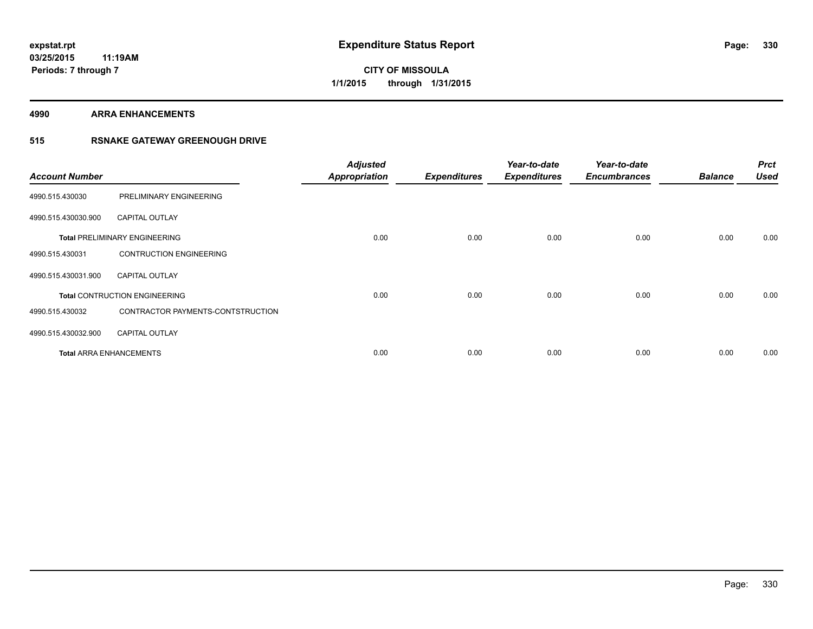**4990 ARRA ENHANCEMENTS**

### **515 RSNAKE GATEWAY GREENOUGH DRIVE**

| <b>Account Number</b> |                                      | <b>Adjusted</b><br><b>Appropriation</b> | <b>Expenditures</b> | Year-to-date<br><b>Expenditures</b> | Year-to-date<br><b>Encumbrances</b> | <b>Balance</b> | <b>Prct</b><br>Used |
|-----------------------|--------------------------------------|-----------------------------------------|---------------------|-------------------------------------|-------------------------------------|----------------|---------------------|
| 4990.515.430030       | PRELIMINARY ENGINEERING              |                                         |                     |                                     |                                     |                |                     |
| 4990.515.430030.900   | <b>CAPITAL OUTLAY</b>                |                                         |                     |                                     |                                     |                |                     |
|                       | <b>Total PRELIMINARY ENGINEERING</b> | 0.00                                    | 0.00                | 0.00                                | 0.00                                | 0.00           | 0.00                |
| 4990.515.430031       | <b>CONTRUCTION ENGINEERING</b>       |                                         |                     |                                     |                                     |                |                     |
| 4990.515.430031.900   | <b>CAPITAL OUTLAY</b>                |                                         |                     |                                     |                                     |                |                     |
|                       | <b>Total CONTRUCTION ENGINEERING</b> | 0.00                                    | 0.00                | 0.00                                | 0.00                                | 0.00           | 0.00                |
| 4990.515.430032       | CONTRACTOR PAYMENTS-CONTSTRUCTION    |                                         |                     |                                     |                                     |                |                     |
| 4990.515.430032.900   | <b>CAPITAL OUTLAY</b>                |                                         |                     |                                     |                                     |                |                     |
|                       | <b>Total ARRA ENHANCEMENTS</b>       | 0.00                                    | 0.00                | 0.00                                | 0.00                                | 0.00           | 0.00                |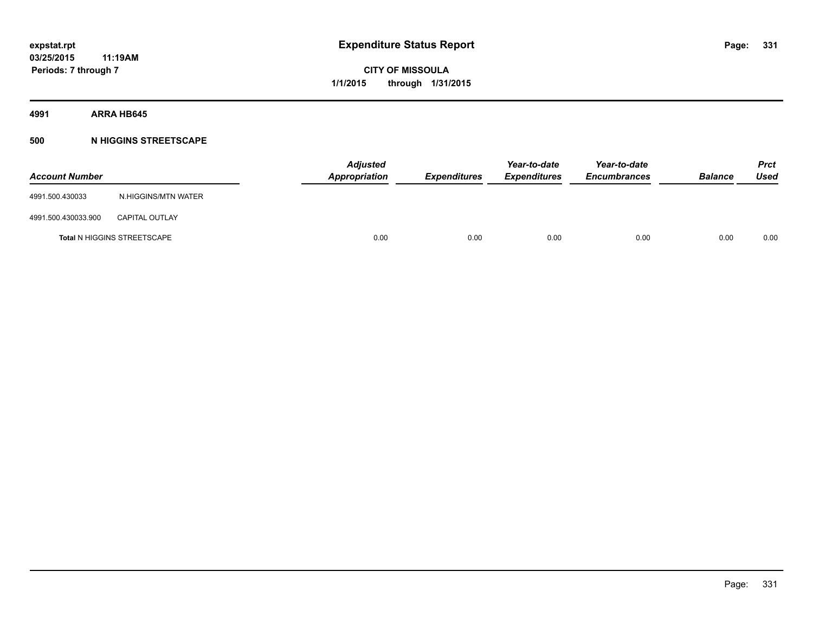**4991 ARRA HB645**

### **500 N HIGGINS STREETSCAPE**

| <b>Account Number</b> |                                    | <b>Adjusted</b><br><b>Appropriation</b> | <b>Expenditures</b> | Year-to-date<br><b>Expenditures</b> | Year-to-date<br><b>Encumbrances</b> | <b>Balance</b> | <b>Prct</b><br>Used |
|-----------------------|------------------------------------|-----------------------------------------|---------------------|-------------------------------------|-------------------------------------|----------------|---------------------|
| 4991.500.430033       | N.HIGGINS/MTN WATER                |                                         |                     |                                     |                                     |                |                     |
| 4991.500.430033.900   | <b>CAPITAL OUTLAY</b>              |                                         |                     |                                     |                                     |                |                     |
|                       | <b>Total N HIGGINS STREETSCAPE</b> | 0.00                                    | 0.00                | 0.00                                | 0.00                                | 0.00           | 0.00                |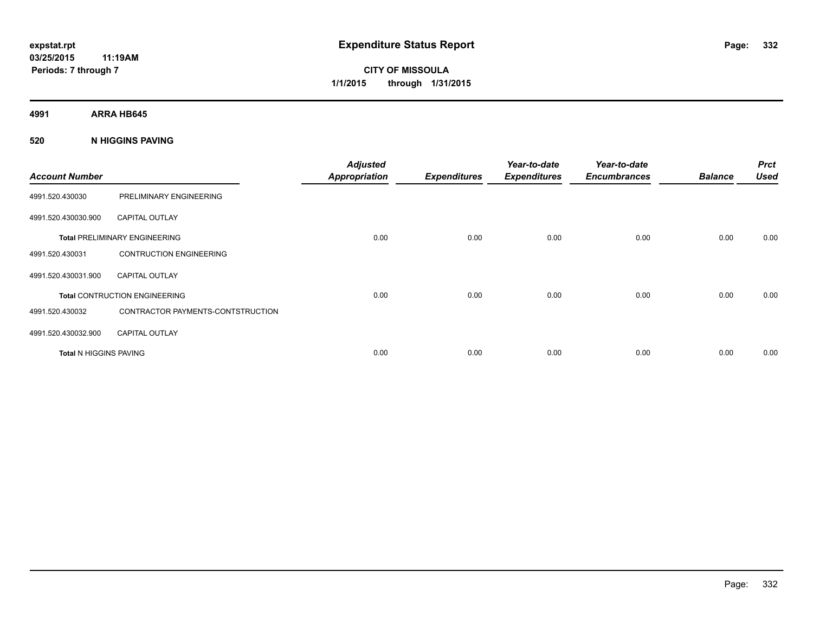**4991 ARRA HB645**

### **520 N HIGGINS PAVING**

| <b>Account Number</b>         |                                      | <b>Adjusted</b><br><b>Appropriation</b> | <b>Expenditures</b> | Year-to-date<br><b>Expenditures</b> | Year-to-date<br><b>Encumbrances</b> | <b>Balance</b> | <b>Prct</b><br><b>Used</b> |
|-------------------------------|--------------------------------------|-----------------------------------------|---------------------|-------------------------------------|-------------------------------------|----------------|----------------------------|
| 4991.520.430030               | PRELIMINARY ENGINEERING              |                                         |                     |                                     |                                     |                |                            |
| 4991.520.430030.900           | <b>CAPITAL OUTLAY</b>                |                                         |                     |                                     |                                     |                |                            |
|                               | <b>Total PRELIMINARY ENGINEERING</b> | 0.00                                    | 0.00                | 0.00                                | 0.00                                | 0.00           | 0.00                       |
| 4991.520.430031               | <b>CONTRUCTION ENGINEERING</b>       |                                         |                     |                                     |                                     |                |                            |
| 4991.520.430031.900           | <b>CAPITAL OUTLAY</b>                |                                         |                     |                                     |                                     |                |                            |
|                               | <b>Total CONTRUCTION ENGINEERING</b> | 0.00                                    | 0.00                | 0.00                                | 0.00                                | 0.00           | 0.00                       |
| 4991.520.430032               | CONTRACTOR PAYMENTS-CONTSTRUCTION    |                                         |                     |                                     |                                     |                |                            |
| 4991.520.430032.900           | <b>CAPITAL OUTLAY</b>                |                                         |                     |                                     |                                     |                |                            |
| <b>Total N HIGGINS PAVING</b> |                                      | 0.00                                    | 0.00                | 0.00                                | 0.00                                | 0.00           | 0.00                       |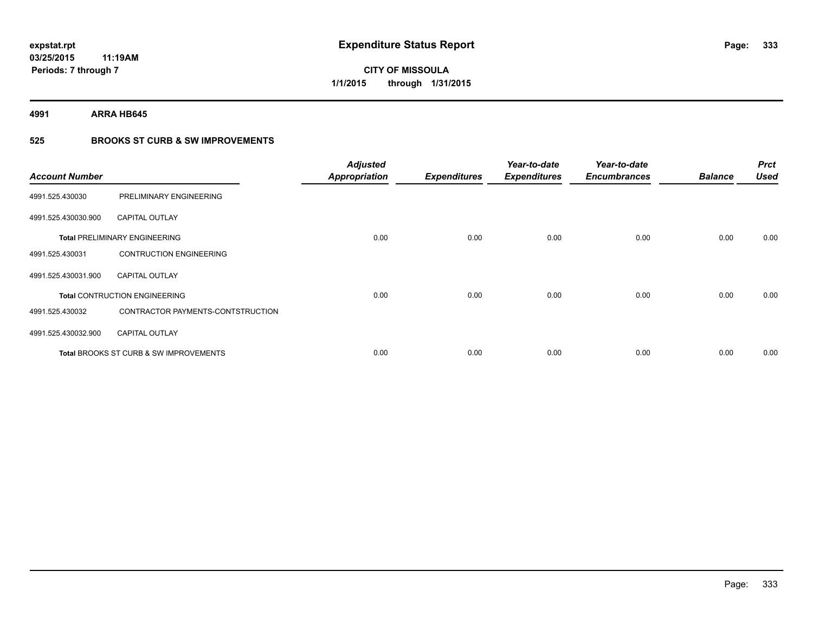**4991 ARRA HB645**

### **525 BROOKS ST CURB & SW IMPROVEMENTS**

| <b>Account Number</b> |                                                   | <b>Adjusted</b><br><b>Appropriation</b> | <b>Expenditures</b> | Year-to-date<br><b>Expenditures</b> | Year-to-date<br><b>Encumbrances</b> | <b>Balance</b> | <b>Prct</b><br><b>Used</b> |
|-----------------------|---------------------------------------------------|-----------------------------------------|---------------------|-------------------------------------|-------------------------------------|----------------|----------------------------|
| 4991.525.430030       | PRELIMINARY ENGINEERING                           |                                         |                     |                                     |                                     |                |                            |
| 4991.525.430030.900   | <b>CAPITAL OUTLAY</b>                             |                                         |                     |                                     |                                     |                |                            |
|                       | <b>Total PRELIMINARY ENGINEERING</b>              | 0.00                                    | 0.00                | 0.00                                | 0.00                                | 0.00           | 0.00                       |
| 4991.525.430031       | <b>CONTRUCTION ENGINEERING</b>                    |                                         |                     |                                     |                                     |                |                            |
| 4991.525.430031.900   | <b>CAPITAL OUTLAY</b>                             |                                         |                     |                                     |                                     |                |                            |
|                       | <b>Total CONTRUCTION ENGINEERING</b>              | 0.00                                    | 0.00                | 0.00                                | 0.00                                | 0.00           | 0.00                       |
| 4991.525.430032       | CONTRACTOR PAYMENTS-CONTSTRUCTION                 |                                         |                     |                                     |                                     |                |                            |
| 4991.525.430032.900   | <b>CAPITAL OUTLAY</b>                             |                                         |                     |                                     |                                     |                |                            |
|                       | <b>Total BROOKS ST CURB &amp; SW IMPROVEMENTS</b> | 0.00                                    | 0.00                | 0.00                                | 0.00                                | 0.00           | 0.00                       |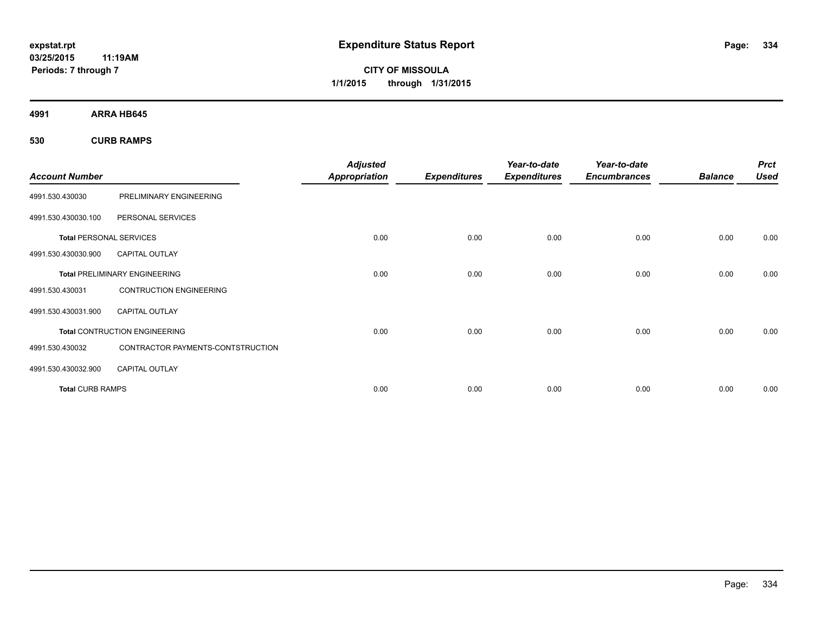**CITY OF MISSOULA 1/1/2015 through 1/31/2015**

**4991 ARRA HB645**

**530 CURB RAMPS**

| <b>Account Number</b>          |                                      | <b>Adjusted</b><br><b>Appropriation</b> | <b>Expenditures</b> | Year-to-date<br><b>Expenditures</b> | Year-to-date<br><b>Encumbrances</b> | <b>Balance</b> | <b>Prct</b><br><b>Used</b> |
|--------------------------------|--------------------------------------|-----------------------------------------|---------------------|-------------------------------------|-------------------------------------|----------------|----------------------------|
| 4991.530.430030                | PRELIMINARY ENGINEERING              |                                         |                     |                                     |                                     |                |                            |
| 4991.530.430030.100            | PERSONAL SERVICES                    |                                         |                     |                                     |                                     |                |                            |
| <b>Total PERSONAL SERVICES</b> |                                      | 0.00                                    | 0.00                | 0.00                                | 0.00                                | 0.00           | 0.00                       |
| 4991.530.430030.900            | CAPITAL OUTLAY                       |                                         |                     |                                     |                                     |                |                            |
|                                | <b>Total PRELIMINARY ENGINEERING</b> | 0.00                                    | 0.00                | 0.00                                | 0.00                                | 0.00           | 0.00                       |
| 4991.530.430031                | <b>CONTRUCTION ENGINEERING</b>       |                                         |                     |                                     |                                     |                |                            |
| 4991.530.430031.900            | <b>CAPITAL OUTLAY</b>                |                                         |                     |                                     |                                     |                |                            |
|                                | <b>Total CONTRUCTION ENGINEERING</b> | 0.00                                    | 0.00                | 0.00                                | 0.00                                | 0.00           | 0.00                       |
| 4991.530.430032                | CONTRACTOR PAYMENTS-CONTSTRUCTION    |                                         |                     |                                     |                                     |                |                            |
| 4991.530.430032.900            | <b>CAPITAL OUTLAY</b>                |                                         |                     |                                     |                                     |                |                            |
| <b>Total CURB RAMPS</b>        |                                      | 0.00                                    | 0.00                | 0.00                                | 0.00                                | 0.00           | 0.00                       |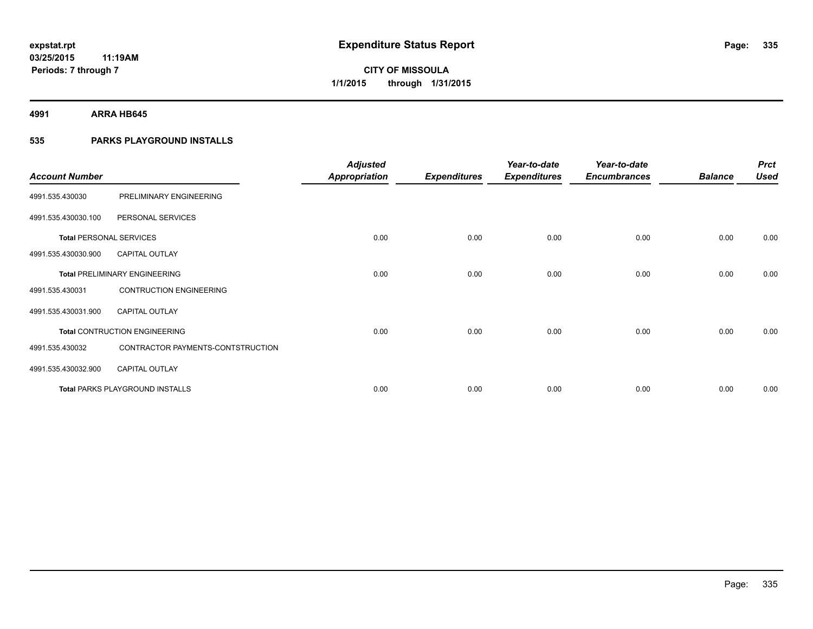**4991 ARRA HB645**

### **535 PARKS PLAYGROUND INSTALLS**

| <b>Account Number</b>          |                                        | <b>Adjusted</b><br><b>Appropriation</b> | <b>Expenditures</b> | Year-to-date<br><b>Expenditures</b> | Year-to-date<br><b>Encumbrances</b> | <b>Balance</b> | <b>Prct</b><br><b>Used</b> |
|--------------------------------|----------------------------------------|-----------------------------------------|---------------------|-------------------------------------|-------------------------------------|----------------|----------------------------|
| 4991.535.430030                | PRELIMINARY ENGINEERING                |                                         |                     |                                     |                                     |                |                            |
| 4991.535.430030.100            | PERSONAL SERVICES                      |                                         |                     |                                     |                                     |                |                            |
| <b>Total PERSONAL SERVICES</b> |                                        | 0.00                                    | 0.00                | 0.00                                | 0.00                                | 0.00           | 0.00                       |
| 4991.535.430030.900            | <b>CAPITAL OUTLAY</b>                  |                                         |                     |                                     |                                     |                |                            |
|                                | <b>Total PRELIMINARY ENGINEERING</b>   | 0.00                                    | 0.00                | 0.00                                | 0.00                                | 0.00           | 0.00                       |
| 4991.535.430031                | <b>CONTRUCTION ENGINEERING</b>         |                                         |                     |                                     |                                     |                |                            |
| 4991.535.430031.900            | <b>CAPITAL OUTLAY</b>                  |                                         |                     |                                     |                                     |                |                            |
|                                | <b>Total CONTRUCTION ENGINEERING</b>   | 0.00                                    | 0.00                | 0.00                                | 0.00                                | 0.00           | 0.00                       |
| 4991.535.430032                | CONTRACTOR PAYMENTS-CONTSTRUCTION      |                                         |                     |                                     |                                     |                |                            |
| 4991.535.430032.900            | <b>CAPITAL OUTLAY</b>                  |                                         |                     |                                     |                                     |                |                            |
|                                | <b>Total PARKS PLAYGROUND INSTALLS</b> | 0.00                                    | 0.00                | 0.00                                | 0.00                                | 0.00           | 0.00                       |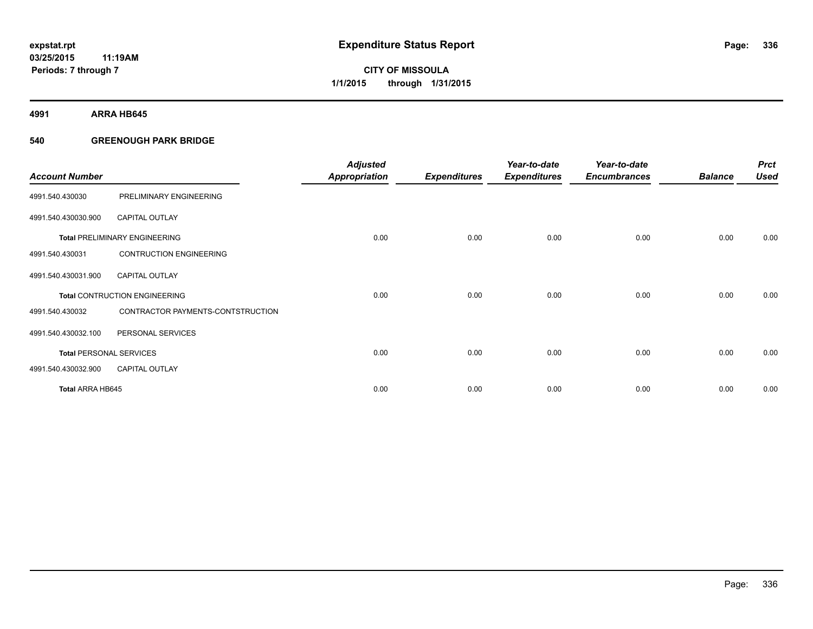**4991 ARRA HB645**

### **540 GREENOUGH PARK BRIDGE**

| <b>Account Number</b>          |                                      | <b>Adjusted</b><br><b>Appropriation</b> | <b>Expenditures</b> | Year-to-date<br><b>Expenditures</b> | Year-to-date<br><b>Encumbrances</b> | <b>Balance</b> | <b>Prct</b><br><b>Used</b> |
|--------------------------------|--------------------------------------|-----------------------------------------|---------------------|-------------------------------------|-------------------------------------|----------------|----------------------------|
| 4991.540.430030                | PRELIMINARY ENGINEERING              |                                         |                     |                                     |                                     |                |                            |
| 4991.540.430030.900            | <b>CAPITAL OUTLAY</b>                |                                         |                     |                                     |                                     |                |                            |
|                                | <b>Total PRELIMINARY ENGINEERING</b> | 0.00                                    | 0.00                | 0.00                                | 0.00                                | 0.00           | 0.00                       |
| 4991.540.430031                | <b>CONTRUCTION ENGINEERING</b>       |                                         |                     |                                     |                                     |                |                            |
| 4991.540.430031.900            | <b>CAPITAL OUTLAY</b>                |                                         |                     |                                     |                                     |                |                            |
|                                | <b>Total CONTRUCTION ENGINEERING</b> | 0.00                                    | 0.00                | 0.00                                | 0.00                                | 0.00           | 0.00                       |
| 4991.540.430032                | CONTRACTOR PAYMENTS-CONTSTRUCTION    |                                         |                     |                                     |                                     |                |                            |
| 4991.540.430032.100            | PERSONAL SERVICES                    |                                         |                     |                                     |                                     |                |                            |
| <b>Total PERSONAL SERVICES</b> |                                      | 0.00                                    | 0.00                | 0.00                                | 0.00                                | 0.00           | 0.00                       |
| 4991.540.430032.900            | <b>CAPITAL OUTLAY</b>                |                                         |                     |                                     |                                     |                |                            |
| Total ARRA HB645               |                                      | 0.00                                    | 0.00                | 0.00                                | 0.00                                | 0.00           | 0.00                       |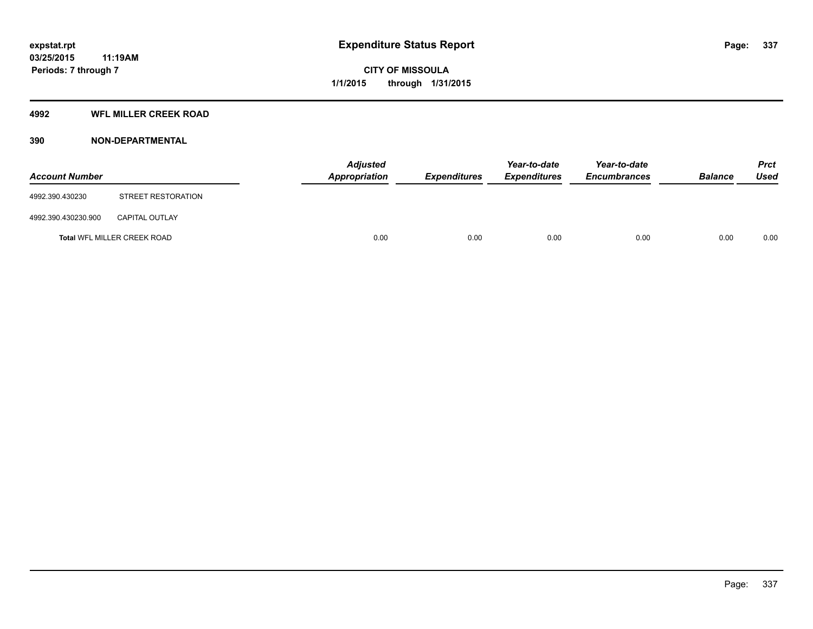#### **4992 WFL MILLER CREEK ROAD**

### **390 NON-DEPARTMENTAL**

| <b>Account Number</b> |                             | Adjusted<br><b>Appropriation</b> | <b>Expenditures</b> | Year-to-date<br><b>Expenditures</b> | Year-to-date<br><b>Encumbrances</b> | <b>Balance</b> | <b>Prct</b><br><b>Used</b> |
|-----------------------|-----------------------------|----------------------------------|---------------------|-------------------------------------|-------------------------------------|----------------|----------------------------|
| 4992.390.430230       | STREET RESTORATION          |                                  |                     |                                     |                                     |                |                            |
| 4992.390.430230.900   | <b>CAPITAL OUTLAY</b>       |                                  |                     |                                     |                                     |                |                            |
|                       | Total WFL MILLER CREEK ROAD | 0.00                             | 0.00                | 0.00                                | 0.00                                | 0.00           | 0.00                       |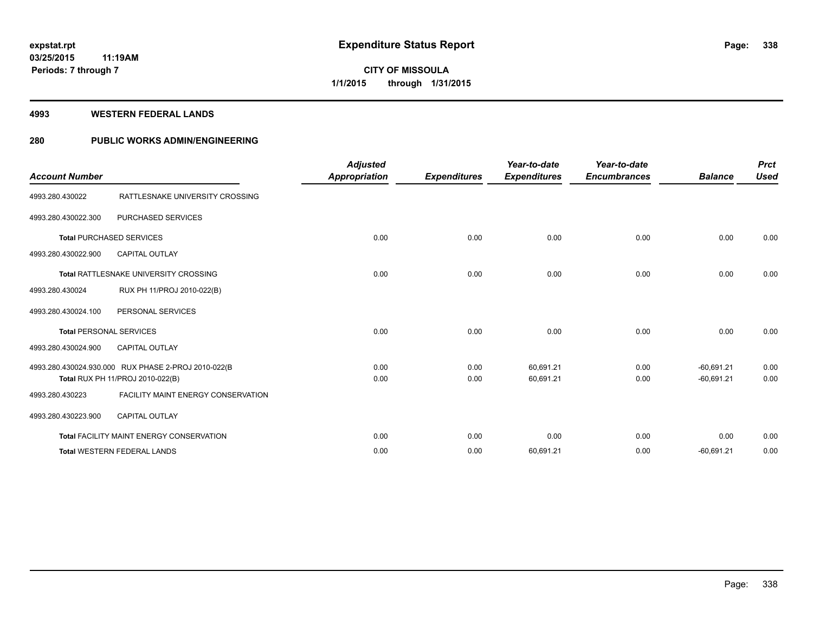#### **4993 WESTERN FEDERAL LANDS**

### **280 PUBLIC WORKS ADMIN/ENGINEERING**

| <b>Account Number</b>          |                                                                                         | <b>Adjusted</b><br>Appropriation | <b>Expenditures</b> | Year-to-date<br><b>Expenditures</b> | Year-to-date<br><b>Encumbrances</b> | <b>Balance</b>               | <b>Prct</b><br><b>Used</b> |
|--------------------------------|-----------------------------------------------------------------------------------------|----------------------------------|---------------------|-------------------------------------|-------------------------------------|------------------------------|----------------------------|
| 4993.280.430022                | RATTLESNAKE UNIVERSITY CROSSING                                                         |                                  |                     |                                     |                                     |                              |                            |
| 4993.280.430022.300            | <b>PURCHASED SERVICES</b>                                                               |                                  |                     |                                     |                                     |                              |                            |
|                                | <b>Total PURCHASED SERVICES</b>                                                         | 0.00                             | 0.00                | 0.00                                | 0.00                                | 0.00                         | 0.00                       |
| 4993.280.430022.900            | <b>CAPITAL OUTLAY</b>                                                                   |                                  |                     |                                     |                                     |                              |                            |
|                                | Total RATTLESNAKE UNIVERSITY CROSSING                                                   | 0.00                             | 0.00                | 0.00                                | 0.00                                | 0.00                         | 0.00                       |
| 4993.280.430024                | RUX PH 11/PROJ 2010-022(B)                                                              |                                  |                     |                                     |                                     |                              |                            |
| 4993.280.430024.100            | PERSONAL SERVICES                                                                       |                                  |                     |                                     |                                     |                              |                            |
| <b>Total PERSONAL SERVICES</b> |                                                                                         | 0.00                             | 0.00                | 0.00                                | 0.00                                | 0.00                         | 0.00                       |
| 4993.280.430024.900            | <b>CAPITAL OUTLAY</b>                                                                   |                                  |                     |                                     |                                     |                              |                            |
|                                | 4993.280.430024.930.000 RUX PHASE 2-PROJ 2010-022(B<br>Total RUX PH 11/PROJ 2010-022(B) | 0.00<br>0.00                     | 0.00<br>0.00        | 60,691.21<br>60,691.21              | 0.00<br>0.00                        | $-60,691.21$<br>$-60,691.21$ | 0.00<br>0.00               |
| 4993.280.430223                | <b>FACILITY MAINT ENERGY CONSERVATION</b>                                               |                                  |                     |                                     |                                     |                              |                            |
| 4993.280.430223.900            | <b>CAPITAL OUTLAY</b>                                                                   |                                  |                     |                                     |                                     |                              |                            |
|                                | <b>Total FACILITY MAINT ENERGY CONSERVATION</b>                                         | 0.00                             | 0.00                | 0.00                                | 0.00                                | 0.00                         | 0.00                       |
|                                | <b>Total WESTERN FEDERAL LANDS</b>                                                      | 0.00                             | 0.00                | 60,691.21                           | 0.00                                | $-60,691.21$                 | 0.00                       |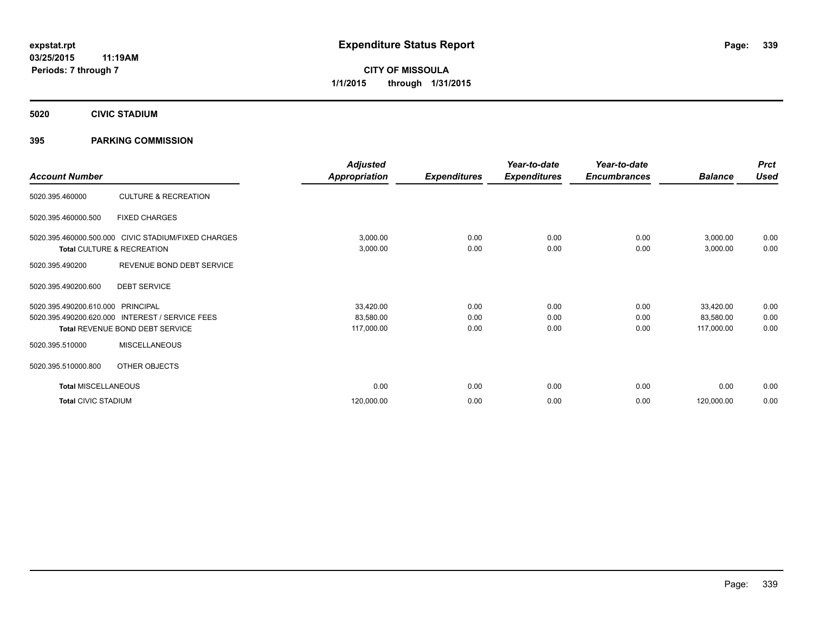**5020 CIVIC STADIUM**

### **395 PARKING COMMISSION**

| <b>Account Number</b>      |                                                     | <b>Adjusted</b><br><b>Appropriation</b> | <b>Expenditures</b> | Year-to-date<br><b>Expenditures</b> | Year-to-date<br><b>Encumbrances</b> | <b>Balance</b> | <b>Prct</b><br><b>Used</b> |
|----------------------------|-----------------------------------------------------|-----------------------------------------|---------------------|-------------------------------------|-------------------------------------|----------------|----------------------------|
|                            |                                                     |                                         |                     |                                     |                                     |                |                            |
| 5020.395.460000            | <b>CULTURE &amp; RECREATION</b>                     |                                         |                     |                                     |                                     |                |                            |
| 5020.395.460000.500        | <b>FIXED CHARGES</b>                                |                                         |                     |                                     |                                     |                |                            |
|                            | 5020.395.460000.500.000 CIVIC STADIUM/FIXED CHARGES | 3,000.00                                | 0.00                | 0.00                                | 0.00                                | 3,000.00       | 0.00                       |
|                            | Total CULTURE & RECREATION                          | 3,000.00                                | 0.00                | 0.00                                | 0.00                                | 3,000.00       | 0.00                       |
| 5020.395.490200            | REVENUE BOND DEBT SERVICE                           |                                         |                     |                                     |                                     |                |                            |
| 5020.395.490200.600        | <b>DEBT SERVICE</b>                                 |                                         |                     |                                     |                                     |                |                            |
| 5020.395.490200.610.000    | PRINCIPAL                                           | 33,420.00                               | 0.00                | 0.00                                | 0.00                                | 33,420.00      | 0.00                       |
| 5020.395.490200.620.000    | <b>INTEREST / SERVICE FEES</b>                      | 83,580.00                               | 0.00                | 0.00                                | 0.00                                | 83,580.00      | 0.00                       |
|                            | Total REVENUE BOND DEBT SERVICE                     | 117,000.00                              | 0.00                | 0.00                                | 0.00                                | 117,000.00     | 0.00                       |
| 5020.395.510000            | <b>MISCELLANEOUS</b>                                |                                         |                     |                                     |                                     |                |                            |
| 5020.395.510000.800        | OTHER OBJECTS                                       |                                         |                     |                                     |                                     |                |                            |
| <b>Total MISCELLANEOUS</b> |                                                     | 0.00                                    | 0.00                | 0.00                                | 0.00                                | 0.00           | 0.00                       |
| <b>Total CIVIC STADIUM</b> |                                                     | 120,000.00                              | 0.00                | 0.00                                | 0.00                                | 120,000.00     | 0.00                       |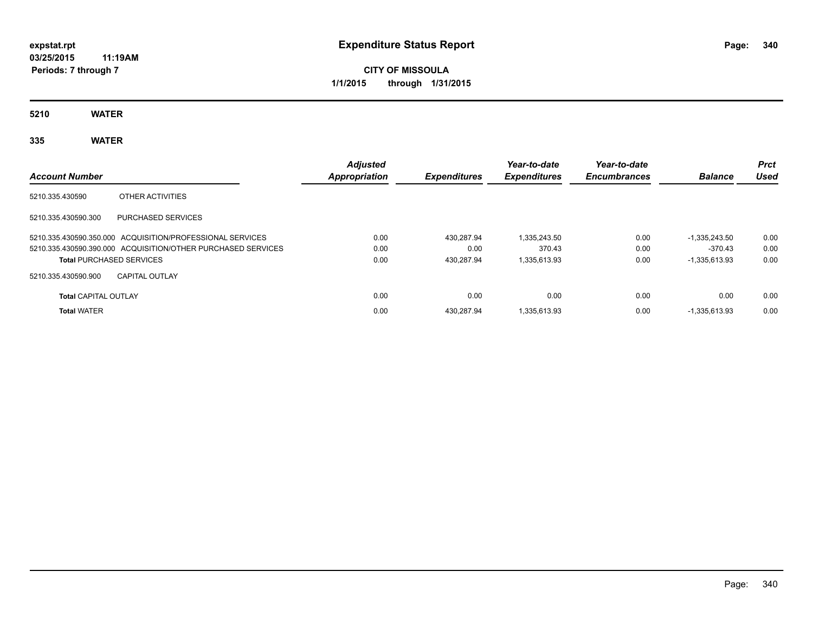# **CITY OF MISSOULA 1/1/2015 through 1/31/2015**

**5210 WATER**

## **335 WATER**

| <b>Account Number</b>           |                                                              | <b>Adjusted</b><br>Appropriation | <b>Expenditures</b> | Year-to-date<br><b>Expenditures</b> | Year-to-date<br><b>Encumbrances</b> | <b>Balance</b>  | <b>Prct</b><br>Used |
|---------------------------------|--------------------------------------------------------------|----------------------------------|---------------------|-------------------------------------|-------------------------------------|-----------------|---------------------|
| 5210.335.430590                 | OTHER ACTIVITIES                                             |                                  |                     |                                     |                                     |                 |                     |
| 5210.335.430590.300             | <b>PURCHASED SERVICES</b>                                    |                                  |                     |                                     |                                     |                 |                     |
|                                 | 5210.335.430590.350.000 ACQUISITION/PROFESSIONAL SERVICES    | 0.00                             | 430.287.94          | 1.335.243.50                        | 0.00                                | $-1.335.243.50$ | 0.00                |
|                                 | 5210.335.430590.390.000 ACQUISITION/OTHER PURCHASED SERVICES | 0.00                             | 0.00                | 370.43                              | 0.00                                | $-370.43$       | 0.00                |
| <b>Total PURCHASED SERVICES</b> |                                                              | 0.00                             | 430.287.94          | 1,335,613.93                        | 0.00                                | $-1.335.613.93$ | 0.00                |
| 5210.335.430590.900             | <b>CAPITAL OUTLAY</b>                                        |                                  |                     |                                     |                                     |                 |                     |
| <b>Total CAPITAL OUTLAY</b>     |                                                              | 0.00                             | 0.00                | 0.00                                | 0.00                                | 0.00            | 0.00                |
| <b>Total WATER</b>              |                                                              | 0.00                             | 430.287.94          | 1.335.613.93                        | 0.00                                | $-1.335.613.93$ | 0.00                |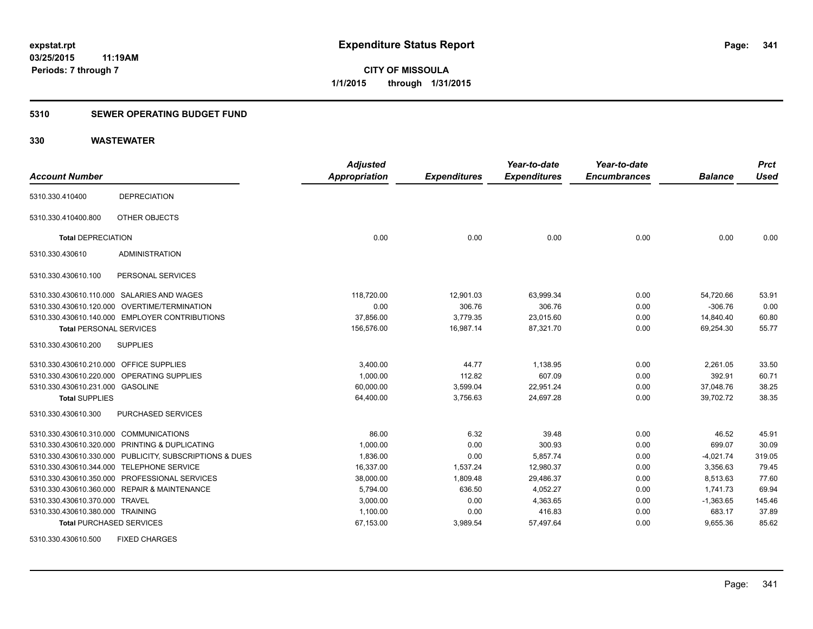### **5310 SEWER OPERATING BUDGET FUND**

### **330 WASTEWATER**

|                                         |                                                         | <b>Adjusted</b>      |                     | Year-to-date        | Year-to-date        |                | <b>Prct</b> |
|-----------------------------------------|---------------------------------------------------------|----------------------|---------------------|---------------------|---------------------|----------------|-------------|
| <b>Account Number</b>                   |                                                         | <b>Appropriation</b> | <b>Expenditures</b> | <b>Expenditures</b> | <b>Encumbrances</b> | <b>Balance</b> | <b>Used</b> |
| 5310.330.410400                         | <b>DEPRECIATION</b>                                     |                      |                     |                     |                     |                |             |
| 5310.330.410400.800                     | OTHER OBJECTS                                           |                      |                     |                     |                     |                |             |
| <b>Total DEPRECIATION</b>               |                                                         | 0.00                 | 0.00                | 0.00                | 0.00                | 0.00           | 0.00        |
| 5310.330.430610                         | <b>ADMINISTRATION</b>                                   |                      |                     |                     |                     |                |             |
| 5310.330.430610.100                     | PERSONAL SERVICES                                       |                      |                     |                     |                     |                |             |
|                                         | 5310.330.430610.110.000 SALARIES AND WAGES              | 118,720.00           | 12,901.03           | 63,999.34           | 0.00                | 54,720.66      | 53.91       |
|                                         | 5310.330.430610.120.000 OVERTIME/TERMINATION            | 0.00                 | 306.76              | 306.76              | 0.00                | $-306.76$      | 0.00        |
|                                         | 5310.330.430610.140.000 EMPLOYER CONTRIBUTIONS          | 37,856.00            | 3.779.35            | 23,015.60           | 0.00                | 14,840.40      | 60.80       |
| <b>Total PERSONAL SERVICES</b>          |                                                         | 156,576.00           | 16,987.14           | 87,321.70           | 0.00                | 69,254.30      | 55.77       |
| 5310.330.430610.200                     | <b>SUPPLIES</b>                                         |                      |                     |                     |                     |                |             |
| 5310.330.430610.210.000 OFFICE SUPPLIES |                                                         | 3,400.00             | 44.77               | 1,138.95            | 0.00                | 2,261.05       | 33.50       |
|                                         | 5310.330.430610.220.000 OPERATING SUPPLIES              | 1,000.00             | 112.82              | 607.09              | 0.00                | 392.91         | 60.71       |
| 5310.330.430610.231.000 GASOLINE        |                                                         | 60,000.00            | 3,599.04            | 22,951.24           | 0.00                | 37,048.76      | 38.25       |
| <b>Total SUPPLIES</b>                   |                                                         | 64,400.00            | 3,756.63            | 24,697.28           | 0.00                | 39,702.72      | 38.35       |
| 5310.330.430610.300                     | PURCHASED SERVICES                                      |                      |                     |                     |                     |                |             |
| 5310.330.430610.310.000 COMMUNICATIONS  |                                                         | 86.00                | 6.32                | 39.48               | 0.00                | 46.52          | 45.91       |
|                                         | 5310.330.430610.320.000 PRINTING & DUPLICATING          | 1,000.00             | 0.00                | 300.93              | 0.00                | 699.07         | 30.09       |
|                                         | 5310.330.430610.330.000 PUBLICITY, SUBSCRIPTIONS & DUES | 1,836.00             | 0.00                | 5,857.74            | 0.00                | $-4,021.74$    | 319.05      |
|                                         | 5310.330.430610.344.000 TELEPHONE SERVICE               | 16,337.00            | 1,537.24            | 12,980.37           | 0.00                | 3,356.63       | 79.45       |
|                                         | 5310.330.430610.350.000 PROFESSIONAL SERVICES           | 38,000.00            | 1,809.48            | 29,486.37           | 0.00                | 8,513.63       | 77.60       |
|                                         | 5310.330.430610.360.000 REPAIR & MAINTENANCE            | 5,794.00             | 636.50              | 4,052.27            | 0.00                | 1,741.73       | 69.94       |
| 5310.330.430610.370.000 TRAVEL          |                                                         | 3,000.00             | 0.00                | 4,363.65            | 0.00                | $-1,363.65$    | 145.46      |
| 5310.330.430610.380.000 TRAINING        |                                                         | 1,100.00             | 0.00                | 416.83              | 0.00                | 683.17         | 37.89       |
| <b>Total PURCHASED SERVICES</b>         |                                                         | 67,153.00            | 3,989.54            | 57,497.64           | 0.00                | 9,655.36       | 85.62       |

5310.330.430610.500 FIXED CHARGES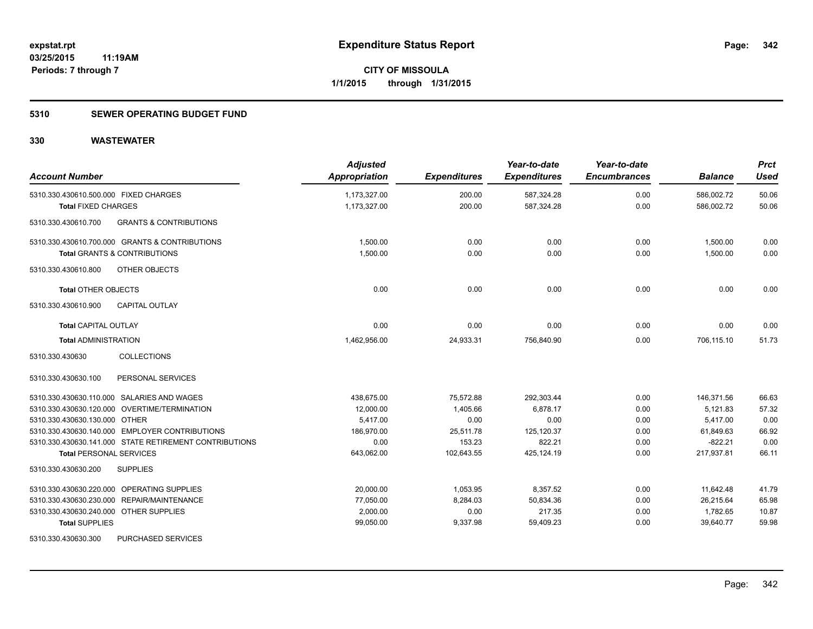### **5310 SEWER OPERATING BUDGET FUND**

| <b>Account Number</b>                                    | <b>Adjusted</b><br><b>Appropriation</b> | <b>Expenditures</b> | Year-to-date<br><b>Expenditures</b> | Year-to-date<br><b>Encumbrances</b> | <b>Balance</b>          | <b>Prct</b><br><b>Used</b> |
|----------------------------------------------------------|-----------------------------------------|---------------------|-------------------------------------|-------------------------------------|-------------------------|----------------------------|
| 5310.330.430610.500.000 FIXED CHARGES                    | 1,173,327.00                            | 200.00              | 587,324.28                          | 0.00                                | 586,002.72              | 50.06                      |
| <b>Total FIXED CHARGES</b>                               | 1,173,327.00                            | 200.00              | 587,324.28                          | 0.00                                | 586,002.72              | 50.06                      |
| <b>GRANTS &amp; CONTRIBUTIONS</b><br>5310.330.430610.700 |                                         |                     |                                     |                                     |                         |                            |
| 5310.330.430610.700.000 GRANTS & CONTRIBUTIONS           | 1,500.00                                | 0.00                | 0.00                                | 0.00                                | 1,500.00                | 0.00                       |
| <b>Total GRANTS &amp; CONTRIBUTIONS</b>                  | 1,500.00                                | 0.00                | 0.00                                | 0.00                                | 1,500.00                | 0.00                       |
| 5310.330.430610.800<br>OTHER OBJECTS                     |                                         |                     |                                     |                                     |                         |                            |
| <b>Total OTHER OBJECTS</b>                               | 0.00                                    | 0.00                | 0.00                                | 0.00                                | 0.00                    | 0.00                       |
| <b>CAPITAL OUTLAY</b><br>5310.330.430610.900             |                                         |                     |                                     |                                     |                         |                            |
| <b>Total CAPITAL OUTLAY</b>                              | 0.00                                    | 0.00                | 0.00                                | 0.00                                | 0.00                    | 0.00                       |
| <b>Total ADMINISTRATION</b>                              | 1,462,956.00                            | 24,933.31           | 756,840.90                          | 0.00                                | 706,115.10              | 51.73                      |
| <b>COLLECTIONS</b><br>5310.330.430630                    |                                         |                     |                                     |                                     |                         |                            |
| 5310.330.430630.100<br>PERSONAL SERVICES                 |                                         |                     |                                     |                                     |                         |                            |
| 5310.330.430630.110.000 SALARIES AND WAGES               | 438,675.00                              | 75,572.88           | 292,303.44                          | 0.00                                | 146,371.56              | 66.63                      |
| 5310.330.430630.120.000 OVERTIME/TERMINATION             | 12,000.00                               | 1,405.66            | 6,878.17                            | 0.00                                | 5,121.83                | 57.32                      |
| 5310.330.430630.130.000 OTHER                            | 5,417.00                                | 0.00                | 0.00                                | 0.00                                | 5,417.00                | 0.00                       |
| 5310.330.430630.140.000 EMPLOYER CONTRIBUTIONS           | 186,970.00                              | 25,511.78           | 125,120.37                          | 0.00                                | 61,849.63               | 66.92                      |
| 5310.330.430630.141.000 STATE RETIREMENT CONTRIBUTIONS   | 0.00                                    | 153.23              | 822.21<br>425,124.19                | 0.00                                | $-822.21$<br>217,937.81 | 0.00<br>66.11              |
| <b>Total PERSONAL SERVICES</b>                           | 643,062.00                              | 102,643.55          |                                     | 0.00                                |                         |                            |
| 5310.330.430630.200<br><b>SUPPLIES</b>                   |                                         |                     |                                     |                                     |                         |                            |
| 5310.330.430630.220.000 OPERATING SUPPLIES               | 20.000.00                               | 1,053.95            | 8,357.52                            | 0.00                                | 11,642.48               | 41.79                      |
| 5310.330.430630.230.000 REPAIR/MAINTENANCE               | 77,050.00                               | 8,284.03            | 50,834.36                           | 0.00                                | 26,215.64               | 65.98                      |
| 5310.330.430630.240.000 OTHER SUPPLIES                   | 2,000.00                                | 0.00                | 217.35                              | 0.00                                | 1,782.65                | 10.87                      |
| <b>Total SUPPLIES</b>                                    | 99,050.00                               | 9,337.98            | 59,409.23                           | 0.00                                | 39,640.77               | 59.98                      |
| PURCHASED SERVICES<br>5310.330.430630.300                |                                         |                     |                                     |                                     |                         |                            |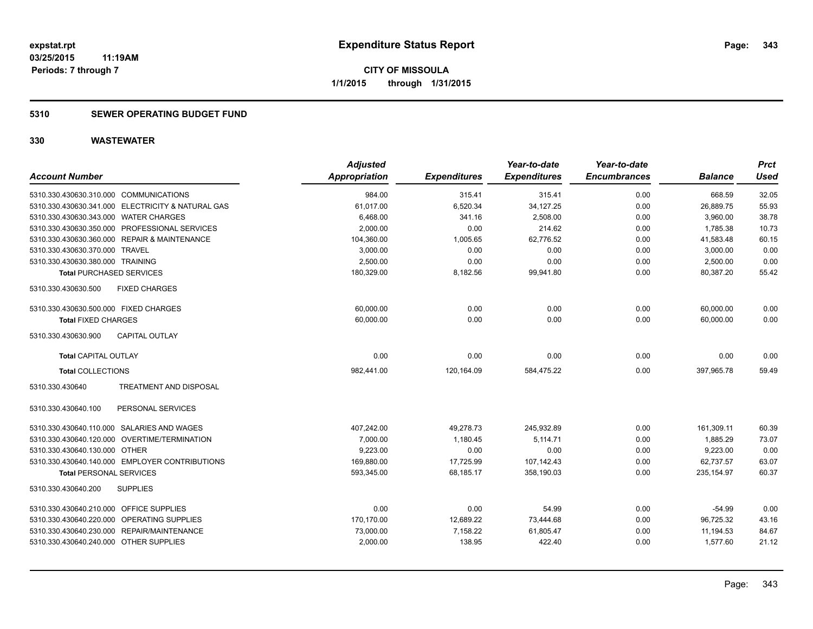#### **5310 SEWER OPERATING BUDGET FUND**

| <b>Account Number</b>                             | <b>Adjusted</b><br><b>Appropriation</b> | <b>Expenditures</b> | Year-to-date<br><b>Expenditures</b> | Year-to-date<br><b>Encumbrances</b> | <b>Balance</b> | <b>Prct</b><br><b>Used</b> |
|---------------------------------------------------|-----------------------------------------|---------------------|-------------------------------------|-------------------------------------|----------------|----------------------------|
| 5310.330.430630.310.000 COMMUNICATIONS            | 984.00                                  | 315.41              | 315.41                              | 0.00                                | 668.59         | 32.05                      |
| 5310.330.430630.341.000 ELECTRICITY & NATURAL GAS | 61,017.00                               | 6,520.34            | 34,127.25                           | 0.00                                | 26,889.75      | 55.93                      |
| 5310.330.430630.343.000 WATER CHARGES             | 6,468.00                                | 341.16              | 2,508.00                            | 0.00                                | 3,960.00       | 38.78                      |
| 5310.330.430630.350.000 PROFESSIONAL SERVICES     | 2,000.00                                | 0.00                | 214.62                              | 0.00                                | 1,785.38       | 10.73                      |
| 5310.330.430630.360.000 REPAIR & MAINTENANCE      | 104,360.00                              | 1,005.65            | 62.776.52                           | 0.00                                | 41,583.48      | 60.15                      |
| 5310.330.430630.370.000 TRAVEL                    | 3,000.00                                | 0.00                | 0.00                                | 0.00                                | 3,000.00       | 0.00                       |
| 5310.330.430630.380.000 TRAINING                  | 2.500.00                                | 0.00                | 0.00                                | 0.00                                | 2,500.00       | 0.00                       |
| <b>Total PURCHASED SERVICES</b>                   | 180,329.00                              | 8,182.56            | 99,941.80                           | 0.00                                | 80,387.20      | 55.42                      |
| <b>FIXED CHARGES</b><br>5310.330.430630.500       |                                         |                     |                                     |                                     |                |                            |
| 5310.330.430630.500.000 FIXED CHARGES             | 60,000.00                               | 0.00                | 0.00                                | 0.00                                | 60,000.00      | 0.00                       |
| <b>Total FIXED CHARGES</b>                        | 60,000.00                               | 0.00                | 0.00                                | 0.00                                | 60,000.00      | 0.00                       |
| 5310.330.430630.900<br><b>CAPITAL OUTLAY</b>      |                                         |                     |                                     |                                     |                |                            |
| <b>Total CAPITAL OUTLAY</b>                       | 0.00                                    | 0.00                | 0.00                                | 0.00                                | 0.00           | 0.00                       |
| <b>Total COLLECTIONS</b>                          | 982,441.00                              | 120,164.09          | 584,475.22                          | 0.00                                | 397,965.78     | 59.49                      |
| <b>TREATMENT AND DISPOSAL</b><br>5310.330.430640  |                                         |                     |                                     |                                     |                |                            |
| PERSONAL SERVICES<br>5310.330.430640.100          |                                         |                     |                                     |                                     |                |                            |
| 5310.330.430640.110.000 SALARIES AND WAGES        | 407,242.00                              | 49,278.73           | 245,932.89                          | 0.00                                | 161,309.11     | 60.39                      |
| 5310.330.430640.120.000 OVERTIME/TERMINATION      | 7,000.00                                | 1,180.45            | 5,114.71                            | 0.00                                | 1,885.29       | 73.07                      |
| 5310.330.430640.130.000 OTHER                     | 9,223.00                                | 0.00                | 0.00                                | 0.00                                | 9,223.00       | 0.00                       |
| 5310.330.430640.140.000 EMPLOYER CONTRIBUTIONS    | 169,880.00                              | 17,725.99           | 107,142.43                          | 0.00                                | 62,737.57      | 63.07                      |
| <b>Total PERSONAL SERVICES</b>                    | 593,345.00                              | 68.185.17           | 358.190.03                          | 0.00                                | 235.154.97     | 60.37                      |
| 5310.330.430640.200<br><b>SUPPLIES</b>            |                                         |                     |                                     |                                     |                |                            |
| 5310.330.430640.210.000 OFFICE SUPPLIES           | 0.00                                    | 0.00                | 54.99                               | 0.00                                | $-54.99$       | 0.00                       |
| 5310.330.430640.220.000 OPERATING SUPPLIES        | 170,170.00                              | 12,689.22           | 73,444.68                           | 0.00                                | 96,725.32      | 43.16                      |
| 5310.330.430640.230.000 REPAIR/MAINTENANCE        | 73,000.00                               | 7,158.22            | 61,805.47                           | 0.00                                | 11,194.53      | 84.67                      |
| 5310.330.430640.240.000 OTHER SUPPLIES            | 2,000.00                                | 138.95              | 422.40                              | 0.00                                | 1,577.60       | 21.12                      |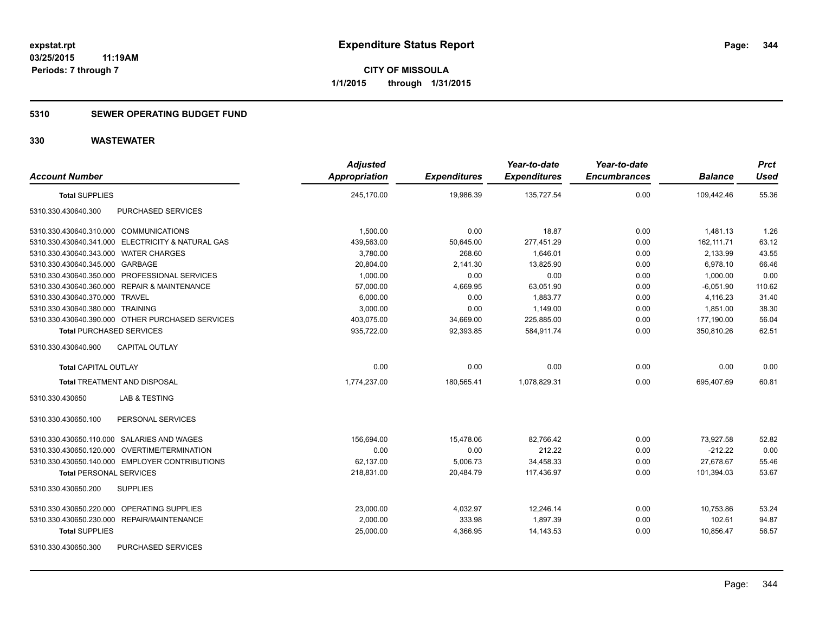#### **5310 SEWER OPERATING BUDGET FUND**

| <b>Account Number</b>                             | <b>Adjusted</b><br><b>Appropriation</b> | <b>Expenditures</b> | Year-to-date<br><b>Expenditures</b> | Year-to-date<br><b>Encumbrances</b> | <b>Balance</b> | <b>Prct</b><br><b>Used</b> |
|---------------------------------------------------|-----------------------------------------|---------------------|-------------------------------------|-------------------------------------|----------------|----------------------------|
| <b>Total SUPPLIES</b>                             | 245,170.00                              | 19,986.39           | 135,727.54                          | 0.00                                | 109,442.46     | 55.36                      |
| 5310.330.430640.300<br>PURCHASED SERVICES         |                                         |                     |                                     |                                     |                |                            |
| 5310.330.430640.310.000 COMMUNICATIONS            | 1,500.00                                | 0.00                | 18.87                               | 0.00                                | 1,481.13       | 1.26                       |
| 5310.330.430640.341.000 ELECTRICITY & NATURAL GAS | 439,563.00                              | 50,645.00           | 277,451.29                          | 0.00                                | 162,111.71     | 63.12                      |
| 5310.330.430640.343.000 WATER CHARGES             | 3,780.00                                | 268.60              | 1,646.01                            | 0.00                                | 2,133.99       | 43.55                      |
| 5310.330.430640.345.000 GARBAGE                   | 20,804.00                               | 2,141.30            | 13,825.90                           | 0.00                                | 6,978.10       | 66.46                      |
| 5310.330.430640.350.000 PROFESSIONAL SERVICES     | 1,000.00                                | 0.00                | 0.00                                | 0.00                                | 1,000.00       | 0.00                       |
| 5310.330.430640.360.000 REPAIR & MAINTENANCE      | 57,000.00                               | 4,669.95            | 63,051.90                           | 0.00                                | $-6,051.90$    | 110.62                     |
| 5310.330.430640.370.000 TRAVEL                    | 6,000.00                                | 0.00                | 1,883.77                            | 0.00                                | 4,116.23       | 31.40                      |
| 5310.330.430640.380.000 TRAINING                  | 3,000.00                                | 0.00                | 1,149.00                            | 0.00                                | 1,851.00       | 38.30                      |
| 5310.330.430640.390.000 OTHER PURCHASED SERVICES  | 403,075.00                              | 34,669.00           | 225,885.00                          | 0.00                                | 177,190.00     | 56.04                      |
| <b>Total PURCHASED SERVICES</b>                   | 935,722.00                              | 92,393.85           | 584,911.74                          | 0.00                                | 350,810.26     | 62.51                      |
| CAPITAL OUTLAY<br>5310.330.430640.900             |                                         |                     |                                     |                                     |                |                            |
| <b>Total CAPITAL OUTLAY</b>                       | 0.00                                    | 0.00                | 0.00                                | 0.00                                | 0.00           | 0.00                       |
| <b>Total TREATMENT AND DISPOSAL</b>               | 1,774,237.00                            | 180,565.41          | 1,078,829.31                        | 0.00                                | 695,407.69     | 60.81                      |
| 5310.330.430650<br><b>LAB &amp; TESTING</b>       |                                         |                     |                                     |                                     |                |                            |
| 5310.330.430650.100<br>PERSONAL SERVICES          |                                         |                     |                                     |                                     |                |                            |
| 5310.330.430650.110.000 SALARIES AND WAGES        | 156.694.00                              | 15,478.06           | 82,766.42                           | 0.00                                | 73,927.58      | 52.82                      |
| 5310.330.430650.120.000 OVERTIME/TERMINATION      | 0.00                                    | 0.00                | 212.22                              | 0.00                                | $-212.22$      | 0.00                       |
| 5310.330.430650.140.000 EMPLOYER CONTRIBUTIONS    | 62,137.00                               | 5,006.73            | 34,458.33                           | 0.00                                | 27,678.67      | 55.46                      |
| <b>Total PERSONAL SERVICES</b>                    | 218,831.00                              | 20,484.79           | 117,436.97                          | 0.00                                | 101,394.03     | 53.67                      |
| 5310.330.430650.200<br><b>SUPPLIES</b>            |                                         |                     |                                     |                                     |                |                            |
| 5310.330.430650.220.000 OPERATING SUPPLIES        | 23,000.00                               | 4,032.97            | 12,246.14                           | 0.00                                | 10,753.86      | 53.24                      |
| 5310.330.430650.230.000 REPAIR/MAINTENANCE        | 2,000.00                                | 333.98              | 1,897.39                            | 0.00                                | 102.61         | 94.87                      |
| <b>Total SUPPLIES</b>                             | 25,000.00                               | 4,366.95            | 14, 143.53                          | 0.00                                | 10,856.47      | 56.57                      |
| <b>PURCHASED SERVICES</b><br>5310.330.430650.300  |                                         |                     |                                     |                                     |                |                            |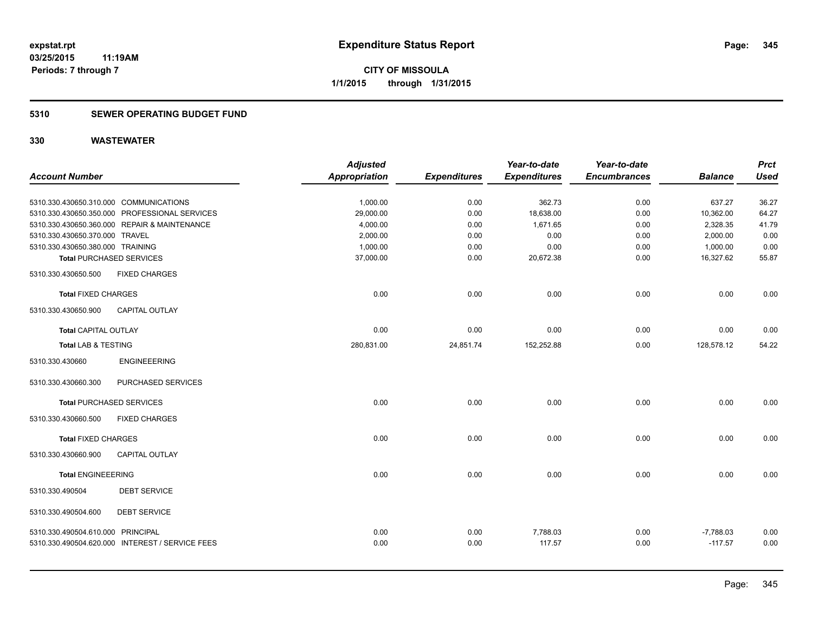### **5310 SEWER OPERATING BUDGET FUND**

|                                        |                                                 | <b>Adjusted</b>      |                     | Year-to-date        | Year-to-date        |                | <b>Prct</b> |
|----------------------------------------|-------------------------------------------------|----------------------|---------------------|---------------------|---------------------|----------------|-------------|
| <b>Account Number</b>                  |                                                 | <b>Appropriation</b> | <b>Expenditures</b> | <b>Expenditures</b> | <b>Encumbrances</b> | <b>Balance</b> | <b>Used</b> |
|                                        |                                                 |                      |                     |                     |                     |                |             |
| 5310.330.430650.310.000 COMMUNICATIONS |                                                 | 1,000.00             | 0.00                | 362.73              | 0.00                | 637.27         | 36.27       |
|                                        | 5310.330.430650.350.000 PROFESSIONAL SERVICES   | 29,000.00            | 0.00                | 18,638.00           | 0.00                | 10,362.00      | 64.27       |
|                                        | 5310.330.430650.360.000 REPAIR & MAINTENANCE    | 4,000.00             | 0.00                | 1,671.65            | 0.00                | 2,328.35       | 41.79       |
| 5310.330.430650.370.000 TRAVEL         |                                                 | 2,000.00             | 0.00                | 0.00                | 0.00                | 2,000.00       | 0.00        |
| 5310.330.430650.380.000 TRAINING       |                                                 | 1,000.00             | 0.00                | 0.00                | 0.00                | 1,000.00       | 0.00        |
|                                        | <b>Total PURCHASED SERVICES</b>                 | 37,000.00            | 0.00                | 20,672.38           | 0.00                | 16,327.62      | 55.87       |
| 5310.330.430650.500                    | <b>FIXED CHARGES</b>                            |                      |                     |                     |                     |                |             |
| <b>Total FIXED CHARGES</b>             |                                                 | 0.00                 | 0.00                | 0.00                | 0.00                | 0.00           | 0.00        |
| 5310.330.430650.900                    | <b>CAPITAL OUTLAY</b>                           |                      |                     |                     |                     |                |             |
| <b>Total CAPITAL OUTLAY</b>            |                                                 | 0.00                 | 0.00                | 0.00                | 0.00                | 0.00           | 0.00        |
| <b>Total LAB &amp; TESTING</b>         |                                                 | 280,831.00           | 24,851.74           | 152,252.88          | 0.00                | 128,578.12     | 54.22       |
| 5310.330.430660                        | <b>ENGINEEERING</b>                             |                      |                     |                     |                     |                |             |
| 5310.330.430660.300                    | PURCHASED SERVICES                              |                      |                     |                     |                     |                |             |
|                                        | <b>Total PURCHASED SERVICES</b>                 | 0.00                 | 0.00                | 0.00                | 0.00                | 0.00           | 0.00        |
| 5310.330.430660.500                    | <b>FIXED CHARGES</b>                            |                      |                     |                     |                     |                |             |
| <b>Total FIXED CHARGES</b>             |                                                 | 0.00                 | 0.00                | 0.00                | 0.00                | 0.00           | 0.00        |
| 5310.330.430660.900                    | <b>CAPITAL OUTLAY</b>                           |                      |                     |                     |                     |                |             |
| <b>Total ENGINEEERING</b>              |                                                 | 0.00                 | 0.00                | 0.00                | 0.00                | 0.00           | 0.00        |
| 5310.330.490504                        | <b>DEBT SERVICE</b>                             |                      |                     |                     |                     |                |             |
| 5310.330.490504.600                    | <b>DEBT SERVICE</b>                             |                      |                     |                     |                     |                |             |
| 5310.330.490504.610.000 PRINCIPAL      |                                                 | 0.00                 | 0.00                | 7,788.03            | 0.00                | $-7,788.03$    | 0.00        |
|                                        | 5310.330.490504.620.000 INTEREST / SERVICE FEES | 0.00                 | 0.00                | 117.57              | 0.00                | $-117.57$      | 0.00        |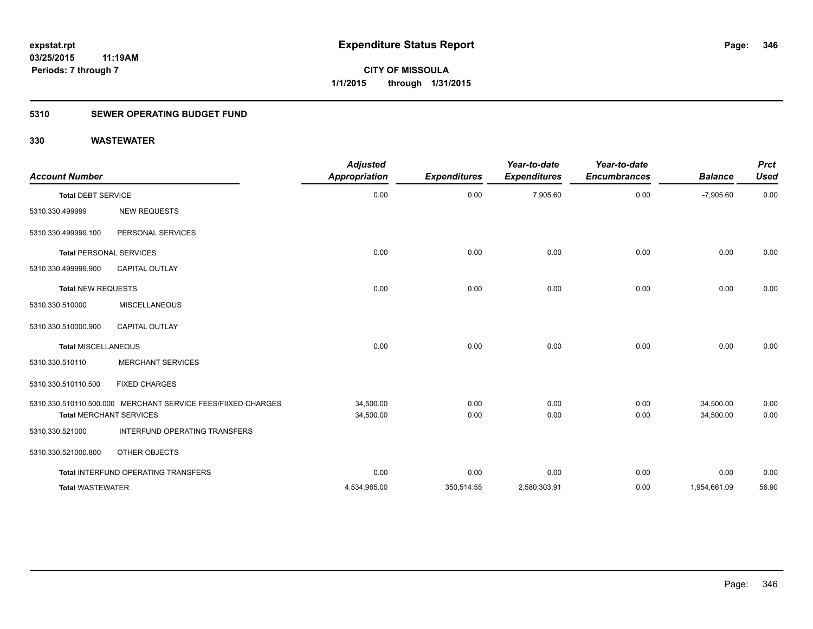### **5310 SEWER OPERATING BUDGET FUND**

| <b>Account Number</b>          |                                                              | <b>Adjusted</b><br><b>Appropriation</b> | <b>Expenditures</b> | Year-to-date<br><b>Expenditures</b> | Year-to-date<br><b>Encumbrances</b> | <b>Balance</b> | <b>Prct</b><br><b>Used</b> |
|--------------------------------|--------------------------------------------------------------|-----------------------------------------|---------------------|-------------------------------------|-------------------------------------|----------------|----------------------------|
| <b>Total DEBT SERVICE</b>      |                                                              | 0.00                                    | 0.00                | 7,905.60                            | 0.00                                | $-7,905.60$    | 0.00                       |
| 5310.330.499999                | <b>NEW REQUESTS</b>                                          |                                         |                     |                                     |                                     |                |                            |
| 5310.330.499999.100            | PERSONAL SERVICES                                            |                                         |                     |                                     |                                     |                |                            |
| <b>Total PERSONAL SERVICES</b> |                                                              | 0.00                                    | 0.00                | 0.00                                | 0.00                                | 0.00           | 0.00                       |
| 5310.330.499999.900            | <b>CAPITAL OUTLAY</b>                                        |                                         |                     |                                     |                                     |                |                            |
| Total NEW REQUESTS             |                                                              | 0.00                                    | 0.00                | 0.00                                | 0.00                                | 0.00           | 0.00                       |
| 5310.330.510000                | <b>MISCELLANEOUS</b>                                         |                                         |                     |                                     |                                     |                |                            |
| 5310.330.510000.900            | <b>CAPITAL OUTLAY</b>                                        |                                         |                     |                                     |                                     |                |                            |
| <b>Total MISCELLANEOUS</b>     |                                                              | 0.00                                    | 0.00                | 0.00                                | 0.00                                | 0.00           | 0.00                       |
| 5310.330.510110                | <b>MERCHANT SERVICES</b>                                     |                                         |                     |                                     |                                     |                |                            |
| 5310.330.510110.500            | <b>FIXED CHARGES</b>                                         |                                         |                     |                                     |                                     |                |                            |
|                                | 5310.330.510110.500.000 MERCHANT SERVICE FEES/FIIXED CHARGES | 34,500.00                               | 0.00                | 0.00                                | 0.00                                | 34,500.00      | 0.00                       |
|                                | <b>Total MERCHANT SERVICES</b>                               | 34,500.00                               | 0.00                | 0.00                                | 0.00                                | 34.500.00      | 0.00                       |
| 5310.330.521000                | INTERFUND OPERATING TRANSFERS                                |                                         |                     |                                     |                                     |                |                            |
| 5310.330.521000.800            | OTHER OBJECTS                                                |                                         |                     |                                     |                                     |                |                            |
|                                | Total INTERFUND OPERATING TRANSFERS                          | 0.00                                    | 0.00                | 0.00                                | 0.00                                | 0.00           | 0.00                       |
| <b>Total WASTEWATER</b>        |                                                              | 4.534.965.00                            | 350,514.55          | 2,580,303.91                        | 0.00                                | 1,954,661.09   | 56.90                      |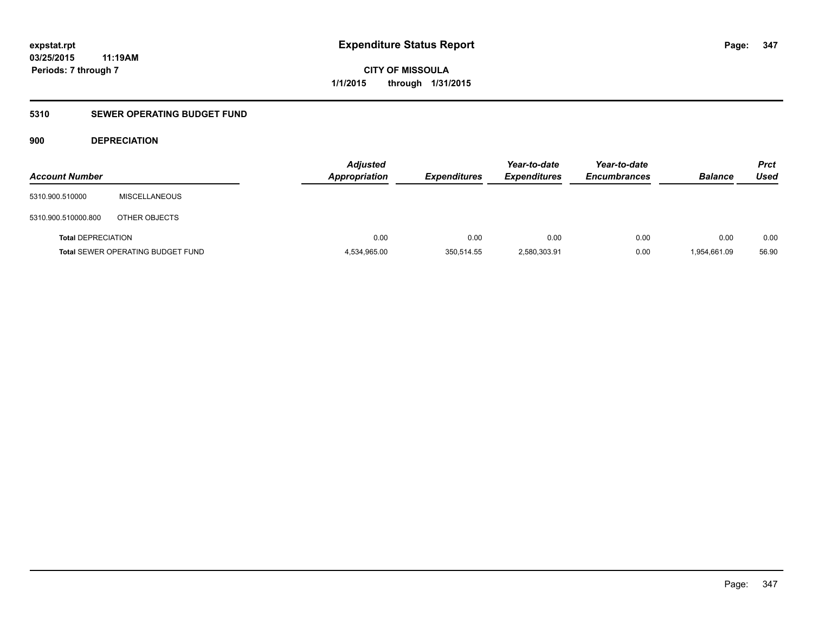### **5310 SEWER OPERATING BUDGET FUND**

### **900 DEPRECIATION**

| <b>Account Number</b>     |                                          | <b>Adjusted</b><br><b>Appropriation</b> | <b>Expenditures</b> | Year-to-date<br><b>Expenditures</b> | Year-to-date<br><b>Encumbrances</b> | <b>Balance</b> | <b>Prct</b><br>Used |
|---------------------------|------------------------------------------|-----------------------------------------|---------------------|-------------------------------------|-------------------------------------|----------------|---------------------|
| 5310.900.510000           | <b>MISCELLANEOUS</b>                     |                                         |                     |                                     |                                     |                |                     |
| 5310.900.510000.800       | OTHER OBJECTS                            |                                         |                     |                                     |                                     |                |                     |
| <b>Total DEPRECIATION</b> |                                          | 0.00                                    | 0.00                | 0.00                                | 0.00                                | 0.00           | 0.00                |
|                           | <b>Total SEWER OPERATING BUDGET FUND</b> | 4,534,965.00                            | 350,514.55          | 2,580,303.91                        | 0.00                                | 1,954,661.09   | 56.90               |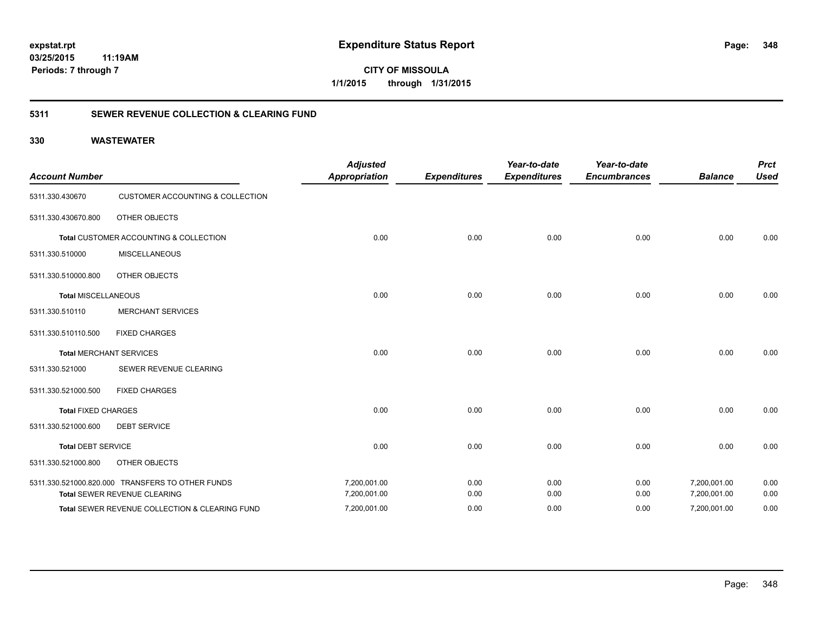**CITY OF MISSOULA 1/1/2015 through 1/31/2015**

### **5311 SEWER REVENUE COLLECTION & CLEARING FUND**

| <b>Account Number</b>      |                                                  | <b>Adjusted</b><br><b>Appropriation</b> | <b>Expenditures</b> | Year-to-date<br><b>Expenditures</b> | Year-to-date<br><b>Encumbrances</b> | <b>Balance</b> | <b>Prct</b><br><b>Used</b> |
|----------------------------|--------------------------------------------------|-----------------------------------------|---------------------|-------------------------------------|-------------------------------------|----------------|----------------------------|
| 5311.330.430670            | <b>CUSTOMER ACCOUNTING &amp; COLLECTION</b>      |                                         |                     |                                     |                                     |                |                            |
| 5311.330.430670.800        | <b>OTHER OBJECTS</b>                             |                                         |                     |                                     |                                     |                |                            |
|                            | Total CUSTOMER ACCOUNTING & COLLECTION           | 0.00                                    | 0.00                | 0.00                                | 0.00                                | 0.00           | 0.00                       |
| 5311.330.510000            | <b>MISCELLANEOUS</b>                             |                                         |                     |                                     |                                     |                |                            |
| 5311.330.510000.800        | <b>OTHER OBJECTS</b>                             |                                         |                     |                                     |                                     |                |                            |
| <b>Total MISCELLANEOUS</b> |                                                  | 0.00                                    | 0.00                | 0.00                                | 0.00                                | 0.00           | 0.00                       |
| 5311.330.510110            | <b>MERCHANT SERVICES</b>                         |                                         |                     |                                     |                                     |                |                            |
| 5311.330.510110.500        | <b>FIXED CHARGES</b>                             |                                         |                     |                                     |                                     |                |                            |
|                            | <b>Total MERCHANT SERVICES</b>                   | 0.00                                    | 0.00                | 0.00                                | 0.00                                | 0.00           | 0.00                       |
| 5311.330.521000            | SEWER REVENUE CLEARING                           |                                         |                     |                                     |                                     |                |                            |
| 5311.330.521000.500        | <b>FIXED CHARGES</b>                             |                                         |                     |                                     |                                     |                |                            |
| <b>Total FIXED CHARGES</b> |                                                  | 0.00                                    | 0.00                | 0.00                                | 0.00                                | 0.00           | 0.00                       |
| 5311.330.521000.600        | <b>DEBT SERVICE</b>                              |                                         |                     |                                     |                                     |                |                            |
| <b>Total DEBT SERVICE</b>  |                                                  | 0.00                                    | 0.00                | 0.00                                | 0.00                                | 0.00           | 0.00                       |
| 5311.330.521000.800        | OTHER OBJECTS                                    |                                         |                     |                                     |                                     |                |                            |
|                            | 5311.330.521000.820.000 TRANSFERS TO OTHER FUNDS | 7,200,001.00                            | 0.00                | 0.00                                | 0.00                                | 7,200,001.00   | 0.00                       |
|                            | Total SEWER REVENUE CLEARING                     | 7,200,001.00                            | 0.00                | 0.00                                | 0.00                                | 7,200,001.00   | 0.00                       |
|                            | Total SEWER REVENUE COLLECTION & CLEARING FUND   | 7,200,001.00                            | 0.00                | 0.00                                | 0.00                                | 7,200,001.00   | 0.00                       |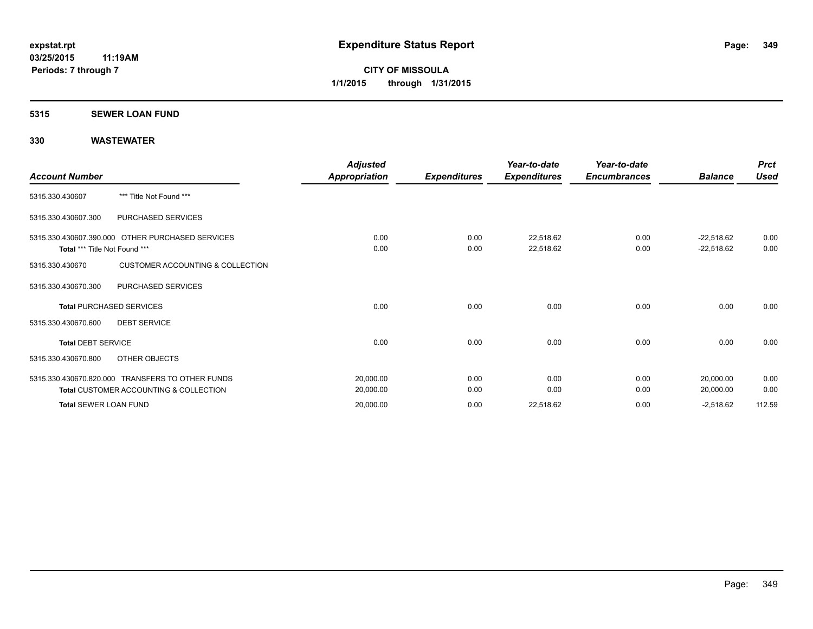### **5315 SEWER LOAN FUND**

| <b>Account Number</b>         |                                                                                                       | <b>Adjusted</b><br>Appropriation | <b>Expenditures</b> | Year-to-date<br><b>Expenditures</b> | Year-to-date<br><b>Encumbrances</b> | <b>Balance</b>               | <b>Prct</b><br><b>Used</b> |
|-------------------------------|-------------------------------------------------------------------------------------------------------|----------------------------------|---------------------|-------------------------------------|-------------------------------------|------------------------------|----------------------------|
| 5315.330.430607               | *** Title Not Found ***                                                                               |                                  |                     |                                     |                                     |                              |                            |
| 5315.330.430607.300           | PURCHASED SERVICES                                                                                    |                                  |                     |                                     |                                     |                              |                            |
| Total *** Title Not Found *** | 5315.330.430607.390.000 OTHER PURCHASED SERVICES                                                      | 0.00<br>0.00                     | 0.00<br>0.00        | 22,518.62<br>22,518.62              | 0.00<br>0.00                        | $-22,518.62$<br>$-22,518.62$ | 0.00<br>0.00               |
| 5315.330.430670               | <b>CUSTOMER ACCOUNTING &amp; COLLECTION</b>                                                           |                                  |                     |                                     |                                     |                              |                            |
| 5315.330.430670.300           | PURCHASED SERVICES                                                                                    |                                  |                     |                                     |                                     |                              |                            |
|                               | <b>Total PURCHASED SERVICES</b>                                                                       | 0.00                             | 0.00                | 0.00                                | 0.00                                | 0.00                         | 0.00                       |
| 5315.330.430670.600           | <b>DEBT SERVICE</b>                                                                                   |                                  |                     |                                     |                                     |                              |                            |
| <b>Total DEBT SERVICE</b>     |                                                                                                       | 0.00                             | 0.00                | 0.00                                | 0.00                                | 0.00                         | 0.00                       |
| 5315.330.430670.800           | OTHER OBJECTS                                                                                         |                                  |                     |                                     |                                     |                              |                            |
|                               | 5315.330.430670.820.000 TRANSFERS TO OTHER FUNDS<br><b>Total CUSTOMER ACCOUNTING &amp; COLLECTION</b> | 20,000.00<br>20,000.00           | 0.00<br>0.00        | 0.00<br>0.00                        | 0.00<br>0.00                        | 20,000.00<br>20,000.00       | 0.00<br>0.00               |
| <b>Total SEWER LOAN FUND</b>  |                                                                                                       | 20,000.00                        | 0.00                | 22,518.62                           | 0.00                                | $-2,518.62$                  | 112.59                     |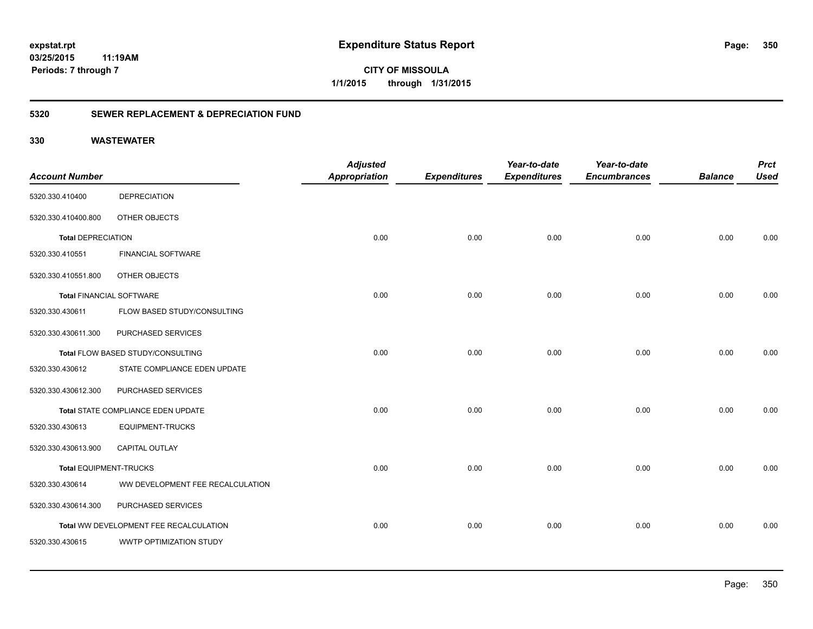**350**

**CITY OF MISSOULA 1/1/2015 through 1/31/2015**

### **5320 SEWER REPLACEMENT & DEPRECIATION FUND**

|                                 |                                        | <b>Adjusted</b>      |                     | Year-to-date        | Year-to-date        |                | <b>Prct</b> |
|---------------------------------|----------------------------------------|----------------------|---------------------|---------------------|---------------------|----------------|-------------|
| <b>Account Number</b>           |                                        | <b>Appropriation</b> | <b>Expenditures</b> | <b>Expenditures</b> | <b>Encumbrances</b> | <b>Balance</b> | <b>Used</b> |
| 5320.330.410400                 | <b>DEPRECIATION</b>                    |                      |                     |                     |                     |                |             |
| 5320.330.410400.800             | OTHER OBJECTS                          |                      |                     |                     |                     |                |             |
| <b>Total DEPRECIATION</b>       |                                        | 0.00                 | 0.00                | 0.00                | 0.00                | 0.00           | 0.00        |
| 5320.330.410551                 | FINANCIAL SOFTWARE                     |                      |                     |                     |                     |                |             |
| 5320.330.410551.800             | OTHER OBJECTS                          |                      |                     |                     |                     |                |             |
| <b>Total FINANCIAL SOFTWARE</b> |                                        | 0.00                 | 0.00                | 0.00                | 0.00                | 0.00           | 0.00        |
| 5320.330.430611                 | FLOW BASED STUDY/CONSULTING            |                      |                     |                     |                     |                |             |
| 5320.330.430611.300             | PURCHASED SERVICES                     |                      |                     |                     |                     |                |             |
|                                 | Total FLOW BASED STUDY/CONSULTING      | 0.00                 | 0.00                | 0.00                | 0.00                | 0.00           | 0.00        |
| 5320.330.430612                 | STATE COMPLIANCE EDEN UPDATE           |                      |                     |                     |                     |                |             |
| 5320.330.430612.300             | PURCHASED SERVICES                     |                      |                     |                     |                     |                |             |
|                                 | Total STATE COMPLIANCE EDEN UPDATE     | 0.00                 | 0.00                | 0.00                | 0.00                | 0.00           | 0.00        |
| 5320.330.430613                 | <b>EQUIPMENT-TRUCKS</b>                |                      |                     |                     |                     |                |             |
| 5320.330.430613.900             | <b>CAPITAL OUTLAY</b>                  |                      |                     |                     |                     |                |             |
| <b>Total EQUIPMENT-TRUCKS</b>   |                                        | 0.00                 | 0.00                | 0.00                | 0.00                | 0.00           | 0.00        |
| 5320.330.430614                 | WW DEVELOPMENT FEE RECALCULATION       |                      |                     |                     |                     |                |             |
| 5320.330.430614.300             | PURCHASED SERVICES                     |                      |                     |                     |                     |                |             |
|                                 | Total WW DEVELOPMENT FEE RECALCULATION | 0.00                 | 0.00                | 0.00                | 0.00                | 0.00           | 0.00        |
| 5320.330.430615                 | <b>WWTP OPTIMIZATION STUDY</b>         |                      |                     |                     |                     |                |             |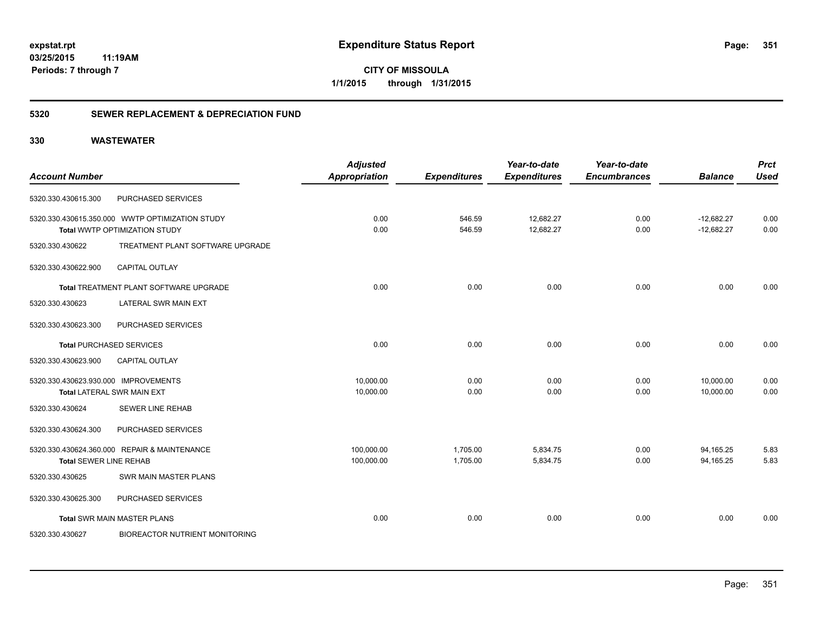**CITY OF MISSOULA 1/1/2015 through 1/31/2015**

### **5320 SEWER REPLACEMENT & DEPRECIATION FUND**

| <b>Account Number</b>                |                                                 | <b>Adjusted</b><br><b>Appropriation</b> | <b>Expenditures</b> | Year-to-date<br><b>Expenditures</b> | Year-to-date<br><b>Encumbrances</b> | <b>Balance</b> | <b>Prct</b><br><b>Used</b> |
|--------------------------------------|-------------------------------------------------|-----------------------------------------|---------------------|-------------------------------------|-------------------------------------|----------------|----------------------------|
| 5320.330.430615.300                  | PURCHASED SERVICES                              |                                         |                     |                                     |                                     |                |                            |
|                                      | 5320.330.430615.350.000 WWTP OPTIMIZATION STUDY | 0.00                                    | 546.59              | 12,682.27                           | 0.00                                | $-12,682.27$   | 0.00                       |
|                                      | Total WWTP OPTIMIZATION STUDY                   | 0.00                                    | 546.59              | 12,682.27                           | 0.00                                | $-12,682.27$   | 0.00                       |
| 5320.330.430622                      | TREATMENT PLANT SOFTWARE UPGRADE                |                                         |                     |                                     |                                     |                |                            |
| 5320.330.430622.900                  | CAPITAL OUTLAY                                  |                                         |                     |                                     |                                     |                |                            |
|                                      | Total TREATMENT PLANT SOFTWARE UPGRADE          | 0.00                                    | 0.00                | 0.00                                | 0.00                                | 0.00           | 0.00                       |
| 5320.330.430623                      | LATERAL SWR MAIN EXT                            |                                         |                     |                                     |                                     |                |                            |
| 5320.330.430623.300                  | PURCHASED SERVICES                              |                                         |                     |                                     |                                     |                |                            |
|                                      | <b>Total PURCHASED SERVICES</b>                 | 0.00                                    | 0.00                | 0.00                                | 0.00                                | 0.00           | 0.00                       |
| 5320.330.430623.900                  | CAPITAL OUTLAY                                  |                                         |                     |                                     |                                     |                |                            |
| 5320.330.430623.930.000 IMPROVEMENTS |                                                 | 10,000.00                               | 0.00                | 0.00                                | 0.00                                | 10,000.00      | 0.00                       |
|                                      | <b>Total LATERAL SWR MAIN EXT</b>               | 10,000.00                               | 0.00                | 0.00                                | 0.00                                | 10,000.00      | 0.00                       |
| 5320.330.430624                      | <b>SEWER LINE REHAB</b>                         |                                         |                     |                                     |                                     |                |                            |
| 5320.330.430624.300                  | PURCHASED SERVICES                              |                                         |                     |                                     |                                     |                |                            |
|                                      | 5320.330.430624.360.000 REPAIR & MAINTENANCE    | 100,000.00                              | 1,705.00            | 5,834.75                            | 0.00                                | 94,165.25      | 5.83                       |
| <b>Total SEWER LINE REHAB</b>        |                                                 | 100,000.00                              | 1,705.00            | 5,834.75                            | 0.00                                | 94,165.25      | 5.83                       |
| 5320.330.430625                      | SWR MAIN MASTER PLANS                           |                                         |                     |                                     |                                     |                |                            |
| 5320.330.430625.300                  | PURCHASED SERVICES                              |                                         |                     |                                     |                                     |                |                            |
|                                      | <b>Total SWR MAIN MASTER PLANS</b>              | 0.00                                    | 0.00                | 0.00                                | 0.00                                | 0.00           | 0.00                       |
| 5320.330.430627                      | <b>BIOREACTOR NUTRIENT MONITORING</b>           |                                         |                     |                                     |                                     |                |                            |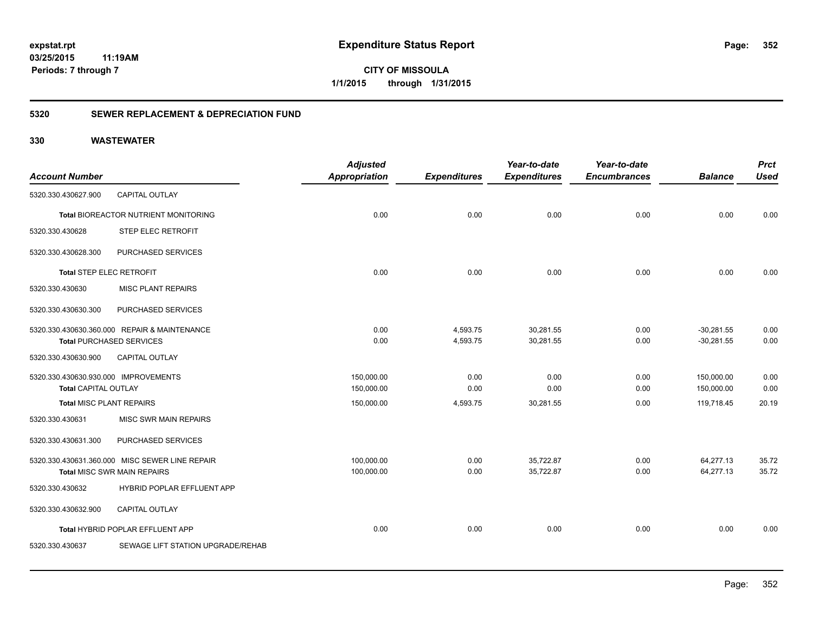**CITY OF MISSOULA 1/1/2015 through 1/31/2015**

### **5320 SEWER REPLACEMENT & DEPRECIATION FUND**

|                                      |                                                | <b>Adjusted</b>      |                     | Year-to-date        | Year-to-date        |                | <b>Prct</b> |
|--------------------------------------|------------------------------------------------|----------------------|---------------------|---------------------|---------------------|----------------|-------------|
| <b>Account Number</b>                |                                                | <b>Appropriation</b> | <b>Expenditures</b> | <b>Expenditures</b> | <b>Encumbrances</b> | <b>Balance</b> | <b>Used</b> |
| 5320.330.430627.900                  | <b>CAPITAL OUTLAY</b>                          |                      |                     |                     |                     |                |             |
|                                      | Total BIOREACTOR NUTRIENT MONITORING           | 0.00                 | 0.00                | 0.00                | 0.00                | 0.00           | 0.00        |
| 5320.330.430628                      | STEP ELEC RETROFIT                             |                      |                     |                     |                     |                |             |
| 5320.330.430628.300                  | PURCHASED SERVICES                             |                      |                     |                     |                     |                |             |
| <b>Total STEP ELEC RETROFIT</b>      |                                                | 0.00                 | 0.00                | 0.00                | 0.00                | 0.00           | 0.00        |
| 5320.330.430630                      | <b>MISC PLANT REPAIRS</b>                      |                      |                     |                     |                     |                |             |
| 5320.330.430630.300                  | PURCHASED SERVICES                             |                      |                     |                     |                     |                |             |
|                                      | 5320.330.430630.360.000 REPAIR & MAINTENANCE   | 0.00                 | 4,593.75            | 30,281.55           | 0.00                | $-30,281.55$   | 0.00        |
|                                      | <b>Total PURCHASED SERVICES</b>                | 0.00                 | 4,593.75            | 30,281.55           | 0.00                | $-30,281.55$   | 0.00        |
| 5320.330.430630.900                  | CAPITAL OUTLAY                                 |                      |                     |                     |                     |                |             |
| 5320.330.430630.930.000 IMPROVEMENTS |                                                | 150,000.00           | 0.00                | 0.00                | 0.00                | 150,000.00     | 0.00        |
| <b>Total CAPITAL OUTLAY</b>          |                                                | 150,000.00           | 0.00                | 0.00                | 0.00                | 150,000.00     | 0.00        |
| <b>Total MISC PLANT REPAIRS</b>      |                                                | 150,000.00           | 4,593.75            | 30,281.55           | 0.00                | 119,718.45     | 20.19       |
| 5320.330.430631                      | MISC SWR MAIN REPAIRS                          |                      |                     |                     |                     |                |             |
| 5320.330.430631.300                  | PURCHASED SERVICES                             |                      |                     |                     |                     |                |             |
|                                      | 5320.330.430631.360.000 MISC SEWER LINE REPAIR | 100,000.00           | 0.00                | 35,722.87           | 0.00                | 64,277.13      | 35.72       |
|                                      | <b>Total MISC SWR MAIN REPAIRS</b>             | 100,000.00           | 0.00                | 35,722.87           | 0.00                | 64,277.13      | 35.72       |
| 5320.330.430632                      | <b>HYBRID POPLAR EFFLUENT APP</b>              |                      |                     |                     |                     |                |             |
| 5320.330.430632.900                  | <b>CAPITAL OUTLAY</b>                          |                      |                     |                     |                     |                |             |
|                                      | Total HYBRID POPLAR EFFLUENT APP               | 0.00                 | 0.00                | 0.00                | 0.00                | 0.00           | 0.00        |
| 5320.330.430637                      | SEWAGE LIFT STATION UPGRADE/REHAB              |                      |                     |                     |                     |                |             |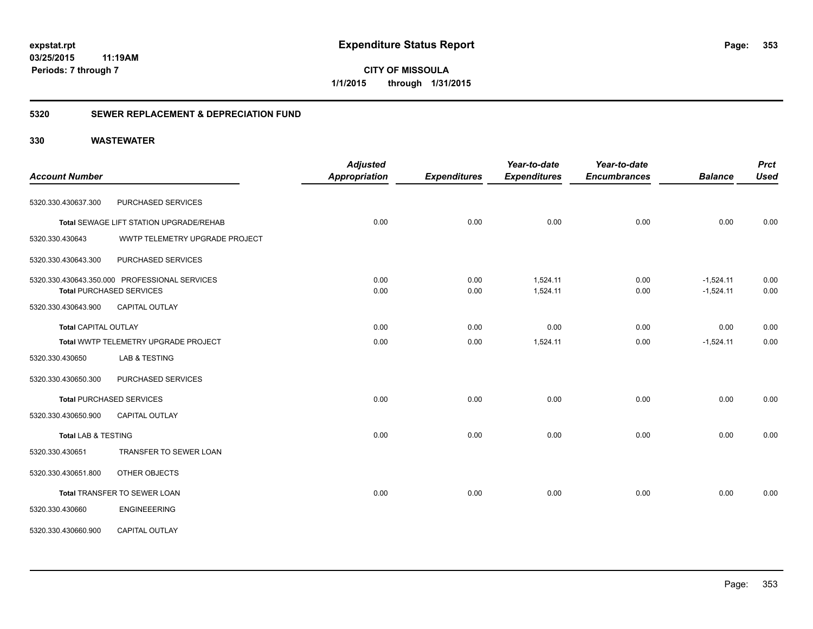**CITY OF MISSOULA 1/1/2015 through 1/31/2015**

### **5320 SEWER REPLACEMENT & DEPRECIATION FUND**

|                             |                                               | <b>Adjusted</b>      |                     | Year-to-date        | Year-to-date        |                | <b>Prct</b> |
|-----------------------------|-----------------------------------------------|----------------------|---------------------|---------------------|---------------------|----------------|-------------|
| <b>Account Number</b>       |                                               | <b>Appropriation</b> | <b>Expenditures</b> | <b>Expenditures</b> | <b>Encumbrances</b> | <b>Balance</b> | <b>Used</b> |
| 5320.330.430637.300         | PURCHASED SERVICES                            |                      |                     |                     |                     |                |             |
|                             | Total SEWAGE LIFT STATION UPGRADE/REHAB       | 0.00                 | 0.00                | 0.00                | 0.00                | 0.00           | 0.00        |
| 5320.330.430643             | WWTP TELEMETRY UPGRADE PROJECT                |                      |                     |                     |                     |                |             |
| 5320.330.430643.300         | PURCHASED SERVICES                            |                      |                     |                     |                     |                |             |
|                             | 5320.330.430643.350.000 PROFESSIONAL SERVICES | 0.00                 | 0.00                | 1,524.11            | 0.00                | $-1,524.11$    | 0.00        |
|                             | <b>Total PURCHASED SERVICES</b>               | 0.00                 | 0.00                | 1,524.11            | 0.00                | $-1,524.11$    | 0.00        |
| 5320.330.430643.900         | <b>CAPITAL OUTLAY</b>                         |                      |                     |                     |                     |                |             |
| <b>Total CAPITAL OUTLAY</b> |                                               | 0.00                 | 0.00                | 0.00                | 0.00                | 0.00           | 0.00        |
|                             | Total WWTP TELEMETRY UPGRADE PROJECT          | 0.00                 | 0.00                | 1,524.11            | 0.00                | $-1,524.11$    | 0.00        |
| 5320.330.430650             | LAB & TESTING                                 |                      |                     |                     |                     |                |             |
| 5320.330.430650.300         | PURCHASED SERVICES                            |                      |                     |                     |                     |                |             |
|                             | <b>Total PURCHASED SERVICES</b>               | 0.00                 | 0.00                | 0.00                | 0.00                | 0.00           | 0.00        |
| 5320.330.430650.900         | <b>CAPITAL OUTLAY</b>                         |                      |                     |                     |                     |                |             |
| Total LAB & TESTING         |                                               | 0.00                 | 0.00                | 0.00                | 0.00                | 0.00           | 0.00        |
| 5320.330.430651             | TRANSFER TO SEWER LOAN                        |                      |                     |                     |                     |                |             |
| 5320.330.430651.800         | OTHER OBJECTS                                 |                      |                     |                     |                     |                |             |
|                             | Total TRANSFER TO SEWER LOAN                  | 0.00                 | 0.00                | 0.00                | 0.00                | 0.00           | 0.00        |
| 5320.330.430660             | <b>ENGINEEERING</b>                           |                      |                     |                     |                     |                |             |
| 5320.330.430660.900         | CAPITAL OUTLAY                                |                      |                     |                     |                     |                |             |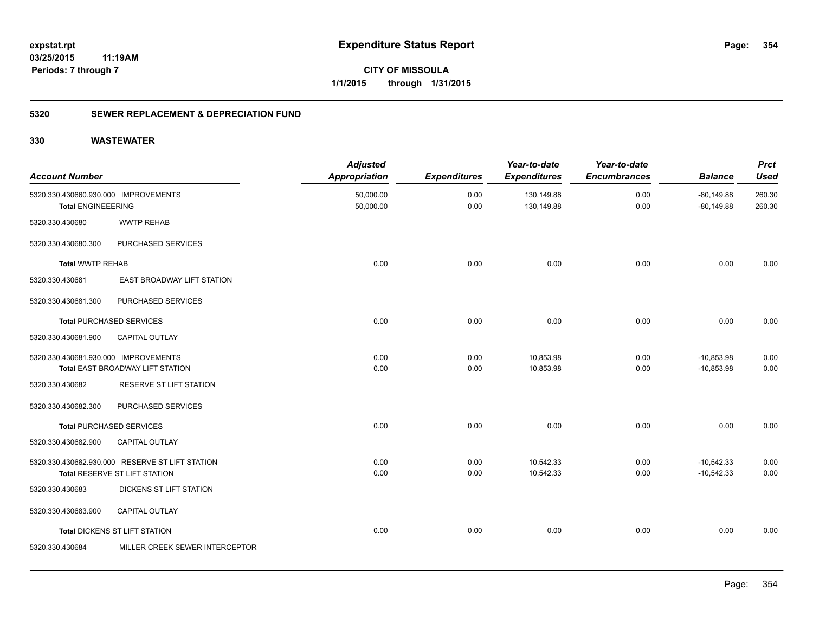**CITY OF MISSOULA 1/1/2015 through 1/31/2015**

### **5320 SEWER REPLACEMENT & DEPRECIATION FUND**

| <b>Account Number</b>                                             |                                                                                  | <b>Adjusted</b><br><b>Appropriation</b> | <b>Expenditures</b> | Year-to-date<br><b>Expenditures</b> | Year-to-date<br><b>Encumbrances</b> | <b>Balance</b>               | <b>Prct</b><br><b>Used</b> |
|-------------------------------------------------------------------|----------------------------------------------------------------------------------|-----------------------------------------|---------------------|-------------------------------------|-------------------------------------|------------------------------|----------------------------|
| 5320.330.430660.930.000 IMPROVEMENTS<br><b>Total ENGINEEERING</b> |                                                                                  | 50,000.00<br>50,000.00                  | 0.00<br>0.00        | 130,149.88<br>130,149.88            | 0.00<br>0.00                        | $-80,149.88$<br>$-80,149.88$ | 260.30<br>260.30           |
| 5320.330.430680                                                   | <b>WWTP REHAB</b>                                                                |                                         |                     |                                     |                                     |                              |                            |
| 5320.330.430680.300                                               | PURCHASED SERVICES                                                               |                                         |                     |                                     |                                     |                              |                            |
| <b>Total WWTP REHAB</b>                                           |                                                                                  | 0.00                                    | 0.00                | 0.00                                | 0.00                                | 0.00                         | 0.00                       |
| 5320.330.430681                                                   | EAST BROADWAY LIFT STATION                                                       |                                         |                     |                                     |                                     |                              |                            |
| 5320.330.430681.300                                               | PURCHASED SERVICES                                                               |                                         |                     |                                     |                                     |                              |                            |
|                                                                   | <b>Total PURCHASED SERVICES</b>                                                  | 0.00                                    | 0.00                | 0.00                                | 0.00                                | 0.00                         | 0.00                       |
| 5320.330.430681.900                                               | <b>CAPITAL OUTLAY</b>                                                            |                                         |                     |                                     |                                     |                              |                            |
| 5320.330.430681.930.000 IMPROVEMENTS                              | Total EAST BROADWAY LIFT STATION                                                 | 0.00<br>0.00                            | 0.00<br>0.00        | 10,853.98<br>10,853.98              | 0.00<br>0.00                        | $-10,853.98$<br>$-10,853.98$ | 0.00<br>0.00               |
| 5320.330.430682                                                   | <b>RESERVE ST LIFT STATION</b>                                                   |                                         |                     |                                     |                                     |                              |                            |
| 5320.330.430682.300                                               | PURCHASED SERVICES                                                               |                                         |                     |                                     |                                     |                              |                            |
|                                                                   | <b>Total PURCHASED SERVICES</b>                                                  | 0.00                                    | 0.00                | 0.00                                | 0.00                                | 0.00                         | 0.00                       |
| 5320.330.430682.900                                               | <b>CAPITAL OUTLAY</b>                                                            |                                         |                     |                                     |                                     |                              |                            |
|                                                                   | 5320.330.430682.930.000 RESERVE ST LIFT STATION<br>Total RESERVE ST LIFT STATION | 0.00<br>0.00                            | 0.00<br>0.00        | 10,542.33<br>10,542.33              | 0.00<br>0.00                        | $-10,542.33$<br>$-10,542.33$ | 0.00<br>0.00               |
| 5320.330.430683                                                   | DICKENS ST LIFT STATION                                                          |                                         |                     |                                     |                                     |                              |                            |
| 5320.330.430683.900                                               | <b>CAPITAL OUTLAY</b>                                                            |                                         |                     |                                     |                                     |                              |                            |
|                                                                   | <b>Total DICKENS ST LIFT STATION</b>                                             | 0.00                                    | 0.00                | 0.00                                | 0.00                                | 0.00                         | 0.00                       |
| 5320.330.430684                                                   | MILLER CREEK SEWER INTERCEPTOR                                                   |                                         |                     |                                     |                                     |                              |                            |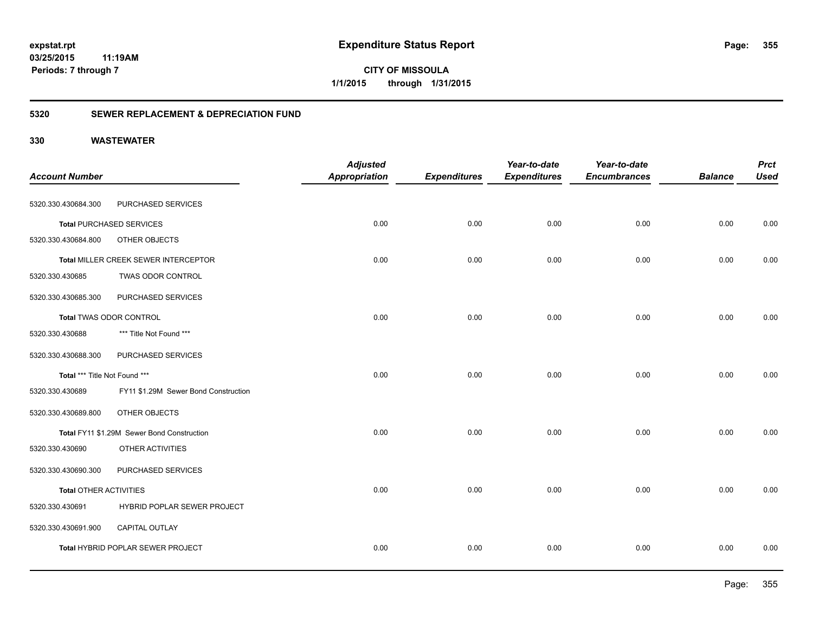**CITY OF MISSOULA 1/1/2015 through 1/31/2015**

### **5320 SEWER REPLACEMENT & DEPRECIATION FUND**

| <b>Account Number</b>         |                                            | <b>Adjusted</b><br><b>Appropriation</b> | <b>Expenditures</b> | Year-to-date<br><b>Expenditures</b> | Year-to-date<br><b>Encumbrances</b> | <b>Balance</b> | <b>Prct</b><br><b>Used</b> |
|-------------------------------|--------------------------------------------|-----------------------------------------|---------------------|-------------------------------------|-------------------------------------|----------------|----------------------------|
|                               |                                            |                                         |                     |                                     |                                     |                |                            |
| 5320.330.430684.300           | PURCHASED SERVICES                         |                                         |                     |                                     |                                     |                |                            |
|                               | <b>Total PURCHASED SERVICES</b>            | 0.00                                    | 0.00                | 0.00                                | 0.00                                | 0.00           | 0.00                       |
| 5320.330.430684.800           | OTHER OBJECTS                              |                                         |                     |                                     |                                     |                |                            |
|                               | Total MILLER CREEK SEWER INTERCEPTOR       | 0.00                                    | 0.00                | 0.00                                | 0.00                                | 0.00           | 0.00                       |
| 5320.330.430685               | <b>TWAS ODOR CONTROL</b>                   |                                         |                     |                                     |                                     |                |                            |
| 5320.330.430685.300           | PURCHASED SERVICES                         |                                         |                     |                                     |                                     |                |                            |
|                               | Total TWAS ODOR CONTROL                    | 0.00                                    | 0.00                | 0.00                                | 0.00                                | 0.00           | 0.00                       |
| 5320.330.430688               | *** Title Not Found ***                    |                                         |                     |                                     |                                     |                |                            |
| 5320.330.430688.300           | PURCHASED SERVICES                         |                                         |                     |                                     |                                     |                |                            |
| Total *** Title Not Found *** |                                            | 0.00                                    | 0.00                | 0.00                                | 0.00                                | 0.00           | 0.00                       |
| 5320.330.430689               | FY11 \$1.29M Sewer Bond Construction       |                                         |                     |                                     |                                     |                |                            |
| 5320.330.430689.800           | OTHER OBJECTS                              |                                         |                     |                                     |                                     |                |                            |
|                               | Total FY11 \$1.29M Sewer Bond Construction | 0.00                                    | 0.00                | 0.00                                | 0.00                                | 0.00           | 0.00                       |
| 5320.330.430690               | OTHER ACTIVITIES                           |                                         |                     |                                     |                                     |                |                            |
| 5320.330.430690.300           | PURCHASED SERVICES                         |                                         |                     |                                     |                                     |                |                            |
| <b>Total OTHER ACTIVITIES</b> |                                            | 0.00                                    | 0.00                | 0.00                                | 0.00                                | 0.00           | 0.00                       |
| 5320.330.430691               | HYBRID POPLAR SEWER PROJECT                |                                         |                     |                                     |                                     |                |                            |
| 5320.330.430691.900           | CAPITAL OUTLAY                             |                                         |                     |                                     |                                     |                |                            |
|                               | Total HYBRID POPLAR SEWER PROJECT          | 0.00                                    | 0.00                | 0.00                                | 0.00                                | 0.00           | 0.00                       |
|                               |                                            |                                         |                     |                                     |                                     |                |                            |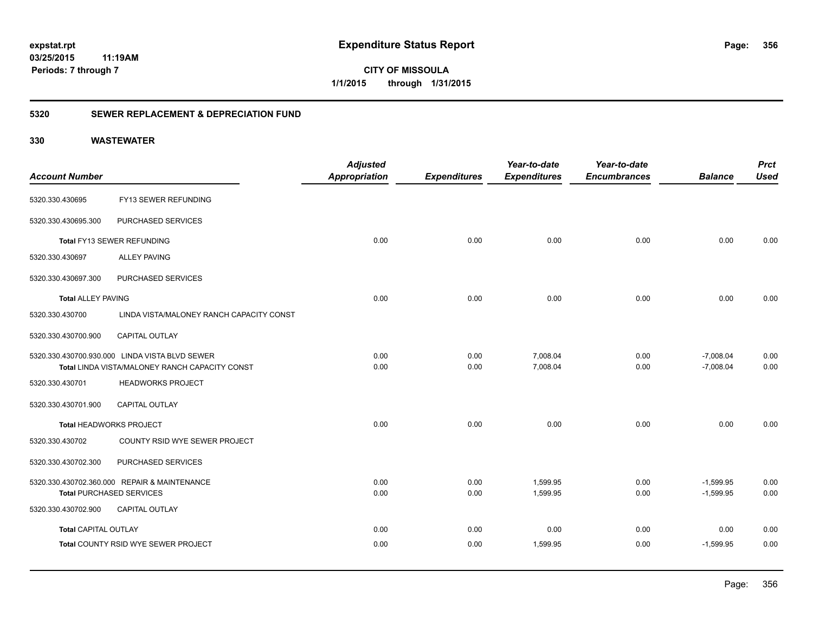**356**

**CITY OF MISSOULA 1/1/2015 through 1/31/2015**

### **5320 SEWER REPLACEMENT & DEPRECIATION FUND**

|                             |                                                | <b>Adjusted</b>      |                     | Year-to-date        | Year-to-date        |                | <b>Prct</b> |
|-----------------------------|------------------------------------------------|----------------------|---------------------|---------------------|---------------------|----------------|-------------|
| <b>Account Number</b>       |                                                | <b>Appropriation</b> | <b>Expenditures</b> | <b>Expenditures</b> | <b>Encumbrances</b> | <b>Balance</b> | <b>Used</b> |
| 5320.330.430695             | FY13 SEWER REFUNDING                           |                      |                     |                     |                     |                |             |
| 5320.330.430695.300         | PURCHASED SERVICES                             |                      |                     |                     |                     |                |             |
|                             | Total FY13 SEWER REFUNDING                     | 0.00                 | 0.00                | 0.00                | 0.00                | 0.00           | 0.00        |
| 5320.330.430697             | <b>ALLEY PAVING</b>                            |                      |                     |                     |                     |                |             |
| 5320.330.430697.300         | PURCHASED SERVICES                             |                      |                     |                     |                     |                |             |
| <b>Total ALLEY PAVING</b>   |                                                | 0.00                 | 0.00                | 0.00                | 0.00                | 0.00           | 0.00        |
| 5320.330.430700             | LINDA VISTA/MALONEY RANCH CAPACITY CONST       |                      |                     |                     |                     |                |             |
| 5320.330.430700.900         | CAPITAL OUTLAY                                 |                      |                     |                     |                     |                |             |
|                             | 5320.330.430700.930.000 LINDA VISTA BLVD SEWER | 0.00                 | 0.00                | 7,008.04            | 0.00                | $-7,008.04$    | 0.00        |
|                             | Total LINDA VISTA/MALONEY RANCH CAPACITY CONST | 0.00                 | 0.00                | 7,008.04            | 0.00                | $-7,008.04$    | 0.00        |
| 5320.330.430701             | <b>HEADWORKS PROJECT</b>                       |                      |                     |                     |                     |                |             |
| 5320.330.430701.900         | CAPITAL OUTLAY                                 |                      |                     |                     |                     |                |             |
|                             | Total HEADWORKS PROJECT                        | 0.00                 | 0.00                | 0.00                | 0.00                | 0.00           | 0.00        |
| 5320.330.430702             | COUNTY RSID WYE SEWER PROJECT                  |                      |                     |                     |                     |                |             |
| 5320.330.430702.300         | PURCHASED SERVICES                             |                      |                     |                     |                     |                |             |
|                             | 5320.330.430702.360.000 REPAIR & MAINTENANCE   | 0.00                 | 0.00                | 1,599.95            | 0.00                | $-1,599.95$    | 0.00        |
|                             | <b>Total PURCHASED SERVICES</b>                | 0.00                 | 0.00                | 1,599.95            | 0.00                | $-1,599.95$    | 0.00        |
| 5320.330.430702.900         | <b>CAPITAL OUTLAY</b>                          |                      |                     |                     |                     |                |             |
| <b>Total CAPITAL OUTLAY</b> |                                                | 0.00                 | 0.00                | 0.00                | 0.00                | 0.00           | 0.00        |
|                             | Total COUNTY RSID WYE SEWER PROJECT            | 0.00                 | 0.00                | 1,599.95            | 0.00                | $-1,599.95$    | 0.00        |
|                             |                                                |                      |                     |                     |                     |                |             |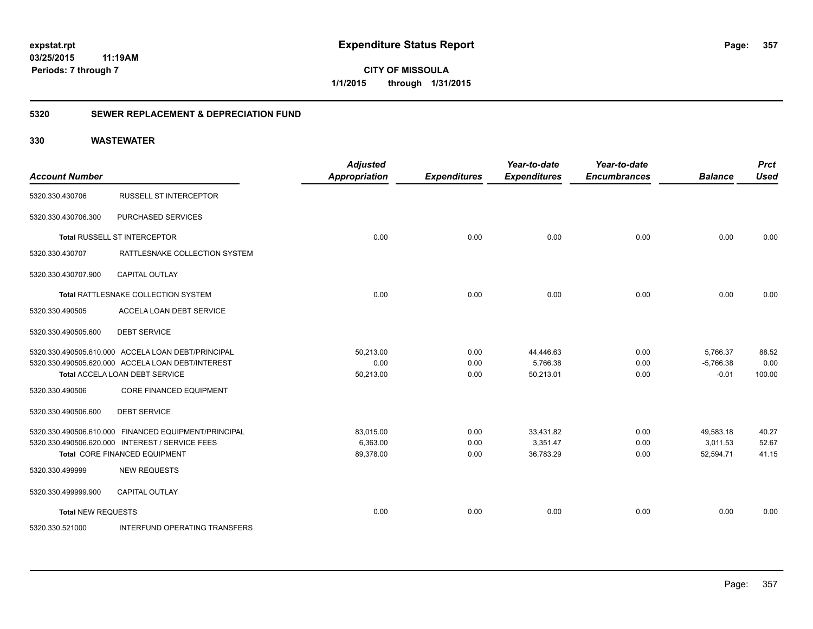**CITY OF MISSOULA 1/1/2015 through 1/31/2015**

### **5320 SEWER REPLACEMENT & DEPRECIATION FUND**

| <b>Account Number</b>     |                                                      | <b>Adjusted</b><br><b>Appropriation</b> | <b>Expenditures</b> | Year-to-date<br><b>Expenditures</b> | Year-to-date<br><b>Encumbrances</b> | <b>Balance</b> | <b>Prct</b><br><b>Used</b> |
|---------------------------|------------------------------------------------------|-----------------------------------------|---------------------|-------------------------------------|-------------------------------------|----------------|----------------------------|
| 5320.330.430706           | <b>RUSSELL ST INTERCEPTOR</b>                        |                                         |                     |                                     |                                     |                |                            |
| 5320.330.430706.300       | PURCHASED SERVICES                                   |                                         |                     |                                     |                                     |                |                            |
|                           | Total RUSSELL ST INTERCEPTOR                         | 0.00                                    | 0.00                | 0.00                                | 0.00                                | 0.00           | 0.00                       |
| 5320.330.430707           | RATTLESNAKE COLLECTION SYSTEM                        |                                         |                     |                                     |                                     |                |                            |
| 5320.330.430707.900       | <b>CAPITAL OUTLAY</b>                                |                                         |                     |                                     |                                     |                |                            |
|                           | Total RATTLESNAKE COLLECTION SYSTEM                  | 0.00                                    | 0.00                | 0.00                                | 0.00                                | 0.00           | 0.00                       |
| 5320.330.490505           | ACCELA LOAN DEBT SERVICE                             |                                         |                     |                                     |                                     |                |                            |
| 5320.330.490505.600       | <b>DEBT SERVICE</b>                                  |                                         |                     |                                     |                                     |                |                            |
|                           | 5320.330.490505.610.000 ACCELA LOAN DEBT/PRINCIPAL   | 50,213.00                               | 0.00                | 44,446.63                           | 0.00                                | 5,766.37       | 88.52                      |
|                           | 5320.330.490505.620.000 ACCELA LOAN DEBT/INTEREST    | 0.00                                    | 0.00                | 5,766.38                            | 0.00                                | $-5,766.38$    | 0.00                       |
|                           | Total ACCELA LOAN DEBT SERVICE                       | 50,213.00                               | 0.00                | 50,213.01                           | 0.00                                | $-0.01$        | 100.00                     |
| 5320.330.490506           | <b>CORE FINANCED EQUIPMENT</b>                       |                                         |                     |                                     |                                     |                |                            |
| 5320.330.490506.600       | <b>DEBT SERVICE</b>                                  |                                         |                     |                                     |                                     |                |                            |
|                           | 5320.330.490506.610.000 FINANCED EQUIPMENT/PRINCIPAL | 83,015.00                               | 0.00                | 33,431.82                           | 0.00                                | 49,583.18      | 40.27                      |
|                           | 5320.330.490506.620.000 INTEREST / SERVICE FEES      | 6,363.00                                | 0.00                | 3,351.47                            | 0.00                                | 3,011.53       | 52.67                      |
|                           | <b>Total CORE FINANCED EQUIPMENT</b>                 | 89,378.00                               | 0.00                | 36,783.29                           | 0.00                                | 52,594.71      | 41.15                      |
| 5320.330.499999           | <b>NEW REQUESTS</b>                                  |                                         |                     |                                     |                                     |                |                            |
| 5320.330.499999.900       | CAPITAL OUTLAY                                       |                                         |                     |                                     |                                     |                |                            |
| <b>Total NEW REQUESTS</b> |                                                      | 0.00                                    | 0.00                | 0.00                                | 0.00                                | 0.00           | 0.00                       |
| 5320.330.521000           | <b>INTERFUND OPERATING TRANSFERS</b>                 |                                         |                     |                                     |                                     |                |                            |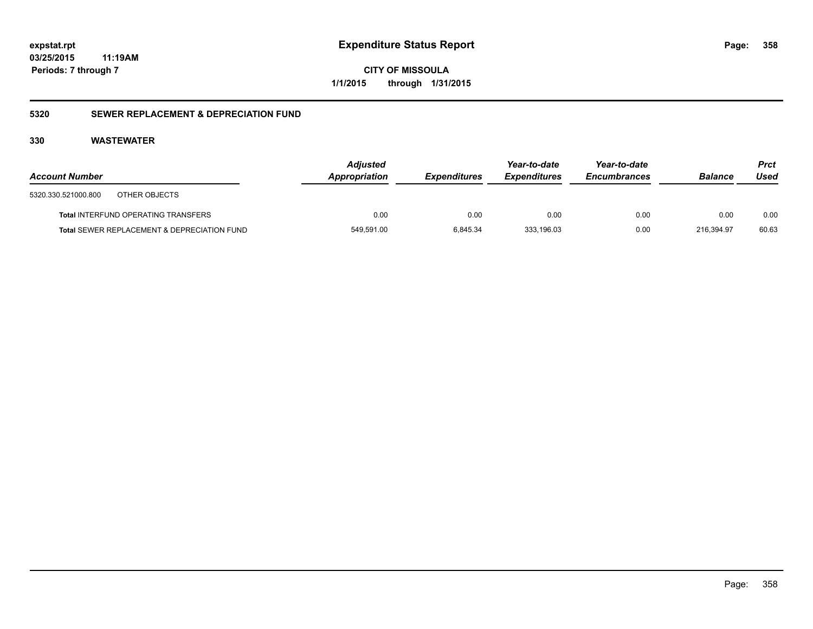**CITY OF MISSOULA 1/1/2015 through 1/31/2015**

### **5320 SEWER REPLACEMENT & DEPRECIATION FUND**

| <b>Account Number</b> |                                             | <b>Adjusted</b><br>Appropriation | <b>Expenditures</b> | Year-to-date<br><b>Expenditures</b> | Year-to-date<br><b>Encumbrances</b> | <b>Balance</b> | <b>Prct</b><br>Used |
|-----------------------|---------------------------------------------|----------------------------------|---------------------|-------------------------------------|-------------------------------------|----------------|---------------------|
| 5320.330.521000.800   | OTHER OBJECTS                               |                                  |                     |                                     |                                     |                |                     |
|                       | <b>Total INTERFUND OPERATING TRANSFERS</b>  | 0.00                             | 0.00                | 0.00                                | 0.00                                | 0.00           | 0.00                |
|                       | Total SEWER REPLACEMENT & DEPRECIATION FUND | 549,591.00                       | 6,845.34            | 333.196.03                          | 0.00                                | 216,394.97     | 60.63               |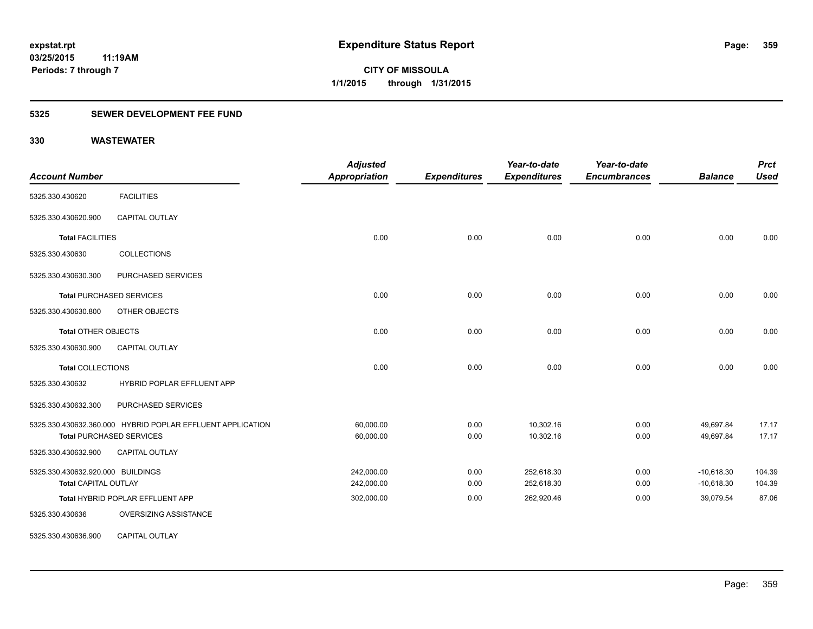### **5325 SEWER DEVELOPMENT FEE FUND**

| <b>Account Number</b>             |                                                            | <b>Adjusted</b><br>Appropriation | <b>Expenditures</b> | Year-to-date<br><b>Expenditures</b> | Year-to-date<br><b>Encumbrances</b> | <b>Balance</b> | <b>Prct</b><br><b>Used</b> |
|-----------------------------------|------------------------------------------------------------|----------------------------------|---------------------|-------------------------------------|-------------------------------------|----------------|----------------------------|
| 5325.330.430620                   | <b>FACILITIES</b>                                          |                                  |                     |                                     |                                     |                |                            |
| 5325.330.430620.900               | <b>CAPITAL OUTLAY</b>                                      |                                  |                     |                                     |                                     |                |                            |
| <b>Total FACILITIES</b>           |                                                            | 0.00                             | 0.00                | 0.00                                | 0.00                                | 0.00           | 0.00                       |
| 5325.330.430630                   | <b>COLLECTIONS</b>                                         |                                  |                     |                                     |                                     |                |                            |
| 5325.330.430630.300               | PURCHASED SERVICES                                         |                                  |                     |                                     |                                     |                |                            |
|                                   | <b>Total PURCHASED SERVICES</b>                            | 0.00                             | 0.00                | 0.00                                | 0.00                                | 0.00           | 0.00                       |
| 5325.330.430630.800               | OTHER OBJECTS                                              |                                  |                     |                                     |                                     |                |                            |
| <b>Total OTHER OBJECTS</b>        |                                                            | 0.00                             | 0.00                | 0.00                                | 0.00                                | 0.00           | 0.00                       |
| 5325.330.430630.900               | <b>CAPITAL OUTLAY</b>                                      |                                  |                     |                                     |                                     |                |                            |
| <b>Total COLLECTIONS</b>          |                                                            | 0.00                             | 0.00                | 0.00                                | 0.00                                | 0.00           | 0.00                       |
| 5325.330.430632                   | HYBRID POPLAR EFFLUENT APP                                 |                                  |                     |                                     |                                     |                |                            |
| 5325.330.430632.300               | PURCHASED SERVICES                                         |                                  |                     |                                     |                                     |                |                            |
|                                   | 5325.330.430632.360.000 HYBRID POPLAR EFFLUENT APPLICATION | 60,000.00                        | 0.00                | 10,302.16                           | 0.00                                | 49,697.84      | 17.17                      |
|                                   | <b>Total PURCHASED SERVICES</b>                            | 60,000.00                        | 0.00                | 10,302.16                           | 0.00                                | 49,697.84      | 17.17                      |
| 5325.330.430632.900               | <b>CAPITAL OUTLAY</b>                                      |                                  |                     |                                     |                                     |                |                            |
| 5325.330.430632.920.000 BUILDINGS |                                                            | 242,000.00                       | 0.00                | 252,618.30                          | 0.00                                | $-10,618.30$   | 104.39                     |
| <b>Total CAPITAL OUTLAY</b>       |                                                            | 242,000.00                       | 0.00                | 252,618.30                          | 0.00                                | $-10,618.30$   | 104.39                     |
|                                   | Total HYBRID POPLAR EFFLUENT APP                           | 302,000.00                       | 0.00                | 262,920.46                          | 0.00                                | 39,079.54      | 87.06                      |
| 5325.330.430636                   | OVERSIZING ASSISTANCE                                      |                                  |                     |                                     |                                     |                |                            |
| 5325.330.430636.900               | CAPITAL OUTLAY                                             |                                  |                     |                                     |                                     |                |                            |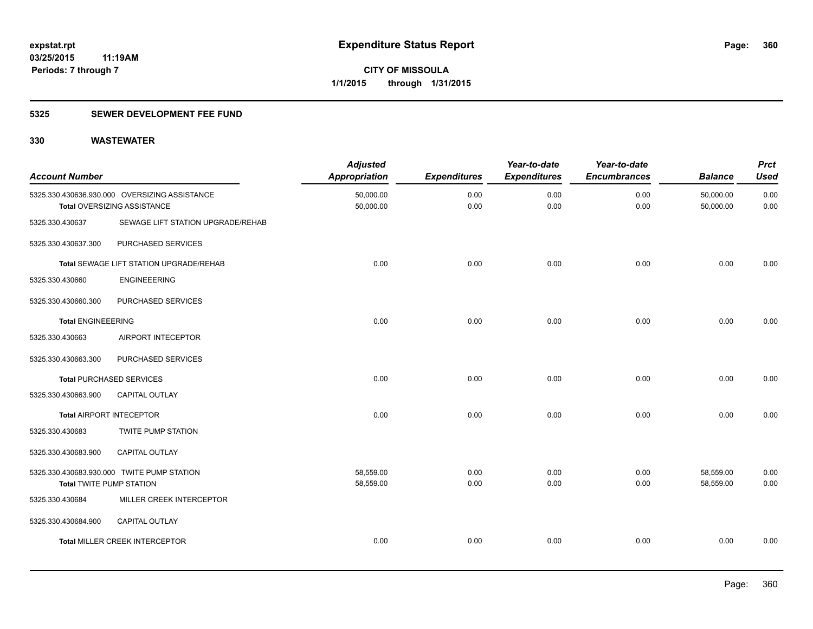### **5325 SEWER DEVELOPMENT FEE FUND**

| <b>Account Number</b>           |                                                                              | <b>Adjusted</b><br><b>Appropriation</b> | <b>Expenditures</b> | Year-to-date<br><b>Expenditures</b> | Year-to-date<br><b>Encumbrances</b> | <b>Balance</b>         | <b>Prct</b><br><b>Used</b> |
|---------------------------------|------------------------------------------------------------------------------|-----------------------------------------|---------------------|-------------------------------------|-------------------------------------|------------------------|----------------------------|
|                                 | 5325.330.430636.930.000 OVERSIZING ASSISTANCE<br>Total OVERSIZING ASSISTANCE | 50,000.00<br>50,000.00                  | 0.00<br>0.00        | 0.00<br>0.00                        | 0.00<br>0.00                        | 50,000.00<br>50,000.00 | 0.00<br>0.00               |
| 5325.330.430637                 | SEWAGE LIFT STATION UPGRADE/REHAB                                            |                                         |                     |                                     |                                     |                        |                            |
| 5325.330.430637.300             | PURCHASED SERVICES                                                           |                                         |                     |                                     |                                     |                        |                            |
|                                 | Total SEWAGE LIFT STATION UPGRADE/REHAB                                      | 0.00                                    | 0.00                | 0.00                                | 0.00                                | 0.00                   | 0.00                       |
| 5325.330.430660                 | <b>ENGINEEERING</b>                                                          |                                         |                     |                                     |                                     |                        |                            |
| 5325.330.430660.300             | PURCHASED SERVICES                                                           |                                         |                     |                                     |                                     |                        |                            |
| <b>Total ENGINEEERING</b>       |                                                                              | 0.00                                    | 0.00                | 0.00                                | 0.00                                | 0.00                   | 0.00                       |
| 5325.330.430663                 | AIRPORT INTECEPTOR                                                           |                                         |                     |                                     |                                     |                        |                            |
| 5325.330.430663.300             | PURCHASED SERVICES                                                           |                                         |                     |                                     |                                     |                        |                            |
|                                 | <b>Total PURCHASED SERVICES</b>                                              | 0.00                                    | 0.00                | 0.00                                | 0.00                                | 0.00                   | 0.00                       |
| 5325.330.430663.900             | <b>CAPITAL OUTLAY</b>                                                        |                                         |                     |                                     |                                     |                        |                            |
| <b>Total AIRPORT INTECEPTOR</b> |                                                                              | 0.00                                    | 0.00                | 0.00                                | 0.00                                | 0.00                   | 0.00                       |
| 5325.330.430683                 | TWITE PUMP STATION                                                           |                                         |                     |                                     |                                     |                        |                            |
| 5325.330.430683.900             | CAPITAL OUTLAY                                                               |                                         |                     |                                     |                                     |                        |                            |
| <b>Total TWITE PUMP STATION</b> | 5325.330.430683.930.000 TWITE PUMP STATION                                   | 58,559.00<br>58,559.00                  | 0.00<br>0.00        | 0.00<br>0.00                        | 0.00<br>0.00                        | 58,559.00<br>58,559.00 | 0.00<br>0.00               |
| 5325.330.430684                 | MILLER CREEK INTERCEPTOR                                                     |                                         |                     |                                     |                                     |                        |                            |
| 5325.330.430684.900             | CAPITAL OUTLAY                                                               |                                         |                     |                                     |                                     |                        |                            |
|                                 | <b>Total MILLER CREEK INTERCEPTOR</b>                                        | 0.00                                    | 0.00                | 0.00                                | 0.00                                | 0.00                   | 0.00                       |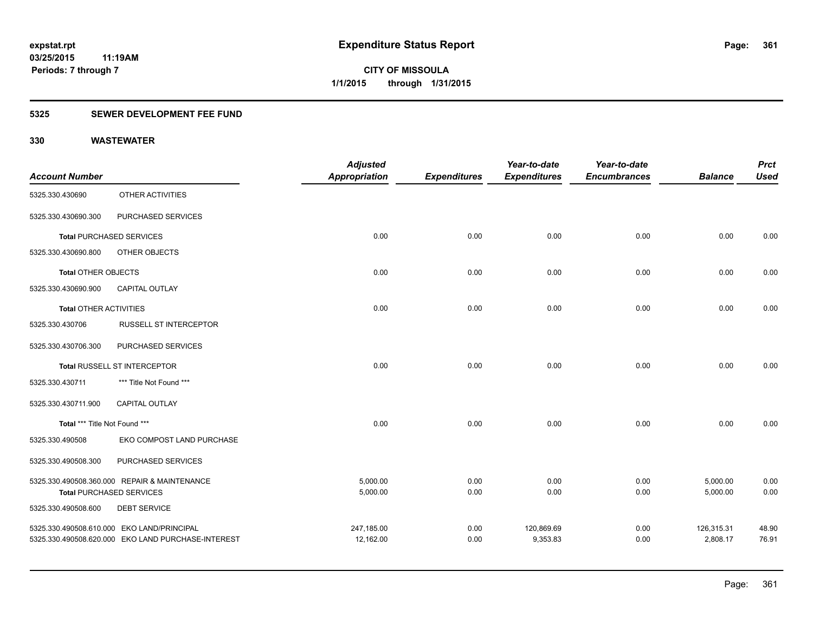## **5325 SEWER DEVELOPMENT FEE FUND**

|                               |                                                    | <b>Adjusted</b>      |                     | Year-to-date        | Year-to-date        |                | <b>Prct</b> |
|-------------------------------|----------------------------------------------------|----------------------|---------------------|---------------------|---------------------|----------------|-------------|
| <b>Account Number</b>         |                                                    | <b>Appropriation</b> | <b>Expenditures</b> | <b>Expenditures</b> | <b>Encumbrances</b> | <b>Balance</b> | <b>Used</b> |
| 5325.330.430690               | OTHER ACTIVITIES                                   |                      |                     |                     |                     |                |             |
| 5325.330.430690.300           | PURCHASED SERVICES                                 |                      |                     |                     |                     |                |             |
|                               | <b>Total PURCHASED SERVICES</b>                    | 0.00                 | 0.00                | 0.00                | 0.00                | 0.00           | 0.00        |
| 5325.330.430690.800           | OTHER OBJECTS                                      |                      |                     |                     |                     |                |             |
| Total OTHER OBJECTS           |                                                    | 0.00                 | 0.00                | 0.00                | 0.00                | 0.00           | 0.00        |
| 5325.330.430690.900           | CAPITAL OUTLAY                                     |                      |                     |                     |                     |                |             |
| <b>Total OTHER ACTIVITIES</b> |                                                    | 0.00                 | 0.00                | 0.00                | 0.00                | 0.00           | 0.00        |
| 5325.330.430706               | <b>RUSSELL ST INTERCEPTOR</b>                      |                      |                     |                     |                     |                |             |
| 5325.330.430706.300           | PURCHASED SERVICES                                 |                      |                     |                     |                     |                |             |
|                               | Total RUSSELL ST INTERCEPTOR                       | 0.00                 | 0.00                | 0.00                | 0.00                | 0.00           | 0.00        |
| 5325.330.430711               | *** Title Not Found ***                            |                      |                     |                     |                     |                |             |
| 5325.330.430711.900           | <b>CAPITAL OUTLAY</b>                              |                      |                     |                     |                     |                |             |
| Total *** Title Not Found *** |                                                    | 0.00                 | 0.00                | 0.00                | 0.00                | 0.00           | 0.00        |
| 5325.330.490508               | EKO COMPOST LAND PURCHASE                          |                      |                     |                     |                     |                |             |
| 5325.330.490508.300           | PURCHASED SERVICES                                 |                      |                     |                     |                     |                |             |
|                               | 5325.330.490508.360.000 REPAIR & MAINTENANCE       | 5,000.00             | 0.00                | 0.00                | 0.00                | 5,000.00       | 0.00        |
|                               | <b>Total PURCHASED SERVICES</b>                    | 5,000.00             | 0.00                | 0.00                | 0.00                | 5,000.00       | 0.00        |
| 5325.330.490508.600           | <b>DEBT SERVICE</b>                                |                      |                     |                     |                     |                |             |
|                               | 5325.330.490508.610.000 EKO LAND/PRINCIPAL         | 247,185.00           | 0.00                | 120,869.69          | 0.00                | 126,315.31     | 48.90       |
|                               | 5325.330.490508.620.000 EKO LAND PURCHASE-INTEREST | 12,162.00            | 0.00                | 9,353.83            | 0.00                | 2,808.17       | 76.91       |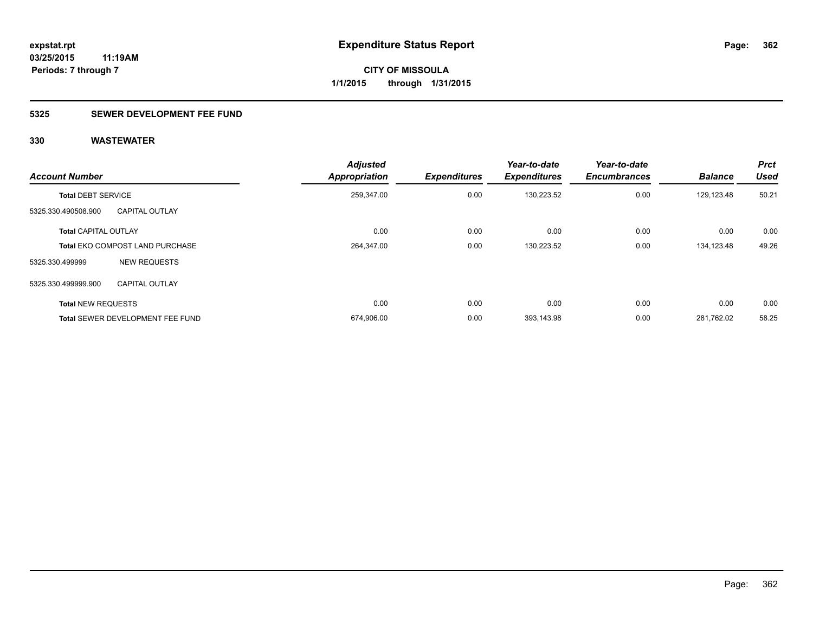## **5325 SEWER DEVELOPMENT FEE FUND**

| <b>Account Number</b>       |                                         | <b>Adjusted</b><br><b>Appropriation</b> | <b>Expenditures</b> | Year-to-date<br><b>Expenditures</b> | Year-to-date<br><b>Encumbrances</b> | <b>Balance</b> | <b>Prct</b><br><b>Used</b> |
|-----------------------------|-----------------------------------------|-----------------------------------------|---------------------|-------------------------------------|-------------------------------------|----------------|----------------------------|
| <b>Total DEBT SERVICE</b>   |                                         | 259,347.00                              | 0.00                | 130,223.52                          | 0.00                                | 129,123.48     | 50.21                      |
| 5325.330.490508.900         | <b>CAPITAL OUTLAY</b>                   |                                         |                     |                                     |                                     |                |                            |
| <b>Total CAPITAL OUTLAY</b> |                                         | 0.00                                    | 0.00                | 0.00                                | 0.00                                | 0.00           | 0.00                       |
|                             | <b>Total EKO COMPOST LAND PURCHASE</b>  | 264,347.00                              | 0.00                | 130,223.52                          | 0.00                                | 134,123.48     | 49.26                      |
| 5325.330.499999             | <b>NEW REQUESTS</b>                     |                                         |                     |                                     |                                     |                |                            |
| 5325.330.499999.900         | <b>CAPITAL OUTLAY</b>                   |                                         |                     |                                     |                                     |                |                            |
| <b>Total NEW REQUESTS</b>   |                                         | 0.00                                    | 0.00                | 0.00                                | 0.00                                | 0.00           | 0.00                       |
|                             | <b>Total SEWER DEVELOPMENT FEE FUND</b> | 674,906.00                              | 0.00                | 393,143.98                          | 0.00                                | 281.762.02     | 58.25                      |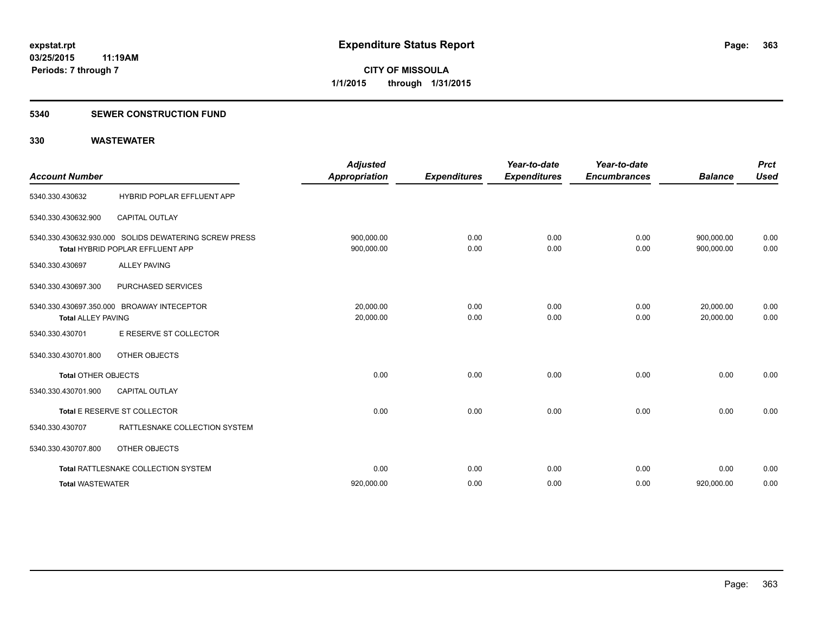### **5340 SEWER CONSTRUCTION FUND**

| <b>Account Number</b>      |                                                                                           | <b>Adjusted</b><br><b>Appropriation</b> | <b>Expenditures</b> | Year-to-date<br><b>Expenditures</b> | Year-to-date<br><b>Encumbrances</b> | <b>Balance</b>           | <b>Prct</b><br><b>Used</b> |
|----------------------------|-------------------------------------------------------------------------------------------|-----------------------------------------|---------------------|-------------------------------------|-------------------------------------|--------------------------|----------------------------|
| 5340.330.430632            | HYBRID POPLAR EFFLUENT APP                                                                |                                         |                     |                                     |                                     |                          |                            |
| 5340.330.430632.900        | <b>CAPITAL OUTLAY</b>                                                                     |                                         |                     |                                     |                                     |                          |                            |
|                            | 5340.330.430632.930.000 SOLIDS DEWATERING SCREW PRESS<br>Total HYBRID POPLAR EFFLUENT APP | 900,000.00<br>900,000.00                | 0.00<br>0.00        | 0.00<br>0.00                        | 0.00<br>0.00                        | 900,000.00<br>900,000.00 | 0.00<br>0.00               |
| 5340.330.430697            | <b>ALLEY PAVING</b>                                                                       |                                         |                     |                                     |                                     |                          |                            |
| 5340.330.430697.300        | PURCHASED SERVICES                                                                        |                                         |                     |                                     |                                     |                          |                            |
| <b>Total ALLEY PAVING</b>  | 5340.330.430697.350.000 BROAWAY INTECEPTOR                                                | 20.000.00<br>20,000.00                  | 0.00<br>0.00        | 0.00<br>0.00                        | 0.00<br>0.00                        | 20,000.00<br>20.000.00   | 0.00<br>0.00               |
| 5340.330.430701            | E RESERVE ST COLLECTOR                                                                    |                                         |                     |                                     |                                     |                          |                            |
| 5340.330.430701.800        | OTHER OBJECTS                                                                             |                                         |                     |                                     |                                     |                          |                            |
| <b>Total OTHER OBJECTS</b> |                                                                                           | 0.00                                    | 0.00                | 0.00                                | 0.00                                | 0.00                     | 0.00                       |
| 5340.330.430701.900        | <b>CAPITAL OUTLAY</b>                                                                     |                                         |                     |                                     |                                     |                          |                            |
|                            | Total E RESERVE ST COLLECTOR                                                              | 0.00                                    | 0.00                | 0.00                                | 0.00                                | 0.00                     | 0.00                       |
| 5340.330.430707            | RATTLESNAKE COLLECTION SYSTEM                                                             |                                         |                     |                                     |                                     |                          |                            |
| 5340.330.430707.800        | OTHER OBJECTS                                                                             |                                         |                     |                                     |                                     |                          |                            |
|                            | Total RATTLESNAKE COLLECTION SYSTEM                                                       | 0.00                                    | 0.00                | 0.00                                | 0.00                                | 0.00                     | 0.00                       |
| <b>Total WASTEWATER</b>    |                                                                                           | 920,000.00                              | 0.00                | 0.00                                | 0.00                                | 920,000.00               | 0.00                       |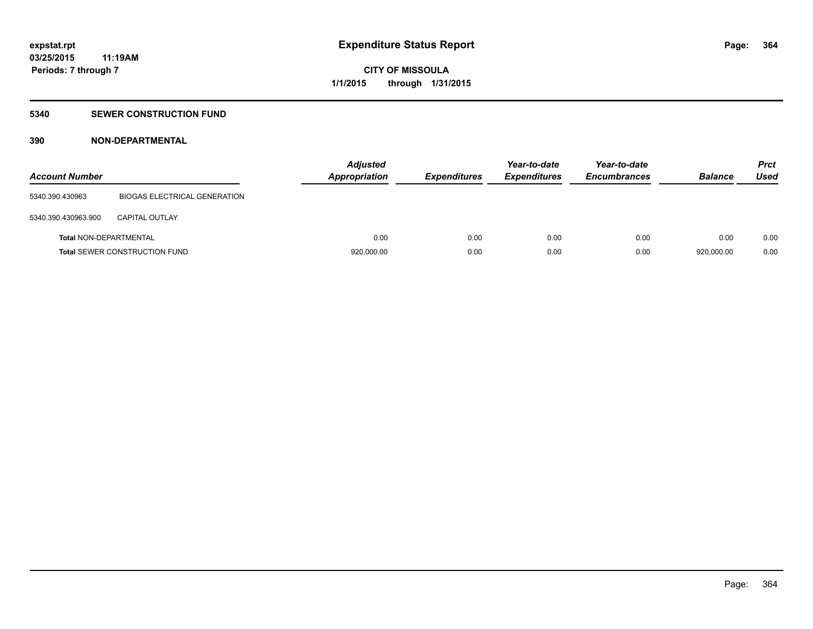## **5340 SEWER CONSTRUCTION FUND**

## **390 NON-DEPARTMENTAL**

| <b>Account Number</b>         |                                      | <b>Adjusted</b><br><b>Appropriation</b> | <b>Expenditures</b> | Year-to-date<br><b>Expenditures</b> | Year-to-date<br><b>Encumbrances</b> | <b>Balance</b> | <b>Prct</b><br><b>Used</b> |
|-------------------------------|--------------------------------------|-----------------------------------------|---------------------|-------------------------------------|-------------------------------------|----------------|----------------------------|
| 5340.390.430963               | BIOGAS ELECTRICAL GENERATION         |                                         |                     |                                     |                                     |                |                            |
| 5340.390.430963.900           | <b>CAPITAL OUTLAY</b>                |                                         |                     |                                     |                                     |                |                            |
| <b>Total NON-DEPARTMENTAL</b> |                                      | 0.00                                    | 0.00                | 0.00                                | 0.00                                | 0.00           | 0.00                       |
|                               | <b>Total SEWER CONSTRUCTION FUND</b> | 920,000.00                              | 0.00                | 0.00                                | 0.00                                | 920.000.00     | 0.00                       |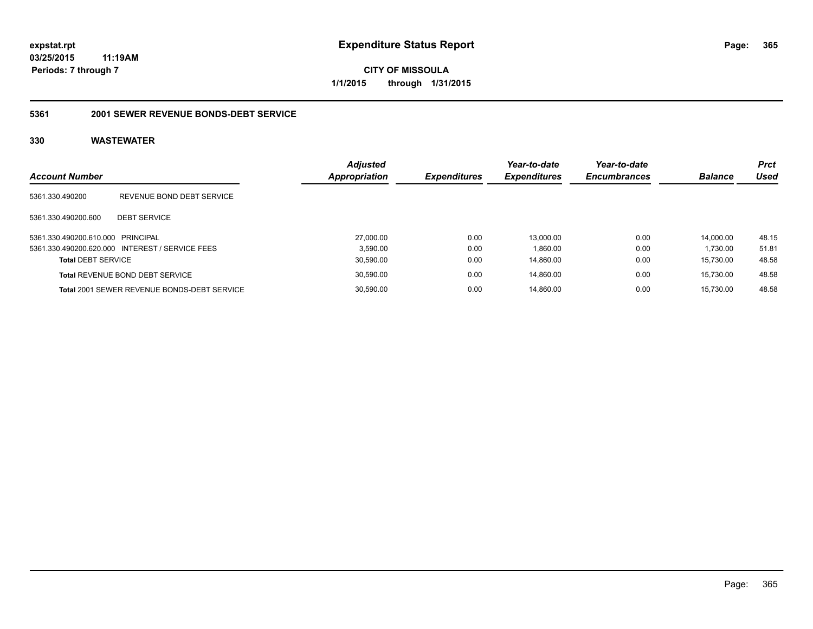**CITY OF MISSOULA 1/1/2015 through 1/31/2015**

## **5361 2001 SEWER REVENUE BONDS-DEBT SERVICE**

| <b>Account Number</b>             |                                                    | <b>Adjusted</b><br>Appropriation | <b>Expenditures</b> | Year-to-date<br><b>Expenditures</b> | Year-to-date<br><b>Encumbrances</b> | <b>Balance</b> | <b>Prct</b><br>Used |
|-----------------------------------|----------------------------------------------------|----------------------------------|---------------------|-------------------------------------|-------------------------------------|----------------|---------------------|
| 5361.330.490200                   | REVENUE BOND DEBT SERVICE                          |                                  |                     |                                     |                                     |                |                     |
| 5361.330.490200.600               | <b>DEBT SERVICE</b>                                |                                  |                     |                                     |                                     |                |                     |
| 5361.330.490200.610.000 PRINCIPAL |                                                    | 27,000.00                        | 0.00                | 13.000.00                           | 0.00                                | 14.000.00      | 48.15               |
|                                   | 5361.330.490200.620.000 INTEREST / SERVICE FEES    | 3.590.00                         | 0.00                | 1.860.00                            | 0.00                                | 1.730.00       | 51.81               |
| <b>Total DEBT SERVICE</b>         |                                                    | 30.590.00                        | 0.00                | 14.860.00                           | 0.00                                | 15.730.00      | 48.58               |
|                                   | <b>Total REVENUE BOND DEBT SERVICE</b>             | 30.590.00                        | 0.00                | 14.860.00                           | 0.00                                | 15.730.00      | 48.58               |
|                                   | <b>Total 2001 SEWER REVENUE BONDS-DEBT SERVICE</b> | 30.590.00                        | 0.00                | 14.860.00                           | 0.00                                | 15.730.00      | 48.58               |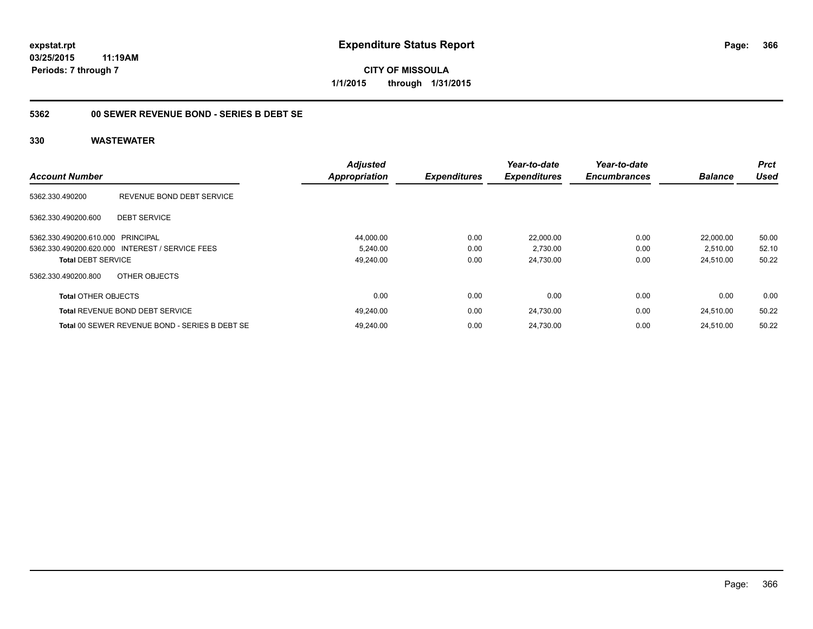**CITY OF MISSOULA 1/1/2015 through 1/31/2015**

## **5362 00 SEWER REVENUE BOND - SERIES B DEBT SE**

| <b>Account Number</b>             |                                                 | <b>Adjusted</b><br>Appropriation | <b>Expenditures</b> | Year-to-date<br><b>Expenditures</b> | Year-to-date<br><b>Encumbrances</b> | <b>Balance</b> | <b>Prct</b><br><b>Used</b> |
|-----------------------------------|-------------------------------------------------|----------------------------------|---------------------|-------------------------------------|-------------------------------------|----------------|----------------------------|
|                                   |                                                 |                                  |                     |                                     |                                     |                |                            |
| 5362.330.490200                   | REVENUE BOND DEBT SERVICE                       |                                  |                     |                                     |                                     |                |                            |
| 5362.330.490200.600               | <b>DEBT SERVICE</b>                             |                                  |                     |                                     |                                     |                |                            |
| 5362.330.490200.610.000 PRINCIPAL |                                                 | 44,000.00                        | 0.00                | 22,000.00                           | 0.00                                | 22.000.00      | 50.00                      |
|                                   | 5362.330.490200.620.000 INTEREST / SERVICE FEES | 5,240.00                         | 0.00                | 2,730.00                            | 0.00                                | 2,510.00       | 52.10                      |
| <b>Total DEBT SERVICE</b>         |                                                 | 49,240.00                        | 0.00                | 24,730.00                           | 0.00                                | 24,510.00      | 50.22                      |
| 5362.330.490200.800               | OTHER OBJECTS                                   |                                  |                     |                                     |                                     |                |                            |
| <b>Total OTHER OBJECTS</b>        |                                                 | 0.00                             | 0.00                | 0.00                                | 0.00                                | 0.00           | 0.00                       |
|                                   | <b>Total REVENUE BOND DEBT SERVICE</b>          | 49,240.00                        | 0.00                | 24,730.00                           | 0.00                                | 24,510.00      | 50.22                      |
|                                   | Total 00 SEWER REVENUE BOND - SERIES B DEBT SE  | 49.240.00                        | 0.00                | 24.730.00                           | 0.00                                | 24.510.00      | 50.22                      |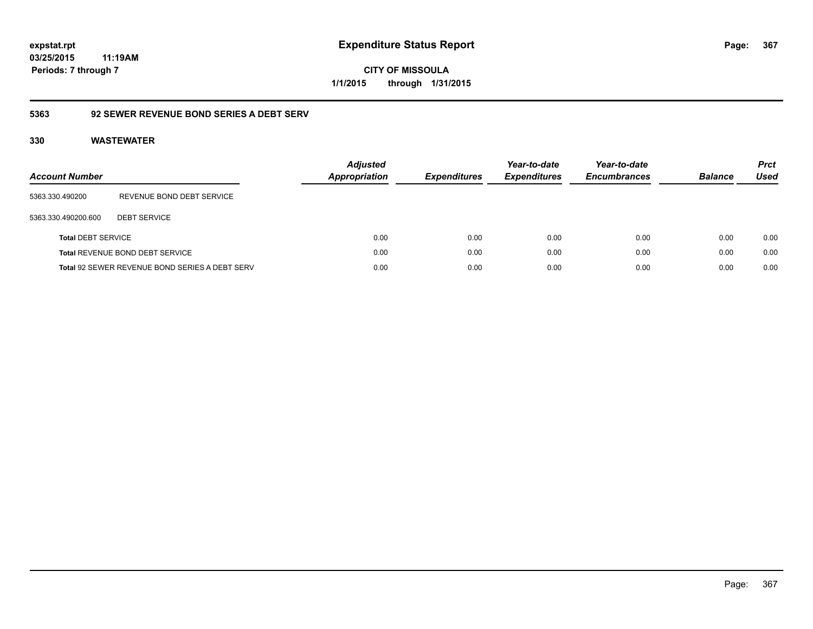**CITY OF MISSOULA 1/1/2015 through 1/31/2015**

## **5363 92 SEWER REVENUE BOND SERIES A DEBT SERV**

| <b>Account Number</b>     |                                                       | <b>Adjusted</b><br>Appropriation | <b>Expenditures</b> | Year-to-date<br><b>Expenditures</b> | Year-to-date<br><b>Encumbrances</b> | <b>Balance</b> | <b>Prct</b><br>Used |
|---------------------------|-------------------------------------------------------|----------------------------------|---------------------|-------------------------------------|-------------------------------------|----------------|---------------------|
| 5363.330.490200           | REVENUE BOND DEBT SERVICE                             |                                  |                     |                                     |                                     |                |                     |
| 5363.330.490200.600       | <b>DEBT SERVICE</b>                                   |                                  |                     |                                     |                                     |                |                     |
| <b>Total DEBT SERVICE</b> |                                                       | 0.00                             | 0.00                | 0.00                                | 0.00                                | 0.00           | 0.00                |
|                           | Total REVENUE BOND DEBT SERVICE                       | 0.00                             | 0.00                | 0.00                                | 0.00                                | 0.00           | 0.00                |
|                           | <b>Total 92 SEWER REVENUE BOND SERIES A DEBT SERV</b> | 0.00                             | 0.00                | 0.00                                | 0.00                                | 0.00           | 0.00                |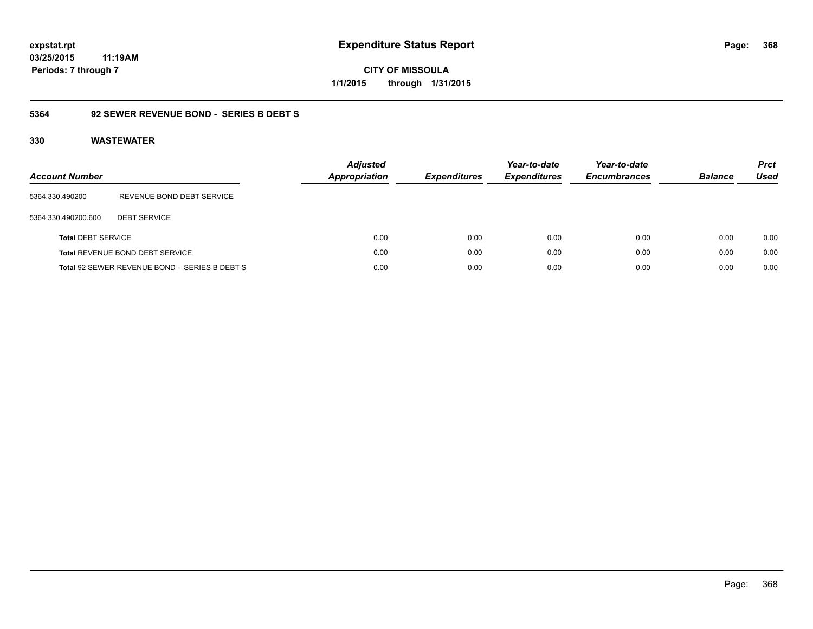**CITY OF MISSOULA 1/1/2015 through 1/31/2015**

## **5364 92 SEWER REVENUE BOND - SERIES B DEBT S**

| <b>Account Number</b>     |                                               | <b>Adjusted</b><br><b>Appropriation</b> | <b>Expenditures</b> | Year-to-date<br><b>Expenditures</b> | Year-to-date<br><b>Encumbrances</b> | <b>Balance</b> | <b>Prct</b><br>Used |
|---------------------------|-----------------------------------------------|-----------------------------------------|---------------------|-------------------------------------|-------------------------------------|----------------|---------------------|
| 5364.330.490200           | REVENUE BOND DEBT SERVICE                     |                                         |                     |                                     |                                     |                |                     |
| 5364.330.490200.600       | <b>DEBT SERVICE</b>                           |                                         |                     |                                     |                                     |                |                     |
| <b>Total DEBT SERVICE</b> |                                               | 0.00                                    | 0.00                | 0.00                                | 0.00                                | 0.00           | 0.00                |
|                           | Total REVENUE BOND DEBT SERVICE               | 0.00                                    | 0.00                | 0.00                                | 0.00                                | 0.00           | 0.00                |
|                           | Total 92 SEWER REVENUE BOND - SERIES B DEBT S | 0.00                                    | 0.00                | 0.00                                | 0.00                                | 0.00           | 0.00                |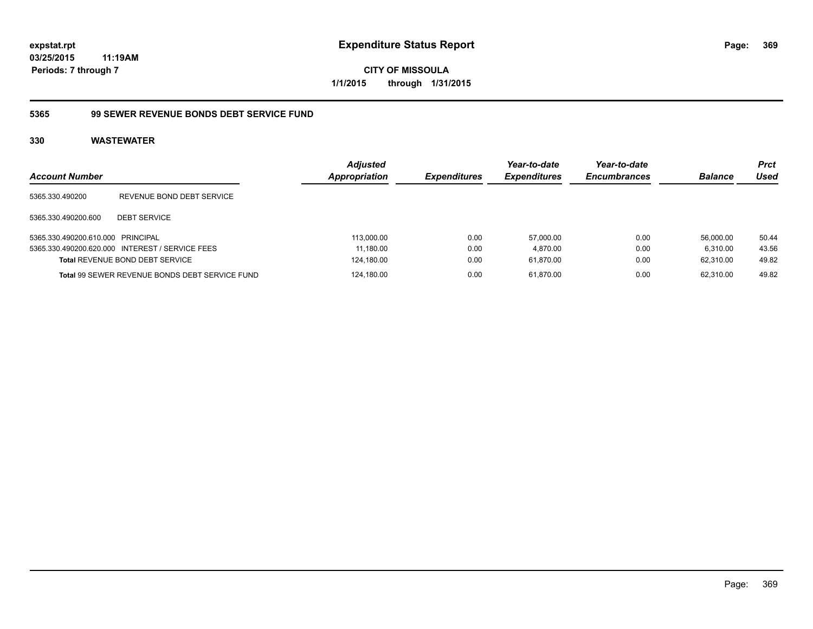**CITY OF MISSOULA 1/1/2015 through 1/31/2015**

## **5365 99 SEWER REVENUE BONDS DEBT SERVICE FUND**

| <b>Account Number</b>             |                                                 | <b>Adjusted</b><br>Appropriation | <b>Expenditures</b> | Year-to-date<br><b>Expenditures</b> | Year-to-date<br><b>Encumbrances</b> | <b>Balance</b> | <b>Prct</b><br>Used |
|-----------------------------------|-------------------------------------------------|----------------------------------|---------------------|-------------------------------------|-------------------------------------|----------------|---------------------|
| 5365.330.490200                   | REVENUE BOND DEBT SERVICE                       |                                  |                     |                                     |                                     |                |                     |
| 5365.330.490200.600               | <b>DEBT SERVICE</b>                             |                                  |                     |                                     |                                     |                |                     |
| 5365.330.490200.610.000 PRINCIPAL |                                                 | 113,000.00                       | 0.00                | 57.000.00                           | 0.00                                | 56.000.00      | 50.44               |
|                                   | 5365.330.490200.620.000 INTEREST / SERVICE FEES | 11,180.00                        | 0.00                | 4.870.00                            | 0.00                                | 6.310.00       | 43.56               |
|                                   | <b>Total REVENUE BOND DEBT SERVICE</b>          | 124,180.00                       | 0.00                | 61.870.00                           | 0.00                                | 62.310.00      | 49.82               |
|                                   | Total 99 SEWER REVENUE BONDS DEBT SERVICE FUND  | 124.180.00                       | 0.00                | 61.870.00                           | 0.00                                | 62.310.00      | 49.82               |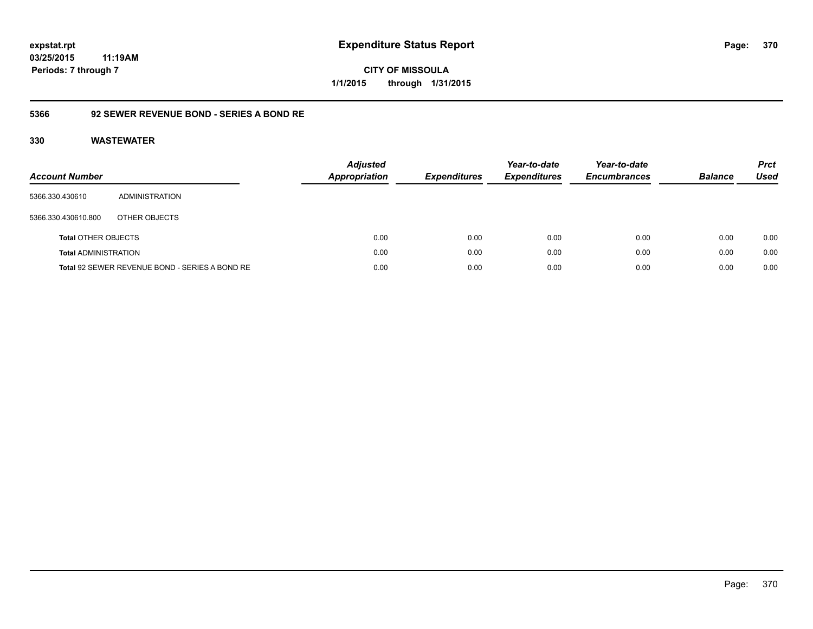**CITY OF MISSOULA 1/1/2015 through 1/31/2015**

## **5366 92 SEWER REVENUE BOND - SERIES A BOND RE**

| Account Number              |                                                | <b>Adjusted</b><br><b>Appropriation</b> | <b>Expenditures</b> | Year-to-date<br><b>Expenditures</b> | Year-to-date<br><b>Encumbrances</b> | <b>Balance</b> | <b>Prct</b><br>Used |
|-----------------------------|------------------------------------------------|-----------------------------------------|---------------------|-------------------------------------|-------------------------------------|----------------|---------------------|
| 5366.330.430610             | ADMINISTRATION                                 |                                         |                     |                                     |                                     |                |                     |
| 5366.330.430610.800         | OTHER OBJECTS                                  |                                         |                     |                                     |                                     |                |                     |
| <b>Total OTHER OBJECTS</b>  |                                                | 0.00                                    | 0.00                | 0.00                                | 0.00                                | 0.00           | 0.00                |
| <b>Total ADMINISTRATION</b> |                                                | 0.00                                    | 0.00                | 0.00                                | 0.00                                | 0.00           | 0.00                |
|                             | Total 92 SEWER REVENUE BOND - SERIES A BOND RE | 0.00                                    | 0.00                | 0.00                                | 0.00                                | 0.00           | 0.00                |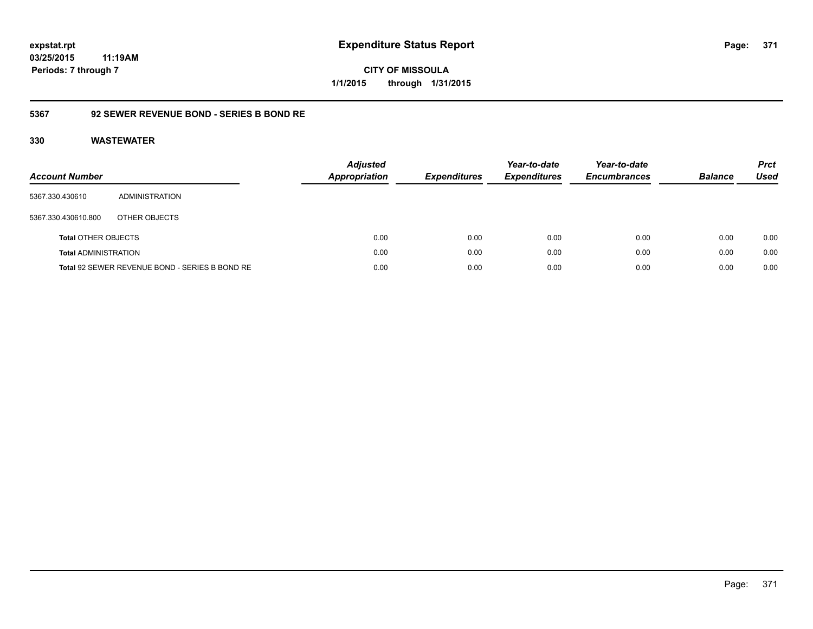**CITY OF MISSOULA 1/1/2015 through 1/31/2015**

## **5367 92 SEWER REVENUE BOND - SERIES B BOND RE**

| <b>Account Number</b>       |                                                | <b>Adjusted</b><br><b>Appropriation</b> | <b>Expenditures</b> | Year-to-date<br><b>Expenditures</b> | Year-to-date<br><b>Encumbrances</b> | <b>Balance</b> | <b>Prct</b><br>Used |
|-----------------------------|------------------------------------------------|-----------------------------------------|---------------------|-------------------------------------|-------------------------------------|----------------|---------------------|
| 5367.330.430610             | ADMINISTRATION                                 |                                         |                     |                                     |                                     |                |                     |
| 5367.330.430610.800         | OTHER OBJECTS                                  |                                         |                     |                                     |                                     |                |                     |
| <b>Total OTHER OBJECTS</b>  |                                                | 0.00                                    | 0.00                | 0.00                                | 0.00                                | 0.00           | 0.00                |
| <b>Total ADMINISTRATION</b> |                                                | 0.00                                    | 0.00                | 0.00                                | 0.00                                | 0.00           | 0.00                |
|                             | Total 92 SEWER REVENUE BOND - SERIES B BOND RE | 0.00                                    | 0.00                | 0.00                                | 0.00                                | 0.00           | 0.00                |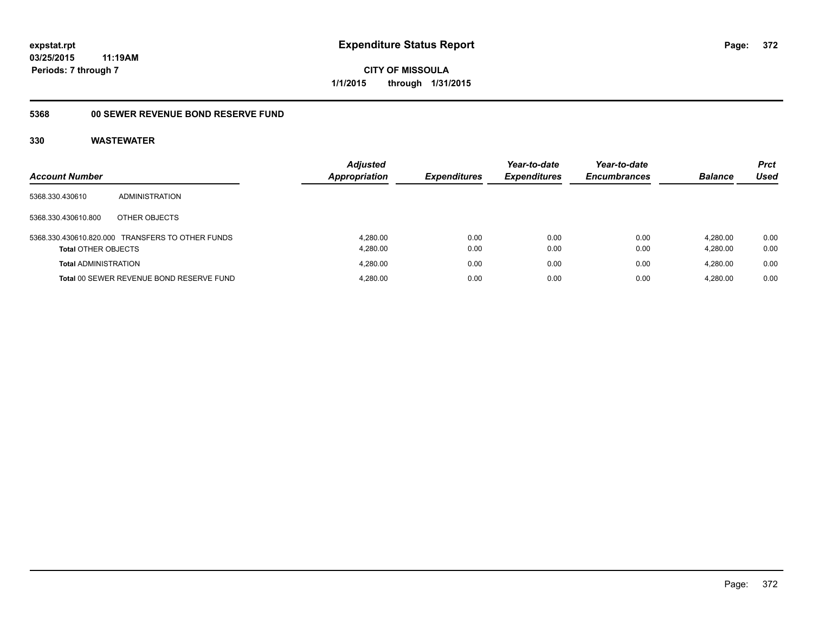**CITY OF MISSOULA 1/1/2015 through 1/31/2015**

### **5368 00 SEWER REVENUE BOND RESERVE FUND**

|                             |                                                  | <b>Adjusted</b>      |                     | Year-to-date        | Year-to-date        |                | <b>Prct</b> |
|-----------------------------|--------------------------------------------------|----------------------|---------------------|---------------------|---------------------|----------------|-------------|
| <b>Account Number</b>       |                                                  | <b>Appropriation</b> | <b>Expenditures</b> | <b>Expenditures</b> | <b>Encumbrances</b> | <b>Balance</b> | Used        |
| 5368.330.430610             | <b>ADMINISTRATION</b>                            |                      |                     |                     |                     |                |             |
| 5368.330.430610.800         | OTHER OBJECTS                                    |                      |                     |                     |                     |                |             |
|                             | 5368.330.430610.820.000 TRANSFERS TO OTHER FUNDS | 4.280.00             | 0.00                | 0.00                | 0.00                | 4.280.00       | 0.00        |
| <b>Total OTHER OBJECTS</b>  |                                                  | 4,280.00             | 0.00                | 0.00                | 0.00                | 4.280.00       | 0.00        |
| <b>Total ADMINISTRATION</b> |                                                  | 4.280.00             | 0.00                | 0.00                | 0.00                | 4.280.00       | 0.00        |
|                             | Total 00 SEWER REVENUE BOND RESERVE FUND         | 4,280.00             | 0.00                | 0.00                | 0.00                | 4.280.00       | 0.00        |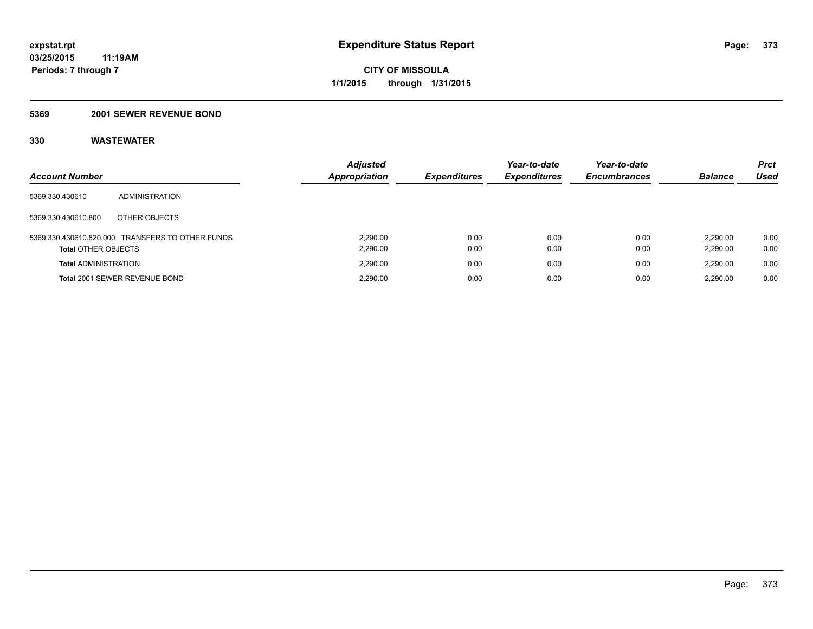## **5369 2001 SEWER REVENUE BOND**

| <b>Account Number</b>       |                                                  | <b>Adjusted</b><br>Appropriation | <b>Expenditures</b> | Year-to-date<br><b>Expenditures</b> | Year-to-date<br><b>Encumbrances</b> | <b>Balance</b>       | <b>Prct</b><br>Used |
|-----------------------------|--------------------------------------------------|----------------------------------|---------------------|-------------------------------------|-------------------------------------|----------------------|---------------------|
| 5369.330.430610             | ADMINISTRATION                                   |                                  |                     |                                     |                                     |                      |                     |
| 5369.330.430610.800         | OTHER OBJECTS                                    |                                  |                     |                                     |                                     |                      |                     |
| <b>Total OTHER OBJECTS</b>  | 5369.330.430610.820.000 TRANSFERS TO OTHER FUNDS | 2.290.00<br>2,290.00             | 0.00<br>0.00        | 0.00<br>0.00                        | 0.00<br>0.00                        | 2.290.00<br>2,290.00 | 0.00<br>0.00        |
| <b>Total ADMINISTRATION</b> |                                                  | 2.290.00                         | 0.00                | 0.00                                | 0.00                                | 2.290.00             | 0.00                |
|                             | Total 2001 SEWER REVENUE BOND                    | 2.290.00                         | 0.00                | 0.00                                | 0.00                                | 2.290.00             | 0.00                |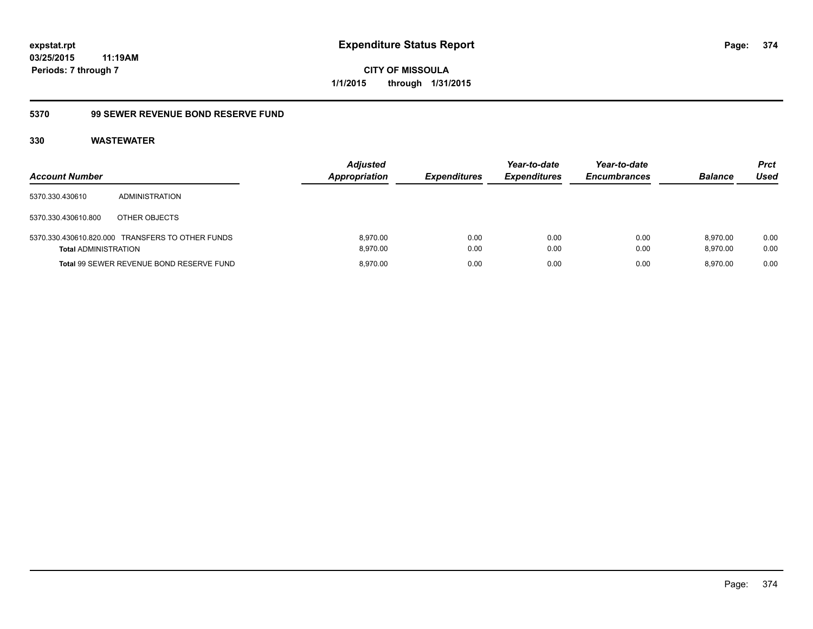**expstat.rpt Expenditure Status Report** 

**03/25/2015 11:19AM Periods: 7 through 7**

**CITY OF MISSOULA 1/1/2015 through 1/31/2015**

## **5370 99 SEWER REVENUE BOND RESERVE FUND**

| <b>Account Number</b>       |                                                  | <b>Adjusted</b><br><b>Appropriation</b> | <b>Expenditures</b> | Year-to-date<br><b>Expenditures</b> | Year-to-date<br><b>Encumbrances</b> | <b>Balance</b>       | <b>Prct</b><br>Used |
|-----------------------------|--------------------------------------------------|-----------------------------------------|---------------------|-------------------------------------|-------------------------------------|----------------------|---------------------|
| 5370.330.430610             | ADMINISTRATION                                   |                                         |                     |                                     |                                     |                      |                     |
| 5370.330.430610.800         | OTHER OBJECTS                                    |                                         |                     |                                     |                                     |                      |                     |
| <b>Total ADMINISTRATION</b> | 5370.330.430610.820.000 TRANSFERS TO OTHER FUNDS | 8.970.00<br>8.970.00                    | 0.00<br>0.00        | 0.00<br>0.00                        | 0.00<br>0.00                        | 8.970.00<br>8.970.00 | 0.00<br>0.00        |
|                             | Total 99 SEWER REVENUE BOND RESERVE FUND         | 8.970.00                                | 0.00                | 0.00                                | 0.00                                | 8.970.00             | 0.00                |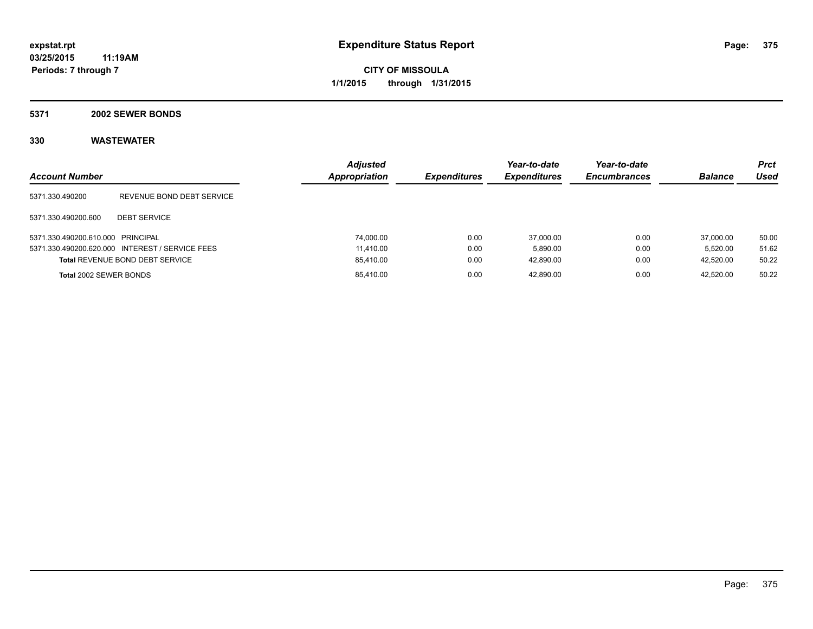### **5371 2002 SEWER BONDS**

| <b>Account Number</b>             |                                                 | <b>Adjusted</b><br>Appropriation | <b>Expenditures</b> | Year-to-date<br><b>Expenditures</b> | Year-to-date<br><b>Encumbrances</b> | <b>Balance</b> | <b>Prct</b><br>Used |
|-----------------------------------|-------------------------------------------------|----------------------------------|---------------------|-------------------------------------|-------------------------------------|----------------|---------------------|
| 5371.330.490200                   | REVENUE BOND DEBT SERVICE                       |                                  |                     |                                     |                                     |                |                     |
| 5371.330.490200.600               | <b>DEBT SERVICE</b>                             |                                  |                     |                                     |                                     |                |                     |
| 5371.330.490200.610.000 PRINCIPAL |                                                 | 74.000.00                        | 0.00                | 37,000.00                           | 0.00                                | 37,000.00      | 50.00               |
|                                   | 5371.330.490200.620.000 INTEREST / SERVICE FEES | 11.410.00                        | 0.00                | 5.890.00                            | 0.00                                | 5.520.00       | 51.62               |
|                                   | <b>Total REVENUE BOND DEBT SERVICE</b>          | 85,410.00                        | 0.00                | 42.890.00                           | 0.00                                | 42,520.00      | 50.22               |
| Total 2002 SEWER BONDS            |                                                 | 85,410.00                        | 0.00                | 42.890.00                           | 0.00                                | 42.520.00      | 50.22               |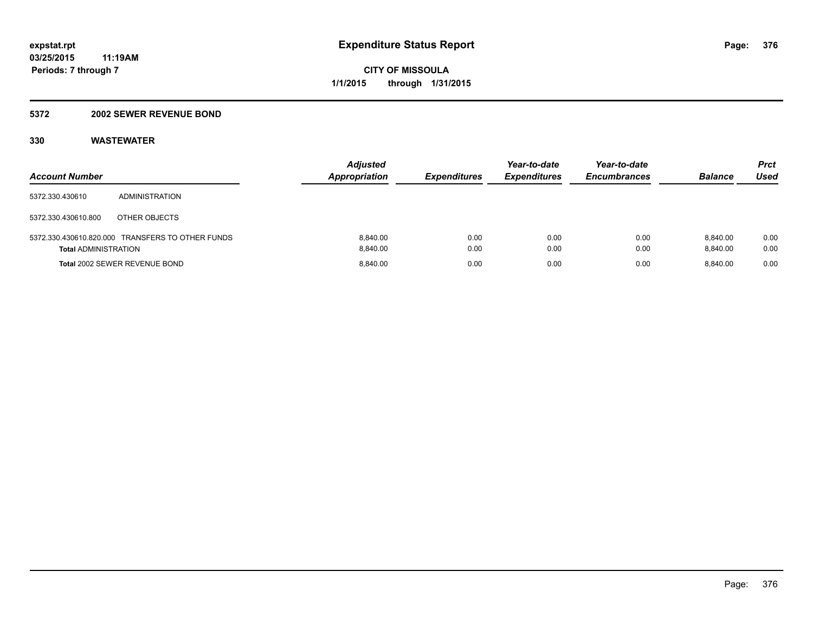### **5372 2002 SEWER REVENUE BOND**

| <b>Account Number</b>       |                                                  | <b>Adjusted</b><br><b>Appropriation</b> | <b>Expenditures</b> | Year-to-date<br><b>Expenditures</b> | Year-to-date<br><b>Encumbrances</b> | <b>Balance</b>       | Prct<br>Used |
|-----------------------------|--------------------------------------------------|-----------------------------------------|---------------------|-------------------------------------|-------------------------------------|----------------------|--------------|
| 5372.330.430610             | ADMINISTRATION                                   |                                         |                     |                                     |                                     |                      |              |
| 5372.330.430610.800         | OTHER OBJECTS                                    |                                         |                     |                                     |                                     |                      |              |
| <b>Total ADMINISTRATION</b> | 5372.330.430610.820.000 TRANSFERS TO OTHER FUNDS | 8.840.00<br>8.840.00                    | 0.00<br>0.00        | 0.00<br>0.00                        | 0.00<br>0.00                        | 8.840.00<br>8.840.00 | 0.00<br>0.00 |
|                             | <b>Total 2002 SEWER REVENUE BOND</b>             | 8.840.00                                | 0.00                | 0.00                                | 0.00                                | 8.840.00             | 0.00         |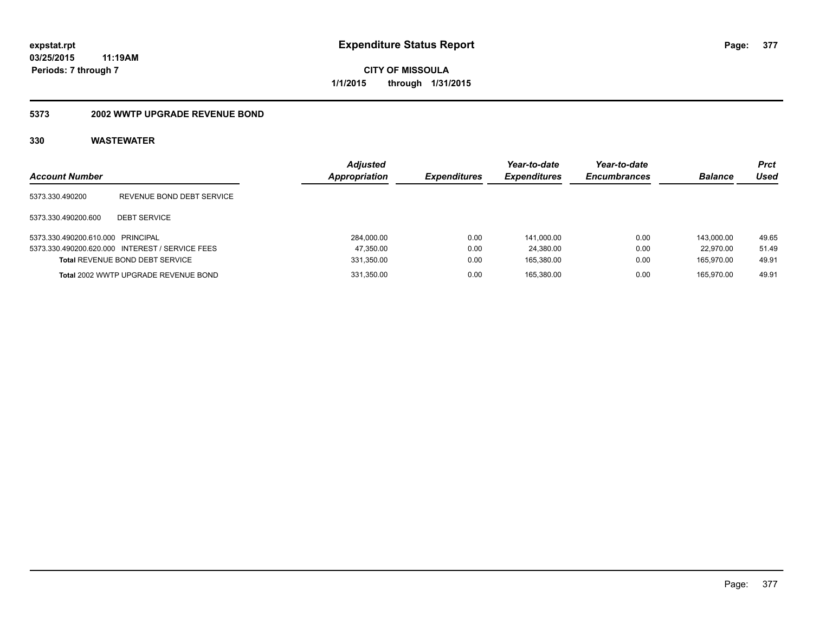**377**

**03/25/2015 11:19AM Periods: 7 through 7**

**CITY OF MISSOULA 1/1/2015 through 1/31/2015**

## **5373 2002 WWTP UPGRADE REVENUE BOND**

| <b>Account Number</b>             |                                                 | <b>Adjusted</b><br>Appropriation | <b>Expenditures</b> | Year-to-date<br><b>Expenditures</b> | Year-to-date<br><b>Encumbrances</b> | <b>Balance</b> | <b>Prct</b><br>Used |
|-----------------------------------|-------------------------------------------------|----------------------------------|---------------------|-------------------------------------|-------------------------------------|----------------|---------------------|
| 5373.330.490200                   | REVENUE BOND DEBT SERVICE                       |                                  |                     |                                     |                                     |                |                     |
| 5373.330.490200.600               | <b>DEBT SERVICE</b>                             |                                  |                     |                                     |                                     |                |                     |
| 5373.330.490200.610.000 PRINCIPAL |                                                 | 284,000.00                       | 0.00                | 141.000.00                          | 0.00                                | 143.000.00     | 49.65               |
|                                   | 5373.330.490200.620.000 INTEREST / SERVICE FEES | 47,350.00                        | 0.00                | 24.380.00                           | 0.00                                | 22.970.00      | 51.49               |
|                                   | <b>Total REVENUE BOND DEBT SERVICE</b>          | 331,350.00                       | 0.00                | 165,380.00                          | 0.00                                | 165.970.00     | 49.91               |
|                                   | Total 2002 WWTP UPGRADE REVENUE BOND            | 331,350.00                       | 0.00                | 165.380.00                          | 0.00                                | 165.970.00     | 49.91               |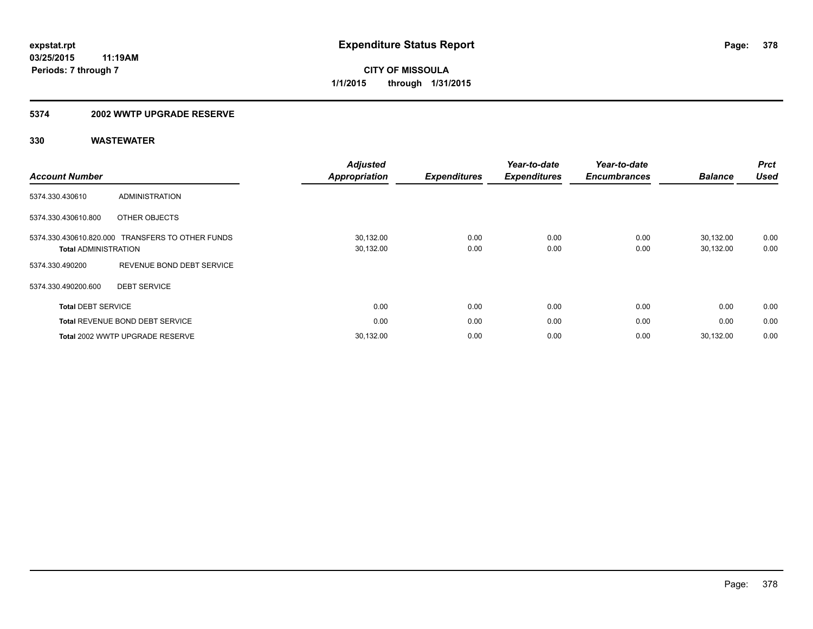### **5374 2002 WWTP UPGRADE RESERVE**

| <b>Account Number</b>       |                                                  | <b>Adjusted</b><br><b>Appropriation</b> | <b>Expenditures</b> | Year-to-date<br><b>Expenditures</b> | Year-to-date<br><b>Encumbrances</b> | <b>Balance</b>         | <b>Prct</b><br><b>Used</b> |
|-----------------------------|--------------------------------------------------|-----------------------------------------|---------------------|-------------------------------------|-------------------------------------|------------------------|----------------------------|
| 5374.330.430610             | <b>ADMINISTRATION</b>                            |                                         |                     |                                     |                                     |                        |                            |
| 5374.330.430610.800         | OTHER OBJECTS                                    |                                         |                     |                                     |                                     |                        |                            |
| <b>Total ADMINISTRATION</b> | 5374.330.430610.820.000 TRANSFERS TO OTHER FUNDS | 30,132.00<br>30,132.00                  | 0.00<br>0.00        | 0.00<br>0.00                        | 0.00<br>0.00                        | 30,132.00<br>30,132.00 | 0.00<br>0.00               |
| 5374.330.490200             | REVENUE BOND DEBT SERVICE                        |                                         |                     |                                     |                                     |                        |                            |
| 5374.330.490200.600         | <b>DEBT SERVICE</b>                              |                                         |                     |                                     |                                     |                        |                            |
| <b>Total DEBT SERVICE</b>   |                                                  | 0.00                                    | 0.00                | 0.00                                | 0.00                                | 0.00                   | 0.00                       |
|                             | <b>Total REVENUE BOND DEBT SERVICE</b>           | 0.00                                    | 0.00                | 0.00                                | 0.00                                | 0.00                   | 0.00                       |
|                             | Total 2002 WWTP UPGRADE RESERVE                  | 30,132.00                               | 0.00                | 0.00                                | 0.00                                | 30.132.00              | 0.00                       |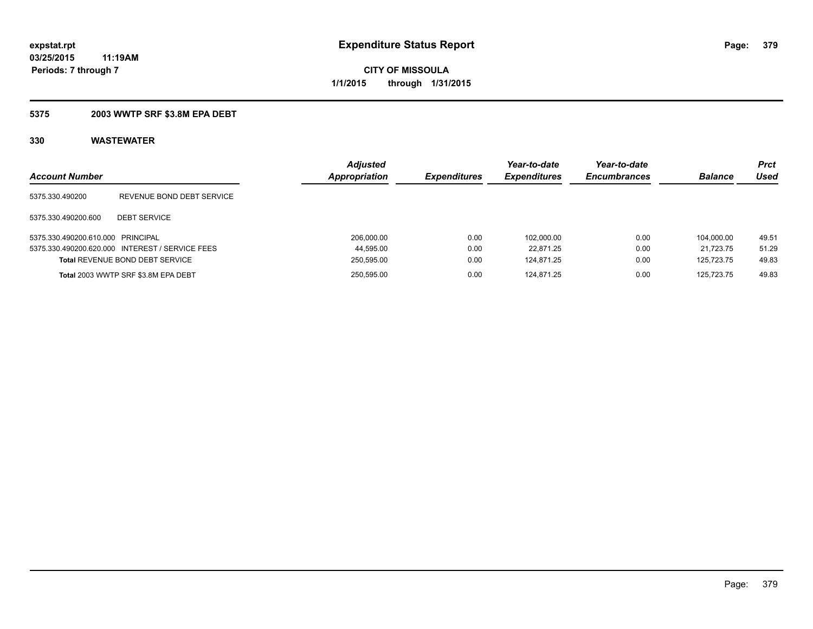## **5375 2003 WWTP SRF \$3.8M EPA DEBT**

| <b>Account Number</b>             |                                                 | <b>Adjusted</b><br>Appropriation | <b>Expenditures</b> | Year-to-date<br><b>Expenditures</b> | Year-to-date<br><b>Encumbrances</b> | <b>Balance</b> | Prct<br>Used |
|-----------------------------------|-------------------------------------------------|----------------------------------|---------------------|-------------------------------------|-------------------------------------|----------------|--------------|
| 5375.330.490200                   | REVENUE BOND DEBT SERVICE                       |                                  |                     |                                     |                                     |                |              |
| 5375.330.490200.600               | <b>DEBT SERVICE</b>                             |                                  |                     |                                     |                                     |                |              |
| 5375.330.490200.610.000 PRINCIPAL |                                                 | 206,000.00                       | 0.00                | 102.000.00                          | 0.00                                | 104.000.00     | 49.51        |
|                                   | 5375.330.490200.620.000 INTEREST / SERVICE FEES | 44,595.00                        | 0.00                | 22.871.25                           | 0.00                                | 21.723.75      | 51.29        |
|                                   | <b>Total REVENUE BOND DEBT SERVICE</b>          | 250,595.00                       | 0.00                | 124.871.25                          | 0.00                                | 125.723.75     | 49.83        |
|                                   | Total 2003 WWTP SRF \$3.8M EPA DEBT             | 250.595.00                       | 0.00                | 124.871.25                          | 0.00                                | 125.723.75     | 49.83        |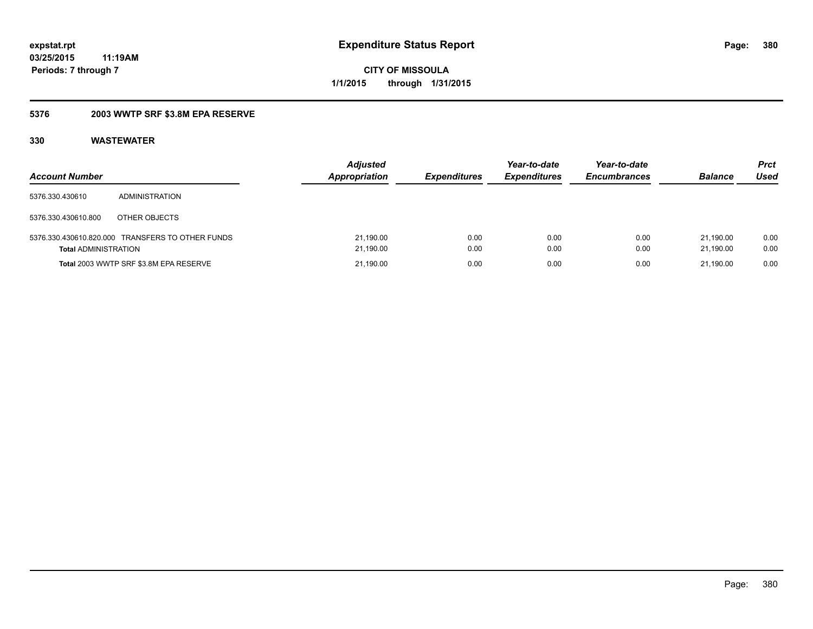## **5376 2003 WWTP SRF \$3.8M EPA RESERVE**

| <b>Account Number</b>       |                                                  | <b>Adjusted</b><br><b>Appropriation</b> | <b>Expenditures</b> | Year-to-date<br><b>Expenditures</b> | Year-to-date<br><b>Encumbrances</b> | <b>Balance</b>         | Prct<br>Used |
|-----------------------------|--------------------------------------------------|-----------------------------------------|---------------------|-------------------------------------|-------------------------------------|------------------------|--------------|
| 5376.330.430610             | ADMINISTRATION                                   |                                         |                     |                                     |                                     |                        |              |
| 5376.330.430610.800         | OTHER OBJECTS                                    |                                         |                     |                                     |                                     |                        |              |
| <b>Total ADMINISTRATION</b> | 5376.330.430610.820.000 TRANSFERS TO OTHER FUNDS | 21,190.00<br>21,190.00                  | 0.00<br>0.00        | 0.00<br>0.00                        | 0.00<br>0.00                        | 21.190.00<br>21.190.00 | 0.00<br>0.00 |
|                             | Total 2003 WWTP SRF \$3.8M EPA RESERVE           | 21,190.00                               | 0.00                | 0.00                                | 0.00                                | 21.190.00              | 0.00         |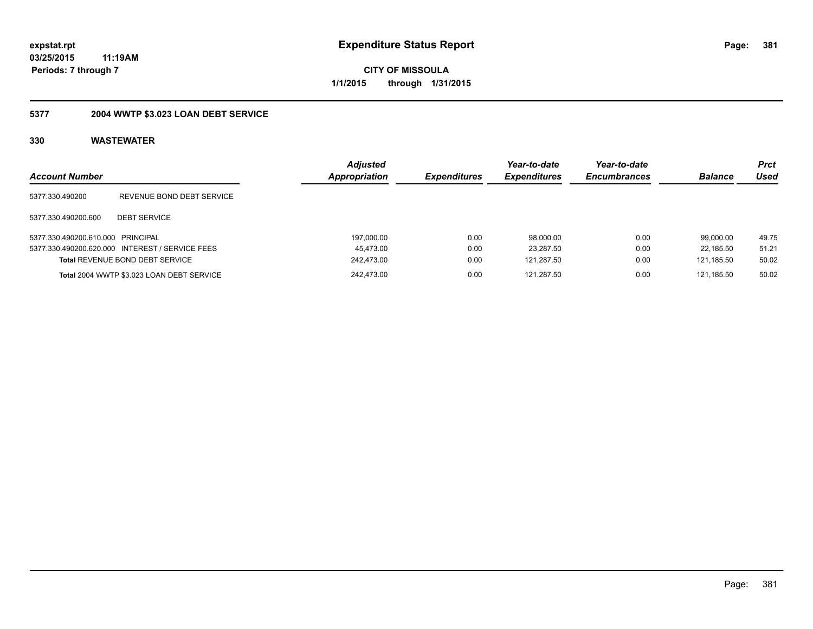**CITY OF MISSOULA 1/1/2015 through 1/31/2015**

## **5377 2004 WWTP \$3.023 LOAN DEBT SERVICE**

| <b>Account Number</b>             |                                                 | <b>Adjusted</b><br>Appropriation | <b>Expenditures</b> | Year-to-date<br><b>Expenditures</b> | Year-to-date<br><b>Encumbrances</b> | <b>Balance</b> | <b>Prct</b><br>Used |
|-----------------------------------|-------------------------------------------------|----------------------------------|---------------------|-------------------------------------|-------------------------------------|----------------|---------------------|
| 5377.330.490200                   | REVENUE BOND DEBT SERVICE                       |                                  |                     |                                     |                                     |                |                     |
| 5377.330.490200.600               | <b>DEBT SERVICE</b>                             |                                  |                     |                                     |                                     |                |                     |
| 5377.330.490200.610.000 PRINCIPAL |                                                 | 197,000.00                       | 0.00                | 98,000.00                           | 0.00                                | 99.000.00      | 49.75               |
|                                   | 5377.330.490200.620.000 INTEREST / SERVICE FEES | 45,473.00                        | 0.00                | 23,287.50                           | 0.00                                | 22.185.50      | 51.21               |
|                                   | <b>Total REVENUE BOND DEBT SERVICE</b>          | 242,473.00                       | 0.00                | 121.287.50                          | 0.00                                | 121.185.50     | 50.02               |
|                                   | Total 2004 WWTP \$3.023 LOAN DEBT SERVICE       | 242.473.00                       | 0.00                | 121.287.50                          | 0.00                                | 121.185.50     | 50.02               |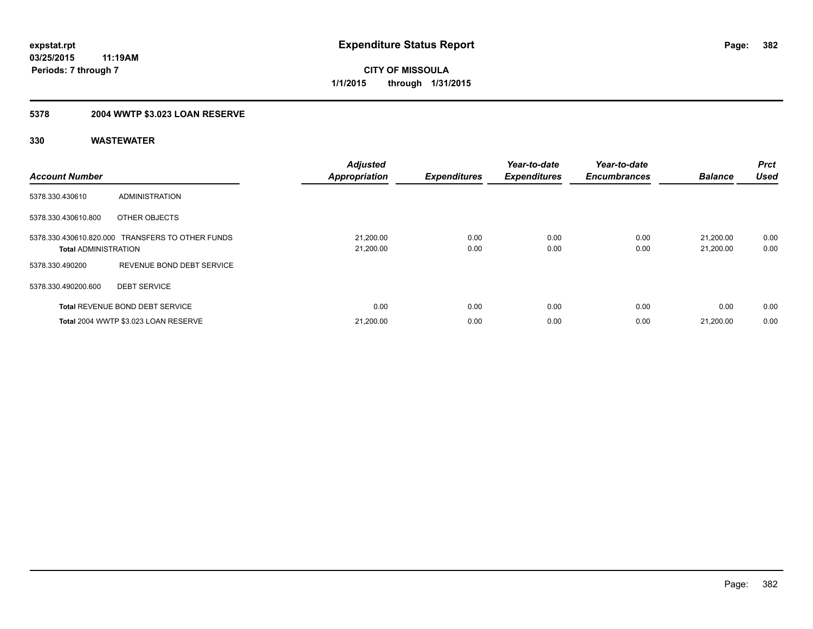## **5378 2004 WWTP \$3.023 LOAN RESERVE**

| <b>Account Number</b>       |                                                  | <b>Adjusted</b><br><b>Appropriation</b> | <b>Expenditures</b> | Year-to-date<br><b>Expenditures</b> | Year-to-date<br><b>Encumbrances</b> | <b>Balance</b>         | <b>Prct</b><br><b>Used</b> |
|-----------------------------|--------------------------------------------------|-----------------------------------------|---------------------|-------------------------------------|-------------------------------------|------------------------|----------------------------|
| 5378.330.430610             | ADMINISTRATION                                   |                                         |                     |                                     |                                     |                        |                            |
| 5378.330.430610.800         | OTHER OBJECTS                                    |                                         |                     |                                     |                                     |                        |                            |
| <b>Total ADMINISTRATION</b> | 5378.330.430610.820.000 TRANSFERS TO OTHER FUNDS | 21,200.00<br>21,200.00                  | 0.00<br>0.00        | 0.00<br>0.00                        | 0.00<br>0.00                        | 21.200.00<br>21,200.00 | 0.00<br>0.00               |
| 5378.330.490200             | REVENUE BOND DEBT SERVICE                        |                                         |                     |                                     |                                     |                        |                            |
| 5378.330.490200.600         | <b>DEBT SERVICE</b>                              |                                         |                     |                                     |                                     |                        |                            |
|                             | <b>Total REVENUE BOND DEBT SERVICE</b>           | 0.00                                    | 0.00                | 0.00                                | 0.00                                | 0.00                   | 0.00                       |
|                             | Total 2004 WWTP \$3.023 LOAN RESERVE             | 21,200.00                               | 0.00                | 0.00                                | 0.00                                | 21,200.00              | 0.00                       |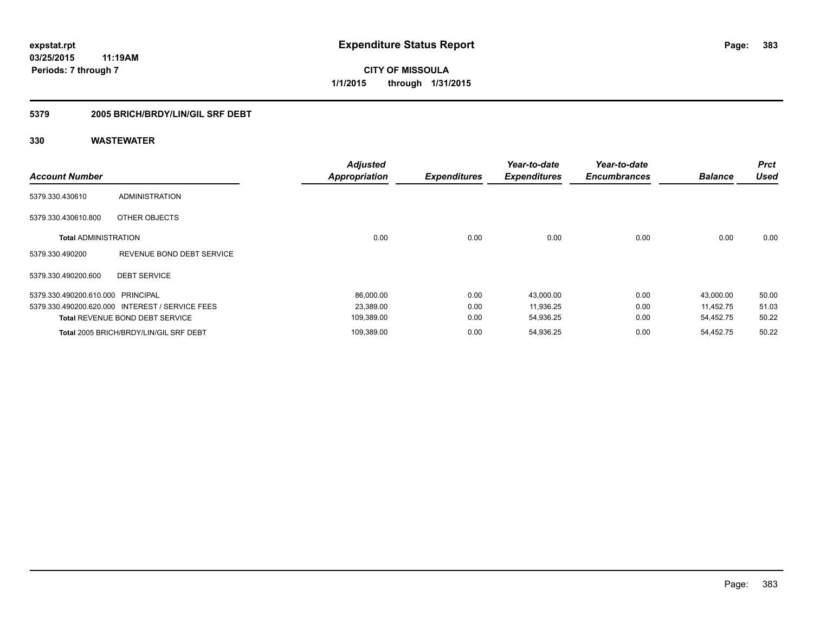**Periods: 7 through 7**

**CITY OF MISSOULA 1/1/2015 through 1/31/2015**

## **5379 2005 BRICH/BRDY/LIN/GIL SRF DEBT**

| <b>Account Number</b>             |                                                 | <b>Adjusted</b><br><b>Appropriation</b> | <b>Expenditures</b> | Year-to-date<br><b>Expenditures</b> | Year-to-date<br><b>Encumbrances</b> | <b>Balance</b> | <b>Prct</b><br><b>Used</b> |
|-----------------------------------|-------------------------------------------------|-----------------------------------------|---------------------|-------------------------------------|-------------------------------------|----------------|----------------------------|
| 5379.330.430610                   | ADMINISTRATION                                  |                                         |                     |                                     |                                     |                |                            |
| 5379.330.430610.800               | OTHER OBJECTS                                   |                                         |                     |                                     |                                     |                |                            |
| <b>Total ADMINISTRATION</b>       |                                                 | 0.00                                    | 0.00                | 0.00                                | 0.00                                | 0.00           | 0.00                       |
| 5379.330.490200                   | REVENUE BOND DEBT SERVICE                       |                                         |                     |                                     |                                     |                |                            |
| 5379.330.490200.600               | <b>DEBT SERVICE</b>                             |                                         |                     |                                     |                                     |                |                            |
| 5379.330.490200.610.000 PRINCIPAL |                                                 | 86,000.00                               | 0.00                | 43,000.00                           | 0.00                                | 43,000.00      | 50.00                      |
|                                   | 5379.330.490200.620.000 INTEREST / SERVICE FEES | 23,389.00                               | 0.00                | 11,936.25                           | 0.00                                | 11.452.75      | 51.03                      |
|                                   | <b>Total REVENUE BOND DEBT SERVICE</b>          | 109,389.00                              | 0.00                | 54,936.25                           | 0.00                                | 54,452.75      | 50.22                      |
|                                   | Total 2005 BRICH/BRDY/LIN/GIL SRF DEBT          | 109,389.00                              | 0.00                | 54,936.25                           | 0.00                                | 54,452.75      | 50.22                      |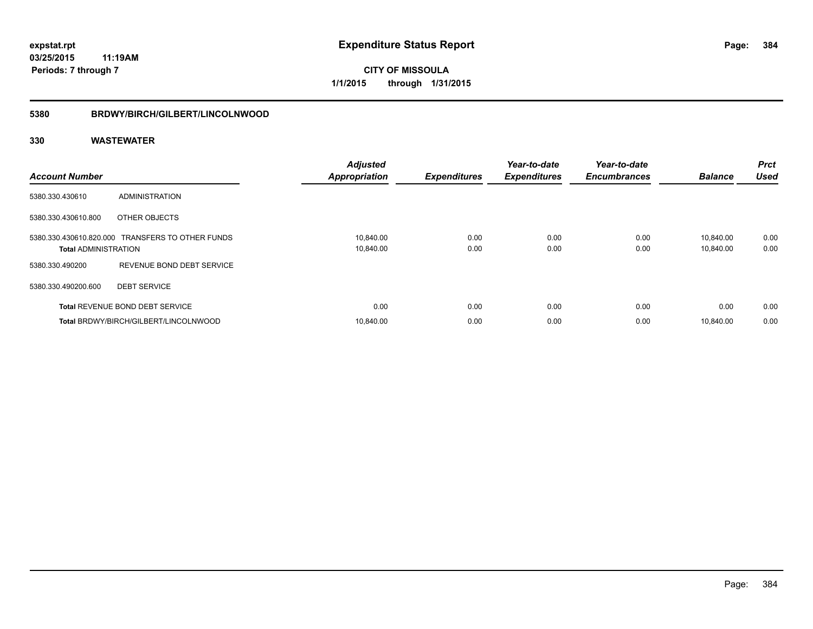## **5380 BRDWY/BIRCH/GILBERT/LINCOLNWOOD**

| <b>Account Number</b>       |                                                  | <b>Adjusted</b><br><b>Appropriation</b> | <b>Expenditures</b> | Year-to-date<br><b>Expenditures</b> | Year-to-date<br><b>Encumbrances</b> | <b>Balance</b>         | <b>Prct</b><br><b>Used</b> |
|-----------------------------|--------------------------------------------------|-----------------------------------------|---------------------|-------------------------------------|-------------------------------------|------------------------|----------------------------|
| 5380.330.430610             | ADMINISTRATION                                   |                                         |                     |                                     |                                     |                        |                            |
| 5380.330.430610.800         | OTHER OBJECTS                                    |                                         |                     |                                     |                                     |                        |                            |
| <b>Total ADMINISTRATION</b> | 5380.330.430610.820.000 TRANSFERS TO OTHER FUNDS | 10,840.00<br>10,840.00                  | 0.00<br>0.00        | 0.00<br>0.00                        | 0.00<br>0.00                        | 10.840.00<br>10,840.00 | 0.00<br>0.00               |
| 5380.330.490200             | REVENUE BOND DEBT SERVICE                        |                                         |                     |                                     |                                     |                        |                            |
| 5380.330.490200.600         | <b>DEBT SERVICE</b>                              |                                         |                     |                                     |                                     |                        |                            |
|                             | <b>Total REVENUE BOND DEBT SERVICE</b>           | 0.00                                    | 0.00                | 0.00                                | 0.00                                | 0.00                   | 0.00                       |
|                             | Total BRDWY/BIRCH/GILBERT/LINCOLNWOOD            | 10.840.00                               | 0.00                | 0.00                                | 0.00                                | 10.840.00              | 0.00                       |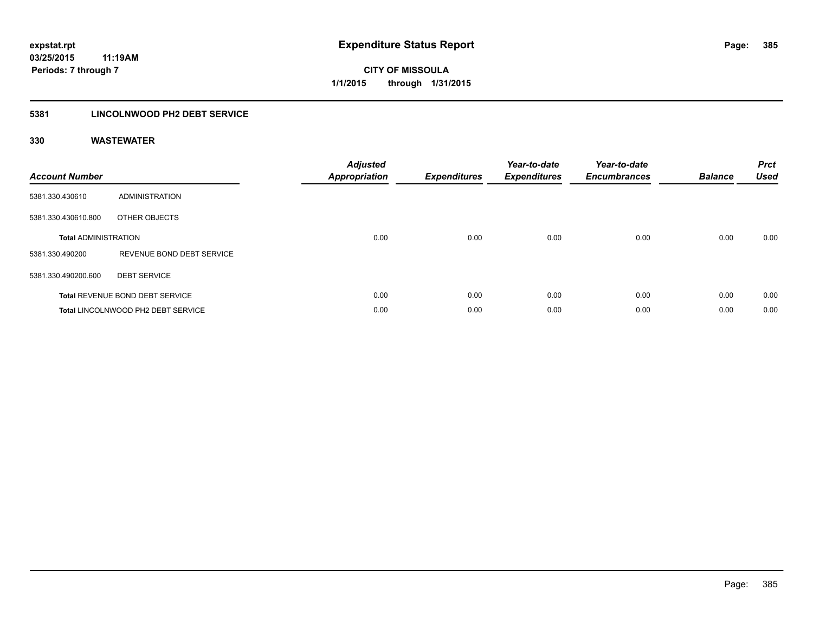## **5381 LINCOLNWOOD PH2 DEBT SERVICE**

| <b>Account Number</b>       |                                        | <b>Adjusted</b><br><b>Appropriation</b> | <b>Expenditures</b> | Year-to-date<br><b>Expenditures</b> | Year-to-date<br><b>Encumbrances</b> | <b>Balance</b> | <b>Prct</b><br><b>Used</b> |
|-----------------------------|----------------------------------------|-----------------------------------------|---------------------|-------------------------------------|-------------------------------------|----------------|----------------------------|
| 5381.330.430610             | ADMINISTRATION                         |                                         |                     |                                     |                                     |                |                            |
| 5381.330.430610.800         | OTHER OBJECTS                          |                                         |                     |                                     |                                     |                |                            |
| <b>Total ADMINISTRATION</b> |                                        | 0.00                                    | 0.00                | 0.00                                | 0.00                                | 0.00           | 0.00                       |
| 5381.330.490200             | REVENUE BOND DEBT SERVICE              |                                         |                     |                                     |                                     |                |                            |
| 5381.330.490200.600         | <b>DEBT SERVICE</b>                    |                                         |                     |                                     |                                     |                |                            |
|                             | <b>Total REVENUE BOND DEBT SERVICE</b> | 0.00                                    | 0.00                | 0.00                                | 0.00                                | 0.00           | 0.00                       |
|                             | Total LINCOLNWOOD PH2 DEBT SERVICE     | 0.00                                    | 0.00                | 0.00                                | 0.00                                | 0.00           | 0.00                       |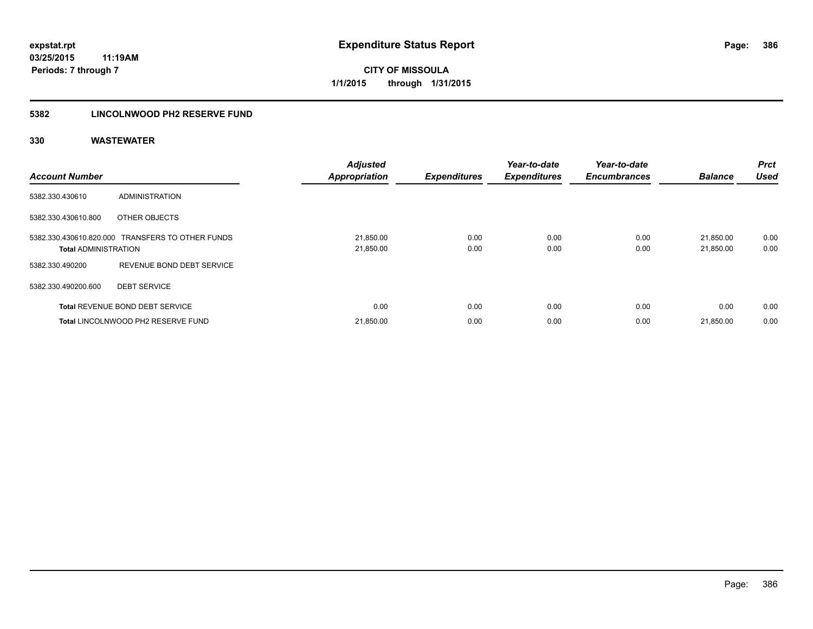## **5382 LINCOLNWOOD PH2 RESERVE FUND**

| <b>Account Number</b>       |                                                  | <b>Adjusted</b><br><b>Appropriation</b> | <b>Expenditures</b> | Year-to-date<br><b>Expenditures</b> | Year-to-date<br><b>Encumbrances</b> | <b>Balance</b>         | Prct<br><b>Used</b> |
|-----------------------------|--------------------------------------------------|-----------------------------------------|---------------------|-------------------------------------|-------------------------------------|------------------------|---------------------|
| 5382.330.430610             | <b>ADMINISTRATION</b>                            |                                         |                     |                                     |                                     |                        |                     |
| 5382.330.430610.800         | OTHER OBJECTS                                    |                                         |                     |                                     |                                     |                        |                     |
| <b>Total ADMINISTRATION</b> | 5382.330.430610.820.000 TRANSFERS TO OTHER FUNDS | 21,850.00<br>21,850.00                  | 0.00<br>0.00        | 0.00<br>0.00                        | 0.00<br>0.00                        | 21.850.00<br>21,850.00 | 0.00<br>0.00        |
| 5382.330.490200             | REVENUE BOND DEBT SERVICE                        |                                         |                     |                                     |                                     |                        |                     |
| 5382.330.490200.600         | <b>DEBT SERVICE</b>                              |                                         |                     |                                     |                                     |                        |                     |
|                             | <b>Total REVENUE BOND DEBT SERVICE</b>           | 0.00                                    | 0.00                | 0.00                                | 0.00                                | 0.00                   | 0.00                |
|                             | Total LINCOLNWOOD PH2 RESERVE FUND               | 21,850.00                               | 0.00                | 0.00                                | 0.00                                | 21,850.00              | 0.00                |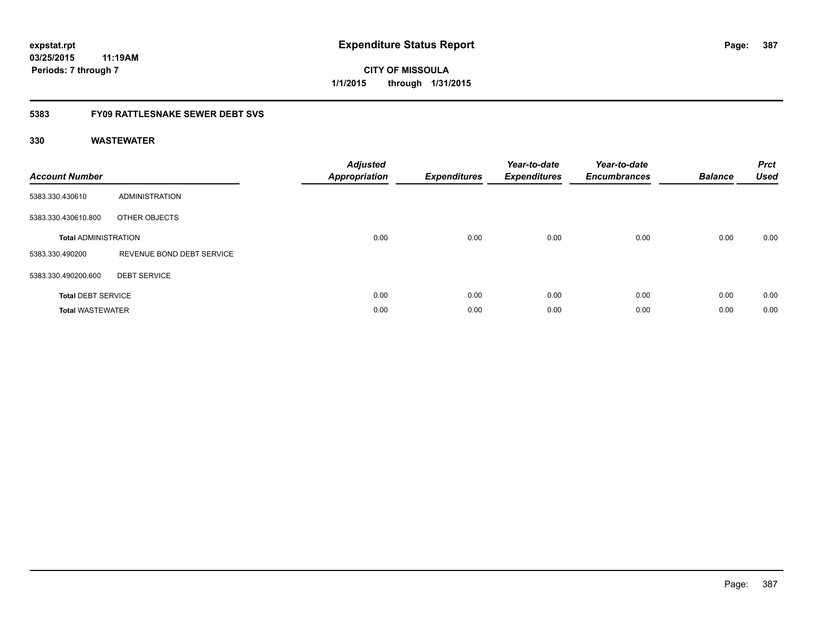**CITY OF MISSOULA 1/1/2015 through 1/31/2015**

## **5383 FY09 RATTLESNAKE SEWER DEBT SVS**

| <b>Account Number</b>       |                           | <b>Adjusted</b><br><b>Appropriation</b> | <b>Expenditures</b> | Year-to-date<br><b>Expenditures</b> | Year-to-date<br><b>Encumbrances</b> | <b>Balance</b> | <b>Prct</b><br><b>Used</b> |
|-----------------------------|---------------------------|-----------------------------------------|---------------------|-------------------------------------|-------------------------------------|----------------|----------------------------|
| 5383.330.430610             | ADMINISTRATION            |                                         |                     |                                     |                                     |                |                            |
| 5383.330.430610.800         | OTHER OBJECTS             |                                         |                     |                                     |                                     |                |                            |
| <b>Total ADMINISTRATION</b> |                           | 0.00                                    | 0.00                | 0.00                                | 0.00                                | 0.00           | 0.00                       |
| 5383.330.490200             | REVENUE BOND DEBT SERVICE |                                         |                     |                                     |                                     |                |                            |
| 5383.330.490200.600         | <b>DEBT SERVICE</b>       |                                         |                     |                                     |                                     |                |                            |
| <b>Total DEBT SERVICE</b>   |                           | 0.00                                    | 0.00                | 0.00                                | 0.00                                | 0.00           | 0.00                       |
| <b>Total WASTEWATER</b>     |                           | 0.00                                    | 0.00                | 0.00                                | 0.00                                | 0.00           | 0.00                       |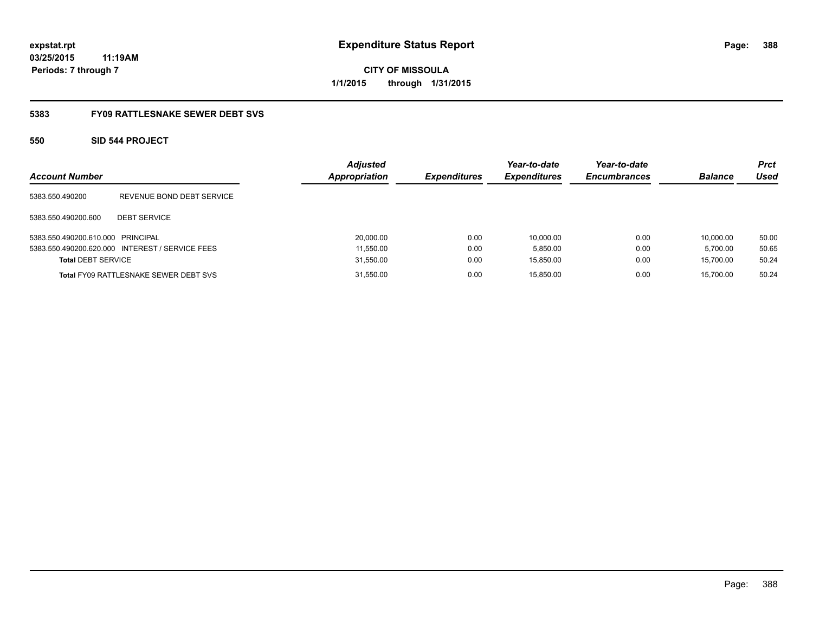**CITY OF MISSOULA 1/1/2015 through 1/31/2015**

## **5383 FY09 RATTLESNAKE SEWER DEBT SVS**

## **550 SID 544 PROJECT**

| <b>Account Number</b>             |                                                 | <b>Adjusted</b><br>Appropriation | <b>Expenditures</b> | Year-to-date<br><b>Expenditures</b> | Year-to-date<br><b>Encumbrances</b> | <b>Balance</b> | Prct<br>Used |
|-----------------------------------|-------------------------------------------------|----------------------------------|---------------------|-------------------------------------|-------------------------------------|----------------|--------------|
| 5383.550.490200                   | REVENUE BOND DEBT SERVICE                       |                                  |                     |                                     |                                     |                |              |
| 5383.550.490200.600               | <b>DEBT SERVICE</b>                             |                                  |                     |                                     |                                     |                |              |
| 5383.550.490200.610.000 PRINCIPAL |                                                 | 20,000.00                        | 0.00                | 10.000.00                           | 0.00                                | 10.000.00      | 50.00        |
|                                   | 5383.550.490200.620.000 INTEREST / SERVICE FEES | 11.550.00                        | 0.00                | 5.850.00                            | 0.00                                | 5.700.00       | 50.65        |
| <b>Total DEBT SERVICE</b>         |                                                 | 31,550.00                        | 0.00                | 15,850.00                           | 0.00                                | 15,700.00      | 50.24        |
|                                   | <b>Total FY09 RATTLESNAKE SEWER DEBT SVS</b>    | 31,550.00                        | 0.00                | 15.850.00                           | 0.00                                | 15.700.00      | 50.24        |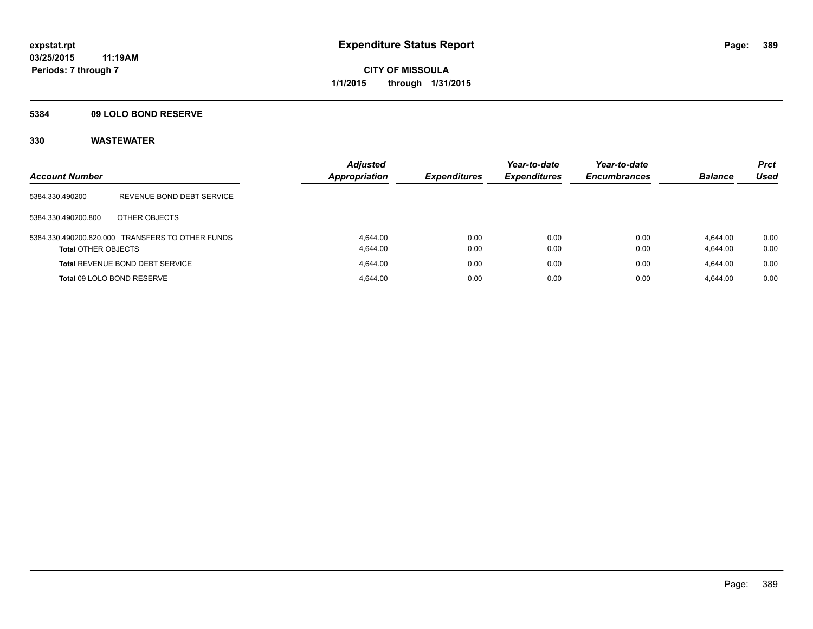## **5384 09 LOLO BOND RESERVE**

| <b>Account Number</b>      |                                                  | <b>Adjusted</b><br><b>Appropriation</b> | <b>Expenditures</b> | Year-to-date<br><b>Expenditures</b> | Year-to-date<br><b>Encumbrances</b> | <b>Balance</b>       | <b>Prct</b><br><b>Used</b> |
|----------------------------|--------------------------------------------------|-----------------------------------------|---------------------|-------------------------------------|-------------------------------------|----------------------|----------------------------|
| 5384.330.490200            | REVENUE BOND DEBT SERVICE                        |                                         |                     |                                     |                                     |                      |                            |
| 5384.330.490200.800        | OTHER OBJECTS                                    |                                         |                     |                                     |                                     |                      |                            |
| <b>Total OTHER OBJECTS</b> | 5384.330.490200.820.000 TRANSFERS TO OTHER FUNDS | 4.644.00<br>4.644.00                    | 0.00<br>0.00        | 0.00<br>0.00                        | 0.00<br>0.00                        | 4.644.00<br>4,644.00 | 0.00<br>0.00               |
|                            | <b>Total REVENUE BOND DEBT SERVICE</b>           | 4.644.00                                | 0.00                | 0.00                                | 0.00                                | 4.644.00             | 0.00                       |
|                            | Total 09 LOLO BOND RESERVE                       | 4.644.00                                | 0.00                | 0.00                                | 0.00                                | 4.644.00             | 0.00                       |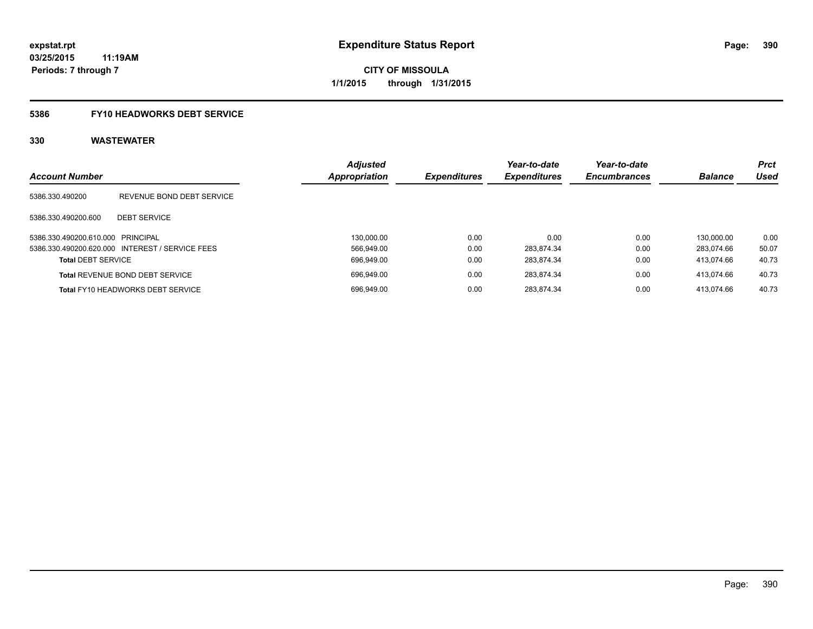## **5386 FY10 HEADWORKS DEBT SERVICE**

| <b>Account Number</b>             |                                                 | <b>Adjusted</b><br>Appropriation | <b>Expenditures</b> | Year-to-date<br><b>Expenditures</b> | Year-to-date<br><b>Encumbrances</b> | <b>Balance</b> | Prct<br>Used |
|-----------------------------------|-------------------------------------------------|----------------------------------|---------------------|-------------------------------------|-------------------------------------|----------------|--------------|
| 5386.330.490200                   | REVENUE BOND DEBT SERVICE                       |                                  |                     |                                     |                                     |                |              |
| 5386.330.490200.600               | <b>DEBT SERVICE</b>                             |                                  |                     |                                     |                                     |                |              |
| 5386.330.490200.610.000 PRINCIPAL |                                                 | 130.000.00                       | 0.00                | 0.00                                | 0.00                                | 130.000.00     | 0.00         |
|                                   | 5386.330.490200.620.000 INTEREST / SERVICE FEES | 566.949.00                       | 0.00                | 283.874.34                          | 0.00                                | 283.074.66     | 50.07        |
| <b>Total DEBT SERVICE</b>         |                                                 | 696.949.00                       | 0.00                | 283.874.34                          | 0.00                                | 413.074.66     | 40.73        |
|                                   | <b>Total REVENUE BOND DEBT SERVICE</b>          | 696.949.00                       | 0.00                | 283.874.34                          | 0.00                                | 413.074.66     | 40.73        |
|                                   | <b>Total FY10 HEADWORKS DEBT SERVICE</b>        | 696.949.00                       | 0.00                | 283.874.34                          | 0.00                                | 413.074.66     | 40.73        |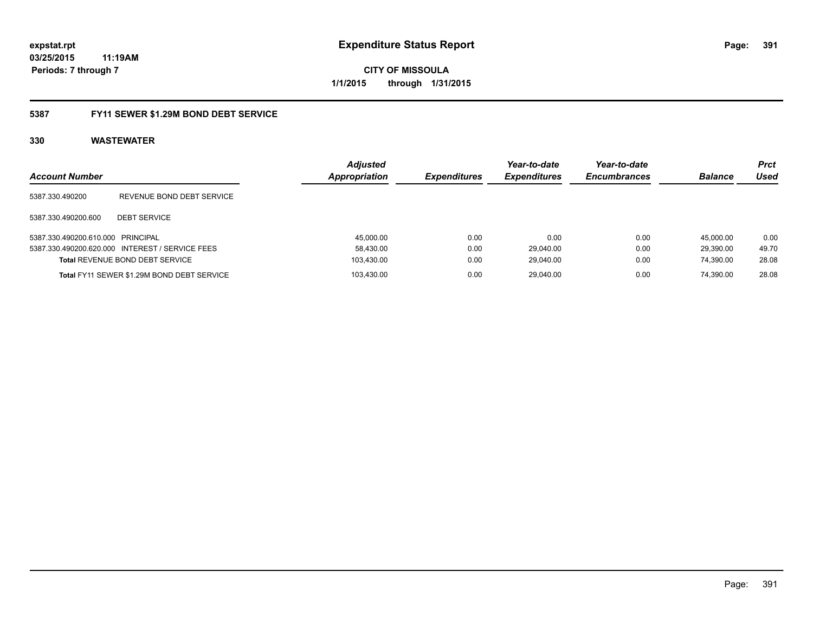**CITY OF MISSOULA 1/1/2015 through 1/31/2015**

## **5387 FY11 SEWER \$1.29M BOND DEBT SERVICE**

| <b>Account Number</b>             |                                                 | <b>Adjusted</b><br><b>Appropriation</b> | <i><b>Expenditures</b></i> | Year-to-date<br><b>Expenditures</b> | Year-to-date<br><b>Encumbrances</b> | <b>Balance</b> | <b>Prct</b><br>Used |
|-----------------------------------|-------------------------------------------------|-----------------------------------------|----------------------------|-------------------------------------|-------------------------------------|----------------|---------------------|
| 5387.330.490200                   | REVENUE BOND DEBT SERVICE                       |                                         |                            |                                     |                                     |                |                     |
| 5387.330.490200.600               | <b>DEBT SERVICE</b>                             |                                         |                            |                                     |                                     |                |                     |
| 5387.330.490200.610.000 PRINCIPAL |                                                 | 45,000.00                               | 0.00                       | 0.00                                | 0.00                                | 45.000.00      | 0.00                |
|                                   | 5387.330.490200.620.000 INTEREST / SERVICE FEES | 58,430.00                               | 0.00                       | 29.040.00                           | 0.00                                | 29.390.00      | 49.70               |
|                                   | <b>Total REVENUE BOND DEBT SERVICE</b>          | 103,430.00                              | 0.00                       | 29,040.00                           | 0.00                                | 74.390.00      | 28.08               |
|                                   | Total FY11 SEWER \$1.29M BOND DEBT SERVICE      | 103.430.00                              | 0.00                       | 29.040.00                           | 0.00                                | 74.390.00      | 28.08               |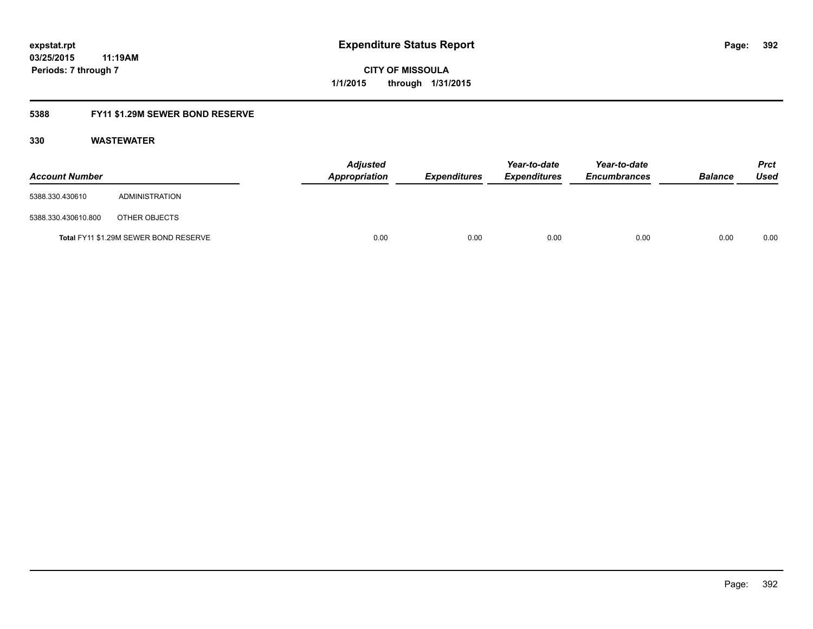## **5388 FY11 \$1.29M SEWER BOND RESERVE**

| <b>Account Number</b> |                                       | <b>Adjusted</b><br>Appropriation | <b>Expenditures</b> | Year-to-date<br><b>Expenditures</b> | Year-to-date<br><b>Encumbrances</b> | <b>Balance</b> | <b>Prct</b><br>Used |
|-----------------------|---------------------------------------|----------------------------------|---------------------|-------------------------------------|-------------------------------------|----------------|---------------------|
| 5388.330.430610       | ADMINISTRATION                        |                                  |                     |                                     |                                     |                |                     |
| 5388.330.430610.800   | OTHER OBJECTS                         |                                  |                     |                                     |                                     |                |                     |
|                       | Total FY11 \$1.29M SEWER BOND RESERVE | 0.00                             | 0.00                | 0.00                                | 0.00                                | 0.00           | 0.00                |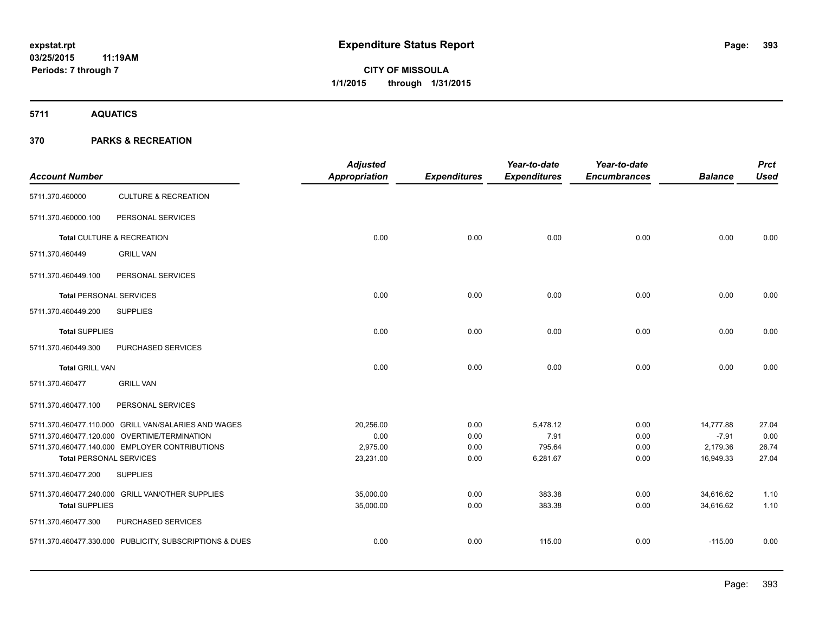**5711 AQUATICS**

## **370 PARKS & RECREATION**

| <b>Account Number</b>          |                                                         | <b>Adjusted</b><br>Appropriation | <b>Expenditures</b> | Year-to-date<br><b>Expenditures</b> | Year-to-date<br><b>Encumbrances</b> | <b>Balance</b> | <b>Prct</b><br><b>Used</b> |
|--------------------------------|---------------------------------------------------------|----------------------------------|---------------------|-------------------------------------|-------------------------------------|----------------|----------------------------|
| 5711.370.460000                | <b>CULTURE &amp; RECREATION</b>                         |                                  |                     |                                     |                                     |                |                            |
| 5711.370.460000.100            | PERSONAL SERVICES                                       |                                  |                     |                                     |                                     |                |                            |
|                                | Total CULTURE & RECREATION                              | 0.00                             | 0.00                | 0.00                                | 0.00                                | 0.00           | 0.00                       |
| 5711.370.460449                | <b>GRILL VAN</b>                                        |                                  |                     |                                     |                                     |                |                            |
| 5711.370.460449.100            | PERSONAL SERVICES                                       |                                  |                     |                                     |                                     |                |                            |
| <b>Total PERSONAL SERVICES</b> |                                                         | 0.00                             | 0.00                | 0.00                                | 0.00                                | 0.00           | 0.00                       |
| 5711.370.460449.200            | <b>SUPPLIES</b>                                         |                                  |                     |                                     |                                     |                |                            |
| <b>Total SUPPLIES</b>          |                                                         | 0.00                             | 0.00                | 0.00                                | 0.00                                | 0.00           | 0.00                       |
| 5711.370.460449.300            | PURCHASED SERVICES                                      |                                  |                     |                                     |                                     |                |                            |
| <b>Total GRILL VAN</b>         |                                                         | 0.00                             | 0.00                | 0.00                                | 0.00                                | 0.00           | 0.00                       |
| 5711.370.460477                | <b>GRILL VAN</b>                                        |                                  |                     |                                     |                                     |                |                            |
| 5711.370.460477.100            | PERSONAL SERVICES                                       |                                  |                     |                                     |                                     |                |                            |
|                                | 5711.370.460477.110.000 GRILL VAN/SALARIES AND WAGES    | 20,256.00                        | 0.00                | 5,478.12                            | 0.00                                | 14,777.88      | 27.04                      |
|                                | 5711.370.460477.120.000 OVERTIME/TERMINATION            | 0.00                             | 0.00                | 7.91                                | 0.00                                | $-7.91$        | 0.00                       |
|                                | 5711.370.460477.140.000 EMPLOYER CONTRIBUTIONS          | 2,975.00                         | 0.00                | 795.64                              | 0.00                                | 2,179.36       | 26.74                      |
| <b>Total PERSONAL SERVICES</b> |                                                         | 23,231.00                        | 0.00                | 6,281.67                            | 0.00                                | 16,949.33      | 27.04                      |
| 5711.370.460477.200            | <b>SUPPLIES</b>                                         |                                  |                     |                                     |                                     |                |                            |
|                                | 5711.370.460477.240.000 GRILL VAN/OTHER SUPPLIES        | 35,000.00                        | 0.00                | 383.38                              | 0.00                                | 34,616.62      | 1.10                       |
| <b>Total SUPPLIES</b>          |                                                         | 35,000.00                        | 0.00                | 383.38                              | 0.00                                | 34,616.62      | 1.10                       |
| 5711.370.460477.300            | PURCHASED SERVICES                                      |                                  |                     |                                     |                                     |                |                            |
|                                | 5711.370.460477.330.000 PUBLICITY, SUBSCRIPTIONS & DUES | 0.00                             | 0.00                | 115.00                              | 0.00                                | $-115.00$      | 0.00                       |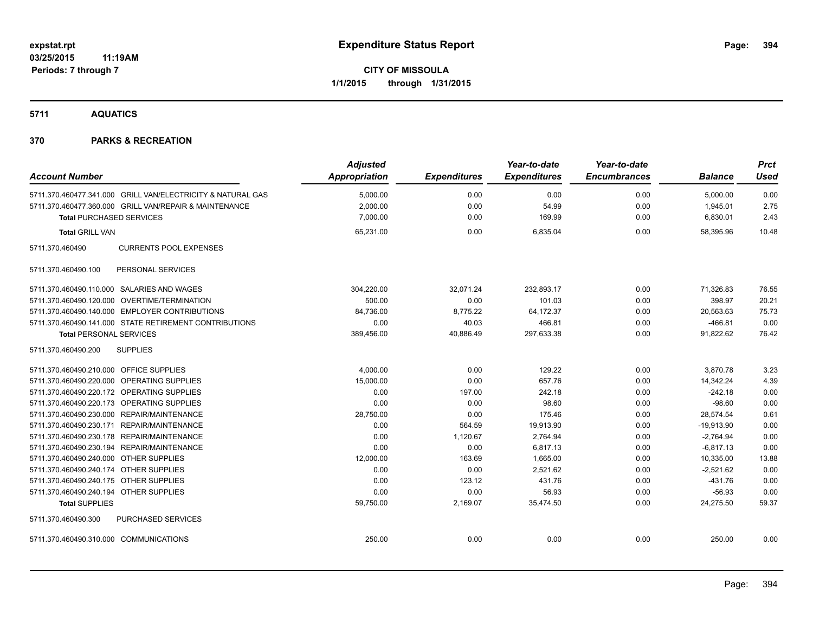**5711 AQUATICS**

## **370 PARKS & RECREATION**

|                                                             | <b>Adjusted</b>      |                     | Year-to-date        | Year-to-date        |                | <b>Prct</b> |
|-------------------------------------------------------------|----------------------|---------------------|---------------------|---------------------|----------------|-------------|
| <b>Account Number</b>                                       | <b>Appropriation</b> | <b>Expenditures</b> | <b>Expenditures</b> | <b>Encumbrances</b> | <b>Balance</b> | <b>Used</b> |
| 5711.370.460477.341.000 GRILL VAN/ELECTRICITY & NATURAL GAS | 5,000.00             | 0.00                | 0.00                | 0.00                | 5,000.00       | 0.00        |
| 5711.370.460477.360.000 GRILL VAN/REPAIR & MAINTENANCE      | 2,000.00             | 0.00                | 54.99               | 0.00                | 1,945.01       | 2.75        |
| <b>Total PURCHASED SERVICES</b>                             | 7,000.00             | 0.00                | 169.99              | 0.00                | 6,830.01       | 2.43        |
| <b>Total GRILL VAN</b>                                      | 65,231.00            | 0.00                | 6,835.04            | 0.00                | 58.395.96      | 10.48       |
| 5711.370.460490<br><b>CURRENTS POOL EXPENSES</b>            |                      |                     |                     |                     |                |             |
| PERSONAL SERVICES<br>5711.370.460490.100                    |                      |                     |                     |                     |                |             |
| 5711.370.460490.110.000 SALARIES AND WAGES                  | 304,220.00           | 32,071.24           | 232,893.17          | 0.00                | 71,326.83      | 76.55       |
| 5711.370.460490.120.000 OVERTIME/TERMINATION                | 500.00               | 0.00                | 101.03              | 0.00                | 398.97         | 20.21       |
| 5711.370.460490.140.000 EMPLOYER CONTRIBUTIONS              | 84,736.00            | 8,775.22            | 64,172.37           | 0.00                | 20,563.63      | 75.73       |
| 5711.370.460490.141.000 STATE RETIREMENT CONTRIBUTIONS      | 0.00                 | 40.03               | 466.81              | 0.00                | $-466.81$      | 0.00        |
| <b>Total PERSONAL SERVICES</b>                              | 389,456.00           | 40,886.49           | 297,633.38          | 0.00                | 91,822.62      | 76.42       |
| 5711.370.460490.200<br><b>SUPPLIES</b>                      |                      |                     |                     |                     |                |             |
| 5711.370.460490.210.000 OFFICE SUPPLIES                     | 4,000.00             | 0.00                | 129.22              | 0.00                | 3,870.78       | 3.23        |
| 5711.370.460490.220.000 OPERATING SUPPLIES                  | 15,000.00            | 0.00                | 657.76              | 0.00                | 14,342.24      | 4.39        |
| 5711.370.460490.220.172 OPERATING SUPPLIES                  | 0.00                 | 197.00              | 242.18              | 0.00                | $-242.18$      | 0.00        |
| 5711.370.460490.220.173 OPERATING SUPPLIES                  | 0.00                 | 0.00                | 98.60               | 0.00                | $-98.60$       | 0.00        |
| 5711.370.460490.230.000 REPAIR/MAINTENANCE                  | 28,750.00            | 0.00                | 175.46              | 0.00                | 28,574.54      | 0.61        |
| 5711.370.460490.230.171 REPAIR/MAINTENANCE                  | 0.00                 | 564.59              | 19,913.90           | 0.00                | $-19,913.90$   | 0.00        |
| 5711.370.460490.230.178 REPAIR/MAINTENANCE                  | 0.00                 | 1,120.67            | 2,764.94            | 0.00                | $-2,764.94$    | 0.00        |
| 5711.370.460490.230.194 REPAIR/MAINTENANCE                  | 0.00                 | 0.00                | 6,817.13            | 0.00                | $-6,817.13$    | 0.00        |
| 5711.370.460490.240.000 OTHER SUPPLIES                      | 12,000.00            | 163.69              | 1,665.00            | 0.00                | 10,335.00      | 13.88       |
| 5711.370.460490.240.174 OTHER SUPPLIES                      | 0.00                 | 0.00                | 2,521.62            | 0.00                | $-2,521.62$    | 0.00        |
| 5711.370.460490.240.175 OTHER SUPPLIES                      | 0.00                 | 123.12              | 431.76              | 0.00                | $-431.76$      | 0.00        |
| 5711.370.460490.240.194 OTHER SUPPLIES                      | 0.00                 | 0.00                | 56.93               | 0.00                | $-56.93$       | 0.00        |
| <b>Total SUPPLIES</b>                                       | 59,750.00            | 2,169.07            | 35,474.50           | 0.00                | 24,275.50      | 59.37       |
| PURCHASED SERVICES<br>5711.370.460490.300                   |                      |                     |                     |                     |                |             |
| 5711.370.460490.310.000 COMMUNICATIONS                      | 250.00               | 0.00                | 0.00                | 0.00                | 250.00         | 0.00        |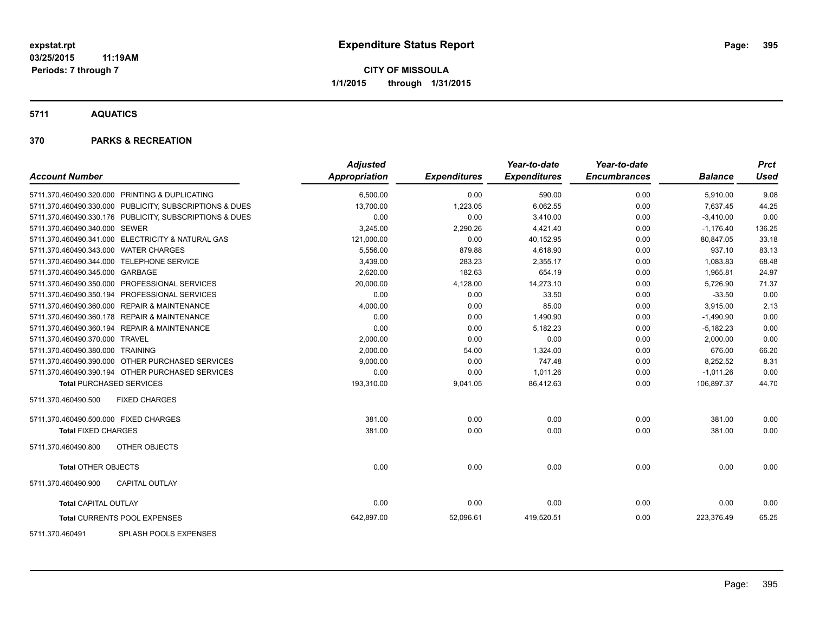**5711 AQUATICS**

### **370 PARKS & RECREATION**

| <b>Account Number</b>                                   | <b>Adjusted</b><br>Appropriation | <b>Expenditures</b> | Year-to-date<br><b>Expenditures</b> | Year-to-date<br><b>Encumbrances</b> | <b>Balance</b> | <b>Prct</b><br>Used |
|---------------------------------------------------------|----------------------------------|---------------------|-------------------------------------|-------------------------------------|----------------|---------------------|
|                                                         |                                  |                     |                                     |                                     |                |                     |
| 5711.370.460490.320.000 PRINTING & DUPLICATING          | 6,500.00                         | 0.00                | 590.00                              | 0.00                                | 5,910.00       | 9.08                |
| 5711.370.460490.330.000 PUBLICITY, SUBSCRIPTIONS & DUES | 13,700.00                        | 1,223.05            | 6,062.55                            | 0.00                                | 7,637.45       | 44.25               |
| 5711.370.460490.330.176 PUBLICITY, SUBSCRIPTIONS & DUES | 0.00                             | 0.00                | 3,410.00                            | 0.00                                | $-3,410.00$    | 0.00                |
| 5711.370.460490.340.000 SEWER                           | 3,245.00                         | 2,290.26            | 4,421.40                            | 0.00                                | $-1,176.40$    | 136.25              |
| 5711.370.460490.341.000 ELECTRICITY & NATURAL GAS       | 121,000.00                       | 0.00                | 40,152.95                           | 0.00                                | 80,847.05      | 33.18               |
| 5711.370.460490.343.000 WATER CHARGES                   | 5,556.00                         | 879.88              | 4,618.90                            | 0.00                                | 937.10         | 83.13               |
| 5711.370.460490.344.000 TELEPHONE SERVICE               | 3,439.00                         | 283.23              | 2,355.17                            | 0.00                                | 1,083.83       | 68.48               |
| 5711.370.460490.345.000 GARBAGE                         | 2,620.00                         | 182.63              | 654.19                              | 0.00                                | 1,965.81       | 24.97               |
| 5711.370.460490.350.000 PROFESSIONAL SERVICES           | 20,000.00                        | 4,128.00            | 14,273.10                           | 0.00                                | 5,726.90       | 71.37               |
| 5711.370.460490.350.194 PROFESSIONAL SERVICES           | 0.00                             | 0.00                | 33.50                               | 0.00                                | $-33.50$       | 0.00                |
| 5711.370.460490.360.000 REPAIR & MAINTENANCE            | 4,000.00                         | 0.00                | 85.00                               | 0.00                                | 3,915.00       | 2.13                |
| 5711.370.460490.360.178 REPAIR & MAINTENANCE            | 0.00                             | 0.00                | 1,490.90                            | 0.00                                | $-1,490.90$    | 0.00                |
| 5711.370.460490.360.194 REPAIR & MAINTENANCE            | 0.00                             | 0.00                | 5,182.23                            | 0.00                                | $-5,182.23$    | 0.00                |
| 5711.370.460490.370.000 TRAVEL                          | 2,000.00                         | 0.00                | 0.00                                | 0.00                                | 2,000.00       | 0.00                |
| 5711.370.460490.380.000 TRAINING                        | 2,000.00                         | 54.00               | 1,324.00                            | 0.00                                | 676.00         | 66.20               |
| 5711.370.460490.390.000 OTHER PURCHASED SERVICES        | 9,000.00                         | 0.00                | 747.48                              | 0.00                                | 8,252.52       | 8.31                |
| 5711.370.460490.390.194 OTHER PURCHASED SERVICES        | 0.00                             | 0.00                | 1,011.26                            | 0.00                                | $-1,011.26$    | 0.00                |
| <b>Total PURCHASED SERVICES</b>                         | 193,310.00                       | 9,041.05            | 86,412.63                           | 0.00                                | 106,897.37     | 44.70               |
| <b>FIXED CHARGES</b><br>5711.370.460490.500             |                                  |                     |                                     |                                     |                |                     |
| 5711.370.460490.500.000 FIXED CHARGES                   | 381.00                           | 0.00                | 0.00                                | 0.00                                | 381.00         | 0.00                |
| <b>Total FIXED CHARGES</b>                              | 381.00                           | 0.00                | 0.00                                | 0.00                                | 381.00         | 0.00                |
| OTHER OBJECTS<br>5711.370.460490.800                    |                                  |                     |                                     |                                     |                |                     |
| <b>Total OTHER OBJECTS</b>                              | 0.00                             | 0.00                | 0.00                                | 0.00                                | 0.00           | 0.00                |
| <b>CAPITAL OUTLAY</b><br>5711.370.460490.900            |                                  |                     |                                     |                                     |                |                     |
| <b>Total CAPITAL OUTLAY</b>                             | 0.00                             | 0.00                | 0.00                                | 0.00                                | 0.00           | 0.00                |
| Total CURRENTS POOL EXPENSES                            | 642,897.00                       | 52,096.61           | 419,520.51                          | 0.00                                | 223,376.49     | 65.25               |
|                                                         |                                  |                     |                                     |                                     |                |                     |

5711.370.460491 SPLASH POOLS EXPENSES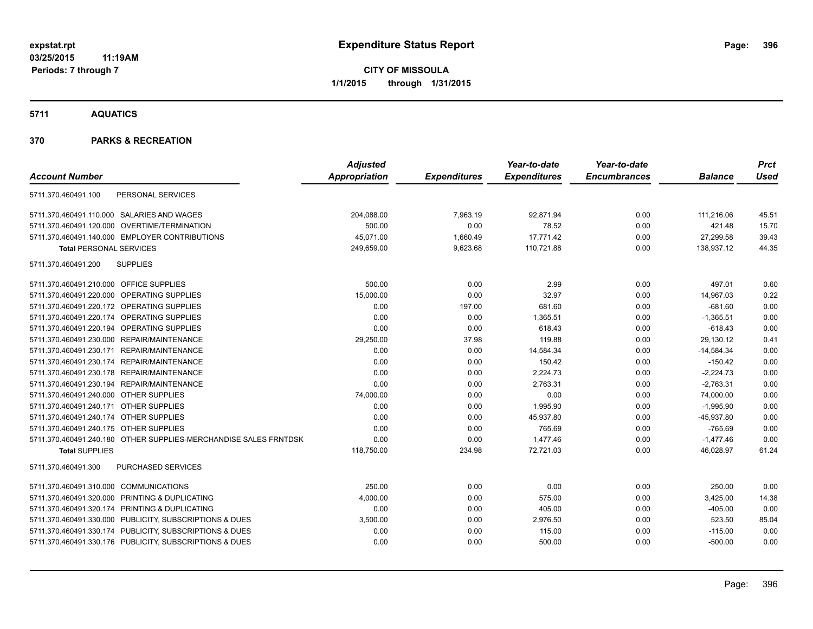**5711 AQUATICS**

## **370 PARKS & RECREATION**

|                                                                  | <b>Adjusted</b> |                     | Year-to-date        | Year-to-date        |                | <b>Prct</b> |
|------------------------------------------------------------------|-----------------|---------------------|---------------------|---------------------|----------------|-------------|
| <b>Account Number</b>                                            | Appropriation   | <b>Expenditures</b> | <b>Expenditures</b> | <b>Encumbrances</b> | <b>Balance</b> | <b>Used</b> |
| PERSONAL SERVICES<br>5711.370.460491.100                         |                 |                     |                     |                     |                |             |
| 5711.370.460491.110.000 SALARIES AND WAGES                       | 204,088.00      | 7,963.19            | 92,871.94           | 0.00                | 111,216.06     | 45.51       |
| 5711.370.460491.120.000 OVERTIME/TERMINATION                     | 500.00          | 0.00                | 78.52               | 0.00                | 421.48         | 15.70       |
| 5711.370.460491.140.000 EMPLOYER CONTRIBUTIONS                   | 45,071.00       | 1,660.49            | 17,771.42           | 0.00                | 27,299.58      | 39.43       |
| <b>Total PERSONAL SERVICES</b>                                   | 249,659.00      | 9,623.68            | 110,721.88          | 0.00                | 138,937.12     | 44.35       |
| <b>SUPPLIES</b><br>5711.370.460491.200                           |                 |                     |                     |                     |                |             |
| 5711.370.460491.210.000 OFFICE SUPPLIES                          | 500.00          | 0.00                | 2.99                | 0.00                | 497.01         | 0.60        |
| 5711.370.460491.220.000 OPERATING SUPPLIES                       | 15,000.00       | 0.00                | 32.97               | 0.00                | 14,967.03      | 0.22        |
| 5711.370.460491.220.172 OPERATING SUPPLIES                       | 0.00            | 197.00              | 681.60              | 0.00                | $-681.60$      | 0.00        |
| 5711.370.460491.220.174 OPERATING SUPPLIES                       | 0.00            | 0.00                | 1,365.51            | 0.00                | $-1,365.51$    | 0.00        |
| 5711.370.460491.220.194 OPERATING SUPPLIES                       | 0.00            | 0.00                | 618.43              | 0.00                | $-618.43$      | 0.00        |
| 5711.370.460491.230.000 REPAIR/MAINTENANCE                       | 29,250.00       | 37.98               | 119.88              | 0.00                | 29,130.12      | 0.41        |
| 5711.370.460491.230.171 REPAIR/MAINTENANCE                       | 0.00            | 0.00                | 14,584.34           | 0.00                | $-14,584.34$   | 0.00        |
| 5711.370.460491.230.174 REPAIR/MAINTENANCE                       | 0.00            | 0.00                | 150.42              | 0.00                | $-150.42$      | 0.00        |
| 5711.370.460491.230.178 REPAIR/MAINTENANCE                       | 0.00            | 0.00                | 2,224.73            | 0.00                | $-2,224.73$    | 0.00        |
| 5711.370.460491.230.194 REPAIR/MAINTENANCE                       | 0.00            | 0.00                | 2,763.31            | 0.00                | $-2,763.31$    | 0.00        |
| 5711.370.460491.240.000 OTHER SUPPLIES                           | 74,000.00       | 0.00                | 0.00                | 0.00                | 74,000.00      | 0.00        |
| 5711.370.460491.240.171 OTHER SUPPLIES                           | 0.00            | 0.00                | 1,995.90            | 0.00                | $-1,995.90$    | 0.00        |
| 5711.370.460491.240.174 OTHER SUPPLIES                           | 0.00            | 0.00                | 45,937.80           | 0.00                | $-45,937.80$   | 0.00        |
| 5711.370.460491.240.175 OTHER SUPPLIES                           | 0.00            | 0.00                | 765.69              | 0.00                | $-765.69$      | 0.00        |
| 5711.370.460491.240.180 OTHER SUPPLIES-MERCHANDISE SALES FRNTDSK | 0.00            | 0.00                | 1,477.46            | 0.00                | $-1,477.46$    | 0.00        |
| <b>Total SUPPLIES</b>                                            | 118,750.00      | 234.98              | 72,721.03           | 0.00                | 46,028.97      | 61.24       |
| PURCHASED SERVICES<br>5711.370.460491.300                        |                 |                     |                     |                     |                |             |
| 5711.370.460491.310.000 COMMUNICATIONS                           | 250.00          | 0.00                | 0.00                | 0.00                | 250.00         | 0.00        |
| 5711.370.460491.320.000 PRINTING & DUPLICATING                   | 4,000.00        | 0.00                | 575.00              | 0.00                | 3,425.00       | 14.38       |
| 5711.370.460491.320.174 PRINTING & DUPLICATING                   | 0.00            | 0.00                | 405.00              | 0.00                | $-405.00$      | 0.00        |
| 5711.370.460491.330.000 PUBLICITY, SUBSCRIPTIONS & DUES          | 3,500.00        | 0.00                | 2,976.50            | 0.00                | 523.50         | 85.04       |
| 5711.370.460491.330.174 PUBLICITY, SUBSCRIPTIONS & DUES          | 0.00            | 0.00                | 115.00              | 0.00                | $-115.00$      | 0.00        |
| 5711.370.460491.330.176 PUBLICITY, SUBSCRIPTIONS & DUES          | 0.00            | 0.00                | 500.00              | 0.00                | $-500.00$      | 0.00        |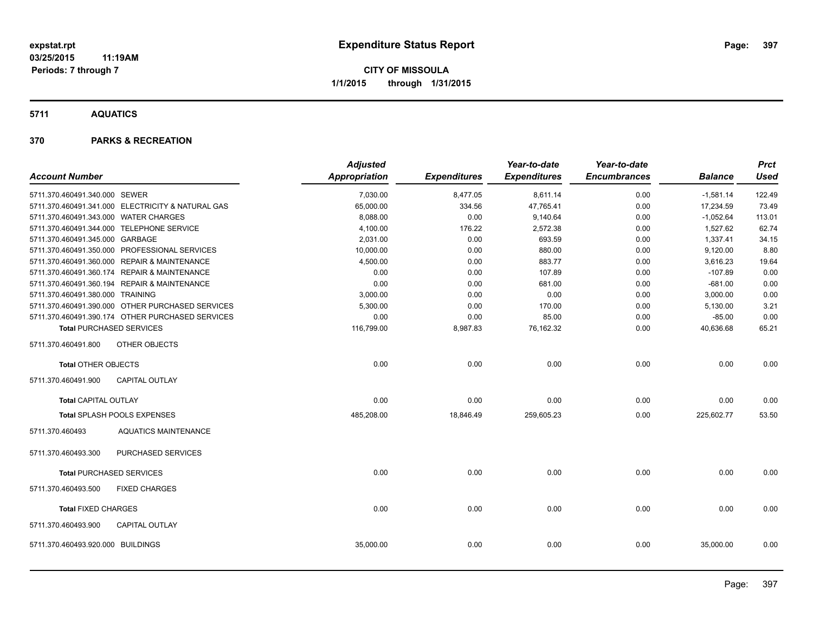**5711 AQUATICS**

## **370 PARKS & RECREATION**

|                                       |                                                   | <b>Adjusted</b> |                     | Year-to-date        | Year-to-date        |                | <b>Prct</b> |
|---------------------------------------|---------------------------------------------------|-----------------|---------------------|---------------------|---------------------|----------------|-------------|
| <b>Account Number</b>                 |                                                   | Appropriation   | <b>Expenditures</b> | <b>Expenditures</b> | <b>Encumbrances</b> | <b>Balance</b> | <b>Used</b> |
| 5711.370.460491.340.000 SEWER         |                                                   | 7,030.00        | 8,477.05            | 8,611.14            | 0.00                | $-1,581.14$    | 122.49      |
|                                       | 5711.370.460491.341.000 ELECTRICITY & NATURAL GAS | 65,000.00       | 334.56              | 47,765.41           | 0.00                | 17,234.59      | 73.49       |
| 5711.370.460491.343.000 WATER CHARGES |                                                   | 8,088.00        | 0.00                | 9,140.64            | 0.00                | $-1,052.64$    | 113.01      |
|                                       | 5711.370.460491.344.000 TELEPHONE SERVICE         | 4,100.00        | 176.22              | 2,572.38            | 0.00                | 1,527.62       | 62.74       |
| 5711.370.460491.345.000 GARBAGE       |                                                   | 2,031.00        | 0.00                | 693.59              | 0.00                | 1,337.41       | 34.15       |
|                                       | 5711.370.460491.350.000 PROFESSIONAL SERVICES     | 10,000.00       | 0.00                | 880.00              | 0.00                | 9,120.00       | 8.80        |
|                                       | 5711.370.460491.360.000 REPAIR & MAINTENANCE      | 4,500.00        | 0.00                | 883.77              | 0.00                | 3,616.23       | 19.64       |
|                                       | 5711.370.460491.360.174 REPAIR & MAINTENANCE      | 0.00            | 0.00                | 107.89              | 0.00                | $-107.89$      | 0.00        |
|                                       | 5711.370.460491.360.194 REPAIR & MAINTENANCE      | 0.00            | 0.00                | 681.00              | 0.00                | $-681.00$      | 0.00        |
| 5711.370.460491.380.000 TRAINING      |                                                   | 3,000.00        | 0.00                | 0.00                | 0.00                | 3,000.00       | 0.00        |
|                                       | 5711.370.460491.390.000 OTHER PURCHASED SERVICES  | 5,300.00        | 0.00                | 170.00              | 0.00                | 5,130.00       | 3.21        |
|                                       | 5711.370.460491.390.174 OTHER PURCHASED SERVICES  | 0.00            | 0.00                | 85.00               | 0.00                | $-85.00$       | 0.00        |
|                                       | <b>Total PURCHASED SERVICES</b>                   | 116,799.00      | 8,987.83            | 76,162.32           | 0.00                | 40,636.68      | 65.21       |
| 5711.370.460491.800                   | OTHER OBJECTS                                     |                 |                     |                     |                     |                |             |
| <b>Total OTHER OBJECTS</b>            |                                                   | 0.00            | 0.00                | 0.00                | 0.00                | 0.00           | 0.00        |
| 5711.370.460491.900                   | <b>CAPITAL OUTLAY</b>                             |                 |                     |                     |                     |                |             |
| <b>Total CAPITAL OUTLAY</b>           |                                                   | 0.00            | 0.00                | 0.00                | 0.00                | 0.00           | 0.00        |
|                                       | Total SPLASH POOLS EXPENSES                       | 485,208.00      | 18,846.49           | 259,605.23          | 0.00                | 225,602.77     | 53.50       |
| 5711.370.460493                       | <b>AQUATICS MAINTENANCE</b>                       |                 |                     |                     |                     |                |             |
| 5711.370.460493.300                   | PURCHASED SERVICES                                |                 |                     |                     |                     |                |             |
|                                       | <b>Total PURCHASED SERVICES</b>                   | 0.00            | 0.00                | 0.00                | 0.00                | 0.00           | 0.00        |
| 5711.370.460493.500                   | <b>FIXED CHARGES</b>                              |                 |                     |                     |                     |                |             |
| <b>Total FIXED CHARGES</b>            |                                                   | 0.00            | 0.00                | 0.00                | 0.00                | 0.00           | 0.00        |
| 5711.370.460493.900                   | <b>CAPITAL OUTLAY</b>                             |                 |                     |                     |                     |                |             |
| 5711.370.460493.920.000 BUILDINGS     |                                                   | 35,000.00       | 0.00                | 0.00                | 0.00                | 35,000.00      | 0.00        |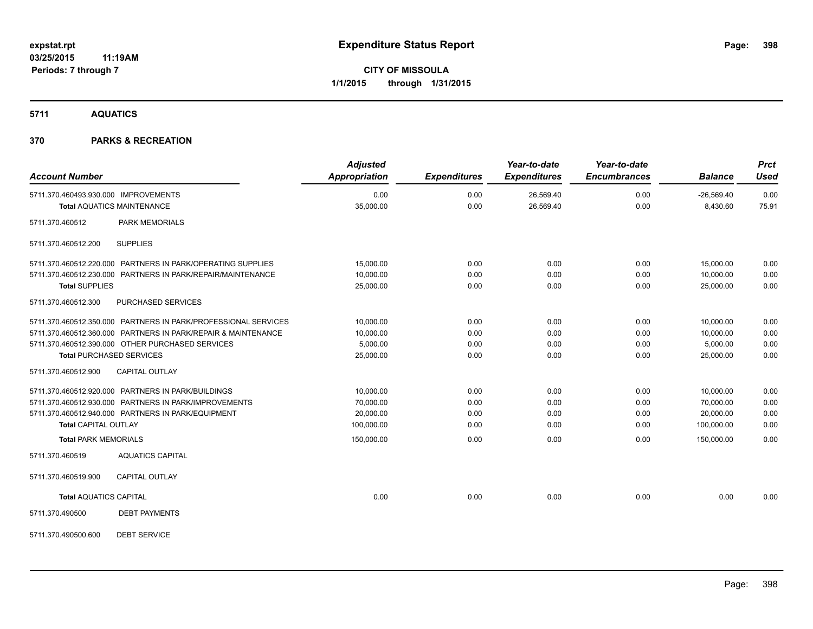**5711 AQUATICS**

## **370 PARKS & RECREATION**

| <b>Account Number</b>                                                     | <b>Adjusted</b><br><b>Appropriation</b> | <b>Expenditures</b> | Year-to-date<br><b>Expenditures</b> | Year-to-date<br><b>Encumbrances</b> | <b>Balance</b>           | <b>Prct</b><br><b>Used</b> |
|---------------------------------------------------------------------------|-----------------------------------------|---------------------|-------------------------------------|-------------------------------------|--------------------------|----------------------------|
| 5711.370.460493.930.000 IMPROVEMENTS<br><b>Total AQUATICS MAINTENANCE</b> | 0.00<br>35,000.00                       | 0.00<br>0.00        | 26,569.40<br>26,569.40              | 0.00<br>0.00                        | $-26,569.40$<br>8,430.60 | 0.00<br>75.91              |
|                                                                           |                                         |                     |                                     |                                     |                          |                            |
| <b>PARK MEMORIALS</b><br>5711.370.460512                                  |                                         |                     |                                     |                                     |                          |                            |
| <b>SUPPLIES</b><br>5711.370.460512.200                                    |                                         |                     |                                     |                                     |                          |                            |
| 5711.370.460512.220.000 PARTNERS IN PARK/OPERATING SUPPLIES               | 15,000.00                               | 0.00                | 0.00                                | 0.00                                | 15,000.00                | 0.00                       |
| 5711.370.460512.230.000 PARTNERS IN PARK/REPAIR/MAINTENANCE               | 10,000.00                               | 0.00                | 0.00                                | 0.00                                | 10.000.00                | 0.00                       |
| <b>Total SUPPLIES</b>                                                     | 25,000.00                               | 0.00                | 0.00                                | 0.00                                | 25,000.00                | 0.00                       |
| 5711.370.460512.300<br>PURCHASED SERVICES                                 |                                         |                     |                                     |                                     |                          |                            |
| 5711.370.460512.350.000 PARTNERS IN PARK/PROFESSIONAL SERVICES            | 10,000.00                               | 0.00                | 0.00                                | 0.00                                | 10,000.00                | 0.00                       |
| 5711.370.460512.360.000 PARTNERS IN PARK/REPAIR & MAINTENANCE             | 10,000.00                               | 0.00                | 0.00                                | 0.00                                | 10,000.00                | 0.00                       |
| 5711.370.460512.390.000 OTHER PURCHASED SERVICES                          | 5.000.00                                | 0.00                | 0.00                                | 0.00                                | 5,000.00                 | 0.00                       |
| <b>Total PURCHASED SERVICES</b>                                           | 25,000.00                               | 0.00                | 0.00                                | 0.00                                | 25,000.00                | 0.00                       |
| 5711.370.460512.900<br><b>CAPITAL OUTLAY</b>                              |                                         |                     |                                     |                                     |                          |                            |
| 5711.370.460512.920.000 PARTNERS IN PARK/BUILDINGS                        | 10,000.00                               | 0.00                | 0.00                                | 0.00                                | 10,000.00                | 0.00                       |
| 5711.370.460512.930.000 PARTNERS IN PARK/IMPROVEMENTS                     | 70,000.00                               | 0.00                | 0.00                                | 0.00                                | 70,000.00                | 0.00                       |
| 5711.370.460512.940.000 PARTNERS IN PARK/EQUIPMENT                        | 20,000.00                               | 0.00                | 0.00                                | 0.00                                | 20,000.00                | 0.00                       |
| <b>Total CAPITAL OUTLAY</b>                                               | 100,000.00                              | 0.00                | 0.00                                | 0.00                                | 100,000.00               | 0.00                       |
| <b>Total PARK MEMORIALS</b>                                               | 150,000.00                              | 0.00                | 0.00                                | 0.00                                | 150,000.00               | 0.00                       |
| 5711.370.460519<br><b>AQUATICS CAPITAL</b>                                |                                         |                     |                                     |                                     |                          |                            |
| 5711.370.460519.900<br><b>CAPITAL OUTLAY</b>                              |                                         |                     |                                     |                                     |                          |                            |
| <b>Total AQUATICS CAPITAL</b>                                             | 0.00                                    | 0.00                | 0.00                                | 0.00                                | 0.00                     | 0.00                       |
| 5711.370.490500<br><b>DEBT PAYMENTS</b>                                   |                                         |                     |                                     |                                     |                          |                            |
| <b>DEBT SERVICE</b><br>5711.370.490500.600                                |                                         |                     |                                     |                                     |                          |                            |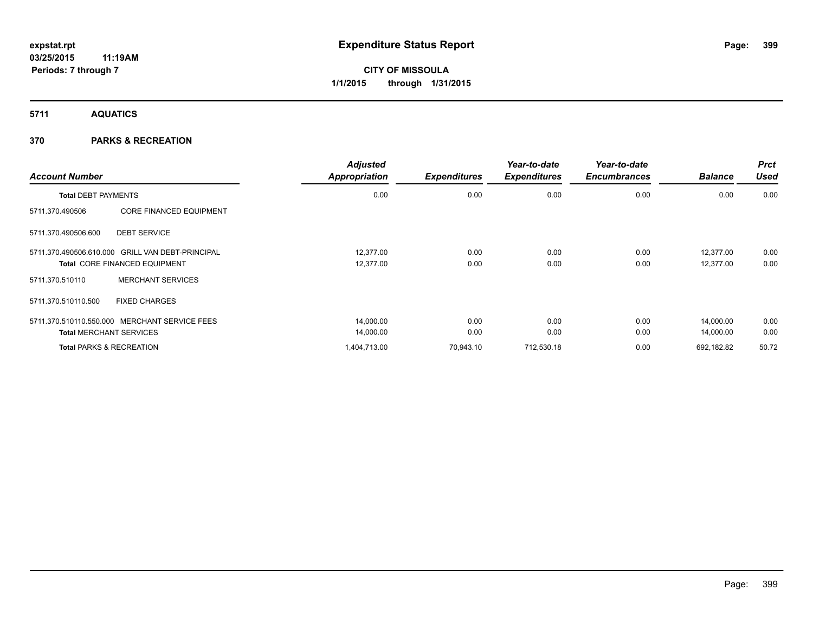**5711 AQUATICS**

## **370 PARKS & RECREATION**

| <b>Account Number</b>      |                                                  | <b>Adjusted</b><br><b>Appropriation</b> | <b>Expenditures</b> | Year-to-date<br><b>Expenditures</b> | Year-to-date<br><b>Encumbrances</b> | <b>Balance</b> | <b>Prct</b><br><b>Used</b> |
|----------------------------|--------------------------------------------------|-----------------------------------------|---------------------|-------------------------------------|-------------------------------------|----------------|----------------------------|
| <b>Total DEBT PAYMENTS</b> |                                                  | 0.00                                    | 0.00                | 0.00                                | 0.00                                | 0.00           | 0.00                       |
| 5711.370.490506            | <b>CORE FINANCED EQUIPMENT</b>                   |                                         |                     |                                     |                                     |                |                            |
| 5711.370.490506.600        | <b>DEBT SERVICE</b>                              |                                         |                     |                                     |                                     |                |                            |
|                            | 5711.370.490506.610.000 GRILL VAN DEBT-PRINCIPAL | 12.377.00                               | 0.00                | 0.00                                | 0.00                                | 12,377.00      | 0.00                       |
|                            | <b>Total CORE FINANCED EQUIPMENT</b>             | 12,377.00                               | 0.00                | 0.00                                | 0.00                                | 12,377.00      | 0.00                       |
| 5711.370.510110            | <b>MERCHANT SERVICES</b>                         |                                         |                     |                                     |                                     |                |                            |
| 5711.370.510110.500        | <b>FIXED CHARGES</b>                             |                                         |                     |                                     |                                     |                |                            |
|                            | 5711.370.510110.550.000 MERCHANT SERVICE FEES    | 14,000.00                               | 0.00                | 0.00                                | 0.00                                | 14,000.00      | 0.00                       |
|                            | <b>Total MERCHANT SERVICES</b>                   | 14,000.00                               | 0.00                | 0.00                                | 0.00                                | 14,000.00      | 0.00                       |
|                            | <b>Total PARKS &amp; RECREATION</b>              | 1,404,713.00                            | 70,943.10           | 712,530.18                          | 0.00                                | 692,182.82     | 50.72                      |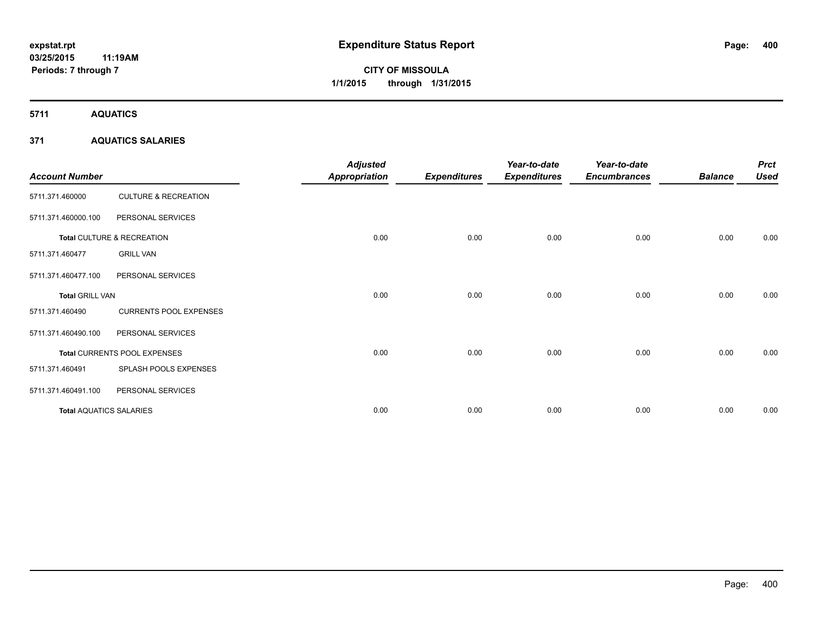**Periods: 7 through 7**

**CITY OF MISSOULA 1/1/2015 through 1/31/2015**

**5711 AQUATICS**

## **371 AQUATICS SALARIES**

| <b>Account Number</b>          |                                 | <b>Adjusted</b><br><b>Appropriation</b> | <b>Expenditures</b> | Year-to-date<br><b>Expenditures</b> | Year-to-date<br><b>Encumbrances</b> | <b>Balance</b> | <b>Prct</b><br><b>Used</b> |
|--------------------------------|---------------------------------|-----------------------------------------|---------------------|-------------------------------------|-------------------------------------|----------------|----------------------------|
| 5711.371.460000                | <b>CULTURE &amp; RECREATION</b> |                                         |                     |                                     |                                     |                |                            |
| 5711.371.460000.100            | PERSONAL SERVICES               |                                         |                     |                                     |                                     |                |                            |
|                                | Total CULTURE & RECREATION      | 0.00                                    | 0.00                | 0.00                                | 0.00                                | 0.00           | 0.00                       |
| 5711.371.460477                | <b>GRILL VAN</b>                |                                         |                     |                                     |                                     |                |                            |
| 5711.371.460477.100            | PERSONAL SERVICES               |                                         |                     |                                     |                                     |                |                            |
| <b>Total GRILL VAN</b>         |                                 | 0.00                                    | 0.00                | 0.00                                | 0.00                                | 0.00           | 0.00                       |
| 5711.371.460490                | <b>CURRENTS POOL EXPENSES</b>   |                                         |                     |                                     |                                     |                |                            |
| 5711.371.460490.100            | PERSONAL SERVICES               |                                         |                     |                                     |                                     |                |                            |
|                                | Total CURRENTS POOL EXPENSES    | 0.00                                    | 0.00                | 0.00                                | 0.00                                | 0.00           | 0.00                       |
| 5711.371.460491                | SPLASH POOLS EXPENSES           |                                         |                     |                                     |                                     |                |                            |
| 5711.371.460491.100            | PERSONAL SERVICES               |                                         |                     |                                     |                                     |                |                            |
| <b>Total AQUATICS SALARIES</b> |                                 | 0.00                                    | 0.00                | 0.00                                | 0.00                                | 0.00           | 0.00                       |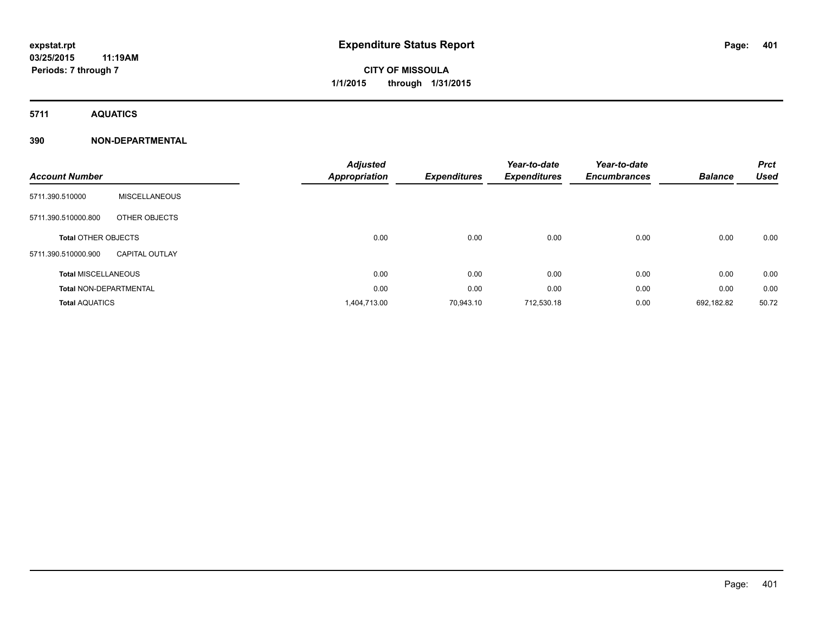**5711 AQUATICS**

| <b>Account Number</b>         |                       | <b>Adjusted</b><br>Appropriation | <b>Expenditures</b> | Year-to-date<br><b>Expenditures</b> | Year-to-date<br><b>Encumbrances</b> | <b>Balance</b> | <b>Prct</b><br><b>Used</b> |
|-------------------------------|-----------------------|----------------------------------|---------------------|-------------------------------------|-------------------------------------|----------------|----------------------------|
| 5711.390.510000               | <b>MISCELLANEOUS</b>  |                                  |                     |                                     |                                     |                |                            |
| 5711.390.510000.800           | OTHER OBJECTS         |                                  |                     |                                     |                                     |                |                            |
| <b>Total OTHER OBJECTS</b>    |                       | 0.00                             | 0.00                | 0.00                                | 0.00                                | 0.00           | 0.00                       |
| 5711.390.510000.900           | <b>CAPITAL OUTLAY</b> |                                  |                     |                                     |                                     |                |                            |
| <b>Total MISCELLANEOUS</b>    |                       | 0.00                             | 0.00                | 0.00                                | 0.00                                | 0.00           | 0.00                       |
| <b>Total NON-DEPARTMENTAL</b> |                       | 0.00                             | 0.00                | 0.00                                | 0.00                                | 0.00           | 0.00                       |
| <b>Total AQUATICS</b>         |                       | 1,404,713.00                     | 70.943.10           | 712,530.18                          | 0.00                                | 692,182.82     | 50.72                      |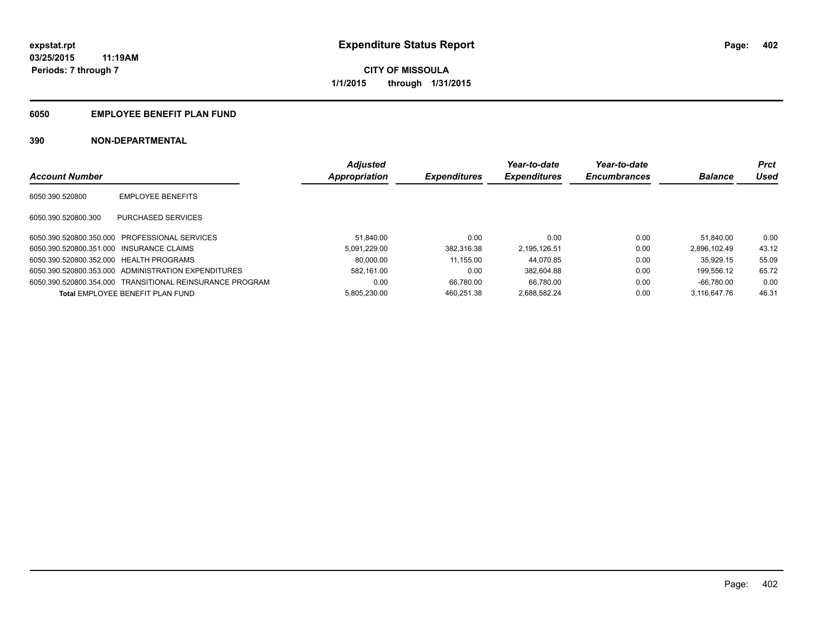## **6050 EMPLOYEE BENEFIT PLAN FUND**

|                                          |                                                          | <b>Adjusted</b> |                     | Year-to-date        | Year-to-date        |                | <b>Prct</b> |
|------------------------------------------|----------------------------------------------------------|-----------------|---------------------|---------------------|---------------------|----------------|-------------|
| <b>Account Number</b>                    |                                                          | Appropriation   | <b>Expenditures</b> | <b>Expenditures</b> | <b>Encumbrances</b> | <b>Balance</b> | Used        |
| 6050.390.520800                          | <b>EMPLOYEE BENEFITS</b>                                 |                 |                     |                     |                     |                |             |
| 6050.390.520800.300                      | PURCHASED SERVICES                                       |                 |                     |                     |                     |                |             |
|                                          | 6050.390.520800.350.000 PROFESSIONAL SERVICES            | 51.840.00       | 0.00                | 0.00                | 0.00                | 51.840.00      | 0.00        |
| 6050.390.520800.351.000 INSURANCE CLAIMS |                                                          | 5.091.229.00    | 382.316.38          | 2.195.126.51        | 0.00                | 2.896.102.49   | 43.12       |
| 6050.390.520800.352.000 HEALTH PROGRAMS  |                                                          | 80.000.00       | 11.155.00           | 44.070.85           | 0.00                | 35.929.15      | 55.09       |
|                                          | 6050.390.520800.353.000 ADMINISTRATION EXPENDITURES      | 582.161.00      | 0.00                | 382.604.88          | 0.00                | 199.556.12     | 65.72       |
|                                          | 6050.390.520800.354.000 TRANSITIONAL REINSURANCE PROGRAM | 0.00            | 66.780.00           | 66.780.00           | 0.00                | $-66.780.00$   | 0.00        |
|                                          | Total EMPLOYEE BENEFIT PLAN FUND                         | 5.805.230.00    | 460.251.38          | 2.688.582.24        | 0.00                | 3.116.647.76   | 46.31       |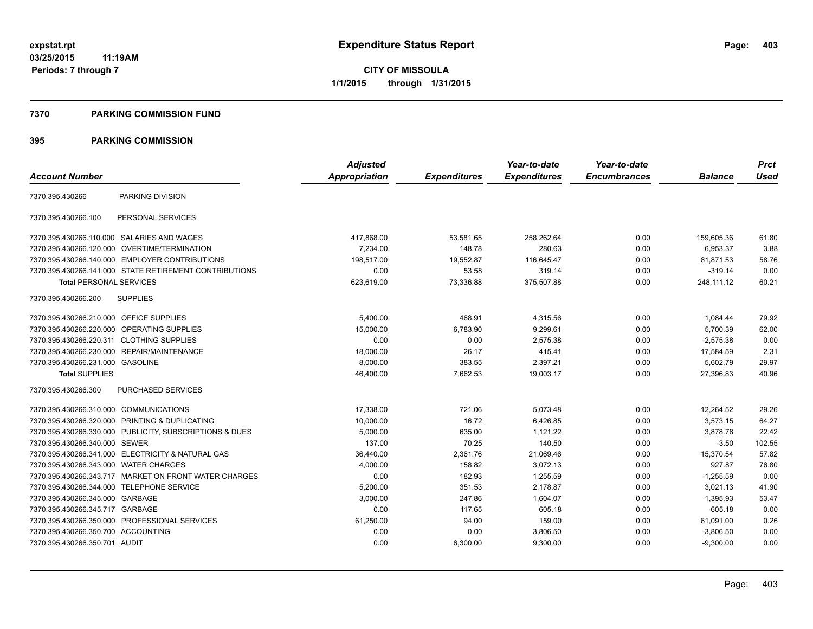### **7370 PARKING COMMISSION FUND**

|                                           |                                                         | <b>Adjusted</b> |                     | Year-to-date        | Year-to-date        |                | <b>Prct</b> |
|-------------------------------------------|---------------------------------------------------------|-----------------|---------------------|---------------------|---------------------|----------------|-------------|
| <b>Account Number</b>                     |                                                         | Appropriation   | <b>Expenditures</b> | <b>Expenditures</b> | <b>Encumbrances</b> | <b>Balance</b> | <b>Used</b> |
| 7370.395.430266                           | PARKING DIVISION                                        |                 |                     |                     |                     |                |             |
| 7370.395.430266.100                       | PERSONAL SERVICES                                       |                 |                     |                     |                     |                |             |
|                                           | 7370.395.430266.110.000 SALARIES AND WAGES              | 417.868.00      | 53,581.65           | 258,262.64          | 0.00                | 159,605.36     | 61.80       |
| 7370.395.430266.120.000                   | OVERTIME/TERMINATION                                    | 7,234.00        | 148.78              | 280.63              | 0.00                | 6,953.37       | 3.88        |
|                                           | 7370.395.430266.140.000 EMPLOYER CONTRIBUTIONS          | 198,517.00      | 19,552.87           | 116,645.47          | 0.00                | 81,871.53      | 58.76       |
|                                           | 7370.395.430266.141.000 STATE RETIREMENT CONTRIBUTIONS  | 0.00            | 53.58               | 319.14              | 0.00                | $-319.14$      | 0.00        |
| <b>Total PERSONAL SERVICES</b>            |                                                         | 623,619.00      | 73.336.88           | 375,507.88          | 0.00                | 248.111.12     | 60.21       |
| 7370.395.430266.200                       | <b>SUPPLIES</b>                                         |                 |                     |                     |                     |                |             |
| 7370.395.430266.210.000 OFFICE SUPPLIES   |                                                         | 5,400.00        | 468.91              | 4,315.56            | 0.00                | 1,084.44       | 79.92       |
| 7370.395.430266.220.000                   | <b>OPERATING SUPPLIES</b>                               | 15.000.00       | 6,783.90            | 9.299.61            | 0.00                | 5,700.39       | 62.00       |
| 7370.395.430266.220.311 CLOTHING SUPPLIES |                                                         | 0.00            | 0.00                | 2.575.38            | 0.00                | $-2,575.38$    | 0.00        |
| 7370.395.430266.230.000                   | REPAIR/MAINTENANCE                                      | 18,000.00       | 26.17               | 415.41              | 0.00                | 17,584.59      | 2.31        |
| 7370.395.430266.231.000 GASOLINE          |                                                         | 8,000.00        | 383.55              | 2,397.21            | 0.00                | 5,602.79       | 29.97       |
| <b>Total SUPPLIES</b>                     |                                                         | 46,400.00       | 7,662.53            | 19,003.17           | 0.00                | 27,396.83      | 40.96       |
| 7370.395.430266.300                       | PURCHASED SERVICES                                      |                 |                     |                     |                     |                |             |
| 7370.395.430266.310.000 COMMUNICATIONS    |                                                         | 17,338.00       | 721.06              | 5,073.48            | 0.00                | 12,264.52      | 29.26       |
| 7370.395.430266.320.000                   | PRINTING & DUPLICATING                                  | 10,000.00       | 16.72               | 6,426.85            | 0.00                | 3,573.15       | 64.27       |
|                                           | 7370.395.430266.330.000 PUBLICITY, SUBSCRIPTIONS & DUES | 5,000.00        | 635.00              | 1,121.22            | 0.00                | 3,878.78       | 22.42       |
| 7370.395.430266.340.000 SEWER             |                                                         | 137.00          | 70.25               | 140.50              | 0.00                | $-3.50$        | 102.55      |
|                                           | 7370.395.430266.341.000 ELECTRICITY & NATURAL GAS       | 36,440.00       | 2,361.76            | 21,069.46           | 0.00                | 15,370.54      | 57.82       |
| 7370.395.430266.343.000                   | <b>WATER CHARGES</b>                                    | 4,000.00        | 158.82              | 3,072.13            | 0.00                | 927.87         | 76.80       |
|                                           | 7370.395.430266.343.717 MARKET ON FRONT WATER CHARGES   | 0.00            | 182.93              | 1,255.59            | 0.00                | $-1,255.59$    | 0.00        |
| 7370.395.430266.344.000                   | <b>TELEPHONE SERVICE</b>                                | 5,200.00        | 351.53              | 2,178.87            | 0.00                | 3,021.13       | 41.90       |
| 7370.395.430266.345.000 GARBAGE           |                                                         | 3,000.00        | 247.86              | 1,604.07            | 0.00                | 1,395.93       | 53.47       |
| 7370.395.430266.345.717                   | GARBAGE                                                 | 0.00            | 117.65              | 605.18              | 0.00                | $-605.18$      | 0.00        |
|                                           | 7370.395.430266.350.000 PROFESSIONAL SERVICES           | 61,250.00       | 94.00               | 159.00              | 0.00                | 61,091.00      | 0.26        |
| 7370.395.430266.350.700 ACCOUNTING        |                                                         | 0.00            | 0.00                | 3,806.50            | 0.00                | $-3,806.50$    | 0.00        |
| 7370.395.430266.350.701 AUDIT             |                                                         | 0.00            | 6,300.00            | 9.300.00            | 0.00                | $-9,300.00$    | 0.00        |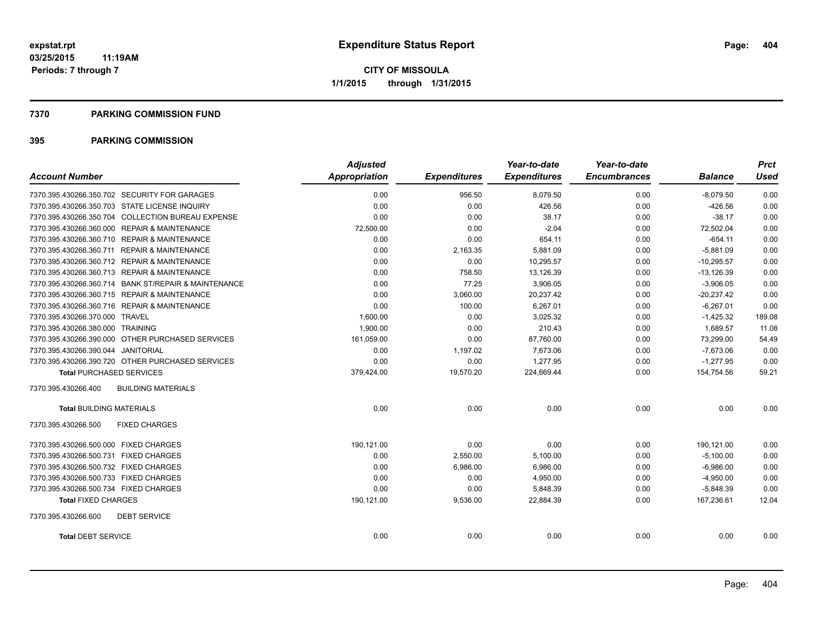### **7370 PARKING COMMISSION FUND**

| <b>Account Number</b>                                | <b>Adjusted</b><br>Appropriation | <b>Expenditures</b> | Year-to-date<br><b>Expenditures</b> | Year-to-date<br><b>Encumbrances</b> | <b>Balance</b> | <b>Prct</b><br>Used |
|------------------------------------------------------|----------------------------------|---------------------|-------------------------------------|-------------------------------------|----------------|---------------------|
|                                                      |                                  |                     |                                     |                                     |                |                     |
| 7370.395.430266.350.702 SECURITY FOR GARAGES         | 0.00                             | 956.50              | 8,079.50                            | 0.00                                | $-8,079.50$    | 0.00                |
| 7370.395.430266.350.703 STATE LICENSE INQUIRY        | 0.00                             | 0.00                | 426.56                              | 0.00                                | $-426.56$      | 0.00                |
| 7370.395.430266.350.704 COLLECTION BUREAU EXPENSE    | 0.00                             | 0.00                | 38.17                               | 0.00                                | $-38.17$       | 0.00                |
| 7370.395.430266.360.000 REPAIR & MAINTENANCE         | 72,500.00                        | 0.00                | $-2.04$                             | 0.00                                | 72,502.04      | 0.00                |
| 7370.395.430266.360.710 REPAIR & MAINTENANCE         | 0.00                             | 0.00                | 654.11                              | 0.00                                | $-654.11$      | 0.00                |
| 7370.395.430266.360.711 REPAIR & MAINTENANCE         | 0.00                             | 2,163.35            | 5,881.09                            | 0.00                                | $-5,881.09$    | 0.00                |
| 7370.395.430266.360.712 REPAIR & MAINTENANCE         | 0.00                             | 0.00                | 10,295.57                           | 0.00                                | $-10,295.57$   | 0.00                |
| 7370.395.430266.360.713 REPAIR & MAINTENANCE         | 0.00                             | 758.50              | 13,126.39                           | 0.00                                | $-13,126.39$   | 0.00                |
| 7370.395.430266.360.714 BANK ST/REPAIR & MAINTENANCE | 0.00                             | 77.25               | 3,906.05                            | 0.00                                | $-3,906.05$    | 0.00                |
| 7370.395.430266.360.715 REPAIR & MAINTENANCE         | 0.00                             | 3,060.00            | 20,237.42                           | 0.00                                | $-20,237.42$   | 0.00                |
| 7370.395.430266.360.716 REPAIR & MAINTENANCE         | 0.00                             | 100.00              | 6,267.01                            | 0.00                                | $-6,267.01$    | 0.00                |
| 7370.395.430266.370.000 TRAVEL                       | 1,600.00                         | 0.00                | 3,025.32                            | 0.00                                | $-1,425.32$    | 189.08              |
| 7370.395.430266.380.000 TRAINING                     | 1,900.00                         | 0.00                | 210.43                              | 0.00                                | 1,689.57       | 11.08               |
| 7370.395.430266.390.000 OTHER PURCHASED SERVICES     | 161,059.00                       | 0.00                | 87,760.00                           | 0.00                                | 73,299.00      | 54.49               |
| 7370.395.430266.390.044 JANITORIAL                   | 0.00                             | 1,197.02            | 7,673.06                            | 0.00                                | $-7,673.06$    | 0.00                |
| 7370.395.430266.390.720 OTHER PURCHASED SERVICES     | 0.00                             | 0.00                | 1,277.95                            | 0.00                                | $-1,277.95$    | 0.00                |
| <b>Total PURCHASED SERVICES</b>                      | 379,424.00                       | 19,570.20           | 224,669.44                          | 0.00                                | 154,754.56     | 59.21               |
| <b>BUILDING MATERIALS</b><br>7370.395.430266.400     |                                  |                     |                                     |                                     |                |                     |
| <b>Total BUILDING MATERIALS</b>                      | 0.00                             | 0.00                | 0.00                                | 0.00                                | 0.00           | 0.00                |
| 7370.395.430266.500<br><b>FIXED CHARGES</b>          |                                  |                     |                                     |                                     |                |                     |
| 7370.395.430266.500.000 FIXED CHARGES                | 190.121.00                       | 0.00                | 0.00                                | 0.00                                | 190,121.00     | 0.00                |
| 7370.395.430266.500.731 FIXED CHARGES                | 0.00                             | 2,550.00            | 5,100.00                            | 0.00                                | $-5,100.00$    | 0.00                |
| 7370.395.430266.500.732 FIXED CHARGES                | 0.00                             | 6,986.00            | 6,986.00                            | 0.00                                | $-6,986.00$    | 0.00                |
| 7370.395.430266.500.733 FIXED CHARGES                | 0.00                             | 0.00                | 4,950.00                            | 0.00                                | $-4,950.00$    | 0.00                |
| 7370.395.430266.500.734 FIXED CHARGES                | 0.00                             | 0.00                | 5,848.39                            | 0.00                                | $-5,848.39$    | 0.00                |
| <b>Total FIXED CHARGES</b>                           | 190,121.00                       | 9,536.00            | 22,884.39                           | 0.00                                | 167,236.61     | 12.04               |
| 7370.395.430266.600<br><b>DEBT SERVICE</b>           |                                  |                     |                                     |                                     |                |                     |
| <b>Total DEBT SERVICE</b>                            | 0.00                             | 0.00                | 0.00                                | 0.00                                | 0.00           | 0.00                |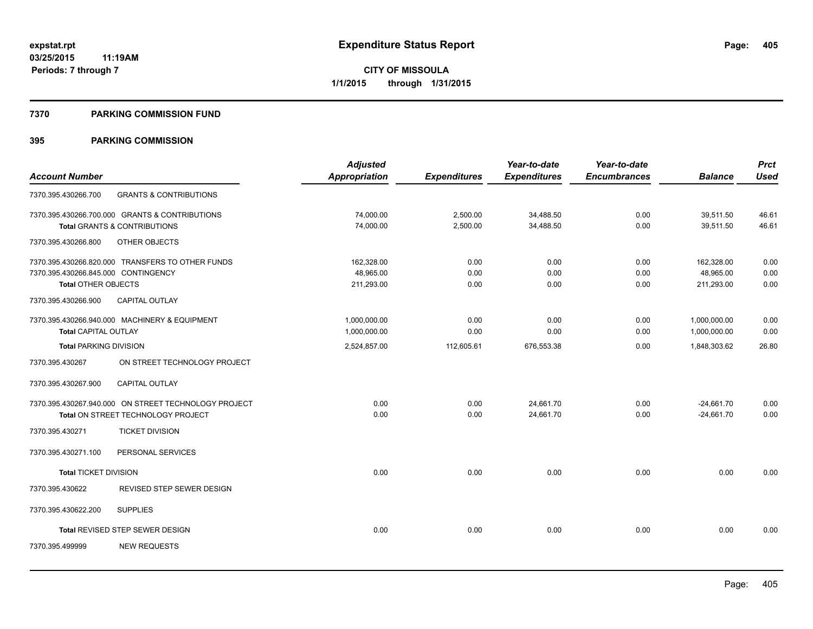### **7370 PARKING COMMISSION FUND**

|                                     |                                                      | <b>Adjusted</b> |                     | Year-to-date        | Year-to-date        |                | <b>Prct</b> |
|-------------------------------------|------------------------------------------------------|-----------------|---------------------|---------------------|---------------------|----------------|-------------|
| <b>Account Number</b>               |                                                      | Appropriation   | <b>Expenditures</b> | <b>Expenditures</b> | <b>Encumbrances</b> | <b>Balance</b> | <b>Used</b> |
| 7370.395.430266.700                 | <b>GRANTS &amp; CONTRIBUTIONS</b>                    |                 |                     |                     |                     |                |             |
|                                     | 7370.395.430266.700.000 GRANTS & CONTRIBUTIONS       | 74,000.00       | 2,500.00            | 34,488.50           | 0.00                | 39,511.50      | 46.61       |
|                                     | Total GRANTS & CONTRIBUTIONS                         | 74,000.00       | 2,500.00            | 34,488.50           | 0.00                | 39.511.50      | 46.61       |
| 7370.395.430266.800                 | OTHER OBJECTS                                        |                 |                     |                     |                     |                |             |
|                                     | 7370.395.430266.820.000 TRANSFERS TO OTHER FUNDS     | 162,328.00      | 0.00                | 0.00                | 0.00                | 162,328.00     | 0.00        |
| 7370.395.430266.845.000 CONTINGENCY |                                                      | 48,965.00       | 0.00                | 0.00                | 0.00                | 48,965.00      | 0.00        |
| <b>Total OTHER OBJECTS</b>          |                                                      | 211.293.00      | 0.00                | 0.00                | 0.00                | 211.293.00     | 0.00        |
| 7370.395.430266.900                 | CAPITAL OUTLAY                                       |                 |                     |                     |                     |                |             |
|                                     | 7370.395.430266.940.000 MACHINERY & EQUIPMENT        | 1,000,000.00    | 0.00                | 0.00                | 0.00                | 1,000,000.00   | 0.00        |
| <b>Total CAPITAL OUTLAY</b>         |                                                      | 1,000,000.00    | 0.00                | 0.00                | 0.00                | 1,000,000.00   | 0.00        |
| <b>Total PARKING DIVISION</b>       |                                                      | 2,524,857.00    | 112,605.61          | 676,553.38          | 0.00                | 1,848,303.62   | 26.80       |
| 7370.395.430267                     | ON STREET TECHNOLOGY PROJECT                         |                 |                     |                     |                     |                |             |
| 7370.395.430267.900                 | <b>CAPITAL OUTLAY</b>                                |                 |                     |                     |                     |                |             |
|                                     | 7370.395.430267.940.000 ON STREET TECHNOLOGY PROJECT | 0.00            | 0.00                | 24,661.70           | 0.00                | $-24,661.70$   | 0.00        |
|                                     | Total ON STREET TECHNOLOGY PROJECT                   | 0.00            | 0.00                | 24,661.70           | 0.00                | $-24,661.70$   | 0.00        |
| 7370.395.430271                     | <b>TICKET DIVISION</b>                               |                 |                     |                     |                     |                |             |
| 7370.395.430271.100                 | PERSONAL SERVICES                                    |                 |                     |                     |                     |                |             |
| <b>Total TICKET DIVISION</b>        |                                                      | 0.00            | 0.00                | 0.00                | 0.00                | 0.00           | 0.00        |
| 7370.395.430622                     | REVISED STEP SEWER DESIGN                            |                 |                     |                     |                     |                |             |
| 7370.395.430622.200                 | <b>SUPPLIES</b>                                      |                 |                     |                     |                     |                |             |
|                                     | Total REVISED STEP SEWER DESIGN                      | 0.00            | 0.00                | 0.00                | 0.00                | 0.00           | 0.00        |
| 7370.395.499999                     | <b>NEW REQUESTS</b>                                  |                 |                     |                     |                     |                |             |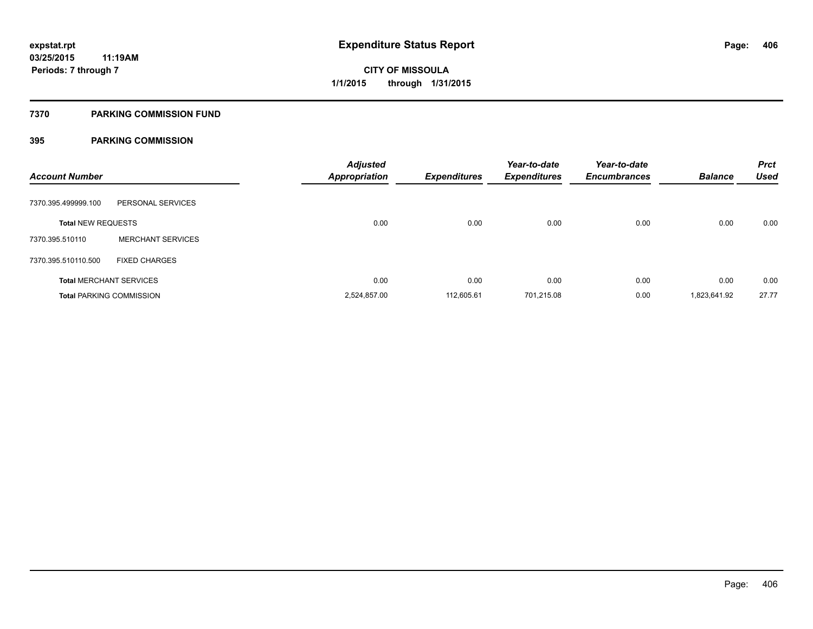## **7370 PARKING COMMISSION FUND**

| <b>Account Number</b>     |                                 | <b>Adjusted</b><br><b>Appropriation</b> | <b>Expenditures</b> | Year-to-date<br><b>Expenditures</b> | Year-to-date<br><b>Encumbrances</b> | <b>Balance</b> | <b>Prct</b><br><b>Used</b> |
|---------------------------|---------------------------------|-----------------------------------------|---------------------|-------------------------------------|-------------------------------------|----------------|----------------------------|
| 7370.395.499999.100       | PERSONAL SERVICES               |                                         |                     |                                     |                                     |                |                            |
| <b>Total NEW REQUESTS</b> |                                 | 0.00                                    | 0.00                | 0.00                                | 0.00                                | 0.00           | 0.00                       |
| 7370.395.510110           | <b>MERCHANT SERVICES</b>        |                                         |                     |                                     |                                     |                |                            |
| 7370.395.510110.500       | <b>FIXED CHARGES</b>            |                                         |                     |                                     |                                     |                |                            |
|                           | <b>Total MERCHANT SERVICES</b>  | 0.00                                    | 0.00                | 0.00                                | 0.00                                | 0.00           | 0.00                       |
|                           | <b>Total PARKING COMMISSION</b> | 2,524,857.00                            | 112,605.61          | 701,215.08                          | 0.00                                | 1,823,641.92   | 27.77                      |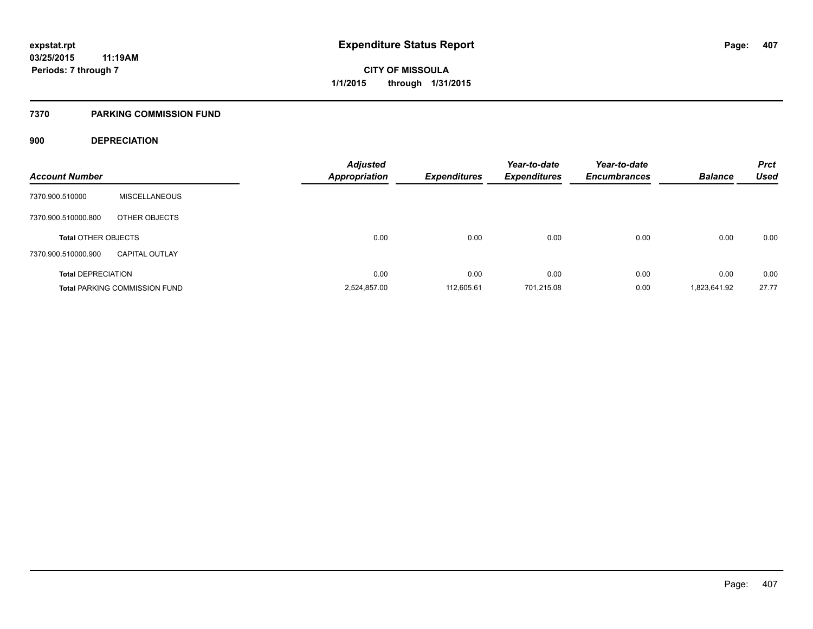## **7370 PARKING COMMISSION FUND**

## **900 DEPRECIATION**

| <b>Account Number</b>      |                                      | <b>Adjusted</b><br><b>Appropriation</b> | <b>Expenditures</b> | Year-to-date<br><b>Expenditures</b> | Year-to-date<br><b>Encumbrances</b> | <b>Balance</b> | <b>Prct</b><br><b>Used</b> |
|----------------------------|--------------------------------------|-----------------------------------------|---------------------|-------------------------------------|-------------------------------------|----------------|----------------------------|
|                            |                                      |                                         |                     |                                     |                                     |                |                            |
| 7370.900.510000            | <b>MISCELLANEOUS</b>                 |                                         |                     |                                     |                                     |                |                            |
| 7370.900.510000.800        | OTHER OBJECTS                        |                                         |                     |                                     |                                     |                |                            |
| <b>Total OTHER OBJECTS</b> |                                      | 0.00                                    | 0.00                | 0.00                                | 0.00                                | 0.00           | 0.00                       |
| 7370.900.510000.900        | <b>CAPITAL OUTLAY</b>                |                                         |                     |                                     |                                     |                |                            |
| <b>Total DEPRECIATION</b>  |                                      | 0.00                                    | 0.00                | 0.00                                | 0.00                                | 0.00           | 0.00                       |
|                            | <b>Total PARKING COMMISSION FUND</b> | 2,524,857.00                            | 112.605.61          | 701.215.08                          | 0.00                                | 1,823,641.92   | 27.77                      |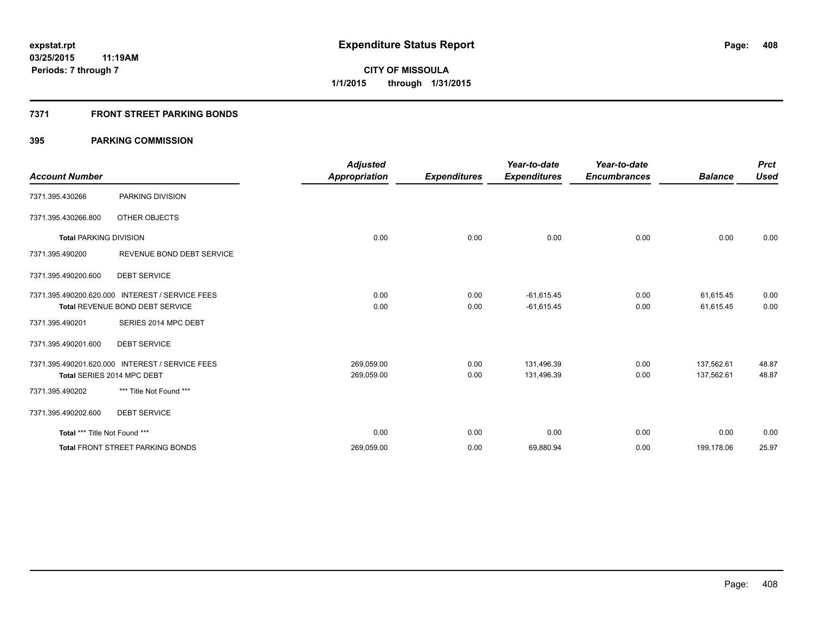## **7371 FRONT STREET PARKING BONDS**

|                               |                                                 | <b>Adjusted</b>      |                     | Year-to-date        | Year-to-date        |                | <b>Prct</b> |
|-------------------------------|-------------------------------------------------|----------------------|---------------------|---------------------|---------------------|----------------|-------------|
| <b>Account Number</b>         |                                                 | <b>Appropriation</b> | <b>Expenditures</b> | <b>Expenditures</b> | <b>Encumbrances</b> | <b>Balance</b> | <b>Used</b> |
| 7371.395.430266               | PARKING DIVISION                                |                      |                     |                     |                     |                |             |
| 7371.395.430266.800           | OTHER OBJECTS                                   |                      |                     |                     |                     |                |             |
| <b>Total PARKING DIVISION</b> |                                                 | 0.00                 | 0.00                | 0.00                | 0.00                | 0.00           | 0.00        |
| 7371.395.490200               | REVENUE BOND DEBT SERVICE                       |                      |                     |                     |                     |                |             |
| 7371.395.490200.600           | <b>DEBT SERVICE</b>                             |                      |                     |                     |                     |                |             |
|                               | 7371.395.490200.620.000 INTEREST / SERVICE FEES | 0.00                 | 0.00                | $-61,615.45$        | 0.00                | 61,615.45      | 0.00        |
|                               | Total REVENUE BOND DEBT SERVICE                 | 0.00                 | 0.00                | $-61,615.45$        | 0.00                | 61,615.45      | 0.00        |
| 7371.395.490201               | SERIES 2014 MPC DEBT                            |                      |                     |                     |                     |                |             |
| 7371.395.490201.600           | <b>DEBT SERVICE</b>                             |                      |                     |                     |                     |                |             |
|                               | 7371.395.490201.620.000 INTEREST / SERVICE FEES | 269,059.00           | 0.00                | 131,496.39          | 0.00                | 137.562.61     | 48.87       |
|                               | Total SERIES 2014 MPC DEBT                      | 269,059.00           | 0.00                | 131,496.39          | 0.00                | 137,562.61     | 48.87       |
| 7371.395.490202               | *** Title Not Found ***                         |                      |                     |                     |                     |                |             |
| 7371.395.490202.600           | <b>DEBT SERVICE</b>                             |                      |                     |                     |                     |                |             |
| Total *** Title Not Found *** |                                                 | 0.00                 | 0.00                | 0.00                | 0.00                | 0.00           | 0.00        |
|                               | <b>Total FRONT STREET PARKING BONDS</b>         | 269,059.00           | 0.00                | 69,880.94           | 0.00                | 199,178.06     | 25.97       |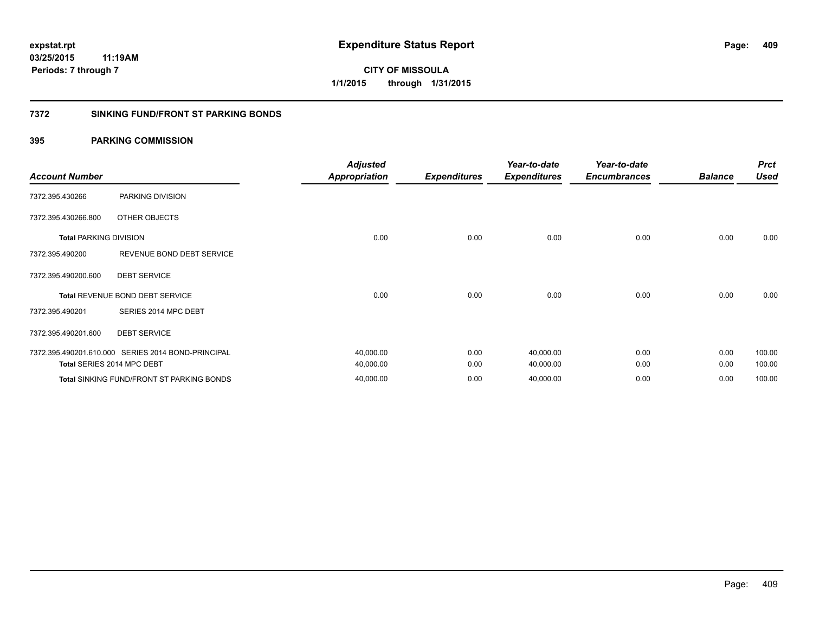## **7372 SINKING FUND/FRONT ST PARKING BONDS**

| <b>Account Number</b>         |                                                    | <b>Adjusted</b>      |                     | Year-to-date        | Year-to-date        | <b>Balance</b> | <b>Prct</b><br><b>Used</b> |
|-------------------------------|----------------------------------------------------|----------------------|---------------------|---------------------|---------------------|----------------|----------------------------|
|                               |                                                    | <b>Appropriation</b> | <b>Expenditures</b> | <b>Expenditures</b> | <b>Encumbrances</b> |                |                            |
| 7372.395.430266               | PARKING DIVISION                                   |                      |                     |                     |                     |                |                            |
| 7372.395.430266.800           | OTHER OBJECTS                                      |                      |                     |                     |                     |                |                            |
| <b>Total PARKING DIVISION</b> |                                                    | 0.00                 | 0.00                | 0.00                | 0.00                | 0.00           | 0.00                       |
| 7372.395.490200               | REVENUE BOND DEBT SERVICE                          |                      |                     |                     |                     |                |                            |
| 7372.395.490200.600           | <b>DEBT SERVICE</b>                                |                      |                     |                     |                     |                |                            |
|                               | <b>Total REVENUE BOND DEBT SERVICE</b>             | 0.00                 | 0.00                | 0.00                | 0.00                | 0.00           | 0.00                       |
| 7372.395.490201               | SERIES 2014 MPC DEBT                               |                      |                     |                     |                     |                |                            |
| 7372.395.490201.600           | <b>DEBT SERVICE</b>                                |                      |                     |                     |                     |                |                            |
|                               | 7372.395.490201.610.000 SERIES 2014 BOND-PRINCIPAL | 40,000.00            | 0.00                | 40,000.00           | 0.00                | 0.00           | 100.00                     |
|                               | Total SERIES 2014 MPC DEBT                         | 40,000.00            | 0.00                | 40,000.00           | 0.00                | 0.00           | 100.00                     |
|                               | <b>Total SINKING FUND/FRONT ST PARKING BONDS</b>   | 40,000.00            | 0.00                | 40,000.00           | 0.00                | 0.00           | 100.00                     |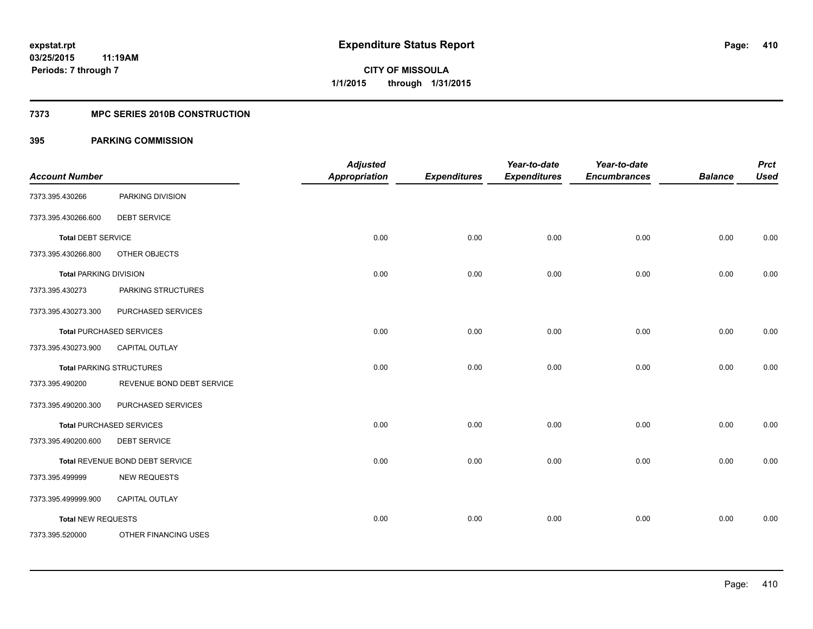## **7373 MPC SERIES 2010B CONSTRUCTION**

| <b>Account Number</b>         |                                 | <b>Adjusted</b><br><b>Appropriation</b> | <b>Expenditures</b> | Year-to-date<br><b>Expenditures</b> | Year-to-date<br><b>Encumbrances</b> | <b>Balance</b> | <b>Prct</b><br><b>Used</b> |
|-------------------------------|---------------------------------|-----------------------------------------|---------------------|-------------------------------------|-------------------------------------|----------------|----------------------------|
| 7373.395.430266               | PARKING DIVISION                |                                         |                     |                                     |                                     |                |                            |
| 7373.395.430266.600           | <b>DEBT SERVICE</b>             |                                         |                     |                                     |                                     |                |                            |
| <b>Total DEBT SERVICE</b>     |                                 | 0.00                                    | 0.00                | 0.00                                | 0.00                                | 0.00           | 0.00                       |
| 7373.395.430266.800           | OTHER OBJECTS                   |                                         |                     |                                     |                                     |                |                            |
| <b>Total PARKING DIVISION</b> |                                 | 0.00                                    | 0.00                | 0.00                                | 0.00                                | 0.00           | 0.00                       |
| 7373.395.430273               | PARKING STRUCTURES              |                                         |                     |                                     |                                     |                |                            |
| 7373.395.430273.300           | PURCHASED SERVICES              |                                         |                     |                                     |                                     |                |                            |
|                               | <b>Total PURCHASED SERVICES</b> | 0.00                                    | 0.00                | 0.00                                | 0.00                                | 0.00           | 0.00                       |
| 7373.395.430273.900           | <b>CAPITAL OUTLAY</b>           |                                         |                     |                                     |                                     |                |                            |
|                               | <b>Total PARKING STRUCTURES</b> | 0.00                                    | 0.00                | 0.00                                | 0.00                                | 0.00           | 0.00                       |
| 7373.395.490200               | REVENUE BOND DEBT SERVICE       |                                         |                     |                                     |                                     |                |                            |
| 7373.395.490200.300           | PURCHASED SERVICES              |                                         |                     |                                     |                                     |                |                            |
|                               | <b>Total PURCHASED SERVICES</b> | 0.00                                    | 0.00                | 0.00                                | 0.00                                | 0.00           | 0.00                       |
| 7373.395.490200.600           | <b>DEBT SERVICE</b>             |                                         |                     |                                     |                                     |                |                            |
|                               | Total REVENUE BOND DEBT SERVICE | 0.00                                    | 0.00                | 0.00                                | 0.00                                | 0.00           | 0.00                       |
| 7373.395.499999               | <b>NEW REQUESTS</b>             |                                         |                     |                                     |                                     |                |                            |
| 7373.395.499999.900           | CAPITAL OUTLAY                  |                                         |                     |                                     |                                     |                |                            |
| <b>Total NEW REQUESTS</b>     |                                 | 0.00                                    | 0.00                | 0.00                                | 0.00                                | 0.00           | 0.00                       |
| 7373.395.520000               | OTHER FINANCING USES            |                                         |                     |                                     |                                     |                |                            |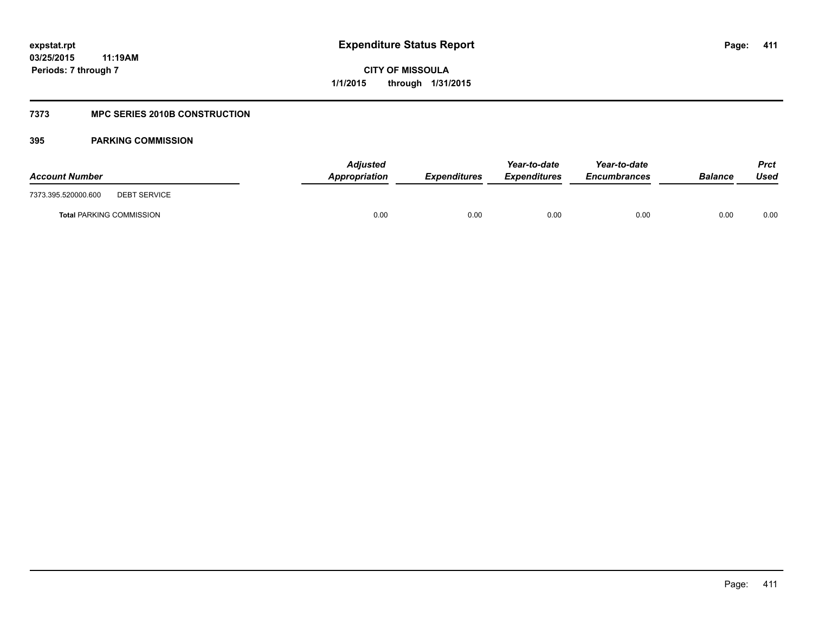## **7373 MPC SERIES 2010B CONSTRUCTION**

| <b>Account Number</b>                      | <b>Adjusted</b><br>Appropriation | <b>Expenditures</b> | Year-to-date<br><b>Expenditures</b> | Year-to-date<br><b>Encumbrances</b> | <b>Balance</b> | Prct<br>Used |
|--------------------------------------------|----------------------------------|---------------------|-------------------------------------|-------------------------------------|----------------|--------------|
| 7373.395.520000.600<br><b>DEBT SERVICE</b> |                                  |                     |                                     |                                     |                |              |
| <b>Total PARKING COMMISSION</b>            | 0.00                             | 0.00                | 0.00                                | 0.00                                | 0.00           | 0.00         |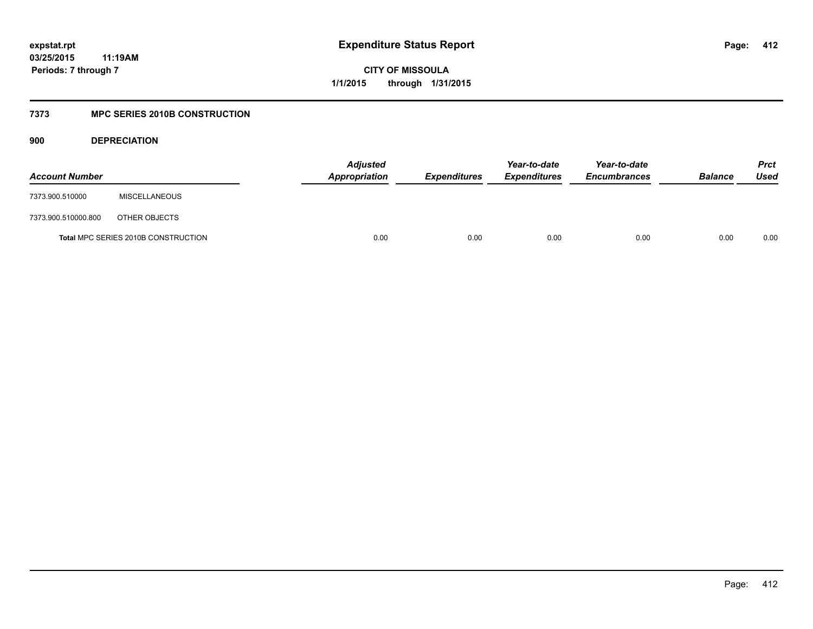**CITY OF MISSOULA 1/1/2015 through 1/31/2015**

## **7373 MPC SERIES 2010B CONSTRUCTION**

**900 DEPRECIATION**

| <b>Account Number</b> |                                     | <b>Adjusted</b><br>Appropriation | <b>Expenditures</b> | Year-to-date<br><b>Expenditures</b> | Year-to-date<br><b>Encumbrances</b> | <b>Balance</b> | <b>Prct</b><br>Used |
|-----------------------|-------------------------------------|----------------------------------|---------------------|-------------------------------------|-------------------------------------|----------------|---------------------|
| 7373.900.510000       | <b>MISCELLANEOUS</b>                |                                  |                     |                                     |                                     |                |                     |
| 7373.900.510000.800   | OTHER OBJECTS                       |                                  |                     |                                     |                                     |                |                     |
|                       | Total MPC SERIES 2010B CONSTRUCTION | 0.00                             | 0.00                | 0.00                                | 0.00                                | 0.00           | 0.00                |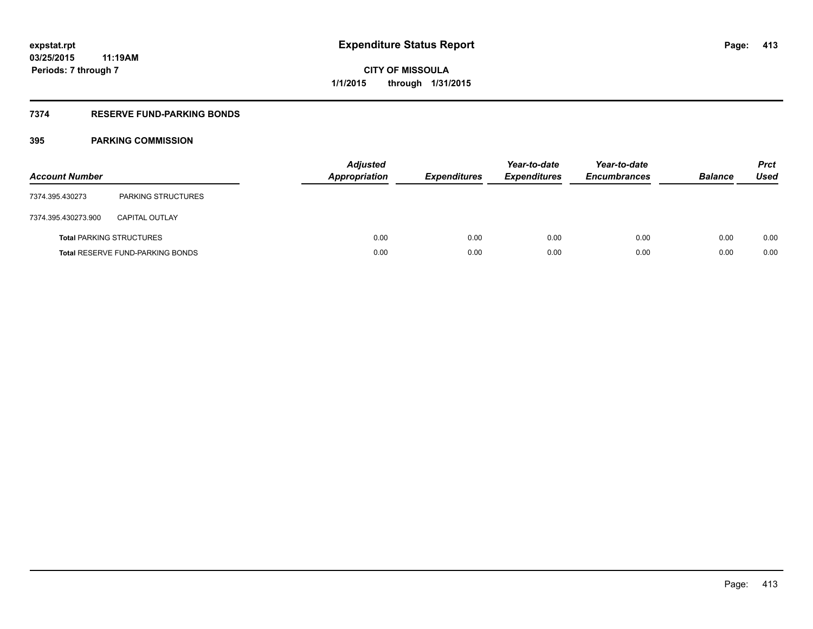## **7374 RESERVE FUND-PARKING BONDS**

| <b>Account Number</b> |                                         | <b>Adjusted</b><br><b>Appropriation</b> | <b>Expenditures</b> | Year-to-date<br><b>Expenditures</b> | Year-to-date<br><b>Encumbrances</b> | <b>Balance</b> | <b>Prct</b><br>Used |
|-----------------------|-----------------------------------------|-----------------------------------------|---------------------|-------------------------------------|-------------------------------------|----------------|---------------------|
| 7374.395.430273       | <b>PARKING STRUCTURES</b>               |                                         |                     |                                     |                                     |                |                     |
| 7374.395.430273.900   | <b>CAPITAL OUTLAY</b>                   |                                         |                     |                                     |                                     |                |                     |
|                       | <b>Total PARKING STRUCTURES</b>         | 0.00                                    | 0.00                | 0.00                                | 0.00                                | 0.00           | 0.00                |
|                       | <b>Total RESERVE FUND-PARKING BONDS</b> | 0.00                                    | 0.00                | 0.00                                | 0.00                                | 0.00           | 0.00                |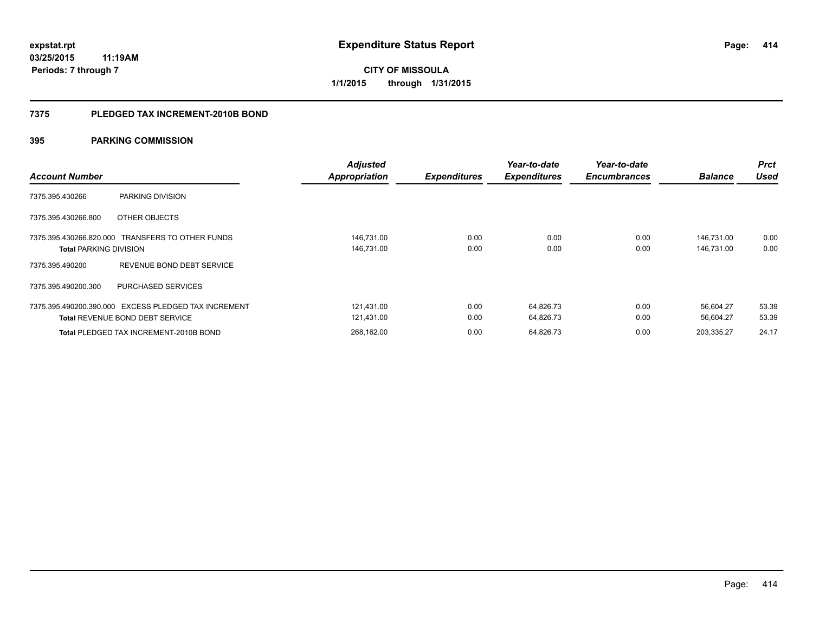**Periods: 7 through 7**

**414**

**CITY OF MISSOULA 1/1/2015 through 1/31/2015**

### **7375 PLEDGED TAX INCREMENT-2010B BOND**

| <b>Account Number</b>         |                                                                                                | <b>Adjusted</b><br><b>Appropriation</b> | <b>Expenditures</b> | Year-to-date<br><b>Expenditures</b> | Year-to-date<br><b>Encumbrances</b> | <b>Balance</b>           | <b>Prct</b><br><b>Used</b> |
|-------------------------------|------------------------------------------------------------------------------------------------|-----------------------------------------|---------------------|-------------------------------------|-------------------------------------|--------------------------|----------------------------|
| 7375.395.430266               | PARKING DIVISION                                                                               |                                         |                     |                                     |                                     |                          |                            |
| 7375.395.430266.800           | OTHER OBJECTS                                                                                  |                                         |                     |                                     |                                     |                          |                            |
| <b>Total PARKING DIVISION</b> | 7375.395.430266.820.000 TRANSFERS TO OTHER FUNDS                                               | 146,731.00<br>146,731.00                | 0.00<br>0.00        | 0.00<br>0.00                        | 0.00<br>0.00                        | 146.731.00<br>146,731.00 | 0.00<br>0.00               |
| 7375.395.490200               | REVENUE BOND DEBT SERVICE                                                                      |                                         |                     |                                     |                                     |                          |                            |
| 7375.395.490200.300           | PURCHASED SERVICES                                                                             |                                         |                     |                                     |                                     |                          |                            |
|                               | 7375.395.490200.390.000 EXCESS PLEDGED TAX INCREMENT<br><b>Total REVENUE BOND DEBT SERVICE</b> | 121,431.00<br>121,431.00                | 0.00<br>0.00        | 64,826.73<br>64,826.73              | 0.00<br>0.00                        | 56.604.27<br>56,604.27   | 53.39<br>53.39             |
|                               | Total PLEDGED TAX INCREMENT-2010B BOND                                                         | 268,162.00                              | 0.00                | 64,826.73                           | 0.00                                | 203,335.27               | 24.17                      |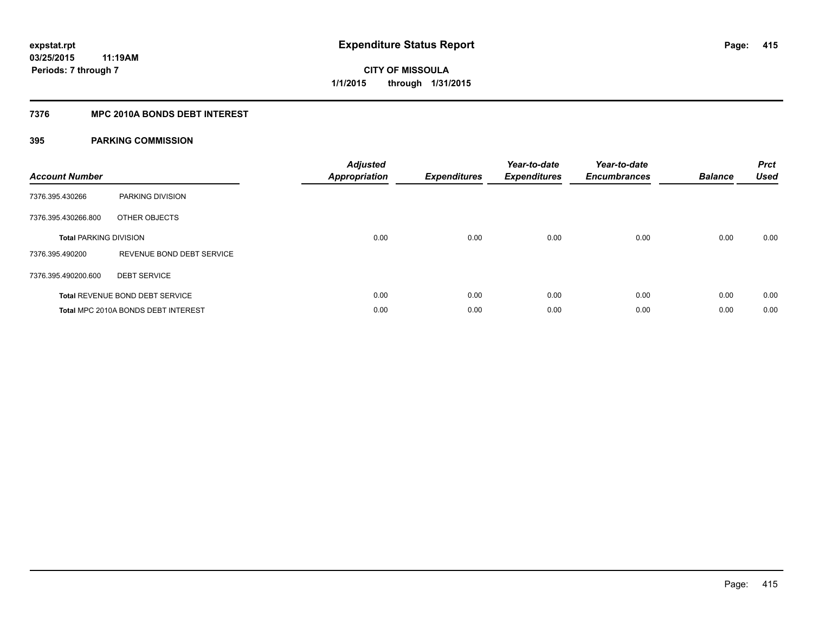## **7376 MPC 2010A BONDS DEBT INTEREST**

| <b>Account Number</b>         |                                        | <b>Adjusted</b><br>Appropriation | <b>Expenditures</b> | Year-to-date<br><b>Expenditures</b> | Year-to-date<br><b>Encumbrances</b> | <b>Balance</b> | <b>Prct</b><br><b>Used</b> |
|-------------------------------|----------------------------------------|----------------------------------|---------------------|-------------------------------------|-------------------------------------|----------------|----------------------------|
| 7376.395.430266               | PARKING DIVISION                       |                                  |                     |                                     |                                     |                |                            |
| 7376.395.430266.800           | OTHER OBJECTS                          |                                  |                     |                                     |                                     |                |                            |
| <b>Total PARKING DIVISION</b> |                                        | 0.00                             | 0.00                | 0.00                                | 0.00                                | 0.00           | 0.00                       |
| 7376.395.490200               | REVENUE BOND DEBT SERVICE              |                                  |                     |                                     |                                     |                |                            |
| 7376.395.490200.600           | <b>DEBT SERVICE</b>                    |                                  |                     |                                     |                                     |                |                            |
|                               | <b>Total REVENUE BOND DEBT SERVICE</b> | 0.00                             | 0.00                | 0.00                                | 0.00                                | 0.00           | 0.00                       |
|                               | Total MPC 2010A BONDS DEBT INTEREST    | 0.00                             | 0.00                | 0.00                                | 0.00                                | 0.00           | 0.00                       |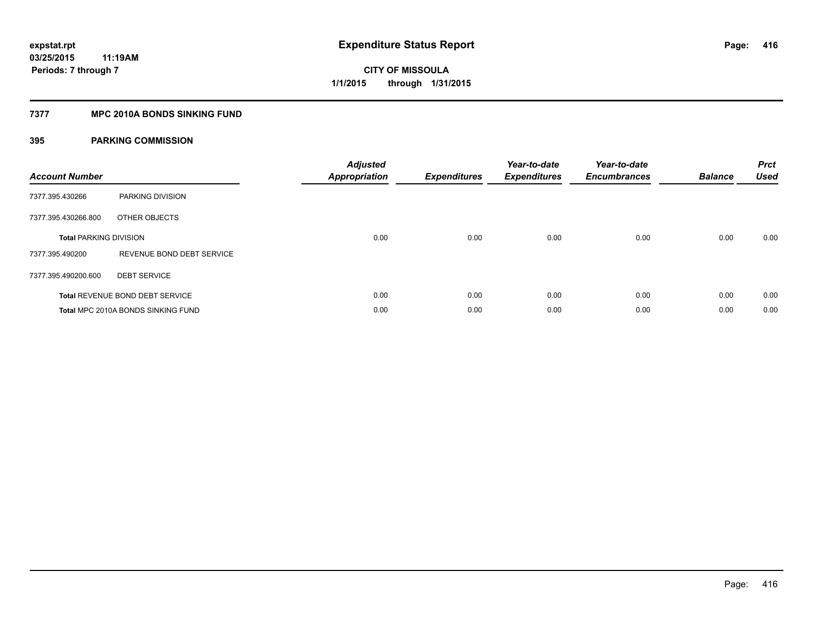## **7377 MPC 2010A BONDS SINKING FUND**

| <b>Account Number</b>         |                                        | <b>Adjusted</b><br><b>Appropriation</b> | <b>Expenditures</b> | Year-to-date<br><b>Expenditures</b> | Year-to-date<br><b>Encumbrances</b> | <b>Balance</b> | <b>Prct</b><br><b>Used</b> |
|-------------------------------|----------------------------------------|-----------------------------------------|---------------------|-------------------------------------|-------------------------------------|----------------|----------------------------|
| 7377.395.430266               | PARKING DIVISION                       |                                         |                     |                                     |                                     |                |                            |
| 7377.395.430266.800           | OTHER OBJECTS                          |                                         |                     |                                     |                                     |                |                            |
| <b>Total PARKING DIVISION</b> |                                        | 0.00                                    | 0.00                | 0.00                                | 0.00                                | 0.00           | 0.00                       |
| 7377.395.490200               | REVENUE BOND DEBT SERVICE              |                                         |                     |                                     |                                     |                |                            |
| 7377.395.490200.600           | <b>DEBT SERVICE</b>                    |                                         |                     |                                     |                                     |                |                            |
|                               | <b>Total REVENUE BOND DEBT SERVICE</b> | 0.00                                    | 0.00                | 0.00                                | 0.00                                | 0.00           | 0.00                       |
|                               | Total MPC 2010A BONDS SINKING FUND     | 0.00                                    | 0.00                | 0.00                                | 0.00                                | 0.00           | 0.00                       |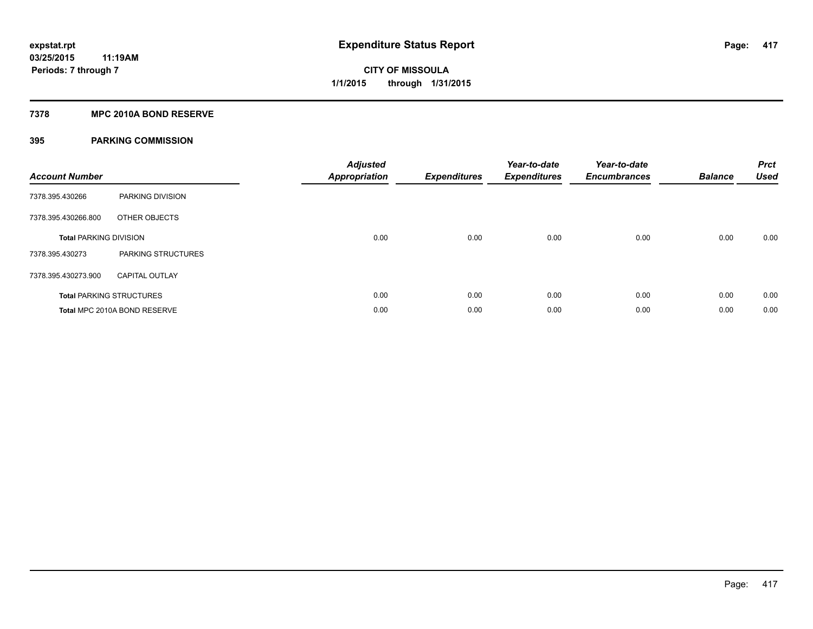## **7378 MPC 2010A BOND RESERVE**

| <b>Account Number</b>         |                                 | <b>Adjusted</b><br><b>Appropriation</b> | <b>Expenditures</b> | Year-to-date<br><b>Expenditures</b> | Year-to-date<br><b>Encumbrances</b> | <b>Balance</b> | <b>Prct</b><br><b>Used</b> |
|-------------------------------|---------------------------------|-----------------------------------------|---------------------|-------------------------------------|-------------------------------------|----------------|----------------------------|
| 7378.395.430266               | PARKING DIVISION                |                                         |                     |                                     |                                     |                |                            |
| 7378.395.430266.800           | OTHER OBJECTS                   |                                         |                     |                                     |                                     |                |                            |
| <b>Total PARKING DIVISION</b> |                                 | 0.00                                    | 0.00                | 0.00                                | 0.00                                | 0.00           | 0.00                       |
| 7378.395.430273               | PARKING STRUCTURES              |                                         |                     |                                     |                                     |                |                            |
| 7378.395.430273.900           | <b>CAPITAL OUTLAY</b>           |                                         |                     |                                     |                                     |                |                            |
|                               | <b>Total PARKING STRUCTURES</b> | 0.00                                    | 0.00                | 0.00                                | 0.00                                | 0.00           | 0.00                       |
|                               | Total MPC 2010A BOND RESERVE    | 0.00                                    | 0.00                | 0.00                                | 0.00                                | 0.00           | 0.00                       |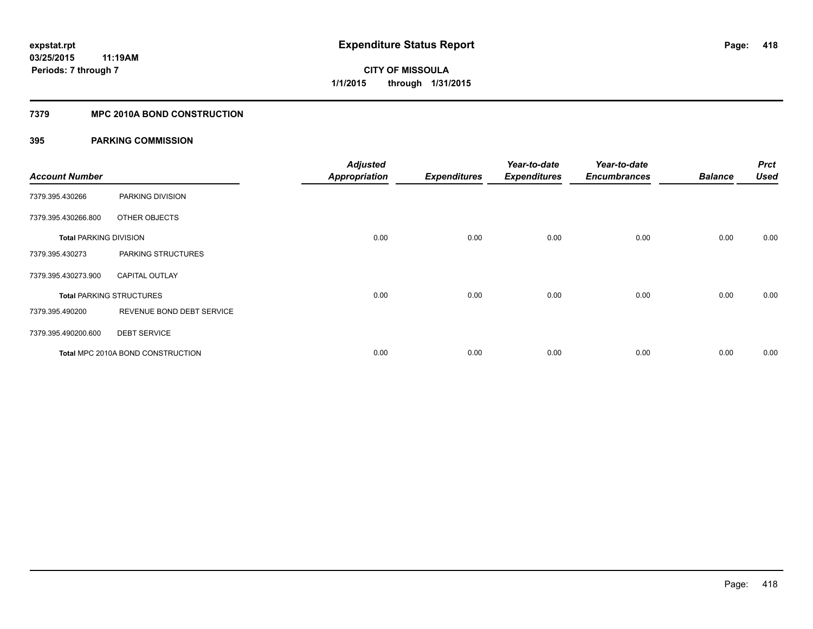## **7379 MPC 2010A BOND CONSTRUCTION**

| <b>Account Number</b>         |                                          | <b>Adjusted</b><br><b>Appropriation</b> | <b>Expenditures</b> | Year-to-date<br><b>Expenditures</b> | Year-to-date<br><b>Encumbrances</b> | <b>Balance</b> | <b>Prct</b><br>Used |
|-------------------------------|------------------------------------------|-----------------------------------------|---------------------|-------------------------------------|-------------------------------------|----------------|---------------------|
| 7379.395.430266               | PARKING DIVISION                         |                                         |                     |                                     |                                     |                |                     |
| 7379.395.430266.800           | OTHER OBJECTS                            |                                         |                     |                                     |                                     |                |                     |
| <b>Total PARKING DIVISION</b> |                                          | 0.00                                    | 0.00                | 0.00                                | 0.00                                | 0.00           | 0.00                |
| 7379.395.430273               | PARKING STRUCTURES                       |                                         |                     |                                     |                                     |                |                     |
| 7379.395.430273.900           | <b>CAPITAL OUTLAY</b>                    |                                         |                     |                                     |                                     |                |                     |
|                               | <b>Total PARKING STRUCTURES</b>          | 0.00                                    | 0.00                | 0.00                                | 0.00                                | 0.00           | 0.00                |
| 7379.395.490200               | REVENUE BOND DEBT SERVICE                |                                         |                     |                                     |                                     |                |                     |
| 7379.395.490200.600           | <b>DEBT SERVICE</b>                      |                                         |                     |                                     |                                     |                |                     |
|                               | <b>Total MPC 2010A BOND CONSTRUCTION</b> | 0.00                                    | 0.00                | 0.00                                | 0.00                                | 0.00           | 0.00                |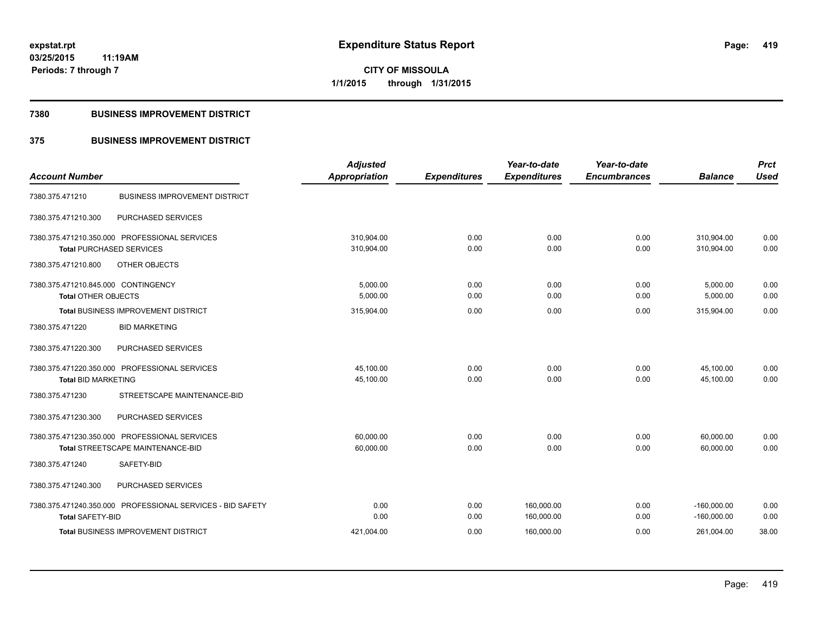**419**

**03/25/2015 11:19AM Periods: 7 through 7**

**CITY OF MISSOULA 1/1/2015 through 1/31/2015**

## **7380 BUSINESS IMPROVEMENT DISTRICT**

## **375 BUSINESS IMPROVEMENT DISTRICT**

| <b>Account Number</b>                                      | <b>Adjusted</b><br>Appropriation |                     | Year-to-date<br><b>Expenditures</b> | Year-to-date<br><b>Encumbrances</b> | <b>Balance</b> | <b>Prct</b><br><b>Used</b> |
|------------------------------------------------------------|----------------------------------|---------------------|-------------------------------------|-------------------------------------|----------------|----------------------------|
|                                                            |                                  | <b>Expenditures</b> |                                     |                                     |                |                            |
| <b>BUSINESS IMPROVEMENT DISTRICT</b><br>7380.375.471210    |                                  |                     |                                     |                                     |                |                            |
| PURCHASED SERVICES<br>7380.375.471210.300                  |                                  |                     |                                     |                                     |                |                            |
| 7380.375.471210.350.000 PROFESSIONAL SERVICES              | 310,904.00                       | 0.00                | 0.00                                | 0.00                                | 310,904.00     | 0.00                       |
| <b>Total PURCHASED SERVICES</b>                            | 310,904.00                       | 0.00                | 0.00                                | 0.00                                | 310,904.00     | 0.00                       |
| OTHER OBJECTS<br>7380.375.471210.800                       |                                  |                     |                                     |                                     |                |                            |
| 7380.375.471210.845.000 CONTINGENCY                        | 5,000.00                         | 0.00                | 0.00                                | 0.00                                | 5,000.00       | 0.00                       |
| <b>Total OTHER OBJECTS</b>                                 | 5,000.00                         | 0.00                | 0.00                                | 0.00                                | 5,000.00       | 0.00                       |
| <b>Total BUSINESS IMPROVEMENT DISTRICT</b>                 | 315,904.00                       | 0.00                | 0.00                                | 0.00                                | 315,904.00     | 0.00                       |
| 7380.375.471220<br><b>BID MARKETING</b>                    |                                  |                     |                                     |                                     |                |                            |
| 7380.375.471220.300<br>PURCHASED SERVICES                  |                                  |                     |                                     |                                     |                |                            |
| 7380.375.471220.350.000 PROFESSIONAL SERVICES              | 45,100.00                        | 0.00                | 0.00                                | 0.00                                | 45,100.00      | 0.00                       |
| <b>Total BID MARKETING</b>                                 | 45,100.00                        | 0.00                | 0.00                                | 0.00                                | 45,100.00      | 0.00                       |
| STREETSCAPE MAINTENANCE-BID<br>7380.375.471230             |                                  |                     |                                     |                                     |                |                            |
| 7380.375.471230.300<br>PURCHASED SERVICES                  |                                  |                     |                                     |                                     |                |                            |
| 7380.375.471230.350.000 PROFESSIONAL SERVICES              | 60,000.00                        | 0.00                | 0.00                                | 0.00                                | 60,000.00      | 0.00                       |
| <b>Total STREETSCAPE MAINTENANCE-BID</b>                   | 60,000.00                        | 0.00                | 0.00                                | 0.00                                | 60.000.00      | 0.00                       |
| SAFETY-BID<br>7380.375.471240                              |                                  |                     |                                     |                                     |                |                            |
| 7380.375.471240.300<br>PURCHASED SERVICES                  |                                  |                     |                                     |                                     |                |                            |
| 7380.375.471240.350.000 PROFESSIONAL SERVICES - BID SAFETY | 0.00                             | 0.00                | 160,000.00                          | 0.00                                | $-160,000.00$  | 0.00                       |
| <b>Total SAFETY-BID</b>                                    | 0.00                             | 0.00                | 160,000.00                          | 0.00                                | $-160,000.00$  | 0.00                       |
| <b>Total BUSINESS IMPROVEMENT DISTRICT</b>                 | 421.004.00                       | 0.00                | 160,000.00                          | 0.00                                | 261,004.00     | 38.00                      |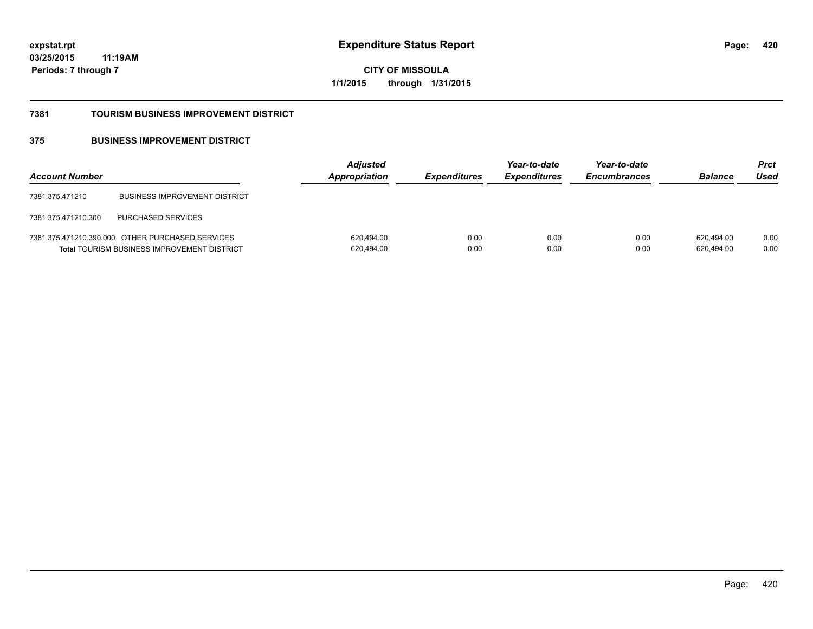**420**

**03/25/2015 11:19AM Periods: 7 through 7**

**CITY OF MISSOULA 1/1/2015 through 1/31/2015**

### **7381 TOURISM BUSINESS IMPROVEMENT DISTRICT**

## **375 BUSINESS IMPROVEMENT DISTRICT**

| <b>Account Number</b> |                                                                                                        | <b>Adjusted</b><br>Appropriation | <b>Expenditures</b> | Year-to-date<br><b>Expenditures</b> | Year-to-date<br><b>Encumbrances</b> | <b>Balance</b>           | Prct<br>Used |
|-----------------------|--------------------------------------------------------------------------------------------------------|----------------------------------|---------------------|-------------------------------------|-------------------------------------|--------------------------|--------------|
| 7381.375.471210       | <b>BUSINESS IMPROVEMENT DISTRICT</b>                                                                   |                                  |                     |                                     |                                     |                          |              |
| 7381.375.471210.300   | <b>PURCHASED SERVICES</b>                                                                              |                                  |                     |                                     |                                     |                          |              |
|                       | 7381.375.471210.390.000 OTHER PURCHASED SERVICES<br><b>Total TOURISM BUSINESS IMPROVEMENT DISTRICT</b> | 620,494.00<br>620,494.00         | 0.00<br>0.00        | 0.00<br>0.00                        | 0.00<br>0.00                        | 620.494.00<br>620,494.00 | 0.00<br>0.00 |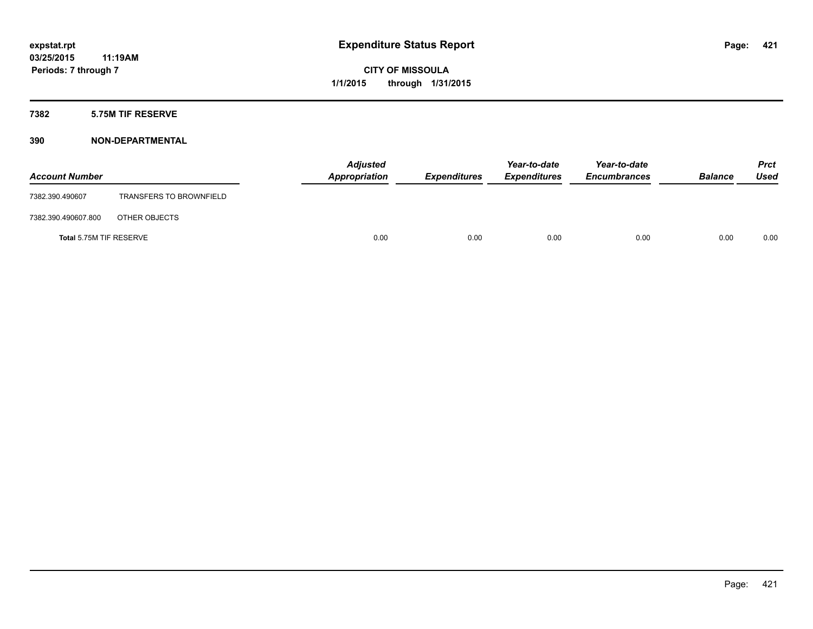## **7382 5.75M TIF RESERVE**

| <b>Account Number</b>   |                                | <b>Adjusted</b><br>Appropriation | <b>Expenditures</b> | Year-to-date<br><b>Expenditures</b> | Year-to-date<br><b>Encumbrances</b> | <b>Balance</b> | Prct<br><b>Used</b> |
|-------------------------|--------------------------------|----------------------------------|---------------------|-------------------------------------|-------------------------------------|----------------|---------------------|
| 7382.390.490607         | <b>TRANSFERS TO BROWNFIELD</b> |                                  |                     |                                     |                                     |                |                     |
| 7382.390.490607.800     | OTHER OBJECTS                  |                                  |                     |                                     |                                     |                |                     |
| Total 5.75M TIF RESERVE |                                | 0.00                             | 0.00                | 0.00                                | 0.00                                | 0.00           | 0.00                |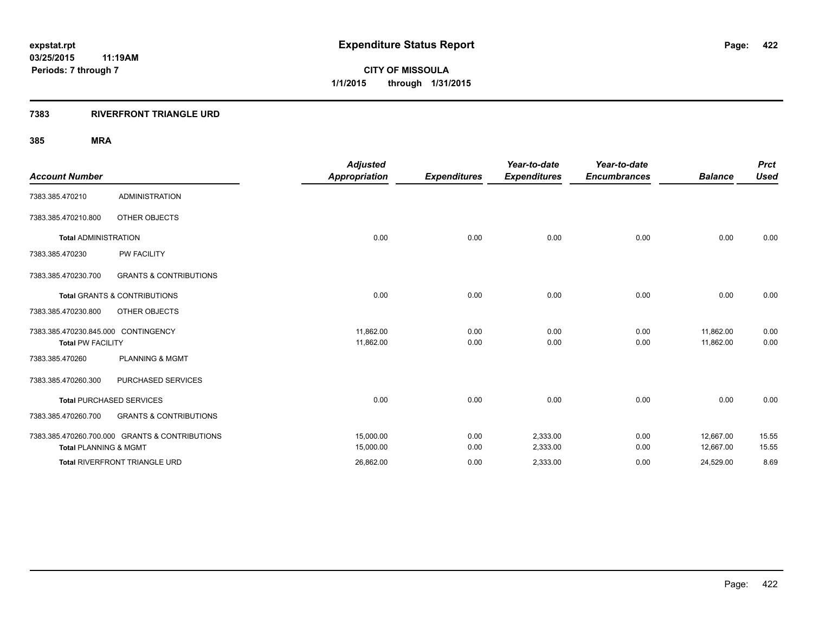## **7383 RIVERFRONT TRIANGLE URD**

|                                     |                                                | <b>Adjusted</b>      |                     | Year-to-date        | Year-to-date        |                | <b>Prct</b> |
|-------------------------------------|------------------------------------------------|----------------------|---------------------|---------------------|---------------------|----------------|-------------|
| <b>Account Number</b>               |                                                | <b>Appropriation</b> | <b>Expenditures</b> | <b>Expenditures</b> | <b>Encumbrances</b> | <b>Balance</b> | <b>Used</b> |
| 7383.385.470210                     | <b>ADMINISTRATION</b>                          |                      |                     |                     |                     |                |             |
| 7383.385.470210.800                 | <b>OTHER OBJECTS</b>                           |                      |                     |                     |                     |                |             |
| <b>Total ADMINISTRATION</b>         |                                                | 0.00                 | 0.00                | 0.00                | 0.00                | 0.00           | 0.00        |
| 7383.385.470230                     | <b>PW FACILITY</b>                             |                      |                     |                     |                     |                |             |
| 7383.385.470230.700                 | <b>GRANTS &amp; CONTRIBUTIONS</b>              |                      |                     |                     |                     |                |             |
|                                     | <b>Total GRANTS &amp; CONTRIBUTIONS</b>        | 0.00                 | 0.00                | 0.00                | 0.00                | 0.00           | 0.00        |
| 7383.385.470230.800                 | OTHER OBJECTS                                  |                      |                     |                     |                     |                |             |
| 7383.385.470230.845.000 CONTINGENCY |                                                | 11,862.00            | 0.00                | 0.00                | 0.00                | 11,862.00      | 0.00        |
| <b>Total PW FACILITY</b>            |                                                | 11,862.00            | 0.00                | 0.00                | 0.00                | 11,862.00      | 0.00        |
| 7383.385.470260                     | <b>PLANNING &amp; MGMT</b>                     |                      |                     |                     |                     |                |             |
| 7383.385.470260.300                 | PURCHASED SERVICES                             |                      |                     |                     |                     |                |             |
|                                     | <b>Total PURCHASED SERVICES</b>                | 0.00                 | 0.00                | 0.00                | 0.00                | 0.00           | 0.00        |
| 7383.385.470260.700                 | <b>GRANTS &amp; CONTRIBUTIONS</b>              |                      |                     |                     |                     |                |             |
|                                     | 7383.385.470260.700.000 GRANTS & CONTRIBUTIONS | 15,000.00            | 0.00                | 2,333.00            | 0.00                | 12,667.00      | 15.55       |
| <b>Total PLANNING &amp; MGMT</b>    |                                                | 15,000.00            | 0.00                | 2,333.00            | 0.00                | 12,667.00      | 15.55       |
|                                     | Total RIVERFRONT TRIANGLE URD                  | 26,862.00            | 0.00                | 2,333.00            | 0.00                | 24,529.00      | 8.69        |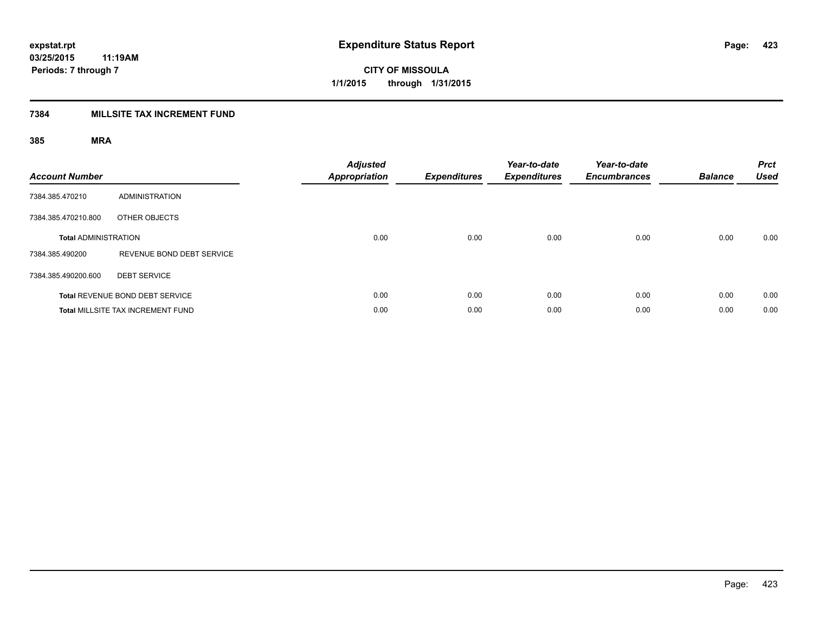## **7384 MILLSITE TAX INCREMENT FUND**

| <b>Account Number</b>       |                                          | <b>Adjusted</b><br><b>Appropriation</b> | <b>Expenditures</b> | Year-to-date<br><b>Expenditures</b> | Year-to-date<br><b>Encumbrances</b> | <b>Balance</b> | <b>Prct</b><br><b>Used</b> |
|-----------------------------|------------------------------------------|-----------------------------------------|---------------------|-------------------------------------|-------------------------------------|----------------|----------------------------|
| 7384.385.470210             | <b>ADMINISTRATION</b>                    |                                         |                     |                                     |                                     |                |                            |
| 7384.385.470210.800         | OTHER OBJECTS                            |                                         |                     |                                     |                                     |                |                            |
| <b>Total ADMINISTRATION</b> |                                          | 0.00                                    | 0.00                | 0.00                                | 0.00                                | 0.00           | 0.00                       |
| 7384.385.490200             | REVENUE BOND DEBT SERVICE                |                                         |                     |                                     |                                     |                |                            |
| 7384.385.490200.600         | <b>DEBT SERVICE</b>                      |                                         |                     |                                     |                                     |                |                            |
|                             | Total REVENUE BOND DEBT SERVICE          | 0.00                                    | 0.00                | 0.00                                | 0.00                                | 0.00           | 0.00                       |
|                             | <b>Total MILLSITE TAX INCREMENT FUND</b> | 0.00                                    | 0.00                | 0.00                                | 0.00                                | 0.00           | 0.00                       |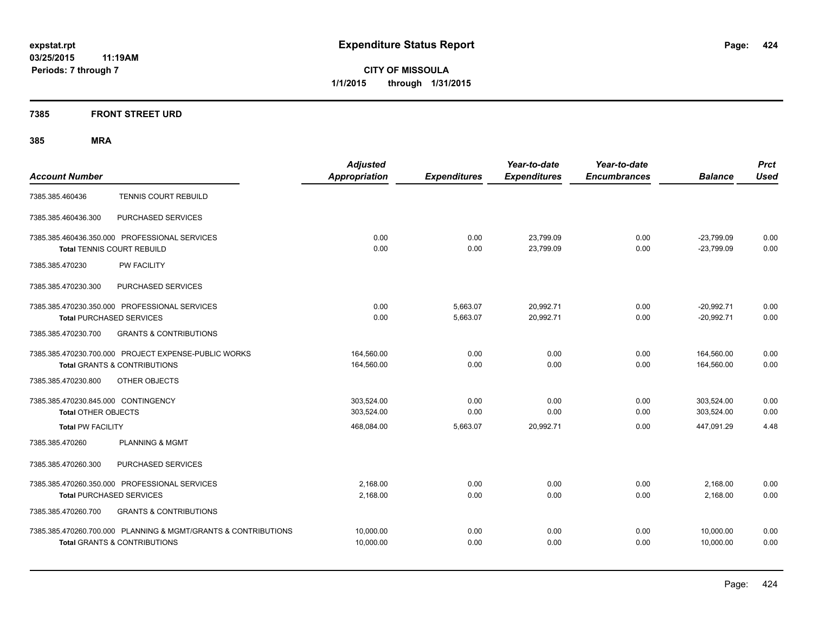**Periods: 7 through 7**

**CITY OF MISSOULA 1/1/2015 through 1/31/2015**

## **7385 FRONT STREET URD**

| <b>Account Number</b>                                                                                     | <b>Adjusted</b><br><b>Appropriation</b> | <b>Expenditures</b>  | Year-to-date<br><b>Expenditures</b> | Year-to-date<br><b>Encumbrances</b> | <b>Balance</b>               | <b>Prct</b><br><b>Used</b> |
|-----------------------------------------------------------------------------------------------------------|-----------------------------------------|----------------------|-------------------------------------|-------------------------------------|------------------------------|----------------------------|
| TENNIS COURT REBUILD<br>7385.385.460436                                                                   |                                         |                      |                                     |                                     |                              |                            |
| PURCHASED SERVICES<br>7385.385.460436.300                                                                 |                                         |                      |                                     |                                     |                              |                            |
| 7385.385.460436.350.000 PROFESSIONAL SERVICES<br><b>Total TENNIS COURT REBUILD</b>                        | 0.00<br>0.00                            | 0.00<br>0.00         | 23,799.09<br>23,799.09              | 0.00<br>0.00                        | $-23,799.09$<br>$-23,799.09$ | 0.00<br>0.00               |
| <b>PW FACILITY</b><br>7385.385.470230                                                                     |                                         |                      |                                     |                                     |                              |                            |
| 7385.385.470230.300<br>PURCHASED SERVICES                                                                 |                                         |                      |                                     |                                     |                              |                            |
| 7385.385.470230.350.000 PROFESSIONAL SERVICES<br><b>Total PURCHASED SERVICES</b>                          | 0.00<br>0.00                            | 5,663.07<br>5,663.07 | 20.992.71<br>20,992.71              | 0.00<br>0.00                        | $-20,992.71$<br>$-20.992.71$ | 0.00<br>0.00               |
| <b>GRANTS &amp; CONTRIBUTIONS</b><br>7385.385.470230.700                                                  |                                         |                      |                                     |                                     |                              |                            |
| 7385.385.470230.700.000 PROJECT EXPENSE-PUBLIC WORKS<br><b>Total GRANTS &amp; CONTRIBUTIONS</b>           | 164,560.00<br>164,560.00                | 0.00<br>0.00         | 0.00<br>0.00                        | 0.00<br>0.00                        | 164,560.00<br>164,560.00     | 0.00<br>0.00               |
| 7385.385.470230.800<br>OTHER OBJECTS                                                                      |                                         |                      |                                     |                                     |                              |                            |
| 7385.385.470230.845.000 CONTINGENCY<br><b>Total OTHER OBJECTS</b>                                         | 303.524.00<br>303.524.00                | 0.00<br>0.00         | 0.00<br>0.00                        | 0.00<br>0.00                        | 303.524.00<br>303.524.00     | 0.00<br>0.00               |
| <b>Total PW FACILITY</b>                                                                                  | 468,084.00                              | 5,663.07             | 20,992.71                           | 0.00                                | 447,091.29                   | 4.48                       |
| <b>PLANNING &amp; MGMT</b><br>7385.385.470260                                                             |                                         |                      |                                     |                                     |                              |                            |
| PURCHASED SERVICES<br>7385.385.470260.300                                                                 |                                         |                      |                                     |                                     |                              |                            |
| 7385.385.470260.350.000 PROFESSIONAL SERVICES<br><b>Total PURCHASED SERVICES</b>                          | 2,168.00<br>2,168.00                    | 0.00<br>0.00         | 0.00<br>0.00                        | 0.00<br>0.00                        | 2,168.00<br>2,168.00         | 0.00<br>0.00               |
| 7385.385.470260.700<br><b>GRANTS &amp; CONTRIBUTIONS</b>                                                  |                                         |                      |                                     |                                     |                              |                            |
| 7385.385.470260.700.000 PLANNING & MGMT/GRANTS & CONTRIBUTIONS<br><b>Total GRANTS &amp; CONTRIBUTIONS</b> | 10,000.00<br>10,000.00                  | 0.00<br>0.00         | 0.00<br>0.00                        | 0.00<br>0.00                        | 10,000.00<br>10.000.00       | 0.00<br>0.00               |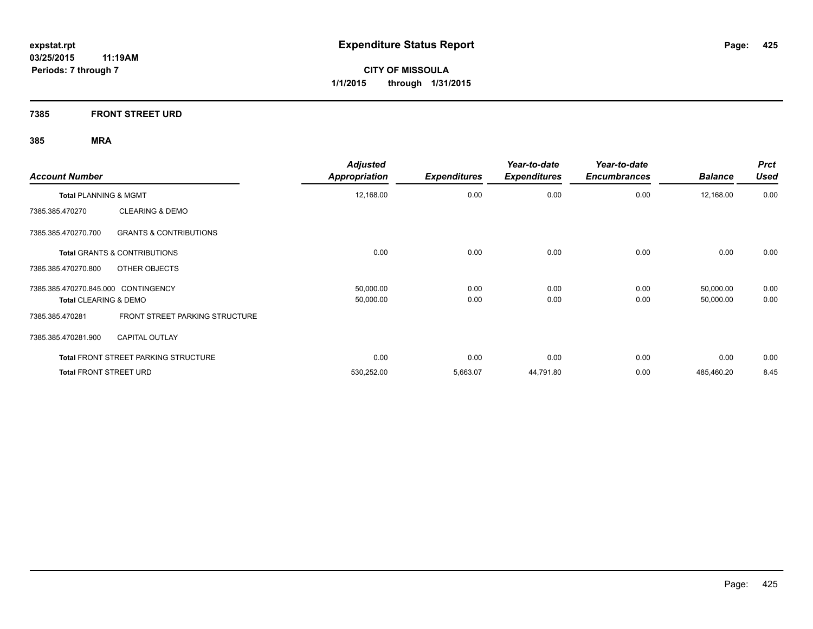**7385 FRONT STREET URD**

| <b>Account Number</b>                                    | <b>Adjusted</b><br><b>Appropriation</b> | <b>Expenditures</b> | Year-to-date<br><b>Expenditures</b> | Year-to-date<br><b>Encumbrances</b> | <b>Balance</b> | <b>Prct</b><br><b>Used</b> |
|----------------------------------------------------------|-----------------------------------------|---------------------|-------------------------------------|-------------------------------------|----------------|----------------------------|
| <b>Total PLANNING &amp; MGMT</b>                         | 12,168.00                               | 0.00                | 0.00                                | 0.00                                | 12,168.00      | 0.00                       |
| <b>CLEARING &amp; DEMO</b><br>7385.385.470270            |                                         |                     |                                     |                                     |                |                            |
| 7385.385.470270.700<br><b>GRANTS &amp; CONTRIBUTIONS</b> |                                         |                     |                                     |                                     |                |                            |
| Total GRANTS & CONTRIBUTIONS                             | 0.00                                    | 0.00                | 0.00                                | 0.00                                | 0.00           | 0.00                       |
| OTHER OBJECTS<br>7385.385.470270.800                     |                                         |                     |                                     |                                     |                |                            |
| 7385.385.470270.845.000 CONTINGENCY                      | 50,000.00                               | 0.00                | 0.00                                | 0.00                                | 50,000.00      | 0.00                       |
| <b>Total CLEARING &amp; DEMO</b>                         | 50,000.00                               | 0.00                | 0.00                                | 0.00                                | 50,000.00      | 0.00                       |
| FRONT STREET PARKING STRUCTURE<br>7385.385.470281        |                                         |                     |                                     |                                     |                |                            |
| <b>CAPITAL OUTLAY</b><br>7385.385.470281.900             |                                         |                     |                                     |                                     |                |                            |
| <b>Total FRONT STREET PARKING STRUCTURE</b>              | 0.00                                    | 0.00                | 0.00                                | 0.00                                | 0.00           | 0.00                       |
| <b>Total FRONT STREET URD</b>                            | 530,252.00                              | 5,663.07            | 44,791.80                           | 0.00                                | 485,460.20     | 8.45                       |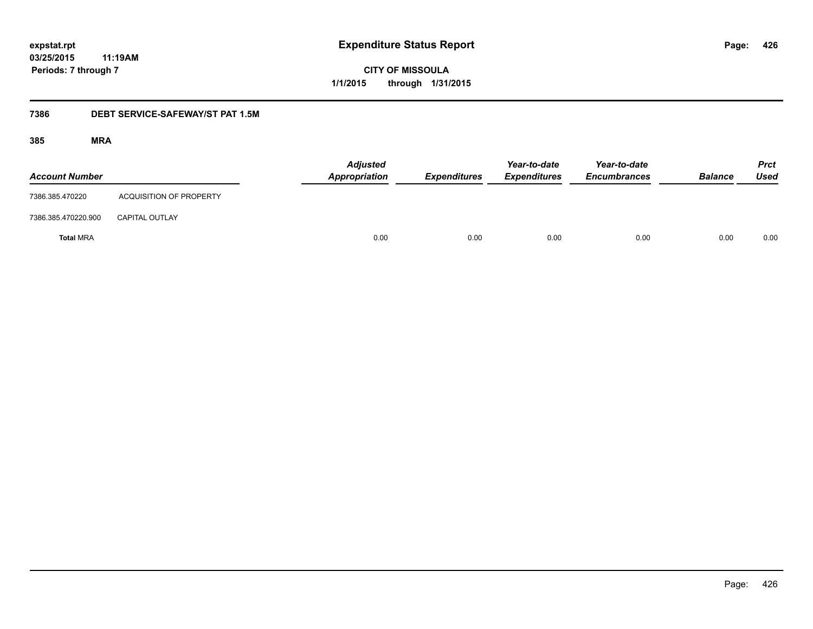**CITY OF MISSOULA 1/1/2015 through 1/31/2015**

## **7386 DEBT SERVICE-SAFEWAY/ST PAT 1.5M**

| <b>Account Number</b> |                                | <b>Adjusted</b><br>Appropriation | <b>Expenditures</b> | Year-to-date<br><b>Expenditures</b> | Year-to-date<br><b>Encumbrances</b> | <b>Balance</b> | <b>Prct</b><br><b>Used</b> |
|-----------------------|--------------------------------|----------------------------------|---------------------|-------------------------------------|-------------------------------------|----------------|----------------------------|
| 7386.385.470220       | <b>ACQUISITION OF PROPERTY</b> |                                  |                     |                                     |                                     |                |                            |
| 7386.385.470220.900   | <b>CAPITAL OUTLAY</b>          |                                  |                     |                                     |                                     |                |                            |
| <b>Total MRA</b>      |                                | 0.00                             | 0.00                | 0.00                                | 0.00                                | 0.00           | 0.00                       |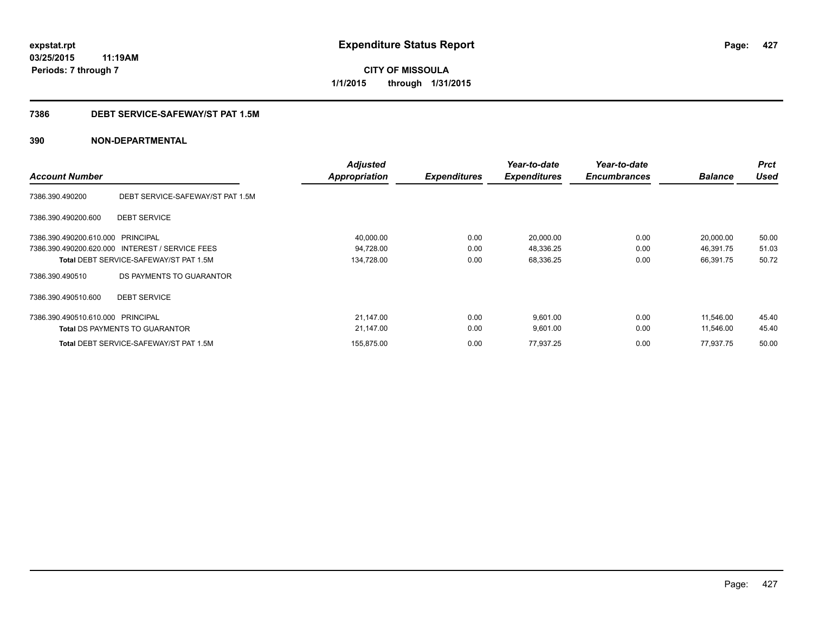**CITY OF MISSOULA 1/1/2015 through 1/31/2015**

## **7386 DEBT SERVICE-SAFEWAY/ST PAT 1.5M**

| <b>Account Number</b>   |                                                 | <b>Adjusted</b><br>Appropriation | <b>Expenditures</b> | Year-to-date<br><b>Expenditures</b> | Year-to-date<br><b>Encumbrances</b> | <b>Balance</b> | <b>Prct</b><br><b>Used</b> |
|-------------------------|-------------------------------------------------|----------------------------------|---------------------|-------------------------------------|-------------------------------------|----------------|----------------------------|
| 7386.390.490200         | DEBT SERVICE-SAFEWAY/ST PAT 1.5M                |                                  |                     |                                     |                                     |                |                            |
| 7386.390.490200.600     | <b>DEBT SERVICE</b>                             |                                  |                     |                                     |                                     |                |                            |
| 7386.390.490200.610.000 | PRINCIPAL                                       | 40,000.00                        | 0.00                | 20,000.00                           | 0.00                                | 20,000.00      | 50.00                      |
|                         | 7386.390.490200.620.000 INTEREST / SERVICE FEES | 94,728.00                        | 0.00                | 48,336.25                           | 0.00                                | 46,391.75      | 51.03                      |
|                         | <b>Total DEBT SERVICE-SAFEWAY/ST PAT 1.5M</b>   | 134,728.00                       | 0.00                | 68,336.25                           | 0.00                                | 66,391.75      | 50.72                      |
| 7386.390.490510         | DS PAYMENTS TO GUARANTOR                        |                                  |                     |                                     |                                     |                |                            |
| 7386.390.490510.600     | <b>DEBT SERVICE</b>                             |                                  |                     |                                     |                                     |                |                            |
| 7386.390.490510.610.000 | PRINCIPAL                                       | 21,147.00                        | 0.00                | 9,601.00                            | 0.00                                | 11,546.00      | 45.40                      |
|                         | <b>Total DS PAYMENTS TO GUARANTOR</b>           | 21,147.00                        | 0.00                | 9,601.00                            | 0.00                                | 11,546.00      | 45.40                      |
|                         | <b>Total DEBT SERVICE-SAFEWAY/ST PAT 1.5M</b>   | 155,875.00                       | 0.00                | 77,937.25                           | 0.00                                | 77,937.75      | 50.00                      |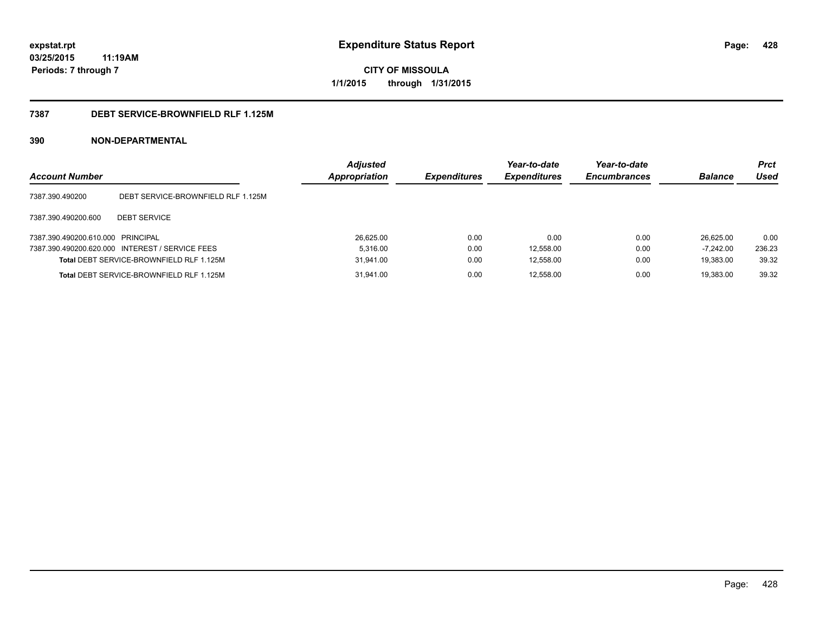**CITY OF MISSOULA 1/1/2015 through 1/31/2015**

## **7387 DEBT SERVICE-BROWNFIELD RLF 1.125M**

| <b>Account Number</b>             |                                                 | <b>Adjusted</b><br><b>Appropriation</b> | <b>Expenditures</b> | Year-to-date<br><b>Expenditures</b> | Year-to-date<br><b>Encumbrances</b> | <b>Balance</b> | <b>Prct</b><br>Used |
|-----------------------------------|-------------------------------------------------|-----------------------------------------|---------------------|-------------------------------------|-------------------------------------|----------------|---------------------|
| 7387.390.490200                   | DEBT SERVICE-BROWNFIELD RLF 1.125M              |                                         |                     |                                     |                                     |                |                     |
| 7387.390.490200.600               | <b>DEBT SERVICE</b>                             |                                         |                     |                                     |                                     |                |                     |
| 7387.390.490200.610.000 PRINCIPAL |                                                 | 26,625.00                               | 0.00                | 0.00                                | 0.00                                | 26.625.00      | 0.00                |
|                                   | 7387.390.490200.620.000 INTEREST / SERVICE FEES | 5.316.00                                | 0.00                | 12,558.00                           | 0.00                                | $-7.242.00$    | 236.23              |
|                                   | Total DEBT SERVICE-BROWNFIELD RLF 1.125M        | 31,941.00                               | 0.00                | 12,558.00                           | 0.00                                | 19.383.00      | 39.32               |
|                                   | Total DEBT SERVICE-BROWNFIELD RLF 1.125M        | 31.941.00                               | 0.00                | 12.558.00                           | 0.00                                | 19.383.00      | 39.32               |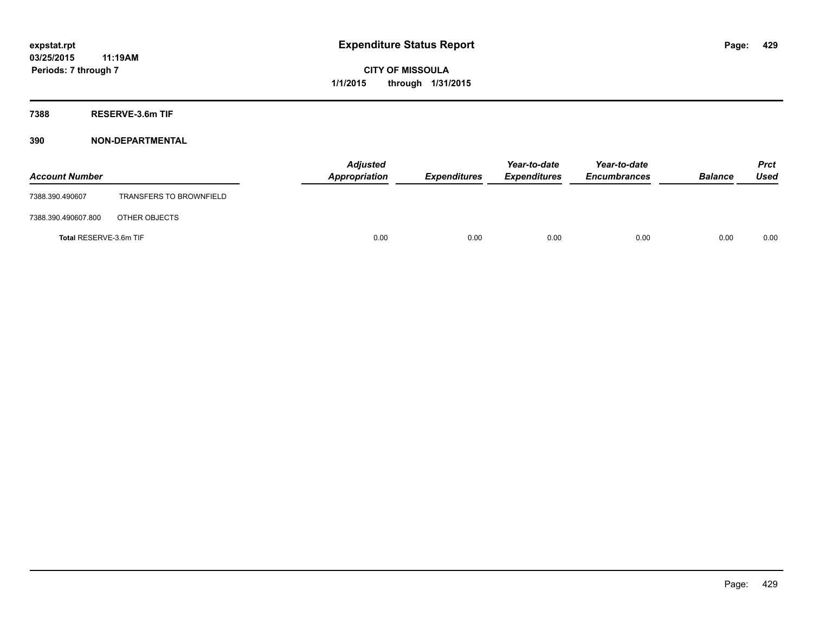**7388 RESERVE-3.6m TIF**

| <b>Account Number</b>  |                                | Appropriation | <b>Adjusted</b> | <b>Expenditures</b> | Year-to-date<br><b>Expenditures</b> | Year-to-date<br><b>Encumbrances</b> | <b>Balance</b> | <b>Prct</b><br><b>Used</b> |
|------------------------|--------------------------------|---------------|-----------------|---------------------|-------------------------------------|-------------------------------------|----------------|----------------------------|
| 7388.390.490607        | <b>TRANSFERS TO BROWNFIELD</b> |               |                 |                     |                                     |                                     |                |                            |
| 7388.390.490607.800    | OTHER OBJECTS                  |               |                 |                     |                                     |                                     |                |                            |
| Total RESERVE-3.6m TIF |                                |               | 0.00            | 0.00                | 0.00                                | 0.00                                | 0.00           | 0.00                       |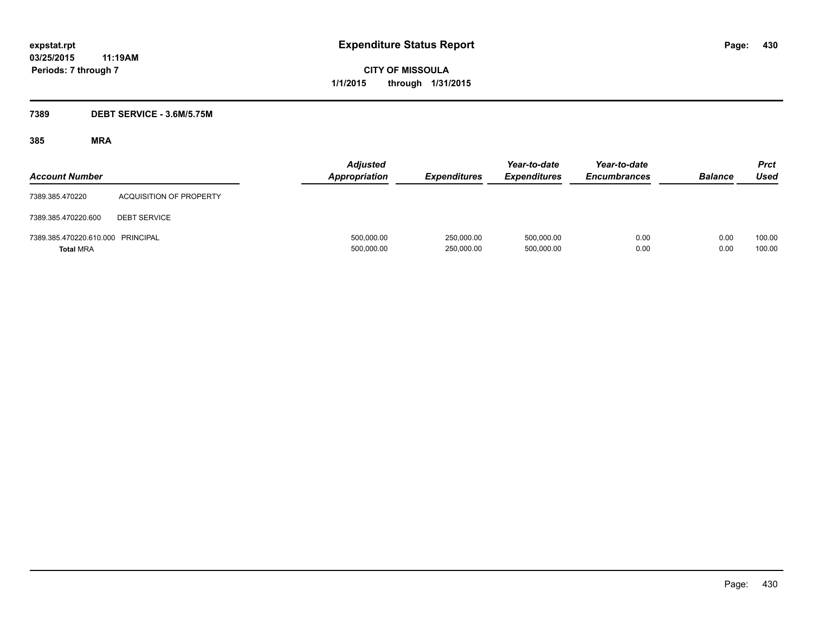**CITY OF MISSOULA 1/1/2015 through 1/31/2015**

## **7389 DEBT SERVICE - 3.6M/5.75M**

| <b>Account Number</b>                                 |                         | <b>Adjusted</b><br><b>Appropriation</b> | <b>Expenditures</b>      | Year-to-date<br><b>Expenditures</b> | Year-to-date<br><b>Encumbrances</b> | <b>Balance</b> | Prct<br>Used     |
|-------------------------------------------------------|-------------------------|-----------------------------------------|--------------------------|-------------------------------------|-------------------------------------|----------------|------------------|
| 7389.385.470220                                       | ACQUISITION OF PROPERTY |                                         |                          |                                     |                                     |                |                  |
| 7389.385.470220.600                                   | <b>DEBT SERVICE</b>     |                                         |                          |                                     |                                     |                |                  |
| 7389.385.470220.610.000 PRINCIPAL<br><b>Total MRA</b> |                         | 500,000.00<br>500,000.00                | 250.000.00<br>250,000.00 | 500,000.00<br>500,000.00            | 0.00<br>0.00                        | 0.00<br>0.00   | 100.00<br>100.00 |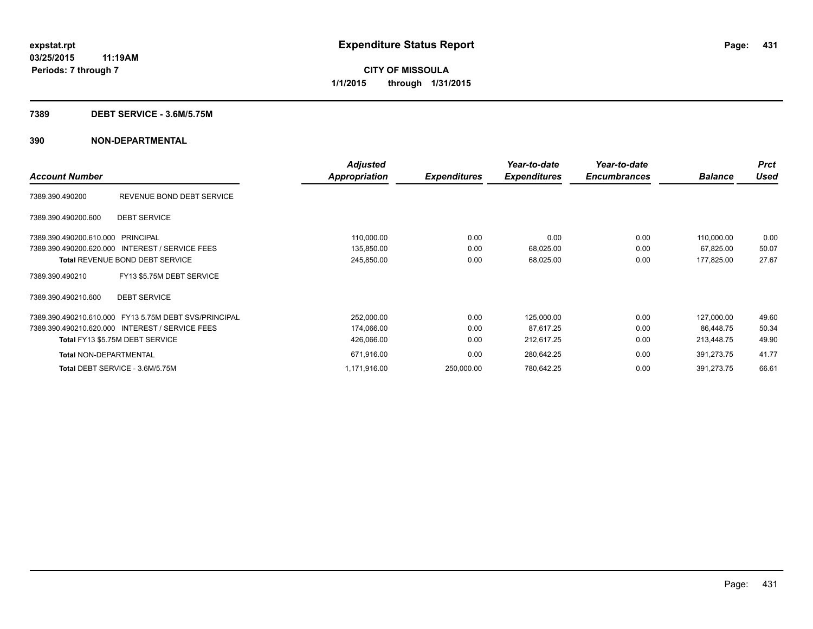### **7389 DEBT SERVICE - 3.6M/5.75M**

|                                                       | <b>Adjusted</b> |                     | Year-to-date        | Year-to-date        |                | <b>Prct</b> |
|-------------------------------------------------------|-----------------|---------------------|---------------------|---------------------|----------------|-------------|
| <b>Account Number</b>                                 | Appropriation   | <b>Expenditures</b> | <b>Expenditures</b> | <b>Encumbrances</b> | <b>Balance</b> | Used        |
| REVENUE BOND DEBT SERVICE<br>7389.390.490200          |                 |                     |                     |                     |                |             |
| <b>DEBT SERVICE</b><br>7389.390.490200.600            |                 |                     |                     |                     |                |             |
| 7389.390.490200.610.000 PRINCIPAL                     | 110,000.00      | 0.00                | 0.00                | 0.00                | 110,000.00     | 0.00        |
| 7389.390.490200.620.000 INTEREST / SERVICE FEES       | 135,850.00      | 0.00                | 68,025.00           | 0.00                | 67,825.00      | 50.07       |
| <b>Total REVENUE BOND DEBT SERVICE</b>                | 245,850.00      | 0.00                | 68,025.00           | 0.00                | 177,825.00     | 27.67       |
| FY13 \$5.75M DEBT SERVICE<br>7389.390.490210          |                 |                     |                     |                     |                |             |
| <b>DEBT SERVICE</b><br>7389.390.490210.600            |                 |                     |                     |                     |                |             |
| 7389.390.490210.610.000 FY13 5.75M DEBT SVS/PRINCIPAL | 252,000.00      | 0.00                | 125,000.00          | 0.00                | 127,000.00     | 49.60       |
| 7389.390.490210.620.000 INTEREST / SERVICE FEES       | 174,066.00      | 0.00                | 87,617.25           | 0.00                | 86.448.75      | 50.34       |
| Total FY13 \$5.75M DEBT SERVICE                       | 426,066.00      | 0.00                | 212,617.25          | 0.00                | 213,448.75     | 49.90       |
| <b>Total NON-DEPARTMENTAL</b>                         | 671,916.00      | 0.00                | 280,642.25          | 0.00                | 391,273.75     | 41.77       |
| Total DEBT SERVICE - 3.6M/5.75M                       | 1,171,916.00    | 250,000.00          | 780,642.25          | 0.00                | 391,273.75     | 66.61       |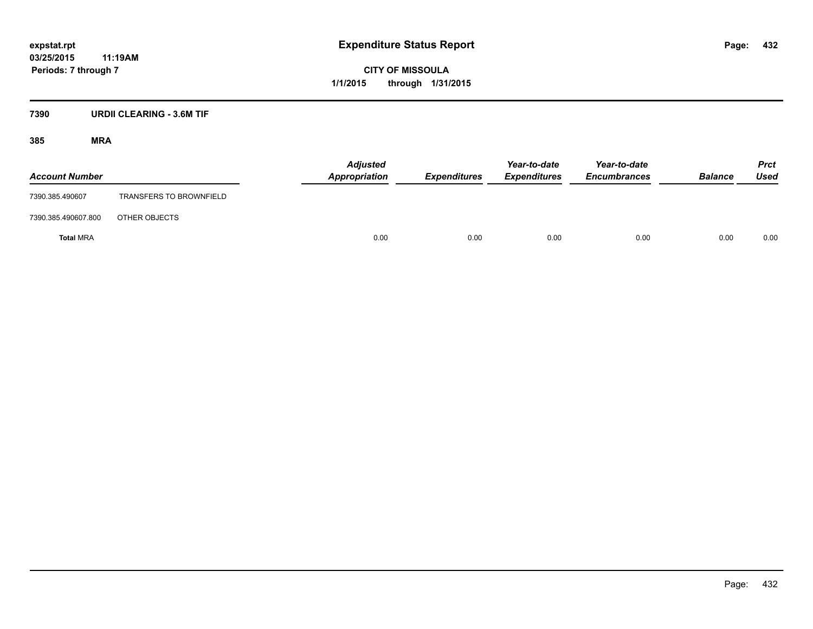## **7390 URDII CLEARING - 3.6M TIF**

| <b>Account Number</b> |                                | <b>Adjusted</b><br>Appropriation | <b>Expenditures</b> | Year-to-date<br><b>Expenditures</b> | Year-to-date<br><b>Encumbrances</b> | <b>Balance</b> | <b>Prct</b><br>Used |
|-----------------------|--------------------------------|----------------------------------|---------------------|-------------------------------------|-------------------------------------|----------------|---------------------|
| 7390.385.490607       | <b>TRANSFERS TO BROWNFIELD</b> |                                  |                     |                                     |                                     |                |                     |
| 7390.385.490607.800   | OTHER OBJECTS                  |                                  |                     |                                     |                                     |                |                     |
| <b>Total MRA</b>      |                                | 0.00                             | 0.00                | 0.00                                | 0.00                                | 0.00           | 0.00                |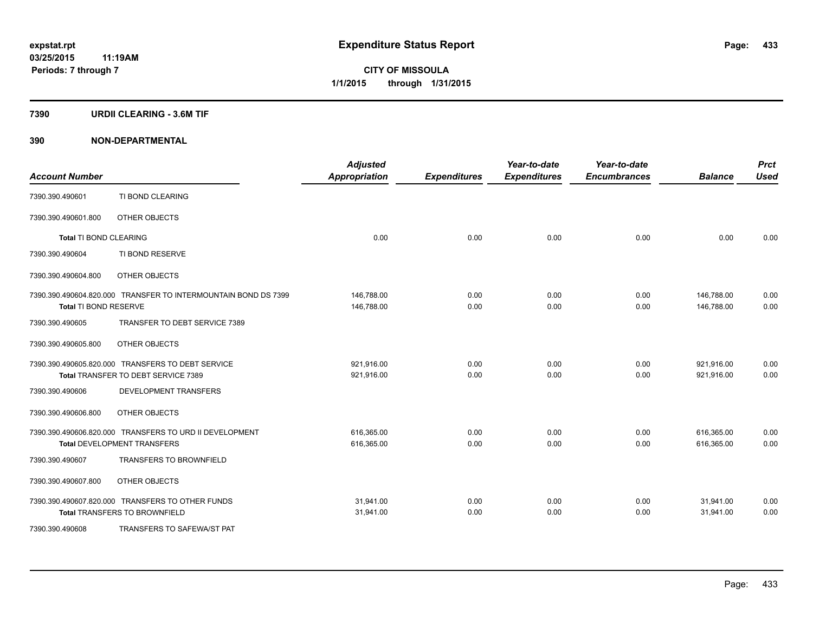#### **7390 URDII CLEARING - 3.6M TIF**

| <b>Account Number</b>         |                                                                | <b>Adjusted</b><br><b>Appropriation</b> | <b>Expenditures</b> | Year-to-date<br><b>Expenditures</b> | Year-to-date<br><b>Encumbrances</b> | <b>Balance</b> | <b>Prct</b><br><b>Used</b> |
|-------------------------------|----------------------------------------------------------------|-----------------------------------------|---------------------|-------------------------------------|-------------------------------------|----------------|----------------------------|
| 7390.390.490601               | TI BOND CLEARING                                               |                                         |                     |                                     |                                     |                |                            |
| 7390.390.490601.800           | OTHER OBJECTS                                                  |                                         |                     |                                     |                                     |                |                            |
| <b>Total TI BOND CLEARING</b> |                                                                | 0.00                                    | 0.00                | 0.00                                | 0.00                                | 0.00           | 0.00                       |
| 7390.390.490604               | TI BOND RESERVE                                                |                                         |                     |                                     |                                     |                |                            |
| 7390.390.490604.800           | OTHER OBJECTS                                                  |                                         |                     |                                     |                                     |                |                            |
|                               | 7390.390.490604.820.000 TRANSFER TO INTERMOUNTAIN BOND DS 7399 | 146,788.00                              | 0.00                | 0.00                                | 0.00                                | 146,788.00     | 0.00                       |
| Total TI BOND RESERVE         |                                                                | 146,788.00                              | 0.00                | 0.00                                | 0.00                                | 146,788.00     | 0.00                       |
| 7390.390.490605               | TRANSFER TO DEBT SERVICE 7389                                  |                                         |                     |                                     |                                     |                |                            |
| 7390.390.490605.800           | OTHER OBJECTS                                                  |                                         |                     |                                     |                                     |                |                            |
|                               | 7390.390.490605.820.000 TRANSFERS TO DEBT SERVICE              | 921,916.00                              | 0.00                | 0.00                                | 0.00                                | 921,916.00     | 0.00                       |
|                               | Total TRANSFER TO DEBT SERVICE 7389                            | 921,916.00                              | 0.00                | 0.00                                | 0.00                                | 921,916.00     | 0.00                       |
| 7390.390.490606               | DEVELOPMENT TRANSFERS                                          |                                         |                     |                                     |                                     |                |                            |
| 7390.390.490606.800           | OTHER OBJECTS                                                  |                                         |                     |                                     |                                     |                |                            |
|                               | 7390.390.490606.820.000 TRANSFERS TO URD II DEVELOPMENT        | 616,365.00                              | 0.00                | 0.00                                | 0.00                                | 616,365.00     | 0.00                       |
|                               | <b>Total DEVELOPMENT TRANSFERS</b>                             | 616,365.00                              | 0.00                | 0.00                                | 0.00                                | 616,365.00     | 0.00                       |
| 7390.390.490607               | <b>TRANSFERS TO BROWNFIELD</b>                                 |                                         |                     |                                     |                                     |                |                            |
| 7390.390.490607.800           | OTHER OBJECTS                                                  |                                         |                     |                                     |                                     |                |                            |
|                               | 7390.390.490607.820.000 TRANSFERS TO OTHER FUNDS               | 31,941.00                               | 0.00                | 0.00                                | 0.00                                | 31,941.00      | 0.00                       |
|                               | <b>Total TRANSFERS TO BROWNFIELD</b>                           | 31,941.00                               | 0.00                | 0.00                                | 0.00                                | 31,941.00      | 0.00                       |
| 7390.390.490608               | TRANSFERS TO SAFEWA/ST PAT                                     |                                         |                     |                                     |                                     |                |                            |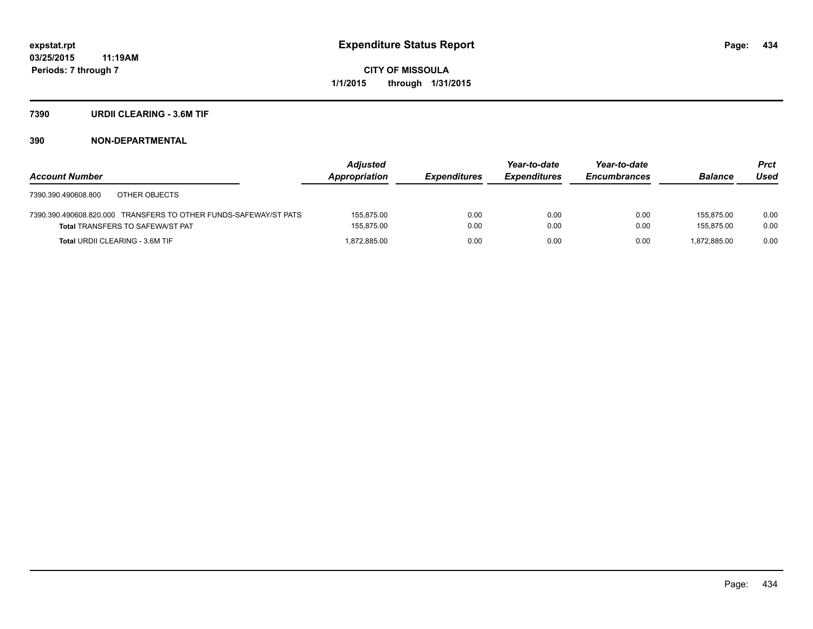#### **7390 URDII CLEARING - 3.6M TIF**

|                                                                  | <b>Adjusted</b> |                     | Year-to-date        | Year-to-date        |                | <b>Prct</b> |
|------------------------------------------------------------------|-----------------|---------------------|---------------------|---------------------|----------------|-------------|
| <b>Account Number</b>                                            | Appropriation   | <b>Expenditures</b> | <b>Expenditures</b> | <b>Encumbrances</b> | <b>Balance</b> | Used        |
| OTHER OBJECTS<br>7390.390.490608.800                             |                 |                     |                     |                     |                |             |
| 7390.390.490608.820.000 TRANSFERS TO OTHER FUNDS-SAFEWAY/ST PATS | 155.875.00      | 0.00                | 0.00                | 0.00                | 155.875.00     | 0.00        |
| <b>Total TRANSFERS TO SAFEWA/ST PAT</b>                          | 155,875.00      | 0.00                | 0.00                | 0.00                | 155.875.00     | 0.00        |
| <b>Total URDII CLEARING - 3.6M TIF</b>                           | 1.872.885.00    | 0.00                | 0.00                | 0.00                | 1.872.885.00   | 0.00        |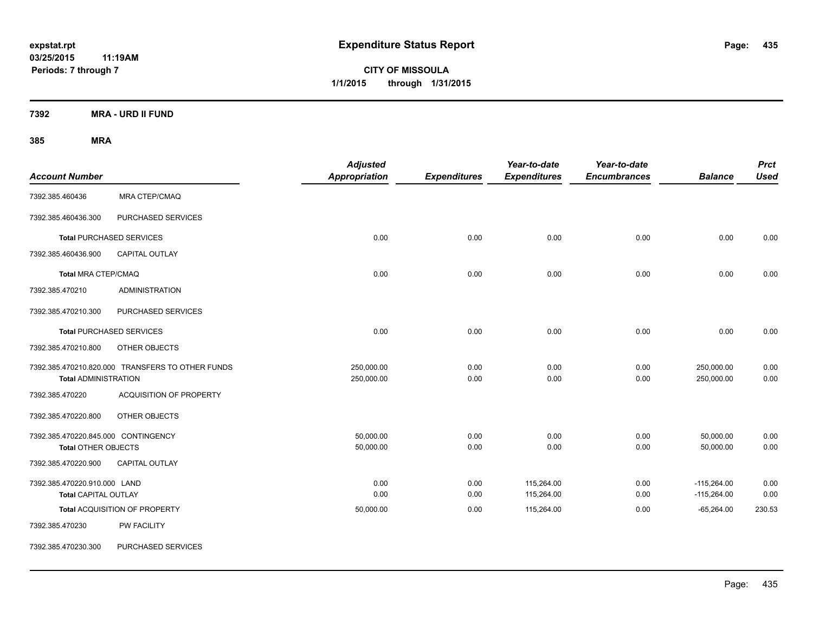**CITY OF MISSOULA 1/1/2015 through 1/31/2015**

**7392 MRA - URD II FUND**

| <b>Account Number</b>                                             |                                                  | <b>Adjusted</b><br>Appropriation | <b>Expenditures</b> | Year-to-date<br><b>Expenditures</b> | Year-to-date<br><b>Encumbrances</b> | <b>Balance</b>                 | <b>Prct</b><br><b>Used</b> |
|-------------------------------------------------------------------|--------------------------------------------------|----------------------------------|---------------------|-------------------------------------|-------------------------------------|--------------------------------|----------------------------|
| 7392.385.460436                                                   | MRA CTEP/CMAQ                                    |                                  |                     |                                     |                                     |                                |                            |
| 7392.385.460436.300                                               | PURCHASED SERVICES                               |                                  |                     |                                     |                                     |                                |                            |
|                                                                   | <b>Total PURCHASED SERVICES</b>                  | 0.00                             | 0.00                | 0.00                                | 0.00                                | 0.00                           | 0.00                       |
| 7392.385.460436.900                                               | CAPITAL OUTLAY                                   |                                  |                     |                                     |                                     |                                |                            |
| <b>Total MRA CTEP/CMAQ</b>                                        |                                                  | 0.00                             | 0.00                | 0.00                                | 0.00                                | 0.00                           | 0.00                       |
| 7392.385.470210                                                   | <b>ADMINISTRATION</b>                            |                                  |                     |                                     |                                     |                                |                            |
| 7392.385.470210.300                                               | PURCHASED SERVICES                               |                                  |                     |                                     |                                     |                                |                            |
|                                                                   | <b>Total PURCHASED SERVICES</b>                  | 0.00                             | 0.00                | 0.00                                | 0.00                                | 0.00                           | 0.00                       |
| 7392.385.470210.800                                               | OTHER OBJECTS                                    |                                  |                     |                                     |                                     |                                |                            |
| <b>Total ADMINISTRATION</b>                                       | 7392.385.470210.820.000 TRANSFERS TO OTHER FUNDS | 250,000.00<br>250,000.00         | 0.00<br>0.00        | 0.00<br>0.00                        | 0.00<br>0.00                        | 250,000.00<br>250,000.00       | 0.00<br>0.00               |
| 7392.385.470220                                                   | <b>ACQUISITION OF PROPERTY</b>                   |                                  |                     |                                     |                                     |                                |                            |
| 7392.385.470220.800                                               | OTHER OBJECTS                                    |                                  |                     |                                     |                                     |                                |                            |
| 7392.385.470220.845.000 CONTINGENCY<br><b>Total OTHER OBJECTS</b> |                                                  | 50,000.00<br>50,000.00           | 0.00<br>0.00        | 0.00<br>0.00                        | 0.00<br>0.00                        | 50,000.00<br>50,000.00         | 0.00<br>0.00               |
| 7392.385.470220.900                                               | <b>CAPITAL OUTLAY</b>                            |                                  |                     |                                     |                                     |                                |                            |
| 7392.385.470220.910.000 LAND<br><b>Total CAPITAL OUTLAY</b>       |                                                  | 0.00<br>0.00                     | 0.00<br>0.00        | 115,264.00<br>115,264.00            | 0.00<br>0.00                        | $-115,264.00$<br>$-115,264.00$ | 0.00<br>0.00               |
|                                                                   | Total ACQUISITION OF PROPERTY                    | 50,000.00                        | 0.00                | 115,264.00                          | 0.00                                | $-65,264.00$                   | 230.53                     |
| 7392.385.470230                                                   | <b>PW FACILITY</b>                               |                                  |                     |                                     |                                     |                                |                            |
| 7392.385.470230.300                                               | PURCHASED SERVICES                               |                                  |                     |                                     |                                     |                                |                            |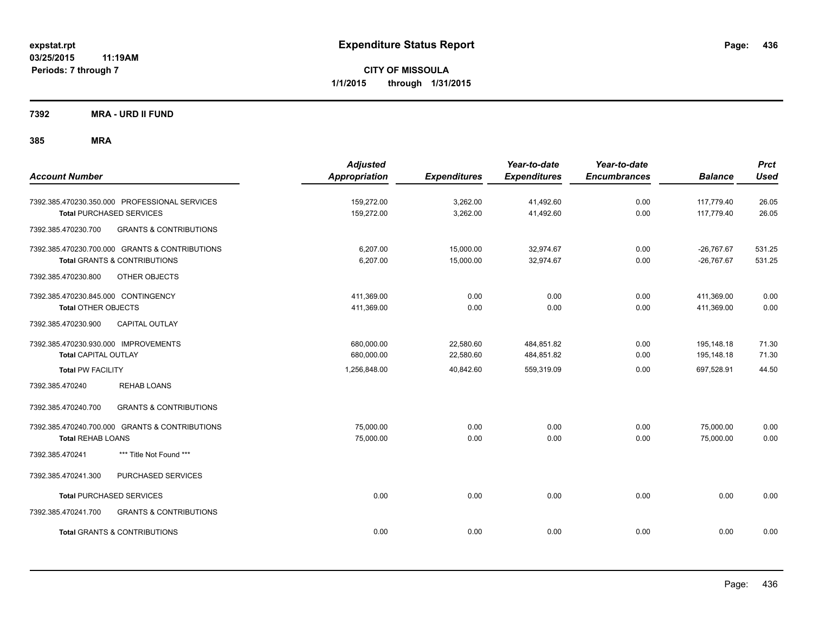**CITY OF MISSOULA 1/1/2015 through 1/31/2015**

**7392 MRA - URD II FUND**

| <b>Account Number</b>                                                                                             | <b>Adjusted</b><br>Appropriation | <b>Expenditures</b>    | Year-to-date<br><b>Expenditures</b> | Year-to-date<br><b>Encumbrances</b> | <b>Balance</b>               | <b>Prct</b><br><b>Used</b> |
|-------------------------------------------------------------------------------------------------------------------|----------------------------------|------------------------|-------------------------------------|-------------------------------------|------------------------------|----------------------------|
| 7392.385.470230.350.000 PROFESSIONAL SERVICES<br><b>Total PURCHASED SERVICES</b>                                  | 159,272.00<br>159,272.00         | 3,262.00<br>3,262.00   | 41,492.60<br>41,492.60              | 0.00<br>0.00                        | 117,779.40<br>117,779.40     | 26.05<br>26.05             |
| <b>GRANTS &amp; CONTRIBUTIONS</b><br>7392.385.470230.700                                                          |                                  |                        |                                     |                                     |                              |                            |
| 7392.385.470230.700.000 GRANTS & CONTRIBUTIONS<br><b>Total GRANTS &amp; CONTRIBUTIONS</b>                         | 6,207.00<br>6,207.00             | 15,000.00<br>15,000.00 | 32,974.67<br>32,974.67              | 0.00<br>0.00                        | $-26,767.67$<br>$-26,767.67$ | 531.25<br>531.25           |
| 7392.385.470230.800<br>OTHER OBJECTS                                                                              |                                  |                        |                                     |                                     |                              |                            |
| 7392.385.470230.845.000 CONTINGENCY<br><b>Total OTHER OBJECTS</b><br>7392.385.470230.900<br><b>CAPITAL OUTLAY</b> | 411,369.00<br>411,369.00         | 0.00<br>0.00           | 0.00<br>0.00                        | 0.00<br>0.00                        | 411,369.00<br>411,369.00     | 0.00<br>0.00               |
| 7392.385.470230.930.000 IMPROVEMENTS<br><b>Total CAPITAL OUTLAY</b>                                               | 680,000.00<br>680,000.00         | 22,580.60<br>22,580.60 | 484,851.82<br>484,851.82            | 0.00<br>0.00                        | 195,148.18<br>195,148.18     | 71.30<br>71.30             |
| <b>Total PW FACILITY</b>                                                                                          | 1,256,848.00                     | 40,842.60              | 559,319.09                          | 0.00                                | 697,528.91                   | 44.50                      |
| 7392.385.470240<br><b>REHAB LOANS</b>                                                                             |                                  |                        |                                     |                                     |                              |                            |
| <b>GRANTS &amp; CONTRIBUTIONS</b><br>7392.385.470240.700                                                          |                                  |                        |                                     |                                     |                              |                            |
| 7392.385.470240.700.000 GRANTS & CONTRIBUTIONS<br><b>Total REHAB LOANS</b>                                        | 75,000.00<br>75,000.00           | 0.00<br>0.00           | 0.00<br>0.00                        | 0.00<br>0.00                        | 75,000.00<br>75,000.00       | 0.00<br>0.00               |
| *** Title Not Found ***<br>7392.385.470241                                                                        |                                  |                        |                                     |                                     |                              |                            |
| PURCHASED SERVICES<br>7392.385.470241.300                                                                         |                                  |                        |                                     |                                     |                              |                            |
| <b>Total PURCHASED SERVICES</b>                                                                                   | 0.00                             | 0.00                   | 0.00                                | 0.00                                | 0.00                         | 0.00                       |
| 7392.385.470241.700<br><b>GRANTS &amp; CONTRIBUTIONS</b>                                                          |                                  |                        |                                     |                                     |                              |                            |
| <b>Total GRANTS &amp; CONTRIBUTIONS</b>                                                                           | 0.00                             | 0.00                   | 0.00                                | 0.00                                | 0.00                         | 0.00                       |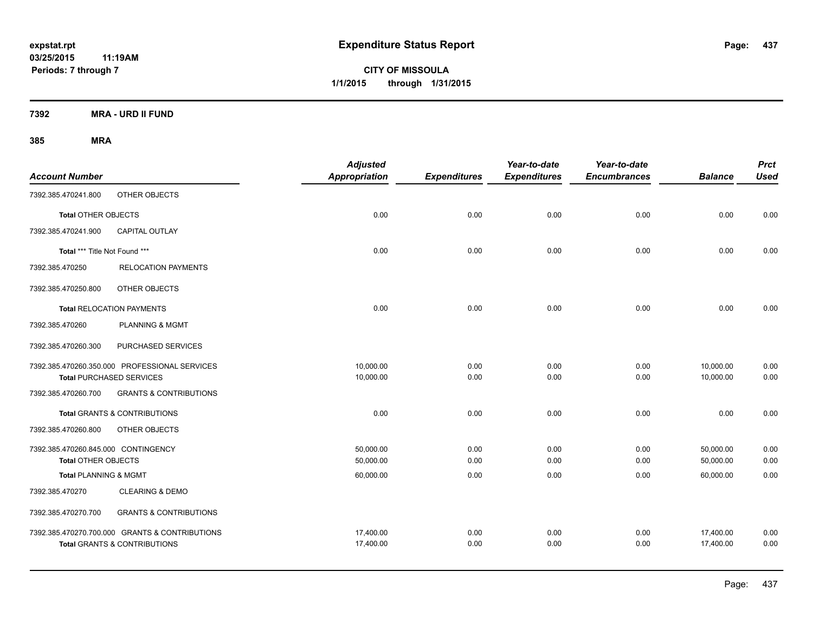**CITY OF MISSOULA 1/1/2015 through 1/31/2015**

**7392 MRA - URD II FUND**

| <b>Account Number</b>               |                                                | <b>Adjusted</b><br>Appropriation | <b>Expenditures</b> | Year-to-date<br><b>Expenditures</b> | Year-to-date<br><b>Encumbrances</b> | <b>Balance</b> | <b>Prct</b><br><b>Used</b> |
|-------------------------------------|------------------------------------------------|----------------------------------|---------------------|-------------------------------------|-------------------------------------|----------------|----------------------------|
| 7392.385.470241.800                 | OTHER OBJECTS                                  |                                  |                     |                                     |                                     |                |                            |
| <b>Total OTHER OBJECTS</b>          |                                                | 0.00                             | 0.00                | 0.00                                | 0.00                                | 0.00           | 0.00                       |
| 7392.385.470241.900                 | <b>CAPITAL OUTLAY</b>                          |                                  |                     |                                     |                                     |                |                            |
| Total *** Title Not Found ***       |                                                | 0.00                             | 0.00                | 0.00                                | 0.00                                | 0.00           | 0.00                       |
| 7392.385.470250                     | <b>RELOCATION PAYMENTS</b>                     |                                  |                     |                                     |                                     |                |                            |
| 7392.385.470250.800                 | OTHER OBJECTS                                  |                                  |                     |                                     |                                     |                |                            |
|                                     | <b>Total RELOCATION PAYMENTS</b>               | 0.00                             | 0.00                | 0.00                                | 0.00                                | 0.00           | 0.00                       |
| 7392.385.470260                     | PLANNING & MGMT                                |                                  |                     |                                     |                                     |                |                            |
| 7392.385.470260.300                 | PURCHASED SERVICES                             |                                  |                     |                                     |                                     |                |                            |
|                                     | 7392.385.470260.350.000 PROFESSIONAL SERVICES  | 10,000.00                        | 0.00                | 0.00                                | 0.00                                | 10,000.00      | 0.00                       |
|                                     | <b>Total PURCHASED SERVICES</b>                | 10,000.00                        | 0.00                | 0.00                                | 0.00                                | 10,000.00      | 0.00                       |
| 7392.385.470260.700                 | <b>GRANTS &amp; CONTRIBUTIONS</b>              |                                  |                     |                                     |                                     |                |                            |
|                                     | <b>Total GRANTS &amp; CONTRIBUTIONS</b>        | 0.00                             | 0.00                | 0.00                                | 0.00                                | 0.00           | 0.00                       |
| 7392.385.470260.800                 | <b>OTHER OBJECTS</b>                           |                                  |                     |                                     |                                     |                |                            |
| 7392.385.470260.845.000 CONTINGENCY |                                                | 50,000.00                        | 0.00                | 0.00                                | 0.00                                | 50,000.00      | 0.00                       |
| <b>Total OTHER OBJECTS</b>          |                                                | 50,000.00                        | 0.00                | 0.00                                | 0.00                                | 50,000.00      | 0.00                       |
| <b>Total PLANNING &amp; MGMT</b>    |                                                | 60,000.00                        | 0.00                | 0.00                                | 0.00                                | 60,000.00      | 0.00                       |
| 7392.385.470270                     | <b>CLEARING &amp; DEMO</b>                     |                                  |                     |                                     |                                     |                |                            |
| 7392.385.470270.700                 | <b>GRANTS &amp; CONTRIBUTIONS</b>              |                                  |                     |                                     |                                     |                |                            |
|                                     | 7392.385.470270.700.000 GRANTS & CONTRIBUTIONS | 17,400.00                        | 0.00                | 0.00                                | 0.00                                | 17,400.00      | 0.00                       |
|                                     | <b>Total GRANTS &amp; CONTRIBUTIONS</b>        | 17,400.00                        | 0.00                | 0.00                                | 0.00                                | 17,400.00      | 0.00                       |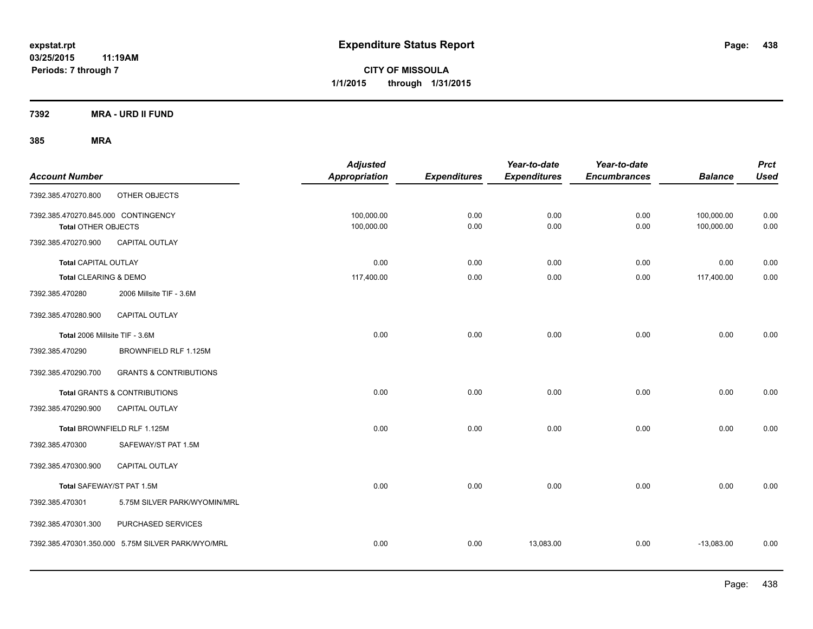**CITY OF MISSOULA 1/1/2015 through 1/31/2015**

**7392 MRA - URD II FUND**

| <b>Account Number</b>                                             |                                                   | <b>Adjusted</b><br><b>Appropriation</b> | <b>Expenditures</b> | Year-to-date<br><b>Expenditures</b> | Year-to-date<br><b>Encumbrances</b> | <b>Balance</b>           | <b>Prct</b><br><b>Used</b> |
|-------------------------------------------------------------------|---------------------------------------------------|-----------------------------------------|---------------------|-------------------------------------|-------------------------------------|--------------------------|----------------------------|
| 7392.385.470270.800                                               | OTHER OBJECTS                                     |                                         |                     |                                     |                                     |                          |                            |
| 7392.385.470270.845.000 CONTINGENCY<br><b>Total OTHER OBJECTS</b> |                                                   | 100,000.00<br>100,000.00                | 0.00<br>0.00        | 0.00<br>0.00                        | 0.00<br>0.00                        | 100,000.00<br>100,000.00 | 0.00<br>0.00               |
| 7392.385.470270.900                                               | CAPITAL OUTLAY                                    |                                         |                     |                                     |                                     |                          |                            |
| <b>Total CAPITAL OUTLAY</b>                                       |                                                   | 0.00                                    | 0.00                | 0.00                                | 0.00                                | 0.00                     | 0.00                       |
| Total CLEARING & DEMO                                             |                                                   | 117,400.00                              | 0.00                | 0.00                                | 0.00                                | 117,400.00               | 0.00                       |
| 7392.385.470280                                                   | 2006 Millsite TIF - 3.6M                          |                                         |                     |                                     |                                     |                          |                            |
| 7392.385.470280.900                                               | CAPITAL OUTLAY                                    |                                         |                     |                                     |                                     |                          |                            |
| Total 2006 Millsite TIF - 3.6M                                    |                                                   | 0.00                                    | 0.00                | 0.00                                | 0.00                                | 0.00                     | 0.00                       |
| 7392.385.470290                                                   | BROWNFIELD RLF 1.125M                             |                                         |                     |                                     |                                     |                          |                            |
| 7392.385.470290.700                                               | <b>GRANTS &amp; CONTRIBUTIONS</b>                 |                                         |                     |                                     |                                     |                          |                            |
|                                                                   | Total GRANTS & CONTRIBUTIONS                      | 0.00                                    | 0.00                | 0.00                                | 0.00                                | 0.00                     | 0.00                       |
| 7392.385.470290.900                                               | <b>CAPITAL OUTLAY</b>                             |                                         |                     |                                     |                                     |                          |                            |
|                                                                   | Total BROWNFIELD RLF 1.125M                       | 0.00                                    | 0.00                | 0.00                                | 0.00                                | 0.00                     | 0.00                       |
| 7392.385.470300                                                   | SAFEWAY/ST PAT 1.5M                               |                                         |                     |                                     |                                     |                          |                            |
| 7392.385.470300.900                                               | CAPITAL OUTLAY                                    |                                         |                     |                                     |                                     |                          |                            |
| Total SAFEWAY/ST PAT 1.5M                                         |                                                   | 0.00                                    | 0.00                | 0.00                                | 0.00                                | 0.00                     | 0.00                       |
| 7392.385.470301                                                   | 5.75M SILVER PARK/WYOMIN/MRL                      |                                         |                     |                                     |                                     |                          |                            |
| 7392.385.470301.300                                               | PURCHASED SERVICES                                |                                         |                     |                                     |                                     |                          |                            |
|                                                                   | 7392.385.470301.350.000 5.75M SILVER PARK/WYO/MRL | 0.00                                    | 0.00                | 13,083.00                           | 0.00                                | $-13,083.00$             | 0.00                       |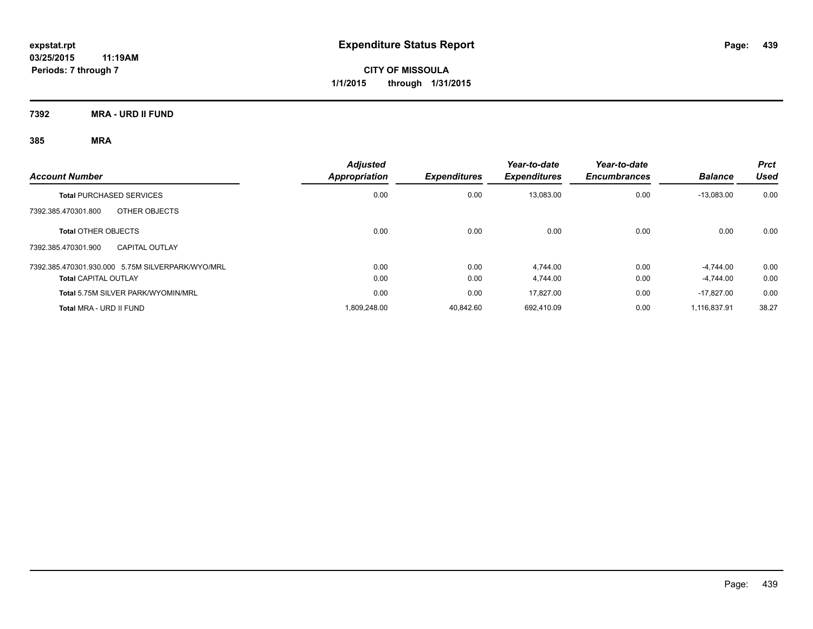**Periods: 7 through 7**

**CITY OF MISSOULA 1/1/2015 through 1/31/2015**

**7392 MRA - URD II FUND**

|                                                  | <b>Adjusted</b>      |                     | Year-to-date        | Year-to-date        |                | Prct  |
|--------------------------------------------------|----------------------|---------------------|---------------------|---------------------|----------------|-------|
| <b>Account Number</b>                            | <b>Appropriation</b> | <b>Expenditures</b> | <b>Expenditures</b> | <b>Encumbrances</b> | <b>Balance</b> | Used  |
| <b>Total PURCHASED SERVICES</b>                  | 0.00                 | 0.00                | 13,083.00           | 0.00                | $-13,083.00$   | 0.00  |
| 7392.385.470301.800<br>OTHER OBJECTS             |                      |                     |                     |                     |                |       |
| <b>Total OTHER OBJECTS</b>                       | 0.00                 | 0.00                | 0.00                | 0.00                | 0.00           | 0.00  |
| 7392.385.470301.900<br><b>CAPITAL OUTLAY</b>     |                      |                     |                     |                     |                |       |
| 7392.385.470301.930.000 5.75M SILVERPARK/WYO/MRL | 0.00                 | 0.00                | 4.744.00            | 0.00                | $-4.744.00$    | 0.00  |
| <b>Total CAPITAL OUTLAY</b>                      | 0.00                 | 0.00                | 4.744.00            | 0.00                | $-4.744.00$    | 0.00  |
| Total 5.75M SILVER PARK/WYOMIN/MRL               | 0.00                 | 0.00                | 17.827.00           | 0.00                | $-17.827.00$   | 0.00  |
| Total MRA - URD II FUND                          | 1.809.248.00         | 40.842.60           | 692.410.09          | 0.00                | 1.116.837.91   | 38.27 |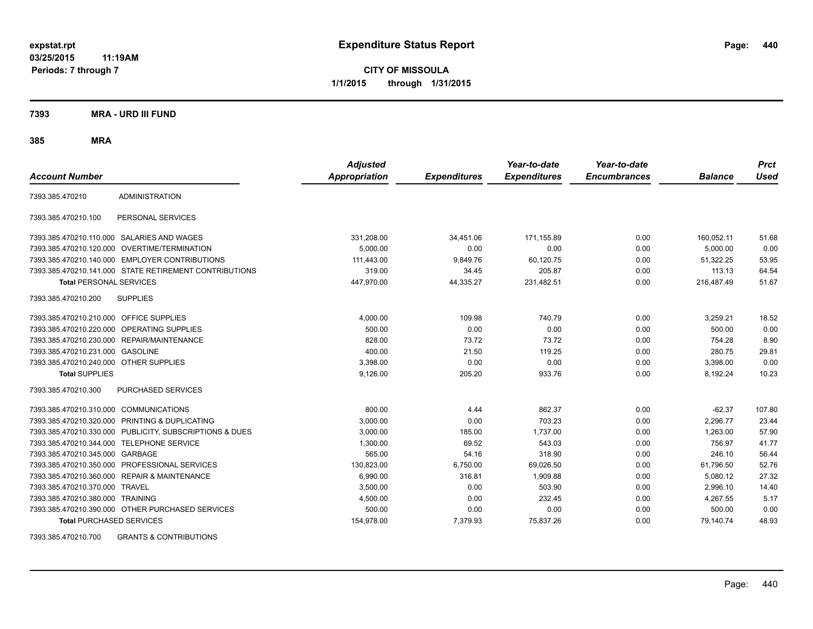**CITY OF MISSOULA 1/1/2015 through 1/31/2015**

**7393 MRA - URD III FUND**

**385 MRA**

| <b>Account Number</b>                   |                                                         | <b>Adjusted</b><br><b>Appropriation</b> | <b>Expenditures</b> | Year-to-date<br><b>Expenditures</b> | Year-to-date<br><b>Encumbrances</b> | <b>Balance</b> | <b>Prct</b><br><b>Used</b> |
|-----------------------------------------|---------------------------------------------------------|-----------------------------------------|---------------------|-------------------------------------|-------------------------------------|----------------|----------------------------|
| 7393.385.470210                         | <b>ADMINISTRATION</b>                                   |                                         |                     |                                     |                                     |                |                            |
| 7393.385.470210.100                     | PERSONAL SERVICES                                       |                                         |                     |                                     |                                     |                |                            |
|                                         | 7393.385.470210.110.000 SALARIES AND WAGES              | 331,208.00                              | 34,451.06           | 171,155.89                          | 0.00                                | 160,052.11     | 51.68                      |
|                                         | 7393.385.470210.120.000 OVERTIME/TERMINATION            | 5.000.00                                | 0.00                | 0.00                                | 0.00                                | 5.000.00       | 0.00                       |
|                                         | 7393.385.470210.140.000 EMPLOYER CONTRIBUTIONS          | 111,443.00                              | 9,849.76            | 60,120.75                           | 0.00                                | 51,322.25      | 53.95                      |
|                                         | 7393.385.470210.141.000 STATE RETIREMENT CONTRIBUTIONS  | 319.00                                  | 34.45               | 205.87                              | 0.00                                | 113.13         | 64.54                      |
| <b>Total PERSONAL SERVICES</b>          |                                                         | 447,970.00                              | 44,335.27           | 231,482.51                          | 0.00                                | 216,487.49     | 51.67                      |
| 7393.385.470210.200                     | <b>SUPPLIES</b>                                         |                                         |                     |                                     |                                     |                |                            |
| 7393.385.470210.210.000 OFFICE SUPPLIES |                                                         | 4,000.00                                | 109.98              | 740.79                              | 0.00                                | 3,259.21       | 18.52                      |
|                                         | 7393.385.470210.220.000 OPERATING SUPPLIES              | 500.00                                  | 0.00                | 0.00                                | 0.00                                | 500.00         | 0.00                       |
| 7393.385.470210.230.000                 | REPAIR/MAINTENANCE                                      | 828.00                                  | 73.72               | 73.72                               | 0.00                                | 754.28         | 8.90                       |
| 7393.385.470210.231.000                 | <b>GASOLINE</b>                                         | 400.00                                  | 21.50               | 119.25                              | 0.00                                | 280.75         | 29.81                      |
| 7393.385.470210.240.000 OTHER SUPPLIES  |                                                         | 3,398.00                                | 0.00                | 0.00                                | 0.00                                | 3,398.00       | 0.00                       |
| <b>Total SUPPLIES</b>                   |                                                         | 9,126.00                                | 205.20              | 933.76                              | 0.00                                | 8,192.24       | 10.23                      |
| 7393.385.470210.300                     | <b>PURCHASED SERVICES</b>                               |                                         |                     |                                     |                                     |                |                            |
| 7393.385.470210.310.000 COMMUNICATIONS  |                                                         | 800.00                                  | 4.44                | 862.37                              | 0.00                                | $-62.37$       | 107.80                     |
| 7393.385.470210.320.000                 | PRINTING & DUPLICATING                                  | 3,000.00                                | 0.00                | 703.23                              | 0.00                                | 2,296.77       | 23.44                      |
|                                         | 7393.385.470210.330.000 PUBLICITY, SUBSCRIPTIONS & DUES | 3,000.00                                | 185.00              | 1,737.00                            | 0.00                                | 1,263.00       | 57.90                      |
| 7393.385.470210.344.000                 | TELEPHONE SERVICE                                       | 1,300.00                                | 69.52               | 543.03                              | 0.00                                | 756.97         | 41.77                      |
| 7393.385.470210.345.000 GARBAGE         |                                                         | 565.00                                  | 54.16               | 318.90                              | 0.00                                | 246.10         | 56.44                      |
|                                         | 7393.385.470210.350.000 PROFESSIONAL SERVICES           | 130.823.00                              | 6,750.00            | 69,026.50                           | 0.00                                | 61,796.50      | 52.76                      |
|                                         | 7393.385.470210.360.000 REPAIR & MAINTENANCE            | 6,990.00                                | 316.81              | 1,909.88                            | 0.00                                | 5,080.12       | 27.32                      |
| 7393.385.470210.370.000 TRAVEL          |                                                         | 3,500.00                                | 0.00                | 503.90                              | 0.00                                | 2,996.10       | 14.40                      |
| 7393.385.470210.380.000 TRAINING        |                                                         | 4,500.00                                | 0.00                | 232.45                              | 0.00                                | 4,267.55       | 5.17                       |
|                                         | 7393.385.470210.390.000 OTHER PURCHASED SERVICES        | 500.00                                  | 0.00                | 0.00                                | 0.00                                | 500.00         | 0.00                       |
| <b>Total PURCHASED SERVICES</b>         |                                                         | 154,978.00                              | 7,379.93            | 75,837.26                           | 0.00                                | 79,140.74      | 48.93                      |

7393.385.470210.700 GRANTS & CONTRIBUTIONS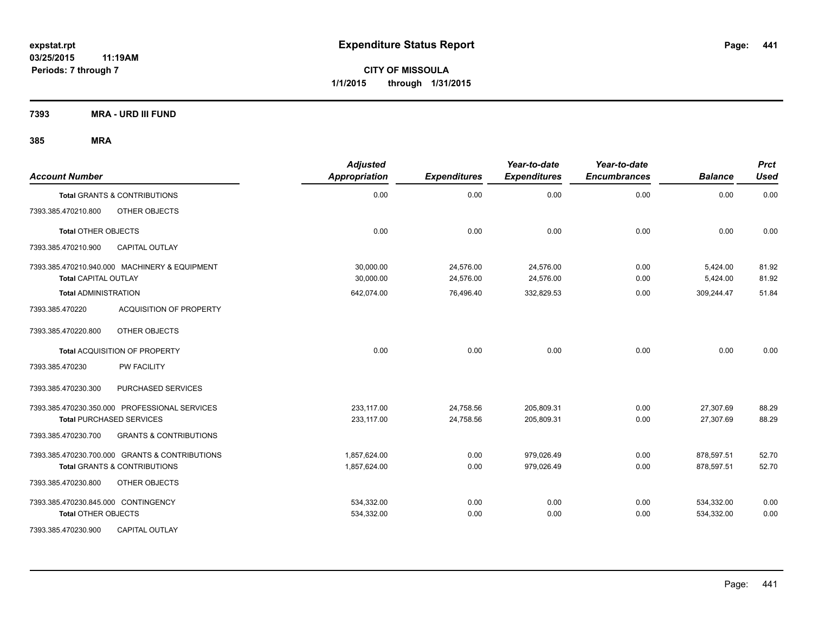**Periods: 7 through 7**

**CITY OF MISSOULA 1/1/2015 through 1/31/2015**

**7393 MRA - URD III FUND**

| <b>Account Number</b>                                                        | <b>Adjusted</b><br><b>Appropriation</b> | <b>Expenditures</b>    | Year-to-date<br><b>Expenditures</b> | Year-to-date<br><b>Encumbrances</b> | <b>Balance</b>       | <b>Prct</b><br><b>Used</b> |
|------------------------------------------------------------------------------|-----------------------------------------|------------------------|-------------------------------------|-------------------------------------|----------------------|----------------------------|
| Total GRANTS & CONTRIBUTIONS                                                 | 0.00                                    | 0.00                   | 0.00                                | 0.00                                | 0.00                 | 0.00                       |
| OTHER OBJECTS<br>7393.385.470210.800                                         |                                         |                        |                                     |                                     |                      |                            |
| <b>Total OTHER OBJECTS</b>                                                   | 0.00                                    | 0.00                   | 0.00                                | 0.00                                | 0.00                 | 0.00                       |
| <b>CAPITAL OUTLAY</b><br>7393.385.470210.900                                 |                                         |                        |                                     |                                     |                      |                            |
| 7393.385.470210.940.000 MACHINERY & EQUIPMENT<br><b>Total CAPITAL OUTLAY</b> | 30,000.00<br>30,000.00                  | 24,576.00<br>24,576.00 | 24,576.00<br>24,576.00              | 0.00<br>0.00                        | 5,424.00<br>5,424.00 | 81.92<br>81.92             |
| <b>Total ADMINISTRATION</b>                                                  | 642,074.00                              | 76,496.40              | 332,829.53                          | 0.00                                | 309,244.47           | 51.84                      |
| 7393.385.470220<br><b>ACQUISITION OF PROPERTY</b>                            |                                         |                        |                                     |                                     |                      |                            |
| 7393.385.470220.800<br>OTHER OBJECTS                                         |                                         |                        |                                     |                                     |                      |                            |
| Total ACQUISITION OF PROPERTY                                                | 0.00                                    | 0.00                   | 0.00                                | 0.00                                | 0.00                 | 0.00                       |
| PW FACILITY<br>7393.385.470230                                               |                                         |                        |                                     |                                     |                      |                            |
| 7393.385.470230.300<br>PURCHASED SERVICES                                    |                                         |                        |                                     |                                     |                      |                            |
| 7393.385.470230.350.000 PROFESSIONAL SERVICES                                | 233,117.00                              | 24,758.56              | 205,809.31                          | 0.00                                | 27,307.69            | 88.29                      |
| <b>Total PURCHASED SERVICES</b>                                              | 233,117.00                              | 24,758.56              | 205,809.31                          | 0.00                                | 27,307.69            | 88.29                      |
| 7393.385.470230.700<br><b>GRANTS &amp; CONTRIBUTIONS</b>                     |                                         |                        |                                     |                                     |                      |                            |
| 7393.385.470230.700.000 GRANTS & CONTRIBUTIONS                               | 1,857,624.00                            | 0.00                   | 979,026.49                          | 0.00                                | 878,597.51           | 52.70                      |
| <b>Total GRANTS &amp; CONTRIBUTIONS</b>                                      | 1,857,624.00                            | 0.00                   | 979.026.49                          | 0.00                                | 878,597.51           | 52.70                      |
| 7393.385.470230.800<br>OTHER OBJECTS                                         |                                         |                        |                                     |                                     |                      |                            |
| 7393.385.470230.845.000 CONTINGENCY                                          | 534,332.00                              | 0.00                   | 0.00                                | 0.00                                | 534,332.00           | 0.00                       |
| <b>Total OTHER OBJECTS</b>                                                   | 534,332.00                              | 0.00                   | 0.00                                | 0.00                                | 534,332.00           | 0.00                       |
| 7393.385.470230.900<br><b>CAPITAL OUTLAY</b>                                 |                                         |                        |                                     |                                     |                      |                            |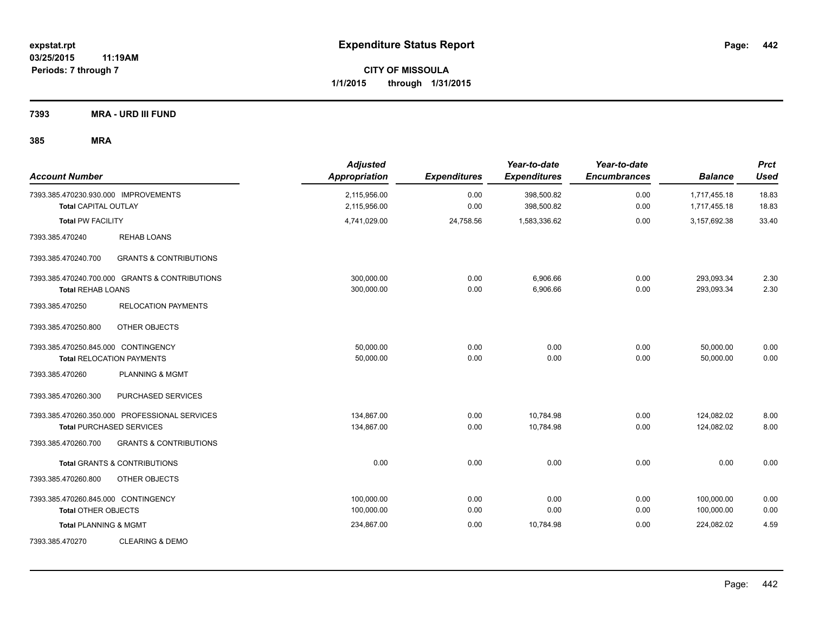**CITY OF MISSOULA 1/1/2015 through 1/31/2015**

**7393 MRA - URD III FUND**

| <b>Account Number</b>                                               |                                                                                  | <b>Adjusted</b><br>Appropriation | <b>Expenditures</b> | Year-to-date<br><b>Expenditures</b> | Year-to-date<br><b>Encumbrances</b> | <b>Balance</b>               | <b>Prct</b><br><b>Used</b> |
|---------------------------------------------------------------------|----------------------------------------------------------------------------------|----------------------------------|---------------------|-------------------------------------|-------------------------------------|------------------------------|----------------------------|
| 7393.385.470230.930.000 IMPROVEMENTS<br><b>Total CAPITAL OUTLAY</b> |                                                                                  | 2,115,956.00<br>2,115,956.00     | 0.00<br>0.00        | 398,500.82<br>398,500.82            | 0.00<br>0.00                        | 1,717,455.18<br>1,717,455.18 | 18.83<br>18.83             |
| <b>Total PW FACILITY</b>                                            |                                                                                  | 4,741,029.00                     | 24,758.56           | 1,583,336.62                        | 0.00                                | 3,157,692.38                 | 33.40                      |
| 7393.385.470240                                                     | <b>REHAB LOANS</b>                                                               |                                  |                     |                                     |                                     |                              |                            |
| 7393.385.470240.700                                                 | <b>GRANTS &amp; CONTRIBUTIONS</b>                                                |                                  |                     |                                     |                                     |                              |                            |
| <b>Total REHAB LOANS</b>                                            | 7393.385.470240.700.000 GRANTS & CONTRIBUTIONS                                   | 300,000.00<br>300,000.00         | 0.00<br>0.00        | 6,906.66<br>6,906.66                | 0.00<br>0.00                        | 293,093.34<br>293,093.34     | 2.30<br>2.30               |
| 7393.385.470250                                                     | <b>RELOCATION PAYMENTS</b>                                                       |                                  |                     |                                     |                                     |                              |                            |
| 7393.385.470250.800                                                 | OTHER OBJECTS                                                                    |                                  |                     |                                     |                                     |                              |                            |
| 7393.385.470250.845.000 CONTINGENCY                                 | <b>Total RELOCATION PAYMENTS</b>                                                 | 50,000.00<br>50,000.00           | 0.00<br>0.00        | 0.00<br>0.00                        | 0.00<br>0.00                        | 50,000.00<br>50,000.00       | 0.00<br>0.00               |
| 7393.385.470260                                                     | <b>PLANNING &amp; MGMT</b>                                                       |                                  |                     |                                     |                                     |                              |                            |
| 7393.385.470260.300                                                 | PURCHASED SERVICES                                                               |                                  |                     |                                     |                                     |                              |                            |
|                                                                     | 7393.385.470260.350.000 PROFESSIONAL SERVICES<br><b>Total PURCHASED SERVICES</b> | 134,867.00<br>134,867.00         | 0.00<br>0.00        | 10,784.98<br>10,784.98              | 0.00<br>0.00                        | 124,082.02<br>124,082.02     | 8.00<br>8.00               |
| 7393.385.470260.700                                                 | <b>GRANTS &amp; CONTRIBUTIONS</b>                                                |                                  |                     |                                     |                                     |                              |                            |
|                                                                     | <b>Total GRANTS &amp; CONTRIBUTIONS</b>                                          | 0.00                             | 0.00                | 0.00                                | 0.00                                | 0.00                         | 0.00                       |
| 7393.385.470260.800                                                 | OTHER OBJECTS                                                                    |                                  |                     |                                     |                                     |                              |                            |
| 7393.385.470260.845.000 CONTINGENCY<br><b>Total OTHER OBJECTS</b>   |                                                                                  | 100,000.00<br>100,000.00         | 0.00<br>0.00        | 0.00<br>0.00                        | 0.00<br>0.00                        | 100,000.00<br>100,000.00     | 0.00<br>0.00               |
| <b>Total PLANNING &amp; MGMT</b>                                    |                                                                                  | 234,867.00                       | 0.00                | 10,784.98                           | 0.00                                | 224,082.02                   | 4.59                       |
| 7393.385.470270                                                     | <b>CLEARING &amp; DEMO</b>                                                       |                                  |                     |                                     |                                     |                              |                            |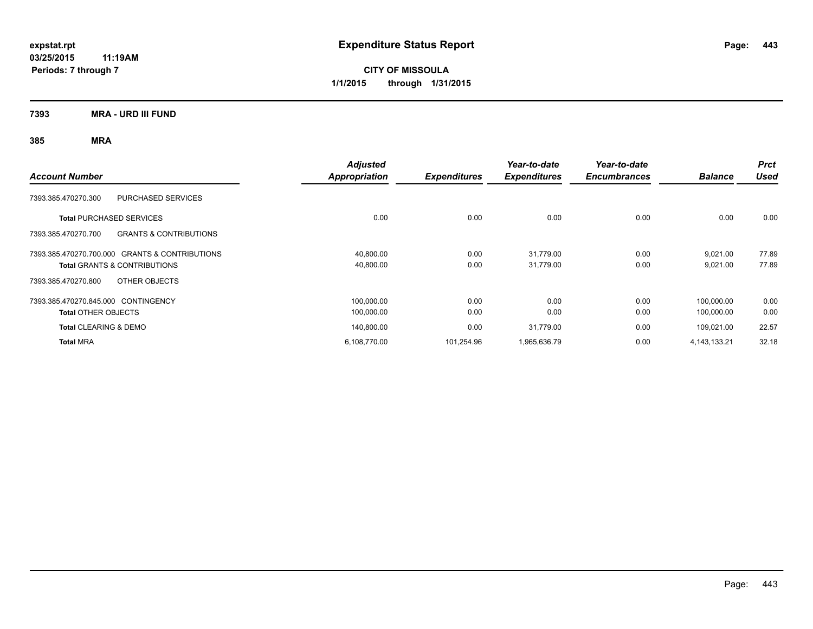**CITY OF MISSOULA 1/1/2015 through 1/31/2015**

**7393 MRA - URD III FUND**

| <b>Account Number</b>                                    | <b>Adjusted</b><br>Appropriation | <b>Expenditures</b> | Year-to-date<br><b>Expenditures</b> | Year-to-date<br><b>Encumbrances</b> | <b>Balance</b>  | <b>Prct</b><br><b>Used</b> |
|----------------------------------------------------------|----------------------------------|---------------------|-------------------------------------|-------------------------------------|-----------------|----------------------------|
| <b>PURCHASED SERVICES</b><br>7393.385.470270.300         |                                  |                     |                                     |                                     |                 |                            |
| <b>Total PURCHASED SERVICES</b>                          | 0.00                             | 0.00                | 0.00                                | 0.00                                | 0.00            | 0.00                       |
| <b>GRANTS &amp; CONTRIBUTIONS</b><br>7393.385.470270.700 |                                  |                     |                                     |                                     |                 |                            |
| 7393.385.470270.700.000 GRANTS & CONTRIBUTIONS           | 40,800.00                        | 0.00                | 31,779.00                           | 0.00                                | 9,021.00        | 77.89                      |
| <b>Total GRANTS &amp; CONTRIBUTIONS</b>                  | 40,800.00                        | 0.00                | 31,779.00                           | 0.00                                | 9,021.00        | 77.89                      |
| OTHER OBJECTS<br>7393.385.470270.800                     |                                  |                     |                                     |                                     |                 |                            |
| 7393.385.470270.845.000 CONTINGENCY                      | 100,000.00                       | 0.00                | 0.00                                | 0.00                                | 100.000.00      | 0.00                       |
| <b>Total OTHER OBJECTS</b>                               | 100,000.00                       | 0.00                | 0.00                                | 0.00                                | 100,000.00      | 0.00                       |
| <b>Total CLEARING &amp; DEMO</b>                         | 140,800.00                       | 0.00                | 31,779.00                           | 0.00                                | 109,021.00      | 22.57                      |
| <b>Total MRA</b>                                         | 6,108,770.00                     | 101,254.96          | 1,965,636.79                        | 0.00                                | 4, 143, 133. 21 | 32.18                      |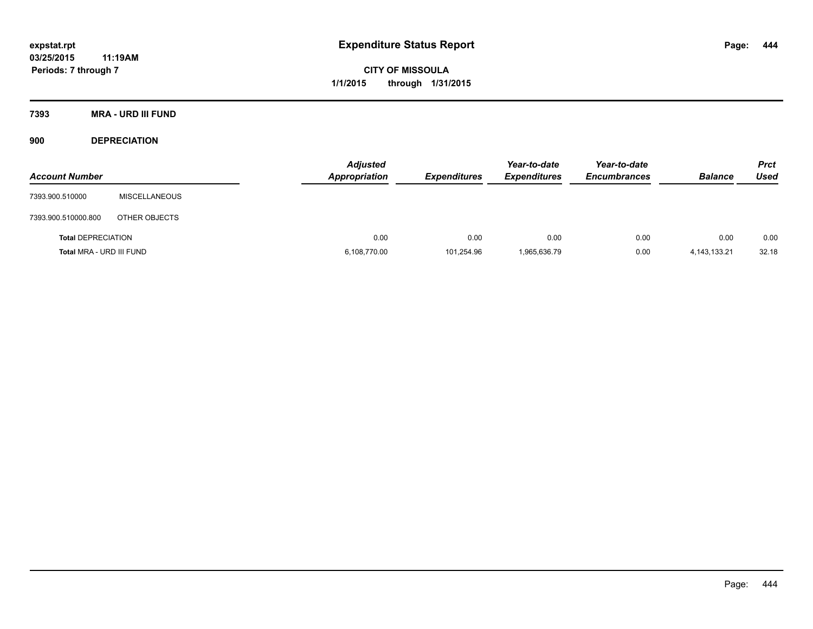**CITY OF MISSOULA 1/1/2015 through 1/31/2015**

**7393 MRA - URD III FUND**

**900 DEPRECIATION**

| <b>Account Number</b>     |                      | <b>Adjusted</b><br><b>Appropriation</b> | <b>Expenditures</b> | Year-to-date<br><b>Expenditures</b> | Year-to-date<br><b>Encumbrances</b> | <b>Balance</b>  | <b>Prct</b><br><b>Used</b> |
|---------------------------|----------------------|-----------------------------------------|---------------------|-------------------------------------|-------------------------------------|-----------------|----------------------------|
| 7393.900.510000           | <b>MISCELLANEOUS</b> |                                         |                     |                                     |                                     |                 |                            |
| 7393.900.510000.800       | OTHER OBJECTS        |                                         |                     |                                     |                                     |                 |                            |
| <b>Total DEPRECIATION</b> |                      | 0.00                                    | 0.00                | 0.00                                | 0.00                                | 0.00            | 0.00                       |
| Total MRA - URD III FUND  |                      | 6,108,770.00                            | 101,254.96          | 1,965,636.79                        | 0.00                                | 4, 143, 133. 21 | 32.18                      |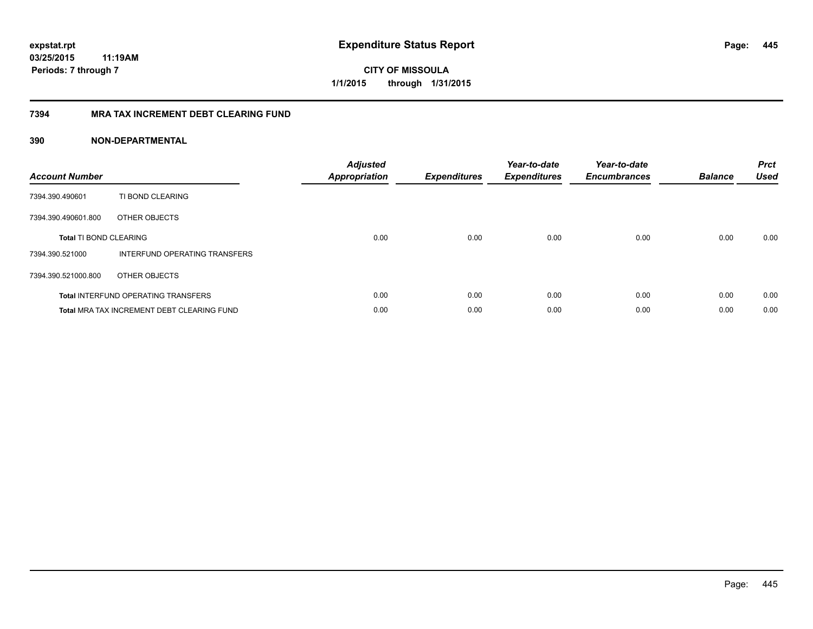# **7394 MRA TAX INCREMENT DEBT CLEARING FUND**

| <b>Account Number</b>         |                                                   | <b>Adjusted</b><br><b>Appropriation</b> | <b>Expenditures</b> | Year-to-date<br><b>Expenditures</b> | Year-to-date<br><b>Encumbrances</b> | <b>Balance</b> | <b>Prct</b><br><b>Used</b> |
|-------------------------------|---------------------------------------------------|-----------------------------------------|---------------------|-------------------------------------|-------------------------------------|----------------|----------------------------|
| 7394.390.490601               | TI BOND CLEARING                                  |                                         |                     |                                     |                                     |                |                            |
| 7394.390.490601.800           | OTHER OBJECTS                                     |                                         |                     |                                     |                                     |                |                            |
| <b>Total TI BOND CLEARING</b> |                                                   | 0.00                                    | 0.00                | 0.00                                | 0.00                                | 0.00           | 0.00                       |
| 7394.390.521000               | INTERFUND OPERATING TRANSFERS                     |                                         |                     |                                     |                                     |                |                            |
| 7394.390.521000.800           | OTHER OBJECTS                                     |                                         |                     |                                     |                                     |                |                            |
|                               | <b>Total INTERFUND OPERATING TRANSFERS</b>        | 0.00                                    | 0.00                | 0.00                                | 0.00                                | 0.00           | 0.00                       |
|                               | <b>Total MRA TAX INCREMENT DEBT CLEARING FUND</b> | 0.00                                    | 0.00                | 0.00                                | 0.00                                | 0.00           | 0.00                       |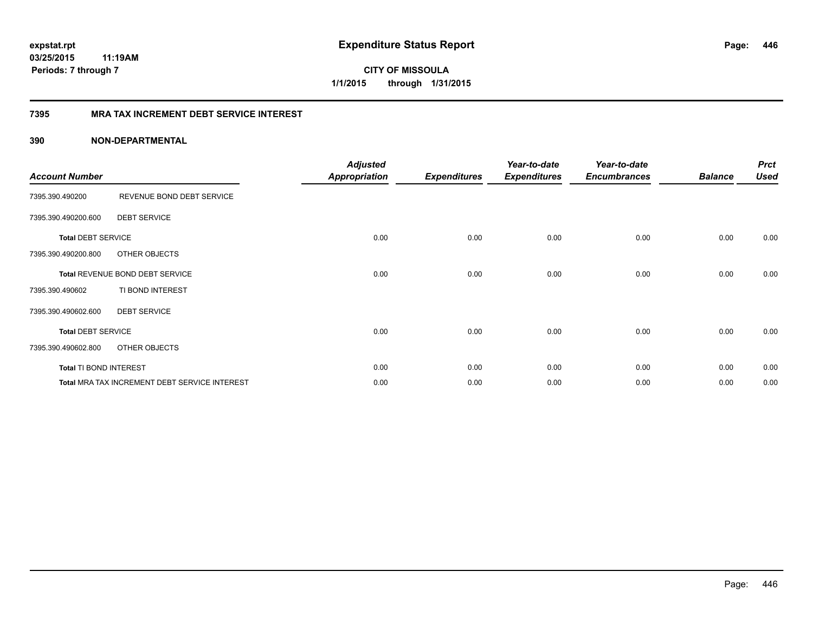# **03/25/2015**

**446**

**11:19AM Periods: 7 through 7**

**CITY OF MISSOULA 1/1/2015 through 1/31/2015**

# **7395 MRA TAX INCREMENT DEBT SERVICE INTEREST**

| <b>Account Number</b>     |                                               | <b>Adjusted</b><br><b>Appropriation</b> | <b>Expenditures</b> | Year-to-date<br><b>Expenditures</b> | Year-to-date<br><b>Encumbrances</b> | <b>Balance</b> | <b>Prct</b><br><b>Used</b> |
|---------------------------|-----------------------------------------------|-----------------------------------------|---------------------|-------------------------------------|-------------------------------------|----------------|----------------------------|
| 7395.390.490200           | REVENUE BOND DEBT SERVICE                     |                                         |                     |                                     |                                     |                |                            |
| 7395.390.490200.600       | <b>DEBT SERVICE</b>                           |                                         |                     |                                     |                                     |                |                            |
| <b>Total DEBT SERVICE</b> |                                               | 0.00                                    | 0.00                | 0.00                                | 0.00                                | 0.00           | 0.00                       |
| 7395.390.490200.800       | OTHER OBJECTS                                 |                                         |                     |                                     |                                     |                |                            |
|                           | Total REVENUE BOND DEBT SERVICE               | 0.00                                    | 0.00                | 0.00                                | 0.00                                | 0.00           | 0.00                       |
| 7395.390.490602           | TI BOND INTEREST                              |                                         |                     |                                     |                                     |                |                            |
| 7395.390.490602.600       | <b>DEBT SERVICE</b>                           |                                         |                     |                                     |                                     |                |                            |
| <b>Total DEBT SERVICE</b> |                                               | 0.00                                    | 0.00                | 0.00                                | 0.00                                | 0.00           | 0.00                       |
| 7395.390.490602.800       | OTHER OBJECTS                                 |                                         |                     |                                     |                                     |                |                            |
| Total TI BOND INTEREST    |                                               | 0.00                                    | 0.00                | 0.00                                | 0.00                                | 0.00           | 0.00                       |
|                           | Total MRA TAX INCREMENT DEBT SERVICE INTEREST | 0.00                                    | 0.00                | 0.00                                | 0.00                                | 0.00           | 0.00                       |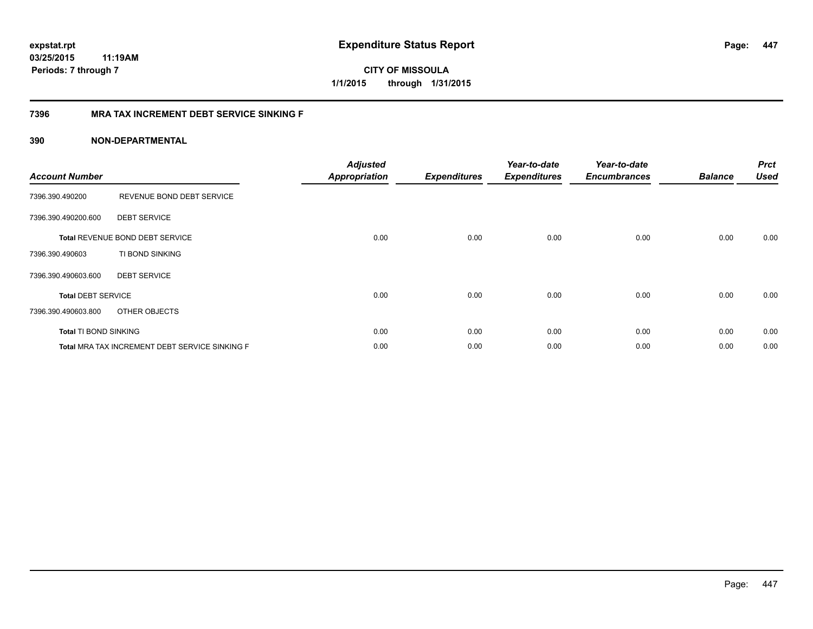**CITY OF MISSOULA 1/1/2015 through 1/31/2015**

# **7396 MRA TAX INCREMENT DEBT SERVICE SINKING F**

| <b>Account Number</b>        |                                                | <b>Adjusted</b><br><b>Appropriation</b> | <b>Expenditures</b> | Year-to-date<br><b>Expenditures</b> | Year-to-date<br><b>Encumbrances</b> | <b>Balance</b> | <b>Prct</b><br><b>Used</b> |
|------------------------------|------------------------------------------------|-----------------------------------------|---------------------|-------------------------------------|-------------------------------------|----------------|----------------------------|
| 7396.390.490200              | REVENUE BOND DEBT SERVICE                      |                                         |                     |                                     |                                     |                |                            |
| 7396.390.490200.600          | <b>DEBT SERVICE</b>                            |                                         |                     |                                     |                                     |                |                            |
|                              | <b>Total REVENUE BOND DEBT SERVICE</b>         | 0.00                                    | 0.00                | 0.00                                | 0.00                                | 0.00           | 0.00                       |
| 7396.390.490603              | TI BOND SINKING                                |                                         |                     |                                     |                                     |                |                            |
| 7396.390.490603.600          | <b>DEBT SERVICE</b>                            |                                         |                     |                                     |                                     |                |                            |
| <b>Total DEBT SERVICE</b>    |                                                | 0.00                                    | 0.00                | 0.00                                | 0.00                                | 0.00           | 0.00                       |
| 7396.390.490603.800          | OTHER OBJECTS                                  |                                         |                     |                                     |                                     |                |                            |
| <b>Total TI BOND SINKING</b> |                                                | 0.00                                    | 0.00                | 0.00                                | 0.00                                | 0.00           | 0.00                       |
|                              | Total MRA TAX INCREMENT DEBT SERVICE SINKING F | 0.00                                    | 0.00                | 0.00                                | 0.00                                | 0.00           | 0.00                       |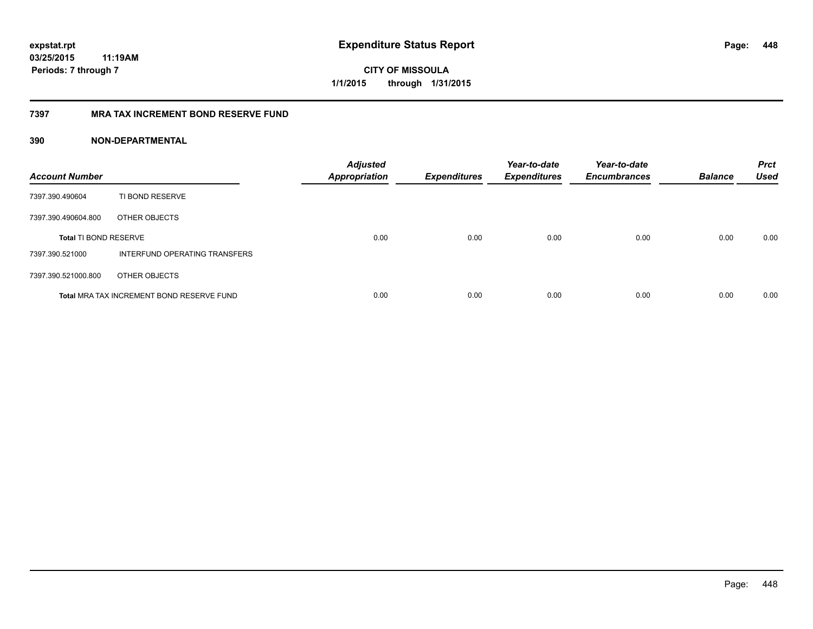# **7397 MRA TAX INCREMENT BOND RESERVE FUND**

| <b>Account Number</b>        |                                           | <b>Adjusted</b><br><b>Appropriation</b> | <b>Expenditures</b> | Year-to-date<br><b>Expenditures</b> | Year-to-date<br><b>Encumbrances</b> | <b>Balance</b> | <b>Prct</b><br><b>Used</b> |
|------------------------------|-------------------------------------------|-----------------------------------------|---------------------|-------------------------------------|-------------------------------------|----------------|----------------------------|
| 7397.390.490604              | TI BOND RESERVE                           |                                         |                     |                                     |                                     |                |                            |
| 7397.390.490604.800          | OTHER OBJECTS                             |                                         |                     |                                     |                                     |                |                            |
| <b>Total TI BOND RESERVE</b> |                                           | 0.00                                    | 0.00                | 0.00                                | 0.00                                | 0.00           | 0.00                       |
| 7397.390.521000              | INTERFUND OPERATING TRANSFERS             |                                         |                     |                                     |                                     |                |                            |
| 7397.390.521000.800          | OTHER OBJECTS                             |                                         |                     |                                     |                                     |                |                            |
|                              | Total MRA TAX INCREMENT BOND RESERVE FUND | 0.00                                    | 0.00                | 0.00                                | 0.00                                | 0.00           | 0.00                       |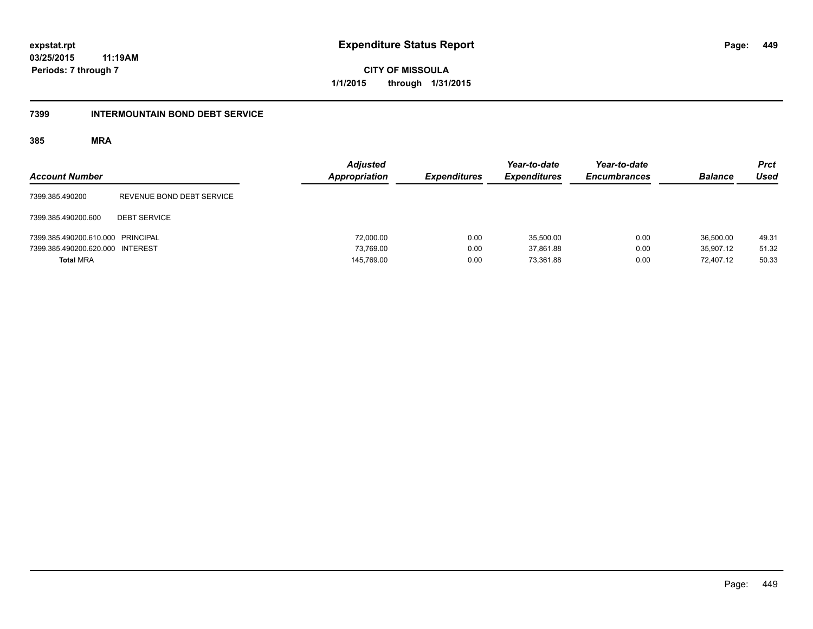**CITY OF MISSOULA 1/1/2015 through 1/31/2015**

# **7399 INTERMOUNTAIN BOND DEBT SERVICE**

| <b>Account Number</b>             |                           | <b>Adjusted</b><br>Appropriation | <b>Expenditures</b> | Year-to-date<br><b>Expenditures</b> | Year-to-date<br><b>Encumbrances</b> | <b>Balance</b> | <b>Prct</b><br><b>Used</b> |
|-----------------------------------|---------------------------|----------------------------------|---------------------|-------------------------------------|-------------------------------------|----------------|----------------------------|
| 7399.385.490200                   | REVENUE BOND DEBT SERVICE |                                  |                     |                                     |                                     |                |                            |
| 7399.385.490200.600               | <b>DEBT SERVICE</b>       |                                  |                     |                                     |                                     |                |                            |
| 7399.385.490200.610.000 PRINCIPAL |                           | 72,000.00                        | 0.00                | 35.500.00                           | 0.00                                | 36,500.00      | 49.31                      |
| 7399.385.490200.620.000 INTEREST  |                           | 73.769.00                        | 0.00                | 37.861.88                           | 0.00                                | 35.907.12      | 51.32                      |
| <b>Total MRA</b>                  |                           | 145,769.00                       | 0.00                | 73.361.88                           | 0.00                                | 72.407.12      | 50.33                      |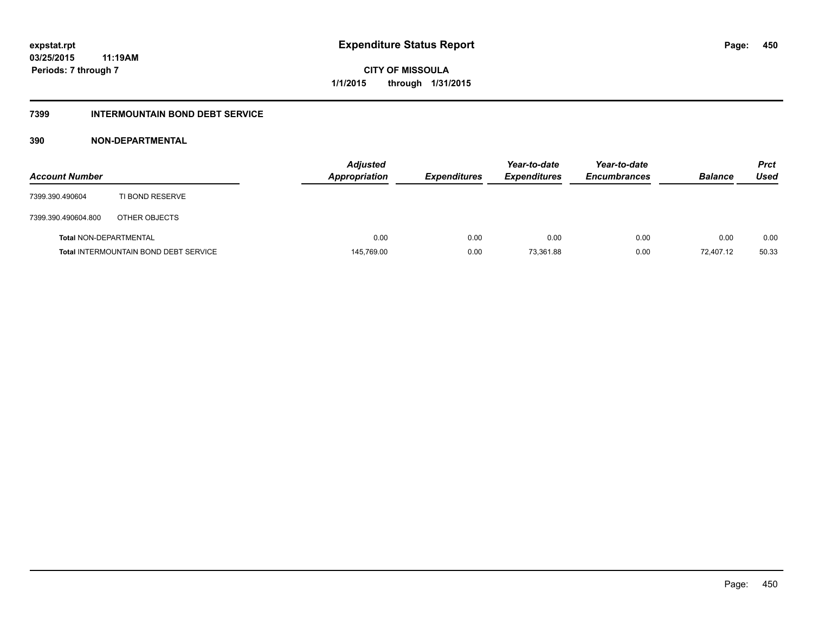# **7399 INTERMOUNTAIN BOND DEBT SERVICE**

| <b>Account Number</b>         |                                              | <b>Adjusted</b><br><b>Appropriation</b> | <b>Expenditures</b> | Year-to-date<br><b>Expenditures</b> | Year-to-date<br><b>Encumbrances</b> | <b>Balance</b> | <b>Prct</b><br>Used |
|-------------------------------|----------------------------------------------|-----------------------------------------|---------------------|-------------------------------------|-------------------------------------|----------------|---------------------|
| 7399.390.490604               | TI BOND RESERVE                              |                                         |                     |                                     |                                     |                |                     |
| 7399.390.490604.800           | OTHER OBJECTS                                |                                         |                     |                                     |                                     |                |                     |
| <b>Total NON-DEPARTMENTAL</b> |                                              | 0.00                                    | 0.00                | 0.00                                | 0.00                                | 0.00           | 0.00                |
|                               | <b>Total INTERMOUNTAIN BOND DEBT SERVICE</b> | 145,769.00                              | 0.00                | 73,361.88                           | 0.00                                | 72.407.12      | 50.33               |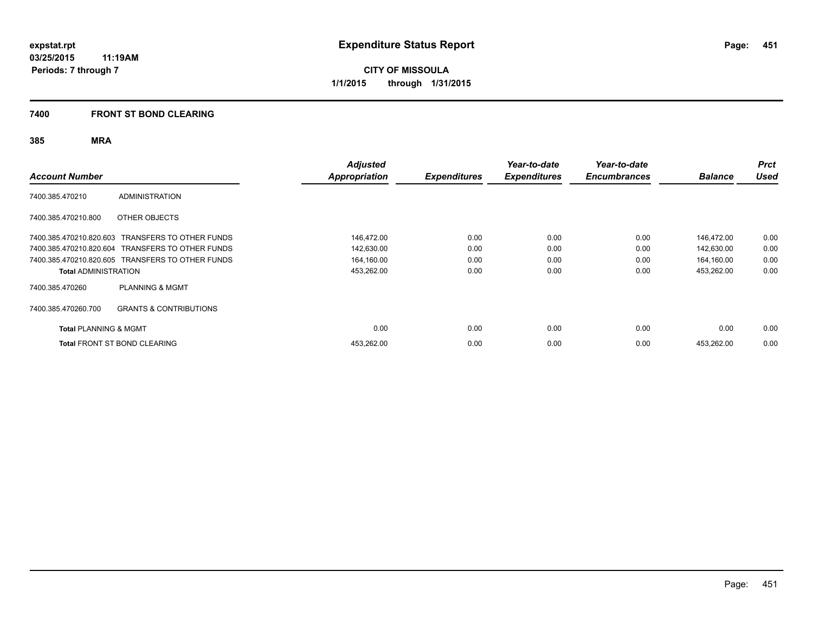# **7400 FRONT ST BOND CLEARING**

| <b>Account Number</b>            |                                                  | <b>Adjusted</b><br>Appropriation | <b>Expenditures</b> | Year-to-date<br><b>Expenditures</b> | Year-to-date<br><b>Encumbrances</b> | <b>Balance</b> | <b>Prct</b><br><b>Used</b> |
|----------------------------------|--------------------------------------------------|----------------------------------|---------------------|-------------------------------------|-------------------------------------|----------------|----------------------------|
| 7400.385.470210                  | <b>ADMINISTRATION</b>                            |                                  |                     |                                     |                                     |                |                            |
| 7400.385.470210.800              | OTHER OBJECTS                                    |                                  |                     |                                     |                                     |                |                            |
|                                  | 7400.385.470210.820.603 TRANSFERS TO OTHER FUNDS | 146,472.00                       | 0.00                | 0.00                                | 0.00                                | 146,472.00     | 0.00                       |
|                                  | 7400.385.470210.820.604 TRANSFERS TO OTHER FUNDS | 142,630.00                       | 0.00                | 0.00                                | 0.00                                | 142,630.00     | 0.00                       |
|                                  | 7400.385.470210.820.605 TRANSFERS TO OTHER FUNDS | 164,160.00                       | 0.00                | 0.00                                | 0.00                                | 164.160.00     | 0.00                       |
| <b>Total ADMINISTRATION</b>      |                                                  | 453,262.00                       | 0.00                | 0.00                                | 0.00                                | 453,262.00     | 0.00                       |
| 7400.385.470260                  | <b>PLANNING &amp; MGMT</b>                       |                                  |                     |                                     |                                     |                |                            |
| 7400.385.470260.700              | <b>GRANTS &amp; CONTRIBUTIONS</b>                |                                  |                     |                                     |                                     |                |                            |
| <b>Total PLANNING &amp; MGMT</b> |                                                  | 0.00                             | 0.00                | 0.00                                | 0.00                                | 0.00           | 0.00                       |
|                                  | <b>Total FRONT ST BOND CLEARING</b>              | 453,262.00                       | 0.00                | 0.00                                | 0.00                                | 453,262.00     | 0.00                       |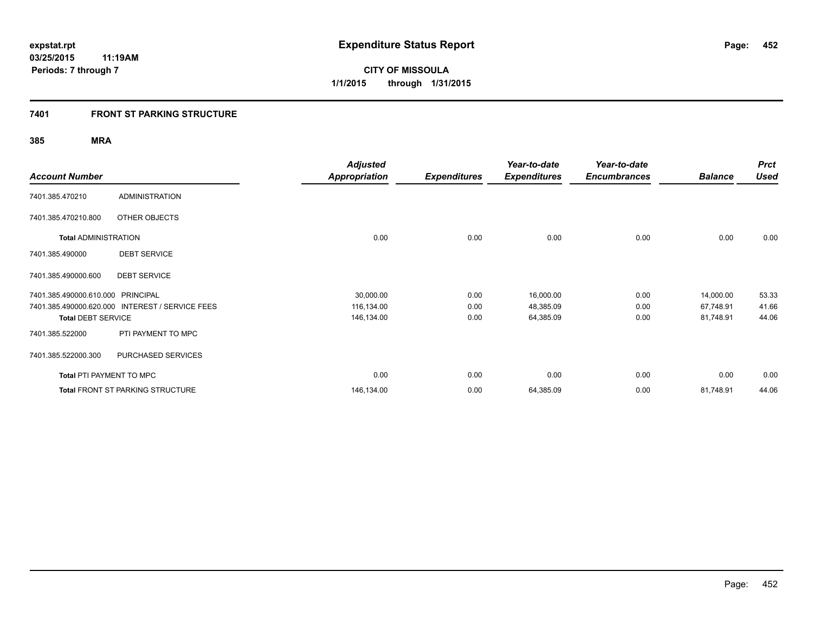# **7401 FRONT ST PARKING STRUCTURE**

| <b>Account Number</b>             |                                                 | <b>Adjusted</b>      |                     | Year-to-date        | Year-to-date        |                | <b>Prct</b><br><b>Used</b> |
|-----------------------------------|-------------------------------------------------|----------------------|---------------------|---------------------|---------------------|----------------|----------------------------|
|                                   |                                                 | <b>Appropriation</b> | <b>Expenditures</b> | <b>Expenditures</b> | <b>Encumbrances</b> | <b>Balance</b> |                            |
| 7401.385.470210                   | <b>ADMINISTRATION</b>                           |                      |                     |                     |                     |                |                            |
| 7401.385.470210.800               | OTHER OBJECTS                                   |                      |                     |                     |                     |                |                            |
| <b>Total ADMINISTRATION</b>       |                                                 | 0.00                 | 0.00                | 0.00                | 0.00                | 0.00           | 0.00                       |
| 7401.385.490000                   | <b>DEBT SERVICE</b>                             |                      |                     |                     |                     |                |                            |
| 7401.385.490000.600               | <b>DEBT SERVICE</b>                             |                      |                     |                     |                     |                |                            |
| 7401.385.490000.610.000 PRINCIPAL |                                                 | 30,000.00            | 0.00                | 16,000.00           | 0.00                | 14,000.00      | 53.33                      |
|                                   | 7401.385.490000.620.000 INTEREST / SERVICE FEES | 116,134.00           | 0.00                | 48,385.09           | 0.00                | 67,748.91      | 41.66                      |
| <b>Total DEBT SERVICE</b>         |                                                 | 146,134.00           | 0.00                | 64,385.09           | 0.00                | 81,748.91      | 44.06                      |
| 7401.385.522000                   | PTI PAYMENT TO MPC                              |                      |                     |                     |                     |                |                            |
| 7401.385.522000.300               | PURCHASED SERVICES                              |                      |                     |                     |                     |                |                            |
| Total PTI PAYMENT TO MPC          |                                                 | 0.00                 | 0.00                | 0.00                | 0.00                | 0.00           | 0.00                       |
|                                   | <b>Total FRONT ST PARKING STRUCTURE</b>         | 146,134.00           | 0.00                | 64,385.09           | 0.00                | 81,748.91      | 44.06                      |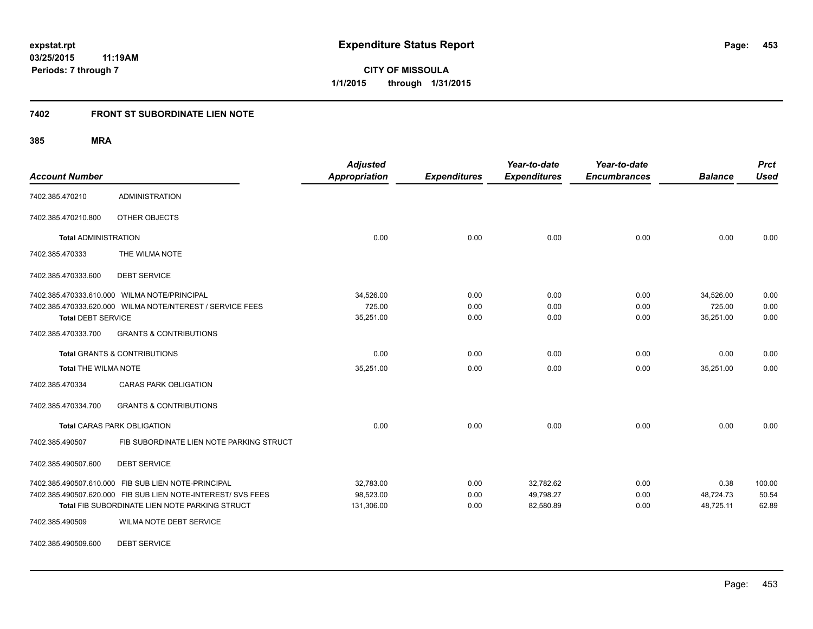**453**

**03/25/2015 11:19AM Periods: 7 through 7**

**CITY OF MISSOULA 1/1/2015 through 1/31/2015**

# **7402 FRONT ST SUBORDINATE LIEN NOTE**

**385 MRA**

| <b>Account Number</b>       |                                                              | <b>Adjusted</b><br><b>Appropriation</b> | <b>Expenditures</b> | Year-to-date<br><b>Expenditures</b> | Year-to-date<br><b>Encumbrances</b> | <b>Balance</b> | <b>Prct</b><br><b>Used</b> |
|-----------------------------|--------------------------------------------------------------|-----------------------------------------|---------------------|-------------------------------------|-------------------------------------|----------------|----------------------------|
| 7402.385.470210             | <b>ADMINISTRATION</b>                                        |                                         |                     |                                     |                                     |                |                            |
| 7402.385.470210.800         | OTHER OBJECTS                                                |                                         |                     |                                     |                                     |                |                            |
| <b>Total ADMINISTRATION</b> |                                                              | 0.00                                    | 0.00                | 0.00                                | 0.00                                | 0.00           | 0.00                       |
| 7402.385.470333             | THE WILMA NOTE                                               |                                         |                     |                                     |                                     |                |                            |
| 7402.385.470333.600         | <b>DEBT SERVICE</b>                                          |                                         |                     |                                     |                                     |                |                            |
|                             | 7402.385.470333.610.000 WILMA NOTE/PRINCIPAL                 | 34,526.00                               | 0.00                | 0.00                                | 0.00                                | 34,526.00      | 0.00                       |
|                             | 7402.385.470333.620.000 WILMA NOTE/NTEREST / SERVICE FEES    | 725.00                                  | 0.00                | 0.00                                | 0.00                                | 725.00         | 0.00                       |
| <b>Total DEBT SERVICE</b>   |                                                              | 35,251.00                               | 0.00                | 0.00                                | 0.00                                | 35,251.00      | 0.00                       |
| 7402.385.470333.700         | <b>GRANTS &amp; CONTRIBUTIONS</b>                            |                                         |                     |                                     |                                     |                |                            |
|                             | <b>Total GRANTS &amp; CONTRIBUTIONS</b>                      | 0.00                                    | 0.00                | 0.00                                | 0.00                                | 0.00           | 0.00                       |
| <b>Total THE WILMA NOTE</b> |                                                              | 35,251.00                               | 0.00                | 0.00                                | 0.00                                | 35,251.00      | 0.00                       |
| 7402.385.470334             | <b>CARAS PARK OBLIGATION</b>                                 |                                         |                     |                                     |                                     |                |                            |
| 7402.385.470334.700         | <b>GRANTS &amp; CONTRIBUTIONS</b>                            |                                         |                     |                                     |                                     |                |                            |
|                             | <b>Total CARAS PARK OBLIGATION</b>                           | 0.00                                    | 0.00                | 0.00                                | 0.00                                | 0.00           | 0.00                       |
| 7402.385.490507             | FIB SUBORDINATE LIEN NOTE PARKING STRUCT                     |                                         |                     |                                     |                                     |                |                            |
| 7402.385.490507.600         | <b>DEBT SERVICE</b>                                          |                                         |                     |                                     |                                     |                |                            |
|                             | 7402.385.490507.610.000 FIB SUB LIEN NOTE-PRINCIPAL          | 32,783.00                               | 0.00                | 32,782.62                           | 0.00                                | 0.38           | 100.00                     |
|                             | 7402.385.490507.620.000 FIB SUB LIEN NOTE-INTEREST/ SVS FEES | 98,523.00                               | 0.00                | 49,798.27                           | 0.00                                | 48,724.73      | 50.54                      |
|                             | Total FIB SUBORDINATE LIEN NOTE PARKING STRUCT               | 131,306.00                              | 0.00                | 82,580.89                           | 0.00                                | 48,725.11      | 62.89                      |
| 7402.385.490509             | WILMA NOTE DEBT SERVICE                                      |                                         |                     |                                     |                                     |                |                            |

7402.385.490509.600 DEBT SERVICE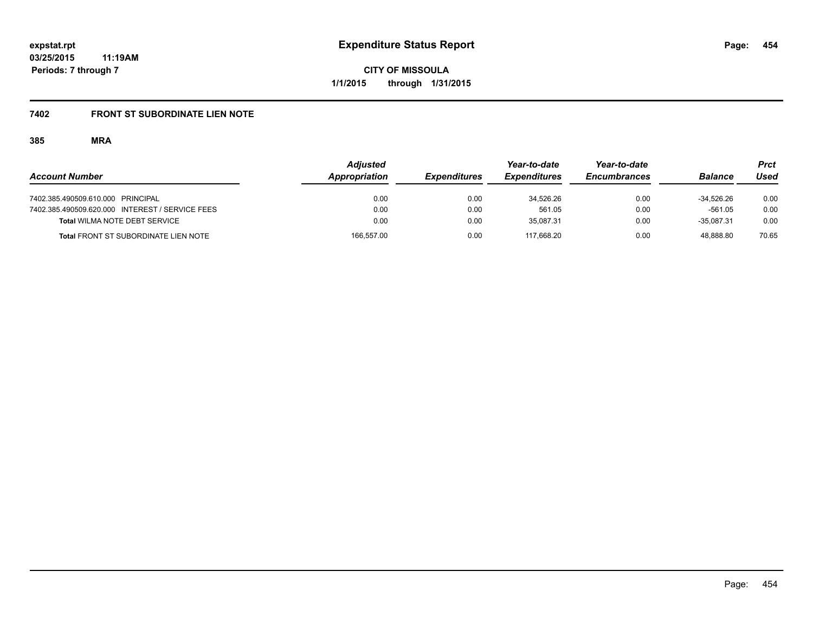# **7402 FRONT ST SUBORDINATE LIEN NOTE**

|                                                 | <b>Adjusted</b> |                     | Year-to-date        | Year-to-date        |                | Prct  |
|-------------------------------------------------|-----------------|---------------------|---------------------|---------------------|----------------|-------|
| <b>Account Number</b>                           | Appropriation   | <b>Expenditures</b> | <b>Expenditures</b> | <b>Encumbrances</b> | <b>Balance</b> | Used  |
| 7402.385.490509.610.000 PRINCIPAL               | 0.00            | 0.00                | 34.526.26           | 0.00                | $-34.526.26$   | 0.00  |
| 7402.385.490509.620.000 INTEREST / SERVICE FEES | 0.00            | 0.00                | 561.05              | 0.00                | $-561.05$      | 0.00  |
| <b>Total WILMA NOTE DEBT SERVICE</b>            | 0.00            | 0.00                | 35.087.31           | 0.00                | $-35.087.31$   | 0.00  |
| <b>Total FRONT ST SUBORDINATE LIEN NOTE</b>     | 166,557.00      | 0.00                | 117.668.20          | 0.00                | 48.888.80      | 70.65 |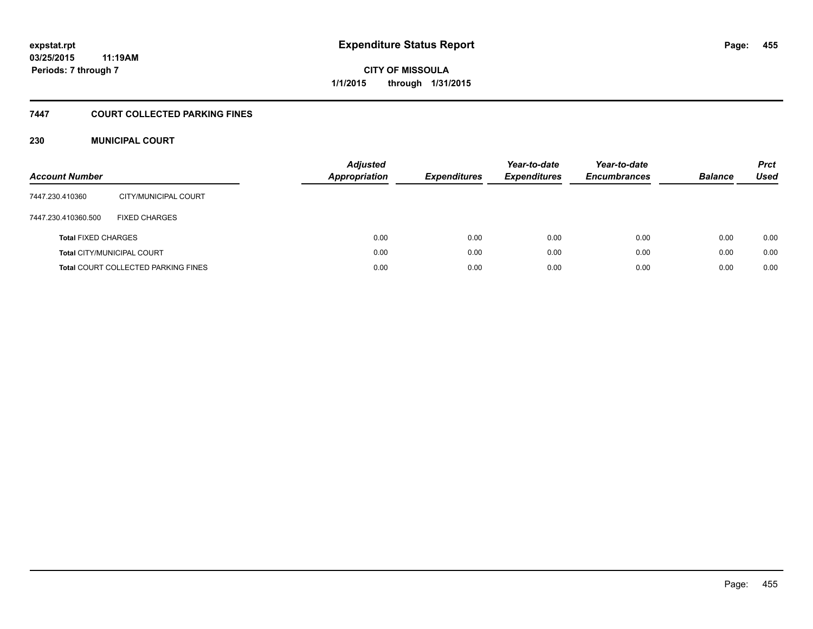# **7447 COURT COLLECTED PARKING FINES**

# **230 MUNICIPAL COURT**

| <b>Account Number</b>      |                                            | <b>Adjusted</b><br><b>Appropriation</b> | <b>Expenditures</b> | Year-to-date<br><b>Expenditures</b> | Year-to-date<br><b>Encumbrances</b> | <b>Balance</b> | <b>Prct</b><br><b>Used</b> |
|----------------------------|--------------------------------------------|-----------------------------------------|---------------------|-------------------------------------|-------------------------------------|----------------|----------------------------|
| 7447.230.410360            | CITY/MUNICIPAL COURT                       |                                         |                     |                                     |                                     |                |                            |
| 7447.230.410360.500        | <b>FIXED CHARGES</b>                       |                                         |                     |                                     |                                     |                |                            |
| <b>Total FIXED CHARGES</b> |                                            | 0.00                                    | 0.00                | 0.00                                | 0.00                                | 0.00           | 0.00                       |
|                            | <b>Total CITY/MUNICIPAL COURT</b>          | 0.00                                    | 0.00                | 0.00                                | 0.00                                | 0.00           | 0.00                       |
|                            | <b>Total COURT COLLECTED PARKING FINES</b> | 0.00                                    | 0.00                | 0.00                                | 0.00                                | 0.00           | 0.00                       |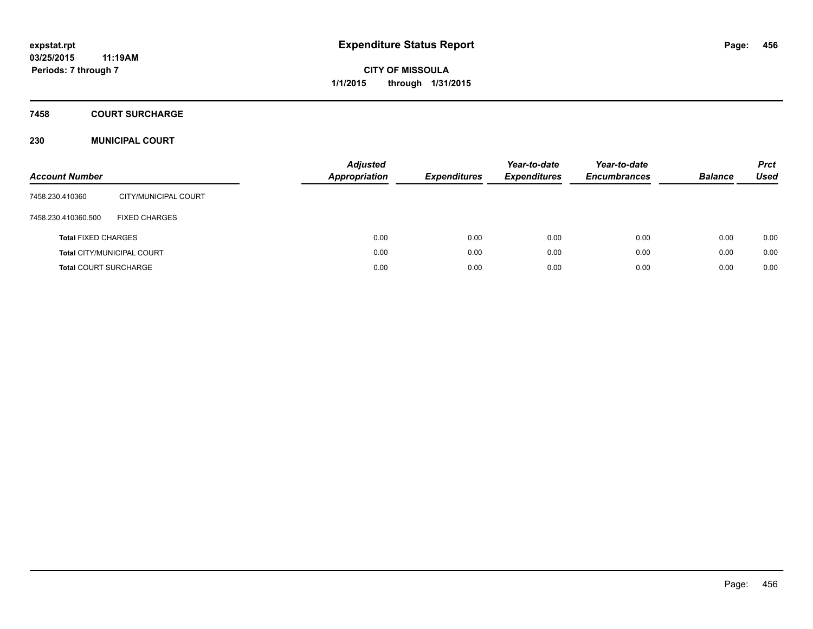**Periods: 7 through 7**

**CITY OF MISSOULA 1/1/2015 through 1/31/2015**

# **7458 COURT SURCHARGE**

# **230 MUNICIPAL COURT**

| <b>Account Number</b>        |                            | <b>Adjusted</b><br><b>Appropriation</b> | <b>Expenditures</b> | Year-to-date<br><b>Expenditures</b> | Year-to-date<br><b>Encumbrances</b> | <b>Balance</b> | <b>Prct</b><br>Used |
|------------------------------|----------------------------|-----------------------------------------|---------------------|-------------------------------------|-------------------------------------|----------------|---------------------|
| 7458.230.410360              | CITY/MUNICIPAL COURT       |                                         |                     |                                     |                                     |                |                     |
| 7458.230.410360.500          | <b>FIXED CHARGES</b>       |                                         |                     |                                     |                                     |                |                     |
| <b>Total FIXED CHARGES</b>   |                            | 0.00                                    | 0.00                | 0.00                                | 0.00                                | 0.00           | 0.00                |
|                              | Total CITY/MUNICIPAL COURT | 0.00                                    | 0.00                | 0.00                                | 0.00                                | 0.00           | 0.00                |
| <b>Total COURT SURCHARGE</b> |                            | 0.00                                    | 0.00                | 0.00                                | 0.00                                | 0.00           | 0.00                |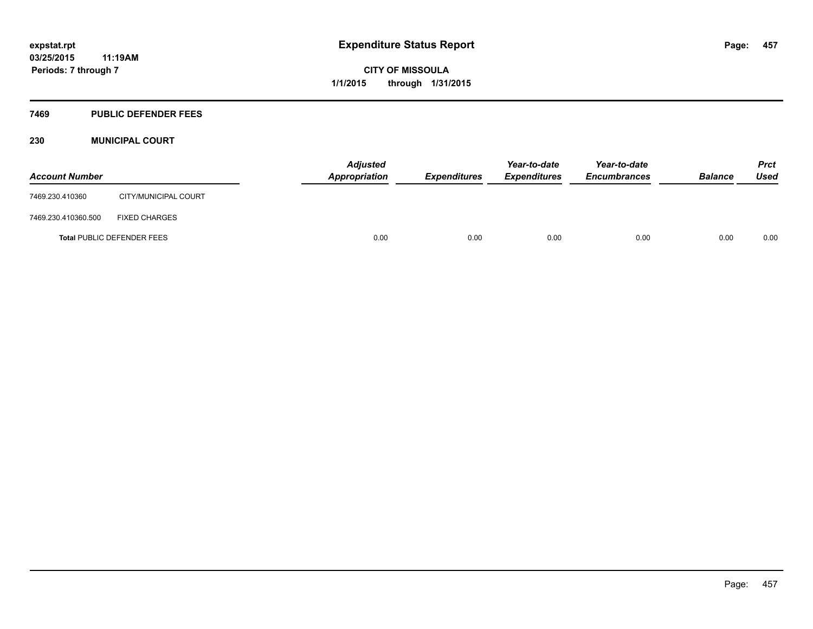#### **7469 PUBLIC DEFENDER FEES**

# **230 MUNICIPAL COURT**

| <b>Account Number</b>             |                      | <b>Adjusted</b><br>Appropriation | <b>Expenditures</b> | Year-to-date<br><b>Expenditures</b> | Year-to-date<br><b>Encumbrances</b> | <b>Balance</b> | <b>Prct</b><br><b>Used</b> |
|-----------------------------------|----------------------|----------------------------------|---------------------|-------------------------------------|-------------------------------------|----------------|----------------------------|
| 7469.230.410360                   | CITY/MUNICIPAL COURT |                                  |                     |                                     |                                     |                |                            |
| 7469.230.410360.500               | <b>FIXED CHARGES</b> |                                  |                     |                                     |                                     |                |                            |
| <b>Total PUBLIC DEFENDER FEES</b> |                      | 0.00                             | 0.00                | 0.00                                | 0.00                                | 0.00           | 0.00                       |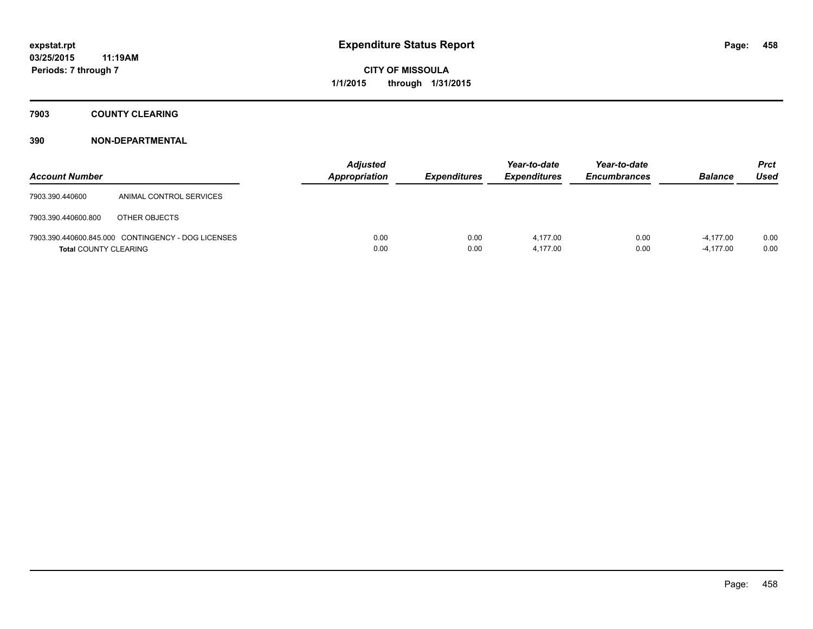# **7903 COUNTY CLEARING**

| <b>Account Number</b>        |                                                    | <b>Adjusted</b><br><b>Appropriation</b> | <b>Expenditures</b> | Year-to-date<br><b>Expenditures</b> | Year-to-date<br><b>Encumbrances</b> | <b>Balance</b>             | Prct<br><b>Used</b> |
|------------------------------|----------------------------------------------------|-----------------------------------------|---------------------|-------------------------------------|-------------------------------------|----------------------------|---------------------|
| 7903.390.440600              | ANIMAL CONTROL SERVICES                            |                                         |                     |                                     |                                     |                            |                     |
| 7903.390.440600.800          | OTHER OBJECTS                                      |                                         |                     |                                     |                                     |                            |                     |
| <b>Total COUNTY CLEARING</b> | 7903.390.440600.845.000 CONTINGENCY - DOG LICENSES | 0.00<br>0.00                            | 0.00<br>0.00        | 4.177.00<br>4,177.00                | 0.00<br>0.00                        | $-4.177.00$<br>$-4,177.00$ | 0.00<br>0.00        |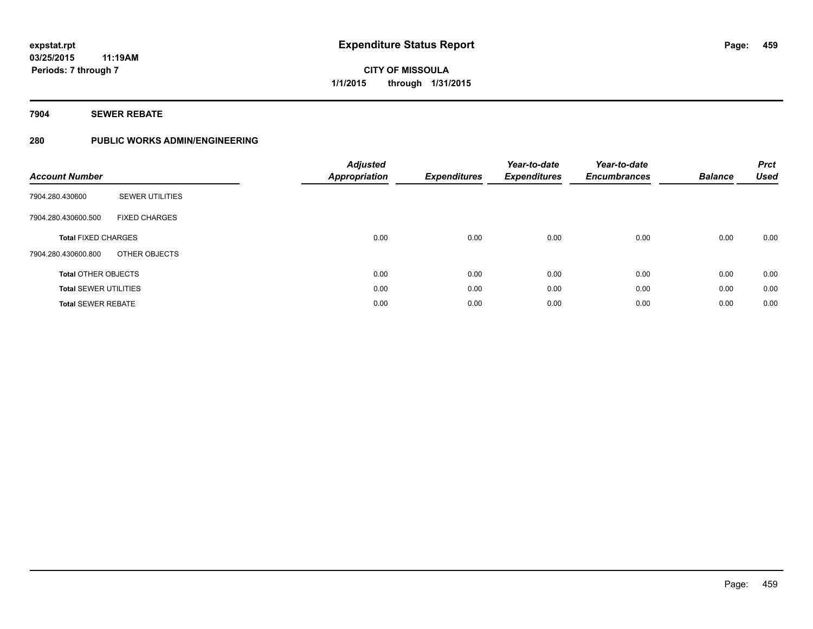# **7904 SEWER REBATE**

# **280 PUBLIC WORKS ADMIN/ENGINEERING**

| <b>Account Number</b>        |                        | <b>Adjusted</b><br>Appropriation | <b>Expenditures</b> | Year-to-date<br><b>Expenditures</b> | Year-to-date<br><b>Encumbrances</b> | <b>Balance</b> | <b>Prct</b><br>Used |
|------------------------------|------------------------|----------------------------------|---------------------|-------------------------------------|-------------------------------------|----------------|---------------------|
| 7904.280.430600              | <b>SEWER UTILITIES</b> |                                  |                     |                                     |                                     |                |                     |
| 7904.280.430600.500          | <b>FIXED CHARGES</b>   |                                  |                     |                                     |                                     |                |                     |
| <b>Total FIXED CHARGES</b>   |                        | 0.00                             | 0.00                | 0.00                                | 0.00                                | 0.00           | 0.00                |
| 7904.280.430600.800          | OTHER OBJECTS          |                                  |                     |                                     |                                     |                |                     |
| <b>Total OTHER OBJECTS</b>   |                        | 0.00                             | 0.00                | 0.00                                | 0.00                                | 0.00           | 0.00                |
| <b>Total SEWER UTILITIES</b> |                        | 0.00                             | 0.00                | 0.00                                | 0.00                                | 0.00           | 0.00                |
| <b>Total SEWER REBATE</b>    |                        | 0.00                             | 0.00                | 0.00                                | 0.00                                | 0.00           | 0.00                |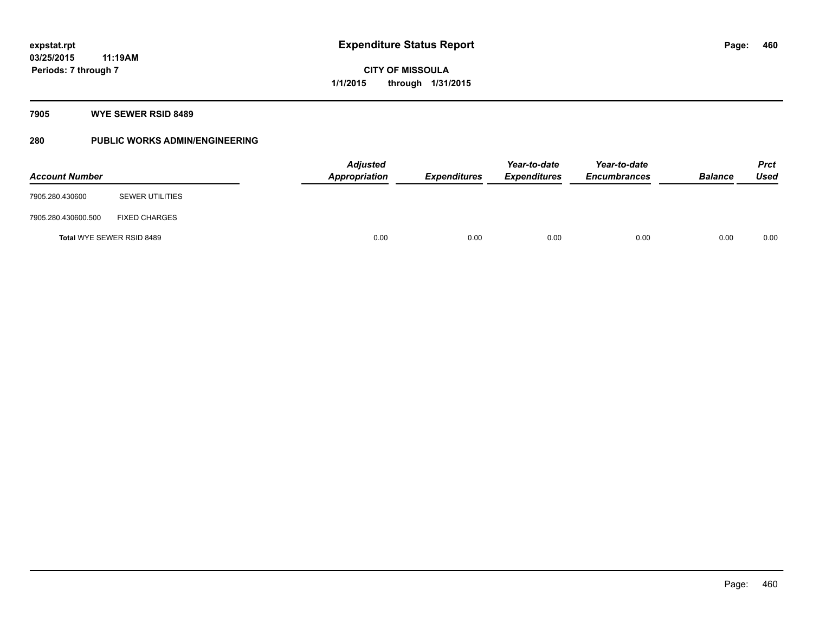# **7905 WYE SEWER RSID 8489**

# **280 PUBLIC WORKS ADMIN/ENGINEERING**

| <b>Account Number</b>            |                        |      | Adjusted<br>Appropriation | <b>Expenditures</b> | Year-to-date<br><b>Expenditures</b> | Year-to-date<br><b>Encumbrances</b> | <b>Balance</b> | <b>Prct</b><br><b>Used</b> |
|----------------------------------|------------------------|------|---------------------------|---------------------|-------------------------------------|-------------------------------------|----------------|----------------------------|
| 7905.280.430600                  | <b>SEWER UTILITIES</b> |      |                           |                     |                                     |                                     |                |                            |
| 7905.280.430600.500              | <b>FIXED CHARGES</b>   |      |                           |                     |                                     |                                     |                |                            |
| <b>Total WYE SEWER RSID 8489</b> |                        | 0.00 | 0.00                      | 0.00                | 0.00                                | 0.00                                | 0.00           |                            |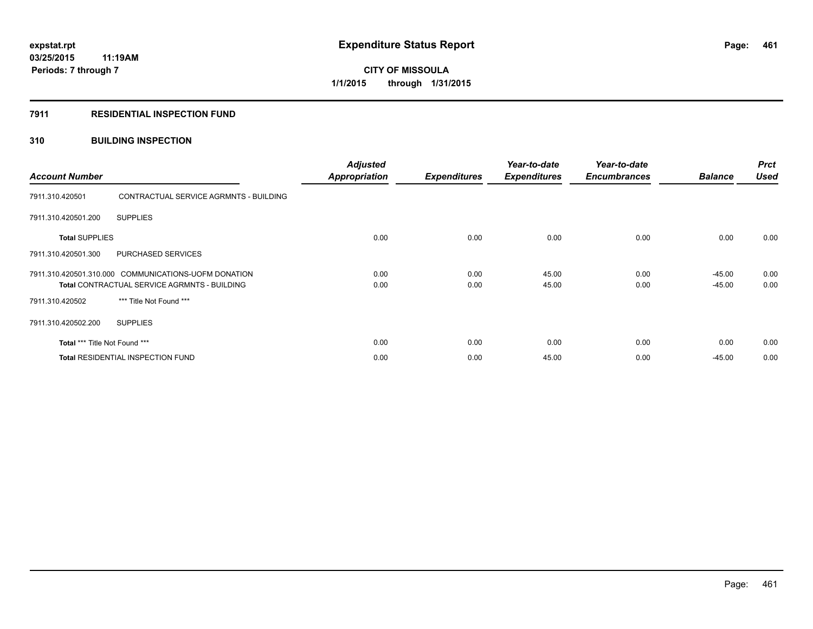# **7911 RESIDENTIAL INSPECTION FUND**

# **310 BUILDING INSPECTION**

| <b>Account Number</b>         |                                                                                                             | <b>Adjusted</b><br><b>Appropriation</b> | <b>Expenditures</b> | Year-to-date<br><b>Expenditures</b> | Year-to-date<br><b>Encumbrances</b> | <b>Balance</b>       | <b>Prct</b><br><b>Used</b> |
|-------------------------------|-------------------------------------------------------------------------------------------------------------|-----------------------------------------|---------------------|-------------------------------------|-------------------------------------|----------------------|----------------------------|
| 7911.310.420501               | CONTRACTUAL SERVICE AGRMNTS - BUILDING                                                                      |                                         |                     |                                     |                                     |                      |                            |
| 7911.310.420501.200           | <b>SUPPLIES</b>                                                                                             |                                         |                     |                                     |                                     |                      |                            |
| <b>Total SUPPLIES</b>         |                                                                                                             | 0.00                                    | 0.00                | 0.00                                | 0.00                                | 0.00                 | 0.00                       |
| 7911.310.420501.300           | PURCHASED SERVICES                                                                                          |                                         |                     |                                     |                                     |                      |                            |
|                               | 7911.310.420501.310.000 COMMUNICATIONS-UOFM DONATION<br><b>Total CONTRACTUAL SERVICE AGRMNTS - BUILDING</b> | 0.00<br>0.00                            | 0.00<br>0.00        | 45.00<br>45.00                      | 0.00<br>0.00                        | $-45.00$<br>$-45.00$ | 0.00<br>0.00               |
| 7911.310.420502               | *** Title Not Found ***                                                                                     |                                         |                     |                                     |                                     |                      |                            |
| 7911.310.420502.200           | <b>SUPPLIES</b>                                                                                             |                                         |                     |                                     |                                     |                      |                            |
| Total *** Title Not Found *** |                                                                                                             | 0.00                                    | 0.00                | 0.00                                | 0.00                                | 0.00                 | 0.00                       |
|                               | <b>Total RESIDENTIAL INSPECTION FUND</b>                                                                    | 0.00                                    | 0.00                | 45.00                               | 0.00                                | $-45.00$             | 0.00                       |